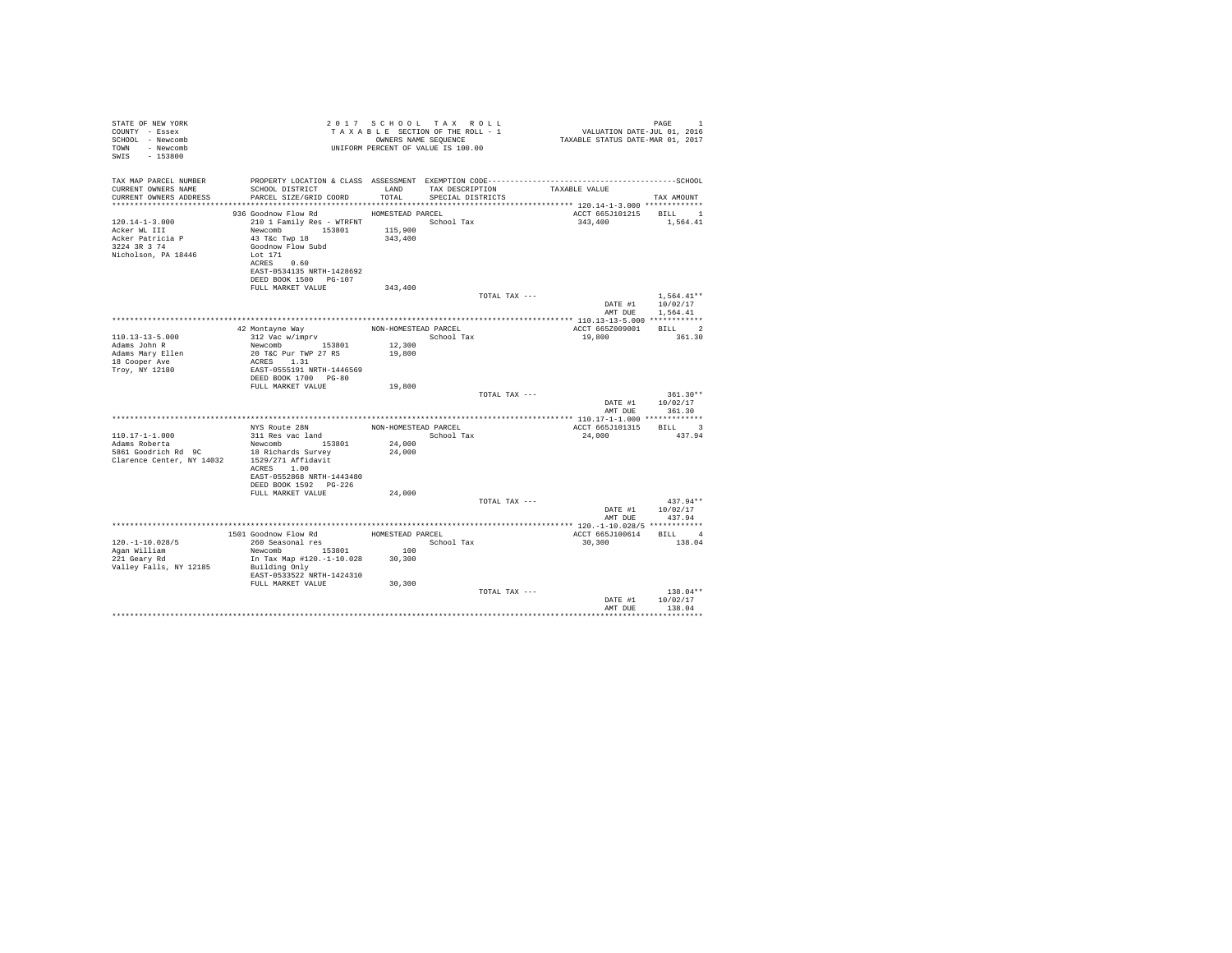| STATE OF NEW YORK<br>COUNTY - Essex<br>SCHOOL - Newcomb<br>TOWN - Newcomb<br>SWIS - 153800      |                                                                                                                                                                                                    |                      | 2017 SCHOOL TAX ROLL<br>PAGE 1 FAX ROLL TO VALUATION PAGE 1<br>TAXABLE SECTION OF THE ROLL - 1 VALUATION DATE-JUL 01, 2016<br>ONNERS NAME SEQUENCE 1 TAXABLE STATUS DATE-MAR 01, 2017<br>UNIFORM PERCENT OF VALUE IS 100.00 |                            | PAGE<br>$\mathbf{1}$                         |  |
|-------------------------------------------------------------------------------------------------|----------------------------------------------------------------------------------------------------------------------------------------------------------------------------------------------------|----------------------|-----------------------------------------------------------------------------------------------------------------------------------------------------------------------------------------------------------------------------|----------------------------|----------------------------------------------|--|
| TAX MAP PARCEL NUMBER<br>CURRENT OWNERS NAME<br>CURRENT OWNERS ADDRESS                          | SCHOOL DISTRICT LAND<br>PARCEL SIZE/GRID COORD                                                                                                                                                     | TOTAL                | TAX DESCRIPTION TAXABLE VALUE<br>SPECIAL DISTRICTS                                                                                                                                                                          |                            | TAX AMOUNT                                   |  |
|                                                                                                 |                                                                                                                                                                                                    |                      |                                                                                                                                                                                                                             |                            |                                              |  |
| $120.14 - 1 - 3.000$<br>Acker WL III<br>Acker Patricia P<br>3224 3R 3 74<br>Nicholson, PA 18446 | 936 Goodnow Flow Rd MOMESTEAD PARCEL<br>210 1 Family Res - WTRFNT School Tax<br>Newcomb 153801 115,900<br>43 T&c Twp 18<br>Goodnow Flow Subd<br>Lot 171<br>ACRES 0.60<br>EAST-0534135 NRTH-1428692 | 343,400              |                                                                                                                                                                                                                             | ACCT 665J101215<br>343,400 | BILL 1<br>1,564.41                           |  |
|                                                                                                 | DEED BOOK 1500 PG-107                                                                                                                                                                              |                      |                                                                                                                                                                                                                             |                            |                                              |  |
|                                                                                                 | FULL MARKET VALUE                                                                                                                                                                                  | 343,400              |                                                                                                                                                                                                                             |                            |                                              |  |
|                                                                                                 |                                                                                                                                                                                                    |                      | TOTAL TAX ---                                                                                                                                                                                                               | AMT DUE                    | $1.564.41**$<br>DATE #1 10/02/17<br>1,564.41 |  |
|                                                                                                 |                                                                                                                                                                                                    |                      |                                                                                                                                                                                                                             |                            |                                              |  |
| $110.13 - 13 - 5.000$                                                                           | 42 Montayne Way<br>312 Vac w/imprv                                                                                                                                                                 | NON-HOMESTEAD PARCEL |                                                                                                                                                                                                                             | ACCT 665Z009001 BILL 2     | 361.30                                       |  |
| Adams John R<br>Adams Mary Ellen                                                                | Newcomb 153801<br>20 T&C Pur TWP 27 RS                                                                                                                                                             | 12,300<br>19,800     | School Tax                                                                                                                                                                                                                  | 19,800                     |                                              |  |
| 18 Cooper Ave                                                                                   | ACRES 1.31                                                                                                                                                                                         |                      |                                                                                                                                                                                                                             |                            |                                              |  |
| Troy, NY 12180                                                                                  | EAST-0555191 NRTH-1446569<br>DEED BOOK 1700 PG-80<br>FULL MARKET VALUE                                                                                                                             | 19,800               |                                                                                                                                                                                                                             |                            |                                              |  |
|                                                                                                 |                                                                                                                                                                                                    |                      | TOTAL TAX ---                                                                                                                                                                                                               |                            | $361.30**$                                   |  |
|                                                                                                 |                                                                                                                                                                                                    |                      |                                                                                                                                                                                                                             |                            | DATE #1 10/02/17                             |  |
|                                                                                                 |                                                                                                                                                                                                    |                      |                                                                                                                                                                                                                             | AMT DUE                    | 361.30                                       |  |
|                                                                                                 | NYS Route 28N                                                                                                                                                                                      |                      | NON-HOMESTEAD PARCEL                                                                                                                                                                                                        | ACCT 665J101315 BILL 3     |                                              |  |
| $110.17 - 1 - 1.000$                                                                            |                                                                                                                                                                                                    |                      | School Tax                                                                                                                                                                                                                  | 24,000                     | 437.94                                       |  |
| Adams Roberta                                                                                   | 311 Res vac land<br>Newcomb 153801                                                                                                                                                                 | 24,000               |                                                                                                                                                                                                                             |                            |                                              |  |
| 5861 Goodrich Rd<br>20 18 Richards Survey<br>Clarence Center, NY 14032 1529/271 Affidavit       | ACRES 1.00<br>EAST-0552868 NRTH-1443480                                                                                                                                                            | 24,000               |                                                                                                                                                                                                                             |                            |                                              |  |
|                                                                                                 | DEED BOOK 1592 PG-226                                                                                                                                                                              |                      |                                                                                                                                                                                                                             |                            |                                              |  |
|                                                                                                 | FULL MARKET VALUE                                                                                                                                                                                  | 24,000               | TOTAL TAX ---                                                                                                                                                                                                               |                            | $437.94**$                                   |  |
|                                                                                                 |                                                                                                                                                                                                    |                      |                                                                                                                                                                                                                             | AMT DUE                    | DATE #1 10/02/17<br>437.94                   |  |
|                                                                                                 |                                                                                                                                                                                                    |                      |                                                                                                                                                                                                                             |                            |                                              |  |
|                                                                                                 | 1501 Goodnow Flow Rd<br>260 Seasonal res                                                                                                                                                           | HOMESTEAD PARCEL     |                                                                                                                                                                                                                             | ACCT 665J100614 BILL 4     |                                              |  |
| $120. - 1 - 10.028/5$                                                                           |                                                                                                                                                                                                    | 100                  | School Tax                                                                                                                                                                                                                  | 30,300                     | 138.04                                       |  |
| Agan William<br>221 Geary Rd                                                                    | $\frac{1}{2}$<br>Newcomb 153801 100<br>In Tax Man $\frac{1100}{2}$<br>In Tax Map #120.-1-10.028 30,300                                                                                             |                      |                                                                                                                                                                                                                             |                            |                                              |  |
| Valley Falls, NY 12185                                                                          | Building Only<br>EAST-0533522 NRTH-1424310                                                                                                                                                         |                      |                                                                                                                                                                                                                             |                            |                                              |  |
|                                                                                                 | FULL MARKET VALUE                                                                                                                                                                                  | 30,300               |                                                                                                                                                                                                                             |                            |                                              |  |
|                                                                                                 |                                                                                                                                                                                                    |                      | TOTAL TAX ---                                                                                                                                                                                                               | DATE #1<br>AMT DUE         | $138.04**$<br>10/02/17<br>138.04             |  |
|                                                                                                 |                                                                                                                                                                                                    |                      |                                                                                                                                                                                                                             |                            |                                              |  |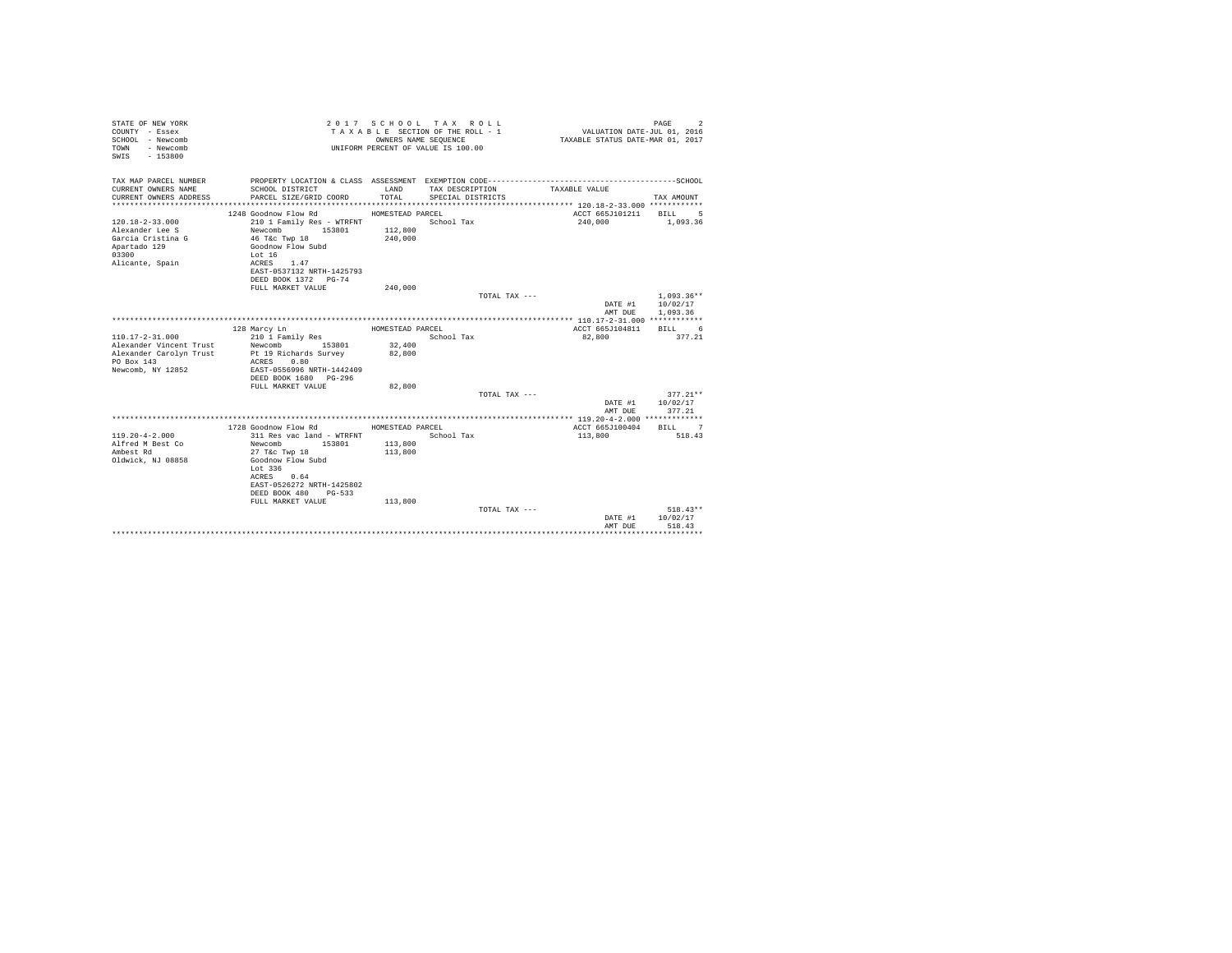| STATE OF NEW YORK<br>COUNTY - Essex<br>SCHOOL - Newcomb<br>TOWN<br>- Newcomb<br>SWIS<br>$-153800$ |                                           |                  | 2017 SCHOOL TAX ROLL<br>TAXABLE SECTION OF THE ROLL - 1<br>OWNERS NAME SEQUENCE<br>UNIFORM PERCENT OF VALUE IS 100.00 | VALUATION DATE-JUL 01, 2016<br>TAXABLE STATUS DATE-MAR 01, 2017 | PAGE<br>$\overline{2}$ |
|---------------------------------------------------------------------------------------------------|-------------------------------------------|------------------|-----------------------------------------------------------------------------------------------------------------------|-----------------------------------------------------------------|------------------------|
| TAX MAP PARCEL NUMBER                                                                             |                                           |                  |                                                                                                                       |                                                                 |                        |
| CURRENT OWNERS NAME<br>CURRENT OWNERS ADDRESS                                                     | SCHOOL DISTRICT<br>PARCEL SIZE/GRID COORD | LAND<br>TOTAL.   | TAX DESCRIPTION<br>SPECIAL DISTRICTS                                                                                  | TAXABLE VALUE                                                   | TAX AMOUNT             |
| ***********************                                                                           |                                           |                  |                                                                                                                       |                                                                 |                        |
|                                                                                                   | 1248 Goodnow Flow Rd                      | HOMESTEAD PARCEL |                                                                                                                       | ACCT 665J101211                                                 | <b>BILL</b><br>- 5     |
| $120.18 - 2 - 33.000$                                                                             | 210 1 Family Res - WTRFNT                 |                  | School Tax                                                                                                            | 240,000                                                         | 1,093.36               |
| Alexander Lee S                                                                                   | Newcomb<br>153801                         | 112,800          |                                                                                                                       |                                                                 |                        |
| Garcia Cristina G                                                                                 | 46 T&c Twp 18                             | 240,000          |                                                                                                                       |                                                                 |                        |
| Apartado 129                                                                                      | Goodnow Flow Subd                         |                  |                                                                                                                       |                                                                 |                        |
| 03300                                                                                             | Lot 16<br>ACRES 1.47                      |                  |                                                                                                                       |                                                                 |                        |
| Alicante, Spain                                                                                   | EAST-0537132 NRTH-1425793                 |                  |                                                                                                                       |                                                                 |                        |
|                                                                                                   | DEED BOOK 1372 PG-74                      |                  |                                                                                                                       |                                                                 |                        |
|                                                                                                   | FULL MARKET VALUE                         | 240,000          |                                                                                                                       |                                                                 |                        |
|                                                                                                   |                                           |                  | TOTAL TAX ---                                                                                                         |                                                                 | $1.093.36**$           |
|                                                                                                   |                                           |                  |                                                                                                                       | DATE #1                                                         | 10/02/17               |
|                                                                                                   |                                           |                  |                                                                                                                       | AMT DUE                                                         | 1,093.36               |
|                                                                                                   |                                           |                  |                                                                                                                       |                                                                 |                        |
|                                                                                                   | 128 Marcy Ln                              | HOMESTEAD PARCEL |                                                                                                                       | ACCT 665J104811                                                 | BILL 6                 |
| $110.17 - 2 - 31.000$<br>Alexander Vincent Trust                                                  | 210 1 Family Res<br>Newcomb<br>153801     | 32,400           | School Tax                                                                                                            | 82,800                                                          | 377.21                 |
| Alexander Carolyn Trust                                                                           | Pt 19 Richards Survey                     | 82,800           |                                                                                                                       |                                                                 |                        |
| PO Box 143                                                                                        | ACRES 0.80                                |                  |                                                                                                                       |                                                                 |                        |
| Newcomb, NY 12852                                                                                 | EAST-0556996 NRTH-1442409                 |                  |                                                                                                                       |                                                                 |                        |
|                                                                                                   | DEED BOOK 1680 PG-296                     |                  |                                                                                                                       |                                                                 |                        |
|                                                                                                   | FULL MARKET VALUE                         | 82,800           |                                                                                                                       |                                                                 |                        |
|                                                                                                   |                                           |                  | TOTAL TAX ---                                                                                                         |                                                                 | $377.21**$             |
|                                                                                                   |                                           |                  |                                                                                                                       | DATE #1                                                         | 10/02/17               |
|                                                                                                   |                                           |                  |                                                                                                                       | AMT DUE                                                         | 377.21                 |
|                                                                                                   | 1728 Goodnow Flow Rd                      | HOMESTEAD PARCEL |                                                                                                                       | ACCT 665J100404                                                 | RTLL 7                 |
| $119.20 - 4 - 2.000$                                                                              | 311 Res vac land - WTRFNT                 |                  | School Tax                                                                                                            | 113,800                                                         | 518.43                 |
| Alfred M Best Co                                                                                  | Newcomb<br>153801                         | 113,800          |                                                                                                                       |                                                                 |                        |
| Ambest Rd                                                                                         | 27 T&c Twp 18                             | 113,800          |                                                                                                                       |                                                                 |                        |
| Oldwick, NJ 08858                                                                                 | Goodnow Flow Subd                         |                  |                                                                                                                       |                                                                 |                        |
|                                                                                                   | Lot 336                                   |                  |                                                                                                                       |                                                                 |                        |
|                                                                                                   | ACRES 0.64                                |                  |                                                                                                                       |                                                                 |                        |
|                                                                                                   | EAST-0526272 NRTH-1425802                 |                  |                                                                                                                       |                                                                 |                        |
|                                                                                                   | DEED BOOK 480 PG-533                      |                  |                                                                                                                       |                                                                 |                        |
|                                                                                                   | FULL MARKET VALUE                         | 113,800          | TOTAL TAX ---                                                                                                         |                                                                 | $518.43**$             |
|                                                                                                   |                                           |                  |                                                                                                                       | DATE #1                                                         | 10/02/17               |
|                                                                                                   |                                           |                  |                                                                                                                       | AMT DUE                                                         | 518.43                 |
|                                                                                                   |                                           |                  |                                                                                                                       |                                                                 |                        |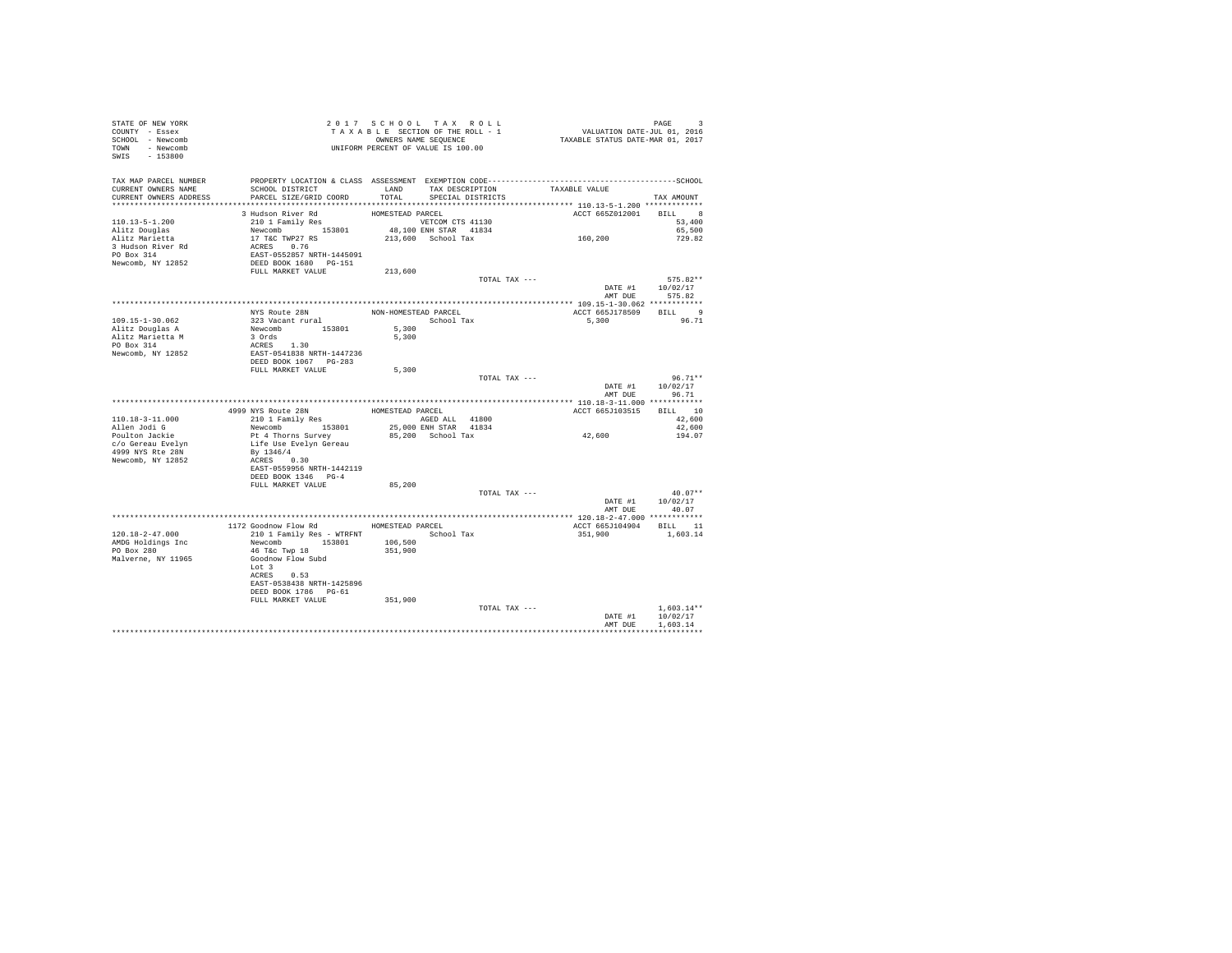| STATE OF NEW YORK<br>COUNTY - Essex<br>SCHOOL - Newcomb<br>TOWN - Newcomb | 2017 SCHOOL TAXABLE SECTION OF THE ROLL - 1<br>TAXABLE SECTION OF THE ROLL - 1<br>UNIFORM PERCENT OF VALUE IS 100.00                                                                                        |                  | TAXABLE SECTION OF THE ROLL - 1           | PAGE 3<br>VALUATION DATE-JUL 01, 2016<br>TAXABLE STATUS DATE-MAR 01, 2017 |                                                             |
|---------------------------------------------------------------------------|-------------------------------------------------------------------------------------------------------------------------------------------------------------------------------------------------------------|------------------|-------------------------------------------|---------------------------------------------------------------------------|-------------------------------------------------------------|
| SWIS - 153800                                                             |                                                                                                                                                                                                             |                  |                                           |                                                                           |                                                             |
| TAX MAP PARCEL NUMBER                                                     |                                                                                                                                                                                                             |                  |                                           |                                                                           |                                                             |
| CURRENT OWNERS NAME<br>CURRENT OWNERS ADDRESS PARCEL SIZE/GRID COORD      | SCHOOL DISTRICT                                                                                                                                                                                             | TOTAL            | LAND TAX DESCRIPTION<br>SPECIAL DISTRICTS | TAXABLE VALUE                                                             | TAX AMOUNT                                                  |
|                                                                           | 3 Hudson River Rd                                                                                                                                                                                           |                  |                                           | ACCT 665Z012001                                                           | $\begin{tabular}{cc} BILL & \hspace{0.1cm} 8 \end{tabular}$ |
| 110.13-5-1.200                                                            | 210 1 Family Res                                                                                                                                                                                            | HOMESTEAD PARCEL | VETCOM CTS 41130                          |                                                                           | 53,400                                                      |
|                                                                           |                                                                                                                                                                                                             |                  |                                           |                                                                           | 65,500                                                      |
|                                                                           |                                                                                                                                                                                                             |                  |                                           | VETCOM CTS 41130<br>48,100 ENH STAR 41834<br>213,600 School Tax 169,200   | 729.82                                                      |
|                                                                           |                                                                                                                                                                                                             |                  |                                           |                                                                           |                                                             |
|                                                                           |                                                                                                                                                                                                             |                  |                                           |                                                                           |                                                             |
|                                                                           |                                                                                                                                                                                                             | 213,600          |                                           |                                                                           |                                                             |
|                                                                           |                                                                                                                                                                                                             |                  | TOTAL TAX ---                             |                                                                           | $575.82**$<br>DATE #1 10/02/17                              |
|                                                                           |                                                                                                                                                                                                             |                  |                                           |                                                                           | AMT DUE 575.82                                              |
|                                                                           |                                                                                                                                                                                                             |                  |                                           |                                                                           |                                                             |
|                                                                           | NYS Route 28N                                                                                                                                                                                               |                  | NON-HOMESTEAD PARCEL                      | ACCT 665J178509 BILL 9                                                    |                                                             |
| 109.15-1-30.062                                                           |                                                                                                                                                                                                             |                  | School Tax                                | 5,300                                                                     | 96.71                                                       |
| Alitz Douglas A                                                           |                                                                                                                                                                                                             |                  |                                           |                                                                           |                                                             |
| Alitz Marietta M<br>PO Box 314                                            |                                                                                                                                                                                                             |                  |                                           |                                                                           |                                                             |
| Newcomb, NY 12852                                                         | % Aria Kouce 288 MON-HOMESTEAD<br>Newcomb 153801 5,300<br>3 Ords 153801 5,300<br>ACRES 1.30<br>2 Ords 1.30<br>PERED BOOK 1067 PT<br>EAST-0541838 NRTH-1447236<br>DEED BOOK 1067 PT<br>PTI WANKWER (PTI PTI) |                  |                                           |                                                                           |                                                             |
|                                                                           |                                                                                                                                                                                                             |                  |                                           |                                                                           |                                                             |
|                                                                           | FULL MARKET VALUE                                                                                                                                                                                           | 5,300            |                                           |                                                                           |                                                             |
|                                                                           |                                                                                                                                                                                                             |                  | TOTAL TAX ---                             |                                                                           | $96.71**$                                                   |
|                                                                           |                                                                                                                                                                                                             |                  |                                           | AMT DUE                                                                   | DATE #1 10/02/17<br>96.71                                   |
|                                                                           |                                                                                                                                                                                                             |                  |                                           |                                                                           |                                                             |
|                                                                           | 4999 NYS Route 28N HOMESTEAD PARCEL                                                                                                                                                                         |                  |                                           | ACCT 665J103515 BILL 10                                                   |                                                             |
| 110.18-3-11.000                                                           | 210 1 Family Res                                                                                                                                                                                            |                  | AGED ALL 41800                            | 42,600                                                                    | 42,600                                                      |
| Allen Jodi G                                                              | Newcomb 153801                                                                                                                                                                                              |                  | 25,000 ENH STAR 41834                     |                                                                           | 42,600                                                      |
| Poulton Jackie<br>c/o Gereau Evelyn                                       | Pt 4 Thorns Survey<br>Life Use Evelyn Gereau                                                                                                                                                                |                  | 85,200 School Tax                         |                                                                           | 194.07                                                      |
| 4999 NYS Rte 28N                                                          | By 1346/4                                                                                                                                                                                                   |                  |                                           |                                                                           |                                                             |
| Newcomb, NY 12852                                                         | ACRES 0.30                                                                                                                                                                                                  |                  |                                           |                                                                           |                                                             |
|                                                                           | EAST-0559956 NRTH-1442119                                                                                                                                                                                   |                  |                                           |                                                                           |                                                             |
|                                                                           | DEED BOOK 1346 PG-4                                                                                                                                                                                         |                  |                                           |                                                                           |                                                             |
|                                                                           | FULL MARKET VALUE                                                                                                                                                                                           | 85,200           | TOTAL TAX ---                             |                                                                           | $40.07**$                                                   |
|                                                                           |                                                                                                                                                                                                             |                  |                                           |                                                                           | DATE #1 10/02/17                                            |
|                                                                           |                                                                                                                                                                                                             |                  |                                           |                                                                           | AMT DUE 40.07                                               |
|                                                                           |                                                                                                                                                                                                             |                  |                                           |                                                                           |                                                             |
|                                                                           | 1172 Goodnow Flow Rd MOMESTEAD PARCEL                                                                                                                                                                       |                  |                                           | ACCT 665J104904 BILL 11                                                   |                                                             |
| 120.18-2-47.000                                                           | 210 1 Family Res - WTRFNT School Tax                                                                                                                                                                        |                  |                                           | 351,900                                                                   | 1,603.14                                                    |
| AMDG Holdings Inc<br>PO Box 280                                           | Newcomb 153801 106,500<br>46 T&c Twp 18 351,900                                                                                                                                                             |                  |                                           |                                                                           |                                                             |
| Malverne, NY 11965                                                        | Goodnow Flow Subd                                                                                                                                                                                           |                  |                                           |                                                                           |                                                             |
|                                                                           | Lot 3                                                                                                                                                                                                       |                  |                                           |                                                                           |                                                             |
|                                                                           | ACRES 0.53                                                                                                                                                                                                  |                  |                                           |                                                                           |                                                             |
|                                                                           | EAST-0538438 NRTH-1425896                                                                                                                                                                                   |                  |                                           |                                                                           |                                                             |
|                                                                           | DEED BOOK 1786 PG-61<br>FULL MARKET VALUE                                                                                                                                                                   | 351,900          |                                           |                                                                           |                                                             |
|                                                                           |                                                                                                                                                                                                             |                  | TOTAL TAX ---                             |                                                                           | $1.603.14**$                                                |
|                                                                           |                                                                                                                                                                                                             |                  |                                           |                                                                           | DATE #1 10/02/17                                            |
|                                                                           |                                                                                                                                                                                                             |                  |                                           | AMT DUE                                                                   | 1,603.14                                                    |
|                                                                           |                                                                                                                                                                                                             |                  |                                           |                                                                           | ************                                                |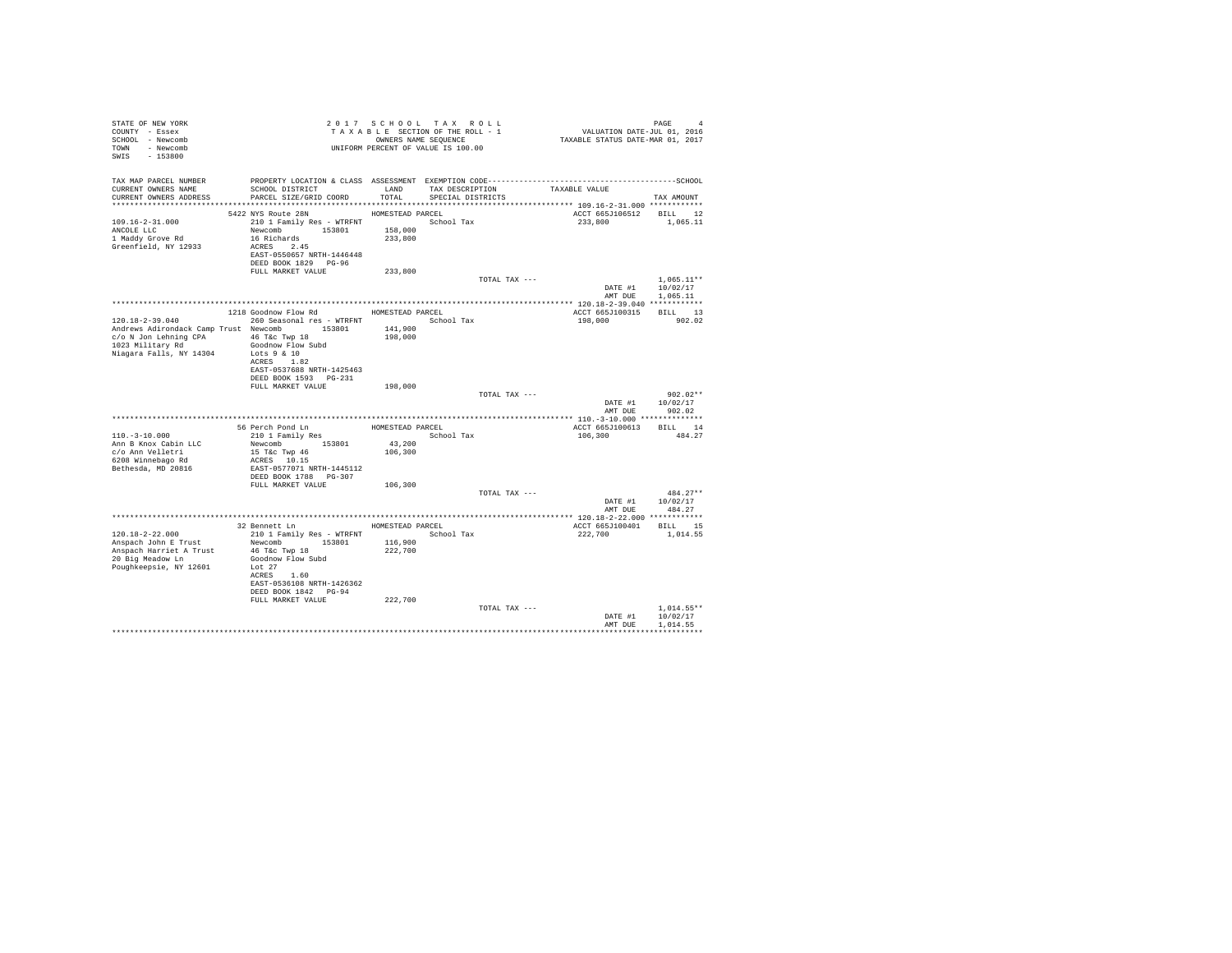| STATE OF NEW YORK<br>COUNTY - Essex<br>SCHOOL - Newcomb<br>TOWN - Newcomb<br>SWIS<br>$-153800$                                                              | T A X A B B B B B B SEQUENCE<br>UNIFORM PERCENT OF VALUE IS 100.00                                                                                                                                         |                                        | 2017 SCHOOL TAX ROLL<br>TAXABLE SECTION OF THE ROLL - 1<br>OWNERS NAME SEQUENCE | PAGE 4<br>VALUATION DATE-JUL 01, 2016<br>TAXABLE STATUS DATE-MAR 01, 2017 |                                      |
|-------------------------------------------------------------------------------------------------------------------------------------------------------------|------------------------------------------------------------------------------------------------------------------------------------------------------------------------------------------------------------|----------------------------------------|---------------------------------------------------------------------------------|---------------------------------------------------------------------------|--------------------------------------|
| TAX MAP PARCEL NUMBER<br>CURRENT OWNERS NAME<br>CURRENT OWNERS ADDRESS                                                                                      | PROPERTY LOCATION & CLASS ASSESSMENT EXEMPTION CODE-----------------------------------SCHOOL<br>SCHOOL DISTRICT<br>PARCEL SIZE/GRID COORD                                                                  | LAND<br>TOTAL                          | TAX DESCRIPTION<br>SPECIAL DISTRICTS                                            | TAXABLE VALUE                                                             | TAX AMOUNT                           |
| 109.16-2-31.000<br>ANCOLE LLC<br>1 Maddy Grove Rd<br>Greenfield, NY 12933                                                                                   | 5422 NYS Route 28N<br>210 1 Family Res - WTRFNT School Tax<br>Newcomb 153801<br>16 Richards<br>ACRES 2.45<br>EAST-0550657 NRTH-1446448<br>DEED BOOK 1829 PG-96                                             | HOMESTEAD PARCEL<br>158,000<br>233,800 |                                                                                 | ACCT 665J106512 BILL 12<br>233,800                                        | 1,065.11                             |
|                                                                                                                                                             | FULL MARKET VALUE                                                                                                                                                                                          | 233,800                                | TOTAL TAX ---                                                                   | DATE #1                                                                   | $1.065.11**$<br>10/02/17             |
| $120.18 - 2 - 39.040$<br>Andrews Adirondack Camp Trust Newcomb 153801<br>c/o N Jon Lehning CPA 46 T&c Twp 18<br>1023 Military Rd<br>Niagara Falls, NY 14304 | 1218 Goodnow Flow Rd MOMESTEAD PARCEL<br>260 Seasonal res - WTRFNT School Tax<br>Goodnow Flow Subd<br>Lots 9 & 10<br>ACRES 1.82<br>EAST-0537688 NRTH-1425463<br>DEED BOOK 1593 PG-231<br>FULL MARKET VALUE | 141,900<br>198,000<br>198,000          |                                                                                 | AMT DUE<br>ACCT 665J100315<br>198,000                                     | 1,065.11<br>BILL 13<br>902.02        |
|                                                                                                                                                             |                                                                                                                                                                                                            |                                        | TOTAL TAX ---                                                                   | DATE #1<br>AMT DUE                                                        | $902.02**$<br>10/02/17<br>902.02     |
| $110. - 3 - 10.000$<br>Ann B Knox Cabin LLC<br>c/o Ann Velletri<br>6208 Winnebago Rd<br>Bethesda, MD 20816                                                  | 56 Perch Pond Ln<br>210 1 Family Res<br>Newcomb 153801<br>15 T&c Twp 46<br>ACRES 10.15<br>EAST-0577071 NRTH-1445112<br>DEED BOOK 1788 PG-307                                                               | HOMESTEAD PARCEL<br>43,200<br>106,300  | School Tax                                                                      | ACCT 665J100613 BILL 14<br>106,300                                        | 484.27                               |
|                                                                                                                                                             | FULL MARKET VALUE                                                                                                                                                                                          | 106,300                                | TOTAL TAX ---                                                                   | DATE #1                                                                   | $484.27**$<br>10/02/17               |
| 120.18-2-22.000<br>Anspach John E Trust<br>Anspach Harriet A Trust<br>20 Big Meadow Ln<br>Poughkeepsie, NY 12601                                            | 32 Bennett Ln<br>210 1 Family Res - WTRFNT<br>Newcomb 153801<br>46 T&c Twp 18<br>Goodnow Flow Subd<br>Lot $27$<br>ACRES 1.60<br>EAST-0536108 NRTH-1426362<br>DEED BOOK 1842 PG-94                          | 116,900<br>222,700                     | HOMESTEAD PARCEL<br>School Tax                                                  | AMT DUE<br>ACCT 665J100401 BILL 15<br>222,700                             | 484.27<br>1,014.55                   |
|                                                                                                                                                             | FULL MARKET VALUE                                                                                                                                                                                          | 222,700                                | TOTAL TAX ---                                                                   | DATE #1<br>AMT DUE                                                        | $1.014.55**$<br>10/02/17<br>1,014.55 |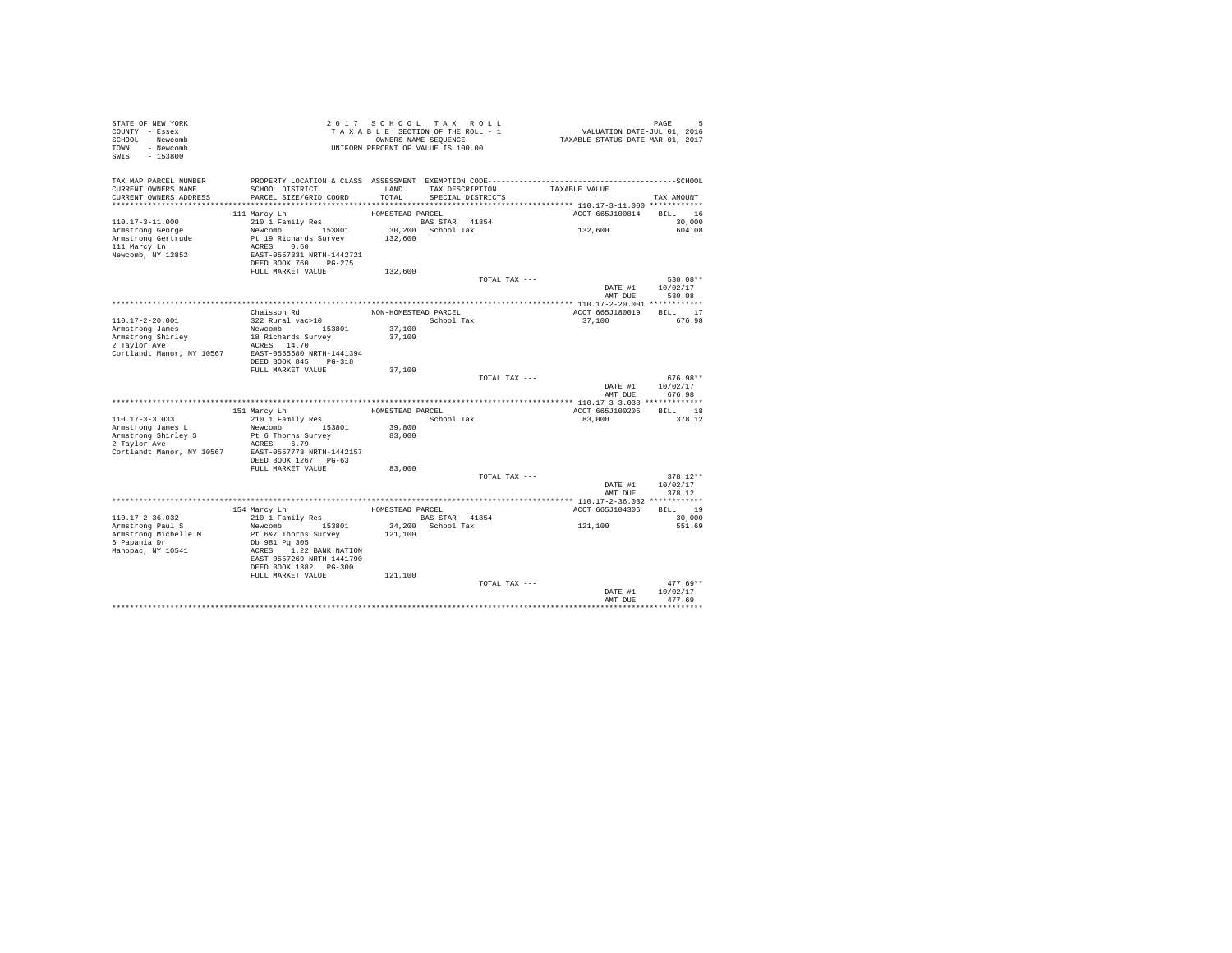| STATE OF NEW YORK<br>COUNTY - Essex<br>SCHOOL - Newcomb<br>TOWN - Newcomb<br>SWIS - 153800 | 2017 SCHOOL TAX ROLL<br>TAXABLE SECTION OF THE ROLL - 1<br>OWNERS NAME SEQUENCE<br>UNIFORM PERCENT OF VALUE IS 100.00 | PAGE 5<br>VALUATION DATE-JUL 01, 2016<br>TAXABLE STATUS DATE-MAR 01, 2017 |                                      |                         |                                  |
|--------------------------------------------------------------------------------------------|-----------------------------------------------------------------------------------------------------------------------|---------------------------------------------------------------------------|--------------------------------------|-------------------------|----------------------------------|
| TAX MAP PARCEL NUMBER<br>CURRENT OWNERS NAME<br>CURRENT OWNERS ADDRESS                     | SCHOOL DISTRICT<br>PARCEL SIZE/GRID COORD                                                                             | LAND<br>TOTAL                                                             | TAX DESCRIPTION<br>SPECIAL DISTRICTS | TAXABLE VALUE           | TAX AMOUNT                       |
|                                                                                            | 111 Marcy Ln                                                                                                          | HOMESTEAD PARCEL                                                          |                                      | ACCT 665J100814 BILL 16 |                                  |
| $110.17 - 3 - 11.000$                                                                      | 210 1 Family Res                                                                                                      |                                                                           | BAS STAR 41854<br>30,200 School Tax  |                         | 30,000                           |
| Armstrong George<br>Armstrong Gertrude<br>111 Marcy Ln<br>Newcomb, NY 12852                | Newcomb 153801<br>Pt 19 Richards Survey<br>ACRES 0.60<br>EAST-0557331 NRTH-1442721<br>DEED BOOK 760 PG-275            | 132,600                                                                   |                                      | 132,600                 | 604.08                           |
|                                                                                            | FULL MARKET VALUE                                                                                                     | 132,600                                                                   |                                      |                         |                                  |
|                                                                                            |                                                                                                                       |                                                                           | TOTAL TAX ---                        | DATE #1                 | 530.08**<br>10/02/17             |
|                                                                                            |                                                                                                                       |                                                                           |                                      | AMT DUE                 | 530.08                           |
|                                                                                            | Chaisson Rd                                                                                                           | NON-HOMESTEAD PARCEL                                                      |                                      | ACCT 665J180019         | BILL 17                          |
| 110.17-2-20.001                                                                            | 322 Rural vac>10                                                                                                      |                                                                           | School Tax                           | 37,100                  | 676.98                           |
| Armstrong James                                                                            | Newcomb 153801                                                                                                        | 37,100                                                                    |                                      |                         |                                  |
| Armstrong Shirley<br>2 Taylor Ave                                                          | 18 Richards Survey                                                                                                    | 37,100                                                                    |                                      |                         |                                  |
|                                                                                            | ACRES 14.70<br>Cortlandt Manor, NY 10567 EAST-0555580 NRTH-1441394                                                    |                                                                           |                                      |                         |                                  |
|                                                                                            | DEED BOOK 845 PG-318<br>FULL MARKET VALUE                                                                             | 37,100                                                                    |                                      |                         |                                  |
|                                                                                            |                                                                                                                       |                                                                           | TOTAL TAX ---                        |                         | 676.98**                         |
|                                                                                            |                                                                                                                       |                                                                           |                                      |                         | DATE #1 10/02/17                 |
|                                                                                            |                                                                                                                       |                                                                           |                                      | AMT DUE                 | 676.98                           |
|                                                                                            | 151 Marcy Ln                                                                                                          | HOMESTEAD PARCEL                                                          |                                      | ACCT 665J100205 BILL 18 |                                  |
| $110.17 - 3 - 3.033$                                                                       | 210 1 Family Res                                                                                                      |                                                                           | School Tax                           | 83,000                  | 378.12                           |
| Armstrong James L                                                                          | Newcomb 153801                                                                                                        | 39,800                                                                    |                                      |                         |                                  |
| Armstrong Shirley S<br>$2 Taylor$ Ave                                                      | Pt 6 Thorns Survey                                                                                                    | 83,000                                                                    |                                      |                         |                                  |
|                                                                                            | ACRES 6.79<br>Cortlandt Manor, NY 10567 EAST-0557773 NRTH-1442157                                                     |                                                                           |                                      |                         |                                  |
|                                                                                            | DEED BOOK 1267 PG-63                                                                                                  |                                                                           |                                      |                         |                                  |
|                                                                                            | FULL MARKET VALUE                                                                                                     | 83,000                                                                    |                                      |                         |                                  |
|                                                                                            |                                                                                                                       |                                                                           | TOTAL TAX ---                        |                         | $378.12**$                       |
|                                                                                            |                                                                                                                       |                                                                           |                                      | AMT DUE                 | DATE #1 10/02/17<br>378.12       |
|                                                                                            |                                                                                                                       |                                                                           |                                      |                         |                                  |
|                                                                                            | 154 Marcy Ln                                                                                                          | HOMESTEAD PARCEL                                                          |                                      | ACCT 665J104306         | BILL 19                          |
| 110.17-2-36.032                                                                            | 210 1 Family Res                                                                                                      |                                                                           | BAS STAR 41854                       |                         | 30,000                           |
| Armstrong Paul S                                                                           | Newcomb 153801                                                                                                        |                                                                           | 34,200 School Tax                    | 121,100                 | 551.69                           |
| Armstrong Michelle M<br>6 Papania Dr<br>Mahopac, NY 10541                                  | Pt 6&7 Thorns Survey<br>Db 981 Pg 305<br>ACRES 1.22 BANK NATION<br>EAST-0557269 NRTH-1441790<br>DEED BOOK 1382 PG-300 | 121,100                                                                   |                                      |                         |                                  |
|                                                                                            | FULL MARKET VALUE                                                                                                     | 121,100                                                                   |                                      |                         |                                  |
|                                                                                            |                                                                                                                       |                                                                           | TOTAL TAX ---                        | DATE #1<br>AMT DUE      | $477.69**$<br>10/02/17<br>477.69 |
|                                                                                            |                                                                                                                       |                                                                           |                                      |                         |                                  |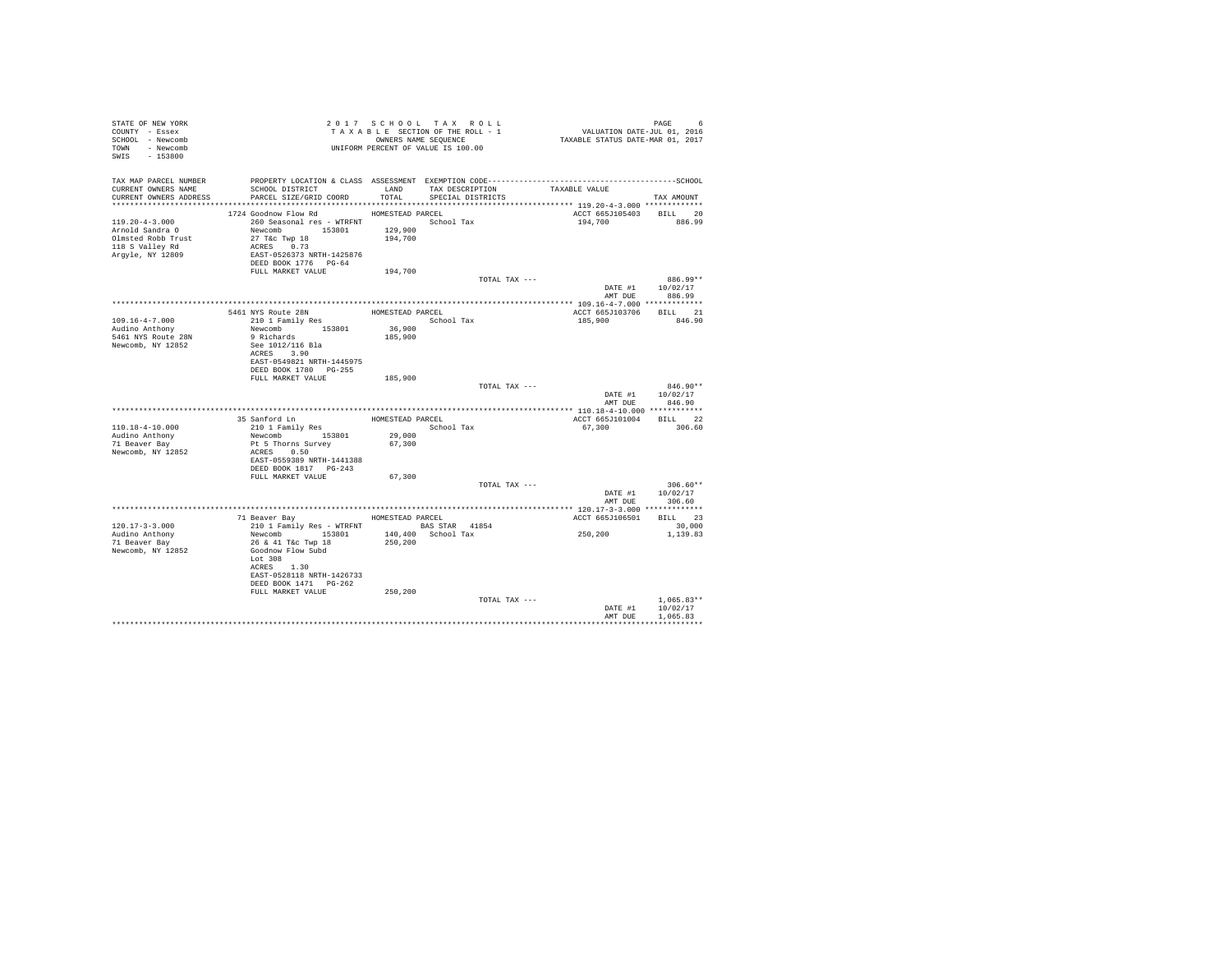| STATE OF NEW YORK<br>COUNTY - Essex<br>SCHOOL - Newcomb<br>TOWN - Newcomb<br>SWIS - 153800           | UNIFORM PERCENT OF VALUE IS 100.00                                                                                                                                             |                                      | 2017 SCHOOL TAX ROLL<br>TAXABLE SECTION OF THE ROLL - 1<br>OWNERS NAME SEQUENCE | PAGE 6<br>VALUATION DATE-JUL 01, 2016<br>TAXABLE STATUS DATE-MAR 01, 2017 |                                                  |
|------------------------------------------------------------------------------------------------------|--------------------------------------------------------------------------------------------------------------------------------------------------------------------------------|--------------------------------------|---------------------------------------------------------------------------------|---------------------------------------------------------------------------|--------------------------------------------------|
| TAX MAP PARCEL NUMBER<br>CURRENT OWNERS NAME<br>CURRENT OWNERS ADDRESS                               | SCHOOL DISTRICT<br>PARCEL SIZE/GRID COORD                                                                                                                                      |                                      | LAND TAX DESCRIPTION TAXABLE VALUE<br>TOTAL SPECIAL DISTRICTS                   |                                                                           | TAX AMOUNT                                       |
| $119.20 - 4 - 3.000$<br>Arnold Sandra O<br>Olmsted Robb Trust<br>118 S Valley Rd<br>Argyle, NY 12809 | 1724 Goodnow Flow Rd<br>260 Seasonal res - WTRFNT School Tax<br>Newcomb 153801 129,900<br>$27$ T&C Twp $18$<br>ACRES 0.73<br>EAST-0526373 NRTH-1425876<br>DEED BOOK 1776 PG-64 | HOMESTEAD PARCEL<br>194,700          |                                                                                 | ACCT 665J105403 BILL 20<br>194,700                                        | 886.99                                           |
|                                                                                                      | FULL MARKET VALUE                                                                                                                                                              | 194,700                              | TOTAL TAX ---                                                                   | AMT DUE                                                                   | 886.99**<br>DATE #1 10/02/17<br>886.99           |
|                                                                                                      |                                                                                                                                                                                |                                      |                                                                                 |                                                                           |                                                  |
| $109.16 - 4 - 7.000$<br>Audino Anthony                                                               | 5461 NYS Route 28N<br>210 1 Family Res                                                                                                                                         | HOMESTEAD PARCEL<br>36,900           | School Tax                                                                      | ACCT 665J103706 BILL 21<br>185,900                                        | 846.90                                           |
| 5461 NYS Route 28N<br>Newcomb, NY 12852                                                              | Newcomb 153801<br>9 Richards<br>See 1012/116 Bla<br>ACRES 3.90<br>EAST-0549821 NRTH-1445975<br>DEED BOOK 1780 PG-255                                                           | 185,900                              |                                                                                 |                                                                           |                                                  |
|                                                                                                      | FULL MARKET VALUE                                                                                                                                                              | 185,900                              | TOTAL TAX ---                                                                   | AMT DUE                                                                   | $846.90**$<br>DATE #1 10/02/17<br>846.90         |
|                                                                                                      |                                                                                                                                                                                |                                      |                                                                                 |                                                                           |                                                  |
| $110.18 - 4 - 10.000$<br>Audino Anthony<br>71 Beaver Bay<br>Newcomb, NY 12852                        | 35 Sanford Ln<br>210 1 Family Res<br>Newcomb 153801<br>Pt 5 Thorns Survey<br>ACRES 0.50<br>EAST-0559389 NRTH-1441388<br>DEED BOOK 1817 PG-243                                  | HOMESTEAD PARCEL<br>29,000<br>67,300 | School Tax                                                                      | ACCT 665J101004<br>67,300                                                 | BILL 22<br>306.60                                |
|                                                                                                      | FULL MARKET VALUE                                                                                                                                                              | 67,300                               |                                                                                 |                                                                           |                                                  |
|                                                                                                      |                                                                                                                                                                                |                                      | TOTAL TAX ---                                                                   |                                                                           | $306.60**$<br>DATE #1 10/02/17<br>AMT DUE 306.60 |
|                                                                                                      |                                                                                                                                                                                |                                      |                                                                                 |                                                                           |                                                  |
| $120.17 - 3 - 3.000$<br>Audino Anthony<br>71 Beaver Bay<br>Newcomb, NY 12852                         | 71 Beaver Bay MOMESTEAD PARCEL<br>210 1 Family Res - WTRFNT<br>Newcomb 153801<br>26 & 41 T&c Twp 18<br>Goodnow Flow Subd<br>Lot 308<br>ACRES 1.30<br>EAST-0528118 NRTH-1426733 | 250,200                              | <b>BAS STAR 41854</b><br>140,400 School Tax                                     | ACCT 665J106501 BILL 23<br>250,200                                        | 30,000<br>1,139.83                               |
|                                                                                                      | DEED BOOK 1471 PG-262<br>FULL MARKET VALUE                                                                                                                                     | 250,200                              | TOTAL TAX ---                                                                   | DATE #1<br>AMT DUE                                                        | $1.065.83**$<br>10/02/17<br>1,065.83             |
|                                                                                                      |                                                                                                                                                                                |                                      |                                                                                 |                                                                           |                                                  |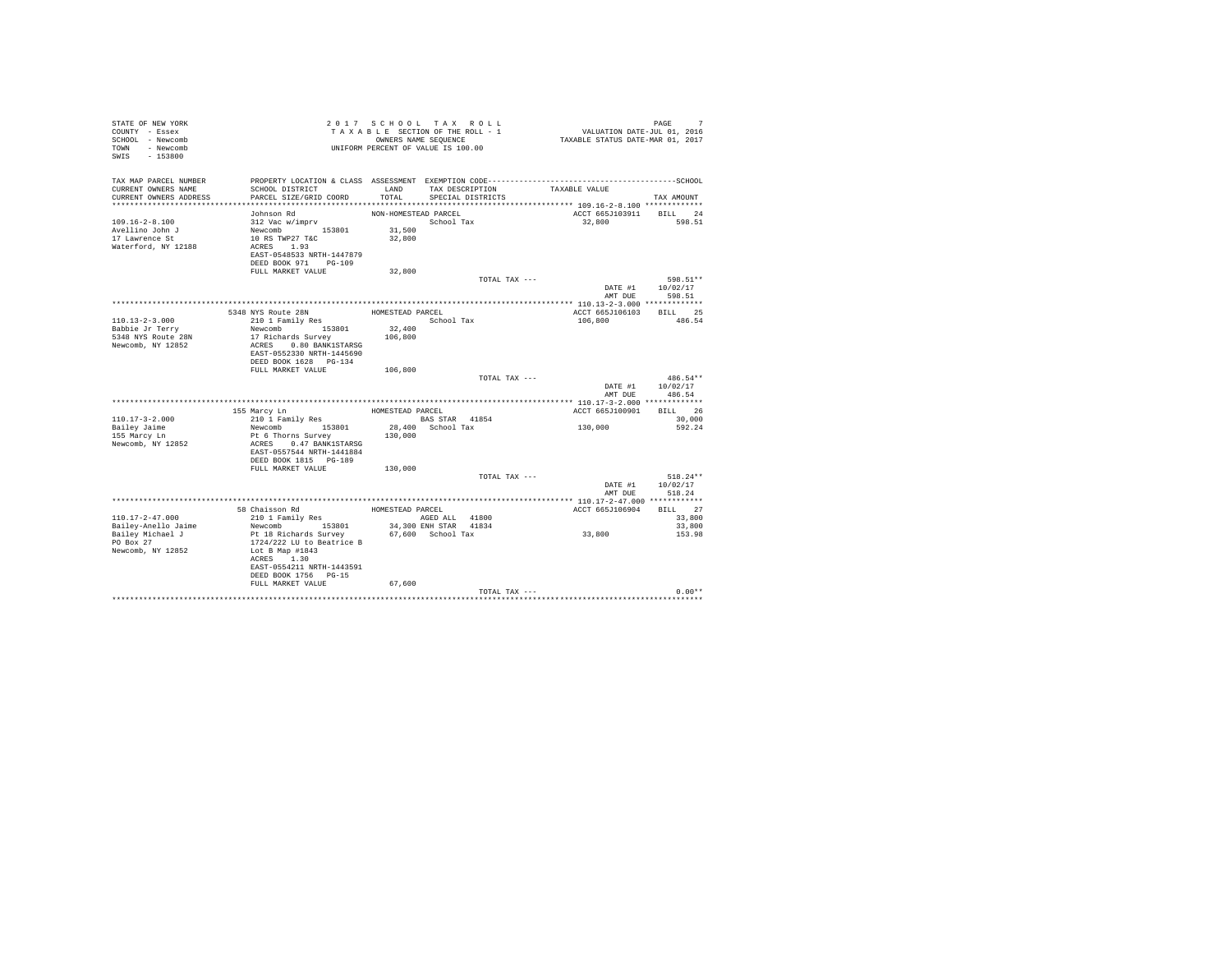| STATE OF NEW YORK<br>COUNTY - Essex<br>SCHOOL - Newcomb<br>TOWN - Newcomb<br>$-153800$<br>SWIS     |                                                                                                                                                                                                     |                                                    | 2017 SCHOOL TAX ROLL<br>TAXABLE SECTION OF THE ROLL - 1<br>OWNERS NAME SEQUENCE<br>UNIFORM PERCENT OF VALUE IS 100.00 | PAGE 7<br>VALUATION DATE-JUL 01, 2016<br>TAXABLE STATUS DATE-MAR 01, 2017 |                                  |
|----------------------------------------------------------------------------------------------------|-----------------------------------------------------------------------------------------------------------------------------------------------------------------------------------------------------|----------------------------------------------------|-----------------------------------------------------------------------------------------------------------------------|---------------------------------------------------------------------------|----------------------------------|
| TAX MAP PARCEL NUMBER<br>CURRENT OWNERS NAME<br>CURRENT OWNERS ADDRESS                             | SCHOOL DISTRICT<br>PARCEL SIZE/GRID COORD                                                                                                                                                           | LAND<br>TOTAL                                      | TAX DESCRIPTION<br>SPECIAL DISTRICTS                                                                                  | TAXABLE VALUE                                                             | TAX AMOUNT                       |
| $109.16 - 2 - 8.100$<br>Avellino John J<br>17 Lawrence St<br>Waterford, NY 12188                   | Johnson Rd<br>312 Vac w/imprv<br>Newcomb 153801<br>10 RS TWP27 T&C<br>ACRES 1.93<br>EAST-0548533 NRTH-1447879<br>DEED BOOK 971 PG-109<br>FULL MARKET VALUE                                          | NON-HOMESTEAD PARCEL<br>31,500<br>32,800<br>32,800 | School Tax                                                                                                            | ACCT 665J103911 BILL 24<br>32,800                                         | 598.51                           |
|                                                                                                    |                                                                                                                                                                                                     |                                                    | TOTAL TAX ---                                                                                                         | DATE #1<br>AMT DUE                                                        | 598.51**<br>10/02/17<br>598.51   |
| $110.13 - 2 - 3.000$<br>Babbie Jr Terry<br>5348 NYS Route 28N<br>Newcomb, NY 12852                 | 5348 NYS Route 28N<br>210 1 Family Res<br>Newcomb 153801<br>17 Richards Survey<br>ACRES 0.80 BANK1STARSG<br>EAST-0552330 NRTH-1445690<br>DEED BOOK 1628 PG-134                                      | HOMESTEAD PARCEL<br>32,400<br>106,800              | School Tax                                                                                                            | ACCT 665J106103<br>106,800                                                | BILL 25<br>486.54                |
|                                                                                                    | FULL MARKET VALUE                                                                                                                                                                                   | 106,800                                            | TOTAL TAX ---                                                                                                         | DATE #1<br>AMT DUR                                                        | 486.54**<br>10/02/17<br>486.54   |
|                                                                                                    |                                                                                                                                                                                                     |                                                    |                                                                                                                       |                                                                           |                                  |
|                                                                                                    | 155 Marcy Ln                                                                                                                                                                                        | HOMESTEAD PARCEL                                   |                                                                                                                       | ACCT 665J100901                                                           | BILL 26                          |
| $110.17 - 3 - 2.000$                                                                               | 210 1 Family Res                                                                                                                                                                                    |                                                    | BAS STAR 41854                                                                                                        |                                                                           | 30,000                           |
| Bailey Jaime<br>155 Marcy Ln<br>Newcomb, NY 12852                                                  | Newcomb 153801<br>Pt 6 Thorns Survey<br>ACRES 0.47 BANK1STARSG<br>EAST-0557544 NRTH-1441884<br>DEED BOOK 1815 PG-189<br>FULL MARKET VALUE                                                           | 130,000<br>130,000                                 | 28,400 School Tax                                                                                                     | 130,000                                                                   | 592.24                           |
|                                                                                                    |                                                                                                                                                                                                     |                                                    | TOTAL TAX ---                                                                                                         | DATE #1<br>AMT DUE                                                        | $518.24**$<br>10/02/17<br>518.24 |
|                                                                                                    |                                                                                                                                                                                                     |                                                    |                                                                                                                       |                                                                           |                                  |
|                                                                                                    | 58 Chaisson Rd                                                                                                                                                                                      | HOMESTEAD PARCEL                                   |                                                                                                                       | ACCT 665J106904                                                           | BILL 27                          |
| $110.17 - 2 - 47.000$<br>Bailey-Anello Jaime<br>Bailey Michael J<br>PO Box 27<br>Newcomb, NY 12852 | 210 1 Family Res<br>Newcomb 153801<br>Pt 18 Richards Survey<br>1724/222 LU to Beatrice B<br>Lot B Map #1843<br>ACRES 1.30<br>EAST-0554211 NRTH-1443591<br>DEED BOOK 1756 PG-15<br>FULL MARKET VALUE | 67,600                                             | AGED ALL 41800<br>34,300 ENH STAR 41834<br>67,600 School Tax                                                          | 33,800                                                                    | 33,800<br>33,800<br>153.98       |
|                                                                                                    |                                                                                                                                                                                                     |                                                    | TOTAL TAX ---                                                                                                         |                                                                           | $0.00**$                         |
|                                                                                                    |                                                                                                                                                                                                     |                                                    |                                                                                                                       |                                                                           |                                  |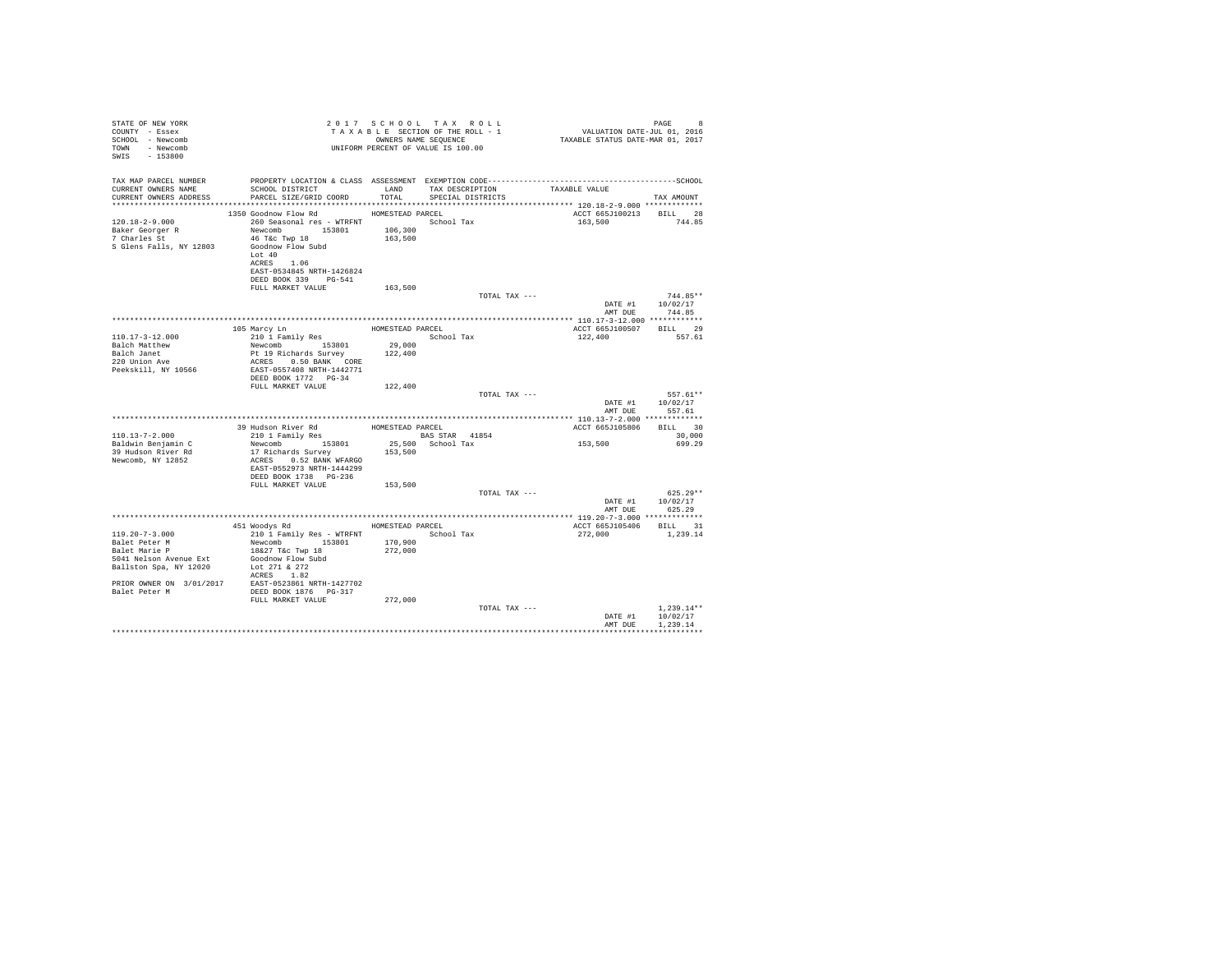| STATE OF NEW YORK<br>COUNTY - Essex<br>SCHOOL - Newcomb<br>TOWN - Newcomb<br>SWIS - 153800                                                                                                                                                                                                      | UNIFORM PERCENT OF VALUE IS 100.00                                                                                                                                      |                    |               |                                                     |                                                      |
|-------------------------------------------------------------------------------------------------------------------------------------------------------------------------------------------------------------------------------------------------------------------------------------------------|-------------------------------------------------------------------------------------------------------------------------------------------------------------------------|--------------------|---------------|-----------------------------------------------------|------------------------------------------------------|
| TAX MAP PARCEL NUMBER<br>CURRENT OWNERS NAME<br>CURRENT OWNERS ADDRESS PARCEL SIZE/GRID COORD TOTAL SPECIAL DISTRICTS                                                                                                                                                                           | SCHOOL DISTRICT LAND TAX DESCRIPTION                                                                                                                                    |                    |               | TAXABLE VALUE                                       | TAX AMOUNT                                           |
|                                                                                                                                                                                                                                                                                                 | 1350 Goodnow Flow Rd MOMESTEAD PARCEL                                                                                                                                   |                    |               |                                                     |                                                      |
| 120.18-2-9.000                                                                                                                                                                                                                                                                                  | 260 Seasonal res - WTRFNT <a></a> School Tax<br>Lot 40<br>ACRES 1.06<br>EAST-0534845 NRTH-1426824<br>DEED BOOK 339 PG-541                                               |                    |               | ACCT 665J100213 BILL 28<br>163,500                  | 744.85                                               |
|                                                                                                                                                                                                                                                                                                 | FULL MARKET VALUE 163,500                                                                                                                                               |                    |               |                                                     |                                                      |
|                                                                                                                                                                                                                                                                                                 |                                                                                                                                                                         |                    | TOTAL TAX --- | AMT DUE                                             | $744.85**$<br>DATE #1 10/02/17<br>744.85             |
|                                                                                                                                                                                                                                                                                                 |                                                                                                                                                                         |                    |               |                                                     |                                                      |
| 110.17-3-12.000                                                                                                                                                                                                                                                                                 |                                                                                                                                                                         |                    |               | ACCT 665J100507 BILL 29<br>122,400 557.61           |                                                      |
| Balch Matthew<br>Balch Janet<br>220 Union Ave<br>Peekskill, NY 10566                                                                                                                                                                                                                            | 210 1 Pamily Res 153801 199,000<br>Newcomb 153801 29,000<br>Df 19 Richards Survey 122,400<br>Pt 19 Richards Survey<br>ACRES 0.50 BANK CORE<br>EAST-0557408 NRTH-1442771 |                    |               |                                                     |                                                      |
|                                                                                                                                                                                                                                                                                                 | FULL MARKET VALUE 122,400                                                                                                                                               |                    |               |                                                     |                                                      |
|                                                                                                                                                                                                                                                                                                 |                                                                                                                                                                         |                    | TOTAL TAX --- | AMT DUE                                             | 557.61**<br>DATE #1 10/02/17<br>557.61               |
|                                                                                                                                                                                                                                                                                                 |                                                                                                                                                                         |                    |               |                                                     |                                                      |
| 110.13-7-2.000                                                                                                                                                                                                                                                                                  |                                                                                                                                                                         |                    |               |                                                     |                                                      |
| Baldwin Benjamin C<br>39 Hudson River Rd<br>Newcomb, NY 12852                                                                                                                                                                                                                                   | 17 Richards Survey<br>ACRES 0.52 BANK WFARGO<br>EAST-0552973 NRTH-1444299<br>DEED BOOK 1738 PG-236                                                                      | 153,500            |               | ACCT 665J105806 BILL 30<br>30,000<br>153,500 699.29 |                                                      |
|                                                                                                                                                                                                                                                                                                 | FULL MARKET VALUE                                                                                                                                                       | 153,500            |               |                                                     |                                                      |
|                                                                                                                                                                                                                                                                                                 |                                                                                                                                                                         |                    | TOTAL TAX --- |                                                     | $625.29**$<br>DATE #1 10/02/17<br>AMT DUE 625.29     |
|                                                                                                                                                                                                                                                                                                 |                                                                                                                                                                         |                    |               |                                                     |                                                      |
|                                                                                                                                                                                                                                                                                                 | 451 Woodys Rd Monte HOMESTEAD PARCEL                                                                                                                                    |                    |               | ACCT 665J105406 BILL 31                             |                                                      |
| $119.20 - 7 - 3.000$<br>Balet Peter M<br>Alexander D<br>5041 Nelson Avenue Ext<br>Ballston Spa, NY 12020<br>$\begin{tabular}{lllll} \bf PRIOR & \tt ONNER & \tt ON & 3/01/2017 & \tt EAST-0523861 & \tt INTH-1427702 \\ \bf{Balet Peter & \tt M & \tt DEED BOOK 1876 & PG-317 \\ \end{tabular}$ | 210 1 Family Res - WTRFNT School Tax<br>Newcomb 153801 170,900<br>18&27 T&c Twp 18<br>Goodnow Flow Subd<br>Lot 271 & 272<br>ACRES 1.82<br>FULL MARKET VALUE             | 272,000<br>272,000 |               | 272.000 1.239.14                                    |                                                      |
|                                                                                                                                                                                                                                                                                                 |                                                                                                                                                                         |                    | TOTAL TAX --- |                                                     | $1.239.14**$<br>DATE #1 10/02/17<br>AMT DUE 1,239.14 |
|                                                                                                                                                                                                                                                                                                 |                                                                                                                                                                         |                    |               |                                                     |                                                      |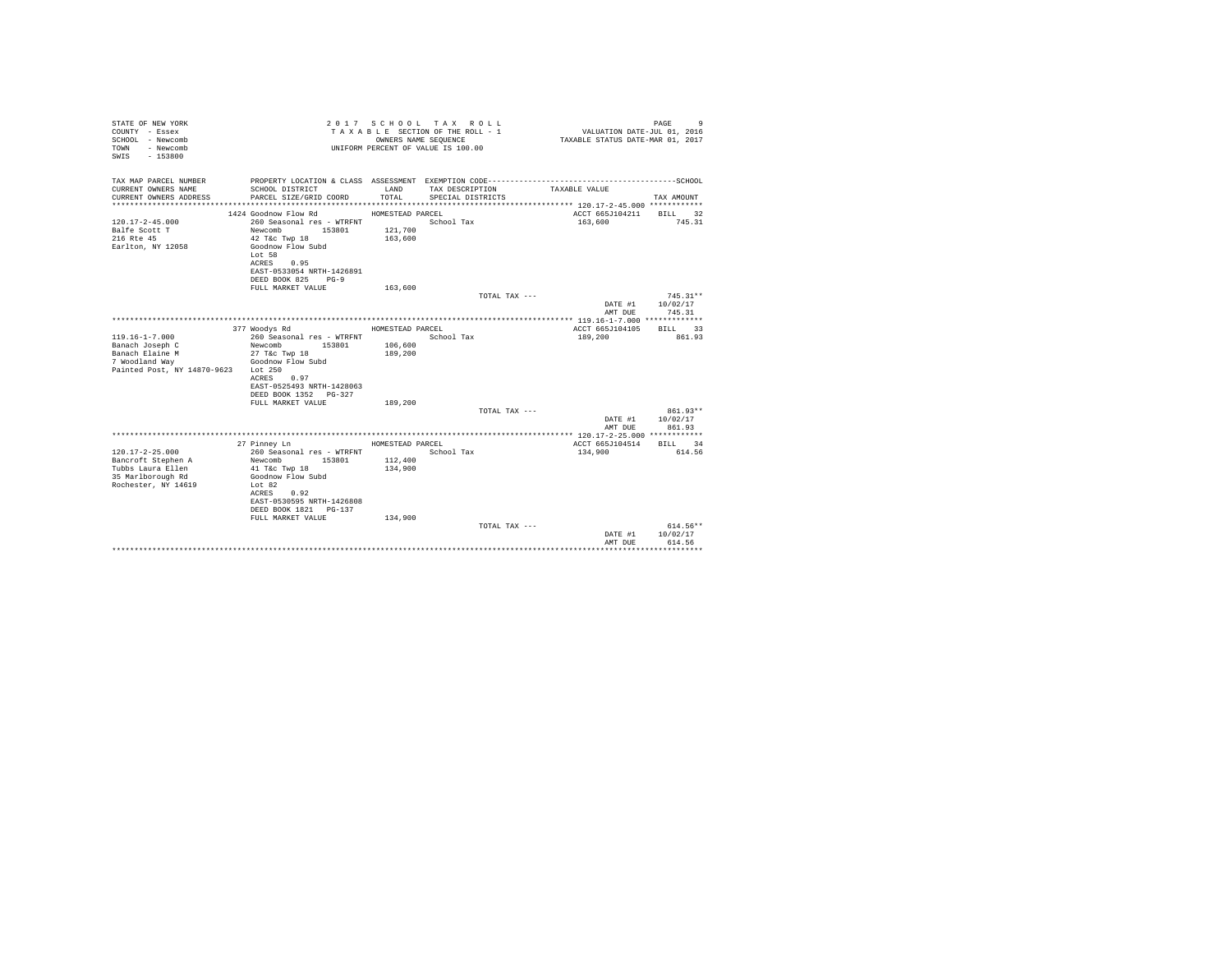| STATE OF NEW YORK<br>COUNTY - Essex<br>SCHOOL - Newcomb<br>- Newcomb<br>TOWN<br>SWIS - 153800<br>TAX MAP PARCEL NUMBER |                                                 |                  | 2017 SCHOOL TAX ROLL<br>TAXABLE SECTION OF THE ROLL - 1<br>OWNERS NAME SEQUENCE<br>UNIFORM PERCENT OF VALUE IS 100.00 | VALUATION DATE-JUL 01, 2016<br>TAXABLE STATUS DATE-MAR 01, 2017 | PAGE<br>-9  |
|------------------------------------------------------------------------------------------------------------------------|-------------------------------------------------|------------------|-----------------------------------------------------------------------------------------------------------------------|-----------------------------------------------------------------|-------------|
| CURRENT OWNERS NAME                                                                                                    | SCHOOL DISTRICT                                 | LAND             | TAX DESCRIPTION                                                                                                       | TAXABLE VALUE                                                   |             |
| CURRENT OWNERS ADDRESS                                                                                                 | PARCEL SIZE/GRID COORD                          | TOTAL.           | SPECIAL DISTRICTS                                                                                                     |                                                                 | TAX AMOUNT  |
|                                                                                                                        |                                                 |                  |                                                                                                                       |                                                                 |             |
|                                                                                                                        | 1424 Goodnow Flow Rd                            | HOMESTEAD PARCEL |                                                                                                                       | ACCT 665J104211 BILL 32                                         |             |
| $120.17 - 2 - 45.000$                                                                                                  | 260 Seasonal res - WTRFNT                       |                  | School Tax                                                                                                            | 163,600                                                         | 745.31      |
| Balfe Scott T                                                                                                          | Newcomb<br>153801                               | 121,700          |                                                                                                                       |                                                                 |             |
| 216 Rte 45                                                                                                             | 42 T&c Twp 18                                   | 163,600          |                                                                                                                       |                                                                 |             |
| Earlton, NY 12058                                                                                                      | Goodnow Flow Subd                               |                  |                                                                                                                       |                                                                 |             |
|                                                                                                                        | Lot 58                                          |                  |                                                                                                                       |                                                                 |             |
|                                                                                                                        | 0.95<br>ACRES                                   |                  |                                                                                                                       |                                                                 |             |
|                                                                                                                        | EAST-0533054 NRTH-1426891<br>DEED BOOK 825 PG-9 |                  |                                                                                                                       |                                                                 |             |
|                                                                                                                        | FULL MARKET VALUE                               | 163,600          |                                                                                                                       |                                                                 |             |
|                                                                                                                        |                                                 |                  | TOTAL TAX ---                                                                                                         |                                                                 | $745.31**$  |
|                                                                                                                        |                                                 |                  |                                                                                                                       | DATE #1                                                         | 10/02/17    |
|                                                                                                                        |                                                 |                  |                                                                                                                       | AMT DUE                                                         | 745.31      |
|                                                                                                                        |                                                 |                  |                                                                                                                       |                                                                 |             |
|                                                                                                                        | 377 Woodys Rd                                   | HOMESTEAD PARCEL |                                                                                                                       | ACCT 665J104105                                                 | BILL 33     |
| $119.16 - 1 - 7.000$                                                                                                   | 260 Seasonal res - WTRFNT                       |                  | School Tax                                                                                                            | 189,200                                                         | 861.93      |
| Banach Joseph C                                                                                                        | Newcomb<br>153801                               | 106,600          |                                                                                                                       |                                                                 |             |
| Banach Elaine M                                                                                                        | 27 T&c Twp 18                                   | 189,200          |                                                                                                                       |                                                                 |             |
| 7 Woodland Way<br>Painted Post, NY 14870-9623 Lot 250                                                                  | Goodnow Flow Subd                               |                  |                                                                                                                       |                                                                 |             |
|                                                                                                                        | ACRES 0.97                                      |                  |                                                                                                                       |                                                                 |             |
|                                                                                                                        | EAST-0525493 NRTH-1428063                       |                  |                                                                                                                       |                                                                 |             |
|                                                                                                                        | DEED BOOK 1352 PG-327                           |                  |                                                                                                                       |                                                                 |             |
|                                                                                                                        | FULL MARKET VALUE                               | 189,200          |                                                                                                                       |                                                                 |             |
|                                                                                                                        |                                                 |                  | TOTAL TAX ---                                                                                                         |                                                                 | 861.93**    |
|                                                                                                                        |                                                 |                  |                                                                                                                       | DATE #1                                                         | 10/02/17    |
|                                                                                                                        |                                                 |                  |                                                                                                                       | AMT DUE                                                         | 861.93      |
|                                                                                                                        |                                                 |                  |                                                                                                                       |                                                                 |             |
| $120.17 - 2 - 25.000$                                                                                                  | 27 Pinney Ln                                    | HOMESTEAD PARCEL |                                                                                                                       | ACCT 665J104514                                                 | BILL 34     |
| Bancroft Stephen A                                                                                                     | 260 Seasonal res - WTRFNT<br>Newcomb<br>153801  | 112,400          | School Tax                                                                                                            | 134,900                                                         | 614.56      |
| Tubbs Laura Ellen                                                                                                      | $41$ T&c Twp $18$                               | 134,900          |                                                                                                                       |                                                                 |             |
| 35 Marlborough Rd                                                                                                      | Goodnow Flow Subd                               |                  |                                                                                                                       |                                                                 |             |
| Rochester, NY 14619                                                                                                    | Lot $82$                                        |                  |                                                                                                                       |                                                                 |             |
|                                                                                                                        | ACRES 0.92                                      |                  |                                                                                                                       |                                                                 |             |
|                                                                                                                        | EAST-0530595 NRTH-1426808                       |                  |                                                                                                                       |                                                                 |             |
|                                                                                                                        | DEED BOOK 1821 PG-137                           |                  |                                                                                                                       |                                                                 |             |
|                                                                                                                        | FULL MARKET VALUE                               | 134,900          |                                                                                                                       |                                                                 |             |
|                                                                                                                        |                                                 |                  | TOTAL TAX ---                                                                                                         |                                                                 | $614.56**$  |
|                                                                                                                        |                                                 |                  |                                                                                                                       | DATE #1                                                         | 10/02/17    |
|                                                                                                                        |                                                 |                  |                                                                                                                       | AMT DUE                                                         | 614.56<br>. |
|                                                                                                                        |                                                 |                  |                                                                                                                       |                                                                 |             |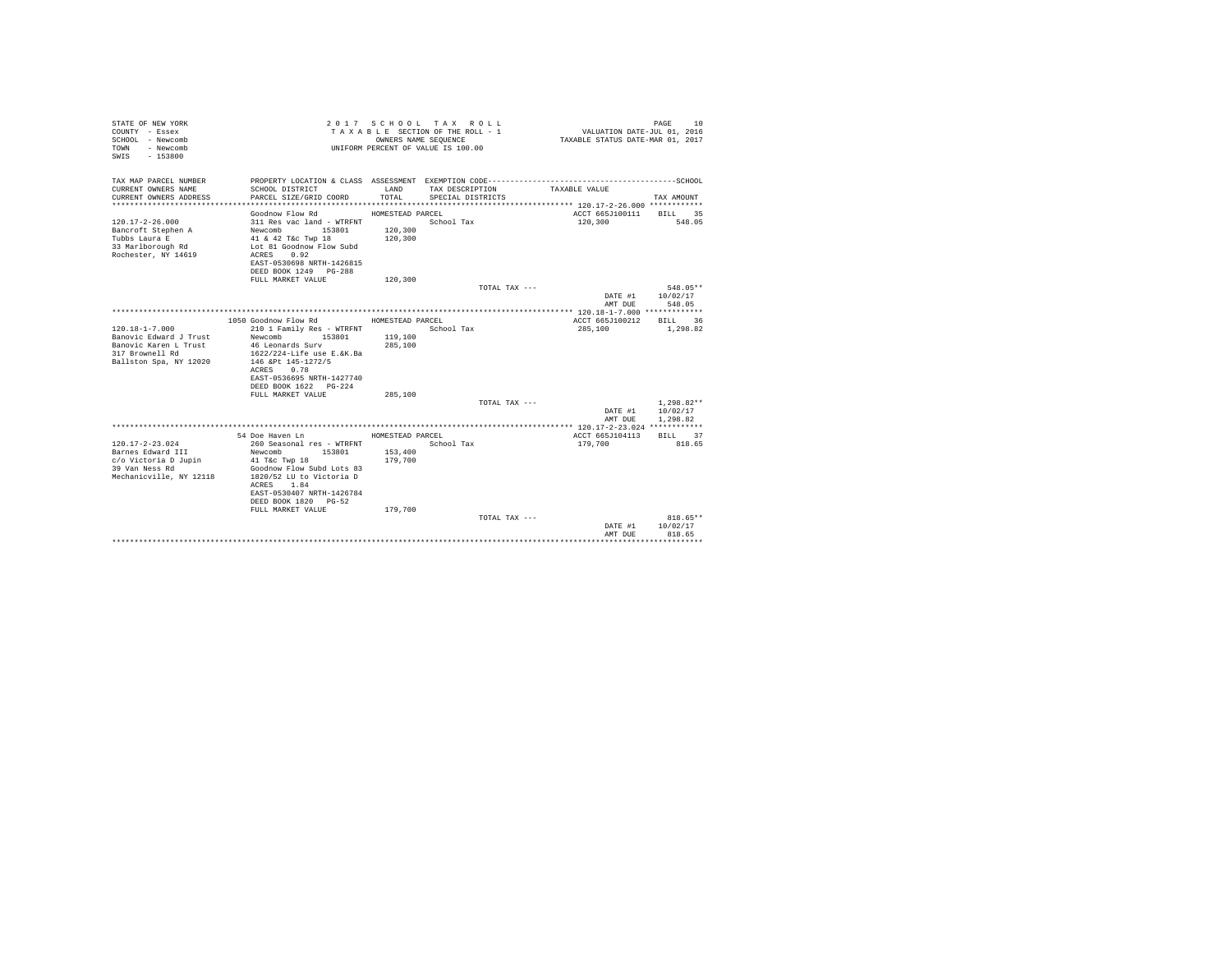| STATE OF NEW YORK<br>COUNTY - Essex<br>SCHOOL - Newcomb<br>- Newcomb<br>TOWN<br>SWIS<br>$-153800$ |                                                       | 2017 SCHOOL TAX ROLL<br>TAXABLE SECTION OF THE ROLL - 1<br>OWNERS NAME SEOUENCE<br>UNIFORM PERCENT OF VALUE IS 100.00 |                   |               | VALUATION DATE-JUL 01, 2016<br>TAXABLE STATUS DATE-MAR 01, 2017 | PAGE<br>10           |
|---------------------------------------------------------------------------------------------------|-------------------------------------------------------|-----------------------------------------------------------------------------------------------------------------------|-------------------|---------------|-----------------------------------------------------------------|----------------------|
| TAX MAP PARCEL NUMBER<br>CURRENT OWNERS NAME                                                      | SCHOOL DISTRICT                                       | LAND<br>TOTAL                                                                                                         | TAX DESCRIPTION   |               | TAXABLE VALUE                                                   |                      |
| CURRENT OWNERS ADDRESS                                                                            | PARCEL SIZE/GRID COORD                                |                                                                                                                       | SPECIAL DISTRICTS |               |                                                                 | TAX AMOUNT           |
|                                                                                                   | Goodnow Flow Rd                                       | HOMESTEAD PARCEL                                                                                                      |                   |               | ACCT 665J100111                                                 | 35<br><b>BILL</b>    |
| $120.17 - 2 - 26.000$                                                                             | 311 Res vac land - WTRFNT                             |                                                                                                                       | School Tax        |               | 120,300                                                         | 548.05               |
| Bancroft Stephen A                                                                                | Newcomb 153801                                        | 120,300                                                                                                               |                   |               |                                                                 |                      |
| Tubbs Laura E                                                                                     | 41 & 42 T&c Twp 18                                    | 120,300                                                                                                               |                   |               |                                                                 |                      |
| 33 Marlborough Rd                                                                                 | Lot 81 Goodnow Flow Subd                              |                                                                                                                       |                   |               |                                                                 |                      |
| Rochester, NY 14619                                                                               | 0.92<br>ACRES                                         |                                                                                                                       |                   |               |                                                                 |                      |
|                                                                                                   | EAST-0530698 NRTH-1426815<br>DEED BOOK 1249 PG-288    |                                                                                                                       |                   |               |                                                                 |                      |
|                                                                                                   | FULL MARKET VALUE                                     | 120,300                                                                                                               |                   |               |                                                                 |                      |
|                                                                                                   |                                                       |                                                                                                                       |                   | TOTAL TAX --- |                                                                 | 548.05**             |
|                                                                                                   |                                                       |                                                                                                                       |                   |               | DATE #1<br>AMT DUE                                              | 10/02/17<br>548.05   |
|                                                                                                   |                                                       |                                                                                                                       |                   |               |                                                                 |                      |
|                                                                                                   | 1050 Goodnow Flow Rd                                  | HOMESTEAD PARCEL                                                                                                      |                   |               | ACCT 665J100212                                                 | BILL 36              |
| $120.18 - 1 - 7.000$                                                                              | 210 1 Family Res - WTRFNT                             |                                                                                                                       | School Tax        |               | 285,100                                                         | 1,298.82             |
| Banovic Edward J Trust<br>Banovic Karen L Trust                                                   | Newcomb<br>153801<br>46 Leonards Surv                 | 119,100                                                                                                               |                   |               |                                                                 |                      |
| 317 Brownell Rd                                                                                   | 1622/224-Life use E.&K.Ba                             | 285,100                                                                                                               |                   |               |                                                                 |                      |
| Ballston Spa, NY 12020                                                                            | 146 &Pt 145-1272/5                                    |                                                                                                                       |                   |               |                                                                 |                      |
|                                                                                                   | ACRES 0.78                                            |                                                                                                                       |                   |               |                                                                 |                      |
|                                                                                                   | EAST-0536695 NRTH-1427740                             |                                                                                                                       |                   |               |                                                                 |                      |
|                                                                                                   | DEED BOOK 1622 PG-224                                 |                                                                                                                       |                   |               |                                                                 |                      |
|                                                                                                   | FULL MARKET VALUE                                     | 285,100                                                                                                               |                   |               |                                                                 |                      |
|                                                                                                   |                                                       |                                                                                                                       |                   | TOTAL TAX --- | DATE #1                                                         | $1.298.82**$         |
|                                                                                                   |                                                       |                                                                                                                       |                   |               | AMT DUE                                                         | 10/02/17<br>1,298.82 |
|                                                                                                   |                                                       |                                                                                                                       |                   |               |                                                                 |                      |
|                                                                                                   | 54 Doe Haven Ln                                       | HOMESTEAD PARCEL                                                                                                      |                   |               | ACCT 665J104113                                                 | <b>BILL</b><br>37    |
| $120.17 - 2 - 23.024$                                                                             | 260 Seasonal res - WTRFNT                             |                                                                                                                       | School Tax        |               | 179,700                                                         | 818.65               |
| Barnes Edward III                                                                                 | Newcomb 153801                                        | 153,400                                                                                                               |                   |               |                                                                 |                      |
| c/o Victoria D Jupin                                                                              | $41$ T&c Twp $18$                                     | 179,700                                                                                                               |                   |               |                                                                 |                      |
| 39 Van Ness Rd<br>Mechanicville, NY 12118                                                         | Goodnow Flow Subd Lots 83<br>1820/52 LU to Victoria D |                                                                                                                       |                   |               |                                                                 |                      |
|                                                                                                   | ACRES 1.84                                            |                                                                                                                       |                   |               |                                                                 |                      |
|                                                                                                   | EAST-0530407 NRTH-1426784                             |                                                                                                                       |                   |               |                                                                 |                      |
|                                                                                                   | DEED BOOK 1820 PG-52                                  |                                                                                                                       |                   |               |                                                                 |                      |
|                                                                                                   | FULL MARKET VALUE                                     | 179,700                                                                                                               |                   |               |                                                                 |                      |
|                                                                                                   |                                                       |                                                                                                                       |                   | TOTAL TAX --- |                                                                 | $818.65**$           |
|                                                                                                   |                                                       |                                                                                                                       |                   |               | DATE #1                                                         | 10/02/17             |
|                                                                                                   |                                                       |                                                                                                                       |                   |               | AMT DUE                                                         | 818.65               |
|                                                                                                   |                                                       |                                                                                                                       |                   |               |                                                                 |                      |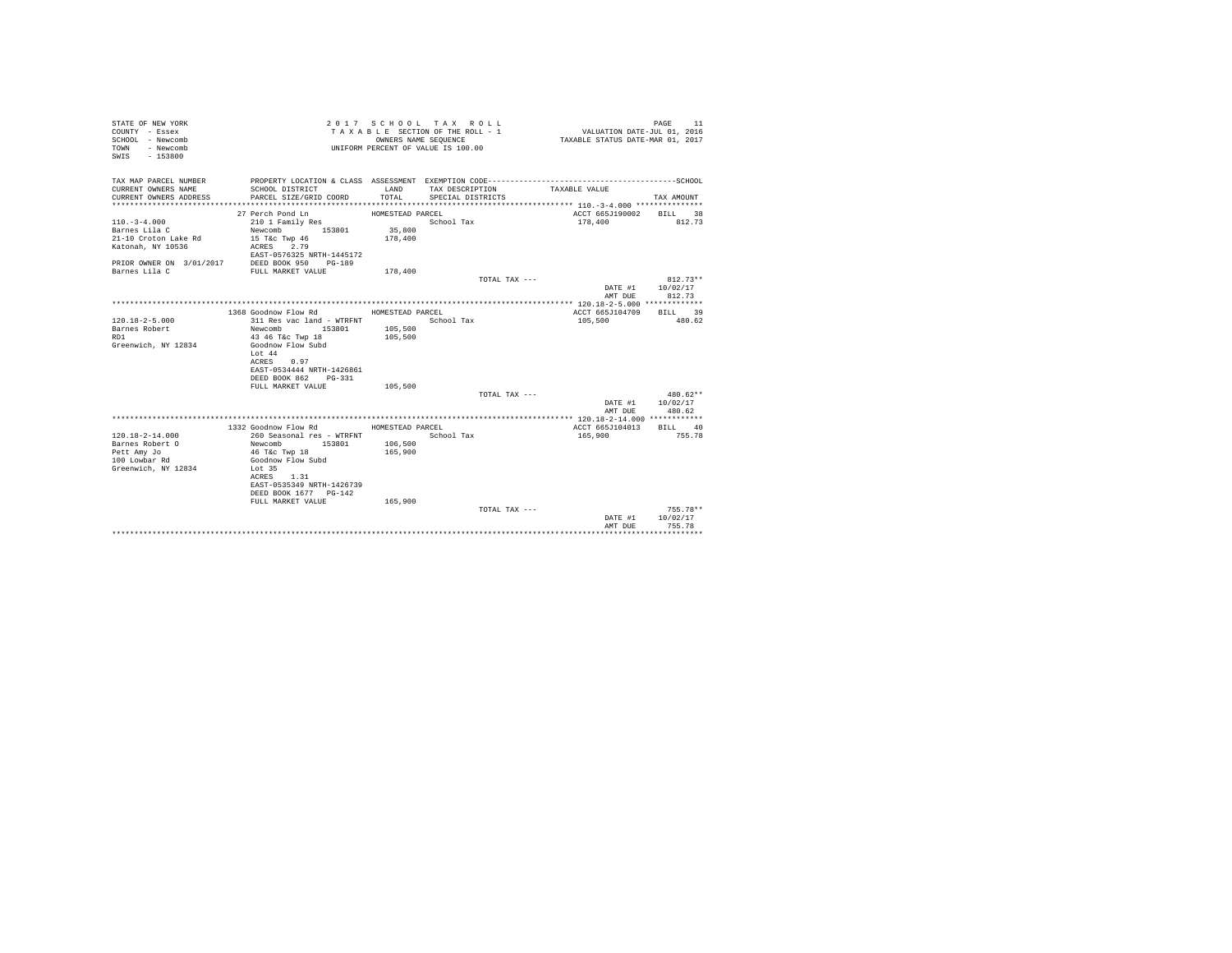| STATE OF NEW YORK<br>COUNTY - Essex<br>SCHOOL - Newcomb<br>- Newcomb<br>TOWN<br>$-153800$<br>SWIS |                                               | OWNERS NAME SEQUENCE | 2017 SCHOOL TAX ROLL<br>TAXABLE SECTION OF THE ROLL - 1<br>UNIFORM PERCENT OF VALUE IS 100.00 | VALUATION DATE-JUL 01, 2016<br>TAXABLE STATUS DATE-MAR 01, 2017 | PAGE<br>11              |
|---------------------------------------------------------------------------------------------------|-----------------------------------------------|----------------------|-----------------------------------------------------------------------------------------------|-----------------------------------------------------------------|-------------------------|
| TAX MAP PARCEL NUMBER<br>CURRENT OWNERS NAME                                                      | SCHOOL DISTRICT                               | LAND                 | TAX DESCRIPTION                                                                               | TAXABLE VALUE                                                   |                         |
| CURRENT OWNERS ADDRESS                                                                            | PARCEL SIZE/GRID COORD                        | TOTAL                | SPECIAL DISTRICTS                                                                             |                                                                 | TAX AMOUNT              |
|                                                                                                   | 27 Perch Pond Ln                              | HOMESTEAD PARCEL     |                                                                                               | ACCT 665J190002                                                 | BILL 38                 |
| $110. - 3 - 4.000$                                                                                | 210 1 Family Res                              |                      | School Tax                                                                                    | 178,400                                                         | 812.73                  |
| Barnes Lila C                                                                                     | Newcomb 153801                                | 35,800               |                                                                                               |                                                                 |                         |
| 21-10 Croton Lake Rd                                                                              | 15 T&c Twp 46                                 | 178,400              |                                                                                               |                                                                 |                         |
| Katonah, NY 10536                                                                                 | 2.79<br>ACRES<br>EAST-0576325 NRTH-1445172    |                      |                                                                                               |                                                                 |                         |
|                                                                                                   | PRIOR OWNER ON 3/01/2017 DEED BOOK 950 PG-189 |                      |                                                                                               |                                                                 |                         |
| Barnes Lila C                                                                                     | FULL MARKET VALUE                             | 178,400              |                                                                                               |                                                                 |                         |
|                                                                                                   |                                               |                      | TOTAL TAX ---                                                                                 |                                                                 | $812.73**$              |
|                                                                                                   |                                               |                      |                                                                                               | DATE #1                                                         | 10/02/17                |
|                                                                                                   |                                               |                      |                                                                                               | AMT DUE                                                         | 812.73                  |
|                                                                                                   |                                               |                      |                                                                                               |                                                                 |                         |
|                                                                                                   | 1368 Goodnow Flow Rd MOMESTEAD PARCEL         |                      |                                                                                               | ACCT 665J104709                                                 | BILL 39                 |
| $120.18 - 2 - 5.000$                                                                              | 311 Res vac land - WTRFNT                     |                      | School Tax                                                                                    | 105,500                                                         | 480.62                  |
| Barnes Robert                                                                                     | Newcomb<br>153801                             | 105,500              |                                                                                               |                                                                 |                         |
| R <sub>D</sub> 1                                                                                  | 43 46 T&c Twp 18                              | 105,500              |                                                                                               |                                                                 |                         |
| Greenwich, NY 12834                                                                               | Goodnow Flow Subd                             |                      |                                                                                               |                                                                 |                         |
|                                                                                                   | Lot 44<br>ACRES<br>0.97                       |                      |                                                                                               |                                                                 |                         |
|                                                                                                   | EAST-0534444 NRTH-1426861                     |                      |                                                                                               |                                                                 |                         |
|                                                                                                   | DEED BOOK 862 PG-331                          |                      |                                                                                               |                                                                 |                         |
|                                                                                                   | FULL MARKET VALUE                             | 105,500              |                                                                                               |                                                                 |                         |
|                                                                                                   |                                               |                      | TOTAL TAX ---                                                                                 |                                                                 | 480.62**                |
|                                                                                                   |                                               |                      |                                                                                               | DATE #1                                                         | 10/02/17                |
|                                                                                                   |                                               |                      |                                                                                               | AMT DUE                                                         | 480.62                  |
|                                                                                                   |                                               |                      |                                                                                               |                                                                 |                         |
|                                                                                                   | 1332 Goodnow Flow Rd                          | HOMESTEAD PARCEL     |                                                                                               | ACCT 665J104013                                                 | BILL 40                 |
| $120.18 - 2 - 14.000$                                                                             | 260 Seasonal res - WTRFNT                     |                      | School Tax                                                                                    | 165,900                                                         | 755.78                  |
| Barnes Robert O                                                                                   | Newcomb 153801                                | 106,500              |                                                                                               |                                                                 |                         |
| Pett Amy Jo                                                                                       | 46 T&c Twp 18                                 | 165,900              |                                                                                               |                                                                 |                         |
| 100 Lowbar Rd                                                                                     | Goodnow Flow Subd                             |                      |                                                                                               |                                                                 |                         |
| Greenwich, NY 12834                                                                               | Lot 35                                        |                      |                                                                                               |                                                                 |                         |
|                                                                                                   | 1.31<br>ACRES                                 |                      |                                                                                               |                                                                 |                         |
|                                                                                                   | EAST-0535349 NRTH-1426739                     |                      |                                                                                               |                                                                 |                         |
|                                                                                                   | DEED BOOK 1677 PG-142                         |                      |                                                                                               |                                                                 |                         |
|                                                                                                   | FULL MARKET VALUE                             | 165,900              |                                                                                               |                                                                 |                         |
|                                                                                                   |                                               |                      | TOTAL TAX ---                                                                                 |                                                                 | $755.78**$              |
|                                                                                                   |                                               |                      |                                                                                               | DATE #1                                                         | 10/02/17                |
|                                                                                                   |                                               |                      |                                                                                               | AMT DUE<br>****************                                     | 755.78<br>************* |
|                                                                                                   |                                               |                      |                                                                                               |                                                                 |                         |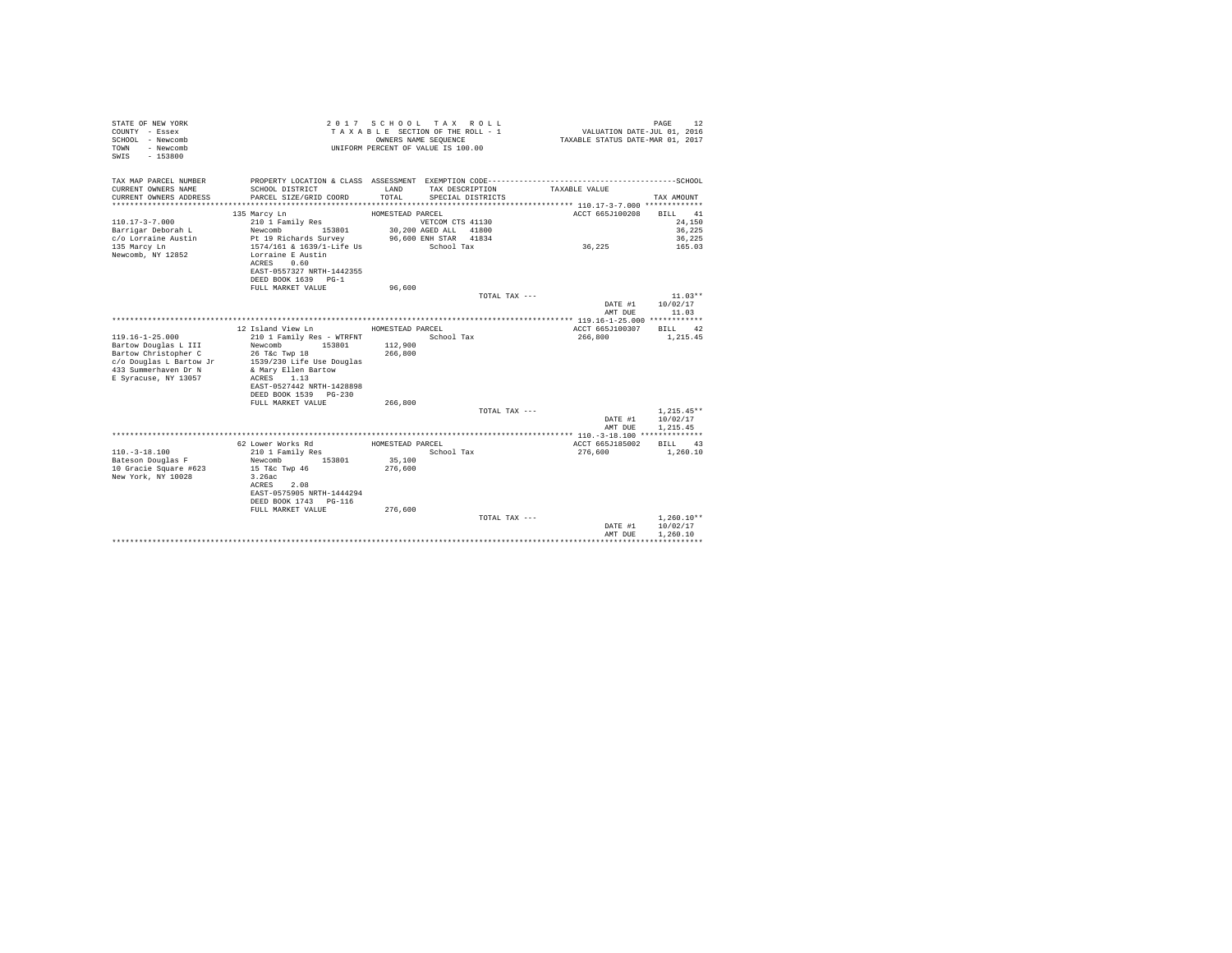| STATE OF NEW YORK<br>COUNTY - Essex<br>SCHOOL - Newcomb<br>- Newcomb<br>TOWN<br>$-153800$<br>SWIS |                                                              | 2017 SCHOOL TAX ROLL<br>TAXABLE SECTION OF THE ROLL - 1<br>UNIFORM PERCENT OF VALUE IS 100.00 | OWNERS NAME SEOUENCE  |                 | VALUATION DATE-JUL 01, 2016<br>TAXABLE STATUS DATE-MAR 01, 2017 | PAGE<br>12           |
|---------------------------------------------------------------------------------------------------|--------------------------------------------------------------|-----------------------------------------------------------------------------------------------|-----------------------|-----------------|-----------------------------------------------------------------|----------------------|
| TAX MAP PARCEL NUMBER                                                                             |                                                              |                                                                                               |                       |                 |                                                                 |                      |
| CURRENT OWNERS NAME<br>CURRENT OWNERS ADDRESS                                                     | SCHOOL DISTRICT<br>PARCEL SIZE/GRID COORD                    | LAND<br>TOTAL                                                                                 | SPECIAL DISTRICTS     | TAX DESCRIPTION | TAXABLE VALUE                                                   | TAX AMOUNT           |
|                                                                                                   |                                                              |                                                                                               |                       |                 |                                                                 |                      |
|                                                                                                   | 135 Marcy Ln                                                 | HOMESTEAD PARCEL                                                                              |                       |                 | ACCT 665J100208                                                 | BILL 41              |
| $110.17 - 3 - 7.000$                                                                              | 210 1 Family Res                                             |                                                                                               | VETCOM CTS 41130      |                 |                                                                 | 24,150               |
| Barrigar Deborah L                                                                                | Newcomb 153801                                               |                                                                                               | 30,200 AGED ALL 41800 |                 |                                                                 | 36,225               |
| c/o Lorraine Austin                                                                               | Pt 19 Richards Survey                                        |                                                                                               | 96,600 ENH STAR 41834 |                 |                                                                 | 36,225               |
| 135 Marcy Ln<br>Newcomb, NY 12852                                                                 | 1574/161 & 1639/1-Life Us<br>Lorraine E Austin<br>ACRES 0.60 |                                                                                               | School Tax            |                 | 36,225                                                          | 165.03               |
|                                                                                                   | EAST-0557327 NRTH-1442355                                    |                                                                                               |                       |                 |                                                                 |                      |
|                                                                                                   | DEED BOOK 1639 PG-1                                          |                                                                                               |                       |                 |                                                                 |                      |
|                                                                                                   | FULL MARKET VALUE                                            | 96,600                                                                                        |                       | TOTAL TAX ---   |                                                                 | $11.03**$            |
|                                                                                                   |                                                              |                                                                                               |                       |                 | DATE #1                                                         | 10/02/17             |
|                                                                                                   |                                                              |                                                                                               |                       |                 | AMT DUE                                                         | 11.03                |
|                                                                                                   |                                                              |                                                                                               |                       |                 |                                                                 |                      |
|                                                                                                   | 12 Island View Ln                                            | HOMESTEAD PARCEL                                                                              |                       |                 | ACCT 665J100307                                                 | BILL 42              |
| $119.16 - 1 - 25.000$                                                                             | 210 1 Family Res - WTRFNT                                    |                                                                                               | School Tax            |                 | 266,800                                                         | 1,215.45             |
| Bartow Douglas L III                                                                              | 153801<br>Newcomb                                            | 112,900                                                                                       |                       |                 |                                                                 |                      |
| Bartow Christopher C<br>c/o Douglas L Bartow Jr                                                   | 26 T&c Twp 18<br>1539/230 Life Use Douglas                   | 266,800                                                                                       |                       |                 |                                                                 |                      |
| 433 Summerhaven Dr N                                                                              | & Mary Ellen Bartow                                          |                                                                                               |                       |                 |                                                                 |                      |
| E Syracuse, NY 13057                                                                              | ACRES 1.13                                                   |                                                                                               |                       |                 |                                                                 |                      |
|                                                                                                   | EAST-0527442 NRTH-1428898                                    |                                                                                               |                       |                 |                                                                 |                      |
|                                                                                                   | DEED BOOK 1539 PG-230                                        |                                                                                               |                       |                 |                                                                 |                      |
|                                                                                                   | FULL MARKET VALUE                                            | 266,800                                                                                       |                       |                 |                                                                 |                      |
|                                                                                                   |                                                              |                                                                                               |                       | TOTAL TAX ---   |                                                                 | $1,215.45**$         |
|                                                                                                   |                                                              |                                                                                               |                       |                 | DATE #1<br>AMT DUE                                              | 10/02/17<br>1.215.45 |
|                                                                                                   |                                                              |                                                                                               |                       |                 |                                                                 |                      |
|                                                                                                   | 62 Lower Works Rd                                            | HOMESTEAD PARCEL                                                                              |                       |                 | ACCT 665J185002                                                 | BILL 43              |
| $110. - 3 - 18.100$                                                                               | 210 1 Family Res                                             |                                                                                               | School Tax            |                 | 276,600                                                         | 1,260.10             |
| Bateson Douglas F                                                                                 | Newcomb<br>153801                                            | 35,100                                                                                        |                       |                 |                                                                 |                      |
| 10 Gracie Square #623                                                                             | 15 T&c Twp 46                                                | 276,600                                                                                       |                       |                 |                                                                 |                      |
| New York, NY 10028                                                                                | 3.26ac<br>ACRES 2.08                                         |                                                                                               |                       |                 |                                                                 |                      |
|                                                                                                   | EAST-0575905 NRTH-1444294                                    |                                                                                               |                       |                 |                                                                 |                      |
|                                                                                                   | DEED BOOK 1743 PG-116                                        |                                                                                               |                       |                 |                                                                 |                      |
|                                                                                                   | FULL MARKET VALUE                                            | 276,600                                                                                       |                       |                 |                                                                 |                      |
|                                                                                                   |                                                              |                                                                                               |                       | TOTAL TAX ---   |                                                                 | $1,260.10**$         |
|                                                                                                   |                                                              |                                                                                               |                       |                 | DATE #1                                                         | 10/02/17             |
|                                                                                                   |                                                              |                                                                                               |                       |                 | AMT DUE                                                         | 1,260.10             |
|                                                                                                   |                                                              |                                                                                               |                       |                 |                                                                 |                      |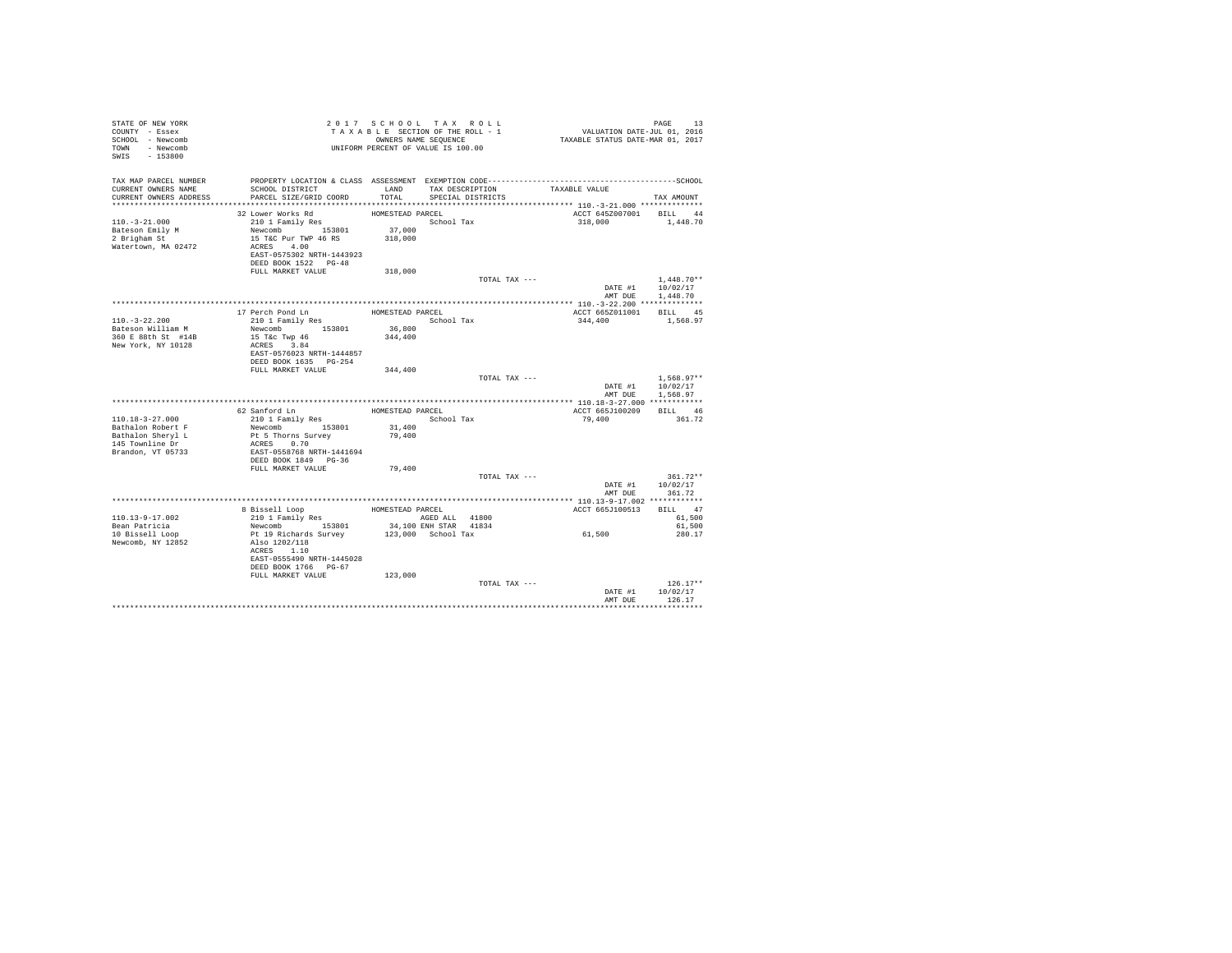| STATE OF NEW YORK<br>COUNTY - Essex<br>SCHOOL - Newcomb<br>TOWN - Newcomb |                                           | 2017 SCHOOL TAX ROLL<br>TAXABLE SECTION OF THE ROLL - 1<br>OWNERS NAME SEQUENCE<br>UNIFORM PERCENT OF VALUE IS 100.00 |            |                       | PAGE 13<br>VALUATION DATE-JUL 01, 2016<br>TAXABLE STATUS DATE-MAR 01, 2017 |                            |
|---------------------------------------------------------------------------|-------------------------------------------|-----------------------------------------------------------------------------------------------------------------------|------------|-----------------------|----------------------------------------------------------------------------|----------------------------|
| SWIS - 153800                                                             |                                           |                                                                                                                       |            |                       |                                                                            |                            |
| TAX MAP PARCEL NUMBER<br>CURRENT OWNERS NAME                              | SCHOOL DISTRICT                           |                                                                                                                       |            | LAND TAX DESCRIPTION  | TAXABLE VALUE                                                              |                            |
| CURRENT OWNERS ADDRESS                                                    | PARCEL SIZE/GRID COORD                    | TOTAL                                                                                                                 |            | SPECIAL DISTRICTS     |                                                                            | TAX AMOUNT                 |
|                                                                           |                                           |                                                                                                                       |            |                       |                                                                            |                            |
|                                                                           | 32 Lower Works Rd<br>210 1 Family Res     | HOMESTEAD PARCEL                                                                                                      |            |                       | ACCT 645Z007001 BILL 44                                                    |                            |
| $110. - 3 - 21.000$<br>Bateson Emily M                                    | Newcomb 153801                            | 37,000                                                                                                                | School Tax |                       | 318,000                                                                    | 1,448.70                   |
| 2 Brigham St                                                              | 15 T&C Pur TWP 46 RS                      | 318,000                                                                                                               |            |                       |                                                                            |                            |
| Watertown, MA 02472                                                       | ACRES 4.00                                |                                                                                                                       |            |                       |                                                                            |                            |
|                                                                           | EAST-0575302 NRTH-1443923                 |                                                                                                                       |            |                       |                                                                            |                            |
|                                                                           | DEED BOOK 1522 PG-48                      |                                                                                                                       |            |                       |                                                                            |                            |
|                                                                           | FULL MARKET VALUE                         | 318,000                                                                                                               |            |                       |                                                                            |                            |
|                                                                           |                                           |                                                                                                                       |            | TOTAL TAX ---         |                                                                            | $1.448.70**$               |
|                                                                           |                                           |                                                                                                                       |            |                       |                                                                            | DATE #1 10/02/17           |
|                                                                           |                                           |                                                                                                                       |            |                       | AMT DUE                                                                    | 1,448.70                   |
|                                                                           |                                           |                                                                                                                       |            |                       |                                                                            |                            |
| $110.-3-22.200$                                                           | 17 Perch Pond Ln<br>210 1 Family Res      | HOMESTEAD PARCEL                                                                                                      | School Tax |                       | ACCT 665Z011001 BILL 45<br>344,400                                         | 1,568.97                   |
| Bateson William M                                                         | Newcomb 153801                            | 36,800                                                                                                                |            |                       |                                                                            |                            |
| 360 E 88th St #14B                                                        | 15 T&C Twp 46                             | 344,400                                                                                                               |            |                       |                                                                            |                            |
| New York, NY 10128                                                        | ACRES 3.84                                |                                                                                                                       |            |                       |                                                                            |                            |
|                                                                           | EAST-0576023 NRTH-1444857                 |                                                                                                                       |            |                       |                                                                            |                            |
|                                                                           | DEED BOOK 1635 PG-254                     |                                                                                                                       |            |                       |                                                                            |                            |
|                                                                           | FULL MARKET VALUE                         | 344,400                                                                                                               |            |                       |                                                                            |                            |
|                                                                           |                                           |                                                                                                                       |            | TOTAL TAX ---         |                                                                            | $1.568.97**$               |
|                                                                           |                                           |                                                                                                                       |            |                       | DATE #1                                                                    | 10/02/17                   |
|                                                                           |                                           |                                                                                                                       |            |                       | AMT DUE                                                                    | 1,568.97                   |
|                                                                           | 62 Sanford Ln                             | HOMESTEAD PARCEL                                                                                                      |            |                       | ACCT 665J100209 BILL 46                                                    |                            |
| $110.18 - 3 - 27.000$                                                     | 210 1 Family Res                          |                                                                                                                       | School Tax |                       | 79,400                                                                     | 361.72                     |
| Bathalon Robert F                                                         | Newcomb 153801                            | 31,400                                                                                                                |            |                       |                                                                            |                            |
| Bathalon Sheryl L                                                         | Pt 5 Thorns Survey                        | 79,400                                                                                                                |            |                       |                                                                            |                            |
| 145 Townline Dr                                                           | ACRES 0.70                                |                                                                                                                       |            |                       |                                                                            |                            |
| Brandon, VT 05733                                                         | EAST-0558768 NRTH-1441694                 |                                                                                                                       |            |                       |                                                                            |                            |
|                                                                           | DEED BOOK 1849 PG-36                      |                                                                                                                       |            |                       |                                                                            |                            |
|                                                                           | FULL MARKET VALUE                         | 79,400                                                                                                                |            |                       |                                                                            |                            |
|                                                                           |                                           |                                                                                                                       |            | TOTAL TAX ---         |                                                                            | $361.72**$                 |
|                                                                           |                                           |                                                                                                                       |            |                       | AMT DUE                                                                    | DATE #1 10/02/17<br>361.72 |
|                                                                           |                                           |                                                                                                                       |            |                       |                                                                            |                            |
|                                                                           | 8 Bissell Loop                            | HOMESTEAD PARCEL                                                                                                      |            |                       | ACCT 665J100513                                                            | BILL 47                    |
| 110.13-9-17.002                                                           | $210$ 1 Family Res                        | AGED ALL 41800                                                                                                        |            |                       |                                                                            | 61,500                     |
| Bean Patricia                                                             | Newcomb 153801                            |                                                                                                                       |            | 34,100 ENH STAR 41834 |                                                                            | 61,500                     |
| 10 Bissell Loop                                                           | Pt 19 Richards Survey                     |                                                                                                                       |            | 123,000 School Tax    | 61,500                                                                     | 280.17                     |
| Newcomb, NY 12852                                                         | Also 1202/118                             |                                                                                                                       |            |                       |                                                                            |                            |
|                                                                           | ACRES 1.10                                |                                                                                                                       |            |                       |                                                                            |                            |
|                                                                           | EAST-0555490 NRTH-1445028                 |                                                                                                                       |            |                       |                                                                            |                            |
|                                                                           | DEED BOOK 1766 PG-67<br>FULL MARKET VALUE | 123,000                                                                                                               |            |                       |                                                                            |                            |
|                                                                           |                                           |                                                                                                                       |            | TOTAL TAX ---         |                                                                            | $126.17**$                 |
|                                                                           |                                           |                                                                                                                       |            |                       | DATE #1                                                                    | 10/02/17                   |
|                                                                           |                                           |                                                                                                                       |            |                       | AMT DUE                                                                    | 126.17                     |
|                                                                           |                                           |                                                                                                                       |            |                       |                                                                            |                            |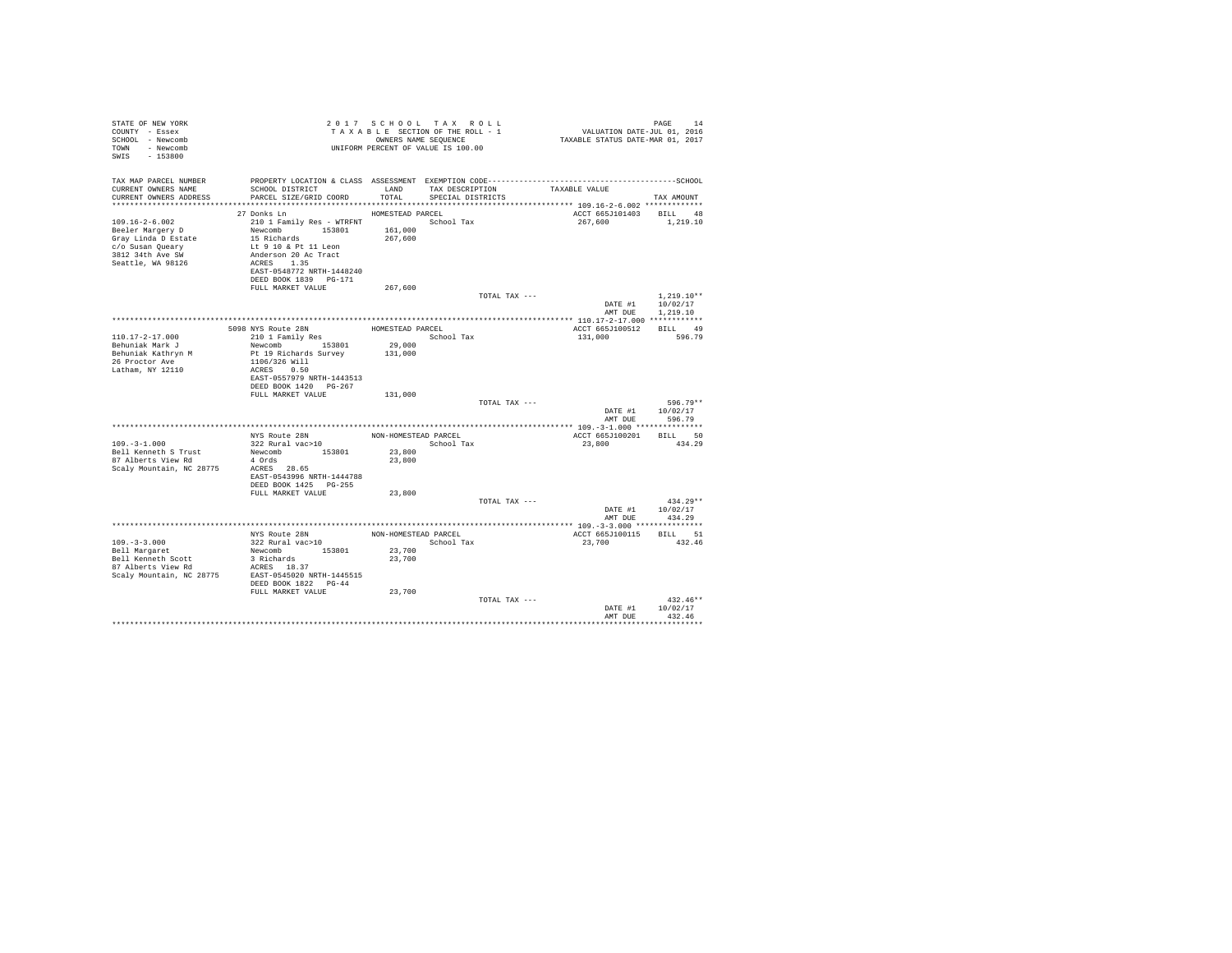| STATE OF NEW YORK<br>COUNTY - Essex<br>SCHOOL - Newcomb<br>TOWN - Newcomb<br>SWIS - 153800                                   |                                                                                                                                                                                                       | UNIFORM PERCENT OF VALUE IS 100.00       |                                      |               | $\begin{array}{cccccccc} 2&0&1&7&8&\texttt{C} &\texttt{H} &0&\texttt{L} &\texttt{L} &\texttt{L} &\texttt{L} &\texttt{L} &\texttt{L} &\texttt{L} &\texttt{L} &\texttt{L} &\texttt{L} &\texttt{L} &\texttt{L} &\texttt{L} &\texttt{L} &\texttt{L} &\texttt{L} &\texttt{L} &\texttt{L} &\texttt{L} &\texttt{L} &\texttt{L} &\texttt{L} &\texttt{L} &\texttt{L} &\texttt{L} &\texttt{L} &\texttt$ |                                          |  |
|------------------------------------------------------------------------------------------------------------------------------|-------------------------------------------------------------------------------------------------------------------------------------------------------------------------------------------------------|------------------------------------------|--------------------------------------|---------------|-----------------------------------------------------------------------------------------------------------------------------------------------------------------------------------------------------------------------------------------------------------------------------------------------------------------------------------------------------------------------------------------------|------------------------------------------|--|
| TAX MAP PARCEL NUMBER<br>CURRENT OWNERS NAME<br>CURRENT OWNERS ADDRESS                                                       | SCHOOL DISTRICT<br>PARCEL SIZE/GRID COORD                                                                                                                                                             | LAND<br>TOTAL                            | TAX DESCRIPTION<br>SPECIAL DISTRICTS |               | TAXABLE VALUE                                                                                                                                                                                                                                                                                                                                                                                 | TAX AMOUNT                               |  |
|                                                                                                                              | HOMESTEAD PARCEL                                                                                                                                                                                      |                                          |                                      |               |                                                                                                                                                                                                                                                                                                                                                                                               |                                          |  |
| $109.16 - 2 - 6.002$<br>Beeler Margery D<br>Gray Linda D Estate<br>c/o Susan Queary<br>3812 34th Ave SW<br>Seattle, WA 98126 | 27 Donks Ln<br>210 1 Family Res - WTRFNT<br>Newcomb 153801 161,000<br>15 Richards<br>Lt 9 10 & Pt 11 Leon<br>Anderson 20 Ac Tract<br>ACRES 1.35<br>EAST-0548772 NRTH-1448240<br>DEED BOOK 1839 PG-171 | 267,600                                  | School Tax                           |               | ACCT 665J101403 BILL 48<br>267,600                                                                                                                                                                                                                                                                                                                                                            | 1,219.10                                 |  |
|                                                                                                                              | FULL MARKET VALUE                                                                                                                                                                                     | 267,600                                  |                                      | TOTAL TAX --- |                                                                                                                                                                                                                                                                                                                                                                                               | $1.219.10**$<br>DATE #1 10/02/17         |  |
|                                                                                                                              |                                                                                                                                                                                                       |                                          |                                      |               |                                                                                                                                                                                                                                                                                                                                                                                               | AMT DUE 1,219.10                         |  |
|                                                                                                                              | 5098 NYS Route 28N                                                                                                                                                                                    | HOMESTEAD PARCEL                         |                                      |               | ACCT 665J100512 BILL 49                                                                                                                                                                                                                                                                                                                                                                       |                                          |  |
| $110.17 - 2 - 17.000$<br>Behuniak Mark J<br>Behuniak Kathryn M<br>26 Proctor Ave<br>Latham, NY 12110                         | 210 1 Family Res<br>Newcomb 153801<br>Pt 19 Richards Survey 131,000<br>1106/326 Will<br>ACRES 0.50<br>EAST-0557979 NRTH-1443513                                                                       | School Tax<br>29,000                     |                                      |               | 131,000                                                                                                                                                                                                                                                                                                                                                                                       | 596.79                                   |  |
|                                                                                                                              | DEED BOOK 1420 PG-267                                                                                                                                                                                 |                                          |                                      |               |                                                                                                                                                                                                                                                                                                                                                                                               |                                          |  |
|                                                                                                                              | FULL MARKET VALUE                                                                                                                                                                                     | 131,000                                  |                                      | TOTAL TAX --- | AMT DUE                                                                                                                                                                                                                                                                                                                                                                                       | 596.79**<br>DATE #1 10/02/17<br>596.79   |  |
|                                                                                                                              |                                                                                                                                                                                                       |                                          |                                      |               |                                                                                                                                                                                                                                                                                                                                                                                               |                                          |  |
| $109. - 3 - 1.000$<br>Bell Kenneth S Trust<br>87 Alberts View Rd<br>Scaly Mountain, NC 28775                                 | NYS Route 28N MON-HOMESTEAD PARCEL<br>322 Rural vac>10 School T<br>Newcomb 153801<br>4 Ords<br>ACRES 28.65<br>EAST-0543996 NRTH-1444788<br>DEED BOOK 1425 PG-255                                      | 23,800<br>23,800                         | School Tax                           |               | ACCT 665J100201 BILL 50<br>23,800                                                                                                                                                                                                                                                                                                                                                             | 434.29                                   |  |
|                                                                                                                              | FULL MARKET VALUE                                                                                                                                                                                     | 23,800                                   |                                      | TOTAL TAX --- | AMT DUE                                                                                                                                                                                                                                                                                                                                                                                       | $434.29**$<br>DATE #1 10/02/17<br>434.29 |  |
|                                                                                                                              |                                                                                                                                                                                                       |                                          |                                      |               |                                                                                                                                                                                                                                                                                                                                                                                               |                                          |  |
| $109. - 3 - 3.000$<br>Bell Margaret<br>Scaly Mountain, NC 28775 EAST-0545020 NRTH-1445515                                    | NYS Route 28N<br>322 Rural vac>10<br>Newcomb 153801<br>3 Richards<br>DEED BOOK 1822 PG-44                                                                                                             | NON-HOMESTEAD PARCEL<br>23,700<br>23,700 | School Tax                           |               | ACCT 665J100115 BILL 51<br>23,700                                                                                                                                                                                                                                                                                                                                                             | 432.46                                   |  |
|                                                                                                                              | FULL MARKET VALUE                                                                                                                                                                                     | 23,700                                   |                                      | TOTAL TAX --- | AMT DUE                                                                                                                                                                                                                                                                                                                                                                                       | $432.46**$<br>DATE #1 10/02/17<br>432.46 |  |
|                                                                                                                              |                                                                                                                                                                                                       |                                          |                                      |               |                                                                                                                                                                                                                                                                                                                                                                                               |                                          |  |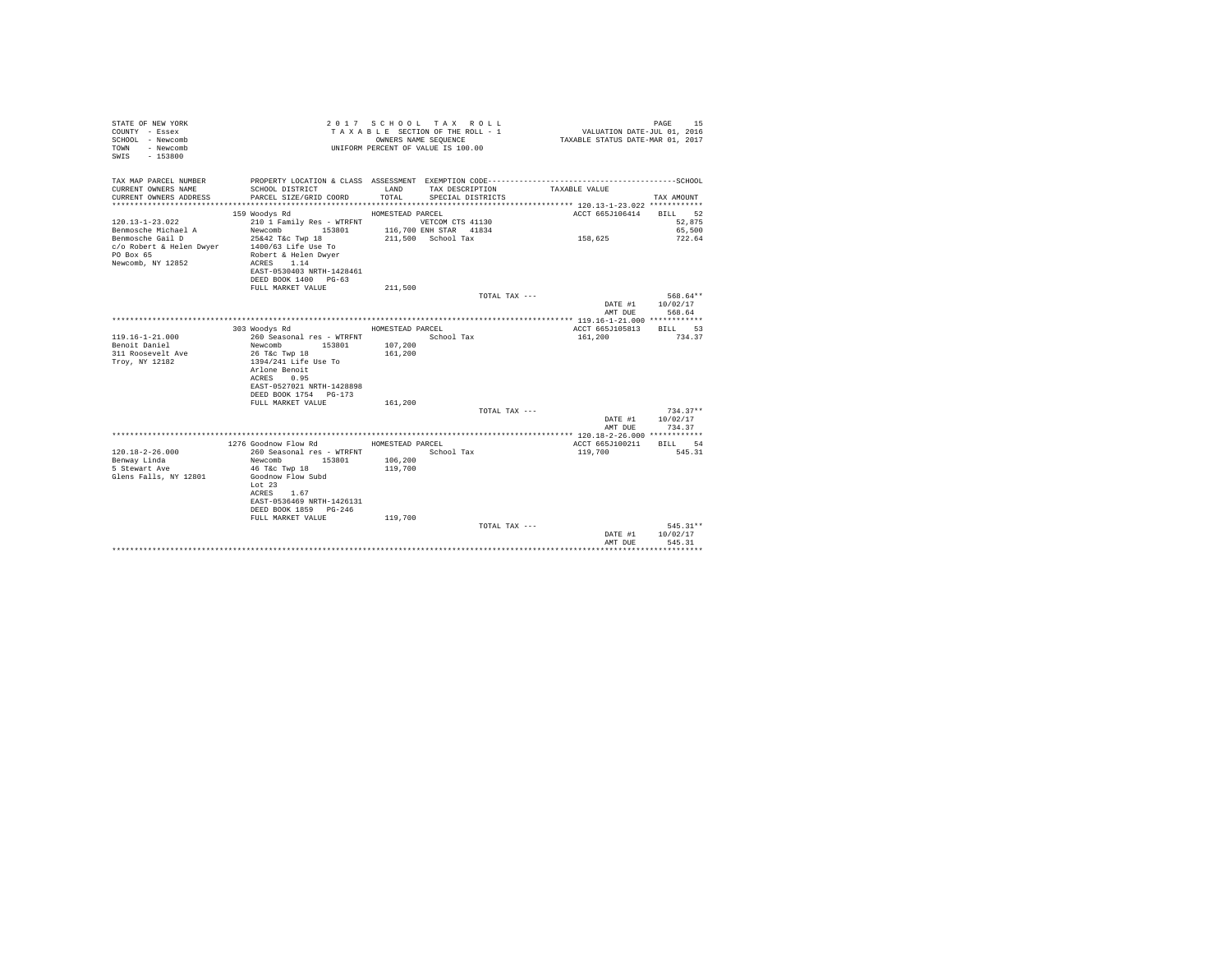| STATE OF NEW YORK<br>COUNTY - Essex<br>SCHOOL - Newcomb<br>- Newcomb<br>TOWN<br>$-153800$<br>SWTS |                                             |                    | 2017 SCHOOL TAX ROLL<br>TAXABLE SECTION OF THE ROLL - 1<br>OWNERS NAME SEQUENCE<br>UNIFORM PERCENT OF VALUE IS 100.00 | VALUATION DATE-JUL 01, 2016<br>TAXABLE STATUS DATE-MAR 01, 2017 | 15<br>PAGE             |
|---------------------------------------------------------------------------------------------------|---------------------------------------------|--------------------|-----------------------------------------------------------------------------------------------------------------------|-----------------------------------------------------------------|------------------------|
| TAX MAP PARCEL NUMBER                                                                             |                                             |                    |                                                                                                                       |                                                                 |                        |
| CURRENT OWNERS NAME<br>CURRENT OWNERS ADDRESS                                                     | SCHOOL DISTRICT<br>PARCEL SIZE/GRID COORD   | LAND<br>TOTAL.     | TAX DESCRIPTION<br>SPECIAL DISTRICTS                                                                                  | TAXABLE VALUE                                                   | TAX AMOUNT             |
|                                                                                                   |                                             |                    |                                                                                                                       |                                                                 |                        |
|                                                                                                   | 159 Woodys Rd                               | HOMESTEAD PARCEL   |                                                                                                                       | ACCT 665J106414                                                 | BILL 52                |
| $120.13 - 1 - 23.022$                                                                             | 210 1 Family Res - WTRFNT                   |                    | VETCOM CTS 41130                                                                                                      |                                                                 | 52,875                 |
| Benmosche Michael A                                                                               | 153801<br>Newcomb                           |                    | 116,700 ENH STAR 41834                                                                                                |                                                                 | 65,500                 |
| Benmosche Gail D                                                                                  | 25&42 T&c Twp 18                            |                    | 211,500 School Tax                                                                                                    | 158,625                                                         | 722.64                 |
| c/o Robert & Helen Dwyer<br>PO Box 65                                                             | 1400/63 Life Use To<br>Robert & Helen Dwyer |                    |                                                                                                                       |                                                                 |                        |
| Newcomb, NY 12852                                                                                 | ACRES 1.14                                  |                    |                                                                                                                       |                                                                 |                        |
|                                                                                                   | EAST-0530403 NRTH-1428461                   |                    |                                                                                                                       |                                                                 |                        |
|                                                                                                   | DEED BOOK 1400 PG-63                        |                    |                                                                                                                       |                                                                 |                        |
|                                                                                                   | FULL MARKET VALUE                           | 211,500            |                                                                                                                       |                                                                 |                        |
|                                                                                                   |                                             |                    | TOTAL TAX ---                                                                                                         |                                                                 | 568.64**               |
|                                                                                                   |                                             |                    |                                                                                                                       | DATE #1                                                         | 10/02/17               |
|                                                                                                   |                                             |                    |                                                                                                                       | AMT DUE                                                         | 568.64                 |
|                                                                                                   |                                             |                    |                                                                                                                       |                                                                 |                        |
|                                                                                                   | 303 Woodys Rd                               | HOMESTEAD PARCEL   |                                                                                                                       | ACCT 665J105813                                                 | BTLL 53                |
| $119.16 - 1 - 21.000$                                                                             | 260 Seasonal res - WTRFNT                   |                    | School Tax                                                                                                            | 161,200                                                         | 734.37                 |
| Benoit Daniel<br>311 Roosevelt Ave                                                                | Newcomb 153801                              | 107,200<br>161,200 |                                                                                                                       |                                                                 |                        |
| Troy, NY 12182                                                                                    | 26 T&c Twp 18<br>1394/241 Life Use To       |                    |                                                                                                                       |                                                                 |                        |
|                                                                                                   | Arlone Benoit                               |                    |                                                                                                                       |                                                                 |                        |
|                                                                                                   | ACRES 0.95                                  |                    |                                                                                                                       |                                                                 |                        |
|                                                                                                   | EAST-0527021 NRTH-1428898                   |                    |                                                                                                                       |                                                                 |                        |
|                                                                                                   | DEED BOOK 1754 PG-173                       |                    |                                                                                                                       |                                                                 |                        |
|                                                                                                   | FULL MARKET VALUE                           | 161,200            |                                                                                                                       |                                                                 |                        |
|                                                                                                   |                                             |                    | TOTAL TAX ---                                                                                                         |                                                                 | $734.37**$             |
|                                                                                                   |                                             |                    |                                                                                                                       | DATE #1                                                         | 10/02/17               |
|                                                                                                   |                                             |                    |                                                                                                                       | AMT DUE                                                         | 734.37                 |
|                                                                                                   | 1276 Goodnow Flow Rd MOMESTEAD PARCEL       |                    |                                                                                                                       | ACCT 665J100211                                                 | BILL 54                |
| $120.18 - 2 - 26.000$                                                                             | 260 Seasonal res - WTRFNT                   |                    | School Tax                                                                                                            | 119,700                                                         | 545.31                 |
| Benway Linda                                                                                      | Newcomb 153801                              | 106,200            |                                                                                                                       |                                                                 |                        |
| 5 Stewart Ave                                                                                     | 46 T&c Twp 18                               | 119,700            |                                                                                                                       |                                                                 |                        |
| Glens Falls, NY 12801                                                                             | Goodnow Flow Subd                           |                    |                                                                                                                       |                                                                 |                        |
|                                                                                                   | Lot $23$                                    |                    |                                                                                                                       |                                                                 |                        |
|                                                                                                   | ACRES 1.67                                  |                    |                                                                                                                       |                                                                 |                        |
|                                                                                                   | EAST-0536469 NRTH-1426131                   |                    |                                                                                                                       |                                                                 |                        |
|                                                                                                   | DEED BOOK 1859 PG-246                       |                    |                                                                                                                       |                                                                 |                        |
|                                                                                                   | FULL MARKET VALUE                           | 119,700            |                                                                                                                       |                                                                 |                        |
|                                                                                                   |                                             |                    | TOTAL TAX ---                                                                                                         | DATE #1                                                         | $545.31**$<br>10/02/17 |
|                                                                                                   |                                             |                    |                                                                                                                       | AMT DUE                                                         | 545.31                 |
|                                                                                                   |                                             |                    |                                                                                                                       |                                                                 |                        |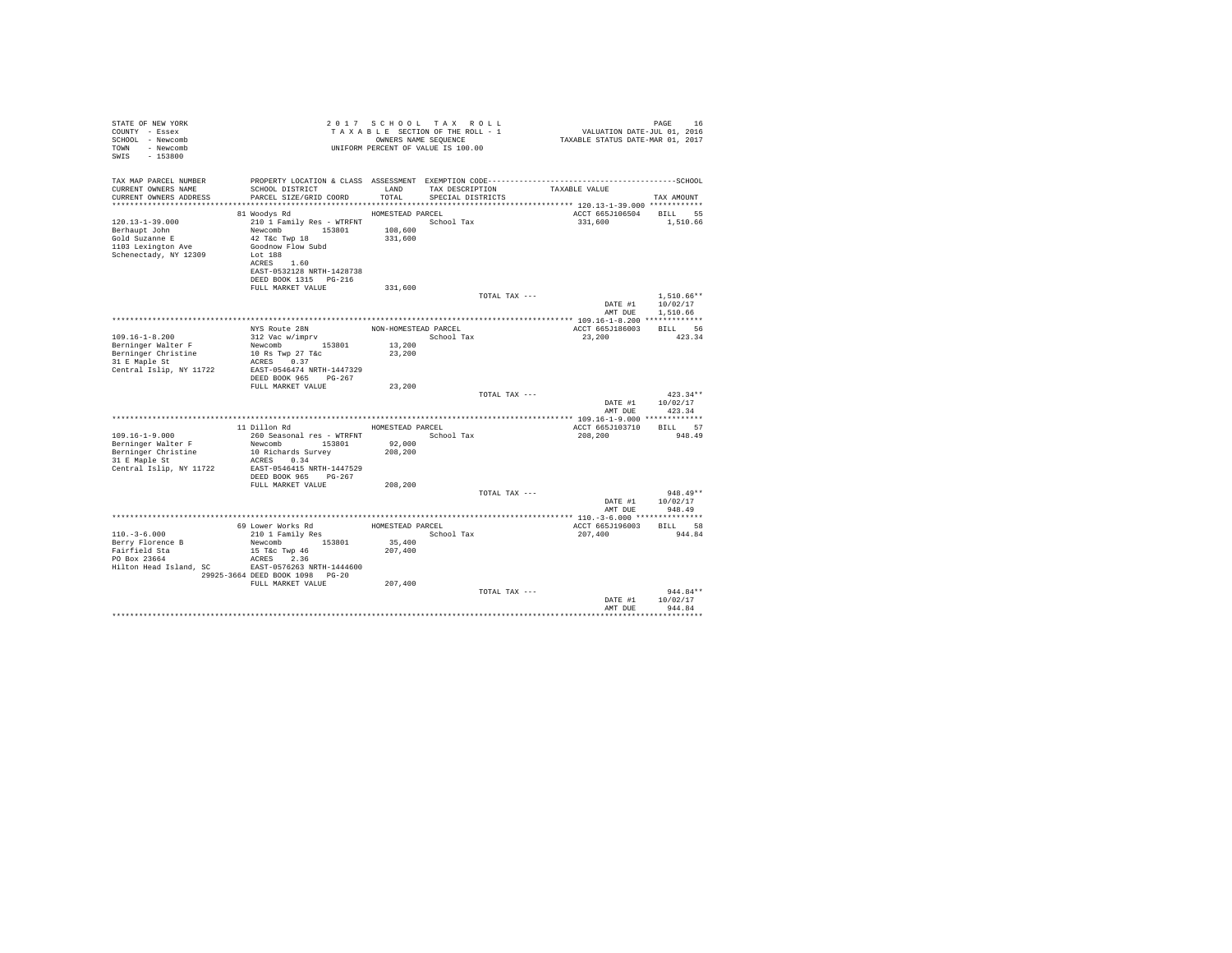| STATE OF NEW YORK<br>COUNTY - Essex<br>SCHOOL - Newcomb<br>TOWN - Newcomb<br>SWIS - 153800              |                                                                                                                                                 |                      | 2017 SCHOOL TAX ROLL<br>UNIFORM PERCENT OF VALUE IS 100.00 | $\begin{array}{cccccccc} 2&0&1&7&8&\texttt{C} \texttt{ H} \texttt{O} \texttt{O} \texttt{L} & \texttt{A} \texttt{A} & \texttt{B} \texttt{O} \texttt{L} & \texttt{A} \texttt{A} & \texttt{B} \texttt{A} & \texttt{B} \texttt{A} & \texttt{B} \texttt{A} & \texttt{B} \texttt{A} & \texttt{B} \texttt{A} & \texttt{B} \texttt{A} & \texttt{B} \texttt{A} & \texttt{B} \texttt{A} & \texttt{B} \texttt{A} & \texttt{B} \text$ | PAGE             |  |
|---------------------------------------------------------------------------------------------------------|-------------------------------------------------------------------------------------------------------------------------------------------------|----------------------|------------------------------------------------------------|---------------------------------------------------------------------------------------------------------------------------------------------------------------------------------------------------------------------------------------------------------------------------------------------------------------------------------------------------------------------------------------------------------------------------|------------------|--|
| TAX MAP PARCEL NUMBER<br>CURRENT OWNERS NAME<br>CURRENT OWNERS ADDRESS                                  | SCHOOL DISTRICT LAND<br>PARCEL SIZE/GRID COORD                                                                                                  | TOTAL                | TAX DESCRIPTION TAXABLE VALUE<br>SPECIAL DISTRICTS         |                                                                                                                                                                                                                                                                                                                                                                                                                           | TAX AMOUNT       |  |
|                                                                                                         |                                                                                                                                                 |                      |                                                            |                                                                                                                                                                                                                                                                                                                                                                                                                           |                  |  |
|                                                                                                         | HOMESTEAD PARCEL<br>81 Woodys Rd                                                                                                                |                      |                                                            | ACCT 665J106504 BILL 55                                                                                                                                                                                                                                                                                                                                                                                                   |                  |  |
| $120.13 - 1 - 39.000$<br>Berhaupt John<br>Gold Suzanne E<br>1103 Lexington Ave<br>Schenectady, NY 12309 | 210 1 Family Res - WTRFNT<br>Newcomb 153801 108,600<br>42 T&C Twp 18<br>Goodnow Flow Subd<br>Lot 188<br>ACRES 1.60<br>EAST-0532128 NRTH-1428738 | 331,600              | School Tax                                                 | 331,600 1,510.66                                                                                                                                                                                                                                                                                                                                                                                                          |                  |  |
|                                                                                                         | DEED BOOK 1315 PG-216                                                                                                                           |                      |                                                            |                                                                                                                                                                                                                                                                                                                                                                                                                           |                  |  |
|                                                                                                         | FULL MARKET VALUE                                                                                                                               | 331,600              |                                                            |                                                                                                                                                                                                                                                                                                                                                                                                                           |                  |  |
|                                                                                                         |                                                                                                                                                 |                      | TOTAL TAX ---                                              |                                                                                                                                                                                                                                                                                                                                                                                                                           | $1.510.66**$     |  |
|                                                                                                         |                                                                                                                                                 |                      |                                                            |                                                                                                                                                                                                                                                                                                                                                                                                                           | DATE #1 10/02/17 |  |
|                                                                                                         |                                                                                                                                                 |                      |                                                            |                                                                                                                                                                                                                                                                                                                                                                                                                           | AMT DUE 1,510.66 |  |
|                                                                                                         |                                                                                                                                                 |                      |                                                            |                                                                                                                                                                                                                                                                                                                                                                                                                           |                  |  |
|                                                                                                         | NYS Route 28N<br>312 Vac w/imprv                                                                                                                | NON-HOMESTEAD PARCEL |                                                            | ACCT 665J186003 BILL 56                                                                                                                                                                                                                                                                                                                                                                                                   |                  |  |
| $109.16 - 1 - 8.200$                                                                                    | Newcomb 153801 13,200                                                                                                                           |                      | School Tax                                                 | 23,200                                                                                                                                                                                                                                                                                                                                                                                                                    | 423.34           |  |
| Berninger Walter F                                                                                      | 10 Rs Twp 27 T&c                                                                                                                                | 23,200               |                                                            |                                                                                                                                                                                                                                                                                                                                                                                                                           |                  |  |
| Berninger Christine<br>31 E Maple St                                                                    | ACRES 0.37                                                                                                                                      |                      |                                                            |                                                                                                                                                                                                                                                                                                                                                                                                                           |                  |  |
|                                                                                                         |                                                                                                                                                 |                      |                                                            |                                                                                                                                                                                                                                                                                                                                                                                                                           |                  |  |
| Central Islip, NY 11722 EAST-0546474 NRTH-1447329                                                       |                                                                                                                                                 |                      |                                                            |                                                                                                                                                                                                                                                                                                                                                                                                                           |                  |  |
|                                                                                                         | DEED BOOK 965 PG-267                                                                                                                            | 23,200               |                                                            |                                                                                                                                                                                                                                                                                                                                                                                                                           |                  |  |
|                                                                                                         | FULL MARKET VALUE                                                                                                                               |                      | TOTAL TAX ---                                              |                                                                                                                                                                                                                                                                                                                                                                                                                           | $423.34**$       |  |
|                                                                                                         |                                                                                                                                                 |                      |                                                            |                                                                                                                                                                                                                                                                                                                                                                                                                           | DATE #1 10/02/17 |  |
|                                                                                                         |                                                                                                                                                 |                      |                                                            | AMT DUE                                                                                                                                                                                                                                                                                                                                                                                                                   | 423.34           |  |
|                                                                                                         |                                                                                                                                                 |                      |                                                            |                                                                                                                                                                                                                                                                                                                                                                                                                           |                  |  |
|                                                                                                         | 11 Dillon Rd                                                                                                                                    |                      | HOMESTEAD PARCEL                                           | ACCT 665J103710 BILL 57                                                                                                                                                                                                                                                                                                                                                                                                   |                  |  |
| $109.16 - 1 - 9.000$                                                                                    | 260 Seasonal res - WTRFNT               School Tax                                                                                              |                      |                                                            | 208,200                                                                                                                                                                                                                                                                                                                                                                                                                   | 948.49           |  |
|                                                                                                         |                                                                                                                                                 |                      |                                                            |                                                                                                                                                                                                                                                                                                                                                                                                                           |                  |  |
| Berninger Walter F<br>Berninger Christine<br>31 E Maple St                                              | Newcomb 153801 92,000<br>10 Richards Survey 208,200<br>10 Richards Survey                                                                       |                      |                                                            |                                                                                                                                                                                                                                                                                                                                                                                                                           |                  |  |
|                                                                                                         | ACRES 0.34                                                                                                                                      |                      |                                                            |                                                                                                                                                                                                                                                                                                                                                                                                                           |                  |  |
| Central Islip, NY 11722                                                                                 | EAST-0546415 NRTH-1447529                                                                                                                       |                      |                                                            |                                                                                                                                                                                                                                                                                                                                                                                                                           |                  |  |
|                                                                                                         | DEED BOOK 965 PG-267                                                                                                                            |                      |                                                            |                                                                                                                                                                                                                                                                                                                                                                                                                           |                  |  |
|                                                                                                         | FULL MARKET VALUE                                                                                                                               | 208,200              |                                                            |                                                                                                                                                                                                                                                                                                                                                                                                                           |                  |  |
|                                                                                                         |                                                                                                                                                 |                      | TOTAL TAX ---                                              |                                                                                                                                                                                                                                                                                                                                                                                                                           | $948.49**$       |  |
|                                                                                                         |                                                                                                                                                 |                      |                                                            | DATE #1                                                                                                                                                                                                                                                                                                                                                                                                                   | 10/02/17         |  |
|                                                                                                         |                                                                                                                                                 |                      |                                                            | AMT DUE                                                                                                                                                                                                                                                                                                                                                                                                                   | 948.49           |  |
|                                                                                                         |                                                                                                                                                 |                      |                                                            |                                                                                                                                                                                                                                                                                                                                                                                                                           |                  |  |
|                                                                                                         |                                                                                                                                                 |                      | HOMESTEAD PARCEL                                           | ACCT 665J196003 BILL 58                                                                                                                                                                                                                                                                                                                                                                                                   |                  |  |
| $110. - 3 - 6.000$                                                                                      | 69 Lower Works Rd<br>210 1 Family Res                                                                                                           |                      | School Tax                                                 | 207,400                                                                                                                                                                                                                                                                                                                                                                                                                   | 944.84           |  |
| Berry Florence B                                                                                        | Newcomb 153801                                                                                                                                  | 35,400               |                                                            |                                                                                                                                                                                                                                                                                                                                                                                                                           |                  |  |
| Fairfield Sta                                                                                           | 15 T&c Twp 46                                                                                                                                   | 207,400              |                                                            |                                                                                                                                                                                                                                                                                                                                                                                                                           |                  |  |
| PO Box 23664                                                                                            | ACRES 2.36                                                                                                                                      |                      |                                                            |                                                                                                                                                                                                                                                                                                                                                                                                                           |                  |  |
| Hilton Head Island, SC                                                                                  | EAST-0576263 NRTH-1444600                                                                                                                       |                      |                                                            |                                                                                                                                                                                                                                                                                                                                                                                                                           |                  |  |
|                                                                                                         | 29925-3664 DEED BOOK 1098 PG-20                                                                                                                 |                      |                                                            |                                                                                                                                                                                                                                                                                                                                                                                                                           |                  |  |
|                                                                                                         | FULL MARKET VALUE                                                                                                                               | 207,400              |                                                            |                                                                                                                                                                                                                                                                                                                                                                                                                           |                  |  |
|                                                                                                         |                                                                                                                                                 |                      | TOTAL TAX ---                                              |                                                                                                                                                                                                                                                                                                                                                                                                                           | $944.84**$       |  |
|                                                                                                         |                                                                                                                                                 |                      |                                                            |                                                                                                                                                                                                                                                                                                                                                                                                                           | DATE #1 10/02/17 |  |
|                                                                                                         |                                                                                                                                                 |                      |                                                            | AMT DUE                                                                                                                                                                                                                                                                                                                                                                                                                   | 944.84           |  |
|                                                                                                         |                                                                                                                                                 |                      |                                                            |                                                                                                                                                                                                                                                                                                                                                                                                                           |                  |  |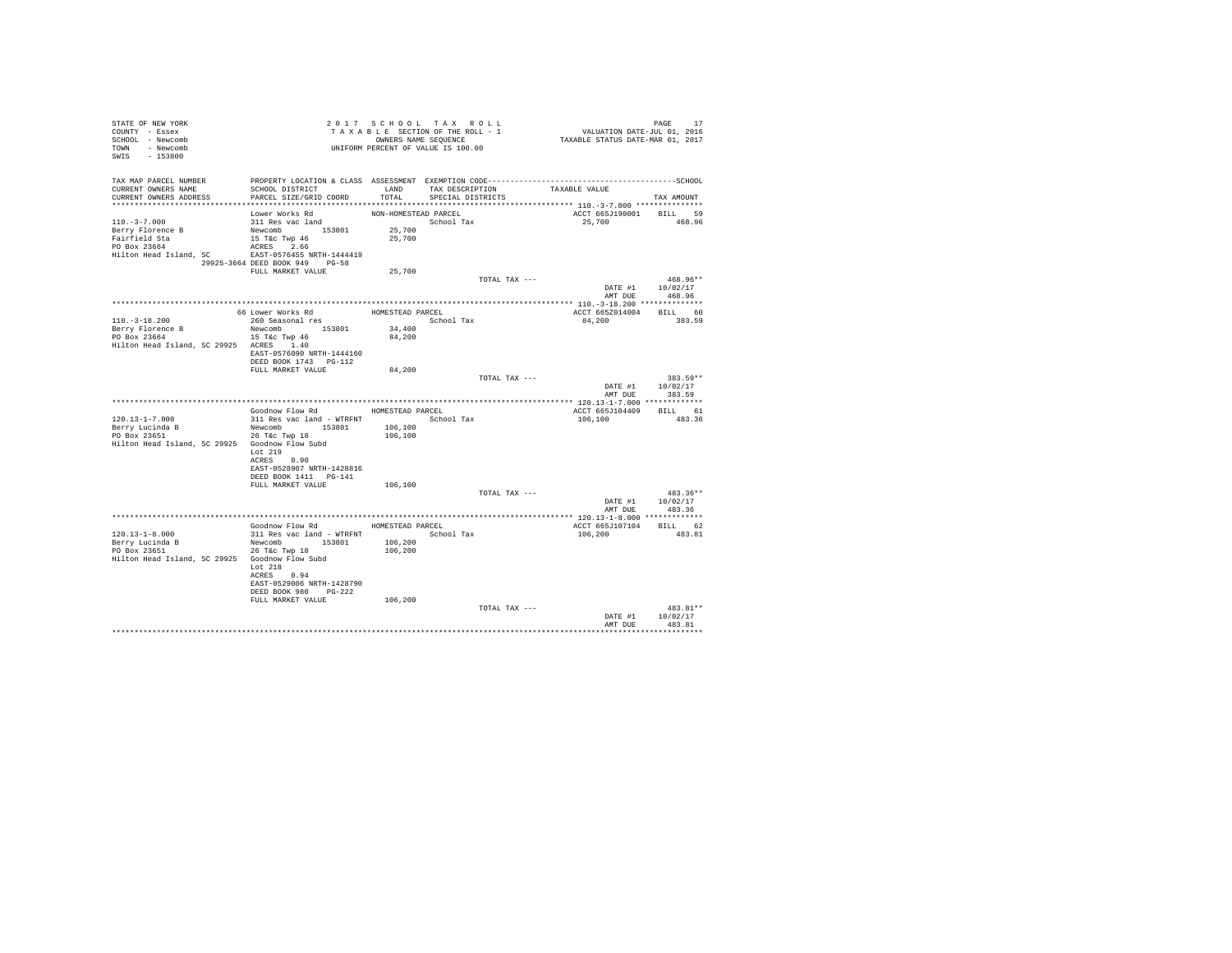| STATE OF NEW YORK<br>COUNTY - Essex<br>SCHOOL - Newcomb<br>TOWN - Newcomb<br>SWIS - 153800                              | T A X A B L E SECTION OF THE KULL - OWNERS NAME SEQUENCE<br>OWNERS NAME SEQUENCE<br>UNIFORM PERCENT OF VALUE IS 100.00                     |                                                    | TAXABLE SECTION OF THE ROLL - 1           |               | PAGE 17<br>VALUATION DATE-JUL 01, 2016<br>TAXABLE STATUS DATE-MAR 01, 2017 |                      |
|-------------------------------------------------------------------------------------------------------------------------|--------------------------------------------------------------------------------------------------------------------------------------------|----------------------------------------------------|-------------------------------------------|---------------|----------------------------------------------------------------------------|----------------------|
| TAX MAP PARCEL NUMBER<br>CURRENT OWNERS NAME<br>CURRENT OWNERS ADDRESS                                                  | SCHOOL DISTRICT<br>PARCEL SIZE/GRID COORD                                                                                                  | TOTAL                                              | LAND TAX DESCRIPTION<br>SPECIAL DISTRICTS |               | TAXABLE VALUE                                                              | TAX AMOUNT           |
| $110.-3-7.000$<br>Berry Florence B<br>Fairfield Sta<br>PO Box 23664<br>Hilton Head Island, SC EAST-0576455 NRTH-1444419 | Lower Works Rd<br>311 Res vac land<br>Newcomb 153801<br>$15$ T&C Twp $46$<br>ACRES 2.66<br>29925-3664 DEED BOOK 949 PG-58                  | NON-HOMESTEAD PARCEL<br>25,700<br>25,700           | School Tax                                |               | ACCT 665J190001 BILL 59<br>25,700 468.96                                   |                      |
|                                                                                                                         | FULL MARKET VALUE                                                                                                                          | 25,700                                             |                                           |               |                                                                            |                      |
|                                                                                                                         |                                                                                                                                            |                                                    |                                           | TOTAL TAX --- | DATE #1 10/02/17<br>AMT DUE 468.96                                         | 468.96**             |
|                                                                                                                         |                                                                                                                                            |                                                    |                                           |               |                                                                            |                      |
| $110.-3-18.200$<br>Berry Florence B<br>PO Box 23664<br>Hilton Head Island, SC 29925 ACRES 1.40                          | 66 Lower Works Rd<br>260 Seasonal res<br>Newcomb 153801<br>$15$ T&C Twp $46$<br>EAST-0576090 NRTH-1444160                                  | HOMESTEAD PARCEL<br>School Tax<br>34,400<br>84,200 |                                           |               | ACCT 665Z014004 BILL 60<br>84,200                                          | 383.59               |
|                                                                                                                         | DEED BOOK 1743 PG-112<br>FULL MARKET VALUE                                                                                                 | 84,200                                             |                                           |               |                                                                            |                      |
|                                                                                                                         |                                                                                                                                            |                                                    |                                           | TOTAL TAX --- | DATE #1 10/02/17<br>AMT DUE                                                | $383.59**$<br>383.59 |
|                                                                                                                         |                                                                                                                                            |                                                    |                                           |               |                                                                            |                      |
|                                                                                                                         | Goodnow Flow Rd MOMESTEAD PARCEL                                                                                                           |                                                    |                                           |               | ACCT 665J104409 BILL 61                                                    |                      |
| $120.13 - 1 - 7.000$<br>Berry Lucinda B<br>PO Box 23651<br>Hilton Head Island, SC 29925 Goodnow Flow Subd               | 311 Res vac land - WTRFNT<br>Newcomb 153801<br>26 T&C Twp 18<br>Lot 219                                                                    | 106,100<br>106,100                                 | School Tax                                |               | 106,100                                                                    | 483.36               |
|                                                                                                                         | ACRES 0.90<br>EAST-0528907 NRTH-1428816<br>DEED BOOK 1411 PG-141<br>FULL MARKET VALUE                                                      | 106,100                                            |                                           |               |                                                                            |                      |
|                                                                                                                         |                                                                                                                                            |                                                    |                                           | TOTAL TAX --- | DATE #1 10/02/17<br>AMT DUE 483.36                                         | $483.36**$           |
|                                                                                                                         |                                                                                                                                            |                                                    |                                           |               |                                                                            |                      |
|                                                                                                                         | Goodnow Flow Rd MOMESTEAD PARCEL                                                                                                           |                                                    |                                           |               | ACCT 665J107104 BILL 62                                                    |                      |
| 120.13-1-8.000<br>Berry Lucinda B<br>PO Box 23651<br>Hilton Head Island, SC 29925 Goodnow Flow Subd                     | 311 Res vac land - WTRFNT<br>Newcomb 153801<br>26 T&C Twp 18<br>Lot 218<br>ACRES 0.94<br>EAST-0529006 NRTH-1428790<br>DEED BOOK 980 PG-222 | 106,200<br>106,200                                 | School Tax                                |               | 106,200                                                                    | 483.81               |
|                                                                                                                         | FULL MARKET VALUE                                                                                                                          | 106,200                                            |                                           | TOTAL TAX --- |                                                                            | 483.81**             |
|                                                                                                                         |                                                                                                                                            |                                                    |                                           |               | DATE #1<br>AMT DUE                                                         | 10/02/17<br>483.81   |
|                                                                                                                         |                                                                                                                                            |                                                    |                                           |               |                                                                            |                      |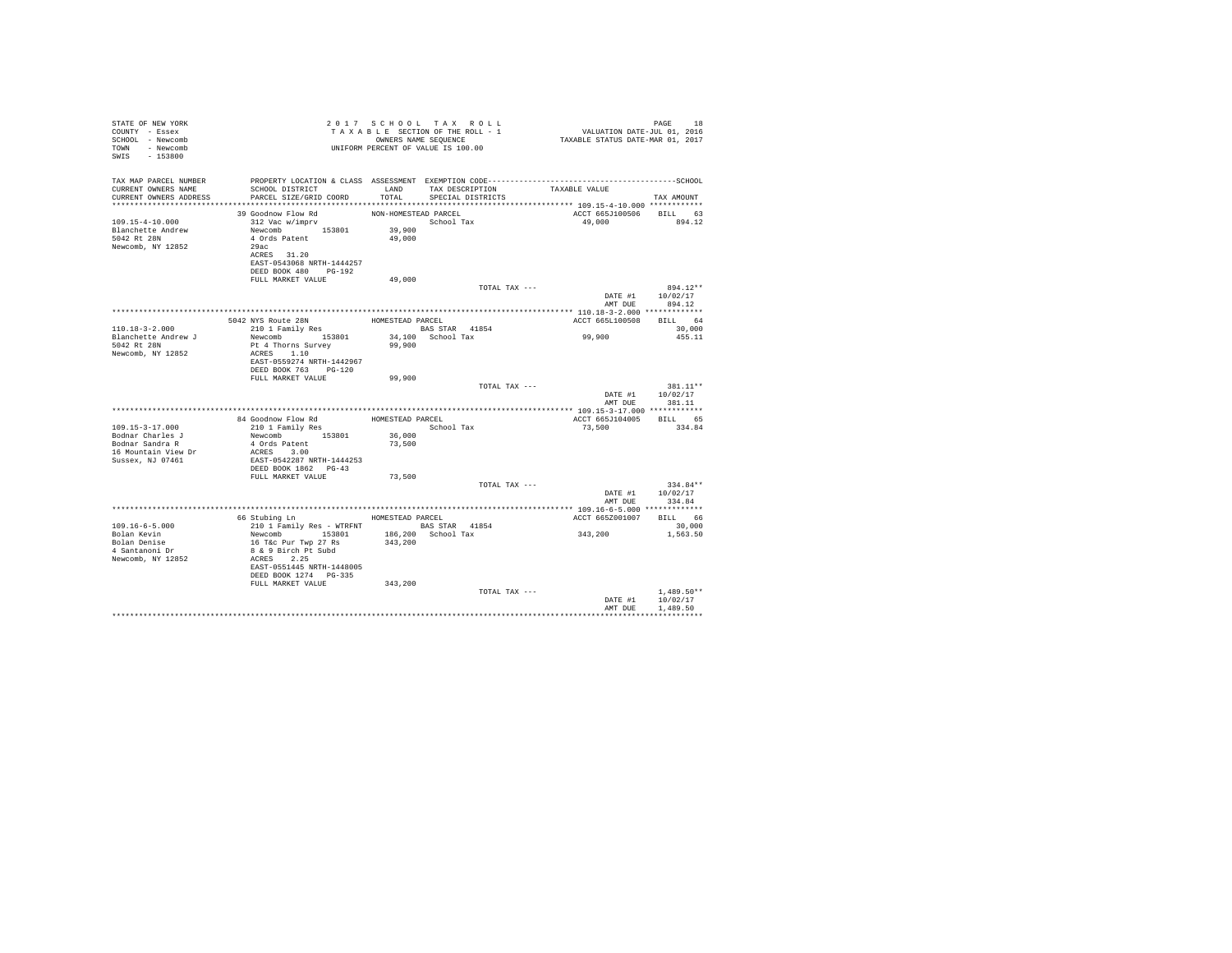| STATE OF NEW YORK<br>COUNTY - Essex<br>SCHOOL - Newcomb<br>TOWN - Newcomb<br>SWIS - 153800        | TAXABLE SECTION OF THE RULL - 1<br>TAXABLE SECTION OF THE RULL - 1<br>OWNERS NAME SEQUENCE<br>UNIFORM PERCENT OF VALUE IS 100.00                                                                                       |                                | TAXABLE SECTION OF THE ROLL - 1<br>OWNERS NAME SEQUENCE | PAGE 18<br>VALUATION DATE-JUL 01, 2016<br>TAXABLE STATUS DATE-MAR 01, 2017 |                                        |
|---------------------------------------------------------------------------------------------------|------------------------------------------------------------------------------------------------------------------------------------------------------------------------------------------------------------------------|--------------------------------|---------------------------------------------------------|----------------------------------------------------------------------------|----------------------------------------|
| CURRENT OWNERS NAME<br>CURRENT OWNERS ADDRESS                                                     | TAX MAP PARCEL NUMBER THE PROPERTY LOCATION & CLASS ASSESSMENT EXEMPTION CODE--------------------------------SCHOOL<br>SCHOOL DISTRICT<br>PARCEL SIZE/GRID COORD                                                       |                                | LAND TAX DESCRIPTION<br>TOTAL SPECIAL DISTRICTS         | TAXABLE VALUE                                                              | TAX AMOUNT                             |
| 109.15-4-10.000<br>Blanchette Andrew<br>5042 Rt 28N<br>Newcomb, NY 12852                          | 39 Goodnow Flow Rd<br>312 Vac w/imprv<br>Newcomb 153801 39,900<br>4 Ords Patent<br>29ac<br>ACRES 31.20<br>EAST-0543068 NRTH-1444257<br>DEED BOOK 480 PG-192                                                            | NON-HOMESTEAD PARCEL<br>49,000 | School Tax                                              | ACCT 665J100506 BILL 63                                                    | 49.000 894.12                          |
|                                                                                                   | FULL MARKET VALUE                                                                                                                                                                                                      | 49,000                         |                                                         | TOTAL TAX ---<br>AMT DUE                                                   | 894.12**<br>DATE #1 10/02/17<br>894.12 |
|                                                                                                   |                                                                                                                                                                                                                        |                                |                                                         |                                                                            |                                        |
|                                                                                                   | 5042 NYS Route 28N                                                                                                                                                                                                     |                                |                                                         | ACCT 665L100508 BILL 64                                                    |                                        |
| $110.18 - 3 - 2.000$<br>Blanchette Andrew J<br>5042 Rt 28N<br>Newcomb, NY 12852                   | Newcomb 153801 34,100 School Tax<br>Pt 4 Thorns Survey<br>ACRES 1.10<br>EAST-0559274 NRTH-1442967                                                                                                                      | 99,900                         | <b>BAS STAR 41854</b>                                   | 99,900                                                                     | 30,000<br>455.11                       |
|                                                                                                   | DEED BOOK 763 PG-120                                                                                                                                                                                                   |                                |                                                         |                                                                            |                                        |
|                                                                                                   | FULL MARKET VALUE                                                                                                                                                                                                      | 99,900                         |                                                         | TOTAL TAX ---                                                              | 381.11**<br>DATE #1 10/02/17           |
|                                                                                                   |                                                                                                                                                                                                                        |                                |                                                         |                                                                            | AMT DUE 381.11                         |
|                                                                                                   | 84 Goodnow Flow Rd                                                                                                                                                                                                     | HOMESTEAD PARCEL               |                                                         | ACCT 665J104005 BILL 65                                                    |                                        |
| 109.15-3-17.000<br>Bodnar Charles J<br>Bodnar Sandra R<br>16 Mountain View Dr<br>Sussex, NJ 07461 | 84 Goodnow Flow Rd<br>210 1 Family Res<br>Newcomb<br>153801 36,000<br>22 F00<br>4 Ords Patent<br>ACRES 3.00<br>EAST-0542287 NRTH-1444253<br>DEED BOOK 1862 PG-43                                                       | 73,500                         | School Tax                                              | 73,500                                                                     | 334.84                                 |
|                                                                                                   | FULL MARKET VALUE                                                                                                                                                                                                      | 73,500                         |                                                         |                                                                            |                                        |
|                                                                                                   |                                                                                                                                                                                                                        |                                |                                                         | TOTAL TAX ---                                                              | $334.84**$<br>DATE #1 10/02/17         |
|                                                                                                   |                                                                                                                                                                                                                        |                                |                                                         | AMT DUE                                                                    | 334.84                                 |
|                                                                                                   | 66 Stubing Ln MOMESTEAD PARCEL                                                                                                                                                                                         |                                |                                                         | ACCT 665Z001007 BILL 66                                                    |                                        |
| $109.16 - 6 - 5.000$<br>Bolan Kevin<br>Bolan Denise<br>4 Santanoni Dr<br>Newcomb, NY 12852        | 210 1 Family Res - WTRFNT<br>Newcomb 153801 166,200 School Tax<br>Newcomb 153801 166,200 School Tax<br>16 T&C Pur Twp 27 Rs<br>8 & 9 Birch Pt Subd<br>ACRES 2.25<br>EAST-0551445 NRTH-1448005<br>DEED BOOK 1274 PG-335 |                                |                                                         | 343,200                                                                    | 30,000<br>1,563.50                     |
|                                                                                                   | FULL MARKET VALUE 343, 200                                                                                                                                                                                             |                                |                                                         | TOTAL TAX ---<br>DATE #1                                                   | $1.489.50**$<br>10/02/17               |
|                                                                                                   |                                                                                                                                                                                                                        |                                |                                                         | AMT DUE                                                                    | 1,489.50                               |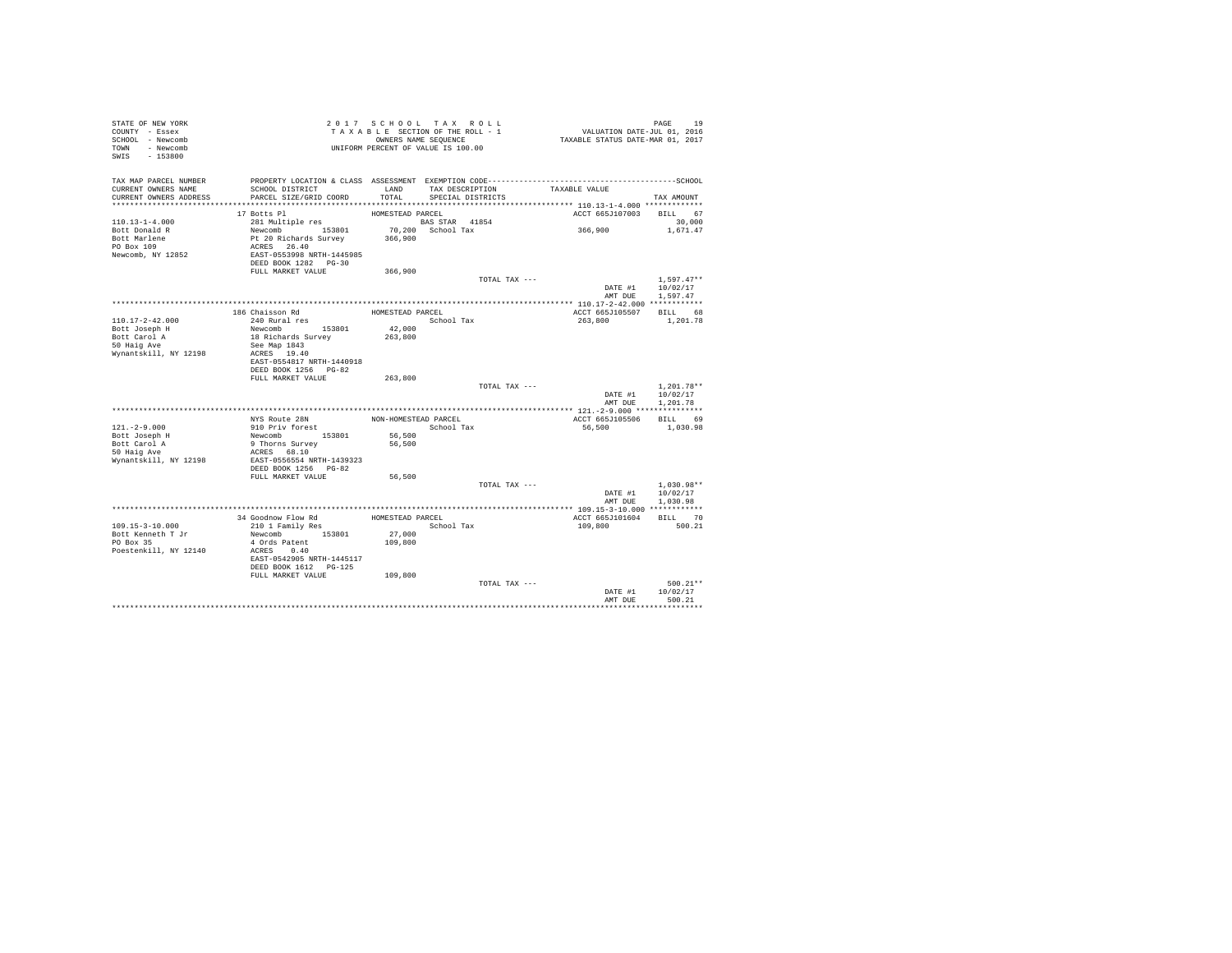| STATE OF NEW YORK<br>COUNTY - Essex<br>SCHOOL - Newcomb<br>TOWN - Newcomb<br>SWIS - 153800 |                                                   |                  | 2017 SCHOOL TAX ROLL<br>TAXABLE SECTION OF THE ROLL - 1<br>OWNERS NAME SEQUENCE<br>UNIFORM PERCENT OF VALUE IS 100.00 | PAGE 19<br>VALUATION DATE-JUL 01, 2016<br>TAXABLE STATUS DATE-MAR 01, 2017 |                          |
|--------------------------------------------------------------------------------------------|---------------------------------------------------|------------------|-----------------------------------------------------------------------------------------------------------------------|----------------------------------------------------------------------------|--------------------------|
| TAX MAP PARCEL NUMBER                                                                      |                                                   |                  |                                                                                                                       |                                                                            |                          |
| CURRENT OWNERS NAME<br>CURRENT OWNERS ADDRESS                                              | SCHOOL DISTRICT<br>PARCEL SIZE/GRID COORD         | LAND<br>TOTAL    | TAX DESCRIPTION<br>SPECIAL DISTRICTS                                                                                  | TAXABLE VALUE                                                              | TAX AMOUNT               |
|                                                                                            |                                                   |                  |                                                                                                                       |                                                                            |                          |
|                                                                                            | 17 Botts Pl                                       | HOMESTEAD PARCEL |                                                                                                                       | ACCT 665J107003 BILL 67                                                    |                          |
| $110.13 - 1 - 4.000$                                                                       | 281 Multiple res                                  |                  | <b>BAS STAR 41854</b>                                                                                                 |                                                                            | 30,000                   |
| Bott Donald R                                                                              | Newcomb 153801                                    |                  | 70,200 School Tax                                                                                                     | 366,900                                                                    | 1,671.47                 |
| Bott Marlene                                                                               | Pt 20 Richards Survey<br>ACRES 26.40              | 366,900          |                                                                                                                       |                                                                            |                          |
| PO Box 109                                                                                 |                                                   |                  |                                                                                                                       |                                                                            |                          |
| Newcomb, NY 12852                                                                          | EAST-0553998 NRTH-1445985<br>DEED BOOK 1282 PG-30 |                  |                                                                                                                       |                                                                            |                          |
|                                                                                            | FULL MARKET VALUE                                 | 366,900          |                                                                                                                       |                                                                            |                          |
|                                                                                            |                                                   |                  | TOTAL TAX ---                                                                                                         |                                                                            | $1,597.47**$             |
|                                                                                            |                                                   |                  |                                                                                                                       |                                                                            | DATE #1 10/02/17         |
|                                                                                            |                                                   |                  |                                                                                                                       | AMT DUE                                                                    | 1,597.47                 |
|                                                                                            |                                                   |                  |                                                                                                                       |                                                                            |                          |
|                                                                                            | 186 Chaisson Rd                                   | HOMESTEAD PARCEL |                                                                                                                       | ACCT 665J105507                                                            | BILL 68                  |
| 110.17-2-42.000<br>Bott Joseph H                                                           | 240 Rural res<br>Newcomb 153801                   | 42,000           | School Tax                                                                                                            | 263,800                                                                    | 1,201.78                 |
| Bott Carol A                                                                               | 18 Richards Survey                                | 263,800          |                                                                                                                       |                                                                            |                          |
| 50 Haig Ave                                                                                | See Map 1843                                      |                  |                                                                                                                       |                                                                            |                          |
| Wynantskill, NY 12198                                                                      | ACRES 19.40                                       |                  |                                                                                                                       |                                                                            |                          |
|                                                                                            | EAST-0554817 NRTH-1440918                         |                  |                                                                                                                       |                                                                            |                          |
|                                                                                            | DEED BOOK 1256 PG-82<br>FULL MARKET VALUE         |                  |                                                                                                                       |                                                                            |                          |
|                                                                                            |                                                   | 263,800          | TOTAL TAX ---                                                                                                         |                                                                            | $1.201.78**$             |
|                                                                                            |                                                   |                  |                                                                                                                       |                                                                            | DATE #1 10/02/17         |
|                                                                                            |                                                   |                  |                                                                                                                       | AMT DUE                                                                    | 1,201.78                 |
|                                                                                            |                                                   |                  |                                                                                                                       |                                                                            |                          |
|                                                                                            | NYS Route 28N                                     |                  | NON-HOMESTEAD PARCEL                                                                                                  | ACCT 665J105506                                                            | BILL 69                  |
| $121. - 2 - 9.000$                                                                         | 910 Priv forest<br>Newcomb 153801                 |                  | School Tax                                                                                                            | 56,500                                                                     | 1,030.98                 |
| Bott Joseph H                                                                              |                                                   | 56,500<br>56,500 |                                                                                                                       |                                                                            |                          |
| soct Carol A<br>50 Haig Ave<br>Mari                                                        | 9 Thorns Survey<br>ACRES 68.10                    |                  |                                                                                                                       |                                                                            |                          |
| Wynantskill, NY 12198                                                                      | EAST-0556554 NRTH-1439323                         |                  |                                                                                                                       |                                                                            |                          |
|                                                                                            | DEED BOOK 1256 PG-82                              |                  |                                                                                                                       |                                                                            |                          |
|                                                                                            | FULL MARKET VALUE                                 | 56,500           |                                                                                                                       |                                                                            |                          |
|                                                                                            |                                                   |                  | TOTAL TAX ---                                                                                                         | DATE #1                                                                    | $1,030.98**$<br>10/02/17 |
|                                                                                            |                                                   |                  |                                                                                                                       | AMT DUE                                                                    | 1,030.98                 |
|                                                                                            | *********************************                 |                  |                                                                                                                       | **************** 109.15-3-10.000 ************                              |                          |
|                                                                                            | 34 Goodnow Flow Rd                                | HOMESTEAD PARCEL |                                                                                                                       | ACCT 665J101604                                                            | BILL 70                  |
| 109.15-3-10.000                                                                            | 210 1 Family Res                                  |                  | School Tax                                                                                                            | 109,800                                                                    | 500.21                   |
| Bott Kenneth T Jr                                                                          | Newcomb 153801                                    | 27,000           |                                                                                                                       |                                                                            |                          |
| PO Box 35                                                                                  | 4 Ords Patent                                     | 109,800          |                                                                                                                       |                                                                            |                          |
| Poestenkill, NY 12140                                                                      | ACRES 0.40<br>EAST-0542905 NRTH-1445117           |                  |                                                                                                                       |                                                                            |                          |
|                                                                                            | DEED BOOK 1612 PG-125                             |                  |                                                                                                                       |                                                                            |                          |
|                                                                                            | FULL MARKET VALUE                                 | 109,800          |                                                                                                                       |                                                                            |                          |
|                                                                                            |                                                   |                  | TOTAL TAX ---                                                                                                         |                                                                            | $500.21**$               |
|                                                                                            |                                                   |                  |                                                                                                                       | DATE #1                                                                    | 10/02/17                 |
|                                                                                            |                                                   |                  |                                                                                                                       | AMT DUE                                                                    | 500.21                   |
|                                                                                            |                                                   |                  |                                                                                                                       |                                                                            |                          |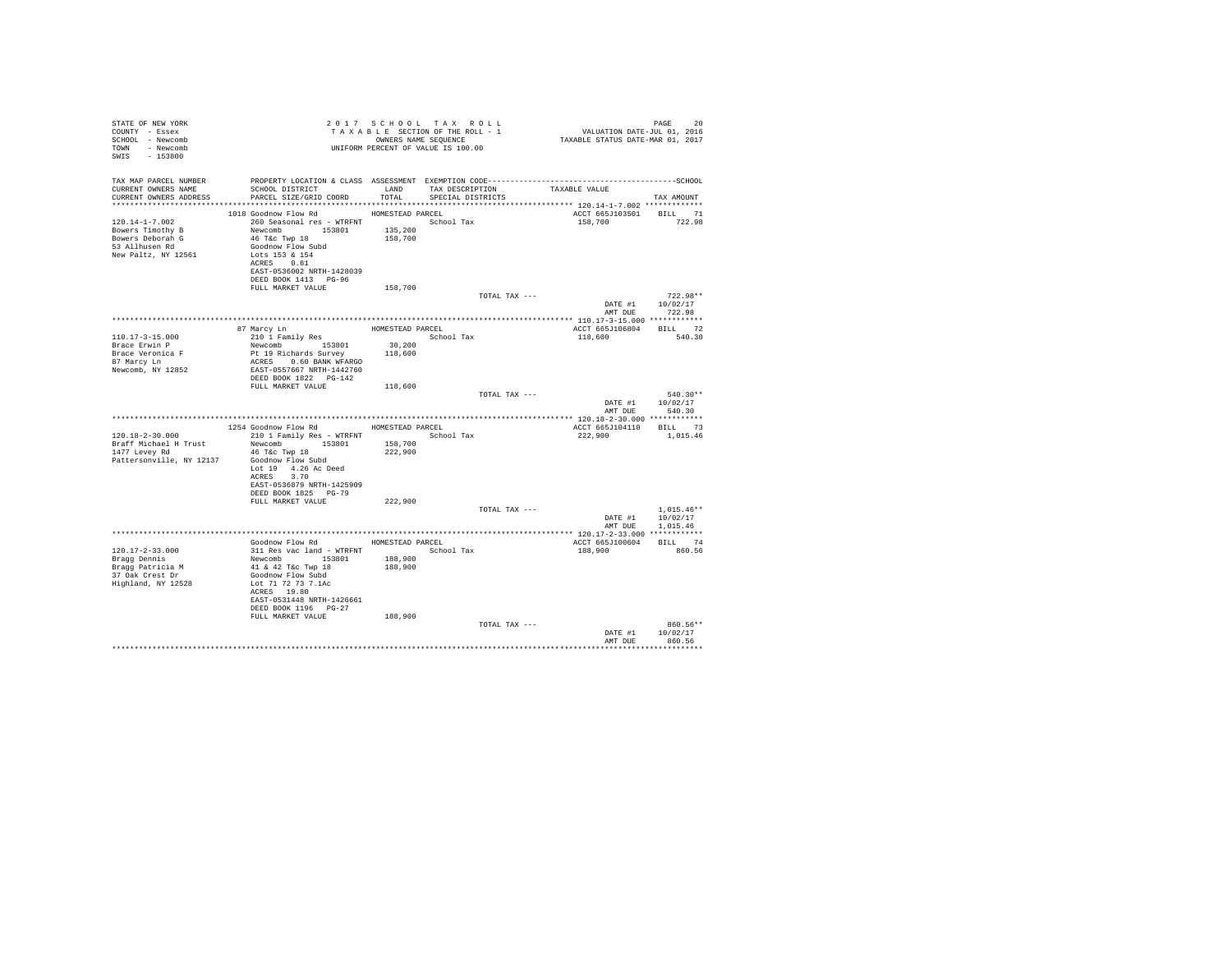| STATE OF NEW YORK<br>COUNTY - Essex<br>SCHOOL - Newcomb<br>TOWN - Newcomb<br>SWIS - 153800                                                      |                                                                                                              |         | 2017 SCHOOL TAX ROLL<br>UNIFORM PERCENT OF VALUE IS 100.00 |               |                                             | PAGE<br>20                       |
|-------------------------------------------------------------------------------------------------------------------------------------------------|--------------------------------------------------------------------------------------------------------------|---------|------------------------------------------------------------|---------------|---------------------------------------------|----------------------------------|
| TAX MAP PARCEL NUMBER                                                                                                                           |                                                                                                              |         |                                                            |               |                                             |                                  |
| CURRENT OWNERS NAME                                                                                                                             | SCHOOL DISTRICT                        LAND        TAX DESCRIPTION                  TAXABLE VALUE            |         |                                                            |               |                                             |                                  |
| CURRENT OWNERS ADDRESS                                                                                                                          | PARCEL SIZE/GRID COORD                                                                                       |         | TOTAL SPECIAL DISTRICTS                                    |               |                                             | TAX AMOUNT                       |
|                                                                                                                                                 | 1018 Goodnow Flow Rd MOMESTEAD PARCEL                                                                        |         |                                                            |               | ACCT 665J103501 BILL 71                     |                                  |
| 120.14-1-7.002<br>$260$ Seasonal res - WTRENT<br>Bowers Timothy B<br>$135,200$<br>$135,200$<br>$135,200$<br>$135,200$<br>$135,700$<br>$135,700$ |                                                                                                              |         |                                                            |               | 158,700                                     | 722.98                           |
|                                                                                                                                                 |                                                                                                              |         |                                                            |               |                                             |                                  |
| 53 Allhusen Rd                                                                                                                                  | Goodnow Flow Subd                                                                                            |         |                                                            |               |                                             |                                  |
| New Paltz, NY 12561                                                                                                                             | Lots 153 & 154                                                                                               |         |                                                            |               |                                             |                                  |
|                                                                                                                                                 | ACRES 0.81                                                                                                   |         |                                                            |               |                                             |                                  |
|                                                                                                                                                 | EAST-0536002 NRTH-1428039<br>DEED BOOK 1413 PG-96                                                            |         |                                                            |               |                                             |                                  |
|                                                                                                                                                 | FULL MARKET VALUE                                                                                            | 158,700 |                                                            |               |                                             |                                  |
|                                                                                                                                                 |                                                                                                              |         |                                                            | TOTAL TAX --- |                                             | $722.98**$                       |
|                                                                                                                                                 |                                                                                                              |         |                                                            |               |                                             | DATE #1 10/02/17                 |
|                                                                                                                                                 |                                                                                                              |         |                                                            |               | AMT DUE                                     | 722.98                           |
|                                                                                                                                                 | 87 Marcy Ln HOMESTEAD PARCEL                                                                                 |         |                                                            |               | ACCT 665J106804 BILL 72                     |                                  |
| $110.17 - 3 - 15.000$                                                                                                                           | 210 1 Family Res                                                                                             |         | School Tax                                                 |               | 118,600 540.30                              |                                  |
| Brace Erwin P                                                                                                                                   | Newcomb 153801                                                                                               | 30,200  |                                                            |               |                                             |                                  |
| Brace Veronica F<br>87 Marcy Ln                                                                                                                 |                                                                                                              |         |                                                            |               |                                             |                                  |
| Newcomb, NY 12852                                                                                                                               | 153801 153801 163801<br>Pt 19 Richards Survey 118,600<br>ACRES 0.60 BANK WFARGO<br>EAST-0557667 NRTH-1442760 |         |                                                            |               |                                             |                                  |
|                                                                                                                                                 | DEED BOOK 1822 PG-142                                                                                        |         |                                                            |               |                                             |                                  |
|                                                                                                                                                 | FULL MARKET VALUE                                                                                            | 118,600 |                                                            |               |                                             |                                  |
|                                                                                                                                                 |                                                                                                              |         |                                                            | TOTAL TAX --- |                                             | $540.30**$<br>DATE #1 10/02/17   |
|                                                                                                                                                 |                                                                                                              |         |                                                            |               | AMT DUE                                     | 540.30                           |
|                                                                                                                                                 |                                                                                                              |         |                                                            |               |                                             |                                  |
| 120.18-2-30.000                                                                                                                                 | 1254 Goodnow Flow Rd MOMESTEAD PARCEL                                                                        |         |                                                            |               | ACCT 665J104110 BILL 73<br>222.900 1.015.46 |                                  |
|                                                                                                                                                 | 210 1 Family Res - WTRFNT School Tax                                                                         | 158,700 |                                                            |               |                                             |                                  |
|                                                                                                                                                 |                                                                                                              | 222,900 |                                                            |               |                                             |                                  |
| Pattersonville, NY 12137                                                                                                                        | Goodnow Flow Subd                                                                                            |         |                                                            |               |                                             |                                  |
|                                                                                                                                                 | Lot 19 4.26 Ac Deed<br>ACRES 3.70                                                                            |         |                                                            |               |                                             |                                  |
|                                                                                                                                                 | EAST-0536879 NRTH-1425909                                                                                    |         |                                                            |               |                                             |                                  |
|                                                                                                                                                 | DEED BOOK 1825 PG-79                                                                                         |         |                                                            |               |                                             |                                  |
|                                                                                                                                                 | FULL MARKET VALUE                                                                                            | 222,900 |                                                            |               |                                             |                                  |
|                                                                                                                                                 |                                                                                                              |         |                                                            | TOTAL TAX --- |                                             | $1,015.46**$<br>DATE #1 10/02/17 |
|                                                                                                                                                 |                                                                                                              |         |                                                            |               | AMT DUE 1,015.46                            |                                  |
|                                                                                                                                                 |                                                                                                              |         |                                                            |               |                                             |                                  |
| 120.17-2-33.000                                                                                                                                 | Goodnow Flow Rd MOMESTEAD PARCEL<br>311 Res vac land - WTRFNT                                                |         | School Tax                                                 |               | ACCT 665J100604 BILL 74<br>188,900          | 860.56                           |
| Bragg Dennis                                                                                                                                    |                                                                                                              |         |                                                            |               |                                             |                                  |
| Bragg Patricia M<br>37 Oak Crest Dr                                                                                                             | Newcomb 153801 188,900<br>41 & 42 T&c Twp 18 188,900<br>Goodnow Flow Subd                                    |         |                                                            |               |                                             |                                  |
|                                                                                                                                                 |                                                                                                              |         |                                                            |               |                                             |                                  |
| Highland, NY 12528                                                                                                                              | Lot 71 72 73 7.1Ac<br>ACRES 19.80                                                                            |         |                                                            |               |                                             |                                  |
|                                                                                                                                                 | EAST-0531448 NRTH-1426661                                                                                    |         |                                                            |               |                                             |                                  |
|                                                                                                                                                 | DEED BOOK 1196 PG-27                                                                                         |         |                                                            |               |                                             |                                  |
|                                                                                                                                                 | FULL MARKET VALUE                                                                                            | 188,900 |                                                            |               |                                             |                                  |
|                                                                                                                                                 |                                                                                                              |         |                                                            | TOTAL TAX --- | DATE #1                                     | 860.56**<br>10/02/17             |
|                                                                                                                                                 |                                                                                                              |         |                                                            |               | AMT DUR                                     | 860.56                           |
|                                                                                                                                                 |                                                                                                              |         |                                                            |               | *******************************             |                                  |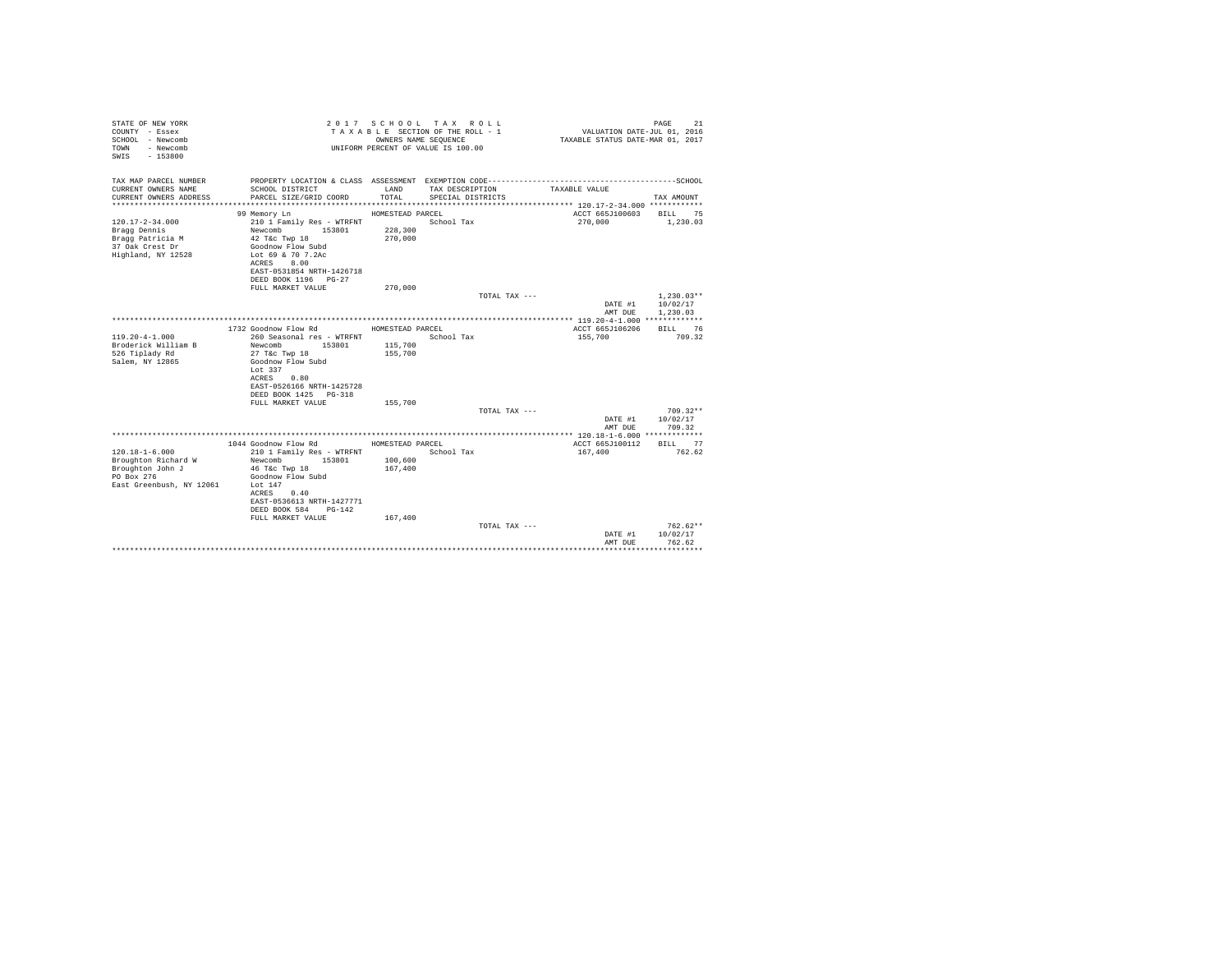| STATE OF NEW YORK<br>COUNTY - Essex<br>SCHOOL - Newcomb<br>- Newcomb<br>TOWN<br>$-153800$<br>SWTS  |                                                                                                                                                         | OWNERS NAME SEQUENCE | 2017 SCHOOL TAX ROLL<br>TAXABLE SECTION OF THE ROLL - 1<br>UNIFORM PERCENT OF VALUE IS 100.00 | VALUATION DATE-JUL 01, 2016<br>TAXABLE STATUS DATE-MAR 01, 2017 | 21<br>PAGE                       |
|----------------------------------------------------------------------------------------------------|---------------------------------------------------------------------------------------------------------------------------------------------------------|----------------------|-----------------------------------------------------------------------------------------------|-----------------------------------------------------------------|----------------------------------|
| TAX MAP PARCEL NUMBER                                                                              |                                                                                                                                                         |                      |                                                                                               |                                                                 |                                  |
| CURRENT OWNERS NAME<br>CURRENT OWNERS ADDRESS                                                      | SCHOOL DISTRICT<br>PARCEL SIZE/GRID COORD                                                                                                               | LAND<br>TOTAL.       | TAX DESCRIPTION<br>SPECIAL DISTRICTS                                                          | TAXABLE VALUE                                                   | TAX AMOUNT                       |
|                                                                                                    | 99 Memory Ln                                                                                                                                            | HOMESTEAD PARCEL     |                                                                                               | ACCT 665J100603                                                 | 75<br><b>BILL</b>                |
| $120.17 - 2 - 34.000$<br>Bragg Dennis<br>Bragg Patricia M<br>37 Oak Crest Dr<br>Highland, NY 12528 | 210 1 Family Res - WTRFNT<br>Newcomb<br>153801<br>42 T&c Twp 18<br>Goodnow Flow Subd<br>Lot 69 & 70 7.2Ac<br>8.00<br>ACRES<br>EAST-0531854 NRTH-1426718 | 228,300<br>270,000   | School Tax                                                                                    | 270,000                                                         | 1,230.03                         |
|                                                                                                    | DEED BOOK 1196 PG-27                                                                                                                                    |                      |                                                                                               |                                                                 |                                  |
|                                                                                                    | FULL MARKET VALUE                                                                                                                                       | 270,000              |                                                                                               |                                                                 |                                  |
|                                                                                                    |                                                                                                                                                         |                      | TOTAL TAX ---                                                                                 | DATE #1                                                         | $1,230.03**$<br>10/02/17         |
|                                                                                                    |                                                                                                                                                         |                      |                                                                                               | AMT DUE                                                         | 1,230.03                         |
|                                                                                                    |                                                                                                                                                         |                      |                                                                                               |                                                                 |                                  |
|                                                                                                    | 1732 Goodnow Flow Rd                                                                                                                                    | HOMESTEAD PARCEL     |                                                                                               | ACCT 665J106206                                                 | <b>BILL</b><br>76                |
| $119.20 - 4 - 1.000$<br>Broderick William B<br>526 Tiplady Rd<br>Salem, NY 12865                   | 260 Seasonal res - WTRFNT<br>Newcomb<br>153801<br>27 T&c Twp 18<br>Goodnow Flow Subd<br>Lot $337$<br>ACRES<br>0.80<br>EAST-0526166 NRTH-1425728         | 115,700<br>155,700   | School Tax                                                                                    | 155,700                                                         | 709.32                           |
|                                                                                                    | DEED BOOK 1425 PG-318                                                                                                                                   |                      |                                                                                               |                                                                 |                                  |
|                                                                                                    | FULL MARKET VALUE                                                                                                                                       | 155,700              |                                                                                               |                                                                 |                                  |
|                                                                                                    |                                                                                                                                                         |                      | TOTAL TAX ---                                                                                 |                                                                 | $709.32**$                       |
|                                                                                                    |                                                                                                                                                         |                      |                                                                                               | DATE #1<br>AMT DUE                                              | 10/02/17<br>709.32               |
|                                                                                                    |                                                                                                                                                         |                      |                                                                                               |                                                                 |                                  |
| $120.18 - 1 - 6.000$                                                                               | 1044 Goodnow Flow Rd                                                                                                                                    | HOMESTEAD PARCEL     | School Tax                                                                                    | ACCT 665J100112<br>167,400                                      | 77<br>BILL<br>762.62             |
| Broughton Richard W                                                                                | 210 1 Family Res - WTRFNT<br>153801<br>Newcomb                                                                                                          | 100,600              |                                                                                               |                                                                 |                                  |
| Broughton John J<br>PO Box 276<br>East Greenbush, NY 12061                                         | 46 T&c Twp 18<br>Goodnow Flow Subd<br>Lot $147$<br>0.40<br>ACRES<br>EAST-0536613 NRTH-1427771<br>DEED BOOK 584<br>PG-142<br>FULL MARKET VALUE           | 167,400<br>167,400   |                                                                                               |                                                                 |                                  |
|                                                                                                    |                                                                                                                                                         |                      | TOTAL TAX ---                                                                                 | DATE #1<br>AMT DUE                                              | $762.62**$<br>10/02/17<br>762.62 |
|                                                                                                    |                                                                                                                                                         |                      |                                                                                               |                                                                 | .                                |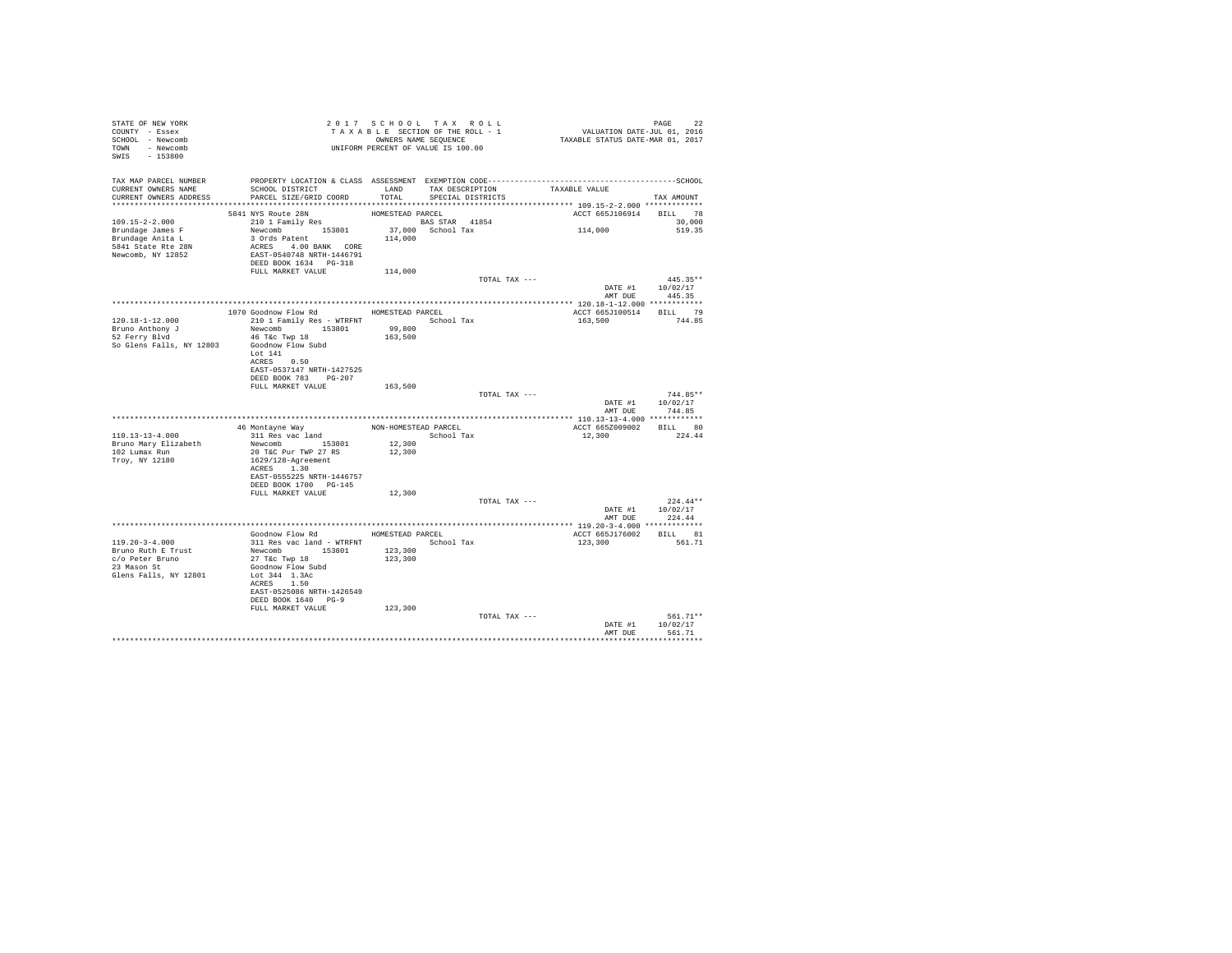| STATE OF NEW YORK<br>COUNTY - Essex<br>SCHOOL - Newcomb<br>TOWN - Newcomb<br>SWIS - 153800              | 2 0 1 / S C A O CO C THE ROLL - 1<br>T A X A B L E SECTION OF THE ROLL - 1<br>OWNERS NAME SEQUENCE<br>UNIFORM PERCENT OF VALUE IS 100.00                                                                                                                 |                   | 2017 SCHOOL TAX ROLL               |               | PAGE 22<br>VALUATION DATE-JUL 01, 2016<br>TAXABLE STATUS DATE-MAR 01, 2017 |                                        |
|---------------------------------------------------------------------------------------------------------|----------------------------------------------------------------------------------------------------------------------------------------------------------------------------------------------------------------------------------------------------------|-------------------|------------------------------------|---------------|----------------------------------------------------------------------------|----------------------------------------|
| CURRENT OWNERS NAME                                                                                     | TAX MAP PARCEL NUMBER PROPERTY LOCATION & CLASS ASSESSMENT EXEMPTION CODE-----------------------------------SCHOOL<br>SCHOOL DISTRICT                                                                                                                    |                   | LAND TAX DESCRIPTION TAXABLE VALUE |               |                                                                            |                                        |
| CURRENT OWNERS ADDRESS                                                                                  | PARCEL SIZE/GRID COORD                                                                                                                                                                                                                                   | TOTAL             | SPECIAL DISTRICTS                  |               |                                                                            | TAX AMOUNT                             |
|                                                                                                         |                                                                                                                                                                                                                                                          |                   |                                    |               | ACCT 665J106914 BILL 78                                                    |                                        |
| $109.15 - 2 - 2.000$<br>Brundage James F<br>Brundage Anita L<br>5841 State Rte 28N<br>Newcomb, NY 12852 | 5841 NYS Route 28N<br>210 1 Family Res                                                                                                                                                                                                                   |                   |                                    |               | 114,000                                                                    | 30,000<br>519.35                       |
|                                                                                                         | FULL MARKET VALUE                                                                                                                                                                                                                                        | 114,000           |                                    |               |                                                                            |                                        |
|                                                                                                         |                                                                                                                                                                                                                                                          |                   |                                    | TOTAL TAX --- |                                                                            | $445.35**$<br>DATE #1 10/02/17         |
|                                                                                                         |                                                                                                                                                                                                                                                          |                   |                                    |               | AMT DUE                                                                    | 445.35                                 |
|                                                                                                         | 1070 Goodnow Flow Rd MOMESTEAD PARCEL                                                                                                                                                                                                                    |                   |                                    |               | ACCT 665J100514 BILL 79                                                    |                                        |
| $120.18 - 1 - 12.000$<br>Bruno Anthony J<br>52 Ferry Blvd                                               | 210 1 Family Res - WTRFNT School Tax<br>Newcomb 153801<br>46 T&C Twp 18                                                                                                                                                                                  | 99,800<br>163,500 |                                    |               | 163,500 744.85                                                             |                                        |
| So Glens Falls, NY 12803 Goodnow Flow Subd                                                              | Lot 141<br>ACRES 0.50<br>EAST-0537147 NRTH-1427525                                                                                                                                                                                                       |                   |                                    |               |                                                                            |                                        |
|                                                                                                         | DEED BOOK 783 PG-207                                                                                                                                                                                                                                     |                   |                                    |               |                                                                            |                                        |
|                                                                                                         | FULL MARKET VALUE                                                                                                                                                                                                                                        | 163,500           |                                    | TOTAL TAX --- |                                                                            | $744.85**$<br>DATE #1 10/02/17         |
|                                                                                                         |                                                                                                                                                                                                                                                          |                   |                                    |               |                                                                            | AMT DUE 744.85                         |
|                                                                                                         | 46 Montayne Way MON-HOMESTEAD PARCEL                                                                                                                                                                                                                     |                   |                                    |               | ACCT 665Z009002 BILL 80                                                    |                                        |
| 110.13-13-4.000                                                                                         | 311 Res vac land                                                                                                                                                                                                                                         |                   | School Tax                         |               | 12,300                                                                     | 224.44                                 |
| Troy, NY 12180                                                                                          | 1909 - 1909 - 1909 - 1910<br>102 Lumax Run 102 - 1910 - 1910 - 1910 - 1910 - 1910 - 1910 - 1910 - 1910 - 1910 - 1910 - 1910 - 1910 - 1910<br>102 Lumax Run 102 - 1910 - 1910 - 1910 - 1910 - 1910 - 1910 - 1910 - 1910 - 1910 - 19<br>1629/128-Agreement | 12,300<br>12,300  |                                    |               |                                                                            |                                        |
|                                                                                                         | ACRES 1.30<br>EAST-0555225 NRTH-1446757<br>DEED BOOK 1700 PG-145                                                                                                                                                                                         |                   |                                    |               |                                                                            |                                        |
|                                                                                                         | FULL MARKET VALUE                                                                                                                                                                                                                                        | 12,300            |                                    | TOTAL TAX --- |                                                                            | $224.44**$                             |
|                                                                                                         |                                                                                                                                                                                                                                                          |                   |                                    |               |                                                                            | DATE #1 10/02/17<br>AMT DUE 224.44     |
|                                                                                                         |                                                                                                                                                                                                                                                          |                   |                                    |               |                                                                            |                                        |
| $119.20 - 3 - 4.000$                                                                                    | Goodnow Flow Rd MOMESTEAD PARCEL<br>311 Res vac land - WTRFNT School Tax                                                                                                                                                                                 |                   |                                    |               | ACCT 665J176002 BILL 81                                                    | 561.71                                 |
| Bruno Ruth E Trust                                                                                      |                                                                                                                                                                                                                                                          | 123,300           |                                    |               | 123,300                                                                    |                                        |
| c/o Peter Bruno<br>23 Mason St<br>Glens Falls, NY 12801                                                 | Newcomb 153801<br>27 T&c Twp 18<br>Goodnow Flow Subd<br>Lot 344 1.3Ac                                                                                                                                                                                    | 123,300           |                                    |               |                                                                            |                                        |
|                                                                                                         | ACRES 1.50<br>EAST-0525086 NRTH-1426549<br>DEED BOOK 1640 PG-9                                                                                                                                                                                           |                   |                                    |               |                                                                            |                                        |
|                                                                                                         | FULL MARKET VALUE                                                                                                                                                                                                                                        | 123,300           |                                    |               |                                                                            |                                        |
|                                                                                                         |                                                                                                                                                                                                                                                          |                   |                                    | TOTAL TAX --- | AMT DHR                                                                    | 561.71**<br>DATE #1 10/02/17<br>561.71 |
|                                                                                                         |                                                                                                                                                                                                                                                          |                   |                                    |               |                                                                            |                                        |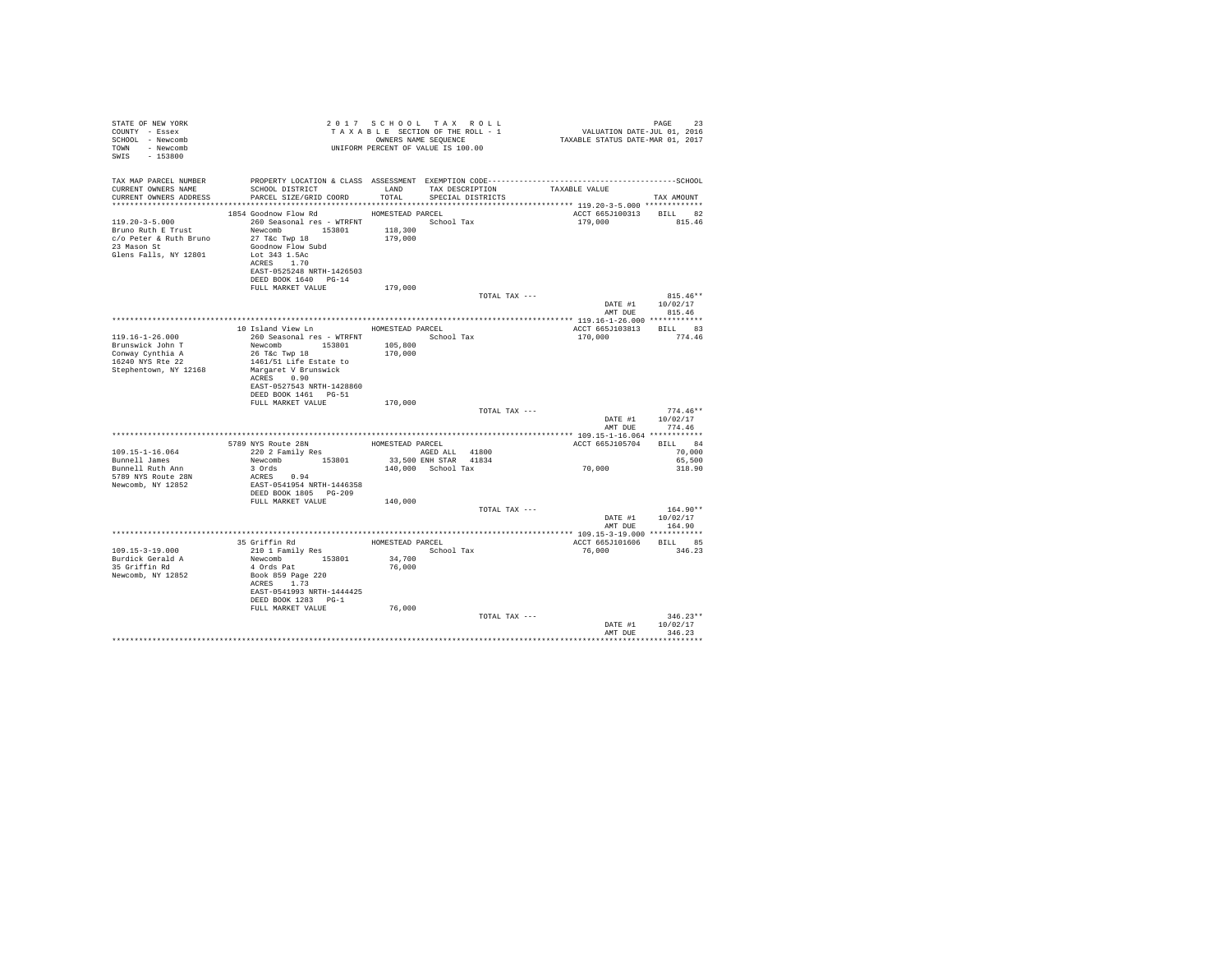| STATE OF NEW YORK<br>COUNTY - Essex<br>SCHOOL - Newcomb<br>TOWN - Newcomb<br>SWIS - 153800 |                                                                        | 2017 SCHOOL TAX ROLL<br>TAXABLE SECTION OF THE ROLL - 1<br>OWNERS NAME SEQUENCE<br>UNIFORM PERCENT OF VALUE IS 100.00 | PAGE<br>PAGE 23<br>VALUATION DATE-JUL 01, 2016<br>TAXABLE STATUS DATE-MAR 01, 2017 | 23         |
|--------------------------------------------------------------------------------------------|------------------------------------------------------------------------|-----------------------------------------------------------------------------------------------------------------------|------------------------------------------------------------------------------------|------------|
| TAX MAP PARCEL NUMBER                                                                      |                                                                        |                                                                                                                       |                                                                                    |            |
| CURRENT OWNERS NAME<br>CURRENT OWNERS ADDRESS                                              | SCHOOL DISTRICT LAND<br>TOTAL<br>PARCEL SIZE/GRID COORD                | TAX DESCRIPTION<br>SPECIAL DISTRICTS                                                                                  | TAXABLE VALUE<br>TAX AMOUNT                                                        |            |
|                                                                                            |                                                                        |                                                                                                                       |                                                                                    |            |
|                                                                                            | 1854 Goodnow Flow Rd MOMESTEAD PARCEL                                  |                                                                                                                       | ACCT 665J100313 BILL 82                                                            |            |
| 119.20-3-5.000                                                                             | 260 Seasonal res - WTRFNT                                              | School Tax                                                                                                            | 179,000 815.46                                                                     |            |
| Bruno Ruth E Trust                                                                         | Newcomb 153801<br>118,300                                              |                                                                                                                       |                                                                                    |            |
| c/o Peter & Ruth Bruno                                                                     | 27 T&C Twp 18<br>179,000                                               |                                                                                                                       |                                                                                    |            |
| 23 Mason St                                                                                | Goodnow Flow Subd                                                      |                                                                                                                       |                                                                                    |            |
| Glens Falls, NY 12801<br>ACRES 1.70                                                        | Lot 343 1.5Ac                                                          |                                                                                                                       |                                                                                    |            |
|                                                                                            | EAST-0525248 NRTH-1426503                                              |                                                                                                                       |                                                                                    |            |
|                                                                                            | DEED BOOK 1640 PG-14                                                   |                                                                                                                       |                                                                                    |            |
|                                                                                            | FULL MARKET VALUE<br>179,000                                           |                                                                                                                       |                                                                                    |            |
|                                                                                            |                                                                        | TOTAL TAX ---                                                                                                         |                                                                                    | $815.46**$ |
|                                                                                            |                                                                        |                                                                                                                       | 10/02/17<br>DATE #1                                                                |            |
|                                                                                            |                                                                        |                                                                                                                       | AMT DUE<br>815.46                                                                  |            |
|                                                                                            | 10 Island View Ln MOMESTEAD PARCEL                                     |                                                                                                                       | ACCT 665J103813 BILL 83                                                            |            |
| $119.16 - 1 - 26.000$                                                                      | 260 Seasonal res - WTRFNT <a></a> School Tax                           |                                                                                                                       | 170,000<br>774.46                                                                  |            |
| Brunswick John T                                                                           | Newcomb 153801<br>105,800                                              |                                                                                                                       |                                                                                    |            |
| Conway Cynthia A                                                                           | 26 T&c Twp 18<br>170,000                                               |                                                                                                                       |                                                                                    |            |
| 16240 NYS Rte 22                                                                           | 1461/51 Life Estate to                                                 |                                                                                                                       |                                                                                    |            |
| Stephentown, NY 12168                                                                      | Margaret V Brunswick                                                   |                                                                                                                       |                                                                                    |            |
| ACRES 0.90                                                                                 |                                                                        |                                                                                                                       |                                                                                    |            |
|                                                                                            | EAST-0527543 NRTH-1428860                                              |                                                                                                                       |                                                                                    |            |
|                                                                                            | DEED BOOK 1461 PG-51<br>170,000                                        |                                                                                                                       |                                                                                    |            |
|                                                                                            | FULL MARKET VALUE                                                      | TOTAL TAX ---                                                                                                         |                                                                                    | $774.46**$ |
|                                                                                            |                                                                        |                                                                                                                       | DATE #1<br>10/02/17                                                                |            |
|                                                                                            |                                                                        |                                                                                                                       | AMT DUE<br>774.46                                                                  |            |
|                                                                                            |                                                                        |                                                                                                                       |                                                                                    |            |
|                                                                                            | 5789 NYS Route 28N MOMESTEAD PARCEL<br>220 2 Family Res AGED ALL 41800 |                                                                                                                       | ACCT 665J105704 BILL 84                                                            |            |
| $109.15 - 1 - 16.064$                                                                      |                                                                        | AGED ALL 41800                                                                                                        |                                                                                    | 70,000     |
| Bunnell James                                                                              | Newcomb 153801                                                         | 33,500 ENH STAR 41834                                                                                                 |                                                                                    | 65,500     |
| 3 Ords<br>Bunnell Ruth Ann                                                                 |                                                                        | 140,000 School Tax                                                                                                    | 70,000                                                                             | 318.90     |
| 5789 NYS Route 28N<br>ACRES 0.94<br>Newcomb, NY 12852                                      | EAST-0541954 NRTH-1446358                                              |                                                                                                                       |                                                                                    |            |
|                                                                                            | DEED BOOK 1805 PG-209                                                  |                                                                                                                       |                                                                                    |            |
|                                                                                            | FULL MARKET VALUE<br>140,000                                           |                                                                                                                       |                                                                                    |            |
|                                                                                            |                                                                        | TOTAL TAX ---                                                                                                         |                                                                                    | $164.90**$ |
|                                                                                            |                                                                        |                                                                                                                       | 10/02/17<br>DATE #1                                                                |            |
|                                                                                            |                                                                        |                                                                                                                       | AMT DUE<br>164.90                                                                  |            |
|                                                                                            |                                                                        |                                                                                                                       |                                                                                    |            |
|                                                                                            | 35 Griffin Rd<br>210 1 Family Res                                      | HOMESTEAD PARCEL                                                                                                      | ACCT 665J101606 BILL 85                                                            |            |
| $109.15 - 3 - 19.000$                                                                      |                                                                        | School Tax                                                                                                            | 76,000<br>346.23                                                                   |            |
| Burdick Gerald A<br>35 Griffin Rd                                                          | Newcomb 153801<br>34,700<br>4 Ords Pat<br>76,000                       |                                                                                                                       |                                                                                    |            |
| Newcomb, NY 12852                                                                          | Book 859 Page 220                                                      |                                                                                                                       |                                                                                    |            |
|                                                                                            | ACRES 1.73                                                             |                                                                                                                       |                                                                                    |            |
|                                                                                            | EAST-0541993 NRTH-1444425                                              |                                                                                                                       |                                                                                    |            |
|                                                                                            | DEED BOOK 1283 PG-1                                                    |                                                                                                                       |                                                                                    |            |
|                                                                                            | FULL MARKET VALUE<br>76,000                                            |                                                                                                                       |                                                                                    |            |
|                                                                                            |                                                                        | TOTAL TAX ---                                                                                                         |                                                                                    | $346.23**$ |
|                                                                                            |                                                                        |                                                                                                                       | 10/02/17<br>DATE #1                                                                |            |
|                                                                                            |                                                                        |                                                                                                                       | AMT DUE<br>346.23                                                                  |            |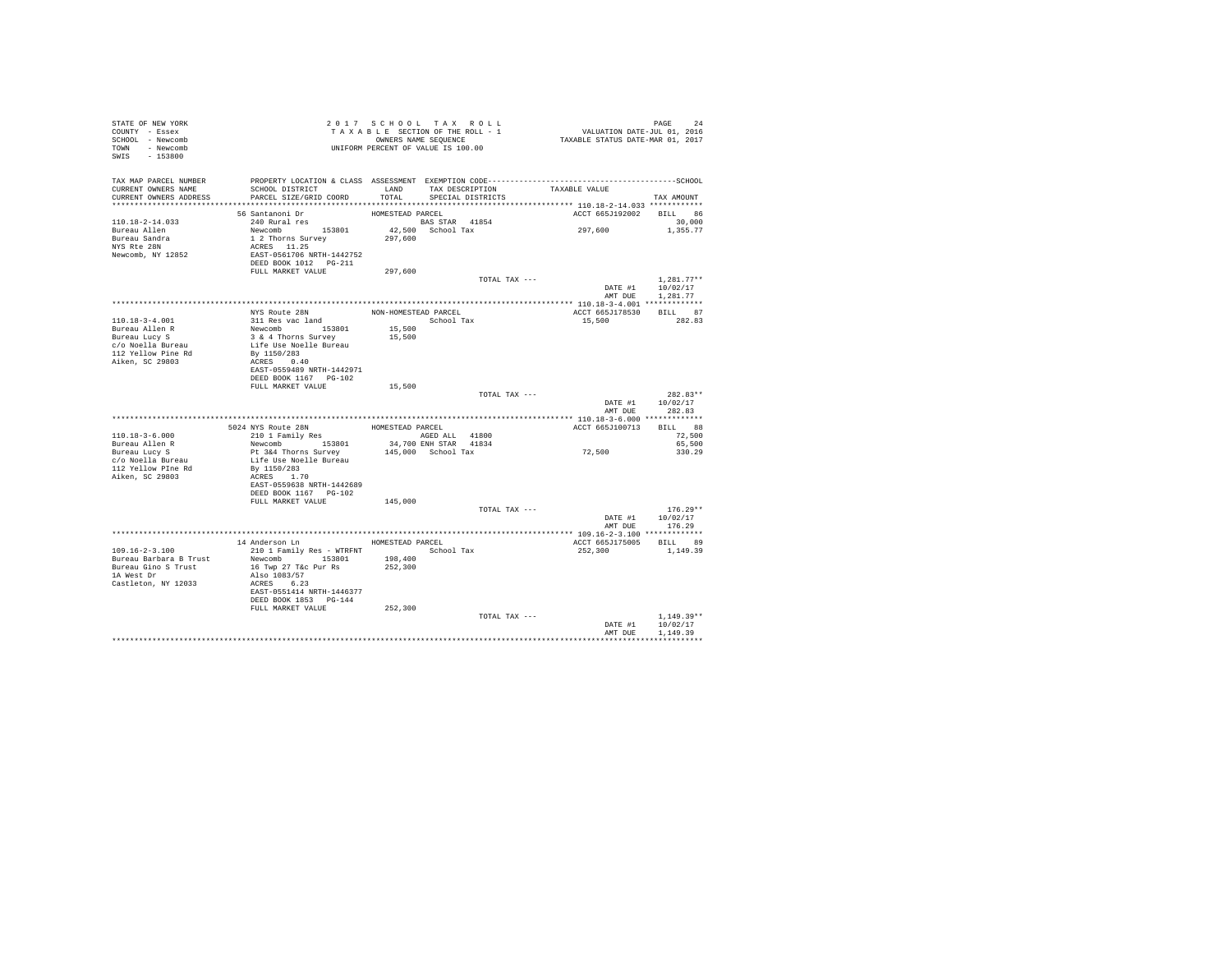| STATE OF NEW YORK<br>COUNTY - Essex<br>SCHOOL - Newcomb<br>TOWN - Newcomb<br>SWIS - 153800    | TAXABLE SECTION OF THE ROLL - 1<br>CONNERS NAME SEQUENCE<br>UNIFORM PERCENT OF VALUE IS 100.00                    | 2017 SCHOOL TAX ROLL |                      |                                    | PAGE 24<br>VALUATION DATE-JUL 01, 2016<br>TAXABLE STATUS DATE-MAR 01, 2017 |                            |
|-----------------------------------------------------------------------------------------------|-------------------------------------------------------------------------------------------------------------------|----------------------|----------------------|------------------------------------|----------------------------------------------------------------------------|----------------------------|
|                                                                                               | TAX MAP PARCEL NUMBER PROPERTY LOCATION & CLASS ASSESSMENT EXEMPTION CODE----------------------------------SCHOOL |                      |                      |                                    |                                                                            |                            |
| CURRENT OWNERS NAME<br>CURRENT OWNERS ADDRESS                                                 | SCHOOL DISTRICT<br>PARCEL SIZE/GRID COORD                                                                         | TOTAL                | SPECIAL DISTRICTS    | LAND TAX DESCRIPTION TAXABLE VALUE |                                                                            | TAX AMOUNT                 |
|                                                                                               |                                                                                                                   |                      |                      |                                    |                                                                            |                            |
|                                                                                               | $56$ Santanoni Dr                                                                                                 |                      |                      |                                    | ACCT 665J192002 BILL 86                                                    |                            |
| 110.18-2-14.033<br>Bureau Allen                                                               |                                                                                                                   |                      |                      |                                    | 297,600                                                                    | 30,000<br>1,355.77         |
| Bureau Sandra<br>NYS Rte 28N                                                                  |                                                                                                                   |                      |                      |                                    |                                                                            |                            |
|                                                                                               |                                                                                                                   |                      |                      |                                    |                                                                            |                            |
| Newcomb, NY 12852                                                                             |                                                                                                                   |                      |                      |                                    |                                                                            |                            |
|                                                                                               |                                                                                                                   |                      |                      |                                    |                                                                            |                            |
|                                                                                               |                                                                                                                   |                      |                      | TOTAL TAX ---                      |                                                                            | $1.281.77**$               |
|                                                                                               |                                                                                                                   |                      |                      |                                    |                                                                            |                            |
|                                                                                               |                                                                                                                   |                      |                      |                                    |                                                                            |                            |
|                                                                                               | NYS Route 28N<br>311 Res vac land                                                                                 |                      | NON-HOMESTEAD PARCEL |                                    | ACCT 665J178530                                                            | BILL 87                    |
| 110.18-3-4.001                                                                                |                                                                                                                   | School Tax<br>15,500 |                      |                                    | 15,500                                                                     | 282.83                     |
|                                                                                               |                                                                                                                   | 15,500               |                      |                                    |                                                                            |                            |
| Bureau Allen R<br>Bureau Lucy S<br>C/O Noella Bureau<br>112 Yellow Pine Rd<br>Aiken, SC 29803 | Newcomb<br>3 & 4 Thorns Survey<br>Life Use Noelle Bureau<br>By 1150/283<br>ACRES 0.40                             |                      |                      |                                    |                                                                            |                            |
|                                                                                               |                                                                                                                   |                      |                      |                                    |                                                                            |                            |
|                                                                                               | EAST-0559489 NRTH-1442971                                                                                         |                      |                      |                                    |                                                                            |                            |
|                                                                                               | DEED BOOK 1167 PG-102                                                                                             |                      |                      |                                    |                                                                            |                            |
|                                                                                               | FULL MARKET VALUE                                                                                                 | 15,500               |                      | TOTAL TAX ---                      |                                                                            | $282.83**$                 |
|                                                                                               |                                                                                                                   |                      |                      |                                    |                                                                            | DATE #1 10/02/17           |
|                                                                                               |                                                                                                                   |                      |                      |                                    |                                                                            | AMT DUE 282.83             |
|                                                                                               |                                                                                                                   |                      |                      |                                    | ACCT 665J100713 BILL 88                                                    |                            |
| 110.18-3-6.000                                                                                | 5024 NYS Route 28N HOMESTEAD PARCEL<br>210 1 Family Res AGED ALL 41800                                            |                      |                      |                                    |                                                                            | 72,500                     |
|                                                                                               | Newcomb 153801 34,700 ENH STAR 41834<br>Pt 3&4 Thorns Survey 145,000 School Tax                                   |                      |                      |                                    | 72,500                                                                     | 65,500                     |
| Bureau Allen R<br>Bureau Lucy S<br>c/o Noella Bureau                                          | Life Use Noelle Bureau                                                                                            |                      |                      |                                    |                                                                            | 330.29                     |
| 112 Yellow PIne Rd                                                                            |                                                                                                                   |                      |                      |                                    |                                                                            |                            |
| Aiken, SC 29803                                                                               | By 1150/283<br>ACRES 1.70                                                                                         |                      |                      |                                    |                                                                            |                            |
|                                                                                               | EAST-0559638 NRTH-1442689<br>DEED BOOK 1167 PG-102                                                                |                      |                      |                                    |                                                                            |                            |
|                                                                                               | FULL MARKET VALUE                                                                                                 | 145,000              |                      |                                    |                                                                            |                            |
|                                                                                               |                                                                                                                   |                      |                      | TOTAL TAX ---                      |                                                                            | $176.29**$                 |
|                                                                                               |                                                                                                                   |                      |                      |                                    | AMT DUE                                                                    | DATE #1 10/02/17<br>176.29 |
|                                                                                               |                                                                                                                   |                      |                      |                                    |                                                                            |                            |
|                                                                                               | 14 Anderson Ln HOMESTEAD PARCEL                                                                                   |                      |                      |                                    | ACCT 665J175005 BILL 89                                                    |                            |
| $109.16 - 2 - 3.100$<br>Bureau Barbara B Trust                                                | 210 1 Family Res - WTRFNT School Tax<br>Newcomb 153801 198,400                                                    |                      |                      |                                    | 252,300 1,149.39                                                           |                            |
| Bureau Gino S Trust                                                                           | 16 Twp 27 T&c Pur Rs                                                                                              | 252,300              |                      |                                    |                                                                            |                            |
| 1A West Dr                                                                                    | Also 1083/57                                                                                                      |                      |                      |                                    |                                                                            |                            |
| Castleton, NY 12033                                                                           | ACRES 6.23<br>EAST-0551414 NRTH-1446377                                                                           |                      |                      |                                    |                                                                            |                            |
|                                                                                               | DEED BOOK 1853 PG-144                                                                                             |                      |                      |                                    |                                                                            |                            |
|                                                                                               | FULL MARKET VALUE                                                                                                 | 252,300              |                      |                                    |                                                                            |                            |
|                                                                                               |                                                                                                                   |                      |                      | TOTAL TAX ---                      | DATE #1                                                                    | $1.149.39**$<br>10/02/17   |
|                                                                                               |                                                                                                                   |                      |                      |                                    | AMT DUE                                                                    | 1,149.39                   |
|                                                                                               |                                                                                                                   |                      |                      |                                    |                                                                            |                            |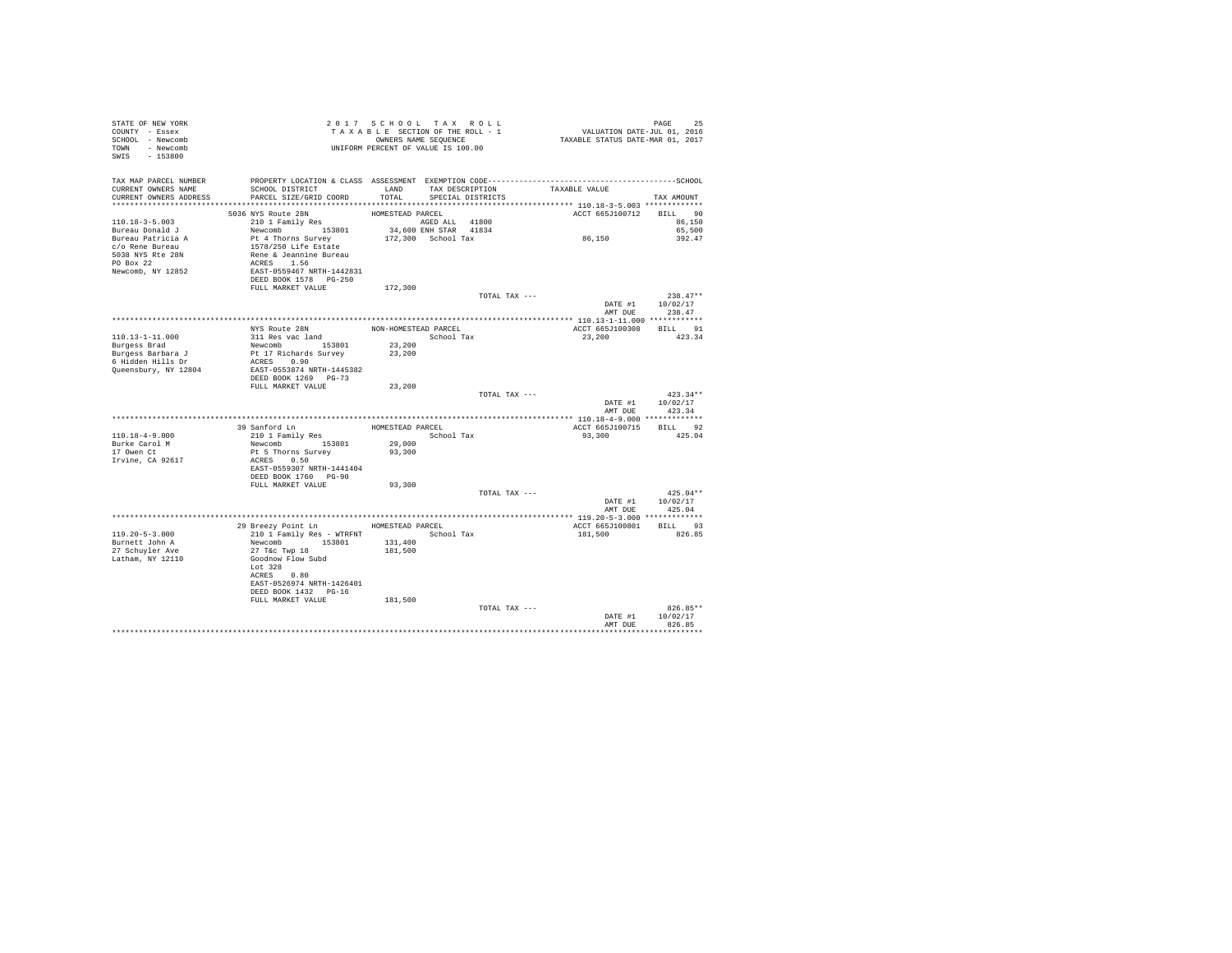| STATE OF NEW YORK<br>COUNTY - Essex<br>SCHOOL - Newcomb<br>TOWN - Newcomb<br>SWIS - 153800                                      | T A X A B B B B B B SEQUENCE<br>UNIFORM PERCENT OF VALUE IS 100.00                                                                                                                                        | 2017 SCHOOL TAX ROLL<br>TAXABLE SECTION OF THE ROLL - 1<br>OWNERS NAME SEQUENCE |                                             |               | PAGE 25<br>VALUATION DATE-JUL 01, 2016<br>TAXABLE STATUS DATE-MAR 01, 2017 |                                                  |
|---------------------------------------------------------------------------------------------------------------------------------|-----------------------------------------------------------------------------------------------------------------------------------------------------------------------------------------------------------|---------------------------------------------------------------------------------|---------------------------------------------|---------------|----------------------------------------------------------------------------|--------------------------------------------------|
| TAX MAP PARCEL NUMBER<br>CURRENT OWNERS NAME<br>CURRENT OWNERS ADDRESS PARCEL SIZE/GRID COORD                                   | PROPERTY LOCATION & CLASS ASSESSMENT EXEMPTION CODE-----------------------------------SCHOOL<br>SCHOOL DISTRICT                                                                                           | LAND<br>TOTAL                                                                   | TAX DESCRIPTION<br>SPECIAL DISTRICTS        |               | TAXABLE VALUE                                                              | TAX AMOUNT                                       |
| 110.18-3-5.003<br>Bureau Donald J<br>Bureau Patricia A<br>c/o Rene Bureau<br>5038 NYS Rte 28N<br>PO Box 22<br>Newcomb, NY 12852 | 5036 NYS Route 28N<br>210 1 Family Res<br>Newcomb 153801<br>DEED BOOK 1578 PG-250                                                                                                                         | HOMESTEAD PARCEL<br>AGED ALL 41800                                              | 34,600 ENH STAR 41834<br>172,300 School Tax |               | ACCT 665J100712<br>86,150                                                  | BILL 90<br>86,150<br>65,500<br>392.47            |
|                                                                                                                                 | FULL MARKET VALUE                                                                                                                                                                                         | 172,300                                                                         |                                             | TOTAL TAX --- | AMT DUE                                                                    | $238.47**$<br>DATE #1 10/02/17<br>238.47         |
| 110.13-1-11.000<br>Burgess Brad<br>Burgess Barbara J<br>6 Hidden Hills Dr<br>Queensbury, NY 12804                               | NYS Route 28N<br>311 Res vac land<br>Newcomb 153801<br>Pt 17 Richards Survey<br>ACRES 0.90<br>EAST-0553874 NRTH-1445382<br>DEED BOOK 1269 PG-73                                                           | NON-HOMESTEAD PARCEL<br>23,200<br>23,200                                        | School Tax                                  |               | 23,200                                                                     | ACCT 665J100308 BILL 91<br>423.34                |
|                                                                                                                                 | FULL MARKET VALUE                                                                                                                                                                                         | 23,200                                                                          |                                             | TOTAL TAX --- | AMT DUE                                                                    | $423.34**$<br>DATE #1   10/02/17<br>423.34       |
| 110.18-4-9.000<br>Burke Carol M<br>17 Owen Ct<br>Irvine, CA 92617                                                               | 39 Sanford Ln<br>210 1 Family Res<br>Newcomb 153801<br>Pt 5 Thorns Survey<br>ACRES 0.50<br>EAST-0559307 NRTH-1441404<br>DEED BOOK 1760 PG-90                                                              | HOMESTEAD PARCEL<br>29,000<br>93,300                                            | School Tax                                  |               | 93,300                                                                     | ACCT 665J100715 BILL 92<br>425.04                |
|                                                                                                                                 | FULL MARKET VALUE                                                                                                                                                                                         | 93,300                                                                          |                                             | TOTAL TAX --- |                                                                            | $425.04**$<br>DATE #1 10/02/17<br>AMT DUE 425.04 |
| $119.20 - 5 - 3.000$<br>Burnett John A<br>27 Schuvler Ave<br>Latham, NY 12110                                                   | 29 Breezy Point Ln MOMESTEAD PARCEL<br>210 1 Family Res - WTRFNT<br>Newcomb 153801<br>27 T&C Twp 18<br>Goodnow Flow Subd<br>Lot 328<br>ACRES 0.80<br>EAST-0526974 NRTH-1426401<br>DEED BOOK 1432    PG-16 | 131,400<br>181,500                                                              |                                             | School Tax    | 181,500                                                                    | ACCT 665J100801 BILL 93<br>826.85                |
|                                                                                                                                 | FULL MARKET VALUE                                                                                                                                                                                         | 181,500                                                                         |                                             | TOTAL TAX --- | DATE #1<br>AMT DUE                                                         | 826.85**<br>10/02/17<br>826.85<br>***********    |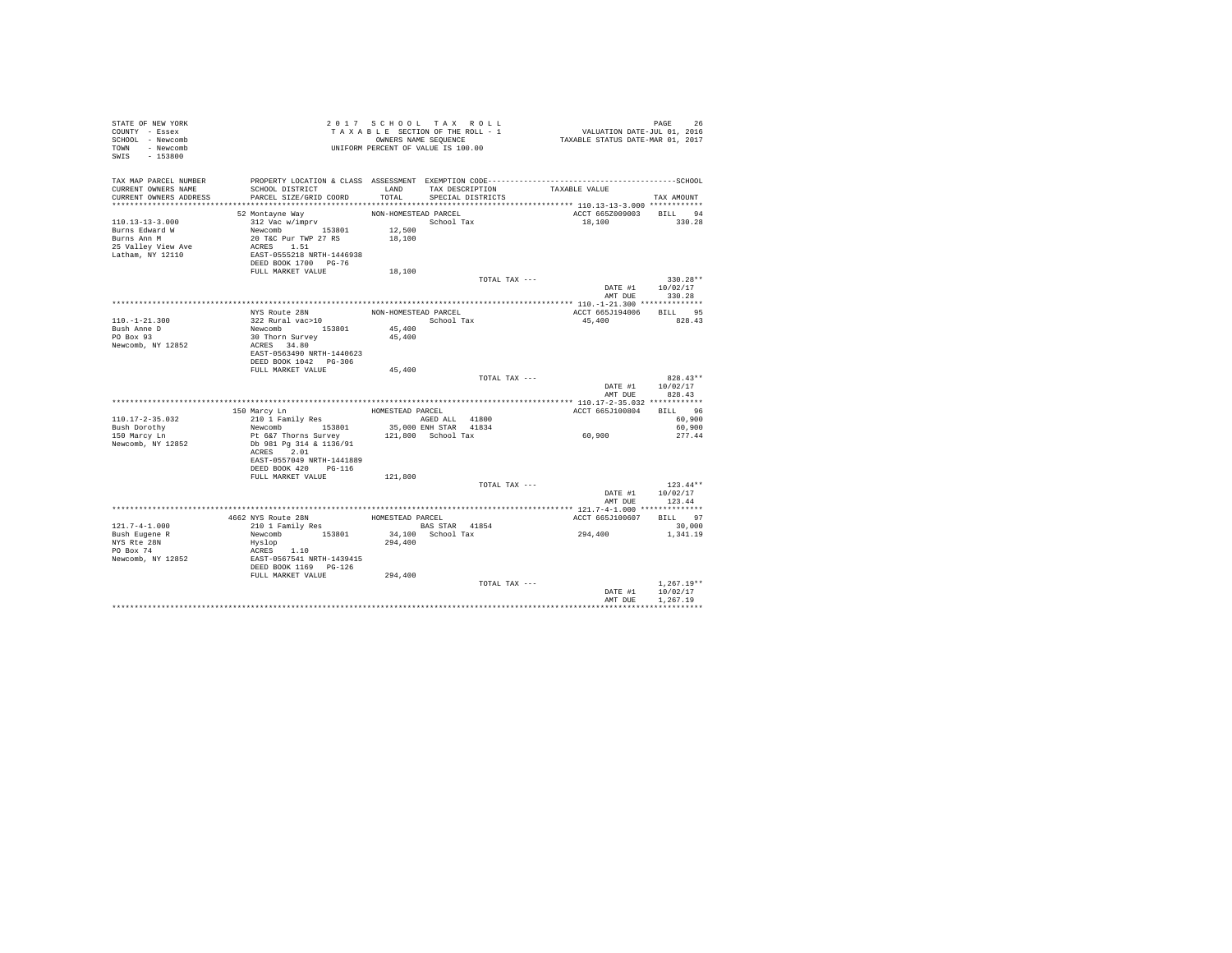| STATE OF NEW YORK      |                                                                                              | 2017 SCHOOL TAX ROLL               |                   |                         | 26               |
|------------------------|----------------------------------------------------------------------------------------------|------------------------------------|-------------------|-------------------------|------------------|
| COUNTY - Essex         |                                                                                              |                                    |                   |                         |                  |
| SCHOOL - Newcomb       |                                                                                              |                                    |                   |                         |                  |
| TOWN - Newcomb         |                                                                                              | UNIFORM PERCENT OF VALUE IS 100.00 |                   |                         |                  |
| SWIS - 153800          |                                                                                              |                                    |                   |                         |                  |
|                        |                                                                                              |                                    |                   |                         |                  |
| TAX MAP PARCEL NUMBER  | PROPERTY LOCATION & CLASS ASSESSMENT EXEMPTION CODE-----------------------------------SCHOOL |                                    |                   |                         |                  |
| CURRENT OWNERS NAME    | SCHOOL DISTRICT                                                                              | LAND                               | TAX DESCRIPTION   | TAXABLE VALUE           |                  |
| CURRENT OWNERS ADDRESS | PARCEL SIZE/GRID COORD                                                                       | TOTAL                              | SPECIAL DISTRICTS |                         | TAX AMOUNT       |
|                        |                                                                                              |                                    |                   |                         |                  |
|                        | 52 Montayne Way                                                                              | NON-HOMESTEAD PARCEL               |                   | ACCT 665Z009003 BILL 94 |                  |
| 110.13-13-3.000        | 312 Vac w/imprv                                                                              | School Tax                         |                   | 18,100 330.28           |                  |
| Burns Edward W         |                                                                                              | 12,500                             |                   |                         |                  |
| Burns Ann M            | Newcomb 153801<br>20 T&C Pur TWP 27 RS                                                       | 18,100                             |                   |                         |                  |
| 25 Valley View Ave     | ACRES 1.51                                                                                   |                                    |                   |                         |                  |
| Latham, NY 12110       | EAST-0555218 NRTH-1446938                                                                    |                                    |                   |                         |                  |
|                        | DEED BOOK 1700 PG-76                                                                         |                                    |                   |                         |                  |
|                        | FULL MARKET VALUE                                                                            | 18,100                             |                   |                         |                  |
|                        |                                                                                              |                                    | TOTAL TAX ---     |                         | $330.28**$       |
|                        |                                                                                              |                                    |                   |                         | DATE #1 10/02/17 |
|                        |                                                                                              |                                    |                   | AMT DUR                 | 330.28           |
|                        |                                                                                              |                                    |                   |                         |                  |
|                        | NYS Route 28N                                                                                | NON-HOMESTEAD PARCEL               |                   | ACCT 665J194006 BILL 95 |                  |
| $110. - 1 - 21.300$    | 322 Rural vac>10                                                                             | School Tax                         |                   | 45,400                  | 828.43           |
| Bush Anne D            | Newcomb 153801                                                                               | 45,400                             |                   |                         |                  |
| PO Box 93              | 30 Thorn Survey                                                                              | 45,400                             |                   |                         |                  |
| Newcomb, NY 12852      | ACRES 34.80                                                                                  |                                    |                   |                         |                  |
|                        | EAST-0563490 NRTH-1440623                                                                    |                                    |                   |                         |                  |
|                        | DEED BOOK 1042 PG-306                                                                        |                                    |                   |                         |                  |
|                        | FULL MARKET VALUE                                                                            | 45,400                             |                   |                         |                  |
|                        |                                                                                              |                                    | TOTAL TAX ---     |                         | $828.43**$       |
|                        |                                                                                              |                                    |                   | DATE #1                 | 10/02/17         |
|                        |                                                                                              |                                    |                   | AMT DUE                 | 828.43           |
|                        |                                                                                              |                                    |                   |                         |                  |
|                        |                                                                                              |                                    |                   | ACCT 665J100804 BILL 96 |                  |
| $110.17 - 2 - 35.032$  | 150 Marcy Ln<br>210 1 Family Res<br>Res BORD ALL 41800                                       | AGED ALL 41800                     |                   |                         | 60,900           |
| Bush Dorothy           | Newcomb 153801                                                                               | 35,000 ENH STAR 41834              |                   |                         | 60,900           |
| 150 Marcy Ln           | Pt 6&7 Thorns Survey                                                                         | 121,800 School Tax                 |                   | 60,900                  | 277.44           |
| Newcomb, NY 12852      | Db 981 Pg 314 & 1136/91                                                                      |                                    |                   |                         |                  |
|                        | ACRES 2.01                                                                                   |                                    |                   |                         |                  |
|                        | EAST-0557049 NRTH-1441889                                                                    |                                    |                   |                         |                  |
|                        | DEED BOOK 420 PG-116                                                                         |                                    |                   |                         |                  |
|                        | FULL MARKET VALUE                                                                            | 121,800                            |                   |                         |                  |
|                        |                                                                                              |                                    | TOTAL TAX ---     |                         | $123.44**$       |
|                        |                                                                                              |                                    |                   | DATE #1                 | 10/02/17         |
|                        |                                                                                              |                                    |                   | AMT DUE                 | 123.44           |
|                        |                                                                                              |                                    |                   |                         |                  |
|                        |                                                                                              |                                    |                   | ACCT 665J100607 BILL 97 |                  |
| $121.7 - 4 - 1.000$    | 4662 NYS Route 28N HOMESTEAD PARCEL<br>210 1 Family Res BAS STP                              | <b>BAS STAR</b> 41854              |                   |                         | 30,000           |
| Bush Eugene R          | Newcomb 153801                                                                               | 34,100 School Tax                  |                   | 294,400                 | 1,341.19         |
| NYS Rte 28N            | Hyslop                                                                                       | 294,400                            |                   |                         |                  |
| PO Box 74              | ACRES 1.10                                                                                   |                                    |                   |                         |                  |
| Newcomb, NY 12852      | EAST-0567541 NRTH-1439415                                                                    |                                    |                   |                         |                  |
|                        | DEED BOOK 1169 PG-126                                                                        |                                    |                   |                         |                  |
|                        | FULL MARKET VALUE                                                                            | 294,400                            |                   |                         |                  |
|                        |                                                                                              |                                    | TOTAL TAX ---     |                         | $1.267.19**$     |
|                        |                                                                                              |                                    |                   |                         | DATE #1 10/02/17 |
|                        |                                                                                              |                                    |                   | AMT DUE                 | 1,267.19         |
|                        |                                                                                              |                                    |                   |                         |                  |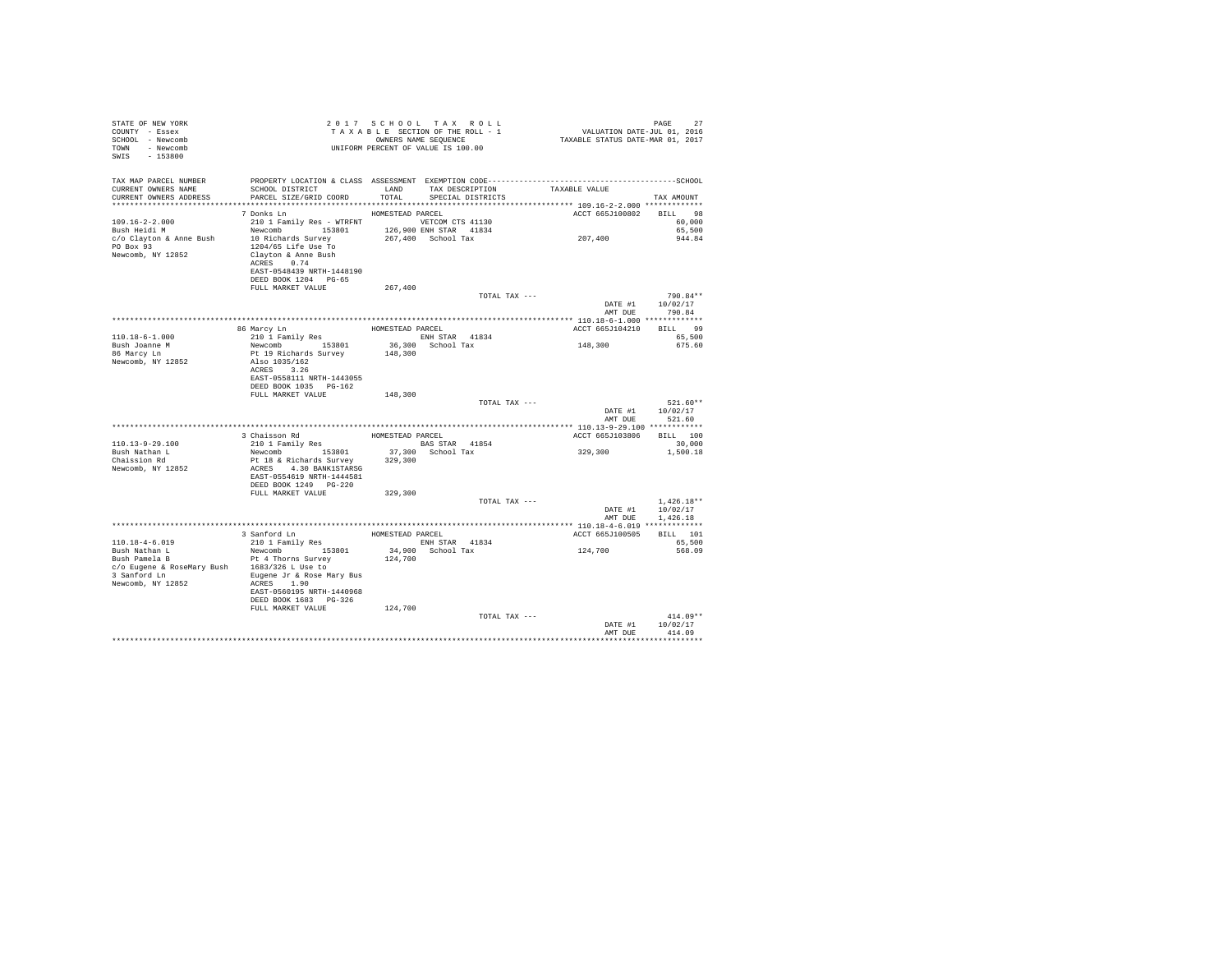| STATE OF NEW YORK<br>COUNTY - Essex<br>SCHOOL - Newcomb<br>TOWN - Newcomb<br>SWIS - 153800                                                                                                                                                                                                                                                                                                                                                                                                                                                                    |                                                                                                                                                         | 2017 SCHOOL TAX ROLL<br>UNIFORM PERCENT OF VALUE IS 100.00 |                   |         |                             | PAGE<br>27                 |
|---------------------------------------------------------------------------------------------------------------------------------------------------------------------------------------------------------------------------------------------------------------------------------------------------------------------------------------------------------------------------------------------------------------------------------------------------------------------------------------------------------------------------------------------------------------|---------------------------------------------------------------------------------------------------------------------------------------------------------|------------------------------------------------------------|-------------------|---------|-----------------------------|----------------------------|
| TAX MAP PARCEL NUMBER PROPERTY LOCATION & CLASS ASSESSMENT EXEMPTION CODE----------------------------------SCHOOL<br>CURRENT OWNERS NAME<br>CURRENT OWNERS ADDRESS                                                                                                                                                                                                                                                                                                                                                                                            | ${\tt SCH OOL\ DISTRICT} \hspace{2.0cm} {\tt LAND} \hspace{2.0cm} {\tt TAX\ DESCRIPTION} \hspace{2.0cm} {\tt TAXABLE\ VALUE}$<br>PARCEL SIZE/GRID COORD | TOTAL                                                      | SPECIAL DISTRICTS |         |                             | TAX AMOUNT                 |
|                                                                                                                                                                                                                                                                                                                                                                                                                                                                                                                                                               | 7 Donks Ln                                                                                                                                              | HOMESTEAD PARCEL                                           |                   |         | ACCT 665J100802 BILL 98     |                            |
| $109.16 - 2 - 2.000$<br>Bush Heidi M<br>Eush Heidi M Mewcomb 153801 126,900 ENH STAR 41834<br>c/o Clayton & Anne Bush 10 Richards Survey 267,400 School Tax<br>PO Box 93<br>Newcomb, NY 12852                                                                                                                                                                                                                                                                                                                                                                 | 210 1 Family Res - WTRFNT VETCOM CTS 41130<br>1204/65 Life Use To<br>Clayton & Anne Bush                                                                |                                                            |                   | 207,400 |                             | 60,000<br>65,500<br>944.84 |
|                                                                                                                                                                                                                                                                                                                                                                                                                                                                                                                                                               | ACRES 0.74<br>EAST-0548439 NRTH-1448190<br>DEED BOOK 1204 PG-65                                                                                         |                                                            |                   |         |                             |                            |
|                                                                                                                                                                                                                                                                                                                                                                                                                                                                                                                                                               | FULL MARKET VALUE                                                                                                                                       | 267,400                                                    |                   |         |                             |                            |
|                                                                                                                                                                                                                                                                                                                                                                                                                                                                                                                                                               |                                                                                                                                                         |                                                            | TOTAL TAX ---     |         | DATE #1 10/02/17<br>AMT DUE | 790.84**<br>790.84         |
|                                                                                                                                                                                                                                                                                                                                                                                                                                                                                                                                                               |                                                                                                                                                         |                                                            |                   |         |                             |                            |
|                                                                                                                                                                                                                                                                                                                                                                                                                                                                                                                                                               | 86 Marcy Ln HOMESTEAD PARCEL                                                                                                                            |                                                            |                   |         | ACCT 665J104210 BILL 99     |                            |
| $110.18 - 6 - 1.000$<br>Bush Joanne M                                                                                                                                                                                                                                                                                                                                                                                                                                                                                                                         | 210 1 Family Res<br>210 1 Family Res ENH STAR 41834<br>Newcomb 153801 36,300 School Tax                                                                 |                                                            |                   | 148,300 |                             | 65,500<br>675.60           |
| 86 Marcy Ln                                                                                                                                                                                                                                                                                                                                                                                                                                                                                                                                                   | Pt 19 Richards Survey                                                                                                                                   | 148,300                                                    |                   |         |                             |                            |
| Newcomb, NY 12852                                                                                                                                                                                                                                                                                                                                                                                                                                                                                                                                             | Also 1035/162                                                                                                                                           |                                                            |                   |         |                             |                            |
|                                                                                                                                                                                                                                                                                                                                                                                                                                                                                                                                                               | ACRES 3.26<br>EAST-0558111 NRTH-1443055                                                                                                                 |                                                            |                   |         |                             |                            |
|                                                                                                                                                                                                                                                                                                                                                                                                                                                                                                                                                               | DEED BOOK 1035 PG-162                                                                                                                                   |                                                            |                   |         |                             |                            |
|                                                                                                                                                                                                                                                                                                                                                                                                                                                                                                                                                               | FULL MARKET VALUE                                                                                                                                       | 148,300                                                    |                   |         |                             |                            |
|                                                                                                                                                                                                                                                                                                                                                                                                                                                                                                                                                               |                                                                                                                                                         |                                                            | TOTAL TAX ---     |         |                             | $521.60**$                 |
|                                                                                                                                                                                                                                                                                                                                                                                                                                                                                                                                                               |                                                                                                                                                         |                                                            |                   |         | AMT DUE                     | DATE #1 10/02/17<br>521.60 |
|                                                                                                                                                                                                                                                                                                                                                                                                                                                                                                                                                               |                                                                                                                                                         |                                                            |                   |         |                             |                            |
|                                                                                                                                                                                                                                                                                                                                                                                                                                                                                                                                                               | 3 Chaisson Rd<br>210 1 Family Res                                                                                                                       | HOMESTEAD PARCEL                                           |                   |         | ACCT 665J103806 BILL 100    |                            |
| 110.13-9-29.100<br>Bush Nathan L                                                                                                                                                                                                                                                                                                                                                                                                                                                                                                                              | 210 1 Family Res BAS STAR 41854<br>Newcomb 153801 37,300 School Tax                                                                                     |                                                            |                   |         | 329, 300                    | 30,000<br>1,500.18         |
| Chaission Rd                                                                                                                                                                                                                                                                                                                                                                                                                                                                                                                                                  | Pt 18 & Richards Survey                                                                                                                                 | 329,300                                                    |                   |         |                             |                            |
| Newcomb, NY 12852                                                                                                                                                                                                                                                                                                                                                                                                                                                                                                                                             | ACRES 4.30 BANK1STARSG                                                                                                                                  |                                                            |                   |         |                             |                            |
|                                                                                                                                                                                                                                                                                                                                                                                                                                                                                                                                                               | EAST-0554619 NRTH-1444581                                                                                                                               |                                                            |                   |         |                             |                            |
|                                                                                                                                                                                                                                                                                                                                                                                                                                                                                                                                                               | DEED BOOK 1249 PG-220<br>FULL MARKET VALUE                                                                                                              | 329,300                                                    |                   |         |                             |                            |
|                                                                                                                                                                                                                                                                                                                                                                                                                                                                                                                                                               |                                                                                                                                                         |                                                            | TOTAL TAX ---     |         |                             | $1,426.18**$               |
|                                                                                                                                                                                                                                                                                                                                                                                                                                                                                                                                                               |                                                                                                                                                         |                                                            |                   |         |                             | DATE #1 10/02/17           |
|                                                                                                                                                                                                                                                                                                                                                                                                                                                                                                                                                               |                                                                                                                                                         |                                                            |                   |         | AMT DUE                     | 1,426.18                   |
|                                                                                                                                                                                                                                                                                                                                                                                                                                                                                                                                                               |                                                                                                                                                         |                                                            |                   |         | ACCT 665J100505             | BILL 101                   |
|                                                                                                                                                                                                                                                                                                                                                                                                                                                                                                                                                               | 210 1 Family Res ENH STAR 41834<br>Newcomb 153801 34,900 School Tax                                                                                     |                                                            |                   |         |                             | 65,500                     |
| $110.18-4-6.019$<br>Bush Nathan L<br>Bush Pamela B                                                                                                                                                                                                                                                                                                                                                                                                                                                                                                            |                                                                                                                                                         | 124,700                                                    |                   | 124,700 |                             | 568.09                     |
| Bush Pamela B<br>$c/0 \text{ Suppose } k \text{ R} \text{ for all } k \text{ and } k \text{ and } k \text{ for all } k \text{ and } k \text{ and } k \text{ for all } k \text{ and } k \text{ and } k \text{ and } k \text{ for all } k \text{ and } k \text{ and } k \text{ for all } k \text{ and } k \text{ and } k \text{ for all } k \text{ and } k \text{ and } k \text{ for all } k \text{ and } k \text{ for all } k \text{ and } k \text{ for all } k \text{ and } k \text{ for all } k \text{ and } k \text{ for all } k \text{ and } k \text{ for$ |                                                                                                                                                         |                                                            |                   |         |                             |                            |
|                                                                                                                                                                                                                                                                                                                                                                                                                                                                                                                                                               |                                                                                                                                                         |                                                            |                   |         |                             |                            |
| Newcomb, NY 12852                                                                                                                                                                                                                                                                                                                                                                                                                                                                                                                                             | ACRES 1.90<br>EAST-0560195 NRTH-1440968                                                                                                                 |                                                            |                   |         |                             |                            |
|                                                                                                                                                                                                                                                                                                                                                                                                                                                                                                                                                               | DEED BOOK 1683 PG-326                                                                                                                                   |                                                            |                   |         |                             |                            |
|                                                                                                                                                                                                                                                                                                                                                                                                                                                                                                                                                               | FULL MARKET VALUE                                                                                                                                       | 124,700                                                    |                   |         |                             |                            |
|                                                                                                                                                                                                                                                                                                                                                                                                                                                                                                                                                               |                                                                                                                                                         |                                                            | TOTAL TAX ---     |         |                             | $414.09**$                 |
|                                                                                                                                                                                                                                                                                                                                                                                                                                                                                                                                                               |                                                                                                                                                         |                                                            |                   |         | AMT DHE                     | DATE #1 10/02/17<br>414.09 |
|                                                                                                                                                                                                                                                                                                                                                                                                                                                                                                                                                               |                                                                                                                                                         |                                                            |                   |         |                             | **********                 |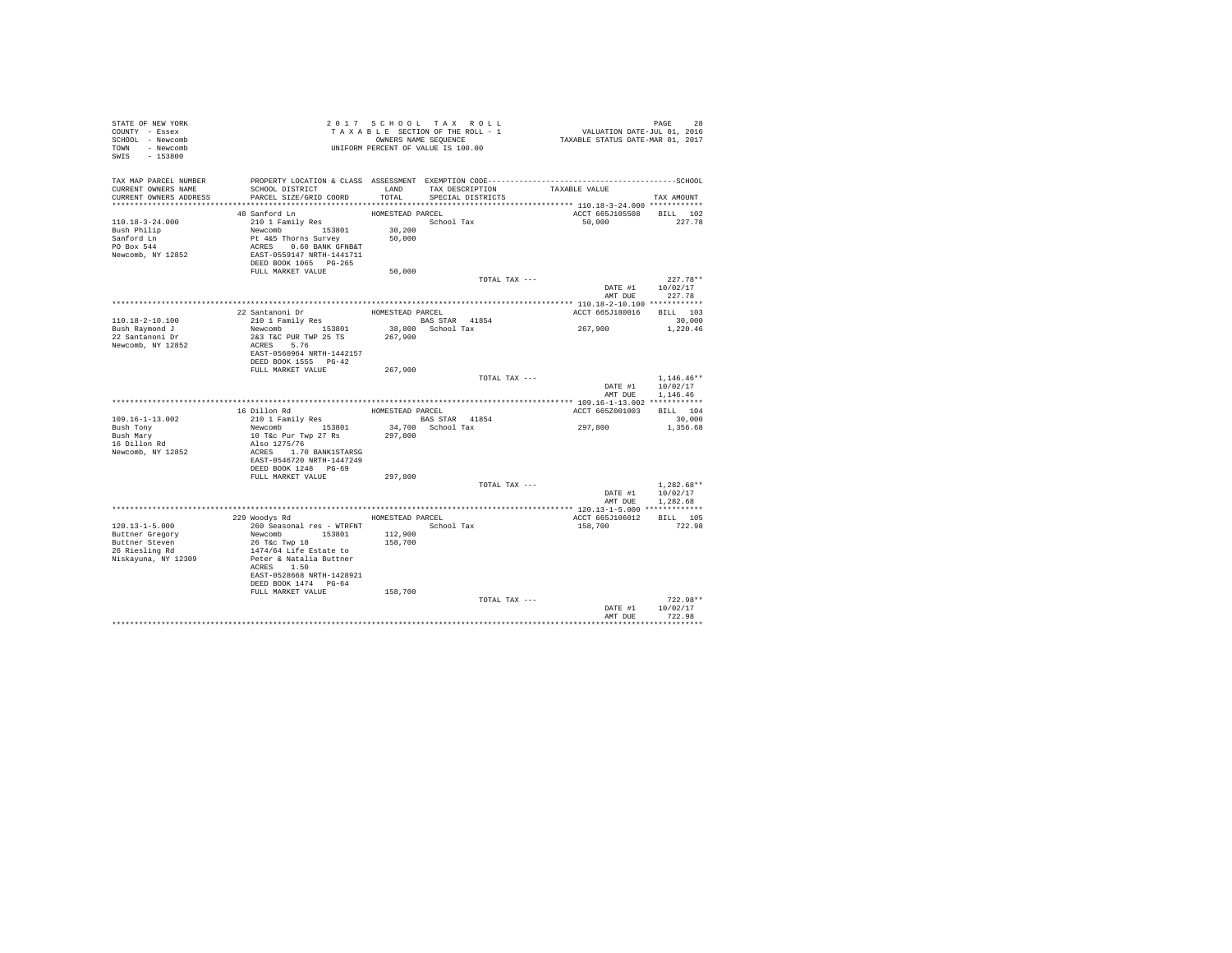| STATE OF NEW YORK<br>COUNTY - Essex<br>SCHOOL - Newcomb<br>TOWN - Newcomb<br>SWIS - 153800         |                                                                                                                                                                                                       | 2017 SCHOOL TAX ROLL<br>TAXABLE SECTION OF THE ROLL - 1<br>OWNERS NAME SEQUENCE<br>UNIFORM PERCENT OF VALUE IS 100.00 |                                           | PAGE 28<br>VALUATION DATE-JUL 01, 2016<br>TAXABLE STATUS DATE-MAR 01, 2017 |                                              |
|----------------------------------------------------------------------------------------------------|-------------------------------------------------------------------------------------------------------------------------------------------------------------------------------------------------------|-----------------------------------------------------------------------------------------------------------------------|-------------------------------------------|----------------------------------------------------------------------------|----------------------------------------------|
| TAX MAP PARCEL NUMBER<br>CURRENT OWNERS NAME<br>CURRENT OWNERS ADDRESS                             | PROPERTY LOCATION & CLASS ASSESSMENT EXEMPTION CODE-----------------------<br>SCHOOL DISTRICT<br>PARCEL SIZE/GRID COORD                                                                               | TOTAL                                                                                                                 | LAND TAX DESCRIPTION<br>SPECIAL DISTRICTS | TAXABLE VALUE                                                              | ----------------SCHOOL<br>TAX AMOUNT         |
|                                                                                                    |                                                                                                                                                                                                       |                                                                                                                       |                                           |                                                                            |                                              |
| $110.18 - 3 - 24.000$<br>Bush Philip<br>Sanford Ln<br>PO Box 544<br>Newcomb, NY 12852              | 48 Sanford Ln<br>210 1 Family Res<br>Newcomb 153801 30,200<br>Pt 4&5 Thorns Survey 50,000<br>ACRES 0.60 BANK GFNB&T<br>EAST-0559147 NRTH-1441711<br>DEED BOOK 1065 PG-265                             | HOMESTEAD PARCEL<br>School Tax                                                                                        |                                           | ACCT 665J105508 BILL 102<br>50,000                                         | 227.78                                       |
|                                                                                                    | FULL MARKET VALUE                                                                                                                                                                                     | 50,000                                                                                                                |                                           |                                                                            |                                              |
|                                                                                                    |                                                                                                                                                                                                       |                                                                                                                       | TOTAL TAX ---                             | DATE #1<br>AMT DUE                                                         | $227.78**$<br>10/02/17<br>227.78             |
|                                                                                                    |                                                                                                                                                                                                       |                                                                                                                       |                                           |                                                                            |                                              |
| 110.18-2-10.100                                                                                    | 22 Santanoni Dr<br>210 1 Family Res                                                                                                                                                                   | HOMESTEAD PARCEL<br><b>BAS STAR</b> 41854                                                                             |                                           | ACCT 665J180016<br>267,900                                                 | BILL 103<br>30,000                           |
| Bush Raymond J<br>22 Santanoni Dr<br>Newcomb, NY 12852                                             | Newcomb 153801<br>2&3 T&C PUR TWP 25 TS<br>ACRES 5.76<br>EAST-0560964 NRTH-1442157                                                                                                                    | 38,800 School Tax<br>267,900                                                                                          |                                           |                                                                            | 1,220.46                                     |
|                                                                                                    | DEED BOOK 1555 PG-42<br>FULL MARKET VALUE                                                                                                                                                             | 267,900                                                                                                               |                                           |                                                                            |                                              |
|                                                                                                    |                                                                                                                                                                                                       |                                                                                                                       | TOTAL TAX ---                             | DATE #1<br>AMT DUE                                                         | $1,146.46**$<br>10/02/17<br>1,146.46         |
|                                                                                                    |                                                                                                                                                                                                       |                                                                                                                       |                                           |                                                                            |                                              |
|                                                                                                    | 16 Dillon Rd                                                                                                                                                                                          | HOMESTEAD PARCEL                                                                                                      |                                           | ACCT 665Z001003                                                            | BILL 104                                     |
| 109.16-1-13.002                                                                                    | 210 1 Family Res                                                                                                                                                                                      | <b>BAS STAR</b> 41854                                                                                                 |                                           |                                                                            | 30,000                                       |
| Bush Tony<br>Bush Mary<br>16 Dillon Rd<br>Newcomb, NY 12852                                        | Newcomb 153801<br>10 T&c Pur Twp 27 Rs<br>Also 1275/76<br>ACRES 1.70 BANK1STARSG<br>EAST-0546720 NRTH-1447249<br>DEED BOOK 1248 PG-69                                                                 | 34,700 School Tax<br>297.800                                                                                          |                                           | 297,800                                                                    | 1,356.68                                     |
|                                                                                                    | FULL MARKET VALUE                                                                                                                                                                                     | 297,800                                                                                                               |                                           |                                                                            |                                              |
|                                                                                                    |                                                                                                                                                                                                       |                                                                                                                       | TOTAL TAX ---                             | DATE #1                                                                    | $1,282.68**$<br>10/02/17<br>AMT DUE 1,282.68 |
|                                                                                                    |                                                                                                                                                                                                       |                                                                                                                       |                                           |                                                                            |                                              |
| $120.13 - 1 - 5.000$<br>Buttner Gregory<br>Buttner Steven<br>26 Riesling Rd<br>Niskayuna, NY 12309 | 229 Woodys Rd<br>260 Seasonal res - WTRFNT<br>Newcomb 153801<br>26 T&c Twp 18<br>1474/64 Life Estate to<br>Peter & Natalia Buttner<br>ACRES 1.50<br>EAST-0528668 NRTH-1428921<br>DEED BOOK 1474 PG-64 | HOMESTEAD PARCEL<br>School Tax<br>112,900<br>158,700                                                                  |                                           | ACCT 665J106012<br>158,700                                                 | BILL 105<br>722.98                           |
|                                                                                                    | FULL MARKET VALUE                                                                                                                                                                                     | 158,700                                                                                                               | TOTAL TAX ---                             | DATE #1<br>AMT DUE                                                         | $722.98**$<br>10/02/17<br>722.98<br>         |
|                                                                                                    |                                                                                                                                                                                                       |                                                                                                                       |                                           |                                                                            |                                              |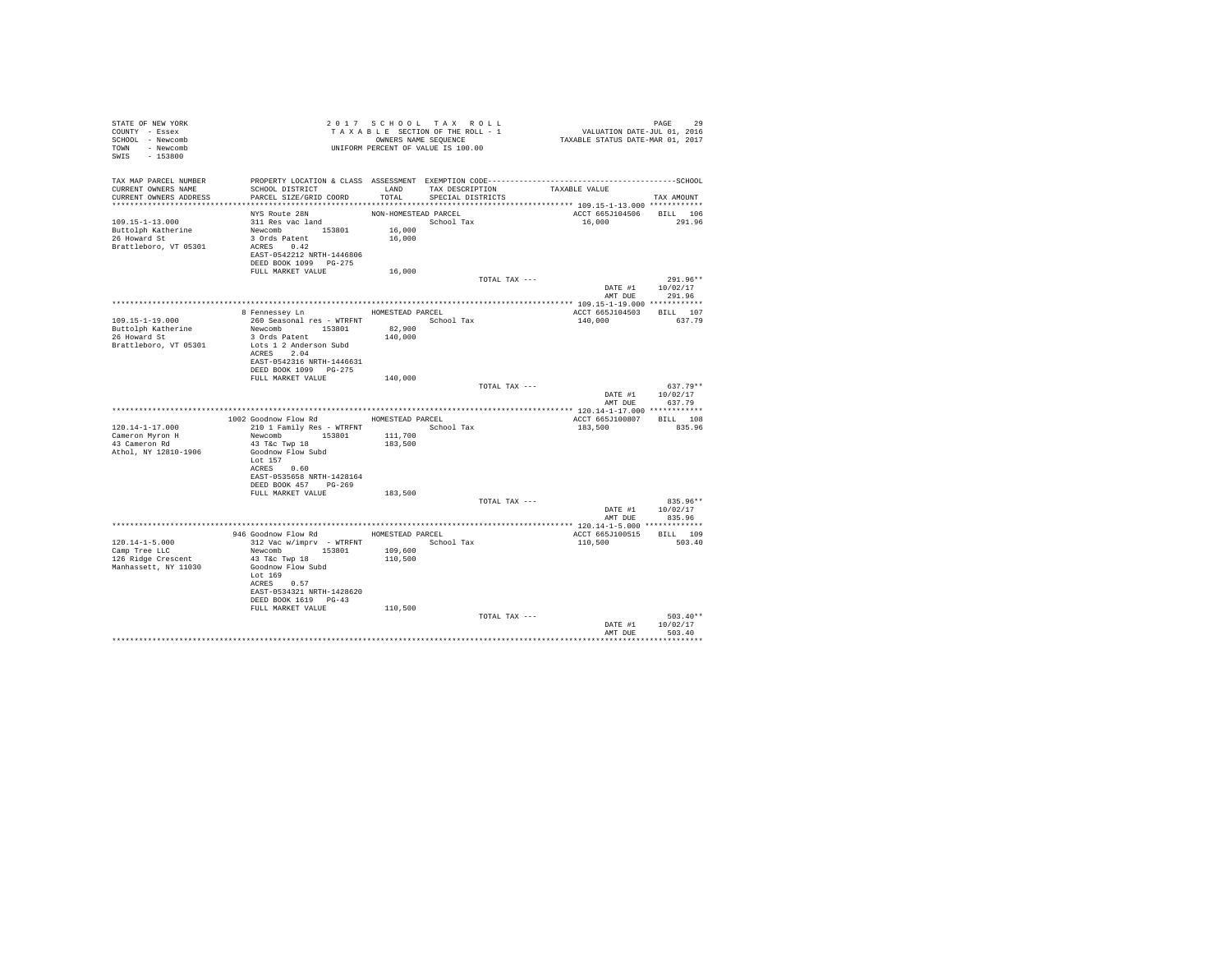| STATE OF NEW YORK<br>COUNTY - Essex<br>SCHOOL - Newcomb<br>TOWN - Newcomb<br>SWIS - 153800 |                                                                                             |                      | 2017 SCHOOL TAX ROLL<br>TAXABLE SECTION OF THE ROLL - 1<br>OWNERS NAME SEQUENCE | PAGE 29<br>VALUATION DATE-JUL 01, 2016<br>TAXABLE STATUS DATE-MAR 01, 2017 |                    |
|--------------------------------------------------------------------------------------------|---------------------------------------------------------------------------------------------|----------------------|---------------------------------------------------------------------------------|----------------------------------------------------------------------------|--------------------|
| TAX MAP PARCEL NUMBER                                                                      |                                                                                             |                      |                                                                                 |                                                                            |                    |
| CURRENT OWNERS NAME                                                                        | SCHOOL DISTRICT                                                                             | LAND                 | TAX DESCRIPTION TAXABLE VALUE                                                   |                                                                            |                    |
| CURRENT OWNERS ADDRESS                                                                     | PARCEL SIZE/GRID COORD                                                                      | TOTAL                | SPECIAL DISTRICTS                                                               |                                                                            | TAX AMOUNT         |
|                                                                                            | NYS Route 28N                                                                               | NON-HOMESTEAD PARCEL |                                                                                 | ACCT 665J104506                                                            | BILL 106           |
| 109.15-1-13.000                                                                            | 311 Res vac land                                                                            | 16,000               | School Tax                                                                      | 16,000                                                                     | 291.96             |
| Buttolph Katherine<br>26 Howard St                                                         | Newcomb 153801                                                                              |                      |                                                                                 |                                                                            |                    |
| Brattleboro, VT 05301                                                                      | 3 Ords Patent<br>ACRES 0.42                                                                 | 16,000               |                                                                                 |                                                                            |                    |
|                                                                                            | EAST-0542212 NRTH-1446806                                                                   |                      |                                                                                 |                                                                            |                    |
|                                                                                            | DEED BOOK 1099 PG-275                                                                       |                      |                                                                                 |                                                                            |                    |
|                                                                                            | FULL MARKET VALUE                                                                           | 16,000               | TOTAL TAX ---                                                                   |                                                                            | $291.96**$         |
|                                                                                            |                                                                                             |                      |                                                                                 |                                                                            | DATE #1 10/02/17   |
|                                                                                            |                                                                                             |                      |                                                                                 | AMT DUE                                                                    | 291.96             |
|                                                                                            |                                                                                             |                      |                                                                                 |                                                                            |                    |
| 109.15-1-19.000                                                                            | 8 Fennessey Ln HOMESTEAD PARCEL<br>260 Seasonal res - WTRFNT                 School Tax     |                      |                                                                                 | ACCT 665J104503<br>140,000                                                 | BILL 107<br>637.79 |
| Buttolph Katherine<br>26 Howard St                                                         | Newcomb 153801                                                                              | 82,900               |                                                                                 |                                                                            |                    |
|                                                                                            | 3 Ords Patent                                                                               | 140,000              |                                                                                 |                                                                            |                    |
| Brattleboro, VT 05301                                                                      | Lots 1 2 Anderson Subd<br>ACRES 2.04                                                        |                      |                                                                                 |                                                                            |                    |
|                                                                                            | EAST-0542316 NRTH-1446631                                                                   |                      |                                                                                 |                                                                            |                    |
|                                                                                            | DEED BOOK 1099 PG-275                                                                       |                      |                                                                                 |                                                                            |                    |
|                                                                                            | FULL MARKET VALUE                                                                           | 140,000              | TOTAL TAX ---                                                                   |                                                                            | $637.79**$         |
|                                                                                            |                                                                                             |                      |                                                                                 |                                                                            | DATE #1 10/02/17   |
|                                                                                            |                                                                                             |                      |                                                                                 |                                                                            | AMT DUE 637.79     |
|                                                                                            |                                                                                             |                      |                                                                                 |                                                                            |                    |
| $120.14 - 1 - 17.000$                                                                      | 1002 Goodnow Flow Rd MOMESTEAD PARCEL<br>210 1 Family Res - WTRFNT               School Tax |                      |                                                                                 | ACCT 665J100807 BILL 108<br>183,500                                        | 835.96             |
| Cameron Myron H                                                                            | Newcomb 153801 111,700                                                                      |                      |                                                                                 |                                                                            |                    |
| 43 Cameron Rd                                                                              | 43 T&C Twp 18                                                                               | 183,500              |                                                                                 |                                                                            |                    |
| Athol, NY 12810-1906                                                                       | Goodnow Flow Subd<br>Lot 157                                                                |                      |                                                                                 |                                                                            |                    |
|                                                                                            | ACRES 0.60                                                                                  |                      |                                                                                 |                                                                            |                    |
|                                                                                            | EAST-0535658 NRTH-1428164                                                                   |                      |                                                                                 |                                                                            |                    |
|                                                                                            | DEED BOOK 457 PG-269                                                                        |                      |                                                                                 |                                                                            |                    |
|                                                                                            | FULL MARKET VALUE                                                                           | 183,500              | TOTAL TAX ---                                                                   |                                                                            | 835.96**           |
|                                                                                            |                                                                                             |                      |                                                                                 |                                                                            | DATE #1 10/02/17   |
|                                                                                            |                                                                                             |                      |                                                                                 | AMT DUE                                                                    | 835.96             |
|                                                                                            | 946 Goodnow Flow Rd MOMESTEAD PARCEL                                                        |                      |                                                                                 | ACCT 665J100515 BILL 109                                                   |                    |
| $120.14 - 1 - 5.000$                                                                       | 312 Vac w/imprv - WTRFNT                                                                    |                      | School Tax                                                                      | 110,500                                                                    | 503.40             |
| Camp Tree LLC                                                                              | Newcomb 153801                                                                              | 109,600              |                                                                                 |                                                                            |                    |
| 126 Ridge Crescent                                                                         | 43 T&c Twp 18                                                                               | 110,500              |                                                                                 |                                                                            |                    |
| Manhassett, NY 11030                                                                       | Goodnow Flow Subd<br>Lot 169                                                                |                      |                                                                                 |                                                                            |                    |
|                                                                                            | ACRES 0.57                                                                                  |                      |                                                                                 |                                                                            |                    |
|                                                                                            | EAST-0534321 NRTH-1428620                                                                   |                      |                                                                                 |                                                                            |                    |
|                                                                                            | DEED BOOK 1619 PG-43<br>FULL MARKET VALUE                                                   | 110,500              |                                                                                 |                                                                            |                    |
|                                                                                            |                                                                                             |                      | TOTAL TAX ---                                                                   |                                                                            | $503.40**$         |
|                                                                                            |                                                                                             |                      |                                                                                 | DATE #1                                                                    | 10/02/17           |
|                                                                                            |                                                                                             |                      |                                                                                 | AMT DUE                                                                    | 503.40             |
|                                                                                            |                                                                                             |                      |                                                                                 |                                                                            |                    |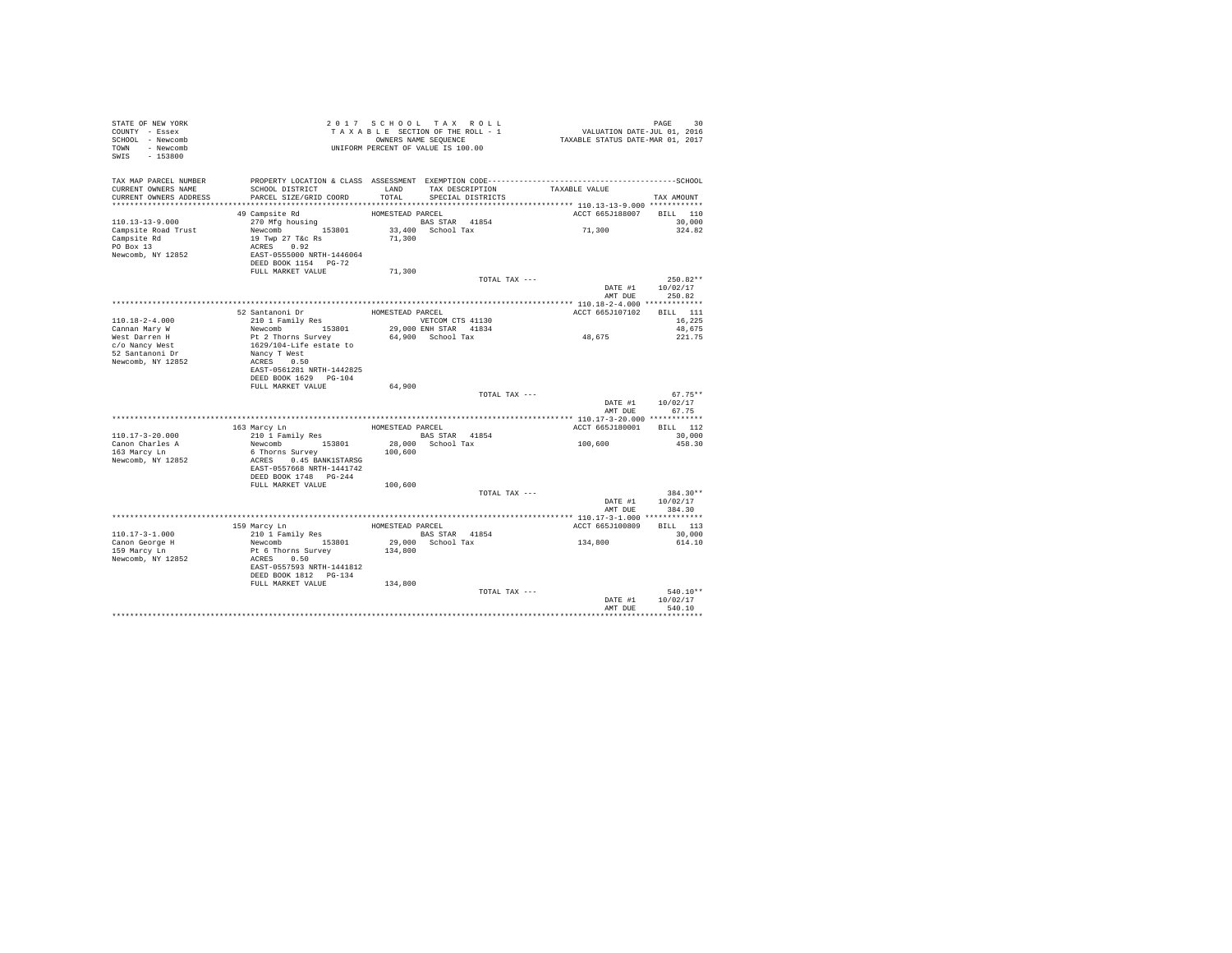| TAX MAP PARCEL NUMBER<br>SCHOOL DISTRICT                       LAND        TAX DESCRIPTION                  TAXABLE VALUE<br>CURRENT OWNERS NAME<br>PARCEL SIZE/GRID COORD<br>TOTAL<br>SPECIAL DISTRICTS<br>CURRENT OWNERS ADDRESS<br>TAX AMOUNT<br>ACCT 665J188007 BILL 110<br>$110.13 - 13 - 9.000$<br>30.000<br>71,300<br>Campsite Road Trust<br>324.82<br>19 Twp 27 T&c Rs<br>71,300<br>Campsite Rd<br>PO Box 13<br>ACRES 0.92<br>EAST-0555000 NRTH-1446064<br>Newcomb, NY 12852<br>DEED BOOK 1154 PG-72<br>FULL MARKET VALUE<br>71,300<br>$250.82**$<br>TOTAL TAX ---<br>DATE #1 10/02/17<br>AMT DUE<br>250.82<br>52 Santanoni Dr<br>210 1 Family Res<br>WETCOM C<br>ACCT 665J107102 BILL 111<br>VETCOM CTS 41130<br>$110.18 - 2 - 4.000$<br>16,225<br>48,675<br>Newcomb 153801<br>29,000 ENH STAR 41834<br>48,675<br>Cannan Mary W<br>Pt 2 Thorns Survey<br>1629/104-Life estate to<br>64,900 School Tax<br>221.75<br>West Darren H<br>c/o Nancy West<br>52 Santanoni Dr<br>Nancy T West<br>Newcomb, NY 12852<br>ACRES 0.50<br>EAST-0561281 NRTH-1442825<br>DEED BOOK 1629 PG-104<br>64,900<br>FULL MARKET VALUE<br>TOTAL TAX ---<br>$67.75**$<br>10/02/17<br>DATE #1<br>AMT DUE<br>67.75<br>163 Marcy Ln<br>210 1 Family Res<br>BARCEL BAS STAR 41854<br>ACCT 665J180001 BILL 112 | 30 |
|------------------------------------------------------------------------------------------------------------------------------------------------------------------------------------------------------------------------------------------------------------------------------------------------------------------------------------------------------------------------------------------------------------------------------------------------------------------------------------------------------------------------------------------------------------------------------------------------------------------------------------------------------------------------------------------------------------------------------------------------------------------------------------------------------------------------------------------------------------------------------------------------------------------------------------------------------------------------------------------------------------------------------------------------------------------------------------------------------------------------------------------------------------------------------------------------------------------------------------------------------------------------------------------|----|
|                                                                                                                                                                                                                                                                                                                                                                                                                                                                                                                                                                                                                                                                                                                                                                                                                                                                                                                                                                                                                                                                                                                                                                                                                                                                                          |    |
|                                                                                                                                                                                                                                                                                                                                                                                                                                                                                                                                                                                                                                                                                                                                                                                                                                                                                                                                                                                                                                                                                                                                                                                                                                                                                          |    |
|                                                                                                                                                                                                                                                                                                                                                                                                                                                                                                                                                                                                                                                                                                                                                                                                                                                                                                                                                                                                                                                                                                                                                                                                                                                                                          |    |
|                                                                                                                                                                                                                                                                                                                                                                                                                                                                                                                                                                                                                                                                                                                                                                                                                                                                                                                                                                                                                                                                                                                                                                                                                                                                                          |    |
|                                                                                                                                                                                                                                                                                                                                                                                                                                                                                                                                                                                                                                                                                                                                                                                                                                                                                                                                                                                                                                                                                                                                                                                                                                                                                          |    |
|                                                                                                                                                                                                                                                                                                                                                                                                                                                                                                                                                                                                                                                                                                                                                                                                                                                                                                                                                                                                                                                                                                                                                                                                                                                                                          |    |
|                                                                                                                                                                                                                                                                                                                                                                                                                                                                                                                                                                                                                                                                                                                                                                                                                                                                                                                                                                                                                                                                                                                                                                                                                                                                                          |    |
|                                                                                                                                                                                                                                                                                                                                                                                                                                                                                                                                                                                                                                                                                                                                                                                                                                                                                                                                                                                                                                                                                                                                                                                                                                                                                          |    |
|                                                                                                                                                                                                                                                                                                                                                                                                                                                                                                                                                                                                                                                                                                                                                                                                                                                                                                                                                                                                                                                                                                                                                                                                                                                                                          |    |
|                                                                                                                                                                                                                                                                                                                                                                                                                                                                                                                                                                                                                                                                                                                                                                                                                                                                                                                                                                                                                                                                                                                                                                                                                                                                                          |    |
|                                                                                                                                                                                                                                                                                                                                                                                                                                                                                                                                                                                                                                                                                                                                                                                                                                                                                                                                                                                                                                                                                                                                                                                                                                                                                          |    |
|                                                                                                                                                                                                                                                                                                                                                                                                                                                                                                                                                                                                                                                                                                                                                                                                                                                                                                                                                                                                                                                                                                                                                                                                                                                                                          |    |
|                                                                                                                                                                                                                                                                                                                                                                                                                                                                                                                                                                                                                                                                                                                                                                                                                                                                                                                                                                                                                                                                                                                                                                                                                                                                                          |    |
|                                                                                                                                                                                                                                                                                                                                                                                                                                                                                                                                                                                                                                                                                                                                                                                                                                                                                                                                                                                                                                                                                                                                                                                                                                                                                          |    |
|                                                                                                                                                                                                                                                                                                                                                                                                                                                                                                                                                                                                                                                                                                                                                                                                                                                                                                                                                                                                                                                                                                                                                                                                                                                                                          |    |
|                                                                                                                                                                                                                                                                                                                                                                                                                                                                                                                                                                                                                                                                                                                                                                                                                                                                                                                                                                                                                                                                                                                                                                                                                                                                                          |    |
|                                                                                                                                                                                                                                                                                                                                                                                                                                                                                                                                                                                                                                                                                                                                                                                                                                                                                                                                                                                                                                                                                                                                                                                                                                                                                          |    |
|                                                                                                                                                                                                                                                                                                                                                                                                                                                                                                                                                                                                                                                                                                                                                                                                                                                                                                                                                                                                                                                                                                                                                                                                                                                                                          |    |
|                                                                                                                                                                                                                                                                                                                                                                                                                                                                                                                                                                                                                                                                                                                                                                                                                                                                                                                                                                                                                                                                                                                                                                                                                                                                                          |    |
| $110.17 - 3 - 20.000$<br>30,000<br>100,600                                                                                                                                                                                                                                                                                                                                                                                                                                                                                                                                                                                                                                                                                                                                                                                                                                                                                                                                                                                                                                                                                                                                                                                                                                               |    |
| Canon Charles A<br>Newcomb 153801<br>28,000 School Tax<br>458.30<br>163 Marcy Ln<br>6 Thorns Survey<br>100,600<br>ACRES 0.45 BANK1STARSG<br>Newcomb, NY 12852<br>EAST-0557668 NRTH-1441742<br>DEED BOOK 1748 PG-244                                                                                                                                                                                                                                                                                                                                                                                                                                                                                                                                                                                                                                                                                                                                                                                                                                                                                                                                                                                                                                                                      |    |
| FULL MARKET VALUE<br>100,600                                                                                                                                                                                                                                                                                                                                                                                                                                                                                                                                                                                                                                                                                                                                                                                                                                                                                                                                                                                                                                                                                                                                                                                                                                                             |    |
| 384.30**<br>TOTAL TAX ---<br>10/02/17<br>DATE #1<br>384.30<br>AMT DUE                                                                                                                                                                                                                                                                                                                                                                                                                                                                                                                                                                                                                                                                                                                                                                                                                                                                                                                                                                                                                                                                                                                                                                                                                    |    |
|                                                                                                                                                                                                                                                                                                                                                                                                                                                                                                                                                                                                                                                                                                                                                                                                                                                                                                                                                                                                                                                                                                                                                                                                                                                                                          |    |
| ACCT 665J100809<br>BILL 113                                                                                                                                                                                                                                                                                                                                                                                                                                                                                                                                                                                                                                                                                                                                                                                                                                                                                                                                                                                                                                                                                                                                                                                                                                                              |    |
| 210 1 Family Res BAS STAR 41854<br>Newcomb 153801 29,000 School Tax<br>$110.17 - 3 - 1.000$<br>30,000                                                                                                                                                                                                                                                                                                                                                                                                                                                                                                                                                                                                                                                                                                                                                                                                                                                                                                                                                                                                                                                                                                                                                                                    |    |
| $1\,3\,4$ , $8\,0\,0$<br>Canon George H<br>614.10                                                                                                                                                                                                                                                                                                                                                                                                                                                                                                                                                                                                                                                                                                                                                                                                                                                                                                                                                                                                                                                                                                                                                                                                                                        |    |
| 159 Marcy Ln<br>Pt 6 Thorns Survey<br>134,800<br>Newcomb, NY 12852<br>ACRES 0.50<br>EAST-0557593 NRTH-1441812<br>DEED BOOK 1812    PG-134                                                                                                                                                                                                                                                                                                                                                                                                                                                                                                                                                                                                                                                                                                                                                                                                                                                                                                                                                                                                                                                                                                                                                |    |
| FULL MARKET VALUE<br>134,800                                                                                                                                                                                                                                                                                                                                                                                                                                                                                                                                                                                                                                                                                                                                                                                                                                                                                                                                                                                                                                                                                                                                                                                                                                                             |    |
| TOTAL TAX ---<br>$540.10**$<br>DATE #1<br>10/02/17                                                                                                                                                                                                                                                                                                                                                                                                                                                                                                                                                                                                                                                                                                                                                                                                                                                                                                                                                                                                                                                                                                                                                                                                                                       |    |
| AMT DUE<br>540.10                                                                                                                                                                                                                                                                                                                                                                                                                                                                                                                                                                                                                                                                                                                                                                                                                                                                                                                                                                                                                                                                                                                                                                                                                                                                        |    |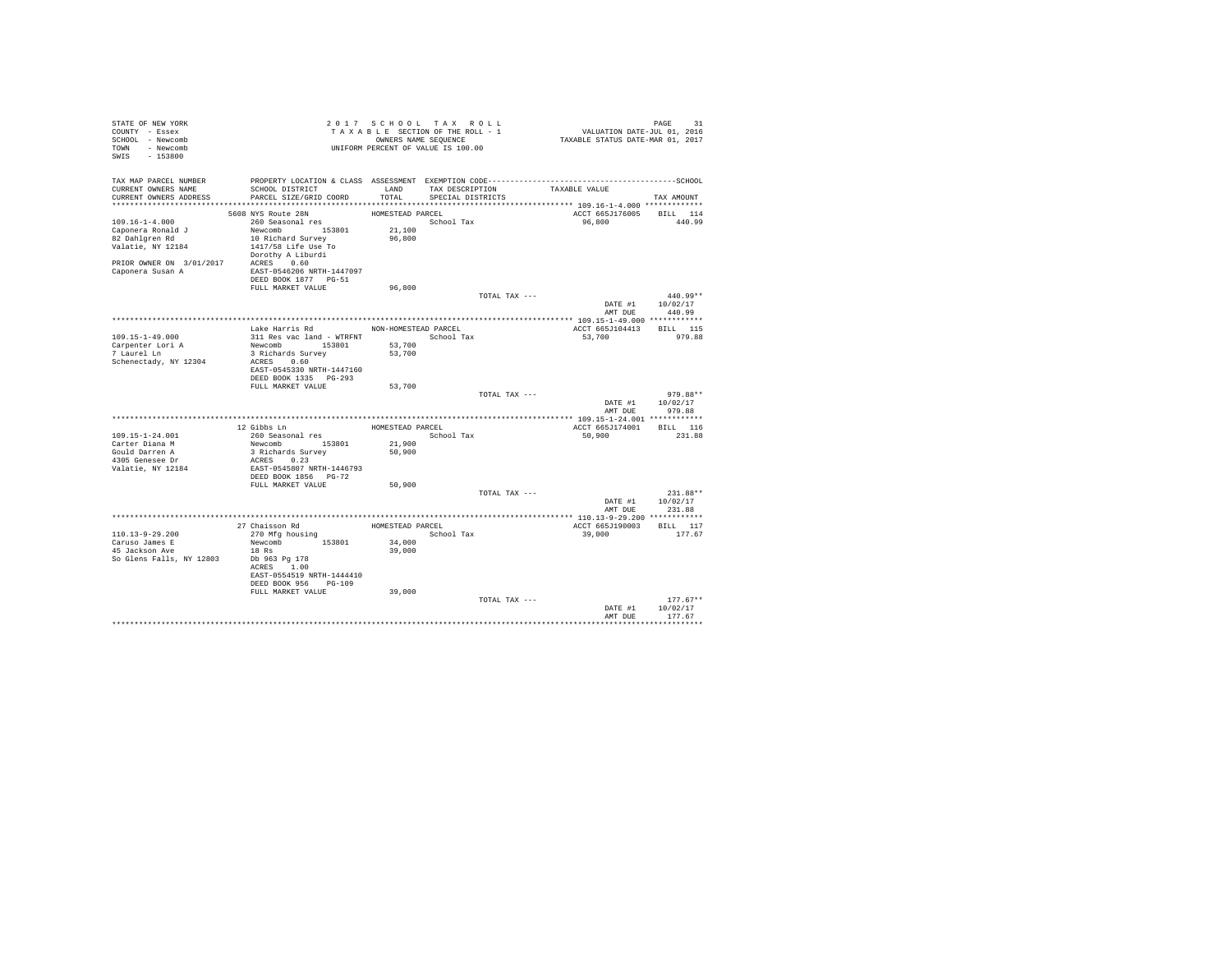| STATE OF NEW YORK<br>COUNTY - Essex<br>SCHOOL - Newcomb<br>TOWN - Newcomb<br>$-153800$<br>SWIS |                                                                                                      | 2017 SCHOOL TAX ROLL<br>TAXABLE SECTION OF THE ROLL - 1<br>OWNERS NAME SEQUENCE<br>UNIFORM PERCENT OF VALUE IS 100.00 |                                      |               | VALUATION DATE-JUL 01, 2016<br>TAXABLE STATUS DATE-MAR 01, 2017 | PAGE<br>31                       |
|------------------------------------------------------------------------------------------------|------------------------------------------------------------------------------------------------------|-----------------------------------------------------------------------------------------------------------------------|--------------------------------------|---------------|-----------------------------------------------------------------|----------------------------------|
| TAX MAP PARCEL NUMBER<br>CURRENT OWNERS NAME<br>CURRENT OWNERS ADDRESS                         | SCHOOL DISTRICT<br>PARCEL SIZE/GRID COORD                                                            | LAND<br>TOTAL                                                                                                         | TAX DESCRIPTION<br>SPECIAL DISTRICTS |               | TAXABLE VALUE                                                   | TAX AMOUNT                       |
|                                                                                                |                                                                                                      |                                                                                                                       |                                      |               |                                                                 |                                  |
| $109.16 - 1 - 4.000$<br>Caponera Ronald J<br>82 Dahlgren Rd<br>Valatie, NY 12184               | 5608 NYS Route 28N<br>260 Seasonal res<br>Newcomb 153801<br>10 Richard Survey<br>1417/58 Life Use To | HOMESTEAD PARCEL<br>21,100<br>96,800                                                                                  | School Tax                           |               | ACCT 665J176005<br>96,800                                       | BILL 114<br>440.99               |
| PRIOR OWNER ON 3/01/2017 ACRES 0.60<br>Caponera Susan A                                        | Dorothy A Liburdi<br>EAST-0546206 NRTH-1447097<br>DEED BOOK 1877 PG-51<br>FULL MARKET VALUE          | 96,800                                                                                                                |                                      |               |                                                                 |                                  |
|                                                                                                |                                                                                                      |                                                                                                                       |                                      | TOTAL TAX --- |                                                                 | 440.99**                         |
|                                                                                                |                                                                                                      |                                                                                                                       |                                      |               | DATE #1<br>AMT DUE                                              | 10/02/17<br>440.99               |
|                                                                                                |                                                                                                      |                                                                                                                       |                                      |               |                                                                 |                                  |
|                                                                                                | Lake Harris Rd                                                                                       | NON-HOMESTEAD PARCEL                                                                                                  |                                      |               | ACCT 665J104413                                                 | BILL 115                         |
| $109.15 - 1 - 49.000$<br>Carpenter Lori A<br>7 Laurel Ln<br>Schenectady, NY 12304              | 311 Res vac land - WTRFNT<br>Newcomb 153801<br>3 Richards Survey<br>ACRES 0.60                       | 53,700<br>53,700                                                                                                      | School Tax                           |               | 53,700                                                          | 979.88                           |
|                                                                                                | EAST-0545330 NRTH-1447160<br>DEED BOOK 1335 PG-293<br>FULL MARKET VALUE                              | 53,700                                                                                                                |                                      |               |                                                                 |                                  |
|                                                                                                |                                                                                                      |                                                                                                                       |                                      | TOTAL TAX --- | DATE #1                                                         | 979.88**<br>10/02/17             |
|                                                                                                |                                                                                                      |                                                                                                                       |                                      |               | AMT DUE                                                         | 979.88                           |
|                                                                                                |                                                                                                      |                                                                                                                       |                                      |               |                                                                 |                                  |
| $109.15 - 1 - 24.001$                                                                          | 12 Gibbs Ln<br>260 Seasonal res                                                                      | HOMESTEAD PARCEL                                                                                                      | School Tax                           |               | ACCT 665J174001<br>50,900                                       | BILL 116<br>231.88               |
| Carter Diana M                                                                                 | Newcomb 153801                                                                                       | 21,900                                                                                                                |                                      |               |                                                                 |                                  |
| Gould Darren A                                                                                 | 3 Richards Survey                                                                                    | 50,900                                                                                                                |                                      |               |                                                                 |                                  |
| 4305 Genesee Dr<br>Valatie, NY 12184                                                           | ACRES 0.23<br>EAST-0545807 NRTH-1446793<br>DEED BOOK 1856 PG-72                                      |                                                                                                                       |                                      |               |                                                                 |                                  |
|                                                                                                | FULL MARKET VALUE                                                                                    | 50,900                                                                                                                |                                      |               |                                                                 |                                  |
|                                                                                                |                                                                                                      |                                                                                                                       |                                      | TOTAL TAX --- | DATE #1<br>AMT DUE                                              | 231.88**<br>10/02/17<br>231.88   |
|                                                                                                |                                                                                                      |                                                                                                                       |                                      |               |                                                                 |                                  |
|                                                                                                | 27 Chaisson Rd                                                                                       | HOMESTEAD PARCEL                                                                                                      |                                      |               | ACCT 665J190003                                                 | BILL 117                         |
| $110.13 - 9 - 29.200$                                                                          | 270 Mfg housing                                                                                      |                                                                                                                       | School Tax                           |               | 39,000                                                          | 177.67                           |
| Caruso James E<br>45 Jackson Ave                                                               | Newcomb<br>153801<br>$18$ Rs                                                                         | 34,000<br>39,000                                                                                                      |                                      |               |                                                                 |                                  |
| So Glens Falls, NY 12803                                                                       | Db 963 Pg 178<br>ACRES 1.00<br>EAST-0554519 NRTH-1444410<br>DEED BOOK 956 PG-109                     |                                                                                                                       |                                      |               |                                                                 |                                  |
|                                                                                                | FULL MARKET VALUE                                                                                    | 39,000                                                                                                                |                                      |               |                                                                 |                                  |
|                                                                                                |                                                                                                      |                                                                                                                       |                                      | TOTAL TAX --- | DATE #1<br>AMT DUE                                              | $177.67**$<br>10/02/17<br>177.67 |
|                                                                                                |                                                                                                      |                                                                                                                       |                                      |               |                                                                 | ***********                      |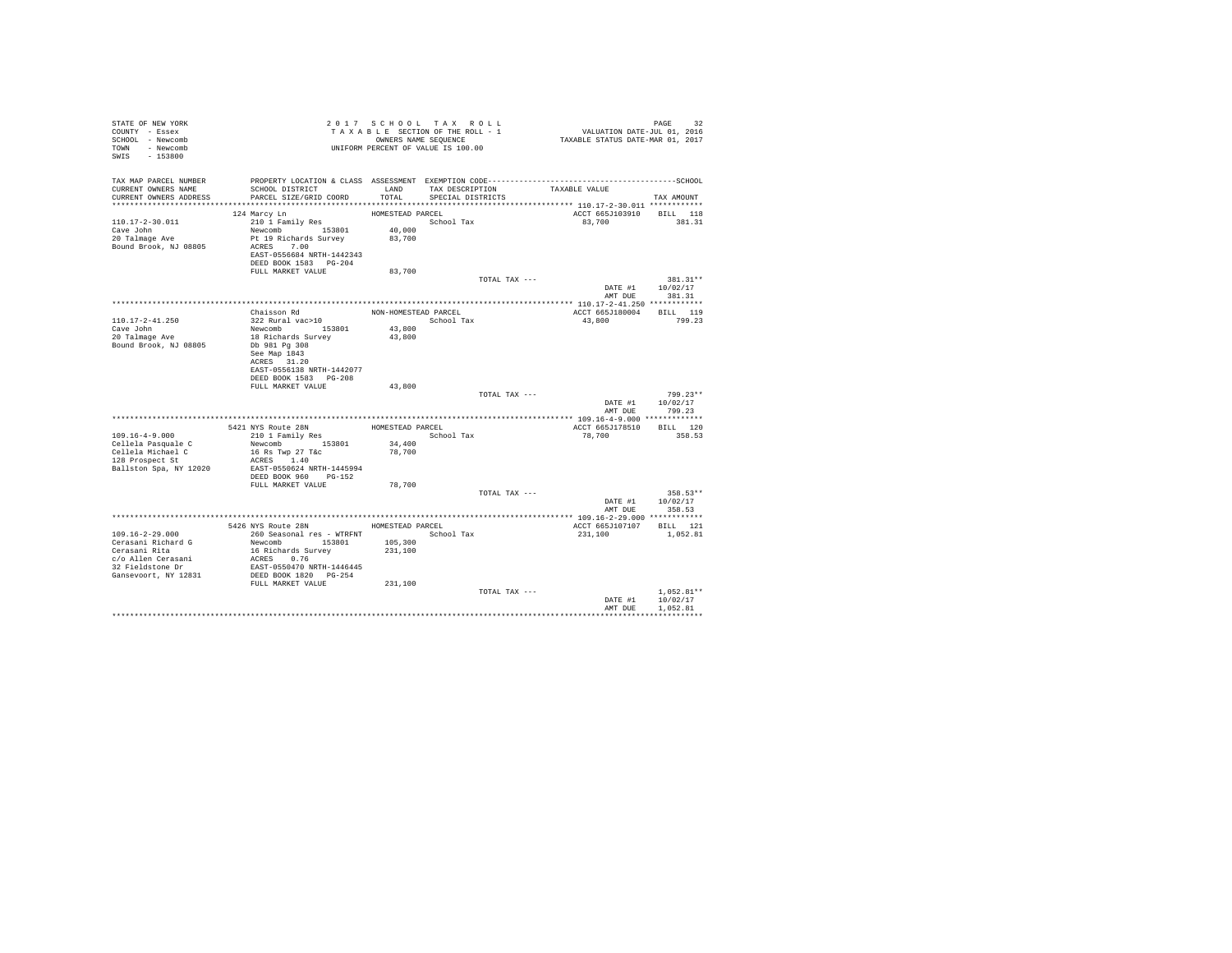| STATE OF NEW YORK<br>COUNTY - Essex<br>SCHOOL - Newcomb<br>TOWN - Newcomb<br>SWIS - 153800 |                                                                                              |                      | 2017 SCHOOL TAX ROLL<br>TAXABLE SECTION OF THE ROLL - 1<br>OWNERS NAME SEQUENCE<br>UNIFORM PERCENT OF VALUE IS 100.00 |               | PAGE 32<br>VALUATION DATE-JUL 01, 2016<br>TAXABLE STATUS DATE-MAR 01, 2017 |                            |
|--------------------------------------------------------------------------------------------|----------------------------------------------------------------------------------------------|----------------------|-----------------------------------------------------------------------------------------------------------------------|---------------|----------------------------------------------------------------------------|----------------------------|
| TAX MAP PARCEL NUMBER                                                                      | PROPERTY LOCATION & CLASS ASSESSMENT EXEMPTION CODE-----------------------------------SCHOOL |                      |                                                                                                                       |               |                                                                            |                            |
| CURRENT OWNERS NAME<br>CURRENT OWNERS ADDRESS                                              | SCHOOL DISTRICT<br>PARCEL SIZE/GRID COORD                                                    | LAND<br>TOTAL        | TAX DESCRIPTION<br>SPECIAL DISTRICTS                                                                                  |               | TAXABLE VALUE                                                              | TAX AMOUNT                 |
|                                                                                            |                                                                                              |                      |                                                                                                                       |               |                                                                            |                            |
|                                                                                            | 124 Marcy Ln                                                                                 | HOMESTEAD PARCEL     |                                                                                                                       |               | ACCT 665J103910 BILL 118                                                   |                            |
| $110.17 - 2 - 30.011$                                                                      | 210 1 Family Res                                                                             |                      | School Tax                                                                                                            |               | 83,700                                                                     | 381.31                     |
| Cave John                                                                                  | Newcomb 153801                                                                               | 40,000               |                                                                                                                       |               |                                                                            |                            |
| 20 Talmage Ave<br>Bound Brook, NJ 08805                                                    | Pt 19 Richards Survey<br>ACRES 7.00                                                          | 83,700               |                                                                                                                       |               |                                                                            |                            |
|                                                                                            | EAST-0556684 NRTH-1442343                                                                    |                      |                                                                                                                       |               |                                                                            |                            |
|                                                                                            | DEED BOOK 1583 PG-204                                                                        |                      |                                                                                                                       |               |                                                                            |                            |
|                                                                                            | FULL MARKET VALUE                                                                            | 83,700               |                                                                                                                       |               |                                                                            |                            |
|                                                                                            |                                                                                              |                      |                                                                                                                       | TOTAL TAX --- |                                                                            | 381.31**                   |
|                                                                                            |                                                                                              |                      |                                                                                                                       |               | DATE #1                                                                    | 10/02/17                   |
|                                                                                            |                                                                                              |                      |                                                                                                                       |               |                                                                            | AMT DUE 381.31             |
|                                                                                            |                                                                                              |                      |                                                                                                                       |               |                                                                            |                            |
|                                                                                            | Chaisson Rd                                                                                  | NON-HOMESTEAD PARCEL |                                                                                                                       |               | ACCT 665J180004 BILL 119                                                   |                            |
| 110.17-2-41.250<br>Cave John                                                               | 322 Rural vac>10<br>Newcomb 153801                                                           |                      | School Tax                                                                                                            |               | 43,800                                                                     | 799.23                     |
| 20 Talmage Ave                                                                             | 18 Richards Survey                                                                           | 43,800<br>43,800     |                                                                                                                       |               |                                                                            |                            |
| Bound Brook, NJ 08805                                                                      | Db 981 Pg 308                                                                                |                      |                                                                                                                       |               |                                                                            |                            |
|                                                                                            | See Map 1843                                                                                 |                      |                                                                                                                       |               |                                                                            |                            |
|                                                                                            | ACRES 31.20                                                                                  |                      |                                                                                                                       |               |                                                                            |                            |
|                                                                                            | EAST-0556138 NRTH-1442077                                                                    |                      |                                                                                                                       |               |                                                                            |                            |
|                                                                                            | DEED BOOK 1583 PG-208                                                                        |                      |                                                                                                                       |               |                                                                            |                            |
|                                                                                            | FULL MARKET VALUE                                                                            | 43,800               |                                                                                                                       |               |                                                                            |                            |
|                                                                                            |                                                                                              |                      |                                                                                                                       | TOTAL TAX --- |                                                                            | 799.23**                   |
|                                                                                            |                                                                                              |                      |                                                                                                                       |               | AMT DUE                                                                    | DATE #1 10/02/17<br>799.23 |
|                                                                                            |                                                                                              |                      |                                                                                                                       |               |                                                                            |                            |
|                                                                                            | 5421 NYS Route 28N                                                                           | HOMESTEAD PARCEL     |                                                                                                                       |               | ACCT 665J178510 BILL 120                                                   |                            |
| $109.16 - 4 - 9.000$                                                                       | 210 1 Family Res                                                                             |                      | School Tax                                                                                                            |               | 78,700                                                                     | 358.53                     |
| Cellela Pasquale C                                                                         | Newcomb 153801                                                                               | 34,400               |                                                                                                                       |               |                                                                            |                            |
| Cellela Michael C                                                                          | 16 Rs Twp 27 T&c                                                                             | 78,700               |                                                                                                                       |               |                                                                            |                            |
| 128 Prospect St                                                                            | ACRES 1.40                                                                                   |                      |                                                                                                                       |               |                                                                            |                            |
| Ballston Spa, NY 12020                                                                     | EAST-0550624 NRTH-1445994                                                                    |                      |                                                                                                                       |               |                                                                            |                            |
|                                                                                            | DEED BOOK 960 PG-152                                                                         |                      |                                                                                                                       |               |                                                                            |                            |
|                                                                                            | FULL MARKET VALUE                                                                            | 78,700               |                                                                                                                       | TOTAL TAX --- |                                                                            | $358.53**$                 |
|                                                                                            |                                                                                              |                      |                                                                                                                       |               | DATE #1                                                                    | 10/02/17                   |
|                                                                                            |                                                                                              |                      |                                                                                                                       |               | AMT DUE                                                                    | 358.53                     |
|                                                                                            |                                                                                              |                      |                                                                                                                       |               |                                                                            |                            |
|                                                                                            | 5426 NYS Route 28N HOMESTEAD PARCEL                                                          |                      |                                                                                                                       |               | ACCT 665J107107 BILL 121                                                   |                            |
| 109.16-2-29.000                                                                            | 260 Seasonal res - WTRFNT                                                                    |                      | School Tax                                                                                                            |               | 231,100                                                                    | 1,052.81                   |
| Cerasani Richard G<br>Cerasani Rita                                                        | Newcomb 153801 105,300                                                                       |                      |                                                                                                                       |               |                                                                            |                            |
|                                                                                            | 16 Richards Survey                                                                           | 231,100              |                                                                                                                       |               |                                                                            |                            |
| c/o Allen Cerasani                                                                         | ACRES 0.76                                                                                   |                      |                                                                                                                       |               |                                                                            |                            |
| 32 Fieldstone Dr                                                                           | EAST-0550470 NRTH-1446445                                                                    |                      |                                                                                                                       |               |                                                                            |                            |
| Gansevoort, NY 12831                                                                       | DEED BOOK 1820 PG-254<br>FULL MARKET VALUE                                                   | 231,100              |                                                                                                                       |               |                                                                            |                            |
|                                                                                            |                                                                                              |                      |                                                                                                                       | TOTAL TAX --- |                                                                            | $1.052.81**$               |
|                                                                                            |                                                                                              |                      |                                                                                                                       |               | DATE #1                                                                    | 10/02/17                   |
|                                                                                            |                                                                                              |                      |                                                                                                                       |               | AMT DUE                                                                    | 1,052.81                   |
|                                                                                            |                                                                                              |                      |                                                                                                                       |               |                                                                            |                            |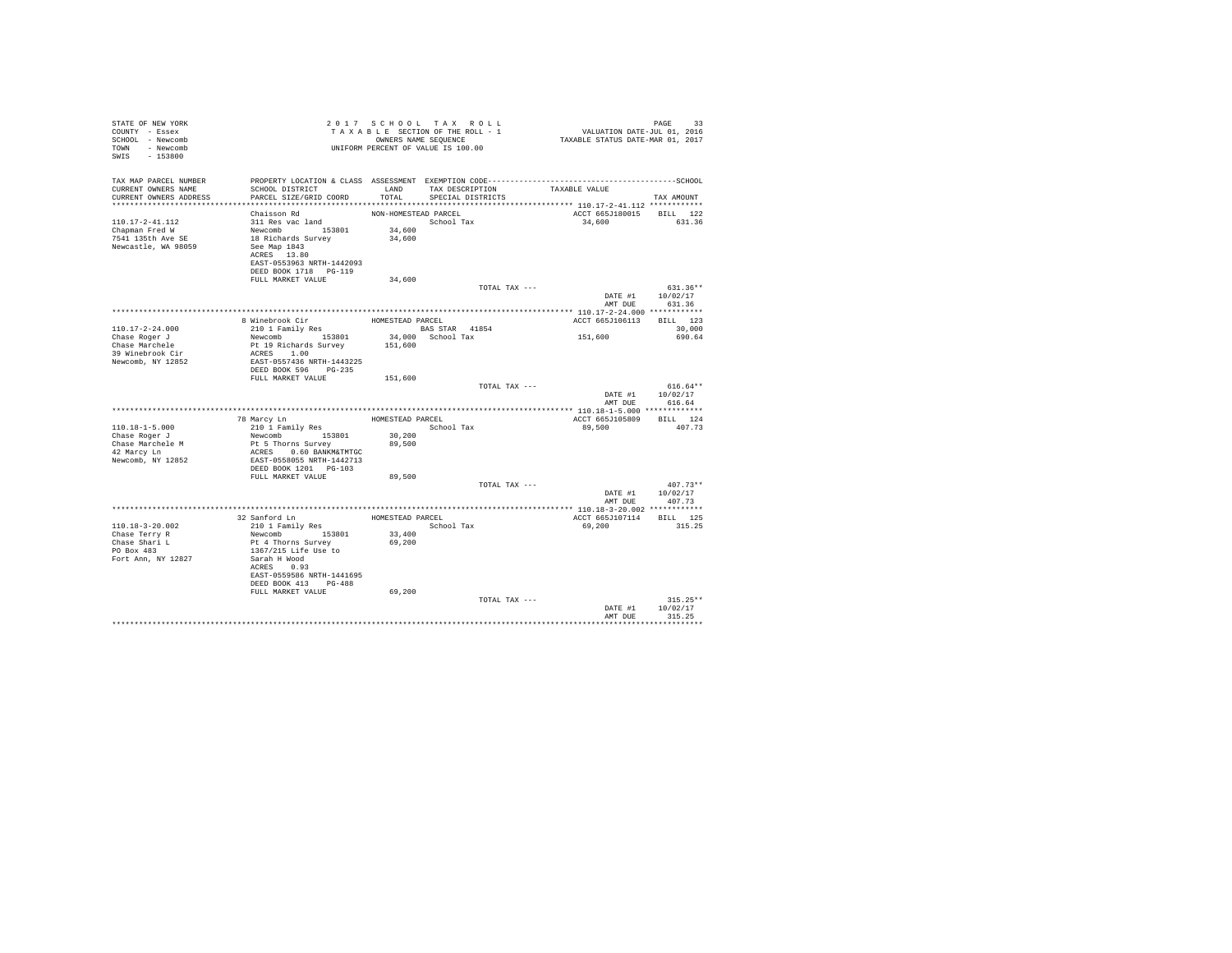| STATE OF NEW YORK<br>COUNTY - Essex<br>SCHOOL - Newcomb<br>TOWN - Newcomb<br>SWIS - 153800 | UNIFORM PERCENT OF VALUE IS 100.00                                                                                        | 2017 SCHOOL TAX ROLL<br>TAXABLE SECTION OF THE ROLL - 1<br>OWNERS NAME SEQUENCE |                         |                                    | PAGE 33<br>VALUATION DATE-JUL 01, 2016<br>TAXABLE STATUS DATE-MAR 01, 2017 |                                     |
|--------------------------------------------------------------------------------------------|---------------------------------------------------------------------------------------------------------------------------|---------------------------------------------------------------------------------|-------------------------|------------------------------------|----------------------------------------------------------------------------|-------------------------------------|
| TAX MAP PARCEL NUMBER<br>CURRENT OWNERS NAME<br>CURRENT OWNERS ADDRESS                     | PROPERTY LOCATION & CLASS ASSESSMENT EXEMPTION CODE-------------------------<br>SCHOOL DISTRICT<br>PARCEL SIZE/GRID COORD |                                                                                 | TOTAL SPECIAL DISTRICTS | LAND TAX DESCRIPTION TAXABLE VALUE |                                                                            | ---------------SCHOOL<br>TAX AMOUNT |
|                                                                                            |                                                                                                                           |                                                                                 |                         |                                    |                                                                            |                                     |
|                                                                                            | Chaisson Rd                                                                                                               | NON-HOMESTEAD PARCEL                                                            |                         |                                    | ACCT 665J180015 BILL 122                                                   |                                     |
| 110.17-2-41.112                                                                            | 311 Res vac land                                                                                                          |                                                                                 | School Tax              |                                    | 34,600                                                                     | 631.36                              |
| Chapman Fred W                                                                             | Newcomb 153801<br>18 Richards Survey                                                                                      | 34,600                                                                          |                         |                                    |                                                                            |                                     |
| 7541 135th Ave SE                                                                          |                                                                                                                           | 34,600                                                                          |                         |                                    |                                                                            |                                     |
| Newcastle, WA 98059                                                                        | See Map 1843<br>ACRES 13.80                                                                                               |                                                                                 |                         |                                    |                                                                            |                                     |
|                                                                                            | EAST-0553963 NRTH-1442093                                                                                                 |                                                                                 |                         |                                    |                                                                            |                                     |
|                                                                                            | DEED BOOK 1718 PG-119<br>FULL MARKET VALUE                                                                                | 34,600                                                                          |                         |                                    |                                                                            |                                     |
|                                                                                            |                                                                                                                           |                                                                                 |                         | TOTAL TAX ---                      |                                                                            | $631.36**$                          |
|                                                                                            |                                                                                                                           |                                                                                 |                         |                                    | AMT DUE                                                                    | DATE #1 10/02/17<br>631.36          |
|                                                                                            |                                                                                                                           |                                                                                 |                         |                                    |                                                                            |                                     |
|                                                                                            | 8 Winebrook Cir<br>210 1 Family Res                                                                                       | HOMESTEAD PARCEL                                                                |                         |                                    | ACCT 665J106113 BILL 123                                                   |                                     |
| $110.17 - 2 - 24.000$                                                                      |                                                                                                                           | BAS STAR 41854                                                                  |                         |                                    |                                                                            | 30,000                              |
| Chase Roger J<br>Chase Marchele                                                            | Newcomb 153801<br>Pt 19 Richards Survey 151,600                                                                           |                                                                                 | 34,000 School Tax       |                                    | 151,600                                                                    | 690.64                              |
| 39 Winebrook Cir                                                                           | ACRES 1.00                                                                                                                |                                                                                 |                         |                                    |                                                                            |                                     |
| Newcomb, NY 12852                                                                          | EAST-0557436 NRTH-1443225<br>DEED BOOK 596 PG-235                                                                         |                                                                                 |                         |                                    |                                                                            |                                     |
|                                                                                            | FULL MARKET VALUE                                                                                                         | 151,600                                                                         |                         |                                    |                                                                            |                                     |
|                                                                                            |                                                                                                                           |                                                                                 |                         | TOTAL TAX ---                      |                                                                            | $616.64**$<br>DATE #1 10/02/17      |
|                                                                                            |                                                                                                                           |                                                                                 |                         |                                    | AMT DUE                                                                    | 616.64                              |
|                                                                                            |                                                                                                                           |                                                                                 |                         |                                    |                                                                            |                                     |
| $110.18 - 1 - 5.000$                                                                       | 78 Marcy Ln<br>210 1 Family Res                                                                                           | HOMESTEAD PARCEL                                                                | School Tax              |                                    | ACCT 665J105809 BILL 124<br>89,500                                         | 407.73                              |
| Chase Roger J                                                                              | Newcomb 153801                                                                                                            | 30,200                                                                          |                         |                                    |                                                                            |                                     |
| Chase Marchele M                                                                           |                                                                                                                           | 89,500                                                                          |                         |                                    |                                                                            |                                     |
| 42 Marcy Ln                                                                                | Pt 5 Thorns Survey<br>ACRES 0.60 BANKM&TMTGC                                                                              |                                                                                 |                         |                                    |                                                                            |                                     |
| Newcomb, NY 12852                                                                          | EAST-0558055 NRTH-1442713                                                                                                 |                                                                                 |                         |                                    |                                                                            |                                     |
|                                                                                            | DEED BOOK 1201 PG-103<br>FULL MARKET VALUE                                                                                | 89,500                                                                          |                         |                                    |                                                                            |                                     |
|                                                                                            |                                                                                                                           |                                                                                 |                         | TOTAL TAX ---                      |                                                                            | $407.73**$                          |
|                                                                                            |                                                                                                                           |                                                                                 |                         |                                    | DATE #1 10/02/17                                                           |                                     |
|                                                                                            |                                                                                                                           |                                                                                 |                         |                                    |                                                                            | AMT DUE 407.73                      |
|                                                                                            |                                                                                                                           |                                                                                 |                         |                                    |                                                                            |                                     |
| 110.18-3-20.002                                                                            | 32 Sanford Ln<br>210 1 Family Res<br>Newcomb 153801                                                                       | HOMESTEAD PARCEL                                                                | School Tax              |                                    | ACCT 665J107114 BILL 125<br>69,200                                         | 315.25                              |
| Chase Terry R                                                                              |                                                                                                                           | 33,400                                                                          |                         |                                    |                                                                            |                                     |
|                                                                                            | Pt 4 Thorns Survey                                                                                                        | 69,200                                                                          |                         |                                    |                                                                            |                                     |
| Chase Shari L<br>PO Box 483                                                                | 1367/215 Life Use to                                                                                                      |                                                                                 |                         |                                    |                                                                            |                                     |
| Fort Ann, NY 12827                                                                         | Sarah H Wood                                                                                                              |                                                                                 |                         |                                    |                                                                            |                                     |
|                                                                                            | ACRES 0.93<br>EAST-0559586 NRTH-1441695                                                                                   |                                                                                 |                         |                                    |                                                                            |                                     |
|                                                                                            | DEED BOOK 413 PG-488                                                                                                      |                                                                                 |                         |                                    |                                                                            |                                     |
|                                                                                            | FULL MARKET VALUE                                                                                                         | 69,200                                                                          |                         |                                    |                                                                            |                                     |
|                                                                                            |                                                                                                                           |                                                                                 |                         | TOTAL TAX ---                      |                                                                            | $315.25**$                          |
|                                                                                            |                                                                                                                           |                                                                                 |                         |                                    | DATE #1                                                                    | 10/02/17                            |
|                                                                                            |                                                                                                                           |                                                                                 |                         |                                    | AMT DUE                                                                    | 315.25<br>.                         |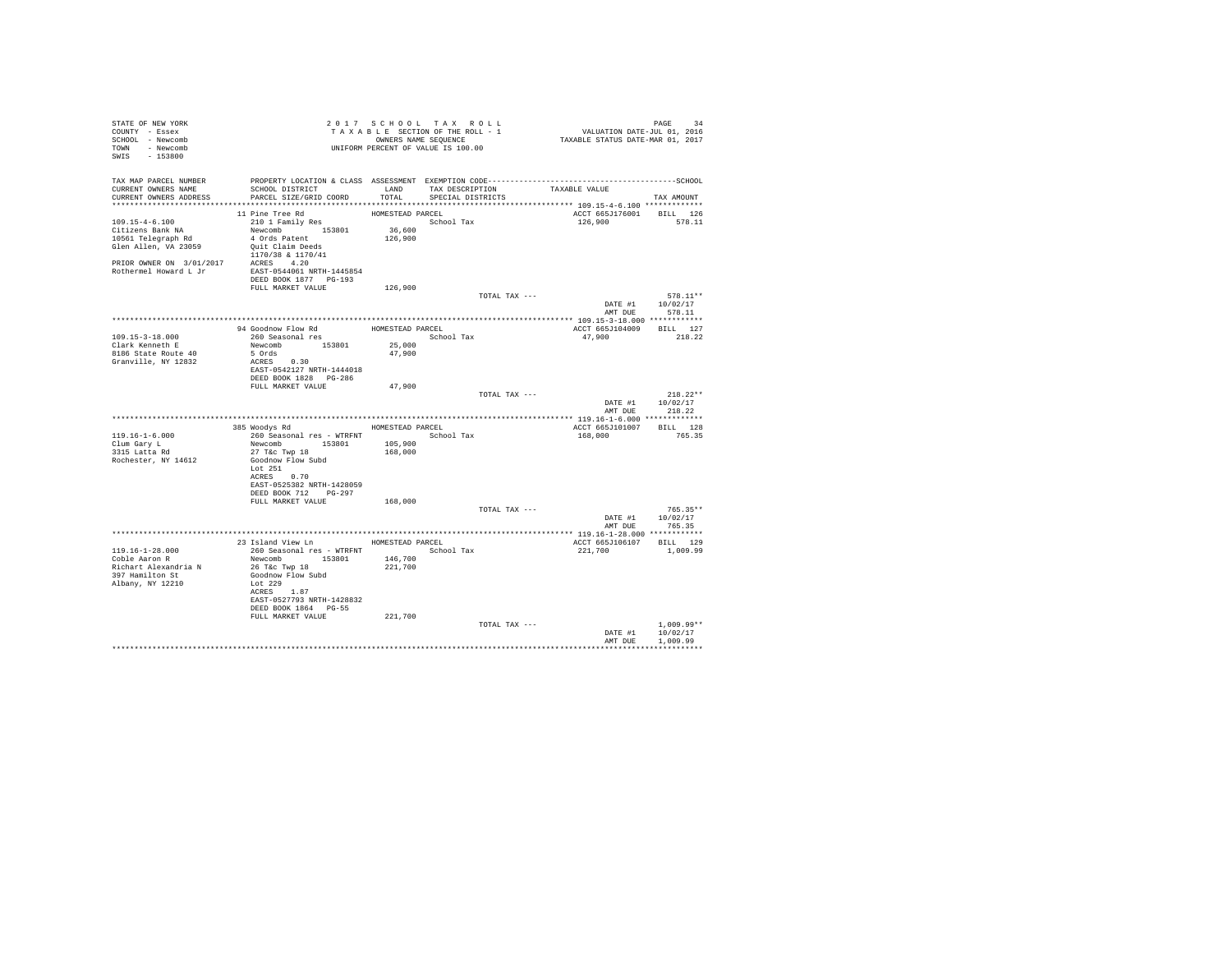| STATE OF NEW YORK                |                                                                                                                                                         |                  | 2017 SCHOOL TAX ROLL |               |                                                                            |                  |
|----------------------------------|---------------------------------------------------------------------------------------------------------------------------------------------------------|------------------|----------------------|---------------|----------------------------------------------------------------------------|------------------|
| COUNTY - Essex                   | 2017 SURVEY SECTION OF THE ROLL - 1<br>TAXABLE SECTION OF THE ROLL - 1<br>OWNERS NAME SEQUENCE<br>UNIFORM PERCENT OF VALUE IS 100.00                    |                  |                      |               | PAGE 34<br>VALUATION DATE-JUL 01, 2016<br>TAXABLE STATUS DATE-MAR 01, 2017 |                  |
| SCHOOL - Newcomb                 |                                                                                                                                                         |                  |                      |               |                                                                            |                  |
| TOWN - Newcomb                   |                                                                                                                                                         |                  |                      |               |                                                                            |                  |
| SWIS - 153800                    |                                                                                                                                                         |                  |                      |               |                                                                            |                  |
|                                  |                                                                                                                                                         |                  |                      |               |                                                                            |                  |
|                                  |                                                                                                                                                         |                  |                      |               |                                                                            |                  |
|                                  | SCHOOL DISTRICT                       LAND        TAX DESCRIPTION                  TAXABLE VALUE                                                        |                  |                      |               |                                                                            |                  |
| CURRENT OWNERS ADDRESS           | PARCEL SIZE/GRID COORD                                                                                                                                  | TOTAL            | SPECIAL DISTRICTS    |               |                                                                            | TAX AMOUNT       |
|                                  |                                                                                                                                                         |                  |                      |               |                                                                            |                  |
|                                  | 11 Pine Tree Rd                                                                                                                                         | HOMESTEAD PARCEL |                      |               | ACCT 665J176001 BILL 126                                                   |                  |
|                                  |                                                                                                                                                         |                  | School Tax           |               | 126,900 578.11                                                             |                  |
|                                  |                                                                                                                                                         |                  |                      |               |                                                                            |                  |
|                                  |                                                                                                                                                         |                  |                      |               |                                                                            |                  |
|                                  |                                                                                                                                                         |                  |                      |               |                                                                            |                  |
|                                  |                                                                                                                                                         |                  |                      |               |                                                                            |                  |
|                                  |                                                                                                                                                         |                  |                      |               |                                                                            |                  |
|                                  |                                                                                                                                                         |                  |                      |               |                                                                            |                  |
|                                  |                                                                                                                                                         |                  |                      |               |                                                                            |                  |
|                                  | FULL MARKET VALUE                                                                                                                                       | 126,900          |                      |               |                                                                            |                  |
|                                  |                                                                                                                                                         |                  |                      | TOTAL TAX --- |                                                                            | 578.11**         |
|                                  |                                                                                                                                                         |                  |                      |               |                                                                            | DATE #1 10/02/17 |
|                                  |                                                                                                                                                         |                  |                      |               | AMT DUE                                                                    | 578.11           |
|                                  |                                                                                                                                                         |                  |                      |               |                                                                            |                  |
|                                  |                                                                                                                                                         |                  |                      |               | ACCT 665J104009 BILL 127                                                   |                  |
| 109.15-3-18.000                  |                                                                                                                                                         |                  |                      |               | 47,900                                                                     | 218.22           |
| Clark Kenneth E                  | Newcomb 153801 25,000                                                                                                                                   |                  |                      |               |                                                                            |                  |
| 8186 State Route 40              | 5 Ords<br>ACRES 0.30                                                                                                                                    | 47,900           |                      |               |                                                                            |                  |
| Granville, NY 12832              |                                                                                                                                                         |                  |                      |               |                                                                            |                  |
|                                  | EAST-0542127 NRTH-1444018                                                                                                                               |                  |                      |               |                                                                            |                  |
|                                  | DEED BOOK 1828 PG-286                                                                                                                                   |                  |                      |               |                                                                            |                  |
|                                  | FULL MARKET VALUE 47,900                                                                                                                                |                  |                      |               |                                                                            |                  |
|                                  |                                                                                                                                                         |                  |                      | TOTAL TAX --- |                                                                            | $218.22**$       |
|                                  |                                                                                                                                                         |                  |                      |               |                                                                            | DATE #1 10/02/17 |
|                                  |                                                                                                                                                         |                  |                      |               | AMT DUE                                                                    | 218.22           |
|                                  | 385 Woodys Rd Monte HOMESTEAD PARCEL                                                                                                                    |                  |                      |               |                                                                            |                  |
|                                  |                                                                                                                                                         |                  |                      |               | ACCT 665J101007 BILL 128<br>168,000 765.35                                 |                  |
| 119.16-1-6.000                   | $\begin{tabular}{lllll} 260 & \texttt{Seasonal} res & - \texttt{WTRFNT} & & \texttt{School Tax} \\ \texttt{Newcomb} & 153801 & 105,900 & \end{tabular}$ |                  |                      |               |                                                                            |                  |
| Clum Gary L<br>3315 Latta Rd     | 27 T&c Twp 18                                                                                                                                           | 168,000          |                      |               |                                                                            |                  |
| Rochester, NY 14612              | Goodnow Flow Subd                                                                                                                                       |                  |                      |               |                                                                            |                  |
|                                  | Lot 251                                                                                                                                                 |                  |                      |               |                                                                            |                  |
|                                  | ACRES 0.70                                                                                                                                              |                  |                      |               |                                                                            |                  |
|                                  | EAST-0525382 NRTH-1428059                                                                                                                               |                  |                      |               |                                                                            |                  |
|                                  | DEED BOOK 712 PG-297                                                                                                                                    |                  |                      |               |                                                                            |                  |
|                                  | FULL MARKET VALUE                                                                                                                                       | 168,000          |                      |               |                                                                            |                  |
|                                  |                                                                                                                                                         |                  |                      | TOTAL TAX --- |                                                                            | $765.35**$       |
|                                  |                                                                                                                                                         |                  |                      |               |                                                                            | DATE #1 10/02/17 |
|                                  |                                                                                                                                                         |                  |                      |               | AMT DUE                                                                    | 765.35           |
|                                  |                                                                                                                                                         |                  |                      |               |                                                                            |                  |
|                                  | 23 Island View Ln MOMESTEAD PARCEL                                                                                                                      |                  |                      |               | ACCT 665J106107 BILL 129                                                   |                  |
|                                  | 260 Seasonal res - WTRFNT                                                                                                                               |                  | School Tax           |               | 221,700                                                                    | 1,009.99         |
| 119.16-1-28.000<br>Coble Aaron R | Newcomb 153801 146,700                                                                                                                                  |                  |                      |               |                                                                            |                  |
| Richart Alexandria N             |                                                                                                                                                         | 221,700          |                      |               |                                                                            |                  |
| 397 Hamilton St                  | 26 T&C Twp 18<br>Goodnow Flow Subd                                                                                                                      |                  |                      |               |                                                                            |                  |
| Albany, NY 12210                 | Lot 229                                                                                                                                                 |                  |                      |               |                                                                            |                  |
|                                  | ACRES 1.87                                                                                                                                              |                  |                      |               |                                                                            |                  |
|                                  | EAST-0527793 NRTH-1428832                                                                                                                               |                  |                      |               |                                                                            |                  |
|                                  | DEED BOOK 1864 PG-55                                                                                                                                    |                  |                      |               |                                                                            |                  |
|                                  | FULL MARKET VALUE                                                                                                                                       | 221,700          |                      |               |                                                                            |                  |
|                                  |                                                                                                                                                         |                  |                      | TOTAL TAX --- |                                                                            | $1.009.99**$     |
|                                  |                                                                                                                                                         |                  |                      |               |                                                                            | DATE #1 10/02/17 |
|                                  |                                                                                                                                                         |                  |                      |               | AMT DUE                                                                    | 1,009.99         |
|                                  |                                                                                                                                                         |                  |                      |               |                                                                            |                  |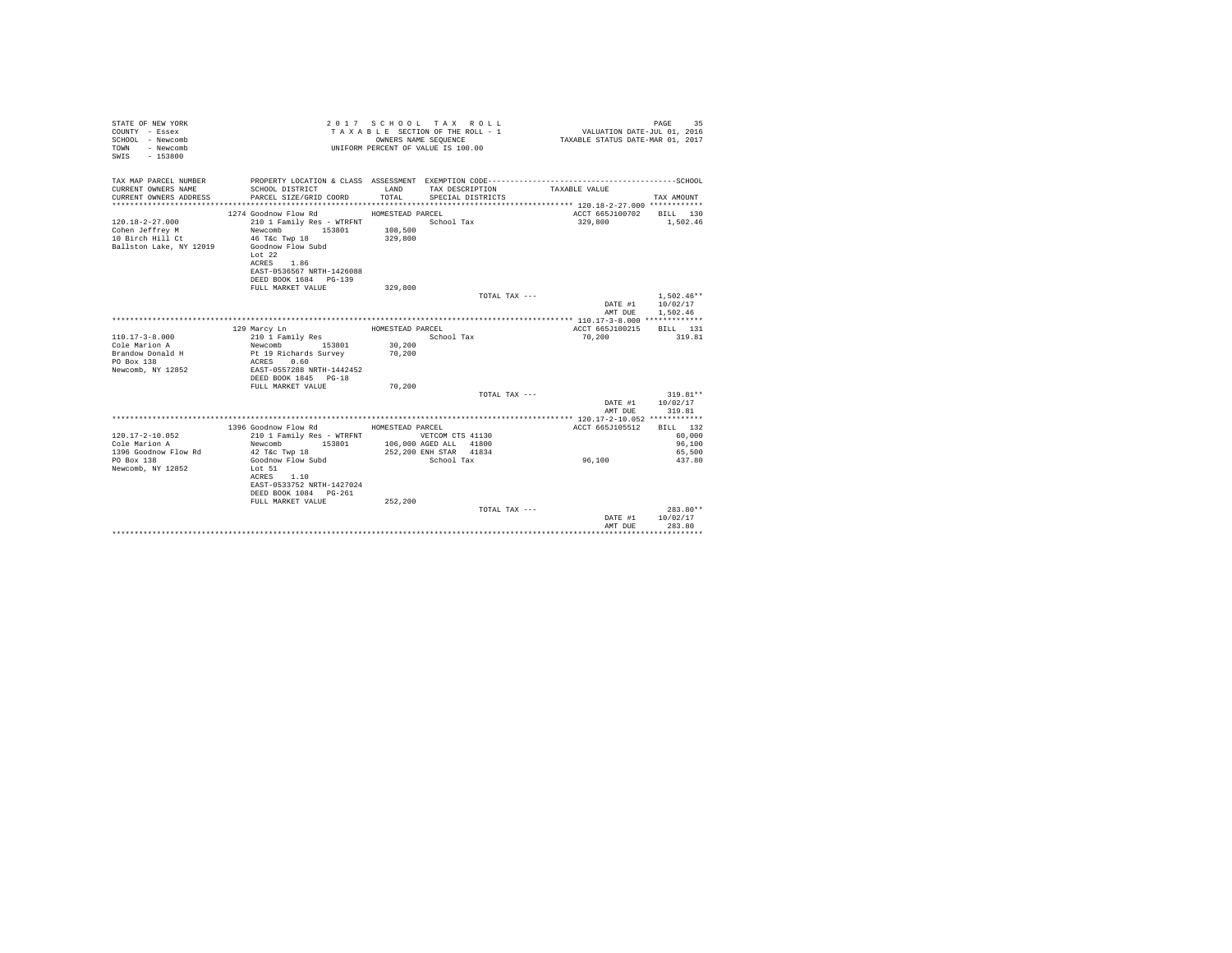| STATE OF NEW YORK<br>COUNTY - Essex<br>SCHOOL - Newcomb<br>- Newcomb<br>TOWN<br>SWIS - 153800 |                                                                                                                                                                        | OWNERS NAME SEQUENCE                           | 2017 SCHOOL TAX ROLL<br>TAXABLE SECTION OF THE ROLL - 1<br>UNIFORM PERCENT OF VALUE IS 100.00 | VALUATION DATE-JUL 01, 2016<br>TAXABLE STATUS DATE-MAR 01, 2017 | PAGE<br>35                             |
|-----------------------------------------------------------------------------------------------|------------------------------------------------------------------------------------------------------------------------------------------------------------------------|------------------------------------------------|-----------------------------------------------------------------------------------------------|-----------------------------------------------------------------|----------------------------------------|
| TAX MAP PARCEL NUMBER<br>CURRENT OWNERS NAME<br>CURRENT OWNERS ADDRESS                        | PROPERTY LOCATION & CLASS ASSESSMENT EXEMPTION CODE-----------------------------------SCHOOL<br>SCHOOL DISTRICT<br>PARCEL SIZE/GRID COORD                              | LAND<br>TOTAL                                  | TAX DESCRIPTION<br>SPECIAL DISTRICTS                                                          | TAXABLE VALUE                                                   | TAX AMOUNT                             |
| $120.18 - 2 - 27.000$<br>Cohen Jeffrey M<br>10 Birch Hill Ct<br>Ballston Lake, NY 12019       | 1274 Goodnow Flow Rd<br>210 1 Family Res - WTRFNT<br>153801<br>Newcomb<br>46 T&c Twp 18<br>Goodnow Flow Subd<br>Lot $22$<br>ACRES 1.86<br>EAST-0536567 NRTH-1426088    | HOMESTEAD PARCEL<br>108,500<br>329,800         | School Tax                                                                                    | ACCT 665J100702<br>329,800                                      | BILL 130<br>1.502.46                   |
|                                                                                               | DEED BOOK 1684 PG-139<br>FULL MARKET VALUE                                                                                                                             | 329,800                                        | TOTAL TAX ---                                                                                 | DATE #1                                                         | $1,502.46**$<br>10/02/17               |
|                                                                                               |                                                                                                                                                                        |                                                |                                                                                               | AMT DUE                                                         | 1.502.46                               |
| $110.17 - 3 - 8.000$<br>Cole Marion A<br>Brandow Donald H<br>PO Box 138<br>Newcomb, NY 12852  | 129 Marcy Ln<br>210 1 Family Res<br>Newcomb<br>153801<br>Pt 19 Richards Survey<br>ACRES 0.60<br>EAST-0557288 NRTH-1442452<br>DEED BOOK 1845 PG-18<br>FULL MARKET VALUE | HOMESTEAD PARCEL<br>30,200<br>70,200<br>70,200 | School Tax                                                                                    | ACCT 665J100215<br>70,200                                       | BTLL 131<br>319.81                     |
|                                                                                               |                                                                                                                                                                        |                                                | TOTAL TAX ---                                                                                 |                                                                 | $319.81**$                             |
|                                                                                               |                                                                                                                                                                        |                                                |                                                                                               | DATE #1<br>AMT DUE                                              | 10/02/17<br>319.81                     |
|                                                                                               |                                                                                                                                                                        |                                                |                                                                                               |                                                                 |                                        |
| $120.17 - 2 - 10.052$<br>Cole Marion A<br>1396 Goodnow Flow Rd                                | 1396 Goodnow Flow Rd<br>210 1 Family Res - WTRFNT WETCOM CTS 41130<br>Newcomb<br>153801<br>42 T&c Twp 18                                                               | HOMESTEAD PARCEL                               | 106,000 AGED ALL 41800<br>252,200 ENH STAR 41834                                              | ACCT 665J105512                                                 | BILL 132<br>60,000<br>96,100<br>65,500 |
| PO Box 138<br>Newcomb, NY 12852                                                               | Goodnow Flow Subd<br>Lot 51<br>ACRES 1.10<br>EAST-0533752 NRTH-1427024<br>DEED BOOK 1084 PG-261<br>FULL MARKET VALUE                                                   | 252.200                                        | School Tax                                                                                    | 96,100                                                          | 437.80                                 |
|                                                                                               |                                                                                                                                                                        |                                                | TOTAL TAX ---                                                                                 | DATE #1<br>AMT DUE                                              | 283.80**<br>10/02/17<br>283.80         |
|                                                                                               |                                                                                                                                                                        |                                                |                                                                                               |                                                                 |                                        |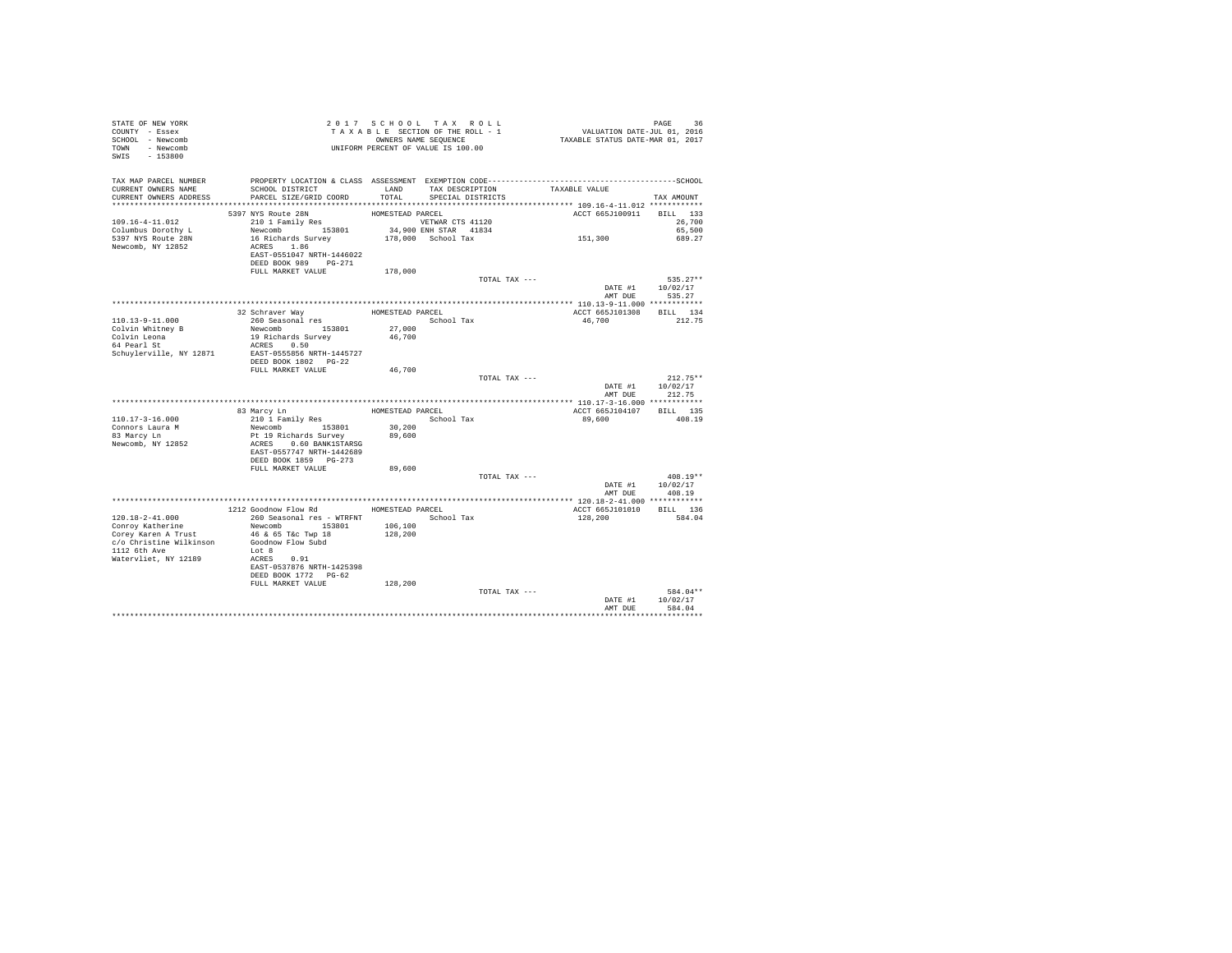| STATE OF NEW YORK<br>COUNTY - Essex<br>SCHOOL - Newcomb |                                            |                    | 2017 SCHOOL TAX ROLL<br>TAXABLE SECTION OF THE ROLL - 1<br>OWNERS NAME SEQUENCE | PAGE 36<br>VALUATION DATE-JUL 01, 2016<br>TAXABLE STATUS DATE-MAR 01, 2017 |                            |
|---------------------------------------------------------|--------------------------------------------|--------------------|---------------------------------------------------------------------------------|----------------------------------------------------------------------------|----------------------------|
| TOWN - Newcomb<br>SWIS - 153800                         |                                            |                    | UNIFORM PERCENT OF VALUE IS 100.00                                              |                                                                            |                            |
| TAX MAP PARCEL NUMBER                                   |                                            |                    |                                                                                 |                                                                            |                            |
| CURRENT OWNERS NAME<br>CURRENT OWNERS ADDRESS           | SCHOOL DISTRICT<br>PARCEL SIZE/GRID COORD  | LAND<br>TOTAL.     | TAX DESCRIPTION<br>SPECIAL DISTRICTS                                            | TAXABLE VALUE                                                              | TAX AMOUNT                 |
|                                                         |                                            |                    |                                                                                 |                                                                            |                            |
|                                                         | 5397 NYS Route 28N                         | HOMESTEAD PARCEL   |                                                                                 | ACCT 665J100911 BILL 133                                                   |                            |
| 109.16-4-11.012                                         | 210 1 Family Res                           |                    | VETWAR CTS 41120                                                                |                                                                            | 26,700                     |
| Columbus Dorothy L                                      | Newcomb 153801                             |                    | 34,900 ENH STAR 41834                                                           | 151,300                                                                    | 65,500                     |
| 5397 NYS Route 28N<br>Newcomb, NY 12852                 | 16 Richards Survey<br>ACRES 1.86           |                    | 178,000 School Tax                                                              |                                                                            | 689.27                     |
|                                                         | EAST-0551047 NRTH-1446022                  |                    |                                                                                 |                                                                            |                            |
|                                                         | DEED BOOK 989 PG-271<br>FULL MARKET VALUE  | 178,000            |                                                                                 |                                                                            |                            |
|                                                         |                                            |                    |                                                                                 | TOTAL TAX ---                                                              | $535.27**$                 |
|                                                         |                                            |                    |                                                                                 |                                                                            | DATE #1 10/02/17           |
|                                                         |                                            |                    |                                                                                 |                                                                            | AMT DUE 535.27             |
|                                                         |                                            |                    |                                                                                 |                                                                            |                            |
| 110.13-9-11.000                                         | 32 Schraver Way<br>260 Seasonal res        | HOMESTEAD PARCEL   | School Tax                                                                      | ACCT 665J101308 BILL 134<br>46,700                                         | 212.75                     |
| Colvin Whitney B                                        | Newcomb 153801                             | 27,000             |                                                                                 |                                                                            |                            |
|                                                         | 19 Richards Survey                         | 46,700             |                                                                                 |                                                                            |                            |
| Colvin Leona<br>64 Pearl St                             | ACRES 0.50                                 |                    |                                                                                 |                                                                            |                            |
| Schuylerville, NY 12871                                 | EAST-0555856 NRTH-1445727                  |                    |                                                                                 |                                                                            |                            |
|                                                         | DEED BOOK 1802 PG-22                       |                    |                                                                                 |                                                                            |                            |
|                                                         | FULL MARKET VALUE                          | 46,700             |                                                                                 |                                                                            |                            |
|                                                         |                                            |                    |                                                                                 | TOTAL TAX ---                                                              | $212.75**$                 |
|                                                         |                                            |                    |                                                                                 | AMT DUE                                                                    | DATE #1 10/02/17<br>212.75 |
|                                                         |                                            |                    |                                                                                 |                                                                            |                            |
|                                                         | 83 Marcy Ln                                |                    | HOMESTEAD PARCEL                                                                | ACCT 665J104107 BILL 135                                                   |                            |
| $110.17 - 3 - 16.000$                                   | 210 1 Family Res                           |                    | School Tax                                                                      | 89,600                                                                     | 408.19                     |
| Connors Laura M                                         | Newcomb 153801                             | 30,200             |                                                                                 |                                                                            |                            |
| 83 Marcy Ln                                             | Pt 19 Richards Survey                      | 89,600             |                                                                                 |                                                                            |                            |
| Newcomb, NY 12852                                       | ACRES 0.60 BANK1STARSG                     |                    |                                                                                 |                                                                            |                            |
|                                                         | EAST-0557747 NRTH-1442689                  |                    |                                                                                 |                                                                            |                            |
|                                                         | DEED BOOK 1859 PG-273<br>FULL MARKET VALUE | 89,600             |                                                                                 |                                                                            |                            |
|                                                         |                                            |                    |                                                                                 | TOTAL TAX ---                                                              | $408.19**$                 |
|                                                         |                                            |                    |                                                                                 |                                                                            | DATE #1 10/02/17           |
|                                                         |                                            |                    |                                                                                 | AMT DUE                                                                    | 408.19                     |
|                                                         |                                            |                    |                                                                                 |                                                                            |                            |
|                                                         | 1212 Goodnow Flow Rd MOMESTEAD PARCEL      |                    |                                                                                 | ACCT 665J101010 BILL 136                                                   |                            |
| $120.18 - 2 - 41.000$                                   | 260 Seasonal res - WTRFNT                  |                    | School Tax                                                                      | 128,200                                                                    | 584.04                     |
| Conroy Katherine<br>Corey Karen A Trust                 | Newcomb 153801<br>46 & 65 T&c Twp 18       | 106,100<br>128,200 |                                                                                 |                                                                            |                            |
| c/o Christine Wilkinson Goodnow Flow Subd               |                                            |                    |                                                                                 |                                                                            |                            |
| 1112 6th Ave                                            | Lot 8                                      |                    |                                                                                 |                                                                            |                            |
| Watervliet, NY 12189                                    | ACRES 0.91                                 |                    |                                                                                 |                                                                            |                            |
|                                                         | EAST-0537876 NRTH-1425398                  |                    |                                                                                 |                                                                            |                            |
|                                                         | DEED BOOK 1772 PG-62                       |                    |                                                                                 |                                                                            |                            |
|                                                         | FULL MARKET VALUE                          | 128,200            |                                                                                 |                                                                            |                            |
|                                                         |                                            |                    | TOTAL TAX ---                                                                   |                                                                            | 584.04**                   |
|                                                         |                                            |                    |                                                                                 | DATE #1<br>AMT DUE                                                         | 10/02/17<br>584.04         |
|                                                         |                                            |                    |                                                                                 |                                                                            |                            |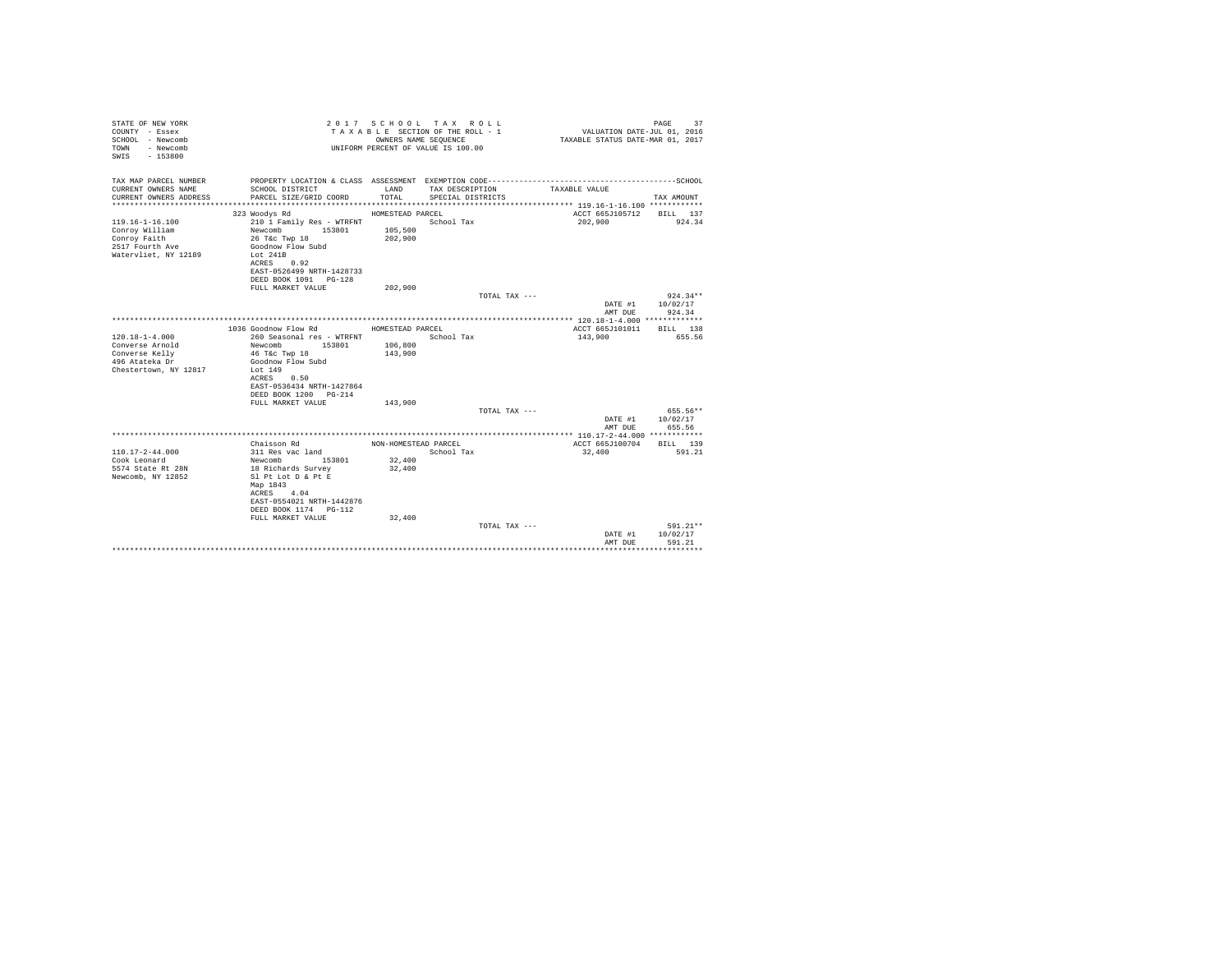| STATE OF NEW YORK<br>COUNTY - Essex<br>SCHOOL - Newcomb<br>- Newcomb<br>TOWN<br>$-153800$<br>SWTS |                                                                    | OWNERS NAME SEQUENCE | 2017 SCHOOL TAX ROLL<br>TAXABLE SECTION OF THE ROLL - 1<br>UNIFORM PERCENT OF VALUE IS 100.00 | VALUATION DATE-JUL 01, 2016<br>TAXABLE STATUS DATE-MAR 01, 2017 | 37<br>PAGE               |
|---------------------------------------------------------------------------------------------------|--------------------------------------------------------------------|----------------------|-----------------------------------------------------------------------------------------------|-----------------------------------------------------------------|--------------------------|
| TAX MAP PARCEL NUMBER                                                                             | PROPERTY LOCATION & CLASS ASSESSMENT EXEMPTION CODE--------------- |                      |                                                                                               |                                                                 | ------------------SCHOOL |
| CURRENT OWNERS NAME<br>CURRENT OWNERS ADDRESS                                                     | SCHOOL DISTRICT                                                    | LAND<br>TOTAL.       | TAX DESCRIPTION                                                                               | TAXABLE VALUE                                                   | TAX AMOUNT               |
|                                                                                                   | PARCEL SIZE/GRID COORD                                             |                      | SPECIAL DISTRICTS                                                                             |                                                                 |                          |
|                                                                                                   | 323 Woodys Rd                                                      | HOMESTEAD PARCEL     |                                                                                               | ACCT 665J105712                                                 | BILL 137                 |
| $119.16 - 1 - 16.100$                                                                             | 210 1 Family Res - WTRFNT                                          |                      | School Tax                                                                                    | 202,900                                                         | 924.34                   |
| Conroy William                                                                                    | Newcomb<br>153801                                                  | 105,500              |                                                                                               |                                                                 |                          |
| Conroy Faith                                                                                      | 26 T&c Twp 18                                                      | 202,900              |                                                                                               |                                                                 |                          |
| 2517 Fourth Ave<br>Watervliet, NY 12189                                                           | Goodnow Flow Subd<br>Lot 241B                                      |                      |                                                                                               |                                                                 |                          |
|                                                                                                   | ACRES 0.92                                                         |                      |                                                                                               |                                                                 |                          |
|                                                                                                   | EAST-0526499 NRTH-1428733                                          |                      |                                                                                               |                                                                 |                          |
|                                                                                                   | DEED BOOK 1091 PG-128                                              |                      |                                                                                               |                                                                 |                          |
|                                                                                                   | FULL MARKET VALUE                                                  | 202,900              |                                                                                               |                                                                 |                          |
|                                                                                                   |                                                                    |                      | TOTAL TAX ---                                                                                 | DATE #1                                                         | $924.34**$<br>10/02/17   |
|                                                                                                   |                                                                    |                      |                                                                                               | AMT DUE                                                         | 924.34                   |
|                                                                                                   |                                                                    |                      |                                                                                               |                                                                 |                          |
|                                                                                                   | 1036 Goodnow Flow Rd                                               | HOMESTEAD PARCEL     |                                                                                               | ACCT 665J101011                                                 | RTLL 138                 |
| $120.18 - 1 - 4.000$                                                                              | 260 Seasonal res - WTRFNT                                          |                      | School Tax                                                                                    | 143,900                                                         | 655.56                   |
| Converse Arnold                                                                                   | Newcomb 153801                                                     | 106,800              |                                                                                               |                                                                 |                          |
| Converse Kelly<br>496 Atateka Dr                                                                  | 46 T&c Twp 18<br>Goodnow Flow Subd                                 | 143,900              |                                                                                               |                                                                 |                          |
| Chestertown, NY 12817                                                                             | Lot 149                                                            |                      |                                                                                               |                                                                 |                          |
|                                                                                                   | ACRES<br>0.50                                                      |                      |                                                                                               |                                                                 |                          |
|                                                                                                   | EAST-0536434 NRTH-1427864                                          |                      |                                                                                               |                                                                 |                          |
|                                                                                                   | DEED BOOK 1200 PG-214                                              |                      |                                                                                               |                                                                 |                          |
|                                                                                                   | FULL MARKET VALUE                                                  | 143,900              | TOTAL TAX ---                                                                                 |                                                                 | 655.56**                 |
|                                                                                                   |                                                                    |                      |                                                                                               | DATE #1                                                         | 10/02/17                 |
|                                                                                                   |                                                                    |                      |                                                                                               | AMT DUE                                                         | 655.56                   |
|                                                                                                   |                                                                    |                      |                                                                                               |                                                                 |                          |
|                                                                                                   | Chaisson Rd                                                        | NON-HOMESTEAD PARCEL |                                                                                               | ACCT 665J100704                                                 | BILL 139                 |
| $110.17 - 2 - 44.000$                                                                             | 311 Res vac land                                                   |                      | School Tax                                                                                    | 32,400                                                          | 591.21                   |
| Cook Leonard<br>5574 State Rt 28N                                                                 | 153801<br>Newcomb<br>18 Richards Survey                            | 32,400<br>32,400     |                                                                                               |                                                                 |                          |
| Newcomb, NY 12852                                                                                 | Sl Pt Lot D & Pt E                                                 |                      |                                                                                               |                                                                 |                          |
|                                                                                                   | Map 1843                                                           |                      |                                                                                               |                                                                 |                          |
|                                                                                                   | ACRES 4.04                                                         |                      |                                                                                               |                                                                 |                          |
|                                                                                                   | EAST-0554021 NRTH-1442876                                          |                      |                                                                                               |                                                                 |                          |
|                                                                                                   | DEED BOOK 1174   PG-112                                            |                      |                                                                                               |                                                                 |                          |
|                                                                                                   | FULL MARKET VALUE                                                  | 32,400               | TOTAL TAX ---                                                                                 |                                                                 | 591.21**                 |
|                                                                                                   |                                                                    |                      |                                                                                               | DATE #1                                                         | 10/02/17                 |
|                                                                                                   |                                                                    |                      |                                                                                               | AMT DUE                                                         | 591.21                   |
|                                                                                                   |                                                                    |                      |                                                                                               |                                                                 |                          |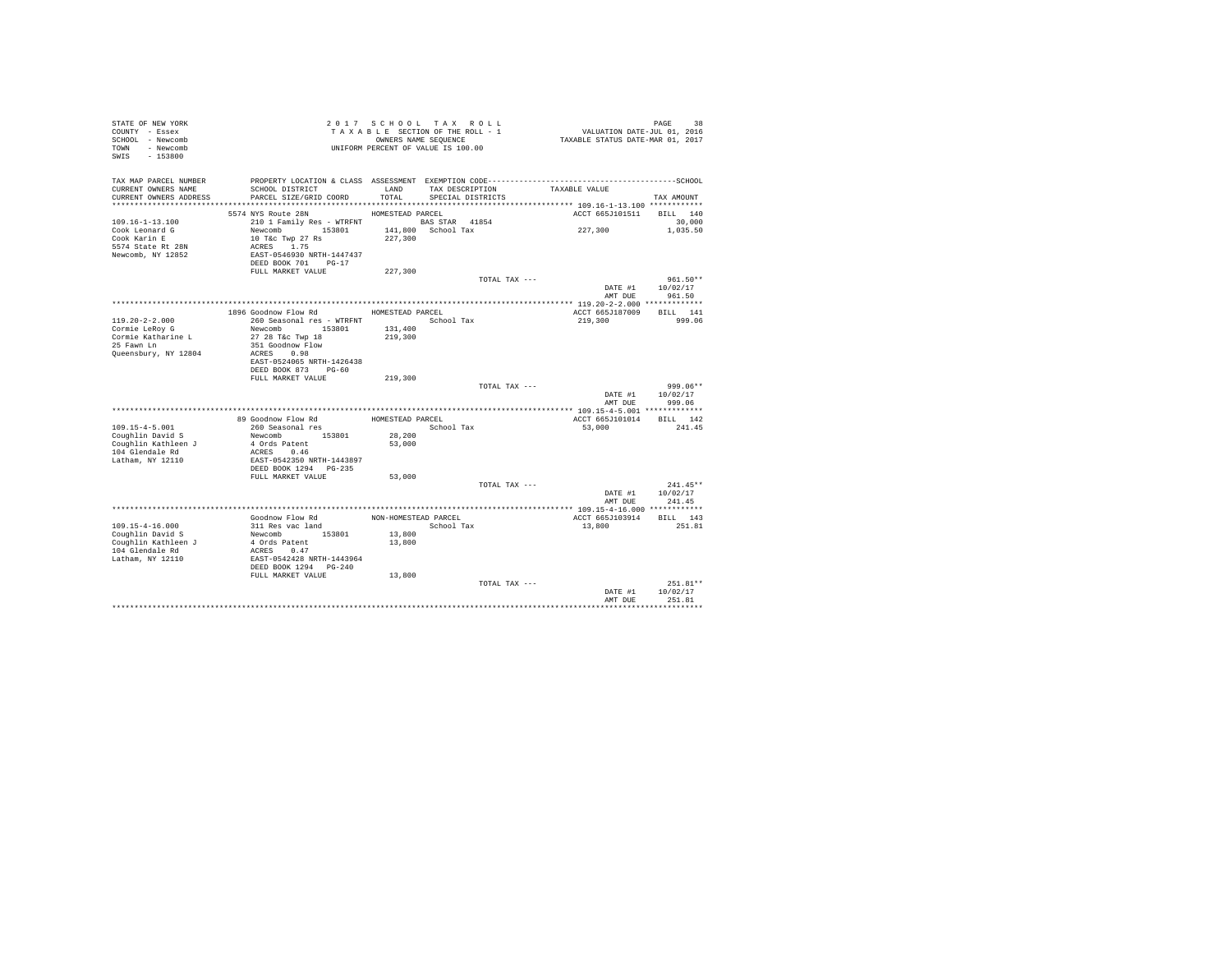| STATE OF NEW YORK<br>COUNTY - Essex<br>SCHOOL - Newcomb<br>TOWN - Newcomb<br>SWIS<br>$-153800$ |                                                                                           |                      | 2017 SCHOOL TAX ROLL<br>TAXABLE SECTION OF THE ROLL - 1<br>OWNERS NAME SEQUENCE<br>UNIFORM PERCENT OF VALUE IS 100.00 | PAGE 38<br>VALUATION DATE-JUL 01, 2016<br>TAXABLE STATUS DATE-MAR 01, 2017 |                            |
|------------------------------------------------------------------------------------------------|-------------------------------------------------------------------------------------------|----------------------|-----------------------------------------------------------------------------------------------------------------------|----------------------------------------------------------------------------|----------------------------|
| TAX MAP PARCEL NUMBER<br>CURRENT OWNERS NAME                                                   | SCHOOL DISTRICT                                                                           | LAND                 | TAX DESCRIPTION                                                                                                       | TAXABLE VALUE                                                              |                            |
| CURRENT OWNERS ADDRESS                                                                         | PARCEL SIZE/GRID COORD                                                                    | TOTAL                | SPECIAL DISTRICTS                                                                                                     |                                                                            | TAX AMOUNT                 |
|                                                                                                | 5574 NYS Route 28N                                                                        | HOMESTEAD PARCEL     |                                                                                                                       | ACCT 665J101511 BILL 140                                                   |                            |
| $109.16 - 1 - 13.100$                                                                          | 210 1 Family Res - WTRFNT BAS STAR 41854                                                  |                      |                                                                                                                       |                                                                            | 30,000                     |
| Cook Leonard G                                                                                 | Newcomb 153801                                                                            |                      | 141,800 School Tax                                                                                                    | 227,300                                                                    | 1,035.50                   |
| Cook Karin E                                                                                   | 10 T&c Twp 27 Rs                                                                          | 227,300              |                                                                                                                       |                                                                            |                            |
| 5574 State Rt 28N                                                                              | ACRES 1.75                                                                                |                      |                                                                                                                       |                                                                            |                            |
| Newcomb, NY 12852                                                                              | EAST-0546930 NRTH-1447437<br>DEED BOOK 701 PG-17                                          |                      |                                                                                                                       |                                                                            |                            |
|                                                                                                | FULL MARKET VALUE                                                                         | 227,300              |                                                                                                                       |                                                                            |                            |
|                                                                                                |                                                                                           |                      | TOTAL TAX ---                                                                                                         |                                                                            | $961.50**$                 |
|                                                                                                |                                                                                           |                      |                                                                                                                       | DATE #1                                                                    | 10/02/17                   |
|                                                                                                |                                                                                           |                      |                                                                                                                       | AMT DUE                                                                    | 961.50                     |
|                                                                                                |                                                                                           |                      |                                                                                                                       |                                                                            |                            |
| 119.20-2-2.000                                                                                 | 1896 Goodnow Flow Rd MOMESTEAD PARCEL<br>260 Seasonal res - WTRFNT             School Tax |                      |                                                                                                                       | ACCT 665J187009<br>219,300                                                 | BILL 141<br>999.06         |
| Cormie LeRoy G                                                                                 | Newcomb 153801                                                                            | 131,400              |                                                                                                                       |                                                                            |                            |
| Cormie Katharine L                                                                             | 27 28 T&c Twp 18                                                                          | 219,300              |                                                                                                                       |                                                                            |                            |
| 25 Fawn Ln                                                                                     | 351 Goodnow Flow                                                                          |                      |                                                                                                                       |                                                                            |                            |
| Queensbury, NY 12804                                                                           | ACRES 0.98<br>EAST-0524065 NRTH-1426438                                                   |                      |                                                                                                                       |                                                                            |                            |
|                                                                                                | DEED BOOK 873 PG-60                                                                       |                      |                                                                                                                       |                                                                            |                            |
|                                                                                                | FULL MARKET VALUE                                                                         | 219,300              |                                                                                                                       |                                                                            |                            |
|                                                                                                |                                                                                           |                      | TOTAL TAX ---                                                                                                         |                                                                            | 999.06**                   |
|                                                                                                |                                                                                           |                      |                                                                                                                       | AMT DUE                                                                    | DATE #1 10/02/17<br>999.06 |
|                                                                                                |                                                                                           |                      |                                                                                                                       |                                                                            |                            |
|                                                                                                | 89 Goodnow Flow Rd                                                                        | HOMESTEAD PARCEL     |                                                                                                                       | ACCT 665J101014                                                            | BILL 142                   |
| $109.15 - 4 - 5.001$                                                                           | 260 Seasonal res                                                                          |                      | School Tax                                                                                                            | 53,000                                                                     | 241.45                     |
| Coughlin David S                                                                               | Newcomb 153801                                                                            | 28,200               |                                                                                                                       |                                                                            |                            |
| Coughlin Kathleen J<br>104 Glendale Rd                                                         | 4 Ords Patent<br>ACRES 0.46                                                               | 53,000               |                                                                                                                       |                                                                            |                            |
| Latham, NY 12110                                                                               | EAST-0542350 NRTH-1443897                                                                 |                      |                                                                                                                       |                                                                            |                            |
|                                                                                                | DEED BOOK 1294 PG-235                                                                     |                      |                                                                                                                       |                                                                            |                            |
|                                                                                                | FULL MARKET VALUE                                                                         | 53,000               |                                                                                                                       |                                                                            |                            |
|                                                                                                |                                                                                           |                      | TOTAL TAX ---                                                                                                         |                                                                            | $241.45**$                 |
|                                                                                                |                                                                                           |                      |                                                                                                                       | AMT DUE                                                                    | DATE #1 10/02/17<br>241.45 |
|                                                                                                | **********************************                                                        |                      |                                                                                                                       | *************** 109.15-4-16.000 ************                               |                            |
|                                                                                                | Goodnow Flow Rd                                                                           | NON-HOMESTEAD PARCEL |                                                                                                                       | ACCT 665J103914                                                            | BILL 143                   |
| 109.15-4-16.000                                                                                | 311 Res vac land                                                                          |                      | School Tax                                                                                                            | 13,800                                                                     | 251.81                     |
| Coughlin David S                                                                               | Newcomb 153801                                                                            | 13,800               |                                                                                                                       |                                                                            |                            |
| Coughlin Kathleen J<br>104 Glendale Rd                                                         | 4 Ords Patent<br>ACRES 0.47                                                               | 13,800               |                                                                                                                       |                                                                            |                            |
| Latham, NY 12110                                                                               | EAST-0542428 NRTH-1443964                                                                 |                      |                                                                                                                       |                                                                            |                            |
|                                                                                                | DEED BOOK 1294 PG-240                                                                     |                      |                                                                                                                       |                                                                            |                            |
|                                                                                                | FULL MARKET VALUE                                                                         | 13,800               |                                                                                                                       |                                                                            |                            |
|                                                                                                |                                                                                           |                      | TOTAL TAX ---                                                                                                         | DATE #1                                                                    | $251.81**$<br>10/02/17     |
|                                                                                                |                                                                                           |                      |                                                                                                                       | AMT DUE                                                                    | 251.81                     |
|                                                                                                |                                                                                           |                      |                                                                                                                       |                                                                            |                            |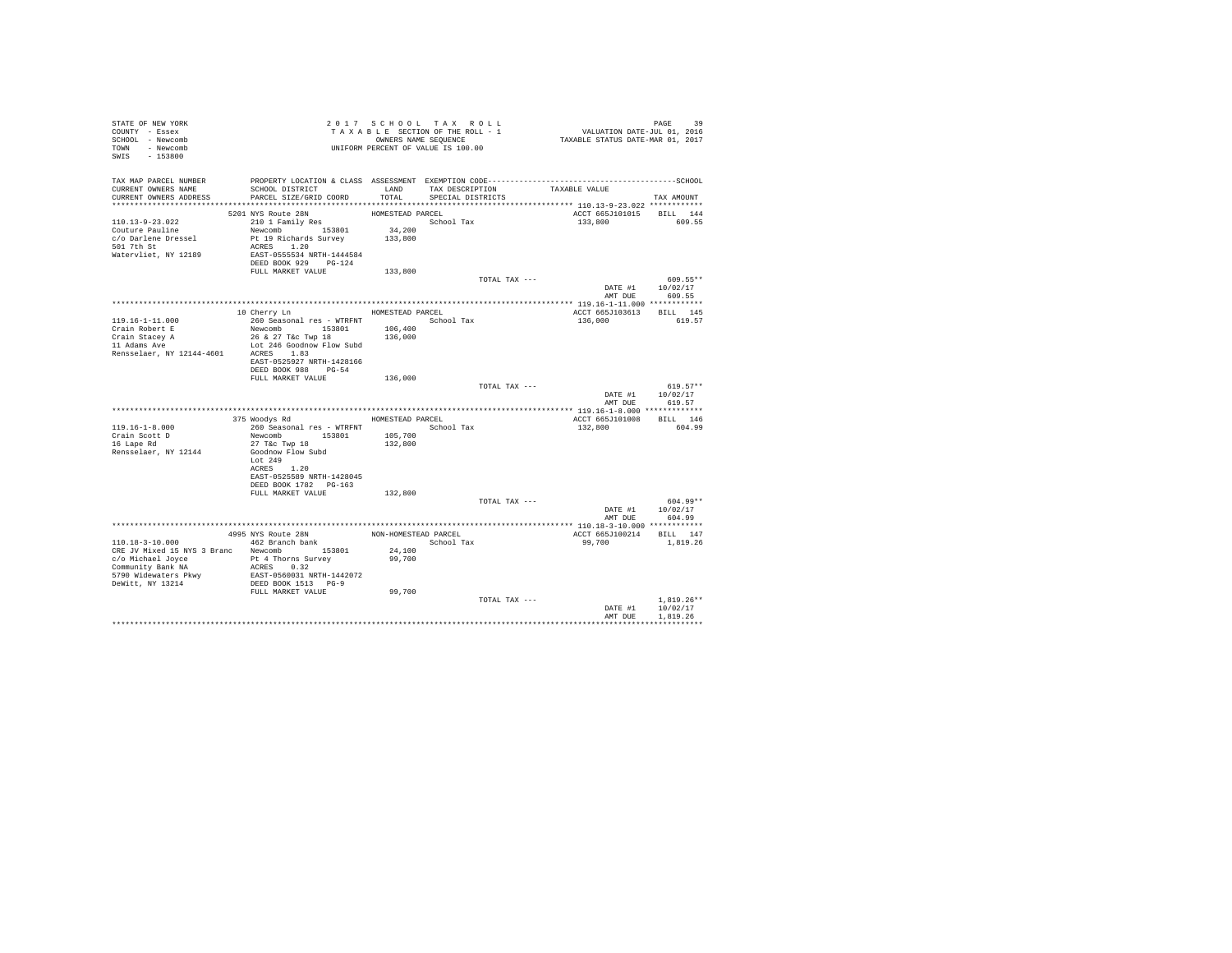| STATE OF NEW YORK<br>COUNTY - Essex<br>SCHOOL - Newcomb<br>TOWN - Newcomb<br>SWIS - 153800                                                          |                                                                                                                                                              |                             | 2017 SCHOOL TAX ROLL<br>TAXABLE SECTION OF THE ROLL - 1<br>OWNERS NAME SEQUENCE<br>UNIFORM PERCENT OF VALUE IS 100.00 |               | PAGE 39<br>VALUATION DATE-JUL 01, 2016<br>TAXABLE STATUS DATE-MAR 01, 2017 |                                        |
|-----------------------------------------------------------------------------------------------------------------------------------------------------|--------------------------------------------------------------------------------------------------------------------------------------------------------------|-----------------------------|-----------------------------------------------------------------------------------------------------------------------|---------------|----------------------------------------------------------------------------|----------------------------------------|
| TAX MAP PARCEL NUMBER<br>CURRENT OWNERS NAME<br>CURRENT OWNERS ADDRESS                                                                              | PROPERTY LOCATION & CLASS ASSESSMENT EXEMPTION CODE-----------------------------------SCHOOL<br>SCHOOL DISTRICT<br>PARCEL SIZE/GRID COORD                    | TOTAL                       | LAND TAX DESCRIPTION<br>SPECIAL DISTRICTS                                                                             |               | TAXABLE VALUE                                                              | TAX AMOUNT                             |
|                                                                                                                                                     |                                                                                                                                                              |                             |                                                                                                                       |               |                                                                            |                                        |
| 110.13-9-23.022<br>Couture Pauline<br>c/o Darlene Dressel<br>501 7th St<br>Watervliet, NY 12189                                                     | 5201 NYS Route 28N<br>210 1 Family Res<br>Newcomb 153801<br>Pt 19 Richards Survey 133,800<br>ACRES 1.20<br>EAST-0555534 NRTH-1444584<br>DEED BOOK 929 PG-124 | HOMESTEAD PARCEL<br>34,200  | School Tax                                                                                                            |               | ACCT 665J101015 BILL 144<br>133,800                                        | 609.55                                 |
|                                                                                                                                                     | FULL MARKET VALUE                                                                                                                                            | 133,800                     |                                                                                                                       |               |                                                                            |                                        |
|                                                                                                                                                     |                                                                                                                                                              |                             |                                                                                                                       | TOTAL TAX --- | AMT DUE                                                                    | 609.55**<br>DATE #1 10/02/17<br>609.55 |
|                                                                                                                                                     |                                                                                                                                                              |                             |                                                                                                                       |               |                                                                            |                                        |
| 119.16-1-11.000<br>Crain Robert E                                                                                                                   | 10 Cherry Ln<br>260 Seasonal res - WTRFNT<br>Newcomb 153801                                                                                                  | HOMESTEAD PARCEL<br>106,400 | School Tax                                                                                                            |               | ACCT 665J103613<br>136,000                                                 | BILL 145<br>619.57                     |
|                                                                                                                                                     | 26 & 27 T&c Twp 18                                                                                                                                           | 136,000                     |                                                                                                                       |               |                                                                            |                                        |
| Crain Stacey A<br>11 Adams Ave<br>Rensselaer, NY 12144-4601                                                                                         | Lot 246 Goodnow Flow Subd<br>ACRES 1.83<br>EAST-0525927 NRTH-1428166                                                                                         |                             |                                                                                                                       |               |                                                                            |                                        |
|                                                                                                                                                     | DEED BOOK 988 PG-54                                                                                                                                          |                             |                                                                                                                       |               |                                                                            |                                        |
|                                                                                                                                                     | FULL MARKET VALUE                                                                                                                                            | 136,000                     |                                                                                                                       | TOTAL TAX --- | DATE #1                                                                    | $619.57**$<br>10/02/17                 |
|                                                                                                                                                     |                                                                                                                                                              |                             |                                                                                                                       |               | AMT DUE                                                                    | 619.57                                 |
|                                                                                                                                                     |                                                                                                                                                              | HOMESTEAD PARCEL            |                                                                                                                       |               | ACCT 665J101008                                                            | BILL 146                               |
| $119.16 - 1 - 8.000$<br>Crain Scott D<br>16 Lape Rd<br>Rensselaer, NY 12144                                                                         | 375 Woodys Rd<br>260 Seasonal res - WTRFNT<br>Newcomb 153801<br>27 T&c Twp 18<br>Goodnow Flow Subd                                                           | 105,700<br>132,800          | School Tax                                                                                                            |               | 132,800                                                                    | 604.99                                 |
|                                                                                                                                                     | Lot 249<br>ACRES 1.20<br>EAST-0525589 NRTH-1428045<br>DEED BOOK 1782 PG-163                                                                                  |                             |                                                                                                                       |               |                                                                            |                                        |
|                                                                                                                                                     | FULL MARKET VALUE                                                                                                                                            | 132,800                     |                                                                                                                       | TOTAL TAX --- |                                                                            | 604.99**                               |
|                                                                                                                                                     |                                                                                                                                                              |                             |                                                                                                                       |               | DATE #1<br>AMT DUE                                                         | 10/02/17<br>604.99                     |
|                                                                                                                                                     |                                                                                                                                                              |                             |                                                                                                                       |               |                                                                            |                                        |
| 110.18-3-10.000                                                                                                                                     | 4995 NYS Route 28N<br>462 Branch bank                                                                                                                        |                             | NON-HOMESTEAD PARCEL<br>School Tax                                                                                    |               | ACCT 665J100214 BILL 147<br>99,700                                         | 1,819.26                               |
| CRE JV Mixed 15 NYS 3 Branc Newcomb 153801<br>c/o Michael Joyce Pt 4 Thorns Survey<br>Community Bank NA<br>5790 Widewaters Pkwy<br>DeWitt, NY 13214 | ACRES 0.32<br>EAST-0560031 NRTH-1442072<br>DEED BOOK 1513 PG-9                                                                                               | 24,100<br>99,700            |                                                                                                                       |               |                                                                            |                                        |
|                                                                                                                                                     | FULL MARKET VALUE                                                                                                                                            | 99,700                      |                                                                                                                       |               |                                                                            |                                        |
|                                                                                                                                                     |                                                                                                                                                              |                             |                                                                                                                       | TOTAL TAX --- | DATE #1<br>AMT DUE                                                         | $1.819.26**$<br>10/02/17<br>1,819.26   |
|                                                                                                                                                     |                                                                                                                                                              |                             |                                                                                                                       |               |                                                                            |                                        |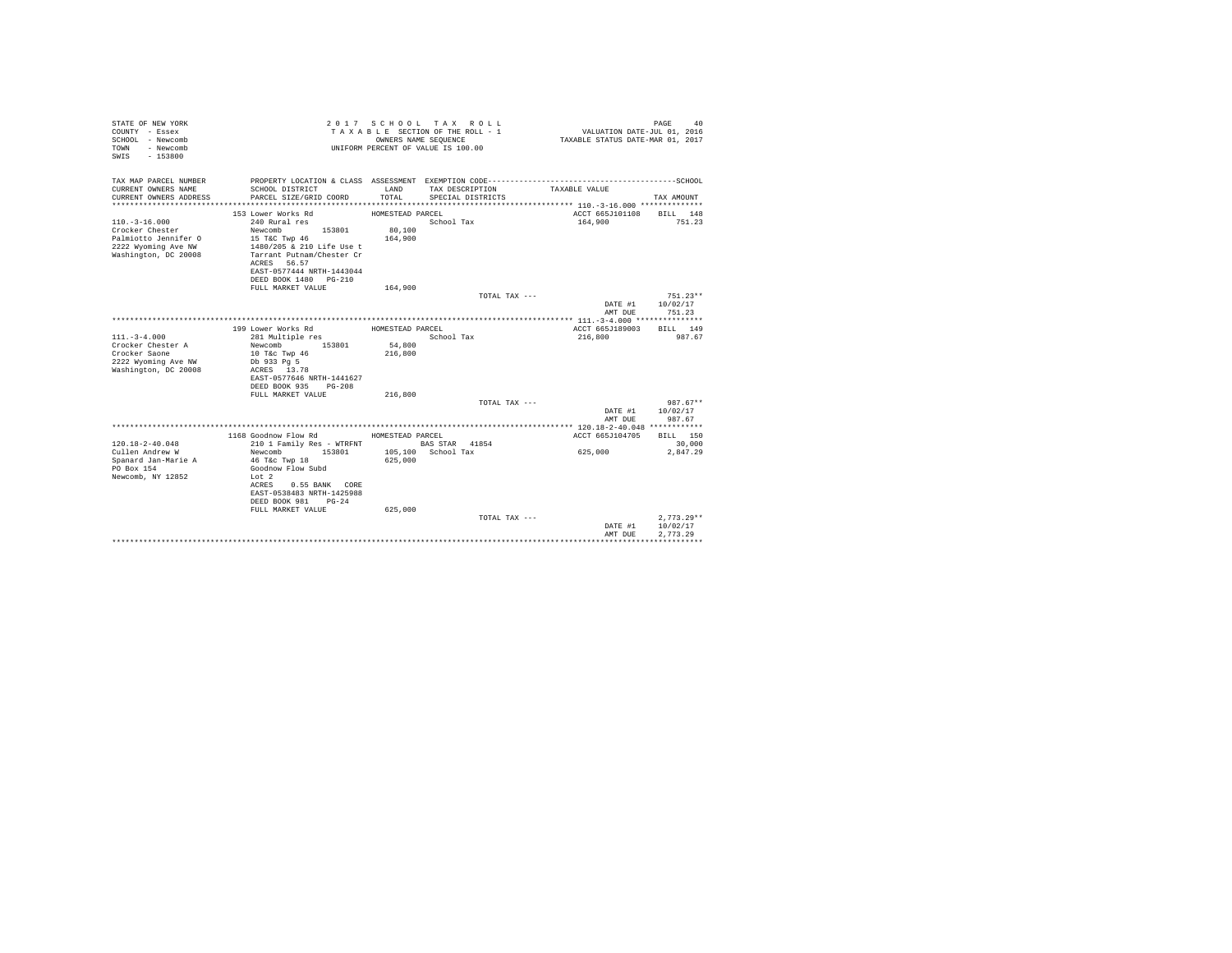| STATE OF NEW YORK<br>COUNTY - Essex<br>SCHOOL - Newcomb<br>- Newcomb<br>TOWN<br>$-153800$<br>SWIS |                                                        | OWNERS NAME SEOUENCE | 2017 SCHOOL TAX ROLL<br>TAXABLE SECTION OF THE ROLL - 1<br>UNIFORM PERCENT OF VALUE IS 100.00 | VALUATION DATE-JUL 01, 2016<br>TAXABLE STATUS DATE-MAR 01, 2017 | PAGE<br>40             |
|---------------------------------------------------------------------------------------------------|--------------------------------------------------------|----------------------|-----------------------------------------------------------------------------------------------|-----------------------------------------------------------------|------------------------|
| TAX MAP PARCEL NUMBER                                                                             |                                                        |                      |                                                                                               |                                                                 |                        |
| CURRENT OWNERS NAME<br>CURRENT OWNERS ADDRESS                                                     | SCHOOL DISTRICT<br>PARCEL SIZE/GRID COORD              | LAND<br>TOTAL        | TAX DESCRIPTION<br>SPECIAL DISTRICTS                                                          | TAXABLE VALUE                                                   | TAX AMOUNT             |
|                                                                                                   |                                                        |                      |                                                                                               |                                                                 |                        |
|                                                                                                   | 153 Lower Works Rd                                     | HOMESTEAD PARCEL     |                                                                                               | ACCT 665J101108                                                 | BILL 148               |
| $110. - 3 - 16.000$                                                                               | 240 Rural res                                          |                      | School Tax                                                                                    | 164,900                                                         | 751.23                 |
| Crocker Chester                                                                                   | Newcomb<br>153801                                      | 80,100               |                                                                                               |                                                                 |                        |
| Palmiotto Jennifer O                                                                              | 15 T&C Twp 46                                          | 164,900              |                                                                                               |                                                                 |                        |
| 2222 Wyoming Ave NW<br>Washington, DC 20008                                                       | 1480/205 & 210 Life Use t<br>Tarrant Putnam/Chester Cr |                      |                                                                                               |                                                                 |                        |
|                                                                                                   | ACRES 56.57                                            |                      |                                                                                               |                                                                 |                        |
|                                                                                                   | EAST-0577444 NRTH-1443044                              |                      |                                                                                               |                                                                 |                        |
|                                                                                                   | DEED BOOK 1480 PG-210                                  |                      |                                                                                               |                                                                 |                        |
|                                                                                                   | FULL MARKET VALUE                                      | 164,900              |                                                                                               |                                                                 |                        |
|                                                                                                   |                                                        |                      | TOTAL TAX ---                                                                                 | DATE #1                                                         | $751.23**$<br>10/02/17 |
|                                                                                                   |                                                        |                      |                                                                                               | AMT DUE                                                         | 751.23                 |
|                                                                                                   |                                                        |                      |                                                                                               |                                                                 |                        |
|                                                                                                   | 199 Lower Works Rd                                     | HOMESTEAD PARCEL     |                                                                                               | ACCT 665J189003                                                 | BILL 149               |
| $111. - 3 - 4.000$                                                                                | 281 Multiple res                                       |                      | School Tax                                                                                    | 216,800                                                         | 987.67                 |
| Crocker Chester A                                                                                 | Newcomb<br>153801                                      | 54,800               |                                                                                               |                                                                 |                        |
| Crocker Saone                                                                                     | 10 T&c Twp 46                                          | 216,800              |                                                                                               |                                                                 |                        |
| 2222 Wyoming Ave NW<br>Washington, DC 20008                                                       | Db 933 Pg 5<br>ACRES 13.78                             |                      |                                                                                               |                                                                 |                        |
|                                                                                                   | EAST-0577646 NRTH-1441627                              |                      |                                                                                               |                                                                 |                        |
|                                                                                                   | DEED BOOK 935 PG-208                                   |                      |                                                                                               |                                                                 |                        |
|                                                                                                   | FULL MARKET VALUE                                      | 216,800              |                                                                                               |                                                                 |                        |
|                                                                                                   |                                                        |                      | TOTAL TAX ---                                                                                 |                                                                 | $987.67**$             |
|                                                                                                   |                                                        |                      |                                                                                               | DATE #1                                                         | 10/02/17               |
|                                                                                                   |                                                        |                      |                                                                                               | AMT DUE                                                         | 987.67                 |
|                                                                                                   | 1168 Goodnow Flow Rd                                   | HOMESTEAD PARCEL     |                                                                                               | ACCT 665J104705                                                 | BILL 150               |
| $120.18 - 2 - 40.048$                                                                             | 210 1 Family Res - WTRFNT                              |                      | <b>BAS STAR</b> 41854                                                                         |                                                                 | 30,000                 |
| Cullen Andrew W                                                                                   | Newcomb<br>153801                                      |                      | 105.100 School Tax                                                                            | 625,000                                                         | 2.847.29               |
| Spanard Jan-Marie A                                                                               | 46 T&c Twp 18                                          | 625,000              |                                                                                               |                                                                 |                        |
| PO Box 154                                                                                        | Goodnow Flow Subd                                      |                      |                                                                                               |                                                                 |                        |
| Newcomb, NY 12852                                                                                 | Lot 2<br>ACRES<br>0.55 BANK CORE                       |                      |                                                                                               |                                                                 |                        |
|                                                                                                   | EAST-0538483 NRTH-1425988                              |                      |                                                                                               |                                                                 |                        |
|                                                                                                   | DEED BOOK 981<br>$PG-24$                               |                      |                                                                                               |                                                                 |                        |
|                                                                                                   | FULL MARKET VALUE                                      | 625,000              |                                                                                               |                                                                 |                        |
|                                                                                                   |                                                        |                      | TOTAL TAX ---                                                                                 |                                                                 | $2,773.29**$           |
|                                                                                                   |                                                        |                      |                                                                                               | DATE #1                                                         | 10/02/17               |
|                                                                                                   |                                                        |                      |                                                                                               | AMT DUE                                                         | 2.773.29               |
|                                                                                                   |                                                        |                      |                                                                                               |                                                                 |                        |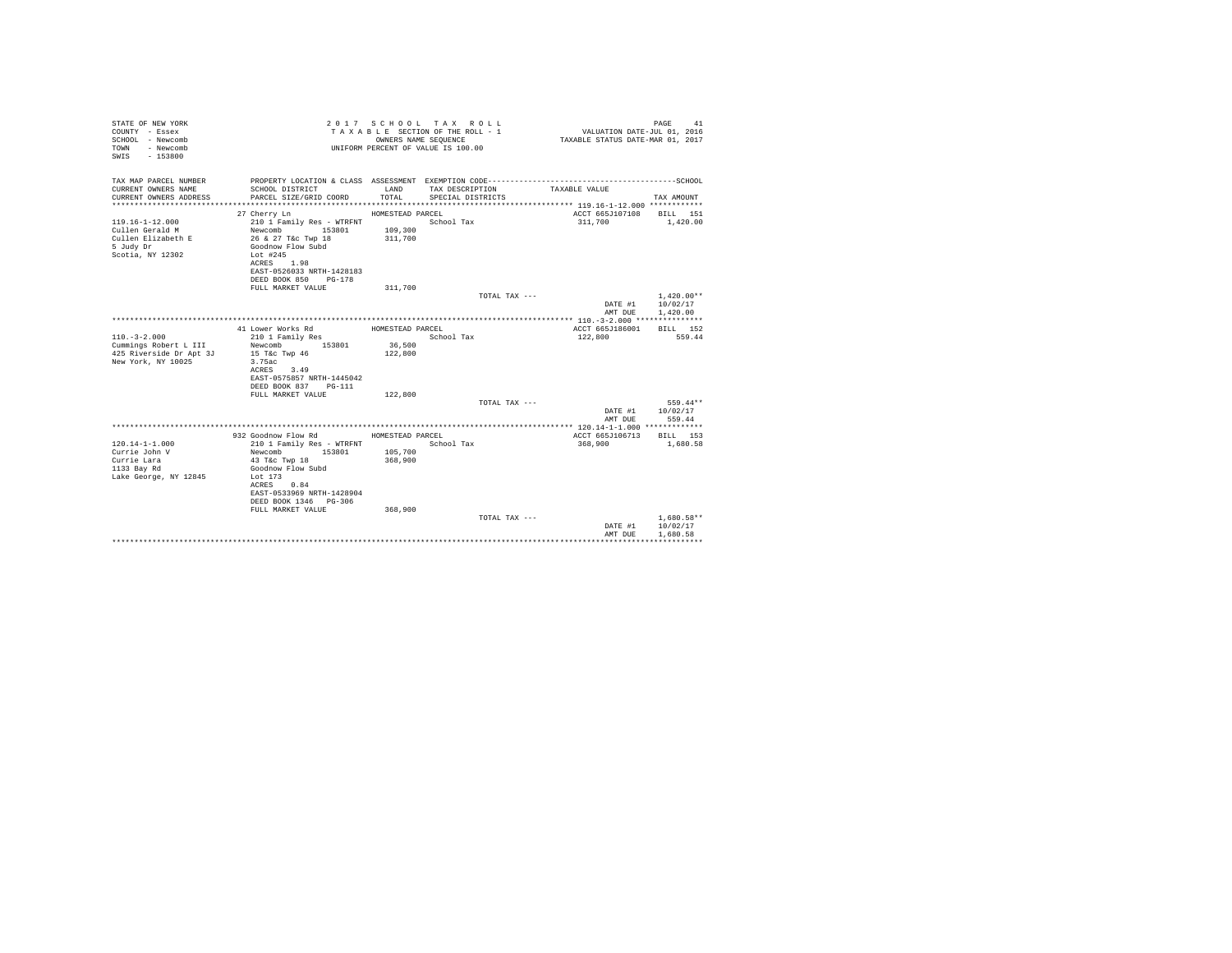| STATE OF NEW YORK<br>COUNTY - Essex<br>SCHOOL - Newcomb<br>- Newcomb<br>TOWN<br>SWIS<br>$-153800$ |                                              | OWNERS NAME SEOUENCE | 2017 SCHOOL TAX ROLL<br>TAXABLE SECTION OF THE ROLL - 1<br>UNIFORM PERCENT OF VALUE IS 100.00 | VALUATION DATE-JUL 01, 2016<br>TAXABLE STATUS DATE-MAR 01, 2017 | PAGE<br>41               |
|---------------------------------------------------------------------------------------------------|----------------------------------------------|----------------------|-----------------------------------------------------------------------------------------------|-----------------------------------------------------------------|--------------------------|
| TAX MAP PARCEL NUMBER                                                                             |                                              |                      | PROPERTY LOCATION & CLASS ASSESSMENT EXEMPTION CODE-----------------------------------SCHOOL  |                                                                 |                          |
| CURRENT OWNERS NAME                                                                               | SCHOOL DISTRICT                              | LAND                 | TAX DESCRIPTION                                                                               | TAXABLE VALUE                                                   |                          |
| CURRENT OWNERS ADDRESS                                                                            | PARCEL SIZE/GRID COORD                       | TOTAL.               | SPECIAL DISTRICTS                                                                             |                                                                 | TAX AMOUNT               |
|                                                                                                   |                                              |                      |                                                                                               | ACCT 665J107108                                                 |                          |
| $119.16 - 1 - 12.000$                                                                             | 27 Cherry Ln<br>210 1 Family Res - WTRFNT    | HOMESTEAD PARCEL     | School Tax                                                                                    | 311,700                                                         | BILL 151<br>1,420,00     |
| Cullen Gerald M                                                                                   | Newcomb<br>153801                            | 109,300              |                                                                                               |                                                                 |                          |
| Cullen Elizabeth E                                                                                | 26 & 27 T&c Twp 18                           | 311,700              |                                                                                               |                                                                 |                          |
| 5 Judy Dr                                                                                         | Goodnow Flow Subd                            |                      |                                                                                               |                                                                 |                          |
| Scotia, NY 12302                                                                                  | Lot #245                                     |                      |                                                                                               |                                                                 |                          |
|                                                                                                   | ACRES 1.98                                   |                      |                                                                                               |                                                                 |                          |
|                                                                                                   | EAST-0526033 NRTH-1428183                    |                      |                                                                                               |                                                                 |                          |
|                                                                                                   | DEED BOOK 850 PG-178                         |                      |                                                                                               |                                                                 |                          |
|                                                                                                   | FULL MARKET VALUE                            | 311,700              |                                                                                               |                                                                 |                          |
|                                                                                                   |                                              |                      | TOTAL TAX ---                                                                                 | DATE #1                                                         | $1.420.00**$<br>10/02/17 |
|                                                                                                   |                                              |                      |                                                                                               | AMT DUE                                                         | 1,420.00                 |
|                                                                                                   |                                              |                      |                                                                                               |                                                                 |                          |
|                                                                                                   | 41 Lower Works Rd                            | HOMESTEAD PARCEL     |                                                                                               | ACCT 665J186001                                                 | BILL 152                 |
| $110. - 3 - 2.000$                                                                                | 210 1 Family Res                             |                      | School Tax                                                                                    | 122,800                                                         | 559.44                   |
| Cummings Robert L III                                                                             | 153801<br>Newcomb                            | 36,500               |                                                                                               |                                                                 |                          |
| 425 Riverside Dr Apt 3J                                                                           | 15 T&c Twp 46                                | 122,800              |                                                                                               |                                                                 |                          |
| New York, NY 10025                                                                                | 3.75ac                                       |                      |                                                                                               |                                                                 |                          |
|                                                                                                   | ACRES 3.49                                   |                      |                                                                                               |                                                                 |                          |
|                                                                                                   | EAST-0575857 NRTH-1445042                    |                      |                                                                                               |                                                                 |                          |
|                                                                                                   | DEED BOOK 837<br>PG-111<br>FULL MARKET VALUE | 122,800              |                                                                                               |                                                                 |                          |
|                                                                                                   |                                              |                      | TOTAL TAX ---                                                                                 |                                                                 | 559.44**                 |
|                                                                                                   |                                              |                      |                                                                                               | DATE #1                                                         | 10/02/17                 |
|                                                                                                   |                                              |                      |                                                                                               | AMT DUE                                                         | 559.44                   |
|                                                                                                   |                                              |                      |                                                                                               | ********** 120.14-1-1.000 *************                         |                          |
|                                                                                                   | 932 Goodnow Flow Rd                          | HOMESTEAD PARCEL     |                                                                                               | ACCT 665J106713                                                 | BTLL 153                 |
| $120.14 - 1 - 1.000$                                                                              | 210 1 Family Res - WTRFNT                    |                      | School Tax                                                                                    | 368,900                                                         | 1,680.58                 |
| Currie John V                                                                                     | 153801<br>Newcomb                            | 105,700              |                                                                                               |                                                                 |                          |
| Currie Lara                                                                                       | 43 T&C Twp 18                                | 368,900              |                                                                                               |                                                                 |                          |
| 1133 Bay Rd<br>Lake George, NY 12845                                                              | Goodnow Flow Subd<br>Lot 173                 |                      |                                                                                               |                                                                 |                          |
|                                                                                                   | ACRES 0.84                                   |                      |                                                                                               |                                                                 |                          |
|                                                                                                   | EAST-0533969 NRTH-1428904                    |                      |                                                                                               |                                                                 |                          |
|                                                                                                   | DEED BOOK 1346 PG-306                        |                      |                                                                                               |                                                                 |                          |
|                                                                                                   | FULL MARKET VALUE                            | 368,900              |                                                                                               |                                                                 |                          |
|                                                                                                   |                                              |                      | TOTAL TAX ---                                                                                 |                                                                 | $1.680.58**$             |
|                                                                                                   |                                              |                      |                                                                                               | DATE #1                                                         | 10/02/17                 |
|                                                                                                   |                                              |                      |                                                                                               | AMT DUE                                                         | 1,680.58                 |
|                                                                                                   |                                              |                      |                                                                                               |                                                                 | ***********              |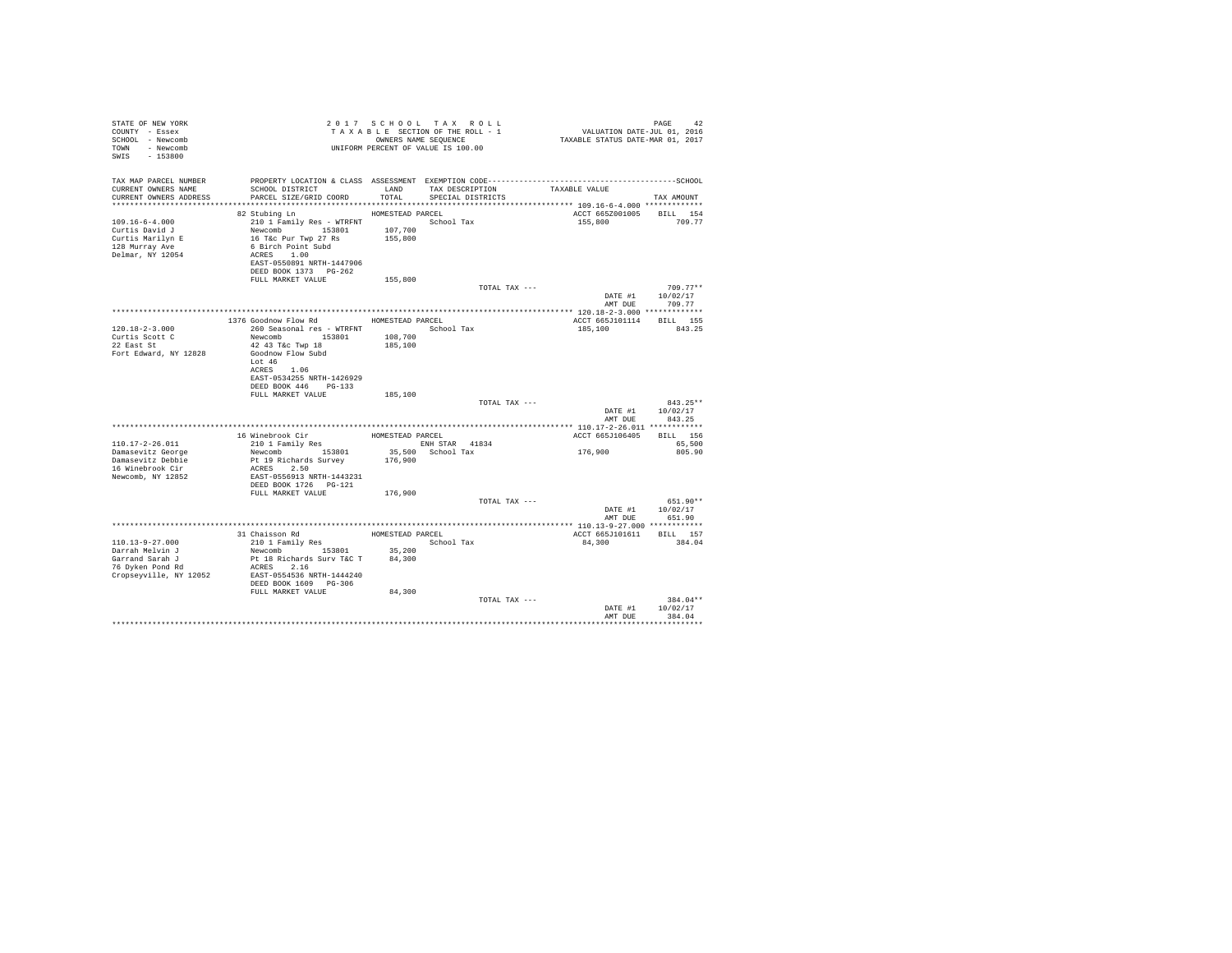| STATE OF NEW YORK<br>COUNTY - Essex<br>SCHOOL - Newcomb<br>TOWN - Newcomb<br>SWIS - 153800       |                                                                                                                                                                               |         | 2017 SCHOOL TAX ROLL<br>UNIFORM PERCENT OF VALUE IS 100.00 |               |                                            |                                        |  |
|--------------------------------------------------------------------------------------------------|-------------------------------------------------------------------------------------------------------------------------------------------------------------------------------|---------|------------------------------------------------------------|---------------|--------------------------------------------|----------------------------------------|--|
| TAX MAP PARCEL NUMBER<br>CURRENT OWNERS NAME<br>CURRENT OWNERS ADDRESS                           | SCHOOL DISTRICT LAND<br>PARCEL SIZE/GRID COORD TOTAL                                                                                                                          |         | TAX DESCRIPTION TAXABLE VALUE<br>SPECIAL DISTRICTS         |               |                                            | TAX AMOUNT                             |  |
|                                                                                                  | 82 Stubing Ln MOMESTEAD PARCEL                                                                                                                                                |         |                                                            |               |                                            |                                        |  |
| $109.16 - 6 - 4.000$<br>Curtis David J<br>Curtis Marilyn E<br>128 Murray Ave<br>Delmar, NY 12054 | 210 1 Family Res - WTRFNT<br>Newcomb 153801 107,700<br>16 Tac Pur Twp 27 Rs 155,800<br>6 Birch Point Subd<br>ACRES 1.00<br>EAST-0550891 NRTH-1447906<br>DEED BOOK 1373 PG-262 |         |                                                            |               | ACCT 665Z001005 BILL 154<br>155,800 709.77 |                                        |  |
|                                                                                                  | FULL MARKET VALUE                                                                                                                                                             | 155,800 |                                                            |               |                                            | $709.77**$                             |  |
|                                                                                                  |                                                                                                                                                                               |         |                                                            | TOTAL TAX --- |                                            | DATE #1 10/02/17                       |  |
|                                                                                                  |                                                                                                                                                                               |         |                                                            |               | AMT DUE                                    | 709.77                                 |  |
|                                                                                                  |                                                                                                                                                                               |         |                                                            |               |                                            |                                        |  |
|                                                                                                  | 1376 Goodnow Flow Rd MOMESTEAD PARCEL                                                                                                                                         |         |                                                            |               | ACCT 665J101114 BILL 155                   |                                        |  |
| $120.18 - 2 - 3.000$                                                                             | 260 Seasonal res - WTRFNT <a></a> School Tax                                                                                                                                  |         |                                                            |               | 185.100 843.25                             |                                        |  |
| Curtis Scott C                                                                                   | Newcomb 153801 108,700<br>42 43 T&c Twp 18 185,100                                                                                                                            |         |                                                            |               |                                            |                                        |  |
| 22 East St                                                                                       |                                                                                                                                                                               |         |                                                            |               |                                            |                                        |  |
| Fort Edward, NY 12828 Goodnow Flow Subd                                                          | Lot $46$<br>ACRES 1.06<br>EAST-0534255 NRTH-1426929<br>DEED BOOK 446 PG-133                                                                                                   |         |                                                            |               |                                            |                                        |  |
|                                                                                                  | FULL MARKET VALUE 185,100                                                                                                                                                     |         |                                                            |               |                                            |                                        |  |
|                                                                                                  |                                                                                                                                                                               |         |                                                            | TOTAL TAX --- | AMT DUR                                    | 843.25**<br>DATE #1 10/02/17<br>843.25 |  |
|                                                                                                  |                                                                                                                                                                               |         |                                                            |               |                                            |                                        |  |
|                                                                                                  |                                                                                                                                                                               |         |                                                            |               | ACCT 665J106405 BILL 156                   |                                        |  |
| 110.17-2-26.011                                                                                  |                                                                                                                                                                               |         |                                                            |               | 176,900                                    | 65,500                                 |  |
| Damasevitz George                                                                                |                                                                                                                                                                               |         |                                                            |               |                                            | 805.90                                 |  |
| Damasevitz Debbie<br>16 Winebrook Cir                                                            | Pt 19 Richards Survey<br>ACRES 2.50                                                                                                                                           | 176,900 |                                                            |               |                                            |                                        |  |
| Newcomb, NY 12852                                                                                | EAST-0556913 NRTH-1443231                                                                                                                                                     |         |                                                            |               |                                            |                                        |  |
|                                                                                                  |                                                                                                                                                                               |         |                                                            |               |                                            |                                        |  |
|                                                                                                  | FULL MARKET VALUE 176,900                                                                                                                                                     |         |                                                            |               |                                            |                                        |  |
|                                                                                                  |                                                                                                                                                                               |         |                                                            | TOTAL TAX --- |                                            | 651.90**                               |  |
|                                                                                                  |                                                                                                                                                                               |         |                                                            |               |                                            | DATE #1 10/02/17                       |  |
|                                                                                                  |                                                                                                                                                                               |         |                                                            |               |                                            | AMT DUE 651.90                         |  |
|                                                                                                  |                                                                                                                                                                               |         |                                                            |               |                                            |                                        |  |
|                                                                                                  | 31 Chaisson Rd $HOMESTEAD$ PARCEL 210 1 Family Res $Sthool$ Tax                                                                                                               |         |                                                            |               | ACCT 665J101611 BILL 157                   |                                        |  |
| 110.13-9-27.000                                                                                  | 210 1 Family Res<br>Newcomb 153801 35,200                                                                                                                                     |         |                                                            |               | 84.300 384.04                              |                                        |  |
| Darrah Melvin J                                                                                  |                                                                                                                                                                               |         |                                                            |               |                                            |                                        |  |
| warrand Sarah J<br>76 Dyken Pond Rd                                                              | Pt 18 Richards Surv T&C T 84,300<br>ACRES 2.16                                                                                                                                |         |                                                            |               |                                            |                                        |  |
| Cropseyville, NY 12052 EAST-0554536 NRTH-1444240                                                 |                                                                                                                                                                               |         |                                                            |               |                                            |                                        |  |
|                                                                                                  | DEED BOOK 1609 PG-306                                                                                                                                                         |         |                                                            |               |                                            |                                        |  |
|                                                                                                  | FULL MARKET VALUE                                                                                                                                                             | 84,300  |                                                            |               |                                            |                                        |  |
|                                                                                                  |                                                                                                                                                                               |         |                                                            | TOTAL TAX --- |                                            | 384.04**                               |  |
|                                                                                                  |                                                                                                                                                                               |         |                                                            |               |                                            | DATE #1 10/02/17                       |  |
|                                                                                                  |                                                                                                                                                                               |         |                                                            |               | AMT DUR                                    | 384.04                                 |  |
|                                                                                                  |                                                                                                                                                                               |         |                                                            |               |                                            |                                        |  |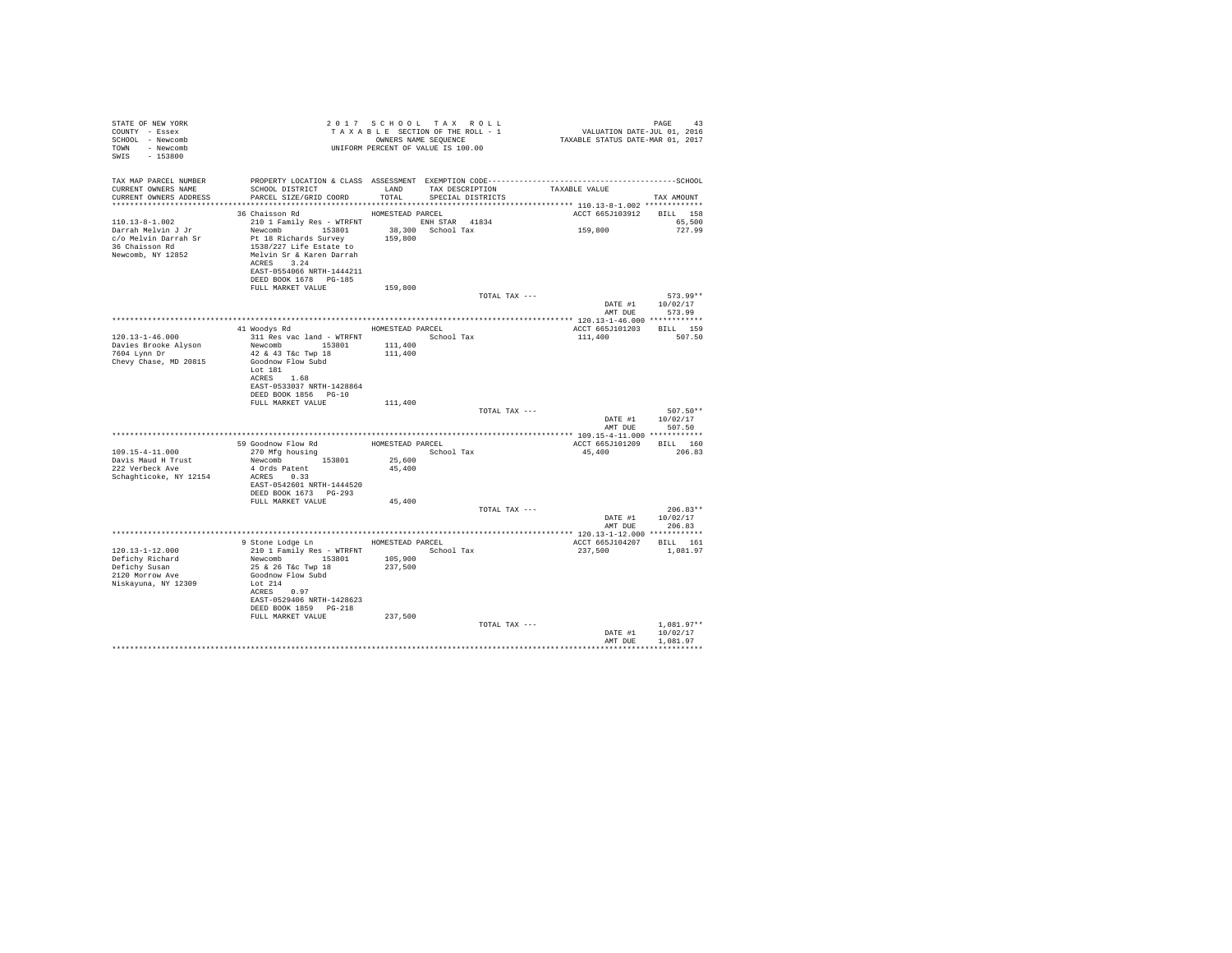| STATE OF NEW YORK                     | 2017 SCROTON OF THE ROLL - 1<br>TAXABLE SECTION OF THE ROLL - 1<br>OWNERS NAME SEQUENCE<br>UNIFORM PERCENT OF VALUE IS 100.00 |         | 2017 SCHOOL TAX ROLL | PAGE 43<br>VALUATION DATE-JUL 01, 2016<br>TAXABLE STATUS DATE-MAR 01, 2017 |                                             |
|---------------------------------------|-------------------------------------------------------------------------------------------------------------------------------|---------|----------------------|----------------------------------------------------------------------------|---------------------------------------------|
| COUNTY - Essex                        |                                                                                                                               |         |                      |                                                                            |                                             |
| SCHOOL - Newcomb                      |                                                                                                                               |         |                      |                                                                            |                                             |
| TOWN - Newcomb                        |                                                                                                                               |         |                      |                                                                            |                                             |
| SWIS - 153800                         |                                                                                                                               |         |                      |                                                                            |                                             |
|                                       |                                                                                                                               |         |                      |                                                                            |                                             |
|                                       |                                                                                                                               |         |                      |                                                                            |                                             |
|                                       |                                                                                                                               |         |                      |                                                                            |                                             |
|                                       |                                                                                                                               |         |                      |                                                                            |                                             |
| CURRENT OWNERS ADDRESS                |                                                                                                                               |         |                      |                                                                            | TAX AMOUNT                                  |
|                                       |                                                                                                                               |         |                      |                                                                            |                                             |
|                                       |                                                                                                                               |         |                      | ACCT 665J103912 BILL 158                                                   |                                             |
|                                       |                                                                                                                               |         |                      | 159,800                                                                    | 65,500                                      |
|                                       |                                                                                                                               |         |                      |                                                                            | 727.99                                      |
|                                       |                                                                                                                               |         |                      |                                                                            |                                             |
|                                       |                                                                                                                               |         |                      |                                                                            |                                             |
|                                       |                                                                                                                               |         |                      |                                                                            |                                             |
|                                       | EAST-0554066 NRTH-1444211                                                                                                     |         |                      |                                                                            |                                             |
|                                       |                                                                                                                               |         |                      |                                                                            |                                             |
|                                       | DEED BOOK 1678 PG-185                                                                                                         |         |                      |                                                                            |                                             |
|                                       | FULL MARKET VALUE                                                                                                             | 159,800 |                      |                                                                            |                                             |
|                                       |                                                                                                                               |         | TOTAL TAX ---        |                                                                            | $573.99**$<br>$\mathtt{DATE}~\#1~~10/02/17$ |
|                                       |                                                                                                                               |         |                      |                                                                            |                                             |
|                                       |                                                                                                                               |         |                      | AMT DUE                                                                    | 573.99                                      |
|                                       | 41 Woodys Rd MOMESTEAD PARCEL                                                                                                 |         |                      | ACCT 665J101203 BILL 159                                                   |                                             |
| $120.13 - 1 - 46.000$                 |                                                                                                                               |         |                      | 111,400 507.50                                                             |                                             |
| Davies Brooke Alyson<br>7604 Lynn Dr  | 311 Res vac land - WTRFNT<br>Newcomb 153801 111,400<br>42 & 43 T&C TWP 18 111,400                                             |         |                      |                                                                            |                                             |
|                                       |                                                                                                                               |         |                      |                                                                            |                                             |
| Chevy Chase, MD 20815                 | Goodnow Flow Subd                                                                                                             |         |                      |                                                                            |                                             |
|                                       | Lot 181                                                                                                                       |         |                      |                                                                            |                                             |
|                                       | ACRES 1.68                                                                                                                    |         |                      |                                                                            |                                             |
|                                       | EAST-0533037 NRTH-1428864                                                                                                     |         |                      |                                                                            |                                             |
|                                       | DEED BOOK 1856 PG-10                                                                                                          |         |                      |                                                                            |                                             |
|                                       | FULL MARKET VALUE                                                                                                             | 111,400 |                      |                                                                            |                                             |
|                                       |                                                                                                                               |         | TOTAL TAX ---        |                                                                            | $507.50**$                                  |
|                                       |                                                                                                                               |         |                      |                                                                            | DATE #1 10/02/17                            |
|                                       |                                                                                                                               |         |                      |                                                                            | AMT DUE 507.50                              |
|                                       |                                                                                                                               |         |                      |                                                                            |                                             |
|                                       | 59 Goodnow Flow Rd HOMESTEAD PARCEL                                                                                           |         |                      | ACCT 665J101209 BILL 160                                                   |                                             |
| 109.15-4-11.000                       | 270 Mfg housing                                                                                                               |         | School Tax           | 45,400 206.83                                                              |                                             |
|                                       | Newcomb 153801                                                                                                                | 25,600  |                      |                                                                            |                                             |
| Davis Maud H Trust<br>222 Verbeck Ave | 4 Ords Patent                                                                                                                 | 45,400  |                      |                                                                            |                                             |
| Schaghticoke, NY 12154                | ACRES 0.33                                                                                                                    |         |                      |                                                                            |                                             |
|                                       | EAST-0542601 NRTH-1444520                                                                                                     |         |                      |                                                                            |                                             |
|                                       | DEED BOOK 1673 PG-293                                                                                                         |         |                      |                                                                            |                                             |
|                                       | FULL MARKET VALUE                                                                                                             | 45,400  |                      |                                                                            |                                             |
|                                       |                                                                                                                               |         | TOTAL TAX ---        |                                                                            | $206.83**$                                  |
|                                       |                                                                                                                               |         |                      |                                                                            | DATE #1 10/02/17                            |
|                                       |                                                                                                                               |         |                      | AMT DUE                                                                    | 206.83                                      |
|                                       |                                                                                                                               |         |                      |                                                                            |                                             |
|                                       | 9 Stone Lodge Ln MOMESTEAD PARCEL                                                                                             |         |                      | ACCT 665J104207 BILL 161                                                   |                                             |
| 120.13-1-12.000                       |                                                                                                                               |         | School Tax           | 237,500                                                                    | 1,081.97                                    |
| Defichy Richard                       | 210 1 Family Res - WTRFNT<br>Newcomb 153801 105,900<br>25 & 26 T&c Twp 18 237,500<br>Goodnow Flow Subd                        |         |                      |                                                                            |                                             |
| Defichy Susan                         |                                                                                                                               |         |                      |                                                                            |                                             |
| 2120 Morrow Ave                       |                                                                                                                               |         |                      |                                                                            |                                             |
| Niskayuna, NY 12309                   | Lot 214                                                                                                                       |         |                      |                                                                            |                                             |
|                                       | ACRES 0.97                                                                                                                    |         |                      |                                                                            |                                             |
|                                       | EAST-0529406 NRTH-1428623                                                                                                     |         |                      |                                                                            |                                             |
|                                       | DEED BOOK 1859 PG-218                                                                                                         |         |                      |                                                                            |                                             |
|                                       | FULL MARKET VALUE                                                                                                             | 237,500 |                      |                                                                            |                                             |
|                                       |                                                                                                                               |         | TOTAL TAX ---        |                                                                            | $1.081.97**$                                |
|                                       |                                                                                                                               |         |                      |                                                                            | DATE #1 10/02/17                            |
|                                       |                                                                                                                               |         |                      | AMT DUE                                                                    | 1,081.97                                    |
|                                       |                                                                                                                               |         |                      |                                                                            |                                             |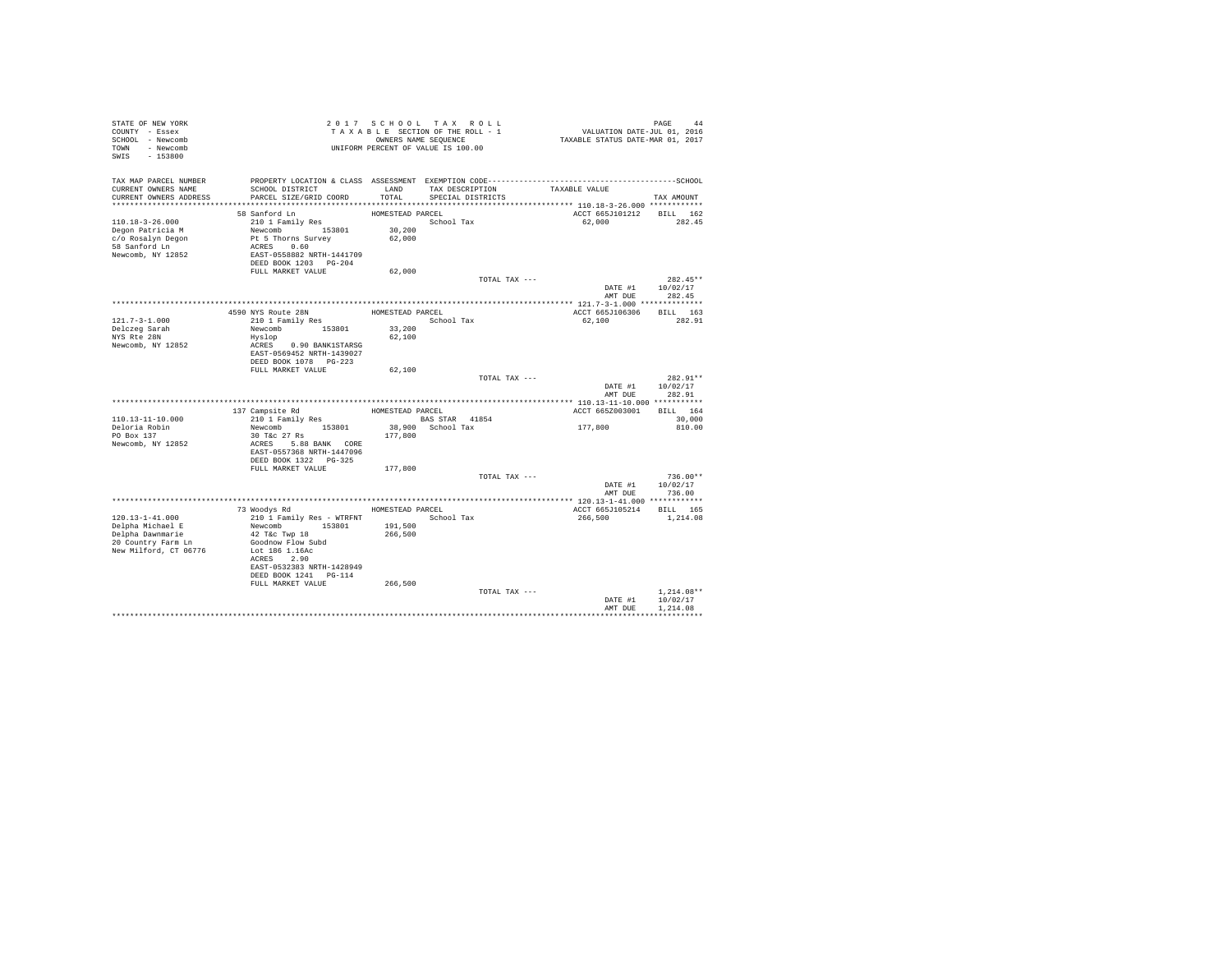| STATE OF NEW YORK<br>COUNTY - Essex<br>SCHOOL - Newcomb<br>TOWN - Newcomb<br>SWIS - 153800                   | UNIFORM PERCENT OF VALUE IS 100.00                                                                                                                                 | 2017 SCHOOL TAX ROLL<br>OWNERS NAME SEQUENCE   |            | TAXABLE SECTION OF THE ROLL - 1      | PAGE 44<br>VALUATION DATE-JUL 01, 2016<br>TAXABLE STATUS DATE-MAR 01, 2017 |                                                  |
|--------------------------------------------------------------------------------------------------------------|--------------------------------------------------------------------------------------------------------------------------------------------------------------------|------------------------------------------------|------------|--------------------------------------|----------------------------------------------------------------------------|--------------------------------------------------|
| TAX MAP PARCEL NUMBER<br>CURRENT OWNERS NAME<br>CURRENT OWNERS ADDRESS                                       | PROPERTY LOCATION & CLASS ASSESSMENT EXEMPTION CODE-----------------------------------SCHOOL<br>SCHOOL DISTRICT<br>PARCEL SIZE/GRID COORD                          | LAND<br>TOTAL.                                 |            | TAX DESCRIPTION<br>SPECIAL DISTRICTS | TAXABLE VALUE                                                              | TAX AMOUNT                                       |
| $110.18 - 3 - 26.000$<br>Degon Patricia M<br>c/o Rosalyn Degon<br>58 Sanford Ln<br>Newcomb, NY 12852         | 58 Sanford Ln<br>210 1 Family Res<br>Newcomb 153801<br>Pt 5 Thorns Survey<br>ACRES 0.60<br>EAST-0558882 NRTH-1441709<br>DEED BOOK 1203 PG-204<br>FULL MARKET VALUE | HOMESTEAD PARCEL<br>30,200<br>62,000<br>62,000 | School Tax |                                      | 62.000                                                                     | ACCT 665J101212 BILL 162<br>282.45               |
|                                                                                                              |                                                                                                                                                                    |                                                |            | TOTAL TAX ---                        |                                                                            | $282.45**$<br>DATE #1 10/02/17<br>AMT DUE 282.45 |
|                                                                                                              |                                                                                                                                                                    |                                                |            |                                      |                                                                            |                                                  |
| 121.7-3-1.000<br>Delczeg Sarah<br>NYS Rte 28N<br>Newcomb, NY 12852                                           | 4590 NYS Route 28N<br>210 1 Family Res<br>Newcomb 153801<br>Hyslop<br>ACRES 0.90 BANK1STARSG<br>EAST-0569452 NRTH-1439027<br>DEED BOOK 1078    PG-223              | HOMESTEAD PARCEL<br>33,200<br>62,100           | School Tax |                                      | 62,100                                                                     | ACCT 665J106306 BILL 163<br>282.91               |
|                                                                                                              | FULL MARKET VALUE                                                                                                                                                  | 62,100                                         |            |                                      |                                                                            |                                                  |
|                                                                                                              |                                                                                                                                                                    |                                                |            | TOTAL TAX ---                        | DATE #1<br>AMT DUE                                                         | $282.91**$<br>10/02/17<br>282.91                 |
|                                                                                                              | 137 Campsite Rd                                                                                                                                                    | HOMESTEAD PARCEL                               |            |                                      |                                                                            | ACCT 665Z003001 BILL 164                         |
| $110.13 - 11 - 10.000$                                                                                       | 210 1 Family Res                                                                                                                                                   | BAS STAR 41854                                 |            |                                      |                                                                            | 30,000                                           |
| Deloria Robin<br>PO Box 137<br>Newcomb, NY 12852                                                             | Newcomb 153801<br>30 T&c 27 Rs<br>ACRES 5.88 BANK CORE<br>EAST-0557368 NRTH-1447096<br>DEED BOOK 1322   PG-325                                                     | 38,900 School Tax<br>177,800                   |            |                                      | 177,800                                                                    | 810.00                                           |
|                                                                                                              | FULL MARKET VALUE                                                                                                                                                  | 177,800                                        |            | TOTAL TAX ---                        |                                                                            | $736.00**$<br>DATE #1 10/02/17                   |
|                                                                                                              |                                                                                                                                                                    |                                                |            |                                      | AMT DUE                                                                    | 736.00                                           |
|                                                                                                              |                                                                                                                                                                    |                                                |            |                                      |                                                                            |                                                  |
| $120.13 - 1 - 41.000$<br>Delpha Michael E<br>Delpha Dawnmarie<br>20 Country Farm Ln<br>New Milford, CT 06776 | 73 Woodys Rd<br>210 1 Family Res - WTRFNT<br>Newcomb 153801<br>42 T&C Twp 18<br>Goodnow Flow Subd<br>Lot 186 1.16Ac<br>ACRES 2.90<br>EAST-0532383 NRTH-1428949     | HOMESTEAD PARCEL<br>191,500<br>266,500         | School Tax |                                      | 266,500                                                                    | ACCT 665J105214 BILL 165<br>1,214.08             |
|                                                                                                              | DEED BOOK 1241    PG-114<br>FULL MARKET VALUE                                                                                                                      | 266,500                                        |            | TOTAL TAX ---                        | DATE #1                                                                    | $1.214.08**$<br>10/02/17                         |
|                                                                                                              |                                                                                                                                                                    |                                                |            |                                      | AMT DUE                                                                    | 1,214.08                                         |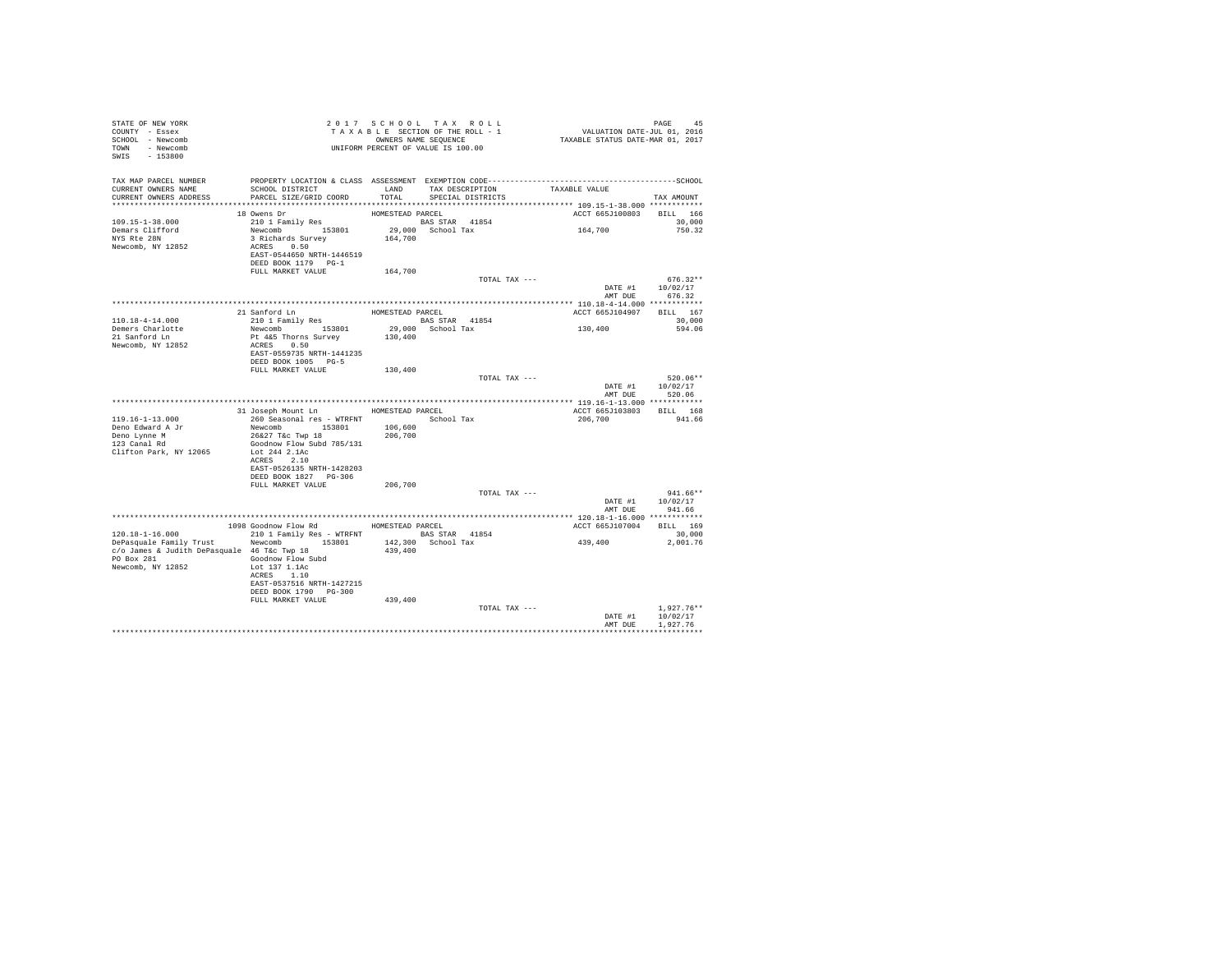| STATE OF NEW YORK<br>COUNTY - Essex<br>SCHOOL - Newcomb<br>TOWN - Newcomb<br>SWIS - 153800                                                  | TAXABLE TRANSPORT OF VALUE IS 100.00                                                                                                                                    | 2017 SCHOOL TAX ROLL<br>TAXABLE SECTION OF THE ROLL - 1<br>OWNERS NAME SEQUENCE |            |                                      | PAGE 45<br>VALUATION DATE-JUL 01, 2016<br>TAXABLE STATUS DATE-MAR 01, 2017 |                                                |
|---------------------------------------------------------------------------------------------------------------------------------------------|-------------------------------------------------------------------------------------------------------------------------------------------------------------------------|---------------------------------------------------------------------------------|------------|--------------------------------------|----------------------------------------------------------------------------|------------------------------------------------|
| TAX MAP PARCEL NUMBER<br>CURRENT OWNERS NAME<br>CURRENT OWNERS ADDRESS                                                                      | SCHOOL DISTRICT<br>PARCEL SIZE/GRID COORD                                                                                                                               | LAND<br>TOTAL                                                                   |            | TAX DESCRIPTION<br>SPECIAL DISTRICTS | TAXABLE VALUE                                                              | TAX AMOUNT                                     |
| 109.15-1-38.000<br>Demars Clifford<br>NYS Rte 28N<br>Newcomb, NY 12852                                                                      | 18 Owens Dr<br>210 1 Family Res<br>Newcomb 153801<br>3 Richards Survey<br>ACRES 0.50<br>EAST-0544650 NRTH-1446519<br>DEED BOOK 1179 PG-1                                | HOMESTEAD PARCEL<br>BAS STAR 41854<br>29,000 School Tax<br>164,700              |            |                                      | ACCT 665J100803<br>164,700                                                 | BILL 166<br>30,000<br>750.32                   |
|                                                                                                                                             | FULL MARKET VALUE                                                                                                                                                       | 164,700                                                                         |            | TOTAL TAX ---                        | DATE #1                                                                    | $676.32**$<br>10/02/17                         |
| 110.18-4-14.000<br>Demers Charlotte<br>21 Sanford Ln<br>Newcomb, NY 12852                                                                   | 21 Sanford Ln<br>210 1 Family Res<br>Newcomb 153801<br>Pt 4&5 Thorns Survey<br>ACRES 0.50<br>EAST-0559735 NRTH-1441235<br>DEED BOOK 1005 PG-5                           | HOMESTEAD PARCEL<br><b>BAS STAR</b> 41854<br>29,000 School Tax<br>130,400       |            |                                      | ACCT 665J104907<br>130,400                                                 | AMT DUE 676.32<br>BILL 167<br>30,000<br>594.06 |
|                                                                                                                                             | FULL MARKET VALUE                                                                                                                                                       | 130,400                                                                         |            | TOTAL TAX ---                        | DATE #1 10/02/17<br>AMT DUE                                                | $520.06**$<br>520.06                           |
|                                                                                                                                             |                                                                                                                                                                         |                                                                                 |            |                                      |                                                                            |                                                |
| $119.16 - 1 - 13.000$<br>Deno Edward A Jr<br>Deno Lynne M<br>123 Canal Rd<br>Clifton Park, NY 12065                                         | 31 Joseph Mount Ln HOMESTEAD PARCEL<br>260 Seasonal res - WTRFNT<br>Newcomb 153801<br>26&27 T&c Twp 18<br>Goodnow Flow Subd 785/131<br>Lot 244 2.1Ac                    | 106,600<br>206,700                                                              | School Tax |                                      | ACCT 665J103803 BILL 168<br>206,700                                        | 941.66                                         |
|                                                                                                                                             | ACRES 2.10<br>EAST-0526135 NRTH-1428203<br>DEED BOOK 1827 PG-306<br>FULL MARKET VALUE                                                                                   | 206,700                                                                         |            | TOTAL TAX ---                        | DATE #1                                                                    | $941.66**$<br>10/02/17                         |
|                                                                                                                                             |                                                                                                                                                                         |                                                                                 |            |                                      |                                                                            | AMT DUE 941.66                                 |
|                                                                                                                                             | 1098 Goodnow Flow Rd HOMESTEAD PARCEL                                                                                                                                   |                                                                                 |            |                                      | ACCT 665J107004 BILL 169                                                   |                                                |
| 120.18-1-16.000<br>DePasquale Family Trust Newcomb 153801<br>c/o James & Judith DePasquale 46 T&c Twp 18<br>PO Box 281<br>Newcomb, NY 12852 | 210 1 Family Res - WTRFNT BAS STAR 41854<br>Goodnow Flow Subd<br>Lot 137 1.1Ac<br>ACRES 1.10<br>EAST-0537516 NRTH-1427215<br>DEED BOOK 1790 PG-300<br>FULL MARKET VALUE | 142,300 School Tax<br>439,400<br>439,400                                        |            |                                      | 439,400                                                                    | 30,000<br>2.001.76                             |
|                                                                                                                                             |                                                                                                                                                                         |                                                                                 |            | TOTAL TAX ---                        | DATE #1<br>AMT DUE                                                         | $1.927.76**$<br>10/02/17<br>1.927.76           |
|                                                                                                                                             |                                                                                                                                                                         |                                                                                 |            |                                      |                                                                            |                                                |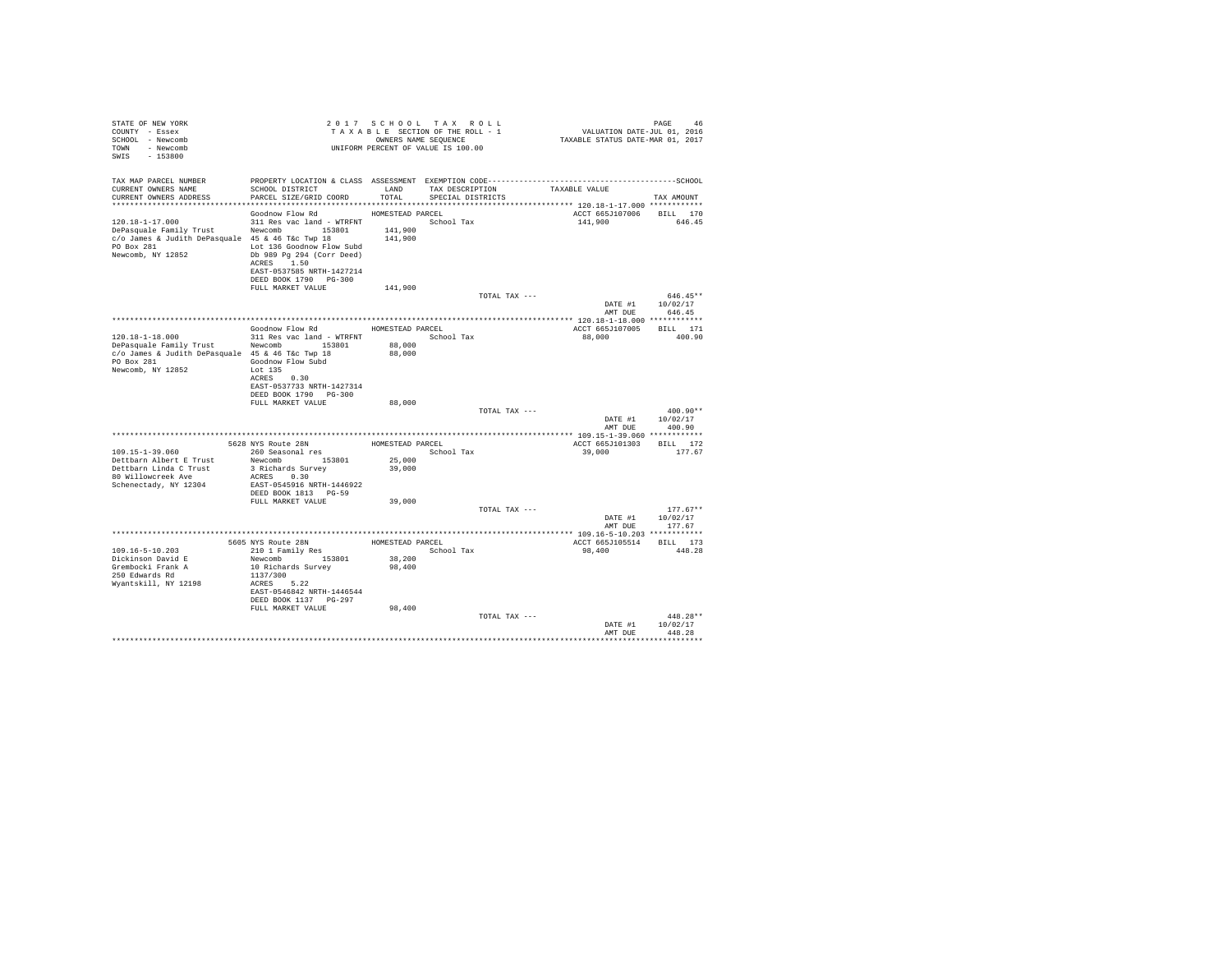| STATE OF NEW YORK<br>COUNTY - Essex<br>SCHOOL - Newcomb<br>TOWN - Newcomb<br>SWIS<br>$-153800$                                    |                                                                                                                                                                     |                                        | 2017 SCHOOL TAX ROLL<br>TAXABLE SECTION OF THE ROLL - 1<br>OWNERS NAME SEQUENCE<br>UNIFORM PERCENT OF VALUE IS 100.00 |               | PAGE 46<br>VALUATION DATE-JUL 01, 2016<br>TAXABLE STATUS DATE-MAR 01, 2017 |                                        |
|-----------------------------------------------------------------------------------------------------------------------------------|---------------------------------------------------------------------------------------------------------------------------------------------------------------------|----------------------------------------|-----------------------------------------------------------------------------------------------------------------------|---------------|----------------------------------------------------------------------------|----------------------------------------|
| TAX MAP PARCEL NUMBER<br>CURRENT OWNERS NAME<br>CURRENT OWNERS ADDRESS                                                            | SCHOOL DISTRICT<br>PARCEL SIZE/GRID COORD                                                                                                                           | LAND<br>TOTAL                          | TAX DESCRIPTION<br>SPECIAL DISTRICTS                                                                                  |               | TAXABLE VALUE                                                              |                                        |
|                                                                                                                                   |                                                                                                                                                                     |                                        |                                                                                                                       |               |                                                                            | TAX AMOUNT                             |
| 120.18-1-17.000<br>DePasquale Family Trust<br>c/o James & Judith DePasquale 45 & 46 T&c Twp 18<br>PO Box 281<br>Newcomb, NY 12852 | Goodnow Flow Rd<br>311 Res vac land - WTRFNT<br>Newcomb 153801<br>Lot 136 Goodnow Flow Subd<br>Db 989 Pg 294 (Corr Deed)<br>ACRES 1.50<br>EAST-0537585 NRTH-1427214 | HOMESTEAD PARCEL<br>141,900<br>141,900 | School Tax                                                                                                            |               | ACCT 665J107006<br>141,900                                                 | BILL 170<br>646.45                     |
|                                                                                                                                   | DEED BOOK 1790 PG-300                                                                                                                                               |                                        |                                                                                                                       |               |                                                                            |                                        |
|                                                                                                                                   | FULL MARKET VALUE                                                                                                                                                   | 141,900                                |                                                                                                                       | TOTAL TAX --- |                                                                            | $646.45**$                             |
|                                                                                                                                   |                                                                                                                                                                     |                                        |                                                                                                                       |               | AMT DUE                                                                    | DATE #1 10/02/17<br>646.45             |
|                                                                                                                                   | Goodnow Flow Rd MOMESTEAD PARCEL                                                                                                                                    |                                        |                                                                                                                       |               |                                                                            | BILL 171                               |
| $120.18 - 1 - 18.000$                                                                                                             | 311 Res vac land - WTRFNT                                                                                                                                           |                                        | School Tax                                                                                                            |               | ACCT 665J107005<br>88,000                                                  | 400.90                                 |
| DePasquale Family Trust Newcomb 153801<br>c/o James & Judith DePasquale 45 & 46 T&c Twp 18                                        |                                                                                                                                                                     | 88,000<br>88,000                       |                                                                                                                       |               |                                                                            |                                        |
| PO Box 281<br>Newcomb, NY 12852                                                                                                   | Goodnow Flow Subd<br>Lot 135<br>ACRES 0.30<br>EAST-0537733 NRTH-1427314<br>DEED BOOK 1790 PG-300                                                                    |                                        |                                                                                                                       |               |                                                                            |                                        |
|                                                                                                                                   | FULL MARKET VALUE                                                                                                                                                   | 88,000                                 |                                                                                                                       |               |                                                                            |                                        |
|                                                                                                                                   |                                                                                                                                                                     |                                        |                                                                                                                       | TOTAL TAX --- | AMT DUE                                                                    | 400.90**<br>DATE #1 10/02/17<br>400.90 |
|                                                                                                                                   |                                                                                                                                                                     |                                        |                                                                                                                       |               |                                                                            |                                        |
| 109.15-1-39.060                                                                                                                   | 5628 NYS Route 28N                                                                                                                                                  | HOMESTEAD PARCEL                       | School Tax                                                                                                            |               | ACCT 665J101303                                                            | BILL 172<br>177.67                     |
| Dettbarn Albert E Trust                                                                                                           | 260 Seasonal res<br>Newcomb 153801                                                                                                                                  | 25,000                                 |                                                                                                                       |               | 39,000                                                                     |                                        |
| Dettbarn Linda C Trust<br>80 Willowcreek Ave<br>Schenectady, NY 12304                                                             | 3 Richards Survey<br>ACRES 0.30<br>EAST-0545916 NRTH-1446922                                                                                                        | 39,000                                 |                                                                                                                       |               |                                                                            |                                        |
|                                                                                                                                   | DEED BOOK 1813 PG-59                                                                                                                                                |                                        |                                                                                                                       |               |                                                                            |                                        |
|                                                                                                                                   | FULL MARKET VALUE                                                                                                                                                   | 39,000                                 |                                                                                                                       | TOTAL TAX --- |                                                                            | $177.67**$                             |
|                                                                                                                                   |                                                                                                                                                                     |                                        |                                                                                                                       |               | AMT DUE                                                                    | DATE #1 10/02/17<br>177.67             |
|                                                                                                                                   |                                                                                                                                                                     |                                        |                                                                                                                       |               |                                                                            |                                        |
| 109.16-5-10.203                                                                                                                   | 5605 NYS Route 28N<br>210 1 Family Res                                                                                                                              | HOMESTEAD PARCEL                       | School Tax                                                                                                            |               | ACCT 665J105514<br>98,400                                                  | BILL 173<br>448.28                     |
| Dickinson David E<br>Grembocki Frank A<br>250 Edwards Rd<br>Wyantskill, NY 12198                                                  | Newcomb 153801<br>10 Richards Survey<br>1137/300<br>ACRES 5.22<br>EAST-0546842 NRTH-1446544                                                                         | 38,200<br>98,400                       |                                                                                                                       |               |                                                                            |                                        |
|                                                                                                                                   | DEED BOOK 1137 PG-297<br>FULL MARKET VALUE                                                                                                                          | 98,400                                 |                                                                                                                       |               |                                                                            |                                        |
|                                                                                                                                   |                                                                                                                                                                     |                                        |                                                                                                                       | TOTAL TAX --- | DATE #1<br>AMT DUE                                                         | 448.28**<br>10/02/17<br>448.28         |
|                                                                                                                                   |                                                                                                                                                                     |                                        |                                                                                                                       |               |                                                                            |                                        |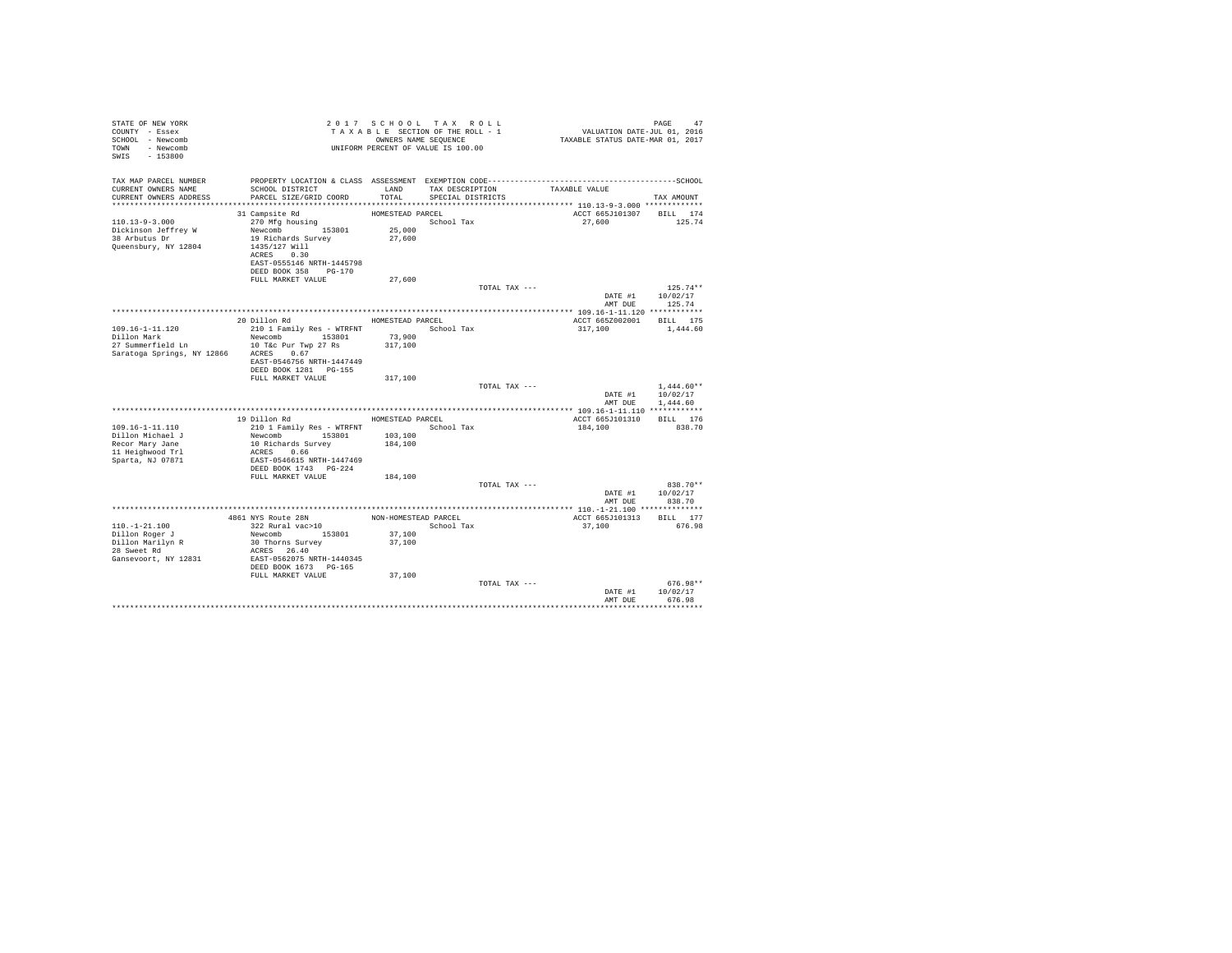| STATE OF NEW YORK<br>COUNTY - Essex<br>SCHOOL - Newcomb<br>TOWN - Newcomb<br>SWIS - 153800 |                                                                                                       |                                      | 2017 SCHOOL TAX ROLL<br>TAXABLE SECTION OF THE ROLL - 1<br>OWNERS NAME SEQUENCE<br>UNIFORM PERCENT OF VALUE IS 100.00 |               | VALUATION DATE-JUL 01, 2016<br>TAXABLE STATUS DATE-MAR 01, 2017 | PAGE<br>47                       |
|--------------------------------------------------------------------------------------------|-------------------------------------------------------------------------------------------------------|--------------------------------------|-----------------------------------------------------------------------------------------------------------------------|---------------|-----------------------------------------------------------------|----------------------------------|
| TAX MAP PARCEL NUMBER<br>CURRENT OWNERS NAME<br>CURRENT OWNERS ADDRESS                     | SCHOOL DISTRICT<br>PARCEL SIZE/GRID COORD                                                             | LAND<br>TOTAL                        | TAX DESCRIPTION<br>SPECIAL DISTRICTS                                                                                  |               | TAXABLE VALUE                                                   | TAX AMOUNT                       |
| $110.13 - 9 - 3.000$<br>Dickinson Jeffrey W<br>38 Arbutus Dr                               | 31 Campsite Rd<br>270 Mfg housing<br>Newcomb 153801<br>19 Richards Survey                             | HOMESTEAD PARCEL<br>25,000<br>27,600 | School Tax                                                                                                            |               | ACCT 665J101307<br>27,600                                       | BILL 174<br>125.74               |
| Queensbury, NY 12804                                                                       | 1435/127 Will<br>ACRES 0.30<br>EAST-0555146 NRTH-1445798<br>DEED BOOK 358 PG-170<br>FULL MARKET VALUE | 27,600                               |                                                                                                                       |               |                                                                 |                                  |
|                                                                                            |                                                                                                       |                                      |                                                                                                                       | TOTAL TAX --- | DATE #1<br>AMT DUE                                              | $125.74**$<br>10/02/17<br>125.74 |
|                                                                                            |                                                                                                       |                                      |                                                                                                                       |               |                                                                 |                                  |
|                                                                                            | 20 Dillon Rd                                                                                          | HOMESTEAD PARCEL                     |                                                                                                                       |               | ACCT 665Z002001                                                 | BILL 175                         |
| $109.16 - 1 - 11.120$                                                                      | 210 1 Family Res - WTRFNT                                                                             |                                      | School Tax                                                                                                            |               | 317,100                                                         | 1,444.60                         |
| Dillon Mark                                                                                | Newcomb 153801                                                                                        | 73,900                               |                                                                                                                       |               |                                                                 |                                  |
| 27 Summerfield Ln                                                                          | 10 T&c Pur Twp 27 Rs                                                                                  | 317,100                              |                                                                                                                       |               |                                                                 |                                  |
| Saratoga Springs, NY 12866                                                                 | ACRES 0.67<br>EAST-0546756 NRTH-1447449<br>DEED BOOK 1281 PG-155                                      |                                      |                                                                                                                       |               |                                                                 |                                  |
|                                                                                            | FULL MARKET VALUE                                                                                     | 317,100                              |                                                                                                                       |               |                                                                 |                                  |
|                                                                                            |                                                                                                       |                                      |                                                                                                                       | TOTAL TAX --- |                                                                 | $1.444.60**$                     |
|                                                                                            |                                                                                                       |                                      |                                                                                                                       |               | DATE #1                                                         | 10/02/17                         |
|                                                                                            |                                                                                                       |                                      |                                                                                                                       |               | AMT DUE                                                         | 1,444.60                         |
|                                                                                            |                                                                                                       |                                      |                                                                                                                       |               |                                                                 |                                  |
|                                                                                            | 19 Dillon Rd                                                                                          | HOMESTEAD PARCEL                     |                                                                                                                       |               | ACCT 665J101310                                                 | BILL 176                         |
| $109.16 - 1 - 11.110$                                                                      | 210 1 Family Res - WTRFNT                                                                             |                                      | School Tax                                                                                                            |               | 184,100                                                         | 838.70                           |
| Dillon Michael J                                                                           | Newcomb 153801                                                                                        | 103,100                              |                                                                                                                       |               |                                                                 |                                  |
| Recor Mary Jane                                                                            | 10 Richards Survey                                                                                    | 184,100                              |                                                                                                                       |               |                                                                 |                                  |
| 11 Heighwood Trl                                                                           | ACRES 0.66                                                                                            |                                      |                                                                                                                       |               |                                                                 |                                  |
| Sparta, NJ 07871                                                                           | EAST-0546615 NRTH-1447469<br>DEED BOOK 1743 PG-224                                                    |                                      |                                                                                                                       |               |                                                                 |                                  |
|                                                                                            | FULL MARKET VALUE                                                                                     | 184,100                              |                                                                                                                       |               |                                                                 |                                  |
|                                                                                            |                                                                                                       |                                      |                                                                                                                       | TOTAL TAX --- |                                                                 | 838.70**                         |
|                                                                                            |                                                                                                       |                                      |                                                                                                                       |               | DATE #1<br>AMT DUE                                              | 10/02/17<br>838.70               |
|                                                                                            |                                                                                                       |                                      |                                                                                                                       |               |                                                                 |                                  |
|                                                                                            | 4861 NYS Route 28N                                                                                    | NON-HOMESTEAD PARCEL                 |                                                                                                                       |               | ACCT 665J101313                                                 | BILL 177                         |
| $110. - 1 - 21.100$                                                                        | 322 Rural vac>10                                                                                      |                                      | School Tax                                                                                                            |               | 37,100                                                          | 676.98                           |
| Dillon Roger J                                                                             | Newcomb 153801                                                                                        | 37,100                               |                                                                                                                       |               |                                                                 |                                  |
| Dillon Marilyn R                                                                           | 30 Thorns Survey                                                                                      | 37,100                               |                                                                                                                       |               |                                                                 |                                  |
| 28 Sweet Rd                                                                                | ACRES 26.40                                                                                           |                                      |                                                                                                                       |               |                                                                 |                                  |
| Gansevoort, NY 12831                                                                       | EAST-0562075 NRTH-1440345<br>DEED BOOK 1673 PG-165                                                    |                                      |                                                                                                                       |               |                                                                 |                                  |
|                                                                                            | FULL MARKET VALUE                                                                                     | 37,100                               |                                                                                                                       |               |                                                                 |                                  |
|                                                                                            |                                                                                                       |                                      |                                                                                                                       | TOTAL TAX --- |                                                                 | $676.98**$                       |
|                                                                                            |                                                                                                       |                                      |                                                                                                                       |               | DATE #1                                                         | 10/02/17                         |
|                                                                                            |                                                                                                       |                                      |                                                                                                                       |               | AMT DUE                                                         | 676.98                           |
|                                                                                            |                                                                                                       |                                      |                                                                                                                       |               |                                                                 |                                  |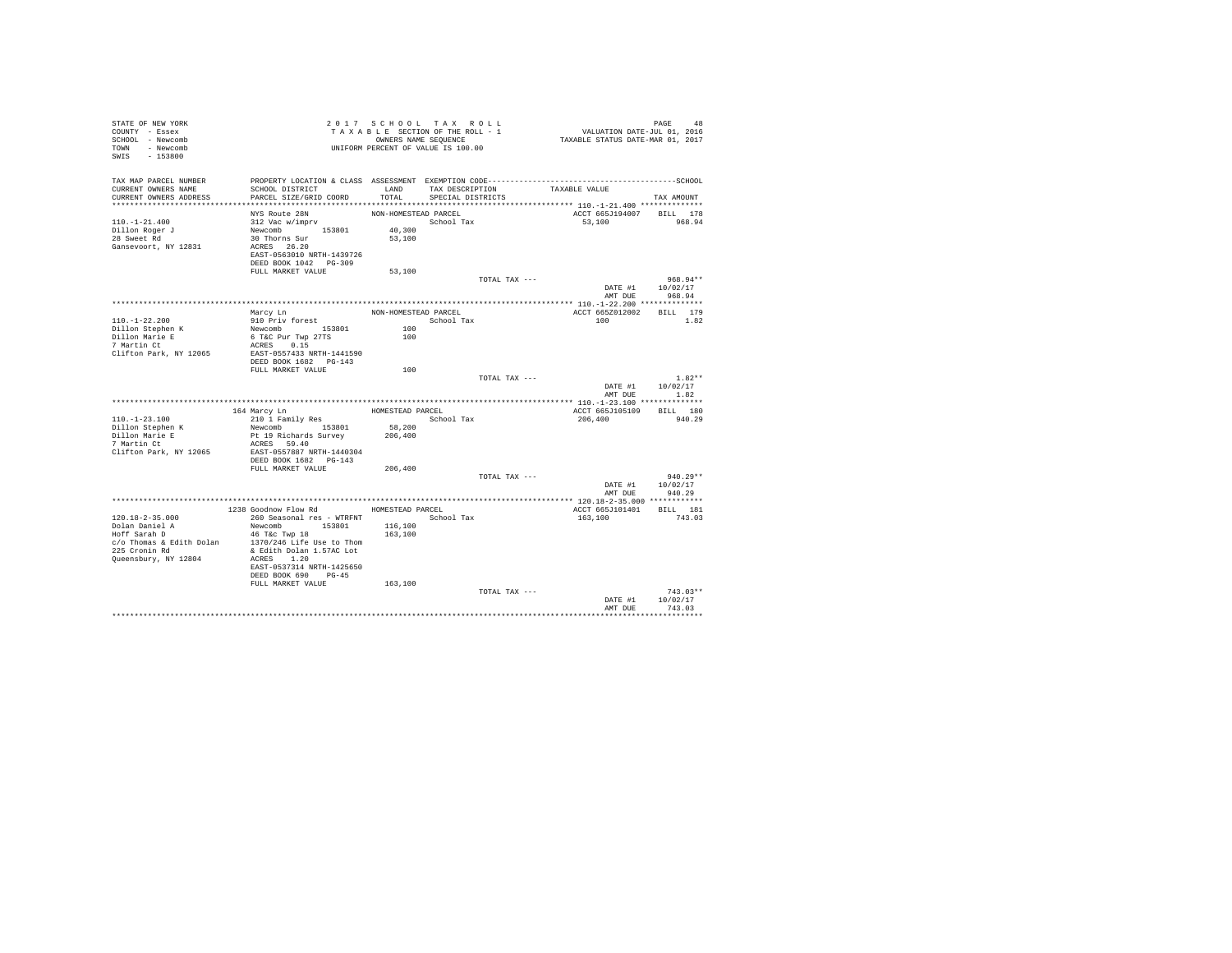| STATE OF NEW YORK<br>COUNTY - Essex<br>SCHOOL - Newcomb                                                                                    |                                          |                                           | TAXABLE SECTION OF THE ROLL - 1<br>OWNERS NAME SEQUENCE |               | 918 PAGE 48<br>VALUATION DATE-JUL 01, 2016<br>TAXABLE STATUS DATE-MAR 01, 2017 |                        |
|--------------------------------------------------------------------------------------------------------------------------------------------|------------------------------------------|-------------------------------------------|---------------------------------------------------------|---------------|--------------------------------------------------------------------------------|------------------------|
| TOWN - Newcomb<br>SWIS - 153800                                                                                                            |                                          |                                           |                                                         |               |                                                                                |                        |
| TAX MAP PARCEL NUMBER THE PROPERTY LOCATION & CLASS ASSESSMENT EXEMPTION CODE--------------------------------SCHOOL<br>CURRENT OWNERS NAME | SCHOOL DISTRICT                          |                                           | LAND TAX DESCRIPTION                                    |               | TAXABLE VALUE                                                                  |                        |
| CURRENT OWNERS ADDRESS                                                                                                                     | PARCEL SIZE/GRID COORD                   | TOTAL                                     | SPECIAL DISTRICTS                                       |               |                                                                                | TAX AMOUNT             |
|                                                                                                                                            |                                          |                                           |                                                         |               |                                                                                |                        |
|                                                                                                                                            | NYS Route 28N                            | NON-HOMESTEAD PARCEL                      |                                                         |               | ACCT 665J194007 BILL 178                                                       |                        |
| $110. - 1 - 21.400$                                                                                                                        | 312 Vac w/imprv                          |                                           | School Tax                                              |               | 53,100                                                                         | 968.94                 |
| Dillon Roger J<br>28 Sweet Rd                                                                                                              | Newcomb 153801 40,300                    |                                           |                                                         |               |                                                                                |                        |
|                                                                                                                                            | 30 Thorns Sur                            | 53,100                                    |                                                         |               |                                                                                |                        |
| Gansevoort, NY 12831                                                                                                                       | ACRES 26.20<br>EAST-0563010 NRTH-1439726 |                                           |                                                         |               |                                                                                |                        |
|                                                                                                                                            | DEED BOOK 1042 PG-309                    |                                           |                                                         |               |                                                                                |                        |
|                                                                                                                                            | FULL MARKET VALUE                        | 53,100                                    |                                                         |               |                                                                                |                        |
|                                                                                                                                            |                                          |                                           |                                                         | TOTAL TAX --- |                                                                                | 968.94**               |
|                                                                                                                                            |                                          |                                           |                                                         |               | DATE #1                                                                        | 10/02/17               |
|                                                                                                                                            |                                          |                                           |                                                         |               |                                                                                | AMT DUE 968.94         |
|                                                                                                                                            | Marcy Ln                                 |                                           |                                                         |               | ACCT 665Z012002 BILL 179                                                       |                        |
| 110. -1-22. 200                                                                                                                            | 910 Priv forest                          | NON-HOMESTEAD PARCEL                      | School Tax                                              |               | 100                                                                            | 1.82                   |
|                                                                                                                                            | Newcomb 153801                           |                                           |                                                         |               |                                                                                |                        |
| Dillon Stephen K<br>Dillon Marie E<br>7 Martin Ct                                                                                          | 6 T&C Pur Twp 27TS                       | $\begin{array}{c} 100 \\ 100 \end{array}$ |                                                         |               |                                                                                |                        |
|                                                                                                                                            | ACRES 0.15                               |                                           |                                                         |               |                                                                                |                        |
| Clifton Park, NY 12065                                                                                                                     | EAST-0557433 NRTH-1441590                |                                           |                                                         |               |                                                                                |                        |
|                                                                                                                                            | DEED BOOK 1682    PG-143                 |                                           |                                                         |               |                                                                                |                        |
|                                                                                                                                            | FULL MARKET VALUE                        | 100                                       |                                                         |               |                                                                                |                        |
|                                                                                                                                            |                                          |                                           |                                                         | TOTAL TAX --- |                                                                                | $1.82**$               |
|                                                                                                                                            |                                          |                                           |                                                         |               |                                                                                | DATE #1 10/02/17       |
|                                                                                                                                            |                                          |                                           |                                                         |               | AMT DUE                                                                        | 1.82                   |
|                                                                                                                                            | 164 Marcy Ln                             |                                           | HOMESTEAD PARCEL                                        |               | ACCT 665J105109                                                                | BILL 180               |
| $110. - 1 - 23.100$                                                                                                                        | 210 1 Family Res                         |                                           | School Tax                                              |               | 206,400                                                                        | 940.29                 |
|                                                                                                                                            | Newcomb 153801                           | 58,200                                    |                                                         |               |                                                                                |                        |
| Dillon Stephen K<br>Dillon Marie E<br>7 Martin Ct                                                                                          | Pt 19 Richards Survey 206,400            |                                           |                                                         |               |                                                                                |                        |
|                                                                                                                                            | ACRES 59.40                              |                                           |                                                         |               |                                                                                |                        |
| Clifton Park, NY 12065                                                                                                                     | EAST-0557887 NRTH-1440304                |                                           |                                                         |               |                                                                                |                        |
|                                                                                                                                            | DEED BOOK 1682 PG-143                    |                                           |                                                         |               |                                                                                |                        |
|                                                                                                                                            | FULL MARKET VALUE                        | 206,400                                   |                                                         |               |                                                                                |                        |
|                                                                                                                                            |                                          |                                           |                                                         | TOTAL TAX --- |                                                                                | $940.29**$             |
|                                                                                                                                            |                                          |                                           |                                                         |               |                                                                                | DATE #1 10/02/17       |
|                                                                                                                                            |                                          |                                           |                                                         |               | AMT DUE                                                                        | 940.29                 |
|                                                                                                                                            | 1238 Goodnow Flow Rd HOMESTEAD PARCEL    |                                           |                                                         |               | ACCT 665J101401 BILL 181                                                       |                        |
| $120.18 - 2 - 35.000$                                                                                                                      | 260 Seasonal res - WTRFNT                |                                           | School Tax                                              |               | 163,100                                                                        | 743.03                 |
|                                                                                                                                            | Newcomb 153801                           | 116,100                                   |                                                         |               |                                                                                |                        |
| Dolan Daniel A<br>Hoff Sarah D                                                                                                             | 46 T&c Twp 18                            | 163,100                                   |                                                         |               |                                                                                |                        |
| $c/o$ Thomas & Edith Dolan 1370/246 Life Use to Thom                                                                                       |                                          |                                           |                                                         |               |                                                                                |                        |
| 225 Cronin Rd                                                                                                                              | & Edith Dolan 1.57AC Lot                 |                                           |                                                         |               |                                                                                |                        |
| Queensbury, NY 12804                                                                                                                       | ACRES 1.20                               |                                           |                                                         |               |                                                                                |                        |
|                                                                                                                                            | EAST-0537314 NRTH-1425650                |                                           |                                                         |               |                                                                                |                        |
|                                                                                                                                            | DEED BOOK 690 PG-45                      |                                           |                                                         |               |                                                                                |                        |
|                                                                                                                                            | FULL MARKET VALUE                        | 163,100                                   |                                                         |               |                                                                                |                        |
|                                                                                                                                            |                                          |                                           |                                                         | TOTAL TAX --- |                                                                                | $743.03**$<br>10/02/17 |
|                                                                                                                                            |                                          |                                           |                                                         |               | DATE #1<br>AMT DUE                                                             | 743.03                 |
|                                                                                                                                            |                                          |                                           |                                                         |               |                                                                                |                        |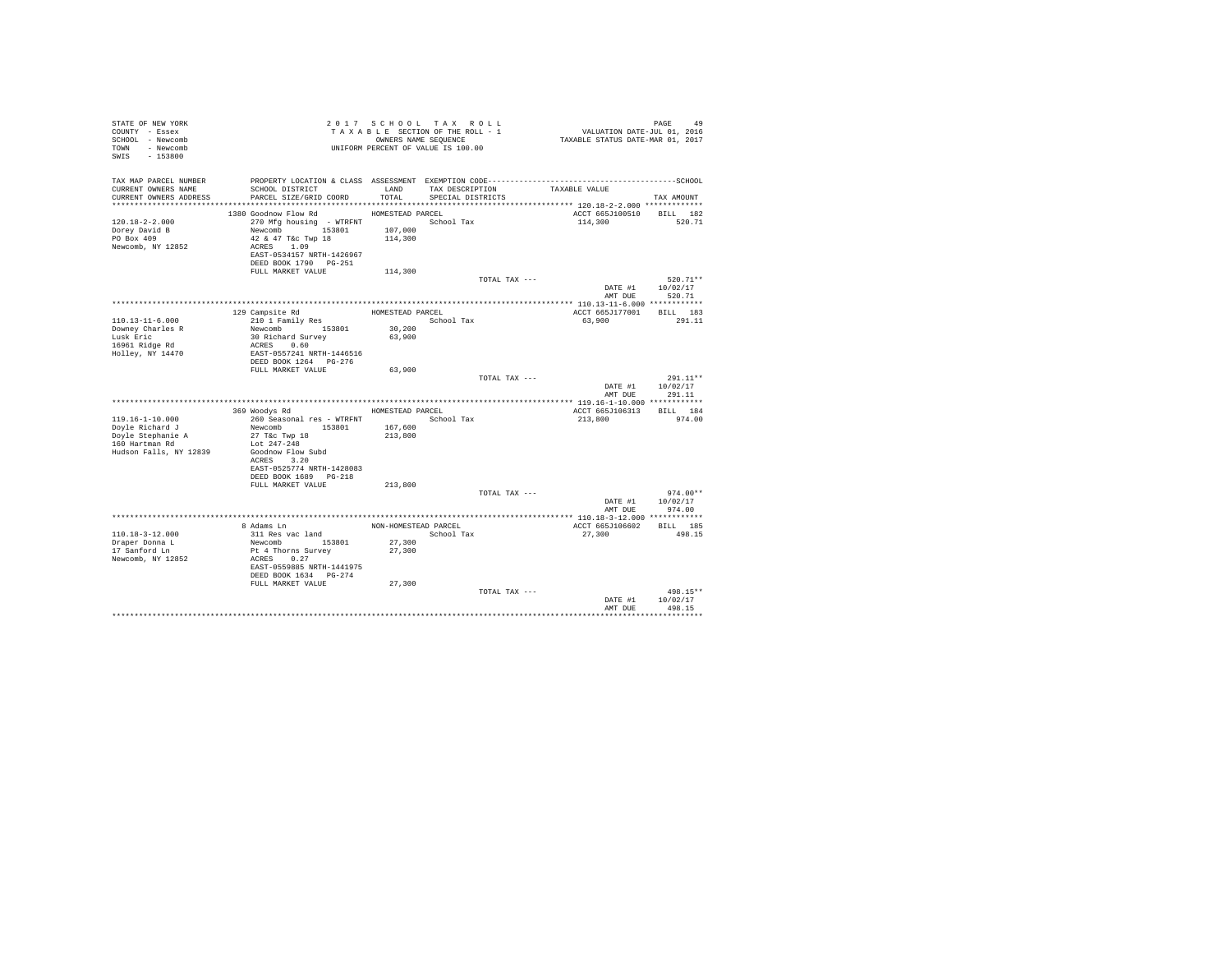| TAX MAP PARCEL NUMBER<br>PROPERTY LOCATION & CLASS ASSESSMENT EXEMPTION CODE-----------------------------------SCHOOL<br>TAX DESCRIPTION<br>SCHOOL DISTRICT<br>CURRENT OWNERS NAME<br>LAND<br>TAXABLE VALUE<br>CURRENT OWNERS ADDRESS<br>PARCEL SIZE/GRID COORD<br>TOTAL.<br>SPECIAL DISTRICTS<br>TAX AMOUNT<br>1380 Goodnow Flow Rd<br>HOMESTEAD PARCEL<br>ACCT 665J100510 BILL 182<br>$120.18 - 2 - 2.000$<br>270 Mfg housing - WTRFNT<br>School Tax<br>114,300<br>520.71<br>107,000<br>Dorey David B<br>PO Box 409<br>Newcomb 153801<br>42 & 47 T&c Twp 18<br>114,300<br>Newcomb, NY 12852<br>ACRES 1.09<br>EAST-0534157 NRTH-1426967<br>DEED BOOK 1790 PG-251<br>FULL MARKET VALUE<br>114,300<br>TOTAL TAX ---<br>$520.71**$<br>DATE #1<br>10/02/17<br>AMT DUE 520.71<br>ACCT 665J177001 BILL 183<br>129 Campsite Rd<br>HOMESTEAD PARCEL<br>210 1 Family Res<br>110.13-11-6.000<br>School Tax<br>63,900<br>291.11<br>Newcomb 153801<br>Downey Charles R<br>30,200<br>Lusk Eric<br>30 Richard Survey<br>63,900<br>16961 Ridge Rd<br>ACRES 0.60<br>Holley, NY 14470<br>EAST-0557241 NRTH-1446516<br>DEED BOOK 1264 PG-276<br>FULL MARKET VALUE<br>63,900<br>TOTAL TAX ---<br>$291.11**$<br>DATE #1 10/02/17<br>291.11<br>AMT DUE<br>HOMESTEAD PARCEL<br>BILL 184<br>369 Woodys Rd<br>ACCT 665J106313<br>119.16-1-10.000<br>260 Seasonal res - WTRFNT<br>213,800<br>974.00<br>School Tax<br>Doyle Richard J<br>Newcomb 153801<br>167,600<br>Doyle Stephanie A<br>160 Hartman Rd<br>27 T&c Twp 18<br>213,800<br>Lot 247-248<br>Hudson Falls, NY 12839<br>Goodnow Flow Subd<br>ACRES 3.20<br>EAST-0525774 NRTH-1428083<br>DEED BOOK 1689 PG-218<br>FULL MARKET VALUE<br>213,800<br>$974.00**$<br>TOTAL TAX ---<br>DATE #1 10/02/17<br>AMT DUE 974.00<br>8 Adams Ln<br>NON-HOMESTEAD PARCEL<br>ACCT 665J106602 BILL 185<br>110.18-3-12.000<br>311 Res vac land<br>Newcomb 153801<br>498.15<br>School Tax<br>27,300<br>Draper Donna L<br>17 Sanford Ln<br>27,300<br>27,300<br>Pt 4 Thorns Survey<br>Newcomb, NY 12852<br>ACRES 0.27<br>EAST-0559885 NRTH-1441975<br>DEED BOOK 1634 PG-274<br>FULL MARKET VALUE<br>27,300<br>498.15**<br>TOTAL TAX ---<br>10/02/17<br>DATE #1<br>498.15<br>AMT DUE | STATE OF NEW YORK<br>COUNTY - Essex<br>SCHOOL - Newcomb<br>TOWN - Newcomb<br>SWIS - 153800 |  | 2017 SCHOOL TAX ROLL<br>TAXABLE SECTION OF THE ROLL - 1<br>OWNERS NAME SEQUENCE<br>UNIFORM PERCENT OF VALUE IS 100.00 | PAGE 49<br>VALUATION DATE-JUL 01, 2016<br>TAXABLE STATUS DATE-MAR 01, 2017 |
|------------------------------------------------------------------------------------------------------------------------------------------------------------------------------------------------------------------------------------------------------------------------------------------------------------------------------------------------------------------------------------------------------------------------------------------------------------------------------------------------------------------------------------------------------------------------------------------------------------------------------------------------------------------------------------------------------------------------------------------------------------------------------------------------------------------------------------------------------------------------------------------------------------------------------------------------------------------------------------------------------------------------------------------------------------------------------------------------------------------------------------------------------------------------------------------------------------------------------------------------------------------------------------------------------------------------------------------------------------------------------------------------------------------------------------------------------------------------------------------------------------------------------------------------------------------------------------------------------------------------------------------------------------------------------------------------------------------------------------------------------------------------------------------------------------------------------------------------------------------------------------------------------------------------------------------------------------------------------------------------------------------------------------------------------------------------------------------------------------------------------------------------------------------------------------------------|--------------------------------------------------------------------------------------------|--|-----------------------------------------------------------------------------------------------------------------------|----------------------------------------------------------------------------|
|                                                                                                                                                                                                                                                                                                                                                                                                                                                                                                                                                                                                                                                                                                                                                                                                                                                                                                                                                                                                                                                                                                                                                                                                                                                                                                                                                                                                                                                                                                                                                                                                                                                                                                                                                                                                                                                                                                                                                                                                                                                                                                                                                                                                |                                                                                            |  |                                                                                                                       |                                                                            |
|                                                                                                                                                                                                                                                                                                                                                                                                                                                                                                                                                                                                                                                                                                                                                                                                                                                                                                                                                                                                                                                                                                                                                                                                                                                                                                                                                                                                                                                                                                                                                                                                                                                                                                                                                                                                                                                                                                                                                                                                                                                                                                                                                                                                |                                                                                            |  |                                                                                                                       |                                                                            |
|                                                                                                                                                                                                                                                                                                                                                                                                                                                                                                                                                                                                                                                                                                                                                                                                                                                                                                                                                                                                                                                                                                                                                                                                                                                                                                                                                                                                                                                                                                                                                                                                                                                                                                                                                                                                                                                                                                                                                                                                                                                                                                                                                                                                |                                                                                            |  |                                                                                                                       |                                                                            |
|                                                                                                                                                                                                                                                                                                                                                                                                                                                                                                                                                                                                                                                                                                                                                                                                                                                                                                                                                                                                                                                                                                                                                                                                                                                                                                                                                                                                                                                                                                                                                                                                                                                                                                                                                                                                                                                                                                                                                                                                                                                                                                                                                                                                |                                                                                            |  |                                                                                                                       |                                                                            |
|                                                                                                                                                                                                                                                                                                                                                                                                                                                                                                                                                                                                                                                                                                                                                                                                                                                                                                                                                                                                                                                                                                                                                                                                                                                                                                                                                                                                                                                                                                                                                                                                                                                                                                                                                                                                                                                                                                                                                                                                                                                                                                                                                                                                |                                                                                            |  |                                                                                                                       |                                                                            |
|                                                                                                                                                                                                                                                                                                                                                                                                                                                                                                                                                                                                                                                                                                                                                                                                                                                                                                                                                                                                                                                                                                                                                                                                                                                                                                                                                                                                                                                                                                                                                                                                                                                                                                                                                                                                                                                                                                                                                                                                                                                                                                                                                                                                |                                                                                            |  |                                                                                                                       |                                                                            |
|                                                                                                                                                                                                                                                                                                                                                                                                                                                                                                                                                                                                                                                                                                                                                                                                                                                                                                                                                                                                                                                                                                                                                                                                                                                                                                                                                                                                                                                                                                                                                                                                                                                                                                                                                                                                                                                                                                                                                                                                                                                                                                                                                                                                |                                                                                            |  |                                                                                                                       |                                                                            |
|                                                                                                                                                                                                                                                                                                                                                                                                                                                                                                                                                                                                                                                                                                                                                                                                                                                                                                                                                                                                                                                                                                                                                                                                                                                                                                                                                                                                                                                                                                                                                                                                                                                                                                                                                                                                                                                                                                                                                                                                                                                                                                                                                                                                |                                                                                            |  |                                                                                                                       |                                                                            |
|                                                                                                                                                                                                                                                                                                                                                                                                                                                                                                                                                                                                                                                                                                                                                                                                                                                                                                                                                                                                                                                                                                                                                                                                                                                                                                                                                                                                                                                                                                                                                                                                                                                                                                                                                                                                                                                                                                                                                                                                                                                                                                                                                                                                |                                                                                            |  |                                                                                                                       |                                                                            |
|                                                                                                                                                                                                                                                                                                                                                                                                                                                                                                                                                                                                                                                                                                                                                                                                                                                                                                                                                                                                                                                                                                                                                                                                                                                                                                                                                                                                                                                                                                                                                                                                                                                                                                                                                                                                                                                                                                                                                                                                                                                                                                                                                                                                |                                                                                            |  |                                                                                                                       |                                                                            |
|                                                                                                                                                                                                                                                                                                                                                                                                                                                                                                                                                                                                                                                                                                                                                                                                                                                                                                                                                                                                                                                                                                                                                                                                                                                                                                                                                                                                                                                                                                                                                                                                                                                                                                                                                                                                                                                                                                                                                                                                                                                                                                                                                                                                |                                                                                            |  |                                                                                                                       |                                                                            |
|                                                                                                                                                                                                                                                                                                                                                                                                                                                                                                                                                                                                                                                                                                                                                                                                                                                                                                                                                                                                                                                                                                                                                                                                                                                                                                                                                                                                                                                                                                                                                                                                                                                                                                                                                                                                                                                                                                                                                                                                                                                                                                                                                                                                |                                                                                            |  |                                                                                                                       |                                                                            |
|                                                                                                                                                                                                                                                                                                                                                                                                                                                                                                                                                                                                                                                                                                                                                                                                                                                                                                                                                                                                                                                                                                                                                                                                                                                                                                                                                                                                                                                                                                                                                                                                                                                                                                                                                                                                                                                                                                                                                                                                                                                                                                                                                                                                |                                                                                            |  |                                                                                                                       |                                                                            |
|                                                                                                                                                                                                                                                                                                                                                                                                                                                                                                                                                                                                                                                                                                                                                                                                                                                                                                                                                                                                                                                                                                                                                                                                                                                                                                                                                                                                                                                                                                                                                                                                                                                                                                                                                                                                                                                                                                                                                                                                                                                                                                                                                                                                |                                                                                            |  |                                                                                                                       |                                                                            |
|                                                                                                                                                                                                                                                                                                                                                                                                                                                                                                                                                                                                                                                                                                                                                                                                                                                                                                                                                                                                                                                                                                                                                                                                                                                                                                                                                                                                                                                                                                                                                                                                                                                                                                                                                                                                                                                                                                                                                                                                                                                                                                                                                                                                |                                                                                            |  |                                                                                                                       |                                                                            |
|                                                                                                                                                                                                                                                                                                                                                                                                                                                                                                                                                                                                                                                                                                                                                                                                                                                                                                                                                                                                                                                                                                                                                                                                                                                                                                                                                                                                                                                                                                                                                                                                                                                                                                                                                                                                                                                                                                                                                                                                                                                                                                                                                                                                |                                                                                            |  |                                                                                                                       |                                                                            |
|                                                                                                                                                                                                                                                                                                                                                                                                                                                                                                                                                                                                                                                                                                                                                                                                                                                                                                                                                                                                                                                                                                                                                                                                                                                                                                                                                                                                                                                                                                                                                                                                                                                                                                                                                                                                                                                                                                                                                                                                                                                                                                                                                                                                |                                                                                            |  |                                                                                                                       |                                                                            |
|                                                                                                                                                                                                                                                                                                                                                                                                                                                                                                                                                                                                                                                                                                                                                                                                                                                                                                                                                                                                                                                                                                                                                                                                                                                                                                                                                                                                                                                                                                                                                                                                                                                                                                                                                                                                                                                                                                                                                                                                                                                                                                                                                                                                |                                                                                            |  |                                                                                                                       |                                                                            |
|                                                                                                                                                                                                                                                                                                                                                                                                                                                                                                                                                                                                                                                                                                                                                                                                                                                                                                                                                                                                                                                                                                                                                                                                                                                                                                                                                                                                                                                                                                                                                                                                                                                                                                                                                                                                                                                                                                                                                                                                                                                                                                                                                                                                |                                                                                            |  |                                                                                                                       |                                                                            |
|                                                                                                                                                                                                                                                                                                                                                                                                                                                                                                                                                                                                                                                                                                                                                                                                                                                                                                                                                                                                                                                                                                                                                                                                                                                                                                                                                                                                                                                                                                                                                                                                                                                                                                                                                                                                                                                                                                                                                                                                                                                                                                                                                                                                |                                                                                            |  |                                                                                                                       |                                                                            |
|                                                                                                                                                                                                                                                                                                                                                                                                                                                                                                                                                                                                                                                                                                                                                                                                                                                                                                                                                                                                                                                                                                                                                                                                                                                                                                                                                                                                                                                                                                                                                                                                                                                                                                                                                                                                                                                                                                                                                                                                                                                                                                                                                                                                |                                                                                            |  |                                                                                                                       |                                                                            |
|                                                                                                                                                                                                                                                                                                                                                                                                                                                                                                                                                                                                                                                                                                                                                                                                                                                                                                                                                                                                                                                                                                                                                                                                                                                                                                                                                                                                                                                                                                                                                                                                                                                                                                                                                                                                                                                                                                                                                                                                                                                                                                                                                                                                |                                                                                            |  |                                                                                                                       |                                                                            |
|                                                                                                                                                                                                                                                                                                                                                                                                                                                                                                                                                                                                                                                                                                                                                                                                                                                                                                                                                                                                                                                                                                                                                                                                                                                                                                                                                                                                                                                                                                                                                                                                                                                                                                                                                                                                                                                                                                                                                                                                                                                                                                                                                                                                |                                                                                            |  |                                                                                                                       |                                                                            |
|                                                                                                                                                                                                                                                                                                                                                                                                                                                                                                                                                                                                                                                                                                                                                                                                                                                                                                                                                                                                                                                                                                                                                                                                                                                                                                                                                                                                                                                                                                                                                                                                                                                                                                                                                                                                                                                                                                                                                                                                                                                                                                                                                                                                |                                                                                            |  |                                                                                                                       |                                                                            |
|                                                                                                                                                                                                                                                                                                                                                                                                                                                                                                                                                                                                                                                                                                                                                                                                                                                                                                                                                                                                                                                                                                                                                                                                                                                                                                                                                                                                                                                                                                                                                                                                                                                                                                                                                                                                                                                                                                                                                                                                                                                                                                                                                                                                |                                                                                            |  |                                                                                                                       |                                                                            |
|                                                                                                                                                                                                                                                                                                                                                                                                                                                                                                                                                                                                                                                                                                                                                                                                                                                                                                                                                                                                                                                                                                                                                                                                                                                                                                                                                                                                                                                                                                                                                                                                                                                                                                                                                                                                                                                                                                                                                                                                                                                                                                                                                                                                |                                                                                            |  |                                                                                                                       |                                                                            |
|                                                                                                                                                                                                                                                                                                                                                                                                                                                                                                                                                                                                                                                                                                                                                                                                                                                                                                                                                                                                                                                                                                                                                                                                                                                                                                                                                                                                                                                                                                                                                                                                                                                                                                                                                                                                                                                                                                                                                                                                                                                                                                                                                                                                |                                                                                            |  |                                                                                                                       |                                                                            |
|                                                                                                                                                                                                                                                                                                                                                                                                                                                                                                                                                                                                                                                                                                                                                                                                                                                                                                                                                                                                                                                                                                                                                                                                                                                                                                                                                                                                                                                                                                                                                                                                                                                                                                                                                                                                                                                                                                                                                                                                                                                                                                                                                                                                |                                                                                            |  |                                                                                                                       |                                                                            |
|                                                                                                                                                                                                                                                                                                                                                                                                                                                                                                                                                                                                                                                                                                                                                                                                                                                                                                                                                                                                                                                                                                                                                                                                                                                                                                                                                                                                                                                                                                                                                                                                                                                                                                                                                                                                                                                                                                                                                                                                                                                                                                                                                                                                |                                                                                            |  |                                                                                                                       |                                                                            |
|                                                                                                                                                                                                                                                                                                                                                                                                                                                                                                                                                                                                                                                                                                                                                                                                                                                                                                                                                                                                                                                                                                                                                                                                                                                                                                                                                                                                                                                                                                                                                                                                                                                                                                                                                                                                                                                                                                                                                                                                                                                                                                                                                                                                |                                                                                            |  |                                                                                                                       |                                                                            |
|                                                                                                                                                                                                                                                                                                                                                                                                                                                                                                                                                                                                                                                                                                                                                                                                                                                                                                                                                                                                                                                                                                                                                                                                                                                                                                                                                                                                                                                                                                                                                                                                                                                                                                                                                                                                                                                                                                                                                                                                                                                                                                                                                                                                |                                                                                            |  |                                                                                                                       |                                                                            |
|                                                                                                                                                                                                                                                                                                                                                                                                                                                                                                                                                                                                                                                                                                                                                                                                                                                                                                                                                                                                                                                                                                                                                                                                                                                                                                                                                                                                                                                                                                                                                                                                                                                                                                                                                                                                                                                                                                                                                                                                                                                                                                                                                                                                |                                                                                            |  |                                                                                                                       |                                                                            |
|                                                                                                                                                                                                                                                                                                                                                                                                                                                                                                                                                                                                                                                                                                                                                                                                                                                                                                                                                                                                                                                                                                                                                                                                                                                                                                                                                                                                                                                                                                                                                                                                                                                                                                                                                                                                                                                                                                                                                                                                                                                                                                                                                                                                |                                                                                            |  |                                                                                                                       |                                                                            |
|                                                                                                                                                                                                                                                                                                                                                                                                                                                                                                                                                                                                                                                                                                                                                                                                                                                                                                                                                                                                                                                                                                                                                                                                                                                                                                                                                                                                                                                                                                                                                                                                                                                                                                                                                                                                                                                                                                                                                                                                                                                                                                                                                                                                |                                                                                            |  |                                                                                                                       |                                                                            |
|                                                                                                                                                                                                                                                                                                                                                                                                                                                                                                                                                                                                                                                                                                                                                                                                                                                                                                                                                                                                                                                                                                                                                                                                                                                                                                                                                                                                                                                                                                                                                                                                                                                                                                                                                                                                                                                                                                                                                                                                                                                                                                                                                                                                |                                                                                            |  |                                                                                                                       |                                                                            |
|                                                                                                                                                                                                                                                                                                                                                                                                                                                                                                                                                                                                                                                                                                                                                                                                                                                                                                                                                                                                                                                                                                                                                                                                                                                                                                                                                                                                                                                                                                                                                                                                                                                                                                                                                                                                                                                                                                                                                                                                                                                                                                                                                                                                |                                                                                            |  |                                                                                                                       |                                                                            |
|                                                                                                                                                                                                                                                                                                                                                                                                                                                                                                                                                                                                                                                                                                                                                                                                                                                                                                                                                                                                                                                                                                                                                                                                                                                                                                                                                                                                                                                                                                                                                                                                                                                                                                                                                                                                                                                                                                                                                                                                                                                                                                                                                                                                |                                                                                            |  |                                                                                                                       |                                                                            |
|                                                                                                                                                                                                                                                                                                                                                                                                                                                                                                                                                                                                                                                                                                                                                                                                                                                                                                                                                                                                                                                                                                                                                                                                                                                                                                                                                                                                                                                                                                                                                                                                                                                                                                                                                                                                                                                                                                                                                                                                                                                                                                                                                                                                |                                                                                            |  |                                                                                                                       |                                                                            |
|                                                                                                                                                                                                                                                                                                                                                                                                                                                                                                                                                                                                                                                                                                                                                                                                                                                                                                                                                                                                                                                                                                                                                                                                                                                                                                                                                                                                                                                                                                                                                                                                                                                                                                                                                                                                                                                                                                                                                                                                                                                                                                                                                                                                |                                                                                            |  |                                                                                                                       |                                                                            |
|                                                                                                                                                                                                                                                                                                                                                                                                                                                                                                                                                                                                                                                                                                                                                                                                                                                                                                                                                                                                                                                                                                                                                                                                                                                                                                                                                                                                                                                                                                                                                                                                                                                                                                                                                                                                                                                                                                                                                                                                                                                                                                                                                                                                |                                                                                            |  |                                                                                                                       |                                                                            |
|                                                                                                                                                                                                                                                                                                                                                                                                                                                                                                                                                                                                                                                                                                                                                                                                                                                                                                                                                                                                                                                                                                                                                                                                                                                                                                                                                                                                                                                                                                                                                                                                                                                                                                                                                                                                                                                                                                                                                                                                                                                                                                                                                                                                |                                                                                            |  |                                                                                                                       |                                                                            |
|                                                                                                                                                                                                                                                                                                                                                                                                                                                                                                                                                                                                                                                                                                                                                                                                                                                                                                                                                                                                                                                                                                                                                                                                                                                                                                                                                                                                                                                                                                                                                                                                                                                                                                                                                                                                                                                                                                                                                                                                                                                                                                                                                                                                |                                                                                            |  |                                                                                                                       |                                                                            |
|                                                                                                                                                                                                                                                                                                                                                                                                                                                                                                                                                                                                                                                                                                                                                                                                                                                                                                                                                                                                                                                                                                                                                                                                                                                                                                                                                                                                                                                                                                                                                                                                                                                                                                                                                                                                                                                                                                                                                                                                                                                                                                                                                                                                |                                                                                            |  |                                                                                                                       |                                                                            |
|                                                                                                                                                                                                                                                                                                                                                                                                                                                                                                                                                                                                                                                                                                                                                                                                                                                                                                                                                                                                                                                                                                                                                                                                                                                                                                                                                                                                                                                                                                                                                                                                                                                                                                                                                                                                                                                                                                                                                                                                                                                                                                                                                                                                |                                                                                            |  |                                                                                                                       |                                                                            |
|                                                                                                                                                                                                                                                                                                                                                                                                                                                                                                                                                                                                                                                                                                                                                                                                                                                                                                                                                                                                                                                                                                                                                                                                                                                                                                                                                                                                                                                                                                                                                                                                                                                                                                                                                                                                                                                                                                                                                                                                                                                                                                                                                                                                |                                                                                            |  |                                                                                                                       |                                                                            |
|                                                                                                                                                                                                                                                                                                                                                                                                                                                                                                                                                                                                                                                                                                                                                                                                                                                                                                                                                                                                                                                                                                                                                                                                                                                                                                                                                                                                                                                                                                                                                                                                                                                                                                                                                                                                                                                                                                                                                                                                                                                                                                                                                                                                |                                                                                            |  |                                                                                                                       |                                                                            |
|                                                                                                                                                                                                                                                                                                                                                                                                                                                                                                                                                                                                                                                                                                                                                                                                                                                                                                                                                                                                                                                                                                                                                                                                                                                                                                                                                                                                                                                                                                                                                                                                                                                                                                                                                                                                                                                                                                                                                                                                                                                                                                                                                                                                |                                                                                            |  |                                                                                                                       |                                                                            |
|                                                                                                                                                                                                                                                                                                                                                                                                                                                                                                                                                                                                                                                                                                                                                                                                                                                                                                                                                                                                                                                                                                                                                                                                                                                                                                                                                                                                                                                                                                                                                                                                                                                                                                                                                                                                                                                                                                                                                                                                                                                                                                                                                                                                |                                                                                            |  |                                                                                                                       |                                                                            |
|                                                                                                                                                                                                                                                                                                                                                                                                                                                                                                                                                                                                                                                                                                                                                                                                                                                                                                                                                                                                                                                                                                                                                                                                                                                                                                                                                                                                                                                                                                                                                                                                                                                                                                                                                                                                                                                                                                                                                                                                                                                                                                                                                                                                |                                                                                            |  |                                                                                                                       |                                                                            |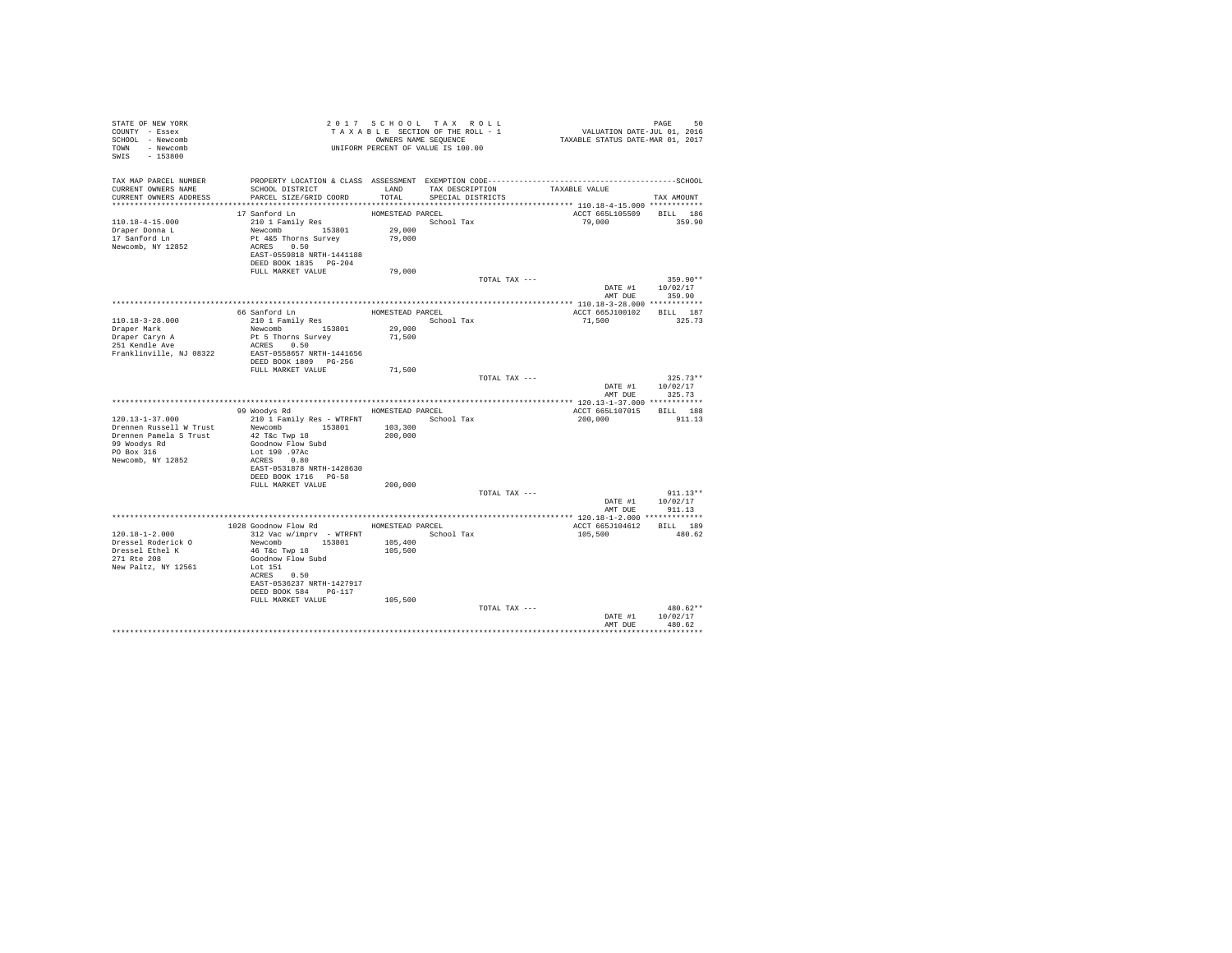| STATE OF NEW YORK<br>COUNTY - Essex<br>SCHOOL - Newcomb<br>TOWN - Newcomb<br>SWIS - 153800               | OWNERS NAME SEQUENCE<br>UNIFORM PERCENT OF VALUE IS 100.00                                                                                                     |                                          | 2017 SCHOOL TAX ROLL<br>TAXABLE SECTION OF THE ROLL - 1<br>OWNERS NAME SEQUENCE | PAGE 50<br>VALUATION DATE-JUL 01, 2016<br>TAXABLE STATUS DATE-MAR 01, 2017 |                                                  |
|----------------------------------------------------------------------------------------------------------|----------------------------------------------------------------------------------------------------------------------------------------------------------------|------------------------------------------|---------------------------------------------------------------------------------|----------------------------------------------------------------------------|--------------------------------------------------|
| TAX MAP PARCEL NUMBER<br>CURRENT OWNERS NAME<br>CURRENT OWNERS ADDRESS                                   | SCHOOL DISTRICT<br>PARCEL SIZE/GRID COORD                                                                                                                      | LAND<br>TOTAL                            | TAX DESCRIPTION<br>SPECIAL DISTRICTS                                            | TAXABLE VALUE                                                              | TAX AMOUNT                                       |
| 110.18-4-15.000<br>Draper Donna L<br>17 Sanford Ln<br>Newcomb, NY 12852                                  | 17 Sanford Ln<br>210 1 Family Res<br>Newcomb 153801<br>Pt 4&5 Thorns Survey<br>ACRES 0.50<br>EAST-0559818 NRTH-1441188<br>DEED BOOK 1835 PG-204                | HOMESTEAD PARCEL<br>29,000<br>79,000     | School Tax                                                                      | ACCT 665L105509<br>79,000                                                  | BILL 186<br>359.90                               |
|                                                                                                          | FULL MARKET VALUE                                                                                                                                              | 79,000                                   |                                                                                 |                                                                            |                                                  |
|                                                                                                          |                                                                                                                                                                |                                          | TOTAL TAX ---                                                                   |                                                                            | $359.90**$<br>DATE #1 10/02/17<br>AMT DUE 359.90 |
| $110.18 - 3 - 28.000$<br>Draper Mark                                                                     | 66 Sanford Ln<br>210 1 Family Res<br>Newcomb 153801                                                                                                            | HOMESTEAD PARCEL<br>School Tax<br>29,000 |                                                                                 | ACCT 665J100102 BILL 187<br>71,500                                         | 325.73                                           |
| Draper Caryn A<br>251 Kendle Ave<br>Franklinville, NJ 08322                                              | Pt 5 Thorns Survey<br>ACRES 0.50<br>EAST-0558657 NRTH-1441656<br>DEED BOOK 1809 PG-256                                                                         | 71,500                                   |                                                                                 |                                                                            |                                                  |
|                                                                                                          | FULL MARKET VALUE                                                                                                                                              | 71,500                                   | TOTAL TAX ---                                                                   | AMT DUE                                                                    | $325.73**$<br>DATE #1 10/02/17<br>325.73         |
|                                                                                                          |                                                                                                                                                                |                                          |                                                                                 |                                                                            |                                                  |
|                                                                                                          | 99 Woodys Rd MOMESTEAD PARCEL                                                                                                                                  |                                          |                                                                                 | ACCT 665L107015 BILL 188                                                   | 911.13                                           |
| $120.13 - 1 - 37.000$<br>Drennen Russell W Trust<br>Drennen Pamela S Trust<br>99 Woodys Rd<br>PO Box 316 | 210 1 Family Res - WTRFNT<br>Newcomb 153801<br>42 T&c Twp 18<br>Goodnow Flow Subd<br>Lot 190 .97Ac                                                             | 103,300<br>200,000                       | School Tax                                                                      | 200,000                                                                    |                                                  |
| Newcomb, NY 12852                                                                                        | ACRES 0.80<br>EAST-0531878 NRTH-1428630<br>DEED BOOK 1716 PG-58<br>FULL MARKET VALUE                                                                           | 200,000                                  |                                                                                 |                                                                            |                                                  |
|                                                                                                          |                                                                                                                                                                |                                          | TOTAL TAX ---                                                                   |                                                                            | $911.13**$<br>DATE #1 10/02/17<br>AMT DUE 911.13 |
|                                                                                                          |                                                                                                                                                                |                                          |                                                                                 |                                                                            |                                                  |
|                                                                                                          | 1028 Goodnow Flow Rd MOMESTEAD PARCEL                                                                                                                          |                                          |                                                                                 | ACCT 665J104612                                                            | BILL 189                                         |
| $120.18 - 1 - 2.000$<br>Dressel Roderick O<br>Dressel Ethel K<br>271 Rte 208<br>New Paltz, NY 12561      | 312 Vac w/imprv - WTRFNT<br>Newcomb 153801<br>46 T&C Twp 18<br>Goodnow Flow Subd<br>Lot 151<br>ACRES 0.50<br>EAST-0536237 NRTH-1427917<br>DEED BOOK 584 PG-117 | 105,400<br>105,500                       | School Tax                                                                      | 105,500                                                                    | 480.62                                           |
|                                                                                                          | FULL MARKET VALUE                                                                                                                                              | 105,500                                  | TOTAL TAX ---                                                                   | DATE #1                                                                    | $480.62**$<br>10/02/17                           |
|                                                                                                          |                                                                                                                                                                |                                          |                                                                                 | AMT DUE                                                                    | 480.62                                           |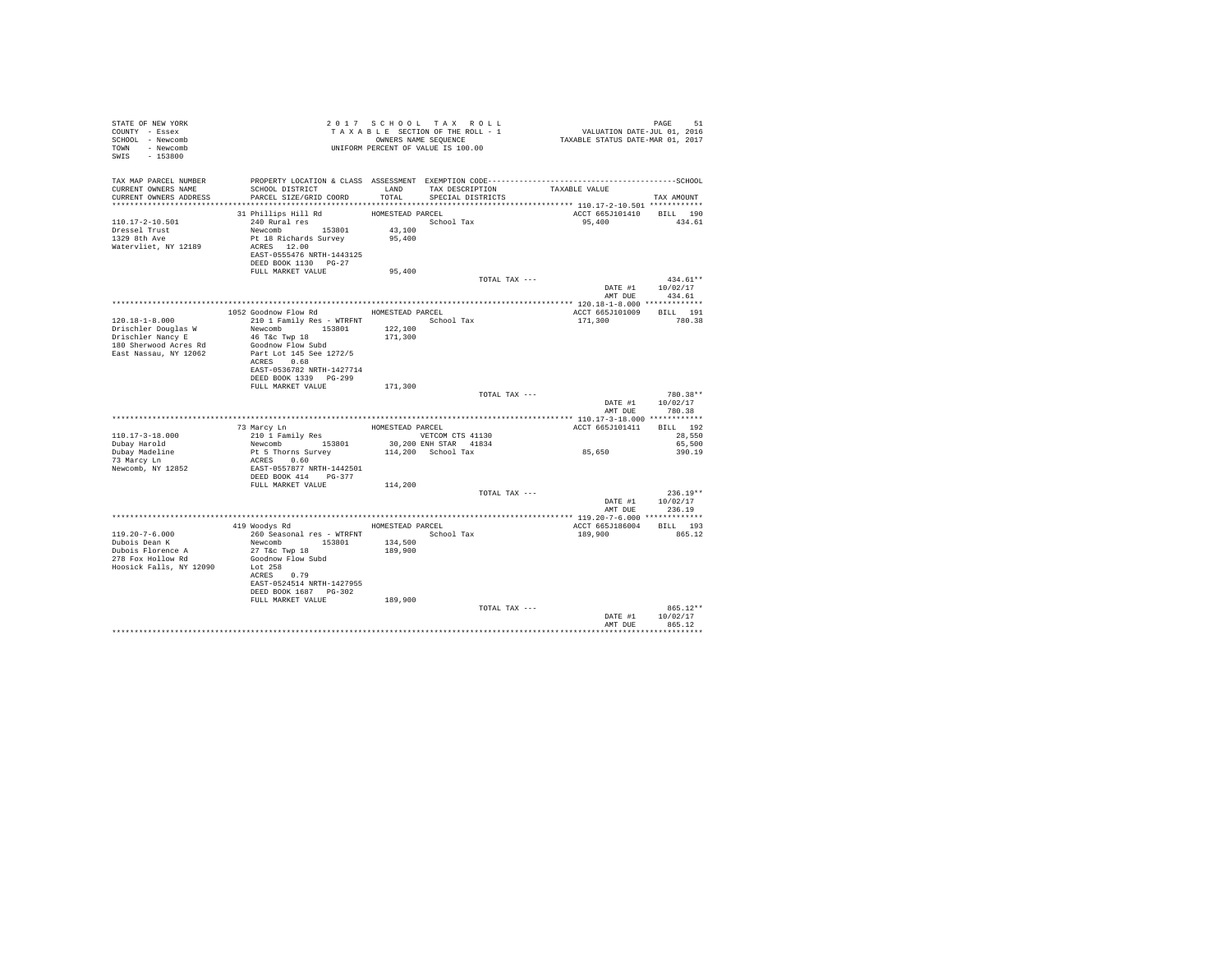| TAX MAP PARCEL NUMBER<br>TAX DESCRIPTION<br>CURRENT OWNERS NAME<br>SCHOOL DISTRICT<br>LAND<br>TAXABLE VALUE<br>CURRENT OWNERS ADDRESS<br>PARCEL SIZE/GRID COORD<br>TOTAL<br>SPECIAL DISTRICTS                                                                                                                                 | TAX AMOUNT                     |
|-------------------------------------------------------------------------------------------------------------------------------------------------------------------------------------------------------------------------------------------------------------------------------------------------------------------------------|--------------------------------|
| 31 Phillips Hill Rd<br>ACCT 665J101410 BILL 190<br>HOMESTEAD PARCEL<br>School Tax<br>110.17-2-10.501<br>240 Rural res<br>95,400<br>Dressel Trust<br>1329 8th Ave<br>Newcomb 153801<br>43,100<br>Pt 18 Richards Survey<br>95,400<br>Watervliet, NY 12189<br>ACRES 12.00<br>EAST-0555476 NRTH-1443125<br>DEED BOOK 1130 PG-27   | 434.61                         |
| FULL MARKET VALUE<br>95,400                                                                                                                                                                                                                                                                                                   |                                |
| TOTAL TAX ---<br>DATE #1 10/02/17<br>AMT DUE 434.61                                                                                                                                                                                                                                                                           | $434.61**$                     |
|                                                                                                                                                                                                                                                                                                                               |                                |
| 1052 Goodnow Flow Rd MOMESTEAD PARCEL<br>ACCT 665J101009 BILL 191<br>$120.18 - 1 - 8.000$<br>210 1 Family Res - WTRFNT School Tax<br>171,300<br>Drischler Douglas W<br>Newcomb 153801<br>122,100<br>Drischler Nancy E<br>190 Sterner T<br>46 T&c Twp 18<br>171,300<br>180 Sherwood Acres Rd<br>Goodnow Flow Subd              | 780.38                         |
| East Nassau, NY 12062<br>Part Lot 145 See 1272/5<br>ACRES 0.68<br>EAST-0536782 NRTH-1427714<br>DEED BOOK 1339 PG-299<br>171,300<br>FULL MARKET VALUE                                                                                                                                                                          |                                |
| TOTAL TAX ---<br>DATE #1<br>AMT DUE 780.38                                                                                                                                                                                                                                                                                    | 780.38**<br>10/02/17           |
|                                                                                                                                                                                                                                                                                                                               |                                |
| 73 Marcy Ln<br>210 1 Family Res<br>Newcomb 153801<br>HOMESTEAD PARCEL<br>ACCT 665J101411<br>VETCOM CTS 41130<br>110.17-3-18.000<br>30,200 ENH STAR 41834<br>Dubay Harold                                                                                                                                                      | BILL 192<br>28,550<br>65,500   |
| Pt 5 Thorns Survey<br>85,650<br>114,200 School Tax<br>Dubay Madeline<br>73 Marcy Ln<br>ACRES 0.60<br>Newcomb, NY 12852<br>EAST-0557877 NRTH-1442501<br>DEED BOOK 414 PG-377                                                                                                                                                   | 390.19                         |
| FULL MARKET VALUE<br>114,200                                                                                                                                                                                                                                                                                                  |                                |
| TOTAL TAX ---<br>DATE #1 10/02/17<br>AMT DUE 236.19                                                                                                                                                                                                                                                                           | $236.19**$                     |
|                                                                                                                                                                                                                                                                                                                               |                                |
| 419 Woodys Rd MOMESTEAD PARCEL<br>ACCT 665J186004                                                                                                                                                                                                                                                                             | BILL 193                       |
| $119.20 - 7 - 6.000$<br>260 Seasonal res - WTRFNT<br>School Tax<br>189,900<br>Newcomb 153801<br>27 T&c Twp 18<br>Dubois Dean K<br>134,500<br>Dubois Florence A<br>278 Fox Hollow Rd<br>189,900<br>Goodnow Flow Subd<br>Hoosick Falls, NY 12090<br>Lot 258<br>ACRES 0.79<br>EAST-0524514 NRTH-1427955<br>DEED BOOK 1687 PG-302 | 865.12                         |
| FULL MARKET VALUE<br>189,900                                                                                                                                                                                                                                                                                                  |                                |
| TOTAL TAX ---<br>DATE #1<br>AMT DUE                                                                                                                                                                                                                                                                                           | 865.12**<br>10/02/17<br>865.12 |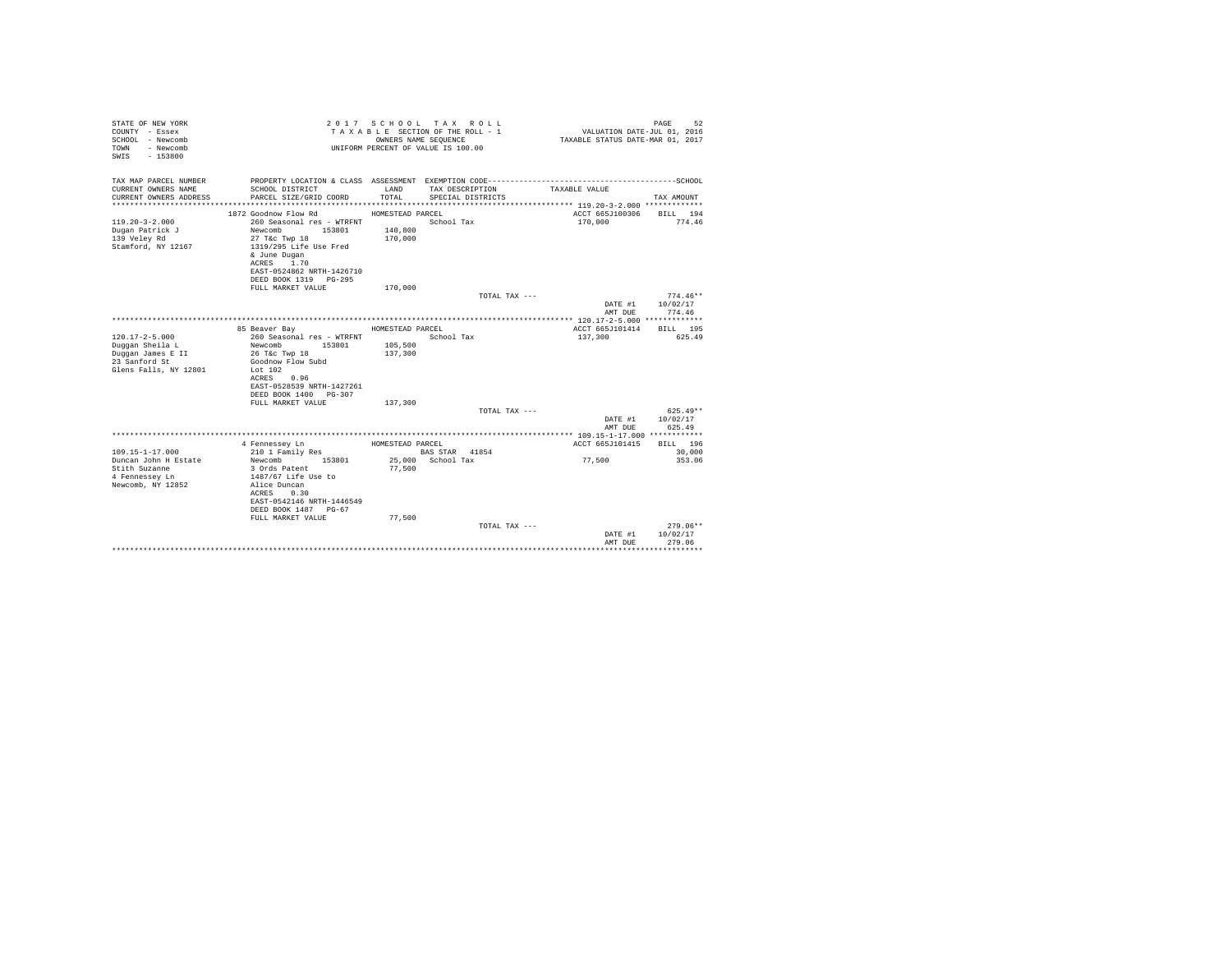| STATE OF NEW YORK<br>COUNTY - Essex<br>SCHOOL - Newcomb<br>- Newcomb<br>TOWN<br>$-153800$<br>SWTS |                                                                    | OWNERS NAME SEQUENCE | 2017 SCHOOL TAX ROLL<br>TAXABLE SECTION OF THE ROLL - 1<br>UNIFORM PERCENT OF VALUE IS 100.00 | VALUATION DATE-JUL 01, 2016<br>TAXABLE STATUS DATE-MAR 01, 2017 | 52<br>PAGE               |
|---------------------------------------------------------------------------------------------------|--------------------------------------------------------------------|----------------------|-----------------------------------------------------------------------------------------------|-----------------------------------------------------------------|--------------------------|
| TAX MAP PARCEL NUMBER                                                                             | PROPERTY LOCATION & CLASS ASSESSMENT EXEMPTION CODE--------------- |                      |                                                                                               |                                                                 | ------------------SCHOOL |
| CURRENT OWNERS NAME<br>CURRENT OWNERS ADDRESS                                                     | SCHOOL DISTRICT<br>PARCEL SIZE/GRID COORD                          | LAND<br>TOTAL.       | TAX DESCRIPTION                                                                               | TAXABLE VALUE                                                   | TAX AMOUNT               |
|                                                                                                   |                                                                    |                      | SPECIAL DISTRICTS                                                                             |                                                                 |                          |
|                                                                                                   | 1872 Goodnow Flow Rd                                               | HOMESTEAD PARCEL     |                                                                                               | ACCT 665J100306                                                 | BILL 194                 |
| $119.20 - 3 - 2.000$                                                                              | 260 Seasonal res - WTRFNT                                          |                      | School Tax                                                                                    | 170,000                                                         | 774.46                   |
| Dugan Patrick J                                                                                   | Newcomb<br>153801                                                  | 140,800              |                                                                                               |                                                                 |                          |
| 139 Velev Rd                                                                                      | 27 T&c Twp 18                                                      | 170,000              |                                                                                               |                                                                 |                          |
| Stamford, NY 12167                                                                                | 1319/295 Life Use Fred<br>& June Dugan                             |                      |                                                                                               |                                                                 |                          |
|                                                                                                   | ACRES 1.70                                                         |                      |                                                                                               |                                                                 |                          |
|                                                                                                   | EAST-0524862 NRTH-1426710                                          |                      |                                                                                               |                                                                 |                          |
|                                                                                                   | DEED BOOK 1319 PG-295                                              |                      |                                                                                               |                                                                 |                          |
|                                                                                                   | FULL MARKET VALUE                                                  | 170,000              |                                                                                               |                                                                 |                          |
|                                                                                                   |                                                                    |                      | TOTAL TAX ---                                                                                 | DATE #1                                                         | $774.46**$<br>10/02/17   |
|                                                                                                   |                                                                    |                      |                                                                                               | AMT DUE                                                         | 774.46                   |
|                                                                                                   |                                                                    |                      |                                                                                               |                                                                 |                          |
|                                                                                                   | 85 Beaver Bay                                                      | HOMESTEAD PARCEL     |                                                                                               | ACCT 665J101414                                                 | RTT.T. 195               |
| $120.17 - 2 - 5.000$                                                                              | 260 Seasonal res - WTRFNT                                          |                      | School Tax                                                                                    | 137,300                                                         | 625.49                   |
| Duggan Sheila L                                                                                   | Newcomb<br>153801                                                  | 105,500              |                                                                                               |                                                                 |                          |
| Duggan James E II<br>23 Sanford St                                                                | 26 T&c Twp 18<br>Goodnow Flow Subd                                 | 137,300              |                                                                                               |                                                                 |                          |
| Glens Falls, NY 12801                                                                             | Lot $102$                                                          |                      |                                                                                               |                                                                 |                          |
|                                                                                                   | ACRES<br>0.96                                                      |                      |                                                                                               |                                                                 |                          |
|                                                                                                   | EAST-0528539 NRTH-1427261                                          |                      |                                                                                               |                                                                 |                          |
|                                                                                                   | DEED BOOK 1400 PG-307                                              |                      |                                                                                               |                                                                 |                          |
|                                                                                                   | FULL MARKET VALUE                                                  | 137,300              | TOTAL TAX ---                                                                                 |                                                                 | $625.49**$               |
|                                                                                                   |                                                                    |                      |                                                                                               | DATE #1                                                         | 10/02/17                 |
|                                                                                                   |                                                                    |                      |                                                                                               | AMT DUE                                                         | 625.49                   |
|                                                                                                   |                                                                    |                      |                                                                                               |                                                                 |                          |
|                                                                                                   | 4 Fennessev Ln                                                     | HOMESTEAD PARCEL     |                                                                                               | ACCT 665J101415                                                 | BILL 196                 |
| $109.15 - 1 - 17.000$                                                                             | 210 1 Family Res                                                   |                      | BAS STAR 41854<br>25.000 School Tax                                                           |                                                                 | 30,000                   |
| Duncan John H Estate<br>Stith Suzanne                                                             | Newcomb<br>153801<br>3 Ords Patent                                 | 77,500               |                                                                                               | 77.500                                                          | 353.06                   |
| 4 Fennessey Ln                                                                                    | 1487/67 Life Use to                                                |                      |                                                                                               |                                                                 |                          |
| Newcomb, NY 12852                                                                                 | Alice Duncan                                                       |                      |                                                                                               |                                                                 |                          |
|                                                                                                   | ACRES 0.30                                                         |                      |                                                                                               |                                                                 |                          |
|                                                                                                   | EAST-0542146 NRTH-1446549                                          |                      |                                                                                               |                                                                 |                          |
|                                                                                                   | DEED BOOK 1487 PG-67                                               |                      |                                                                                               |                                                                 |                          |
|                                                                                                   | FULL MARKET VALUE                                                  | 77,500               | TOTAL TAX ---                                                                                 |                                                                 | $279.06**$               |
|                                                                                                   |                                                                    |                      |                                                                                               | DATE #1                                                         | 10/02/17                 |
|                                                                                                   |                                                                    |                      |                                                                                               | AMT DUE                                                         | 279.06                   |
|                                                                                                   |                                                                    |                      |                                                                                               |                                                                 |                          |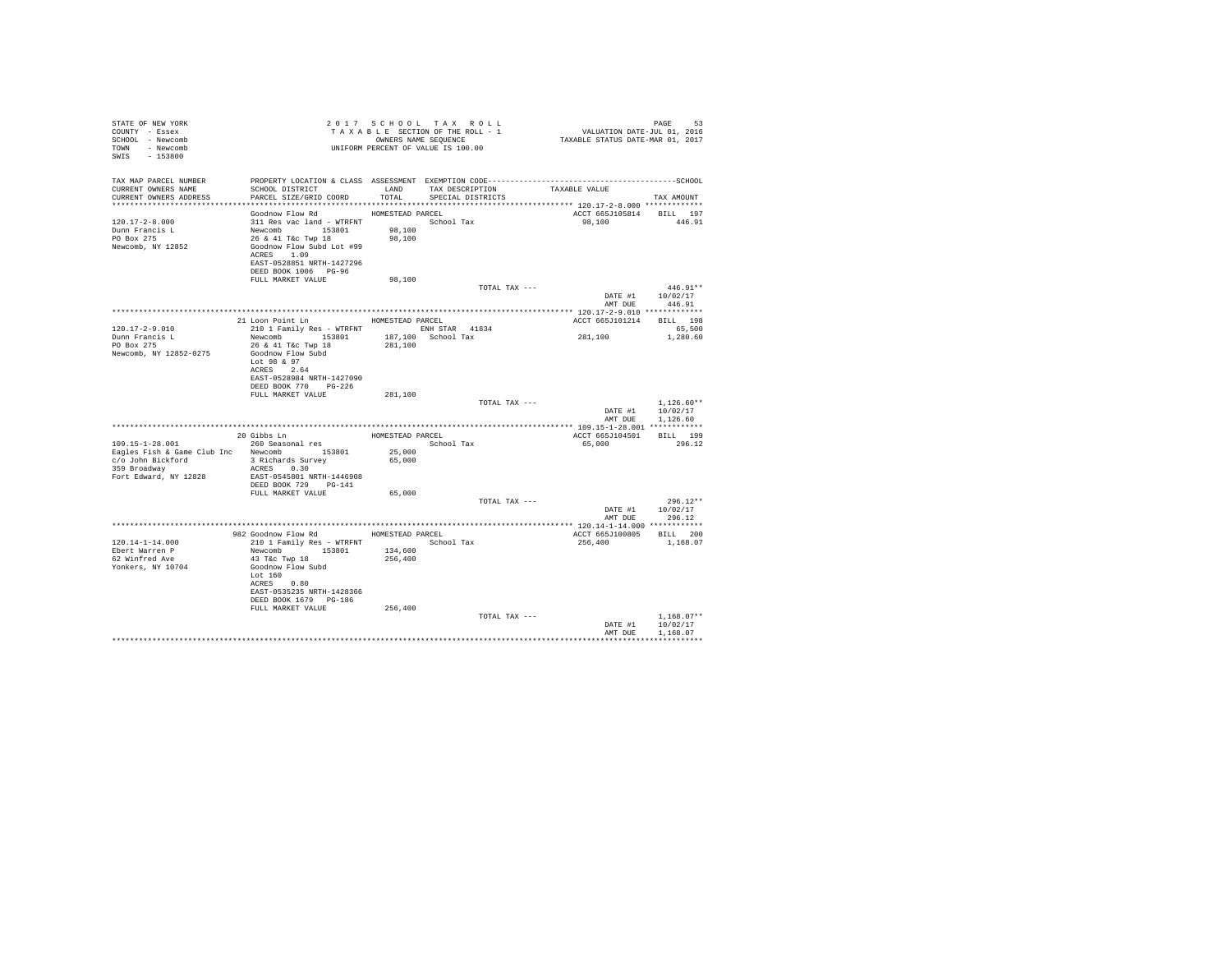| STATE OF NEW YORK<br>COUNTY - Essex<br>SCHOOL - Newcomb<br>TOWN - Newcomb<br>SWIS - 153800 |                                                                                                                                                                                                                                                                                                                                                                                                                                                                   |         | 2017 SCHOOL TAX ROLL<br>UNIFORM PERCENT OF VALUE IS 100.00 |                          | PAGE<br>-53      |  |
|--------------------------------------------------------------------------------------------|-------------------------------------------------------------------------------------------------------------------------------------------------------------------------------------------------------------------------------------------------------------------------------------------------------------------------------------------------------------------------------------------------------------------------------------------------------------------|---------|------------------------------------------------------------|--------------------------|------------------|--|
| TAX MAP PARCEL NUMBER<br>CURRENT OWNERS NAME                                               | SCHOOL DISTRICT TAND TAX DESCRIPTION<br>PARCEL SIZE/GRID COORD TOTAL SPECIAL DISTRICTS                                                                                                                                                                                                                                                                                                                                                                            |         |                                                            | TAXABLE VALUE            | TAX AMOUNT       |  |
| CURRENT OWNERS ADDRESS                                                                     |                                                                                                                                                                                                                                                                                                                                                                                                                                                                   |         |                                                            |                          |                  |  |
|                                                                                            | Goodnow Flow Rd MOMESTEAD PARCEL                                                                                                                                                                                                                                                                                                                                                                                                                                  |         |                                                            | ACCT 665J105814 BILL 197 |                  |  |
| 120.17-2-8.000                                                                             | 311 Res vac land - WTRFNT<br>Newcomb 153801 98,100<br>26 & 41 T&c Twp 18 98,100                                                                                                                                                                                                                                                                                                                                                                                   |         |                                                            | 98,100 446.91            |                  |  |
| Dunn Francis L                                                                             |                                                                                                                                                                                                                                                                                                                                                                                                                                                                   |         |                                                            |                          |                  |  |
| PO Box 275                                                                                 |                                                                                                                                                                                                                                                                                                                                                                                                                                                                   |         |                                                            |                          |                  |  |
| Newcomb, NY 12852                                                                          | Goodnow Flow Subd Lot #99                                                                                                                                                                                                                                                                                                                                                                                                                                         |         |                                                            |                          |                  |  |
|                                                                                            | ACRES 1.09                                                                                                                                                                                                                                                                                                                                                                                                                                                        |         |                                                            |                          |                  |  |
|                                                                                            | EAST-0528851 NRTH-1427296<br>DEED BOOK 1006 PG-96                                                                                                                                                                                                                                                                                                                                                                                                                 |         |                                                            |                          |                  |  |
|                                                                                            | FULL MARKET VALUE                                                                                                                                                                                                                                                                                                                                                                                                                                                 | 98,100  |                                                            |                          |                  |  |
|                                                                                            |                                                                                                                                                                                                                                                                                                                                                                                                                                                                   |         | TOTAL TAX ---                                              |                          | $446.91**$       |  |
|                                                                                            |                                                                                                                                                                                                                                                                                                                                                                                                                                                                   |         |                                                            |                          | DATE #1 10/02/17 |  |
|                                                                                            |                                                                                                                                                                                                                                                                                                                                                                                                                                                                   |         |                                                            | AMT DUE                  | 446.91           |  |
|                                                                                            |                                                                                                                                                                                                                                                                                                                                                                                                                                                                   |         |                                                            |                          |                  |  |
| $120.17 - 2 - 9.010$                                                                       | 21 Loon Point Ln HOMESTEAD PARCEL                                                                                                                                                                                                                                                                                                                                                                                                                                 |         |                                                            | ACCT 665J101214 BILL 198 | 65,500           |  |
| Dunn Francis L                                                                             | 210 1 Family Res - WTRFNT ENH STAR 41834<br>Newcomb 153801 187,100 School Tax                                                                                                                                                                                                                                                                                                                                                                                     |         |                                                            | 281, 100                 | 1,280.60         |  |
| PO Box 275                                                                                 | 26 & 41 T&c Twp 18                                                                                                                                                                                                                                                                                                                                                                                                                                                | 281,100 |                                                            |                          |                  |  |
| Newcomb, NY 12852-0275                                                                     | Goodnow Flow Subd                                                                                                                                                                                                                                                                                                                                                                                                                                                 |         |                                                            |                          |                  |  |
|                                                                                            | Lot 98 & 97                                                                                                                                                                                                                                                                                                                                                                                                                                                       |         |                                                            |                          |                  |  |
|                                                                                            | ACRES 2.64                                                                                                                                                                                                                                                                                                                                                                                                                                                        |         |                                                            |                          |                  |  |
|                                                                                            | EAST-0528984 NRTH-1427090                                                                                                                                                                                                                                                                                                                                                                                                                                         |         |                                                            |                          |                  |  |
|                                                                                            | DEED BOOK 770 PG-226<br>FULL MARKET VALUE                                                                                                                                                                                                                                                                                                                                                                                                                         | 281,100 |                                                            |                          |                  |  |
|                                                                                            |                                                                                                                                                                                                                                                                                                                                                                                                                                                                   |         | TOTAL TAX ---                                              |                          | $1.126.60**$     |  |
|                                                                                            |                                                                                                                                                                                                                                                                                                                                                                                                                                                                   |         |                                                            |                          | DATE #1 10/02/17 |  |
|                                                                                            |                                                                                                                                                                                                                                                                                                                                                                                                                                                                   |         |                                                            |                          | AMT DUE 1.126.60 |  |
|                                                                                            |                                                                                                                                                                                                                                                                                                                                                                                                                                                                   |         |                                                            |                          |                  |  |
|                                                                                            | $\begin{tabular}{lllllllll} \multicolumn{2}{c}{109.15-1-28.001} & 20\text{ Gibbs }\text{lm} & \multicolumn{2}{c}{\text{HOMESTED PAREEL}} & \multicolumn{2}{c}{\text{HOMESTED PAREEL}} & \multicolumn{2}{c}{\text{Bogles Fish & 260} & \text{SO01} \\ \text{Eagles Fish & Game Club Inc} & 260\text{ Seasonal res} & \text{SO10} & \text{School Tax} \\ \text{Ragles Fish & Game Club Inc} & \text{Newcomb} & 153801 & 25,000 \\ \text{C340 An Biekford} & 3\text$ |         |                                                            | ACCT 665J104501 BILL 199 |                  |  |
|                                                                                            |                                                                                                                                                                                                                                                                                                                                                                                                                                                                   |         |                                                            | 65.000 296.12            |                  |  |
|                                                                                            |                                                                                                                                                                                                                                                                                                                                                                                                                                                                   |         |                                                            |                          |                  |  |
| 359 Broadway                                                                               | ACRES 0.30                                                                                                                                                                                                                                                                                                                                                                                                                                                        |         |                                                            |                          |                  |  |
| Fort Edward, NY 12828                                                                      | EAST-0545801 NRTH-1446908                                                                                                                                                                                                                                                                                                                                                                                                                                         |         |                                                            |                          |                  |  |
|                                                                                            | DEED BOOK 729 PG-141                                                                                                                                                                                                                                                                                                                                                                                                                                              |         |                                                            |                          |                  |  |
|                                                                                            | FULL MARKET VALUE                                                                                                                                                                                                                                                                                                                                                                                                                                                 | 65,000  |                                                            |                          |                  |  |
|                                                                                            |                                                                                                                                                                                                                                                                                                                                                                                                                                                                   |         | TOTAL TAX ---                                              |                          | $296.12**$       |  |
|                                                                                            |                                                                                                                                                                                                                                                                                                                                                                                                                                                                   |         |                                                            |                          | DATE #1 10/02/17 |  |
|                                                                                            |                                                                                                                                                                                                                                                                                                                                                                                                                                                                   |         |                                                            | AMT DUE                  | 296.12           |  |
|                                                                                            | 982 Goodnow Flow Rd MOMESTEAD PARCEL                                                                                                                                                                                                                                                                                                                                                                                                                              |         |                                                            | ACCT 665J100805 BILL 200 |                  |  |
| $120.14 - 1 - 14.000$                                                                      | 210 1 Family Res - WTRFNT School Tax                                                                                                                                                                                                                                                                                                                                                                                                                              |         |                                                            | 256,400                  | 1,168.07         |  |
| Ebert Warren P                                                                             | Newcomb 153801 134,600                                                                                                                                                                                                                                                                                                                                                                                                                                            |         |                                                            |                          |                  |  |
| 62 Winfred Ave                                                                             | 43 T&C Twp 18                                                                                                                                                                                                                                                                                                                                                                                                                                                     | 256,400 |                                                            |                          |                  |  |
| Yonkers, NY 10704                                                                          | Goodnow Flow Subd                                                                                                                                                                                                                                                                                                                                                                                                                                                 |         |                                                            |                          |                  |  |
|                                                                                            | Lot 160                                                                                                                                                                                                                                                                                                                                                                                                                                                           |         |                                                            |                          |                  |  |
|                                                                                            | ACRES 0.80                                                                                                                                                                                                                                                                                                                                                                                                                                                        |         |                                                            |                          |                  |  |
|                                                                                            | EAST-0535235 NRTH-1428366<br>DEED BOOK 1679 PG-186                                                                                                                                                                                                                                                                                                                                                                                                                |         |                                                            |                          |                  |  |
|                                                                                            | FULL MARKET VALUE                                                                                                                                                                                                                                                                                                                                                                                                                                                 | 256,400 |                                                            |                          |                  |  |
|                                                                                            |                                                                                                                                                                                                                                                                                                                                                                                                                                                                   |         | TOTAL TAX ---                                              |                          | $1.168.07**$     |  |
|                                                                                            |                                                                                                                                                                                                                                                                                                                                                                                                                                                                   |         |                                                            |                          | DATE #1 10/02/17 |  |
|                                                                                            |                                                                                                                                                                                                                                                                                                                                                                                                                                                                   |         |                                                            |                          | AMT DUE 1,168.07 |  |
|                                                                                            |                                                                                                                                                                                                                                                                                                                                                                                                                                                                   |         |                                                            |                          |                  |  |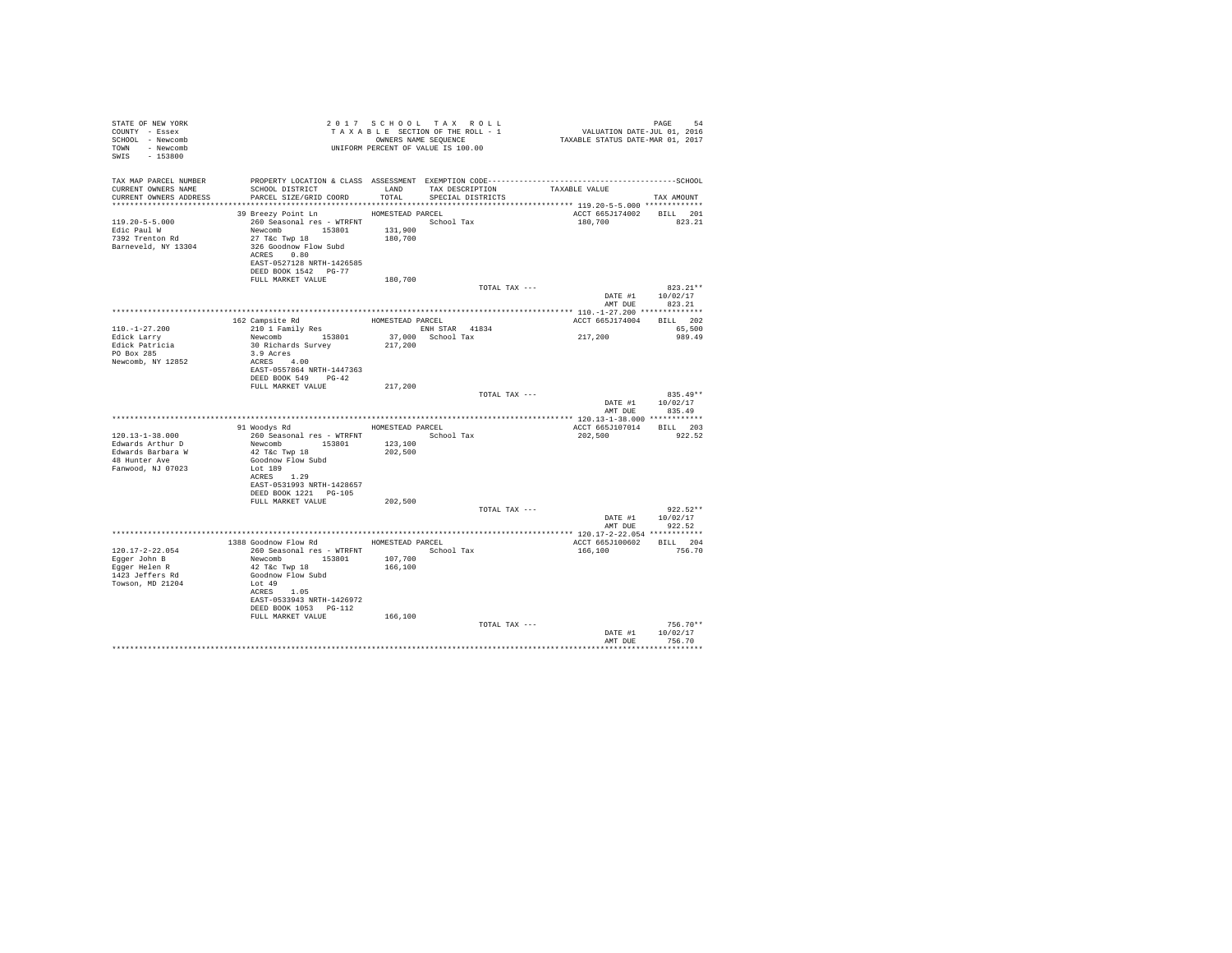| STATE OF NEW YORK<br>COUNTY - Essex<br>SCHOOL - Newcomb<br>TOWN - Newcomb<br>SWIS - 153800     |                                                                                                                                                                                                                                                        |                               | 2017 SCHOOL TAX ROLL<br>UNIFORM PERCENT OF VALUE IS 100.00 |               |                                     |                                                  |
|------------------------------------------------------------------------------------------------|--------------------------------------------------------------------------------------------------------------------------------------------------------------------------------------------------------------------------------------------------------|-------------------------------|------------------------------------------------------------|---------------|-------------------------------------|--------------------------------------------------|
| TAX MAP PARCEL NUMBER<br>CURRENT OWNERS NAME<br>CURRENT OWNERS ADDRESS                         | SCHOOL DISTRICT LAND TAX DESCRIPTION<br>PARCEL SIZE/GRID COORD TOTAL SPECIAL DISTRICTS                                                                                                                                                                 |                               |                                                            |               | TAXABLE VALUE                       | TAX AMOUNT                                       |
| $119.20 - 5 - 5.000$<br>Edic Paul W<br>7392 Trenton Rd<br>Barneveld, NY 13304                  | 39 Breezy Point Ln MOMESTEAD PARCEL<br>260 Seasonal res - WTRFNT School Tax<br>Newcomb 153801 131,900<br>$27$ T&C Twp $18$<br>326 Goodnow Flow Subd<br>ACRES 0.80<br>EAST-0527128 NRTH-1426585<br>DEED BOOK 1542 PG-77<br>FULL MARKET VALUE            | 180,700                       |                                                            |               | ACCT 665J174002 BILL 201<br>180,700 | 823.21                                           |
|                                                                                                |                                                                                                                                                                                                                                                        | 180,700                       |                                                            | TOTAL TAX --- | DATE #1                             | $823.21**$<br>10/02/17                           |
|                                                                                                |                                                                                                                                                                                                                                                        |                               |                                                            |               | AMT DUE                             | 823.21                                           |
| $110. - 1 - 27.200$<br>Edick Larry<br>Edick Patricia<br>PO Box 285<br>Newcomb, NY 12852        | 2004 Extra STAR 41834<br>30 Richards Survey 37,000 School Tax<br>3.9 Acres<br>3.9 Acres<br>ACRES 4.00                                                                                                                                                  |                               |                                                            |               | ACCT 665J174004 BILL 202<br>217,200 | 65,500<br>989.49                                 |
|                                                                                                | EAST-0557864 NRTH-1447363<br>DEED BOOK 549 PG-42<br>FULL MARKET VALUE                                                                                                                                                                                  | 217,200                       |                                                            | TOTAL TAX --- |                                     | $835.49**$<br>DATE #1 10/02/17<br>AMT DUE 835.49 |
|                                                                                                |                                                                                                                                                                                                                                                        |                               |                                                            |               |                                     |                                                  |
| 120.13-1-38.000<br>Edwards Arthur D<br>Edwards Barbara W<br>48 Hunter Ave<br>Fanwood, NJ 07023 | 91 Woodys Rd MOMESTEAD PARCEL<br>260 Seasonal res - WTRFNT <a>&gt; School Tax<br/>Newcomb 153801<br/>42 T&amp;c Twp 18<br/>Goodnow Flow Subd<br/>Lot 189<br/>ACRES 1.29<br/>EAST-0531993 NRTH-1428657</a>                                              | 123,100<br>202,500            |                                                            |               | ACCT 665J107014 BILL 203<br>202,500 | 922.52                                           |
|                                                                                                | DEED BOOK 1221 PG-105<br>FULL MARKET VALUE                                                                                                                                                                                                             | 202,500                       |                                                            | TOTAL TAX --- |                                     | $922.52**$<br>DATE #1 10/02/17<br>AMT DUE 922.52 |
|                                                                                                |                                                                                                                                                                                                                                                        |                               |                                                            |               |                                     |                                                  |
| $120.17 - 2 - 22.054$<br>Eqger John B<br>Eqqer Helen R<br>1423 Jeffers Rd<br>Towson, MD 21204  | 1388 Goodnow Flow Rd MOMESTEAD PARCEL<br>260 Seasonal res - WTRFNT               School Tax<br>Newcomb 153801<br>42 T&c Twp 18<br>Goodnow Flow Subd<br>Lot 49<br>ACRES 1.05<br>EAST-0533943 NRTH-1426972<br>DEED BOOK 1053 PG-112<br>FULL MARKET VALUE | 107,700<br>166,100<br>166,100 |                                                            |               | ACCT 665J100602 BILL 204<br>166,100 | 756.70                                           |
|                                                                                                |                                                                                                                                                                                                                                                        |                               |                                                            | TOTAL TAX --- | DATE #1                             | $756.70**$<br>10/02/17                           |
|                                                                                                |                                                                                                                                                                                                                                                        |                               |                                                            |               | AMT DUE                             | 756.70                                           |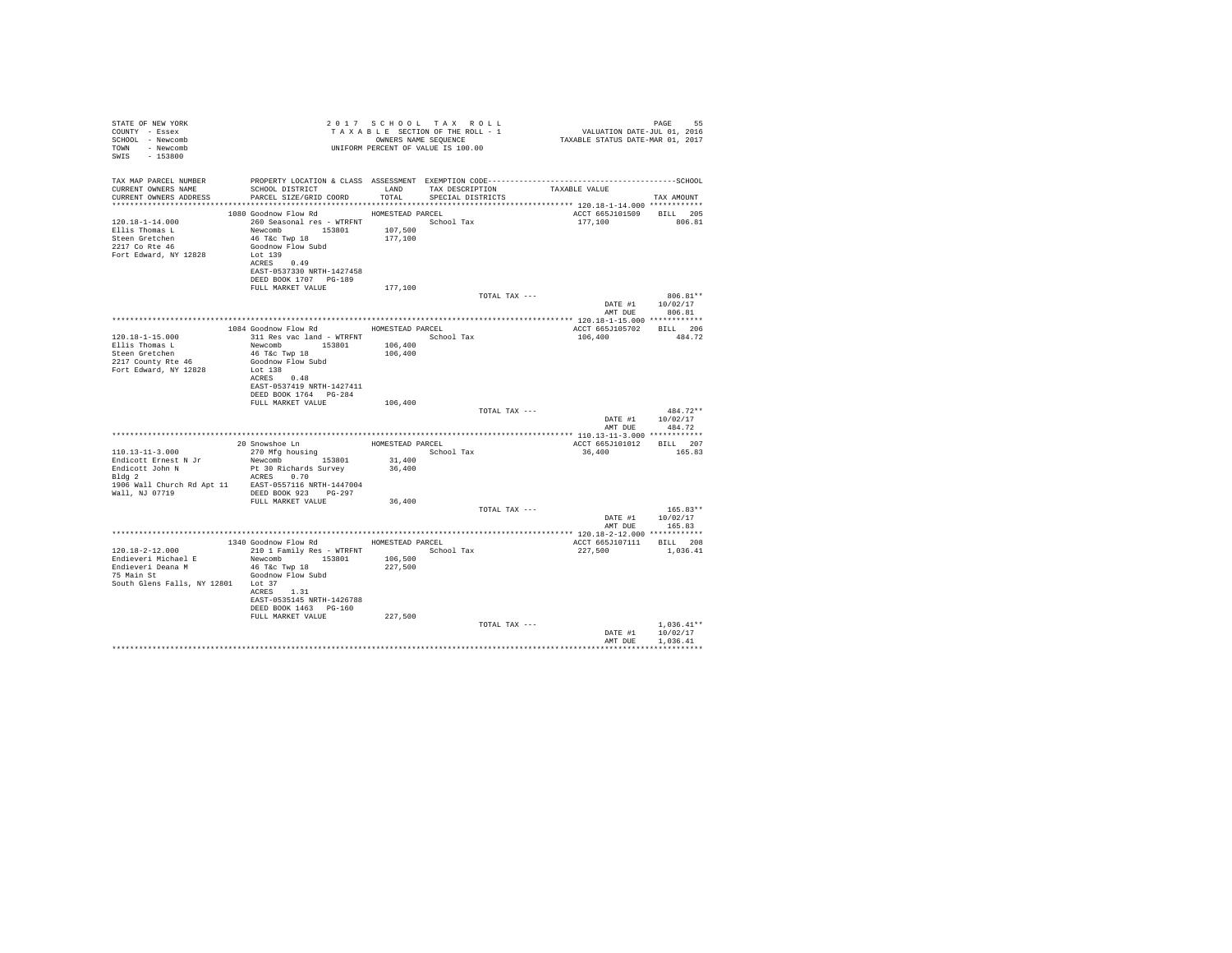| STATE OF NEW YORK                                    |                                                                                                     |                  | 2017 SCHOOL TAX ROLL |               | PAGE 55<br>VALUATION DATE-JUL 01, 2016<br>TAXABLE STATUS DATE-MAR 01, 2017 |                  |
|------------------------------------------------------|-----------------------------------------------------------------------------------------------------|------------------|----------------------|---------------|----------------------------------------------------------------------------|------------------|
| COUNTY - Essex                                       |                                                                                                     |                  |                      |               |                                                                            |                  |
| SCHOOL - Newcomb                                     | T A X A B L E SECTION OF THE ROLL - 1<br>OWNERS NAME SEQUENCE<br>UNIFORM PERCENT OF VALUE IS 100.00 |                  |                      |               |                                                                            |                  |
| TOWN - Newcomb                                       |                                                                                                     |                  |                      |               |                                                                            |                  |
| SWIS - 153800                                        |                                                                                                     |                  |                      |               |                                                                            |                  |
|                                                      |                                                                                                     |                  |                      |               |                                                                            |                  |
|                                                      |                                                                                                     |                  |                      |               |                                                                            |                  |
|                                                      |                                                                                                     |                  |                      |               |                                                                            |                  |
| CURRENT OWNERS NAME<br>CURRENT OWNERS ADDRESS        | SCHOOL DISTRICT<br>LAND TAX DESCRIPTION<br>PARCEL SIZE/GRID COORD                                   | TOTAL            | SPECIAL DISTRICTS    |               | TAXABLE VALUE                                                              |                  |
|                                                      |                                                                                                     |                  |                      |               |                                                                            | TAX AMOUNT       |
|                                                      |                                                                                                     |                  |                      |               |                                                                            |                  |
|                                                      | 1080 Goodnow Flow Rd                                                                                | HOMESTEAD PARCEL |                      |               | ACCT 665J101509 BILL 205                                                   |                  |
| $120.18 - 1 - 14.000$                                | 260 Seasonal res - WTRFNT<br>Newcomb 153801 107,500                                                 |                  |                      |               | 177,100 806.81                                                             |                  |
| Ellis Thomas L                                       | 46 T&C Twp 18                                                                                       | 177,100          |                      |               |                                                                            |                  |
| Steen Gretchen<br>2217 Co Rte 46                     | Goodnow Flow Subd                                                                                   |                  |                      |               |                                                                            |                  |
| Fort Edward, NY 12828                                | Lot 139                                                                                             |                  |                      |               |                                                                            |                  |
|                                                      | ACRES 0.49                                                                                          |                  |                      |               |                                                                            |                  |
|                                                      | EAST-0537330 NRTH-1427458                                                                           |                  |                      |               |                                                                            |                  |
|                                                      | DEED BOOK 1707 PG-189                                                                               |                  |                      |               |                                                                            |                  |
|                                                      | FULL MARKET VALUE 177,100                                                                           |                  |                      |               |                                                                            |                  |
|                                                      |                                                                                                     |                  |                      | TOTAL TAX --- |                                                                            | $806.81**$       |
|                                                      |                                                                                                     |                  |                      |               |                                                                            | DATE #1 10/02/17 |
|                                                      |                                                                                                     |                  |                      |               | AMT DUE                                                                    | 806.81           |
|                                                      |                                                                                                     |                  |                      |               |                                                                            |                  |
|                                                      | 1084 Goodnow Flow Rd MOMESTEAD PARCEL                                                               |                  |                      |               | ACCT 665J105702 BILL 206                                                   |                  |
| 120.18-1-15.000                                      | 311 Res vac land - WTRFNT School Tax                                                                |                  |                      |               | 106,400                                                                    | 484.72           |
| Ellis Thomas L                                       | Newcomb 153801 106,400                                                                              |                  |                      |               |                                                                            |                  |
|                                                      |                                                                                                     | 106,400          |                      |               |                                                                            |                  |
| $2217$ County Rte 46<br>Fort February Rte 46         | 46 T&C Twp 18<br>Goodnow Flow Subd                                                                  |                  |                      |               |                                                                            |                  |
| Fort Edward, NY 12828                                | Lot 138                                                                                             |                  |                      |               |                                                                            |                  |
|                                                      | ACRES 0.48                                                                                          |                  |                      |               |                                                                            |                  |
|                                                      | EAST-0537419 NRTH-1427411                                                                           |                  |                      |               |                                                                            |                  |
|                                                      | DEED BOOK 1764 PG-284                                                                               |                  |                      |               |                                                                            |                  |
|                                                      | FULL MARKET VALUE                                                                                   | 106,400          |                      |               |                                                                            |                  |
|                                                      |                                                                                                     |                  |                      | TOTAL TAX --- |                                                                            | $484.72**$       |
|                                                      |                                                                                                     |                  |                      |               |                                                                            | DATE #1 10/02/17 |
|                                                      |                                                                                                     |                  |                      |               |                                                                            | AMT DUE 484.72   |
|                                                      |                                                                                                     |                  |                      |               |                                                                            |                  |
|                                                      | 20 Snowshoe Ln<br>270 Mfg housing                                                                   |                  | HOMESTEAD PARCEL     |               | ACCT 665J101012 BILL 207                                                   |                  |
| $110.13 - 11 - 3.000$                                |                                                                                                     |                  | School Tax           |               | 36,400                                                                     | 165.83           |
| Endicott Ernest N Jr                                 | Newcomb 153801                                                                                      | 31,400           |                      |               |                                                                            |                  |
| Endicott John N<br>Bldg 2                            | Pt 30 Richards Survey                                                                               | 36,400           |                      |               |                                                                            |                  |
|                                                      | ACRES 0.70                                                                                          |                  |                      |               |                                                                            |                  |
| 1906 Wall Church Rd Apt 11 EAST-0557116 NRTH-1447004 |                                                                                                     |                  |                      |               |                                                                            |                  |
| Wall, NJ 07719 DEED BOOK 923 PG-297                  |                                                                                                     |                  |                      |               |                                                                            |                  |
|                                                      | FULL MARKET VALUE 36,400                                                                            |                  |                      |               |                                                                            |                  |
|                                                      |                                                                                                     |                  |                      | TOTAL TAX --- |                                                                            | $165.83**$       |
|                                                      |                                                                                                     |                  |                      |               |                                                                            | DATE #1 10/02/17 |
|                                                      |                                                                                                     |                  |                      |               | AMT DUE                                                                    | 165.83           |
|                                                      |                                                                                                     |                  |                      |               |                                                                            |                  |
|                                                      | 1340 Goodnow Flow Rd MOMESTEAD PARCEL                                                               |                  |                      |               | ACCT 665J107111 BILL 208                                                   |                  |
| 120.18-2-12.000                                      | 210 1 Family Res - WTRFNT School Tax                                                                |                  |                      |               | 227,500                                                                    | 1,036.41         |
| Endieveri Michael E                                  | Newcomb 153801 106,500                                                                              |                  |                      |               |                                                                            |                  |
| Endieveri Deana M<br>Endieveri Deana M               | 46 T&C Twp 18                                                                                       | 227,500          |                      |               |                                                                            |                  |
| 75 Main St                                           | Goodnow Flow Subd                                                                                   |                  |                      |               |                                                                            |                  |
| South Glens Falls, NY 12801 Lot 37                   |                                                                                                     |                  |                      |               |                                                                            |                  |
|                                                      | ACRES 1.31                                                                                          |                  |                      |               |                                                                            |                  |
|                                                      | EAST-0535145 NRTH-1426788                                                                           |                  |                      |               |                                                                            |                  |
|                                                      | DEED BOOK 1463 PG-160                                                                               |                  |                      |               |                                                                            |                  |
|                                                      | FULL MARKET VALUE                                                                                   | 227,500          |                      |               |                                                                            |                  |
|                                                      |                                                                                                     |                  |                      | TOTAL TAX --- |                                                                            | $1,036.41**$     |
|                                                      |                                                                                                     |                  |                      |               |                                                                            | DATE #1 10/02/17 |
|                                                      |                                                                                                     |                  |                      |               | AMT DUE                                                                    | 1,036.41         |
|                                                      |                                                                                                     |                  |                      |               |                                                                            |                  |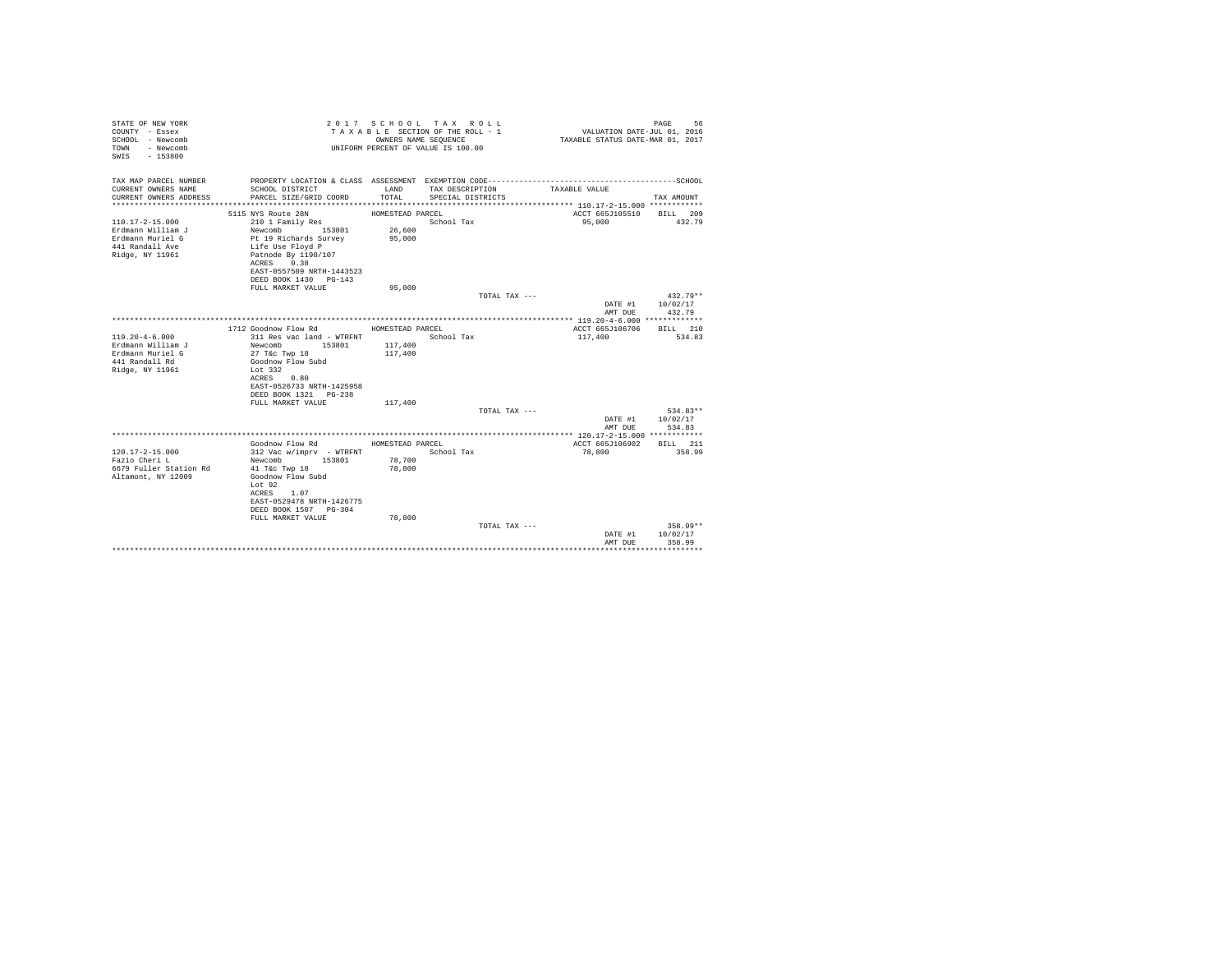| STATE OF NEW YORK<br>COUNTY - Essex<br>SCHOOL - Newcomb<br>- Newcomb<br>TOWN<br>$-153800$<br>SWTS    |                                                                                                                                                                                                           | OWNERS NAME SEQUENCE                           | 2017 SCHOOL TAX ROLL<br>TAXABLE SECTION OF THE ROLL - 1<br>UNIFORM PERCENT OF VALUE IS 100.00 | VALUATION DATE-JUL 01, 2016<br>TAXABLE STATUS DATE-MAR 01, 2017 | PAGE<br>56                     |
|------------------------------------------------------------------------------------------------------|-----------------------------------------------------------------------------------------------------------------------------------------------------------------------------------------------------------|------------------------------------------------|-----------------------------------------------------------------------------------------------|-----------------------------------------------------------------|--------------------------------|
| TAX MAP PARCEL NUMBER<br>CURRENT OWNERS NAME                                                         |                                                                                                                                                                                                           |                                                |                                                                                               |                                                                 |                                |
| CURRENT OWNERS ADDRESS                                                                               | SCHOOL DISTRICT<br>PARCEL SIZE/GRID COORD                                                                                                                                                                 | LAND<br>TOTAL.                                 | TAX DESCRIPTION<br>SPECIAL DISTRICTS                                                          | TAXABLE VALUE                                                   | TAX AMOUNT                     |
|                                                                                                      | 5115 NYS Route 28N                                                                                                                                                                                        | HOMESTEAD PARCEL                               |                                                                                               | ACCT 665J105510                                                 | BILL 209                       |
| $110.17 - 2 - 15.000$<br>Erdmann William J<br>Erdmann Muriel G<br>441 Randall Ave<br>Ridge, NY 11961 | 210 1 Family Res<br>Newcomb<br>153801<br>Pt 19 Richards Survey<br>Life Use Floyd P<br>Patnode By 1190/107<br>ACRES 0.38<br>EAST-0557509 NRTH-1443523<br>DEED BOOK 1430 PG-143                             | 26,600<br>95,000                               | School Tax                                                                                    | 95,000                                                          | 432.79                         |
|                                                                                                      | FULL MARKET VALUE                                                                                                                                                                                         | 95,000                                         |                                                                                               |                                                                 |                                |
|                                                                                                      |                                                                                                                                                                                                           |                                                | TOTAL TAX ---                                                                                 |                                                                 | $432.79**$                     |
|                                                                                                      |                                                                                                                                                                                                           |                                                |                                                                                               | DATE #1                                                         | 10/02/17                       |
|                                                                                                      |                                                                                                                                                                                                           |                                                |                                                                                               | AMT DUE                                                         | 432.79                         |
|                                                                                                      | 1712 Goodnow Flow Rd                                                                                                                                                                                      | HOMESTEAD PARCEL                               |                                                                                               | ACCT 665J106706                                                 | BTT.T. 210                     |
| $119.20 - 4 - 6.000$<br>Erdmann William J<br>Erdmann Muriel G<br>441 Randall Rd<br>Ridge, NY 11961   | 311 Res vac land - WTRFNT<br>Newcomb 153801<br>27 T&c Twp 18<br>Goodnow Flow Subd<br>Lot 332<br>ACRES 0.80<br>EAST-0526733 NRTH-1425958<br>DEED BOOK 1321 PG-238                                          | 117,400<br>117,400                             | School Tax                                                                                    | 117,400                                                         | 534.83                         |
|                                                                                                      | FULL MARKET VALUE                                                                                                                                                                                         | 117,400                                        |                                                                                               |                                                                 |                                |
|                                                                                                      |                                                                                                                                                                                                           |                                                | TOTAL TAX ---                                                                                 | DATE #1<br>AMT DUE                                              | 534.83**<br>10/02/17<br>534.83 |
|                                                                                                      |                                                                                                                                                                                                           |                                                |                                                                                               |                                                                 |                                |
| $120.17 - 2 - 15.000$<br>Fazio Cheri L<br>6679 Fuller Station Rd<br>Altamont, NY 12009               | Goodnow Flow Rd<br>312 Vac w/imprv - WTRFNT<br>153801<br>Newcomb<br>41 T&c Twp 18<br>Goodnow Flow Subd<br>Lot 92<br>ACRES 1.07<br>EAST-0529478 NRTH-1426775<br>DEED BOOK 1507 PG-304<br>FULL MARKET VALUE | HOMESTEAD PARCEL<br>78,700<br>78,800<br>78,800 | School Tax                                                                                    | ACCT 665J106902<br>78,800                                       | BILL 211<br>358.99             |
|                                                                                                      |                                                                                                                                                                                                           |                                                | TOTAL TAX ---                                                                                 | DATE #1<br>AMT DUE                                              | 358.99**<br>10/02/17<br>358.99 |
|                                                                                                      |                                                                                                                                                                                                           |                                                |                                                                                               |                                                                 |                                |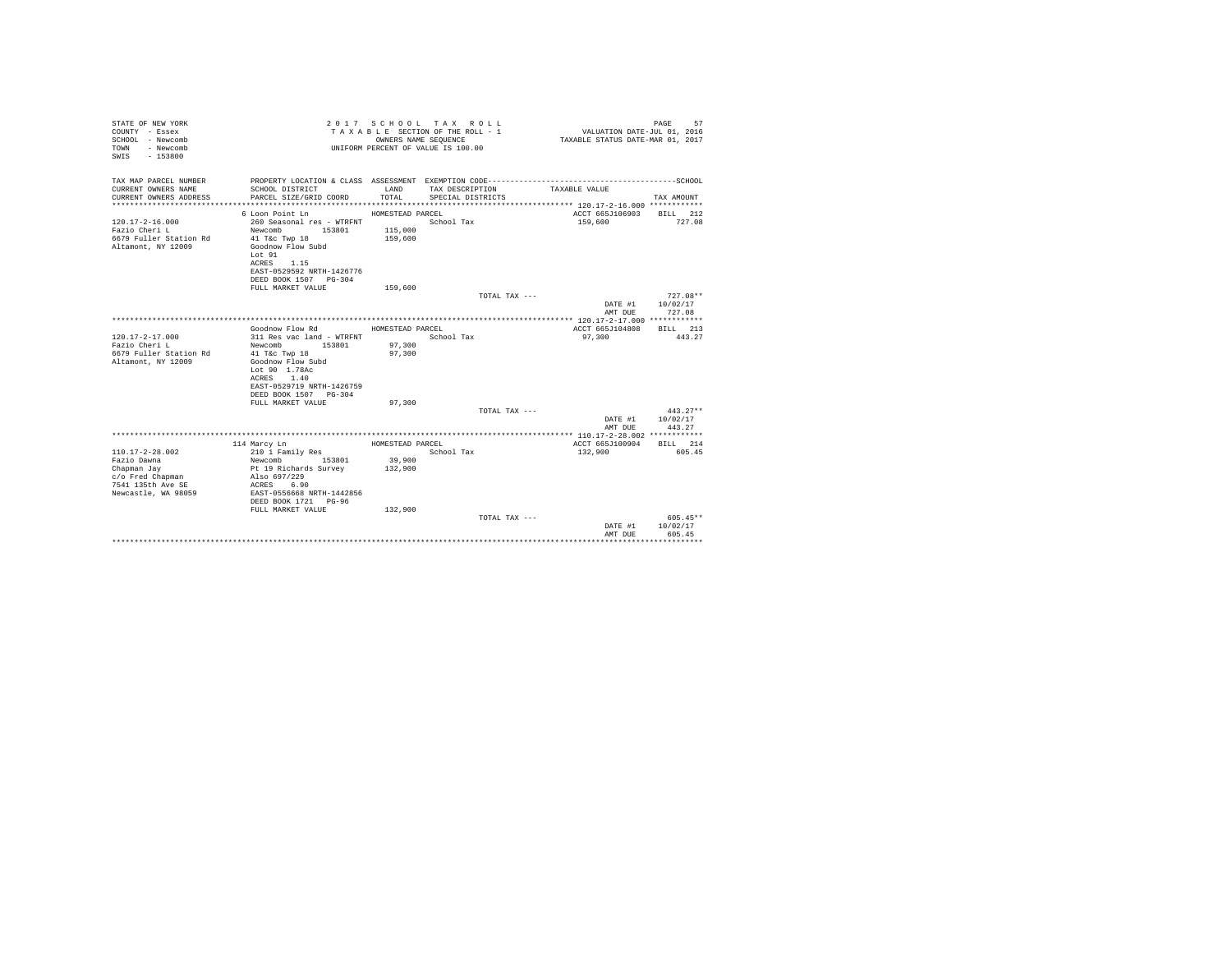| STATE OF NEW YORK<br>COUNTY - Essex<br>SCHOOL - Newcomb<br>- Newcomb<br>TOWN<br>$-153800$<br>SWIS |                                                             |                   | 2017 SCHOOL TAX ROLL<br>TAXABLE SECTION OF THE ROLL - 1<br>OWNERS NAME SEQUENCE<br>UNIFORM PERCENT OF VALUE IS 100.00 | VALUATION DATE-JUL 01, 2016<br>TAXABLE STATUS DATE-MAR 01, 2017 | PAGE<br>57                 |
|---------------------------------------------------------------------------------------------------|-------------------------------------------------------------|-------------------|-----------------------------------------------------------------------------------------------------------------------|-----------------------------------------------------------------|----------------------------|
| TAX MAP PARCEL NUMBER                                                                             |                                                             |                   |                                                                                                                       |                                                                 |                            |
| CURRENT OWNERS NAME<br>CURRENT OWNERS ADDRESS                                                     | SCHOOL DISTRICT<br>PARCEL SIZE/GRID COORD                   | LAND<br>TOTAL     | TAX DESCRIPTION<br>SPECIAL DISTRICTS                                                                                  | TAXABLE VALUE                                                   | TAX AMOUNT                 |
|                                                                                                   |                                                             |                   |                                                                                                                       |                                                                 |                            |
|                                                                                                   | 6 Loon Point Ln                                             | HOMESTEAD PARCEL  |                                                                                                                       | ACCT 665J106903 BILL 212                                        |                            |
| $120.17 - 2 - 16.000$                                                                             | 260 Seasonal res - WTRFNT                                   |                   | School Tax                                                                                                            | 159,600                                                         | 727.08                     |
| Fazio Cheri L                                                                                     | Newcomb 153801                                              | 115,000           |                                                                                                                       |                                                                 |                            |
| 6679 Fuller Station Rd<br>Altamont, NY 12009                                                      | 41 T&c Twp 18<br>Goodnow Flow Subd<br>Lot 91<br>ACRES 1.15  | 159,600           |                                                                                                                       |                                                                 |                            |
|                                                                                                   | EAST-0529592 NRTH-1426776<br>DEED BOOK 1507 PG-304          |                   |                                                                                                                       |                                                                 |                            |
|                                                                                                   | FULL MARKET VALUE                                           | 159,600           |                                                                                                                       |                                                                 |                            |
|                                                                                                   |                                                             |                   | TOTAL TAX ---                                                                                                         |                                                                 | $727.08**$                 |
|                                                                                                   |                                                             |                   |                                                                                                                       | DATE #1<br>AMT DUE                                              | 10/02/17<br>727.08         |
|                                                                                                   |                                                             |                   |                                                                                                                       |                                                                 |                            |
| $120.17 - 2 - 17.000$                                                                             | Goodnow Flow Rd<br>311 Res vac land - WTRFNT                | HOMESTEAD PARCEL  | School Tax                                                                                                            | ACCT 665J104808<br>97,300                                       | BILL 213<br>443.27         |
| Fazio Cheri L                                                                                     | Newcomb<br>153801                                           | 97,300            |                                                                                                                       |                                                                 |                            |
| 6679 Fuller Station Rd                                                                            | 41 T&c Twp 18                                               | 97,300            |                                                                                                                       |                                                                 |                            |
| Altamont, NY 12009                                                                                | Goodnow Flow Subd                                           |                   |                                                                                                                       |                                                                 |                            |
|                                                                                                   | Lot 90 1.78Ac                                               |                   |                                                                                                                       |                                                                 |                            |
|                                                                                                   | ACRES 1.40                                                  |                   |                                                                                                                       |                                                                 |                            |
|                                                                                                   | EAST-0529719 NRTH-1426759<br>DEED BOOK 1507 PG-304          |                   |                                                                                                                       |                                                                 |                            |
|                                                                                                   | FULL MARKET VALUE                                           | 97,300            |                                                                                                                       |                                                                 |                            |
|                                                                                                   |                                                             |                   | TOTAL TAX ---                                                                                                         |                                                                 | $443.27**$                 |
|                                                                                                   |                                                             |                   |                                                                                                                       | AMT DUE                                                         | DATE #1 10/02/17<br>443.27 |
|                                                                                                   |                                                             |                   |                                                                                                                       |                                                                 |                            |
|                                                                                                   | 114 Marcy Ln                                                | HOMESTEAD PARCEL  |                                                                                                                       | ACCT 665J100904                                                 | BILL 214                   |
| $110.17 - 2 - 28.002$                                                                             |                                                             |                   | School Tax                                                                                                            | 132,900                                                         | 605.45                     |
| Fazio Dawna<br>Chapman Jay                                                                        | 210 1 Family Res<br>Newcomb 153801<br>Pt 19 Richards Survey | 39,900<br>132,900 |                                                                                                                       |                                                                 |                            |
| c/o Fred Chapman                                                                                  | Also 697/229                                                |                   |                                                                                                                       |                                                                 |                            |
| 7541 135th Ave SE                                                                                 | ACRES 6.90                                                  |                   |                                                                                                                       |                                                                 |                            |
| Newcastle, WA 98059                                                                               | EAST-0556668 NRTH-1442856<br>DEED BOOK 1721 PG-96           |                   |                                                                                                                       |                                                                 |                            |
|                                                                                                   | FULL MARKET VALUE                                           | 132,900           |                                                                                                                       |                                                                 |                            |
|                                                                                                   |                                                             |                   | TOTAL TAX ---                                                                                                         |                                                                 | $605.45**$                 |
|                                                                                                   |                                                             |                   |                                                                                                                       | DATE #1<br>AMT DUE                                              | 10/02/17<br>605.45         |
|                                                                                                   |                                                             |                   |                                                                                                                       |                                                                 |                            |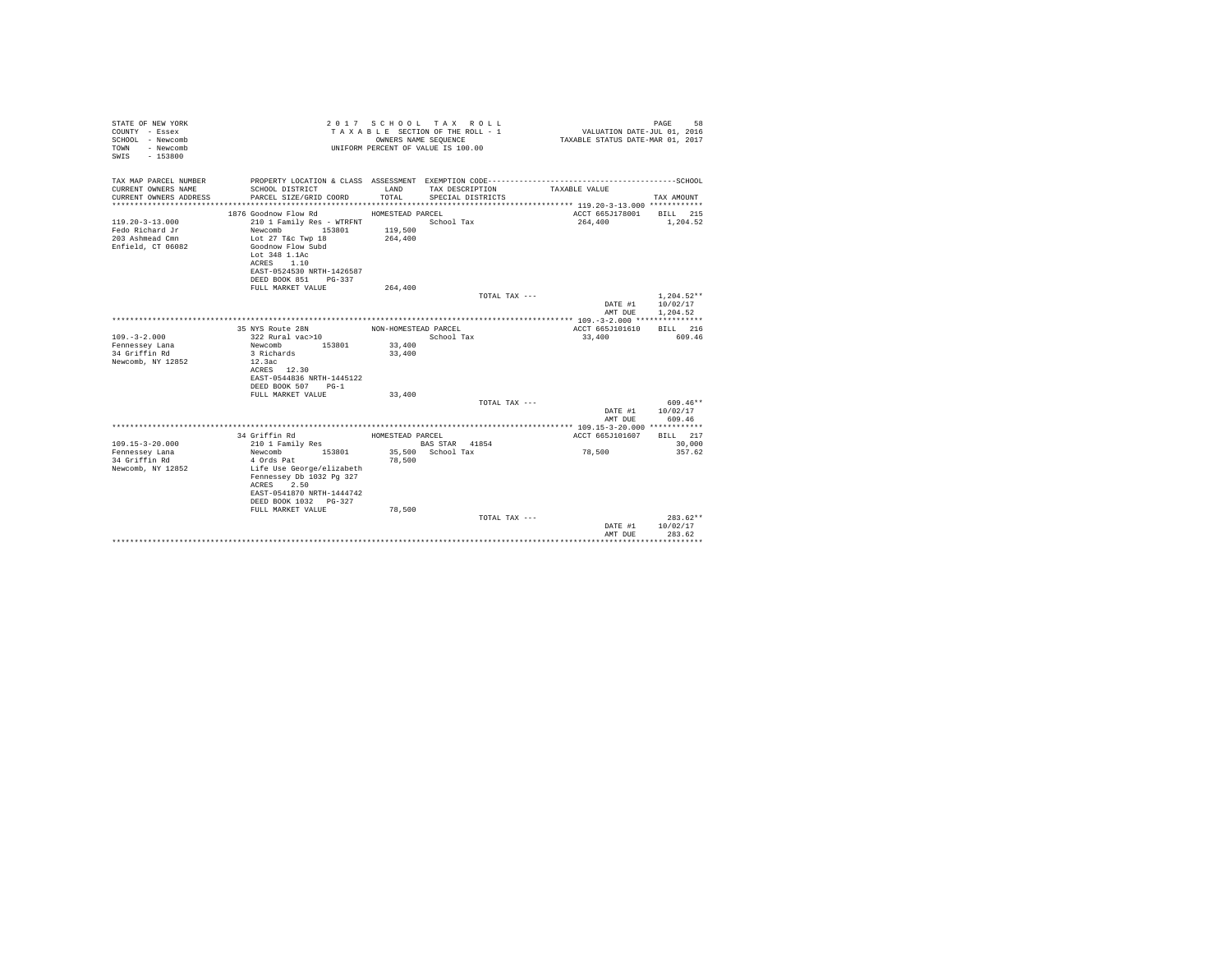| STATE OF NEW YORK<br>COUNTY - Essex<br>SCHOOL - Newcomb<br>- Newcomb<br>TOWN<br>SWIS - 153800 |                                                    |                      | 2017 SCHOOL TAX ROLL<br>TAXABLE SECTION OF THE ROLL - 1<br>OWNERS NAME SEQUENCE<br>UNIFORM PERCENT OF VALUE IS 100.00 | VALUATION DATE-JUL 01, 2016<br>TAXABLE STATUS DATE-MAR 01, 2017 | 58<br>PAGE   |
|-----------------------------------------------------------------------------------------------|----------------------------------------------------|----------------------|-----------------------------------------------------------------------------------------------------------------------|-----------------------------------------------------------------|--------------|
| TAX MAP PARCEL NUMBER                                                                         |                                                    |                      |                                                                                                                       |                                                                 |              |
| CURRENT OWNERS NAME<br>CURRENT OWNERS ADDRESS                                                 | SCHOOL DISTRICT<br>PARCEL SIZE/GRID COORD          | LAND<br>TOTAL        | TAX DESCRIPTION<br>SPECIAL DISTRICTS                                                                                  | TAXABLE VALUE                                                   | TAX AMOUNT   |
|                                                                                               |                                                    |                      |                                                                                                                       |                                                                 |              |
|                                                                                               | 1876 Goodnow Flow Rd                               | HOMESTEAD PARCEL     |                                                                                                                       | ACCT 665J178001                                                 | BILL 215     |
| $119.20 - 3 - 13.000$                                                                         | 210 1 Family Res - WTRFNT                          |                      | School Tax                                                                                                            | 264,400                                                         | 1,204.52     |
| Fedo Richard Jr                                                                               | Newcomb<br>153801                                  | 119,500              |                                                                                                                       |                                                                 |              |
| 203 Ashmead Cmn                                                                               | Lot 27 T&c Twp 18                                  | 264,400              |                                                                                                                       |                                                                 |              |
| Enfield, CT 06082                                                                             | Goodnow Flow Subd                                  |                      |                                                                                                                       |                                                                 |              |
|                                                                                               | Lot 348 1.1Ac<br>ACRES 1.10                        |                      |                                                                                                                       |                                                                 |              |
|                                                                                               | EAST-0524530 NRTH-1426587                          |                      |                                                                                                                       |                                                                 |              |
|                                                                                               | DEED BOOK 851 PG-337                               |                      |                                                                                                                       |                                                                 |              |
|                                                                                               | FULL MARKET VALUE                                  | 264,400              |                                                                                                                       |                                                                 |              |
|                                                                                               |                                                    |                      | TOTAL TAX ---                                                                                                         |                                                                 | $1.204.52**$ |
|                                                                                               |                                                    |                      |                                                                                                                       | DATE #1                                                         | 10/02/17     |
|                                                                                               |                                                    |                      |                                                                                                                       | AMT DUE                                                         | 1,204.52     |
|                                                                                               | 35 NYS Route 28N                                   | NON-HOMESTEAD PARCEL |                                                                                                                       | ACCT 665J101610                                                 | BILL 216     |
| $109. - 3 - 2.000$                                                                            | 322 Rural vac>10                                   |                      | School Tax                                                                                                            | 33,400                                                          | 609.46       |
| Fennessey Lana                                                                                | Newcomb<br>153801                                  | 33,400               |                                                                                                                       |                                                                 |              |
| 34 Griffin Rd                                                                                 | 3 Richards                                         | 33,400               |                                                                                                                       |                                                                 |              |
| Newcomb, NY 12852                                                                             | 12.3ac                                             |                      |                                                                                                                       |                                                                 |              |
|                                                                                               | ACRES 12.30<br>EAST-0544836 NRTH-1445122           |                      |                                                                                                                       |                                                                 |              |
|                                                                                               | DEED BOOK 507 PG-1                                 |                      |                                                                                                                       |                                                                 |              |
|                                                                                               | FULL MARKET VALUE                                  | 33,400               |                                                                                                                       |                                                                 |              |
|                                                                                               |                                                    |                      | TOTAL TAX ---                                                                                                         |                                                                 | 609.46**     |
|                                                                                               |                                                    |                      |                                                                                                                       | DATE #1                                                         | 10/02/17     |
|                                                                                               |                                                    |                      |                                                                                                                       | AMT DUE                                                         | 609.46       |
|                                                                                               | 34 Griffin Rd                                      | HOMESTEAD PARCEL     |                                                                                                                       | ACCT 665J101607                                                 | BILL 217     |
| $109.15 - 3 - 20.000$                                                                         | 210 1 Family Res                                   |                      | BAS STAR 41854                                                                                                        |                                                                 | 30,000       |
| Fennessey Lana                                                                                | Newcomb<br>153801                                  |                      | 35,500 School Tax                                                                                                     | 78,500                                                          | 357.62       |
| 34 Griffin Rd                                                                                 | 4 Ords Pat                                         | 78,500               |                                                                                                                       |                                                                 |              |
| Newcomb, NY 12852                                                                             | Life Use George/elizabeth                          |                      |                                                                                                                       |                                                                 |              |
|                                                                                               | Fennessey Db 1032 Pg 327                           |                      |                                                                                                                       |                                                                 |              |
|                                                                                               | ACRES 2.50                                         |                      |                                                                                                                       |                                                                 |              |
|                                                                                               | EAST-0541870 NRTH-1444742<br>DEED BOOK 1032 PG-327 |                      |                                                                                                                       |                                                                 |              |
|                                                                                               | FULL MARKET VALUE                                  | 78,500               |                                                                                                                       |                                                                 |              |
|                                                                                               |                                                    |                      | TOTAL TAX ---                                                                                                         |                                                                 | $283.62**$   |
|                                                                                               |                                                    |                      |                                                                                                                       | DATE #1                                                         | 10/02/17     |
|                                                                                               |                                                    |                      |                                                                                                                       | AMT DUE                                                         | 283.62       |
|                                                                                               |                                                    |                      |                                                                                                                       |                                                                 |              |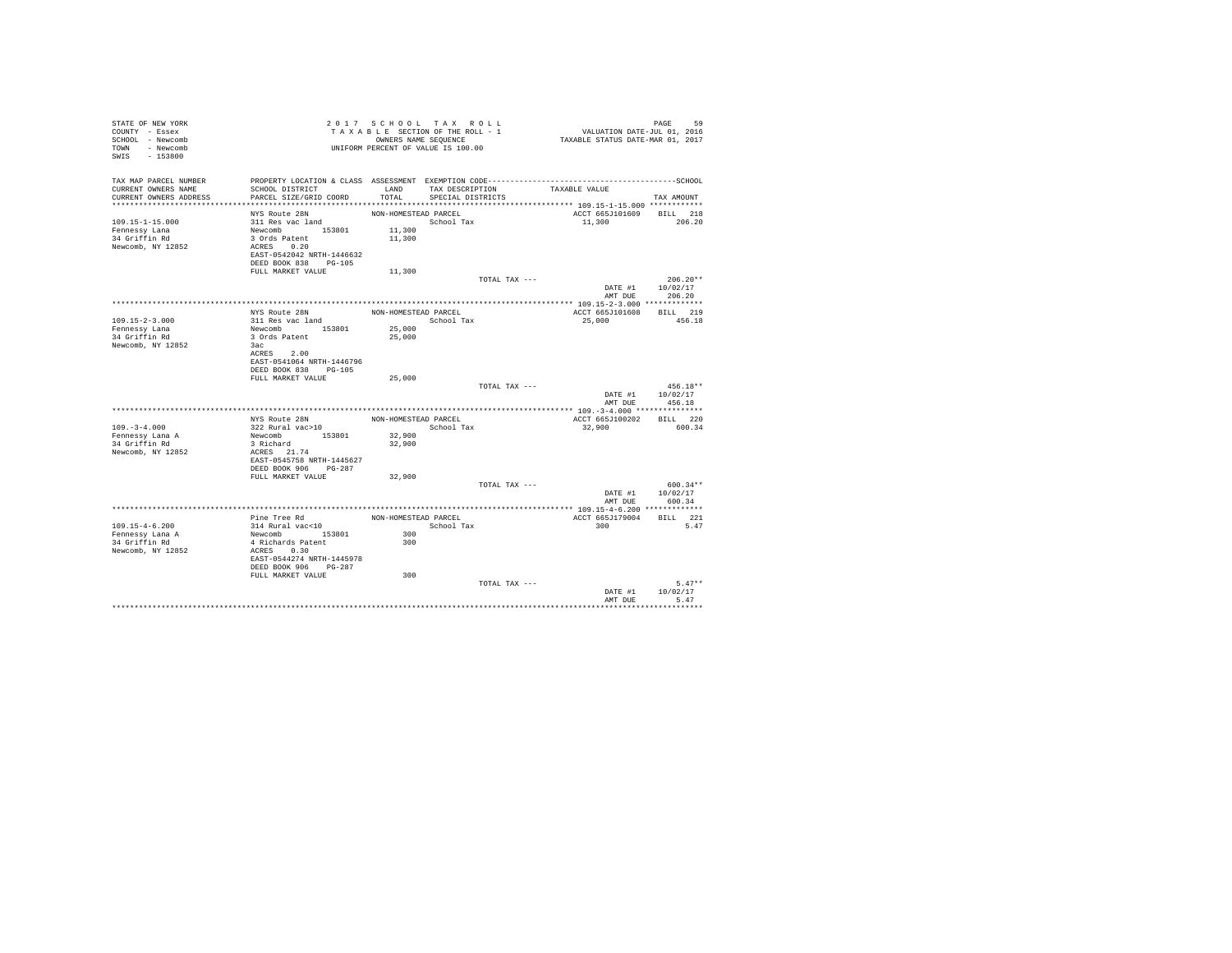| TAX MAP PARCEL NUMBER<br>TAXABLE VALUE<br>LAND TAX DESCRIPTION<br>CURRENT OWNERS NAME<br>SCHOOL DISTRICT<br>CURRENT OWNERS ADDRESS<br>PARCEL SIZE/GRID COORD<br>TOTAL<br>SPECIAL DISTRICTS<br>TAX AMOUNT<br>ACCT 665J101609 BILL 218<br>NYS Route 28N<br>NON-HOMESTEAD PARCEL<br>311 Res vac land<br>$109.15 - 1 - 15.000$<br>School Tax<br>11,300<br>206.20<br>Newcomb 153801<br>11,300<br>Fennessy Lana<br>3 Ords Patent<br>34 Griffin Rd<br>11,300<br>Newcomb, NY 12852<br>ACRES 0.20<br>EAST-0542042 NRTH-1446632<br>DEED BOOK 838 PG-105<br>11,300<br>FULL MARKET VALUE<br>$206.20**$<br>TOTAL TAX ---<br>DATE #1 10/02/17<br>206.20<br>AMT DUE<br>BILL 219<br>NYS Route 28N<br>NON-HOMESTEAD PARCEL<br>ACCT 665J101608<br>109.15-2-3.000<br>311 Res vac land<br>25,000<br>456.18<br>School Tax<br>Newcomb 153801<br>25,000<br>Fennessy Lana<br>34 Griffin Rd<br>3 Ords Patent<br>25,000<br>Newcomb, NY 12852<br>3ac<br>ACRES 2.00<br>EAST-0541064 NRTH-1446796<br>DEED BOOK 838 PG-105<br>FULL MARKET VALUE<br>25,000<br>$456.18**$<br>TOTAL TAX ---<br>DATE #1 10/02/17<br>AMT DUE<br>456.18<br>NYS Route 28N<br>NON-HOMESTEAD PARCEL<br>ACCT 665J100202<br>BILL 220<br>$109. - 3 - 4.000$<br>322 Rural vac>10<br>School Tax<br>32,900<br>600.34<br>Newcomb 153801<br>32,900<br>Fennessy Lana A<br>3 Richard<br>34 Griffin Rd<br>32,900<br>ACRES 21.74<br>Newcomb, NY 12852<br>EAST-0545758 NRTH-1445627<br>DEED BOOK 906 PG-287<br>32,900<br>FULL MARKET VALUE<br>$600.34**$<br>TOTAL TAX ---<br>DATE #1 10/02/17<br>AMT DUE<br>600.34<br>**************** 109.15-4-6.200 *************<br>Pine Tree Rd<br>ACCT 665J179004<br>BILL 221<br>NON-HOMESTEAD PARCEL<br>314 Rural vac<10<br>$109.15 - 4 - 6.200$<br>School Tax<br>300<br>5.47<br>Newcomb 153801<br>300<br>Fennessy Lana A<br>34 Griffin Rd<br>4 Richards Patent<br>300<br>Newcomb, NY 12852<br>ACRES 0.30<br>EAST-0544274 NRTH-1445978<br>DEED BOOK 906 PG-287<br>300<br>FULL MARKET VALUE<br>$5.47**$<br>TOTAL TAX ---<br>DATE #1<br>10/02/17<br>AMT DUE<br>5.47 | STATE OF NEW YORK<br>COUNTY - Essex<br>SCHOOL - Newcomb<br>TOWN - Newcomb<br>SWIS - 153800 | 2017 SCHOOL TAX ROLL<br>TAXABLE SECTION OF THE ROLL - 1<br>OWNERS NAME SEQUENCE<br>UNIFORM PERCENT OF VALUE IS 100.00 |  | VALUATION DATE-JUL 01, 2016<br>TAXABLE STATUS DATE-MAR 01, 2017 | PAGE<br>59 |
|-------------------------------------------------------------------------------------------------------------------------------------------------------------------------------------------------------------------------------------------------------------------------------------------------------------------------------------------------------------------------------------------------------------------------------------------------------------------------------------------------------------------------------------------------------------------------------------------------------------------------------------------------------------------------------------------------------------------------------------------------------------------------------------------------------------------------------------------------------------------------------------------------------------------------------------------------------------------------------------------------------------------------------------------------------------------------------------------------------------------------------------------------------------------------------------------------------------------------------------------------------------------------------------------------------------------------------------------------------------------------------------------------------------------------------------------------------------------------------------------------------------------------------------------------------------------------------------------------------------------------------------------------------------------------------------------------------------------------------------------------------------------------------------------------------------------------------------------------------------------------------------------------------------------------------------------------------------------------------------------------------------------------------------|--------------------------------------------------------------------------------------------|-----------------------------------------------------------------------------------------------------------------------|--|-----------------------------------------------------------------|------------|
|                                                                                                                                                                                                                                                                                                                                                                                                                                                                                                                                                                                                                                                                                                                                                                                                                                                                                                                                                                                                                                                                                                                                                                                                                                                                                                                                                                                                                                                                                                                                                                                                                                                                                                                                                                                                                                                                                                                                                                                                                                     |                                                                                            |                                                                                                                       |  |                                                                 |            |
|                                                                                                                                                                                                                                                                                                                                                                                                                                                                                                                                                                                                                                                                                                                                                                                                                                                                                                                                                                                                                                                                                                                                                                                                                                                                                                                                                                                                                                                                                                                                                                                                                                                                                                                                                                                                                                                                                                                                                                                                                                     |                                                                                            |                                                                                                                       |  |                                                                 |            |
|                                                                                                                                                                                                                                                                                                                                                                                                                                                                                                                                                                                                                                                                                                                                                                                                                                                                                                                                                                                                                                                                                                                                                                                                                                                                                                                                                                                                                                                                                                                                                                                                                                                                                                                                                                                                                                                                                                                                                                                                                                     |                                                                                            |                                                                                                                       |  |                                                                 |            |
|                                                                                                                                                                                                                                                                                                                                                                                                                                                                                                                                                                                                                                                                                                                                                                                                                                                                                                                                                                                                                                                                                                                                                                                                                                                                                                                                                                                                                                                                                                                                                                                                                                                                                                                                                                                                                                                                                                                                                                                                                                     |                                                                                            |                                                                                                                       |  |                                                                 |            |
|                                                                                                                                                                                                                                                                                                                                                                                                                                                                                                                                                                                                                                                                                                                                                                                                                                                                                                                                                                                                                                                                                                                                                                                                                                                                                                                                                                                                                                                                                                                                                                                                                                                                                                                                                                                                                                                                                                                                                                                                                                     |                                                                                            |                                                                                                                       |  |                                                                 |            |
|                                                                                                                                                                                                                                                                                                                                                                                                                                                                                                                                                                                                                                                                                                                                                                                                                                                                                                                                                                                                                                                                                                                                                                                                                                                                                                                                                                                                                                                                                                                                                                                                                                                                                                                                                                                                                                                                                                                                                                                                                                     |                                                                                            |                                                                                                                       |  |                                                                 |            |
|                                                                                                                                                                                                                                                                                                                                                                                                                                                                                                                                                                                                                                                                                                                                                                                                                                                                                                                                                                                                                                                                                                                                                                                                                                                                                                                                                                                                                                                                                                                                                                                                                                                                                                                                                                                                                                                                                                                                                                                                                                     |                                                                                            |                                                                                                                       |  |                                                                 |            |
|                                                                                                                                                                                                                                                                                                                                                                                                                                                                                                                                                                                                                                                                                                                                                                                                                                                                                                                                                                                                                                                                                                                                                                                                                                                                                                                                                                                                                                                                                                                                                                                                                                                                                                                                                                                                                                                                                                                                                                                                                                     |                                                                                            |                                                                                                                       |  |                                                                 |            |
|                                                                                                                                                                                                                                                                                                                                                                                                                                                                                                                                                                                                                                                                                                                                                                                                                                                                                                                                                                                                                                                                                                                                                                                                                                                                                                                                                                                                                                                                                                                                                                                                                                                                                                                                                                                                                                                                                                                                                                                                                                     |                                                                                            |                                                                                                                       |  |                                                                 |            |
|                                                                                                                                                                                                                                                                                                                                                                                                                                                                                                                                                                                                                                                                                                                                                                                                                                                                                                                                                                                                                                                                                                                                                                                                                                                                                                                                                                                                                                                                                                                                                                                                                                                                                                                                                                                                                                                                                                                                                                                                                                     |                                                                                            |                                                                                                                       |  |                                                                 |            |
|                                                                                                                                                                                                                                                                                                                                                                                                                                                                                                                                                                                                                                                                                                                                                                                                                                                                                                                                                                                                                                                                                                                                                                                                                                                                                                                                                                                                                                                                                                                                                                                                                                                                                                                                                                                                                                                                                                                                                                                                                                     |                                                                                            |                                                                                                                       |  |                                                                 |            |
|                                                                                                                                                                                                                                                                                                                                                                                                                                                                                                                                                                                                                                                                                                                                                                                                                                                                                                                                                                                                                                                                                                                                                                                                                                                                                                                                                                                                                                                                                                                                                                                                                                                                                                                                                                                                                                                                                                                                                                                                                                     |                                                                                            |                                                                                                                       |  |                                                                 |            |
|                                                                                                                                                                                                                                                                                                                                                                                                                                                                                                                                                                                                                                                                                                                                                                                                                                                                                                                                                                                                                                                                                                                                                                                                                                                                                                                                                                                                                                                                                                                                                                                                                                                                                                                                                                                                                                                                                                                                                                                                                                     |                                                                                            |                                                                                                                       |  |                                                                 |            |
|                                                                                                                                                                                                                                                                                                                                                                                                                                                                                                                                                                                                                                                                                                                                                                                                                                                                                                                                                                                                                                                                                                                                                                                                                                                                                                                                                                                                                                                                                                                                                                                                                                                                                                                                                                                                                                                                                                                                                                                                                                     |                                                                                            |                                                                                                                       |  |                                                                 |            |
|                                                                                                                                                                                                                                                                                                                                                                                                                                                                                                                                                                                                                                                                                                                                                                                                                                                                                                                                                                                                                                                                                                                                                                                                                                                                                                                                                                                                                                                                                                                                                                                                                                                                                                                                                                                                                                                                                                                                                                                                                                     |                                                                                            |                                                                                                                       |  |                                                                 |            |
|                                                                                                                                                                                                                                                                                                                                                                                                                                                                                                                                                                                                                                                                                                                                                                                                                                                                                                                                                                                                                                                                                                                                                                                                                                                                                                                                                                                                                                                                                                                                                                                                                                                                                                                                                                                                                                                                                                                                                                                                                                     |                                                                                            |                                                                                                                       |  |                                                                 |            |
|                                                                                                                                                                                                                                                                                                                                                                                                                                                                                                                                                                                                                                                                                                                                                                                                                                                                                                                                                                                                                                                                                                                                                                                                                                                                                                                                                                                                                                                                                                                                                                                                                                                                                                                                                                                                                                                                                                                                                                                                                                     |                                                                                            |                                                                                                                       |  |                                                                 |            |
|                                                                                                                                                                                                                                                                                                                                                                                                                                                                                                                                                                                                                                                                                                                                                                                                                                                                                                                                                                                                                                                                                                                                                                                                                                                                                                                                                                                                                                                                                                                                                                                                                                                                                                                                                                                                                                                                                                                                                                                                                                     |                                                                                            |                                                                                                                       |  |                                                                 |            |
|                                                                                                                                                                                                                                                                                                                                                                                                                                                                                                                                                                                                                                                                                                                                                                                                                                                                                                                                                                                                                                                                                                                                                                                                                                                                                                                                                                                                                                                                                                                                                                                                                                                                                                                                                                                                                                                                                                                                                                                                                                     |                                                                                            |                                                                                                                       |  |                                                                 |            |
|                                                                                                                                                                                                                                                                                                                                                                                                                                                                                                                                                                                                                                                                                                                                                                                                                                                                                                                                                                                                                                                                                                                                                                                                                                                                                                                                                                                                                                                                                                                                                                                                                                                                                                                                                                                                                                                                                                                                                                                                                                     |                                                                                            |                                                                                                                       |  |                                                                 |            |
|                                                                                                                                                                                                                                                                                                                                                                                                                                                                                                                                                                                                                                                                                                                                                                                                                                                                                                                                                                                                                                                                                                                                                                                                                                                                                                                                                                                                                                                                                                                                                                                                                                                                                                                                                                                                                                                                                                                                                                                                                                     |                                                                                            |                                                                                                                       |  |                                                                 |            |
|                                                                                                                                                                                                                                                                                                                                                                                                                                                                                                                                                                                                                                                                                                                                                                                                                                                                                                                                                                                                                                                                                                                                                                                                                                                                                                                                                                                                                                                                                                                                                                                                                                                                                                                                                                                                                                                                                                                                                                                                                                     |                                                                                            |                                                                                                                       |  |                                                                 |            |
|                                                                                                                                                                                                                                                                                                                                                                                                                                                                                                                                                                                                                                                                                                                                                                                                                                                                                                                                                                                                                                                                                                                                                                                                                                                                                                                                                                                                                                                                                                                                                                                                                                                                                                                                                                                                                                                                                                                                                                                                                                     |                                                                                            |                                                                                                                       |  |                                                                 |            |
|                                                                                                                                                                                                                                                                                                                                                                                                                                                                                                                                                                                                                                                                                                                                                                                                                                                                                                                                                                                                                                                                                                                                                                                                                                                                                                                                                                                                                                                                                                                                                                                                                                                                                                                                                                                                                                                                                                                                                                                                                                     |                                                                                            |                                                                                                                       |  |                                                                 |            |
|                                                                                                                                                                                                                                                                                                                                                                                                                                                                                                                                                                                                                                                                                                                                                                                                                                                                                                                                                                                                                                                                                                                                                                                                                                                                                                                                                                                                                                                                                                                                                                                                                                                                                                                                                                                                                                                                                                                                                                                                                                     |                                                                                            |                                                                                                                       |  |                                                                 |            |
|                                                                                                                                                                                                                                                                                                                                                                                                                                                                                                                                                                                                                                                                                                                                                                                                                                                                                                                                                                                                                                                                                                                                                                                                                                                                                                                                                                                                                                                                                                                                                                                                                                                                                                                                                                                                                                                                                                                                                                                                                                     |                                                                                            |                                                                                                                       |  |                                                                 |            |
|                                                                                                                                                                                                                                                                                                                                                                                                                                                                                                                                                                                                                                                                                                                                                                                                                                                                                                                                                                                                                                                                                                                                                                                                                                                                                                                                                                                                                                                                                                                                                                                                                                                                                                                                                                                                                                                                                                                                                                                                                                     |                                                                                            |                                                                                                                       |  |                                                                 |            |
|                                                                                                                                                                                                                                                                                                                                                                                                                                                                                                                                                                                                                                                                                                                                                                                                                                                                                                                                                                                                                                                                                                                                                                                                                                                                                                                                                                                                                                                                                                                                                                                                                                                                                                                                                                                                                                                                                                                                                                                                                                     |                                                                                            |                                                                                                                       |  |                                                                 |            |
|                                                                                                                                                                                                                                                                                                                                                                                                                                                                                                                                                                                                                                                                                                                                                                                                                                                                                                                                                                                                                                                                                                                                                                                                                                                                                                                                                                                                                                                                                                                                                                                                                                                                                                                                                                                                                                                                                                                                                                                                                                     |                                                                                            |                                                                                                                       |  |                                                                 |            |
|                                                                                                                                                                                                                                                                                                                                                                                                                                                                                                                                                                                                                                                                                                                                                                                                                                                                                                                                                                                                                                                                                                                                                                                                                                                                                                                                                                                                                                                                                                                                                                                                                                                                                                                                                                                                                                                                                                                                                                                                                                     |                                                                                            |                                                                                                                       |  |                                                                 |            |
|                                                                                                                                                                                                                                                                                                                                                                                                                                                                                                                                                                                                                                                                                                                                                                                                                                                                                                                                                                                                                                                                                                                                                                                                                                                                                                                                                                                                                                                                                                                                                                                                                                                                                                                                                                                                                                                                                                                                                                                                                                     |                                                                                            |                                                                                                                       |  |                                                                 |            |
|                                                                                                                                                                                                                                                                                                                                                                                                                                                                                                                                                                                                                                                                                                                                                                                                                                                                                                                                                                                                                                                                                                                                                                                                                                                                                                                                                                                                                                                                                                                                                                                                                                                                                                                                                                                                                                                                                                                                                                                                                                     |                                                                                            |                                                                                                                       |  |                                                                 |            |
|                                                                                                                                                                                                                                                                                                                                                                                                                                                                                                                                                                                                                                                                                                                                                                                                                                                                                                                                                                                                                                                                                                                                                                                                                                                                                                                                                                                                                                                                                                                                                                                                                                                                                                                                                                                                                                                                                                                                                                                                                                     |                                                                                            |                                                                                                                       |  |                                                                 |            |
|                                                                                                                                                                                                                                                                                                                                                                                                                                                                                                                                                                                                                                                                                                                                                                                                                                                                                                                                                                                                                                                                                                                                                                                                                                                                                                                                                                                                                                                                                                                                                                                                                                                                                                                                                                                                                                                                                                                                                                                                                                     |                                                                                            |                                                                                                                       |  |                                                                 |            |
|                                                                                                                                                                                                                                                                                                                                                                                                                                                                                                                                                                                                                                                                                                                                                                                                                                                                                                                                                                                                                                                                                                                                                                                                                                                                                                                                                                                                                                                                                                                                                                                                                                                                                                                                                                                                                                                                                                                                                                                                                                     |                                                                                            |                                                                                                                       |  |                                                                 |            |
|                                                                                                                                                                                                                                                                                                                                                                                                                                                                                                                                                                                                                                                                                                                                                                                                                                                                                                                                                                                                                                                                                                                                                                                                                                                                                                                                                                                                                                                                                                                                                                                                                                                                                                                                                                                                                                                                                                                                                                                                                                     |                                                                                            |                                                                                                                       |  |                                                                 |            |
|                                                                                                                                                                                                                                                                                                                                                                                                                                                                                                                                                                                                                                                                                                                                                                                                                                                                                                                                                                                                                                                                                                                                                                                                                                                                                                                                                                                                                                                                                                                                                                                                                                                                                                                                                                                                                                                                                                                                                                                                                                     |                                                                                            |                                                                                                                       |  |                                                                 |            |
|                                                                                                                                                                                                                                                                                                                                                                                                                                                                                                                                                                                                                                                                                                                                                                                                                                                                                                                                                                                                                                                                                                                                                                                                                                                                                                                                                                                                                                                                                                                                                                                                                                                                                                                                                                                                                                                                                                                                                                                                                                     |                                                                                            |                                                                                                                       |  |                                                                 |            |
|                                                                                                                                                                                                                                                                                                                                                                                                                                                                                                                                                                                                                                                                                                                                                                                                                                                                                                                                                                                                                                                                                                                                                                                                                                                                                                                                                                                                                                                                                                                                                                                                                                                                                                                                                                                                                                                                                                                                                                                                                                     |                                                                                            |                                                                                                                       |  |                                                                 |            |
|                                                                                                                                                                                                                                                                                                                                                                                                                                                                                                                                                                                                                                                                                                                                                                                                                                                                                                                                                                                                                                                                                                                                                                                                                                                                                                                                                                                                                                                                                                                                                                                                                                                                                                                                                                                                                                                                                                                                                                                                                                     |                                                                                            |                                                                                                                       |  |                                                                 |            |
|                                                                                                                                                                                                                                                                                                                                                                                                                                                                                                                                                                                                                                                                                                                                                                                                                                                                                                                                                                                                                                                                                                                                                                                                                                                                                                                                                                                                                                                                                                                                                                                                                                                                                                                                                                                                                                                                                                                                                                                                                                     |                                                                                            |                                                                                                                       |  |                                                                 |            |
|                                                                                                                                                                                                                                                                                                                                                                                                                                                                                                                                                                                                                                                                                                                                                                                                                                                                                                                                                                                                                                                                                                                                                                                                                                                                                                                                                                                                                                                                                                                                                                                                                                                                                                                                                                                                                                                                                                                                                                                                                                     |                                                                                            |                                                                                                                       |  |                                                                 |            |
|                                                                                                                                                                                                                                                                                                                                                                                                                                                                                                                                                                                                                                                                                                                                                                                                                                                                                                                                                                                                                                                                                                                                                                                                                                                                                                                                                                                                                                                                                                                                                                                                                                                                                                                                                                                                                                                                                                                                                                                                                                     |                                                                                            |                                                                                                                       |  |                                                                 |            |
|                                                                                                                                                                                                                                                                                                                                                                                                                                                                                                                                                                                                                                                                                                                                                                                                                                                                                                                                                                                                                                                                                                                                                                                                                                                                                                                                                                                                                                                                                                                                                                                                                                                                                                                                                                                                                                                                                                                                                                                                                                     |                                                                                            |                                                                                                                       |  |                                                                 |            |
|                                                                                                                                                                                                                                                                                                                                                                                                                                                                                                                                                                                                                                                                                                                                                                                                                                                                                                                                                                                                                                                                                                                                                                                                                                                                                                                                                                                                                                                                                                                                                                                                                                                                                                                                                                                                                                                                                                                                                                                                                                     |                                                                                            |                                                                                                                       |  |                                                                 |            |
|                                                                                                                                                                                                                                                                                                                                                                                                                                                                                                                                                                                                                                                                                                                                                                                                                                                                                                                                                                                                                                                                                                                                                                                                                                                                                                                                                                                                                                                                                                                                                                                                                                                                                                                                                                                                                                                                                                                                                                                                                                     |                                                                                            |                                                                                                                       |  |                                                                 |            |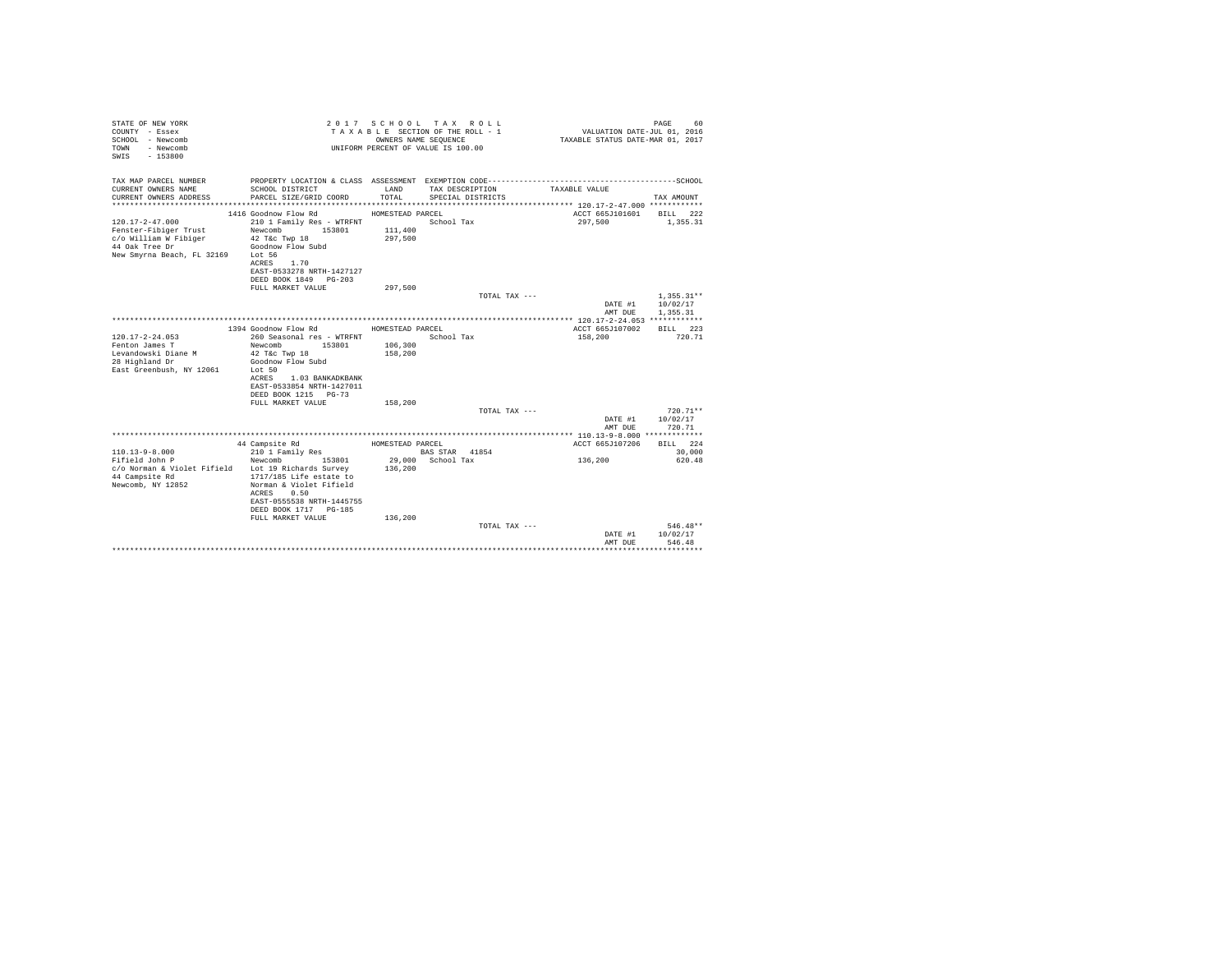| STATE OF NEW YORK<br>COUNTY - Essex<br>SCHOOL - Newcomb<br>- Newcomb<br>TOWN<br>$-153800$<br>SWTS |                                                   | OWNERS NAME SEQUENCE | 2017 SCHOOL TAX ROLL<br>TAXABLE SECTION OF THE ROLL - 1<br>UNIFORM PERCENT OF VALUE IS 100.00 | VALUATION DATE-JUL 01, 2016<br>TAXABLE STATUS DATE-MAR 01, 2017 | 60<br>PAGE             |
|---------------------------------------------------------------------------------------------------|---------------------------------------------------|----------------------|-----------------------------------------------------------------------------------------------|-----------------------------------------------------------------|------------------------|
| TAX MAP PARCEL NUMBER                                                                             |                                                   |                      |                                                                                               |                                                                 |                        |
| CURRENT OWNERS NAME<br>CURRENT OWNERS ADDRESS                                                     | SCHOOL DISTRICT<br>PARCEL SIZE/GRID COORD         | LAND<br>TOTAL.       | TAX DESCRIPTION<br>SPECIAL DISTRICTS                                                          | TAXABLE VALUE                                                   | TAX AMOUNT             |
|                                                                                                   |                                                   |                      |                                                                                               | ACCT 665J101601                                                 |                        |
| $120.17 - 2 - 47.000$                                                                             | 1416 Goodnow Flow Rd<br>210 1 Family Res - WTRFNT | HOMESTEAD PARCEL     | School Tax                                                                                    | 297,500                                                         | BILL 222<br>1,355.31   |
| Fenster-Fibiger Trust                                                                             | Newcomb<br>153801                                 | 111,400              |                                                                                               |                                                                 |                        |
| c/o William W Fibiger                                                                             | 42 T&c Twp 18                                     | 297.500              |                                                                                               |                                                                 |                        |
| 44 Oak Tree Dr                                                                                    | Goodnow Flow Subd                                 |                      |                                                                                               |                                                                 |                        |
| New Smyrna Beach, FL 32169 Lot 56                                                                 |                                                   |                      |                                                                                               |                                                                 |                        |
|                                                                                                   | 1.70<br>ACRES                                     |                      |                                                                                               |                                                                 |                        |
|                                                                                                   | EAST-0533278 NRTH-1427127                         |                      |                                                                                               |                                                                 |                        |
|                                                                                                   | DEED BOOK 1849 PG-203                             |                      |                                                                                               |                                                                 |                        |
|                                                                                                   | FULL MARKET VALUE                                 | 297.500              |                                                                                               |                                                                 |                        |
|                                                                                                   |                                                   |                      | TOTAL TAX ---                                                                                 |                                                                 | $1,355.31**$           |
|                                                                                                   |                                                   |                      |                                                                                               | DATE #1                                                         | 10/02/17               |
|                                                                                                   |                                                   |                      |                                                                                               | AMT DUE                                                         | 1,355.31               |
|                                                                                                   | 1394 Goodnow Flow Rd                              | HOMESTEAD PARCEL     |                                                                                               | ACCT 665J107002                                                 | BILL 223               |
| $120.17 - 2 - 24.053$                                                                             | 260 Seasonal res - WTRFNT                         |                      | School Tax                                                                                    | 158,200                                                         | 720.71                 |
| Fenton James T                                                                                    | Newcomb<br>153801                                 | 106,300              |                                                                                               |                                                                 |                        |
| Levandowski Diane M                                                                               | 42 T&c Twp 18                                     | 158,200              |                                                                                               |                                                                 |                        |
| 28 Highland Dr                                                                                    | Goodnow Flow Subd                                 |                      |                                                                                               |                                                                 |                        |
| East Greenbush, NY 12061                                                                          | Lot 50                                            |                      |                                                                                               |                                                                 |                        |
|                                                                                                   | ACRES<br>1.03 BANKADKBANK                         |                      |                                                                                               |                                                                 |                        |
|                                                                                                   | EAST-0533854 NRTH-1427011                         |                      |                                                                                               |                                                                 |                        |
|                                                                                                   | DEED BOOK 1215 PG-73                              |                      |                                                                                               |                                                                 |                        |
|                                                                                                   | FULL MARKET VALUE                                 | 158,200              |                                                                                               |                                                                 |                        |
|                                                                                                   |                                                   |                      | TOTAL TAX ---                                                                                 |                                                                 | $720.71**$<br>10/02/17 |
|                                                                                                   |                                                   |                      |                                                                                               | DATE #1<br>AMT DUE                                              | 720.71                 |
|                                                                                                   |                                                   |                      |                                                                                               |                                                                 |                        |
|                                                                                                   | 44 Campsite Rd                                    | HOMESTEAD PARCEL     |                                                                                               | ACCT 665J107206                                                 | BILL 224               |
| $110.13 - 9 - 8.000$                                                                              | 210 1 Family Res                                  |                      | BAS STAR 41854                                                                                |                                                                 | 30,000                 |
| Fifield John P                                                                                    | Newcomb<br>153801                                 |                      | 29,000 School Tax                                                                             | 136,200                                                         | 620.48                 |
| c/o Norman & Violet Fifield Lot 19 Richards Survey                                                |                                                   | 136,200              |                                                                                               |                                                                 |                        |
| 44 Campsite Rd                                                                                    | 1717/185 Life estate to                           |                      |                                                                                               |                                                                 |                        |
| Newcomb, NY 12852                                                                                 | Norman & Violet Fifield                           |                      |                                                                                               |                                                                 |                        |
|                                                                                                   | 0.50<br>ACRES                                     |                      |                                                                                               |                                                                 |                        |
|                                                                                                   | EAST-0555538 NRTH-1445755                         |                      |                                                                                               |                                                                 |                        |
|                                                                                                   | DEED BOOK 1717 PG-185                             |                      |                                                                                               |                                                                 |                        |
|                                                                                                   | FULL MARKET VALUE                                 | 136,200              | TOTAL TAX ---                                                                                 |                                                                 | $546.48**$             |
|                                                                                                   |                                                   |                      |                                                                                               | DATE #1                                                         | 10/02/17               |
|                                                                                                   |                                                   |                      |                                                                                               | AMT DUE                                                         | 546.48                 |
|                                                                                                   |                                                   |                      |                                                                                               |                                                                 |                        |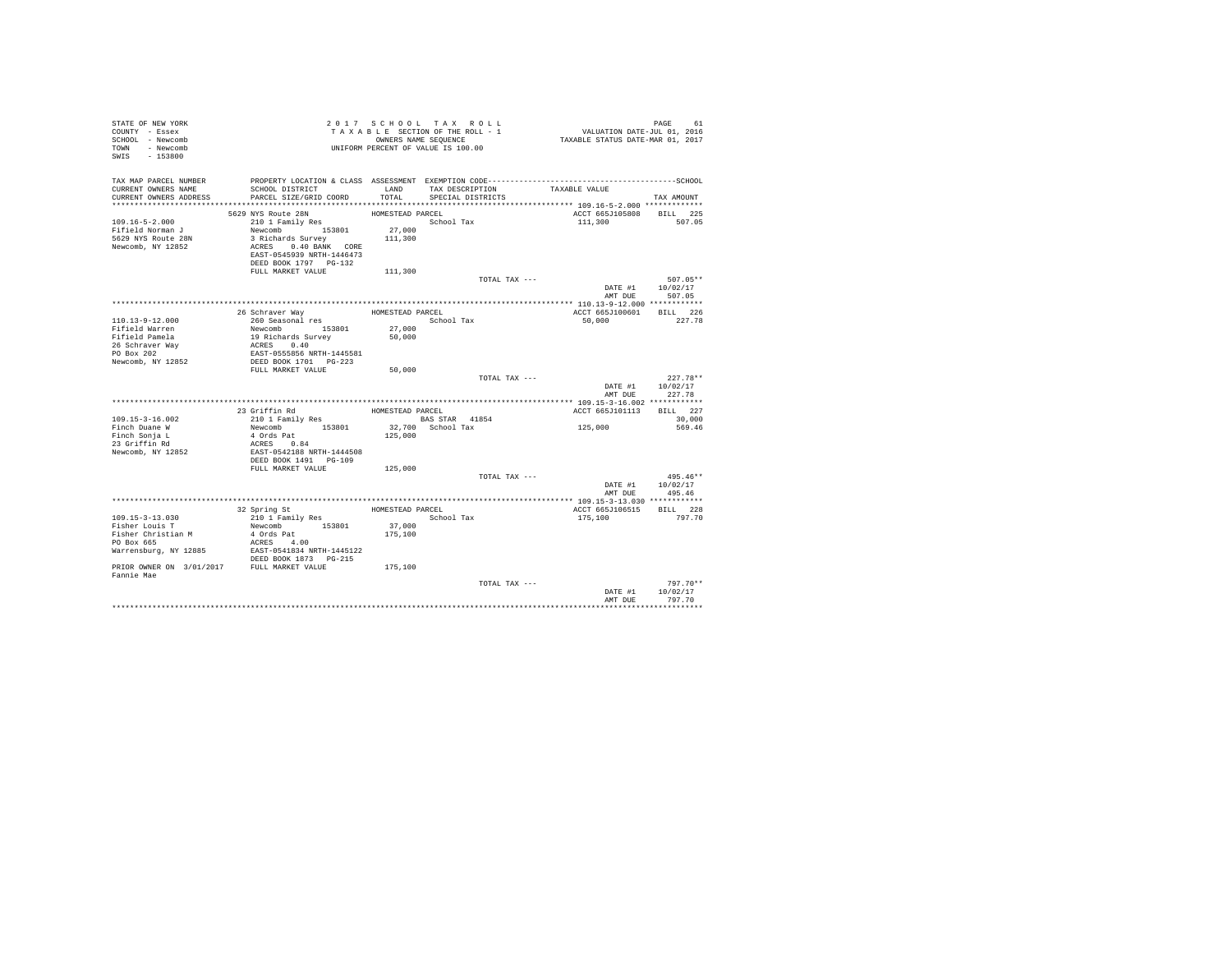| STATE OF NEW YORK<br>COUNTY - Essex<br>SCHOOL - Newcomb<br>TOWN - Newcomb<br>SWIS - 153800                                                   |                                                                                                                                                                                    |                                                  | 2017 SCHOOL TAX ROLL<br>TAXABLE SECTION OF THE ROLL - 1<br>OWNERS NAME SEQUENCE<br>UNIFORM PERCENT OF VALUE IS 100.00 |                                    | PAGE 61<br>VALUATION DATE-JUL 01, 2016<br>TAXABLE STATUS DATE-MAR 01, 2017 |                                          |
|----------------------------------------------------------------------------------------------------------------------------------------------|------------------------------------------------------------------------------------------------------------------------------------------------------------------------------------|--------------------------------------------------|-----------------------------------------------------------------------------------------------------------------------|------------------------------------|----------------------------------------------------------------------------|------------------------------------------|
| TAX MAP PARCEL NUMBER<br>CURRENT OWNERS NAME<br>CURRENT OWNERS ADDRESS                                                                       | SCHOOL DISTRICT<br>PARCEL SIZE/GRID COORD                                                                                                                                          | TOTAL                                            | SPECIAL DISTRICTS                                                                                                     | LAND TAX DESCRIPTION TAXABLE VALUE |                                                                            | TAX AMOUNT                               |
| $109.16 - 5 - 2.000$<br>Fifield Norman J<br>5629 NYS Route 28N<br>Newcomb, NY 12852                                                          | 5629 NYS Route 28N<br>$210$ 1 Family Res<br>Newcomb 153801<br>3 Richards Survey<br>ACRES 0.40 BANK CORE<br>EAST-0545939 NRTH-1446473<br>DEED BOOK 1797 PG-132<br>FULL MARKET VALUE | HOMESTEAD PARCEL<br>27,000<br>111,300<br>111,300 | School Tax                                                                                                            |                                    | ACCT 665J105808 BILL 225<br>111,300                                        | 507.05                                   |
|                                                                                                                                              |                                                                                                                                                                                    |                                                  |                                                                                                                       | TOTAL TAX ---                      | AMT DUR                                                                    | $507.05**$<br>DATE #1 10/02/17<br>507.05 |
| 110.13-9-12.000<br>Fifield Warren<br>Fifield Pamela<br>26 Schraver Way<br>PO Box 202<br>Newcomb, NY 12852                                    | 26 Schraver Way<br>20 SCHTaver Way<br>260 Seasonal res<br>Newcomb 153801<br>19 Richards Survey<br>ACRES 0.40<br>EAST-0555856 NRTH-1445581<br>DEED BOOK 1701 PG-223                 | HOMESTEAD PARCEL<br>27,000<br>50,000             | School Tax                                                                                                            |                                    | ACCT 665J100601<br>50,000                                                  | BILL 226<br>227.78                       |
|                                                                                                                                              | FULL MARKET VALUE                                                                                                                                                                  | 50,000                                           |                                                                                                                       | TOTAL TAX ---                      | AMT DUE                                                                    | $227.78**$<br>DATE #1 10/02/17<br>227.78 |
|                                                                                                                                              |                                                                                                                                                                                    |                                                  |                                                                                                                       |                                    |                                                                            |                                          |
| $109.15 - 3 - 16.002$<br>Finch Duane W<br>Finch Sonja L<br>23 Griffin Rd<br>Newcomb, NY 12852                                                | 23 Griffin Rd<br>210 1 Family Res<br>Newcomb 153801<br>4 Ords Pat<br>ACRES 0.84<br>EAST-0542188 NRTH-1444508<br>DEED BOOK 1491 PG-109                                              | HOMESTEAD PARCEL<br>125,000                      | BAS STAR 41854<br>32,700 School Tax                                                                                   |                                    | ACCT 665J101113 BILL 227<br>125,000                                        | 30,000<br>569.46                         |
|                                                                                                                                              | FULL MARKET VALUE                                                                                                                                                                  | 125,000                                          |                                                                                                                       | TOTAL TAX ---                      |                                                                            | $495.46**$<br>DATE #1 10/02/17           |
| 109.15-3-13.030<br>Fisher Louis T<br>Fisher Christian M<br>PO Box 665<br>Warrensburg, NY 12885<br>PRIOR OWNER ON 3/01/2017 FULL MARKET VALUE | 32 Spring St<br>210 1 Family Res<br>Newcomb 153801<br>4 Ords Pat<br>ACRES 4.00<br>EAST-0541834 NRTH-1445122<br>DEED BOOK 1873 PG-215                                               | 37,000<br>175,100<br>175,100                     | HOMESTEAD PARCEL<br>School Tax                                                                                        |                                    | AMT DUE<br>ACCT 665J106515<br>175,100                                      | 495.46<br>BILL 228<br>797.70             |
| Fannie Mae                                                                                                                                   |                                                                                                                                                                                    |                                                  |                                                                                                                       | TOTAL TAX ---                      | DATE #1<br>AMT DUE                                                         | $797.70**$<br>10/02/17<br>797.70         |
|                                                                                                                                              |                                                                                                                                                                                    |                                                  |                                                                                                                       |                                    |                                                                            |                                          |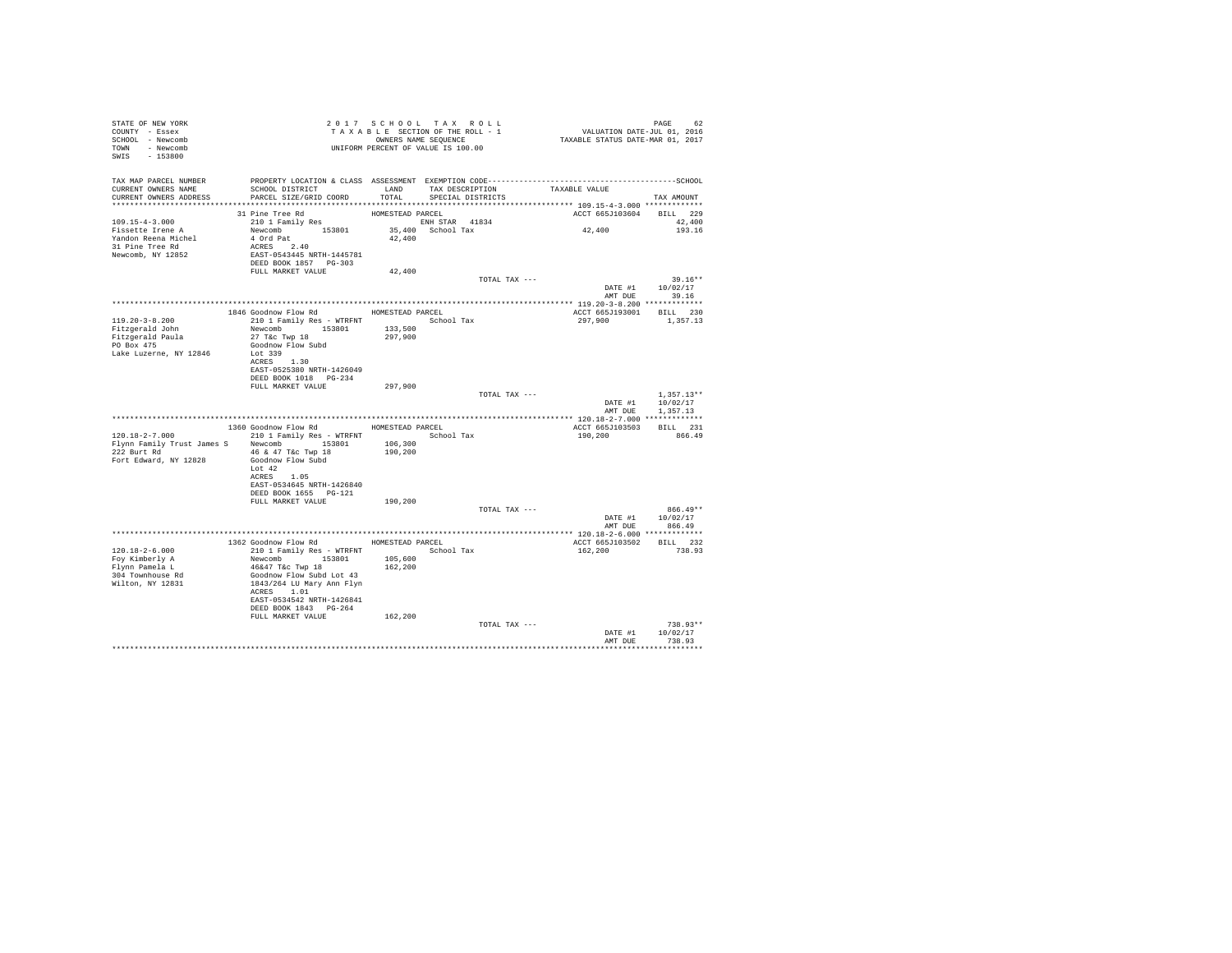| STATE OF NEW YORK                | 2017 SCHOOL TAX ROLL<br>TAXABLE SECTION OF THE ROLL - 1<br>ONNERS NAME SEQUENCE<br>UNIFORM PERCENT OF VALUE IS 100.00                                      |         |                   |                          |                  |
|----------------------------------|------------------------------------------------------------------------------------------------------------------------------------------------------------|---------|-------------------|--------------------------|------------------|
| COUNTY - Essex                   |                                                                                                                                                            |         |                   |                          |                  |
| SCHOOL - Newcomb                 |                                                                                                                                                            |         |                   |                          |                  |
| TOWN - Newcomb                   |                                                                                                                                                            |         |                   |                          |                  |
| SWIS - 153800                    |                                                                                                                                                            |         |                   |                          |                  |
|                                  |                                                                                                                                                            |         |                   |                          |                  |
|                                  |                                                                                                                                                            |         |                   |                          |                  |
|                                  | SCHOOL DISTRICT                       LAND        TAX DESCRIPTION                  TAXABLE VALUE                                                           |         |                   |                          |                  |
| CURRENT OWNERS ADDRESS           | PARCEL SIZE/GRID COORD                                                                                                                                     | TOTAL   | SPECIAL DISTRICTS |                          | TAX AMOUNT       |
|                                  |                                                                                                                                                            |         |                   |                          |                  |
|                                  |                                                                                                                                                            |         |                   | ACCT 665J103604 BILL 229 |                  |
| $109.15 - 4 - 3.000$             |                                                                                                                                                            |         |                   |                          | 42,400           |
| Fissette Irene A                 |                                                                                                                                                            |         |                   | 42,400                   | 193.16           |
| Yandon Reena Michel              |                                                                                                                                                            |         |                   |                          |                  |
| 31 Pine Tree Rd                  |                                                                                                                                                            |         |                   |                          |                  |
| Newcomb, NY 12852                | EAST-0543445 NRTH-1445781                                                                                                                                  |         |                   |                          |                  |
|                                  | DEED BOOK 1857 PG-303                                                                                                                                      |         |                   |                          |                  |
|                                  | FULL MARKET VALUE                                                                                                                                          | 42,400  |                   |                          |                  |
|                                  |                                                                                                                                                            |         | TOTAL TAX ---     |                          | $39.16**$        |
|                                  |                                                                                                                                                            |         |                   |                          | DATE #1 10/02/17 |
|                                  |                                                                                                                                                            |         |                   |                          | AMT DUE 39.16    |
|                                  |                                                                                                                                                            |         |                   |                          |                  |
|                                  | 1846 Goodnow Flow Rd MOMESTEAD PARCEL                                                                                                                      |         |                   | ACCT 665J193001 BILL 230 |                  |
| $119.20 - 3 - 8.200$             | 210 1 Family Res - WTRFNT School Tax                                                                                                                       |         |                   | 297,900 1,357.13         |                  |
| Fitzgerald John                  | Newcomb 153801 133,500<br>27 T&c Twp 18 297,900                                                                                                            |         |                   |                          |                  |
| Fitzgerald Paula<br>PO Box 475   |                                                                                                                                                            |         |                   |                          |                  |
|                                  | Goodnow Flow Subd                                                                                                                                          |         |                   |                          |                  |
| Lake Luzerne, NY 12846           | Lot 339                                                                                                                                                    |         |                   |                          |                  |
|                                  | ACRES 1.30                                                                                                                                                 |         |                   |                          |                  |
|                                  | EAST-0525380 NRTH-1426049                                                                                                                                  |         |                   |                          |                  |
|                                  |                                                                                                                                                            |         |                   |                          |                  |
|                                  | FULL MARKET VALUE 297,900                                                                                                                                  |         | TOTAL TAX ---     |                          | $1,357.13**$     |
|                                  |                                                                                                                                                            |         |                   |                          | DATE #1 10/02/17 |
|                                  |                                                                                                                                                            |         |                   |                          | AMT DUE 1,357.13 |
|                                  |                                                                                                                                                            |         |                   |                          |                  |
|                                  | 1360 Goodnow Flow Rd MOMESTEAD PARCEL                                                                                                                      |         |                   | ACCT 665J103503 BILL 231 |                  |
|                                  | 120.18-2-7.000 210 1 Family Res - WTRFNT School Tax                                                                                                        |         |                   | 190,200 866.49           |                  |
|                                  | Flynn Family Trust James S Newcomb 153801 106,300                                                                                                          |         |                   |                          |                  |
|                                  | 222 Burt Rd 46 & 47 T&C Twp 18                                                                                                                             | 190,200 |                   |                          |                  |
| Fort Edward, NY 12828            | Goodnow Flow Subd                                                                                                                                          |         |                   |                          |                  |
|                                  | Lot 42                                                                                                                                                     |         |                   |                          |                  |
|                                  | ACRES 1.05                                                                                                                                                 |         |                   |                          |                  |
|                                  | EAST-0534645 NRTH-1426840                                                                                                                                  |         |                   |                          |                  |
|                                  | DEED BOOK 1655 PG-121                                                                                                                                      |         |                   |                          |                  |
|                                  | FULL MARKET VALUE                                                                                                                                          | 190,200 |                   |                          |                  |
|                                  |                                                                                                                                                            |         | TOTAL TAX ---     |                          | $866.49**$       |
|                                  |                                                                                                                                                            |         |                   |                          | DATE #1 10/02/17 |
|                                  |                                                                                                                                                            |         |                   | AMT DUE                  | 866.49           |
|                                  |                                                                                                                                                            |         |                   |                          |                  |
|                                  | 1362 Goodnow Flow Rd MOMESTEAD PARCEL                                                                                                                      |         |                   | ACCT 665J103502 BILL 232 |                  |
| $120.18 - 2 - 6.000$             |                                                                                                                                                            |         | School Tax        | 162,200                  | 738.93           |
| Foy Kimberly A<br>Flynn Pamela L |                                                                                                                                                            |         |                   |                          |                  |
| 304 Townhouse Rd                 |                                                                                                                                                            |         |                   |                          |                  |
| Wilton, NY 12831                 | 210 1 Family Res - WTRFNT<br>Newcomb 153801 165,600<br>46647 T4c Twp 18<br>46647 T4c Twp 18<br>1843/264 LM ary Am Flyn<br>ACRES 1.01<br>ACRES 1.01<br>1.01 |         |                   |                          |                  |
|                                  |                                                                                                                                                            |         |                   |                          |                  |
|                                  | EAST-0534542 NRTH-1426841                                                                                                                                  |         |                   |                          |                  |
|                                  | DEED BOOK 1843 PG-264                                                                                                                                      |         |                   |                          |                  |
|                                  | FULL MARKET VALUE                                                                                                                                          | 162,200 |                   |                          |                  |
|                                  |                                                                                                                                                            |         | TOTAL TAX ---     |                          | $738.93**$       |
|                                  |                                                                                                                                                            |         |                   |                          | DATE #1 10/02/17 |
|                                  |                                                                                                                                                            |         |                   |                          | AMT DUE 738.93   |
|                                  |                                                                                                                                                            |         |                   |                          | **********       |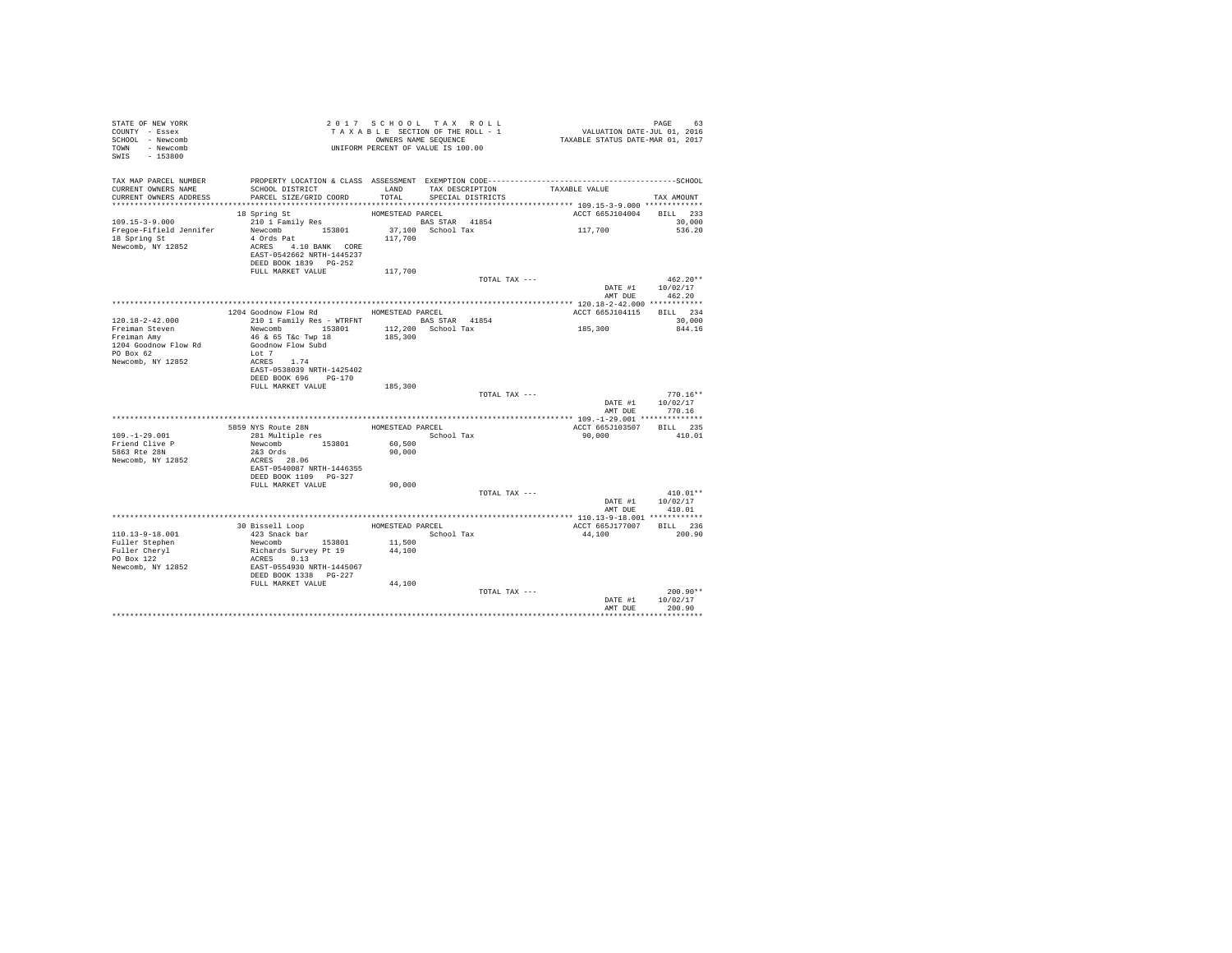| STATE OF NEW YORK<br>COUNTY - Essex<br>SCHOOL - Newcomb<br>TOWN - Newcomb<br>SWIS - 153800 |                                                                                                                                           | 2017 SCHOOL TAX ROLL<br>UNIFORM PERCENT OF VALUE IS 100.00 |            |                                      |               |         | PAGE<br>63                     |  |
|--------------------------------------------------------------------------------------------|-------------------------------------------------------------------------------------------------------------------------------------------|------------------------------------------------------------|------------|--------------------------------------|---------------|---------|--------------------------------|--|
| TAX MAP PARCEL NUMBER<br>CURRENT OWNERS NAME<br>CURRENT OWNERS ADDRESS                     | PROPERTY LOCATION & CLASS ASSESSMENT EXEMPTION CODE-----------------------------------SCHOOL<br>SCHOOL DISTRICT<br>PARCEL SIZE/GRID COORD | LAND<br>TOTAL                                              |            | TAX DESCRIPTION<br>SPECIAL DISTRICTS | TAXABLE VALUE |         | TAX AMOUNT                     |  |
|                                                                                            |                                                                                                                                           |                                                            |            |                                      |               |         |                                |  |
|                                                                                            | 18 Spring St                                                                                                                              | HOMESTEAD PARCEL                                           |            |                                      |               |         | ACCT 665J104004 BILL 233       |  |
| $109.15 - 3 - 9.000$<br>Freqoe-Fifield Jennifer<br>18 Spring St<br>Newcomb, NY 12852       | Newcomb 153801<br>4 Ords Pat<br>ACRES 4.10 BANK CORE<br>EAST-0542662 NRTH-1445237                                                         | 37,100 School Tax<br>117,700                               |            |                                      | 117,700       |         | 30,000<br>536.20               |  |
|                                                                                            | DEED BOOK 1839 PG-252                                                                                                                     |                                                            |            |                                      |               |         |                                |  |
|                                                                                            | FULL MARKET VALUE                                                                                                                         | 117,700                                                    |            |                                      |               |         |                                |  |
|                                                                                            |                                                                                                                                           |                                                            |            | TOTAL TAX ---                        |               |         | $462.20**$<br>DATE #1 10/02/17 |  |
|                                                                                            |                                                                                                                                           |                                                            |            |                                      |               | AMT DUE | 462.20                         |  |
|                                                                                            | 1204 Goodnow Flow Rd MOMESTEAD PARCEL                                                                                                     |                                                            |            |                                      |               |         | ACCT 665J104115 BILL 234       |  |
| $120.18 - 2 - 42.000$                                                                      | 210 1 Family Res - WTRFNT BAS STAR 41854                                                                                                  |                                                            |            |                                      |               |         | 30,000                         |  |
| Freiman Steven                                                                             | Newcomb 153801                                                                                                                            | 112,200 School Tax                                         |            |                                      | 185,300       |         | 844.16                         |  |
| Freiman Amy                                                                                | 46 & 65 T&c Twp 18                                                                                                                        | 185,300                                                    |            |                                      |               |         |                                |  |
| 1204 Goodnow Flow Rd                                                                       | Goodnow Flow Subd                                                                                                                         |                                                            |            |                                      |               |         |                                |  |
| PO Box 62                                                                                  | Lot 7                                                                                                                                     |                                                            |            |                                      |               |         |                                |  |
| Newcomb, NY 12852                                                                          | ACRES 1.74                                                                                                                                |                                                            |            |                                      |               |         |                                |  |
|                                                                                            | EAST-0538039 NRTH-1425402                                                                                                                 |                                                            |            |                                      |               |         |                                |  |
|                                                                                            | DEED BOOK 696 PG-170                                                                                                                      |                                                            |            |                                      |               |         |                                |  |
|                                                                                            | FULL MARKET VALUE                                                                                                                         | 185,300                                                    |            |                                      |               |         |                                |  |
|                                                                                            |                                                                                                                                           |                                                            |            | TOTAL TAX ---                        |               |         | $770.16**$                     |  |
|                                                                                            |                                                                                                                                           |                                                            |            |                                      |               | DATE #1 | 10/02/17                       |  |
|                                                                                            |                                                                                                                                           |                                                            |            |                                      |               | AMT DUE | 770.16                         |  |
|                                                                                            |                                                                                                                                           |                                                            |            |                                      |               |         |                                |  |
|                                                                                            | 5859 NYS Route 28N                                                                                                                        | HOMESTEAD PARCEL                                           |            |                                      |               |         | ACCT 665J103507 BILL 235       |  |
| $109. - 1 - 29.001$                                                                        | 281 Multiple res                                                                                                                          | School Tax                                                 |            |                                      | 90,000        |         | 410.01                         |  |
| Friend Clive P                                                                             | Newcomb 153801                                                                                                                            | 60,500                                                     |            |                                      |               |         |                                |  |
| 5863 Rte 28N                                                                               | 2&3 Ords                                                                                                                                  | 90,000                                                     |            |                                      |               |         |                                |  |
| Newcomb, NY 12852                                                                          | ACRES 28.06<br>EAST-0540087 NRTH-1446355                                                                                                  |                                                            |            |                                      |               |         |                                |  |
|                                                                                            | DEED BOOK 1109 PG-327                                                                                                                     |                                                            |            |                                      |               |         |                                |  |
|                                                                                            | FULL MARKET VALUE                                                                                                                         | 90,000                                                     |            |                                      |               |         |                                |  |
|                                                                                            |                                                                                                                                           |                                                            |            | TOTAL TAX ---                        |               |         | $410.01**$                     |  |
|                                                                                            |                                                                                                                                           |                                                            |            |                                      |               | DATE #1 | 10/02/17                       |  |
|                                                                                            |                                                                                                                                           |                                                            |            |                                      |               | AMT DUE | 410.01                         |  |
|                                                                                            |                                                                                                                                           |                                                            |            |                                      |               |         |                                |  |
|                                                                                            |                                                                                                                                           |                                                            |            |                                      |               |         | ACCT 665J177007 BILL 236       |  |
| $110.13 - 9 - 18.001$                                                                      | ${\small \begin{tabular}{ll} \bf 30~Bissell\ Loop & \tt HOMESTBAD \ PARCH \\ \bf 423~Shack\ bar & \tt School \end{tabular}}$              |                                                            | School Tax |                                      | 44,100        |         | 200.90                         |  |
| Fuller Stephen                                                                             | Newcomb 153801 11,500                                                                                                                     |                                                            |            |                                      |               |         |                                |  |
| Fuller Cheryl                                                                              | Richards Survey Pt 19                                                                                                                     | 44,100                                                     |            |                                      |               |         |                                |  |
| PO Box 122                                                                                 | ACRES 0.13                                                                                                                                |                                                            |            |                                      |               |         |                                |  |
| Newcomb, NY 12852                                                                          | EAST-0554930 NRTH-1445067                                                                                                                 |                                                            |            |                                      |               |         |                                |  |
|                                                                                            | DEED BOOK 1338 PG-227                                                                                                                     |                                                            |            |                                      |               |         |                                |  |
|                                                                                            | FULL MARKET VALUE                                                                                                                         | 44,100                                                     |            |                                      |               |         |                                |  |
|                                                                                            |                                                                                                                                           |                                                            |            | TOTAL TAX ---                        |               |         | $200.90**$                     |  |
|                                                                                            |                                                                                                                                           |                                                            |            |                                      |               | DATE #1 | 10/02/17                       |  |
|                                                                                            |                                                                                                                                           |                                                            |            |                                      |               | AMT DUE | 200.90                         |  |
|                                                                                            |                                                                                                                                           |                                                            |            |                                      |               |         |                                |  |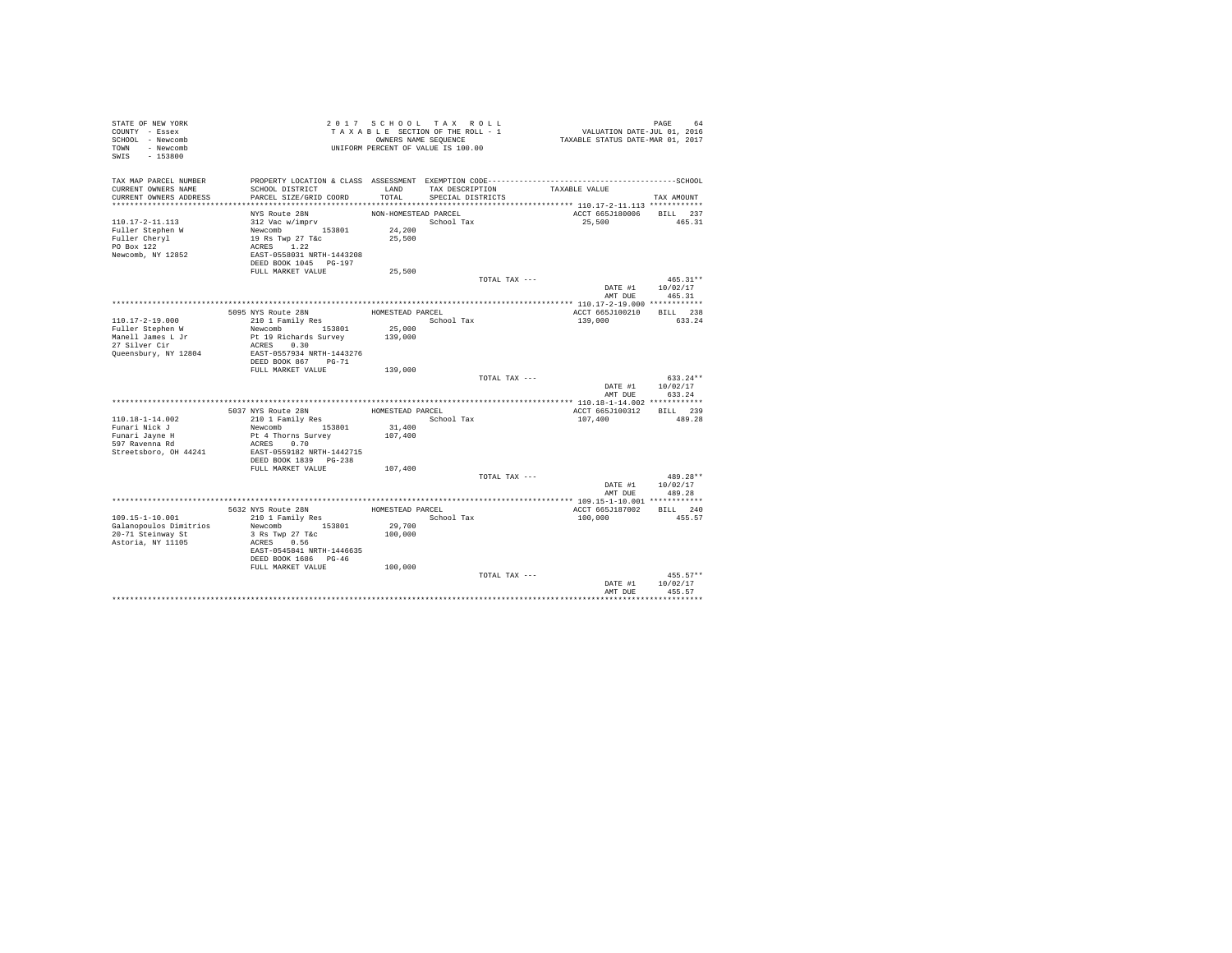| STATE OF NEW YORK<br>COUNTY - Essex<br>SCHOOL - Newcomb<br>TOWN - Newcomb<br>SWIS<br>$-153800$ |                                                                                                                           |                      | 2017 SCHOOL TAX ROLL<br>TAXABLE SECTION OF THE ROLL - 1<br>OWNERS NAME SEQUENCE<br>UNIFORM PERCENT OF VALUE IS 100.00 | PAGE 64<br>VALUATION DATE-JUL 01, 2016<br>TAXABLE STATUS DATE-MAR 01, 2017 |                                          |
|------------------------------------------------------------------------------------------------|---------------------------------------------------------------------------------------------------------------------------|----------------------|-----------------------------------------------------------------------------------------------------------------------|----------------------------------------------------------------------------|------------------------------------------|
| TAX MAP PARCEL NUMBER<br>CURRENT OWNERS NAME                                                   | SCHOOL DISTRICT                                                                                                           | LAND                 | TAX DESCRIPTION                                                                                                       | TAXABLE VALUE                                                              |                                          |
| CURRENT OWNERS ADDRESS                                                                         | PARCEL SIZE/GRID COORD                                                                                                    | TOTAL                | SPECIAL DISTRICTS                                                                                                     |                                                                            | TAX AMOUNT                               |
|                                                                                                | NYS Route 28N                                                                                                             | NON-HOMESTEAD PARCEL |                                                                                                                       | ACCT 665J180006 BILL 237                                                   |                                          |
| 110.17-2-11.113<br>Fuller Stephen W<br>Fuller Cheryl<br>PO Box 122<br>Newcomb, NY 12852        | 312 Vac w/imprv<br>Newcomb 153801<br>19 Rs Twp 27 T&c<br>ACRES 1.22<br>EAST-0558031 NRTH-1443208<br>DEED BOOK 1045 PG-197 | 24,200<br>25,500     | School Tax                                                                                                            | 25,500                                                                     | 465.31                                   |
|                                                                                                | FULL MARKET VALUE                                                                                                         | 25,500               |                                                                                                                       |                                                                            |                                          |
|                                                                                                |                                                                                                                           |                      | TOTAL TAX ---                                                                                                         | AMT DUE                                                                    | $465.31**$<br>DATE #1 10/02/17<br>465.31 |
|                                                                                                |                                                                                                                           |                      |                                                                                                                       |                                                                            |                                          |
|                                                                                                | 5095 NYS Route 28N                                                                                                        | HOMESTEAD PARCEL     |                                                                                                                       | ACCT 665J100210                                                            | BILL 238                                 |
| $110.17 - 2 - 19.000$                                                                          | 210 1 Family Res                                                                                                          |                      | School Tax                                                                                                            | 139,000                                                                    | 633.24                                   |
| Fuller Stephen W                                                                               | Newcomb 153801                                                                                                            | 25,000               |                                                                                                                       |                                                                            |                                          |
| Manell James L Jr                                                                              | Pt 19 Richards Survey<br>ACRES 0.30                                                                                       | 139,000              |                                                                                                                       |                                                                            |                                          |
| 27 Silver Cir<br>Queensbury, NY 12804                                                          | EAST-0557934 NRTH-1443276                                                                                                 |                      |                                                                                                                       |                                                                            |                                          |
|                                                                                                | DEED BOOK 867 PG-71                                                                                                       |                      |                                                                                                                       |                                                                            |                                          |
|                                                                                                | FULL MARKET VALUE                                                                                                         | 139,000              |                                                                                                                       |                                                                            |                                          |
|                                                                                                |                                                                                                                           |                      | TOTAL TAX ---                                                                                                         |                                                                            | $633.24**$                               |
|                                                                                                |                                                                                                                           |                      |                                                                                                                       | DATE #1                                                                    | 10/02/17                                 |
|                                                                                                |                                                                                                                           |                      |                                                                                                                       | AMT DUR                                                                    | 633.24                                   |
|                                                                                                |                                                                                                                           |                      |                                                                                                                       |                                                                            |                                          |
|                                                                                                | 5037 NYS Route 28N                                                                                                        | HOMESTEAD PARCEL     |                                                                                                                       | ACCT 665J100312                                                            | BILL 239<br>489.28                       |
| 110.18-1-14.002<br>Funari Nick J                                                               | 210 1 Family Res<br>Newcomb 153801                                                                                        | 31,400               | School Tax                                                                                                            | 107,400                                                                    |                                          |
| Funari Javne H                                                                                 | Pt 4 Thorns Survey                                                                                                        | 107,400              |                                                                                                                       |                                                                            |                                          |
| $597$ Ravenna Rd                                                                               | ACRES 0.70                                                                                                                |                      |                                                                                                                       |                                                                            |                                          |
| Streetsboro, OH 44241                                                                          | EAST-0559182 NRTH-1442715                                                                                                 |                      |                                                                                                                       |                                                                            |                                          |
|                                                                                                | DEED BOOK 1839 PG-238                                                                                                     |                      |                                                                                                                       |                                                                            |                                          |
|                                                                                                | FULL MARKET VALUE                                                                                                         | 107,400              |                                                                                                                       |                                                                            |                                          |
|                                                                                                |                                                                                                                           |                      | TOTAL TAX ---                                                                                                         |                                                                            | $489.28**$                               |
|                                                                                                |                                                                                                                           |                      |                                                                                                                       | DATE #1<br>AMT DUE                                                         | 10/02/17<br>489.28                       |
|                                                                                                |                                                                                                                           |                      |                                                                                                                       |                                                                            |                                          |
|                                                                                                | 5632 NYS Route 28N                                                                                                        | HOMESTEAD PARCEL     |                                                                                                                       | ACCT 665J187002                                                            | BILL 240                                 |
| $109.15 - 1 - 10.001$                                                                          | 210 1 Family Res                                                                                                          |                      | School Tax                                                                                                            | 100,000                                                                    | 455.57                                   |
| Galanopoulos Dimitrios<br>20-71 Steinway St<br>Astoria, NY 11105                               | Newcomb 153801<br>3 Rs Twp 27 T&c<br>ACRES 0.56<br>EAST-0545841 NRTH-1446635<br>DEED BOOK 1686 PG-46                      | 29,700<br>100,000    |                                                                                                                       |                                                                            |                                          |
|                                                                                                | FULL MARKET VALUE                                                                                                         | 100,000              |                                                                                                                       |                                                                            |                                          |
|                                                                                                |                                                                                                                           |                      | TOTAL TAX ---                                                                                                         |                                                                            | $455.57**$                               |
|                                                                                                |                                                                                                                           |                      |                                                                                                                       | DATE #1                                                                    | 10/02/17                                 |
|                                                                                                |                                                                                                                           |                      |                                                                                                                       | AMT DUE                                                                    | 455.57                                   |
|                                                                                                |                                                                                                                           |                      |                                                                                                                       |                                                                            |                                          |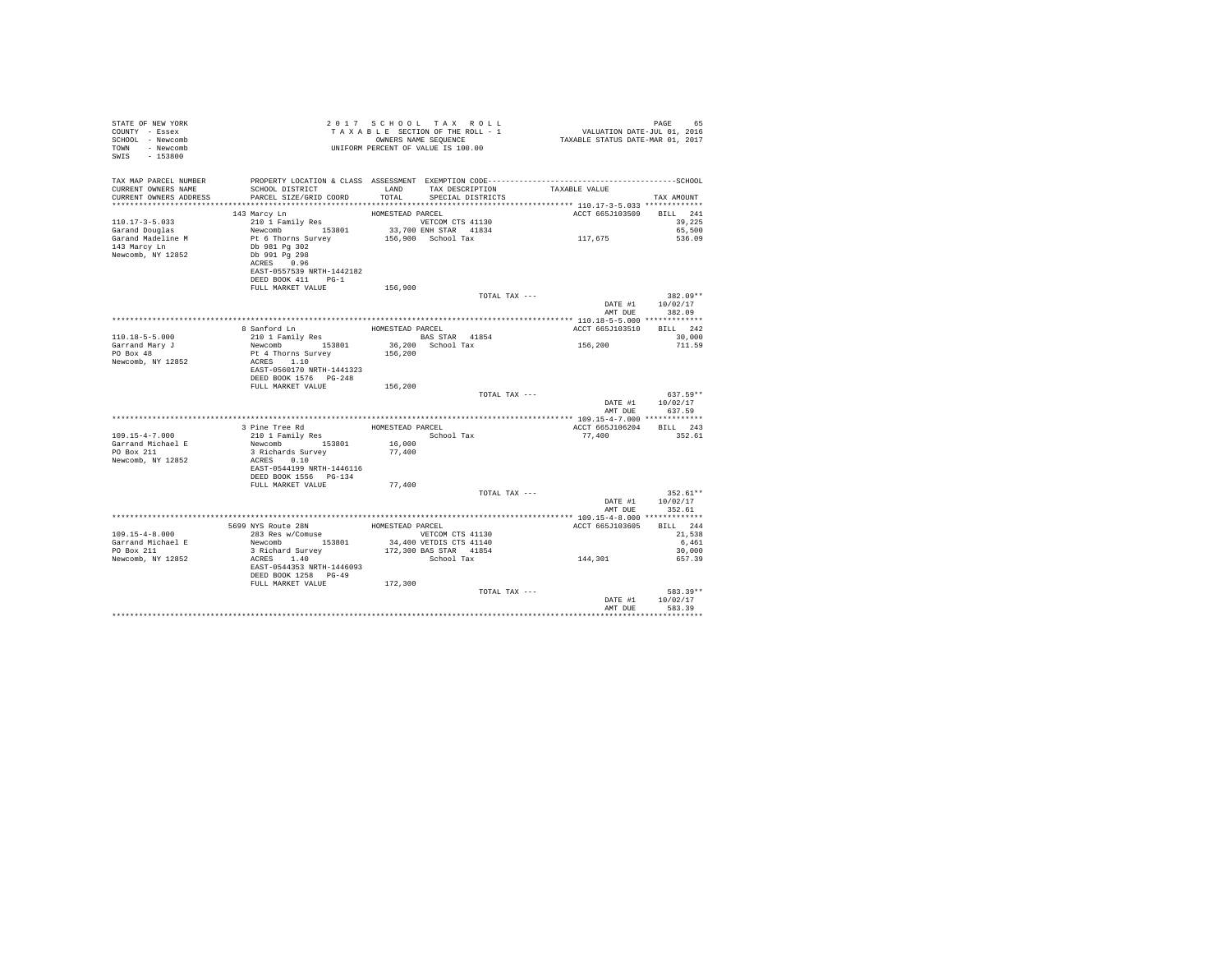| STATE OF NEW YORK<br>COUNTY - Essex<br>SCHOOL - Newcomb<br>TOWN - Newcomb<br>SWIS - 153800 | UNIFORM PERCENT OF VALUE IS 100.00                                                              |                  | 2017 SCHOOL TAX ROLL                      |                          | PAGE                                             |
|--------------------------------------------------------------------------------------------|-------------------------------------------------------------------------------------------------|------------------|-------------------------------------------|--------------------------|--------------------------------------------------|
| TAX MAP PARCEL NUMBER<br>CURRENT OWNERS NAME<br>CURRENT OWNERS ADDRESS                     | SCHOOL DISTRICT<br>PARCEL SIZE/GRID COORD                                                       | TOTAL            | LAND TAX DESCRIPTION<br>SPECIAL DISTRICTS | TAXABLE VALUE            | TAX AMOUNT                                       |
|                                                                                            | 143 Marcy Ln                                                                                    | HOMESTEAD PARCEL |                                           | ACCT 665J103509 BILL 241 |                                                  |
| $110.17 - 3 - 5.033$<br>Garand Douglas<br>Garand Madeline M                                | 210 1 Family Res<br>Newcomb 153801 33,700 ENH STAR 41834<br>Pt 6 Thorns Survey                  |                  | 156,900 School Tax                        | 117,675                  | 39,225<br>65,500<br>536.09                       |
| 143 Marcy Ln<br>Newcomb, NY 12852                                                          | Db 981 Pg 302<br>Db 991 Pg 298<br>ACRES 0.96<br>EAST-0557539 NRTH-1442182<br>DEED BOOK 411 PG-1 |                  |                                           |                          |                                                  |
|                                                                                            | FULL MARKET VALUE                                                                               | 156,900          |                                           |                          |                                                  |
|                                                                                            |                                                                                                 |                  | TOTAL TAX ---                             | AMT DUR                  | $382.09**$<br>DATE #1 10/02/17<br>382.09         |
|                                                                                            |                                                                                                 |                  |                                           |                          |                                                  |
| $110.18 - 5 - 5.000$                                                                       | 8 Sanford Ln HOMESTEAD PARCEL<br>210 1 Family Res                                               |                  | BAS STAR 41854                            | ACCT 665J103510 BILL 242 | 30,000                                           |
| Garrand Mary J                                                                             | Newcomb 153801 36,200 School Tax                                                                |                  |                                           | 156,200                  | 711.59                                           |
| PO Box 48                                                                                  | Pt 4 Thorns Survey                                                                              | 156,200          |                                           |                          |                                                  |
| Newcomb, NY 12852                                                                          | ACRES 1.10<br>EAST-0560170 NRTH-1441323<br>DEED BOOK 1576    PG-248                             |                  |                                           |                          |                                                  |
|                                                                                            | FULL MARKET VALUE                                                                               | 156,200          |                                           |                          |                                                  |
|                                                                                            |                                                                                                 |                  | TOTAL TAX ---                             |                          | $637.59**$<br>DATE #1 10/02/17<br>AMT DUE 637.59 |
|                                                                                            |                                                                                                 |                  |                                           |                          |                                                  |
|                                                                                            | 3 Pine Tree Rd<br>210 1 Family Res                                                              | HOMESTEAD PARCEL |                                           | ACCT 665J106204 BILL 243 |                                                  |
| $109.15 - 4 - 7.000$                                                                       |                                                                                                 | School Tax       |                                           | 77,400                   | 352.61                                           |
| Garrand Michael E<br>PO Box 211<br>Newcomb, NY 12852                                       | Newcomb 153801<br>3 Richards Survey<br>ACRES 0.10                                               | 16,000<br>77,400 |                                           |                          |                                                  |
|                                                                                            | EAST-0544199 NRTH-1446116<br>DEED BOOK 1556 PG-134                                              |                  |                                           |                          |                                                  |
|                                                                                            | FULL MARKET VALUE                                                                               | 77,400           |                                           |                          |                                                  |
|                                                                                            |                                                                                                 |                  | TOTAL TAX ---                             | DATE #1<br>AMT DUE       | $352.61**$<br>10/02/17<br>352.61                 |
|                                                                                            |                                                                                                 |                  |                                           | ACCT 665J103605 BILL 244 |                                                  |
| $109.15 - 4 - 8.000$                                                                       | 5699 NYS Route 28N<br>283 Res w/Comuse                                                          | HOMESTEAD PARCEL | VETCOM CTS 41130                          |                          | 21,538                                           |
| Garrand Michael E                                                                          | Newcomb 153801 34,400 VETDIS CTS 41140                                                          |                  |                                           |                          | 6,461                                            |
| PO Box 211                                                                                 | 3 Richard Survey<br>ACRES 1.40                                                                  |                  | 172,300 BAS STAR 41854                    |                          | 30,000                                           |
| Newcomb, NY 12852                                                                          | EAST-0544353 NRTH-1446093<br>DEED BOOK 1258 PG-49                                               |                  | School Tax                                | 144,301                  | 657.39                                           |
|                                                                                            | FULL MARKET VALUE                                                                               | 172,300          |                                           |                          |                                                  |
|                                                                                            |                                                                                                 |                  | TOTAL TAX ---                             | DATE #1                  | 583.39**<br>10/02/17<br>583.39                   |
|                                                                                            |                                                                                                 |                  |                                           | AMT DUE                  |                                                  |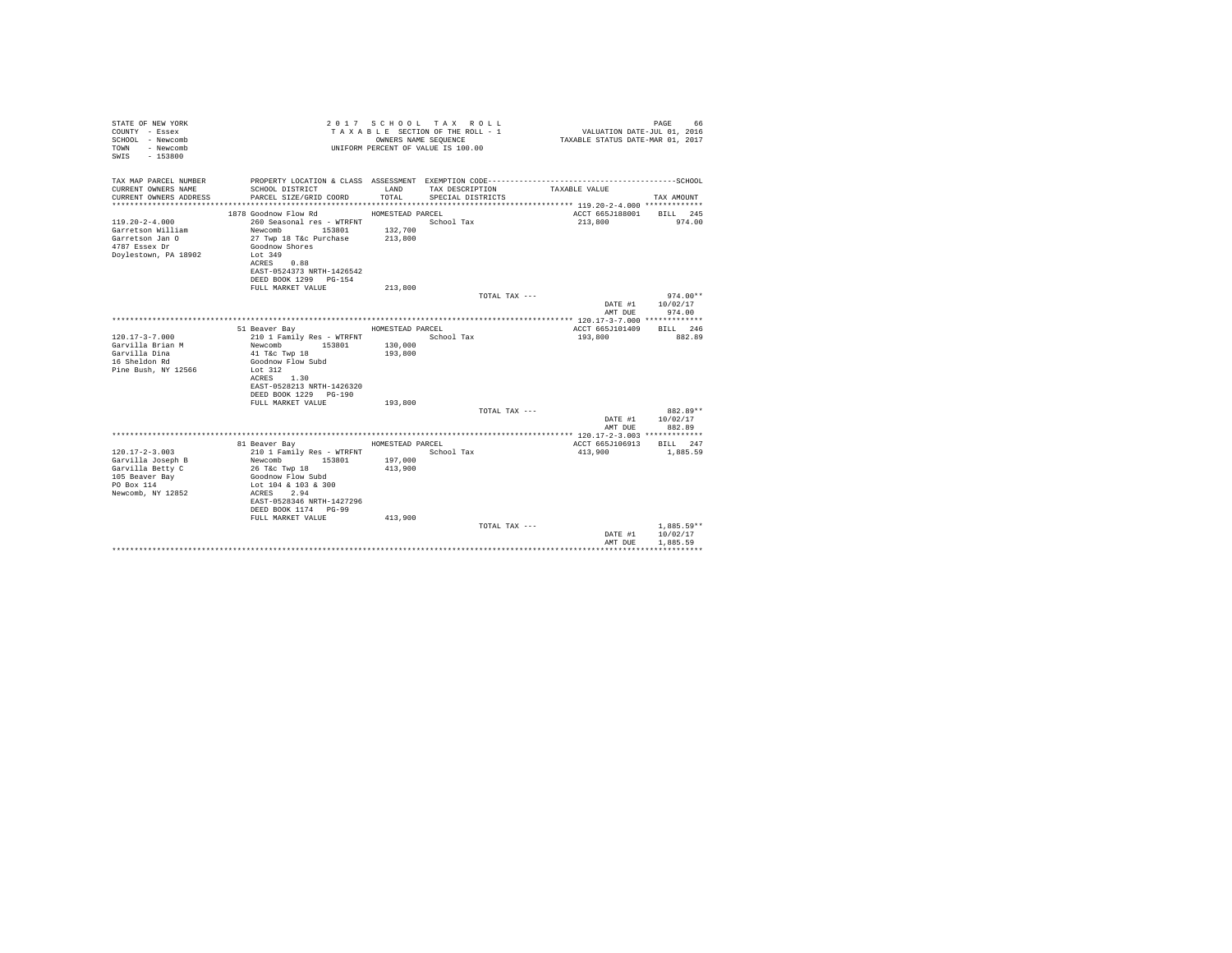| STATE OF NEW YORK<br>COUNTY - Essex<br>SCHOOL - Newcomb<br>- Newcomb<br>TOWN<br>$-153800$<br>SWTS |                                                    | OWNERS NAME SEQUENCE | 2017 SCHOOL TAX ROLL<br>TAXABLE SECTION OF THE ROLL - 1<br>UNIFORM PERCENT OF VALUE IS 100.00 | VALUATION DATE-JUL 01, 2016<br>TAXABLE STATUS DATE-MAR 01, 2017 | PAGE<br>66               |
|---------------------------------------------------------------------------------------------------|----------------------------------------------------|----------------------|-----------------------------------------------------------------------------------------------|-----------------------------------------------------------------|--------------------------|
| TAX MAP PARCEL NUMBER                                                                             |                                                    |                      |                                                                                               |                                                                 |                          |
| CURRENT OWNERS NAME<br>CURRENT OWNERS ADDRESS                                                     | SCHOOL DISTRICT<br>PARCEL SIZE/GRID COORD          | LAND<br>TOTAL.       | TAX DESCRIPTION<br>SPECIAL DISTRICTS                                                          | TAXABLE VALUE                                                   | TAX AMOUNT               |
|                                                                                                   |                                                    |                      |                                                                                               |                                                                 |                          |
|                                                                                                   | 1878 Goodnow Flow Rd                               | HOMESTEAD PARCEL     |                                                                                               | ACCT 665J188001                                                 | BILL 245                 |
| $119.20 - 2 - 4.000$                                                                              | 260 Seasonal res - WTRFNT                          |                      | School Tax                                                                                    | 213,800                                                         | 974.00                   |
| Garretson William<br>Garretson Jan O                                                              | Newcomb 153801<br>27 Twp 18 T&c Purchase           | 132,700<br>213,800   |                                                                                               |                                                                 |                          |
| 4787 Essex Dr                                                                                     | Goodnow Shores                                     |                      |                                                                                               |                                                                 |                          |
| Dovlestown, PA 18902                                                                              | Lot 349                                            |                      |                                                                                               |                                                                 |                          |
|                                                                                                   | ACRES 0.88                                         |                      |                                                                                               |                                                                 |                          |
|                                                                                                   | EAST-0524373 NRTH-1426542<br>DEED BOOK 1299 PG-154 |                      |                                                                                               |                                                                 |                          |
|                                                                                                   | FULL MARKET VALUE                                  | 213,800              |                                                                                               |                                                                 |                          |
|                                                                                                   |                                                    |                      | TOTAL TAX ---                                                                                 |                                                                 | $974.00**$               |
|                                                                                                   |                                                    |                      |                                                                                               | DATE #1                                                         | 10/02/17                 |
|                                                                                                   |                                                    |                      |                                                                                               | AMT DUE                                                         | 974.00                   |
|                                                                                                   | 51 Beaver Bay                                      | HOMESTEAD PARCEL     |                                                                                               | ACCT 665J101409                                                 | RTLL 246                 |
| $120.17 - 3 - 7.000$                                                                              | 210 1 Family Res - WTRFNT                          |                      | School Tax                                                                                    | 193,800                                                         | 882.89                   |
| Garvilla Brian M                                                                                  | Newcomb<br>153801                                  | 130,000              |                                                                                               |                                                                 |                          |
| Garvilla Dina<br>16 Sheldon Rd                                                                    | 41 T&c Twp 18<br>Goodnow Flow Subd                 | 193,800              |                                                                                               |                                                                 |                          |
| Pine Bush, NY 12566                                                                               | Lot 312                                            |                      |                                                                                               |                                                                 |                          |
|                                                                                                   | ACRES 1.30                                         |                      |                                                                                               |                                                                 |                          |
|                                                                                                   | EAST-0528213 NRTH-1426320                          |                      |                                                                                               |                                                                 |                          |
|                                                                                                   | DEED BOOK 1229 PG-190<br>FULL MARKET VALUE         | 193,800              |                                                                                               |                                                                 |                          |
|                                                                                                   |                                                    |                      | TOTAL TAX ---                                                                                 |                                                                 | 882.89**                 |
|                                                                                                   |                                                    |                      |                                                                                               | DATE #1                                                         | 10/02/17                 |
|                                                                                                   |                                                    |                      |                                                                                               | AMT DUE                                                         | 882.89                   |
|                                                                                                   | 81 Beaver Bay                                      | HOMESTEAD PARCEL     |                                                                                               | ACCT 665J106913                                                 | BILL 247                 |
| $120.17 - 2 - 3.003$                                                                              | 210 1 Family Res - WTRFNT                          |                      | School Tax                                                                                    | 413,900                                                         | 1,885.59                 |
| Garvilla Joseph B                                                                                 | Newcomb<br>153801                                  | 197,000              |                                                                                               |                                                                 |                          |
| Garvilla Betty C                                                                                  | 26 T&c Twp 18                                      | 413,900              |                                                                                               |                                                                 |                          |
| 105 Beaver Bay                                                                                    | Goodnow Flow Subd                                  |                      |                                                                                               |                                                                 |                          |
| PO Box 114<br>Newcomb, NY 12852                                                                   | Lot 104 & 103 & 300<br>ACRES 2.94                  |                      |                                                                                               |                                                                 |                          |
|                                                                                                   | EAST-0528346 NRTH-1427296                          |                      |                                                                                               |                                                                 |                          |
|                                                                                                   | DEED BOOK 1174 PG-99                               |                      |                                                                                               |                                                                 |                          |
|                                                                                                   | FULL MARKET VALUE                                  | 413,900              |                                                                                               |                                                                 |                          |
|                                                                                                   |                                                    |                      | TOTAL TAX ---                                                                                 | DATE #1                                                         | $1.885.59**$<br>10/02/17 |
|                                                                                                   |                                                    |                      |                                                                                               | AMT DUE                                                         | 1,885.59                 |
|                                                                                                   |                                                    |                      |                                                                                               |                                                                 |                          |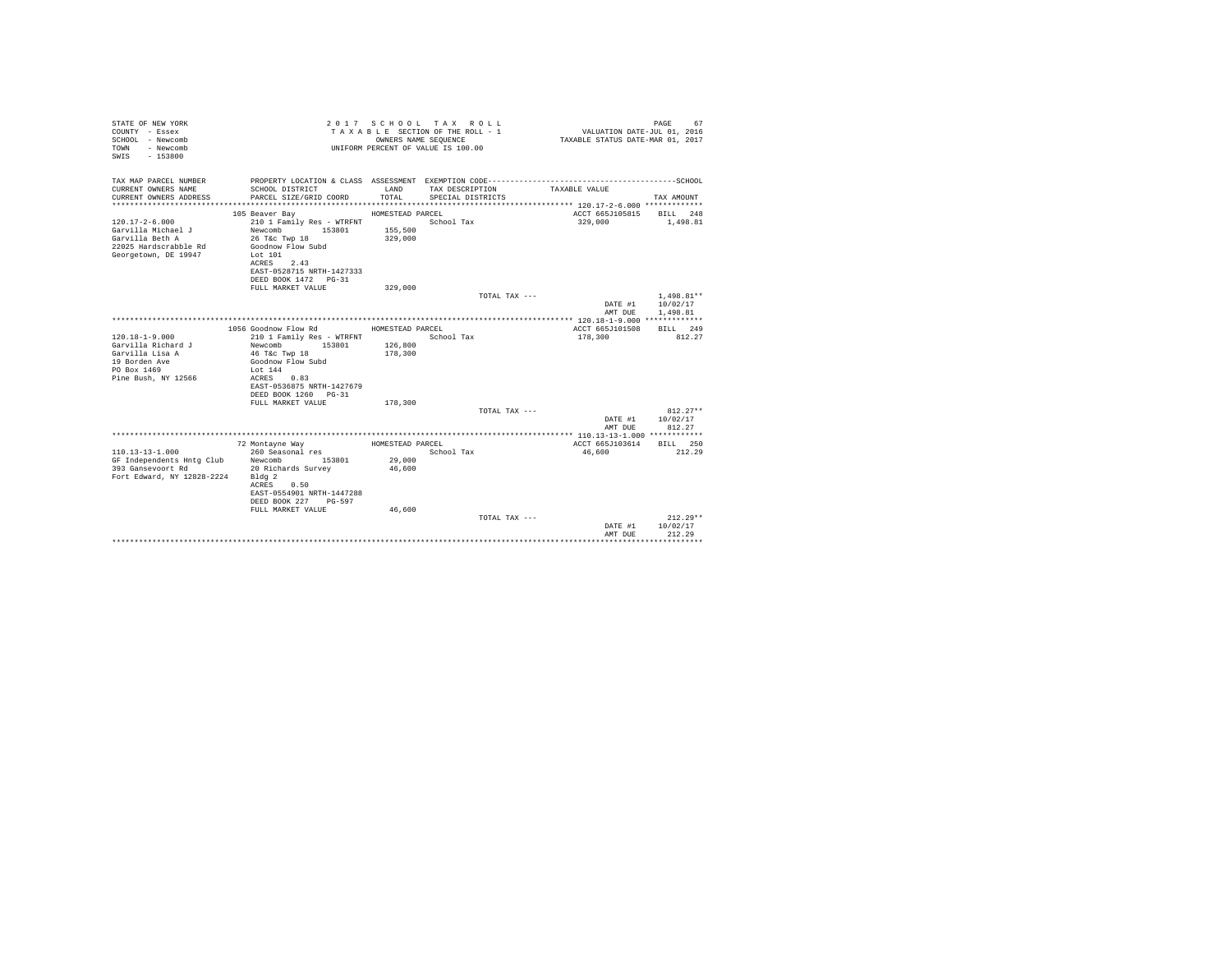| STATE OF NEW YORK<br>COUNTY - Essex<br>SCHOOL - Newcomb<br>- Newcomb<br>TOWN<br>$-153800$<br>SWIS |                                           |                  | 2017 SCHOOL TAX ROLL<br>TAXABLE SECTION OF THE ROLL - 1<br>OWNERS NAME SEQUENCE<br>UNIFORM PERCENT OF VALUE IS 100.00 | VALUATION DATE-JUL 01, 2016<br>TAXABLE STATUS DATE-MAR 01, 2017 | PAGE<br>67       |
|---------------------------------------------------------------------------------------------------|-------------------------------------------|------------------|-----------------------------------------------------------------------------------------------------------------------|-----------------------------------------------------------------|------------------|
| TAX MAP PARCEL NUMBER                                                                             |                                           | LAND             | TAX DESCRIPTION                                                                                                       | TAXABLE VALUE                                                   |                  |
| CURRENT OWNERS NAME<br>CURRENT OWNERS ADDRESS                                                     | SCHOOL DISTRICT<br>PARCEL SIZE/GRID COORD | TOTAL            | SPECIAL DISTRICTS                                                                                                     |                                                                 | TAX AMOUNT       |
|                                                                                                   |                                           |                  |                                                                                                                       |                                                                 |                  |
|                                                                                                   | 105 Beaver Bay                            | HOMESTEAD PARCEL |                                                                                                                       | ACCT 665J105815 BILL 248                                        |                  |
| $120.17 - 2 - 6.000$                                                                              | 210 1 Family Res - WTRFNT                 |                  | School Tax                                                                                                            | 329,000                                                         | 1,498.81         |
| Garvilla Michael J                                                                                | Newcomb 153801                            | 155,500          |                                                                                                                       |                                                                 |                  |
| Garvilla Beth A                                                                                   | 26 T&C Twp 18                             | 329,000          |                                                                                                                       |                                                                 |                  |
| 22025 Hardscrabble Rd                                                                             | Goodnow Flow Subd                         |                  |                                                                                                                       |                                                                 |                  |
| Georgetown, DE 19947                                                                              | Lot 101<br>ACRES 2.43                     |                  |                                                                                                                       |                                                                 |                  |
|                                                                                                   | EAST-0528715 NRTH-1427333                 |                  |                                                                                                                       |                                                                 |                  |
|                                                                                                   | DEED BOOK 1472 PG-31                      |                  |                                                                                                                       |                                                                 |                  |
|                                                                                                   | FULL MARKET VALUE                         | 329,000          |                                                                                                                       |                                                                 |                  |
|                                                                                                   |                                           |                  | TOTAL TAX ---                                                                                                         |                                                                 | $1.498.81**$     |
|                                                                                                   |                                           |                  |                                                                                                                       | DATE #1                                                         | 10/02/17         |
|                                                                                                   |                                           |                  |                                                                                                                       | AMT DUE                                                         | 1,498.81         |
|                                                                                                   | 1056 Goodnow Flow Rd                      | HOMESTEAD PARCEL |                                                                                                                       | ACCT 665J101508 BILL 249                                        |                  |
| $120.18 - 1 - 9.000$                                                                              | 210 1 Family Res - WTRFNT                 |                  | School Tax                                                                                                            | 178,300                                                         | 812.27           |
| Garvilla Richard J                                                                                | 153801<br>Newcomb                         | 126,800          |                                                                                                                       |                                                                 |                  |
| Garvilla Lisa A                                                                                   | 46 T&c Twp 18                             | 178,300          |                                                                                                                       |                                                                 |                  |
| 19 Borden Ave                                                                                     | Goodnow Flow Subd                         |                  |                                                                                                                       |                                                                 |                  |
| PO Box 1469<br>Pine Bush, NY 12566                                                                | Lot 144<br>ACRES 0.83                     |                  |                                                                                                                       |                                                                 |                  |
|                                                                                                   | EAST-0536875 NRTH-1427679                 |                  |                                                                                                                       |                                                                 |                  |
|                                                                                                   | DEED BOOK 1260 PG-31                      |                  |                                                                                                                       |                                                                 |                  |
|                                                                                                   | FULL MARKET VALUE                         | 178,300          |                                                                                                                       |                                                                 |                  |
|                                                                                                   |                                           |                  | TOTAL TAX ---                                                                                                         |                                                                 | $812.27**$       |
|                                                                                                   |                                           |                  |                                                                                                                       |                                                                 | DATE #1 10/02/17 |
|                                                                                                   |                                           |                  |                                                                                                                       | AMT DUE                                                         | 812.27           |
|                                                                                                   | 72 Montavne Wav                           | HOMESTEAD PARCEL |                                                                                                                       | ACCT 665J103614                                                 | BILL 250         |
|                                                                                                   |                                           |                  | School Tax                                                                                                            | 46,600                                                          | 212.29           |
|                                                                                                   |                                           | 29,000           |                                                                                                                       |                                                                 |                  |
|                                                                                                   |                                           | 46,600           |                                                                                                                       |                                                                 |                  |
| Fort Edward, NY 12828-2224 Bldg 2                                                                 |                                           |                  |                                                                                                                       |                                                                 |                  |
|                                                                                                   | ACRES 0.50<br>EAST-0554901 NRTH-1447288   |                  |                                                                                                                       |                                                                 |                  |
|                                                                                                   | DEED BOOK 227 PG-597                      |                  |                                                                                                                       |                                                                 |                  |
|                                                                                                   | FULL MARKET VALUE                         | 46,600           |                                                                                                                       |                                                                 |                  |
|                                                                                                   |                                           |                  | TOTAL TAX ---                                                                                                         |                                                                 | $212.29**$       |
|                                                                                                   |                                           |                  |                                                                                                                       | DATE #1                                                         | 10/02/17         |
|                                                                                                   |                                           |                  |                                                                                                                       | AMT DUE                                                         | 212.29<br>       |
|                                                                                                   |                                           |                  |                                                                                                                       |                                                                 |                  |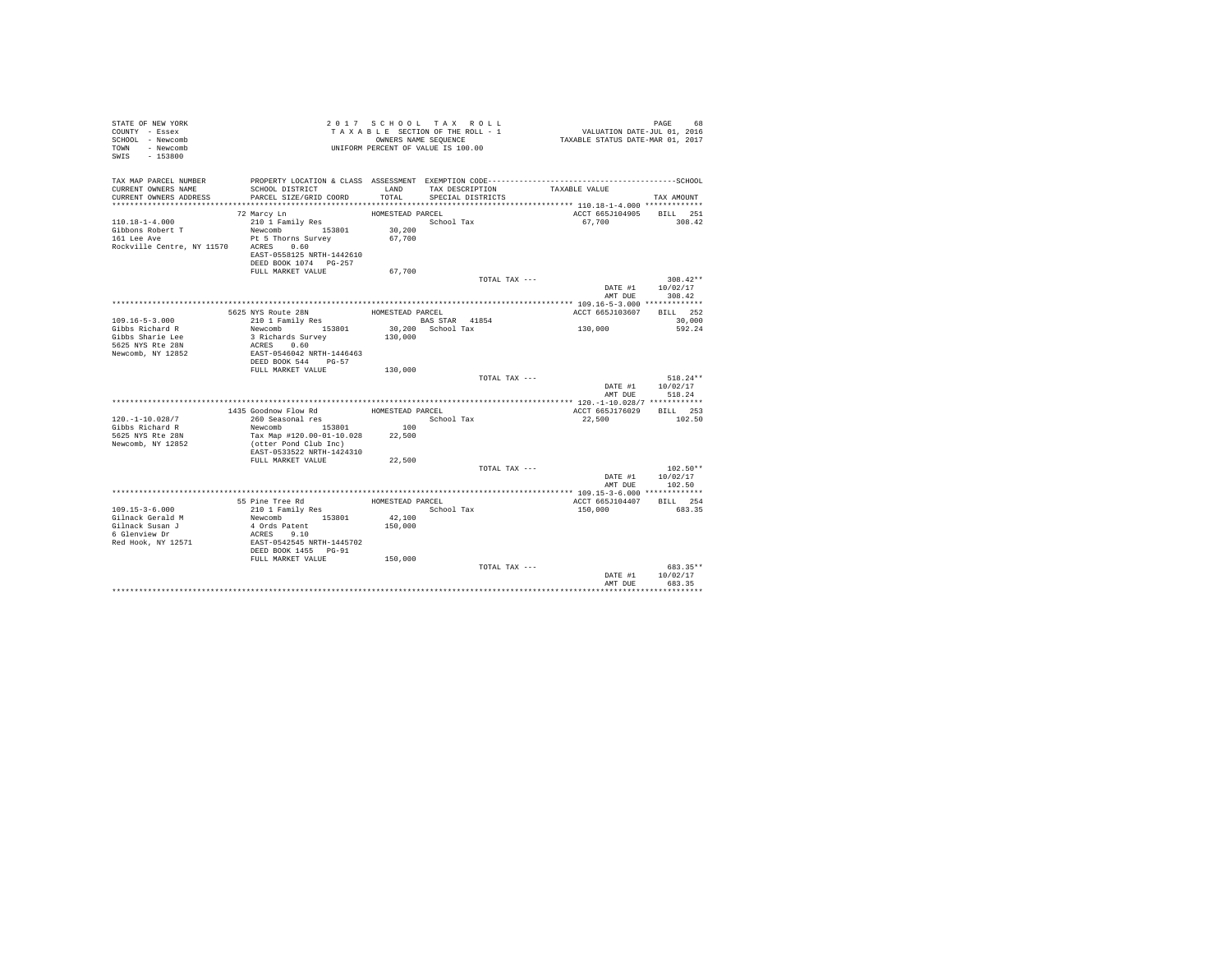| STATE OF NEW YORK<br>COUNTY - Essex<br>SCHOOL - Newcomb<br>TOWN - Newcomb<br>SWIS - 153800<br>TAX MAP PARCEL NUMBER |                                                    |                  | 2017 SCHOOL TAX ROLL<br>TAXABLE SECTION OF THE ROLL - 1<br>OWNERS NAME SEQUENCE<br>UNIFORM PERCENT OF VALUE IS 100.00 | VALUATION DATE-JUL 01, 2016<br>TAXABLE STATUS DATE-MAR 01, 2017<br>PROPERTY LOCATION & CLASS ASSESSMENT EXEMPTION CODE-----------------------------------SCHOOL | PAGE<br>68             |
|---------------------------------------------------------------------------------------------------------------------|----------------------------------------------------|------------------|-----------------------------------------------------------------------------------------------------------------------|-----------------------------------------------------------------------------------------------------------------------------------------------------------------|------------------------|
| CURRENT OWNERS NAME                                                                                                 | SCHOOL DISTRICT                                    | LAND             | TAX DESCRIPTION                                                                                                       | TAXABLE VALUE                                                                                                                                                   |                        |
| CURRENT OWNERS ADDRESS                                                                                              | PARCEL SIZE/GRID COORD                             | TOTAL            | SPECIAL DISTRICTS                                                                                                     |                                                                                                                                                                 | TAX AMOUNT             |
|                                                                                                                     |                                                    |                  |                                                                                                                       |                                                                                                                                                                 |                        |
|                                                                                                                     | 72 Marcy Ln                                        | HOMESTEAD PARCEL |                                                                                                                       | ACCT 665J104905 BILL 251                                                                                                                                        | 308.42                 |
| $110.18 - 1 - 4.000$<br>Gibbons Robert T                                                                            | 210 1 Family Res<br>Newcomb 153801                 | 30,200           | School Tax                                                                                                            | 67,700                                                                                                                                                          |                        |
| 161 Lee Ave                                                                                                         | Pt 5 Thorns Survey                                 | 67,700           |                                                                                                                       |                                                                                                                                                                 |                        |
| Rockville Centre, NY 11570 ACRES 0.60                                                                               | EAST-0558125 NRTH-1442610<br>DEED BOOK 1074 PG-257 |                  |                                                                                                                       |                                                                                                                                                                 |                        |
|                                                                                                                     | FULL MARKET VALUE                                  | 67,700           |                                                                                                                       |                                                                                                                                                                 |                        |
|                                                                                                                     |                                                    |                  | TOTAL TAX ---                                                                                                         | DATE #1                                                                                                                                                         | $308.42**$<br>10/02/17 |
|                                                                                                                     |                                                    |                  |                                                                                                                       | AMT DUE                                                                                                                                                         | 308.42                 |
|                                                                                                                     |                                                    |                  |                                                                                                                       |                                                                                                                                                                 |                        |
|                                                                                                                     | 5625 NYS Route 28N                                 | HOMESTEAD PARCEL |                                                                                                                       | ACCT 665J103607                                                                                                                                                 | BILL 252               |
| $109.16 - 5 - 3.000$<br>Gibbs Richard R                                                                             | 210 1 Family Res<br>Newcomb 153801                 |                  | BAS STAR 41854<br>30,200 School Tax                                                                                   | 130,000                                                                                                                                                         | 30,000<br>592.24       |
| Gibbs Sharie Lee                                                                                                    | 3 Richards Survey                                  | 130,000          |                                                                                                                       |                                                                                                                                                                 |                        |
| 5625 NYS Rte 28N                                                                                                    | ACRES 0.60                                         |                  |                                                                                                                       |                                                                                                                                                                 |                        |
| Newcomb, NY 12852                                                                                                   | EAST-0546042 NRTH-1446463                          |                  |                                                                                                                       |                                                                                                                                                                 |                        |
|                                                                                                                     | DEED BOOK 544 PG-57                                |                  |                                                                                                                       |                                                                                                                                                                 |                        |
|                                                                                                                     | FULL MARKET VALUE                                  | 130,000          |                                                                                                                       |                                                                                                                                                                 | 518.24**               |
|                                                                                                                     |                                                    |                  | TOTAL TAX ---                                                                                                         | DATE #1                                                                                                                                                         | 10/02/17               |
|                                                                                                                     |                                                    |                  |                                                                                                                       | AMT DUE                                                                                                                                                         | 518.24                 |
|                                                                                                                     |                                                    |                  |                                                                                                                       |                                                                                                                                                                 |                        |
|                                                                                                                     | 1435 Goodnow Flow Rd                               | HOMESTEAD PARCEL |                                                                                                                       | ACCT 665J176029 BILL 253                                                                                                                                        |                        |
| $120. - 1 - 10.028/7$                                                                                               | 260 Seasonal res                                   |                  | School Tax                                                                                                            | 22,500                                                                                                                                                          | 102.50                 |
| Gibbs Richard R                                                                                                     | Newcomb 153801                                     | 100              |                                                                                                                       |                                                                                                                                                                 |                        |
| 5625 NYS Rte 28N                                                                                                    | Tax Map #120.00-01-10.028                          | 22,500           |                                                                                                                       |                                                                                                                                                                 |                        |
| Newcomb, NY 12852                                                                                                   | (otter Pond Club Inc)<br>EAST-0533522 NRTH-1424310 |                  |                                                                                                                       |                                                                                                                                                                 |                        |
|                                                                                                                     | FULL MARKET VALUE                                  | 22,500           |                                                                                                                       |                                                                                                                                                                 |                        |
|                                                                                                                     |                                                    |                  | TOTAL TAX ---                                                                                                         |                                                                                                                                                                 | $102.50**$             |
|                                                                                                                     |                                                    |                  |                                                                                                                       | DATE #1                                                                                                                                                         | 10/02/17               |
|                                                                                                                     |                                                    |                  |                                                                                                                       | AMT DUE                                                                                                                                                         | 102.50                 |
|                                                                                                                     |                                                    |                  |                                                                                                                       |                                                                                                                                                                 |                        |
| $109.15 - 3 - 6.000$                                                                                                | 55 Pine Tree Rd<br>210 1 Family Res                | HOMESTEAD PARCEL | School Tax                                                                                                            | ACCT 665J104407<br>150,000                                                                                                                                      | BILL 254<br>683.35     |
| Gilnack Gerald M                                                                                                    | Newcomb 153801                                     | 42,100           |                                                                                                                       |                                                                                                                                                                 |                        |
| Gilnack Susan J                                                                                                     | 4 Ords Patent                                      | 150,000          |                                                                                                                       |                                                                                                                                                                 |                        |
| 6 Glenview Dr                                                                                                       | ACRES 9.10                                         |                  |                                                                                                                       |                                                                                                                                                                 |                        |
| Red Hook, NY 12571                                                                                                  | EAST-0542545 NRTH-1445702                          |                  |                                                                                                                       |                                                                                                                                                                 |                        |
|                                                                                                                     | DEED BOOK 1455 PG-91                               |                  |                                                                                                                       |                                                                                                                                                                 |                        |
|                                                                                                                     | FULL MARKET VALUE                                  | 150,000          | TOTAL TAX ---                                                                                                         |                                                                                                                                                                 | 683.35**               |
|                                                                                                                     |                                                    |                  |                                                                                                                       | DATE #1                                                                                                                                                         | 10/02/17               |
|                                                                                                                     |                                                    |                  |                                                                                                                       | AMT DUE                                                                                                                                                         | 683.35                 |
|                                                                                                                     |                                                    |                  |                                                                                                                       |                                                                                                                                                                 |                        |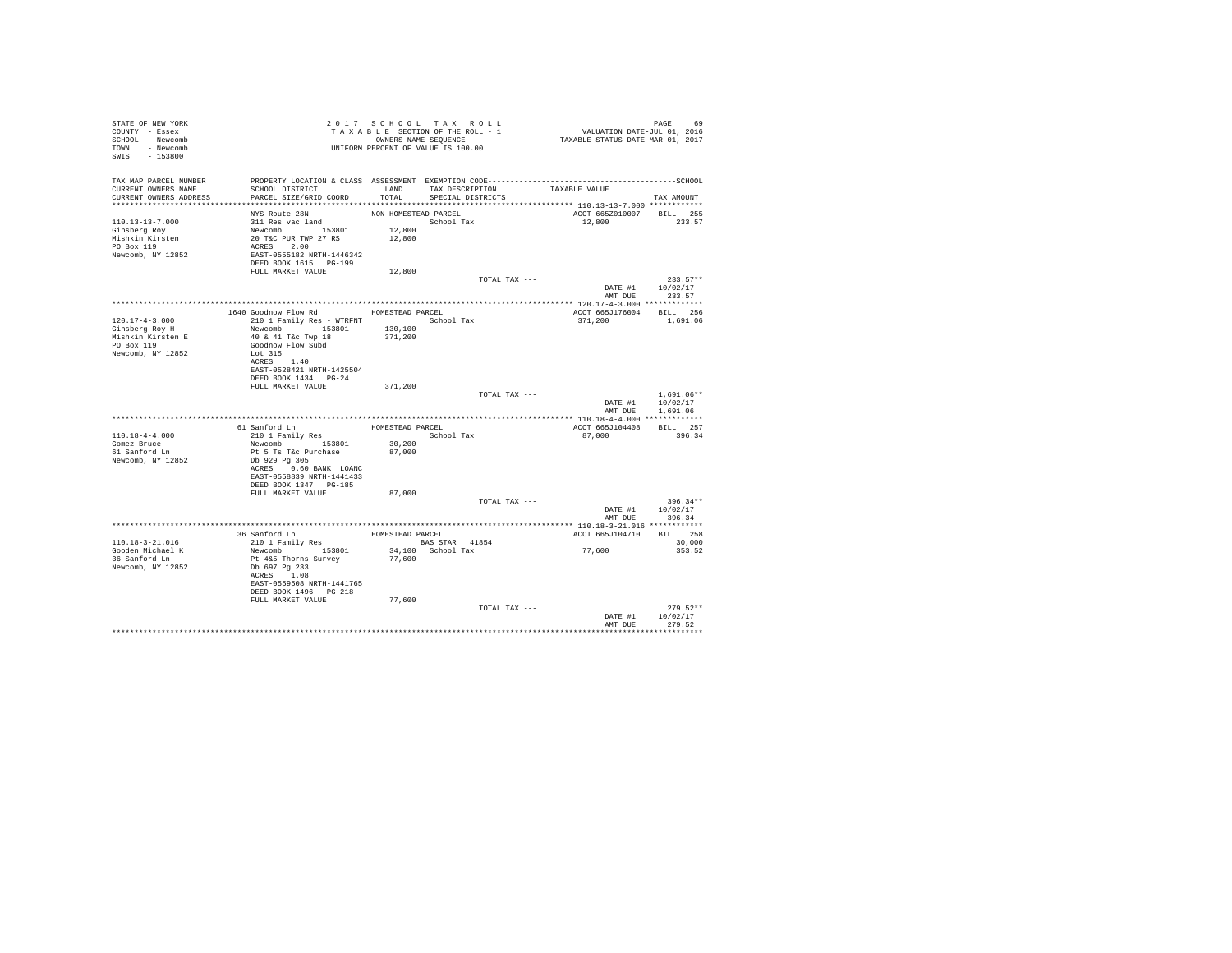| STATE OF NEW YORK<br>COUNTY - Essex<br>SCHOOL - Newcomb<br>TOWN - Newcomb<br>SWIS - 153800    | T A X A B B B B B B B SEQUENCE<br>UNIFORM PERCENT OF VALUE IS 100.00                                                                                                                            | 2017 SCHOOL TAX ROLL<br>TAXABLE SECTION OF THE ROLL - 1<br>OWNERS NAME SEQUENCE |                                           |               | PAGE 69<br>VALUATION DATE-JUL 01, 2016<br>TAXABLE STATUS DATE-MAR 01, 2017 |                                              |
|-----------------------------------------------------------------------------------------------|-------------------------------------------------------------------------------------------------------------------------------------------------------------------------------------------------|---------------------------------------------------------------------------------|-------------------------------------------|---------------|----------------------------------------------------------------------------|----------------------------------------------|
| TAX MAP PARCEL NUMBER<br>CURRENT OWNERS NAME<br>CURRENT OWNERS ADDRESS PARCEL SIZE/GRID COORD | SCHOOL DISTRICT                                                                                                                                                                                 | TOTAL                                                                           | LAND TAX DESCRIPTION<br>SPECIAL DISTRICTS |               | TAXABLE VALUE                                                              | TAX AMOUNT                                   |
| 110.13-13-7.000<br>Ginsberg Roy<br>Mishkin Kirsten<br>PO Box 119<br>Newcomb, NY 12852         | NYS Route 28N<br>311 Res vac land<br>311 Res vac 1and<br>Newcomb 153801<br>20 T&C PUR TWP 27 RS<br>ACRES 2.00<br>EAST-0555182 NRTH-1446342<br>RET-0555182 NRTH-1446342<br>DEED BOOK 1615 PG-199 | NON-HOMESTEAD PARCEL<br>School Tax<br>12,800<br>12,800                          |                                           |               | ACCT 665Z010007 BILL 255<br>12,800                                         | 233.57                                       |
|                                                                                               | FULL MARKET VALUE                                                                                                                                                                               | 12,800                                                                          |                                           |               |                                                                            |                                              |
|                                                                                               |                                                                                                                                                                                                 |                                                                                 |                                           | TOTAL TAX --- |                                                                            | $233.57**$                                   |
|                                                                                               |                                                                                                                                                                                                 |                                                                                 |                                           |               |                                                                            |                                              |
| $120.17 - 4 - 3.000$<br>Ginsberg Roy H<br>Mishkin Kirsten E                                   | 1640 Goodnow Flow Rd MOMESTEAD PARCEL<br>210 1 Family Res - WTRFNT School Tax<br>Newcomb 153801 130,100                                                                                         |                                                                                 |                                           |               | ACCT 665J176004 BILL 256<br>371,200                                        | 1,691.06                                     |
| PO Box 119<br>Newcomb, NY 12852                                                               | 40 & 41 T&c Twp 18<br>Goodnow Flow Subd<br>Lot 315<br>ACRES 1.40<br>EAST-0528421 NRTH-1425504<br>DEED BOOK 1434 PG-24<br>FULL MARKET VALUE                                                      | 371,200<br>371,200                                                              |                                           |               |                                                                            |                                              |
|                                                                                               |                                                                                                                                                                                                 |                                                                                 |                                           | TOTAL TAX --- | DATE #1                                                                    | $1.691.06**$<br>10/02/17<br>AMT DUE 1,691.06 |
|                                                                                               |                                                                                                                                                                                                 |                                                                                 |                                           |               |                                                                            |                                              |
| $110.18 - 4 - 4.000$<br>Gomez Bruce<br>61 Sanford Ln<br>Newcomb, NY 12852                     | 61 Sanford Ln<br>210 1 Family Res<br>Newcomb 153801<br>Pt 5 Ts T&c Purchase<br>Db 929 Pg 305<br>ACRES 0.60 BANK LOANC<br>EAST-0558839 NRTH-1441433<br>DEED BOOK 1347 PG-185                     | HOMESTEAD PARCEL<br>School Tax<br>30,200<br>87,000                              |                                           |               | ACCT 665J104408<br>87,000                                                  | BILL 257<br>396.34                           |
|                                                                                               | FULL MARKET VALUE                                                                                                                                                                               | 87,000                                                                          |                                           | TOTAL TAX --- | AMT DUE                                                                    | $396.34**$<br>DATE #1 10/02/17<br>396.34     |
|                                                                                               |                                                                                                                                                                                                 |                                                                                 |                                           |               |                                                                            |                                              |
|                                                                                               | 36 Sanford Ln MOMESTEAD PARCEL                                                                                                                                                                  |                                                                                 |                                           |               | ACCT 665J104710 BILL 258                                                   |                                              |
| 110.18-3-21.016<br>Gooden Michael K<br>36 Sanford Ln<br>Newcomb, NY 12852                     | 210 1 Family Res<br>Newcomb 153801<br>Pt 4&5 Thorns Survey<br>Db 697 Pg 233<br>ACRES 1.08<br>EAST-0559508 NRTH-1441765<br>DEED BOOK 1496 PG-218                                                 | <b>BAS STAR</b> 41854<br>77,600                                                 | 34,100 School Tax                         |               | 77,600                                                                     | 30,000<br>353.52                             |
|                                                                                               | FULL MARKET VALUE                                                                                                                                                                               | 77,600                                                                          |                                           | TOTAL TAX --- | DATE #1                                                                    | $279.52**$<br>10/02/17                       |
|                                                                                               |                                                                                                                                                                                                 |                                                                                 |                                           |               | AMT DUE                                                                    | 279.52                                       |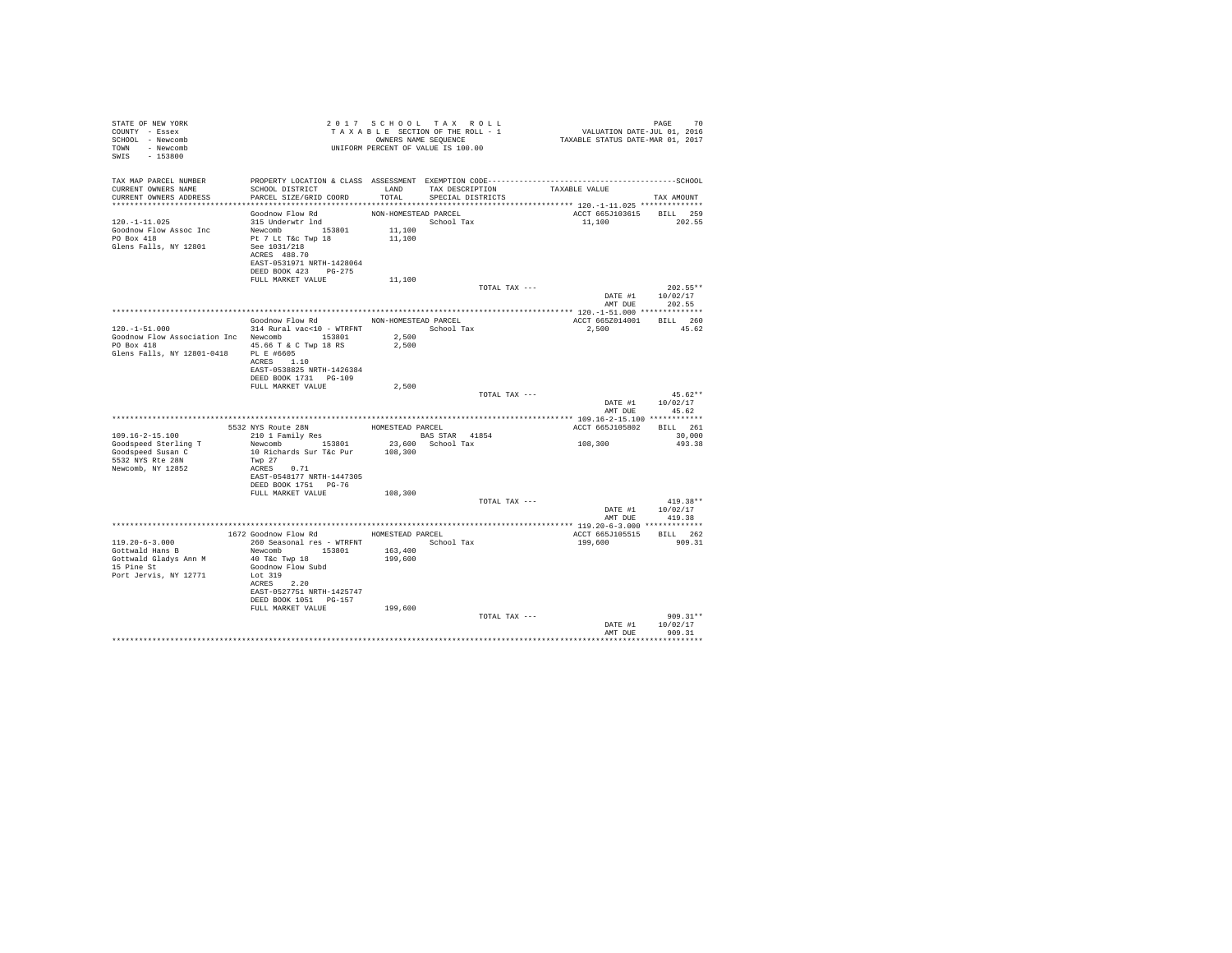| STATE OF NEW YORK<br>COUNTY - Essex<br>SCHOOL - Newcomb<br>TOWN - Newcomb<br>SWIS - 153800 |                                                                                                                                                                                                                                                                         |                | 2017 SCHOOL TAX ROLL<br>TAXABLE SECTION OF THE ROLL - 1<br>OWNERS NAME SEQUENCE<br>UNIFORM PERCENT OF VALUE IS 100.00 | 10 PAGE<br>701, VALUATION DATE-JUL 01, 2016<br>712 TAXABLE STATUS DATE-MAR | PAGE<br>70       |
|--------------------------------------------------------------------------------------------|-------------------------------------------------------------------------------------------------------------------------------------------------------------------------------------------------------------------------------------------------------------------------|----------------|-----------------------------------------------------------------------------------------------------------------------|----------------------------------------------------------------------------|------------------|
| TAX MAP PARCEL NUMBER<br>CURRENT OWNERS NAME<br>CURRENT OWNERS ADDRESS                     | PROPERTY LOCATION & CLASS ASSESSMENT EXEMPTION CODE-----------------------------------SCHOOL<br>SCHOOL DISTRICT TAND TAX DESCRIPTION<br>PARCEL SIZE/GRID COORD TOTAL SPECIAL DISTRICTS                                                                                  |                |                                                                                                                       | TAXABLE VALUE                                                              | TAX AMOUNT       |
|                                                                                            |                                                                                                                                                                                                                                                                         |                |                                                                                                                       |                                                                            |                  |
|                                                                                            |                                                                                                                                                                                                                                                                         |                |                                                                                                                       | ACCT 665J103615 BILL 259                                                   |                  |
| $120. -1 - 11.025$                                                                         | $\begin{tabular}{lllllllllllll} \texttt{Goodnow Flow Rd} & & & & & \texttt{NON-HOMESTEAD PARCEL} \\ 315 \texttt{Underwtr Ind} & & & & & & \texttt{School T@} \\ \texttt{Newwww} & & & 153801 & & 11,100 \\ \texttt{Pt 7 Lt T&C Twp 18} & & & & 11,100 \\ \end{tabular}$ |                | $\begin{minipage}{.4\linewidth} \textbf{School Tax} \\ 11,100 \end{minipage}$                                         | 11,100 202.55                                                              |                  |
| Goodnow Flow Assoc Inc                                                                     |                                                                                                                                                                                                                                                                         |                |                                                                                                                       |                                                                            |                  |
| PO Box 418                                                                                 |                                                                                                                                                                                                                                                                         |                |                                                                                                                       |                                                                            |                  |
| Glens Falls, NY 12801                                                                      | See 1031/218<br>ACRES 488.70                                                                                                                                                                                                                                            |                |                                                                                                                       |                                                                            |                  |
|                                                                                            | EAST-0531971 NRTH-1428064                                                                                                                                                                                                                                               |                |                                                                                                                       |                                                                            |                  |
|                                                                                            | DEED BOOK 423 PG-275                                                                                                                                                                                                                                                    |                |                                                                                                                       |                                                                            |                  |
|                                                                                            | FULL MARKET VALUE                                                                                                                                                                                                                                                       | 11,100         |                                                                                                                       |                                                                            |                  |
|                                                                                            |                                                                                                                                                                                                                                                                         |                | TOTAL TAX ---                                                                                                         |                                                                            | $202.55**$       |
|                                                                                            |                                                                                                                                                                                                                                                                         |                |                                                                                                                       |                                                                            | DATE #1 10/02/17 |
|                                                                                            |                                                                                                                                                                                                                                                                         |                |                                                                                                                       |                                                                            | AMT DUE 202.55   |
|                                                                                            |                                                                                                                                                                                                                                                                         |                |                                                                                                                       |                                                                            |                  |
|                                                                                            | Goodnow Flow Rd MON-HOMESTEAD PARCEL                                                                                                                                                                                                                                    |                |                                                                                                                       | ACCT 665Z014001 BILL 260                                                   |                  |
| $120. -1 - 51.000$                                                                         | 314 Rural vac<10 - WTRFNT School Tax                                                                                                                                                                                                                                    |                |                                                                                                                       | 2,500 45.62                                                                |                  |
| Goodnow Flow Association Inc Newcomb 153801<br>PO Box 418 45.66 T & C Twp 18 RS            |                                                                                                                                                                                                                                                                         | 2.500<br>2,500 |                                                                                                                       |                                                                            |                  |
| Glens Falls, NY 12801-0418 PL E #6605                                                      |                                                                                                                                                                                                                                                                         |                |                                                                                                                       |                                                                            |                  |
|                                                                                            | ACRES 1.10                                                                                                                                                                                                                                                              |                |                                                                                                                       |                                                                            |                  |
|                                                                                            | EAST-0538825 NRTH-1426384                                                                                                                                                                                                                                               |                |                                                                                                                       |                                                                            |                  |
|                                                                                            | DEED BOOK 1731 PG-109                                                                                                                                                                                                                                                   |                |                                                                                                                       |                                                                            |                  |
|                                                                                            | FULL MARKET VALUE                                                                                                                                                                                                                                                       | 2,500          |                                                                                                                       |                                                                            |                  |
|                                                                                            |                                                                                                                                                                                                                                                                         |                | TOTAL TAX ---                                                                                                         |                                                                            | $45.62**$        |
|                                                                                            |                                                                                                                                                                                                                                                                         |                |                                                                                                                       |                                                                            | DATE #1 10/02/17 |
|                                                                                            |                                                                                                                                                                                                                                                                         |                |                                                                                                                       | AMT DUE                                                                    | 45 62            |
|                                                                                            | 5532 NYS Route 28N<br>210 1 Family Res BOMESTEAD PARCEL 210 1 Family Res BAS STAR 41                                                                                                                                                                                    |                |                                                                                                                       | ACCT 665J105802 BILL 261                                                   |                  |
| $109.16 - 2 - 15.100$                                                                      |                                                                                                                                                                                                                                                                         |                |                                                                                                                       |                                                                            | 30,000           |
| Goodspeed Sterling T                                                                       | 210 1 Family Res BAS STAR 41854<br>Newcomb 153801 23,600 School Tax                                                                                                                                                                                                     |                |                                                                                                                       | 108, 300                                                                   | 493.38           |
| Goodspeed Susan C                                                                          | 10 Richards Sur T&c Pur                                                                                                                                                                                                                                                 | 108,300        |                                                                                                                       |                                                                            |                  |
| 5532 NYS Rte 28N                                                                           | Twp 27                                                                                                                                                                                                                                                                  |                |                                                                                                                       |                                                                            |                  |
| Newcomb, NY 12852                                                                          | ACRES 0.71                                                                                                                                                                                                                                                              |                |                                                                                                                       |                                                                            |                  |
|                                                                                            | EAST-0548177 NRTH-1447305                                                                                                                                                                                                                                               |                |                                                                                                                       |                                                                            |                  |
|                                                                                            | DEED BOOK 1751 PG-76                                                                                                                                                                                                                                                    |                |                                                                                                                       |                                                                            |                  |
|                                                                                            | FULL MARKET VALUE                                                                                                                                                                                                                                                       | 108,300        | TOTAL TAX ---                                                                                                         |                                                                            | $419.38**$       |
|                                                                                            |                                                                                                                                                                                                                                                                         |                |                                                                                                                       |                                                                            | DATE #1 10/02/17 |
|                                                                                            |                                                                                                                                                                                                                                                                         |                |                                                                                                                       | AMT DUE                                                                    | 419.38           |
|                                                                                            |                                                                                                                                                                                                                                                                         |                |                                                                                                                       |                                                                            |                  |
|                                                                                            | 1672 Goodnow Flow Rd MOMESTEAD PARCEL                                                                                                                                                                                                                                   |                |                                                                                                                       | ACCT 665J105515                                                            | BILL 262         |
| $119.20 - 6 - 3.000$                                                                       | 260 Seasonal res - WTRFNT                                                                                                                                                                                                                                               |                | School Tax                                                                                                            | 199,600                                                                    | 909.31           |
| Gottwald Hans B                                                                            | Newcomb 153801 163,400                                                                                                                                                                                                                                                  |                |                                                                                                                       |                                                                            |                  |
| GOLLWAID HOLL -<br>Gottwald Gladys Ann M                                                   | 40 T&C Twp 18                                                                                                                                                                                                                                                           | 199,600        |                                                                                                                       |                                                                            |                  |
| 15 Pine St                                                                                 | Goodnow Flow Subd                                                                                                                                                                                                                                                       |                |                                                                                                                       |                                                                            |                  |
| Port Jervis, NY 12771                                                                      | Lot 319                                                                                                                                                                                                                                                                 |                |                                                                                                                       |                                                                            |                  |
|                                                                                            | ACRES 2.20                                                                                                                                                                                                                                                              |                |                                                                                                                       |                                                                            |                  |
|                                                                                            | EAST-0527751 NRTH-1425747                                                                                                                                                                                                                                               |                |                                                                                                                       |                                                                            |                  |
|                                                                                            | DEED BOOK 1051 PG-157<br>FULL MARKET VALUE                                                                                                                                                                                                                              | 199,600        |                                                                                                                       |                                                                            |                  |
|                                                                                            |                                                                                                                                                                                                                                                                         |                | TOTAL TAX ---                                                                                                         |                                                                            | $909.31**$       |
|                                                                                            |                                                                                                                                                                                                                                                                         |                |                                                                                                                       |                                                                            | DATE #1 10/02/17 |
|                                                                                            |                                                                                                                                                                                                                                                                         |                |                                                                                                                       |                                                                            | AMT DUE 909.31   |
|                                                                                            |                                                                                                                                                                                                                                                                         |                |                                                                                                                       |                                                                            |                  |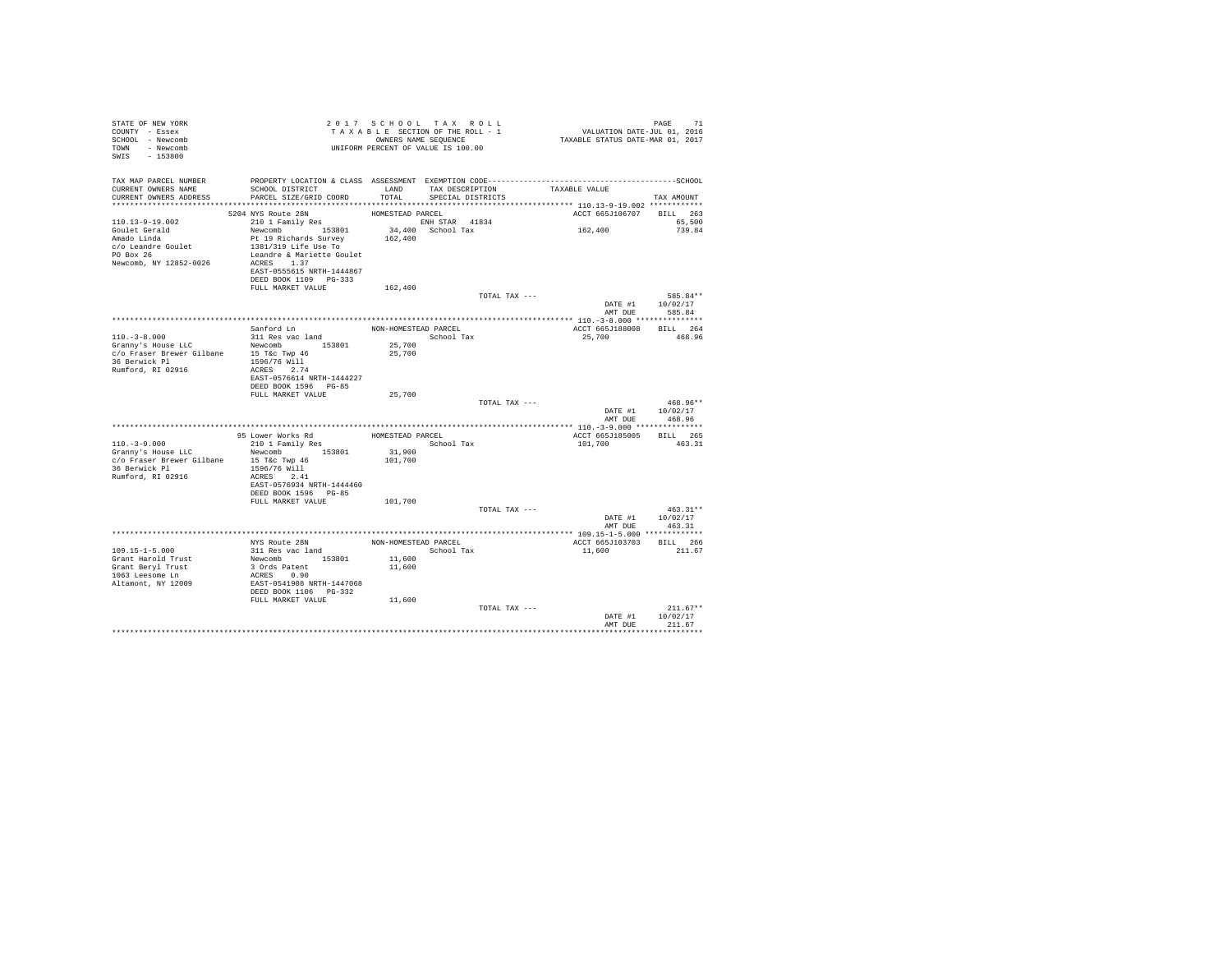| STATE OF NEW YORK<br>COUNTY - Essex<br>SCHOOL - Newcomb<br>TOWN - Newcomb<br>SWIS<br>$-153800$                                                                                                                                        |                                                                                                                                                                                      | 2017 SCHOOL TAX ROLL<br>OWNERS NAME SEOUENCE<br>UNIFORM PERCENT OF VALUE IS 100.00 | TAXABLE SECTION OF THE ROLL - 1 | PAGE 71<br>VALUATION DATE-JUL 01, 2016<br>TAXABLE STATUS DATE-MAR 01, 2017 | PAGE<br>71                               |
|---------------------------------------------------------------------------------------------------------------------------------------------------------------------------------------------------------------------------------------|--------------------------------------------------------------------------------------------------------------------------------------------------------------------------------------|------------------------------------------------------------------------------------|---------------------------------|----------------------------------------------------------------------------|------------------------------------------|
| TAX MAP PARCEL NUMBER<br>CURRENT OWNERS NAME<br>CURRENT OWNERS ADDRESS                                                                                                                                                                | SCHOOL DISTRICT TAND TAX DESCRIPTION<br>PARCEL SIZE/GRID COORD TOTAL SPECIAL DISTRICTS                                                                                               |                                                                                    |                                 | TAXABLE VALUE                                                              | TAX AMOUNT                               |
|                                                                                                                                                                                                                                       | 5204 NYS Route 28N                                                                                                                                                                   | HOMESTEAD PARCEL                                                                   |                                 | ACCT 665J106707 BILL 263                                                   |                                          |
| $110.13 - 9 - 19.002$<br>Goulet Gerald<br>Amado Linda<br>c/o Leandre Goulet<br>PO Box 26<br>Newcomb, NY 12852-0026                                                                                                                    | 210 1 Family Res<br>Newcomb 153801<br>Pt 19 Richards Survey<br>1381/319 Life Use To<br>Leandre & Mariette Goulet<br>ACRES 1.37<br>EAST-0555615 NRTH-1444867<br>DEED BOOK 1109 PG-333 | ENH STAR 41834<br>34,400 School Tax<br>162,400                                     |                                 | 162,400                                                                    | 65,500<br>739.84                         |
|                                                                                                                                                                                                                                       | FULL MARKET VALUE                                                                                                                                                                    | 162,400                                                                            | TOTAL TAX ---                   |                                                                            | 585.84**                                 |
|                                                                                                                                                                                                                                       |                                                                                                                                                                                      |                                                                                    |                                 | DATE #1<br>AMT DUE                                                         | 10/02/17<br>585.84                       |
|                                                                                                                                                                                                                                       |                                                                                                                                                                                      |                                                                                    |                                 |                                                                            |                                          |
| $110. - 3 - 8.000$                                                                                                                                                                                                                    | Sanford Ln<br>311 Res vac land                                                                                                                                                       | NON-HOMESTEAD PARCEL<br>School Tax                                                 |                                 | ACCT 665J188008<br>25,700                                                  | BILL 264<br>468.96                       |
| $\begin{tabular}{lllll} \texttt{Gramry's House LLC} & & \texttt{Newcomb} & & 153801 \\ \texttt{c/o Fraser Brewer Gilbane} & & 15 \texttt{\textcolor{red}{\textbf{Toc Two 46}}} & \end{tabular}$<br>36 Berwick Pl<br>Rumford, RI 02916 | 1596/76 Will<br>ACRES 2.74<br>EAST-0576614 NRTH-1444227                                                                                                                              | 25,700<br>25,700                                                                   |                                 |                                                                            |                                          |
|                                                                                                                                                                                                                                       | DEED BOOK 1596 PG-85<br>FULL MARKET VALUE                                                                                                                                            | 25,700                                                                             |                                 |                                                                            |                                          |
|                                                                                                                                                                                                                                       |                                                                                                                                                                                      |                                                                                    | TOTAL TAX ---                   |                                                                            | $468.96**$<br>DATE #1 10/02/17<br>468.96 |
|                                                                                                                                                                                                                                       |                                                                                                                                                                                      |                                                                                    |                                 | AMT DUE                                                                    |                                          |
|                                                                                                                                                                                                                                       | 95 Lower Works Rd                                                                                                                                                                    | HOMESTEAD PARCEL                                                                   |                                 | ACCT 665J185005 BILL 265                                                   |                                          |
| $110. - 3 - 9.000$<br>Granny's House LLC<br>c/o Fraser Brewer Gilbane<br>36 Berwick Pl<br>Rumford, RI 02916                                                                                                                           | 210 1 Family Res<br>Newcomb 153801<br>15 T&c Twp 46<br>1596/76 Will<br>ACRES 2.41<br>EAST-0576934 NRTH-1444460<br>DEED BOOK 1596 PG-85                                               | 31,900<br>101,700                                                                  | School Tax                      | 101,700                                                                    | 463.31                                   |
|                                                                                                                                                                                                                                       | FULL MARKET VALUE                                                                                                                                                                    | 101,700                                                                            |                                 |                                                                            |                                          |
|                                                                                                                                                                                                                                       |                                                                                                                                                                                      |                                                                                    | TOTAL TAX ---                   | AMT DUE                                                                    | $463.31**$<br>DATE #1 10/02/17<br>463.31 |
|                                                                                                                                                                                                                                       |                                                                                                                                                                                      |                                                                                    |                                 |                                                                            |                                          |
| 109.15-1-5.000<br>Grant Harold Trust<br>Grant Bervl Trust<br>1063 Leesome Ln<br>Altamont, NY 12009                                                                                                                                    | NYS Route 28N<br>311 Res vac land<br>Newcomb 153801<br>3 Ords Patent<br>ACRES 0.90<br>EAST-0541908 NRTH-1447068<br>DEED BOOK 1106    PG-332<br>FULL MARKET VALUE                     | NON-HOMESTEAD PARCEL<br>School Tax<br>11,600<br>11,600<br>11,600                   |                                 | ACCT 665J103703<br>11,600                                                  | BILL 266<br>211.67                       |
|                                                                                                                                                                                                                                       |                                                                                                                                                                                      |                                                                                    | TOTAL TAX ---                   | DATE #1                                                                    | $211.67**$<br>10/02/17                   |
|                                                                                                                                                                                                                                       |                                                                                                                                                                                      |                                                                                    |                                 | AMT DUE                                                                    | 211 67                                   |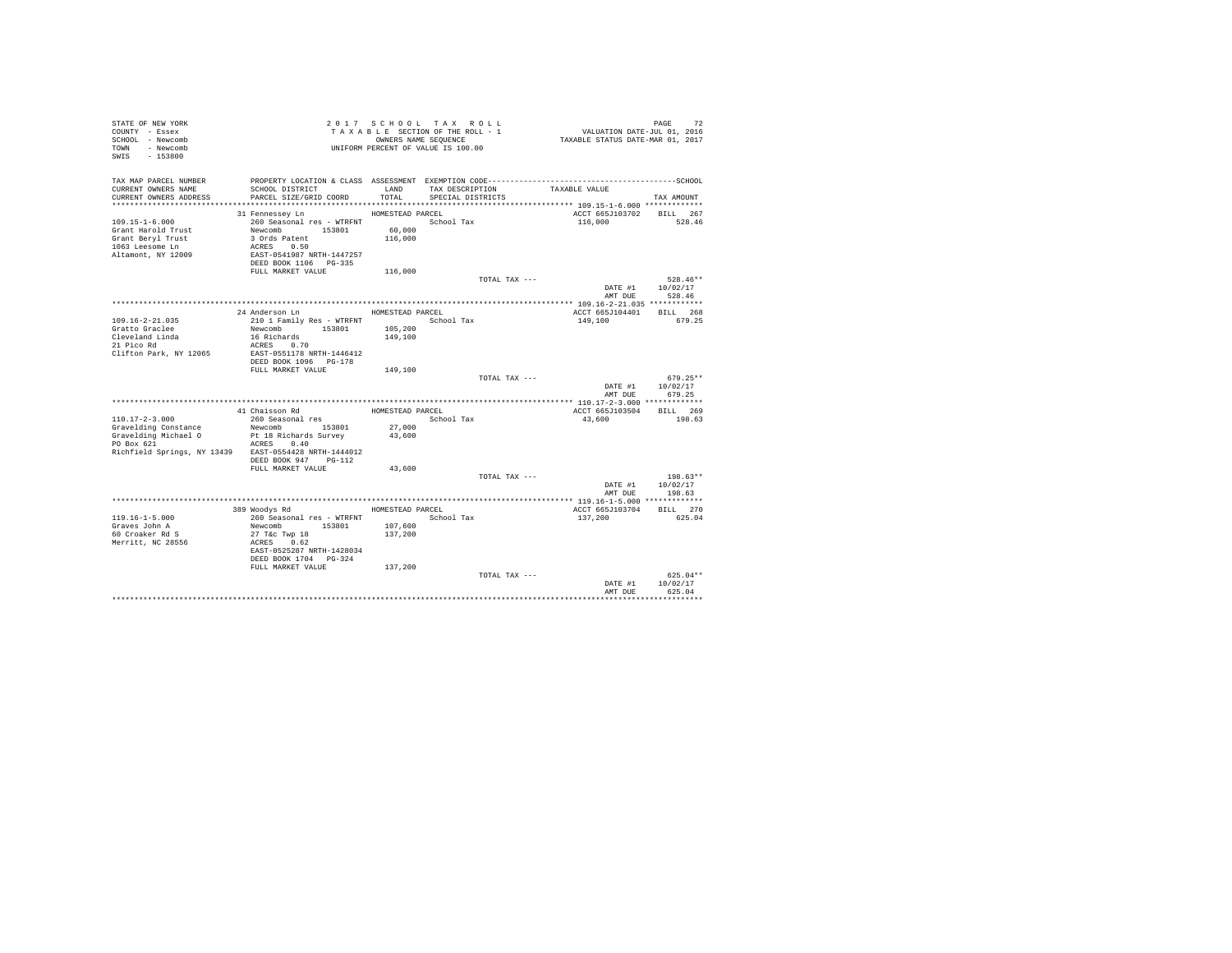| STATE OF NEW YORK<br>COUNTY - Essex<br>SCHOOL - Newcomb<br>TOWN - Newcomb<br>$-153800$<br>SWIS |                                             |                    | 2017 SCHOOL TAX ROLL<br>TAXABLE SECTION OF THE ROLL - 1<br>OWNERS NAME SEQUENCE<br>UNIFORM PERCENT OF VALUE IS 100.00 |               | 72<br>VALUATION DATE-JUL 01, 2016<br>TAXABLE STATUS DATE-MAR 01, 2017 | PAGE               | 72         |
|------------------------------------------------------------------------------------------------|---------------------------------------------|--------------------|-----------------------------------------------------------------------------------------------------------------------|---------------|-----------------------------------------------------------------------|--------------------|------------|
| TAX MAP PARCEL NUMBER                                                                          |                                             |                    |                                                                                                                       |               |                                                                       |                    |            |
| CURRENT OWNERS NAME                                                                            | SCHOOL DISTRICT                             | LAND               | TAX DESCRIPTION                                                                                                       |               | TAXABLE VALUE                                                         |                    |            |
| CURRENT OWNERS ADDRESS                                                                         | PARCEL SIZE/GRID COORD                      | TOTAL              | SPECIAL DISTRICTS                                                                                                     |               |                                                                       | TAX AMOUNT         |            |
|                                                                                                |                                             |                    |                                                                                                                       |               |                                                                       |                    |            |
| $109.15 - 1 - 6.000$                                                                           | 31 Fennessey Ln                             | HOMESTEAD PARCEL   |                                                                                                                       |               | ACCT 665J103702 BILL 267                                              | 528.46             |            |
| Grant Harold Trust                                                                             | 260 Seasonal res - WTRFNT<br>Newcomb 153801 | 60,000             | School Tax                                                                                                            |               | 116,000                                                               |                    |            |
| Grant Beryl Trust                                                                              | 3 Ords Patent                               | 116,000            |                                                                                                                       |               |                                                                       |                    |            |
| 1063 Leesome Ln                                                                                | ACRES 0.50                                  |                    |                                                                                                                       |               |                                                                       |                    |            |
| Altamont, NY 12009                                                                             | EAST-0541987 NRTH-1447257                   |                    |                                                                                                                       |               |                                                                       |                    |            |
|                                                                                                | DEED BOOK 1106 PG-335                       |                    |                                                                                                                       |               |                                                                       |                    |            |
|                                                                                                | FULL MARKET VALUE                           | 116,000            |                                                                                                                       |               |                                                                       |                    |            |
|                                                                                                |                                             |                    |                                                                                                                       | TOTAL TAX --- |                                                                       |                    | $528.46**$ |
|                                                                                                |                                             |                    |                                                                                                                       |               | DATE #1                                                               | 10/02/17           |            |
|                                                                                                |                                             |                    |                                                                                                                       |               | AMT DUE                                                               | 528.46             |            |
|                                                                                                |                                             |                    |                                                                                                                       |               |                                                                       |                    |            |
|                                                                                                | 24 Anderson Ln                              | HOMESTEAD PARCEL   |                                                                                                                       |               | ACCT 665J104401 BILL 268                                              |                    |            |
| $109.16 - 2 - 21.035$                                                                          | 210 1 Family Res - WTRFNT                   |                    | School Tax                                                                                                            |               | 149,100                                                               |                    | 679.25     |
| Gratto Graclee<br>Cleveland Linda                                                              | Newcomb 153801<br>16 Richards               | 105,200<br>149,100 |                                                                                                                       |               |                                                                       |                    |            |
| 21 Pico Rd                                                                                     | ACRES 0.70                                  |                    |                                                                                                                       |               |                                                                       |                    |            |
| Clifton Park, NY 12065                                                                         | EAST-0551178 NRTH-1446412                   |                    |                                                                                                                       |               |                                                                       |                    |            |
|                                                                                                | DEED BOOK 1096 PG-178                       |                    |                                                                                                                       |               |                                                                       |                    |            |
|                                                                                                | FULL MARKET VALUE                           | 149,100            |                                                                                                                       |               |                                                                       |                    |            |
|                                                                                                |                                             |                    |                                                                                                                       | TOTAL TAX --- |                                                                       |                    | $679.25**$ |
|                                                                                                |                                             |                    |                                                                                                                       |               | DATE #1                                                               | 10/02/17           |            |
|                                                                                                |                                             |                    |                                                                                                                       |               | AMT DUR                                                               | 679.25             |            |
|                                                                                                |                                             |                    |                                                                                                                       |               |                                                                       |                    |            |
|                                                                                                | 41 Chaisson Rd                              | HOMESTEAD PARCEL   |                                                                                                                       |               | ACCT 665J103504                                                       | BILL 269           |            |
| $110.17 - 2 - 3.000$<br>Gravelding Constance                                                   | 260 Seasonal res<br>Newcomb 153801          | 27,000             | School Tax                                                                                                            |               | 43,600                                                                |                    | 198.63     |
| Gravelding Michael O                                                                           | Pt 18 Richards Survey                       | 43,600             |                                                                                                                       |               |                                                                       |                    |            |
| PO Box 621                                                                                     | ACRES 0.40                                  |                    |                                                                                                                       |               |                                                                       |                    |            |
| Richfield Springs, NY 13439 EAST-0554428 NRTH-1444012                                          |                                             |                    |                                                                                                                       |               |                                                                       |                    |            |
|                                                                                                | DEED BOOK 947 PG-112                        |                    |                                                                                                                       |               |                                                                       |                    |            |
|                                                                                                | FULL MARKET VALUE                           | 43,600             |                                                                                                                       |               |                                                                       |                    |            |
|                                                                                                |                                             |                    |                                                                                                                       | TOTAL TAX --- |                                                                       | $198.63**$         |            |
|                                                                                                |                                             |                    |                                                                                                                       |               | DATE #1                                                               | 10/02/17           |            |
|                                                                                                |                                             |                    |                                                                                                                       |               | AMT DUE                                                               | 198.63             |            |
|                                                                                                |                                             |                    |                                                                                                                       |               |                                                                       |                    |            |
| $119.16 - 1 - 5.000$                                                                           | 389 Woodys Rd                               | HOMESTEAD PARCEL   | School Tax                                                                                                            |               | ACCT 665J103704                                                       | BILL 270<br>625.04 |            |
| Graves John A                                                                                  | 260 Seasonal res - WTRFNT<br>Newcomb 153801 | 107,600            |                                                                                                                       |               | 137,200                                                               |                    |            |
| 60 Croaker Rd S                                                                                | 27 T&c Twp 18                               | 137,200            |                                                                                                                       |               |                                                                       |                    |            |
| Merritt, NC 28556                                                                              | ACRES 0.62                                  |                    |                                                                                                                       |               |                                                                       |                    |            |
|                                                                                                | EAST-0525287 NRTH-1428034                   |                    |                                                                                                                       |               |                                                                       |                    |            |
|                                                                                                | DEED BOOK 1704 PG-324                       |                    |                                                                                                                       |               |                                                                       |                    |            |
|                                                                                                | FULL MARKET VALUE                           | 137,200            |                                                                                                                       |               |                                                                       |                    |            |
|                                                                                                |                                             |                    |                                                                                                                       | TOTAL TAX --- |                                                                       |                    | $625.04**$ |
|                                                                                                |                                             |                    |                                                                                                                       |               | DATE #1                                                               | 10/02/17           |            |
|                                                                                                |                                             |                    |                                                                                                                       |               | AMT DUE                                                               | 625.04             |            |
|                                                                                                |                                             |                    |                                                                                                                       |               |                                                                       |                    |            |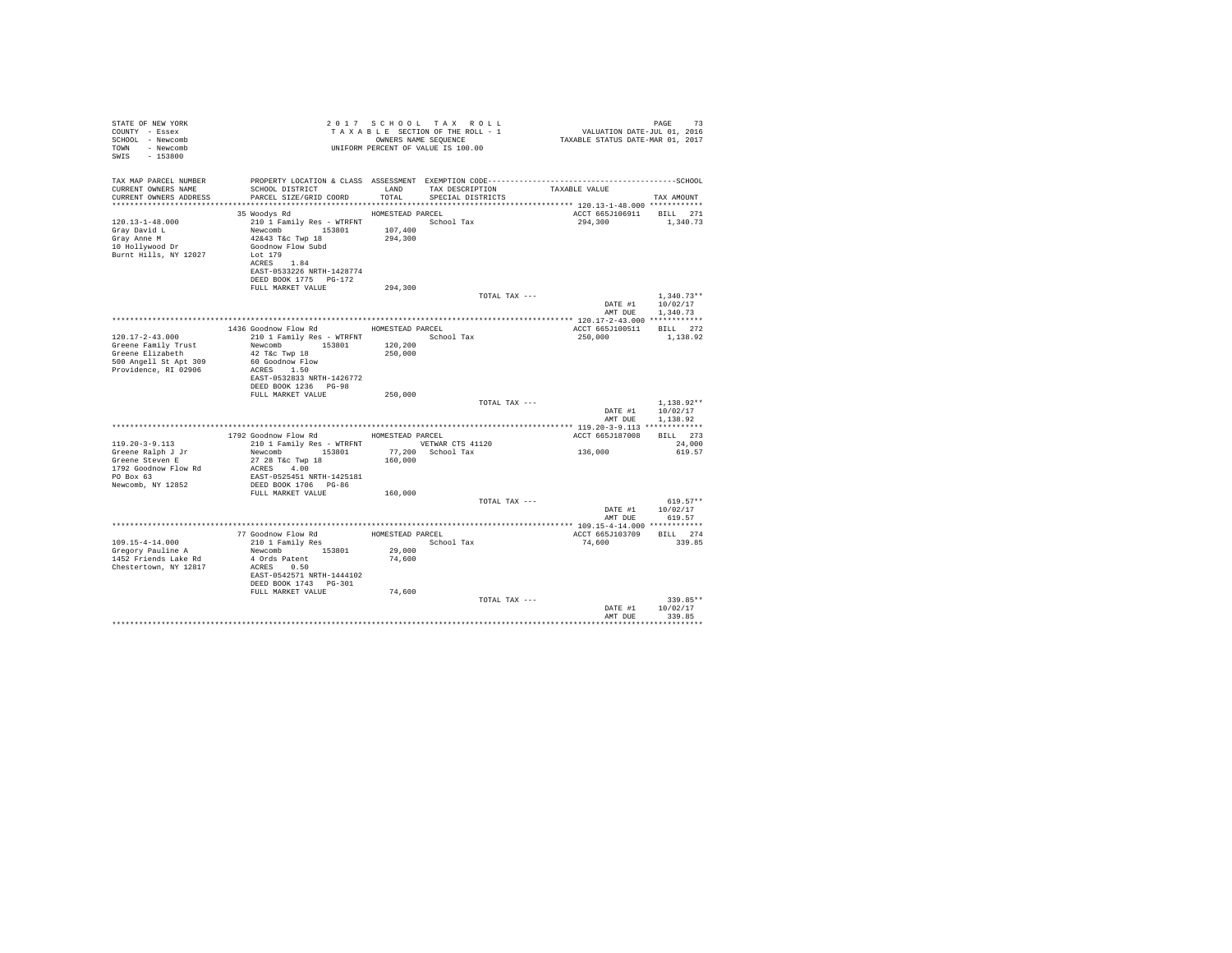| STATE OF NEW YORK<br>COUNTY - Essex<br>SCHOOL - Newcomb<br>TOWN - Newcomb<br>SWIS - 153800                        |                                                                                                                                                                          |                    | 2017 SCHOOL TAX ROLL<br>TAXABLE SECTION OF THE ROLL - 1<br>OWNERS NAME SEOUENCE<br>UNIFORM PERCENT OF VALUE IS 100.00 |               | 13<br>101, VALUATION DATE-JUL 01<br>101, TAXABLE STATUS DATE-MAR 01 | PAGE<br>73                           |
|-------------------------------------------------------------------------------------------------------------------|--------------------------------------------------------------------------------------------------------------------------------------------------------------------------|--------------------|-----------------------------------------------------------------------------------------------------------------------|---------------|---------------------------------------------------------------------|--------------------------------------|
| TAX MAP PARCEL NUMBER<br>CURRENT OWNERS NAME<br>CURRENT OWNERS ADDRESS                                            | PROPERTY LOCATION & CLASS ASSESSMENT EXEMPTION CODE-----------------------------------SCHOOL<br>SCHOOL DISTRICT<br>PARCEL SIZE/GRID COORD TOTAL                          | LAND               | TAX DESCRIPTION<br>SPECIAL DISTRICTS                                                                                  |               | TAXABLE VALUE                                                       | TAX AMOUNT                           |
|                                                                                                                   | 35 Woodys Rd                                                                                                                                                             | HOMESTEAD PARCEL   |                                                                                                                       |               | ACCT 665J106911 BILL 271                                            |                                      |
| $120.13 - 1 - 48.000$<br>Gray David L<br>Grav Anne M<br>10 Hollywood Dr<br>Burnt Hills, NY 12027                  | 210 1 Family Res - WTRFNT<br>Newcomb 153801<br>$42\&43$ T&c Twp $18$<br>Goodnow Flow Subd<br>Lot 179<br>ACRES 1.84<br>EAST-0533226 NRTH-1428774<br>DEED BOOK 1775 PG-172 | 107,400<br>294,300 | School Tax                                                                                                            |               | 294,300                                                             | 1,340.73                             |
|                                                                                                                   | FULL MARKET VALUE                                                                                                                                                        | 294,300            |                                                                                                                       |               |                                                                     |                                      |
|                                                                                                                   |                                                                                                                                                                          |                    |                                                                                                                       | TOTAL TAX --- | DATE #1<br>AMT DUE                                                  | $1.340.73**$<br>10/02/17<br>1,340.73 |
|                                                                                                                   |                                                                                                                                                                          |                    |                                                                                                                       |               |                                                                     |                                      |
|                                                                                                                   | 1436 Goodnow Flow Rd                                                                                                                                                     | HOMESTEAD PARCEL   |                                                                                                                       |               | ACCT 665J100511 BILL 272                                            |                                      |
| $120.17 - 2 - 43.000$<br>Greene Family Trust<br>Greene Elizabeth<br>500 Angell St Apt 309<br>Providence, RI 02906 | 210 1 Family Res - WTRFNT<br>Newcomb<br>153801<br>42 T&C Twp 18<br>60 Goodnow Flow<br>ACRES 1.50<br>EAST-0532833 NRTH-1426772                                            | 120,200<br>250,000 | School Tax                                                                                                            |               | 250,000                                                             | 1,138.92                             |
|                                                                                                                   | DEED BOOK 1236 PG-98                                                                                                                                                     |                    |                                                                                                                       |               |                                                                     |                                      |
|                                                                                                                   | FULL MARKET VALUE                                                                                                                                                        | 250,000            |                                                                                                                       | TOTAL TAX --- | DATE #1                                                             | $1.138.92**$<br>10/02/17             |
|                                                                                                                   |                                                                                                                                                                          |                    |                                                                                                                       |               | AMT DUE                                                             | 1,138.92                             |
|                                                                                                                   |                                                                                                                                                                          |                    |                                                                                                                       |               |                                                                     |                                      |
|                                                                                                                   | 1792 Goodnow Flow Rd MOMESTEAD PARCEL                                                                                                                                    |                    |                                                                                                                       |               | ACCT 665J187008                                                     | BILL 273                             |
| $119.20 - 3 - 9.113$<br>Greene Ralph J Jr                                                                         | 210 1 Family Res - WTRFNT WETWAR CTS 41120<br>Newcomb 153801                                                                                                             |                    | 77,200 School Tax                                                                                                     |               | 136,000                                                             | 24,000<br>619.57                     |
| Greene Steven E<br>1792 Goodnow Flow Rd<br>PO Box 63<br>Newcomb, NY 12852                                         | 27 28 T&c Twp 18<br>ACRES 4.00<br>EAST-0525451 NRTH-1425181                                                                                                              | 160,000            |                                                                                                                       |               |                                                                     |                                      |
|                                                                                                                   | DEED BOOK 1706 PG-86<br>FULL MARKET VALUE                                                                                                                                | 160,000            |                                                                                                                       |               |                                                                     |                                      |
|                                                                                                                   |                                                                                                                                                                          |                    |                                                                                                                       | TOTAL TAX --- |                                                                     | $619.57**$<br>DATE #1 10/02/17       |
|                                                                                                                   |                                                                                                                                                                          |                    |                                                                                                                       |               | AMT DUE                                                             | 619.57                               |
|                                                                                                                   |                                                                                                                                                                          |                    |                                                                                                                       |               | ACCT 665J103709                                                     | BILL 274                             |
| 109.15-4-14.000<br>Gregory Pauline A<br>1452 Friends Lake Rd<br>Chestertown, NY 12817                             | Newcomb 153801<br>4 Ords Patent<br>ACRES 0.50<br>EAST-0542571 NRTH-1444102                                                                                               | 29,000<br>74,600   |                                                                                                                       |               | 74,600                                                              | 339.85                               |
|                                                                                                                   | DEED BOOK 1743 PG-301                                                                                                                                                    |                    |                                                                                                                       |               |                                                                     |                                      |
|                                                                                                                   | FULL MARKET VALUE                                                                                                                                                        | 74,600             |                                                                                                                       | TOTAL TAX --- | DATE #1<br>AMT DUE                                                  | $339.85**$<br>10/02/17<br>339.85     |
|                                                                                                                   |                                                                                                                                                                          |                    |                                                                                                                       |               |                                                                     |                                      |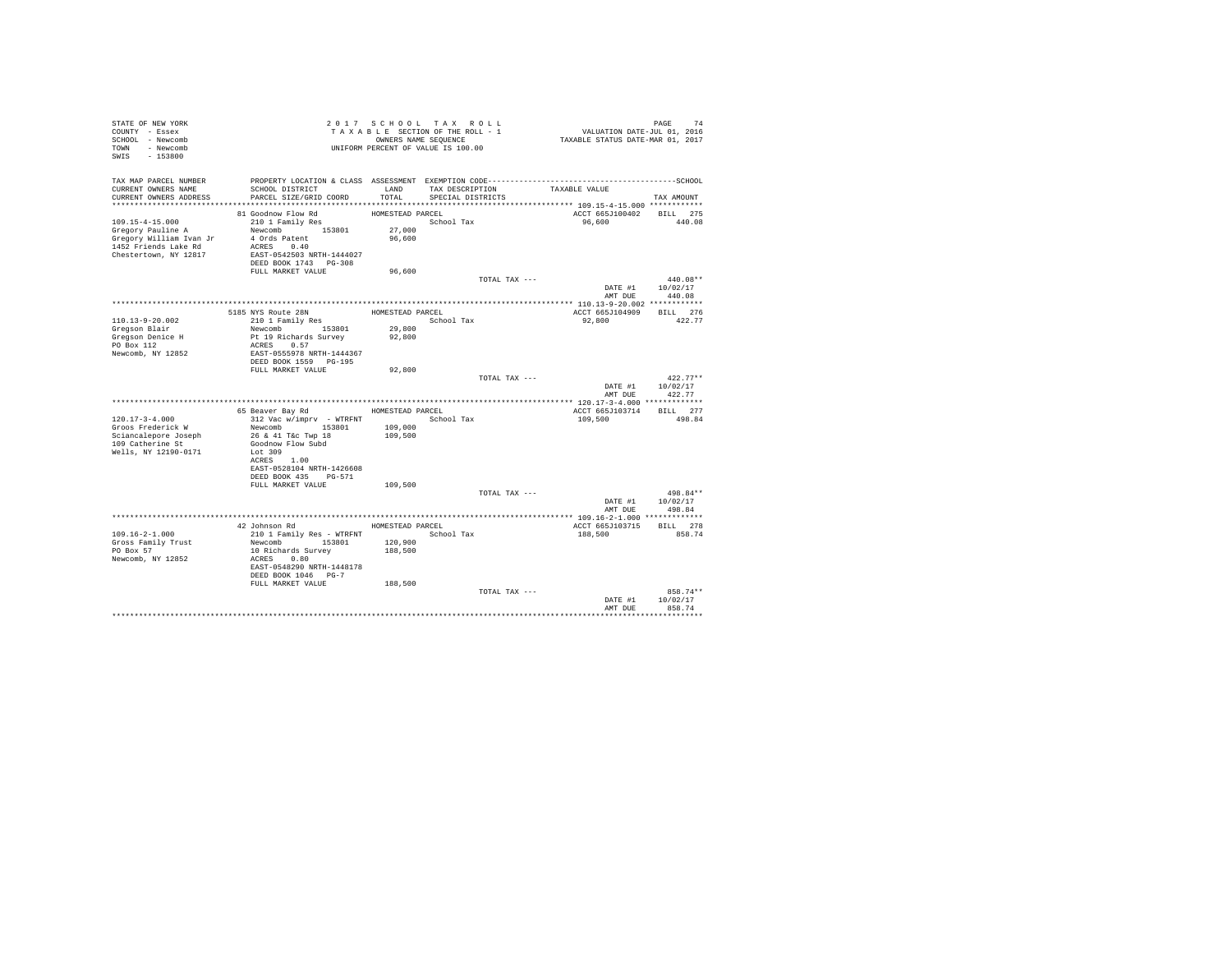| STATE OF NEW YORK<br>COUNTY - Essex<br>SCHOOL - Newcomb<br>TOWN - Newcomb<br>SWIS - 153800 |                                                    |                  | 2017 SCHOOL TAX ROLL<br>TAXABLE SECTION OF THE ROLL - 1<br>OWNERS NAME SEQUENCE<br>UNIFORM PERCENT OF VALUE IS 100.00 |                    | PAGE 74<br>VALUATION DATE-JUL 01, 2016<br>TAXABLE STATUS DATE-MAR 01, 2017 |
|--------------------------------------------------------------------------------------------|----------------------------------------------------|------------------|-----------------------------------------------------------------------------------------------------------------------|--------------------|----------------------------------------------------------------------------|
| TAX MAP PARCEL NUMBER                                                                      |                                                    |                  |                                                                                                                       |                    |                                                                            |
| CURRENT OWNERS NAME<br>CURRENT OWNERS ADDRESS                                              | SCHOOL DISTRICT<br>PARCEL SIZE/GRID COORD          | LAND<br>TOTAL.   | TAX DESCRIPTION<br>SPECIAL DISTRICTS                                                                                  | TAXABLE VALUE      | TAX AMOUNT                                                                 |
|                                                                                            |                                                    |                  |                                                                                                                       |                    |                                                                            |
|                                                                                            | 81 Goodnow Flow Rd                                 | HOMESTEAD PARCEL |                                                                                                                       |                    | ACCT 665J100402 BILL 275                                                   |
| $109.15 - 4 - 15.000$                                                                      | 210 1 Family Res                                   |                  | School Tax                                                                                                            | 96.600             | 440.08                                                                     |
| Gregory Pauline A                                                                          | Newcomb 153801                                     | 27,000           |                                                                                                                       |                    |                                                                            |
| Gregory William Ivan Jr                                                                    | 4 Ords Patent                                      | 96,600           |                                                                                                                       |                    |                                                                            |
| 1452 Friends Lake Rd                                                                       | ACRES 0.40                                         |                  |                                                                                                                       |                    |                                                                            |
| Chestertown, NY 12817                                                                      | EAST-0542503 NRTH-1444027<br>DEED BOOK 1743 PG-308 |                  |                                                                                                                       |                    |                                                                            |
|                                                                                            | FULL MARKET VALUE                                  | 96,600           |                                                                                                                       |                    |                                                                            |
|                                                                                            |                                                    |                  |                                                                                                                       | TOTAL TAX ---      | 440.08**                                                                   |
|                                                                                            |                                                    |                  |                                                                                                                       |                    | DATE #1 10/02/17<br>AMT DUE 440.08                                         |
|                                                                                            |                                                    |                  |                                                                                                                       |                    |                                                                            |
|                                                                                            | 5185 NYS Route 28N                                 | HOMESTEAD PARCEL |                                                                                                                       |                    | ACCT 665J104909 BILL 276                                                   |
| 110.13-9-20.002                                                                            | 210 1 Family Res                                   |                  | School Tax                                                                                                            | 92,800             | 422.77                                                                     |
| Gregson Blair                                                                              | Newcomb 153801                                     | 29,800           |                                                                                                                       |                    |                                                                            |
| Gregson Denice H                                                                           | Pt 19 Richards Survey                              | 92,800           |                                                                                                                       |                    |                                                                            |
| PO Box 112                                                                                 | ACRES 0.57                                         |                  |                                                                                                                       |                    |                                                                            |
| Newcomb, NY 12852                                                                          | EAST-0555978 NRTH-1444367                          |                  |                                                                                                                       |                    |                                                                            |
|                                                                                            | DEED BOOK 1559 PG-195<br>FULL MARKET VALUE         | 92,800           |                                                                                                                       |                    |                                                                            |
|                                                                                            |                                                    |                  |                                                                                                                       | TOTAL TAX ---      | $422.77**$                                                                 |
|                                                                                            |                                                    |                  |                                                                                                                       |                    | DATE #1 10/02/17                                                           |
|                                                                                            |                                                    |                  |                                                                                                                       |                    | 422.77<br>AMT DUE                                                          |
|                                                                                            |                                                    |                  |                                                                                                                       |                    |                                                                            |
|                                                                                            | 65 Beaver Bay Rd                                   | HOMESTEAD PARCEL |                                                                                                                       | ACCT 665J103714    | BILL 277                                                                   |
| $120.17 - 3 - 4.000$                                                                       | 312 Vac w/imprv - WTRFNT                           |                  | School Tax                                                                                                            | 109,500            | 498.84                                                                     |
| Groos Frederick W                                                                          | Newcomb 153801                                     | 109,000          |                                                                                                                       |                    |                                                                            |
| Sciancalepore Joseph<br>109 Catherine St                                                   | 26 & 41 T&c Twp 18<br>Goodnow Flow Subd            | 109,500          |                                                                                                                       |                    |                                                                            |
| Wells, NY 12190-0171                                                                       | Lot 309                                            |                  |                                                                                                                       |                    |                                                                            |
|                                                                                            | ACRES 1.00                                         |                  |                                                                                                                       |                    |                                                                            |
|                                                                                            | EAST-0528104 NRTH-1426608                          |                  |                                                                                                                       |                    |                                                                            |
|                                                                                            | DEED BOOK 435 PG-571                               |                  |                                                                                                                       |                    |                                                                            |
|                                                                                            | FULL MARKET VALUE                                  | 109,500          |                                                                                                                       |                    |                                                                            |
|                                                                                            |                                                    |                  |                                                                                                                       | TOTAL TAX ---      | 498.84**                                                                   |
|                                                                                            |                                                    |                  |                                                                                                                       |                    | DATE #1 10/02/17                                                           |
|                                                                                            |                                                    |                  |                                                                                                                       |                    | AMT DUE<br>498.84                                                          |
|                                                                                            | 42 Johnson Rd                                      |                  | HOMESTEAD PARCEL                                                                                                      | ACCT 665J103715    | BILL 278                                                                   |
| $109.16 - 2 - 1.000$                                                                       | 210 1 Family Res - WTRFNT                          |                  | School Tax                                                                                                            | 188,500            | 858.74                                                                     |
| Gross Family Trust                                                                         | Newcomb 153801 120,900                             |                  |                                                                                                                       |                    |                                                                            |
| PO Box 57                                                                                  | 10 Richards Survey                                 | 188,500          |                                                                                                                       |                    |                                                                            |
| Newcomb, NY 12852                                                                          | ACRES 0.80                                         |                  |                                                                                                                       |                    |                                                                            |
|                                                                                            | EAST-0548290 NRTH-1448178                          |                  |                                                                                                                       |                    |                                                                            |
|                                                                                            | DEED BOOK 1046 PG-7                                |                  |                                                                                                                       |                    |                                                                            |
|                                                                                            | FULL MARKET VALUE                                  | 188,500          |                                                                                                                       |                    |                                                                            |
|                                                                                            |                                                    |                  |                                                                                                                       | TOTAL TAX ---      | 858.74**                                                                   |
|                                                                                            |                                                    |                  |                                                                                                                       | DATE #1<br>AMT DUE | 10/02/17<br>858.74                                                         |
|                                                                                            |                                                    |                  |                                                                                                                       |                    |                                                                            |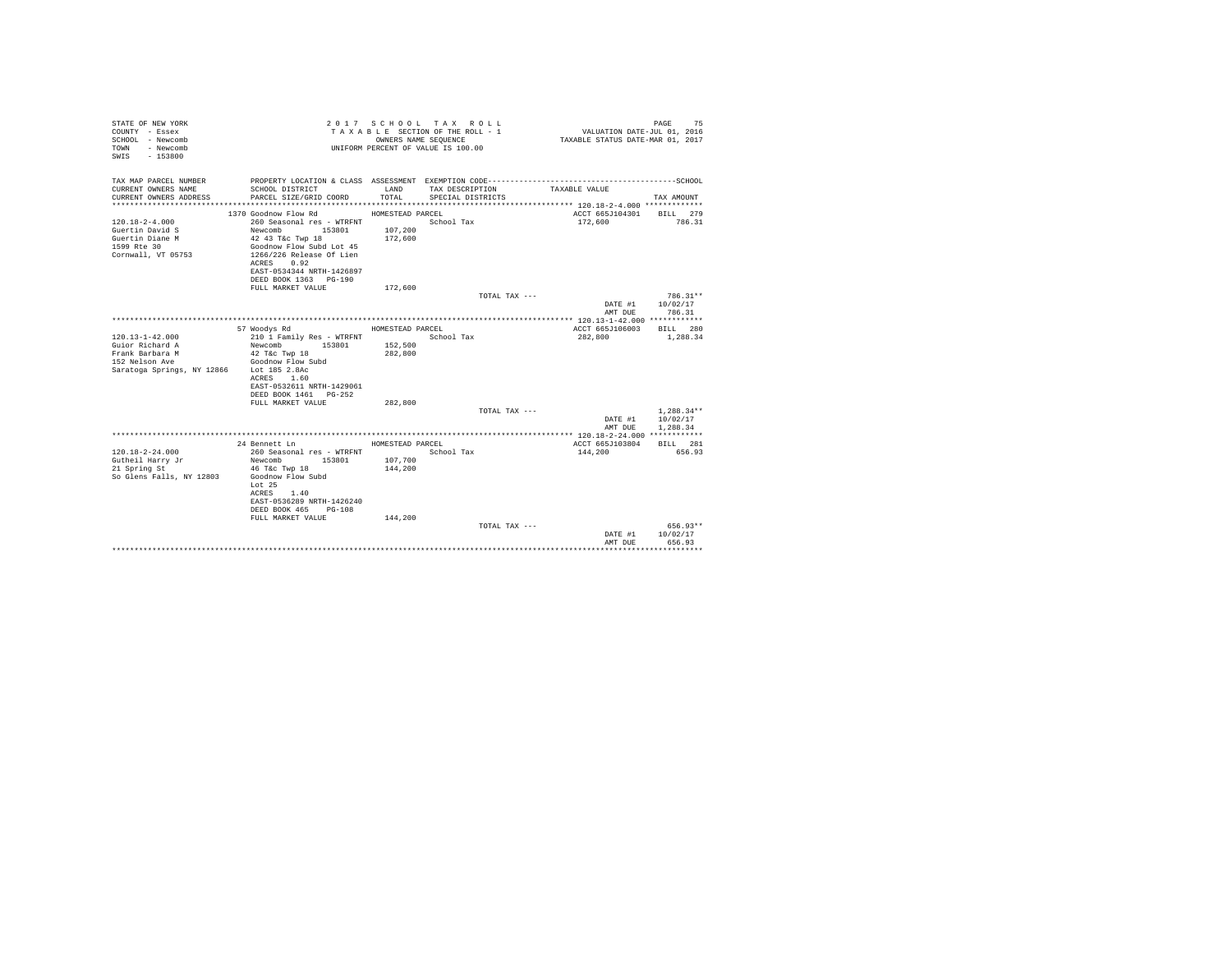| STATE OF NEW YORK<br>COUNTY - Essex<br>SCHOOL - Newcomb<br>- Newcomb<br>TOWN<br>$-153800$<br>SWTS |                                              | OWNERS NAME SEQUENCE | 2017 SCHOOL TAX ROLL<br>TAXABLE SECTION OF THE ROLL - 1<br>UNIFORM PERCENT OF VALUE IS 100.00 | VALUATION DATE-JUL 01, 2016<br>TAXABLE STATUS DATE-MAR 01, 2017 | 75<br>PAGE   |
|---------------------------------------------------------------------------------------------------|----------------------------------------------|----------------------|-----------------------------------------------------------------------------------------------|-----------------------------------------------------------------|--------------|
| TAX MAP PARCEL NUMBER                                                                             |                                              |                      |                                                                                               |                                                                 |              |
| CURRENT OWNERS NAME<br>CURRENT OWNERS ADDRESS                                                     | SCHOOL DISTRICT<br>PARCEL SIZE/GRID COORD    | LAND<br>TOTAL.       | TAX DESCRIPTION<br>SPECIAL DISTRICTS                                                          | TAXABLE VALUE                                                   | TAX AMOUNT   |
|                                                                                                   |                                              |                      |                                                                                               |                                                                 |              |
|                                                                                                   | 1370 Goodnow Flow Rd                         | HOMESTEAD PARCEL     |                                                                                               | ACCT 665J104301                                                 | BILL 279     |
| $120.18 - 2 - 4.000$                                                                              | 260 Seasonal res - WTRFNT                    |                      | School Tax                                                                                    | 172,600                                                         | 786.31       |
| Guertin David S                                                                                   | Newcomb 153801                               | 107,200              |                                                                                               |                                                                 |              |
| Guertin Diane M<br>1599 Rte 30                                                                    | 42 43 T&c Twp 18<br>Goodnow Flow Subd Lot 45 | 172,600              |                                                                                               |                                                                 |              |
| Cornwall, VT 05753                                                                                | 1266/226 Release Of Lien                     |                      |                                                                                               |                                                                 |              |
|                                                                                                   | ACRES 0.92                                   |                      |                                                                                               |                                                                 |              |
|                                                                                                   | EAST-0534344 NRTH-1426897                    |                      |                                                                                               |                                                                 |              |
|                                                                                                   | DEED BOOK 1363 PG-190                        |                      |                                                                                               |                                                                 |              |
|                                                                                                   | FULL MARKET VALUE                            | 172,600              |                                                                                               |                                                                 |              |
|                                                                                                   |                                              |                      | TOTAL TAX ---                                                                                 |                                                                 | 786.31**     |
|                                                                                                   |                                              |                      |                                                                                               | DATE #1                                                         | 10/02/17     |
|                                                                                                   |                                              |                      |                                                                                               | AMT DUE                                                         | 786.31       |
|                                                                                                   | 57 Woodys Rd                                 | HOMESTEAD PARCEL     |                                                                                               | ACCT 665J106003                                                 | BTT.T. 280   |
| $120.13 - 1 - 42.000$                                                                             | 210 1 Family Res - WTRFNT                    |                      | School Tax                                                                                    | 282,800                                                         | 1,288.34     |
| Guior Richard A                                                                                   | Newcomb<br>153801                            | 152,500              |                                                                                               |                                                                 |              |
| Frank Barbara M                                                                                   | 42 T&c Twp 18                                | 282,800              |                                                                                               |                                                                 |              |
| 152 Nelson Ave                                                                                    | Goodnow Flow Subd                            |                      |                                                                                               |                                                                 |              |
| Saratoga Springs, NY 12866 Lot 185 2.8Ac                                                          |                                              |                      |                                                                                               |                                                                 |              |
|                                                                                                   | ACRES 1.60                                   |                      |                                                                                               |                                                                 |              |
|                                                                                                   | EAST-0532611 NRTH-1429061                    |                      |                                                                                               |                                                                 |              |
|                                                                                                   | DEED BOOK 1461 PG-252<br>FULL MARKET VALUE   | 282,800              |                                                                                               |                                                                 |              |
|                                                                                                   |                                              |                      | TOTAL TAX ---                                                                                 |                                                                 | $1.288.34**$ |
|                                                                                                   |                                              |                      |                                                                                               | DATE #1                                                         | 10/02/17     |
|                                                                                                   |                                              |                      |                                                                                               | AMT DUE                                                         | 1,288.34     |
|                                                                                                   |                                              |                      |                                                                                               |                                                                 |              |
|                                                                                                   | 24 Bennett Ln                                | HOMESTEAD PARCEL     |                                                                                               | ACCT 665J103804                                                 | BILL 281     |
| $120.18 - 2 - 24.000$                                                                             | 260 Seasonal res - WTRFNT                    |                      | School Tax                                                                                    | 144,200                                                         | 656.93       |
| Gutheil Harry Jr                                                                                  | Newcomb 153801                               | 107,700              |                                                                                               |                                                                 |              |
| 21 Spring St                                                                                      | 46 T&c Twp 18                                | 144,200              |                                                                                               |                                                                 |              |
| So Glens Falls, NY 12803                                                                          | Goodnow Flow Subd<br>Lot 25                  |                      |                                                                                               |                                                                 |              |
|                                                                                                   | 1.40<br>ACRES                                |                      |                                                                                               |                                                                 |              |
|                                                                                                   | EAST-0536289 NRTH-1426240                    |                      |                                                                                               |                                                                 |              |
|                                                                                                   | DEED BOOK 465<br>$PG-108$                    |                      |                                                                                               |                                                                 |              |
|                                                                                                   | FULL MARKET VALUE                            | 144,200              |                                                                                               |                                                                 |              |
|                                                                                                   |                                              |                      | TOTAL TAX ---                                                                                 |                                                                 | 656.93**     |
|                                                                                                   |                                              |                      |                                                                                               | DATE #1                                                         | 10/02/17     |
|                                                                                                   |                                              |                      |                                                                                               | AMT DUE                                                         | 656.93       |
|                                                                                                   |                                              |                      |                                                                                               |                                                                 |              |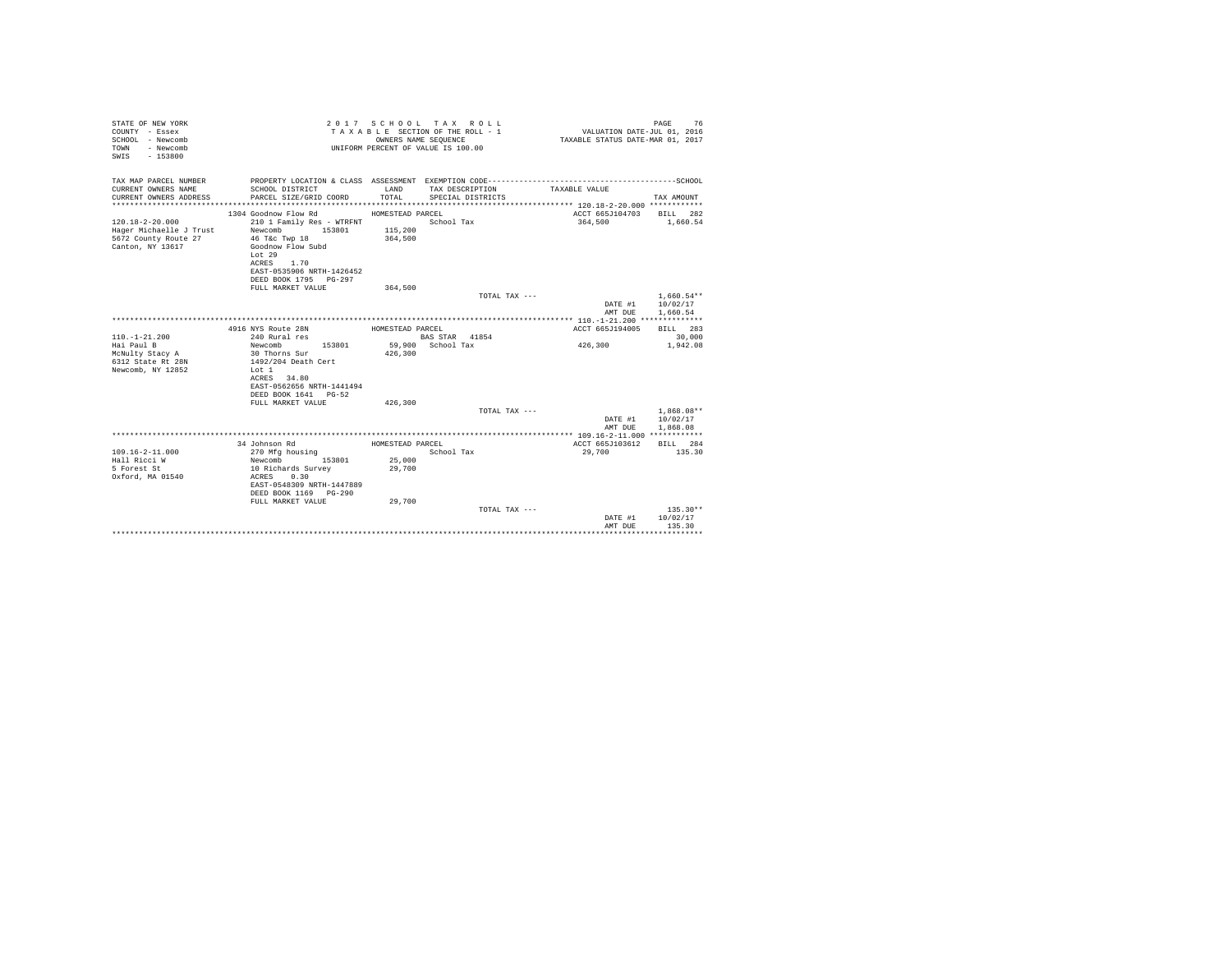| STATE OF NEW YORK<br>COUNTY - Essex<br>SCHOOL - Newcomb<br>- Newcomb<br><b>TOWN</b><br>$-153800$<br>SWIS |                                                                                                                                                                                                    | OWNERS NAME SEQUENCE                   | 2017 SCHOOL TAX ROLL<br>TAXABLE SECTION OF THE ROLL - 1<br>UNIFORM PERCENT OF VALUE IS 100.00 | VALUATION DATE-JUL 01, 2016<br>TAXABLE STATUS DATE-MAR 01, 2017 | 76<br>PAGE                           |
|----------------------------------------------------------------------------------------------------------|----------------------------------------------------------------------------------------------------------------------------------------------------------------------------------------------------|----------------------------------------|-----------------------------------------------------------------------------------------------|-----------------------------------------------------------------|--------------------------------------|
| TAX MAP PARCEL NUMBER<br>CURRENT OWNERS NAME<br>CURRENT OWNERS ADDRESS<br>*************************      | SCHOOL DISTRICT<br>PARCEL SIZE/GRID COORD                                                                                                                                                          | LAND<br>TOTAL                          | TAX DESCRIPTION<br>SPECIAL DISTRICTS                                                          | TAXABLE VALUE                                                   | TAX AMOUNT                           |
| $120.18 - 2 - 20.000$<br>Hager Michaelle J Trust<br>5672 County Route 27<br>Canton, NY 13617             | 1304 Goodnow Flow Rd<br>210 1 Family Res - WTRFNT<br>153801<br>Newcomb<br>46 T&c Twp 18<br>Goodnow Flow Subd<br>Lot 29<br>1.70<br>ACRES<br>EAST-0535906 NRTH-1426452<br>DEED BOOK 1795 PG-297      | HOMESTEAD PARCEL<br>115,200<br>364,500 | School Tax                                                                                    | ACCT 665J104703<br>364,500                                      | BILL 282<br>1,660.54                 |
|                                                                                                          | FULL MARKET VALUE                                                                                                                                                                                  | 364,500                                | TOTAL TAX ---                                                                                 | DATE #1<br>AMT DUE                                              | $1.660.54**$<br>10/02/17<br>1,660.54 |
| $110. - 1 - 21.200$<br>Hai Paul B<br>McNulty Stacy A<br>6312 State Rt 28N<br>Newcomb, NY 12852           | 4916 NYS Route 28N<br>240 Rural res<br>Newcomb<br>153801<br>30 Thorns Sur<br>1492/204 Death Cert<br>Lot 1<br>ACRES 34.80<br>EAST-0562656 NRTH-1441494<br>DEED BOOK 1641 PG-52<br>FULL MARKET VALUE | HOMESTEAD PARCEL<br>426,300<br>426,300 | BAS STAR 41854<br>59,900 School Tax                                                           | ACCT 665J194005<br>426,300                                      | BILL 283<br>30,000<br>1,942.08       |
|                                                                                                          |                                                                                                                                                                                                    |                                        | TOTAL TAX ---                                                                                 | DATE #1<br>AMT DUE                                              | $1,868.08**$<br>10/02/17<br>1,868.08 |
| $109.16 - 2 - 11.000$<br>Hall Ricci W<br>5 Forest St<br>Oxford, MA 01540                                 | 34 Johnson Rd<br>270 Mfg housing<br>153801<br>Newcomb<br>10 Richards Survey<br>ACRES 0.30<br>EAST-0548309 NRTH-1447889<br>DEED BOOK 1169 PG-290                                                    | HOMESTEAD PARCEL<br>25,000<br>29,700   | School Tax                                                                                    | ACCT 665J103612<br>29,700                                       | BILL 284<br>135.30                   |
|                                                                                                          | FULL MARKET VALUE                                                                                                                                                                                  | 29,700                                 | TOTAL TAX ---                                                                                 | DATE #1<br>AMT DUE                                              | $135.30**$<br>10/02/17<br>135.30     |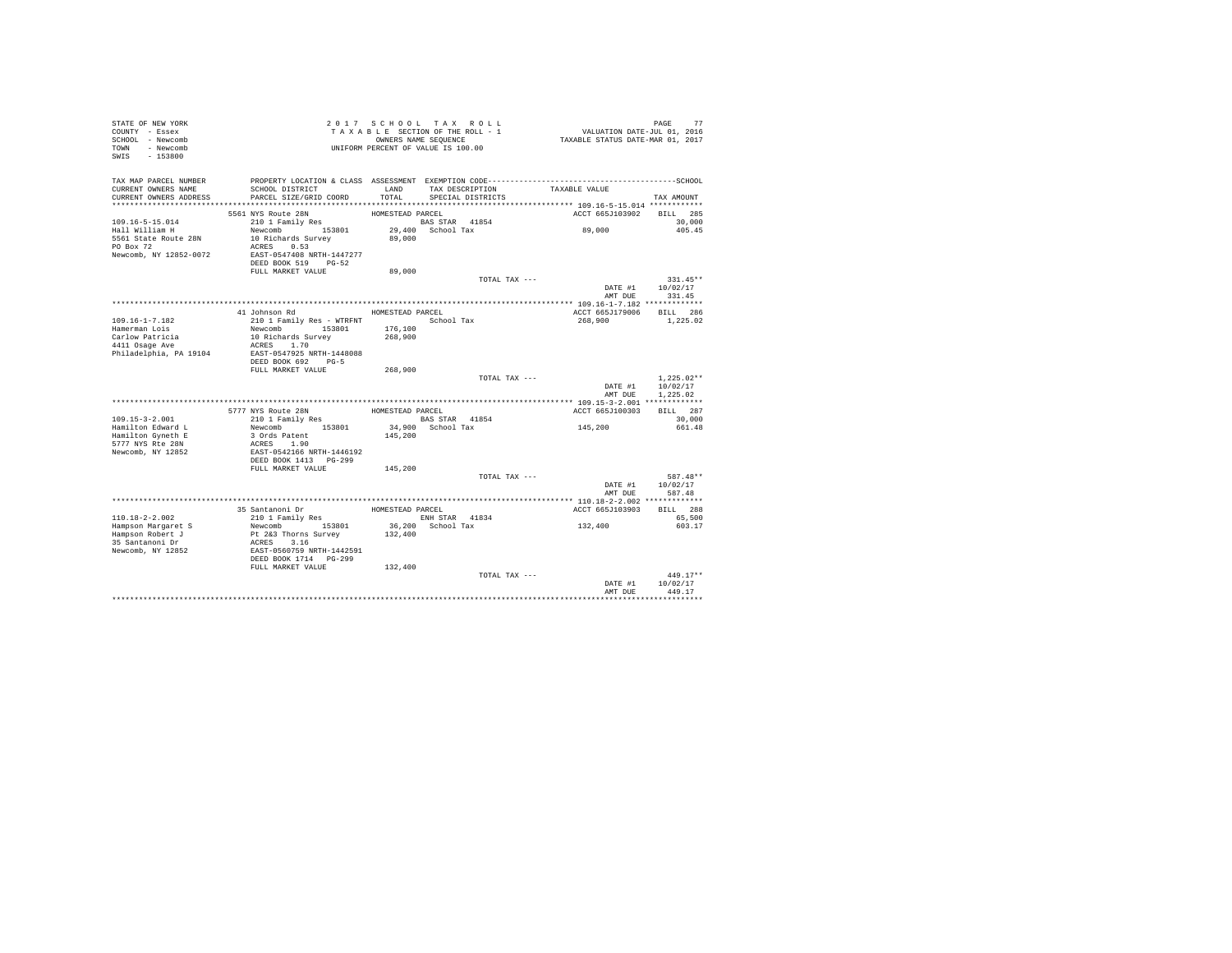| STATE OF NEW YORK<br>COUNTY - Essex<br>SCHOOL - Newcomb<br>TOWN - Newcomb<br>$-153800$<br>SWIS         |                                                                                                                            |                    | 2017 SCHOOL TAX ROLL<br>TAXABLE SECTION OF THE ROLL - 1<br>OWNERS NAME SEQUENCE<br>UNIFORM PERCENT OF VALUE IS 100.00 |               | PAGE 77<br>VALUATION DATE-JUL 01, 2016<br>TAXABLE STATUS DATE-MAR 01, 2017 |                                      |
|--------------------------------------------------------------------------------------------------------|----------------------------------------------------------------------------------------------------------------------------|--------------------|-----------------------------------------------------------------------------------------------------------------------|---------------|----------------------------------------------------------------------------|--------------------------------------|
| TAX MAP PARCEL NUMBER<br>CURRENT OWNERS NAME<br>CURRENT OWNERS ADDRESS                                 | SCHOOL DISTRICT<br>PARCEL SIZE/GRID COORD                                                                                  | LAND<br>TOTAL      | TAX DESCRIPTION<br>SPECIAL DISTRICTS                                                                                  | TAXABLE VALUE |                                                                            | TAX AMOUNT                           |
|                                                                                                        | 5561 NYS Route 28N                                                                                                         | HOMESTEAD PARCEL   |                                                                                                                       |               | ACCT 665J103902                                                            | <b>BILL</b> 285                      |
| $109.16 - 5 - 15.014$<br>Hall William H<br>5561 State Route 28N<br>PO Box 72<br>Newcomb, NY 12852-0072 | 210 1 Family Res<br>Newcomb 153801<br>10 Richards Survey<br>ACRES 0.53<br>EAST-0547408 NRTH-1447277<br>DEED BOOK 519 PG-52 | 89,000             | <b>BAS STAR</b> 41854<br>29,400 School Tax                                                                            | 89,000        |                                                                            | 30,000<br>405.45                     |
|                                                                                                        | FULL MARKET VALUE                                                                                                          | 89,000             |                                                                                                                       | TOTAL TAX --- |                                                                            | $331.45**$                           |
|                                                                                                        |                                                                                                                            |                    |                                                                                                                       |               | DATE #1 10/02/17<br>AMT DUE 331.45                                         |                                      |
|                                                                                                        | 41 Johnson Rd                                                                                                              | HOMESTEAD PARCEL   |                                                                                                                       |               | ACCT 665J179006 BILL 286                                                   |                                      |
| $109.16 - 1 - 7.182$<br>Hamerman Lois<br>Carlow Patricia                                               | 210 1 Family Res - WTRFNT School Tax<br>Newcomb 153801<br>10 Richards Survey                                               | 176,100<br>268,900 |                                                                                                                       |               | 268,900                                                                    | 1,225.02                             |
| 4411 Osage Ave<br>Philadelphia, PA 19104                                                               | ACRES 1.70<br>EAST-0547925 NRTH-1448088<br>DEED BOOK 692 PG-5<br>FULL MARKET VALUE                                         | 268,900            |                                                                                                                       |               |                                                                            |                                      |
|                                                                                                        |                                                                                                                            |                    |                                                                                                                       | TOTAL TAX --- | DATE #1<br>AMT DUR                                                         | $1,225.02**$<br>10/02/17<br>1.225.02 |
|                                                                                                        |                                                                                                                            |                    |                                                                                                                       |               |                                                                            |                                      |
|                                                                                                        | 5777 NYS Route 28N                                                                                                         | HOMESTEAD PARCEL   |                                                                                                                       |               | ACCT 665J100303                                                            | BILL 287                             |
| $109.15 - 3 - 2.001$<br>Hamilton Edward L                                                              | 210 1 Family Res<br>Newcomb 153801                                                                                         |                    | BAS STAR 41854<br>34,900 School Tax                                                                                   | 145,200       |                                                                            | 30,000<br>661.48                     |
| Hamilton Gyneth E<br>5777 NYS Rte 28N<br>Newcomb, NY 12852                                             | 3 Ords Patent<br>ACRES 1.90<br>EAST-0542166 NRTH-1446192<br>DEED BOOK 1413 PG-299                                          | 145,200            |                                                                                                                       |               |                                                                            |                                      |
|                                                                                                        | FULL MARKET VALUE                                                                                                          | 145,200            |                                                                                                                       |               |                                                                            |                                      |
|                                                                                                        |                                                                                                                            |                    |                                                                                                                       | TOTAL TAX --- | DATE #1<br>AMT DUE                                                         | 587.48**<br>10/02/17<br>587.48       |
|                                                                                                        |                                                                                                                            |                    |                                                                                                                       |               |                                                                            |                                      |
| 110.18-2-2.002                                                                                         | 35 Santanoni Dr<br>210 1 Family Res                                                                                        | HOMESTEAD PARCEL   | ENH STAR 41834                                                                                                        |               | ACCT 665J103903                                                            | BILL 288<br>65,500                   |
| Hampson Margaret S<br>Hampson Robert J<br>35 Santanoni Dr<br>Newcomb, NY 12852                         | Newcomb 153801<br>Pt 2&3 Thorns Survey<br>ACRES 3.16<br>EAST-0560759 NRTH-1442591<br>DEED BOOK 1714 PG-299                 | 132,400            | 36,200 School Tax                                                                                                     | 132,400       |                                                                            | 603.17                               |
|                                                                                                        | FULL MARKET VALUE                                                                                                          | 132,400            |                                                                                                                       | TOTAL TAX --- | DATE #1                                                                    | $449.17**$<br>10/02/17               |
|                                                                                                        |                                                                                                                            |                    |                                                                                                                       |               | AMT DUE                                                                    | 449.17                               |
|                                                                                                        |                                                                                                                            |                    |                                                                                                                       |               |                                                                            |                                      |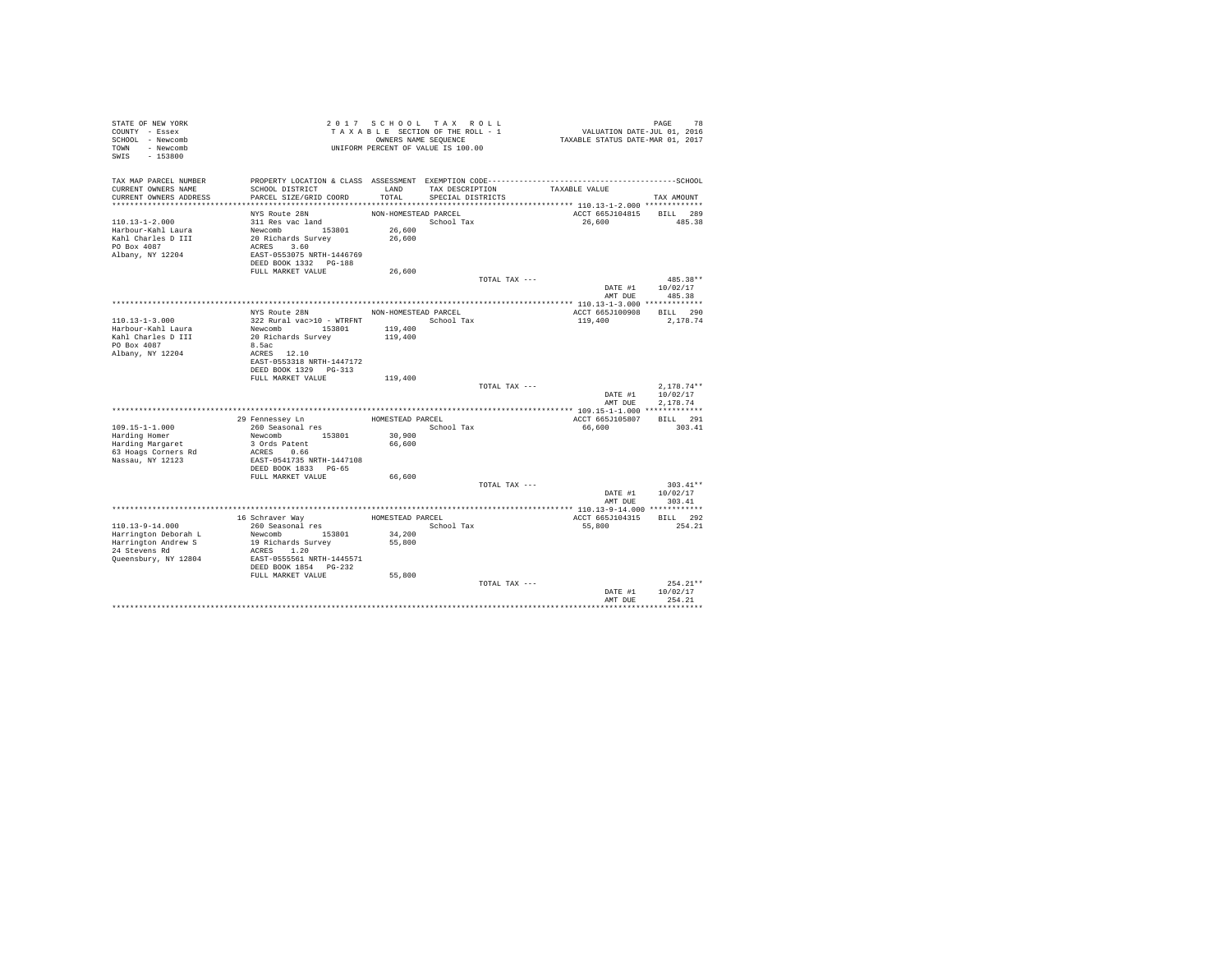| STATE OF NEW YORK<br>COUNTY - Essex<br>SCHOOL - Newcomb<br>TOWN - Newcomb |                                            |                      | 2017 SCHOOL TAX ROLL<br>TAXABLE SECTION OF THE ROLL - 1<br>OWNERS NAME SEQUENCE<br>UNIFORM PERCENT OF VALUE IS 100.00 |               | 78 PAGE 78<br>VALUATION DATE-JUL 01, 2016<br>TAXABLE STATUS DATE-MAR 01, 2017 |                      |
|---------------------------------------------------------------------------|--------------------------------------------|----------------------|-----------------------------------------------------------------------------------------------------------------------|---------------|-------------------------------------------------------------------------------|----------------------|
| SWIS<br>$-153800$                                                         |                                            |                      |                                                                                                                       |               |                                                                               |                      |
| TAX MAP PARCEL NUMBER                                                     |                                            |                      |                                                                                                                       |               |                                                                               |                      |
| CURRENT OWNERS NAME                                                       | SCHOOL DISTRICT                            | LAND                 | TAX DESCRIPTION                                                                                                       |               | TAXABLE VALUE                                                                 |                      |
| CURRENT OWNERS ADDRESS                                                    | PARCEL SIZE/GRID COORD                     | TOTAL                | SPECIAL DISTRICTS                                                                                                     |               |                                                                               | TAX AMOUNT           |
|                                                                           | NYS Route 28N                              | NON-HOMESTEAD PARCEL |                                                                                                                       |               | ACCT 665J104815 BILL 289                                                      |                      |
| $110.13 - 1 - 2.000$                                                      | 311 Res vac land                           |                      | School Tax                                                                                                            |               | 26,600                                                                        | 485.38               |
| Harbour-Kahl Laura                                                        | Newcomb 153801                             | 26,600               |                                                                                                                       |               |                                                                               |                      |
| Kahl Charles D III                                                        | 20 Richards Survey                         | 26,600               |                                                                                                                       |               |                                                                               |                      |
| PO Box 4087                                                               | ACRES 3.60                                 |                      |                                                                                                                       |               |                                                                               |                      |
| Albany, NY 12204                                                          | EAST-0553075 NRTH-1446769                  |                      |                                                                                                                       |               |                                                                               |                      |
|                                                                           | DEED BOOK 1332 PG-188                      |                      |                                                                                                                       |               |                                                                               |                      |
|                                                                           | FULL MARKET VALUE                          | 26,600               |                                                                                                                       |               |                                                                               |                      |
|                                                                           |                                            |                      |                                                                                                                       | TOTAL TAX --- |                                                                               | 485.38**             |
|                                                                           |                                            |                      |                                                                                                                       |               |                                                                               | DATE #1 10/02/17     |
|                                                                           |                                            |                      |                                                                                                                       |               | AMT DUE                                                                       | 485.38               |
|                                                                           |                                            |                      |                                                                                                                       |               |                                                                               |                      |
| $110.13 - 1 - 3.000$                                                      | NYS Route 28N<br>322 Rural vac>10 - WTRFNT | NON-HOMESTEAD PARCEL | School Tax                                                                                                            |               | ACCT 665J100908<br>119,400                                                    | BILL 290             |
| Harbour-Kahl Laura                                                        | Newcomb 153801                             | 119,400              |                                                                                                                       |               |                                                                               | 2,178.74             |
| Kahl Charles D III                                                        | 20 Richards Survey                         | 119,400              |                                                                                                                       |               |                                                                               |                      |
| PO Box 4087                                                               | 8.5ac                                      |                      |                                                                                                                       |               |                                                                               |                      |
| Albany, NY 12204                                                          | ACRES 12.10                                |                      |                                                                                                                       |               |                                                                               |                      |
|                                                                           | EAST-0553318 NRTH-1447172                  |                      |                                                                                                                       |               |                                                                               |                      |
|                                                                           | DEED BOOK 1329 PG-313                      |                      |                                                                                                                       |               |                                                                               |                      |
|                                                                           | FULL MARKET VALUE                          | 119,400              |                                                                                                                       |               |                                                                               |                      |
|                                                                           |                                            |                      |                                                                                                                       | TOTAL TAX --- |                                                                               | $2.178.74**$         |
|                                                                           |                                            |                      |                                                                                                                       |               | DATE #1<br>AMT DUE                                                            | 10/02/17<br>2.178.74 |
|                                                                           |                                            |                      |                                                                                                                       |               |                                                                               |                      |
|                                                                           | 29 Fennessev Ln                            | HOMESTEAD PARCEL     |                                                                                                                       |               | ACCT 665J105807                                                               | BILL 291             |
| $109.15 - 1 - 1.000$                                                      | 260 Seasonal res                           |                      | School Tax                                                                                                            |               | 66,600                                                                        | 303.41               |
| Harding Homer                                                             | Newcomb 153801                             | 30,900               |                                                                                                                       |               |                                                                               |                      |
| Harding Margaret                                                          | 3 Ords Patent                              | 66,600               |                                                                                                                       |               |                                                                               |                      |
| 63 Hoags Corners Rd                                                       | ACRES 0.66                                 |                      |                                                                                                                       |               |                                                                               |                      |
| Nassau, NY 12123                                                          | EAST-0541735 NRTH-1447108                  |                      |                                                                                                                       |               |                                                                               |                      |
|                                                                           | DEED BOOK 1833 PG-65                       |                      |                                                                                                                       |               |                                                                               |                      |
|                                                                           | FULL MARKET VALUE                          | 66,600               |                                                                                                                       |               |                                                                               |                      |
|                                                                           |                                            |                      |                                                                                                                       | TOTAL TAX --- |                                                                               | $303.41**$           |
|                                                                           |                                            |                      |                                                                                                                       |               | DATE #1<br>AMT DUE                                                            | 10/02/17<br>303.41   |
|                                                                           |                                            |                      |                                                                                                                       |               | **************** 110.13-9-14.000 ************                                 |                      |
|                                                                           | 16 Schraver Way                            | HOMESTEAD PARCEL     |                                                                                                                       |               | ACCT 665J104315                                                               | BILL 292             |
| 110.13-9-14.000                                                           | 260 Seasonal res                           |                      | School Tax                                                                                                            |               | 55,800                                                                        | 254.21               |
| Harrington Deborah L                                                      | Newcomb 153801                             | 34,200               |                                                                                                                       |               |                                                                               |                      |
| Harrington Andrew S                                                       | 19 Richards Survey                         | 55,800               |                                                                                                                       |               |                                                                               |                      |
| 24 Stevens Rd                                                             | ACRES 1.20                                 |                      |                                                                                                                       |               |                                                                               |                      |
| Queensbury, NY 12804                                                      | EAST-0555561 NRTH-1445571                  |                      |                                                                                                                       |               |                                                                               |                      |
|                                                                           | DEED BOOK 1854 PG-232                      |                      |                                                                                                                       |               |                                                                               |                      |
|                                                                           | FULL MARKET VALUE                          | 55,800               |                                                                                                                       |               |                                                                               | $254.21**$           |
|                                                                           |                                            |                      |                                                                                                                       | TOTAL TAX --- | DATE #1                                                                       | 10/02/17             |
|                                                                           |                                            |                      |                                                                                                                       |               | AMT DUE                                                                       | 254.21               |
|                                                                           |                                            |                      |                                                                                                                       |               |                                                                               |                      |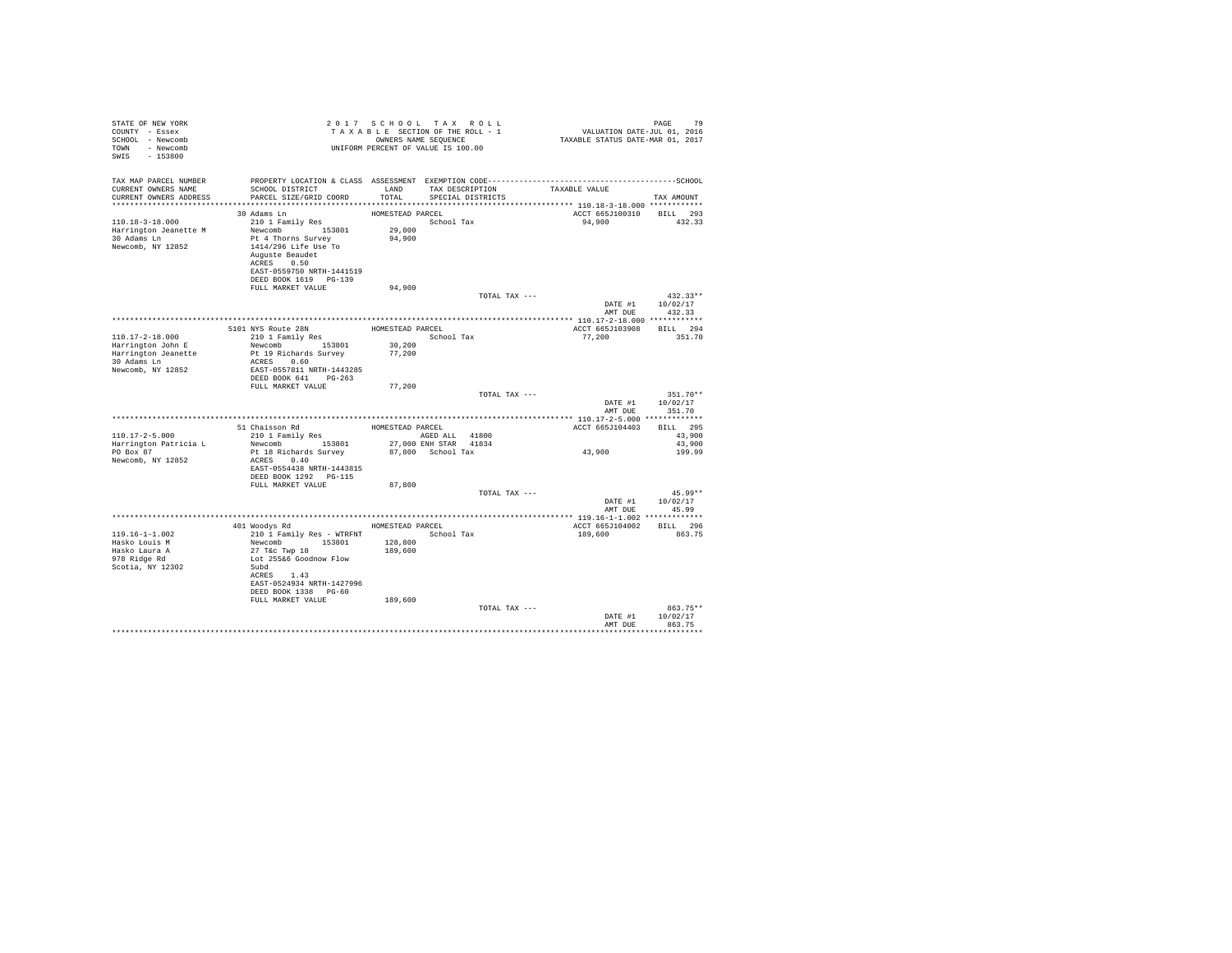| STATE OF NEW YORK<br>COUNTY - Essex<br>SCHOOL - Newcomb<br>TOWN - Newcomb<br>SWIS<br>$-153800$ |                                                                                        |                  | 2017 SCHOOL TAX ROLL<br>TAXABLE SECTION OF THE ROLL - 1<br>OWNERS NAME SEQUENCE<br>UNIFORM PERCENT OF VALUE IS 100.00 | ر،<br>701, VALUATION DATE-JUL 01, 2016<br>7017 TAXABLE STATUS DATE-MAR | 79<br>PAGE       |
|------------------------------------------------------------------------------------------------|----------------------------------------------------------------------------------------|------------------|-----------------------------------------------------------------------------------------------------------------------|------------------------------------------------------------------------|------------------|
| TAX MAP PARCEL NUMBER<br>CURRENT OWNERS NAME<br>CURRENT OWNERS ADDRESS                         | SCHOOL DISTRICT TAND TAX DESCRIPTION<br>PARCEL SIZE/GRID COORD TOTAL SPECIAL DISTRICTS |                  |                                                                                                                       | TAXABLE VALUE                                                          | TAX AMOUNT       |
|                                                                                                | 30 Adams Ln                                                                            | HOMESTEAD PARCEL |                                                                                                                       | ACCT 665J100310 BILL 293                                               |                  |
| 110.18-3-18.000                                                                                | 210 1 Family Res                                                                       |                  | School Tax                                                                                                            | 94,900                                                                 | 432.33           |
| Harrington Jeanette M                                                                          | Newcomb 153801                                                                         | 29,000           |                                                                                                                       |                                                                        |                  |
| 30 Adams Ln                                                                                    | Pt 4 Thorns Survey                                                                     | 94,900           |                                                                                                                       |                                                                        |                  |
| Newcomb, NY 12852                                                                              | 1414/296 Life Use To                                                                   |                  |                                                                                                                       |                                                                        |                  |
|                                                                                                | Auguste Beaudet                                                                        |                  |                                                                                                                       |                                                                        |                  |
|                                                                                                | ACRES 0.50                                                                             |                  |                                                                                                                       |                                                                        |                  |
|                                                                                                | EAST-0559750 NRTH-1441519                                                              |                  |                                                                                                                       |                                                                        |                  |
|                                                                                                | DEED BOOK 1619 PG-139                                                                  |                  |                                                                                                                       |                                                                        |                  |
|                                                                                                | FULL MARKET VALUE                                                                      | 94,900           | TOTAL TAX ---                                                                                                         |                                                                        | $432.33**$       |
|                                                                                                |                                                                                        |                  |                                                                                                                       |                                                                        | DATE #1 10/02/17 |
|                                                                                                |                                                                                        |                  |                                                                                                                       | AMT DUE                                                                | 432.33           |
|                                                                                                |                                                                                        |                  |                                                                                                                       |                                                                        |                  |
|                                                                                                |                                                                                        |                  |                                                                                                                       | ACCT 665J103908                                                        | BILL 294         |
| $110.17 - 2 - 18.000$                                                                          | 5101 NYS Route 28N HOMESTEAD PARCEL<br>210 1 Family Res School Tax                     |                  | School Tax                                                                                                            | 77,200                                                                 | 351.70           |
| Harrington John E                                                                              | Newcomb 153801                                                                         | 30,200           |                                                                                                                       |                                                                        |                  |
| Harrington Jeanette                                                                            | Pt 19 Richards Survey                                                                  | 77,200           |                                                                                                                       |                                                                        |                  |
| 30 Adams Ln                                                                                    | ACRES 0.60                                                                             |                  |                                                                                                                       |                                                                        |                  |
| Newcomb, NY 12852                                                                              | EAST-0557811 NRTH-1443285                                                              |                  |                                                                                                                       |                                                                        |                  |
|                                                                                                | DEED BOOK 641 PG-263                                                                   |                  |                                                                                                                       |                                                                        |                  |
|                                                                                                | FULL MARKET VALUE                                                                      | 77,200           | TOTAL TAX ---                                                                                                         |                                                                        | $351.70**$       |
|                                                                                                |                                                                                        |                  |                                                                                                                       | DATE #1                                                                | 10/02/17         |
|                                                                                                |                                                                                        |                  |                                                                                                                       | AMT DUE                                                                | 351.70           |
|                                                                                                |                                                                                        |                  |                                                                                                                       |                                                                        |                  |
|                                                                                                | 51 Chaisson Rd<br>210 1 Family Res<br>210 1 Family Res<br>210 1 AGED ALL<br>21800      |                  |                                                                                                                       | ACCT 665J104403                                                        | BILL 295         |
| $110.17 - 2 - 5.000$                                                                           |                                                                                        |                  |                                                                                                                       |                                                                        | 43,900           |
| Harrington Patricia L                                                                          | Newcomb 153801                                                                         |                  | 27,000 ENH STAR 41834                                                                                                 |                                                                        | 43,900           |
| PO Box 87                                                                                      | Pt 18 Richards Survey                                                                  |                  | 87,800 School Tax                                                                                                     | 43,900                                                                 | 199.99           |
| Newcomb, NY 12852                                                                              | ACRES 0.40                                                                             |                  |                                                                                                                       |                                                                        |                  |
|                                                                                                | EAST-0554438 NRTH-1443815<br>DEED BOOK 1292 PG-115                                     |                  |                                                                                                                       |                                                                        |                  |
|                                                                                                | FULL MARKET VALUE                                                                      | 87,800           |                                                                                                                       |                                                                        |                  |
|                                                                                                |                                                                                        |                  | TOTAL TAX ---                                                                                                         |                                                                        | $45.99**$        |
|                                                                                                |                                                                                        |                  |                                                                                                                       |                                                                        | DATE #1 10/02/17 |
|                                                                                                |                                                                                        |                  |                                                                                                                       | AMT DUE                                                                | 45.99            |
|                                                                                                |                                                                                        |                  |                                                                                                                       |                                                                        |                  |
|                                                                                                | 401 Woodys Rd MOMESTEAD PARCEL                                                         |                  |                                                                                                                       | ACCT 665J104002                                                        | BILL 296         |
| $119.16 - 1 - 1.002$                                                                           | 210 1 Family Res - WTRFNT                                                              |                  | School Tax                                                                                                            | 189,600                                                                | 863.75           |
| Hasko Louis M                                                                                  | Newcomb 153801                                                                         | 128,800          |                                                                                                                       |                                                                        |                  |
| Hasko Laura A                                                                                  | 27 T&C Twp 18                                                                          | 189,600          |                                                                                                                       |                                                                        |                  |
| 978 Ridge Rd<br>Scotia, NY 12302                                                               | Lot 255&6 Goodnow Flow<br>Subd                                                         |                  |                                                                                                                       |                                                                        |                  |
|                                                                                                | ACRES 1.43                                                                             |                  |                                                                                                                       |                                                                        |                  |
|                                                                                                | EAST-0524934 NRTH-1427996                                                              |                  |                                                                                                                       |                                                                        |                  |
|                                                                                                | DEED BOOK 1338 PG-60                                                                   |                  |                                                                                                                       |                                                                        |                  |
|                                                                                                | FULL MARKET VALUE                                                                      | 189,600          |                                                                                                                       |                                                                        |                  |
|                                                                                                |                                                                                        |                  | TOTAL TAX ---                                                                                                         |                                                                        | 863.75**         |
|                                                                                                |                                                                                        |                  |                                                                                                                       | DATE #1                                                                | 10/02/17         |
|                                                                                                |                                                                                        |                  |                                                                                                                       | AMT DUE                                                                | 863.75           |
|                                                                                                |                                                                                        |                  |                                                                                                                       |                                                                        |                  |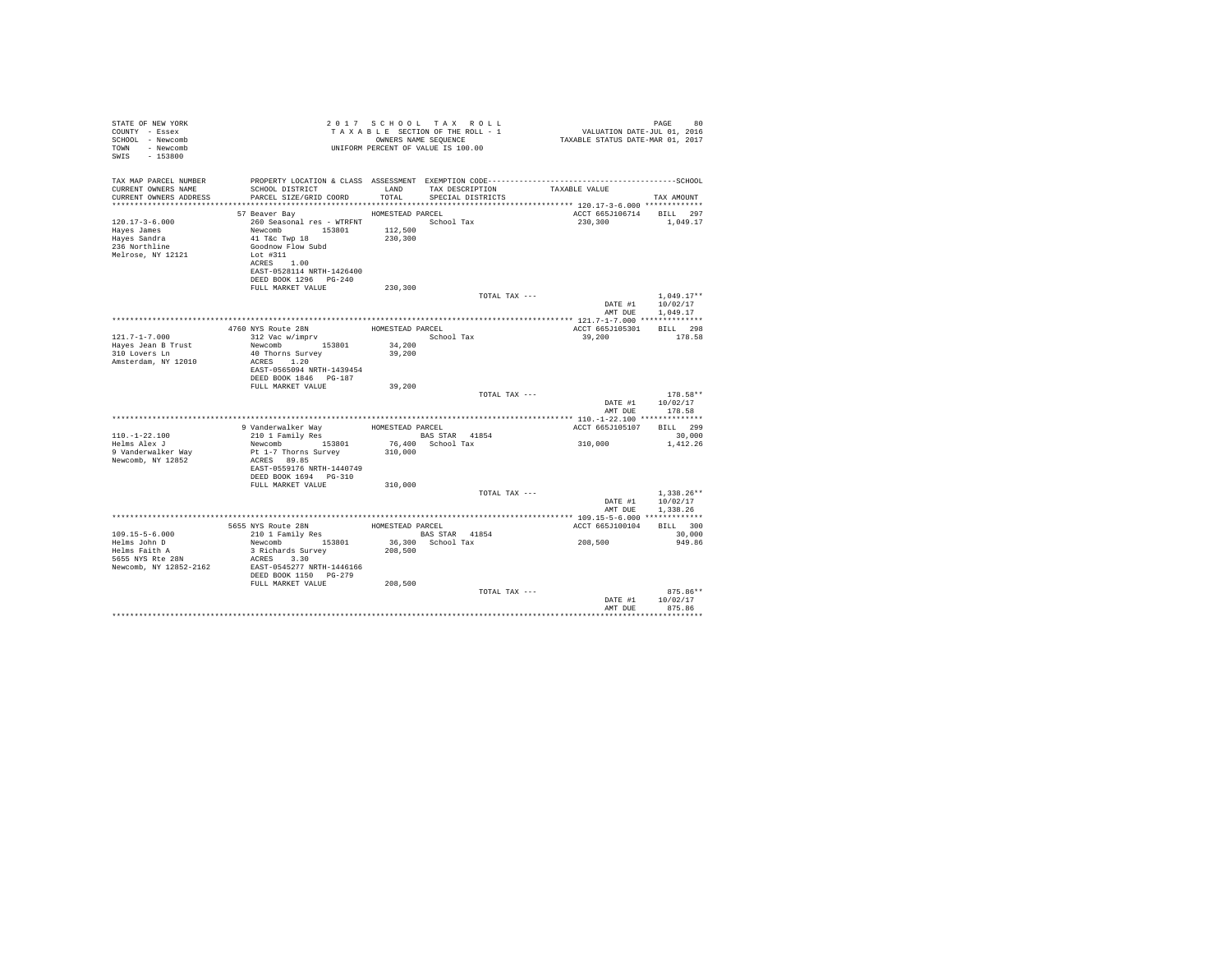| STATE OF NEW YORK<br>COUNTY - Essex<br>SCHOOL - Newcomb<br>TOWN - Newcomb<br>SWIS - 153800 |                                                                                                                                                                                                                                                                                                                                                                                                       |         | 2017 SCHOOL TAX ROLL<br>OWNERS NAME SEQUENCE<br>UNIFORM PERCENT OF VALUE IS 100.00 |                          | 80<br>PAGE                                           |  |
|--------------------------------------------------------------------------------------------|-------------------------------------------------------------------------------------------------------------------------------------------------------------------------------------------------------------------------------------------------------------------------------------------------------------------------------------------------------------------------------------------------------|---------|------------------------------------------------------------------------------------|--------------------------|------------------------------------------------------|--|
| TAX MAP PARCEL NUMBER<br>CURRENT OWNERS NAME<br>CURRENT OWNERS ADDRESS                     | PROPERTY LOCATION & CLASS ASSESSMENT EXEMPTION CODE-----------------------------------SCHOOL<br>SCHOOL DISTRICT LAND<br>PARCEL SIZE/GRID COORD TOTAL                                                                                                                                                                                                                                                  |         | TAX DESCRIPTION TAXABLE VALUE SPECIAL DISTRICTS                                    |                          | TAX AMOUNT                                           |  |
|                                                                                            | HOMESTEAD PARCEL<br>57 Beaver Bay                                                                                                                                                                                                                                                                                                                                                                     |         |                                                                                    | ACCT 665J106714 BILL 297 |                                                      |  |
| $120.17 - 3 - 6.000$<br>Hayes James<br>Hayes Sandra<br>236 Northline<br>Melrose, NY 12121  | 260 Seasonal res - WTRFNT<br>Newcomb 153801 112,500<br>41 Tac Twp 18 230,300<br>Goodnow Flow Subd<br>Lot #311<br>ACRES 1.00<br>EAST-0528114 NRTH-1426400<br>DEED BOOK 1296    PG-240                                                                                                                                                                                                                  |         |                                                                                    | 230,300 1,049.17         |                                                      |  |
|                                                                                            | FULL MARKET VALUE                                                                                                                                                                                                                                                                                                                                                                                     | 230,300 |                                                                                    |                          |                                                      |  |
|                                                                                            |                                                                                                                                                                                                                                                                                                                                                                                                       |         | TOTAL TAX ---                                                                      |                          | $1.049.17**$<br>DATE #1 10/02/17<br>AMT DUE 1,049.17 |  |
|                                                                                            |                                                                                                                                                                                                                                                                                                                                                                                                       |         |                                                                                    |                          |                                                      |  |
|                                                                                            | $\begin{tabular}{ll} 4760 NYS Route & 28N & \multicolumn{2}{l}{HOMESTEAD PARCH} \\ 312 Vec W/imprv & & & & & & & \\ \end{tabular}$                                                                                                                                                                                                                                                                    |         |                                                                                    | ACCT 665J105301 BILL 298 |                                                      |  |
| $121.7 - 1 - 7.000$<br>Hayes Jean B Trust<br>310 Lovers Ln<br>Amsterdam, NY 12010          | Newcomb 153801 34,200<br>40 Thorns Survey<br>ACRES 1.20<br>EAST-0565094 NRTH-1439454                                                                                                                                                                                                                                                                                                                  | 39,200  | School Tax                                                                         | 39,200                   | 178.58                                               |  |
|                                                                                            | DEED BOOK 1846 PG-187<br>FULL MARKET VALUE                                                                                                                                                                                                                                                                                                                                                            | 39,200  |                                                                                    |                          |                                                      |  |
|                                                                                            |                                                                                                                                                                                                                                                                                                                                                                                                       |         | TOTAL TAX ---                                                                      | DATE #1                  | $178.58**$<br>10/02/17                               |  |
|                                                                                            |                                                                                                                                                                                                                                                                                                                                                                                                       |         |                                                                                    | AMT DUE                  | 178.58                                               |  |
|                                                                                            |                                                                                                                                                                                                                                                                                                                                                                                                       |         |                                                                                    | ACCT 665J105107 BILL 299 |                                                      |  |
| $110. - 1 - 22.100$                                                                        |                                                                                                                                                                                                                                                                                                                                                                                                       |         |                                                                                    |                          | 30,000                                               |  |
| Helms Alex J<br>9 Vanderwalker Way<br>Newcomb, NY 12852                                    | ACRES 89.85<br>EAST-0559176 NRTH-1440749<br>DEED BOOK 1694 PG-310                                                                                                                                                                                                                                                                                                                                     |         |                                                                                    | 310,000                  | 1,412.26                                             |  |
|                                                                                            | FULL MARKET VALUE                                                                                                                                                                                                                                                                                                                                                                                     | 310,000 | TOTAL TAX ---                                                                      |                          | $1.338.26**$                                         |  |
|                                                                                            |                                                                                                                                                                                                                                                                                                                                                                                                       |         |                                                                                    | DATE #1                  | 10/02/17<br>AMT DUE 1,338.26                         |  |
|                                                                                            |                                                                                                                                                                                                                                                                                                                                                                                                       |         |                                                                                    |                          |                                                      |  |
| $109.15 - 5 - 6.000$                                                                       | ${\small \begin{tabular}{lcccc} 5655 NYS\text{\small{Route 28N} & \text{\small{HOMESTEAD PARCEL} }\\ 210 & \text{\small{I zami1y Res}} & \text{\small{BAS STRR} } & \text{\small{ARS1S4}} \\ 210 & \text{\small{I zami1y Res}} & \text{\small{BAS STRR} } & \text{\small{A1854}} \\ \text{\small{Newcomb}} & \text{\small{I53801}} & \text{\small{36,300 School Tax}} \end{tabular}} \label{tab:R18}$ |         |                                                                                    | ACCT 665J100104 BILL 300 | 30,000                                               |  |
| Helms John D                                                                               |                                                                                                                                                                                                                                                                                                                                                                                                       |         |                                                                                    | 208,500                  | 949.86                                               |  |
| Helms Faith A<br>5655 NYS Rte 28N<br>Newcomb, NY 12852-2162 EAST-0545277 NRTH-1446166      | 3 Richards Survey<br>ACRES 3.30<br>DEED BOOK 1150 PG-279                                                                                                                                                                                                                                                                                                                                              | 208,500 |                                                                                    |                          |                                                      |  |
|                                                                                            | FULL MARKET VALUE                                                                                                                                                                                                                                                                                                                                                                                     | 208,500 | TOTAL TAX ---                                                                      | DATE #1                  | $875.86**$<br>10/02/17                               |  |
|                                                                                            |                                                                                                                                                                                                                                                                                                                                                                                                       |         |                                                                                    | AMT DUE                  | 875.86                                               |  |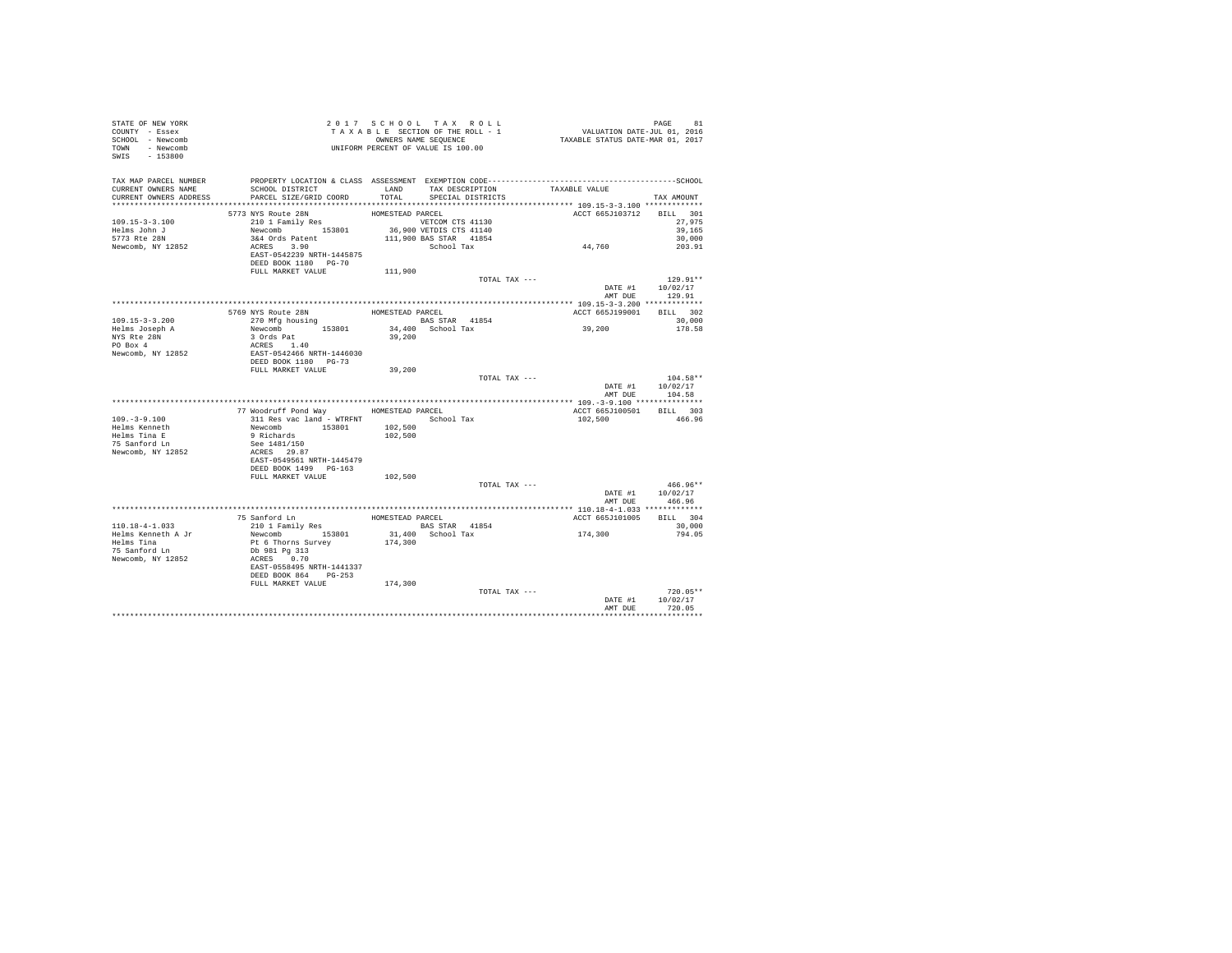| STATE OF NEW YORK<br>COUNTY - Essex<br>SCHOOL - Newcomb<br>TOWN - Newcomb<br>SWIS - 153800                              |                                                                                                                                                                                                                                       | 2017 SCHOOL TAX ROLL<br>UNIFORM PERCENT OF VALUE IS 100.00 |               |                                                                                              | PAGE<br>81                         |
|-------------------------------------------------------------------------------------------------------------------------|---------------------------------------------------------------------------------------------------------------------------------------------------------------------------------------------------------------------------------------|------------------------------------------------------------|---------------|----------------------------------------------------------------------------------------------|------------------------------------|
| TAX MAP PARCEL NUMBER<br>CURRENT OWNERS NAME<br>CURRENT OWNERS ADDRESS . PARCEL SIZE/GRID COORD TOTAL SPECIAL DISTRICTS | SCHOOL DISTRICT TAND TAX DESCRIPTION TAXABLE VALUE                                                                                                                                                                                    |                                                            |               | PROPERTY LOCATION & CLASS ASSESSMENT EXEMPTION CODE-----------------------------------SCHOOL | TAX AMOUNT                         |
|                                                                                                                         |                                                                                                                                                                                                                                       | HOMESTEAD PARCEL                                           |               | ACCT 665J103712 BILL 301                                                                     |                                    |
| $109.15 - 3 - 3.100$<br>Helms John J                                                                                    | 5773 NYS Route 28N<br>210 1 Family Res                                                                                                                                                                                                |                                                            |               | 44,760                                                                                       | 27,975<br>39,165                   |
| 5773 Rte 28N<br>Newcomb, NY 12852                                                                                       | EAST-0542239 NRTH-1445875<br>DEED BOOK 1180 PG-70                                                                                                                                                                                     |                                                            |               |                                                                                              | 30,000<br>203.91                   |
|                                                                                                                         | FULL MARKET VALUE 111,900                                                                                                                                                                                                             |                                                            |               |                                                                                              |                                    |
|                                                                                                                         |                                                                                                                                                                                                                                       |                                                            | TOTAL TAX --- |                                                                                              | $129.91**$<br>DATE #1 10/02/17     |
|                                                                                                                         |                                                                                                                                                                                                                                       |                                                            |               | AMT DUE                                                                                      | 129.91                             |
|                                                                                                                         |                                                                                                                                                                                                                                       |                                                            |               |                                                                                              |                                    |
|                                                                                                                         |                                                                                                                                                                                                                                       |                                                            |               | ACCT 665J199001                                                                              | BILL 302                           |
| $109.15 - 3 - 3.200$                                                                                                    |                                                                                                                                                                                                                                       |                                                            |               | 39,200                                                                                       | 30,000<br>178.58                   |
| Helms Joseph A<br>NYS Rte 28N<br>PO Box 4                                                                               | 9769 NYS Route 28N<br>270 Mfg housing<br>270 Mfg housing<br>28S STAR 41854<br>Newcomb 153801 34,400 School Tax<br>39.200<br>28SED BOK 1180 29.200<br>28SED BOK 1180 PG-73<br>29.200<br>DEED BOK 1180 PG-73<br>THE MATER PROTECT PG-73 |                                                            |               |                                                                                              |                                    |
| Newcomb, NY 12852                                                                                                       |                                                                                                                                                                                                                                       |                                                            |               |                                                                                              |                                    |
|                                                                                                                         |                                                                                                                                                                                                                                       |                                                            |               |                                                                                              |                                    |
|                                                                                                                         | FULL MARKET VALUE                                                                                                                                                                                                                     | 39,200                                                     | TOTAL TAX --- |                                                                                              | $104.58**$                         |
|                                                                                                                         |                                                                                                                                                                                                                                       |                                                            |               |                                                                                              | DATE #1 10/02/17<br>AMT DUE 104.58 |
|                                                                                                                         |                                                                                                                                                                                                                                       |                                                            |               |                                                                                              |                                    |
|                                                                                                                         |                                                                                                                                                                                                                                       |                                                            |               | ACCT 665J100501 BILL 303                                                                     |                                    |
| $109. - 3 - 9.100$                                                                                                      |                                                                                                                                                                                                                                       |                                                            |               | 102.500 466.96                                                                               |                                    |
|                                                                                                                         |                                                                                                                                                                                                                                       |                                                            |               |                                                                                              |                                    |
| Helms Kenneth<br>Helms Tina E<br>75 Sanford Ln                                                                          |                                                                                                                                                                                                                                       |                                                            |               |                                                                                              |                                    |
|                                                                                                                         | FORESTEAD PARCEL<br>311 Res vac land - WTRFNT School Tax<br>Newcomb 153801 102,500<br>9 Richards 153801 102,500<br>See 1481/150 102,500<br>ACRES 29.87<br>ACRES 29.87                                                                 |                                                            |               |                                                                                              |                                    |
| Newcomb, NY 12852                                                                                                       | EAST-0549561 NRTH-1445479                                                                                                                                                                                                             |                                                            |               |                                                                                              |                                    |
|                                                                                                                         | DEED BOOK 1499 PG-163                                                                                                                                                                                                                 |                                                            |               |                                                                                              |                                    |
|                                                                                                                         | FULL MARKET VALUE                                                                                                                                                                                                                     | 102,500                                                    |               |                                                                                              |                                    |
|                                                                                                                         |                                                                                                                                                                                                                                       |                                                            | TOTAL TAX --- |                                                                                              | $466.96**$                         |
|                                                                                                                         |                                                                                                                                                                                                                                       |                                                            |               |                                                                                              | DATE #1 10/02/17                   |
|                                                                                                                         |                                                                                                                                                                                                                                       |                                                            |               |                                                                                              | AMT DUE 466.96                     |
|                                                                                                                         |                                                                                                                                                                                                                                       |                                                            |               | ACCT 665J101005                                                                              | BILL 304                           |
|                                                                                                                         |                                                                                                                                                                                                                                       |                                                            |               |                                                                                              | 30,000                             |
|                                                                                                                         |                                                                                                                                                                                                                                       |                                                            |               | 174,300                                                                                      | 794.05                             |
|                                                                                                                         |                                                                                                                                                                                                                                       |                                                            |               |                                                                                              |                                    |
|                                                                                                                         |                                                                                                                                                                                                                                       |                                                            |               |                                                                                              |                                    |
|                                                                                                                         |                                                                                                                                                                                                                                       |                                                            |               |                                                                                              |                                    |
|                                                                                                                         | DEED BOOK 864 PG-253                                                                                                                                                                                                                  |                                                            |               |                                                                                              |                                    |
|                                                                                                                         | FULL MARKET VALUE 174,300                                                                                                                                                                                                             |                                                            |               |                                                                                              |                                    |
|                                                                                                                         |                                                                                                                                                                                                                                       |                                                            | TOTAL TAX --- |                                                                                              | $720.05**$                         |
|                                                                                                                         |                                                                                                                                                                                                                                       |                                                            |               |                                                                                              | DATE #1 10/02/17                   |
|                                                                                                                         |                                                                                                                                                                                                                                       |                                                            |               | AMT DUE                                                                                      | 720.05                             |
|                                                                                                                         |                                                                                                                                                                                                                                       |                                                            |               |                                                                                              |                                    |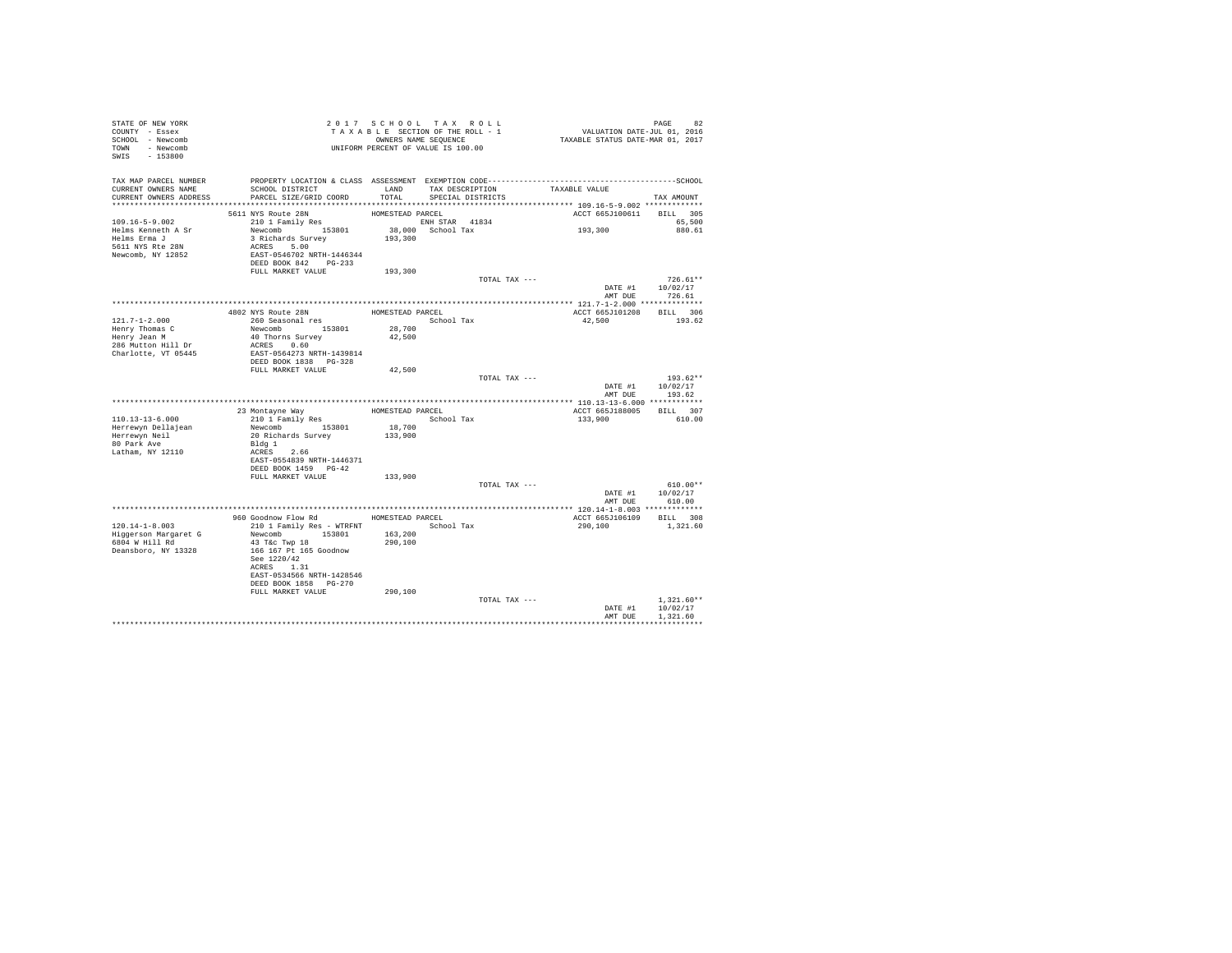| STATE OF NEW YORK<br>COUNTY - Essex<br>SCHOOL - Newcomb<br>TOWN - Newcomb<br>SWIS - 153800    |                                                                                                                          | 2017 SCHOOL TAX ROLL<br>TAXABLE SECTION OF THE ROLL - 1<br>OWNERS NAME SEQUENCE<br>UNIFORM PERCENT OF VALUE IS 100.00 |                                                 |               | PAGE 82<br>VALUATION DATE-JUL 01, 2016<br>TAXABLE STATUS DATE-MAR 01, 2017 |                                |
|-----------------------------------------------------------------------------------------------|--------------------------------------------------------------------------------------------------------------------------|-----------------------------------------------------------------------------------------------------------------------|-------------------------------------------------|---------------|----------------------------------------------------------------------------|--------------------------------|
| TAX MAP PARCEL NUMBER<br>CURRENT OWNERS NAME<br>CURRENT OWNERS ADDRESS                        | SCHOOL DISTRICT<br>PARCEL SIZE/GRID COORD                                                                                |                                                                                                                       | LAND TAX DESCRIPTION<br>TOTAL SPECIAL DISTRICTS |               | TAXABLE VALUE                                                              | TAX AMOUNT                     |
|                                                                                               |                                                                                                                          |                                                                                                                       |                                                 |               |                                                                            |                                |
| 109.16-5-9.002<br>Helms Kenneth A Sr<br>Helms Erma J<br>5611 NYS Rte 28N<br>Newcomb, NY 12852 | 5611 NYS Route 28N<br>210 1 Family Res<br>Newcomb 153801<br>3 Richards Survey<br>ACRES 5.00<br>EAST-0546702 NRTH-1446344 | HOMESTEAD PARCEL<br>ENH STAR 41834<br>193,300                                                                         | 38,000 School Tax                               |               | ACCT 665J100611 BILL 305<br>193,300                                        | 65,500<br>880.61               |
|                                                                                               | DEED BOOK 842 PG-233                                                                                                     |                                                                                                                       |                                                 |               |                                                                            |                                |
|                                                                                               | FULL MARKET VALUE                                                                                                        | 193,300                                                                                                               |                                                 | TOTAL TAX --- |                                                                            | $726.61**$<br>DATE #1 10/02/17 |
|                                                                                               |                                                                                                                          |                                                                                                                       |                                                 |               | AMT DUE                                                                    | 726.61                         |
|                                                                                               |                                                                                                                          |                                                                                                                       |                                                 |               |                                                                            |                                |
| $121.7 - 1 - 2.000$                                                                           | 4802 NYS Route 28N<br>260 Seasonal res                                                                                   | HOMESTEAD PARCEL                                                                                                      | School Tax                                      |               | ACCT 665J101208<br>42,500                                                  | BILL 306<br>193.62             |
| Henry Thomas C<br>Henry Jean M                                                                | Newcomb 153801                                                                                                           | 28,700<br>42,500                                                                                                      |                                                 |               |                                                                            |                                |
| 286 Mutton Hill Dr                                                                            | 40 Thorns Survey<br>ACRES 0.60                                                                                           |                                                                                                                       |                                                 |               |                                                                            |                                |
| Charlotte, VT 05445                                                                           | EAST-0564273 NRTH-1439814<br>DEED BOOK 1838 PG-328                                                                       |                                                                                                                       |                                                 |               |                                                                            |                                |
|                                                                                               | FULL MARKET VALUE                                                                                                        | 42,500                                                                                                                |                                                 |               |                                                                            |                                |
|                                                                                               |                                                                                                                          |                                                                                                                       |                                                 | TOTAL TAX --- | DATE #1                                                                    | $193.62**$<br>10/02/17         |
|                                                                                               |                                                                                                                          |                                                                                                                       |                                                 |               |                                                                            | AMT DUE 193.62                 |
|                                                                                               |                                                                                                                          |                                                                                                                       |                                                 |               |                                                                            |                                |
|                                                                                               | 23 Montayne Way                                                                                                          | HOMESTEAD PARCEL                                                                                                      |                                                 |               | ACCT 665J188005 BILL 307                                                   |                                |
| 110.13-13-6.000                                                                               | 210 1 Family Res                                                                                                         |                                                                                                                       | School Tax                                      |               | 133,900                                                                    | 610.00                         |
| Herrewyn Dellajean                                                                            | Newcomb 153801<br>20 Richards Survey                                                                                     | 18,700<br>133,900                                                                                                     |                                                 |               |                                                                            |                                |
| Herrewyn Neil<br>80 Park Ave                                                                  | Bldg 1                                                                                                                   |                                                                                                                       |                                                 |               |                                                                            |                                |
| Latham, NY 12110                                                                              | ACRES 2.66                                                                                                               |                                                                                                                       |                                                 |               |                                                                            |                                |
|                                                                                               | EAST-0554839 NRTH-1446371                                                                                                |                                                                                                                       |                                                 |               |                                                                            |                                |
|                                                                                               | DEED BOOK 1459 PG-42                                                                                                     |                                                                                                                       |                                                 |               |                                                                            |                                |
|                                                                                               | FULL MARKET VALUE                                                                                                        | 133,900                                                                                                               |                                                 |               |                                                                            |                                |
|                                                                                               |                                                                                                                          |                                                                                                                       |                                                 | TOTAL TAX --- |                                                                            | $610.00**$                     |
|                                                                                               |                                                                                                                          |                                                                                                                       |                                                 |               |                                                                            | DATE #1 10/02/17               |
|                                                                                               |                                                                                                                          |                                                                                                                       |                                                 |               |                                                                            | AMT DUE 610.00                 |
|                                                                                               | 960 Goodnow Flow Rd                                                                                                      | HOMESTEAD PARCEL                                                                                                      |                                                 |               | ACCT 665J106109 BILL 308                                                   |                                |
| $120.14 - 1 - 8.003$                                                                          | 210 1 Family Res - WTRFNT                                                                                                | School Tax                                                                                                            |                                                 |               | 290,100                                                                    | 1,321.60                       |
| Higgerson Margaret G                                                                          | Newcomb 153801                                                                                                           | 163,200                                                                                                               |                                                 |               |                                                                            |                                |
| 6804 W Hill Rd                                                                                | 43 T&C Twp 18                                                                                                            | 290,100                                                                                                               |                                                 |               |                                                                            |                                |
| Deansboro, NY 13328                                                                           | 166 167 Pt 165 Goodnow                                                                                                   |                                                                                                                       |                                                 |               |                                                                            |                                |
|                                                                                               | See 1220/42                                                                                                              |                                                                                                                       |                                                 |               |                                                                            |                                |
|                                                                                               | ACRES 1.31                                                                                                               |                                                                                                                       |                                                 |               |                                                                            |                                |
|                                                                                               | EAST-0534566 NRTH-1428546<br>DEED BOOK 1858 PG-270                                                                       |                                                                                                                       |                                                 |               |                                                                            |                                |
|                                                                                               | FULL MARKET VALUE                                                                                                        | 290,100                                                                                                               |                                                 |               |                                                                            |                                |
|                                                                                               |                                                                                                                          |                                                                                                                       |                                                 | TOTAL TAX --- |                                                                            | $1.321.60**$                   |
|                                                                                               |                                                                                                                          |                                                                                                                       |                                                 |               | DATE #1                                                                    | 10/02/17                       |
|                                                                                               |                                                                                                                          |                                                                                                                       |                                                 |               | AMT DUE                                                                    | 1,321.60                       |
|                                                                                               |                                                                                                                          |                                                                                                                       |                                                 |               |                                                                            |                                |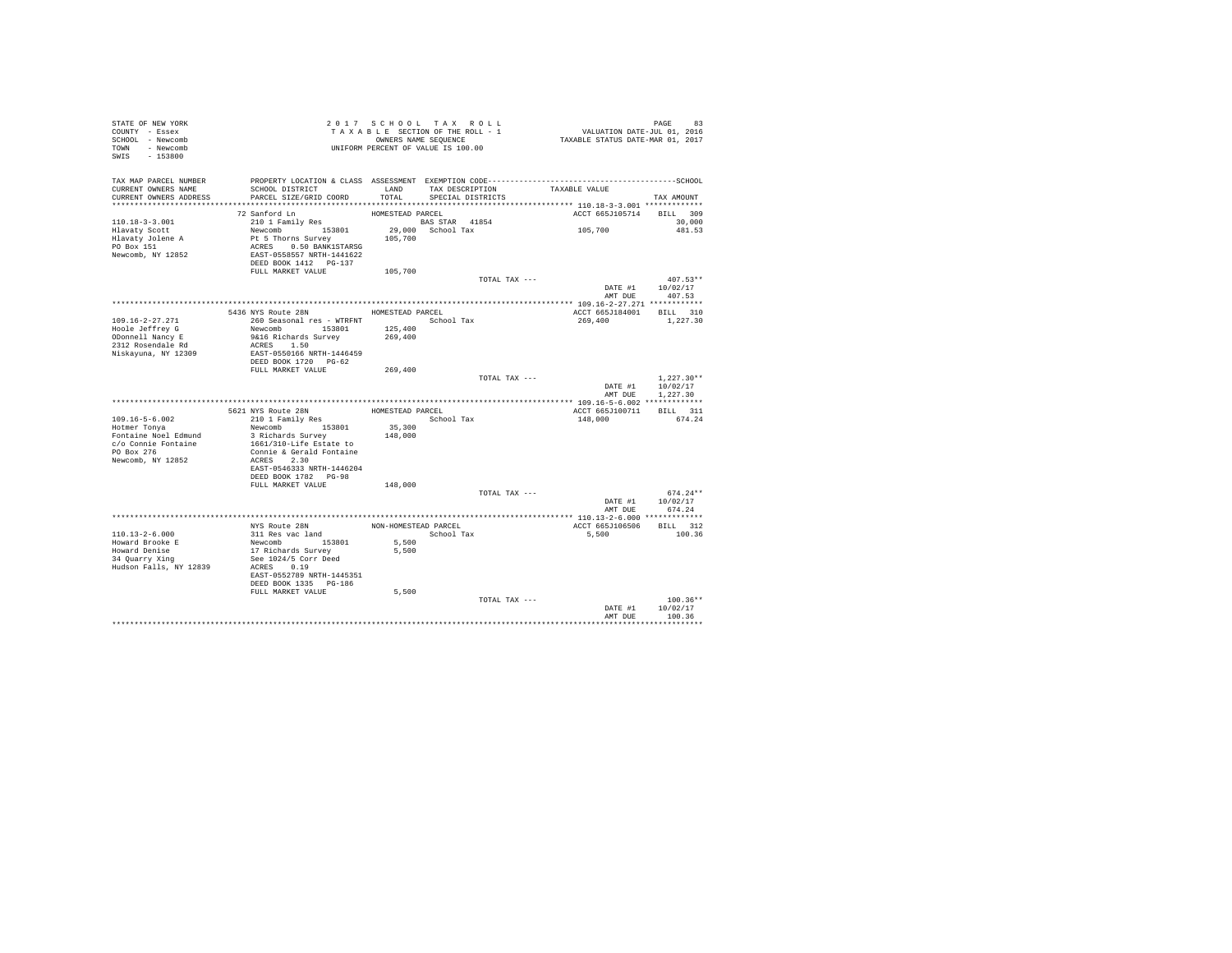| STATE OF NEW YORK<br>COUNTY - Essex<br>SCHOOL - Newcomb<br>TOWN - Newcomb<br>$-153800$<br>SWIS |                                                   | 2017 SCHOOL TAX ROLL<br>TAXABLE SECTION OF THE ROLL - 1<br>OWNERS NAME SEQUENCE<br>UNIFORM PERCENT OF VALUE IS 100.00 |                                      |               | ده PAGE<br>2016, VALUATION DATE-JUL 01<br>TAXABLE STATUS DATE-MAR 01, 2017 |                      |
|------------------------------------------------------------------------------------------------|---------------------------------------------------|-----------------------------------------------------------------------------------------------------------------------|--------------------------------------|---------------|----------------------------------------------------------------------------|----------------------|
| TAX MAP PARCEL NUMBER<br>CURRENT OWNERS NAME<br>CURRENT OWNERS ADDRESS                         | SCHOOL DISTRICT<br>PARCEL SIZE/GRID COORD         | LAND<br>TOTAL                                                                                                         | TAX DESCRIPTION<br>SPECIAL DISTRICTS |               | TAXABLE VALUE                                                              | TAX AMOUNT           |
|                                                                                                |                                                   |                                                                                                                       |                                      |               |                                                                            |                      |
|                                                                                                | 72 Sanford Ln                                     | HOMESTEAD PARCEL                                                                                                      |                                      |               | ACCT 665J105714                                                            | BILL 309             |
| $110.18 - 3 - 3.001$                                                                           | 210 1 Family Res                                  | <b>BAS STAR 41854</b>                                                                                                 |                                      |               |                                                                            | 30,000               |
| Hlavaty Scott                                                                                  | Newcomb 153801                                    |                                                                                                                       | 29,000 School Tax                    |               | 105,700                                                                    | 481.53               |
| Hlavaty Jolene A                                                                               | Pt 5 Thorns Survey                                | 105,700                                                                                                               |                                      |               |                                                                            |                      |
| PO Box 151                                                                                     | ACRES 0.50 BANK1STARSG                            |                                                                                                                       |                                      |               |                                                                            |                      |
| Newcomb, NY 12852                                                                              | EAST-0558557 NRTH-1441622                         |                                                                                                                       |                                      |               |                                                                            |                      |
|                                                                                                | DEED BOOK 1412 PG-137                             |                                                                                                                       |                                      |               |                                                                            |                      |
|                                                                                                | FULL MARKET VALUE                                 | 105,700                                                                                                               |                                      | TOTAL TAX --- |                                                                            | $407.53**$           |
|                                                                                                |                                                   |                                                                                                                       |                                      |               | DATE #1                                                                    | 10/02/17             |
|                                                                                                |                                                   |                                                                                                                       |                                      |               | AMT DUE                                                                    | 407.53               |
|                                                                                                |                                                   |                                                                                                                       |                                      |               |                                                                            |                      |
|                                                                                                | 5436 NYS Route 28N                                | HOMESTEAD PARCEL                                                                                                      |                                      |               | ACCT 665J184001                                                            | BILL 310             |
| $109.16 - 2 - 27.271$                                                                          | 260 Seasonal res - WTRFNT                         |                                                                                                                       | School Tax                           |               | 269,400                                                                    | 1,227.30             |
| Hoole Jeffrey G                                                                                | Newcomb 153801                                    | 125,400                                                                                                               |                                      |               |                                                                            |                      |
| ODonnell Nancy E                                                                               | 9&16 Richards Survey                              | 269,400                                                                                                               |                                      |               |                                                                            |                      |
| 2312 Rosendale Rd                                                                              | ACRES 1.50                                        |                                                                                                                       |                                      |               |                                                                            |                      |
| Niskayuna, NY 12309                                                                            | EAST-0550166 NRTH-1446459<br>DEED BOOK 1720 PG-62 |                                                                                                                       |                                      |               |                                                                            |                      |
|                                                                                                | FULL MARKET VALUE                                 | 269,400                                                                                                               |                                      |               |                                                                            |                      |
|                                                                                                |                                                   |                                                                                                                       |                                      | TOTAL TAX --- |                                                                            | $1.227.30**$         |
|                                                                                                |                                                   |                                                                                                                       |                                      |               | DATE #1<br>AMT DUE                                                         | 10/02/17<br>1,227,30 |
|                                                                                                |                                                   |                                                                                                                       |                                      |               |                                                                            |                      |
|                                                                                                | 5621 NYS Route 28N                                | HOMESTEAD PARCEL                                                                                                      |                                      |               | ACCT 665J100711                                                            | BILL 311             |
| $109.16 - 5 - 6.002$                                                                           | 210 1 Family Res                                  |                                                                                                                       | School Tax                           |               | 148,000                                                                    | 674.24               |
| Hotmer Tonya<br>Fontaine Noel Edmund                                                           | Newcomb 153801<br>3 Richards Survey               | 35,300<br>148,000                                                                                                     |                                      |               |                                                                            |                      |
| c/o Connie Fontaine                                                                            | 1661/310-Life Estate to                           |                                                                                                                       |                                      |               |                                                                            |                      |
| PO Box 276                                                                                     | Connie & Gerald Fontaine                          |                                                                                                                       |                                      |               |                                                                            |                      |
| Newcomb, NY 12852                                                                              | ACRES 2.30                                        |                                                                                                                       |                                      |               |                                                                            |                      |
|                                                                                                | EAST-0546333 NRTH-1446204                         |                                                                                                                       |                                      |               |                                                                            |                      |
|                                                                                                | DEED BOOK 1782 PG-98                              |                                                                                                                       |                                      |               |                                                                            |                      |
|                                                                                                | FULL MARKET VALUE                                 | 148,000                                                                                                               |                                      |               |                                                                            |                      |
|                                                                                                |                                                   |                                                                                                                       |                                      | TOTAL TAX --- |                                                                            | $674.24**$           |
|                                                                                                |                                                   |                                                                                                                       |                                      |               | DATE #1                                                                    | 10/02/17<br>674.24   |
|                                                                                                |                                                   |                                                                                                                       |                                      |               | AMT DUE                                                                    |                      |
|                                                                                                | NYS Route 28N                                     | NON-HOMESTEAD PARCEL                                                                                                  |                                      |               | ACCT 665J106506                                                            | BILL 312             |
| $110.13 - 2 - 6.000$                                                                           | 311 Res vac land                                  |                                                                                                                       | School Tax                           |               | 5,500                                                                      | 100.36               |
| Howard Brooke E                                                                                | Newcomb 153801                                    | 5,500                                                                                                                 |                                      |               |                                                                            |                      |
| Howard Denise<br>34 Quarry Xing                                                                | 17 Richards Survey                                | 5,500                                                                                                                 |                                      |               |                                                                            |                      |
|                                                                                                | See 1024/5 Corr Deed                              |                                                                                                                       |                                      |               |                                                                            |                      |
| Hudson Falls, NY 12839                                                                         | ACRES 0.19                                        |                                                                                                                       |                                      |               |                                                                            |                      |
|                                                                                                | EAST-0552789 NRTH-1445351                         |                                                                                                                       |                                      |               |                                                                            |                      |
|                                                                                                | DEED BOOK 1335 PG-186<br>FULL MARKET VALUE        | 5,500                                                                                                                 |                                      |               |                                                                            |                      |
|                                                                                                |                                                   |                                                                                                                       |                                      | TOTAL TAX --- |                                                                            | $100.36**$           |
|                                                                                                |                                                   |                                                                                                                       |                                      |               | DATE #1                                                                    | 10/02/17             |
|                                                                                                |                                                   |                                                                                                                       |                                      |               | AMT DUE                                                                    | 100.36               |
|                                                                                                |                                                   |                                                                                                                       |                                      |               |                                                                            | .                    |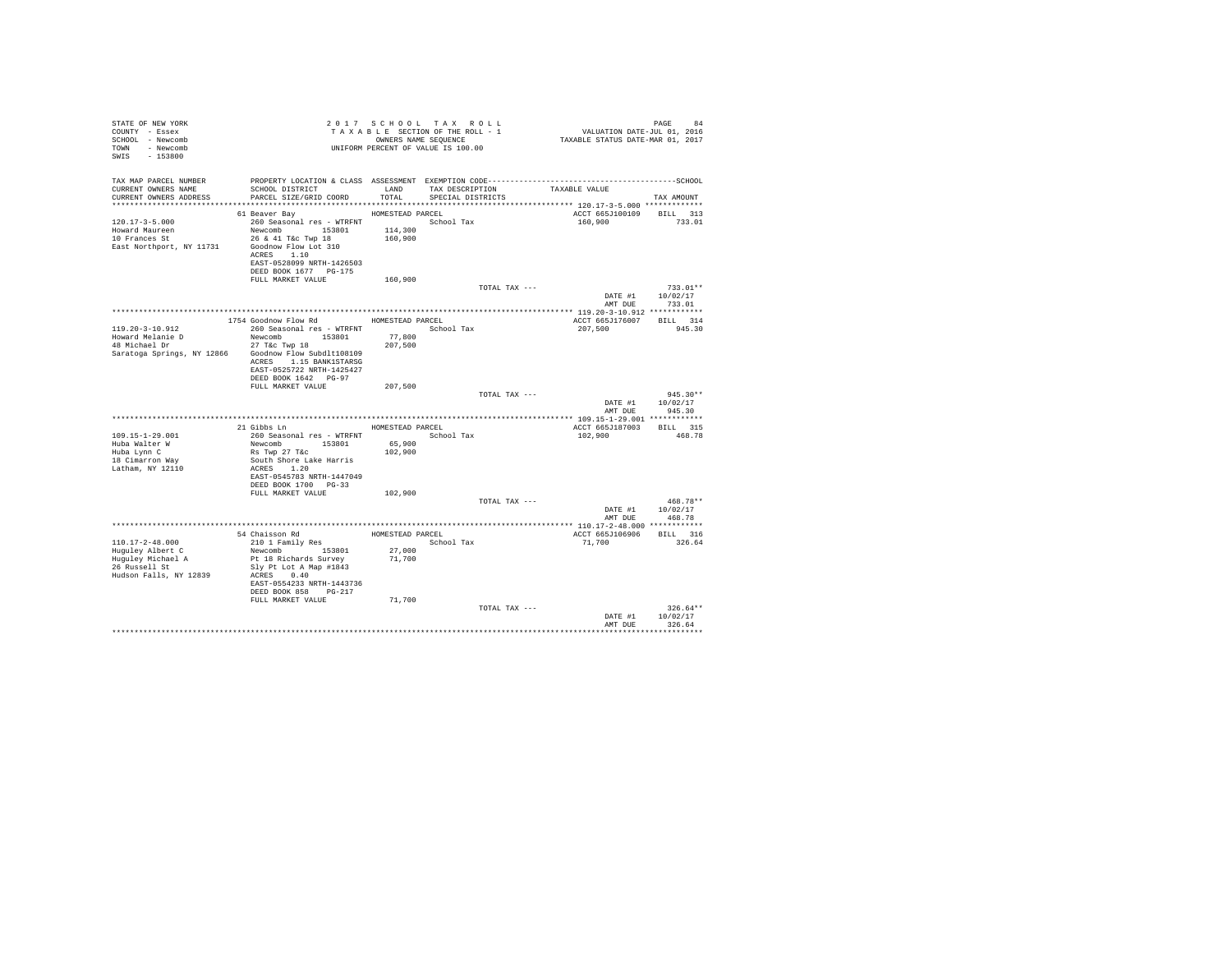| STATE OF NEW YORK<br>COUNTY - Essex<br>SCHOOL - Newcomb<br>- Newcomb<br><b>TOWN</b><br>SWIS<br>$-153800$     |                                                                                                                                                                                                 |                                                | 2017 SCHOOL TAX ROLL<br>TAXABLE SECTION OF THE ROLL - 1<br>OWNERS NAME SEOUENCE<br>UNIFORM PERCENT OF VALUE IS 100.00 | valuation date-jul 01, 2016<br>TAXABLE STATUS DATE-MAR 01, 2017 | PAGE<br>9.4                           |
|--------------------------------------------------------------------------------------------------------------|-------------------------------------------------------------------------------------------------------------------------------------------------------------------------------------------------|------------------------------------------------|-----------------------------------------------------------------------------------------------------------------------|-----------------------------------------------------------------|---------------------------------------|
| TAX MAP PARCEL NUMBER<br>CURRENT OWNERS NAME<br>CURRENT OWNERS ADDRESS                                       | SCHOOL DISTRICT<br>PARCEL SIZE/GRID COORD                                                                                                                                                       | LAND<br>TOTAL                                  | TAX DESCRIPTION<br>SPECIAL DISTRICTS                                                                                  | TAXABLE VALUE                                                   | TAX AMOUNT                            |
| $120.17 - 3 - 5.000$<br>Howard Maureen<br>10 Frances St<br>East Northport, NY 11731                          | 61 Beaver Bay<br>260 Seasonal res - WTRFNT<br>Newcomb 153801<br>26 & 41 T&c Twp 18<br>Goodnow Flow Lot 310<br>ACRES 1.10<br>EAST-0528099 NRTH-1426503                                           | HOMESTEAD PARCEL<br>114,300<br>160,900         | School Tax                                                                                                            | ACCT 665J100109 BILL 313<br>160,900                             | 733.01                                |
|                                                                                                              | DEED BOOK 1677 PG-175<br>FULL MARKET VALUE                                                                                                                                                      | 160,900                                        |                                                                                                                       |                                                                 |                                       |
|                                                                                                              |                                                                                                                                                                                                 |                                                | TOTAL TAX ---                                                                                                         | DATE #1<br>AMT DUE                                              | $733.01**$<br>10/02/17<br>733.01      |
|                                                                                                              |                                                                                                                                                                                                 |                                                |                                                                                                                       |                                                                 |                                       |
| 119.20-3-10.912<br>Howard Melanie D<br>48 Michael Dr<br>Saratoga Springs, NY 12866 Goodnow Flow Subdlt108109 | 1754 Goodnow Flow Rd<br>260 Seasonal res - WTRFNT<br>Newcomb 153801<br>27 T&c Twp 18<br>ACRES 1.15 BANK1STARSG<br>EAST-0525722 NRTH-1425427                                                     | HOMESTEAD PARCEL<br>77,800<br>207.500          | School Tax                                                                                                            | ACCT 665J176007<br>207,500                                      | BILL 314<br>945.30                    |
|                                                                                                              | DEED BOOK 1642 PG-97<br>FULL MARKET VALUE                                                                                                                                                       | 207.500                                        | TOTAL TAX ---                                                                                                         |                                                                 | $945.30**$                            |
|                                                                                                              |                                                                                                                                                                                                 |                                                |                                                                                                                       | DATE #1<br>AMT DUE                                              | 10/02/17<br>945.30                    |
|                                                                                                              | $21 Gibbs Ln$                                                                                                                                                                                   |                                                |                                                                                                                       |                                                                 |                                       |
| $109.15 - 1 - 29.001$<br>Huba Walter W<br>Huba Lynn C<br>18 Cimarron Way<br>Latham, NY 12110                 | 260 Seasonal res - WTRFNT<br>Newcomb 153801<br>Rs Twp 27 T&c<br>South Shore Lake Harris<br>ACRES 1.20                                                                                           | HOMESTEAD PARCEL<br>65,900<br>102,900          | School Tax                                                                                                            | ACCT 665J187003<br>102,900                                      | <b>BILL</b> 315<br>468.78             |
|                                                                                                              | EAST-0545783 NRTH-1447049<br>DEED BOOK 1700 PG-33<br>FULL MARKET VALUE                                                                                                                          | 102,900                                        |                                                                                                                       |                                                                 | $468.78**$                            |
|                                                                                                              |                                                                                                                                                                                                 |                                                | TOTAL TAX ---                                                                                                         | AMT DUE                                                         | DATE #1 10/02/17<br>468.78            |
|                                                                                                              |                                                                                                                                                                                                 |                                                |                                                                                                                       |                                                                 |                                       |
| $110.17 - 2 - 48.000$<br>Huguley Albert C<br>Huguley Michael A<br>26 Russell St<br>Hudson Falls, NY 12839    | 54 Chaisson Rd<br>210 1 Family Res<br>Newcomb 153801<br>Pt 18 Richards Survey<br>Slv Pt Lot A Map #1843<br>ACRES 0.40<br>EAST-0554233 NRTH-1443736<br>DEED BOOK 858 PG-217<br>FULL MARKET VALUE | HOMESTEAD PARCEL<br>27,000<br>71,700<br>71,700 | School Tax                                                                                                            | ACCT 665J106906<br>71,700                                       | BILL 316<br>326.64                    |
|                                                                                                              |                                                                                                                                                                                                 |                                                | TOTAL TAX ---                                                                                                         | DATE #1<br>AMT DHR                                              | $326.64**$<br>10/02/17<br>326.64<br>. |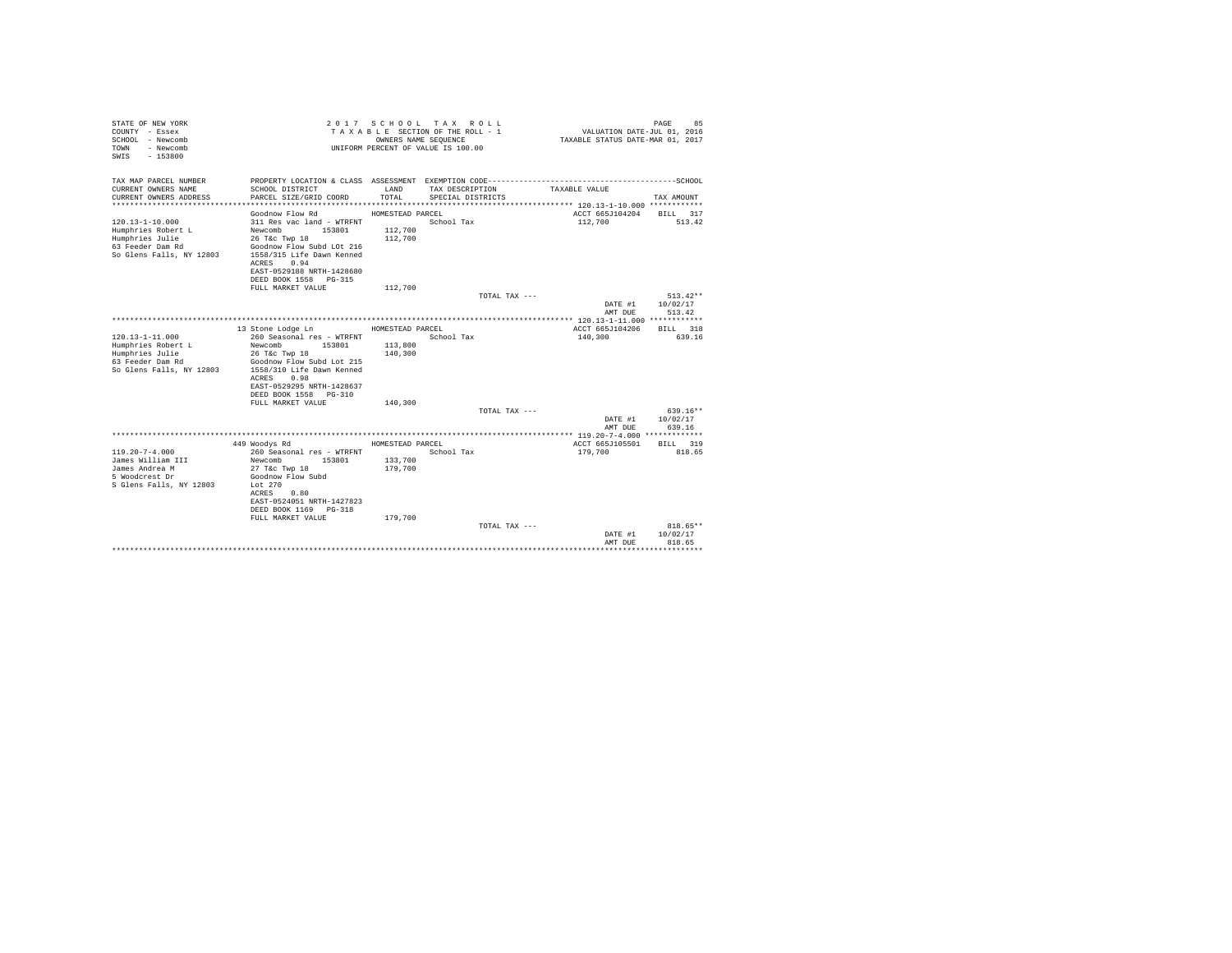| STATE OF NEW YORK<br>COUNTY - Essex<br>SCHOOL - Newcomb<br>- Newcomb<br>TOWN<br>$-153800$<br>SWTS |                                                                    | OWNERS NAME SEQUENCE | 2017 SCHOOL TAX ROLL<br>TAXABLE SECTION OF THE ROLL - 1<br>UNIFORM PERCENT OF VALUE IS 100.00 | VALUATION DATE-JUL 01, 2016<br>TAXABLE STATUS DATE-MAR 01, 2017 | 85<br>PAGE              |
|---------------------------------------------------------------------------------------------------|--------------------------------------------------------------------|----------------------|-----------------------------------------------------------------------------------------------|-----------------------------------------------------------------|-------------------------|
| TAX MAP PARCEL NUMBER                                                                             | PROPERTY LOCATION & CLASS ASSESSMENT EXEMPTION CODE--------------- |                      |                                                                                               |                                                                 | -----------------SCHOOL |
| CURRENT OWNERS NAME<br>CURRENT OWNERS ADDRESS                                                     | SCHOOL DISTRICT<br>PARCEL SIZE/GRID COORD                          | LAND<br>TOTAL.       | TAX DESCRIPTION                                                                               | TAXABLE VALUE                                                   | TAX AMOUNT              |
|                                                                                                   |                                                                    |                      | SPECIAL DISTRICTS                                                                             |                                                                 |                         |
|                                                                                                   | Goodnow Flow Rd                                                    | HOMESTEAD PARCEL     |                                                                                               | ACCT 665J104204                                                 | BILL 317                |
| $120.13 - 1 - 10.000$                                                                             | 311 Res vac land - WTRFNT                                          |                      | School Tax                                                                                    | 112,700                                                         | 513.42                  |
| Humphries Robert L                                                                                | Newcomb<br>153801                                                  | 112,700              |                                                                                               |                                                                 |                         |
| Humphries Julie<br>63 Feeder Dam Rd                                                               | 26 T&C Twp 18<br>Goodnow Flow Subd LOt 216                         | 112,700              |                                                                                               |                                                                 |                         |
| So Glens Falls, NY 12803                                                                          | 1558/315 Life Dawn Kenned                                          |                      |                                                                                               |                                                                 |                         |
|                                                                                                   | 0.94<br>ACRES                                                      |                      |                                                                                               |                                                                 |                         |
|                                                                                                   | EAST-0529188 NRTH-1428680                                          |                      |                                                                                               |                                                                 |                         |
|                                                                                                   | DEED BOOK 1558 PG-315                                              |                      |                                                                                               |                                                                 |                         |
|                                                                                                   | FULL MARKET VALUE                                                  | 112,700              | TOTAL TAX ---                                                                                 |                                                                 | $513.42**$              |
|                                                                                                   |                                                                    |                      |                                                                                               | DATE #1                                                         | 10/02/17                |
|                                                                                                   |                                                                    |                      |                                                                                               | AMT DUE                                                         | 513.42                  |
|                                                                                                   |                                                                    |                      |                                                                                               |                                                                 |                         |
|                                                                                                   | 13 Stone Lodge Ln                                                  | HOMESTEAD PARCEL     |                                                                                               | ACCT 665J104206                                                 | BTLL.<br>318            |
| $120.13 - 1 - 11.000$<br>Humphries Robert L                                                       | 260 Seasonal res - WTRFNT<br>Newcomb<br>153801                     | 113,800              | School Tax                                                                                    | 140,300                                                         | 639.16                  |
| Humphries Julie                                                                                   | 26 T&c Twp 18                                                      | 140,300              |                                                                                               |                                                                 |                         |
| 63 Feeder Dam Rd                                                                                  | Goodnow Flow Subd Lot 215                                          |                      |                                                                                               |                                                                 |                         |
| So Glens Falls, NY 12803                                                                          | 1558/310 Life Dawn Kenned                                          |                      |                                                                                               |                                                                 |                         |
|                                                                                                   | 0.98<br>ACRES                                                      |                      |                                                                                               |                                                                 |                         |
|                                                                                                   | EAST-0529295 NRTH-1428637<br>DEED BOOK 1558 PG-310                 |                      |                                                                                               |                                                                 |                         |
|                                                                                                   | FULL MARKET VALUE                                                  | 140,300              |                                                                                               |                                                                 |                         |
|                                                                                                   |                                                                    |                      | TOTAL TAX ---                                                                                 |                                                                 | $639.16**$              |
|                                                                                                   |                                                                    |                      |                                                                                               | DATE #1                                                         | 10/02/17                |
|                                                                                                   |                                                                    |                      |                                                                                               | AMT DUE                                                         | 639.16                  |
|                                                                                                   | 449 Woodys Rd                                                      | HOMESTEAD PARCEL     |                                                                                               | ACCT 665J105501                                                 | BILL 319                |
| $119.20 - 7 - 4.000$                                                                              | 260 Seasonal res - WTRFNT                                          |                      | School Tax                                                                                    | 179,700                                                         | 818.65                  |
| James William III                                                                                 | Newcomb<br>153801                                                  | 133,700              |                                                                                               |                                                                 |                         |
| James Andrea M                                                                                    | 27 T&c Twp 18                                                      | 179,700              |                                                                                               |                                                                 |                         |
| 5 Woodcrest Dr                                                                                    | Goodnow Flow Subd                                                  |                      |                                                                                               |                                                                 |                         |
| S Glens Falls, NY 12803                                                                           | Lot $270$<br>0.80<br>ACRES                                         |                      |                                                                                               |                                                                 |                         |
|                                                                                                   | EAST-0524051 NRTH-1427823                                          |                      |                                                                                               |                                                                 |                         |
|                                                                                                   | DEED BOOK 1169<br>$PG-318$                                         |                      |                                                                                               |                                                                 |                         |
|                                                                                                   | FULL MARKET VALUE                                                  | 179,700              |                                                                                               |                                                                 |                         |
|                                                                                                   |                                                                    |                      | TOTAL TAX ---                                                                                 | DATE #1                                                         | 818.65**<br>10/02/17    |
|                                                                                                   |                                                                    |                      |                                                                                               | AMT DUE                                                         | 818.65                  |
|                                                                                                   |                                                                    |                      |                                                                                               |                                                                 |                         |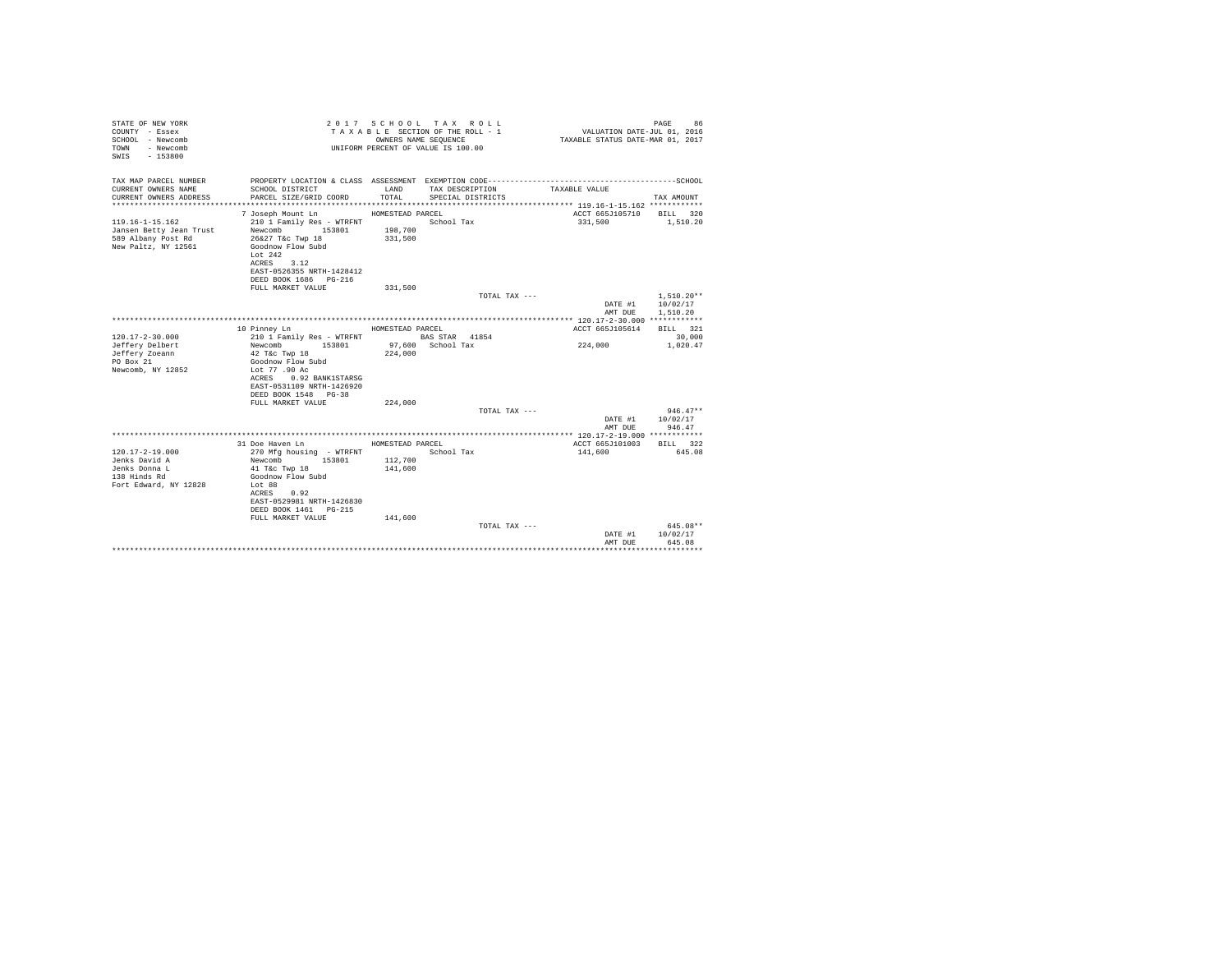| STATE OF NEW YORK<br>COUNTY - Essex<br>SCHOOL - Newcomb<br>- Newcomb<br>TOWN<br>$-153800$<br>SWTS |                                                                                                                 |                    | 2017 SCHOOL TAX ROLL<br>TAXABLE SECTION OF THE ROLL - 1<br>OWNERS NAME SEQUENCE<br>UNIFORM PERCENT OF VALUE IS 100.00 | VALUATION DATE-JUL 01, 2016<br>TAXABLE STATUS DATE-MAR 01, 2017 | 86<br>PAGE   |
|---------------------------------------------------------------------------------------------------|-----------------------------------------------------------------------------------------------------------------|--------------------|-----------------------------------------------------------------------------------------------------------------------|-----------------------------------------------------------------|--------------|
| TAX MAP PARCEL NUMBER                                                                             |                                                                                                                 |                    |                                                                                                                       |                                                                 |              |
| CURRENT OWNERS NAME<br>CURRENT OWNERS ADDRESS                                                     | SCHOOL DISTRICT<br>PARCEL SIZE/GRID COORD                                                                       | LAND<br>TOTAL.     | TAX DESCRIPTION<br>SPECIAL DISTRICTS                                                                                  | TAXABLE VALUE                                                   | TAX AMOUNT   |
|                                                                                                   |                                                                                                                 |                    |                                                                                                                       |                                                                 |              |
| $119.16 - 1 - 15.162$                                                                             | 7 Joseph Mount Ln                                                                                               | HOMESTEAD PARCEL   | School Tax                                                                                                            | ACCT 665J105710 BILL 320                                        |              |
| Jansen Betty Jean Trust<br>589 Albany Post Rd<br>New Paltz, NY 12561                              | 210 1 Family Res - WTRFNT<br>Newcomb 153801<br>26&27 T&c Twp 18<br>Goodnow Flow Subd<br>Lot $242$<br>ACRES 3.12 | 198,700<br>331,500 |                                                                                                                       | 331,500                                                         | 1,510.20     |
|                                                                                                   | EAST-0526355 NRTH-1428412                                                                                       |                    |                                                                                                                       |                                                                 |              |
|                                                                                                   | DEED BOOK 1686 PG-216                                                                                           |                    |                                                                                                                       |                                                                 |              |
|                                                                                                   | FULL MARKET VALUE                                                                                               | 331,500            |                                                                                                                       |                                                                 |              |
|                                                                                                   |                                                                                                                 |                    | TOTAL TAX ---                                                                                                         |                                                                 | $1,510.20**$ |
|                                                                                                   |                                                                                                                 |                    |                                                                                                                       | DATE #1                                                         | 10/02/17     |
|                                                                                                   |                                                                                                                 |                    |                                                                                                                       | AMT DUE                                                         | 1,510.20     |
|                                                                                                   |                                                                                                                 |                    |                                                                                                                       |                                                                 |              |
|                                                                                                   | 10 Pinney Ln                                                                                                    | HOMESTEAD PARCEL   |                                                                                                                       | ACCT 665J105614                                                 | BILL 321     |
| $120.17 - 2 - 30.000$                                                                             | 210 1 Family Res - WTRFNT                                                                                       |                    | BAS STAR 41854                                                                                                        |                                                                 | 30,000       |
| Jeffery Delbert                                                                                   | Newcomb 153801                                                                                                  |                    | 97,600 School Tax                                                                                                     | 224,000                                                         | 1,020.47     |
| Jeffery Zoeann                                                                                    | 42 T&c Twp 18                                                                                                   | 224,000            |                                                                                                                       |                                                                 |              |
| PO Box 21<br>Newcomb, NY 12852                                                                    | Goodnow Flow Subd<br>Lot 77,90 Ac                                                                               |                    |                                                                                                                       |                                                                 |              |
|                                                                                                   | ACRES 0.92 BANK1STARSG                                                                                          |                    |                                                                                                                       |                                                                 |              |
|                                                                                                   | EAST-0531109 NRTH-1426920                                                                                       |                    |                                                                                                                       |                                                                 |              |
|                                                                                                   | DEED BOOK 1548 PG-38                                                                                            |                    |                                                                                                                       |                                                                 |              |
|                                                                                                   | FULL MARKET VALUE                                                                                               | 224,000            |                                                                                                                       |                                                                 |              |
|                                                                                                   |                                                                                                                 |                    | TOTAL TAX ---                                                                                                         |                                                                 | $946.47**$   |
|                                                                                                   |                                                                                                                 |                    |                                                                                                                       | DATE #1                                                         | 10/02/17     |
|                                                                                                   |                                                                                                                 |                    |                                                                                                                       | AMT DUE                                                         | 946.47       |
|                                                                                                   |                                                                                                                 |                    |                                                                                                                       |                                                                 |              |
|                                                                                                   | 31 Doe Haven Ln                                                                                                 | HOMESTEAD PARCEL   |                                                                                                                       | ACCT 665J101003                                                 | BILL 322     |
| $120.17 - 2 - 19.000$                                                                             | 270 Mfg housing - WTRFNT                                                                                        |                    | School Tax                                                                                                            | 141,600                                                         | 645.08       |
| Jenks David A                                                                                     | 153801<br>Newcomb                                                                                               | 112,700            |                                                                                                                       |                                                                 |              |
| Jenks Donna L                                                                                     | 41 T&c Twp 18                                                                                                   | 141,600            |                                                                                                                       |                                                                 |              |
| 138 Hinds Rd                                                                                      | Goodnow Flow Subd                                                                                               |                    |                                                                                                                       |                                                                 |              |
| Fort Edward, NY 12828                                                                             | Lot 88<br>ACRES 0.92                                                                                            |                    |                                                                                                                       |                                                                 |              |
|                                                                                                   | EAST-0529981 NRTH-1426830                                                                                       |                    |                                                                                                                       |                                                                 |              |
|                                                                                                   | DEED BOOK 1461 PG-215                                                                                           |                    |                                                                                                                       |                                                                 |              |
|                                                                                                   | FULL MARKET VALUE                                                                                               | 141,600            |                                                                                                                       |                                                                 |              |
|                                                                                                   |                                                                                                                 |                    | TOTAL TAX ---                                                                                                         |                                                                 | 645.08**     |
|                                                                                                   |                                                                                                                 |                    |                                                                                                                       | DATE #1                                                         | 10/02/17     |
|                                                                                                   |                                                                                                                 |                    |                                                                                                                       | AMT DUE                                                         | 645.08       |
|                                                                                                   |                                                                                                                 |                    |                                                                                                                       |                                                                 |              |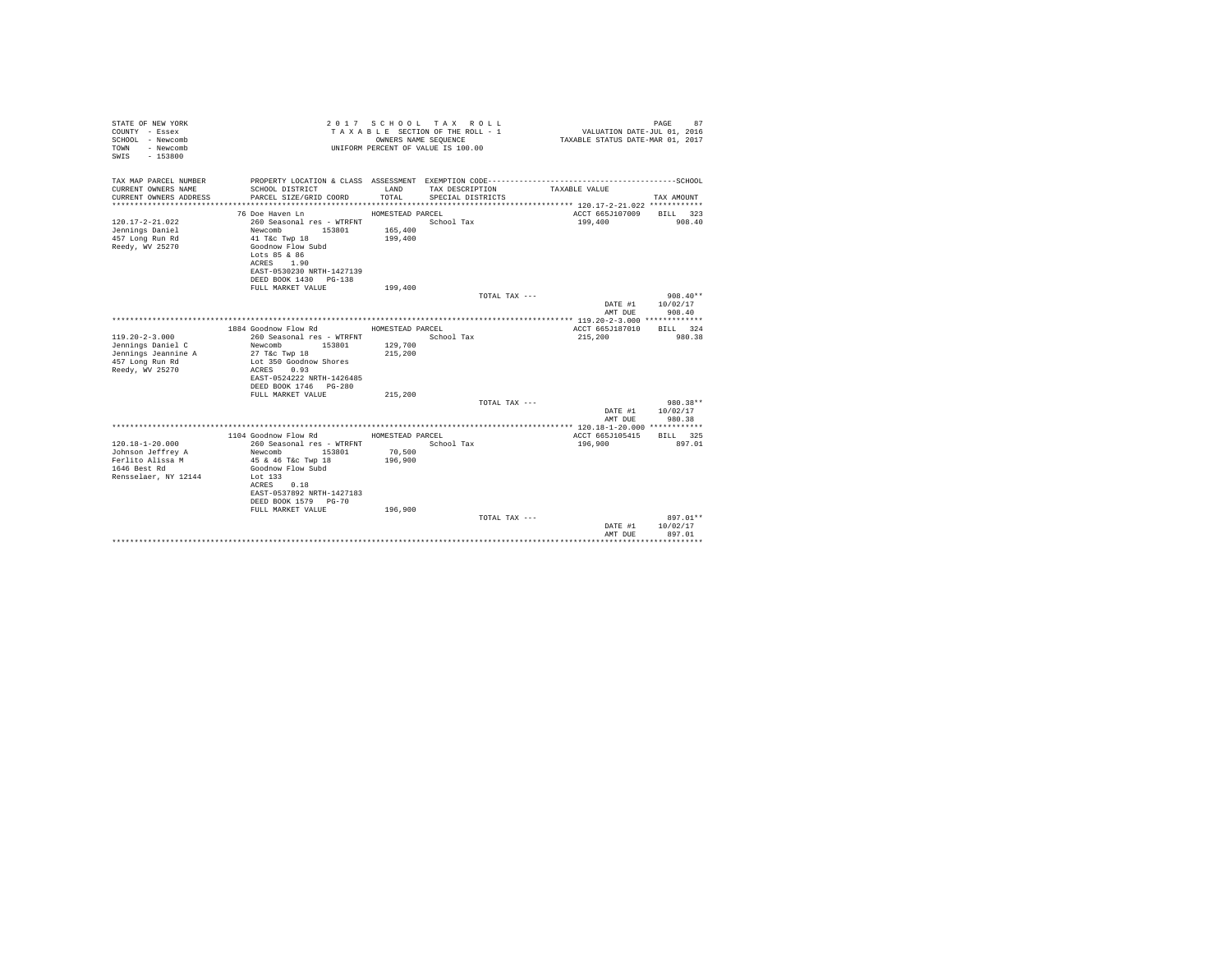| COUNTY - Essex<br>SCHOOL - Newcomb<br>- Newcomb<br>TOWN<br>$-153800$<br>SWIS  |                   | TAXABLE SECTION OF THE ROLL - 1<br>OWNERS NAME SEOUENCE<br>UNIFORM PERCENT OF VALUE IS 100.00 | VALUATION DATE-JUL 01, 2016<br>TAXABLE STATUS DATE-MAR 01, 2017 | PAGE<br>87         |
|-------------------------------------------------------------------------------|-------------------|-----------------------------------------------------------------------------------------------|-----------------------------------------------------------------|--------------------|
| TAX MAP PARCEL NUMBER<br>CURRENT OWNERS NAME<br>SCHOOL DISTRICT               | LAND              | TAX DESCRIPTION                                                                               | TAXABLE VALUE                                                   |                    |
| CURRENT OWNERS ADDRESS<br>PARCEL SIZE/GRID COORD                              | TOTAL             | SPECIAL DISTRICTS                                                                             |                                                                 | TAX AMOUNT         |
|                                                                               |                   |                                                                                               |                                                                 |                    |
| 76 Doe Haven Ln                                                               | HOMESTEAD PARCEL  |                                                                                               | ACCT 665J107009 BILL 323                                        |                    |
| $120.17 - 2 - 21.022$<br>260 Seasonal res - WTRFNT                            |                   | School Tax                                                                                    | 199,400                                                         | 908.40             |
| Jennings Daniel<br>Newcomb<br>153801                                          | 165,400           |                                                                                               |                                                                 |                    |
| 457 Long Run Rd<br>41 T&C Twp 18                                              | 199,400           |                                                                                               |                                                                 |                    |
| Reedy, WV 25270<br>Goodnow Flow Subd                                          |                   |                                                                                               |                                                                 |                    |
| Lots 85 & 86<br>ACRES 1.90                                                    |                   |                                                                                               |                                                                 |                    |
| EAST-0530230 NRTH-1427139                                                     |                   |                                                                                               |                                                                 |                    |
| DEED BOOK 1430 PG-138                                                         |                   |                                                                                               |                                                                 |                    |
| FULL MARKET VALUE                                                             | 199,400           |                                                                                               |                                                                 |                    |
|                                                                               |                   | TOTAL TAX ---                                                                                 |                                                                 | $908.40**$         |
|                                                                               |                   |                                                                                               | DATE #1                                                         | 10/02/17           |
|                                                                               |                   |                                                                                               | AMT DUE                                                         | 908.40             |
| 1884 Goodnow Flow Rd                                                          | HOMESTEAD PARCEL  |                                                                                               | ACCT 665J187010                                                 | BILL 324           |
| $119.20 - 2 - 3.000$<br>260 Seasonal res - WTRFNT                             |                   | School Tax                                                                                    | 215,200                                                         | 980.38             |
| 153801<br>Jennings Daniel C<br>Newcomb                                        | 129,700           |                                                                                               |                                                                 |                    |
| Jennings Jeannine A<br>27 T&c Twp 18                                          | 215,200           |                                                                                               |                                                                 |                    |
| 457 Long Run Rd<br>Lot 350 Goodnow Shores                                     |                   |                                                                                               |                                                                 |                    |
| Reedy, WV 25270<br>ACRES 0.93                                                 |                   |                                                                                               |                                                                 |                    |
| EAST-0524222 NRTH-1426485                                                     |                   |                                                                                               |                                                                 |                    |
| DEED BOOK 1746 PG-280<br>FULL MARKET VALUE                                    | 215,200           |                                                                                               |                                                                 |                    |
|                                                                               |                   | TOTAL TAX ---                                                                                 |                                                                 | 980.38**           |
|                                                                               |                   |                                                                                               |                                                                 | DATE #1 10/02/17   |
|                                                                               |                   |                                                                                               | AMT DUE                                                         | 980.38             |
|                                                                               |                   |                                                                                               |                                                                 |                    |
| 1104 Goodnow Flow Rd MOMESTEAD PARCEL                                         |                   |                                                                                               | ACCT 665J105415                                                 | BILL 325           |
| $120.18 - 1 - 20.000$<br>260 Seasonal res - WTRFNT                            |                   | School Tax                                                                                    | 196,900                                                         | 897.01             |
| Johnson Jeffrey A<br>Newcomb 153801<br>Ferlito Alissa M<br>45 & 46 T&c Twp 18 | 70,500<br>196,900 |                                                                                               |                                                                 |                    |
| 1646 Best Rd<br>Goodnow Flow Subd                                             |                   |                                                                                               |                                                                 |                    |
| Rensselaer, NY 12144<br>Lot 133                                               |                   |                                                                                               |                                                                 |                    |
| ACRES 0.18                                                                    |                   |                                                                                               |                                                                 |                    |
| EAST-0537892 NRTH-1427183                                                     |                   |                                                                                               |                                                                 |                    |
| DEED BOOK 1579 PG-70                                                          |                   |                                                                                               |                                                                 |                    |
| FULL MARKET VALUE                                                             | 196,900           |                                                                                               |                                                                 |                    |
|                                                                               |                   | TOTAL TAX ---                                                                                 |                                                                 | 897.01**           |
|                                                                               |                   |                                                                                               | DATE #1<br>AMT DUE                                              | 10/02/17<br>897.01 |
|                                                                               |                   |                                                                                               |                                                                 |                    |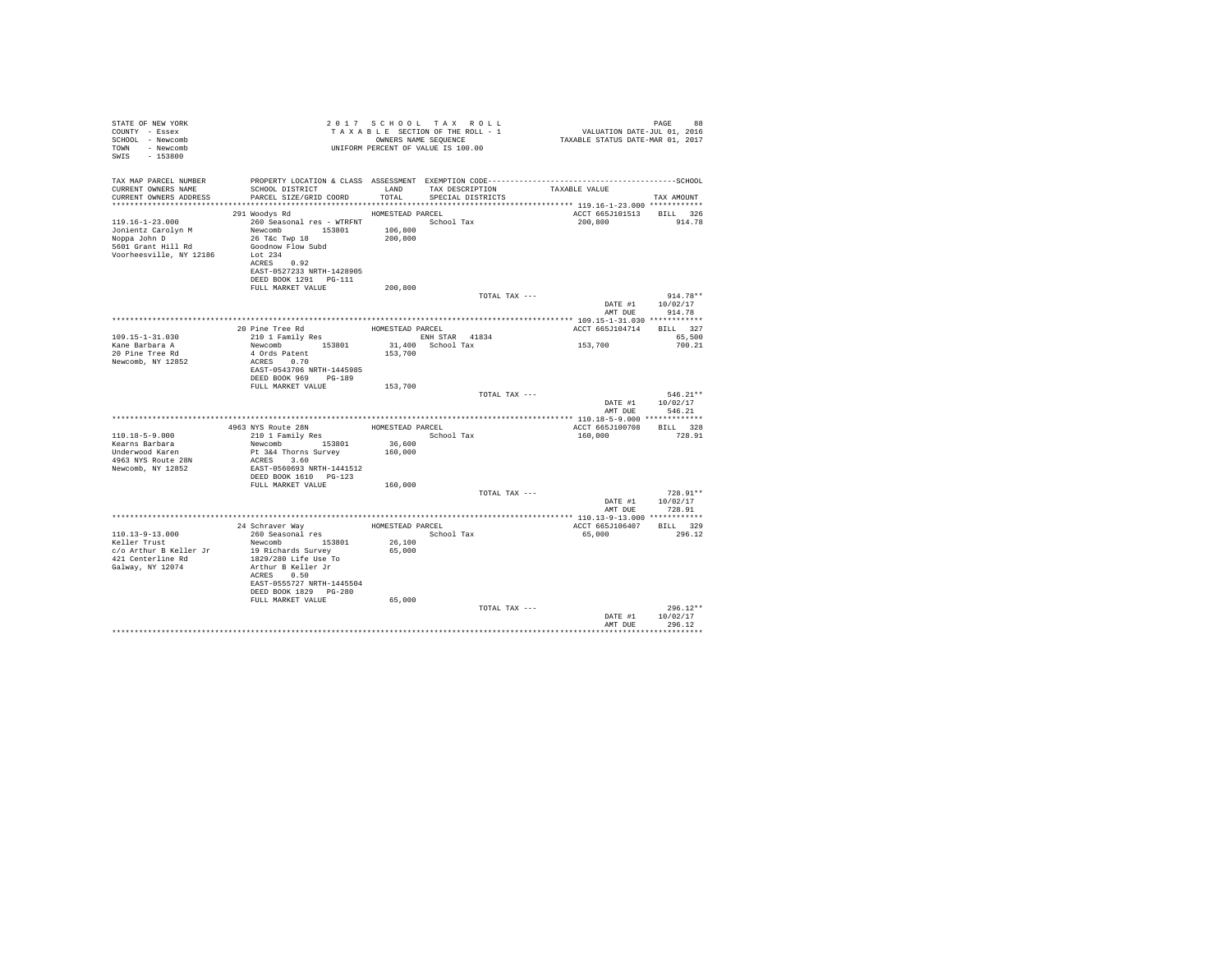| STATE OF NEW YORK<br>COUNTY - Essex<br>SCHOOL - Newcomb<br>TOWN - Newcomb<br>SWIS - 153800               | TAXABLE SECTION OF THE KULL - A MONERS NAME SEQUENCE<br>UNIFORM PERCENT OF VALUE IS 100.00                                                                                                      |                                        |                                           |               | PAGE 88<br>VALUATION DATE-JUL 01, 2016<br>TAXABLE STATUS DATE-MAR 01, 2017 |
|----------------------------------------------------------------------------------------------------------|-------------------------------------------------------------------------------------------------------------------------------------------------------------------------------------------------|----------------------------------------|-------------------------------------------|---------------|----------------------------------------------------------------------------|
| TAX MAP PARCEL NUMBER<br>CURRENT OWNERS NAME<br>CURRENT OWNERS ADDRESS                                   | PROPERTY LOCATION & CLASS ASSESSMENT EXEMPTION CODE-----------------------------------SCHOOL<br>SCHOOL DISTRICT<br>PARCEL SIZE/GRID COORD                                                       | TOTAL                                  | LAND TAX DESCRIPTION<br>SPECIAL DISTRICTS | TAXABLE VALUE | TAX AMOUNT                                                                 |
|                                                                                                          |                                                                                                                                                                                                 |                                        |                                           |               |                                                                            |
| 119.16-1-23.000<br>Jonientz Carolyn M<br>Noppa John D<br>5601 Grant Hill Rd<br>Voorheesville, NY 12186   | 291 Woodys Rd<br>260 Seasonal res - WTRFNT School Tax<br>Newcomb 153801<br>26 T&c Twp 18<br>Goodnow Flow Subd<br>Lot 234<br>ACRES 0.92<br>EAST-0527233 NRTH-1428905<br>DEED BOOK 1291    PG-111 | HOMESTEAD PARCEL<br>106,800<br>200,800 |                                           | 200,800       | ACCT 665J101513 BILL 326<br>914.78                                         |
|                                                                                                          | FULL MARKET VALUE                                                                                                                                                                               | 200,800                                |                                           |               |                                                                            |
|                                                                                                          |                                                                                                                                                                                                 |                                        |                                           | TOTAL TAX --- | $914.78**$<br>DATE #1 10/02/17<br>AMT DUE<br>914.78                        |
|                                                                                                          | 20 Pine Tree Rd                                                                                                                                                                                 | HOMESTEAD PARCEL                       |                                           |               | ACCT 665J104714 BILL 327                                                   |
| $109.15 - 1 - 31.030$                                                                                    | 210 1 Family Res                                                                                                                                                                                |                                        | ENH STAR 41834                            |               | 65,500                                                                     |
| Kane Barbara A<br>20 Pine Tree Rd<br>Newcomb, NY 12852                                                   | Newcomb 153801<br>4 Ords Patent<br>ACRES 0.70<br>EAST-0543706 NRTH-1445985<br>DEED BOOK 969 PG-189<br>FULL MARKET VALUE                                                                         | 153,700<br>153,700                     | $31,400$ School Tax                       | 153,700       | 700.21                                                                     |
|                                                                                                          |                                                                                                                                                                                                 |                                        |                                           | TOTAL TAX --- | $546.21**$<br>DATE #1 10/02/17                                             |
|                                                                                                          |                                                                                                                                                                                                 |                                        |                                           |               | AMT DUE<br>546.21                                                          |
|                                                                                                          |                                                                                                                                                                                                 |                                        | HOMESTEAD PARCEL                          |               | ACCT 665J100708 BILL 328                                                   |
| 110.18-5-9.000<br>Kearns Barbara<br>Underwood Karen<br>4963 NYS Route 28N<br>Newcomb, NY 12852           | 4963 NYS Route 28N<br>210 1 Family Res<br>Newcomb 153801<br>Pt 3&4 Thorns Survey<br>ACRES 3.60<br>EAST-0560693 NRTH-1441512<br>DEED BOOK 1610    PG-123                                         | 36,600<br>160,000                      | School Tax                                | 160,000       | 728.91                                                                     |
|                                                                                                          | FULL MARKET VALUE                                                                                                                                                                               | 160,000                                |                                           |               |                                                                            |
|                                                                                                          |                                                                                                                                                                                                 |                                        |                                           | TOTAL TAX --- | $728.91**$<br>DATE #1 10/02/17<br>AMT DUE 728.91                           |
|                                                                                                          |                                                                                                                                                                                                 |                                        |                                           |               |                                                                            |
| $110.13 - 9 - 13.000$<br>Keller Trust<br>c/o Arthur B Keller Jr<br>421 Centerline Rd<br>Galway, NY 12074 | 24 Schraver Way<br>260 Seasonal res<br>Newcomb 153801<br>19 Richards Survey<br>1829/280 Life Use To<br>Arthur B Keller Jr<br>ACRES 0.50<br>EAST-0555727 NRTH-1445504<br>DEED BOOK 1829 PG-280   | 26,100<br>65,000                       | HOMESTEAD PARCEL<br>School Tax            | 65,000        | ACCT 665J106407 BILL 329<br>296.12                                         |
|                                                                                                          | FULL MARKET VALUE                                                                                                                                                                               | 65,000                                 |                                           | TOTAL TAX --- | $296.12**$<br>DATE #1<br>10/02/17                                          |
|                                                                                                          |                                                                                                                                                                                                 |                                        |                                           |               | AMT DUE<br>296.12                                                          |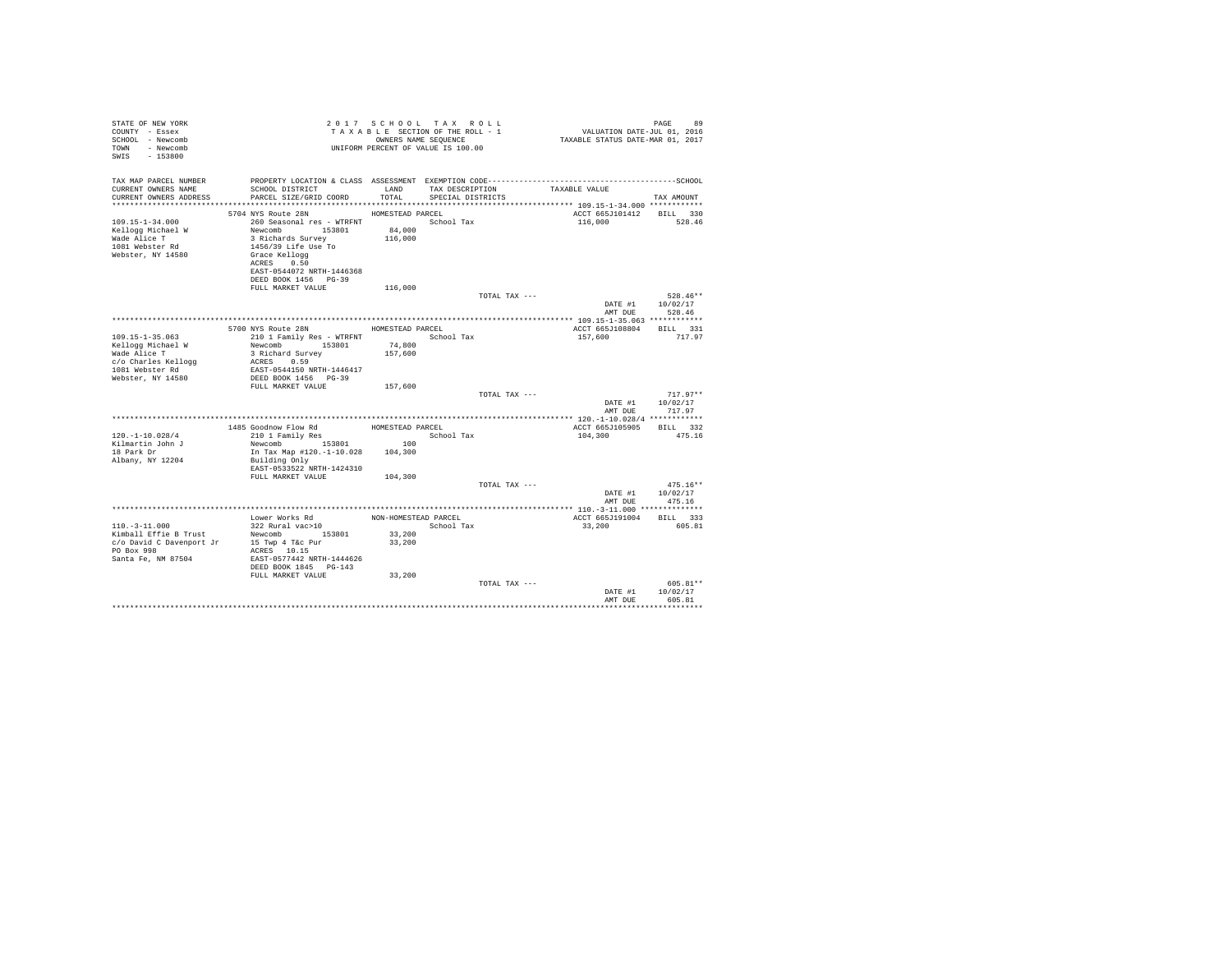| STATE OF NEW YORK<br>COUNTY - Essex<br>SCHOOL - Newcomb<br>TOWN - Newcomb<br>SWIS - 153800 |                                                              |                      | 2017 SCHOOL TAX ROLL<br>TAXABLE SECTION OF THE ROLL - 1<br>OWNERS NAME SEQUENCE<br>UNIFORM PERCENT OF VALUE IS 100.00 | VALUATION DATE-JUL 01, 2016<br>TAXABLE STATUS DATE-MAR 01, 2017 | 89<br>PAGE             |
|--------------------------------------------------------------------------------------------|--------------------------------------------------------------|----------------------|-----------------------------------------------------------------------------------------------------------------------|-----------------------------------------------------------------|------------------------|
| TAX MAP PARCEL NUMBER<br>CURRENT OWNERS NAME                                               | SCHOOL DISTRICT                                              | LAND                 | TAX DESCRIPTION                                                                                                       | TAXABLE VALUE                                                   |                        |
| CURRENT OWNERS ADDRESS                                                                     | PARCEL SIZE/GRID COORD                                       | TOTAL                | SPECIAL DISTRICTS                                                                                                     |                                                                 | TAX AMOUNT             |
|                                                                                            |                                                              |                      |                                                                                                                       |                                                                 |                        |
|                                                                                            | 5704 NYS Route 28N                                           | HOMESTEAD PARCEL     |                                                                                                                       | ACCT 665J101412                                                 | BILL 330               |
| $109.15 - 1 - 34.000$                                                                      | 260 Seasonal res - WTRFNT                                    |                      | School Tax                                                                                                            | 116,000                                                         | 528.46                 |
| Kellogg Michael W                                                                          | 153801<br>Newcomb                                            | 84,000               |                                                                                                                       |                                                                 |                        |
| Wade Alice T                                                                               | 3 Richards Survey                                            | 116,000              |                                                                                                                       |                                                                 |                        |
| 1081 Webster Rd                                                                            | 1456/39 Life Use To                                          |                      |                                                                                                                       |                                                                 |                        |
| Webster, NY 14580                                                                          | Grace Kellogg<br>ACRES 0.50                                  |                      |                                                                                                                       |                                                                 |                        |
|                                                                                            | EAST-0544072 NRTH-1446368                                    |                      |                                                                                                                       |                                                                 |                        |
|                                                                                            | DEED BOOK 1456 PG-39                                         |                      |                                                                                                                       |                                                                 |                        |
|                                                                                            | FULL MARKET VALUE                                            | 116,000              |                                                                                                                       |                                                                 |                        |
|                                                                                            |                                                              |                      | TOTAL TAX ---                                                                                                         |                                                                 | $528.46**$             |
|                                                                                            |                                                              |                      |                                                                                                                       |                                                                 | DATE #1 10/02/17       |
|                                                                                            |                                                              |                      |                                                                                                                       | AMT DUE                                                         | 528.46                 |
|                                                                                            |                                                              |                      |                                                                                                                       |                                                                 |                        |
| $109.15 - 1 - 35.063$                                                                      | 5700 NYS Route 28N                                           | HOMESTEAD PARCEL     | School Tax                                                                                                            | ACCT 665J108804 BILL 331<br>157,600                             | 717.97                 |
| Kellogg Michael W                                                                          | 210 1 Family Res - WTRFNT<br>Newcomb 153801                  | 74,800               |                                                                                                                       |                                                                 |                        |
| Wade Alice T                                                                               | 3 Richard Survey                                             | 157,600              |                                                                                                                       |                                                                 |                        |
| c/o Charles Kellogg                                                                        | ACRES 0.59                                                   |                      |                                                                                                                       |                                                                 |                        |
| 1081 Webster Rd                                                                            | EAST-0544150 NRTH-1446417                                    |                      |                                                                                                                       |                                                                 |                        |
| Webster, NY 14580                                                                          | DEED BOOK 1456 PG-39                                         |                      |                                                                                                                       |                                                                 |                        |
|                                                                                            | FULL MARKET VALUE                                            | 157,600              |                                                                                                                       |                                                                 |                        |
|                                                                                            |                                                              |                      | TOTAL TAX ---                                                                                                         |                                                                 | $717.97**$             |
|                                                                                            |                                                              |                      |                                                                                                                       | DATE #1<br>AMT DUE                                              | 10/02/17<br>717.97     |
|                                                                                            |                                                              |                      |                                                                                                                       |                                                                 |                        |
|                                                                                            |                                                              | HOMESTEAD PARCEL     |                                                                                                                       | ACCT 665J105905                                                 | BILL 332               |
| $120. - 1 - 10.028/4$                                                                      | 1485 Goodnow Flow Rd<br>310 1 Family Res<br>210 1 Family Res |                      | School Tax                                                                                                            | 104,300                                                         | 475.16                 |
| Kilmartin John J                                                                           | Newcomb 153801                                               | 100                  |                                                                                                                       |                                                                 |                        |
| 18 Park Dr                                                                                 | In Tax Map #120.-1-10.028                                    | 104,300              |                                                                                                                       |                                                                 |                        |
| Albany, NY 12204                                                                           | Building Only                                                |                      |                                                                                                                       |                                                                 |                        |
|                                                                                            | EAST-0533522 NRTH-1424310                                    |                      |                                                                                                                       |                                                                 |                        |
|                                                                                            | FULL MARKET VALUE                                            | 104,300              |                                                                                                                       |                                                                 |                        |
|                                                                                            |                                                              |                      | TOTAL TAX ---                                                                                                         | DATE #1                                                         | $475.16**$<br>10/02/17 |
|                                                                                            |                                                              |                      |                                                                                                                       | AMT DUE                                                         | 475.16                 |
|                                                                                            |                                                              |                      |                                                                                                                       |                                                                 |                        |
|                                                                                            | Lower Works Rd                                               | NON-HOMESTEAD PARCEL |                                                                                                                       | ACCT 665J191004                                                 | BILL 333               |
| $110. - 3 - 11.000$                                                                        | 322 Rural vac>10                                             |                      | School Tax                                                                                                            | 33,200                                                          | 605.81                 |
| Kimball Effie B Trust                                                                      | Newcomb 153801                                               | 33,200               |                                                                                                                       |                                                                 |                        |
| c/o David C Davenport Jr                                                                   | 15 Twp 4 T&c Pur                                             | 33,200               |                                                                                                                       |                                                                 |                        |
| PO Box 998                                                                                 | ACRES 10.15                                                  |                      |                                                                                                                       |                                                                 |                        |
| Santa Fe, NM 87504                                                                         | EAST-0577442 NRTH-1444626                                    |                      |                                                                                                                       |                                                                 |                        |
|                                                                                            | DEED BOOK 1845 PG-143<br>FULL MARKET VALUE                   | 33,200               |                                                                                                                       |                                                                 |                        |
|                                                                                            |                                                              |                      | TOTAL TAX ---                                                                                                         |                                                                 | 605.81**               |
|                                                                                            |                                                              |                      |                                                                                                                       | DATE #1                                                         | 10/02/17               |
|                                                                                            |                                                              |                      |                                                                                                                       | AMT DUE                                                         | 605.81                 |
|                                                                                            |                                                              |                      |                                                                                                                       |                                                                 |                        |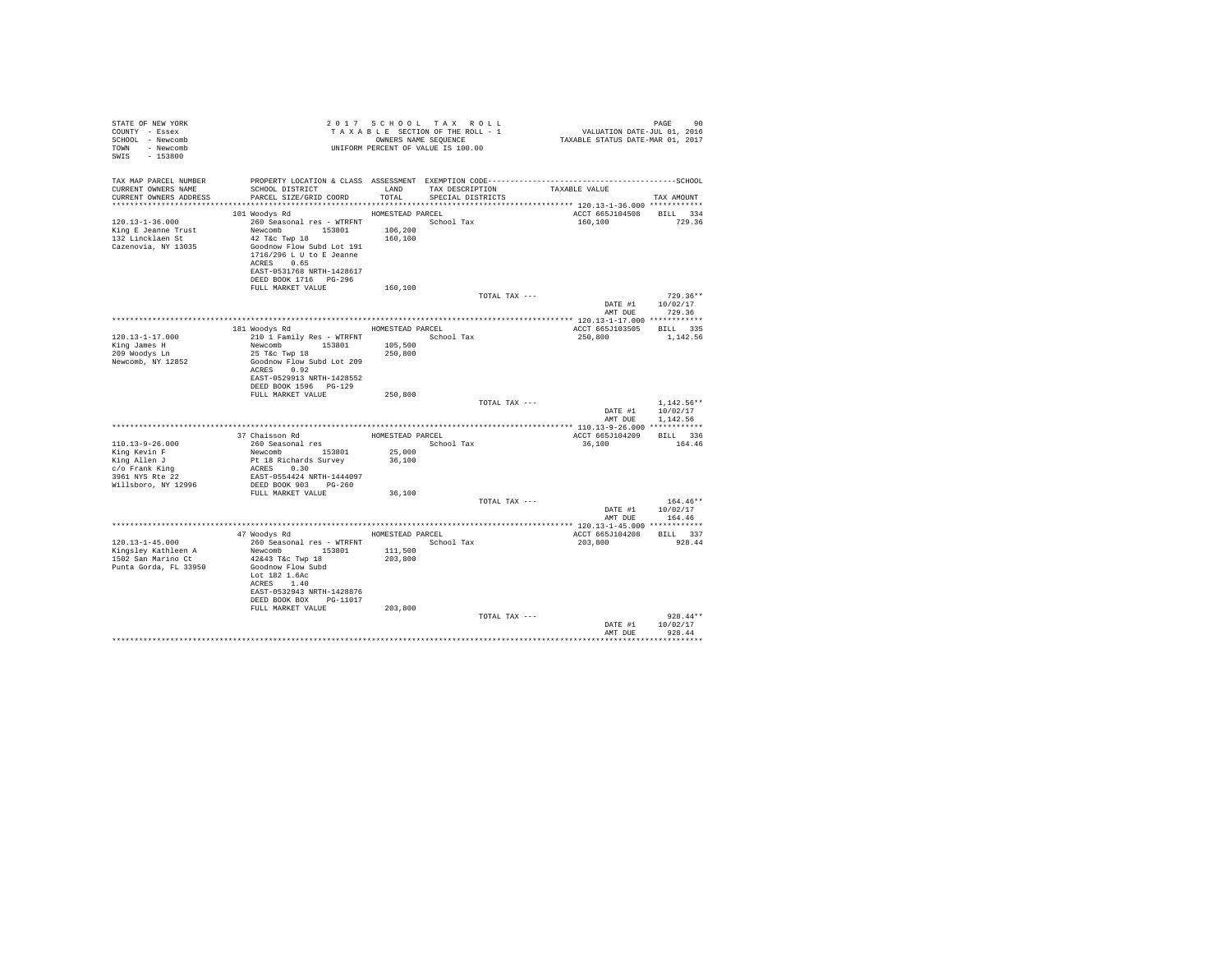| STATE OF NEW YORK<br>COUNTY - Essex<br>SCHOOL - Newcomb<br>TOWN - Newcomb<br>SWIS - 153800 |                                                                                                                                                                                                                                                                                |                  | 2017 SCHOOL TAX ROLL<br>UNIFORM PERCENT OF VALUE IS 100.00 |               | 90 PAGE 90 PAGE 91 PAGE 91 PAGE 92<br>TAXABLE SECTION OF THE ROLL - 1 VALUATION DATE-JUL 011, 2016<br>TAXABLE STATUS DATE-MAR 01, 2017 | PAGE<br>90                                           |
|--------------------------------------------------------------------------------------------|--------------------------------------------------------------------------------------------------------------------------------------------------------------------------------------------------------------------------------------------------------------------------------|------------------|------------------------------------------------------------|---------------|----------------------------------------------------------------------------------------------------------------------------------------|------------------------------------------------------|
| TAX MAP PARCEL NUMBER<br>CURRENT OWNERS NAME<br>CURRENT OWNERS ADDRESS                     | SCHOOL DISTRICT LAND TAX DESCRIPTION<br>PARCEL SIZE/GRID COORD TOTAL SPECIAL DISTRICTS                                                                                                                                                                                         |                  |                                                            |               | TAXABLE VALUE                                                                                                                          | TAX AMOUNT                                           |
| $120.13 - 1 - 36.000$<br>King E Jeanne Trust<br>132 Lincklaen St<br>Cazenovia, NY 13035    | 101 Woodys Rd MOMESTEAD PARCEL<br>260 Seasonal res - WTRFNT<br>Newcomb 153801 106,200<br>42 T&c Twp 18 160,200<br>160,100<br>Goodnow Flow Subd Lot 191<br>1716/296 L U to E Jeanne<br>ACRES 0.65<br>EAST-0531768 NRTH-1428617<br>DEED BOOK 1716    PG-296<br>FULL MARKET VALUE | 160,100          |                                                            |               | ACCT 665J104508 BILL 334<br>160,100                                                                                                    | 729.36                                               |
|                                                                                            |                                                                                                                                                                                                                                                                                |                  |                                                            | TOTAL TAX --- |                                                                                                                                        | $729.36**$                                           |
|                                                                                            |                                                                                                                                                                                                                                                                                |                  |                                                            |               |                                                                                                                                        | DATE #1 10/02/17                                     |
|                                                                                            |                                                                                                                                                                                                                                                                                |                  |                                                            |               |                                                                                                                                        | AMT DUE 729.36                                       |
|                                                                                            | 181 Woodys Rd MOMESTEAD PARCEL                                                                                                                                                                                                                                                 |                  |                                                            |               | ACCT 665J103505 BILL 335                                                                                                               |                                                      |
| $120.13 - 1 - 17.000$                                                                      |                                                                                                                                                                                                                                                                                |                  |                                                            |               | 250,800                                                                                                                                | 1,142.56                                             |
| King James H                                                                               | 210 1 Family Res - WTRFNT<br>Newcomb 153801 105,500<br>25 Tác Twp 18 105,500<br>250,800                                                                                                                                                                                        |                  |                                                            |               |                                                                                                                                        |                                                      |
| 209 Woodys Ln<br>Newcomb, NY 12852                                                         | Goodnow Flow Subd Lot 209<br>ACRES 0.92<br>EAST-0529913 NRTH-1428552<br>DEED BOOK 1596 PG-129                                                                                                                                                                                  |                  |                                                            |               |                                                                                                                                        |                                                      |
|                                                                                            | FULL MARKET VALUE                                                                                                                                                                                                                                                              | 250,800          |                                                            |               |                                                                                                                                        |                                                      |
|                                                                                            |                                                                                                                                                                                                                                                                                |                  |                                                            | TOTAL TAX --- |                                                                                                                                        | $1,142.56**$<br>DATE #1 10/02/17<br>AMT DUE 1.142.56 |
|                                                                                            |                                                                                                                                                                                                                                                                                |                  |                                                            |               |                                                                                                                                        |                                                      |
| 110.13-9-26.000                                                                            | $37$ Chaisson Rd $$\tt HOMESTEAD$ PARCEL $$260$ Seasonal ${\tt res}$                                                                                                                                                                                                           |                  |                                                            |               | ACCT 665J104209 BILL 336<br>36,100 164.46                                                                                              |                                                      |
| King Kevin F<br>King Allen J                                                               |                                                                                                                                                                                                                                                                                | 25,000<br>36,100 |                                                            |               |                                                                                                                                        |                                                      |
| c/o Frank King<br>3961 NYS Rte 22<br>Willsboro, NY 12996                                   | Newcomb<br>De la Richards Survey<br>ACRES 0.30<br>REST-0554424 NRTH-1444097<br>DEED BOOK 903 PG-260                                                                                                                                                                            |                  |                                                            |               |                                                                                                                                        |                                                      |
|                                                                                            | FULL MARKET VALUE                                                                                                                                                                                                                                                              | 36,100           |                                                            |               |                                                                                                                                        |                                                      |
|                                                                                            |                                                                                                                                                                                                                                                                                |                  |                                                            | TOTAL TAX --- |                                                                                                                                        | $164.46**$<br>DATE #1 10/02/17                       |
|                                                                                            |                                                                                                                                                                                                                                                                                |                  |                                                            |               | AMT DUE                                                                                                                                | 164.46                                               |
|                                                                                            | 47 Woodys Rd MOMESTEAD PARCEL                                                                                                                                                                                                                                                  |                  |                                                            |               | ACCT 665J104208 BILL 337                                                                                                               |                                                      |
| $120.13 - 1 - 45.000$                                                                      | 260 Seasonal res - WTRFNT School Tax                                                                                                                                                                                                                                           |                  |                                                            |               | 203,800                                                                                                                                | 928.44                                               |
| Kingsley Kathleen A<br>1502 San Marino Ct<br>Punta Gorda, FL 33950                         | Newcomb 153801 111,500<br>42&43 T&c Twp 18<br>Goodnow Flow Subd<br>Lot 182 1.6Ac<br>ACRES 1.40<br>EAST-0532943 NRTH-1428876<br>DEED BOOK BOX PG-11017                                                                                                                          | 203,800          |                                                            |               |                                                                                                                                        |                                                      |
|                                                                                            | FULL MARKET VALUE                                                                                                                                                                                                                                                              | 203,800          |                                                            | TOTAL TAX --- |                                                                                                                                        | $928.44**$                                           |
|                                                                                            |                                                                                                                                                                                                                                                                                |                  |                                                            |               | DATE #1                                                                                                                                | 10/02/17                                             |
|                                                                                            |                                                                                                                                                                                                                                                                                |                  |                                                            |               | AMT DUE                                                                                                                                | 928 44                                               |
|                                                                                            |                                                                                                                                                                                                                                                                                |                  |                                                            |               |                                                                                                                                        |                                                      |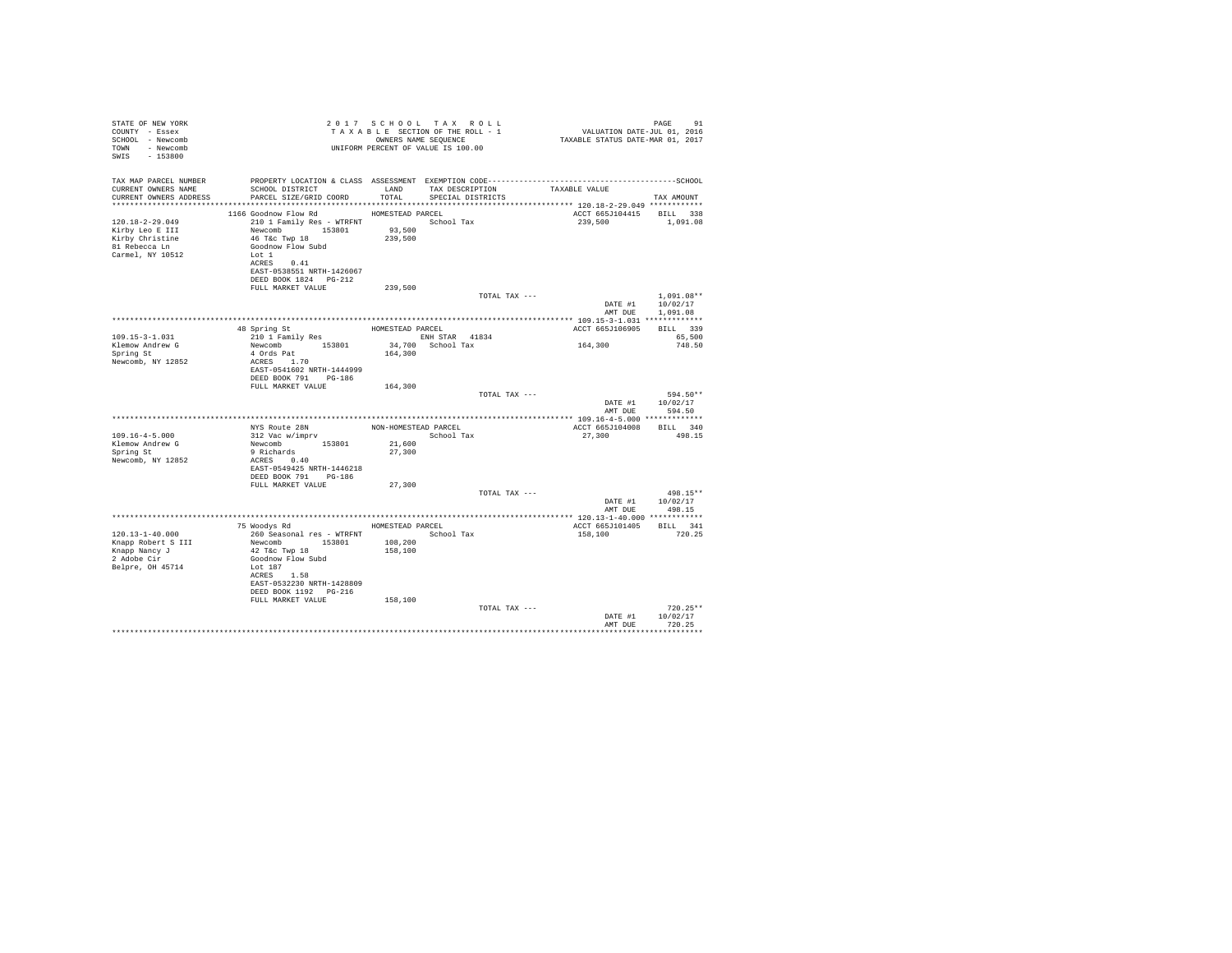| STATE OF NEW YORK<br>COUNTY - Essex<br>SCHOOL - Newcomb<br>TOWN - Newcomb<br>SWIS - 153800       |                                                                                                                                                                                                          |                             | 2017 SCHOOL TAX ROLL<br>UNIFORM PERCENT OF VALUE IS 100.00 |                                                                                                               | PAGE<br>91                                           |
|--------------------------------------------------------------------------------------------------|----------------------------------------------------------------------------------------------------------------------------------------------------------------------------------------------------------|-----------------------------|------------------------------------------------------------|---------------------------------------------------------------------------------------------------------------|------------------------------------------------------|
| TAX MAP PARCEL NUMBER<br>CURRENT OWNERS NAME<br>CURRENT OWNERS ADDRESS                           | SCHOOL DISTRICT LAND<br>PARCEL SIZE/GRID COORD TOTAL SPECIAL DISTRICTS                                                                                                                                   |                             | TAX DESCRIPTION                                            | PROPERTY LOCATION & CLASS ASSESSMENT EXEMPTION CODE-----------------------------------SCHOOL<br>TAXABLE VALUE | TAX AMOUNT                                           |
|                                                                                                  |                                                                                                                                                                                                          |                             |                                                            |                                                                                                               |                                                      |
| $120.18 - 2 - 29.049$<br>Kirby Leo E III<br>Kirby Christine<br>81 Rebecca Ln<br>Carmel, NY 10512 | 1166 Goodnow Flow Rd<br>210 1 Family Res - WTRFNT School Tax<br>Newcomb 153801 93,500<br>46 T&C Twp 18<br>Goodnow Flow Subd<br>Lot 1<br>ACRES 0.41<br>EAST-0538551 NRTH-1426067<br>DEED BOOK 1824 PG-212 | HOMESTEAD PARCEL<br>239,500 |                                                            | ACCT 665J104415 BILL 338<br>239,500                                                                           | 1,091.08                                             |
|                                                                                                  | FULL MARKET VALUE                                                                                                                                                                                        | 239,500                     |                                                            |                                                                                                               |                                                      |
|                                                                                                  |                                                                                                                                                                                                          |                             | TOTAL TAX ---                                              |                                                                                                               | $1.091.08**$<br>DATE #1 10/02/17<br>AMT DUE 1,091.08 |
|                                                                                                  |                                                                                                                                                                                                          |                             |                                                            |                                                                                                               |                                                      |
| $109.15 - 3 - 1.031$                                                                             |                                                                                                                                                                                                          |                             |                                                            | ACCT 665J106905                                                                                               | BILL 339<br>65,500                                   |
| Klemow Andrew G                                                                                  |                                                                                                                                                                                                          |                             | ENH STAR 41834<br>34,700 School Tax                        | 164,300                                                                                                       | 748.50                                               |
| Spring St<br>Newcomb, NY 12852                                                                   | Newcomb 153801<br>4 Ords Pat<br>ACRES 1.70<br>EAST-0541602 NRTH-1444999<br>DEED BOOK 791 PG-186                                                                                                          | 164,300                     |                                                            |                                                                                                               |                                                      |
|                                                                                                  | FULL MARKET VALUE 164,300                                                                                                                                                                                |                             | TOTAL TAX ---                                              |                                                                                                               | 594.50**                                             |
|                                                                                                  |                                                                                                                                                                                                          |                             |                                                            | AMT DUR                                                                                                       | DATE #1 10/02/17<br>594.50                           |
|                                                                                                  |                                                                                                                                                                                                          |                             |                                                            |                                                                                                               |                                                      |
| $109.16 - 4 - 5.000$                                                                             | NYS Route 28N MON-HOMESTEAD PARCEL<br>312 Vac w/imprv School Tax                                                                                                                                         |                             |                                                            | ACCT 665J104008 BILL 340<br>27,300                                                                            | 498.15                                               |
| Klemow Andrew G                                                                                  |                                                                                                                                                                                                          | 21,600                      |                                                            |                                                                                                               |                                                      |
| Spring St<br>Newcomb, NY 12852                                                                   | Newcomb<br>9 Richards 153801<br>ACRES 0.40<br>EAST-0549425 NRTH-1446218<br>DEED BOOK 791 PG-186                                                                                                          | 27,300                      |                                                            |                                                                                                               |                                                      |
|                                                                                                  | FULL MARKET VALUE                                                                                                                                                                                        | 27,300                      |                                                            |                                                                                                               |                                                      |
|                                                                                                  |                                                                                                                                                                                                          |                             | TOTAL TAX ---                                              | AMT DUE                                                                                                       | $498.15**$<br>DATE #1 10/02/17<br>498.15             |
|                                                                                                  |                                                                                                                                                                                                          |                             |                                                            |                                                                                                               |                                                      |
|                                                                                                  | 75 Woodys Rd MOMESTEAD PARCEL                                                                                                                                                                            |                             |                                                            | ACCT 665J101405 BILL 341                                                                                      |                                                      |
| $120.13 - 1 - 40.000$<br>Knapp Robert S III<br>Knapp Nancy J<br>2 Adobe Cir<br>Belpre, OH 45714  | 260 Seasonal res - WTRFNT School Tax<br>Newcomb 153801<br>42 T&c Twp 18<br>Goodnow Flow Subd<br>Lot 187<br>ACRES 1.58                                                                                    | 108,200<br>158,100          |                                                            | 158,100                                                                                                       | 720.25                                               |
|                                                                                                  | EAST-0532230 NRTH-1428809<br>DEED BOOK 1192   PG-216<br>FULL MARKET VALUE                                                                                                                                | 158,100                     |                                                            |                                                                                                               |                                                      |
|                                                                                                  |                                                                                                                                                                                                          |                             | TOTAL TAX ---                                              | AMT DUE                                                                                                       | $720.25**$<br>DATE #1 10/02/17<br>720.25             |
|                                                                                                  |                                                                                                                                                                                                          |                             |                                                            |                                                                                                               |                                                      |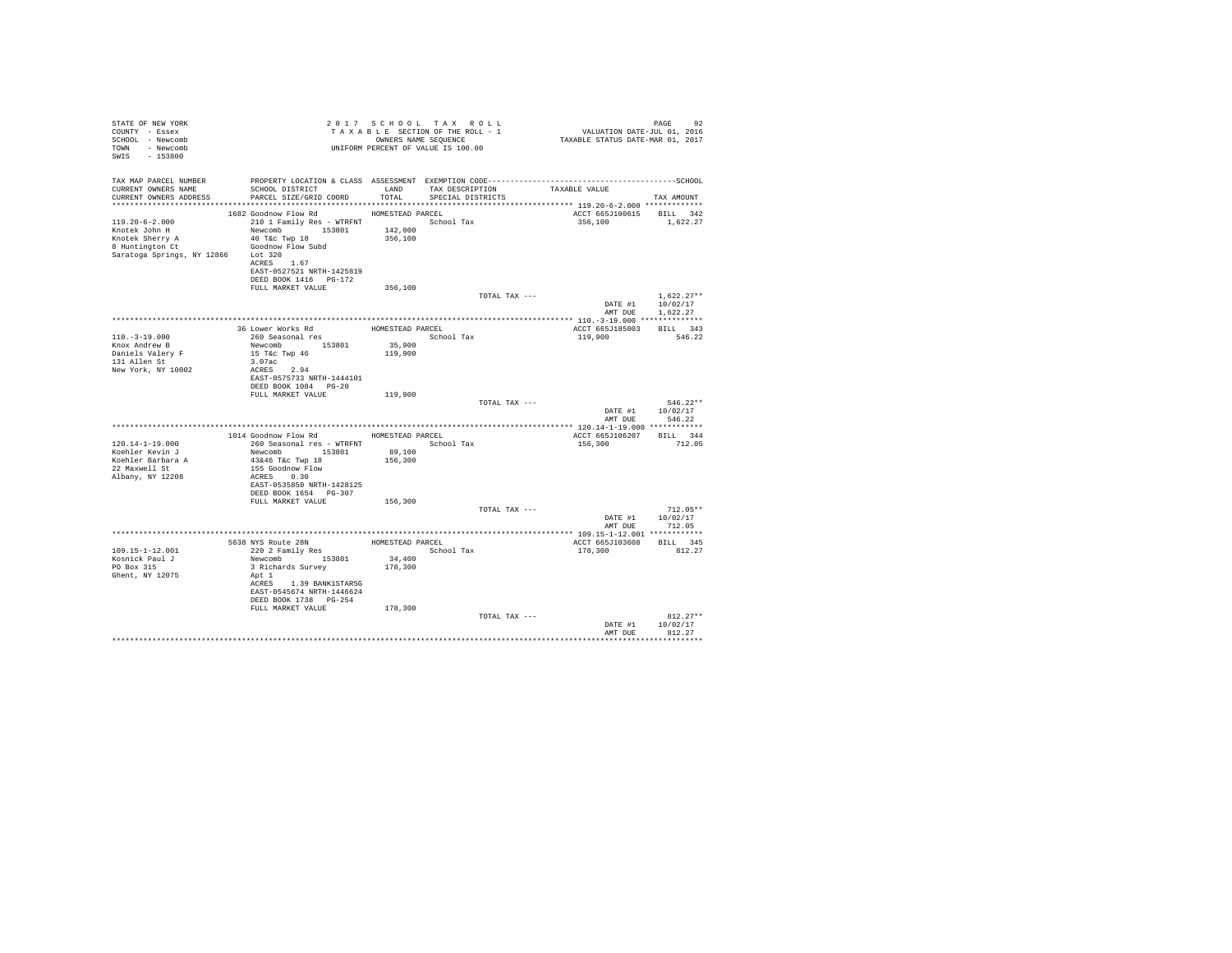| TAX MAP PARCEL NUMBER<br>${\tt SCH OOL\ DISTRICT} \hspace{20mm} {\tt LAND} \hspace{20mm} {\tt TAX\ DESCRIPTION}$<br>CURRENT OWNERS NAME<br>TAXABLE VALUE<br>PARCEL SIZE/GRID COORD TOTAL<br>CURRENT OWNERS ADDRESS<br>SPECIAL DISTRICTS<br>TAX AMOUNT<br>1682 Goodnow Flow Rd MOMESTEAD PARCEL<br>ACCT 665J100615 BILL 342<br>210 1 Family Res - WTRFNT School Tax<br>119.20-6-2.000<br>356,100 1,622.27<br>Newcomb 153801 142,000<br>Knotek John H<br>Example 2018 AM AMERICAN MODEL SHOW FLOW SUDDEN BUILDING CONTROL CONTROL CONTROL CONTROL CONTROL CONTROL CONTROL CONTROL CONTROL CONTROL CONTROL CONTROL CONTROL CONTROL CONTROL CONTROL CONTROL CONTROL CONTROL CONTROL CONTR<br>356,100<br>Saratoga Springs, NY 12866 Lot 320<br>ACRES 1.67<br>EAST-0527521 NRTH-1425819<br>DEED BOOK 1416    PG-172<br>FULL MARKET VALUE<br>356,100<br>TOTAL TAX ---<br>$1.622.27**$<br>DATE #1 10/02/17<br>AMT DUE 1.622.27<br>ACCT 665J185003 BILL 343<br>School Tax<br>$110. - 3 - 19.000$<br>119,900<br>546.22<br>Newcomb $153801$<br>35,900<br>Knox Andrew B<br>15 T&C Twp 46<br>Daniels Valery F<br>119,900<br>131 Allen St<br>3.07ac<br>New York, NY 10002<br>ACRES 2.94<br>EAST-0575733 NRTH-1444101<br>DEED BOOK 1084 PG-20<br>FULL MARKET VALUE<br>119,900<br>$546.22**$<br>TOTAL TAX ---<br>DATE #1 10/02/17<br>AMT DUE 546.22<br>1014 Goodnow Flow Rd HOMESTEAD PARCEL<br>ACCT 665J106207 BILL 344<br>$120.14 - 1 - 19.000$<br>156,300<br>712.05<br>Newcomb 153801<br>43&46 T&c Twp 18<br>Koehler Kevin J<br>89,100<br>156,300<br>Koehler Barbara A<br>22 Maxwell St<br>155 Goodnow Flow<br>Albany, NY 12208<br>ACRES 0.30<br>EAST-0535850 NRTH-1428125<br>DEED BOOK 1654 PG-307<br>FULL MARKET VALUE<br>156,300<br>TOTAL TAX ---<br>$712.05**$<br>DATE #1 10/02/17<br>AMT DUE<br>712.05<br>5638 NYS Route 28N<br>220 2 Family Res<br>HOMESTEAD PARCEL<br>ACCT 665J103608 BILL 345<br>School Tax<br>$109.15 - 1 - 12.001$<br>178,300<br>812.27<br>Newcomb 153801<br>3 Richards Survey<br>34,400<br>Kosnick Paul J<br>PO Box 315<br>178,300<br>Ghent, NY 12075<br>Apt 1<br>ACRES 1.39 BANK1STARSG<br>EAST-0545674 NRTH-1446624<br>DEED BOOK 1738 PG-254<br>FULL MARKET VALUE<br>178,300<br>TOTAL TAX ---<br>$812.27**$<br>DATE #1 10/02/17<br>AMT DUE<br>812.27 | STATE OF NEW YORK<br>COUNTY - Essex<br>SCHOOL - Newcomb<br>TOWN - Newcomb<br>SWIS - 153800 |  | 2017 SCHOOL TAX ROLL<br>UNIFORM PERCENT OF VALUE IS 100.00 | PAGE 92 2017 SCHOOL TAX ROLL 2017 SCHOOL TAX ROLL 2017 SEE SECTION OF THE ROLL 1 CONTE-TOLL 011 2016 | PAGE<br>92 |
|----------------------------------------------------------------------------------------------------------------------------------------------------------------------------------------------------------------------------------------------------------------------------------------------------------------------------------------------------------------------------------------------------------------------------------------------------------------------------------------------------------------------------------------------------------------------------------------------------------------------------------------------------------------------------------------------------------------------------------------------------------------------------------------------------------------------------------------------------------------------------------------------------------------------------------------------------------------------------------------------------------------------------------------------------------------------------------------------------------------------------------------------------------------------------------------------------------------------------------------------------------------------------------------------------------------------------------------------------------------------------------------------------------------------------------------------------------------------------------------------------------------------------------------------------------------------------------------------------------------------------------------------------------------------------------------------------------------------------------------------------------------------------------------------------------------------------------------------------------------------------------------------------------------------------------------------------------------------------------------------------------------------------------------------------------------------------------------------------------------------------------------------------------------------------------------------------------------------------------------------------------------------|--------------------------------------------------------------------------------------------|--|------------------------------------------------------------|------------------------------------------------------------------------------------------------------|------------|
|                                                                                                                                                                                                                                                                                                                                                                                                                                                                                                                                                                                                                                                                                                                                                                                                                                                                                                                                                                                                                                                                                                                                                                                                                                                                                                                                                                                                                                                                                                                                                                                                                                                                                                                                                                                                                                                                                                                                                                                                                                                                                                                                                                                                                                                                      |                                                                                            |  |                                                            |                                                                                                      |            |
|                                                                                                                                                                                                                                                                                                                                                                                                                                                                                                                                                                                                                                                                                                                                                                                                                                                                                                                                                                                                                                                                                                                                                                                                                                                                                                                                                                                                                                                                                                                                                                                                                                                                                                                                                                                                                                                                                                                                                                                                                                                                                                                                                                                                                                                                      |                                                                                            |  |                                                            |                                                                                                      |            |
|                                                                                                                                                                                                                                                                                                                                                                                                                                                                                                                                                                                                                                                                                                                                                                                                                                                                                                                                                                                                                                                                                                                                                                                                                                                                                                                                                                                                                                                                                                                                                                                                                                                                                                                                                                                                                                                                                                                                                                                                                                                                                                                                                                                                                                                                      |                                                                                            |  |                                                            |                                                                                                      |            |
|                                                                                                                                                                                                                                                                                                                                                                                                                                                                                                                                                                                                                                                                                                                                                                                                                                                                                                                                                                                                                                                                                                                                                                                                                                                                                                                                                                                                                                                                                                                                                                                                                                                                                                                                                                                                                                                                                                                                                                                                                                                                                                                                                                                                                                                                      |                                                                                            |  |                                                            |                                                                                                      |            |
|                                                                                                                                                                                                                                                                                                                                                                                                                                                                                                                                                                                                                                                                                                                                                                                                                                                                                                                                                                                                                                                                                                                                                                                                                                                                                                                                                                                                                                                                                                                                                                                                                                                                                                                                                                                                                                                                                                                                                                                                                                                                                                                                                                                                                                                                      |                                                                                            |  |                                                            |                                                                                                      |            |
|                                                                                                                                                                                                                                                                                                                                                                                                                                                                                                                                                                                                                                                                                                                                                                                                                                                                                                                                                                                                                                                                                                                                                                                                                                                                                                                                                                                                                                                                                                                                                                                                                                                                                                                                                                                                                                                                                                                                                                                                                                                                                                                                                                                                                                                                      |                                                                                            |  |                                                            |                                                                                                      |            |
|                                                                                                                                                                                                                                                                                                                                                                                                                                                                                                                                                                                                                                                                                                                                                                                                                                                                                                                                                                                                                                                                                                                                                                                                                                                                                                                                                                                                                                                                                                                                                                                                                                                                                                                                                                                                                                                                                                                                                                                                                                                                                                                                                                                                                                                                      |                                                                                            |  |                                                            |                                                                                                      |            |
|                                                                                                                                                                                                                                                                                                                                                                                                                                                                                                                                                                                                                                                                                                                                                                                                                                                                                                                                                                                                                                                                                                                                                                                                                                                                                                                                                                                                                                                                                                                                                                                                                                                                                                                                                                                                                                                                                                                                                                                                                                                                                                                                                                                                                                                                      |                                                                                            |  |                                                            |                                                                                                      |            |
|                                                                                                                                                                                                                                                                                                                                                                                                                                                                                                                                                                                                                                                                                                                                                                                                                                                                                                                                                                                                                                                                                                                                                                                                                                                                                                                                                                                                                                                                                                                                                                                                                                                                                                                                                                                                                                                                                                                                                                                                                                                                                                                                                                                                                                                                      |                                                                                            |  |                                                            |                                                                                                      |            |
|                                                                                                                                                                                                                                                                                                                                                                                                                                                                                                                                                                                                                                                                                                                                                                                                                                                                                                                                                                                                                                                                                                                                                                                                                                                                                                                                                                                                                                                                                                                                                                                                                                                                                                                                                                                                                                                                                                                                                                                                                                                                                                                                                                                                                                                                      |                                                                                            |  |                                                            |                                                                                                      |            |
|                                                                                                                                                                                                                                                                                                                                                                                                                                                                                                                                                                                                                                                                                                                                                                                                                                                                                                                                                                                                                                                                                                                                                                                                                                                                                                                                                                                                                                                                                                                                                                                                                                                                                                                                                                                                                                                                                                                                                                                                                                                                                                                                                                                                                                                                      |                                                                                            |  |                                                            |                                                                                                      |            |
|                                                                                                                                                                                                                                                                                                                                                                                                                                                                                                                                                                                                                                                                                                                                                                                                                                                                                                                                                                                                                                                                                                                                                                                                                                                                                                                                                                                                                                                                                                                                                                                                                                                                                                                                                                                                                                                                                                                                                                                                                                                                                                                                                                                                                                                                      |                                                                                            |  |                                                            |                                                                                                      |            |
|                                                                                                                                                                                                                                                                                                                                                                                                                                                                                                                                                                                                                                                                                                                                                                                                                                                                                                                                                                                                                                                                                                                                                                                                                                                                                                                                                                                                                                                                                                                                                                                                                                                                                                                                                                                                                                                                                                                                                                                                                                                                                                                                                                                                                                                                      |                                                                                            |  |                                                            |                                                                                                      |            |
|                                                                                                                                                                                                                                                                                                                                                                                                                                                                                                                                                                                                                                                                                                                                                                                                                                                                                                                                                                                                                                                                                                                                                                                                                                                                                                                                                                                                                                                                                                                                                                                                                                                                                                                                                                                                                                                                                                                                                                                                                                                                                                                                                                                                                                                                      |                                                                                            |  |                                                            |                                                                                                      |            |
|                                                                                                                                                                                                                                                                                                                                                                                                                                                                                                                                                                                                                                                                                                                                                                                                                                                                                                                                                                                                                                                                                                                                                                                                                                                                                                                                                                                                                                                                                                                                                                                                                                                                                                                                                                                                                                                                                                                                                                                                                                                                                                                                                                                                                                                                      |                                                                                            |  |                                                            |                                                                                                      |            |
|                                                                                                                                                                                                                                                                                                                                                                                                                                                                                                                                                                                                                                                                                                                                                                                                                                                                                                                                                                                                                                                                                                                                                                                                                                                                                                                                                                                                                                                                                                                                                                                                                                                                                                                                                                                                                                                                                                                                                                                                                                                                                                                                                                                                                                                                      |                                                                                            |  |                                                            |                                                                                                      |            |
|                                                                                                                                                                                                                                                                                                                                                                                                                                                                                                                                                                                                                                                                                                                                                                                                                                                                                                                                                                                                                                                                                                                                                                                                                                                                                                                                                                                                                                                                                                                                                                                                                                                                                                                                                                                                                                                                                                                                                                                                                                                                                                                                                                                                                                                                      |                                                                                            |  |                                                            |                                                                                                      |            |
|                                                                                                                                                                                                                                                                                                                                                                                                                                                                                                                                                                                                                                                                                                                                                                                                                                                                                                                                                                                                                                                                                                                                                                                                                                                                                                                                                                                                                                                                                                                                                                                                                                                                                                                                                                                                                                                                                                                                                                                                                                                                                                                                                                                                                                                                      |                                                                                            |  |                                                            |                                                                                                      |            |
|                                                                                                                                                                                                                                                                                                                                                                                                                                                                                                                                                                                                                                                                                                                                                                                                                                                                                                                                                                                                                                                                                                                                                                                                                                                                                                                                                                                                                                                                                                                                                                                                                                                                                                                                                                                                                                                                                                                                                                                                                                                                                                                                                                                                                                                                      |                                                                                            |  |                                                            |                                                                                                      |            |
|                                                                                                                                                                                                                                                                                                                                                                                                                                                                                                                                                                                                                                                                                                                                                                                                                                                                                                                                                                                                                                                                                                                                                                                                                                                                                                                                                                                                                                                                                                                                                                                                                                                                                                                                                                                                                                                                                                                                                                                                                                                                                                                                                                                                                                                                      |                                                                                            |  |                                                            |                                                                                                      |            |
|                                                                                                                                                                                                                                                                                                                                                                                                                                                                                                                                                                                                                                                                                                                                                                                                                                                                                                                                                                                                                                                                                                                                                                                                                                                                                                                                                                                                                                                                                                                                                                                                                                                                                                                                                                                                                                                                                                                                                                                                                                                                                                                                                                                                                                                                      |                                                                                            |  |                                                            |                                                                                                      |            |
|                                                                                                                                                                                                                                                                                                                                                                                                                                                                                                                                                                                                                                                                                                                                                                                                                                                                                                                                                                                                                                                                                                                                                                                                                                                                                                                                                                                                                                                                                                                                                                                                                                                                                                                                                                                                                                                                                                                                                                                                                                                                                                                                                                                                                                                                      |                                                                                            |  |                                                            |                                                                                                      |            |
|                                                                                                                                                                                                                                                                                                                                                                                                                                                                                                                                                                                                                                                                                                                                                                                                                                                                                                                                                                                                                                                                                                                                                                                                                                                                                                                                                                                                                                                                                                                                                                                                                                                                                                                                                                                                                                                                                                                                                                                                                                                                                                                                                                                                                                                                      |                                                                                            |  |                                                            |                                                                                                      |            |
|                                                                                                                                                                                                                                                                                                                                                                                                                                                                                                                                                                                                                                                                                                                                                                                                                                                                                                                                                                                                                                                                                                                                                                                                                                                                                                                                                                                                                                                                                                                                                                                                                                                                                                                                                                                                                                                                                                                                                                                                                                                                                                                                                                                                                                                                      |                                                                                            |  |                                                            |                                                                                                      |            |
|                                                                                                                                                                                                                                                                                                                                                                                                                                                                                                                                                                                                                                                                                                                                                                                                                                                                                                                                                                                                                                                                                                                                                                                                                                                                                                                                                                                                                                                                                                                                                                                                                                                                                                                                                                                                                                                                                                                                                                                                                                                                                                                                                                                                                                                                      |                                                                                            |  |                                                            |                                                                                                      |            |
|                                                                                                                                                                                                                                                                                                                                                                                                                                                                                                                                                                                                                                                                                                                                                                                                                                                                                                                                                                                                                                                                                                                                                                                                                                                                                                                                                                                                                                                                                                                                                                                                                                                                                                                                                                                                                                                                                                                                                                                                                                                                                                                                                                                                                                                                      |                                                                                            |  |                                                            |                                                                                                      |            |
|                                                                                                                                                                                                                                                                                                                                                                                                                                                                                                                                                                                                                                                                                                                                                                                                                                                                                                                                                                                                                                                                                                                                                                                                                                                                                                                                                                                                                                                                                                                                                                                                                                                                                                                                                                                                                                                                                                                                                                                                                                                                                                                                                                                                                                                                      |                                                                                            |  |                                                            |                                                                                                      |            |
|                                                                                                                                                                                                                                                                                                                                                                                                                                                                                                                                                                                                                                                                                                                                                                                                                                                                                                                                                                                                                                                                                                                                                                                                                                                                                                                                                                                                                                                                                                                                                                                                                                                                                                                                                                                                                                                                                                                                                                                                                                                                                                                                                                                                                                                                      |                                                                                            |  |                                                            |                                                                                                      |            |
|                                                                                                                                                                                                                                                                                                                                                                                                                                                                                                                                                                                                                                                                                                                                                                                                                                                                                                                                                                                                                                                                                                                                                                                                                                                                                                                                                                                                                                                                                                                                                                                                                                                                                                                                                                                                                                                                                                                                                                                                                                                                                                                                                                                                                                                                      |                                                                                            |  |                                                            |                                                                                                      |            |
|                                                                                                                                                                                                                                                                                                                                                                                                                                                                                                                                                                                                                                                                                                                                                                                                                                                                                                                                                                                                                                                                                                                                                                                                                                                                                                                                                                                                                                                                                                                                                                                                                                                                                                                                                                                                                                                                                                                                                                                                                                                                                                                                                                                                                                                                      |                                                                                            |  |                                                            |                                                                                                      |            |
|                                                                                                                                                                                                                                                                                                                                                                                                                                                                                                                                                                                                                                                                                                                                                                                                                                                                                                                                                                                                                                                                                                                                                                                                                                                                                                                                                                                                                                                                                                                                                                                                                                                                                                                                                                                                                                                                                                                                                                                                                                                                                                                                                                                                                                                                      |                                                                                            |  |                                                            |                                                                                                      |            |
|                                                                                                                                                                                                                                                                                                                                                                                                                                                                                                                                                                                                                                                                                                                                                                                                                                                                                                                                                                                                                                                                                                                                                                                                                                                                                                                                                                                                                                                                                                                                                                                                                                                                                                                                                                                                                                                                                                                                                                                                                                                                                                                                                                                                                                                                      |                                                                                            |  |                                                            |                                                                                                      |            |
|                                                                                                                                                                                                                                                                                                                                                                                                                                                                                                                                                                                                                                                                                                                                                                                                                                                                                                                                                                                                                                                                                                                                                                                                                                                                                                                                                                                                                                                                                                                                                                                                                                                                                                                                                                                                                                                                                                                                                                                                                                                                                                                                                                                                                                                                      |                                                                                            |  |                                                            |                                                                                                      |            |
|                                                                                                                                                                                                                                                                                                                                                                                                                                                                                                                                                                                                                                                                                                                                                                                                                                                                                                                                                                                                                                                                                                                                                                                                                                                                                                                                                                                                                                                                                                                                                                                                                                                                                                                                                                                                                                                                                                                                                                                                                                                                                                                                                                                                                                                                      |                                                                                            |  |                                                            |                                                                                                      |            |
|                                                                                                                                                                                                                                                                                                                                                                                                                                                                                                                                                                                                                                                                                                                                                                                                                                                                                                                                                                                                                                                                                                                                                                                                                                                                                                                                                                                                                                                                                                                                                                                                                                                                                                                                                                                                                                                                                                                                                                                                                                                                                                                                                                                                                                                                      |                                                                                            |  |                                                            |                                                                                                      |            |
|                                                                                                                                                                                                                                                                                                                                                                                                                                                                                                                                                                                                                                                                                                                                                                                                                                                                                                                                                                                                                                                                                                                                                                                                                                                                                                                                                                                                                                                                                                                                                                                                                                                                                                                                                                                                                                                                                                                                                                                                                                                                                                                                                                                                                                                                      |                                                                                            |  |                                                            |                                                                                                      |            |
|                                                                                                                                                                                                                                                                                                                                                                                                                                                                                                                                                                                                                                                                                                                                                                                                                                                                                                                                                                                                                                                                                                                                                                                                                                                                                                                                                                                                                                                                                                                                                                                                                                                                                                                                                                                                                                                                                                                                                                                                                                                                                                                                                                                                                                                                      |                                                                                            |  |                                                            |                                                                                                      |            |
|                                                                                                                                                                                                                                                                                                                                                                                                                                                                                                                                                                                                                                                                                                                                                                                                                                                                                                                                                                                                                                                                                                                                                                                                                                                                                                                                                                                                                                                                                                                                                                                                                                                                                                                                                                                                                                                                                                                                                                                                                                                                                                                                                                                                                                                                      |                                                                                            |  |                                                            |                                                                                                      |            |
|                                                                                                                                                                                                                                                                                                                                                                                                                                                                                                                                                                                                                                                                                                                                                                                                                                                                                                                                                                                                                                                                                                                                                                                                                                                                                                                                                                                                                                                                                                                                                                                                                                                                                                                                                                                                                                                                                                                                                                                                                                                                                                                                                                                                                                                                      |                                                                                            |  |                                                            |                                                                                                      |            |
|                                                                                                                                                                                                                                                                                                                                                                                                                                                                                                                                                                                                                                                                                                                                                                                                                                                                                                                                                                                                                                                                                                                                                                                                                                                                                                                                                                                                                                                                                                                                                                                                                                                                                                                                                                                                                                                                                                                                                                                                                                                                                                                                                                                                                                                                      |                                                                                            |  |                                                            |                                                                                                      |            |
|                                                                                                                                                                                                                                                                                                                                                                                                                                                                                                                                                                                                                                                                                                                                                                                                                                                                                                                                                                                                                                                                                                                                                                                                                                                                                                                                                                                                                                                                                                                                                                                                                                                                                                                                                                                                                                                                                                                                                                                                                                                                                                                                                                                                                                                                      |                                                                                            |  |                                                            |                                                                                                      |            |
|                                                                                                                                                                                                                                                                                                                                                                                                                                                                                                                                                                                                                                                                                                                                                                                                                                                                                                                                                                                                                                                                                                                                                                                                                                                                                                                                                                                                                                                                                                                                                                                                                                                                                                                                                                                                                                                                                                                                                                                                                                                                                                                                                                                                                                                                      |                                                                                            |  |                                                            |                                                                                                      |            |
|                                                                                                                                                                                                                                                                                                                                                                                                                                                                                                                                                                                                                                                                                                                                                                                                                                                                                                                                                                                                                                                                                                                                                                                                                                                                                                                                                                                                                                                                                                                                                                                                                                                                                                                                                                                                                                                                                                                                                                                                                                                                                                                                                                                                                                                                      |                                                                                            |  |                                                            |                                                                                                      |            |
|                                                                                                                                                                                                                                                                                                                                                                                                                                                                                                                                                                                                                                                                                                                                                                                                                                                                                                                                                                                                                                                                                                                                                                                                                                                                                                                                                                                                                                                                                                                                                                                                                                                                                                                                                                                                                                                                                                                                                                                                                                                                                                                                                                                                                                                                      |                                                                                            |  |                                                            |                                                                                                      |            |
|                                                                                                                                                                                                                                                                                                                                                                                                                                                                                                                                                                                                                                                                                                                                                                                                                                                                                                                                                                                                                                                                                                                                                                                                                                                                                                                                                                                                                                                                                                                                                                                                                                                                                                                                                                                                                                                                                                                                                                                                                                                                                                                                                                                                                                                                      |                                                                                            |  |                                                            |                                                                                                      |            |
|                                                                                                                                                                                                                                                                                                                                                                                                                                                                                                                                                                                                                                                                                                                                                                                                                                                                                                                                                                                                                                                                                                                                                                                                                                                                                                                                                                                                                                                                                                                                                                                                                                                                                                                                                                                                                                                                                                                                                                                                                                                                                                                                                                                                                                                                      |                                                                                            |  |                                                            |                                                                                                      |            |
|                                                                                                                                                                                                                                                                                                                                                                                                                                                                                                                                                                                                                                                                                                                                                                                                                                                                                                                                                                                                                                                                                                                                                                                                                                                                                                                                                                                                                                                                                                                                                                                                                                                                                                                                                                                                                                                                                                                                                                                                                                                                                                                                                                                                                                                                      |                                                                                            |  |                                                            |                                                                                                      |            |
|                                                                                                                                                                                                                                                                                                                                                                                                                                                                                                                                                                                                                                                                                                                                                                                                                                                                                                                                                                                                                                                                                                                                                                                                                                                                                                                                                                                                                                                                                                                                                                                                                                                                                                                                                                                                                                                                                                                                                                                                                                                                                                                                                                                                                                                                      |                                                                                            |  |                                                            |                                                                                                      |            |
|                                                                                                                                                                                                                                                                                                                                                                                                                                                                                                                                                                                                                                                                                                                                                                                                                                                                                                                                                                                                                                                                                                                                                                                                                                                                                                                                                                                                                                                                                                                                                                                                                                                                                                                                                                                                                                                                                                                                                                                                                                                                                                                                                                                                                                                                      |                                                                                            |  |                                                            |                                                                                                      |            |
|                                                                                                                                                                                                                                                                                                                                                                                                                                                                                                                                                                                                                                                                                                                                                                                                                                                                                                                                                                                                                                                                                                                                                                                                                                                                                                                                                                                                                                                                                                                                                                                                                                                                                                                                                                                                                                                                                                                                                                                                                                                                                                                                                                                                                                                                      |                                                                                            |  |                                                            |                                                                                                      |            |
|                                                                                                                                                                                                                                                                                                                                                                                                                                                                                                                                                                                                                                                                                                                                                                                                                                                                                                                                                                                                                                                                                                                                                                                                                                                                                                                                                                                                                                                                                                                                                                                                                                                                                                                                                                                                                                                                                                                                                                                                                                                                                                                                                                                                                                                                      |                                                                                            |  |                                                            |                                                                                                      |            |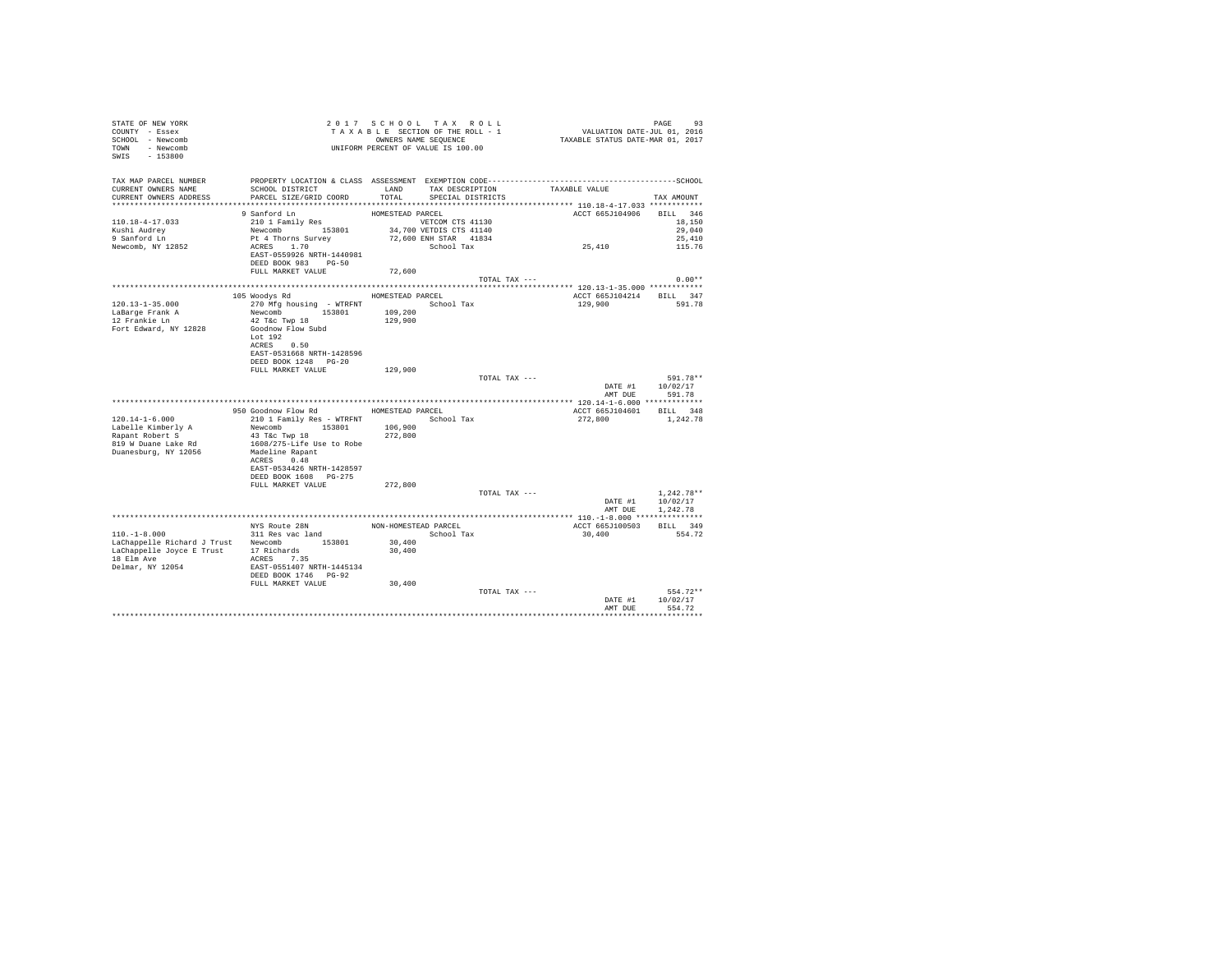| STATE OF NEW YORK<br>COUNTY - Essex<br>SCHOOL - Newcomb<br>TOWN - Newcomb<br>SWIS - 153800                              |                                                    |                  | 2017 SCHOOL TAX ROLL<br>TAXABLE SECTION OF THE ROLL - 1<br>OWNERS NAME SEQUENCE<br>UNIFORM PERCENT OF VALUE IS 100.00 |               | دد<br>701, VALUATION DATE-JUL 01, 2016<br>712 TAXABLE STATUS DATE-MAR 01, 2017 | PAGE<br>93   |
|-------------------------------------------------------------------------------------------------------------------------|----------------------------------------------------|------------------|-----------------------------------------------------------------------------------------------------------------------|---------------|--------------------------------------------------------------------------------|--------------|
| TAX MAP PARCEL NUMBER<br>CURRENT OWNERS NAME<br>CURRENT OWNERS ADDRESS 6 PARCEL SIZE/GRID COORD TOTAL SPECIAL DISTRICTS | SCHOOL DISTRICT TAND TAX DESCRIPTION TAXABLE VALUE |                  |                                                                                                                       |               |                                                                                | TAX AMOUNT   |
|                                                                                                                         |                                                    |                  |                                                                                                                       |               | ACCT 665J104906 BILL 346                                                       |              |
| 110.18-4-17.033                                                                                                         |                                                    |                  |                                                                                                                       |               |                                                                                | 18,150       |
| Kushi Audrey                                                                                                            |                                                    |                  |                                                                                                                       |               |                                                                                | 29,040       |
| 9 Sanford Ln                                                                                                            |                                                    |                  |                                                                                                                       |               | 25,410                                                                         | 25,410       |
| Newcomb, NY 12852                                                                                                       |                                                    |                  |                                                                                                                       |               |                                                                                | 115.76       |
|                                                                                                                         | EAST-0559926 NRTH-1440981<br>DEED BOOK 983 PG-50   |                  |                                                                                                                       |               |                                                                                |              |
|                                                                                                                         | FULL MARKET VALUE                                  | 72,600           |                                                                                                                       |               |                                                                                |              |
|                                                                                                                         |                                                    |                  |                                                                                                                       | TOTAL TAX --- |                                                                                | $0.00**$     |
|                                                                                                                         |                                                    |                  |                                                                                                                       |               |                                                                                |              |
|                                                                                                                         | 105 Woodys Rd                                      | HOMESTEAD PARCEL |                                                                                                                       |               | ACCT 665J104214 BILL 347                                                       |              |
| 120.13-1-35.000                                                                                                         | 270 Mfg housing - WTRFNT                           |                  | School Tax                                                                                                            |               | 129,900                                                                        | 591.78       |
| LaBarge Frank A                                                                                                         | Newcomb 153801                                     | 109,200          |                                                                                                                       |               |                                                                                |              |
| 12 Frankie Ln                                                                                                           | 42 T&c Twp 18                                      | 129,900          |                                                                                                                       |               |                                                                                |              |
| Fort Edward, NY 12828                                                                                                   | Goodnow Flow Subd                                  |                  |                                                                                                                       |               |                                                                                |              |
|                                                                                                                         | Lot $192$                                          |                  |                                                                                                                       |               |                                                                                |              |
|                                                                                                                         | ACRES 0.50                                         |                  |                                                                                                                       |               |                                                                                |              |
|                                                                                                                         | EAST-0531668 NRTH-1428596                          |                  |                                                                                                                       |               |                                                                                |              |
|                                                                                                                         | DEED BOOK 1248 PG-20                               |                  |                                                                                                                       |               |                                                                                |              |
|                                                                                                                         | FULL MARKET VALUE                                  | 129,900          |                                                                                                                       |               |                                                                                |              |
|                                                                                                                         |                                                    |                  |                                                                                                                       | TOTAL TAX --- |                                                                                | 591.78**     |
|                                                                                                                         |                                                    |                  |                                                                                                                       |               | DATE #1                                                                        | 10/02/17     |
|                                                                                                                         |                                                    |                  |                                                                                                                       |               | AMT DUE                                                                        | 591.78       |
|                                                                                                                         |                                                    |                  |                                                                                                                       |               |                                                                                |              |
|                                                                                                                         | 950 Goodnow Flow Rd MOMESTEAD PARCEL               |                  |                                                                                                                       |               | ACCT 665J104601 BILL 348                                                       |              |
| $120.14 - 1 - 6.000$                                                                                                    | 210 1 Family Res - WTRFNT School Tax               |                  |                                                                                                                       |               | 272.800                                                                        | 1,242.78     |
| Labelle Kimberly A                                                                                                      | Newcomb 153801                                     | 106,900          |                                                                                                                       |               |                                                                                |              |
| Rapant Robert S                                                                                                         | 43 T&c Twp 18                                      | 272,800          |                                                                                                                       |               |                                                                                |              |
| 819 W Duane Lake Rd                                                                                                     | 1608/275-Life Use to Robe                          |                  |                                                                                                                       |               |                                                                                |              |
| Duanesburg, NY 12056                                                                                                    | Madeline Rapant<br>ACRES 0.48                      |                  |                                                                                                                       |               |                                                                                |              |
|                                                                                                                         | EAST-0534426 NRTH-1428597                          |                  |                                                                                                                       |               |                                                                                |              |
|                                                                                                                         | DEED BOOK 1608 PG-275                              |                  |                                                                                                                       |               |                                                                                |              |
|                                                                                                                         | FULL MARKET VALUE                                  | 272,800          |                                                                                                                       |               |                                                                                |              |
|                                                                                                                         |                                                    |                  |                                                                                                                       | TOTAL TAX --- |                                                                                | $1.242.78**$ |
|                                                                                                                         |                                                    |                  |                                                                                                                       |               | DATE #1                                                                        | 10/02/17     |
|                                                                                                                         |                                                    |                  |                                                                                                                       |               | AMT DUE                                                                        | 1,242.78     |
|                                                                                                                         |                                                    |                  |                                                                                                                       |               |                                                                                |              |
|                                                                                                                         |                                                    |                  | NON-HOMESTEAD PARCEL                                                                                                  |               | ACCT 665J100503                                                                | BILL 349     |
| $110. -1 - 8.000$                                                                                                       | NYS Route 28N<br>311 Res vac land                  |                  | School Tax                                                                                                            |               | 30,400                                                                         | 554.72       |
| LaChappelle Richard J Trust Newcomb 153801                                                                              |                                                    | 30,400           |                                                                                                                       |               |                                                                                |              |
| LaChappelle Joyce E Trust 17 Richards                                                                                   |                                                    | 30,400           |                                                                                                                       |               |                                                                                |              |
| 18 Elm Ave                                                                                                              | ACRES 7.35                                         |                  |                                                                                                                       |               |                                                                                |              |
| Delmar, NY 12054                                                                                                        |                                                    |                  |                                                                                                                       |               |                                                                                |              |
|                                                                                                                         | EAST-0551407 NRTH-1445134<br>DEED BOOK 1746 PG-92  |                  |                                                                                                                       |               |                                                                                |              |
|                                                                                                                         | FULL MARKET VALUE                                  | 30,400           |                                                                                                                       |               |                                                                                |              |
|                                                                                                                         |                                                    |                  |                                                                                                                       | TOTAL TAX --- |                                                                                | 554.72**     |
|                                                                                                                         |                                                    |                  |                                                                                                                       |               | DATE #1                                                                        | 10/02/17     |
|                                                                                                                         |                                                    |                  |                                                                                                                       |               | AMT DUE                                                                        | 554.72       |
|                                                                                                                         |                                                    |                  |                                                                                                                       |               |                                                                                |              |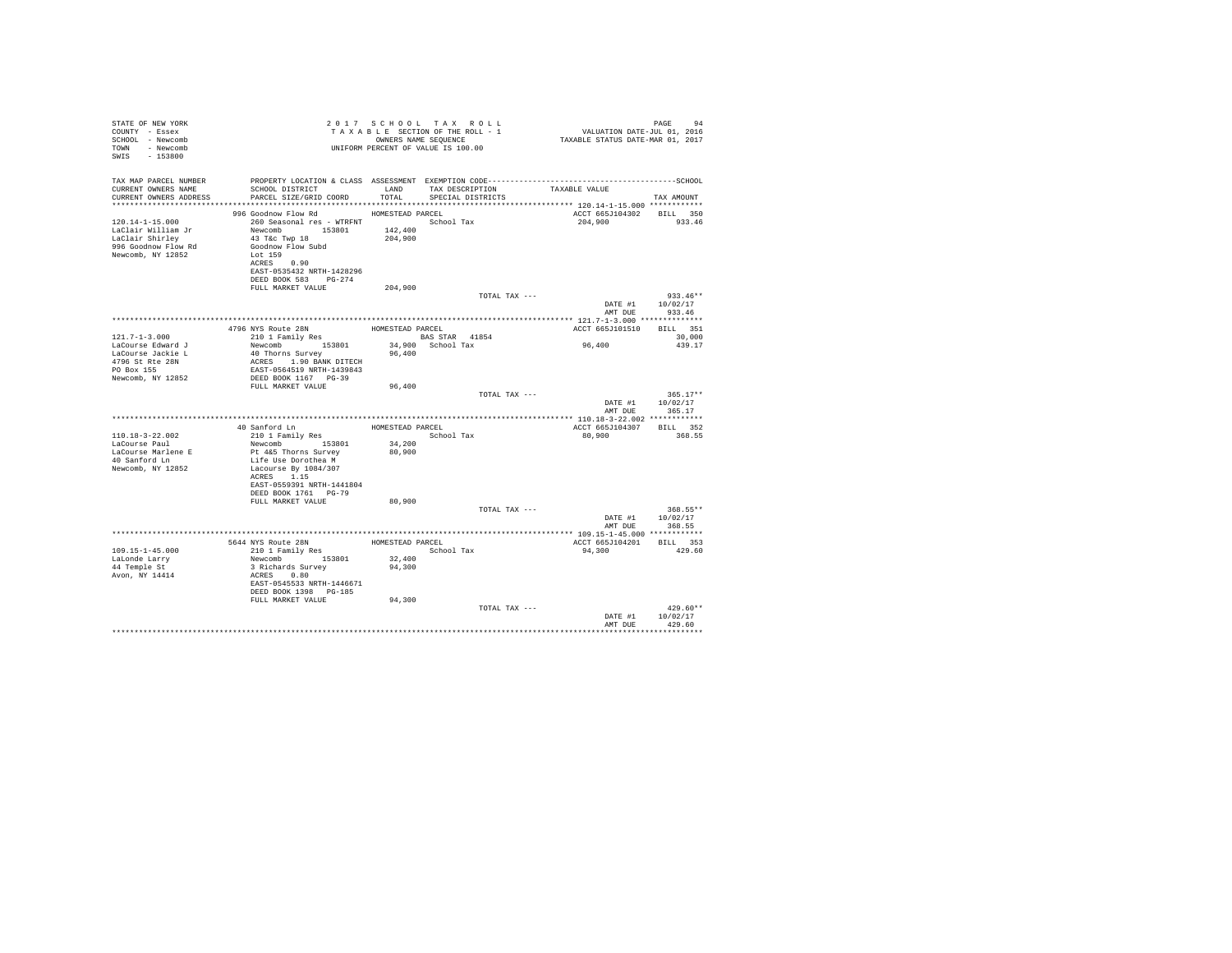| TAX MAP PARCEL NUMBER<br>SCHOOL DISTRICT                     LAND       TAX DESCRIPTION                 TAXABLE VALUE<br>CURRENT OWNERS NAME<br>CURRENT OWNERS ADDRESS PARCEL SIZE/GRID COORD TOTAL SPECIAL DISTRICTS<br>TAX AMOUNT<br>996 Goodnow Flow Rd MOMESTEAD PARCEL<br>ACCT 665J104302 BILL 350<br>260 Seasonal res - WTRFNT School Tax<br>$120.14 - 1 - 15.000$<br>204,900<br>933.46<br>43 T&C Twp 18<br>Goodnow Flow Subd<br>996 Goodnow Flow Rd<br>Lot 159<br>Newcomb, NY 12852<br>ACRES 0.90<br>EAST-0535432 NRTH-1428296<br>DEED BOOK 583 PG-274<br>FULL MARKET VALUE<br>204,900<br>$933.46**$<br>TOTAL TAX ---<br>10/02/17<br>DATE #1<br>933.46<br>AMT DUE<br>4796 NYS Route 28N MOMESTEAD PARCEL<br>210 1 Family Res BAS STAR 41854<br>ACCT 665J101510 BILL 351<br>BAS STAR 41854<br>$121.7 - 1 - 3.000$<br>30,000<br>96,400<br>34,900 School Tax<br>Newcomb 153801<br>LaCourse Edward J<br>439.17<br>40 Thorns Survey<br>96,400<br>LaCourse Jackie L<br>ACRES 1.90 BANK DITECH<br>4796 St Rte 28N<br>PO Box 155<br>EAST-0564519 NRTH-1439843<br>Newcomb, NY 12852<br>DEED BOOK 1167 PG-39<br>FULL MARKET VALUE<br>96,400<br>TOTAL TAX ---<br>$365.17**$<br>DATE #1 10/02/17<br>AMT DUE 365.17<br>40 Sanford Ln<br>210 1 Family Res<br>HOMESTEAD PARCEL<br>ACCT 665J104307 BILL 352<br>110.18-3-22.002<br>School Tax<br>80,900<br>368.55<br>LaCourse Paul<br>34,200<br>Newcomb 153801<br>LaCourse Marlene E<br>Pt 4&5 Thorns Survey<br>80,900<br>40 Sanford Ln<br>Life Use Dorothea M<br>Newcomb, NY 12852<br>Lacourse By 1084/307<br>ACRES 1.15<br>EAST-0559391 NRTH-1441804<br>DEED BOOK 1761 PG-79<br>80,900<br>FULL MARKET VALUE<br>TOTAL TAX ---<br>368.55**<br>DATE #1 10/02/17<br>AMT DUE 368.55<br>5644 NYS Route 28N HOMESTEAD PARCEL<br>210 1 Family Res School Tax<br>ACCT 665J104201 BILL 353<br>$109.15 - 1 - 45.000$<br>94,300<br>429.60<br>Newcomb 153801<br>32,400<br>LaLonde Larry<br>44 Temple St<br>3 Richards Survey<br>94,300<br>Avon, NY 14414<br>ACRES 0.80<br>EAST-0545533 NRTH-1446671<br>DEED BOOK 1398 PG-185<br>FULL MARKET VALUE<br>94,300<br>$429.60**$<br>TOTAL TAX ---<br>DATE #1 10/02/17<br>429.60<br>AMT DHR | STATE OF NEW YORK<br>COUNTY - Essex<br>SCHOOL - Newcomb<br>TOWN - Newcomb<br>SWIS - 153800 |  | UNIFORM PERCENT OF VALUE IS 100.00 |  |  |
|----------------------------------------------------------------------------------------------------------------------------------------------------------------------------------------------------------------------------------------------------------------------------------------------------------------------------------------------------------------------------------------------------------------------------------------------------------------------------------------------------------------------------------------------------------------------------------------------------------------------------------------------------------------------------------------------------------------------------------------------------------------------------------------------------------------------------------------------------------------------------------------------------------------------------------------------------------------------------------------------------------------------------------------------------------------------------------------------------------------------------------------------------------------------------------------------------------------------------------------------------------------------------------------------------------------------------------------------------------------------------------------------------------------------------------------------------------------------------------------------------------------------------------------------------------------------------------------------------------------------------------------------------------------------------------------------------------------------------------------------------------------------------------------------------------------------------------------------------------------------------------------------------------------------------------------------------------------------------------------------------------------------------------------------------------------------------------------------------------------------------------------------------------------|--------------------------------------------------------------------------------------------|--|------------------------------------|--|--|
|                                                                                                                                                                                                                                                                                                                                                                                                                                                                                                                                                                                                                                                                                                                                                                                                                                                                                                                                                                                                                                                                                                                                                                                                                                                                                                                                                                                                                                                                                                                                                                                                                                                                                                                                                                                                                                                                                                                                                                                                                                                                                                                                                                |                                                                                            |  |                                    |  |  |
|                                                                                                                                                                                                                                                                                                                                                                                                                                                                                                                                                                                                                                                                                                                                                                                                                                                                                                                                                                                                                                                                                                                                                                                                                                                                                                                                                                                                                                                                                                                                                                                                                                                                                                                                                                                                                                                                                                                                                                                                                                                                                                                                                                |                                                                                            |  |                                    |  |  |
|                                                                                                                                                                                                                                                                                                                                                                                                                                                                                                                                                                                                                                                                                                                                                                                                                                                                                                                                                                                                                                                                                                                                                                                                                                                                                                                                                                                                                                                                                                                                                                                                                                                                                                                                                                                                                                                                                                                                                                                                                                                                                                                                                                |                                                                                            |  |                                    |  |  |
|                                                                                                                                                                                                                                                                                                                                                                                                                                                                                                                                                                                                                                                                                                                                                                                                                                                                                                                                                                                                                                                                                                                                                                                                                                                                                                                                                                                                                                                                                                                                                                                                                                                                                                                                                                                                                                                                                                                                                                                                                                                                                                                                                                |                                                                                            |  |                                    |  |  |
|                                                                                                                                                                                                                                                                                                                                                                                                                                                                                                                                                                                                                                                                                                                                                                                                                                                                                                                                                                                                                                                                                                                                                                                                                                                                                                                                                                                                                                                                                                                                                                                                                                                                                                                                                                                                                                                                                                                                                                                                                                                                                                                                                                |                                                                                            |  |                                    |  |  |
|                                                                                                                                                                                                                                                                                                                                                                                                                                                                                                                                                                                                                                                                                                                                                                                                                                                                                                                                                                                                                                                                                                                                                                                                                                                                                                                                                                                                                                                                                                                                                                                                                                                                                                                                                                                                                                                                                                                                                                                                                                                                                                                                                                |                                                                                            |  |                                    |  |  |
|                                                                                                                                                                                                                                                                                                                                                                                                                                                                                                                                                                                                                                                                                                                                                                                                                                                                                                                                                                                                                                                                                                                                                                                                                                                                                                                                                                                                                                                                                                                                                                                                                                                                                                                                                                                                                                                                                                                                                                                                                                                                                                                                                                |                                                                                            |  |                                    |  |  |
|                                                                                                                                                                                                                                                                                                                                                                                                                                                                                                                                                                                                                                                                                                                                                                                                                                                                                                                                                                                                                                                                                                                                                                                                                                                                                                                                                                                                                                                                                                                                                                                                                                                                                                                                                                                                                                                                                                                                                                                                                                                                                                                                                                |                                                                                            |  |                                    |  |  |
|                                                                                                                                                                                                                                                                                                                                                                                                                                                                                                                                                                                                                                                                                                                                                                                                                                                                                                                                                                                                                                                                                                                                                                                                                                                                                                                                                                                                                                                                                                                                                                                                                                                                                                                                                                                                                                                                                                                                                                                                                                                                                                                                                                |                                                                                            |  |                                    |  |  |
|                                                                                                                                                                                                                                                                                                                                                                                                                                                                                                                                                                                                                                                                                                                                                                                                                                                                                                                                                                                                                                                                                                                                                                                                                                                                                                                                                                                                                                                                                                                                                                                                                                                                                                                                                                                                                                                                                                                                                                                                                                                                                                                                                                |                                                                                            |  |                                    |  |  |
|                                                                                                                                                                                                                                                                                                                                                                                                                                                                                                                                                                                                                                                                                                                                                                                                                                                                                                                                                                                                                                                                                                                                                                                                                                                                                                                                                                                                                                                                                                                                                                                                                                                                                                                                                                                                                                                                                                                                                                                                                                                                                                                                                                |                                                                                            |  |                                    |  |  |
|                                                                                                                                                                                                                                                                                                                                                                                                                                                                                                                                                                                                                                                                                                                                                                                                                                                                                                                                                                                                                                                                                                                                                                                                                                                                                                                                                                                                                                                                                                                                                                                                                                                                                                                                                                                                                                                                                                                                                                                                                                                                                                                                                                |                                                                                            |  |                                    |  |  |
|                                                                                                                                                                                                                                                                                                                                                                                                                                                                                                                                                                                                                                                                                                                                                                                                                                                                                                                                                                                                                                                                                                                                                                                                                                                                                                                                                                                                                                                                                                                                                                                                                                                                                                                                                                                                                                                                                                                                                                                                                                                                                                                                                                |                                                                                            |  |                                    |  |  |
|                                                                                                                                                                                                                                                                                                                                                                                                                                                                                                                                                                                                                                                                                                                                                                                                                                                                                                                                                                                                                                                                                                                                                                                                                                                                                                                                                                                                                                                                                                                                                                                                                                                                                                                                                                                                                                                                                                                                                                                                                                                                                                                                                                |                                                                                            |  |                                    |  |  |
|                                                                                                                                                                                                                                                                                                                                                                                                                                                                                                                                                                                                                                                                                                                                                                                                                                                                                                                                                                                                                                                                                                                                                                                                                                                                                                                                                                                                                                                                                                                                                                                                                                                                                                                                                                                                                                                                                                                                                                                                                                                                                                                                                                |                                                                                            |  |                                    |  |  |
|                                                                                                                                                                                                                                                                                                                                                                                                                                                                                                                                                                                                                                                                                                                                                                                                                                                                                                                                                                                                                                                                                                                                                                                                                                                                                                                                                                                                                                                                                                                                                                                                                                                                                                                                                                                                                                                                                                                                                                                                                                                                                                                                                                |                                                                                            |  |                                    |  |  |
|                                                                                                                                                                                                                                                                                                                                                                                                                                                                                                                                                                                                                                                                                                                                                                                                                                                                                                                                                                                                                                                                                                                                                                                                                                                                                                                                                                                                                                                                                                                                                                                                                                                                                                                                                                                                                                                                                                                                                                                                                                                                                                                                                                |                                                                                            |  |                                    |  |  |
|                                                                                                                                                                                                                                                                                                                                                                                                                                                                                                                                                                                                                                                                                                                                                                                                                                                                                                                                                                                                                                                                                                                                                                                                                                                                                                                                                                                                                                                                                                                                                                                                                                                                                                                                                                                                                                                                                                                                                                                                                                                                                                                                                                |                                                                                            |  |                                    |  |  |
|                                                                                                                                                                                                                                                                                                                                                                                                                                                                                                                                                                                                                                                                                                                                                                                                                                                                                                                                                                                                                                                                                                                                                                                                                                                                                                                                                                                                                                                                                                                                                                                                                                                                                                                                                                                                                                                                                                                                                                                                                                                                                                                                                                |                                                                                            |  |                                    |  |  |
|                                                                                                                                                                                                                                                                                                                                                                                                                                                                                                                                                                                                                                                                                                                                                                                                                                                                                                                                                                                                                                                                                                                                                                                                                                                                                                                                                                                                                                                                                                                                                                                                                                                                                                                                                                                                                                                                                                                                                                                                                                                                                                                                                                |                                                                                            |  |                                    |  |  |
|                                                                                                                                                                                                                                                                                                                                                                                                                                                                                                                                                                                                                                                                                                                                                                                                                                                                                                                                                                                                                                                                                                                                                                                                                                                                                                                                                                                                                                                                                                                                                                                                                                                                                                                                                                                                                                                                                                                                                                                                                                                                                                                                                                |                                                                                            |  |                                    |  |  |
|                                                                                                                                                                                                                                                                                                                                                                                                                                                                                                                                                                                                                                                                                                                                                                                                                                                                                                                                                                                                                                                                                                                                                                                                                                                                                                                                                                                                                                                                                                                                                                                                                                                                                                                                                                                                                                                                                                                                                                                                                                                                                                                                                                |                                                                                            |  |                                    |  |  |
|                                                                                                                                                                                                                                                                                                                                                                                                                                                                                                                                                                                                                                                                                                                                                                                                                                                                                                                                                                                                                                                                                                                                                                                                                                                                                                                                                                                                                                                                                                                                                                                                                                                                                                                                                                                                                                                                                                                                                                                                                                                                                                                                                                |                                                                                            |  |                                    |  |  |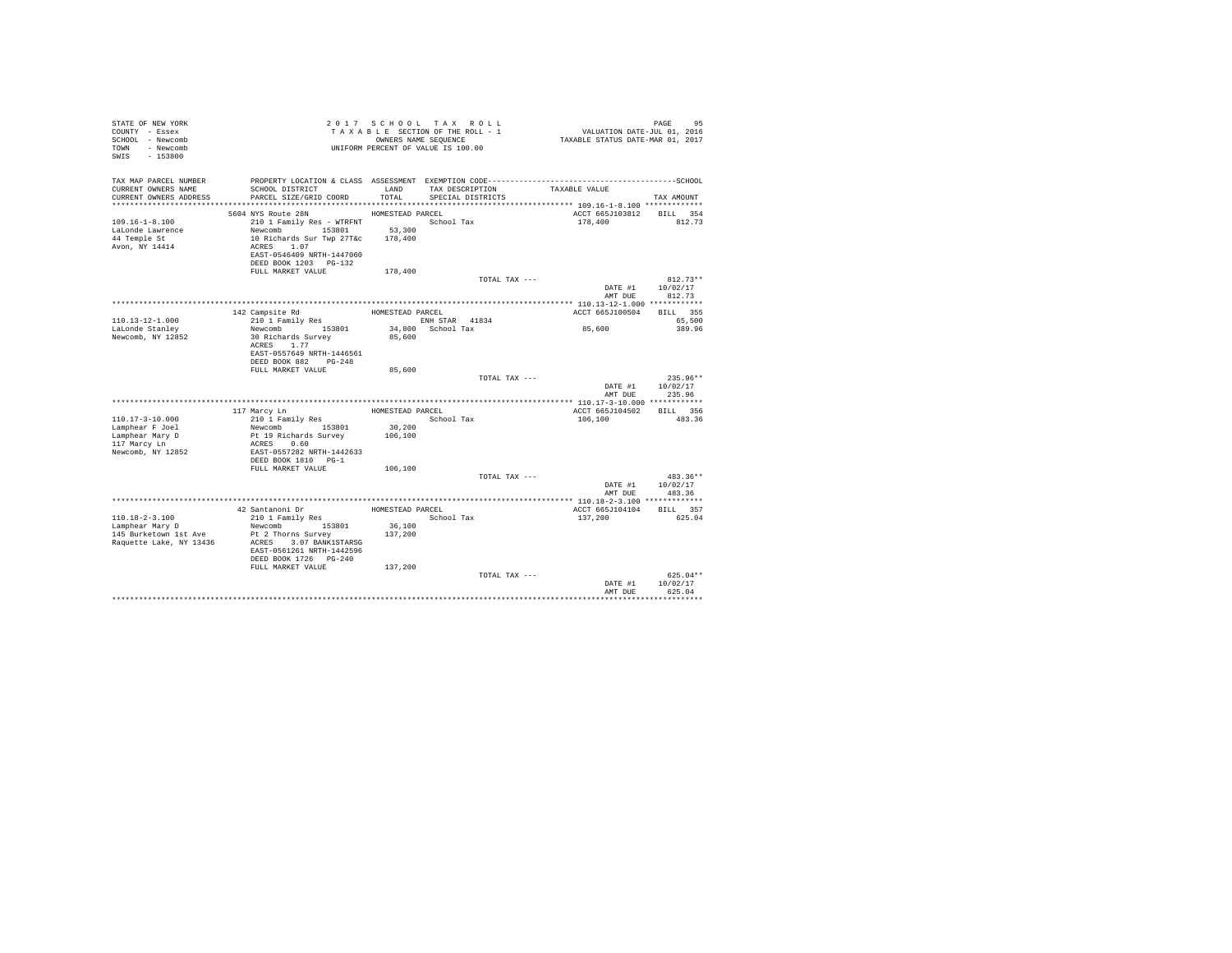| STATE OF NEW YORK<br>COUNTY - Essex<br>SCHOOL - Newcomb<br>TOWN - Newcomb<br>$-153800$<br>SWIS |                                                                                                                                                      |                   | 2017 SCHOOL TAX ROLL<br>TAXABLE SECTION OF THE ROLL - 1<br>OWNERS NAME SEQUENCE<br>UNIFORM PERCENT OF VALUE IS 100.00 | PAGE 95<br>VALUATION DATE-JUL 01, 2016<br>TAXABLE STATUS DATE-MAR 01, 2017 |                                  |
|------------------------------------------------------------------------------------------------|------------------------------------------------------------------------------------------------------------------------------------------------------|-------------------|-----------------------------------------------------------------------------------------------------------------------|----------------------------------------------------------------------------|----------------------------------|
| TAX MAP PARCEL NUMBER<br>CURRENT OWNERS NAME<br>CURRENT OWNERS ADDRESS                         | SCHOOL DISTRICT<br>PARCEL SIZE/GRID COORD                                                                                                            | LAND<br>TOTAL     | TAX DESCRIPTION<br>SPECIAL DISTRICTS                                                                                  | TAXABLE VALUE                                                              | TAX AMOUNT                       |
|                                                                                                |                                                                                                                                                      |                   |                                                                                                                       |                                                                            |                                  |
|                                                                                                | 5604 NYS Route 28N                                                                                                                                   | HOMESTEAD PARCEL  |                                                                                                                       | ACCT 665J103812 BILL 354                                                   |                                  |
| $109.16 - 1 - 8.100$<br>LaLonde Lawrence<br>44 Temple St<br>Avon, NY 14414                     | 210 1 Family Res - WTRFNT<br>Newcomb 153801<br>10 Richards Sur Twp 27T&c 178.400<br>ACRES 1.07<br>EAST-0546409 NRTH-1447060<br>DEED BOOK 1203 PG-132 | 53,300            | School Tax                                                                                                            | 178,400                                                                    | 812.73                           |
|                                                                                                | FULL MARKET VALUE                                                                                                                                    | 178,400           |                                                                                                                       |                                                                            |                                  |
|                                                                                                |                                                                                                                                                      |                   | TOTAL TAX ---                                                                                                         |                                                                            | $812.73**$                       |
|                                                                                                |                                                                                                                                                      |                   |                                                                                                                       | DATE #1<br>AMT DUE                                                         | 10/02/17<br>812.73               |
|                                                                                                |                                                                                                                                                      |                   |                                                                                                                       |                                                                            |                                  |
| $110.13 - 12 - 1.000$                                                                          | 142 Campsite Rd<br>210 1 Family Res                                                                                                                  | HOMESTEAD PARCEL  | ENH STAR 41834                                                                                                        | ACCT 665J100504                                                            | BILL 355<br>65,500               |
| LaLonde Stanley                                                                                | Newcomb 153801                                                                                                                                       |                   | 34,800 School Tax                                                                                                     | 85,600                                                                     | 389.96                           |
| Newcomb, NY 12852                                                                              | 30 Richards Survey<br>ACRES 1.77<br>EAST-0557649 NRTH-1446561<br>DEED BOOK 882 PG-248                                                                | 85,600            |                                                                                                                       |                                                                            |                                  |
|                                                                                                | FULL MARKET VALUE                                                                                                                                    | 85,600            |                                                                                                                       |                                                                            |                                  |
|                                                                                                |                                                                                                                                                      |                   | TOTAL TAX ---                                                                                                         | DATE #1<br>AMT DUR                                                         | $235.96**$<br>10/02/17<br>235.96 |
|                                                                                                |                                                                                                                                                      |                   |                                                                                                                       |                                                                            |                                  |
|                                                                                                | 117 Marcy Ln                                                                                                                                         | HOMESTEAD PARCEL  |                                                                                                                       | ACCT 665J104502                                                            | BILL 356                         |
| $110.17 - 3 - 10.000$                                                                          | 210 1 Family Res                                                                                                                                     |                   | School Tax                                                                                                            | 106,100                                                                    | 483.36                           |
| Lamphear F Joel                                                                                | Newcomb 153801                                                                                                                                       | 30,200            |                                                                                                                       |                                                                            |                                  |
| Lamphear Mary D                                                                                | Pt 19 Richards Survey                                                                                                                                | 106,100           |                                                                                                                       |                                                                            |                                  |
| 117 Marcy Ln<br>Newcomb, NY 12852                                                              | ACRES 0.60<br>EAST-0557282 NRTH-1442633<br>DEED BOOK 1810 PG-1                                                                                       |                   |                                                                                                                       |                                                                            |                                  |
|                                                                                                | FULL MARKET VALUE                                                                                                                                    | 106,100           |                                                                                                                       |                                                                            |                                  |
|                                                                                                |                                                                                                                                                      |                   | TOTAL TAX ---                                                                                                         |                                                                            | $483.36**$<br>10/02/17           |
|                                                                                                |                                                                                                                                                      |                   |                                                                                                                       | DATE #1<br>AMT DUE                                                         | 483.36                           |
|                                                                                                |                                                                                                                                                      |                   |                                                                                                                       |                                                                            |                                  |
|                                                                                                | 42 Santanoni Dr                                                                                                                                      | HOMESTEAD PARCEL  |                                                                                                                       | ACCT 665J104104                                                            | BILL 357                         |
| 110.18-2-3.100                                                                                 | 210 1 Family Res                                                                                                                                     |                   | School Tax                                                                                                            | 137,200                                                                    | 625.04                           |
| Lamphear Mary D<br>145 Burketown 1st Ave<br>Raquette Lake, NY 13436                            | Newcomb 153801<br>Pt 2 Thorns Survey<br>ACRES 3.07 BANK1STARSG<br>EAST-0561261 NRTH-1442596<br>DEED BOOK 1726 PG-240                                 | 36,100<br>137,200 |                                                                                                                       |                                                                            |                                  |
|                                                                                                | FULL MARKET VALUE                                                                                                                                    | 137,200           |                                                                                                                       |                                                                            |                                  |
|                                                                                                |                                                                                                                                                      |                   | TOTAL TAX ---                                                                                                         | DATE #1<br>AMT DUE                                                         | $625.04**$<br>10/02/17<br>625.04 |
|                                                                                                |                                                                                                                                                      |                   |                                                                                                                       |                                                                            |                                  |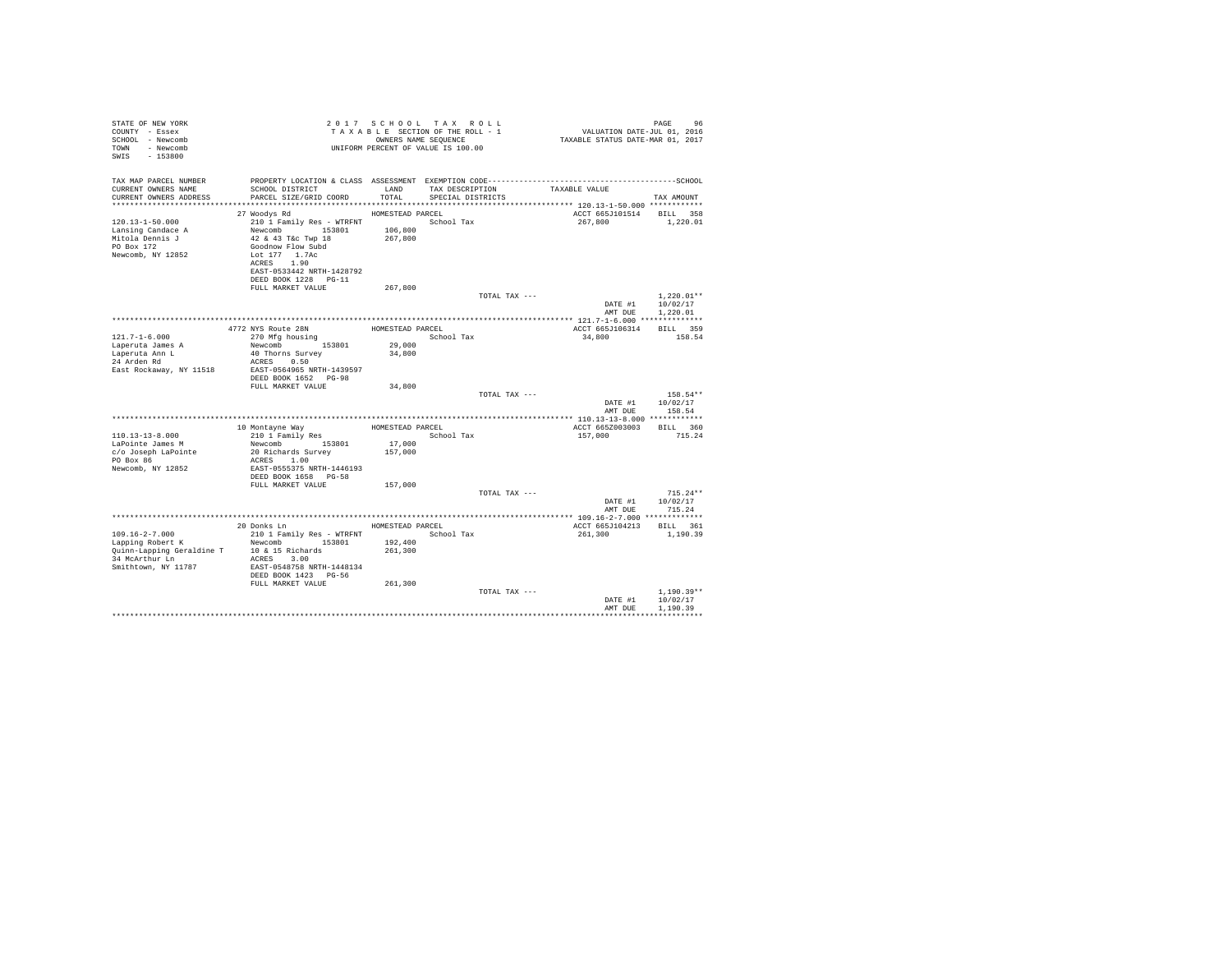| STATE OF NEW YORK<br>COUNTY - Essex<br>SCHOOL - Newcomb<br>TOWN - Newcomb<br>SWIS - 153800 |                                                                                                                                           |                  | 2017 SCHOOL TAX ROLL<br>PAGE 96 PAGE 96 PAGE 96 PAGE 96 PAGE 96 PAGE 96 PAGE 96 PAGE 97 A X A B L E SECTION OF THE ROLL - 1<br>TA X A B L E SECTION OF THE ROLL - 1 WALUATION DATE-JUL 01, 2016<br>UNIFORM PERCENT OF VALUE IS 100.00 |                          | PAGE<br>96                           |
|--------------------------------------------------------------------------------------------|-------------------------------------------------------------------------------------------------------------------------------------------|------------------|---------------------------------------------------------------------------------------------------------------------------------------------------------------------------------------------------------------------------------------|--------------------------|--------------------------------------|
| TAX MAP PARCEL NUMBER<br>CURRENT OWNERS NAME<br>CURRENT OWNERS ADDRESS                     | PROPERTY LOCATION & CLASS ASSESSMENT EXEMPTION CODE-----------------------------------SCHOOL<br>SCHOOL DISTRICT<br>PARCEL SIZE/GRID COORD | LAND<br>TOTAL    | TAX DESCRIPTION<br>SPECIAL DISTRICTS                                                                                                                                                                                                  | TAXABLE VALUE            | TAX AMOUNT                           |
|                                                                                            |                                                                                                                                           |                  |                                                                                                                                                                                                                                       |                          |                                      |
|                                                                                            | HOMESTEAD PARCEL<br>27 Woodys Rd                                                                                                          |                  |                                                                                                                                                                                                                                       | ACCT 665J101514 BILL 358 |                                      |
| $120.13 - 1 - 50.000$<br>Lansing Candace A<br>Mitola Dennis J<br>PO Box 172                | 210 1 Family Res - WTRFNT<br>Newcomb 153801 106,800<br>42 & 43 T&C Twp 18<br>Goodnow Flow Subd                                            | 267,800          | School Tax                                                                                                                                                                                                                            | 267,800                  | 1,220.01                             |
| Newcomb, NY 12852                                                                          | Lot 177 1.7Ac<br>ACRES 1.90<br>EAST-0533442 NRTH-1428792<br>DEED BOOK 1228 PG-11                                                          |                  |                                                                                                                                                                                                                                       |                          |                                      |
|                                                                                            | FULL MARKET VALUE                                                                                                                         | 267.800          |                                                                                                                                                                                                                                       |                          |                                      |
|                                                                                            |                                                                                                                                           |                  | TOTAL TAX ---                                                                                                                                                                                                                         |                          | $1.220.01**$                         |
|                                                                                            |                                                                                                                                           |                  |                                                                                                                                                                                                                                       |                          | DATE #1 10/02/17<br>AMT DUE 1.220.01 |
|                                                                                            |                                                                                                                                           |                  |                                                                                                                                                                                                                                       |                          |                                      |
|                                                                                            | 4772 NYS Route 28N                                                                                                                        | HOMESTEAD PARCEL |                                                                                                                                                                                                                                       | ACCT 665J106314 BILL 359 |                                      |
| $121.7 - 1 - 6.000$                                                                        | 270 Mfg housing                                                                                                                           |                  | School Tax                                                                                                                                                                                                                            | 34,800                   | 158.54                               |
| Laperuta James A                                                                           | Newcomb 153801                                                                                                                            | 29,000           |                                                                                                                                                                                                                                       |                          |                                      |
| Laperuta Ann L<br>24 Arden Rd                                                              | 40 Thorns Survey<br>ACRES 0.50                                                                                                            | 34,800           |                                                                                                                                                                                                                                       |                          |                                      |
| East Rockaway, NY 11518                                                                    | EAST-0564965 NRTH-1439597                                                                                                                 |                  |                                                                                                                                                                                                                                       |                          |                                      |
|                                                                                            | DEED BOOK 1652 PG-98                                                                                                                      |                  |                                                                                                                                                                                                                                       |                          |                                      |
|                                                                                            | FULL MARKET VALUE                                                                                                                         | 34,800           |                                                                                                                                                                                                                                       |                          |                                      |
|                                                                                            |                                                                                                                                           |                  | TOTAL TAX ---                                                                                                                                                                                                                         |                          | 158.54**                             |
|                                                                                            |                                                                                                                                           |                  |                                                                                                                                                                                                                                       |                          | DATE #1 10/02/17                     |
|                                                                                            |                                                                                                                                           |                  |                                                                                                                                                                                                                                       | AMT DUE                  | 158.54                               |
|                                                                                            | 10 Montayne Way                                                                                                                           |                  | HOMESTEAD PARCEL                                                                                                                                                                                                                      | ACCT 665Z003003 BILL 360 |                                      |
| $110.13 - 13 - 8.000$                                                                      | 210 1 Family Res                                                                                                                          |                  | School Tax                                                                                                                                                                                                                            | 157,000                  | 715.24                               |
| LaPointe James M                                                                           | Newcomb 153801                                                                                                                            |                  |                                                                                                                                                                                                                                       |                          |                                      |
| c/o Joseph LaPointe                                                                        | 20 Richards Survey                                                                                                                        | 157,000          |                                                                                                                                                                                                                                       |                          |                                      |
| PO Box 86                                                                                  | ACRES 1.00                                                                                                                                |                  |                                                                                                                                                                                                                                       |                          |                                      |
| Newcomb, NY 12852                                                                          | EAST-0555375 NRTH-1446193<br>DEED BOOK 1658 PG-58                                                                                         |                  |                                                                                                                                                                                                                                       |                          |                                      |
|                                                                                            | FULL MARKET VALUE                                                                                                                         | 157,000          |                                                                                                                                                                                                                                       |                          |                                      |
|                                                                                            |                                                                                                                                           |                  | TOTAL TAX ---                                                                                                                                                                                                                         |                          | $715.24**$                           |
|                                                                                            |                                                                                                                                           |                  |                                                                                                                                                                                                                                       | DATE #1                  | 10/02/17                             |
|                                                                                            |                                                                                                                                           |                  |                                                                                                                                                                                                                                       | AMT DUE                  | 715.24                               |
|                                                                                            | 20 Donks Ln                                                                                                                               |                  | HOMESTEAD PARCEL                                                                                                                                                                                                                      | ACCT 665J104213 BILL 361 |                                      |
| $109.16 - 2 - 7.000$                                                                       | 210 1 Family Res - WTRFNT                                                                                                                 |                  | School Tax                                                                                                                                                                                                                            | 261,300                  | 1,190.39                             |
| Lapping Robert K                                                                           | Newcomb 153801                                                                                                                            | 192,400          |                                                                                                                                                                                                                                       |                          |                                      |
| Quinn-Lapping Geraldine T 10 & 15 Richards                                                 |                                                                                                                                           | 261,300          |                                                                                                                                                                                                                                       |                          |                                      |
| 34 McArthur Ln                                                                             | ACRES 3.00                                                                                                                                |                  |                                                                                                                                                                                                                                       |                          |                                      |
| Smithtown, NY 11787                                                                        | EAST-0548758 NRTH-1448134                                                                                                                 |                  |                                                                                                                                                                                                                                       |                          |                                      |
|                                                                                            | DEED BOOK 1423 PG-56<br>FULL MARKET VALUE                                                                                                 | 261,300          |                                                                                                                                                                                                                                       |                          |                                      |
|                                                                                            |                                                                                                                                           |                  | TOTAL TAX ---                                                                                                                                                                                                                         |                          | $1.190.39**$                         |
|                                                                                            |                                                                                                                                           |                  |                                                                                                                                                                                                                                       | DATE #1                  | 10/02/17                             |
|                                                                                            |                                                                                                                                           |                  |                                                                                                                                                                                                                                       | AMT DUE                  | 1,190.39                             |
|                                                                                            |                                                                                                                                           |                  |                                                                                                                                                                                                                                       |                          |                                      |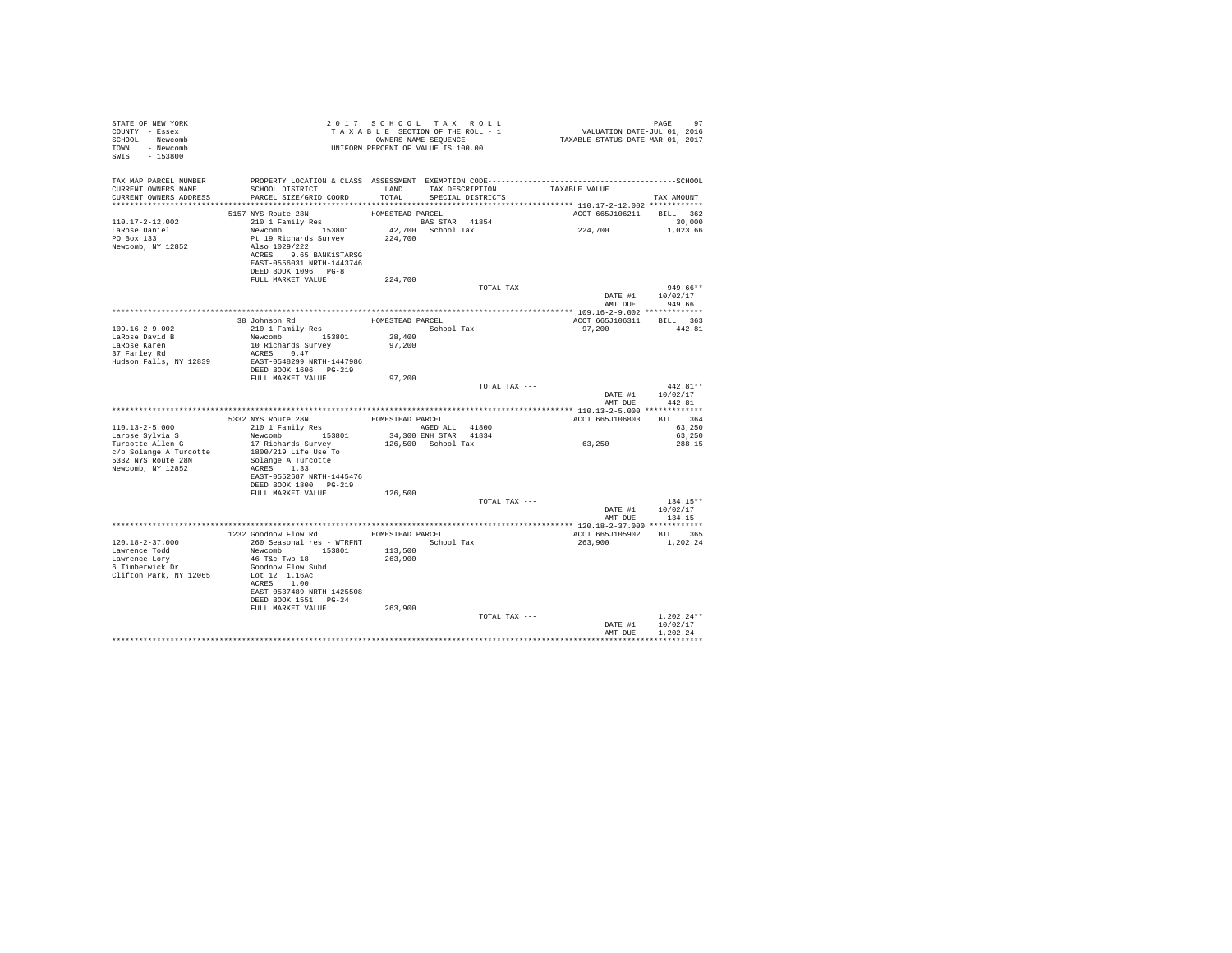| STATE OF NEW YORK<br>COUNTY - Essex<br>SCHOOL - Newcomb<br>TOWN - Newcomb<br>SWIS - 153800   |                                                                                                                                                                                                                             | 2017 SCHOOL TAX ROLL<br>UNIFORM PERCENT OF VALUE IS 100.00 |            |               | $\begin{array}{cccccccccc} \texttt{2} & \texttt{0} & \texttt{1} & \texttt{3} & \texttt{2} & \texttt{4} & \texttt{2} & \texttt{9} \\ \texttt{T} & \texttt{A} & \texttt{A} & \texttt{B} & \texttt{B} & \texttt{B} & \texttt{C} & \texttt{D} & \texttt{A} & \texttt{D} & \texttt{D} \\ \texttt{T} & \texttt{A} & \texttt{A} & \texttt{B} & \texttt{B} & \texttt{B} & \texttt{B} & \texttt{A} & \texttt{B} & \texttt{A} & \texttt{D} & \texttt$ | PAGE<br>97         |
|----------------------------------------------------------------------------------------------|-----------------------------------------------------------------------------------------------------------------------------------------------------------------------------------------------------------------------------|------------------------------------------------------------|------------|---------------|---------------------------------------------------------------------------------------------------------------------------------------------------------------------------------------------------------------------------------------------------------------------------------------------------------------------------------------------------------------------------------------------------------------------------------------------|--------------------|
| TAX MAP PARCEL NUMBER                                                                        |                                                                                                                                                                                                                             |                                                            |            |               |                                                                                                                                                                                                                                                                                                                                                                                                                                             |                    |
| CURRENT OWNERS NAME<br>CURRENT OWNERS ADDRESS PARCEL SIZE/GRID COORD TOTAL SPECIAL DISTRICTS | SCHOOL DISTRICT TAND TAX DESCRIPTION                                                                                                                                                                                        |                                                            |            |               | TAXABLE VALUE                                                                                                                                                                                                                                                                                                                                                                                                                               | TAX AMOUNT         |
|                                                                                              |                                                                                                                                                                                                                             |                                                            |            |               |                                                                                                                                                                                                                                                                                                                                                                                                                                             |                    |
|                                                                                              |                                                                                                                                                                                                                             |                                                            |            |               | ACCT 665J106211 BILL 362                                                                                                                                                                                                                                                                                                                                                                                                                    |                    |
| 110.17-2-12.002                                                                              |                                                                                                                                                                                                                             |                                                            |            |               |                                                                                                                                                                                                                                                                                                                                                                                                                                             | 30,000             |
| LaRose Daniel                                                                                |                                                                                                                                                                                                                             |                                                            |            |               | 224,700                                                                                                                                                                                                                                                                                                                                                                                                                                     | 1,023,66           |
| PO Box 133                                                                                   |                                                                                                                                                                                                                             |                                                            |            |               |                                                                                                                                                                                                                                                                                                                                                                                                                                             |                    |
| Newcomb, NY 12852                                                                            | Also 1029/222                                                                                                                                                                                                               |                                                            |            |               |                                                                                                                                                                                                                                                                                                                                                                                                                                             |                    |
|                                                                                              | ACRES 9.65 BANK1STARSG<br>EAST-0556031 NRTH-1443746                                                                                                                                                                         |                                                            |            |               |                                                                                                                                                                                                                                                                                                                                                                                                                                             |                    |
|                                                                                              | DEED BOOK 1096 PG-8                                                                                                                                                                                                         |                                                            |            |               |                                                                                                                                                                                                                                                                                                                                                                                                                                             |                    |
|                                                                                              | FULL MARKET VALUE                                                                                                                                                                                                           | 224,700                                                    |            |               |                                                                                                                                                                                                                                                                                                                                                                                                                                             |                    |
|                                                                                              |                                                                                                                                                                                                                             |                                                            |            | TOTAL TAX --- |                                                                                                                                                                                                                                                                                                                                                                                                                                             | $949.66**$         |
|                                                                                              |                                                                                                                                                                                                                             |                                                            |            |               |                                                                                                                                                                                                                                                                                                                                                                                                                                             | DATE #1 10/02/17   |
|                                                                                              |                                                                                                                                                                                                                             |                                                            |            |               |                                                                                                                                                                                                                                                                                                                                                                                                                                             | AMT DUE 949.66     |
|                                                                                              |                                                                                                                                                                                                                             |                                                            |            |               |                                                                                                                                                                                                                                                                                                                                                                                                                                             |                    |
| $109.16 - 2 - 9.002$                                                                         | $\begin{tabular}{llllll} 38\ \texttt{Johnson Rd} & \texttt{HOMESTEAD PARCEL} \\ 210\ \texttt{1 Family Res} & \texttt{School Tax} \\ \texttt{Newcomb} & \texttt{153801} & \texttt{28,400} \end{tabular}$                     |                                                            |            |               | ACCT 665J106311 BILL 363<br>97,200                                                                                                                                                                                                                                                                                                                                                                                                          | 442.81             |
| LaRose David B                                                                               |                                                                                                                                                                                                                             |                                                            |            |               |                                                                                                                                                                                                                                                                                                                                                                                                                                             |                    |
| LaRose Karen<br>37 Farley Rd                                                                 |                                                                                                                                                                                                                             | 97,200                                                     |            |               |                                                                                                                                                                                                                                                                                                                                                                                                                                             |                    |
|                                                                                              | 10 Richards Survey<br>ACRES 0.47                                                                                                                                                                                            |                                                            |            |               |                                                                                                                                                                                                                                                                                                                                                                                                                                             |                    |
| Hudson Falls, NY 12839 EAST-0548299 NRTH-1447986                                             |                                                                                                                                                                                                                             |                                                            |            |               |                                                                                                                                                                                                                                                                                                                                                                                                                                             |                    |
|                                                                                              | DEED BOOK 1606 PG-219                                                                                                                                                                                                       |                                                            |            |               |                                                                                                                                                                                                                                                                                                                                                                                                                                             |                    |
|                                                                                              | FULL MARKET VALUE 97,200                                                                                                                                                                                                    |                                                            |            | TOTAL TAX --- |                                                                                                                                                                                                                                                                                                                                                                                                                                             | $442.81**$         |
|                                                                                              |                                                                                                                                                                                                                             |                                                            |            |               |                                                                                                                                                                                                                                                                                                                                                                                                                                             | DATE #1 10/02/17   |
|                                                                                              |                                                                                                                                                                                                                             |                                                            |            |               |                                                                                                                                                                                                                                                                                                                                                                                                                                             | AMT DUE 442.81     |
|                                                                                              |                                                                                                                                                                                                                             |                                                            |            |               |                                                                                                                                                                                                                                                                                                                                                                                                                                             |                    |
|                                                                                              | ${\small \begin{tabular}{lcccc} \texttt{5332 NYS Route 28N} & \texttt{HOMESTEAD PARCEL} \\ 210 11 Fami1y Res & \texttt{HOMESTEAD PARCLL} & 41800 \\ 210 11 Fami1y Res & 153801 & 34,300 ENH STAR & 41834 \\ \end{tabular}}$ |                                                            |            |               | 463, ACCT 665J106803 BILL 364<br>63,250<br>63,250                                                                                                                                                                                                                                                                                                                                                                                           |                    |
| 110.13-2-5.000                                                                               |                                                                                                                                                                                                                             |                                                            |            |               |                                                                                                                                                                                                                                                                                                                                                                                                                                             |                    |
| ------ syivia S<br>Turcotte Allen G<br>c/c S:'                                               | 17 Richards Survey                                                                                                                                                                                                          | 126,500 School Tax                                         |            |               | 63,250                                                                                                                                                                                                                                                                                                                                                                                                                                      | 288.15             |
| c/o Solange A Turcotte                                                                       |                                                                                                                                                                                                                             |                                                            |            |               |                                                                                                                                                                                                                                                                                                                                                                                                                                             |                    |
| 5332 NYS Route 28N                                                                           | 1800/219 Life Use To<br>Solange A Turcotte                                                                                                                                                                                  |                                                            |            |               |                                                                                                                                                                                                                                                                                                                                                                                                                                             |                    |
| Newcomb, NY 12852                                                                            | ACRES 1.33                                                                                                                                                                                                                  |                                                            |            |               |                                                                                                                                                                                                                                                                                                                                                                                                                                             |                    |
|                                                                                              | EAST-0552687 NRTH-1445476                                                                                                                                                                                                   |                                                            |            |               |                                                                                                                                                                                                                                                                                                                                                                                                                                             |                    |
|                                                                                              | DEED BOOK 1800 PG-219<br>FULL MARKET VALUE 126,500                                                                                                                                                                          |                                                            |            |               |                                                                                                                                                                                                                                                                                                                                                                                                                                             |                    |
|                                                                                              |                                                                                                                                                                                                                             |                                                            |            | TOTAL TAX --- |                                                                                                                                                                                                                                                                                                                                                                                                                                             | $134.15**$         |
|                                                                                              |                                                                                                                                                                                                                             |                                                            |            |               |                                                                                                                                                                                                                                                                                                                                                                                                                                             | DATE #1   10/02/17 |
|                                                                                              |                                                                                                                                                                                                                             |                                                            |            |               | AMT DUE                                                                                                                                                                                                                                                                                                                                                                                                                                     | 134.15             |
|                                                                                              |                                                                                                                                                                                                                             |                                                            |            |               |                                                                                                                                                                                                                                                                                                                                                                                                                                             |                    |
|                                                                                              | 1232 Goodnow Flow Rd MOMESTEAD PARCEL                                                                                                                                                                                       |                                                            |            |               | ACCT 665J105902 BILL 365                                                                                                                                                                                                                                                                                                                                                                                                                    |                    |
| $120.18 - 2 - 37.000$<br>Lawrence Todd                                                       | 260 Seasonal res - WTRFNT                                                                                                                                                                                                   |                                                            | School Tax |               | 263,900                                                                                                                                                                                                                                                                                                                                                                                                                                     | 1,202.24           |
| Lawrence Lory                                                                                | Newcomb 153801 113,500<br>46 T&c Twp 18 263,900<br>Goodnow Flow Subd                                                                                                                                                        |                                                            |            |               |                                                                                                                                                                                                                                                                                                                                                                                                                                             |                    |
| 6 Timberwick Dr                                                                              |                                                                                                                                                                                                                             |                                                            |            |               |                                                                                                                                                                                                                                                                                                                                                                                                                                             |                    |
| Clifton Park, NY 12065                                                                       | Lot 12 1.16Ac                                                                                                                                                                                                               |                                                            |            |               |                                                                                                                                                                                                                                                                                                                                                                                                                                             |                    |
|                                                                                              | ACRES 1.00                                                                                                                                                                                                                  |                                                            |            |               |                                                                                                                                                                                                                                                                                                                                                                                                                                             |                    |
|                                                                                              | EAST-0537489 NRTH-1425508                                                                                                                                                                                                   |                                                            |            |               |                                                                                                                                                                                                                                                                                                                                                                                                                                             |                    |
|                                                                                              | DEED BOOK 1551 PG-24<br>FULL MARKET VALUE                                                                                                                                                                                   | 263,900                                                    |            |               |                                                                                                                                                                                                                                                                                                                                                                                                                                             |                    |
|                                                                                              |                                                                                                                                                                                                                             |                                                            |            | TOTAL TAX --- |                                                                                                                                                                                                                                                                                                                                                                                                                                             | $1.202.24**$       |
|                                                                                              |                                                                                                                                                                                                                             |                                                            |            |               |                                                                                                                                                                                                                                                                                                                                                                                                                                             | DATE #1 10/02/17   |
|                                                                                              |                                                                                                                                                                                                                             |                                                            |            |               |                                                                                                                                                                                                                                                                                                                                                                                                                                             | AMT DUE 1,202.24   |
|                                                                                              |                                                                                                                                                                                                                             |                                                            |            |               |                                                                                                                                                                                                                                                                                                                                                                                                                                             |                    |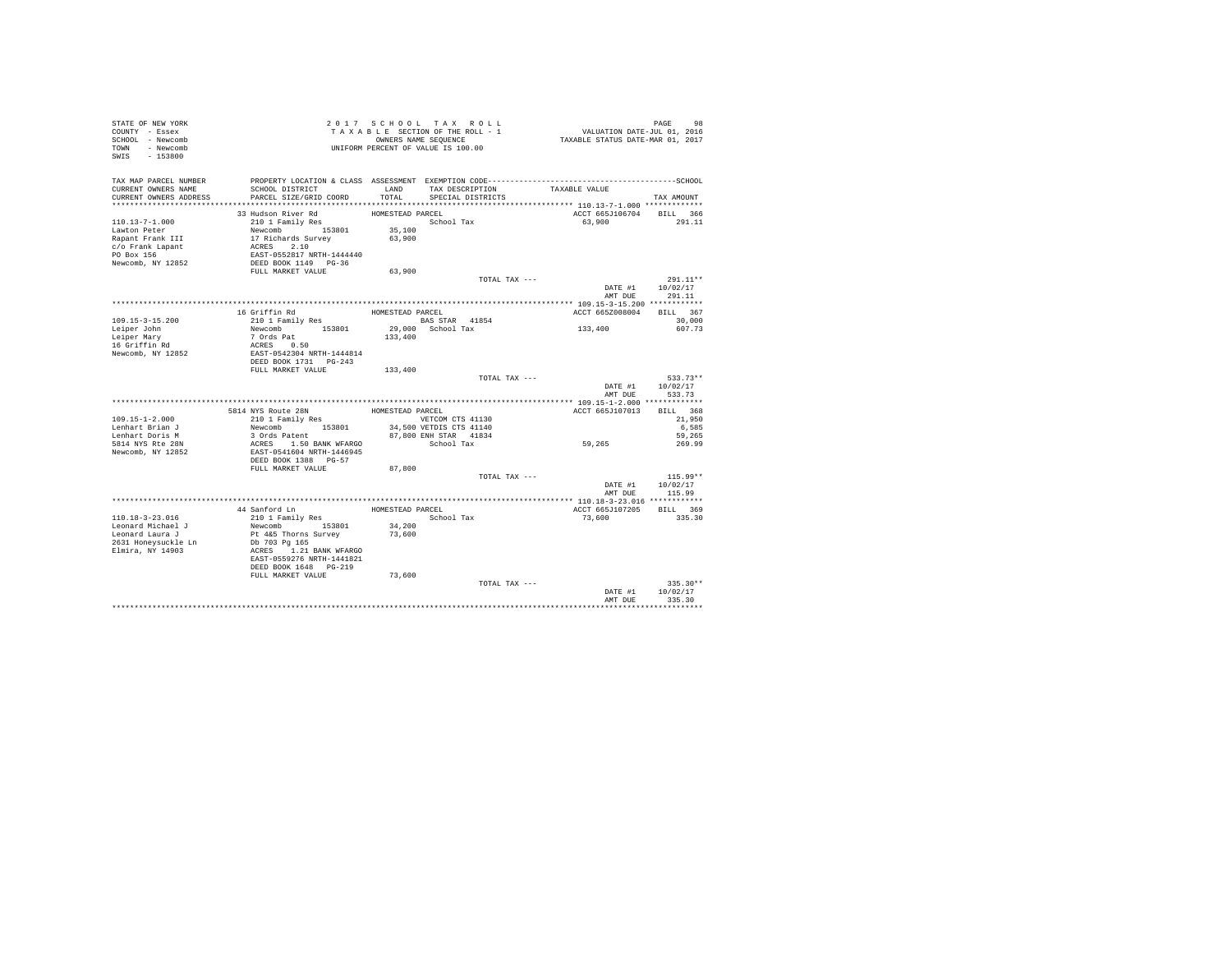| TAX MAP PARCEL NUMBER<br>PROPERTY LOCATION & CLASS ASSESSMENT EXEMPTION CODE-----------------------------------SCHOOL<br>SCHOOL DISTRICT                    LAND        TAX DESCRIPTION                   TAXABLE VALUE<br>CURRENT OWNERS NAME<br>PARCEL SIZE/GRID COORD<br>SPECIAL DISTRICTS<br>CURRENT OWNERS ADDRESS<br>TOTAL<br>TAX AMOUNT<br>33 Hudson River Rd<br>210 1 Family Res 6choc<br>ACCT 665J106704 BILL 366<br>School Tax<br>$110.13 - 7 - 1.000$<br>63,900<br>291.11<br>Newcomb 153801<br>17 Richards Survey<br>ACRES 2.10<br>35,100<br>Lawton Peter<br>63,900<br>Rapant Frank III<br>c/o Frank Lapant<br>EAST-0552817 NRTH-1444440<br>PO Box 156<br>DEED BOOK 1149 PG-36<br>Newcomb, NY 12852<br>FULL MARKET VALUE<br>63,900<br>TOTAL TAX ---<br>291.11**<br>DATE #1<br>10/02/17<br>AMT DUE<br>291.11<br>16 Griffin Rd<br>ACCT 665Z008004 BILL 367<br>HOMESTEAD PARCEL<br>210 1 Family Res<br>BAS STAR 41854<br>$109.15 - 3 - 15.200$<br>30,000<br>$133\,, 400$<br>29,000 School Tax<br>Newcomb 153801<br>Leiper John<br>607.73<br>7 Ords Pat<br>133,400<br>Leiper Mary<br>16 Griffin Rd<br>ACRES 0.50<br>EAST-0542304 NRTH-1444814<br>Newcomb, NY 12852<br>DEED BOOK 1731 PG-243<br>FULL MARKET VALUE<br>133,400<br>TOTAL TAX ---<br>533.73**<br>DATE #1<br>10/02/17<br>AMT DUE<br>533.73<br>HOMESTEAD PARCEL<br>5814 NYS Route 28N<br>ACCT 665J107013 BILL 368<br>210 1 Family Res<br>VETCOM CTS 41130<br>$109.15 - 1 - 2.000$<br>21,950<br>34,500 VETDIS CTS 41140<br>Newcomb 153801<br>6,585<br>Lenhart Brian J<br>87,800 ENH STAR 41834<br>Lenhart Doris M<br>3 Ords Patent<br>59,265<br>59,265<br>ACRES 1.50 BANK WFARGO<br>5814 NYS Rte 28N<br>School Tax<br>269.99<br>Newcomb, NY 12852<br>EAST-0541604 NRTH-1446945<br>DEED BOOK 1388 PG-57<br>FULL MARKET VALUE<br>87,800<br>TOTAL TAX ---<br>$115.99**$<br>DATE #1<br>10/02/17<br>AMT DUE<br>115.99<br>44 Sanford Ln HOMESTEAD PARCEL<br>ACCT 665J107205 BILL 369<br>School Tax<br>$110.18 - 3 - 23.016$<br>335.30<br>210 1 Family Res<br>73,600<br>34,200<br>Leonard Michael J<br>Newcomb 153801<br>Leonard Laura J<br>Pt 4&5 Thorns Survey<br>73,600<br>2631 Honeysuckle Ln<br>Db 703 Pg 165<br>Elmira, NY 14903<br>ACRES 1.21 BANK WFARGO<br>EAST-0559276 NRTH-1441821<br>DEED BOOK 1648    PG-219<br>FULL MARKET VALUE<br>73,600<br>TOTAL TAX ---<br>$335.30**$<br>10/02/17<br>DATE #1<br>AMT DUE<br>335.30 | STATE OF NEW YORK<br>COUNTY - Essex<br>SCHOOL - Newcomb<br>TOWN - Newcomb<br>SWIS - 153800 |  | 2017 SCHOOL TAX ROLL<br>UNIFORM PERCENT OF VALUE IS 100.00 | PAGE<br>98 |
|---------------------------------------------------------------------------------------------------------------------------------------------------------------------------------------------------------------------------------------------------------------------------------------------------------------------------------------------------------------------------------------------------------------------------------------------------------------------------------------------------------------------------------------------------------------------------------------------------------------------------------------------------------------------------------------------------------------------------------------------------------------------------------------------------------------------------------------------------------------------------------------------------------------------------------------------------------------------------------------------------------------------------------------------------------------------------------------------------------------------------------------------------------------------------------------------------------------------------------------------------------------------------------------------------------------------------------------------------------------------------------------------------------------------------------------------------------------------------------------------------------------------------------------------------------------------------------------------------------------------------------------------------------------------------------------------------------------------------------------------------------------------------------------------------------------------------------------------------------------------------------------------------------------------------------------------------------------------------------------------------------------------------------------------------------------------------------------------------------------------------------------------------------------------------------------------------------------------------------------------------------------------------------------------------------------------------------------------------------------------------------------------|--------------------------------------------------------------------------------------------|--|------------------------------------------------------------|------------|
|                                                                                                                                                                                                                                                                                                                                                                                                                                                                                                                                                                                                                                                                                                                                                                                                                                                                                                                                                                                                                                                                                                                                                                                                                                                                                                                                                                                                                                                                                                                                                                                                                                                                                                                                                                                                                                                                                                                                                                                                                                                                                                                                                                                                                                                                                                                                                                                             |                                                                                            |  |                                                            |            |
|                                                                                                                                                                                                                                                                                                                                                                                                                                                                                                                                                                                                                                                                                                                                                                                                                                                                                                                                                                                                                                                                                                                                                                                                                                                                                                                                                                                                                                                                                                                                                                                                                                                                                                                                                                                                                                                                                                                                                                                                                                                                                                                                                                                                                                                                                                                                                                                             |                                                                                            |  |                                                            |            |
|                                                                                                                                                                                                                                                                                                                                                                                                                                                                                                                                                                                                                                                                                                                                                                                                                                                                                                                                                                                                                                                                                                                                                                                                                                                                                                                                                                                                                                                                                                                                                                                                                                                                                                                                                                                                                                                                                                                                                                                                                                                                                                                                                                                                                                                                                                                                                                                             |                                                                                            |  |                                                            |            |
|                                                                                                                                                                                                                                                                                                                                                                                                                                                                                                                                                                                                                                                                                                                                                                                                                                                                                                                                                                                                                                                                                                                                                                                                                                                                                                                                                                                                                                                                                                                                                                                                                                                                                                                                                                                                                                                                                                                                                                                                                                                                                                                                                                                                                                                                                                                                                                                             |                                                                                            |  |                                                            |            |
|                                                                                                                                                                                                                                                                                                                                                                                                                                                                                                                                                                                                                                                                                                                                                                                                                                                                                                                                                                                                                                                                                                                                                                                                                                                                                                                                                                                                                                                                                                                                                                                                                                                                                                                                                                                                                                                                                                                                                                                                                                                                                                                                                                                                                                                                                                                                                                                             |                                                                                            |  |                                                            |            |
|                                                                                                                                                                                                                                                                                                                                                                                                                                                                                                                                                                                                                                                                                                                                                                                                                                                                                                                                                                                                                                                                                                                                                                                                                                                                                                                                                                                                                                                                                                                                                                                                                                                                                                                                                                                                                                                                                                                                                                                                                                                                                                                                                                                                                                                                                                                                                                                             |                                                                                            |  |                                                            |            |
|                                                                                                                                                                                                                                                                                                                                                                                                                                                                                                                                                                                                                                                                                                                                                                                                                                                                                                                                                                                                                                                                                                                                                                                                                                                                                                                                                                                                                                                                                                                                                                                                                                                                                                                                                                                                                                                                                                                                                                                                                                                                                                                                                                                                                                                                                                                                                                                             |                                                                                            |  |                                                            |            |
|                                                                                                                                                                                                                                                                                                                                                                                                                                                                                                                                                                                                                                                                                                                                                                                                                                                                                                                                                                                                                                                                                                                                                                                                                                                                                                                                                                                                                                                                                                                                                                                                                                                                                                                                                                                                                                                                                                                                                                                                                                                                                                                                                                                                                                                                                                                                                                                             |                                                                                            |  |                                                            |            |
|                                                                                                                                                                                                                                                                                                                                                                                                                                                                                                                                                                                                                                                                                                                                                                                                                                                                                                                                                                                                                                                                                                                                                                                                                                                                                                                                                                                                                                                                                                                                                                                                                                                                                                                                                                                                                                                                                                                                                                                                                                                                                                                                                                                                                                                                                                                                                                                             |                                                                                            |  |                                                            |            |
|                                                                                                                                                                                                                                                                                                                                                                                                                                                                                                                                                                                                                                                                                                                                                                                                                                                                                                                                                                                                                                                                                                                                                                                                                                                                                                                                                                                                                                                                                                                                                                                                                                                                                                                                                                                                                                                                                                                                                                                                                                                                                                                                                                                                                                                                                                                                                                                             |                                                                                            |  |                                                            |            |
|                                                                                                                                                                                                                                                                                                                                                                                                                                                                                                                                                                                                                                                                                                                                                                                                                                                                                                                                                                                                                                                                                                                                                                                                                                                                                                                                                                                                                                                                                                                                                                                                                                                                                                                                                                                                                                                                                                                                                                                                                                                                                                                                                                                                                                                                                                                                                                                             |                                                                                            |  |                                                            |            |
|                                                                                                                                                                                                                                                                                                                                                                                                                                                                                                                                                                                                                                                                                                                                                                                                                                                                                                                                                                                                                                                                                                                                                                                                                                                                                                                                                                                                                                                                                                                                                                                                                                                                                                                                                                                                                                                                                                                                                                                                                                                                                                                                                                                                                                                                                                                                                                                             |                                                                                            |  |                                                            |            |
|                                                                                                                                                                                                                                                                                                                                                                                                                                                                                                                                                                                                                                                                                                                                                                                                                                                                                                                                                                                                                                                                                                                                                                                                                                                                                                                                                                                                                                                                                                                                                                                                                                                                                                                                                                                                                                                                                                                                                                                                                                                                                                                                                                                                                                                                                                                                                                                             |                                                                                            |  |                                                            |            |
|                                                                                                                                                                                                                                                                                                                                                                                                                                                                                                                                                                                                                                                                                                                                                                                                                                                                                                                                                                                                                                                                                                                                                                                                                                                                                                                                                                                                                                                                                                                                                                                                                                                                                                                                                                                                                                                                                                                                                                                                                                                                                                                                                                                                                                                                                                                                                                                             |                                                                                            |  |                                                            |            |
|                                                                                                                                                                                                                                                                                                                                                                                                                                                                                                                                                                                                                                                                                                                                                                                                                                                                                                                                                                                                                                                                                                                                                                                                                                                                                                                                                                                                                                                                                                                                                                                                                                                                                                                                                                                                                                                                                                                                                                                                                                                                                                                                                                                                                                                                                                                                                                                             |                                                                                            |  |                                                            |            |
|                                                                                                                                                                                                                                                                                                                                                                                                                                                                                                                                                                                                                                                                                                                                                                                                                                                                                                                                                                                                                                                                                                                                                                                                                                                                                                                                                                                                                                                                                                                                                                                                                                                                                                                                                                                                                                                                                                                                                                                                                                                                                                                                                                                                                                                                                                                                                                                             |                                                                                            |  |                                                            |            |
|                                                                                                                                                                                                                                                                                                                                                                                                                                                                                                                                                                                                                                                                                                                                                                                                                                                                                                                                                                                                                                                                                                                                                                                                                                                                                                                                                                                                                                                                                                                                                                                                                                                                                                                                                                                                                                                                                                                                                                                                                                                                                                                                                                                                                                                                                                                                                                                             |                                                                                            |  |                                                            |            |
|                                                                                                                                                                                                                                                                                                                                                                                                                                                                                                                                                                                                                                                                                                                                                                                                                                                                                                                                                                                                                                                                                                                                                                                                                                                                                                                                                                                                                                                                                                                                                                                                                                                                                                                                                                                                                                                                                                                                                                                                                                                                                                                                                                                                                                                                                                                                                                                             |                                                                                            |  |                                                            |            |
|                                                                                                                                                                                                                                                                                                                                                                                                                                                                                                                                                                                                                                                                                                                                                                                                                                                                                                                                                                                                                                                                                                                                                                                                                                                                                                                                                                                                                                                                                                                                                                                                                                                                                                                                                                                                                                                                                                                                                                                                                                                                                                                                                                                                                                                                                                                                                                                             |                                                                                            |  |                                                            |            |
|                                                                                                                                                                                                                                                                                                                                                                                                                                                                                                                                                                                                                                                                                                                                                                                                                                                                                                                                                                                                                                                                                                                                                                                                                                                                                                                                                                                                                                                                                                                                                                                                                                                                                                                                                                                                                                                                                                                                                                                                                                                                                                                                                                                                                                                                                                                                                                                             |                                                                                            |  |                                                            |            |
|                                                                                                                                                                                                                                                                                                                                                                                                                                                                                                                                                                                                                                                                                                                                                                                                                                                                                                                                                                                                                                                                                                                                                                                                                                                                                                                                                                                                                                                                                                                                                                                                                                                                                                                                                                                                                                                                                                                                                                                                                                                                                                                                                                                                                                                                                                                                                                                             |                                                                                            |  |                                                            |            |
|                                                                                                                                                                                                                                                                                                                                                                                                                                                                                                                                                                                                                                                                                                                                                                                                                                                                                                                                                                                                                                                                                                                                                                                                                                                                                                                                                                                                                                                                                                                                                                                                                                                                                                                                                                                                                                                                                                                                                                                                                                                                                                                                                                                                                                                                                                                                                                                             |                                                                                            |  |                                                            |            |
|                                                                                                                                                                                                                                                                                                                                                                                                                                                                                                                                                                                                                                                                                                                                                                                                                                                                                                                                                                                                                                                                                                                                                                                                                                                                                                                                                                                                                                                                                                                                                                                                                                                                                                                                                                                                                                                                                                                                                                                                                                                                                                                                                                                                                                                                                                                                                                                             |                                                                                            |  |                                                            |            |
|                                                                                                                                                                                                                                                                                                                                                                                                                                                                                                                                                                                                                                                                                                                                                                                                                                                                                                                                                                                                                                                                                                                                                                                                                                                                                                                                                                                                                                                                                                                                                                                                                                                                                                                                                                                                                                                                                                                                                                                                                                                                                                                                                                                                                                                                                                                                                                                             |                                                                                            |  |                                                            |            |
|                                                                                                                                                                                                                                                                                                                                                                                                                                                                                                                                                                                                                                                                                                                                                                                                                                                                                                                                                                                                                                                                                                                                                                                                                                                                                                                                                                                                                                                                                                                                                                                                                                                                                                                                                                                                                                                                                                                                                                                                                                                                                                                                                                                                                                                                                                                                                                                             |                                                                                            |  |                                                            |            |
|                                                                                                                                                                                                                                                                                                                                                                                                                                                                                                                                                                                                                                                                                                                                                                                                                                                                                                                                                                                                                                                                                                                                                                                                                                                                                                                                                                                                                                                                                                                                                                                                                                                                                                                                                                                                                                                                                                                                                                                                                                                                                                                                                                                                                                                                                                                                                                                             |                                                                                            |  |                                                            |            |
|                                                                                                                                                                                                                                                                                                                                                                                                                                                                                                                                                                                                                                                                                                                                                                                                                                                                                                                                                                                                                                                                                                                                                                                                                                                                                                                                                                                                                                                                                                                                                                                                                                                                                                                                                                                                                                                                                                                                                                                                                                                                                                                                                                                                                                                                                                                                                                                             |                                                                                            |  |                                                            |            |
|                                                                                                                                                                                                                                                                                                                                                                                                                                                                                                                                                                                                                                                                                                                                                                                                                                                                                                                                                                                                                                                                                                                                                                                                                                                                                                                                                                                                                                                                                                                                                                                                                                                                                                                                                                                                                                                                                                                                                                                                                                                                                                                                                                                                                                                                                                                                                                                             |                                                                                            |  |                                                            |            |
|                                                                                                                                                                                                                                                                                                                                                                                                                                                                                                                                                                                                                                                                                                                                                                                                                                                                                                                                                                                                                                                                                                                                                                                                                                                                                                                                                                                                                                                                                                                                                                                                                                                                                                                                                                                                                                                                                                                                                                                                                                                                                                                                                                                                                                                                                                                                                                                             |                                                                                            |  |                                                            |            |
|                                                                                                                                                                                                                                                                                                                                                                                                                                                                                                                                                                                                                                                                                                                                                                                                                                                                                                                                                                                                                                                                                                                                                                                                                                                                                                                                                                                                                                                                                                                                                                                                                                                                                                                                                                                                                                                                                                                                                                                                                                                                                                                                                                                                                                                                                                                                                                                             |                                                                                            |  |                                                            |            |
|                                                                                                                                                                                                                                                                                                                                                                                                                                                                                                                                                                                                                                                                                                                                                                                                                                                                                                                                                                                                                                                                                                                                                                                                                                                                                                                                                                                                                                                                                                                                                                                                                                                                                                                                                                                                                                                                                                                                                                                                                                                                                                                                                                                                                                                                                                                                                                                             |                                                                                            |  |                                                            |            |
|                                                                                                                                                                                                                                                                                                                                                                                                                                                                                                                                                                                                                                                                                                                                                                                                                                                                                                                                                                                                                                                                                                                                                                                                                                                                                                                                                                                                                                                                                                                                                                                                                                                                                                                                                                                                                                                                                                                                                                                                                                                                                                                                                                                                                                                                                                                                                                                             |                                                                                            |  |                                                            |            |
|                                                                                                                                                                                                                                                                                                                                                                                                                                                                                                                                                                                                                                                                                                                                                                                                                                                                                                                                                                                                                                                                                                                                                                                                                                                                                                                                                                                                                                                                                                                                                                                                                                                                                                                                                                                                                                                                                                                                                                                                                                                                                                                                                                                                                                                                                                                                                                                             |                                                                                            |  |                                                            |            |
|                                                                                                                                                                                                                                                                                                                                                                                                                                                                                                                                                                                                                                                                                                                                                                                                                                                                                                                                                                                                                                                                                                                                                                                                                                                                                                                                                                                                                                                                                                                                                                                                                                                                                                                                                                                                                                                                                                                                                                                                                                                                                                                                                                                                                                                                                                                                                                                             |                                                                                            |  |                                                            |            |
|                                                                                                                                                                                                                                                                                                                                                                                                                                                                                                                                                                                                                                                                                                                                                                                                                                                                                                                                                                                                                                                                                                                                                                                                                                                                                                                                                                                                                                                                                                                                                                                                                                                                                                                                                                                                                                                                                                                                                                                                                                                                                                                                                                                                                                                                                                                                                                                             |                                                                                            |  |                                                            |            |
|                                                                                                                                                                                                                                                                                                                                                                                                                                                                                                                                                                                                                                                                                                                                                                                                                                                                                                                                                                                                                                                                                                                                                                                                                                                                                                                                                                                                                                                                                                                                                                                                                                                                                                                                                                                                                                                                                                                                                                                                                                                                                                                                                                                                                                                                                                                                                                                             |                                                                                            |  |                                                            |            |
|                                                                                                                                                                                                                                                                                                                                                                                                                                                                                                                                                                                                                                                                                                                                                                                                                                                                                                                                                                                                                                                                                                                                                                                                                                                                                                                                                                                                                                                                                                                                                                                                                                                                                                                                                                                                                                                                                                                                                                                                                                                                                                                                                                                                                                                                                                                                                                                             |                                                                                            |  |                                                            |            |
|                                                                                                                                                                                                                                                                                                                                                                                                                                                                                                                                                                                                                                                                                                                                                                                                                                                                                                                                                                                                                                                                                                                                                                                                                                                                                                                                                                                                                                                                                                                                                                                                                                                                                                                                                                                                                                                                                                                                                                                                                                                                                                                                                                                                                                                                                                                                                                                             |                                                                                            |  |                                                            |            |
|                                                                                                                                                                                                                                                                                                                                                                                                                                                                                                                                                                                                                                                                                                                                                                                                                                                                                                                                                                                                                                                                                                                                                                                                                                                                                                                                                                                                                                                                                                                                                                                                                                                                                                                                                                                                                                                                                                                                                                                                                                                                                                                                                                                                                                                                                                                                                                                             |                                                                                            |  |                                                            |            |
|                                                                                                                                                                                                                                                                                                                                                                                                                                                                                                                                                                                                                                                                                                                                                                                                                                                                                                                                                                                                                                                                                                                                                                                                                                                                                                                                                                                                                                                                                                                                                                                                                                                                                                                                                                                                                                                                                                                                                                                                                                                                                                                                                                                                                                                                                                                                                                                             |                                                                                            |  |                                                            |            |
|                                                                                                                                                                                                                                                                                                                                                                                                                                                                                                                                                                                                                                                                                                                                                                                                                                                                                                                                                                                                                                                                                                                                                                                                                                                                                                                                                                                                                                                                                                                                                                                                                                                                                                                                                                                                                                                                                                                                                                                                                                                                                                                                                                                                                                                                                                                                                                                             |                                                                                            |  |                                                            |            |
|                                                                                                                                                                                                                                                                                                                                                                                                                                                                                                                                                                                                                                                                                                                                                                                                                                                                                                                                                                                                                                                                                                                                                                                                                                                                                                                                                                                                                                                                                                                                                                                                                                                                                                                                                                                                                                                                                                                                                                                                                                                                                                                                                                                                                                                                                                                                                                                             |                                                                                            |  |                                                            |            |
|                                                                                                                                                                                                                                                                                                                                                                                                                                                                                                                                                                                                                                                                                                                                                                                                                                                                                                                                                                                                                                                                                                                                                                                                                                                                                                                                                                                                                                                                                                                                                                                                                                                                                                                                                                                                                                                                                                                                                                                                                                                                                                                                                                                                                                                                                                                                                                                             |                                                                                            |  |                                                            |            |
|                                                                                                                                                                                                                                                                                                                                                                                                                                                                                                                                                                                                                                                                                                                                                                                                                                                                                                                                                                                                                                                                                                                                                                                                                                                                                                                                                                                                                                                                                                                                                                                                                                                                                                                                                                                                                                                                                                                                                                                                                                                                                                                                                                                                                                                                                                                                                                                             |                                                                                            |  |                                                            |            |
|                                                                                                                                                                                                                                                                                                                                                                                                                                                                                                                                                                                                                                                                                                                                                                                                                                                                                                                                                                                                                                                                                                                                                                                                                                                                                                                                                                                                                                                                                                                                                                                                                                                                                                                                                                                                                                                                                                                                                                                                                                                                                                                                                                                                                                                                                                                                                                                             |                                                                                            |  |                                                            |            |
|                                                                                                                                                                                                                                                                                                                                                                                                                                                                                                                                                                                                                                                                                                                                                                                                                                                                                                                                                                                                                                                                                                                                                                                                                                                                                                                                                                                                                                                                                                                                                                                                                                                                                                                                                                                                                                                                                                                                                                                                                                                                                                                                                                                                                                                                                                                                                                                             |                                                                                            |  |                                                            |            |
|                                                                                                                                                                                                                                                                                                                                                                                                                                                                                                                                                                                                                                                                                                                                                                                                                                                                                                                                                                                                                                                                                                                                                                                                                                                                                                                                                                                                                                                                                                                                                                                                                                                                                                                                                                                                                                                                                                                                                                                                                                                                                                                                                                                                                                                                                                                                                                                             |                                                                                            |  |                                                            |            |
|                                                                                                                                                                                                                                                                                                                                                                                                                                                                                                                                                                                                                                                                                                                                                                                                                                                                                                                                                                                                                                                                                                                                                                                                                                                                                                                                                                                                                                                                                                                                                                                                                                                                                                                                                                                                                                                                                                                                                                                                                                                                                                                                                                                                                                                                                                                                                                                             |                                                                                            |  |                                                            |            |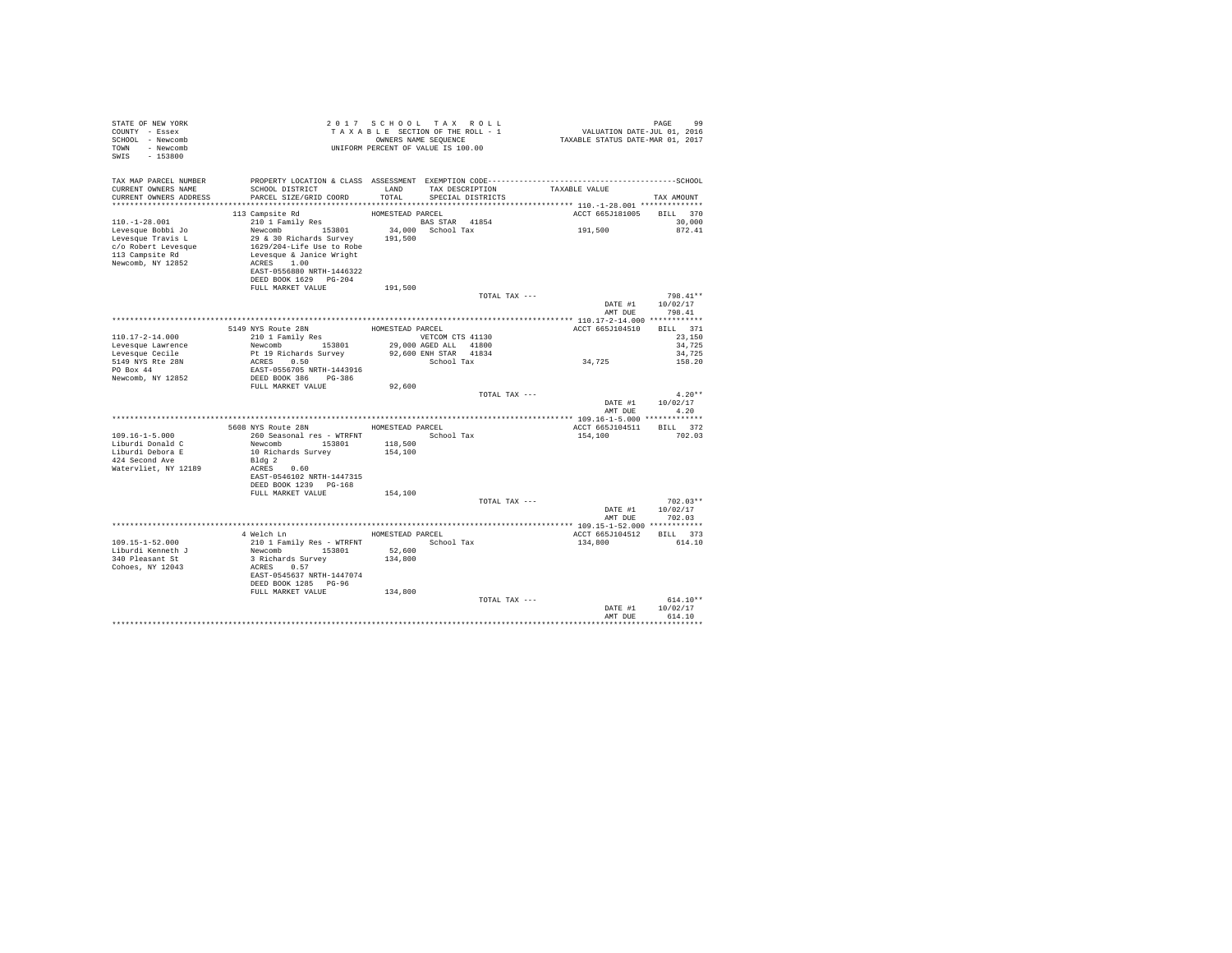| COUNTY - Essex<br>SCHOOL - Newcomb<br>TOWN - Newcomb<br>SWIS - 153800                                                                                                                                                                                                                                                                                                                                                                                                                   |  |
|-----------------------------------------------------------------------------------------------------------------------------------------------------------------------------------------------------------------------------------------------------------------------------------------------------------------------------------------------------------------------------------------------------------------------------------------------------------------------------------------|--|
| TAX MAP PARCEL NUMBER<br>TAX DESCRIPTION TAXABLE VALUE SPECIAL DISTRICTS<br>SCHOOL DISTRICT LAND<br>PARCEL SIZE/GRID COORD TOTAL<br>CURRENT OWNERS NAME<br>TOTAL<br>CURRENT OWNERS ADDRESS<br>TAX AMOUNT                                                                                                                                                                                                                                                                                |  |
| ACCT 665J181005 BILL 370                                                                                                                                                                                                                                                                                                                                                                                                                                                                |  |
| 30,000<br>872.41<br>DEED BOOK 1629 PG-204                                                                                                                                                                                                                                                                                                                                                                                                                                               |  |
| FULL MARKET VALUE<br>191,500                                                                                                                                                                                                                                                                                                                                                                                                                                                            |  |
| 798.41**<br>TOTAL TAX ---<br>DATE #1 10/02/17<br>AMT DUE 798.41                                                                                                                                                                                                                                                                                                                                                                                                                         |  |
|                                                                                                                                                                                                                                                                                                                                                                                                                                                                                         |  |
| $\begin{tabular}{c c c c c} \hline \texttt{110.17--2-14.000} & \texttt{5149 NFS with} & \texttt{HOMESTFAD RRCEL} & \texttt{HOMESTFAD RRCEL} & \texttt{HOMESTFAD RRCEL} & \texttt{ROMESTFAD RRCEL} & \texttt{ROT} & \texttt{6551104}: \\ \hline \texttt{Levesque Caelle} & \texttt{Newcomb} & \texttt{153801} & 29,000 \text{ ASEP LAMSE} & \texttt{1130} \\ \hline \texttt{Levesque Caelle} & \texttt{Newcomb} & \texttt{153$<br>ACCT 665J104510 BILL 371<br>23,150<br>34,725<br>34,725 |  |
| 158.20                                                                                                                                                                                                                                                                                                                                                                                                                                                                                  |  |
| FULL MARKET VALUE<br>92,600<br>TOTAL TAX ---<br>$4.20**$<br>DATE #1 10/02/17<br>AMT DUE 4.20                                                                                                                                                                                                                                                                                                                                                                                            |  |
|                                                                                                                                                                                                                                                                                                                                                                                                                                                                                         |  |
| 5608 NYS Route 28N HOMESTEAD PARCEL<br>ACCT 665J104511 BILL 372                                                                                                                                                                                                                                                                                                                                                                                                                         |  |
| 260 Seasonal res - WTRFNT The School Tax<br>$109.16 - 1 - 5.000$<br>154,100 702.03<br>Liburdi Donald C<br>Newcomb 153801 118,500<br>Liburdi Debora E 10 Richards Survey 154,100<br>424 Second Ave<br>                                                                                                                                                                                                                                                                                   |  |
| DEED BOOK 1239 PG-168                                                                                                                                                                                                                                                                                                                                                                                                                                                                   |  |
| FULL MARKET VALUE 154,100<br>TOTAL TAX ---<br>$702.03**$<br>DATE #1 10/02/17<br>AMT DUE<br>702.03                                                                                                                                                                                                                                                                                                                                                                                       |  |
|                                                                                                                                                                                                                                                                                                                                                                                                                                                                                         |  |
| 4 Welch Ln MOMESTEAD PARCEL<br>ACCT 665J104512 BILL 373<br>210 1 Family Res - WTRFNT School Tax<br>109.15-1-52.000<br>134,800<br>614.10<br>Newcomb 153801<br>Liburdi Kenneth J<br>52,600<br>3 Richards Survey $134,800$<br>340 Pleasant St<br>ACRES 0.57<br>Cohoes, NY 12043<br>EAST-0545637 NRTH-1447074<br>DEED BOOK 1285 PG-96                                                                                                                                                       |  |
| 134,800<br>FULL MARKET VALUE<br>TOTAL TAX ---<br>$614.10**$<br>DATE #1 10/02/17                                                                                                                                                                                                                                                                                                                                                                                                         |  |
| AMT DUR<br>614.10                                                                                                                                                                                                                                                                                                                                                                                                                                                                       |  |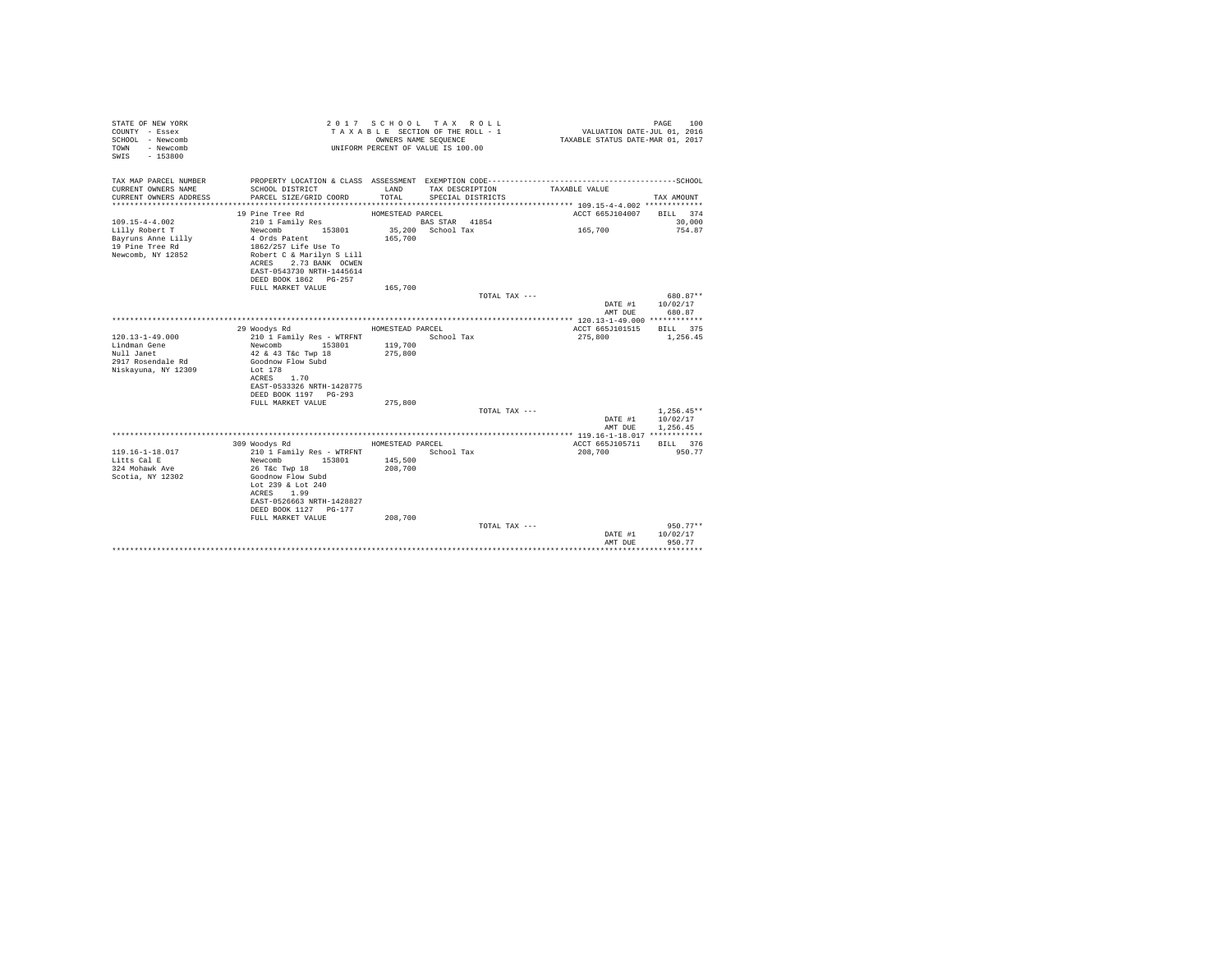| STATE OF NEW YORK<br>COUNTY - Essex<br>SCHOOL - Newcomb<br>- Newcomb<br>TOWN<br>$-153800$<br>SWTS |                                                    |                  | 2017 SCHOOL TAX ROLL<br>TAXABLE SECTION OF THE ROLL - 1<br>OWNERS NAME SEQUENCE<br>UNIFORM PERCENT OF VALUE IS 100.00 |               | PAGE<br>VALUATION DATE-JUL 01, 2016<br>TAXABLE STATUS DATE-MAR 01, 2017 | 100    |
|---------------------------------------------------------------------------------------------------|----------------------------------------------------|------------------|-----------------------------------------------------------------------------------------------------------------------|---------------|-------------------------------------------------------------------------|--------|
| TAX MAP PARCEL NUMBER                                                                             |                                                    |                  |                                                                                                                       |               |                                                                         |        |
| CURRENT OWNERS NAME<br>CURRENT OWNERS ADDRESS                                                     | SCHOOL DISTRICT<br>PARCEL SIZE/GRID COORD          | LAND<br>TOTAL.   | TAX DESCRIPTION<br>SPECIAL DISTRICTS                                                                                  | TAXABLE VALUE | TAX AMOUNT                                                              |        |
|                                                                                                   | 19 Pine Tree Rd                                    | HOMESTEAD PARCEL |                                                                                                                       |               | ACCT 665J104007<br>BILL 374                                             |        |
| $109.15 - 4 - 4.002$                                                                              | 210 1 Family Res                                   |                  | BAS STAR 41854                                                                                                        |               |                                                                         | 30,000 |
| Lilly Robert T                                                                                    | Newcomb 153801                                     |                  | 35,200 School Tax                                                                                                     | 165,700       |                                                                         | 754.87 |
| Bayruns Anne Lilly                                                                                | 4 Ords Patent                                      | 165,700          |                                                                                                                       |               |                                                                         |        |
| 19 Pine Tree Rd                                                                                   | 1862/257 Life Use To                               |                  |                                                                                                                       |               |                                                                         |        |
| Newcomb, NY 12852                                                                                 | Robert C & Marilyn S Lill                          |                  |                                                                                                                       |               |                                                                         |        |
|                                                                                                   | ACRES 2.73 BANK OCWEN<br>EAST-0543730 NRTH-1445614 |                  |                                                                                                                       |               |                                                                         |        |
|                                                                                                   | DEED BOOK 1862 PG-257                              |                  |                                                                                                                       |               |                                                                         |        |
|                                                                                                   | FULL MARKET VALUE                                  | 165,700          |                                                                                                                       |               |                                                                         |        |
|                                                                                                   |                                                    |                  |                                                                                                                       | TOTAL TAX --- | 680.87**                                                                |        |
|                                                                                                   |                                                    |                  |                                                                                                                       |               | DATE #1<br>10/02/17                                                     |        |
|                                                                                                   |                                                    |                  |                                                                                                                       |               | 680.87<br>AMT DUE                                                       |        |
|                                                                                                   |                                                    |                  |                                                                                                                       |               |                                                                         |        |
| $120.13 - 1 - 49.000$                                                                             | 29 Woodys Rd<br>210 1 Family Res - WTRFNT          | HOMESTEAD PARCEL | School Tax                                                                                                            | 275,800       | ACCT 665J101515<br>BTLL 375<br>1,256.45                                 |        |
| Lindman Gene                                                                                      | Newcomb<br>153801                                  | 119,700          |                                                                                                                       |               |                                                                         |        |
| Null Janet                                                                                        | 42 & 43 T&c Twp 18                                 | 275,800          |                                                                                                                       |               |                                                                         |        |
| 2917 Rosendale Rd                                                                                 | Goodnow Flow Subd                                  |                  |                                                                                                                       |               |                                                                         |        |
| Niskayuna, NY 12309                                                                               | Lot 178                                            |                  |                                                                                                                       |               |                                                                         |        |
|                                                                                                   | ACRES 1.70                                         |                  |                                                                                                                       |               |                                                                         |        |
|                                                                                                   | EAST-0533326 NRTH-1428775                          |                  |                                                                                                                       |               |                                                                         |        |
|                                                                                                   | DEED BOOK 1197 PG-293                              |                  |                                                                                                                       |               |                                                                         |        |
|                                                                                                   | FULL MARKET VALUE                                  | 275,800          |                                                                                                                       |               | $1.256.45**$                                                            |        |
|                                                                                                   |                                                    |                  |                                                                                                                       | TOTAL TAX --- | 10/02/17<br>DATE #1                                                     |        |
|                                                                                                   |                                                    |                  |                                                                                                                       |               | AMT DUE<br>1,256.45                                                     |        |
|                                                                                                   |                                                    |                  |                                                                                                                       |               |                                                                         |        |
|                                                                                                   | 309 Woodys Rd                                      | HOMESTEAD PARCEL |                                                                                                                       |               | ACCT 665J105711<br>BILL 376                                             |        |
| $119.16 - 1 - 18.017$                                                                             | 210 1 Family Res - WTRFNT                          |                  | School Tax                                                                                                            | 208,700       | 950.77                                                                  |        |
| Litts Cal E                                                                                       | 153801<br>Newcomb                                  | 145,500          |                                                                                                                       |               |                                                                         |        |
| 324 Mohawk Ave                                                                                    | 26 T&c Twp 18                                      | 208,700          |                                                                                                                       |               |                                                                         |        |
| Scotia, NY 12302                                                                                  | Goodnow Flow Subd<br>Lot 239 & Lot 240             |                  |                                                                                                                       |               |                                                                         |        |
|                                                                                                   | ACRES 1.99                                         |                  |                                                                                                                       |               |                                                                         |        |
|                                                                                                   | EAST-0526663 NRTH-1428827                          |                  |                                                                                                                       |               |                                                                         |        |
|                                                                                                   | DEED BOOK 1127 PG-177                              |                  |                                                                                                                       |               |                                                                         |        |
|                                                                                                   | FULL MARKET VALUE                                  | 208,700          |                                                                                                                       |               |                                                                         |        |
|                                                                                                   |                                                    |                  |                                                                                                                       | TOTAL TAX --- | $950.77**$                                                              |        |
|                                                                                                   |                                                    |                  |                                                                                                                       |               | 10/02/17<br>DATE #1                                                     |        |
|                                                                                                   |                                                    |                  |                                                                                                                       |               | AMT DUE<br>950.77                                                       |        |
|                                                                                                   |                                                    |                  |                                                                                                                       |               |                                                                         |        |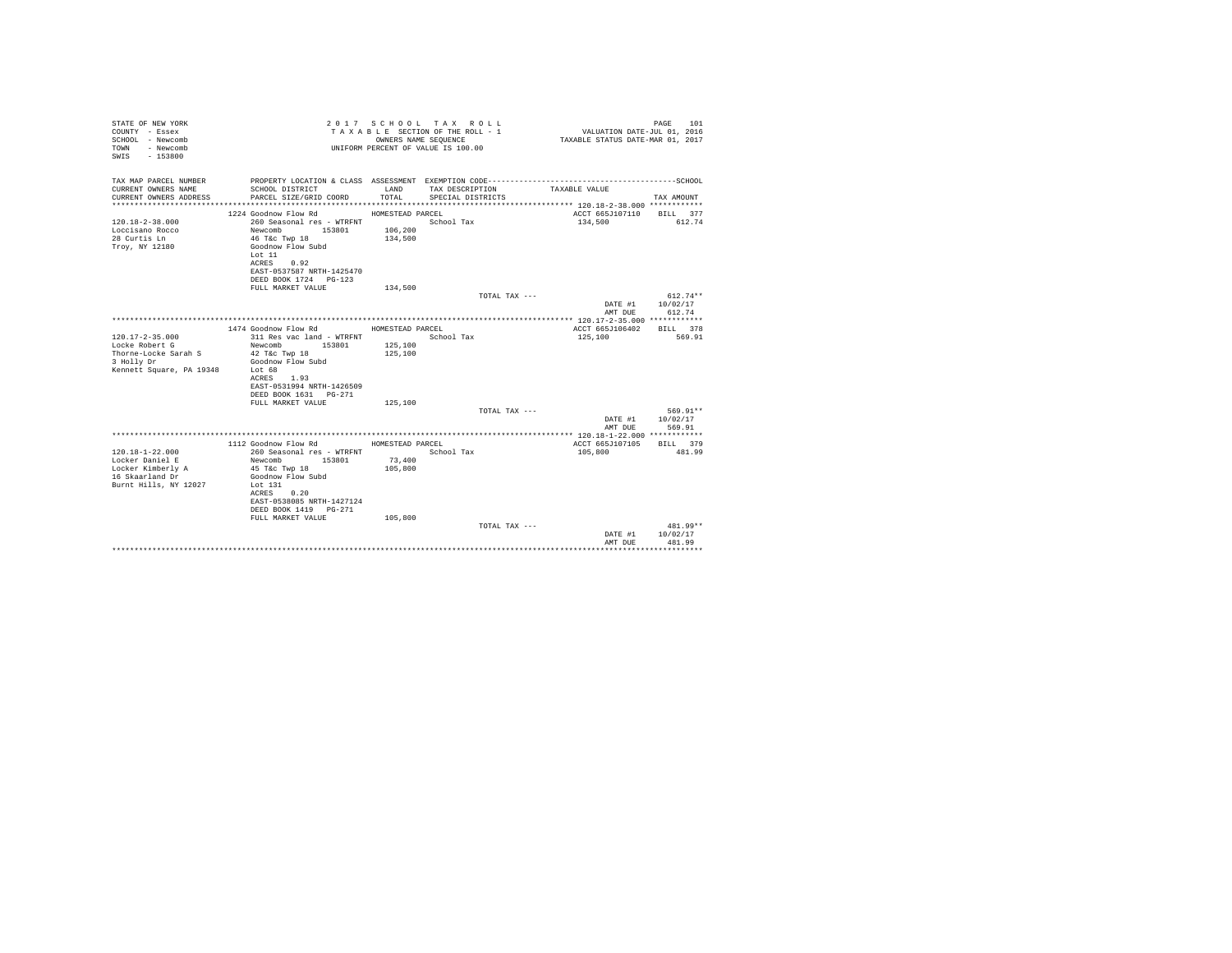| STATE OF NEW YORK<br>COUNTY - Essex<br>SCHOOL - Newcomb<br>- Newcomb<br>TOWN<br>$-153800$<br>SWTS |                                                    | OWNERS NAME SEQUENCE | 2017 SCHOOL TAX ROLL<br>TAXABLE SECTION OF THE ROLL - 1<br>UNIFORM PERCENT OF VALUE IS 100.00 | VALUATION DATE-JUL 01, 2016<br>TAXABLE STATUS DATE-MAR 01, 2017 | 101<br>PAGE |
|---------------------------------------------------------------------------------------------------|----------------------------------------------------|----------------------|-----------------------------------------------------------------------------------------------|-----------------------------------------------------------------|-------------|
| TAX MAP PARCEL NUMBER                                                                             |                                                    |                      |                                                                                               |                                                                 |             |
| CURRENT OWNERS NAME<br>CURRENT OWNERS ADDRESS                                                     | SCHOOL DISTRICT<br>PARCEL SIZE/GRID COORD          | LAND<br>TOTAL.       | TAX DESCRIPTION<br>SPECIAL DISTRICTS                                                          | TAXABLE VALUE                                                   | TAX AMOUNT  |
|                                                                                                   |                                                    |                      |                                                                                               |                                                                 |             |
|                                                                                                   | 1224 Goodnow Flow Rd                               | HOMESTEAD PARCEL     |                                                                                               | ACCT 665J107110                                                 | BILL 377    |
| $120.18 - 2 - 38.000$                                                                             | 260 Seasonal res - WTRFNT                          |                      | School Tax                                                                                    | 134,500                                                         | 612.74      |
| Loccisano Rocco<br>28 Curtis Ln                                                                   | Newcomb 153801<br>46 T&c Twp 18                    | 106,200<br>134,500   |                                                                                               |                                                                 |             |
| Troy, NY 12180                                                                                    | Goodnow Flow Subd                                  |                      |                                                                                               |                                                                 |             |
|                                                                                                   | Lot 11                                             |                      |                                                                                               |                                                                 |             |
|                                                                                                   | ACRES 0.92                                         |                      |                                                                                               |                                                                 |             |
|                                                                                                   | EAST-0537587 NRTH-1425470<br>DEED BOOK 1724 PG-123 |                      |                                                                                               |                                                                 |             |
|                                                                                                   | FULL MARKET VALUE                                  | 134,500              |                                                                                               |                                                                 |             |
|                                                                                                   |                                                    |                      | TOTAL TAX ---                                                                                 |                                                                 | $612.74**$  |
|                                                                                                   |                                                    |                      |                                                                                               | DATE #1                                                         | 10/02/17    |
|                                                                                                   |                                                    |                      |                                                                                               | AMT DUE                                                         | 612.74      |
|                                                                                                   | 1474 Goodnow Flow Rd                               | HOMESTEAD PARCEL     |                                                                                               | ACCT 665J106402                                                 | RTLL 378    |
| $120.17 - 2 - 35.000$                                                                             | 311 Res vac land - WTRFNT                          |                      | School Tax                                                                                    | 125,100                                                         | 569.91      |
| Locke Robert G                                                                                    | Newcomb 153801                                     | 125,100              |                                                                                               |                                                                 |             |
| Thorne-Locke Sarah S<br>3 Holly Dr                                                                | 42 T&c Twp 18<br>Goodnow Flow Subd                 | 125,100              |                                                                                               |                                                                 |             |
| Kennett Square, PA 19348                                                                          | Lot 68                                             |                      |                                                                                               |                                                                 |             |
|                                                                                                   | ACRES 1.93                                         |                      |                                                                                               |                                                                 |             |
|                                                                                                   | EAST-0531994 NRTH-1426509                          |                      |                                                                                               |                                                                 |             |
|                                                                                                   | DEED BOOK 1631 PG-271<br>FULL MARKET VALUE         | 125,100              |                                                                                               |                                                                 |             |
|                                                                                                   |                                                    |                      | TOTAL TAX ---                                                                                 |                                                                 | 569.91**    |
|                                                                                                   |                                                    |                      |                                                                                               | DATE #1                                                         | 10/02/17    |
|                                                                                                   |                                                    |                      |                                                                                               | AMT DUE                                                         | 569.91      |
|                                                                                                   | 1112 Goodnow Flow Rd                               | HOMESTEAD PARCEL     |                                                                                               | ACCT 665J107105                                                 | BILL 379    |
| $120.18 - 1 - 22.000$                                                                             | 260 Seasonal res - WTRFNT                          |                      | School Tax                                                                                    | 105,800                                                         | 481.99      |
| Locker Daniel E                                                                                   | 153801<br>Newcomb                                  | 73,400               |                                                                                               |                                                                 |             |
| Locker Kimberly A                                                                                 | 45 T&c Twp 18                                      | 105,800              |                                                                                               |                                                                 |             |
| 16 Skaarland Dr<br>Burnt Hills, NY 12027                                                          | Goodnow Flow Subd<br>Lot $131$                     |                      |                                                                                               |                                                                 |             |
|                                                                                                   | 0.20<br>ACRES                                      |                      |                                                                                               |                                                                 |             |
|                                                                                                   | EAST-0538085 NRTH-1427124                          |                      |                                                                                               |                                                                 |             |
|                                                                                                   | DEED BOOK 1419 PG-271                              |                      |                                                                                               |                                                                 |             |
|                                                                                                   | FULL MARKET VALUE                                  | 105,800              | TOTAL TAX ---                                                                                 |                                                                 | 481.99**    |
|                                                                                                   |                                                    |                      |                                                                                               | DATE #1                                                         | 10/02/17    |
|                                                                                                   |                                                    |                      |                                                                                               | AMT DUE                                                         | 481.99      |
|                                                                                                   |                                                    |                      |                                                                                               |                                                                 |             |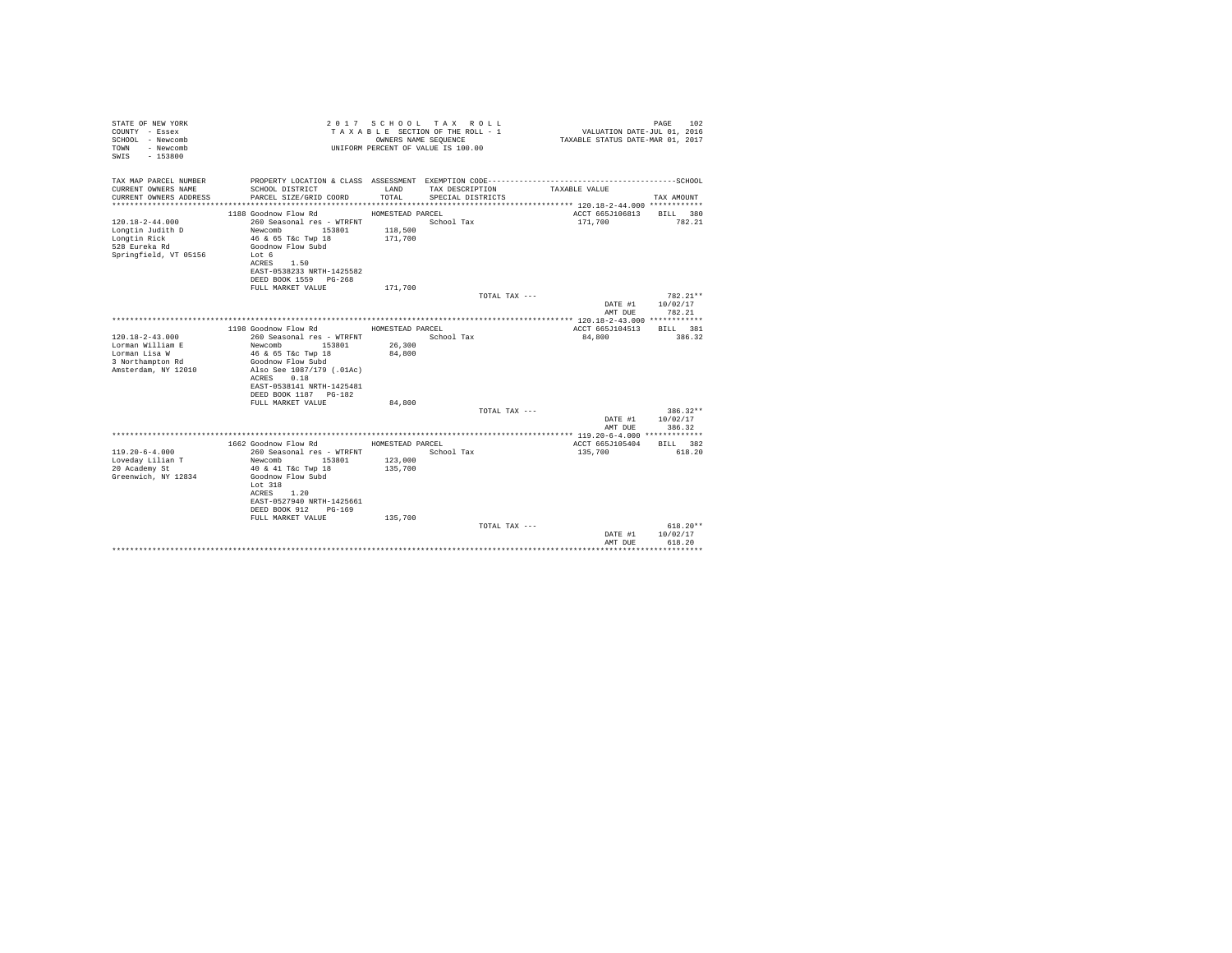| ------------------SCHOOL<br>TAX MAP PARCEL NUMBER<br>PROPERTY LOCATION & CLASS ASSESSMENT EXEMPTION CODE-----------------------<br>CURRENT OWNERS NAME<br>SCHOOL DISTRICT<br>LAND<br>TAX DESCRIPTION<br>TAXABLE VALUE<br>CURRENT OWNERS ADDRESS<br>PARCEL SIZE/GRID COORD<br>TOTAL.<br>SPECIAL DISTRICTS<br>TAX AMOUNT<br>1188 Goodnow Flow Rd<br>ACCT 665J106813<br>HOMESTEAD PARCEL<br>BILL 380<br>$120.18 - 2 - 44.000$<br>260 Seasonal res - WTRFNT<br>School Tax<br>171,700<br>782.21<br>Longtin Judith D<br>Newcomb<br>118,500<br>153801<br>Longtin Rick<br>46 & 65 T&c Twp 18<br>171,700<br>528 Eureka Rd<br>Goodnow Flow Subd<br>Springfield, VT 05156<br>Tot 6<br>ACRES 1.50<br>EAST-0538233 NRTH-1425582<br>DEED BOOK 1559 PG-268<br>171,700<br>FULL MARKET VALUE<br>TOTAL TAX ---<br>$782.21**$<br>DATE #1<br>10/02/17<br>782.21<br>AMT DUE<br>1198 Goodnow Flow Rd<br>HOMESTEAD PARCEL<br>ACCT 665J104513<br>RTT.T. 381<br>$120.18 - 2 - 43.000$<br>386.32<br>260 Seasonal res - WTRFNT<br>School Tax<br>84,800<br>Lorman William E<br>26,300<br>Newcomb<br>153801<br>84,800<br>Lorman Lisa W<br>46 & 65 T&c Twp 18<br>3 Northampton Rd<br>Goodnow Flow Subd<br>Amsterdam, NY 12010<br>Also See 1087/179 (.01Ac)<br>0.18<br>ACRES<br>EAST-0538141 NRTH-1425481<br>DEED BOOK 1187 PG-182<br>FULL MARKET VALUE<br>84,800<br>$386.32**$<br>TOTAL TAX ---<br>10/02/17<br>DATE #1<br>386.32<br>AMT DUE<br>1662 Goodnow Flow Rd<br>HOMESTEAD PARCEL<br>ACCT 665J105404<br>BILL 382<br>$119.20 - 6 - 4.000$<br>260 Seasonal res - WTRFNT<br>School Tax<br>135,700<br>618.20<br>Loveday Lilian T<br>Newcomb<br>153801<br>123,000<br>20 Academy St<br>40 & 41 T&c Twp 18<br>135,700<br>Greenwich, NY 12834<br>Goodnow Flow Subd<br>Lot 318<br>1.20<br>ACRES<br>EAST-0527940 NRTH-1425661<br>DEED BOOK 912<br>PG-169<br>FULL MARKET VALUE<br>135,700<br>$618.20**$<br>TOTAL TAX ---<br>10/02/17<br>DATE #1<br>AMT DUE<br>618.20 | STATE OF NEW YORK<br>COUNTY - Essex<br>SCHOOL - Newcomb<br>- Newcomb<br>TOWN<br>$-153800$<br>SWTS | OWNERS NAME SEQUENCE | 2017 SCHOOL TAX ROLL<br>TAXABLE SECTION OF THE ROLL - 1<br>UNIFORM PERCENT OF VALUE IS 100.00 | VALUATION DATE-JUL 01, 2016<br>TAXABLE STATUS DATE-MAR 01, 2017 | 102<br>PAGE |
|-----------------------------------------------------------------------------------------------------------------------------------------------------------------------------------------------------------------------------------------------------------------------------------------------------------------------------------------------------------------------------------------------------------------------------------------------------------------------------------------------------------------------------------------------------------------------------------------------------------------------------------------------------------------------------------------------------------------------------------------------------------------------------------------------------------------------------------------------------------------------------------------------------------------------------------------------------------------------------------------------------------------------------------------------------------------------------------------------------------------------------------------------------------------------------------------------------------------------------------------------------------------------------------------------------------------------------------------------------------------------------------------------------------------------------------------------------------------------------------------------------------------------------------------------------------------------------------------------------------------------------------------------------------------------------------------------------------------------------------------------------------------------------------------------------------------------------------------------------------------------------------------------------------------------------------|---------------------------------------------------------------------------------------------------|----------------------|-----------------------------------------------------------------------------------------------|-----------------------------------------------------------------|-------------|
|                                                                                                                                                                                                                                                                                                                                                                                                                                                                                                                                                                                                                                                                                                                                                                                                                                                                                                                                                                                                                                                                                                                                                                                                                                                                                                                                                                                                                                                                                                                                                                                                                                                                                                                                                                                                                                                                                                                                   |                                                                                                   |                      |                                                                                               |                                                                 |             |
|                                                                                                                                                                                                                                                                                                                                                                                                                                                                                                                                                                                                                                                                                                                                                                                                                                                                                                                                                                                                                                                                                                                                                                                                                                                                                                                                                                                                                                                                                                                                                                                                                                                                                                                                                                                                                                                                                                                                   |                                                                                                   |                      |                                                                                               |                                                                 |             |
|                                                                                                                                                                                                                                                                                                                                                                                                                                                                                                                                                                                                                                                                                                                                                                                                                                                                                                                                                                                                                                                                                                                                                                                                                                                                                                                                                                                                                                                                                                                                                                                                                                                                                                                                                                                                                                                                                                                                   |                                                                                                   |                      |                                                                                               |                                                                 |             |
|                                                                                                                                                                                                                                                                                                                                                                                                                                                                                                                                                                                                                                                                                                                                                                                                                                                                                                                                                                                                                                                                                                                                                                                                                                                                                                                                                                                                                                                                                                                                                                                                                                                                                                                                                                                                                                                                                                                                   |                                                                                                   |                      |                                                                                               |                                                                 |             |
|                                                                                                                                                                                                                                                                                                                                                                                                                                                                                                                                                                                                                                                                                                                                                                                                                                                                                                                                                                                                                                                                                                                                                                                                                                                                                                                                                                                                                                                                                                                                                                                                                                                                                                                                                                                                                                                                                                                                   |                                                                                                   |                      |                                                                                               |                                                                 |             |
|                                                                                                                                                                                                                                                                                                                                                                                                                                                                                                                                                                                                                                                                                                                                                                                                                                                                                                                                                                                                                                                                                                                                                                                                                                                                                                                                                                                                                                                                                                                                                                                                                                                                                                                                                                                                                                                                                                                                   |                                                                                                   |                      |                                                                                               |                                                                 |             |
|                                                                                                                                                                                                                                                                                                                                                                                                                                                                                                                                                                                                                                                                                                                                                                                                                                                                                                                                                                                                                                                                                                                                                                                                                                                                                                                                                                                                                                                                                                                                                                                                                                                                                                                                                                                                                                                                                                                                   |                                                                                                   |                      |                                                                                               |                                                                 |             |
|                                                                                                                                                                                                                                                                                                                                                                                                                                                                                                                                                                                                                                                                                                                                                                                                                                                                                                                                                                                                                                                                                                                                                                                                                                                                                                                                                                                                                                                                                                                                                                                                                                                                                                                                                                                                                                                                                                                                   |                                                                                                   |                      |                                                                                               |                                                                 |             |
|                                                                                                                                                                                                                                                                                                                                                                                                                                                                                                                                                                                                                                                                                                                                                                                                                                                                                                                                                                                                                                                                                                                                                                                                                                                                                                                                                                                                                                                                                                                                                                                                                                                                                                                                                                                                                                                                                                                                   |                                                                                                   |                      |                                                                                               |                                                                 |             |
|                                                                                                                                                                                                                                                                                                                                                                                                                                                                                                                                                                                                                                                                                                                                                                                                                                                                                                                                                                                                                                                                                                                                                                                                                                                                                                                                                                                                                                                                                                                                                                                                                                                                                                                                                                                                                                                                                                                                   |                                                                                                   |                      |                                                                                               |                                                                 |             |
|                                                                                                                                                                                                                                                                                                                                                                                                                                                                                                                                                                                                                                                                                                                                                                                                                                                                                                                                                                                                                                                                                                                                                                                                                                                                                                                                                                                                                                                                                                                                                                                                                                                                                                                                                                                                                                                                                                                                   |                                                                                                   |                      |                                                                                               |                                                                 |             |
|                                                                                                                                                                                                                                                                                                                                                                                                                                                                                                                                                                                                                                                                                                                                                                                                                                                                                                                                                                                                                                                                                                                                                                                                                                                                                                                                                                                                                                                                                                                                                                                                                                                                                                                                                                                                                                                                                                                                   |                                                                                                   |                      |                                                                                               |                                                                 |             |
|                                                                                                                                                                                                                                                                                                                                                                                                                                                                                                                                                                                                                                                                                                                                                                                                                                                                                                                                                                                                                                                                                                                                                                                                                                                                                                                                                                                                                                                                                                                                                                                                                                                                                                                                                                                                                                                                                                                                   |                                                                                                   |                      |                                                                                               |                                                                 |             |
|                                                                                                                                                                                                                                                                                                                                                                                                                                                                                                                                                                                                                                                                                                                                                                                                                                                                                                                                                                                                                                                                                                                                                                                                                                                                                                                                                                                                                                                                                                                                                                                                                                                                                                                                                                                                                                                                                                                                   |                                                                                                   |                      |                                                                                               |                                                                 |             |
|                                                                                                                                                                                                                                                                                                                                                                                                                                                                                                                                                                                                                                                                                                                                                                                                                                                                                                                                                                                                                                                                                                                                                                                                                                                                                                                                                                                                                                                                                                                                                                                                                                                                                                                                                                                                                                                                                                                                   |                                                                                                   |                      |                                                                                               |                                                                 |             |
|                                                                                                                                                                                                                                                                                                                                                                                                                                                                                                                                                                                                                                                                                                                                                                                                                                                                                                                                                                                                                                                                                                                                                                                                                                                                                                                                                                                                                                                                                                                                                                                                                                                                                                                                                                                                                                                                                                                                   |                                                                                                   |                      |                                                                                               |                                                                 |             |
|                                                                                                                                                                                                                                                                                                                                                                                                                                                                                                                                                                                                                                                                                                                                                                                                                                                                                                                                                                                                                                                                                                                                                                                                                                                                                                                                                                                                                                                                                                                                                                                                                                                                                                                                                                                                                                                                                                                                   |                                                                                                   |                      |                                                                                               |                                                                 |             |
|                                                                                                                                                                                                                                                                                                                                                                                                                                                                                                                                                                                                                                                                                                                                                                                                                                                                                                                                                                                                                                                                                                                                                                                                                                                                                                                                                                                                                                                                                                                                                                                                                                                                                                                                                                                                                                                                                                                                   |                                                                                                   |                      |                                                                                               |                                                                 |             |
|                                                                                                                                                                                                                                                                                                                                                                                                                                                                                                                                                                                                                                                                                                                                                                                                                                                                                                                                                                                                                                                                                                                                                                                                                                                                                                                                                                                                                                                                                                                                                                                                                                                                                                                                                                                                                                                                                                                                   |                                                                                                   |                      |                                                                                               |                                                                 |             |
|                                                                                                                                                                                                                                                                                                                                                                                                                                                                                                                                                                                                                                                                                                                                                                                                                                                                                                                                                                                                                                                                                                                                                                                                                                                                                                                                                                                                                                                                                                                                                                                                                                                                                                                                                                                                                                                                                                                                   |                                                                                                   |                      |                                                                                               |                                                                 |             |
|                                                                                                                                                                                                                                                                                                                                                                                                                                                                                                                                                                                                                                                                                                                                                                                                                                                                                                                                                                                                                                                                                                                                                                                                                                                                                                                                                                                                                                                                                                                                                                                                                                                                                                                                                                                                                                                                                                                                   |                                                                                                   |                      |                                                                                               |                                                                 |             |
|                                                                                                                                                                                                                                                                                                                                                                                                                                                                                                                                                                                                                                                                                                                                                                                                                                                                                                                                                                                                                                                                                                                                                                                                                                                                                                                                                                                                                                                                                                                                                                                                                                                                                                                                                                                                                                                                                                                                   |                                                                                                   |                      |                                                                                               |                                                                 |             |
|                                                                                                                                                                                                                                                                                                                                                                                                                                                                                                                                                                                                                                                                                                                                                                                                                                                                                                                                                                                                                                                                                                                                                                                                                                                                                                                                                                                                                                                                                                                                                                                                                                                                                                                                                                                                                                                                                                                                   |                                                                                                   |                      |                                                                                               |                                                                 |             |
|                                                                                                                                                                                                                                                                                                                                                                                                                                                                                                                                                                                                                                                                                                                                                                                                                                                                                                                                                                                                                                                                                                                                                                                                                                                                                                                                                                                                                                                                                                                                                                                                                                                                                                                                                                                                                                                                                                                                   |                                                                                                   |                      |                                                                                               |                                                                 |             |
|                                                                                                                                                                                                                                                                                                                                                                                                                                                                                                                                                                                                                                                                                                                                                                                                                                                                                                                                                                                                                                                                                                                                                                                                                                                                                                                                                                                                                                                                                                                                                                                                                                                                                                                                                                                                                                                                                                                                   |                                                                                                   |                      |                                                                                               |                                                                 |             |
|                                                                                                                                                                                                                                                                                                                                                                                                                                                                                                                                                                                                                                                                                                                                                                                                                                                                                                                                                                                                                                                                                                                                                                                                                                                                                                                                                                                                                                                                                                                                                                                                                                                                                                                                                                                                                                                                                                                                   |                                                                                                   |                      |                                                                                               |                                                                 |             |
|                                                                                                                                                                                                                                                                                                                                                                                                                                                                                                                                                                                                                                                                                                                                                                                                                                                                                                                                                                                                                                                                                                                                                                                                                                                                                                                                                                                                                                                                                                                                                                                                                                                                                                                                                                                                                                                                                                                                   |                                                                                                   |                      |                                                                                               |                                                                 |             |
|                                                                                                                                                                                                                                                                                                                                                                                                                                                                                                                                                                                                                                                                                                                                                                                                                                                                                                                                                                                                                                                                                                                                                                                                                                                                                                                                                                                                                                                                                                                                                                                                                                                                                                                                                                                                                                                                                                                                   |                                                                                                   |                      |                                                                                               |                                                                 |             |
|                                                                                                                                                                                                                                                                                                                                                                                                                                                                                                                                                                                                                                                                                                                                                                                                                                                                                                                                                                                                                                                                                                                                                                                                                                                                                                                                                                                                                                                                                                                                                                                                                                                                                                                                                                                                                                                                                                                                   |                                                                                                   |                      |                                                                                               |                                                                 |             |
|                                                                                                                                                                                                                                                                                                                                                                                                                                                                                                                                                                                                                                                                                                                                                                                                                                                                                                                                                                                                                                                                                                                                                                                                                                                                                                                                                                                                                                                                                                                                                                                                                                                                                                                                                                                                                                                                                                                                   |                                                                                                   |                      |                                                                                               |                                                                 |             |
|                                                                                                                                                                                                                                                                                                                                                                                                                                                                                                                                                                                                                                                                                                                                                                                                                                                                                                                                                                                                                                                                                                                                                                                                                                                                                                                                                                                                                                                                                                                                                                                                                                                                                                                                                                                                                                                                                                                                   |                                                                                                   |                      |                                                                                               |                                                                 |             |
|                                                                                                                                                                                                                                                                                                                                                                                                                                                                                                                                                                                                                                                                                                                                                                                                                                                                                                                                                                                                                                                                                                                                                                                                                                                                                                                                                                                                                                                                                                                                                                                                                                                                                                                                                                                                                                                                                                                                   |                                                                                                   |                      |                                                                                               |                                                                 |             |
|                                                                                                                                                                                                                                                                                                                                                                                                                                                                                                                                                                                                                                                                                                                                                                                                                                                                                                                                                                                                                                                                                                                                                                                                                                                                                                                                                                                                                                                                                                                                                                                                                                                                                                                                                                                                                                                                                                                                   |                                                                                                   |                      |                                                                                               |                                                                 |             |
|                                                                                                                                                                                                                                                                                                                                                                                                                                                                                                                                                                                                                                                                                                                                                                                                                                                                                                                                                                                                                                                                                                                                                                                                                                                                                                                                                                                                                                                                                                                                                                                                                                                                                                                                                                                                                                                                                                                                   |                                                                                                   |                      |                                                                                               |                                                                 |             |
|                                                                                                                                                                                                                                                                                                                                                                                                                                                                                                                                                                                                                                                                                                                                                                                                                                                                                                                                                                                                                                                                                                                                                                                                                                                                                                                                                                                                                                                                                                                                                                                                                                                                                                                                                                                                                                                                                                                                   |                                                                                                   |                      |                                                                                               |                                                                 |             |
|                                                                                                                                                                                                                                                                                                                                                                                                                                                                                                                                                                                                                                                                                                                                                                                                                                                                                                                                                                                                                                                                                                                                                                                                                                                                                                                                                                                                                                                                                                                                                                                                                                                                                                                                                                                                                                                                                                                                   |                                                                                                   |                      |                                                                                               |                                                                 |             |
|                                                                                                                                                                                                                                                                                                                                                                                                                                                                                                                                                                                                                                                                                                                                                                                                                                                                                                                                                                                                                                                                                                                                                                                                                                                                                                                                                                                                                                                                                                                                                                                                                                                                                                                                                                                                                                                                                                                                   |                                                                                                   |                      |                                                                                               |                                                                 |             |
|                                                                                                                                                                                                                                                                                                                                                                                                                                                                                                                                                                                                                                                                                                                                                                                                                                                                                                                                                                                                                                                                                                                                                                                                                                                                                                                                                                                                                                                                                                                                                                                                                                                                                                                                                                                                                                                                                                                                   |                                                                                                   |                      |                                                                                               |                                                                 |             |
|                                                                                                                                                                                                                                                                                                                                                                                                                                                                                                                                                                                                                                                                                                                                                                                                                                                                                                                                                                                                                                                                                                                                                                                                                                                                                                                                                                                                                                                                                                                                                                                                                                                                                                                                                                                                                                                                                                                                   |                                                                                                   |                      |                                                                                               |                                                                 |             |
|                                                                                                                                                                                                                                                                                                                                                                                                                                                                                                                                                                                                                                                                                                                                                                                                                                                                                                                                                                                                                                                                                                                                                                                                                                                                                                                                                                                                                                                                                                                                                                                                                                                                                                                                                                                                                                                                                                                                   |                                                                                                   |                      |                                                                                               |                                                                 |             |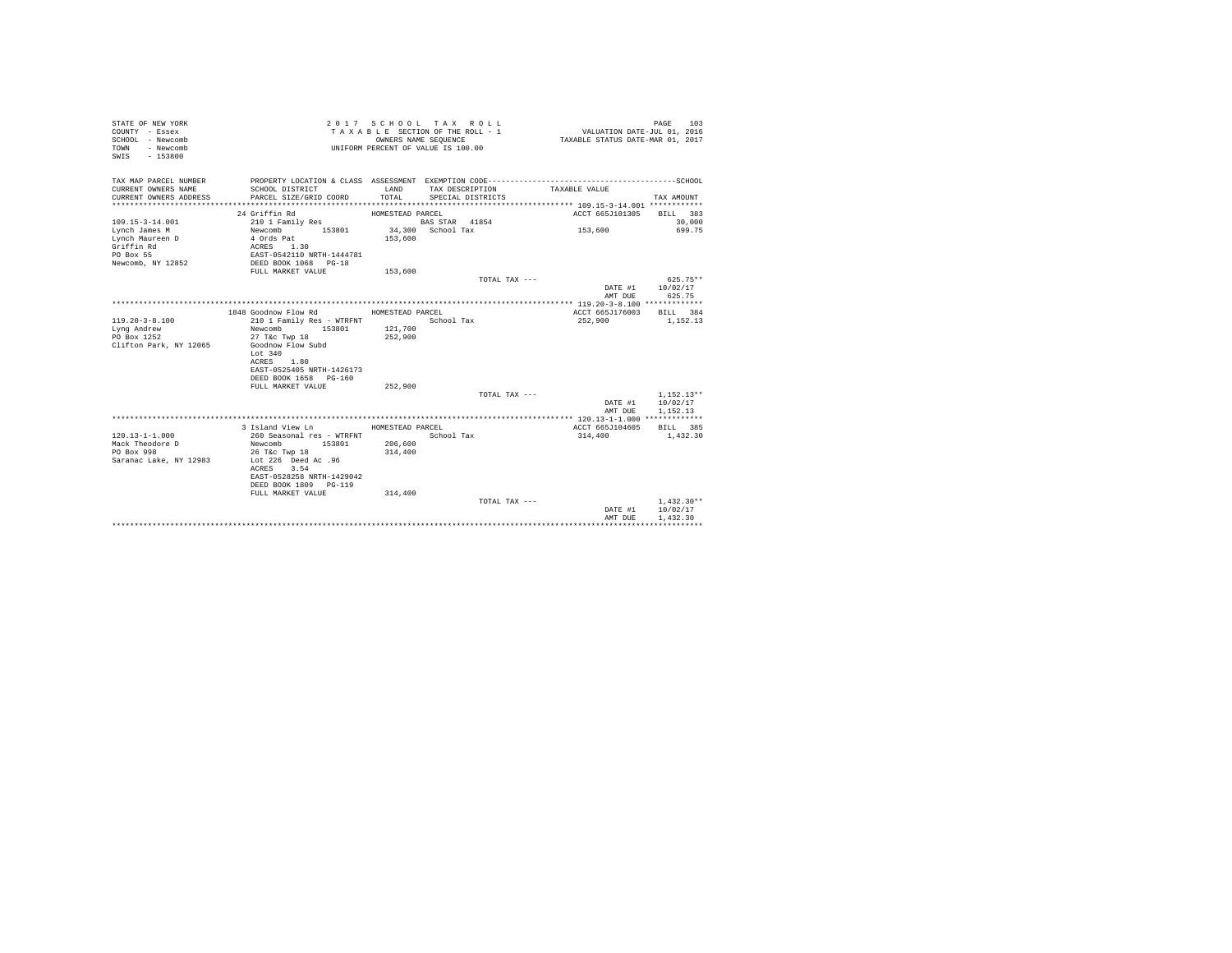| STATE OF NEW YORK<br>COUNTY - Essex<br>SCHOOL - Newcomb<br>- Newcomb<br>TOWN<br>SWIS<br>$-153800$   |                                                                                                                                                                        | OWNERS NAME SEQUENCE<br>UNIFORM PERCENT OF VALUE IS 100.00 | 2017 SCHOOL TAX ROLL<br>TAXABLE SECTION OF THE ROLL - 1 | VALUATION DATE-JUL 01, 2016<br>TAXABLE STATUS DATE-MAR 01, 2017 | 103<br>PAGE                          |
|-----------------------------------------------------------------------------------------------------|------------------------------------------------------------------------------------------------------------------------------------------------------------------------|------------------------------------------------------------|---------------------------------------------------------|-----------------------------------------------------------------|--------------------------------------|
| TAX MAP PARCEL NUMBER<br>CURRENT OWNERS NAME<br>CURRENT OWNERS ADDRESS<br>************************* | PROPERTY LOCATION & CLASS ASSESSMENT EXEMPTION CODE-----------------------------------SCHOOL<br>SCHOOL DISTRICT<br>PARCEL SIZE/GRID COORD                              | LAND<br>TOTAL                                              | TAX DESCRIPTION<br>SPECIAL DISTRICTS                    | TAXABLE VALUE                                                   | TAX AMOUNT                           |
|                                                                                                     | 24 Griffin Rd                                                                                                                                                          | HOMESTEAD PARCEL                                           |                                                         | ACCT 665J101305                                                 | BILL 383                             |
| $109.15 - 3 - 14.001$                                                                               | 210 1 Family Res                                                                                                                                                       |                                                            | BAS STAR 41854                                          |                                                                 | 30,000                               |
| Lynch James M<br>Lynch Maureen D<br>Griffin Rd                                                      | 153801<br>Newcomb<br>4 Ords Pat<br>ACRES<br>1.30                                                                                                                       | 153,600                                                    | 34,300 School Tax                                       | 153,600                                                         | 699.75                               |
| PO Box 55<br>Newcomb, NY 12852                                                                      | EAST-0542110 NRTH-1444781<br>DEED BOOK 1068 PG-18                                                                                                                      |                                                            |                                                         |                                                                 |                                      |
|                                                                                                     | FULL MARKET VALUE                                                                                                                                                      | 153,600                                                    | TOTAL TAX ---                                           |                                                                 | 625.75**                             |
|                                                                                                     |                                                                                                                                                                        |                                                            |                                                         | DATE #1<br>AMT DUE                                              | 10/02/17<br>625.75                   |
|                                                                                                     |                                                                                                                                                                        |                                                            |                                                         |                                                                 |                                      |
| $119.20 - 3 - 8.100$                                                                                | 1848 Goodnow Flow Rd                                                                                                                                                   | HOMESTEAD PARCEL                                           | School Tax                                              | ACCT 665J176003<br>252,900                                      | BILL 384<br>1,152.13                 |
| Lyng Andrew<br>PO Box 1252<br>Clifton Park, NY 12065                                                | 210 1 Family Res - WTRFNT<br>Newcomb<br>153801<br>27 T&c Twp 18<br>Goodnow Flow Subd<br>Lot 340<br>1.80<br>ACRES<br>EAST-0525405 NRTH-1426173<br>DEED BOOK 1658 PG-160 | 121,700<br>252,900                                         |                                                         |                                                                 |                                      |
|                                                                                                     | FULL MARKET VALUE                                                                                                                                                      | 252,900                                                    |                                                         |                                                                 |                                      |
|                                                                                                     |                                                                                                                                                                        |                                                            | TOTAL TAX ---                                           | DATE #1<br>AMT DUE                                              | $1.152.13**$<br>10/02/17<br>1,152.13 |
|                                                                                                     |                                                                                                                                                                        |                                                            |                                                         |                                                                 |                                      |
| $120.13 - 1 - 1.000$<br>Mack Theodore D<br>PO Box 998<br>Saranac Lake, NY 12983                     | 3 Island View Ln<br>260 Seasonal res - WTRFNT<br>Newcomb<br>153801<br>26 T&c Twp 18<br>Lot 226 Deed Ac .96<br>3.54<br>ACRES<br>EAST-0528258 NRTH-1429042               | HOMESTEAD PARCEL<br>206,600<br>314,400                     | School Tax                                              | ACCT 665J104605<br>314,400                                      | BILL 385<br>1,432.30                 |
|                                                                                                     | DEED BOOK 1809 PG-119<br>FULL MARKET VALUE                                                                                                                             | 314,400                                                    |                                                         |                                                                 |                                      |
|                                                                                                     |                                                                                                                                                                        |                                                            | TOTAL TAX ---                                           | DATE #1                                                         | $1.432.30**$<br>10/02/17             |
|                                                                                                     |                                                                                                                                                                        |                                                            |                                                         | AMT DUE                                                         | 1,432.30                             |
|                                                                                                     |                                                                                                                                                                        |                                                            |                                                         |                                                                 |                                      |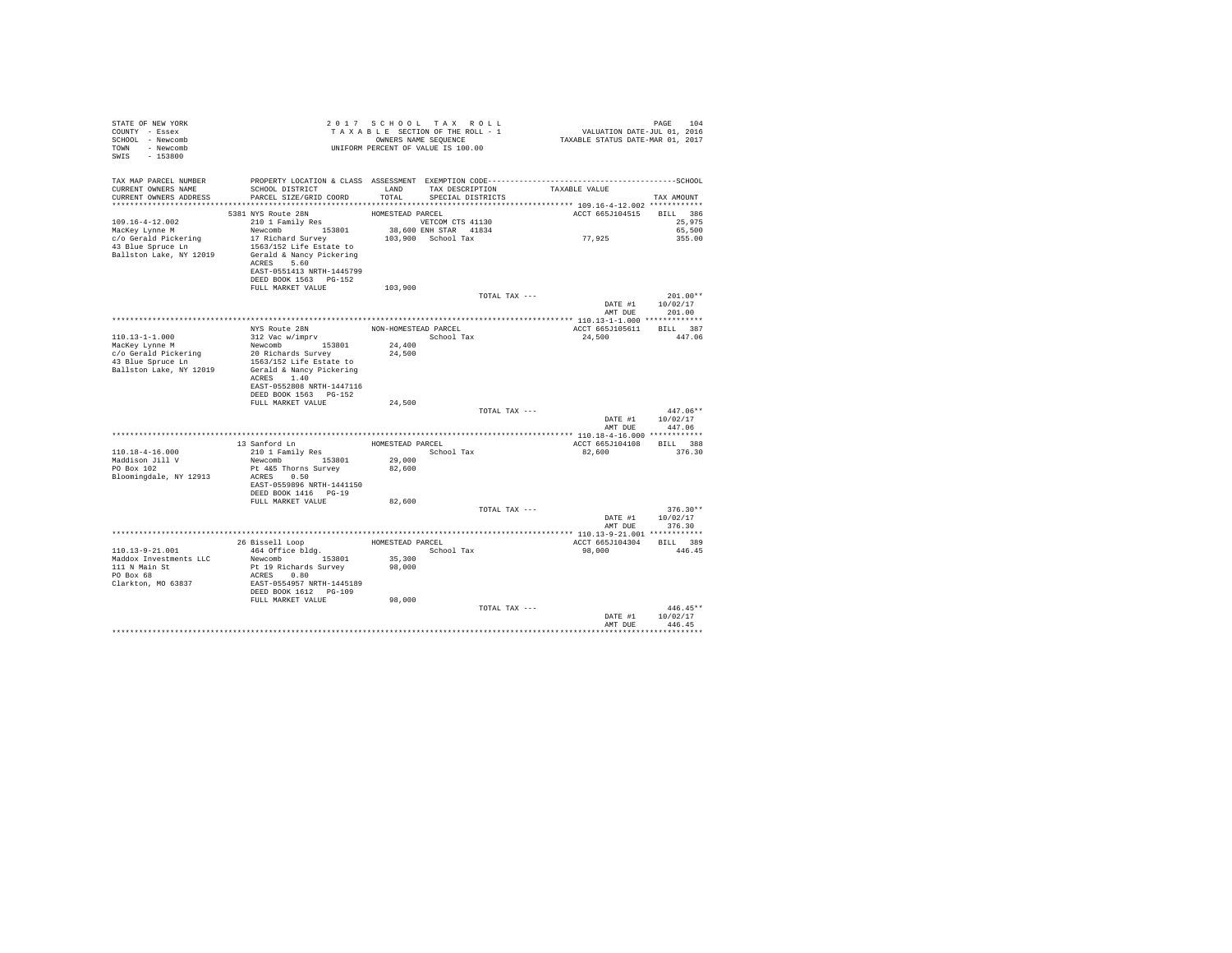| STATE OF NEW YORK<br>COUNTY - Essex<br>SCHOOL - Newcomb<br>TOWN - Newcomb<br>SWIS - 153800                                                                                                                                                               |                                                                                                                                                                                                                                                                                                    |                  | 2017 SCHOOL TAX ROLL<br>TAXABLE SECTION OF THE ROLL - 1<br>TAXABLE SECTION OF THE ROLL - 1<br>CONNERS NAME SEQUENCE<br>UNIFORM PERCENT OF VALUE IS 100.00 |               | PAGE 104<br>101, VALUATION DATE-JUL 01, 2016<br>2017 TAXABLE STATUS DATE-MAR | PAGE 104                                         |
|----------------------------------------------------------------------------------------------------------------------------------------------------------------------------------------------------------------------------------------------------------|----------------------------------------------------------------------------------------------------------------------------------------------------------------------------------------------------------------------------------------------------------------------------------------------------|------------------|-----------------------------------------------------------------------------------------------------------------------------------------------------------|---------------|------------------------------------------------------------------------------|--------------------------------------------------|
| TAX MAP PARCEL NUMBER<br>CURRENT OWNERS NAME<br>CURRENT OWNERS ADDRESS PARCEL SIZE/GRID COORD TOTAL SPECIAL DISTRICTS                                                                                                                                    | PROPERTY LOCATION & CLASS ASSESSMENT EXEMPTION CODE-----------------------------------SCHOOL<br>SCHOOL DISTRICT TAND TAX DESCRIPTION TAXABLE VALUE                                                                                                                                                 |                  |                                                                                                                                                           |               |                                                                              | TAX AMOUNT                                       |
|                                                                                                                                                                                                                                                          |                                                                                                                                                                                                                                                                                                    |                  |                                                                                                                                                           |               |                                                                              |                                                  |
|                                                                                                                                                                                                                                                          | 5381 NYS Route 28N<br>ACRES 5.60<br>EAST-0551413 NRTH-1445799<br>DEED BOOK 1563 PG-152                                                                                                                                                                                                             | HOMESTEAD PARCEL |                                                                                                                                                           |               | ACCT 665J104515 BILL 386<br>77,925                                           | 25,975<br>65,500<br>355.00                       |
|                                                                                                                                                                                                                                                          | FULL MARKET VALUE 103,900                                                                                                                                                                                                                                                                          |                  |                                                                                                                                                           |               |                                                                              |                                                  |
|                                                                                                                                                                                                                                                          |                                                                                                                                                                                                                                                                                                    |                  |                                                                                                                                                           | TOTAL TAX --- |                                                                              | $201.00**$<br>DATE #1 10/02/17<br>AMT DUE 201.00 |
|                                                                                                                                                                                                                                                          |                                                                                                                                                                                                                                                                                                    |                  |                                                                                                                                                           |               |                                                                              |                                                  |
| $110.13 - 1 - 1.000$                                                                                                                                                                                                                                     |                                                                                                                                                                                                                                                                                                    |                  |                                                                                                                                                           |               | ACCT 665J105611 BILL 387<br>24,500 447.06                                    |                                                  |
| MacKey Lynne M<br>MacKey Lynne M<br>20 Richards Survey 24,500<br>24,400<br>20 Richards Survey 24,500<br>1553801<br>24,400<br>20 Richards Survey 24,500<br>24,500<br>215301<br>2163/152<br>216 Ratte to<br>Ballston Lake, NY 12019<br>9 Gerald & Nancy Pi | ACRES 1.40<br>EAST-0552808 NRTH-1447116                                                                                                                                                                                                                                                            |                  |                                                                                                                                                           |               |                                                                              |                                                  |
|                                                                                                                                                                                                                                                          | DEED BOOK 1563 PG-152<br>FULL MARKET VALUE                                                                                                                                                                                                                                                         | 24,500           |                                                                                                                                                           |               |                                                                              |                                                  |
|                                                                                                                                                                                                                                                          |                                                                                                                                                                                                                                                                                                    |                  |                                                                                                                                                           | TOTAL TAX --- | AMT DUE 447.06                                                               | $447.06**$<br>DATE #1 10/02/17                   |
|                                                                                                                                                                                                                                                          |                                                                                                                                                                                                                                                                                                    |                  |                                                                                                                                                           |               |                                                                              |                                                  |
| $110.18 - 4 - 16.000$<br>Maddison Jill V<br>PO Box 102<br>Bloomingdale, NY 12913                                                                                                                                                                         | $\begin{tabular}{llllll} 13\text{ Sanford Ln} & \text{HOMESTEAD PARCH} \\ 210\text{ 1 Family Res} & \text{School Tax} \\ \text{Newcomb} & \text{153801} & \text{29,000} \end{tabular}$<br>Pt 4&5 Thorns Survey<br>ACRES 0.50<br>EAST-0559896 NRTH-1441150<br>DEED BOOK 1416 PG-19                  | 82,600           |                                                                                                                                                           |               | ACCT 665J104108 BILL 388<br>82,600                                           | 376.30                                           |
|                                                                                                                                                                                                                                                          | FULL MARKET VALUE                                                                                                                                                                                                                                                                                  | 82,600           |                                                                                                                                                           | TOTAL TAX --- |                                                                              | $376.30**$<br>DATE #1 10/02/17                   |
|                                                                                                                                                                                                                                                          |                                                                                                                                                                                                                                                                                                    |                  |                                                                                                                                                           |               |                                                                              | AMT DUE 376.30                                   |
| 110.13-9-21.001<br>Maddox Investments LLC<br>111 N Main St<br>PO Box 68<br>Clarkton, MO 63837                                                                                                                                                            | 26 Bissell Loop MOMESTEAD PARCEL 1640 OF 160 MESTEAD PARCEL 1800 MESTEAD School Tax and Mester 25, 200 MESTEAD PARCEL 25, 200 MESTEAD PARCEL 25, 200 MESTEAD PARCEL 25, 200 MESTEAD PARCEL 25, 200 MESTEAD PARCEL 25, 200 MEST<br>ACRES 0.80<br>EAST-0554957 NRTH-1445189<br>DEED BOOK 1612 PG-109 |                  |                                                                                                                                                           |               | ACCT 665J104304 BILL 389<br>98.000 446.45                                    |                                                  |
|                                                                                                                                                                                                                                                          | FULL MARKET VALUE                                                                                                                                                                                                                                                                                  | 98,000           |                                                                                                                                                           | TOTAL TAX --- |                                                                              | $446.45**$<br>DATE #1 10/02/17                   |
|                                                                                                                                                                                                                                                          |                                                                                                                                                                                                                                                                                                    |                  |                                                                                                                                                           |               | AMT DUE                                                                      | 446.45                                           |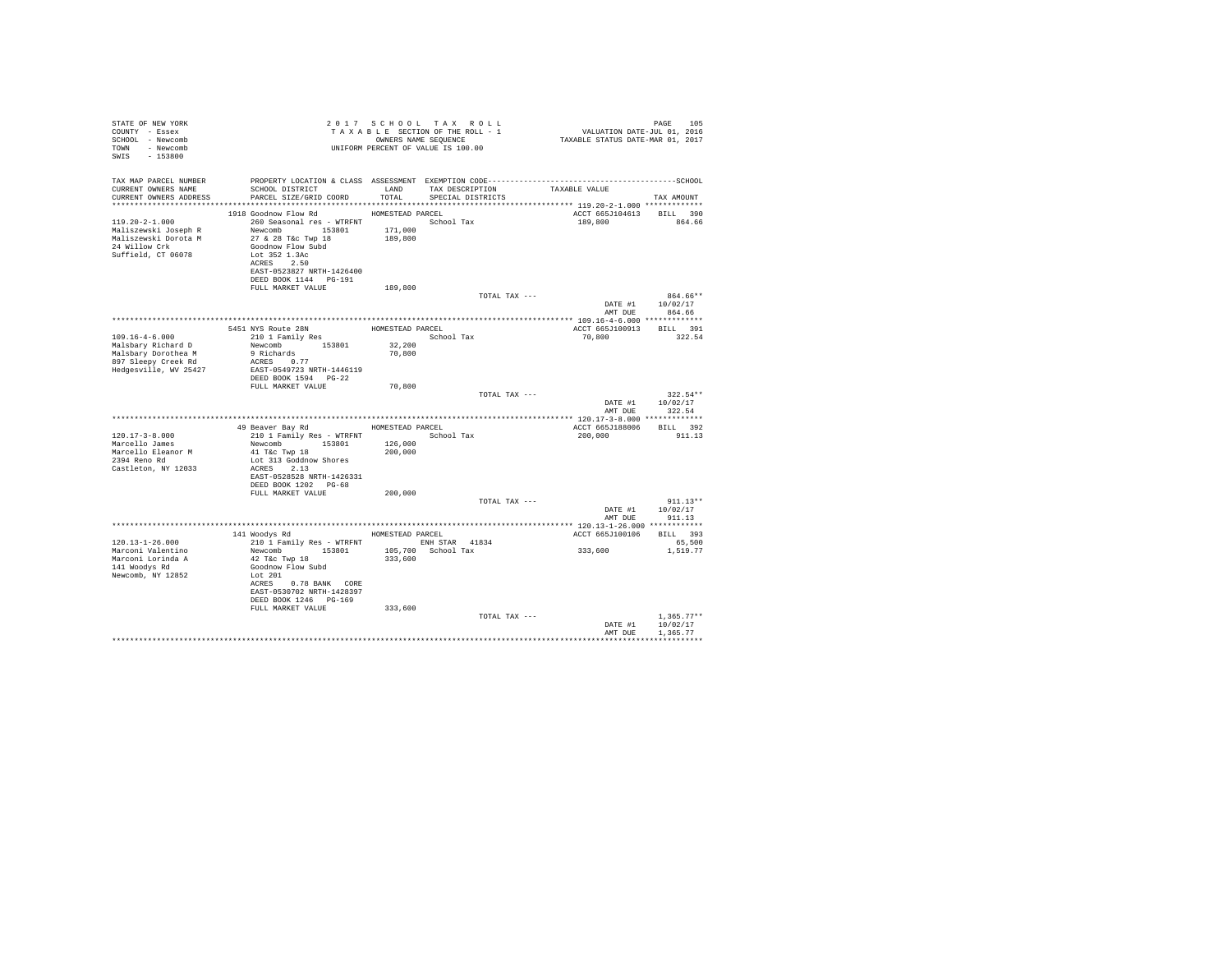| TAX MAP PARCEL NUMBER<br>SCHOOL DISTRICT LAND TAX DESCRIPTION<br>TAXABLE VALUE<br>CURRENT OWNERS NAME<br>CURRENT OWNERS ADDRESS<br>PARCEL SIZE/GRID COORD TOTAL SPECIAL DISTRICTS<br>TAX AMOUNT<br>1918 Goodnow Flow Rd MOMESTEAD PARCEL<br>ACCT 665J104613 BILL 390<br>260 Seasonal res - WTRFNT<br>$119.20 - 2 - 1.000$<br>School Tax<br>189,800 864.66<br>Maliszewski Joseph R<br>Maliszewski Dorota M<br>Newcomb 153801 171,000<br>27 & 28 T&c Twp 18 189,800<br>24 Willow Crk<br>Goodnow Flow Subd<br>Suffield, CT 06078<br>Lot 352 1.3Ac<br>ACRES 2.50<br>EAST-0523827 NRTH-1426400<br>DEED BOOK 1144    PG-191<br>189,800<br>FULL MARKET VALUE<br>864.66**<br>TOTAL TAX ---<br>DATE #1 10/02/17<br>AMT DUE 864.66<br>5451 NYS ROULE 28N<br>210 1 Family Res HOMESTEAD PARCEL School Tax<br>ACCT 665J100913 BILL 391<br>210 1 Family Res<br>Newcomb 153801 32,200<br>9 Richards 153801 32,200<br>$109.16 - 4 - 6.000$<br>70,800<br>322.54<br>Malsbary Richard D<br>Malsbary Dorothea M<br>897 Sleepy Creek Rd<br>ACRES 0.77<br>Hedgesville, WV 25427<br>EAST-0549723 NRTH-1446119<br>DEED BOOK 1594 PG-22<br>70,800<br>FULL MARKET VALUE<br>TOTAL TAX ---<br>$322.54**$<br>DATE #1 10/02/17<br>AMT DUE<br>322.54<br>49 Beaver Bay Rd MOMESTEAD PARCEL<br>ACCT 665J188006 BILL 392<br>210 1 Family Res - WTRFNT<br>$120.17 - 3 - 8.000$<br>School Tax<br>200,000<br>911.13<br>Newcomb 153801 126,000<br>Marcello James<br>41 T&C Twp 18<br>200,000<br>Marcello Eleanor M<br>2394 Reno Rd<br>Lot 313 Goddnow Shores<br>Castleton, NY 12033<br>$ACRES$ 2.13<br>EAST-0528528 NRTH-1426331<br>DEED BOOK 1202 PG-68<br>200,000<br>FULL MARKET VALUE<br>TOTAL TAX ---<br>$911.13**$<br>DATE #1 10/02/17<br>911.13<br>AMT DUE<br>141 Woodys Rd MOMESTEAD PARCEL<br>ACCT 665J100106 BILL 393<br>210 1 Family Res - WTRFNT KNH STAR 41834<br>120.13-1-26.000<br>65,500<br>333,600<br>Newcomb 153801 105,700 School Tax<br>Marconi Valentino<br>1,519.77<br>42 T&C Twp 18<br>333,600<br>Marconi Lorinda A<br>141 Woodvs Rd<br>Goodnow Flow Subd<br>Newcomb, NY 12852<br>Lot 201<br>ACRES 0.78 BANK CORE<br>EAST-0530702 NRTH-1428397<br>DEED BOOK 1246 PG-169<br>FULL MARKET VALUE<br>333,600<br>TOTAL TAX ---<br>$1.365.77**$<br>DATE #1 10/02/17 | STATE OF NEW YORK<br>COUNTY - Essex<br>SCHOOL - Newcomb<br>TOWN - Newcomb<br>SWIS - 153800 |  | 2017 SCHOOL TAX ROLL<br>UNIFORM PERCENT OF VALUE IS 100.00 | PAGE<br>105 |
|-----------------------------------------------------------------------------------------------------------------------------------------------------------------------------------------------------------------------------------------------------------------------------------------------------------------------------------------------------------------------------------------------------------------------------------------------------------------------------------------------------------------------------------------------------------------------------------------------------------------------------------------------------------------------------------------------------------------------------------------------------------------------------------------------------------------------------------------------------------------------------------------------------------------------------------------------------------------------------------------------------------------------------------------------------------------------------------------------------------------------------------------------------------------------------------------------------------------------------------------------------------------------------------------------------------------------------------------------------------------------------------------------------------------------------------------------------------------------------------------------------------------------------------------------------------------------------------------------------------------------------------------------------------------------------------------------------------------------------------------------------------------------------------------------------------------------------------------------------------------------------------------------------------------------------------------------------------------------------------------------------------------------------------------------------------------------------------------------------------------------------------------------------------------------------------------------------------------------------------------------|--------------------------------------------------------------------------------------------|--|------------------------------------------------------------|-------------|
|                                                                                                                                                                                                                                                                                                                                                                                                                                                                                                                                                                                                                                                                                                                                                                                                                                                                                                                                                                                                                                                                                                                                                                                                                                                                                                                                                                                                                                                                                                                                                                                                                                                                                                                                                                                                                                                                                                                                                                                                                                                                                                                                                                                                                                               |                                                                                            |  |                                                            |             |
|                                                                                                                                                                                                                                                                                                                                                                                                                                                                                                                                                                                                                                                                                                                                                                                                                                                                                                                                                                                                                                                                                                                                                                                                                                                                                                                                                                                                                                                                                                                                                                                                                                                                                                                                                                                                                                                                                                                                                                                                                                                                                                                                                                                                                                               |                                                                                            |  |                                                            |             |
|                                                                                                                                                                                                                                                                                                                                                                                                                                                                                                                                                                                                                                                                                                                                                                                                                                                                                                                                                                                                                                                                                                                                                                                                                                                                                                                                                                                                                                                                                                                                                                                                                                                                                                                                                                                                                                                                                                                                                                                                                                                                                                                                                                                                                                               |                                                                                            |  |                                                            |             |
|                                                                                                                                                                                                                                                                                                                                                                                                                                                                                                                                                                                                                                                                                                                                                                                                                                                                                                                                                                                                                                                                                                                                                                                                                                                                                                                                                                                                                                                                                                                                                                                                                                                                                                                                                                                                                                                                                                                                                                                                                                                                                                                                                                                                                                               |                                                                                            |  |                                                            |             |
|                                                                                                                                                                                                                                                                                                                                                                                                                                                                                                                                                                                                                                                                                                                                                                                                                                                                                                                                                                                                                                                                                                                                                                                                                                                                                                                                                                                                                                                                                                                                                                                                                                                                                                                                                                                                                                                                                                                                                                                                                                                                                                                                                                                                                                               |                                                                                            |  |                                                            |             |
|                                                                                                                                                                                                                                                                                                                                                                                                                                                                                                                                                                                                                                                                                                                                                                                                                                                                                                                                                                                                                                                                                                                                                                                                                                                                                                                                                                                                                                                                                                                                                                                                                                                                                                                                                                                                                                                                                                                                                                                                                                                                                                                                                                                                                                               |                                                                                            |  |                                                            |             |
|                                                                                                                                                                                                                                                                                                                                                                                                                                                                                                                                                                                                                                                                                                                                                                                                                                                                                                                                                                                                                                                                                                                                                                                                                                                                                                                                                                                                                                                                                                                                                                                                                                                                                                                                                                                                                                                                                                                                                                                                                                                                                                                                                                                                                                               |                                                                                            |  |                                                            |             |
|                                                                                                                                                                                                                                                                                                                                                                                                                                                                                                                                                                                                                                                                                                                                                                                                                                                                                                                                                                                                                                                                                                                                                                                                                                                                                                                                                                                                                                                                                                                                                                                                                                                                                                                                                                                                                                                                                                                                                                                                                                                                                                                                                                                                                                               |                                                                                            |  |                                                            |             |
|                                                                                                                                                                                                                                                                                                                                                                                                                                                                                                                                                                                                                                                                                                                                                                                                                                                                                                                                                                                                                                                                                                                                                                                                                                                                                                                                                                                                                                                                                                                                                                                                                                                                                                                                                                                                                                                                                                                                                                                                                                                                                                                                                                                                                                               |                                                                                            |  |                                                            |             |
|                                                                                                                                                                                                                                                                                                                                                                                                                                                                                                                                                                                                                                                                                                                                                                                                                                                                                                                                                                                                                                                                                                                                                                                                                                                                                                                                                                                                                                                                                                                                                                                                                                                                                                                                                                                                                                                                                                                                                                                                                                                                                                                                                                                                                                               |                                                                                            |  |                                                            |             |
|                                                                                                                                                                                                                                                                                                                                                                                                                                                                                                                                                                                                                                                                                                                                                                                                                                                                                                                                                                                                                                                                                                                                                                                                                                                                                                                                                                                                                                                                                                                                                                                                                                                                                                                                                                                                                                                                                                                                                                                                                                                                                                                                                                                                                                               |                                                                                            |  |                                                            |             |
|                                                                                                                                                                                                                                                                                                                                                                                                                                                                                                                                                                                                                                                                                                                                                                                                                                                                                                                                                                                                                                                                                                                                                                                                                                                                                                                                                                                                                                                                                                                                                                                                                                                                                                                                                                                                                                                                                                                                                                                                                                                                                                                                                                                                                                               |                                                                                            |  |                                                            |             |
|                                                                                                                                                                                                                                                                                                                                                                                                                                                                                                                                                                                                                                                                                                                                                                                                                                                                                                                                                                                                                                                                                                                                                                                                                                                                                                                                                                                                                                                                                                                                                                                                                                                                                                                                                                                                                                                                                                                                                                                                                                                                                                                                                                                                                                               |                                                                                            |  |                                                            |             |
|                                                                                                                                                                                                                                                                                                                                                                                                                                                                                                                                                                                                                                                                                                                                                                                                                                                                                                                                                                                                                                                                                                                                                                                                                                                                                                                                                                                                                                                                                                                                                                                                                                                                                                                                                                                                                                                                                                                                                                                                                                                                                                                                                                                                                                               |                                                                                            |  |                                                            |             |
|                                                                                                                                                                                                                                                                                                                                                                                                                                                                                                                                                                                                                                                                                                                                                                                                                                                                                                                                                                                                                                                                                                                                                                                                                                                                                                                                                                                                                                                                                                                                                                                                                                                                                                                                                                                                                                                                                                                                                                                                                                                                                                                                                                                                                                               |                                                                                            |  |                                                            |             |
|                                                                                                                                                                                                                                                                                                                                                                                                                                                                                                                                                                                                                                                                                                                                                                                                                                                                                                                                                                                                                                                                                                                                                                                                                                                                                                                                                                                                                                                                                                                                                                                                                                                                                                                                                                                                                                                                                                                                                                                                                                                                                                                                                                                                                                               |                                                                                            |  |                                                            |             |
|                                                                                                                                                                                                                                                                                                                                                                                                                                                                                                                                                                                                                                                                                                                                                                                                                                                                                                                                                                                                                                                                                                                                                                                                                                                                                                                                                                                                                                                                                                                                                                                                                                                                                                                                                                                                                                                                                                                                                                                                                                                                                                                                                                                                                                               |                                                                                            |  |                                                            |             |
|                                                                                                                                                                                                                                                                                                                                                                                                                                                                                                                                                                                                                                                                                                                                                                                                                                                                                                                                                                                                                                                                                                                                                                                                                                                                                                                                                                                                                                                                                                                                                                                                                                                                                                                                                                                                                                                                                                                                                                                                                                                                                                                                                                                                                                               |                                                                                            |  |                                                            |             |
|                                                                                                                                                                                                                                                                                                                                                                                                                                                                                                                                                                                                                                                                                                                                                                                                                                                                                                                                                                                                                                                                                                                                                                                                                                                                                                                                                                                                                                                                                                                                                                                                                                                                                                                                                                                                                                                                                                                                                                                                                                                                                                                                                                                                                                               |                                                                                            |  |                                                            |             |
|                                                                                                                                                                                                                                                                                                                                                                                                                                                                                                                                                                                                                                                                                                                                                                                                                                                                                                                                                                                                                                                                                                                                                                                                                                                                                                                                                                                                                                                                                                                                                                                                                                                                                                                                                                                                                                                                                                                                                                                                                                                                                                                                                                                                                                               |                                                                                            |  |                                                            |             |
|                                                                                                                                                                                                                                                                                                                                                                                                                                                                                                                                                                                                                                                                                                                                                                                                                                                                                                                                                                                                                                                                                                                                                                                                                                                                                                                                                                                                                                                                                                                                                                                                                                                                                                                                                                                                                                                                                                                                                                                                                                                                                                                                                                                                                                               |                                                                                            |  |                                                            |             |
|                                                                                                                                                                                                                                                                                                                                                                                                                                                                                                                                                                                                                                                                                                                                                                                                                                                                                                                                                                                                                                                                                                                                                                                                                                                                                                                                                                                                                                                                                                                                                                                                                                                                                                                                                                                                                                                                                                                                                                                                                                                                                                                                                                                                                                               |                                                                                            |  |                                                            |             |
|                                                                                                                                                                                                                                                                                                                                                                                                                                                                                                                                                                                                                                                                                                                                                                                                                                                                                                                                                                                                                                                                                                                                                                                                                                                                                                                                                                                                                                                                                                                                                                                                                                                                                                                                                                                                                                                                                                                                                                                                                                                                                                                                                                                                                                               |                                                                                            |  |                                                            |             |
|                                                                                                                                                                                                                                                                                                                                                                                                                                                                                                                                                                                                                                                                                                                                                                                                                                                                                                                                                                                                                                                                                                                                                                                                                                                                                                                                                                                                                                                                                                                                                                                                                                                                                                                                                                                                                                                                                                                                                                                                                                                                                                                                                                                                                                               |                                                                                            |  |                                                            |             |
| AMT DUE<br>1.365.77                                                                                                                                                                                                                                                                                                                                                                                                                                                                                                                                                                                                                                                                                                                                                                                                                                                                                                                                                                                                                                                                                                                                                                                                                                                                                                                                                                                                                                                                                                                                                                                                                                                                                                                                                                                                                                                                                                                                                                                                                                                                                                                                                                                                                           |                                                                                            |  |                                                            |             |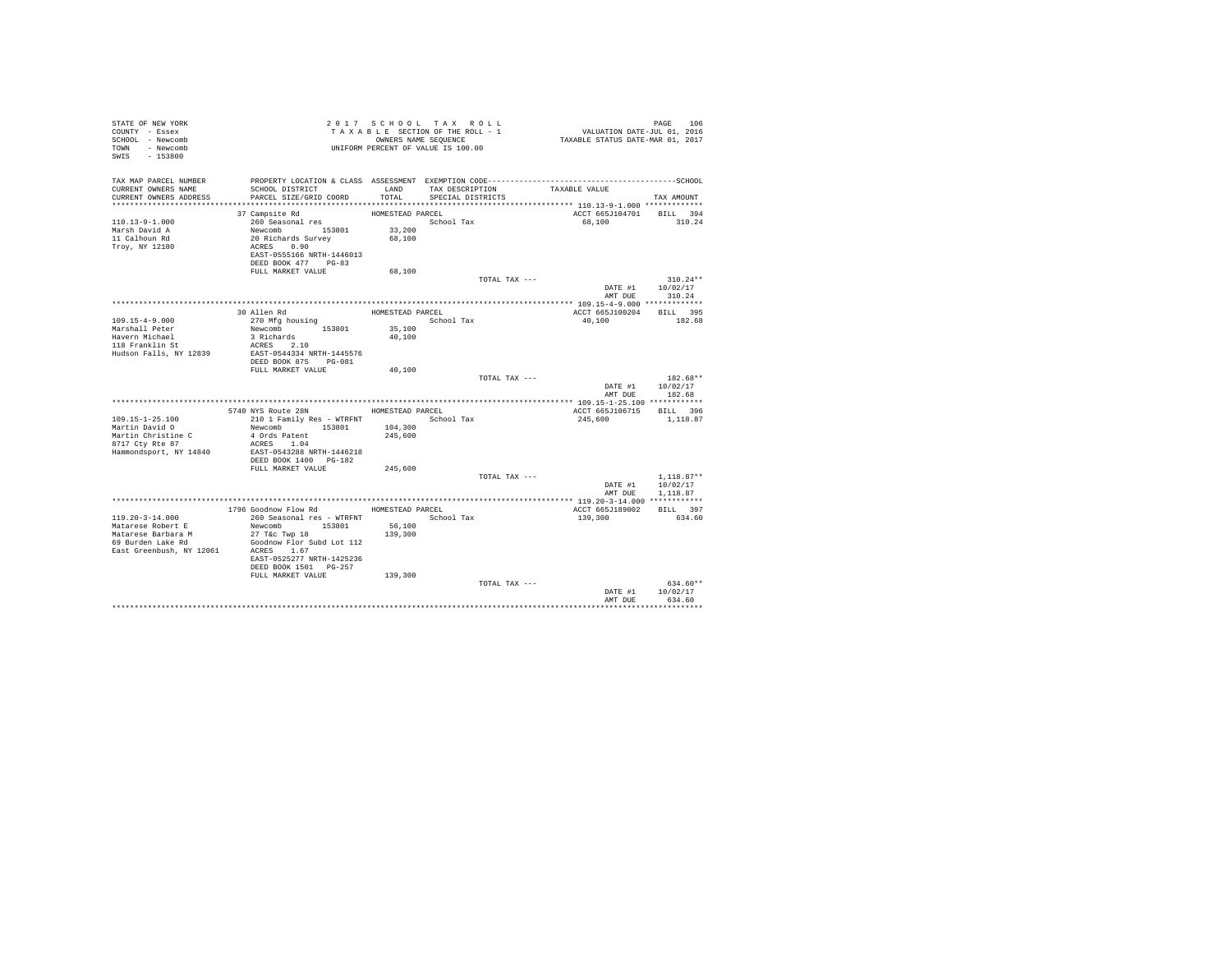| STATE OF NEW YORK<br>COUNTY - Essex<br>SCHOOL - Newcomb<br>TOWN - Newcomb<br>SWIS - 153800 |                                            |                   | 2017 SCHOOL TAX ROLL<br>TAXABLE SECTION OF THE ROLL - 1<br>OWNERS NAME SEQUENCE<br>UNIFORM PERCENT OF VALUE IS 100.00 | VALUATION DATE-JUL 01, 2016<br>TAXABLE STATUS DATE-MAR 01, 2017 | PAGE<br>106        |
|--------------------------------------------------------------------------------------------|--------------------------------------------|-------------------|-----------------------------------------------------------------------------------------------------------------------|-----------------------------------------------------------------|--------------------|
| TAX MAP PARCEL NUMBER<br>CURRENT OWNERS NAME                                               | SCHOOL DISTRICT                            | LAND              | TAX DESCRIPTION                                                                                                       | TAXABLE VALUE                                                   |                    |
| CURRENT OWNERS ADDRESS                                                                     | PARCEL SIZE/GRID COORD                     | TOTAL             | SPECIAL DISTRICTS                                                                                                     |                                                                 | TAX AMOUNT         |
|                                                                                            |                                            |                   |                                                                                                                       |                                                                 |                    |
|                                                                                            | 37 Campsite Rd                             | HOMESTEAD PARCEL  |                                                                                                                       | ACCT 665J104701 BILL 394                                        |                    |
| $110.13 - 9 - 1.000$                                                                       | 260 Seasonal res                           |                   | School Tax                                                                                                            | 68,100                                                          | 310.24             |
| Marsh David A                                                                              | Newcomb 153801                             | 33,200            |                                                                                                                       |                                                                 |                    |
| 11 Calhoun Rd                                                                              | 20 Richards Survey<br>ACRES 0.90           | 68,100            |                                                                                                                       |                                                                 |                    |
| Troy, NY 12180                                                                             | EAST-0555166 NRTH-1446013                  |                   |                                                                                                                       |                                                                 |                    |
|                                                                                            | DEED BOOK 477 PG-83                        |                   |                                                                                                                       |                                                                 |                    |
|                                                                                            | FULL MARKET VALUE                          | 68,100            |                                                                                                                       |                                                                 |                    |
|                                                                                            |                                            |                   | TOTAL TAX ---                                                                                                         |                                                                 | $310.24**$         |
|                                                                                            |                                            |                   |                                                                                                                       | DATE #1                                                         | 10/02/17           |
|                                                                                            |                                            |                   |                                                                                                                       | AMT DUE                                                         | 310.24             |
|                                                                                            |                                            |                   |                                                                                                                       |                                                                 |                    |
|                                                                                            | 30 Allen Rd                                | HOMESTEAD PARCEL  |                                                                                                                       | ACCT 665J100204                                                 | BILL 395           |
| $109.15 - 4 - 9.000$<br>Marshall Peter                                                     | 270 Mfg housing<br>Newcomb 153801          | 35,100            | School Tax                                                                                                            | 40,100                                                          | 182.68             |
| Havern Michael                                                                             | 3 Richards                                 | 40,100            |                                                                                                                       |                                                                 |                    |
| 118 Franklin St                                                                            | ACRES 2.10                                 |                   |                                                                                                                       |                                                                 |                    |
| Hudson Falls, NY 12839                                                                     | EAST-0544334 NRTH-1445576                  |                   |                                                                                                                       |                                                                 |                    |
|                                                                                            | DEED BOOK 875 PG-081                       |                   |                                                                                                                       |                                                                 |                    |
|                                                                                            | FULL MARKET VALUE                          | 40,100            |                                                                                                                       |                                                                 |                    |
|                                                                                            |                                            |                   | TOTAL TAX ---                                                                                                         |                                                                 | $182.68**$         |
|                                                                                            |                                            |                   |                                                                                                                       | DATE #1<br>AMT DUE                                              | 10/02/17<br>182.68 |
|                                                                                            |                                            |                   |                                                                                                                       |                                                                 |                    |
|                                                                                            | 5740 NYS Route 28N                         | HOMESTEAD PARCEL  |                                                                                                                       | ACCT 665J106715 BILL 396                                        |                    |
| $109.15 - 1 - 25.100$                                                                      | 210 1 Family Res - WTRFNT                  |                   | School Tax                                                                                                            | 245,600                                                         | 1,118.87           |
| Martin David O                                                                             | Newcomb 153801                             | 104,300           |                                                                                                                       |                                                                 |                    |
| Martin Christine C                                                                         | 4 Ords Patent                              | 245,600           |                                                                                                                       |                                                                 |                    |
| 8717 Ctv Rte 87                                                                            | ACRES 1.04                                 |                   |                                                                                                                       |                                                                 |                    |
| Hammondsport, NY 14840                                                                     | EAST-0543288 NRTH-1446218                  |                   |                                                                                                                       |                                                                 |                    |
|                                                                                            | DEED BOOK 1400 PG-182<br>FULL MARKET VALUE | 245,600           |                                                                                                                       |                                                                 |                    |
|                                                                                            |                                            |                   | TOTAL TAX ---                                                                                                         |                                                                 | $1,118.87**$       |
|                                                                                            |                                            |                   |                                                                                                                       | DATE #1                                                         | 10/02/17           |
|                                                                                            |                                            |                   |                                                                                                                       | AMT DUE                                                         | 1,118.87           |
|                                                                                            |                                            |                   |                                                                                                                       |                                                                 |                    |
|                                                                                            | 1796 Goodnow Flow Rd                       | HOMESTEAD PARCEL  |                                                                                                                       | ACCT 665J189002                                                 | BILL 397           |
| $119.20 - 3 - 14.000$                                                                      | 260 Seasonal res - WTRFNT                  |                   | School Tax                                                                                                            | 139,300                                                         | 634.60             |
| Matarese Robert E<br>Matarese Barbara M                                                    | Newcomb 153801<br>$27$ T&C Twp $18$        | 56,100<br>139,300 |                                                                                                                       |                                                                 |                    |
| 69 Burden Lake Rd                                                                          | Goodnow Flor Subd Lot 112                  |                   |                                                                                                                       |                                                                 |                    |
| East Greenbush, NY 12061                                                                   | ACRES 1.67                                 |                   |                                                                                                                       |                                                                 |                    |
|                                                                                            | EAST-0525277 NRTH-1425236                  |                   |                                                                                                                       |                                                                 |                    |
|                                                                                            | DEED BOOK 1501 PG-257                      |                   |                                                                                                                       |                                                                 |                    |
|                                                                                            | FULL MARKET VALUE                          | 139,300           |                                                                                                                       |                                                                 |                    |
|                                                                                            |                                            |                   | TOTAL TAX ---                                                                                                         |                                                                 | $634.60**$         |
|                                                                                            |                                            |                   |                                                                                                                       | DATE #1<br>AMT DUE                                              | 10/02/17<br>634.60 |
|                                                                                            |                                            |                   |                                                                                                                       |                                                                 |                    |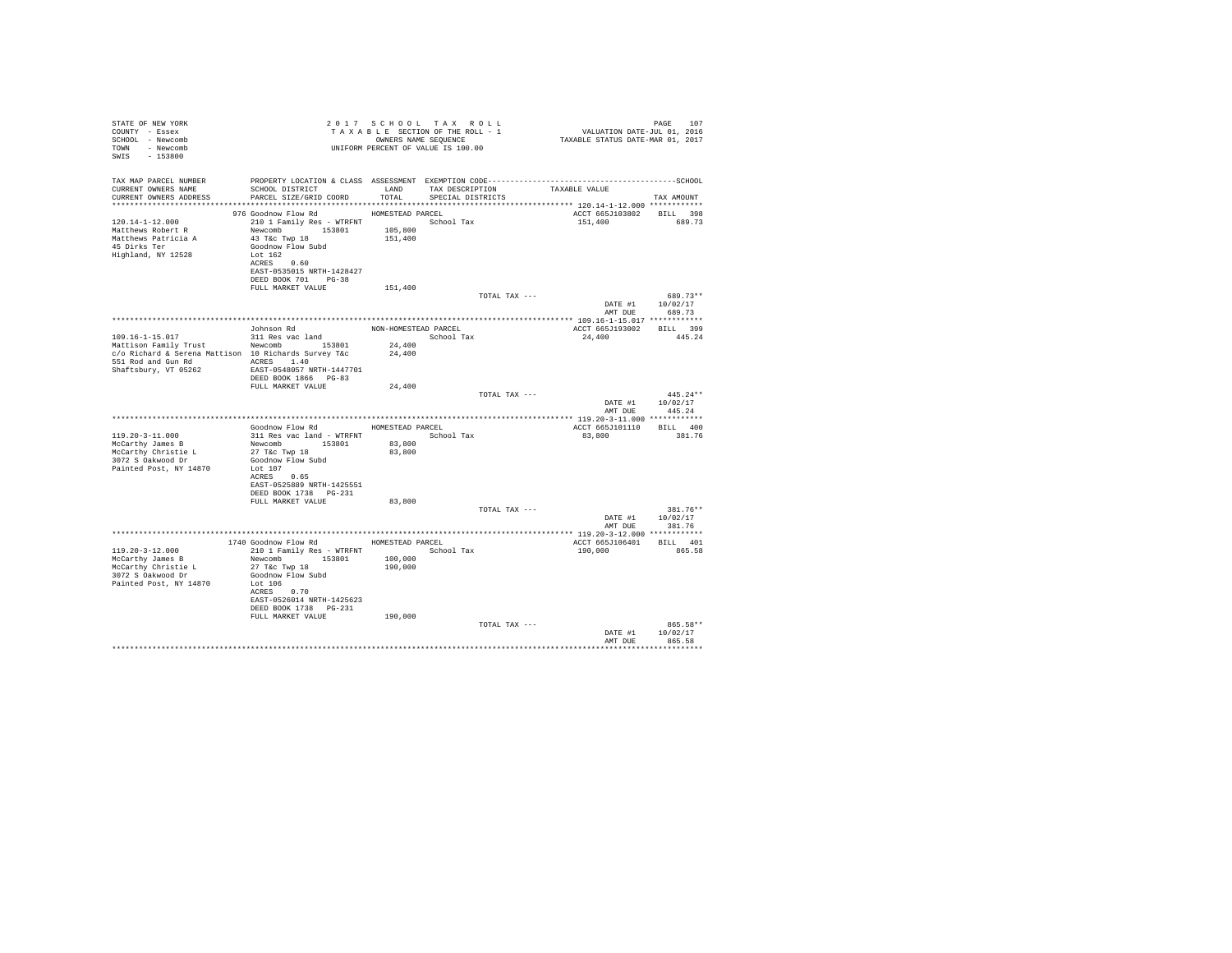| STATE OF NEW YORK<br>COUNTY - Essex<br>SCHOOL - Newcomb<br>TOWN - Newcomb<br>$-153800$<br>SWIS |                                                                | 2017 SCHOOL TAX ROLL<br>TAXABLE SECTION OF THE ROLL - 1<br>OWNERS NAME SEOUENCE<br>UNIFORM PERCENT OF VALUE IS 100.00 |                   |               | PAGE 107<br>2016 VALUATION DATE-JUL<br>2017 TAXABLE STATUS DATE-MAR | PAGE<br>107                    |
|------------------------------------------------------------------------------------------------|----------------------------------------------------------------|-----------------------------------------------------------------------------------------------------------------------|-------------------|---------------|---------------------------------------------------------------------|--------------------------------|
| TAX MAP PARCEL NUMBER                                                                          |                                                                |                                                                                                                       |                   |               |                                                                     |                                |
| CURRENT OWNERS NAME<br>CURRENT OWNERS ADDRESS                                                  | SCHOOL DISTRICT TAND TAX DESCRIPTION<br>PARCEL SIZE/GRID COORD | TOTAL                                                                                                                 | SPECIAL DISTRICTS |               | TAXABLE VALUE                                                       | TAX AMOUNT                     |
|                                                                                                |                                                                |                                                                                                                       |                   |               |                                                                     |                                |
| $120.14 - 1 - 12.000$                                                                          | 976 Goodnow Flow Rd<br>210 1 Family Res - WTRFNT               | HOMESTEAD PARCEL                                                                                                      | School Tax        |               | ACCT 665J103802 BILL 398<br>151,400                                 | 689.73                         |
| Matthews Robert R                                                                              | Newcomb 153801                                                 | 105,800                                                                                                               |                   |               |                                                                     |                                |
| Matthews Patricia A                                                                            | 43 T&C Twp 18                                                  | 151,400                                                                                                               |                   |               |                                                                     |                                |
| 45 Dirks Ter<br>Highland, NY 12528                                                             | Goodnow Flow Subd<br>Lot 162                                   |                                                                                                                       |                   |               |                                                                     |                                |
|                                                                                                | ACRES 0.60                                                     |                                                                                                                       |                   |               |                                                                     |                                |
|                                                                                                | EAST-0535015 NRTH-1428427                                      |                                                                                                                       |                   |               |                                                                     |                                |
|                                                                                                | DEED BOOK 701 PG-38                                            |                                                                                                                       |                   |               |                                                                     |                                |
|                                                                                                | FULL MARKET VALUE                                              | 151,400                                                                                                               |                   | TOTAL TAX --- |                                                                     | 689.73**                       |
|                                                                                                |                                                                |                                                                                                                       |                   |               |                                                                     | DATE #1 10/02/17               |
|                                                                                                |                                                                |                                                                                                                       |                   |               | AMT DUE                                                             | 689.73                         |
|                                                                                                | Johnson Rd                                                     | NON-HOMESTEAD PARCEL                                                                                                  |                   |               | ACCT 665J193002 BILL 399                                            |                                |
| 109.16-1-15.017                                                                                | 311 Res vac land                                               | School Tax                                                                                                            |                   |               | 24,400                                                              | 445.24                         |
| Mattison Family Trust Newcomb 153801                                                           |                                                                | 24,400                                                                                                                |                   |               |                                                                     |                                |
| c/o Richard & Serena Mattison 10 Richards Survey T&c                                           |                                                                | 24,400                                                                                                                |                   |               |                                                                     |                                |
| Shaftsbury, VT 05262                                                                           | EAST-0548057 NRTH-1447701                                      |                                                                                                                       |                   |               |                                                                     |                                |
|                                                                                                | DEED BOOK 1866 PG-83                                           |                                                                                                                       |                   |               |                                                                     |                                |
|                                                                                                | FULL MARKET VALUE                                              | 24,400                                                                                                                |                   |               |                                                                     |                                |
|                                                                                                |                                                                |                                                                                                                       |                   | TOTAL TAX --- |                                                                     | $445.24**$<br>DATE #1 10/02/17 |
|                                                                                                |                                                                |                                                                                                                       |                   |               |                                                                     | AMT DUE 445.24                 |
|                                                                                                |                                                                |                                                                                                                       |                   |               |                                                                     |                                |
|                                                                                                | Goodnow Flow Rd                                                |                                                                                                                       | HOMESTEAD PARCEL  |               | ACCT 665J101110 BILL 400                                            | 381.76                         |
| $119.20 - 3 - 11.000$<br>McCarthy James B                                                      | 311 Res vac land - WTRFNT<br>Newcomb 153801                    | 83,800                                                                                                                | School Tax        |               | 83,800                                                              |                                |
| McCarthy Christie L                                                                            | 27 T&C Twp 18                                                  | 83,800                                                                                                                |                   |               |                                                                     |                                |
| 3072 S Oakwood Dr                                                                              | Goodnow Flow Subd                                              |                                                                                                                       |                   |               |                                                                     |                                |
| Painted Post, NY 14870                                                                         | Lot 107<br>ACRES 0.65                                          |                                                                                                                       |                   |               |                                                                     |                                |
|                                                                                                | EAST-0525889 NRTH-1425551                                      |                                                                                                                       |                   |               |                                                                     |                                |
|                                                                                                | DEED BOOK 1738    PG-231                                       |                                                                                                                       |                   |               |                                                                     |                                |
|                                                                                                | FULL MARKET VALUE                                              | 83,800                                                                                                                |                   | TOTAL TAX --- |                                                                     | 381.76**                       |
|                                                                                                |                                                                |                                                                                                                       |                   |               |                                                                     | DATE #1 10/02/17               |
|                                                                                                |                                                                |                                                                                                                       |                   |               |                                                                     | AMT DUE 381.76                 |
|                                                                                                |                                                                |                                                                                                                       |                   |               |                                                                     |                                |
| $119.20 - 3 - 12.000$                                                                          | 1740 Goodnow Flow Rd<br>210 1 Family Res - WTRFNT              | HOMESTEAD PARCEL                                                                                                      | School Tax        |               | ACCT 665J106401 BILL 401<br>190,000                                 | 865.58                         |
| McCarthy James B                                                                               | Newcomb 153801                                                 | 100,000                                                                                                               |                   |               |                                                                     |                                |
| McCarthy Christie L                                                                            | 27 T&c Twp 18                                                  | 190,000                                                                                                               |                   |               |                                                                     |                                |
| 3072 S Oakwood Dr                                                                              | Goodnow Flow Subd<br>Lot 106                                   |                                                                                                                       |                   |               |                                                                     |                                |
| Painted Post, NY 14870                                                                         | ACRES 0.70                                                     |                                                                                                                       |                   |               |                                                                     |                                |
|                                                                                                | EAST-0526014 NRTH-1425623                                      |                                                                                                                       |                   |               |                                                                     |                                |
|                                                                                                | DEED BOOK 1738 PG-231                                          |                                                                                                                       |                   |               |                                                                     |                                |
|                                                                                                | FULL MARKET VALUE                                              | 190,000                                                                                                               |                   | TOTAL TAX --- |                                                                     | 865.58**                       |
|                                                                                                |                                                                |                                                                                                                       |                   |               |                                                                     | DATE #1 10/02/17               |
|                                                                                                |                                                                |                                                                                                                       |                   |               | AMT DUE                                                             | 865.58                         |
|                                                                                                |                                                                |                                                                                                                       |                   |               |                                                                     | **********************         |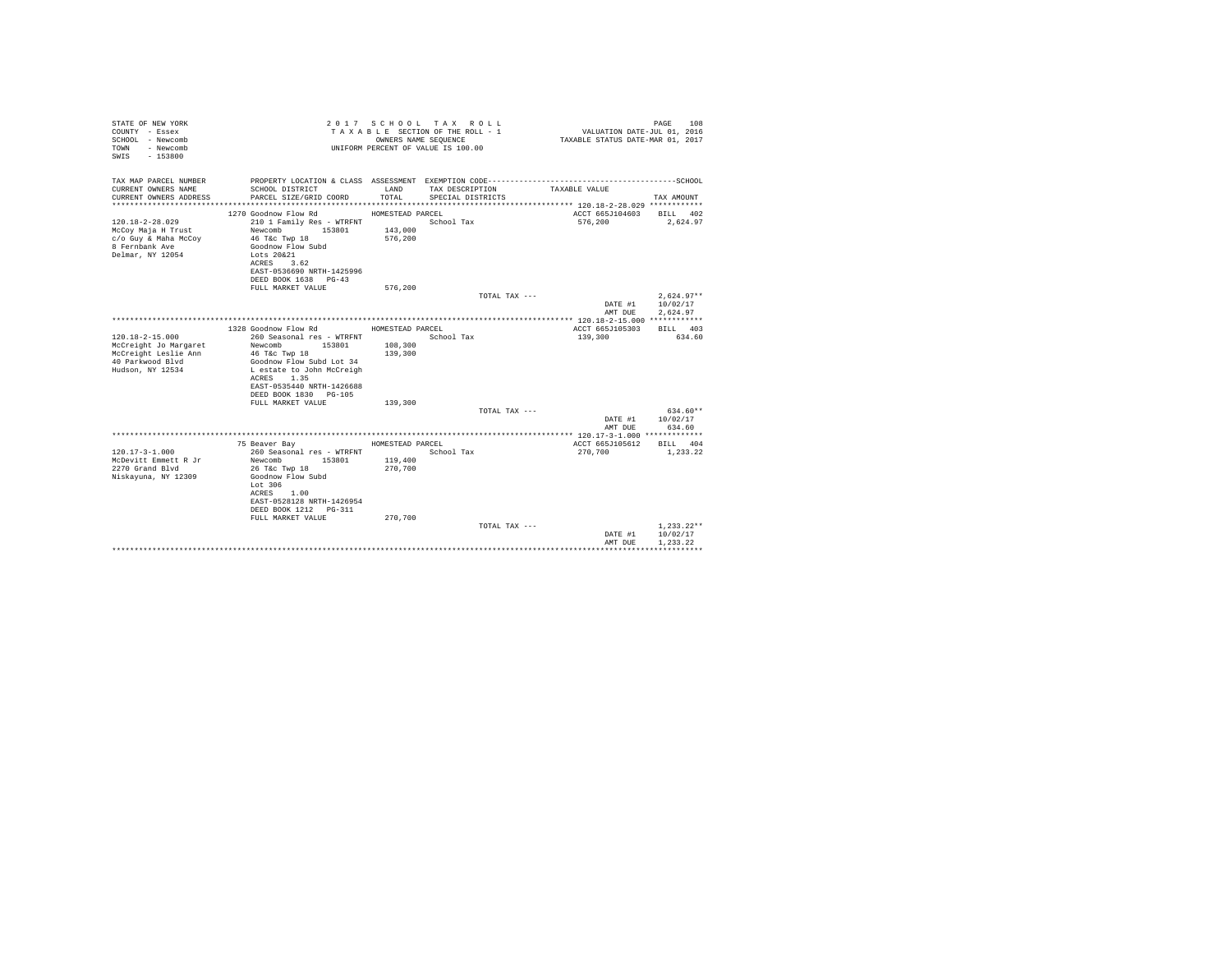| STATE OF NEW YORK<br>COUNTY - Essex<br>SCHOOL - Newcomb<br>- Newcomb<br>TOWN<br>$-153800$<br>SWTS              |                                                                                                                                                                                                                      | OWNERS NAME SEQUENCE          | 2017 SCHOOL TAX ROLL<br>TAXABLE SECTION OF THE ROLL - 1<br>UNIFORM PERCENT OF VALUE IS 100.00 | VALUATION DATE-JUL 01, 2016<br>TAXABLE STATUS DATE-MAR 01, 2017 | 108<br>PAGE                          |
|----------------------------------------------------------------------------------------------------------------|----------------------------------------------------------------------------------------------------------------------------------------------------------------------------------------------------------------------|-------------------------------|-----------------------------------------------------------------------------------------------|-----------------------------------------------------------------|--------------------------------------|
| TAX MAP PARCEL NUMBER                                                                                          |                                                                                                                                                                                                                      |                               |                                                                                               |                                                                 |                                      |
| CURRENT OWNERS NAME<br>CURRENT OWNERS ADDRESS                                                                  | SCHOOL DISTRICT<br>PARCEL SIZE/GRID COORD                                                                                                                                                                            | LAND<br>TOTAL.                | TAX DESCRIPTION<br>SPECIAL DISTRICTS                                                          | TAXABLE VALUE                                                   | TAX AMOUNT                           |
|                                                                                                                | 1270 Goodnow Flow Rd                                                                                                                                                                                                 | HOMESTEAD PARCEL              |                                                                                               | ACCT 665J104603                                                 | BILL 402                             |
| $120.18 - 2 - 28.029$<br>McCoy Maja H Trust<br>c/o Guy & Maha McCoy<br>8 Fernbank Ave<br>Delmar, NY 12054      | 210 1 Family Res - WTRFNT<br>153801<br>Newcomb<br>46 T&c Twp 18<br>Goodnow Flow Subd<br>Lots 20&21<br>ACRES 3.62<br>EAST-0536690 NRTH-1425996<br>DEED BOOK 1638 PG-43                                                | 143,000<br>576,200            | School Tax                                                                                    | 576,200                                                         | 2,624.97                             |
|                                                                                                                | FULL MARKET VALUE                                                                                                                                                                                                    | 576.200                       |                                                                                               |                                                                 |                                      |
|                                                                                                                |                                                                                                                                                                                                                      |                               | TOTAL TAX ---                                                                                 | DATE #1                                                         | $2.624.97**$<br>10/02/17             |
|                                                                                                                |                                                                                                                                                                                                                      |                               |                                                                                               | AMT DUE                                                         | 2.624.97                             |
|                                                                                                                | 1328 Goodnow Flow Rd                                                                                                                                                                                                 | HOMESTEAD PARCEL              |                                                                                               | ACCT 665J105303                                                 | RTLL 403                             |
| $120.18 - 2 - 15.000$<br>McCreight Jo Margaret<br>McCreight Leslie Ann<br>40 Parkwood Blvd<br>Hudson, NY 12534 | 260 Seasonal res - WTRFNT<br>Newcomb<br>153801<br>46 T&c Twp 18<br>Goodnow Flow Subd Lot 34<br>L estate to John McCreigh<br>1.35<br>ACRES<br>EAST-0535440 NRTH-1426688<br>DEED BOOK 1830 PG-105<br>FULL MARKET VALUE | 108,300<br>139,300<br>139,300 | School Tax                                                                                    | 139,300                                                         | 634.60                               |
|                                                                                                                |                                                                                                                                                                                                                      |                               | TOTAL TAX ---                                                                                 |                                                                 | $634.60**$                           |
|                                                                                                                |                                                                                                                                                                                                                      |                               |                                                                                               | DATE #1<br>AMT DUE                                              | 10/02/17<br>634.60                   |
|                                                                                                                |                                                                                                                                                                                                                      |                               |                                                                                               |                                                                 |                                      |
|                                                                                                                | 75 Beaver Bay                                                                                                                                                                                                        | HOMESTEAD PARCEL              |                                                                                               | ACCT 665J105612                                                 | BILL 404                             |
| $120.17 - 3 - 1.000$<br>McDevitt Emmett R Jr<br>2270 Grand Blvd<br>Niskayuna, NY 12309                         | 260 Seasonal res - WTRFNT<br>Newcomb<br>153801<br>26 T&c Twp 18<br>Goodnow Flow Subd<br>Lot 306<br>ACRES 1.00<br>EAST-0528128 NRTH-1426954<br>DEED BOOK 1212 PG-311                                                  | 119,400<br>270,700            | School Tax                                                                                    | 270,700                                                         | 1,233.22                             |
|                                                                                                                | FULL MARKET VALUE                                                                                                                                                                                                    | 270.700                       | TOTAL TAX ---                                                                                 | DATE #1<br>AMT DUE                                              | $1.233.22**$<br>10/02/17<br>1.233.22 |
|                                                                                                                |                                                                                                                                                                                                                      |                               |                                                                                               |                                                                 |                                      |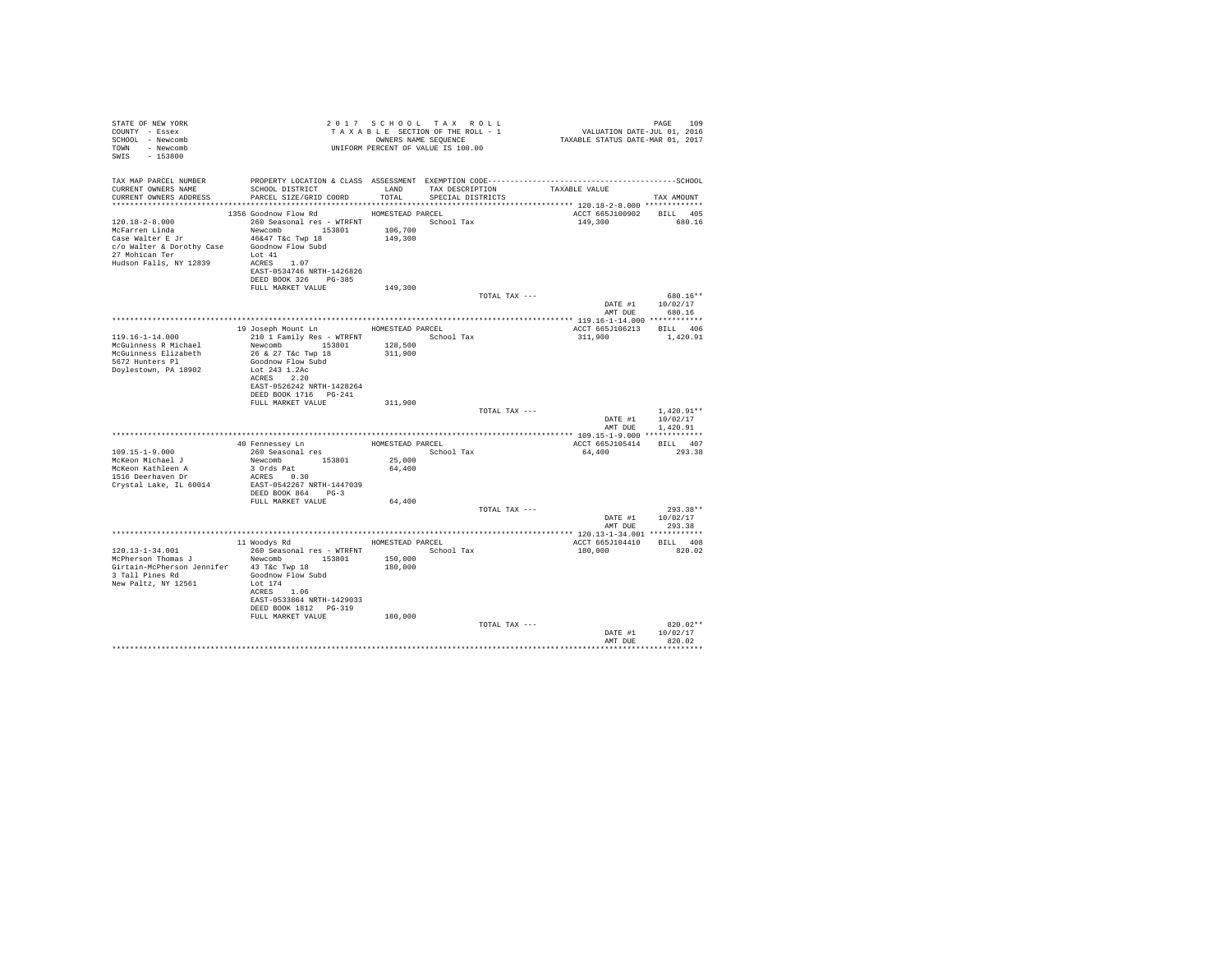| STATE OF NEW YORK                                                             |                                                                                                                                                              |                  | 2017 SCHOOL TAX ROLL |                                                                             |                  |
|-------------------------------------------------------------------------------|--------------------------------------------------------------------------------------------------------------------------------------------------------------|------------------|----------------------|-----------------------------------------------------------------------------|------------------|
| COUNTY - Essex                                                                | 2017 SCROUNG SECTION OF THE ROLL - 1<br>TAXABLE SECTION OF THE ROLL - 1<br>OWNERS NAME SEQUENCE<br>UNIFORM PERCENT OF VALUE IS 100.00                        |                  |                      | PAGE 109<br>VALUATION DATE-JUL 01, 2016<br>TAXABLE STATUS DATE-MAR 01, 2017 |                  |
| SCHOOL - Newcomb                                                              |                                                                                                                                                              |                  |                      |                                                                             |                  |
| TOWN - Newcomb                                                                |                                                                                                                                                              |                  |                      |                                                                             |                  |
| SWIS - 153800                                                                 |                                                                                                                                                              |                  |                      |                                                                             |                  |
|                                                                               |                                                                                                                                                              |                  |                      |                                                                             |                  |
|                                                                               |                                                                                                                                                              |                  |                      |                                                                             |                  |
| CURRENT OWNERS NAME                                                           | SCHOOL DISTRICT                        LAND        TAX DESCRIPTION                TAXABLE VALUE                                                              |                  |                      |                                                                             |                  |
| CURRENT OWNERS ADDRESS                                                        | PARCEL SIZE/GRID COORD                                                                                                                                       | TOTAL            | SPECIAL DISTRICTS    |                                                                             | TAX AMOUNT       |
|                                                                               |                                                                                                                                                              |                  |                      |                                                                             |                  |
|                                                                               |                                                                                                                                                              |                  |                      |                                                                             |                  |
| 120.18-2-8.000                                                                | 1356 Goodnow Flow Rd<br>260 Seasonal res - WTRFNT School Tax                                                                                                 | HOMESTEAD PARCEL |                      | ACCT 665J100902 BILL 405<br>149,300 680.16                                  |                  |
|                                                                               |                                                                                                                                                              |                  |                      |                                                                             |                  |
|                                                                               |                                                                                                                                                              |                  |                      |                                                                             |                  |
|                                                                               | Accept to the MCFarren Linda<br>MCFarren Linda<br>Case Walter E Jr 46&47 T&c Twp 18 149,300<br>27 Mohlten & Dorothy Case Goodnow Flow Subd<br>27 Mohlten Ter |                  |                      |                                                                             |                  |
|                                                                               |                                                                                                                                                              |                  |                      |                                                                             |                  |
| Hudson Falls, NY 12839                                                        | ACRES 1.07                                                                                                                                                   |                  |                      |                                                                             |                  |
|                                                                               | EAST-0534746 NRTH-1426826                                                                                                                                    |                  |                      |                                                                             |                  |
|                                                                               | DEED BOOK 326 PG-385                                                                                                                                         |                  |                      |                                                                             |                  |
|                                                                               | FULL MARKET VALUE                                                                                                                                            | 149,300          |                      |                                                                             |                  |
|                                                                               |                                                                                                                                                              |                  | TOTAL TAX ---        |                                                                             | 680.16**         |
|                                                                               |                                                                                                                                                              |                  |                      |                                                                             | DATE #1 10/02/17 |
|                                                                               |                                                                                                                                                              |                  |                      | AMT DUE                                                                     | 680.16           |
|                                                                               |                                                                                                                                                              |                  |                      |                                                                             |                  |
|                                                                               | 19 Joseph Mount Ln HOMESTEAD PARCEL                                                                                                                          |                  |                      | ACCT 665J106213 BILL 406                                                    |                  |
| 119.16-1-14.000                                                               |                                                                                                                                                              |                  |                      | 311,900                                                                     | 1,420.91         |
| McGuinness R Michael                                                          | $\begin{tabular}{llllll} 210&1 & Family Res & - \textit{WTRENT} & & School \textit{ Tax} \\ {\small Newcomb} & 153801 & 128,500 & \end{tabular}$             |                  |                      |                                                                             |                  |
| McGuinness Elizabeth                                                          |                                                                                                                                                              | 311,900          |                      |                                                                             |                  |
| 5672 Hunters Pl                                                               | 26 & 27 T&c Twp 18<br>Goodnow Flow Subd                                                                                                                      |                  |                      |                                                                             |                  |
| Doylestown, PA 18902                                                          | Lot 243 1.2Ac                                                                                                                                                |                  |                      |                                                                             |                  |
|                                                                               | ACRES 2.20                                                                                                                                                   |                  |                      |                                                                             |                  |
|                                                                               | EAST-0526242 NRTH-1428264                                                                                                                                    |                  |                      |                                                                             |                  |
|                                                                               |                                                                                                                                                              |                  |                      |                                                                             |                  |
|                                                                               | FULL MARKET VALUE                                                                                                                                            | 311,900          |                      |                                                                             |                  |
|                                                                               |                                                                                                                                                              |                  | TOTAL TAX ---        |                                                                             | $1,420.91**$     |
|                                                                               |                                                                                                                                                              |                  |                      |                                                                             | DATE #1 10/02/17 |
|                                                                               |                                                                                                                                                              |                  |                      |                                                                             | AMT DUE 1,420.91 |
|                                                                               |                                                                                                                                                              |                  |                      |                                                                             |                  |
|                                                                               | 40 Fennessey Law<br>260 Seasonal res<br>Newcomb 153801<br>3 Ords Pat<br>ACRES 0.30<br>2020                                                                   |                  | HOMESTEAD PARCEL     | ACCT 665J105414                                                             | BILL 407         |
| 109.15-1-9.000                                                                |                                                                                                                                                              |                  | School Tax           | 64,400 293.38                                                               |                  |
| McKeon Michael J                                                              |                                                                                                                                                              | 25,000           |                      |                                                                             |                  |
| McKeon Kathleen A<br>1516 Deerhaven Dr                                        |                                                                                                                                                              | 64,400           |                      |                                                                             |                  |
|                                                                               |                                                                                                                                                              |                  |                      |                                                                             |                  |
|                                                                               | Crystal Lake, IL 60014 EAST-0542267 NRTH-1447039                                                                                                             |                  |                      |                                                                             |                  |
|                                                                               | DEED BOOK 864 PG-3                                                                                                                                           |                  |                      |                                                                             |                  |
|                                                                               | FULL MARKET VALUE                                                                                                                                            | 64,400           |                      |                                                                             |                  |
|                                                                               |                                                                                                                                                              |                  | TOTAL TAX ---        |                                                                             | $293.38**$       |
|                                                                               |                                                                                                                                                              |                  |                      |                                                                             | DATE #1 10/02/17 |
|                                                                               |                                                                                                                                                              |                  |                      | AMT DUE                                                                     | 293.38           |
|                                                                               |                                                                                                                                                              |                  |                      |                                                                             |                  |
|                                                                               | 11 Woodys Rd MOMESTEAD PARCEL                                                                                                                                |                  |                      | ACCT 665J104410 BILL 408                                                    |                  |
|                                                                               |                                                                                                                                                              |                  | School Tax           | 180,000                                                                     | 820.02           |
|                                                                               |                                                                                                                                                              |                  |                      |                                                                             |                  |
| Girtain-McPherson Jennifer 43 T&C Twp 18<br>3 Tall Pines Rd 600dnow Flow Subd |                                                                                                                                                              | 180,000          |                      |                                                                             |                  |
|                                                                               |                                                                                                                                                              |                  |                      |                                                                             |                  |
| New Paltz, NY 12561                                                           | Lot 174                                                                                                                                                      |                  |                      |                                                                             |                  |
|                                                                               | ACRES 1.06                                                                                                                                                   |                  |                      |                                                                             |                  |
|                                                                               | EAST-0533864 NRTH-1429033                                                                                                                                    |                  |                      |                                                                             |                  |
|                                                                               | DEED BOOK 1812 PG-319                                                                                                                                        |                  |                      |                                                                             |                  |
|                                                                               | FULL MARKET VALUE                                                                                                                                            | 180,000          |                      |                                                                             |                  |
|                                                                               |                                                                                                                                                              |                  | TOTAL TAX ---        |                                                                             | $820.02**$       |
|                                                                               |                                                                                                                                                              |                  |                      |                                                                             | DATE #1 10/02/17 |
|                                                                               |                                                                                                                                                              |                  |                      |                                                                             | AMT DUE 820.02   |
|                                                                               |                                                                                                                                                              |                  |                      |                                                                             |                  |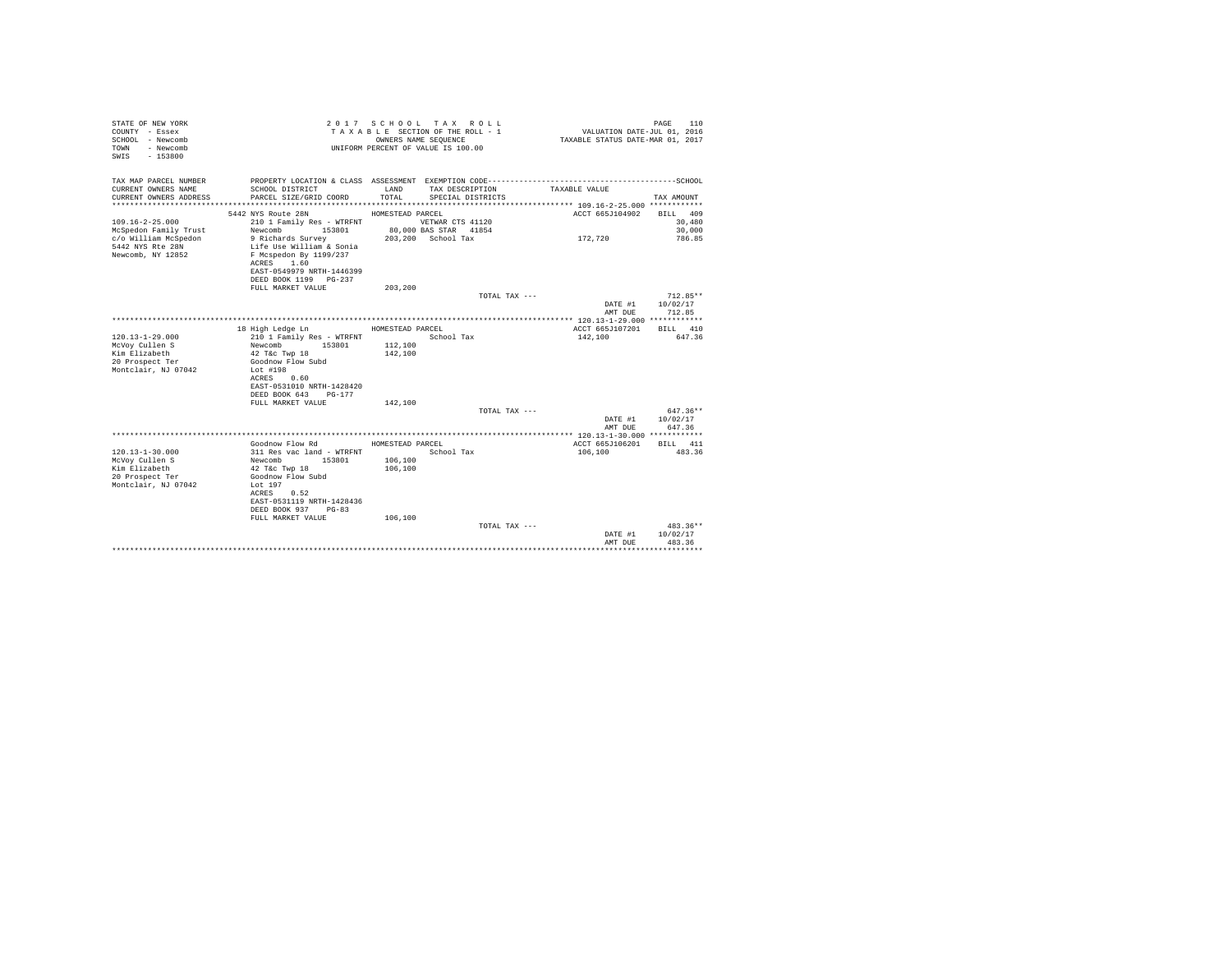| STATE OF NEW YORK<br>COUNTY - Essex<br>SCHOOL - Newcomb<br>- Newcomb<br>TOWN<br>$-153800$<br>SWTS |                                                    |                  | 2017 SCHOOL TAX ROLL<br>TAXABLE SECTION OF THE ROLL - 1<br>OWNERS NAME SEQUENCE<br>UNIFORM PERCENT OF VALUE IS 100.00 | VALUATION DATE-JUL 01, 2016<br>TAXABLE STATUS DATE-MAR 01, 2017 | 110<br>PAGE |
|---------------------------------------------------------------------------------------------------|----------------------------------------------------|------------------|-----------------------------------------------------------------------------------------------------------------------|-----------------------------------------------------------------|-------------|
| TAX MAP PARCEL NUMBER                                                                             |                                                    |                  |                                                                                                                       |                                                                 |             |
| CURRENT OWNERS NAME<br>CURRENT OWNERS ADDRESS                                                     | SCHOOL DISTRICT<br>PARCEL SIZE/GRID COORD          | LAND<br>TOTAL.   | TAX DESCRIPTION<br>SPECIAL DISTRICTS                                                                                  | TAXABLE VALUE                                                   | TAX AMOUNT  |
|                                                                                                   |                                                    |                  |                                                                                                                       |                                                                 |             |
|                                                                                                   | 5442 NYS Route 28N                                 | HOMESTEAD PARCEL |                                                                                                                       | ACCT 665J104902                                                 | BILL 409    |
| $109.16 - 2 - 25.000$                                                                             | 210 1 Family Res - WTRFNT                          |                  | VETWAR CTS 41120                                                                                                      |                                                                 | 30,480      |
| McSpedon Family Trust                                                                             | 153801<br>Newcomb                                  |                  | 80,000 BAS STAR 41854                                                                                                 |                                                                 | 30,000      |
| c/o William McSpedon                                                                              | 9 Richards Survey                                  |                  | 203,200 School Tax                                                                                                    | 172.720                                                         | 786.85      |
| 5442 NYS Rte 28N<br>Newcomb, NY 12852                                                             | Life Use William & Sonia<br>F Mcspedon By 1199/237 |                  |                                                                                                                       |                                                                 |             |
|                                                                                                   | ACRES 1.60                                         |                  |                                                                                                                       |                                                                 |             |
|                                                                                                   | EAST-0549979 NRTH-1446399                          |                  |                                                                                                                       |                                                                 |             |
|                                                                                                   | DEED BOOK 1199 PG-237                              |                  |                                                                                                                       |                                                                 |             |
|                                                                                                   | FULL MARKET VALUE                                  | 203,200          |                                                                                                                       |                                                                 |             |
|                                                                                                   |                                                    |                  | TOTAL TAX ---                                                                                                         |                                                                 | $712.85**$  |
|                                                                                                   |                                                    |                  |                                                                                                                       | DATE #1                                                         | 10/02/17    |
|                                                                                                   |                                                    |                  |                                                                                                                       | AMT DUE                                                         | 712.85      |
|                                                                                                   |                                                    |                  |                                                                                                                       |                                                                 |             |
|                                                                                                   | 18 High Ledge Ln                                   | HOMESTEAD PARCEL |                                                                                                                       | ACCT 665J107201                                                 | BILL 410    |
| $120.13 - 1 - 29.000$                                                                             | 210 1 Family Res - WTRFNT                          |                  | School Tax                                                                                                            | 142,100                                                         | 647.36      |
| McVoy Cullen S                                                                                    | Newcomb 153801                                     | 112,100          |                                                                                                                       |                                                                 |             |
| Kim Elizabeth                                                                                     | 42 T&c Twp 18                                      | 142,100          |                                                                                                                       |                                                                 |             |
| 20 Prospect Ter<br>Montclair, NJ 07042                                                            | Goodnow Flow Subd<br>Lot #198                      |                  |                                                                                                                       |                                                                 |             |
|                                                                                                   | ACRES 0.60                                         |                  |                                                                                                                       |                                                                 |             |
|                                                                                                   | EAST-0531010 NRTH-1428420                          |                  |                                                                                                                       |                                                                 |             |
|                                                                                                   | DEED BOOK 643 PG-177                               |                  |                                                                                                                       |                                                                 |             |
|                                                                                                   | FULL MARKET VALUE                                  | 142,100          |                                                                                                                       |                                                                 |             |
|                                                                                                   |                                                    |                  |                                                                                                                       | TOTAL TAX ---                                                   | 647.36**    |
|                                                                                                   |                                                    |                  |                                                                                                                       | DATE #1                                                         | 10/02/17    |
|                                                                                                   |                                                    |                  |                                                                                                                       | AMT DUE                                                         | 647.36      |
|                                                                                                   |                                                    |                  |                                                                                                                       |                                                                 |             |
|                                                                                                   | Goodnow Flow Rd                                    | HOMESTEAD PARCEL |                                                                                                                       | ACCT 665J106201                                                 | BILL 411    |
| $120.13 - 1 - 30.000$                                                                             | 311 Res vac land - WTRFNT                          |                  | School Tax                                                                                                            | 106,100                                                         | 483.36      |
| McVov Cullen S                                                                                    | 153801<br>Newcomb                                  | 106,100          |                                                                                                                       |                                                                 |             |
| Kim Elizabeth<br>20 Prospect Ter                                                                  | 42 T&c Twp 18<br>Goodnow Flow Subd                 | 106,100          |                                                                                                                       |                                                                 |             |
| Montclair, NJ 07042                                                                               | Lot $197$                                          |                  |                                                                                                                       |                                                                 |             |
|                                                                                                   | ACRES 0.52                                         |                  |                                                                                                                       |                                                                 |             |
|                                                                                                   | EAST-0531119 NRTH-1428436                          |                  |                                                                                                                       |                                                                 |             |
|                                                                                                   | DEED BOOK 937 PG-83                                |                  |                                                                                                                       |                                                                 |             |
|                                                                                                   | FULL MARKET VALUE                                  | 106,100          |                                                                                                                       |                                                                 |             |
|                                                                                                   |                                                    |                  | TOTAL TAX ---                                                                                                         |                                                                 | $483.36**$  |
|                                                                                                   |                                                    |                  |                                                                                                                       | DATE #1                                                         | 10/02/17    |
|                                                                                                   |                                                    |                  |                                                                                                                       | AMT DUE                                                         | 483.36      |
|                                                                                                   |                                                    |                  |                                                                                                                       |                                                                 |             |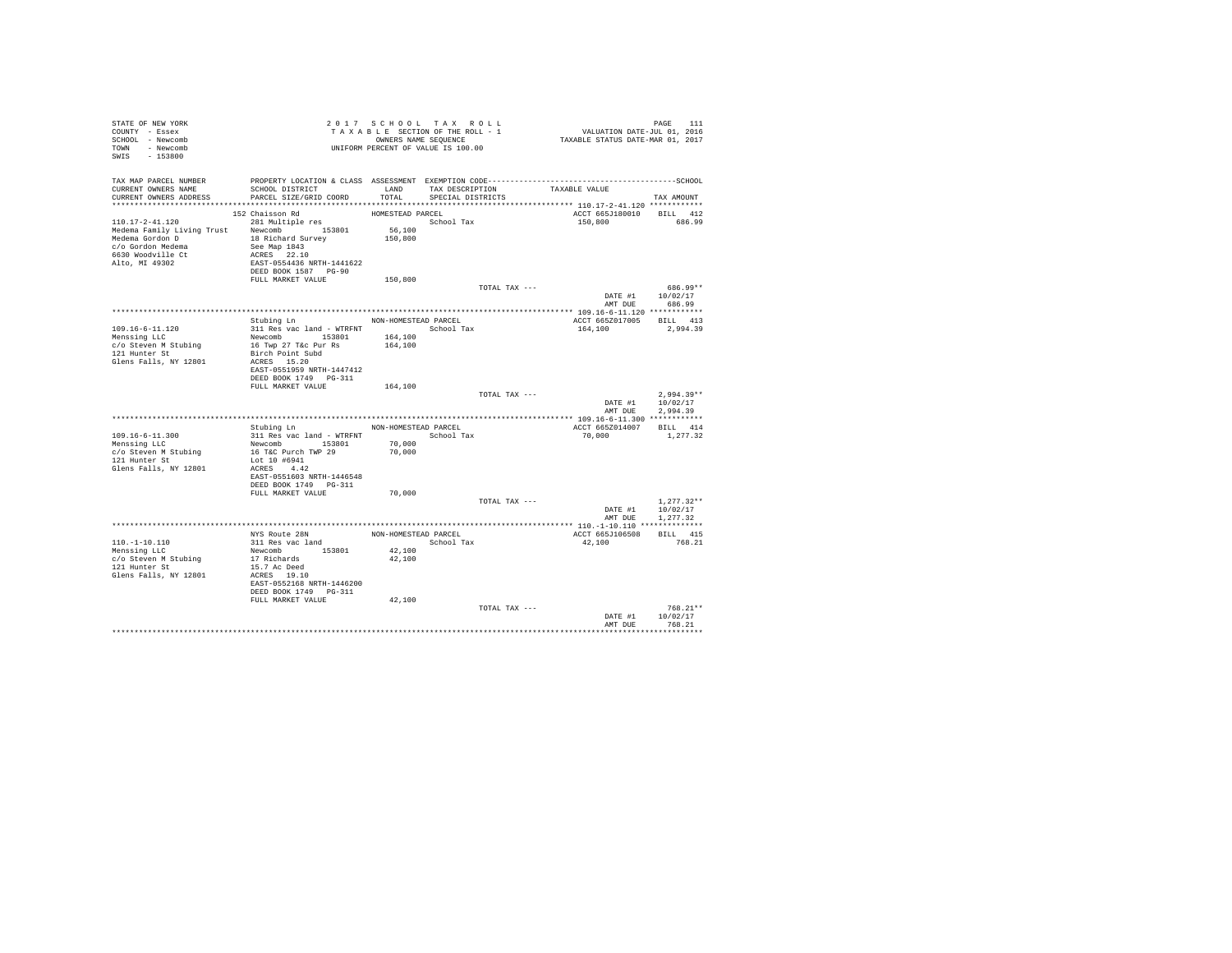| STATE OF NEW YORK<br>COUNTY - Essex<br>SCHOOL - Newcomb<br>TOWN - Newcomb<br>SWIS - 153800                                                                                                                                                                            | TAXABLE SECTION OF THE ROLL - 1<br>TAXABLE SECTION OF THE ROLL - 1<br>UNIFORM PERCENT OF VALUE IS 100.00                                                                                                                                          |                                                                |                                           |               | PAGE 111<br>VALUATION DATE-JUL 01, 2016<br>TAXABLE STATUS DATE-MAR 01, 2017 |                                                 |
|-----------------------------------------------------------------------------------------------------------------------------------------------------------------------------------------------------------------------------------------------------------------------|---------------------------------------------------------------------------------------------------------------------------------------------------------------------------------------------------------------------------------------------------|----------------------------------------------------------------|-------------------------------------------|---------------|-----------------------------------------------------------------------------|-------------------------------------------------|
| TAX MAP PARCEL NUMBER<br>CURRENT OWNERS NAME<br>CURRENT OWNERS ADDRESS PARCEL SIZE/GRID COORD                                                                                                                                                                         | SCHOOL DISTRICT                                                                                                                                                                                                                                   | TOTAL                                                          | LAND TAX DESCRIPTION<br>SPECIAL DISTRICTS |               | TAXABLE VALUE                                                               | TAX AMOUNT                                      |
| 110.17-2-41.120<br>Nedema Branily Living Trust<br>Medema Branily Living Trust<br>Medema Gradon De and See Map 1843<br>26630 Woodville Ct<br>26630 Woodville Ct<br>2670 Modville Ct<br>2670 Modville Ct<br>2670 Modville Ct<br>2670 Map 1843<br>2670 Map 1843<br>26871 | 152 Chaisson Rd<br>281 Multiple res<br>DEED BOOK 1587 PG-90<br>FULL MARKET VALUE                                                                                                                                                                  | HOMESTEAD PARCEL<br>School Tax<br>56,100<br>150,800<br>150,800 |                                           |               | ACCT 665J180010 BILL 412<br>150,800 686.99                                  |                                                 |
|                                                                                                                                                                                                                                                                       |                                                                                                                                                                                                                                                   |                                                                |                                           | TOTAL TAX --- | DATE #1 $10/02/17$                                                          | 686.99**<br>AMT DUE 686.99                      |
| 109.16-6-11.120<br>Menssing LLC<br>c/o Steven M Stubing<br>121 Hunter St<br>Glens Falls, NY 12801                                                                                                                                                                     | Stubing Ln NON-HOMESTEAD PARCEL<br>311 Res vac land - WTRFNT               School Tax<br>Newcomb 153801<br>16 Twp 27 T&c Pur Rs<br>Birch Point Subd<br>ACRES 15.20<br>EAST-0551959 NRTH-1447412                                                   | 164,100<br>164,100                                             |                                           |               | ACCT 665Z017005 BILL 413<br>164,100 2,994.39                                |                                                 |
|                                                                                                                                                                                                                                                                       | FULL MARKET VALUE                                                                                                                                                                                                                                 | 164,100                                                        |                                           | TOTAL TAX --- | DATE #1 $10/02/17$<br>AMT DUE                                               | $2.994.39**$<br>2.994.39                        |
| 109.16-6-11.300<br>Menssing LLC<br>c/o Steven M Stubing<br>121 Hunter St<br>Glens Falls, NY 12801                                                                                                                                                                     | Stubing Ln NON-HOMESTEAD PARCEL<br>311 Res vac land - WTRFNT $$\rm School\: Tax$$ Newcomb $153801$ $70\, ,000$<br>16 T&C Purch TWP 29<br>Lot 10 #6941<br>ACRES 4.42<br>EAST-0551603 NRTH-1446548<br>DEED BOOK 1749    PG-311<br>FULL MARKET VALUE | 70,000<br>70,000                                               |                                           |               | ACCT 665Z014007 BILL 414<br>70,000                                          | 1,277.32                                        |
|                                                                                                                                                                                                                                                                       |                                                                                                                                                                                                                                                   |                                                                |                                           | TOTAL TAX --- | DATE #1 10/02/17<br>AMT DUE                                                 | $1.277.32**$<br>1,277.32                        |
| $110. - 1 - 10.110$<br>Menssing LLC<br>c/o Steven M Stubing<br>121 Hunter St<br>Glens Falls, NY 12801                                                                                                                                                                 | NYS Route 28N<br>311 Res vac land<br>Newcomb 153801<br>17 Richards<br>15.7 Ac Deed<br>ACRES 19.10<br>EAST-0552168 NRTH-1446200<br>DEED BOOK 1749    PG-311                                                                                        | NON-HOMESTEAD PARCEL<br>42,100<br>42,100                       | School Tax                                |               | ACCT 665J106508<br>42,100                                                   | BILL 415<br>768.21                              |
|                                                                                                                                                                                                                                                                       | FULL MARKET VALUE                                                                                                                                                                                                                                 | 42,100                                                         |                                           | TOTAL TAX --- | DATE #1<br>AMT DUE                                                          | $768.21**$<br>10/02/17<br>768.21<br>*********** |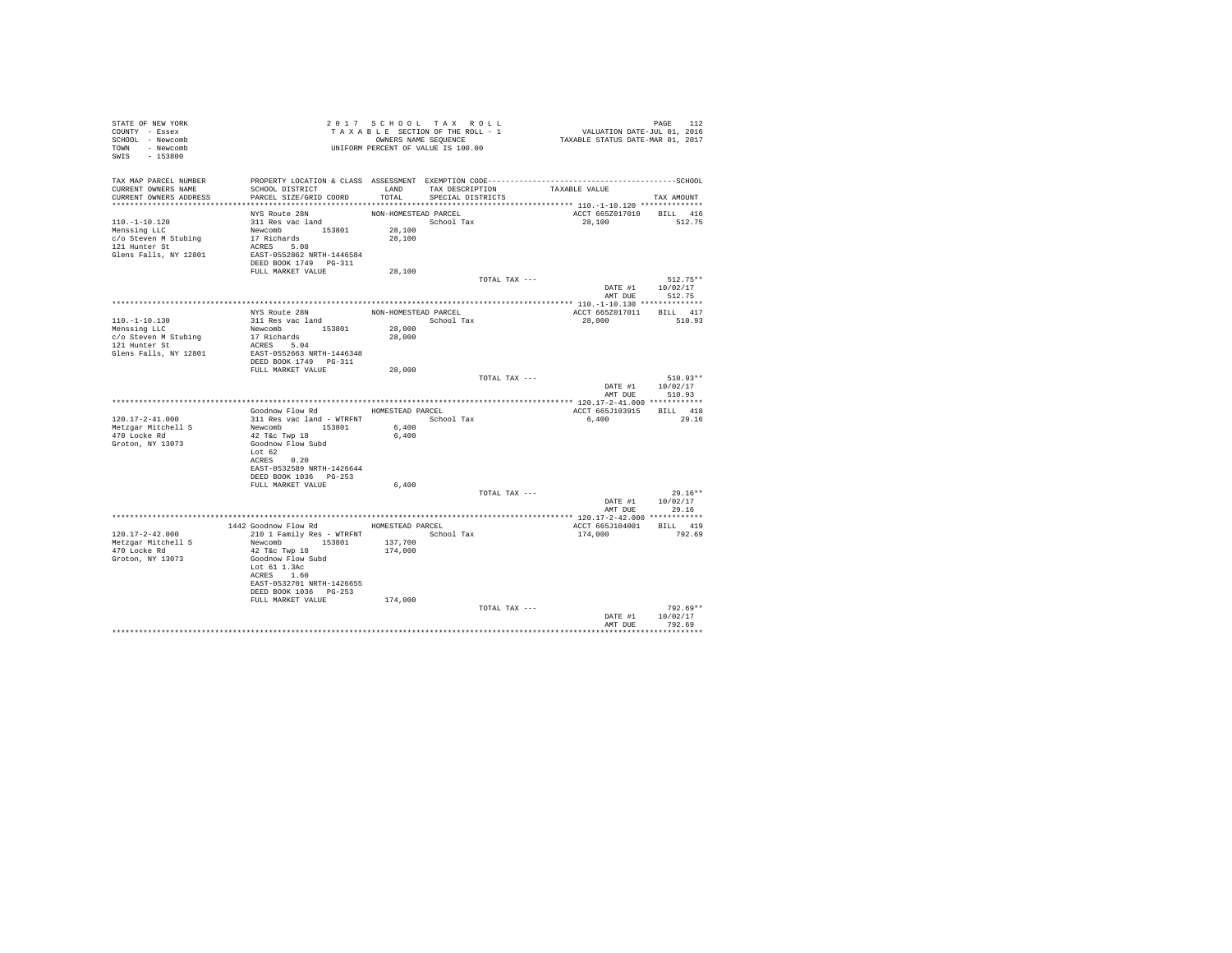| STATE OF NEW YORK<br>COUNTY - Essex<br>SCHOOL - Newcomb<br>TOWN - Newcomb<br>SWIS - 153800        |                                                                                                                                                                                       |                                          | 2017 SCHOOL TAX ROLL<br>TAXABLE SECTION OF THE ROLL - 1<br>OWNERS NAME SEQUENCE<br>UNIFORM PERCENT OF VALUE IS 100.00 | PAGE 112<br>VALUATION DATE-JUL 01, 2016<br>TAXABLE STATUS DATE-MAR 01, 2017 |                                          |
|---------------------------------------------------------------------------------------------------|---------------------------------------------------------------------------------------------------------------------------------------------------------------------------------------|------------------------------------------|-----------------------------------------------------------------------------------------------------------------------|-----------------------------------------------------------------------------|------------------------------------------|
| TAX MAP PARCEL NUMBER<br>CURRENT OWNERS NAME<br>CURRENT OWNERS ADDRESS                            | SCHOOL DISTRICT<br>PARCEL SIZE/GRID COORD<br>******************************                                                                                                           | LAND<br>TOTAL                            | TAX DESCRIPTION<br>SPECIAL DISTRICTS                                                                                  | TAXABLE VALUE                                                               | TAX AMOUNT                               |
| $110.-1-10.120$<br>Menssing LLC<br>c/o Steven M Stubing<br>121 Hunter St<br>Glens Falls, NY 12801 | NYS Route 28N<br>311 Res vac land<br>Newcomb 153801<br>17 Richards<br>ACRES 5.08<br>EAST-0552862 NRTH-1446584<br>DEED BOOK 1749 PG-311                                                | NON-HOMESTEAD PARCEL<br>28,100<br>28,100 | School Tax                                                                                                            | ACCT 665Z017010<br>28,100                                                   | BILL 416<br>512.75                       |
|                                                                                                   | FULL MARKET VALUE                                                                                                                                                                     | 28,100                                   |                                                                                                                       |                                                                             |                                          |
|                                                                                                   |                                                                                                                                                                                       |                                          |                                                                                                                       | TOTAL TAX ---<br>DATE #1                                                    | $512.75**$<br>10/02/17<br>AMT DUE 512.75 |
|                                                                                                   |                                                                                                                                                                                       |                                          |                                                                                                                       |                                                                             |                                          |
| $110.-1-10.130$<br>Menssing LLC<br>c/o Steven M Stubing<br>121 Hunter St<br>Glens Falls, NY 12801 | NYS Route 28N<br>311 Res vac land<br>Newcomb 153801<br>17 Richards<br>Experiences<br>ACRES 5.04<br>EAST-0550555<br>EAST-0552663 NRTH-1446348<br>DEED BOOK 1749    PG-311              | NON-HOMESTEAD PARCEL<br>28,000<br>28,000 | School Tax                                                                                                            | ACCT 665Z017011 BILL 417<br>28,000                                          | 510.93                                   |
|                                                                                                   | FULL MARKET VALUE                                                                                                                                                                     | 28,000                                   |                                                                                                                       |                                                                             |                                          |
|                                                                                                   |                                                                                                                                                                                       |                                          |                                                                                                                       | TOTAL TAX ---<br>DATE #1<br>AMT DUE                                         | 510.93**<br>10/02/17<br>510.93           |
|                                                                                                   |                                                                                                                                                                                       |                                          |                                                                                                                       |                                                                             |                                          |
| $120.17 - 2 - 41.000$                                                                             | Goodnow Flow Rd                                                                                                                                                                       | HOMESTEAD PARCEL                         |                                                                                                                       | ACCT 665J103915 BILL 418                                                    | 29.16                                    |
| Metzgar Mitchell S<br>470 Locke Rd<br>Groton, NY 13073                                            | 311 Res vac land - WTRFNT<br>Newcomb 153801<br>42 T&c Twp 18<br>Goodnow Flow Subd<br>Lot 62<br>ACRES 0.20<br>EAST-0532589 NRTH-1426644                                                | 6,400<br>6,400                           | School Tax                                                                                                            | 6,400                                                                       |                                          |
|                                                                                                   | FULL MARKET VALUE                                                                                                                                                                     | 6,400                                    |                                                                                                                       |                                                                             |                                          |
|                                                                                                   |                                                                                                                                                                                       |                                          |                                                                                                                       | TOTAL TAX ---<br>DATE #1<br>AMT DUE                                         | $29.16**$<br>10/02/17<br>29.16           |
|                                                                                                   |                                                                                                                                                                                       |                                          |                                                                                                                       |                                                                             |                                          |
| 120.17-2-42.000<br>Metzgar Mitchell S<br>470 Locke Rd<br>Groton, NY 13073                         | 1442 Goodnow Flow Rd MOMESTEAD PARCEL<br>210 1 Family Res - WTRFNT<br>Newcomb 153801<br>42 T&c Twp 18<br>Goodnow Flow Subd<br>Lot 61 1.3Ac<br>ACRES 1.60<br>EAST-0532701 NRTH-1426655 | 137,700<br>174,000                       | School Tax                                                                                                            | ACCT 665J104001<br>174,000                                                  | BILL 419<br>792.69                       |
|                                                                                                   | DEED BOOK 1036 PG-253<br>FULL MARKET VALUE                                                                                                                                            | 174,000                                  |                                                                                                                       | TOTAL TAX ---<br>DATE #1                                                    | 792.69**<br>10/02/17                     |
|                                                                                                   |                                                                                                                                                                                       |                                          |                                                                                                                       | AMT DUE                                                                     | 792.69                                   |
|                                                                                                   |                                                                                                                                                                                       |                                          |                                                                                                                       |                                                                             |                                          |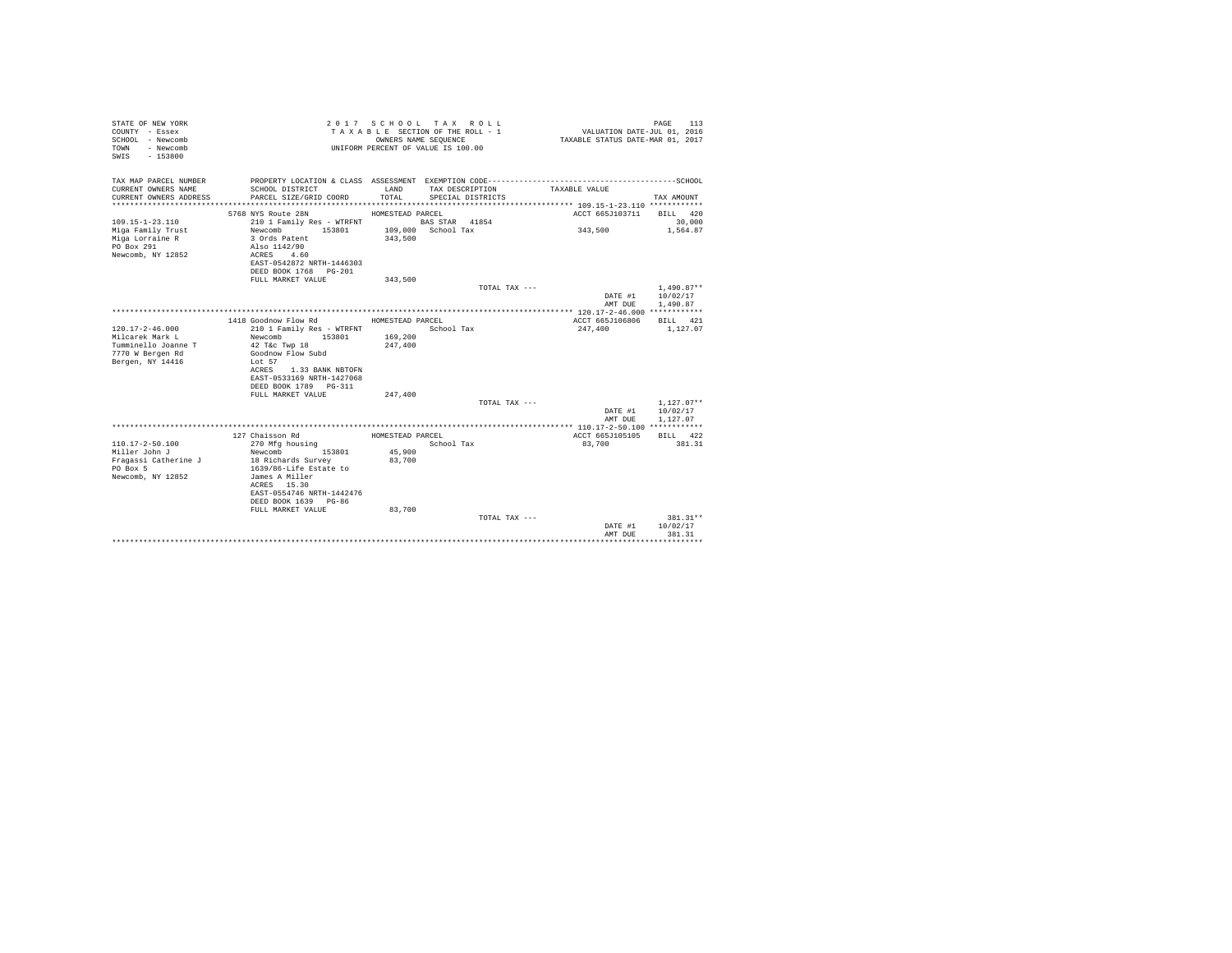| STATE OF NEW YORK<br>COUNTY - Essex<br>SCHOOL - Newcomb<br>- Newcomb<br>TOWN<br>$-153800$<br>SWIS |                                                        | OWNERS NAME SEOUENCE | 2017 SCHOOL TAX ROLL<br>TAXABLE SECTION OF THE ROLL - 1<br>UNIFORM PERCENT OF VALUE IS 100.00 | VALUATION DATE-JUL 01, 2016<br>TAXABLE STATUS DATE-MAR 01, 2017 | 113<br>PAGE  |
|---------------------------------------------------------------------------------------------------|--------------------------------------------------------|----------------------|-----------------------------------------------------------------------------------------------|-----------------------------------------------------------------|--------------|
| TAX MAP PARCEL NUMBER                                                                             |                                                        |                      |                                                                                               |                                                                 |              |
| CURRENT OWNERS NAME<br>CURRENT OWNERS ADDRESS                                                     | SCHOOL DISTRICT<br>PARCEL SIZE/GRID COORD              | LAND<br>TOTAL.       | TAX DESCRIPTION<br>SPECIAL DISTRICTS                                                          | TAXABLE VALUE                                                   | TAX AMOUNT   |
|                                                                                                   |                                                        |                      |                                                                                               |                                                                 |              |
|                                                                                                   | 5768 NYS Route 28N                                     | HOMESTEAD PARCEL     |                                                                                               | ACCT 665J103711                                                 | BILL 420     |
| $109.15 - 1 - 23.110$                                                                             | 210 1 Family Res - WTRFNT                              |                      | BAS STAR 41854                                                                                |                                                                 | 30,000       |
| Miga Family Trust                                                                                 | 153801<br>Newcomb                                      |                      | 109,000 School Tax                                                                            | 343,500                                                         | 1,564.87     |
| Miga Lorraine R                                                                                   | 3 Ords Patent                                          | 343,500              |                                                                                               |                                                                 |              |
| PO Box 291<br>Newcomb, NY 12852                                                                   | Also 1142/90<br>4.60                                   |                      |                                                                                               |                                                                 |              |
|                                                                                                   | ACRES<br>EAST-0542872 NRTH-1446303                     |                      |                                                                                               |                                                                 |              |
|                                                                                                   | DEED BOOK 1768 PG-201                                  |                      |                                                                                               |                                                                 |              |
|                                                                                                   | FULL MARKET VALUE                                      | 343,500              |                                                                                               |                                                                 |              |
|                                                                                                   |                                                        |                      | TOTAL TAX ---                                                                                 |                                                                 | $1.490.87**$ |
|                                                                                                   |                                                        |                      |                                                                                               | DATE #1                                                         | 10/02/17     |
|                                                                                                   |                                                        |                      |                                                                                               | AMT DUE                                                         | 1,490.87     |
|                                                                                                   | 1418 Goodnow Flow Rd                                   | HOMESTEAD PARCEL     |                                                                                               | ACCT 665J106806                                                 | BILL 421     |
| $120.17 - 2 - 46.000$                                                                             | 210 1 Family Res - WTRFNT                              |                      | School Tax                                                                                    | 247,400                                                         | 1,127.07     |
| Milcarek Mark L                                                                                   | Newcomb<br>153801                                      | 169,200              |                                                                                               |                                                                 |              |
| Tumminello Joanne T                                                                               | 42 T&c Twp 18                                          | 247,400              |                                                                                               |                                                                 |              |
| 7770 W Bergen Rd                                                                                  | Goodnow Flow Subd                                      |                      |                                                                                               |                                                                 |              |
| Bergen, NY 14416                                                                                  | $To$ $to$ 57                                           |                      |                                                                                               |                                                                 |              |
|                                                                                                   | 1.33 BANK NBTOFN<br>ACRES<br>EAST-0533169 NRTH-1427068 |                      |                                                                                               |                                                                 |              |
|                                                                                                   | DEED BOOK 1789 PG-311                                  |                      |                                                                                               |                                                                 |              |
|                                                                                                   | FULL MARKET VALUE                                      | 247,400              |                                                                                               |                                                                 |              |
|                                                                                                   |                                                        |                      | TOTAL TAX ---                                                                                 |                                                                 | $1,127.07**$ |
|                                                                                                   |                                                        |                      |                                                                                               | DATE #1                                                         | 10/02/17     |
|                                                                                                   |                                                        |                      |                                                                                               | AMT DUE                                                         | 1.127.07     |
|                                                                                                   | 127 Chaisson Rd                                        | HOMESTEAD PARCEL     |                                                                                               | ACCT 665J105105                                                 | BILL 422     |
| $110.17 - 2 - 50.100$                                                                             | 270 Mfg housing                                        |                      | School Tax                                                                                    | 83,700                                                          | 381.31       |
| Miller John J                                                                                     | 153801<br>Newcomb                                      | 45,900               |                                                                                               |                                                                 |              |
| Fragassi Catherine J                                                                              | 18 Richards Survey                                     | 83,700               |                                                                                               |                                                                 |              |
| PO Box 5                                                                                          | 1639/86-Life Estate to                                 |                      |                                                                                               |                                                                 |              |
| Newcomb, NY 12852                                                                                 | James A Miller                                         |                      |                                                                                               |                                                                 |              |
|                                                                                                   | ACRES 15.30<br>EAST-0554746 NRTH-1442476               |                      |                                                                                               |                                                                 |              |
|                                                                                                   | DEED BOOK 1639 PG-86                                   |                      |                                                                                               |                                                                 |              |
|                                                                                                   | FULL MARKET VALUE                                      | 83,700               |                                                                                               |                                                                 |              |
|                                                                                                   |                                                        |                      | TOTAL TAX ---                                                                                 |                                                                 | 381.31**     |
|                                                                                                   |                                                        |                      |                                                                                               | DATE #1                                                         | 10/02/17     |
|                                                                                                   |                                                        |                      |                                                                                               | AMT DUE                                                         | 381.31       |
|                                                                                                   |                                                        |                      |                                                                                               |                                                                 |              |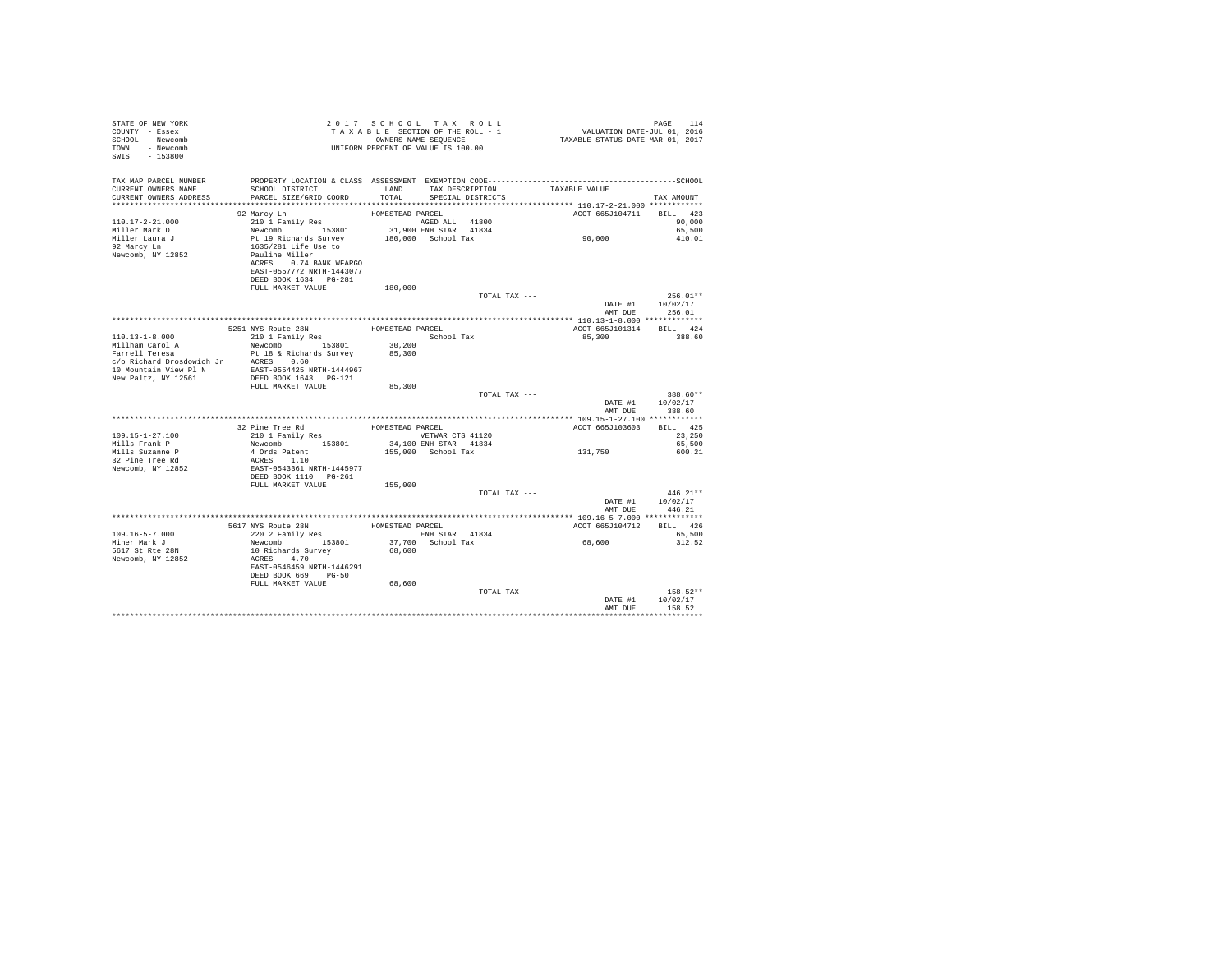| STATE OF NEW YORK<br>COUNTY - Essex<br>SCHOOL - Newcomb<br>TOWN - Newcomb<br>SWIS - 153800                                                                                                                                                                                                                                                                                                                       | 2017 SCHOOL TAX ROL<br>TAXABLE SECTION OF THE ROLL<br>UNIFORM PERCENT OF VALUE IS 100.00                                                                                     | 2017 SCHOOL TAX ROLL |               |                                    |                            |  |
|------------------------------------------------------------------------------------------------------------------------------------------------------------------------------------------------------------------------------------------------------------------------------------------------------------------------------------------------------------------------------------------------------------------|------------------------------------------------------------------------------------------------------------------------------------------------------------------------------|----------------------|---------------|------------------------------------|----------------------------|--|
| TAX MAP PARCEL NUMBER<br>CURRENT OWNERS NAME<br>CURRENT OWNERS ADDRESS                                                                                                                                                                                                                                                                                                                                           | PARCEL SIZE/GRID COORD                                                                                                                                                       |                      |               |                                    | TAX AMOUNT                 |  |
|                                                                                                                                                                                                                                                                                                                                                                                                                  |                                                                                                                                                                              |                      |               | ACCT 665J104711 BILL 423           |                            |  |
|                                                                                                                                                                                                                                                                                                                                                                                                                  |                                                                                                                                                                              |                      |               |                                    |                            |  |
|                                                                                                                                                                                                                                                                                                                                                                                                                  |                                                                                                                                                                              |                      |               |                                    |                            |  |
|                                                                                                                                                                                                                                                                                                                                                                                                                  |                                                                                                                                                                              |                      |               | 90,000                             | 65,500<br>410.01           |  |
|                                                                                                                                                                                                                                                                                                                                                                                                                  |                                                                                                                                                                              |                      |               |                                    |                            |  |
| Newcomb, NY 12852                                                                                                                                                                                                                                                                                                                                                                                                | Pauline Miller                                                                                                                                                               |                      |               |                                    |                            |  |
|                                                                                                                                                                                                                                                                                                                                                                                                                  | ACRES 0.74 BANK WFARGO                                                                                                                                                       |                      |               |                                    |                            |  |
|                                                                                                                                                                                                                                                                                                                                                                                                                  | EAST-0557772 NRTH-1443077                                                                                                                                                    |                      |               |                                    |                            |  |
|                                                                                                                                                                                                                                                                                                                                                                                                                  | DEED BOOK 1634 PG-281                                                                                                                                                        |                      |               |                                    |                            |  |
|                                                                                                                                                                                                                                                                                                                                                                                                                  | FULL MARKET VALUE                                                                                                                                                            | 180,000              |               |                                    |                            |  |
|                                                                                                                                                                                                                                                                                                                                                                                                                  |                                                                                                                                                                              |                      | TOTAL TAX --- |                                    | $256.01**$                 |  |
|                                                                                                                                                                                                                                                                                                                                                                                                                  |                                                                                                                                                                              |                      |               | AMT DUE                            | DATE #1 10/02/17<br>256.01 |  |
|                                                                                                                                                                                                                                                                                                                                                                                                                  |                                                                                                                                                                              |                      |               |                                    |                            |  |
|                                                                                                                                                                                                                                                                                                                                                                                                                  | 5251 NYS ROULE 28N<br>210 1 Family Res HOMESTEAD PARCEL School Tax                                                                                                           |                      |               | ACCT 665J101314 BILL 424           |                            |  |
| $110.13 - 1 - 8.000$                                                                                                                                                                                                                                                                                                                                                                                             |                                                                                                                                                                              |                      |               | 85,300                             | 388.60                     |  |
|                                                                                                                                                                                                                                                                                                                                                                                                                  | $\begin{tabular}{llllll} 210&\text{1 Family Res} & & & \text{School Tax} \\ {\small \texttt{Newcomb}} & & \text{153801} & & \text{30,200} \end{tabular}$                     |                      |               |                                    |                            |  |
| Millham Carol A<br>Farrell Teresa                                                                                                                                                                                                                                                                                                                                                                                |                                                                                                                                                                              | 85,300               |               |                                    |                            |  |
|                                                                                                                                                                                                                                                                                                                                                                                                                  |                                                                                                                                                                              |                      |               |                                    |                            |  |
| $\begin{tabular}{ l c c c c c} \multicolumn{1}{c}{\textbf{Farrell Treesa}} & \multicolumn{1}{c}{\textbf{Pct}~\textbf{18}~\&~\textbf{Richard}~\textbf{S}~\textbf{S}~\textbf{u}~\textbf{v}~\textbf{e}} \\ \multicolumn{1}{c}{c/\textit{o}~\textit{Richard}~\textbf{D}~\textbf{r}~\textbf{a}~\textbf{C}~\textbf{N}~\textbf{C}~\textbf{N}~\textbf{C}~\textbf{N}} & \multicolumn{1}{c}{\textit{A}~\textbf{C}~\textbf$ |                                                                                                                                                                              |                      |               |                                    |                            |  |
|                                                                                                                                                                                                                                                                                                                                                                                                                  |                                                                                                                                                                              |                      |               |                                    |                            |  |
|                                                                                                                                                                                                                                                                                                                                                                                                                  | FULL MARKET VALUE                                                                                                                                                            | 85,300               | TOTAL TAX --- |                                    | 388.60**                   |  |
|                                                                                                                                                                                                                                                                                                                                                                                                                  |                                                                                                                                                                              |                      |               | DATE #1                            | 10/02/17                   |  |
|                                                                                                                                                                                                                                                                                                                                                                                                                  |                                                                                                                                                                              |                      |               | AMT DUE                            | 388.60                     |  |
|                                                                                                                                                                                                                                                                                                                                                                                                                  |                                                                                                                                                                              |                      |               |                                    |                            |  |
|                                                                                                                                                                                                                                                                                                                                                                                                                  |                                                                                                                                                                              |                      |               | ACCT 665J103603 BILL 425           |                            |  |
| 109.15-1-27.100                                                                                                                                                                                                                                                                                                                                                                                                  |                                                                                                                                                                              |                      |               |                                    | 23,250                     |  |
| Mills Frank P                                                                                                                                                                                                                                                                                                                                                                                                    |                                                                                                                                                                              |                      |               |                                    | 65,500                     |  |
| Mills Suzanne P                                                                                                                                                                                                                                                                                                                                                                                                  | 4 Ords Patent<br>ACRES 1.10                                                                                                                                                  |                      |               | 131,750                            | 600.21                     |  |
| 32 Pine Tree Rd                                                                                                                                                                                                                                                                                                                                                                                                  |                                                                                                                                                                              |                      |               |                                    |                            |  |
| Newcomb, NY 12852                                                                                                                                                                                                                                                                                                                                                                                                | EAST-0543361 NRTH-1445977                                                                                                                                                    |                      |               |                                    |                            |  |
|                                                                                                                                                                                                                                                                                                                                                                                                                  | FULL MARKET VALUE                                                                                                                                                            | 155,000              |               |                                    |                            |  |
|                                                                                                                                                                                                                                                                                                                                                                                                                  |                                                                                                                                                                              |                      | TOTAL TAX --- |                                    | $446.21**$                 |  |
|                                                                                                                                                                                                                                                                                                                                                                                                                  |                                                                                                                                                                              |                      |               | DATE #1                            | 10/02/17                   |  |
|                                                                                                                                                                                                                                                                                                                                                                                                                  |                                                                                                                                                                              |                      |               | AMT DUE                            | 446.21                     |  |
|                                                                                                                                                                                                                                                                                                                                                                                                                  |                                                                                                                                                                              |                      |               |                                    |                            |  |
|                                                                                                                                                                                                                                                                                                                                                                                                                  | $\begin{tabular}{lcl} 5617 NYS Route & 28N & HOMESTEAD PARCEL \\ & 220 2 Fami1y Res & 1801 & 1814 STAR & 41834 \\ Newcomb & 153801 & 37,700 & 18202 & 1834 \\ \end{tabular}$ |                      |               | ACCT 665J104712 BILL 426<br>65.500 |                            |  |
| 109.16-5-7.000                                                                                                                                                                                                                                                                                                                                                                                                   |                                                                                                                                                                              |                      |               |                                    |                            |  |
| Miner Mark J                                                                                                                                                                                                                                                                                                                                                                                                     |                                                                                                                                                                              |                      |               | 68,600                             | 312.52                     |  |
| 5617 St Rte 28N<br>Newcomb, NY 12852                                                                                                                                                                                                                                                                                                                                                                             | 10 Richards Survey<br>ACRES 4.70                                                                                                                                             | 68,600               |               |                                    |                            |  |
|                                                                                                                                                                                                                                                                                                                                                                                                                  | EAST-0546459 NRTH-1446291                                                                                                                                                    |                      |               |                                    |                            |  |
|                                                                                                                                                                                                                                                                                                                                                                                                                  | DEED BOOK 669 PG-50                                                                                                                                                          |                      |               |                                    |                            |  |
|                                                                                                                                                                                                                                                                                                                                                                                                                  | FULL MARKET VALUE                                                                                                                                                            | 68,600               |               |                                    |                            |  |
|                                                                                                                                                                                                                                                                                                                                                                                                                  |                                                                                                                                                                              |                      | TOTAL TAX --- |                                    | $158.52**$                 |  |
|                                                                                                                                                                                                                                                                                                                                                                                                                  |                                                                                                                                                                              |                      |               | DATE #1                            | 10/02/17                   |  |
|                                                                                                                                                                                                                                                                                                                                                                                                                  |                                                                                                                                                                              |                      |               | AMT DUE                            | 158.52                     |  |
|                                                                                                                                                                                                                                                                                                                                                                                                                  |                                                                                                                                                                              |                      |               |                                    |                            |  |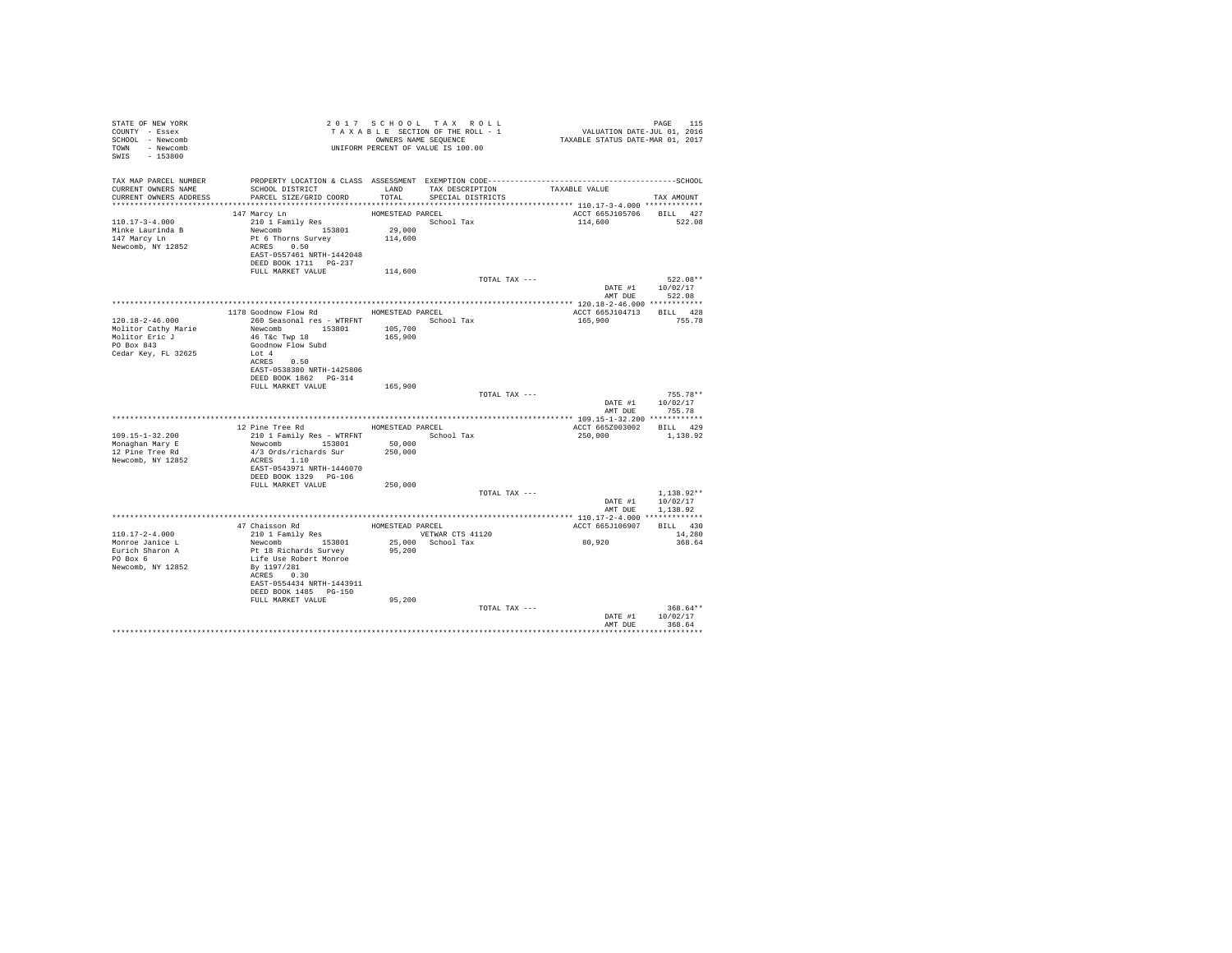| SCHOOL DISTRICT<br>PARCEL SIZE/GRID COORD                                                                                                            | LAND                                                                                                                           | TAX DESCRIPTION<br>SPECIAL DISTRICTS                      | TAXABLE VALUE                                                                                                                                                                                                                                                                                                                                                      | TAX AMOUNT                                                                                                                                                                             |
|------------------------------------------------------------------------------------------------------------------------------------------------------|--------------------------------------------------------------------------------------------------------------------------------|-----------------------------------------------------------|--------------------------------------------------------------------------------------------------------------------------------------------------------------------------------------------------------------------------------------------------------------------------------------------------------------------------------------------------------------------|----------------------------------------------------------------------------------------------------------------------------------------------------------------------------------------|
| 147 Marcy Ln<br>210 1 Family Res<br>Newcomb 153801<br>Pt 6 Thorns Survey<br>ACRES 0.50                                                               | 29,000<br>114,600                                                                                                              |                                                           | ACCT 665J105706<br>114,600                                                                                                                                                                                                                                                                                                                                         | BILL 427<br>522.08                                                                                                                                                                     |
|                                                                                                                                                      |                                                                                                                                |                                                           |                                                                                                                                                                                                                                                                                                                                                                    |                                                                                                                                                                                        |
|                                                                                                                                                      |                                                                                                                                |                                                           |                                                                                                                                                                                                                                                                                                                                                                    | 522.08**<br>DATE #1 10/02/17<br>AMT DUE 522.08                                                                                                                                         |
|                                                                                                                                                      |                                                                                                                                |                                                           |                                                                                                                                                                                                                                                                                                                                                                    |                                                                                                                                                                                        |
| Newcomb 153801<br>46 T&c Twp 18<br>Goodnow Flow Subd<br>Lot 4<br>ACRES 0.50<br>EAST-0538380 NRTH-1425806                                             | 105,700<br>165,900                                                                                                             |                                                           | 165,900                                                                                                                                                                                                                                                                                                                                                            | 755.78                                                                                                                                                                                 |
| FULL MARKET VALUE                                                                                                                                    | 165,900                                                                                                                        |                                                           |                                                                                                                                                                                                                                                                                                                                                                    | $755.78**$<br>DATE #1 10/02/17<br>755.78                                                                                                                                               |
|                                                                                                                                                      |                                                                                                                                |                                                           |                                                                                                                                                                                                                                                                                                                                                                    |                                                                                                                                                                                        |
| 12 Pine Tree Rd<br>210 1 Family Res - WTRFNT<br>Newcomb 153801<br>4/3 Ords/richards Sur<br>ACRES 1.10<br>EAST-0543971 NRTH-1446070                   | 50,000<br>250,000                                                                                                              | School Tax                                                | ACCT 665Z003002 BILL 429<br>250,000                                                                                                                                                                                                                                                                                                                                | 1,138.92                                                                                                                                                                               |
| FULL MARKET VALUE                                                                                                                                    |                                                                                                                                |                                                           |                                                                                                                                                                                                                                                                                                                                                                    |                                                                                                                                                                                        |
|                                                                                                                                                      |                                                                                                                                |                                                           | DATE #1<br>AMT DUE                                                                                                                                                                                                                                                                                                                                                 | $1.138.92**$<br>10/02/17<br>1,138.92                                                                                                                                                   |
|                                                                                                                                                      |                                                                                                                                |                                                           |                                                                                                                                                                                                                                                                                                                                                                    |                                                                                                                                                                                        |
|                                                                                                                                                      |                                                                                                                                |                                                           | ACCT 665J106907                                                                                                                                                                                                                                                                                                                                                    | BILL 430                                                                                                                                                                               |
| Newcomb 153801<br>Pt 18 Richards Survey<br>Life Use Robert Monroe<br>By 1197/281<br>ACRES 0.30<br>EAST-0554434 NRTH-1443911<br>DEED BOOK 1485 PG-150 | 95,200                                                                                                                         |                                                           | 80,920                                                                                                                                                                                                                                                                                                                                                             | 14,280<br>368.64                                                                                                                                                                       |
|                                                                                                                                                      |                                                                                                                                |                                                           |                                                                                                                                                                                                                                                                                                                                                                    |                                                                                                                                                                                        |
|                                                                                                                                                      |                                                                                                                                |                                                           | DATE #1<br>AMT DUE                                                                                                                                                                                                                                                                                                                                                 | $368.64**$<br>10/02/17<br>368.64                                                                                                                                                       |
|                                                                                                                                                      | FULL MARKET VALUE<br>DEED BOOK 1862 PG-314<br>DEED BOOK 1329 PG-106<br>47 Chaisson Rd<br>210 1 Family Res<br>FULL MARKET VALUE | EAST-0557461 NRTH-1442048<br>114,600<br>250,000<br>95,200 | 2017 SCHOOL TAX ROLL<br>TAXABLE SECTION OF THE ROLL - 1<br>OWNERS NAME SEQUENCE<br>OWNERS NAME SEQUENCE<br>UNIFORM PERCENT OF VALUE IS 100.00<br>TOTAL<br>HOMESTEAD PARCEL<br>School Tax<br>1178 Goodnow Flow Rd MOMESTEAD PARCEL<br>260 Seasonal res - WTRFNT <a></a> School Tax<br>HOMESTEAD PARCEL<br>HOMESTEAD PARCEL<br>VETWAR CTS 41120<br>25,000 School Tax | PAGE 115<br>VALUATION DATE-JUL 01, 2016<br>TAXABLE STATUS DATE-MAR 01, 2017<br>TOTAL TAX ---<br>ACCT 665J104713 BILL 428<br>TOTAL TAX ---<br>AMT DUE<br>TOTAL TAX ---<br>TOTAL TAX --- |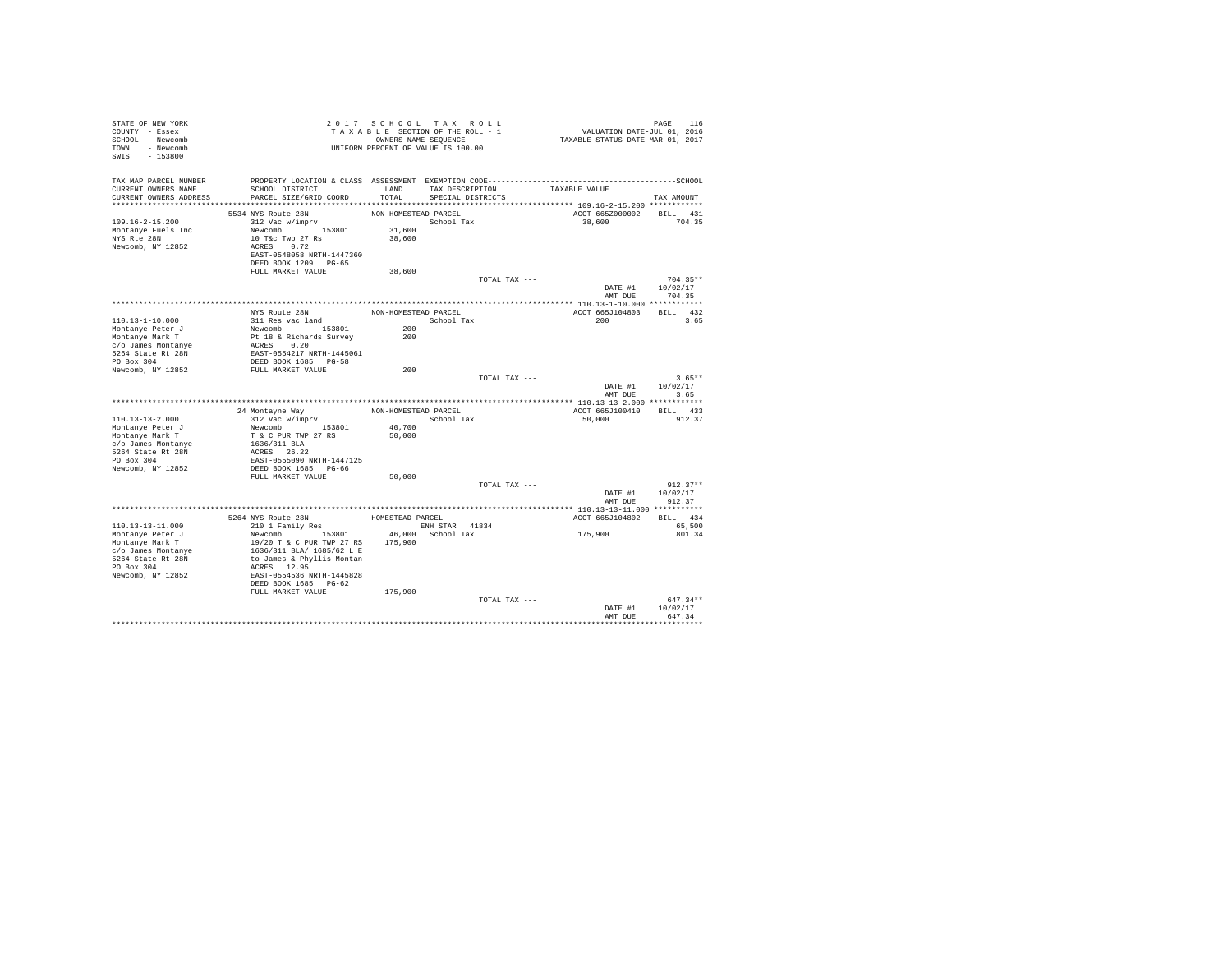| STATE OF NEW YORK<br>COUNTY - Essex<br>SCHOOL - Newcomb<br>TOWN - Newcomb<br>$-153800$<br>SWIS                                              |                                                                                                                                                                                                                     |                                          | 2017 SCHOOL TAX ROLL<br>TAXABLE SECTION OF THE ROLL - 1<br>OWNERS NAME SEQUENCE<br>UNIFORM PERCENT OF VALUE IS 100.00 | VALUATION DATE-JUL 01, 2016<br>TAXABLE STATUS DATE-MAR 01, 2017 | PAGE<br>116                                       |
|---------------------------------------------------------------------------------------------------------------------------------------------|---------------------------------------------------------------------------------------------------------------------------------------------------------------------------------------------------------------------|------------------------------------------|-----------------------------------------------------------------------------------------------------------------------|-----------------------------------------------------------------|---------------------------------------------------|
| TAX MAP PARCEL NUMBER<br>CURRENT OWNERS NAME<br>CURRENT OWNERS ADDRESS                                                                      | SCHOOL DISTRICT<br>PARCEL SIZE/GRID COORD                                                                                                                                                                           | TOTAL                                    | LAND TAX DESCRIPTION<br>SPECIAL DISTRICTS                                                                             | TAXABLE VALUE                                                   | TAX AMOUNT                                        |
|                                                                                                                                             |                                                                                                                                                                                                                     |                                          |                                                                                                                       |                                                                 |                                                   |
| 109.16-2-15.200<br>Montanye Fuels Inc<br>NYS Rte 28N<br>Newcomb, NY 12852                                                                   | 5534 NYS Route 28N<br>312 Vac w/imprv<br>Newcomb 153801<br>10 T&c Twp 27 Rs<br>ACRES 0.72<br>EAST-0548058 NRTH-1447360<br>DEED BOOK 1209 PG-65                                                                      | NON-HOMESTEAD PARCEL<br>31,600<br>38,600 | School Tax                                                                                                            | ACCT 665Z000002<br>38,600                                       | BILL 431<br>704.35                                |
|                                                                                                                                             | FULL MARKET VALUE                                                                                                                                                                                                   | 38,600                                   |                                                                                                                       |                                                                 |                                                   |
|                                                                                                                                             |                                                                                                                                                                                                                     |                                          |                                                                                                                       | TOTAL TAX ---<br>DATE #1<br>AMT DUE                             | $704.35**$<br>10/02/17<br>704.35                  |
|                                                                                                                                             |                                                                                                                                                                                                                     |                                          |                                                                                                                       |                                                                 |                                                   |
| 110.13-1-10.000<br>Montanye Peter J<br>Montanye Mark T                                                                                      | NYS Route 28N<br>311 Res vac land<br>Newcomb 153801<br>Pt 18 & Richards Survey                                                                                                                                      | NON-HOMESTEAD PARCEL<br>200<br>200       | School Tax                                                                                                            | ACCT 665J104803<br>200                                          | BILL 432<br>3.65                                  |
| c/o James Montanye<br>5264 State Rt 28N<br>PO Box 304                                                                                       | ACRES 0.20<br>EAST-0554217 NRTH-1445061<br>DEED BOOK 1685 PG-58                                                                                                                                                     |                                          |                                                                                                                       |                                                                 |                                                   |
| Newcomb, NY 12852                                                                                                                           | FULL MARKET VALUE                                                                                                                                                                                                   | 200                                      |                                                                                                                       | TOTAL TAX ---<br>DATE #1<br>AMT DUE                             | $3.65**$<br>10/02/17<br>3.65                      |
|                                                                                                                                             |                                                                                                                                                                                                                     |                                          |                                                                                                                       |                                                                 |                                                   |
|                                                                                                                                             | 24 Montayne Way                                                                                                                                                                                                     | NON-HOMESTEAD PARCEL                     |                                                                                                                       | ACCT 665J100410                                                 | BILL 433                                          |
| 110.13-13-2.000                                                                                                                             | 312 Vac w/imprv                                                                                                                                                                                                     |                                          | School Tax                                                                                                            | 50,000                                                          | 912.37                                            |
| Montanye Peter J<br>Montanye Mark T<br>c/o James Montanye<br>5264 State Rt 28N<br>PO Box 304<br>Newcomb, NY 12852                           | Newcomb 153801<br>T & C PUR TWP 27 RS<br>1636/311 BLA<br>ACRES 26.22<br>EAST-0555090 NRTH-1447125<br>DEED BOOK 1685 PG-66                                                                                           | 40,700<br>50,000                         |                                                                                                                       |                                                                 |                                                   |
|                                                                                                                                             | FULL MARKET VALUE                                                                                                                                                                                                   | 50,000                                   |                                                                                                                       |                                                                 |                                                   |
|                                                                                                                                             |                                                                                                                                                                                                                     |                                          |                                                                                                                       | TOTAL TAX ---<br>DATE #1<br>AMT DUE                             | $912.37**$<br>10/02/17<br>912.37                  |
|                                                                                                                                             |                                                                                                                                                                                                                     |                                          |                                                                                                                       |                                                                 |                                                   |
| $110.13 - 13 - 11.000$<br>Montanye Peter J<br>Montanye Mark T<br>c/o James Montanye<br>5264 State Rt 28N<br>PO Box 304<br>Newcomb, NY 12852 | 5264 NYS Route 28N<br>210 1 Family Res<br>Newcomb 153801<br>19/20 T & C PUR TWP 27 RS<br>1636/311 BLA/ 1685/62 L E<br>to James & Phyllis Montan<br>ACRES 12.95<br>EAST-0554536 NRTH-1445828<br>DEED BOOK 1685 PG-62 | HOMESTEAD PARCEL<br>175,900              | <b>ENH STAR 41834</b><br>46,000 School Tax                                                                            | ACCT 665J104802<br>175,900                                      | BILL 434<br>65,500<br>801.34                      |
|                                                                                                                                             | FULL MARKET VALUE                                                                                                                                                                                                   | 175,900                                  |                                                                                                                       | TOTAL TAX ---<br>DATE #1<br>AMT DUE                             | $647.34**$<br>10/02/17<br>647.34<br>************* |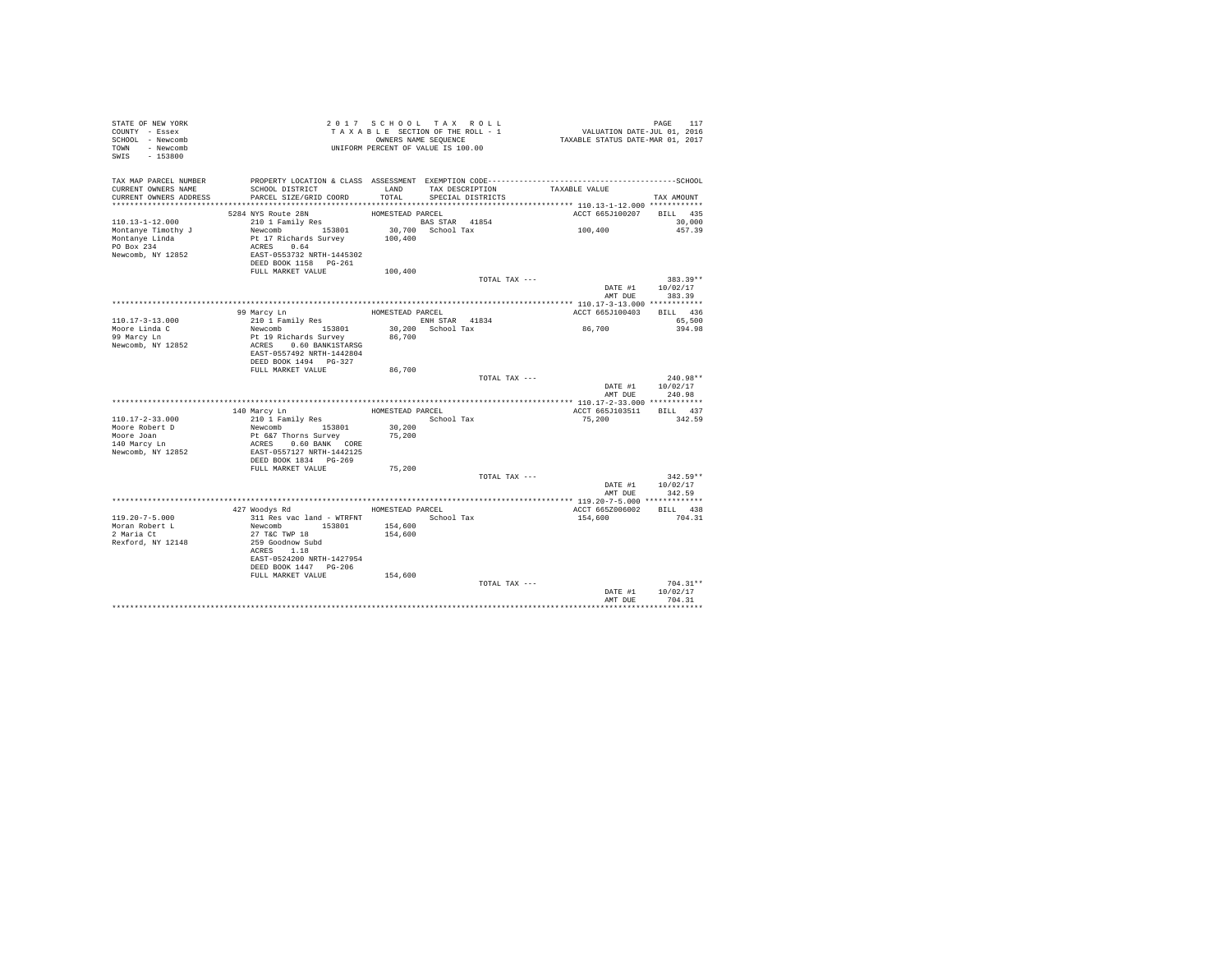| STATE OF NEW YORK<br>COUNTY - Essex<br>SCHOOL - Newcomb<br>TOWN - Newcomb<br>SWIS - 153800 |                                                    | 2017 SCHOOL TAX ROLL<br>TAXABLE SECTION OF THE ROLL - 1<br>OWNERS NAME SEQUENCE<br>UNIFORM PERCENT OF VALUE IS 100.00 |                   |                                      | PAGE 117<br>VALUATION DATE-JUL 01, 2016<br>TAXABLE STATUS DATE-MAR 01, 2017 |                    |            |
|--------------------------------------------------------------------------------------------|----------------------------------------------------|-----------------------------------------------------------------------------------------------------------------------|-------------------|--------------------------------------|-----------------------------------------------------------------------------|--------------------|------------|
| TAX MAP PARCEL NUMBER<br>CURRENT OWNERS NAME<br>CURRENT OWNERS ADDRESS                     | SCHOOL DISTRICT<br>PARCEL SIZE/GRID COORD          | LAND<br>TOTAL                                                                                                         |                   | TAX DESCRIPTION<br>SPECIAL DISTRICTS | TAXABLE VALUE                                                               | TAX AMOUNT         |            |
|                                                                                            | 5284 NYS Route 28N                                 | HOMESTEAD PARCEL                                                                                                      |                   |                                      | ACCT 665J100207 BILL 435                                                    |                    |            |
| $110.13 - 1 - 12.000$                                                                      | $210$ 1 Family Res                                 | <b>BAS STAR 41854</b>                                                                                                 |                   |                                      |                                                                             |                    | 30,000     |
| Montanye Timothy J                                                                         | Newcomb 153801                                     |                                                                                                                       | 30,700 School Tax |                                      | 100,400                                                                     |                    | 457.39     |
| Montanye Linda                                                                             | Pt 17 Richards Survey                              | 100,400                                                                                                               |                   |                                      |                                                                             |                    |            |
| PO Box 234<br>Newcomb, NY 12852                                                            | ACRES 0.64<br>EAST-0553732 NRTH-1445302            |                                                                                                                       |                   |                                      |                                                                             |                    |            |
|                                                                                            | DEED BOOK 1158 PG-261                              |                                                                                                                       |                   |                                      |                                                                             |                    |            |
|                                                                                            | FULL MARKET VALUE                                  | 100,400                                                                                                               |                   |                                      |                                                                             |                    |            |
|                                                                                            |                                                    |                                                                                                                       |                   | TOTAL TAX ---                        |                                                                             |                    | 383.39**   |
|                                                                                            |                                                    |                                                                                                                       |                   |                                      | DATE #1<br>AMT DUR                                                          | 10/02/17<br>383.39 |            |
|                                                                                            |                                                    |                                                                                                                       |                   |                                      |                                                                             |                    |            |
|                                                                                            | 99 Marcy Ln                                        | HOMESTEAD PARCEL                                                                                                      |                   |                                      | ACCT 665J100403                                                             | BILL 436           |            |
| 110.17-3-13.000                                                                            | 210 1 Family Res                                   | ENH STAR 41834                                                                                                        |                   |                                      |                                                                             |                    | 65,500     |
| Moore Linda C                                                                              | Newcomb 153801                                     |                                                                                                                       | 30,200 School Tax |                                      | 86,700                                                                      |                    | 394.98     |
| 99 Marcy Ln<br>Newcomb, NY 12852                                                           | Pt 19 Richards Survey<br>ACRES 0.60 BANK1STARSG    | 86,700                                                                                                                |                   |                                      |                                                                             |                    |            |
|                                                                                            | EAST-0557492 NRTH-1442804                          |                                                                                                                       |                   |                                      |                                                                             |                    |            |
|                                                                                            | DEED BOOK 1494 PG-327                              |                                                                                                                       |                   |                                      |                                                                             |                    |            |
|                                                                                            | FULL MARKET VALUE                                  | 86,700                                                                                                                |                   |                                      |                                                                             |                    |            |
|                                                                                            |                                                    |                                                                                                                       |                   | TOTAL TAX ---                        | DATE #1 10/02/17                                                            |                    | 240.98**   |
|                                                                                            |                                                    |                                                                                                                       |                   |                                      | AMT DUE                                                                     | 240.98             |            |
|                                                                                            |                                                    |                                                                                                                       |                   |                                      |                                                                             |                    |            |
|                                                                                            | 140 Marcy Ln                                       | HOMESTEAD PARCEL                                                                                                      |                   |                                      | ACCT 665J103511 BILL 437                                                    |                    |            |
| $110.17 - 2 - 33.000$                                                                      | 210 1 Family Res<br>Newcomb 153801                 | 30,200                                                                                                                | School Tax        |                                      | 75,200                                                                      | 342.59             |            |
| Moore Robert D<br>Moore Joan                                                               | Pt 6&7 Thorns Survey                               | 75,200                                                                                                                |                   |                                      |                                                                             |                    |            |
| 140 Marcy Ln                                                                               | ACRES 0.60 BANK CORE                               |                                                                                                                       |                   |                                      |                                                                             |                    |            |
| Newcomb, NY 12852                                                                          | EAST-0557127 NRTH-1442125                          |                                                                                                                       |                   |                                      |                                                                             |                    |            |
|                                                                                            | DEED BOOK 1834 PG-269                              |                                                                                                                       |                   |                                      |                                                                             |                    |            |
|                                                                                            | FULL MARKET VALUE                                  | 75,200                                                                                                                |                   | TOTAL TAX ---                        |                                                                             |                    | $342.59**$ |
|                                                                                            |                                                    |                                                                                                                       |                   |                                      |                                                                             | DATE #1 10/02/17   |            |
|                                                                                            |                                                    |                                                                                                                       |                   |                                      | AMT DUE                                                                     | 342.59             |            |
|                                                                                            |                                                    |                                                                                                                       |                   |                                      |                                                                             |                    |            |
| $119.20 - 7 - 5.000$                                                                       | 427 Woodys Rd<br>311 Res vac land - WTRFNT         | HOMESTEAD PARCEL                                                                                                      | School Tax        |                                      | ACCT 665Z006002<br>154,600                                                  | BILL 438<br>704.31 |            |
| Moran Robert L                                                                             | Newcomb 153801                                     | 154,600                                                                                                               |                   |                                      |                                                                             |                    |            |
| 2 Maria Ct                                                                                 | 27 T&C TWP 18                                      | 154,600                                                                                                               |                   |                                      |                                                                             |                    |            |
| Rexford, NY 12148                                                                          | 259 Goodnow Subd                                   |                                                                                                                       |                   |                                      |                                                                             |                    |            |
|                                                                                            | ACRES 1.18                                         |                                                                                                                       |                   |                                      |                                                                             |                    |            |
|                                                                                            | EAST-0524200 NRTH-1427954<br>DEED BOOK 1447 PG-206 |                                                                                                                       |                   |                                      |                                                                             |                    |            |
|                                                                                            | FULL MARKET VALUE                                  | 154,600                                                                                                               |                   |                                      |                                                                             |                    |            |
|                                                                                            |                                                    |                                                                                                                       |                   | TOTAL TAX ---                        |                                                                             |                    | $704.31**$ |
|                                                                                            |                                                    |                                                                                                                       |                   |                                      | DATE #1                                                                     | 10/02/17           |            |
|                                                                                            |                                                    |                                                                                                                       |                   |                                      | AMT DUE                                                                     | 704.31             |            |
|                                                                                            |                                                    |                                                                                                                       |                   |                                      |                                                                             |                    |            |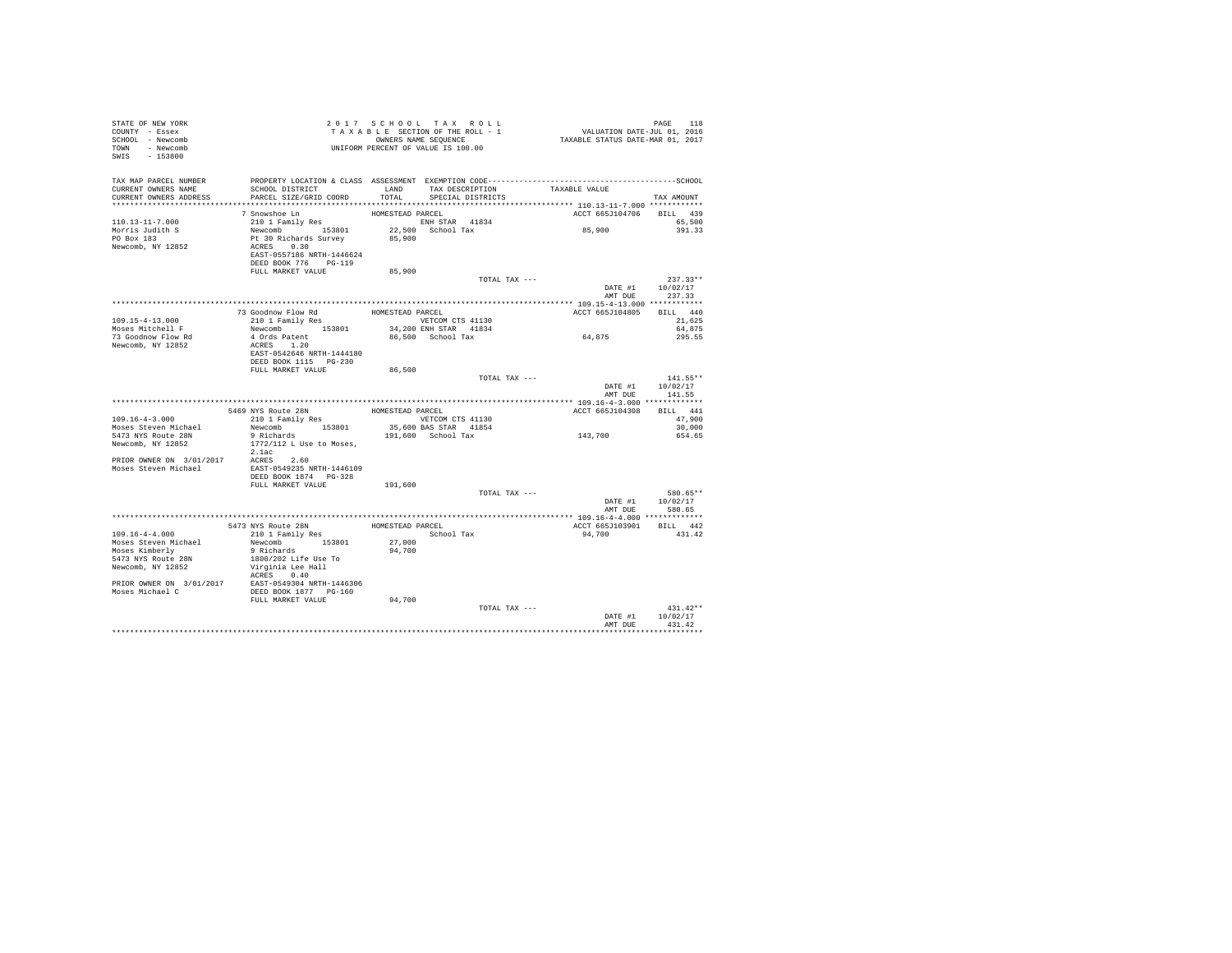| STATE OF NEW YORK<br>COUNTY - Essex<br>SCHOOL - Newcomb<br>TOWN - Newcomb<br>SWIS - 153800  | 2017 SURI SECTION OF THE ROLL - 1<br>TAXABLE SECTION OF THE ROLL - 1<br>ONNERS NAME SEQUENCE<br>UNIFORM PERCENT OF VALUE IS 100.00 |                  |                                             |                          |                                        |
|---------------------------------------------------------------------------------------------|------------------------------------------------------------------------------------------------------------------------------------|------------------|---------------------------------------------|--------------------------|----------------------------------------|
| TAX MAP PARCEL NUMBER<br>CURRENT OWNERS NAME                                                | SCHOOL DISTRICT                                                                                                                    |                  | LAND TAX DESCRIPTION                        | TAXABLE VALUE            |                                        |
| CURRENT OWNERS ADDRESS                                                                      | PARCEL SIZE/GRID COORD                                                                                                             | TOTAL            | SPECIAL DISTRICTS                           |                          | TAX AMOUNT                             |
|                                                                                             | 7 Snowshoe Ln                                                                                                                      | HOMESTEAD PARCEL |                                             | ACCT 665J104706 BILL 439 |                                        |
| 110.13-11-7.000<br>Morris Judith S<br>PO Box 183                                            | 210 1 Family Res<br>Newcomb 153801<br>Pt 30 Richards Survey<br>ACRES 0.30                                                          | 85,900           | ENH STAR 41834<br>22,500 School Tax         | 85,900                   | 65,500<br>391.33                       |
| Newcomb, NY 12852                                                                           | EAST-0557186 NRTH-1446624<br>DEED BOOK 776 PG-119<br>FULL MARKET VALUE                                                             | 85,900           |                                             |                          |                                        |
|                                                                                             |                                                                                                                                    |                  | TOTAL TAX ---                               |                          | $237.33**$                             |
|                                                                                             |                                                                                                                                    |                  |                                             |                          | DATE #1 10/02/17<br>AMT DUE 237.33     |
|                                                                                             |                                                                                                                                    |                  |                                             |                          |                                        |
|                                                                                             |                                                                                                                                    |                  |                                             | ACCT 665J104805 BILL 440 |                                        |
| 109.15-4-13.000                                                                             | Newcomb 153801                                                                                                                     |                  | VETCOM CTS 41130<br>34,200 ENH STAR 41834   |                          | 21,625<br>64,875                       |
| Moses Mitchell F<br>73 Goodnow Flow Rd                                                      | 4 Ords Patent                                                                                                                      |                  | 86,500 School Tax                           | 64,875                   | 295.55                                 |
| Newcomb, NY 12852                                                                           | ACRES 1.20                                                                                                                         |                  |                                             |                          |                                        |
|                                                                                             | EAST-0542646 NRTH-1444180<br>DEED BOOK 1115 PG-230                                                                                 |                  |                                             |                          |                                        |
|                                                                                             | FULL MARKET VALUE                                                                                                                  | 86,500           |                                             |                          |                                        |
|                                                                                             |                                                                                                                                    |                  | TOTAL TAX ---                               | AMT DUE                  | 141.55**<br>DATE #1 10/02/17<br>141.55 |
|                                                                                             |                                                                                                                                    |                  |                                             |                          |                                        |
|                                                                                             | 5469 NYS Route 28N                                                                                                                 | HOMESTEAD PARCEL |                                             | ACCT 665J104308 BILL 441 |                                        |
| $109.16 - 4 - 3.000$                                                                        | 210 1 Family Res                                                                                                                   |                  | VETCOM CTS 41130                            |                          | 47,900                                 |
| Moses Steven Michael<br>5473 NYS Route 28N                                                  | Newcomb 153801                                                                                                                     |                  | 35,600 BAS STAR 41854<br>191,600 School Tax | 143,700                  | 30,000<br>654.65                       |
| Newcomb, NY 12852                                                                           | 9 Richards<br>1772/112 L Use to Moses,<br>2.1ac                                                                                    |                  |                                             |                          |                                        |
| PRIOR OWNER ON 3/01/2017 ACRES 2.60<br>Moses Steven Michael EAST-0549235 NRTH-1446109       |                                                                                                                                    |                  |                                             |                          |                                        |
|                                                                                             | DEED BOOK 1874     PG-328                                                                                                          |                  |                                             |                          |                                        |
|                                                                                             | FULL MARKET VALUE                                                                                                                  | 191,600          |                                             |                          |                                        |
|                                                                                             |                                                                                                                                    |                  | TOTAL TAX ---                               |                          | 580.65**<br>DATE #1 10/02/17           |
|                                                                                             |                                                                                                                                    |                  |                                             |                          | AMT DUE 580.65                         |
|                                                                                             |                                                                                                                                    |                  | HOMESTEAD PARCEL                            | ACCT 665J103901 BILL 442 |                                        |
| $109.16 - 4 - 4.000$                                                                        | 5473 NYS Route 28N<br>210 1 Family Res                                                                                             |                  | School Tax                                  | 94,700                   | 431.42                                 |
| Moses Steven Michael                                                                        | Newcomb 153801<br>9 Richards                                                                                                       | 27,000           |                                             |                          |                                        |
| Moses Kimberly                                                                              |                                                                                                                                    | 94,700           |                                             |                          |                                        |
| 5473 NYS Route 28N                                                                          | 1800/202 Life Use To                                                                                                               |                  |                                             |                          |                                        |
| Newcomb, NY 12852                                                                           | Virginia Lee Hall<br>ACRES 0.40                                                                                                    |                  |                                             |                          |                                        |
| PRIOR OWNER ON 3/01/2017 EAST-0549304 NRTH-1446306<br>Moses Michael C DEED BOOK 1877 PG-160 |                                                                                                                                    |                  |                                             |                          |                                        |
|                                                                                             | FULL MARKET VALUE                                                                                                                  | 94,700           |                                             |                          |                                        |
|                                                                                             |                                                                                                                                    |                  | TOTAL TAX ---                               |                          | $431.42**$                             |
|                                                                                             |                                                                                                                                    |                  |                                             | DATE #1                  | 10/02/17                               |
|                                                                                             |                                                                                                                                    |                  |                                             | AMT DUE                  | 431.42<br>***********                  |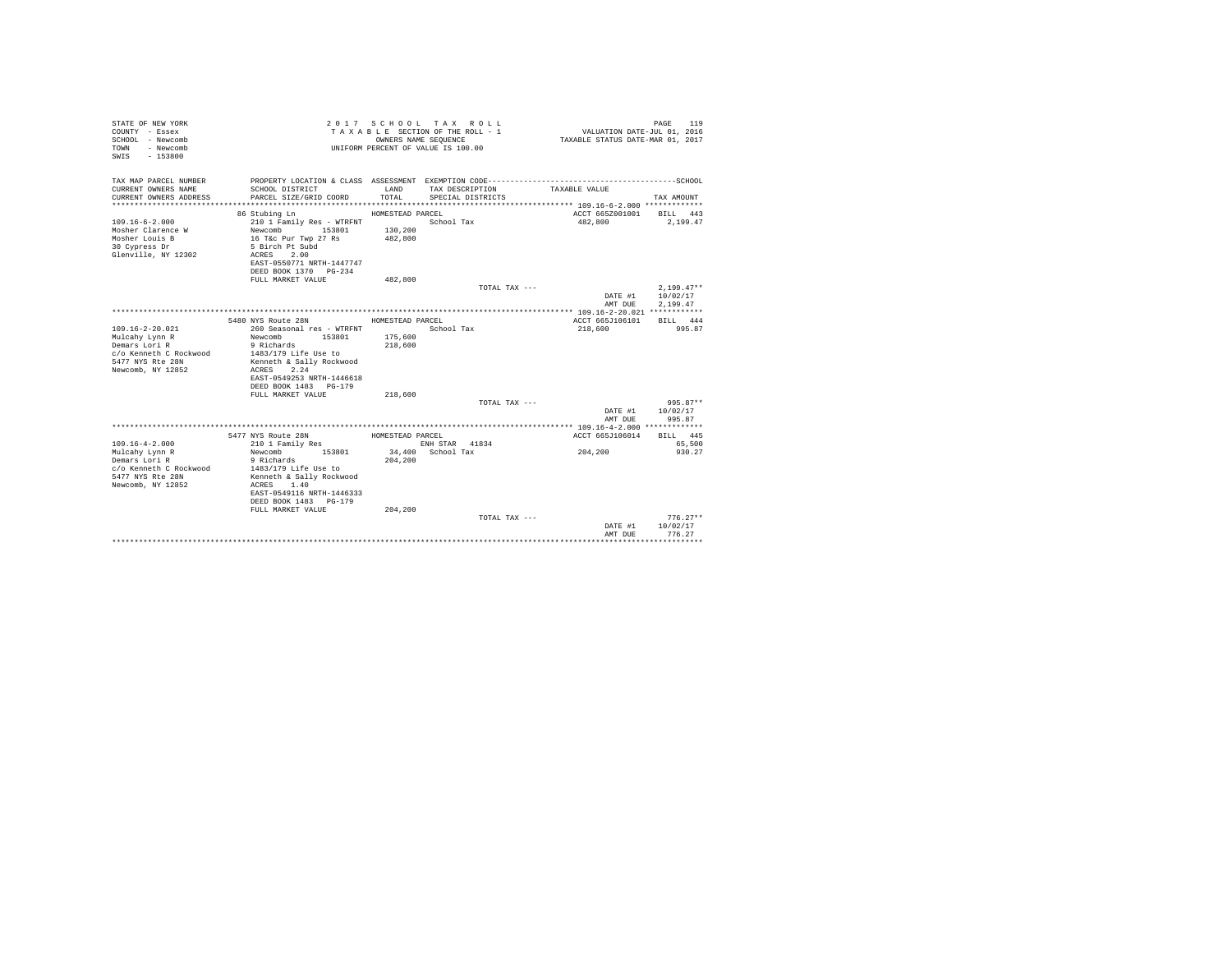| STATE OF NEW YORK<br>COUNTY - Essex<br>SCHOOL - Newcomb<br>- Newcomb<br>TOWN<br>$-153800$<br>SWIS |                                            | OWNERS NAME SEOUENCE | 2017 SCHOOL TAX ROLL<br>TAXABLE SECTION OF THE ROLL - 1<br>UNIFORM PERCENT OF VALUE IS 100.00 | VALUATION DATE-JUL 01, 2016<br>TAXABLE STATUS DATE-MAR 01, 2017 | PAGE<br>119  |
|---------------------------------------------------------------------------------------------------|--------------------------------------------|----------------------|-----------------------------------------------------------------------------------------------|-----------------------------------------------------------------|--------------|
| TAX MAP PARCEL NUMBER                                                                             |                                            |                      |                                                                                               |                                                                 |              |
| CURRENT OWNERS NAME<br>CURRENT OWNERS ADDRESS                                                     | SCHOOL DISTRICT<br>PARCEL SIZE/GRID COORD  | LAND<br>TOTAL        | TAX DESCRIPTION<br>SPECIAL DISTRICTS                                                          | TAXABLE VALUE                                                   | TAX AMOUNT   |
|                                                                                                   |                                            |                      |                                                                                               |                                                                 |              |
|                                                                                                   | 86 Stubing Ln                              | HOMESTEAD PARCEL     |                                                                                               | ACCT 665Z001001 BILL 443                                        |              |
| $109.16 - 6 - 2.000$                                                                              | 210 1 Family Res - WTRFNT                  |                      | School Tax                                                                                    | 482,800                                                         | 2,199.47     |
| Mosher Clarence W                                                                                 | 153801<br>Newcomb                          | 130,200              |                                                                                               |                                                                 |              |
| Mosher Louis B                                                                                    | 16 T&c Pur Twp 27 Rs                       | 482,800              |                                                                                               |                                                                 |              |
| 30 Cypress Dr                                                                                     | 5 Birch Pt Subd<br>2.00                    |                      |                                                                                               |                                                                 |              |
| Glenville, NY 12302                                                                               | ACRES<br>EAST-0550771 NRTH-1447747         |                      |                                                                                               |                                                                 |              |
|                                                                                                   | DEED BOOK 1370 PG-234                      |                      |                                                                                               |                                                                 |              |
|                                                                                                   | FULL MARKET VALUE                          | 482,800              |                                                                                               |                                                                 |              |
|                                                                                                   |                                            |                      | TOTAL TAX ---                                                                                 |                                                                 | $2.199.47**$ |
|                                                                                                   |                                            |                      |                                                                                               | DATE #1                                                         | 10/02/17     |
|                                                                                                   |                                            |                      |                                                                                               | AMT DUE                                                         | 2.199.47     |
|                                                                                                   | 5480 NYS Route 28N                         | HOMESTEAD PARCEL     |                                                                                               | ACCT 665J106101                                                 | BILL 444     |
| $109.16 - 2 - 20.021$                                                                             | 260 Seasonal res - WTRFNT                  |                      | School Tax                                                                                    | 218,600                                                         | 995.87       |
| Mulcahy Lynn R                                                                                    | 153801<br>Newcomb                          | 175,600              |                                                                                               |                                                                 |              |
| Demars Lori R                                                                                     | 9 Richards                                 | 218,600              |                                                                                               |                                                                 |              |
| c/o Kenneth C Rockwood                                                                            | 1483/179 Life Use to                       |                      |                                                                                               |                                                                 |              |
| 5477 NYS Rte 28N                                                                                  | Kenneth & Sally Rockwood                   |                      |                                                                                               |                                                                 |              |
| Newcomb, NY 12852                                                                                 | 2.24<br>ACRES<br>EAST-0549253 NRTH-1446618 |                      |                                                                                               |                                                                 |              |
|                                                                                                   | DEED BOOK 1483 PG-179                      |                      |                                                                                               |                                                                 |              |
|                                                                                                   | FULL MARKET VALUE                          | 218,600              |                                                                                               |                                                                 |              |
|                                                                                                   |                                            |                      | TOTAL TAX ---                                                                                 |                                                                 | $995.87**$   |
|                                                                                                   |                                            |                      |                                                                                               | DATE #1                                                         | 10/02/17     |
|                                                                                                   |                                            |                      |                                                                                               | AMT DUE                                                         | 995.87       |
|                                                                                                   | 5477 NYS Route 28N                         | HOMESTEAD PARCEL     |                                                                                               | ACCT 665J106014                                                 | BILL 445     |
| $109.16 - 4 - 2.000$                                                                              | 210 1 Family Res                           |                      | ENH STAR 41834                                                                                |                                                                 | 65,500       |
| Mulcahy Lynn R                                                                                    | 153801<br>Newcomb                          |                      | 34,400 School Tax                                                                             | 204,200                                                         | 930.27       |
| Demars Lori R                                                                                     | 9 Richards                                 | 204,200              |                                                                                               |                                                                 |              |
| c/o Kenneth C Rockwood                                                                            | 1483/179 Life Use to                       |                      |                                                                                               |                                                                 |              |
| 5477 NYS Rte 28N                                                                                  | Kenneth & Sally Rockwood                   |                      |                                                                                               |                                                                 |              |
| Newcomb, NY 12852                                                                                 | ACRES 1.40<br>EAST-0549116 NRTH-1446333    |                      |                                                                                               |                                                                 |              |
|                                                                                                   | DEED BOOK 1483 PG-179                      |                      |                                                                                               |                                                                 |              |
|                                                                                                   | FULL MARKET VALUE                          | 204,200              |                                                                                               |                                                                 |              |
|                                                                                                   |                                            |                      | TOTAL TAX ---                                                                                 |                                                                 | $776.27**$   |
|                                                                                                   |                                            |                      |                                                                                               | DATE #1                                                         | 10/02/17     |
|                                                                                                   |                                            |                      |                                                                                               | AMT DUE                                                         | 776.27       |
|                                                                                                   |                                            |                      |                                                                                               |                                                                 |              |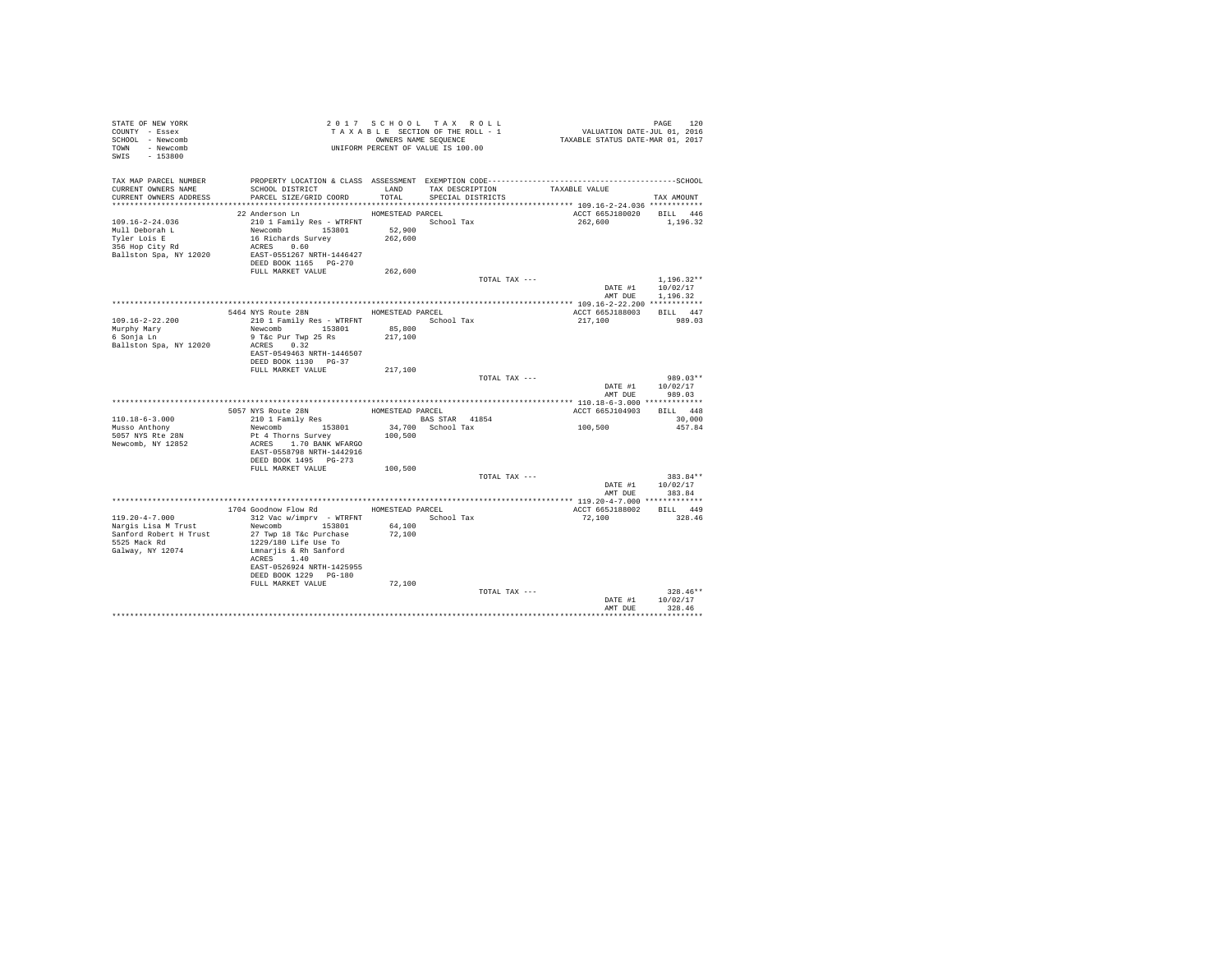| STATE OF NEW YORK<br>COUNTY - Essex<br>SCHOOL - Newcomb<br>TOWN - Newcomb<br>SWIS - 153800                | TAXABLES NAME SEQUENCE<br>ONNERS NAME SEQUENCE<br>UNIFORM PERCENT OF VALUE IS 100.00                                                                                                                                               | TAXABLE SECTION OF THE ROLL - 1<br>OWNERS NAME SEQUENCE |            |                   | PAGE 120<br>VALUATION DATE-JUL 01, 2016<br>TAXABLE STATUS DATE-MAR 01, 2017 |                                                  |
|-----------------------------------------------------------------------------------------------------------|------------------------------------------------------------------------------------------------------------------------------------------------------------------------------------------------------------------------------------|---------------------------------------------------------|------------|-------------------|-----------------------------------------------------------------------------|--------------------------------------------------|
| CURRENT OWNERS NAME<br>CURRENT OWNERS ADDRESS                                                             | SCHOOL DISTRICT<br>PARCEL SIZE/GRID COORD                                                                                                                                                                                          | TOTAL                                                   |            | SPECIAL DISTRICTS | LAND TAX DESCRIPTION TAXABLE VALUE                                          | TAX AMOUNT                                       |
|                                                                                                           |                                                                                                                                                                                                                                    |                                                         |            |                   |                                                                             |                                                  |
| $109.16 - 2 - 24.036$<br>Mull Deborah L<br>Tyler Lois E<br>$356$ Hop City Rd<br>Ballston Spa, NY 12020    | 22 Anderson Ln<br>210 1 Family Res - WTRFNT  School Tax<br>Newcomb 153801<br>16 Richards Survey<br>ACRES 0.60<br>EAST-0551267 NRTH-1446427<br>DEED BOOK 1165 PG-270                                                                | HOMESTEAD PARCEL<br>52,900<br>262,600                   |            |                   |                                                                             | ACCT 665J180020 BILL 446<br>262.600 1.196.32     |
|                                                                                                           | FULL MARKET VALUE                                                                                                                                                                                                                  | 262,600                                                 |            | TOTAL TAX ---     | DATE #1                                                                     | $1.196.32**$<br>10/02/17                         |
|                                                                                                           |                                                                                                                                                                                                                                    |                                                         |            |                   |                                                                             | AMT DUE 1.196.32                                 |
|                                                                                                           |                                                                                                                                                                                                                                    |                                                         |            |                   |                                                                             |                                                  |
| 109.16-2-22.200<br>Murphy Mary<br>6 Sonja Ln<br>Ballston Spa, NY 12020                                    | 5464 NYS Route 28N<br>210 1 Family Res - WTRFNT<br>Newcomb 153801 85,800<br>9 T&c Pur Twp 25 Rs 217,100<br>9 T&C Pur Twp 25 Rs<br>ACRES 0.32<br>EAST-0549463 NRTH-1446507                                                          | HOMESTEAD PARCEL                                        |            | School Tax        | ACCT 665J188003 BILL 447<br>217,100                                         | 989.03                                           |
|                                                                                                           | DEED BOOK 1130 PG-37                                                                                                                                                                                                               |                                                         |            |                   |                                                                             |                                                  |
|                                                                                                           | FULL MARKET VALUE                                                                                                                                                                                                                  | 217,100                                                 |            |                   |                                                                             |                                                  |
|                                                                                                           |                                                                                                                                                                                                                                    |                                                         |            | TOTAL TAX ---     |                                                                             | $989.03**$<br>DATE #1 10/02/17<br>AMT DUE 989.03 |
|                                                                                                           | 5057 NYS Route 28N HOMESTEAD PARCEL                                                                                                                                                                                                |                                                         |            |                   | ACCT 665J104903 BILL 448                                                    |                                                  |
| $110.18 - 6 - 3.000$                                                                                      | 210 1 Family Res                                                                                                                                                                                                                   | BAS STAR 41854                                          |            |                   |                                                                             | 30,000                                           |
| Musso Anthony<br>5057 NYS Rte 28N<br>Newcomb, NY 12852                                                    | Newcomb 153801<br>Pt 4 Thorns Survey 100,500<br>ACRES 1.70 BANK WFARGO<br>EAST-0558798 NRTH-1442916<br>DEED BOOK 1495 PG-273                                                                                                       | 34,700 School Tax                                       |            |                   | 100, 500                                                                    | 457.84                                           |
|                                                                                                           | FULL MARKET VALUE 100,500                                                                                                                                                                                                          |                                                         |            |                   |                                                                             |                                                  |
|                                                                                                           |                                                                                                                                                                                                                                    |                                                         |            | TOTAL TAX ---     | AMT DUE                                                                     | 383.84**<br>DATE #1 10/02/17<br>383.84           |
|                                                                                                           |                                                                                                                                                                                                                                    |                                                         |            |                   |                                                                             |                                                  |
| $119.20 - 4 - 7.000$<br>Narqis Lisa M Trust<br>Sanford Robert H Trust<br>5525 Mack Rd<br>Galway, NY 12074 | 1704 Goodnow Flow Rd HOMESTEAD PARCEL<br>312 Vac w/imprv - WTRFNT<br>Newcomb 153801<br>27 Twp 18 T&c Purchase<br>1229/180 Life Use To<br>Lmnarjis & Rh Sanford<br>ACRES 1.40<br>EAST-0526924 NRTH-1425955<br>DEED BOOK 1229 PG-180 | 64,100<br>72,100                                        | School Tax |                   | 72,100                                                                      | ACCT 665J188002 BILL 449<br>328.46               |
|                                                                                                           | FULL MARKET VALUE                                                                                                                                                                                                                  | 72,100                                                  |            | TOTAL TAX ---     | DATE #1<br>AMT DUE                                                          | $328.46**$<br>10/02/17<br>328.46                 |
|                                                                                                           |                                                                                                                                                                                                                                    |                                                         |            |                   |                                                                             |                                                  |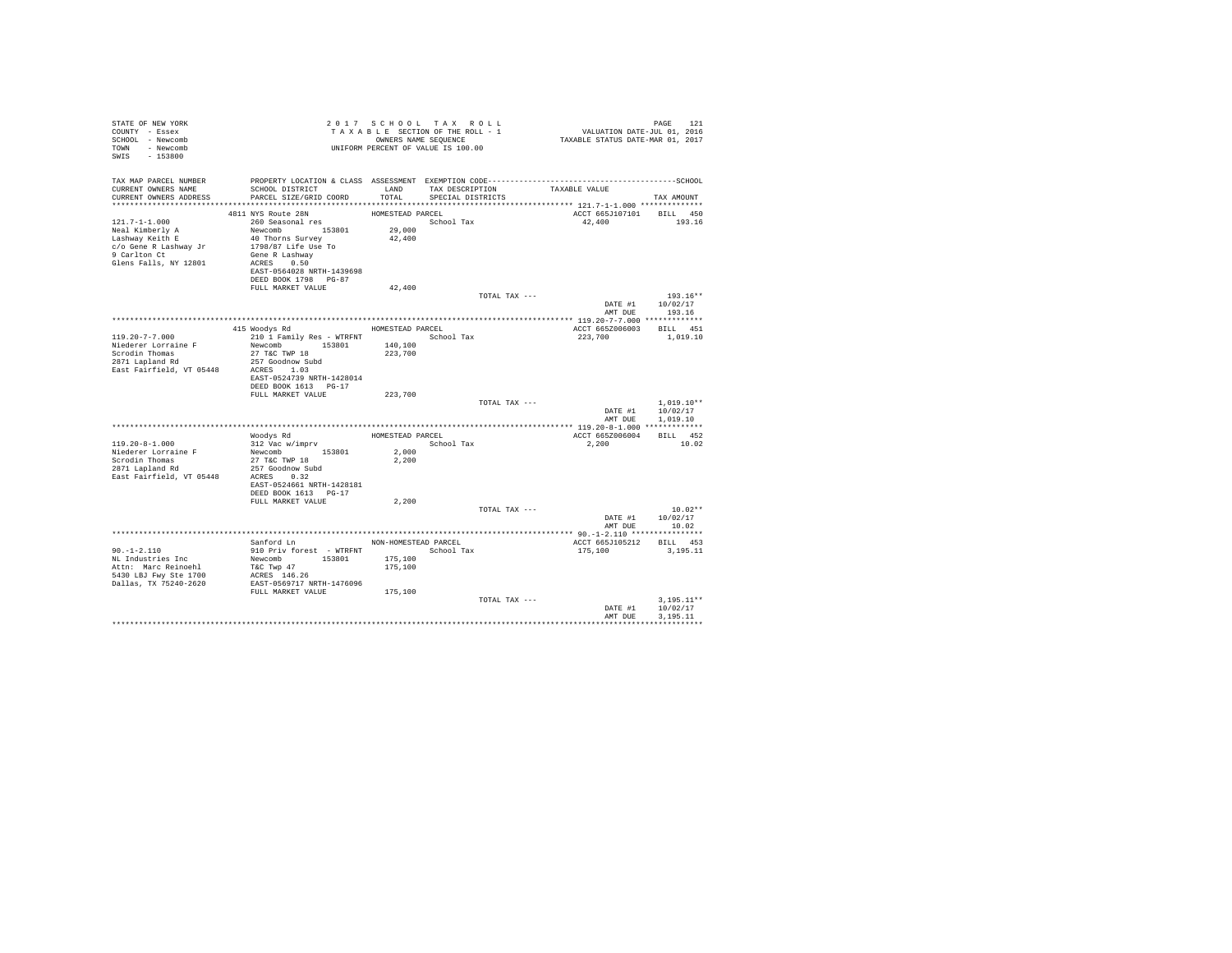| STATE OF NEW YORK<br>COUNTY - Essex<br>SCHOOL - Newcomb<br>TOWN - Newcomb<br>SWIS - 153800                                  |                                                                                                                                                                    |                                            | 2017 SCHOOL TAX ROLL<br>UNIFORM PERCENT OF VALUE IS 100.00 |               | PAGE 121 און דאר איז יינו איז א באפרט בא 121 און 12 באפרט באפרט באפרט בין 1 הוא 12 ביטוח.<br>TAXABLE SECTION OF THE ROLL - 1 וואר 12016 און 12016 באון 12016 הוא די 1202 הוא די 1202 הוא הוא הוא די 1202 ה | PAGE<br>121                              |
|-----------------------------------------------------------------------------------------------------------------------------|--------------------------------------------------------------------------------------------------------------------------------------------------------------------|--------------------------------------------|------------------------------------------------------------|---------------|------------------------------------------------------------------------------------------------------------------------------------------------------------------------------------------------------------|------------------------------------------|
| TAX MAP PARCEL NUMBER<br>CURRENT OWNERS NAME<br>CURRENT OWNERS ADDRESS                                                      | PROPERTY LOCATION & CLASS ASSESSMENT EXEMPTION CODE-----------------------------------SCHOOL<br>SCHOOL DISTRICT<br>PARCEL SIZE/GRID COORD TOTAL                    | LAND                                       | TAX DESCRIPTION<br>SPECIAL DISTRICTS                       |               | TAXABLE VALUE                                                                                                                                                                                              | TAX AMOUNT                               |
|                                                                                                                             | 4811 NYS Route 28N                                                                                                                                                 | HOMESTEAD PARCEL                           |                                                            |               | ACCT 665J107101 BILL 450                                                                                                                                                                                   |                                          |
| $121.7 - 1 - 1.000$<br>Neal Kimberly A<br>Lashway Keith E<br>c/o Gene R Lashway Jr<br>9 Carlton Ct<br>Glens Falls, NY 12801 | 260 Seasonal res<br>Newcomb 153801<br>40 Thorns Survey<br>1798/87 Life Use To<br>Gene R Lashway<br>ACRES 0.50<br>EAST-0564028 NRTH-1439698<br>DEED BOOK 1798 PG-87 | 29,000<br>42,400                           | School Tax                                                 |               | 42,400                                                                                                                                                                                                     | 193.16                                   |
|                                                                                                                             | FULL MARKET VALUE                                                                                                                                                  | 42,400                                     |                                                            |               |                                                                                                                                                                                                            |                                          |
|                                                                                                                             |                                                                                                                                                                    |                                            |                                                            | TOTAL TAX --- | AMT DUE                                                                                                                                                                                                    | $193.16**$<br>DATE #1 10/02/17<br>193.16 |
|                                                                                                                             |                                                                                                                                                                    |                                            |                                                            |               |                                                                                                                                                                                                            |                                          |
| $119.20 - 7 - 7.000$                                                                                                        | 415 Woodys Rd<br>210 1 Family Res - WTRFNT                                                                                                                         | HOMESTEAD PARCEL                           | School Tax                                                 |               | ACCT 665Z006003 BILL 451<br>223,700                                                                                                                                                                        | 1,019.10                                 |
| Niederer Lorraine F                                                                                                         | Newcomb 153801<br>27 T&C TWP 18<br>EAST-0524739 NRTH-1428014                                                                                                       | 140,100<br>223,700                         |                                                            |               |                                                                                                                                                                                                            |                                          |
|                                                                                                                             | DEED BOOK 1613 PG-17<br>FULL MARKET VALUE                                                                                                                          | 223,700                                    |                                                            |               |                                                                                                                                                                                                            |                                          |
|                                                                                                                             |                                                                                                                                                                    |                                            |                                                            | TOTAL TAX --- | DATE #1<br>AMT DUE                                                                                                                                                                                         | $1.019.10**$<br>10/02/17<br>1,019.10     |
|                                                                                                                             |                                                                                                                                                                    |                                            |                                                            |               |                                                                                                                                                                                                            |                                          |
| $119.20 - 8 - 1.000$<br>Niederer Lorraine F<br>Scrodin Thomas<br>2871 Lapland Rd<br>East Fairfield, VT 05448                | Woodys Rd<br>312 Vac w/imprv<br>Newcomb 153801<br>27 T&C TWP 18<br>257 Goodnow Subd<br>ACRES 0.32                                                                  | 2,000<br>2,200                             | HOMESTEAD PARCEL<br>School Tax                             |               | ACCT 665Z006004<br>2,200                                                                                                                                                                                   | BILL 452<br>10.02                        |
|                                                                                                                             | EAST-0524661 NRTH-1428181<br>DEED BOOK 1613 PG-17                                                                                                                  |                                            |                                                            |               |                                                                                                                                                                                                            |                                          |
|                                                                                                                             | FULL MARKET VALUE                                                                                                                                                  | 2,200                                      |                                                            | TOTAL TAX --- |                                                                                                                                                                                                            | $10.02**$<br>DATE #1 10/02/17            |
|                                                                                                                             |                                                                                                                                                                    |                                            |                                                            |               |                                                                                                                                                                                                            | AMT DUE 10.02                            |
|                                                                                                                             |                                                                                                                                                                    |                                            |                                                            |               |                                                                                                                                                                                                            |                                          |
| $90. - 1 - 2.110$<br>NL Industries Inc<br>Attn: Marc Reinoehl<br>5430 LBJ Fwy Ste 1700<br>Dallas, TX 75240-2620             | Sanford Ln<br>910 Priv forest - WTRFNT<br>Newcomb 153801<br>T&C Twp 47<br>ACRES 146.26<br>EAST-0569717 NRTH-1476096                                                | NON-HOMESTEAD PARCEL<br>175,100<br>175,100 | School Tax                                                 |               | ACCT 665J105212 BILL 453<br>175,100                                                                                                                                                                        | 3,195,11                                 |
|                                                                                                                             | FULL MARKET VALUE                                                                                                                                                  | 175,100                                    |                                                            | TOTAL TAX --- | DATE #1<br>AMT DUE                                                                                                                                                                                         | $3.195.11**$<br>10/02/17<br>3.195.11     |
|                                                                                                                             |                                                                                                                                                                    |                                            |                                                            |               |                                                                                                                                                                                                            |                                          |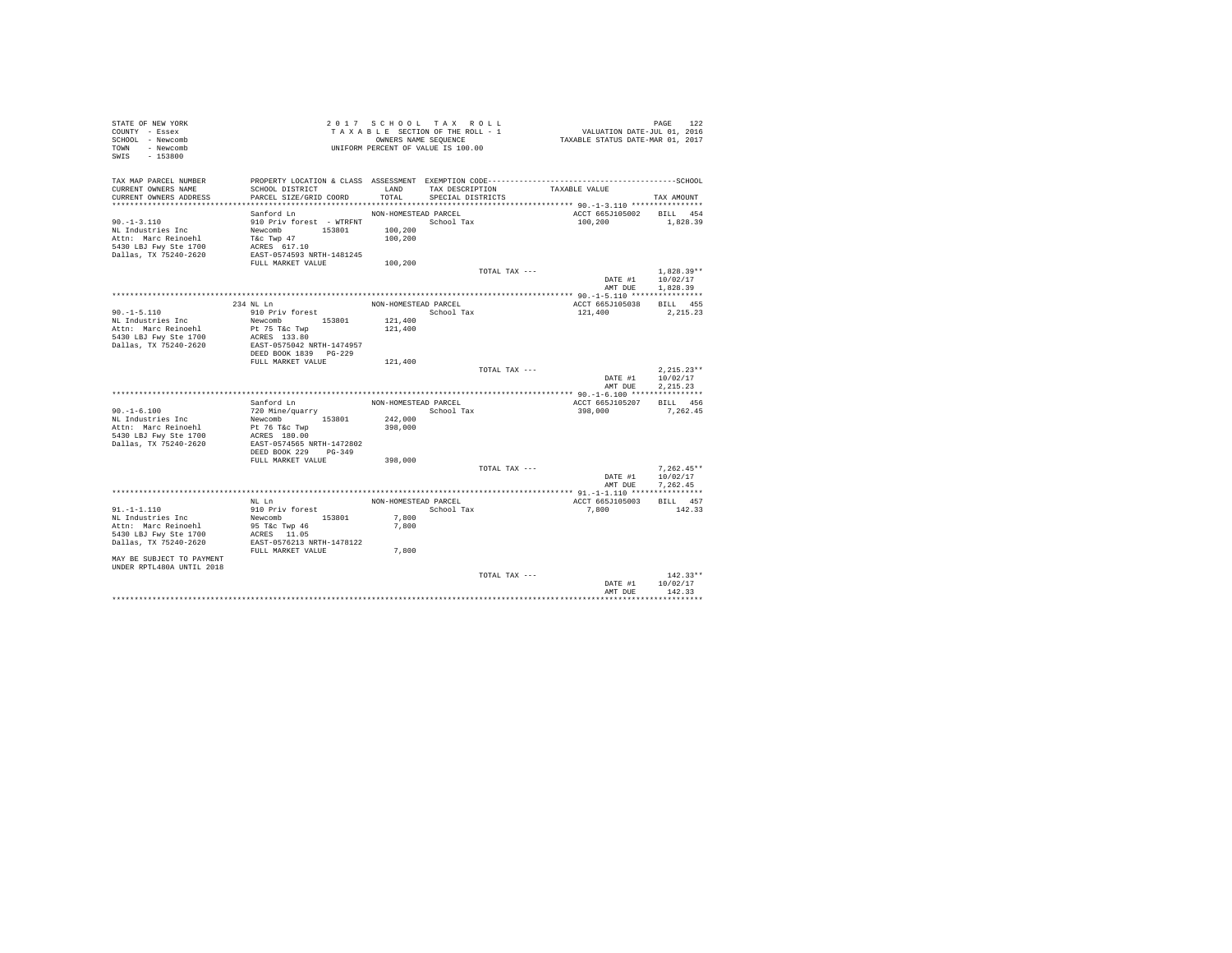| STATE OF NEW YORK<br>COUNTY - Essex<br>SCHOOL - Newcomb<br>TOWN - Newcomb<br>SWIS - 153800                     |                                                                                         | 2017 SCHOOL TAX ROLL<br>TAXABLE SECTION OF THE ROLL - 1<br>OWNERS NAME SEQUENCE<br>UNIFORM PERCENT OF VALUE IS 100.00 |                                      |               | PAGE 122<br>VALUATION DATE-JUL 01, 2016<br>TAXABLE STATUS DATE-MAR 01, 2017 |                                      |
|----------------------------------------------------------------------------------------------------------------|-----------------------------------------------------------------------------------------|-----------------------------------------------------------------------------------------------------------------------|--------------------------------------|---------------|-----------------------------------------------------------------------------|--------------------------------------|
| TAX MAP PARCEL NUMBER<br>CURRENT OWNERS NAME<br>CURRENT OWNERS ADDRESS                                         | SCHOOL DISTRICT<br>PARCEL SIZE/GRID COORD                                               | LAND<br>TOTAL                                                                                                         | TAX DESCRIPTION<br>SPECIAL DISTRICTS |               | TAXABLE VALUE                                                               | TAX AMOUNT                           |
|                                                                                                                |                                                                                         |                                                                                                                       |                                      |               |                                                                             |                                      |
| $90. -1 - 3.110$<br>NL Industries Inc<br>Attn: Marc Reinoehl<br>5430 LBJ Fwy Ste 1700<br>Dallas, TX 75240-2620 | Sanford Ln<br>Newcomb 153801<br>T&C Twp 47<br>ACRES 617.10<br>EAST-0574593 NRTH-1481245 | NON-HOMESTEAD PARCEL<br>100,200<br>100,200                                                                            |                                      |               | ACCT 665J105002 BILL 454<br>100,200                                         | 1,828.39                             |
|                                                                                                                | FULL MARKET VALUE                                                                       | 100,200                                                                                                               |                                      |               |                                                                             |                                      |
|                                                                                                                |                                                                                         |                                                                                                                       |                                      | TOTAL TAX --- | DATE #1<br>AMT DUE                                                          | $1.828.39**$<br>10/02/17<br>1.828.39 |
|                                                                                                                |                                                                                         |                                                                                                                       |                                      |               |                                                                             |                                      |
|                                                                                                                | 234 NL Ln                                                                               | NON-HOMESTEAD PARCEL                                                                                                  |                                      |               | ACCT 665J105038                                                             | BILL 455                             |
| $90. -1 - 5.110$                                                                                               | 910 Priv forest                                                                         |                                                                                                                       | School Tax                           |               | 121,400                                                                     | 2,215.23                             |
| NL Industries Inc                                                                                              | Newcomb 153801                                                                          | 121,400                                                                                                               |                                      |               |                                                                             |                                      |
| Attn: Marc Reinoehl<br>5430 LBJ Fwy Ste 1700                                                                   | Pt 75 T&c Twp<br>ACRES 133.80                                                           | 121,400                                                                                                               |                                      |               |                                                                             |                                      |
| Dallas, TX 75240-2620                                                                                          | EAST-0575042 NRTH-1474957                                                               |                                                                                                                       |                                      |               |                                                                             |                                      |
|                                                                                                                | DEED BOOK 1839    PG-229                                                                |                                                                                                                       |                                      |               |                                                                             |                                      |
|                                                                                                                | FULL MARKET VALUE                                                                       | 121,400                                                                                                               |                                      |               |                                                                             |                                      |
|                                                                                                                |                                                                                         |                                                                                                                       |                                      | TOTAL TAX --- |                                                                             | $2.215.23**$                         |
|                                                                                                                |                                                                                         |                                                                                                                       |                                      |               | DATE #1                                                                     | 10/02/17                             |
|                                                                                                                |                                                                                         |                                                                                                                       |                                      |               | AMT DUE                                                                     | 2.215.23                             |
|                                                                                                                |                                                                                         | NON-HOMESTEAD PARCEL                                                                                                  |                                      |               | ACCT 665J105207                                                             | BILL 456                             |
| $90. -1 - 6.100$                                                                                               | Sanford Ln<br>720 Mine/quarry                                                           | School Tax                                                                                                            |                                      |               | 398,000                                                                     | 7.262.45                             |
| NL Industries Inc                                                                                              |                                                                                         | 242,000                                                                                                               |                                      |               |                                                                             |                                      |
| Attn: Marc Reinoehl                                                                                            | Newcomb 153801<br>Pt 76 T&c Twp                                                         | 398,000                                                                                                               |                                      |               |                                                                             |                                      |
| 5430 LBJ Fwy Ste 1700                                                                                          | ACRES 180.00                                                                            |                                                                                                                       |                                      |               |                                                                             |                                      |
| Dallas, TX 75240-2620                                                                                          | EAST-0574565 NRTH-1472802                                                               |                                                                                                                       |                                      |               |                                                                             |                                      |
|                                                                                                                | DEED BOOK 229 PG-349                                                                    |                                                                                                                       |                                      |               |                                                                             |                                      |
|                                                                                                                | FULL MARKET VALUE                                                                       | 398,000                                                                                                               |                                      |               |                                                                             |                                      |
|                                                                                                                |                                                                                         |                                                                                                                       |                                      | TOTAL TAX --- | DATE #1                                                                     | $7.262.45**$<br>10/02/17             |
|                                                                                                                |                                                                                         |                                                                                                                       |                                      |               | AMT DUE                                                                     | 7,262.45                             |
|                                                                                                                |                                                                                         |                                                                                                                       |                                      |               |                                                                             |                                      |
|                                                                                                                | NL Ln                                                                                   | NON-HOMESTEAD PARCEL                                                                                                  |                                      |               | ACCT 665J105003                                                             | BILL 457                             |
| $91. -1 - 1.110$                                                                                               | 910 Priv forest                                                                         |                                                                                                                       | School Tax                           |               | 7,800                                                                       | 142.33                               |
| NL Industries Inc                                                                                              | Newcomb 153801                                                                          | 7,800                                                                                                                 |                                      |               |                                                                             |                                      |
| Attn: Marc Reinoehl                                                                                            | 95 T&C Twp 46                                                                           | 7,800                                                                                                                 |                                      |               |                                                                             |                                      |
| 5430 LBJ Fwy Ste 1700                                                                                          | ACRES 11.05<br>EAST-0576213 NRTH-1478122                                                |                                                                                                                       |                                      |               |                                                                             |                                      |
| Dallas, TX 75240-2620                                                                                          | FULL MARKET VALUE                                                                       | 7,800                                                                                                                 |                                      |               |                                                                             |                                      |
| MAY BE SUBJECT TO PAYMENT<br>UNDER RPTL480A UNTIL 2018                                                         |                                                                                         |                                                                                                                       |                                      |               |                                                                             |                                      |
|                                                                                                                |                                                                                         |                                                                                                                       |                                      | TOTAL TAX --- |                                                                             | $142.33**$                           |
|                                                                                                                |                                                                                         |                                                                                                                       |                                      |               | DATE #1                                                                     | 10/02/17                             |
|                                                                                                                |                                                                                         |                                                                                                                       |                                      |               | AMT DUE                                                                     | 142.33                               |
|                                                                                                                |                                                                                         |                                                                                                                       |                                      |               |                                                                             |                                      |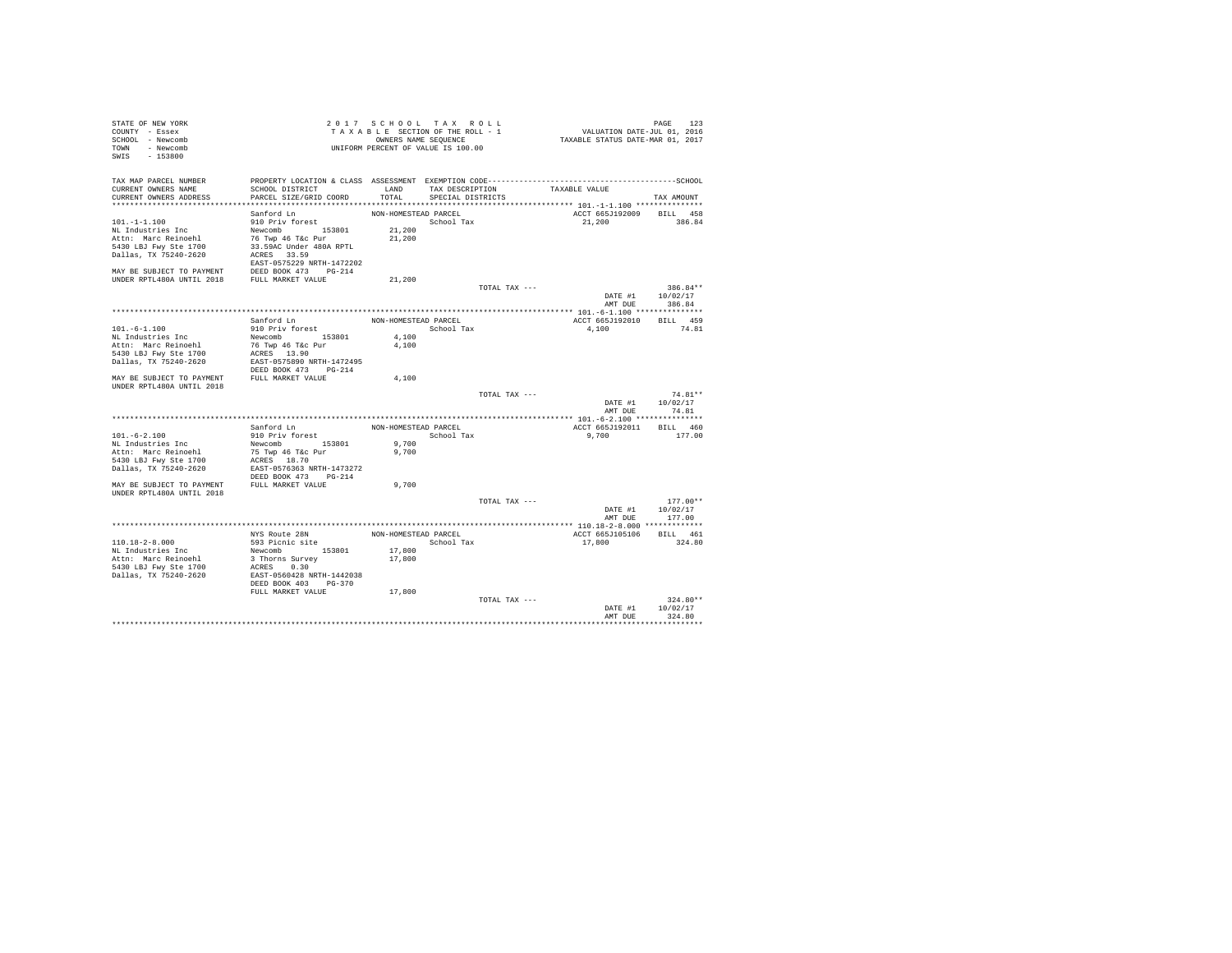| STATE OF NEW YORK                            |                                          |                      | 2017 SCHOOL TAX ROLL               |               |                                  |                  | PAGE       | 123        |
|----------------------------------------------|------------------------------------------|----------------------|------------------------------------|---------------|----------------------------------|------------------|------------|------------|
| COUNTY - Essex                               |                                          |                      | TAXABLE SECTION OF THE ROLL - 1    |               | VALUATION DATE-JUL 01, 2016      |                  |            |            |
| SCHOOL - Newcomb                             |                                          |                      | OWNERS NAME SEQUENCE               |               | TAXABLE STATUS DATE-MAR 01, 2017 |                  |            |            |
| TOWN - Newcomb                               |                                          |                      | UNIFORM PERCENT OF VALUE IS 100.00 |               |                                  |                  |            |            |
| $-153800$<br>SWIS                            |                                          |                      |                                    |               |                                  |                  |            |            |
|                                              |                                          |                      |                                    |               |                                  |                  |            |            |
| TAX MAP PARCEL NUMBER                        |                                          |                      |                                    |               |                                  |                  |            |            |
| CURRENT OWNERS NAME                          | SCHOOL DISTRICT                          |                      | LAND TAX DESCRIPTION               |               | TAXABLE VALUE                    |                  |            |            |
| CURRENT OWNERS ADDRESS                       | PARCEL SIZE/GRID COORD                   |                      | TOTAL SPECIAL DISTRICTS            |               |                                  |                  | TAX AMOUNT |            |
|                                              |                                          |                      |                                    |               |                                  |                  |            |            |
|                                              | Sanford Ln                               | NON-HOMESTEAD PARCEL |                                    |               | ACCT 665J192009 BILL 458         |                  |            |            |
| $101. - 1 - 1.100$                           | 910 Priv forest                          |                      | School Tax                         |               | 21,200                           |                  | 386.84     |            |
| NL Industries Inc                            | Newcomb 153801                           | 21,200               |                                    |               |                                  |                  |            |            |
| Attn: Marc Reinoehl                          | 76 Twp 46 T&c Pur                        | 21,200               |                                    |               |                                  |                  |            |            |
| 5430 LBJ Fwy Ste 1700                        | 33.59AC Under 480A RPTL                  |                      |                                    |               |                                  |                  |            |            |
| Dallas, TX 75240-2620                        | ACRES 33.59                              |                      |                                    |               |                                  |                  |            |            |
|                                              | EAST-0575229 NRTH-1472202                |                      |                                    |               |                                  |                  |            |            |
|                                              |                                          |                      |                                    |               |                                  |                  |            |            |
|                                              |                                          | 21,200               |                                    |               |                                  |                  |            |            |
|                                              |                                          |                      |                                    | TOTAL TAX --- |                                  |                  |            | 386.84**   |
|                                              |                                          |                      |                                    |               |                                  | DATE #1 10/02/17 |            |            |
|                                              |                                          |                      |                                    |               |                                  | AMT DUE          | 386.84     |            |
|                                              |                                          |                      |                                    |               |                                  |                  |            |            |
|                                              | Sanford Ln                               | NON-HOMESTEAD PARCEL |                                    |               | ACCT 665J192010                  |                  | BILL 459   |            |
| $101. -6 - 1.100$                            | 910 Priv forest                          |                      | School Tax                         |               | 4.100                            |                  | 74.81      |            |
| NL Industries Inc                            | Newcomb 153801                           | 4,100                |                                    |               |                                  |                  |            |            |
| Attn: Marc Reinoehl                          | 76 Twp 46 T&c Pur                        | 4,100                |                                    |               |                                  |                  |            |            |
| 5430 LBJ Fwy Ste 1700                        |                                          |                      |                                    |               |                                  |                  |            |            |
| Dallas, TX 75240-2620                        | ACRES 13.90<br>EAST-0575890 NRTH-1472495 |                      |                                    |               |                                  |                  |            |            |
|                                              | DEED BOOK 473 PG-214                     |                      |                                    |               |                                  |                  |            |            |
| MAY BE SUBJECT TO PAYMENT                    | FULL MARKET VALUE                        | 4,100                |                                    |               |                                  |                  |            |            |
| UNDER RPTL480A UNTIL 2018                    |                                          |                      |                                    |               |                                  |                  |            |            |
|                                              |                                          |                      |                                    | TOTAL TAX --- |                                  |                  |            | 74.81**    |
|                                              |                                          |                      |                                    |               |                                  | DATE #1 10/02/17 |            |            |
|                                              |                                          |                      |                                    |               |                                  | AMT DUE          | 74.81      |            |
|                                              |                                          |                      |                                    |               |                                  |                  |            |            |
|                                              | Sanford Ln                               |                      | NON-HOMESTEAD PARCEL               |               | ACCT 665J192011                  |                  | BILL 460   |            |
| $101. -6 - 2.100$                            | 910 Priv forest                          |                      | School Tax                         |               | 9,700                            |                  | 177.00     |            |
| NL Industries Inc                            | Newcomb 153801                           | 9,700                |                                    |               |                                  |                  |            |            |
| Attn: Marc Reinoehl                          | 75 Twp 46 T&c Pur                        | 9,700                |                                    |               |                                  |                  |            |            |
| 5430 LBJ Fwy Ste 1700                        | ACRES 18.70                              |                      |                                    |               |                                  |                  |            |            |
| Dallas, TX 75240-2620                        | EAST-0576363 NRTH-1473272                |                      |                                    |               |                                  |                  |            |            |
|                                              | DEED BOOK 473 PG-214                     |                      |                                    |               |                                  |                  |            |            |
| MAY BE SUBJECT TO PAYMENT                    | FULL MARKET VALUE                        | 9,700                |                                    |               |                                  |                  |            |            |
| UNDER RPTL480A UNTIL 2018                    |                                          |                      |                                    |               |                                  |                  |            |            |
|                                              |                                          |                      |                                    | TOTAL TAX --- |                                  |                  |            | $177.00**$ |
|                                              |                                          |                      |                                    |               |                                  | DATE #1 10/02/17 |            |            |
|                                              |                                          |                      |                                    |               |                                  | AMT DUE          | 177.00     |            |
|                                              |                                          |                      |                                    |               |                                  |                  |            |            |
|                                              | NYS Route 28N                            |                      |                                    |               | ACCT 665J105106 BILL 461         |                  |            |            |
| $110.18 - 2 - 8.000$                         | 593 Picnic site                          |                      | NON-HOMESTEAD PARCEL<br>School Tax |               |                                  |                  | 324.80     |            |
|                                              |                                          |                      |                                    |               | 17,800                           |                  |            |            |
| NL Industries Inc                            | Newcomb 153801                           | 17,800               |                                    |               |                                  |                  |            |            |
| Attn: Marc Reinoehl<br>5430 LBJ Fwy Ste 1700 | 3 Thorns Survey                          | 17,800               |                                    |               |                                  |                  |            |            |
|                                              | ACRES 0.30                               |                      |                                    |               |                                  |                  |            |            |
| Dallas, TX 75240-2620                        | EAST-0560428 NRTH-1442038                |                      |                                    |               |                                  |                  |            |            |
|                                              | DEED BOOK 403 PG-370                     |                      |                                    |               |                                  |                  |            |            |
|                                              | FULL MARKET VALUE                        | 17,800               |                                    |               |                                  |                  |            | $324.80**$ |
|                                              |                                          |                      |                                    | TOTAL TAX --- |                                  |                  |            |            |
|                                              |                                          |                      |                                    |               |                                  | DATE #1          | 10/02/17   |            |
|                                              |                                          |                      |                                    |               |                                  | AMT DUE          | 324.80     |            |
|                                              |                                          |                      |                                    |               |                                  |                  |            |            |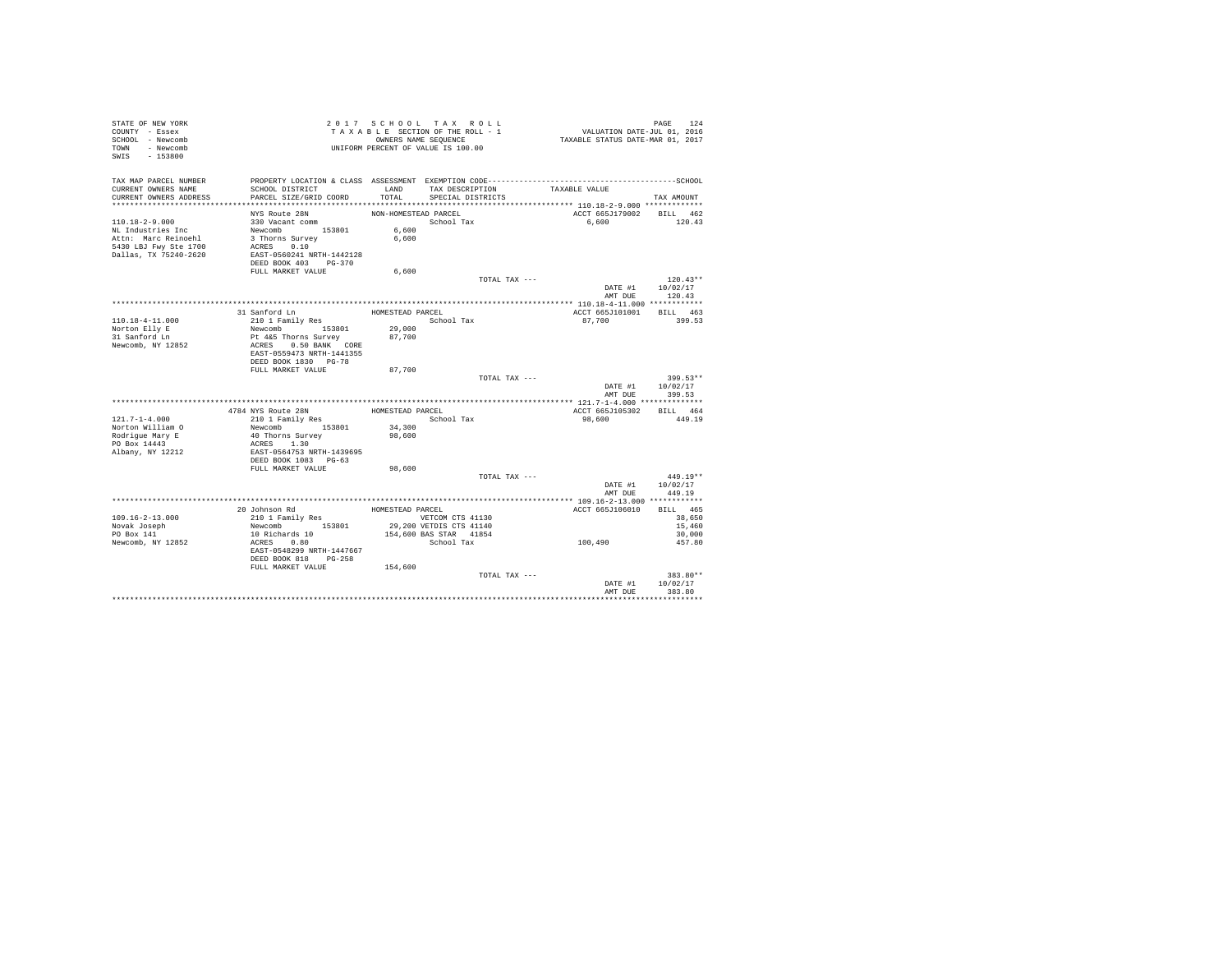| STATE OF NEW YORK<br>COUNTY - Essex<br>SCHOOL - Newcomb<br>TOWN - Newcomb |                                                   |                      | 2017 SCHOOL TAX ROLL<br>TAXABLE SECTION OF THE ROLL - 1<br>OWNERS NAME SEQUENCE<br>UNIFORM PERCENT OF VALUE IS 100.00 | PAGE 124<br>VALUATION DATE-JUL 01, 2016<br>TAXABLE STATUS DATE-MAR 01, 2017 |                    |
|---------------------------------------------------------------------------|---------------------------------------------------|----------------------|-----------------------------------------------------------------------------------------------------------------------|-----------------------------------------------------------------------------|--------------------|
| $-153800$<br>SWIS                                                         |                                                   |                      |                                                                                                                       |                                                                             |                    |
| TAX MAP PARCEL NUMBER                                                     |                                                   |                      |                                                                                                                       |                                                                             |                    |
| CURRENT OWNERS NAME                                                       | SCHOOL DISTRICT                                   | LAND                 | TAX DESCRIPTION                                                                                                       | TAXABLE VALUE                                                               |                    |
| CURRENT OWNERS ADDRESS                                                    | PARCEL SIZE/GRID COORD                            | TOTAL                | SPECIAL DISTRICTS                                                                                                     |                                                                             | TAX AMOUNT         |
|                                                                           | NYS Route 28N                                     | NON-HOMESTEAD PARCEL |                                                                                                                       | ACCT 665J179002 BILL 462                                                    |                    |
| $110.18 - 2 - 9.000$                                                      | 330 Vacant comm                                   |                      | School Tax                                                                                                            | 6,600                                                                       | 120.43             |
| NL Industries Inc                                                         | Newcomb 153801                                    | 6,600                |                                                                                                                       |                                                                             |                    |
| Attn: Marc Reinoehl                                                       | 3 Thorns Survey                                   | 6,600                |                                                                                                                       |                                                                             |                    |
| 5430 LBJ Fwy Ste 1700                                                     | ACRES 0.10                                        |                      |                                                                                                                       |                                                                             |                    |
| Dallas, TX 75240-2620                                                     | EAST-0560241 NRTH-1442128                         |                      |                                                                                                                       |                                                                             |                    |
|                                                                           | DEED BOOK 403 PG-370<br>FULL MARKET VALUE         | 6,600                |                                                                                                                       |                                                                             |                    |
|                                                                           |                                                   |                      | TOTAL TAX ---                                                                                                         |                                                                             | $120.43**$         |
|                                                                           |                                                   |                      |                                                                                                                       |                                                                             | DATE #1 10/02/17   |
|                                                                           |                                                   |                      |                                                                                                                       |                                                                             | AMT DUE 120.43     |
|                                                                           |                                                   |                      |                                                                                                                       |                                                                             |                    |
| 110.18-4-11.000                                                           | 31 Sanford Ln<br>210 1 Family Res                 | HOMESTEAD PARCEL     | School Tax                                                                                                            | ACCT 665J101001<br>87.700                                                   | BILL 463<br>399.53 |
| Norton Elly E                                                             | Newcomb 153801                                    | 29,000               |                                                                                                                       |                                                                             |                    |
| 31 Sanford Ln                                                             | Pt 4&5 Thorns Survey                              | 87,700               |                                                                                                                       |                                                                             |                    |
| Newcomb, NY 12852                                                         | ACRES 0.50 BANK CORE                              |                      |                                                                                                                       |                                                                             |                    |
|                                                                           | EAST-0559473 NRTH-1441355                         |                      |                                                                                                                       |                                                                             |                    |
|                                                                           | DEED BOOK 1830 PG-78                              |                      |                                                                                                                       |                                                                             |                    |
|                                                                           | FULL MARKET VALUE                                 | 87,700               | TOTAL TAX ---                                                                                                         |                                                                             | 399.53**           |
|                                                                           |                                                   |                      |                                                                                                                       | DATE #1                                                                     | 10/02/17           |
|                                                                           |                                                   |                      |                                                                                                                       | AMT DUR                                                                     | 399.53             |
|                                                                           |                                                   |                      |                                                                                                                       |                                                                             |                    |
|                                                                           | 4784 NYS Route 28N                                | HOMESTEAD PARCEL     |                                                                                                                       | ACCT 665J105302                                                             | BILL 464           |
| $121.7 - 1 - 4.000$                                                       | 210 1 Family Res                                  |                      | School Tax                                                                                                            | 98,600                                                                      | 449.19             |
| Norton William O<br>Rodrigue Mary E                                       | Newcomb 153801                                    | 34,300<br>98,600     |                                                                                                                       |                                                                             |                    |
| PO Box 14443                                                              | 40 Thorns Survey<br>ACRES 1.30                    |                      |                                                                                                                       |                                                                             |                    |
| Albany, NY 12212                                                          | EAST-0564753 NRTH-1439695                         |                      |                                                                                                                       |                                                                             |                    |
|                                                                           | DEED BOOK 1083 PG-63                              |                      |                                                                                                                       |                                                                             |                    |
|                                                                           | FULL MARKET VALUE                                 | 98,600               |                                                                                                                       |                                                                             |                    |
|                                                                           |                                                   |                      | TOTAL TAX ---                                                                                                         |                                                                             | $449.19**$         |
|                                                                           |                                                   |                      |                                                                                                                       | DATE #1<br>AMT DUE                                                          | 10/02/17<br>449.19 |
|                                                                           |                                                   |                      |                                                                                                                       |                                                                             |                    |
|                                                                           | 20 Johnson Rd                                     | HOMESTEAD PARCEL     |                                                                                                                       | ACCT 665J106010                                                             | BILL 465           |
| $109.16 - 2 - 13.000$                                                     |                                                   |                      | VETCOM CTS 41130                                                                                                      |                                                                             | 38,650             |
| Novak Joseph                                                              | 210 1 Family Res<br>Newcomb 153801                |                      | 29,200 VETDIS CTS 41140                                                                                               |                                                                             | 15,460             |
| PO Box 141                                                                | 10 Richards 10                                    |                      | 154,600 BAS STAR 41854                                                                                                |                                                                             | 30,000             |
| Newcomb, NY 12852                                                         | ACRES 0.80                                        |                      | School Tax                                                                                                            | 100,490                                                                     | 457.80             |
|                                                                           | EAST-0548299 NRTH-1447667<br>DEED BOOK 818 PG-258 |                      |                                                                                                                       |                                                                             |                    |
|                                                                           | FULL MARKET VALUE 154,600                         |                      |                                                                                                                       |                                                                             |                    |
|                                                                           |                                                   |                      | TOTAL TAX ---                                                                                                         |                                                                             | 383.80**           |
|                                                                           |                                                   |                      |                                                                                                                       | DATE #1                                                                     | 10/02/17           |
|                                                                           |                                                   |                      |                                                                                                                       | AMT DUE                                                                     | 383.80             |
|                                                                           |                                                   |                      |                                                                                                                       |                                                                             |                    |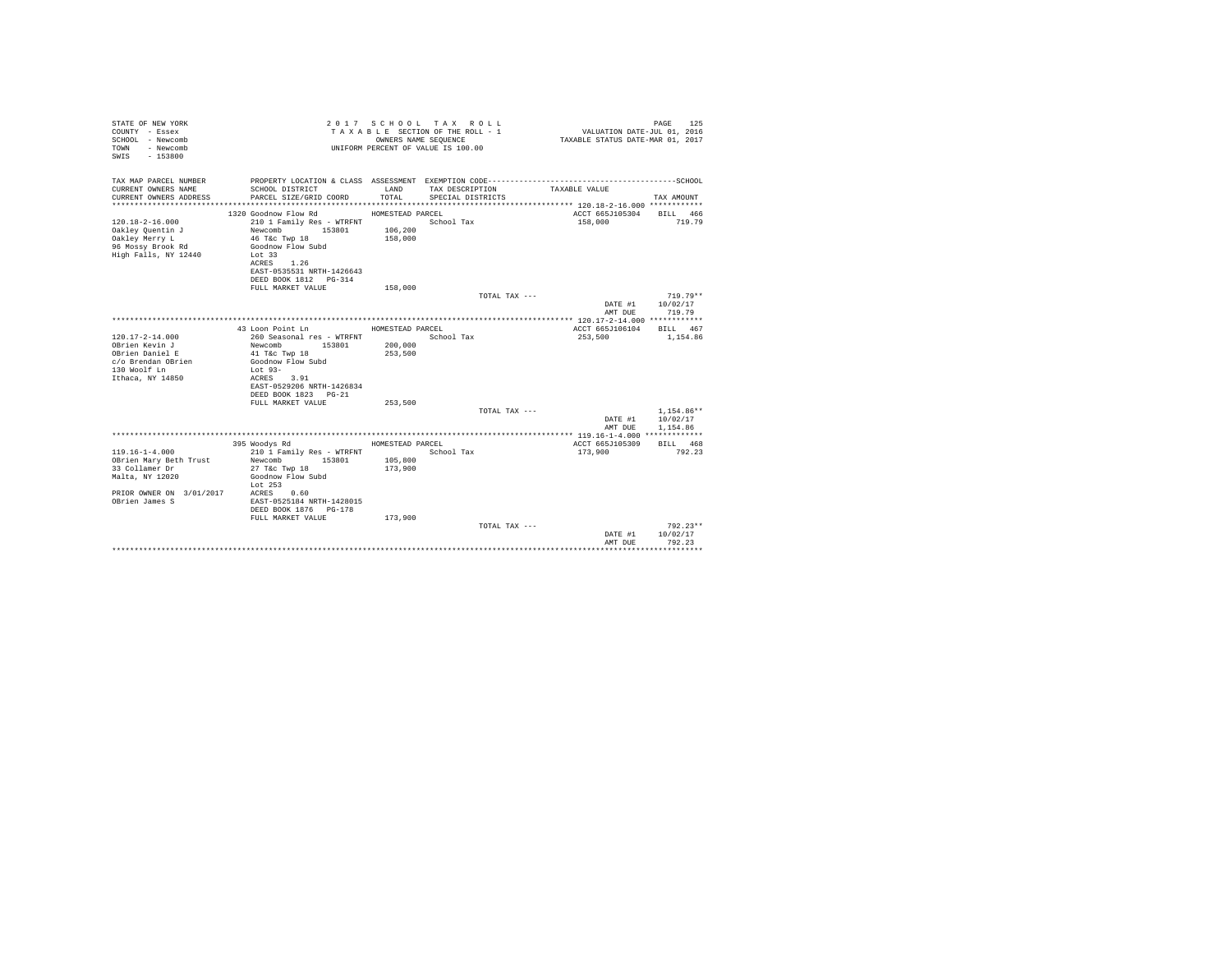| STATE OF NEW YORK<br>COUNTY - Essex<br>SCHOOL - Newcomb<br>- Newcomb<br>TOWN<br>$-153800$<br>SWIS                                 |                                                                                                                                                                                               |                                        | 2017 SCHOOL TAX ROLL<br>TAXABLE SECTION OF THE ROLL - 1<br>OWNERS NAME SEQUENCE<br>UNIFORM PERCENT OF VALUE IS 100.00                | VALUATION DATE-JUL 01, 2016<br>TAXABLE STATUS DATE-MAR 01, 2017 | 125<br>PAGE                          |
|-----------------------------------------------------------------------------------------------------------------------------------|-----------------------------------------------------------------------------------------------------------------------------------------------------------------------------------------------|----------------------------------------|--------------------------------------------------------------------------------------------------------------------------------------|-----------------------------------------------------------------|--------------------------------------|
| TAX MAP PARCEL NUMBER<br>CURRENT OWNERS NAME<br>CURRENT OWNERS ADDRESS                                                            | SCHOOL DISTRICT<br>PARCEL SIZE/GRID COORD                                                                                                                                                     | LAND<br>TOTAL                          | PROPERTY LOCATION & CLASS ASSESSMENT EXEMPTION CODE-----------------------------------SCHOOL<br>TAX DESCRIPTION<br>SPECIAL DISTRICTS | TAXABLE VALUE                                                   | TAX AMOUNT                           |
|                                                                                                                                   |                                                                                                                                                                                               |                                        |                                                                                                                                      |                                                                 |                                      |
| $120.18 - 2 - 16.000$<br>Oakley Quentin J<br>Oakley Merry L<br>96 Mossy Brook Rd<br>High Falls, NY 12440                          | 1320 Goodnow Flow Rd<br>210 1 Family Res - WTRFNT<br>Newcomb<br>153801<br>46 T&C Twp 18<br>Goodnow Flow Subd<br>Lot 33<br>1.26<br>ACRES<br>EAST-0535531 NRTH-1426643<br>DEED BOOK 1812 PG-314 | HOMESTEAD PARCEL<br>106,200<br>158,000 | School Tax                                                                                                                           | ACCT 665J105304<br>158,000                                      | BILL 466<br>719.79                   |
|                                                                                                                                   | FULL MARKET VALUE                                                                                                                                                                             | 158,000                                |                                                                                                                                      |                                                                 |                                      |
|                                                                                                                                   |                                                                                                                                                                                               |                                        | TOTAL TAX ---                                                                                                                        | DATE #1<br>AMT DUE                                              | $719.79**$<br>10/02/17<br>719.79     |
|                                                                                                                                   |                                                                                                                                                                                               |                                        |                                                                                                                                      |                                                                 |                                      |
|                                                                                                                                   | 43 Loon Point Ln                                                                                                                                                                              | HOMESTEAD PARCEL                       |                                                                                                                                      | ACCT 665J106104                                                 | BILL 467                             |
| $120.17 - 2 - 14.000$<br>OBrien Kevin J<br>OBrien Daniel E<br>c/o Brendan OBrien<br>130 Woolf Ln<br>Ithaca, NY 14850              | 260 Seasonal res - WTRFNT<br>Newcomb<br>153801<br>41 T&c Twp 18<br>Goodnow Flow Subd<br>Lot $93-$<br>ACRES<br>3.91<br>EAST-0529206 NRTH-1426834<br>DEED BOOK 1823 PG-21                       | 200,000<br>253,500                     | School Tax                                                                                                                           | 253,500                                                         | 1,154.86                             |
|                                                                                                                                   | FULL MARKET VALUE                                                                                                                                                                             | 253,500                                |                                                                                                                                      |                                                                 |                                      |
|                                                                                                                                   |                                                                                                                                                                                               |                                        | TOTAL TAX ---                                                                                                                        | DATE #1<br>AMT DUE                                              | $1.154.86**$<br>10/02/17<br>1,154.86 |
|                                                                                                                                   |                                                                                                                                                                                               |                                        |                                                                                                                                      |                                                                 |                                      |
|                                                                                                                                   | 395 Woodys Rd                                                                                                                                                                                 | HOMESTEAD PARCEL                       |                                                                                                                                      | ACCT 665J105309                                                 | BILL 468                             |
| $119.16 - 1 - 4.000$<br>OBrien Mary Beth Trust<br>33 Collamer Dr<br>Malta, NY 12020<br>PRIOR OWNER ON 3/01/2017<br>OBrien James S | 210 1 Family Res - WTRFNT<br>Newcomb<br>153801<br>27 T&C Twp 18<br>Goodnow Flow Subd<br>Lot $253$<br>0.60<br>ACRES<br>EAST-0525184 NRTH-1428015<br>DEED BOOK 1876 PG-178                      | 105,800<br>173,900                     | School Tax                                                                                                                           | 173,900                                                         | 792.23                               |
|                                                                                                                                   | FULL MARKET VALUE                                                                                                                                                                             | 173,900                                |                                                                                                                                      |                                                                 |                                      |
|                                                                                                                                   |                                                                                                                                                                                               |                                        | TOTAL TAX ---                                                                                                                        | DATE #1<br>AMT DUE                                              | $792.23**$<br>10/02/17<br>792.23     |
|                                                                                                                                   |                                                                                                                                                                                               |                                        |                                                                                                                                      | ***************************                                     |                                      |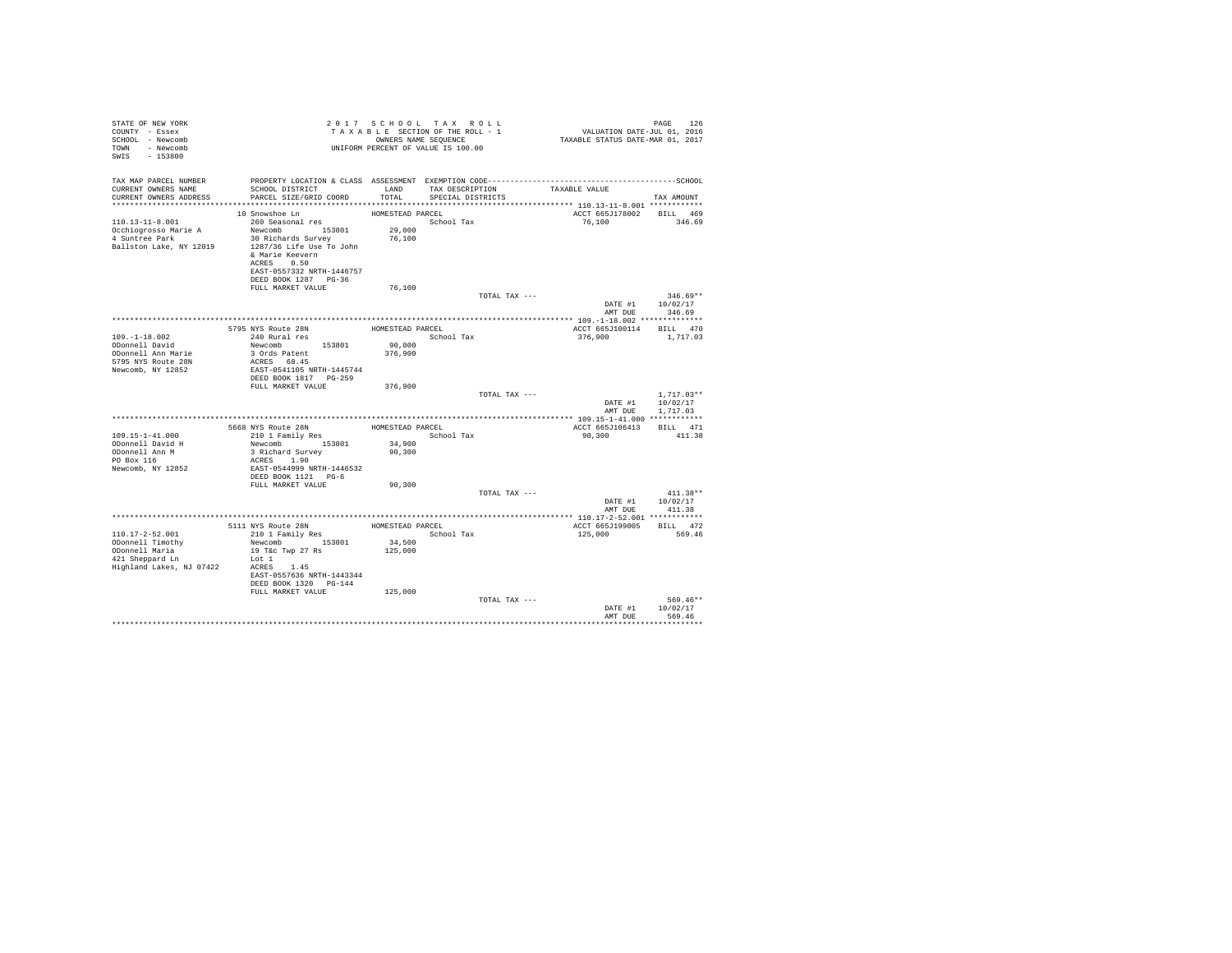| STATE OF NEW YORK<br>COUNTY - Essex<br>SCHOOL - Newcomb<br>TOWN - Newcomb<br>$-153800$<br>SWIS             |                                                                                                                                                                                              |                                          | 2017 SCHOOL TAX ROLL<br>UNIFORM PERCENT OF VALUE IS 100.00 |                               | TAXABLE SCHOOL TAX ROLL<br>TAXABLE SECTION OF THE ROLL - 1<br>ONNERS NAME SEQUENCE - 1 TAXABLE STATUS DATE-JUL 01, 2016 | PAGE<br>126                          |
|------------------------------------------------------------------------------------------------------------|----------------------------------------------------------------------------------------------------------------------------------------------------------------------------------------------|------------------------------------------|------------------------------------------------------------|-------------------------------|-------------------------------------------------------------------------------------------------------------------------|--------------------------------------|
| TAX MAP PARCEL NUMBER<br>CURRENT OWNERS NAME<br>CURRENT OWNERS ADDRESS                                     | PROPERTY LOCATION & CLASS ASSESSMENT EXEMPTION CODE-----------------------------------SCHOOL<br>SCHOOL DISTRICT<br>PARCEL SIZE/GRID COORD                                                    | LAND<br>TOTAL                            | SPECIAL DISTRICTS                                          | TAX DESCRIPTION TAXABLE VALUE |                                                                                                                         | TAX AMOUNT                           |
|                                                                                                            |                                                                                                                                                                                              |                                          |                                                            |                               |                                                                                                                         |                                      |
| $110.13 - 11 - 8.001$<br>Occhiogrosso Marie A<br>4 Suntree Park<br>Ballston Lake, NY 12019                 | 10 Snowshoe Ln<br>260 Seasonal res<br>Newcomb 153801<br>30 Richards Survey<br>1287/36 Life Use To John<br>& Marie Keevern<br>ACRES 0.50<br>EAST-0557332 NRTH-1446757<br>DEED BOOK 1287 PG-36 | HOMESTEAD PARCEL<br>$29\,,000$<br>76,100 | School Tax                                                 |                               | ACCT 665J178002 BILL 469<br>76,100                                                                                      | 346.69                               |
|                                                                                                            | FULL MARKET VALUE                                                                                                                                                                            | 76,100                                   |                                                            |                               |                                                                                                                         | $346.69**$                           |
|                                                                                                            |                                                                                                                                                                                              |                                          |                                                            | TOTAL TAX ---                 | AMT DUE                                                                                                                 | DATE #1 10/02/17<br>346.69           |
|                                                                                                            |                                                                                                                                                                                              |                                          |                                                            |                               |                                                                                                                         |                                      |
|                                                                                                            | 5795 NYS Route 28N                                                                                                                                                                           |                                          | HOMESTEAD PARCEL                                           |                               | ACCT 665J100114 BILL 470                                                                                                |                                      |
| $109. - 1 - 18.002$                                                                                        | 240 Rural res                                                                                                                                                                                |                                          | School Tax                                                 |                               | 376,900                                                                                                                 | 1,717.03                             |
| ODonnell David<br>ODonnell Ann Marie                                                                       | Newcomb 153801<br>3 Ords Patent                                                                                                                                                              | 90,000<br>376,900                        |                                                            |                               |                                                                                                                         |                                      |
| 5795 NYS Route 28N<br>Newcomb, NY 12852                                                                    | ACRES 68.45<br>EAST-0541105 NRTH-1445744<br>DEED BOOK 1817 PG-259                                                                                                                            |                                          |                                                            |                               |                                                                                                                         |                                      |
|                                                                                                            | FULL MARKET VALUE                                                                                                                                                                            | 376,900                                  |                                                            |                               |                                                                                                                         |                                      |
|                                                                                                            |                                                                                                                                                                                              |                                          |                                                            | TOTAL TAX ---                 | DATE #1<br>AMT DUE                                                                                                      | $1.717.03**$<br>10/02/17<br>1,717.03 |
|                                                                                                            |                                                                                                                                                                                              |                                          |                                                            |                               |                                                                                                                         |                                      |
|                                                                                                            | 5668 NYS Route 28N HOMESTEAD PARCEL 210 1 Family Res School Tax                                                                                                                              |                                          |                                                            |                               | ACCT 665J106413 BILL 471                                                                                                |                                      |
| $109.15 - 1 - 41.000$<br>ODonnell David H                                                                  | Newcomb 153801                                                                                                                                                                               | 34,900                                   |                                                            |                               | 90,300                                                                                                                  | 411.38                               |
| ODonnell Ann M                                                                                             | 3 Richard Survey                                                                                                                                                                             | 90,300                                   |                                                            |                               |                                                                                                                         |                                      |
| PO Box 116<br>Newcomb, NY 12852                                                                            | ACRES 1.90<br>EAST-0544999 NRTH-1446532                                                                                                                                                      |                                          |                                                            |                               |                                                                                                                         |                                      |
|                                                                                                            | DEED BOOK 1121 PG-6                                                                                                                                                                          |                                          |                                                            |                               |                                                                                                                         |                                      |
|                                                                                                            | FULL MARKET VALUE                                                                                                                                                                            | 90,300                                   |                                                            | TOTAL TAX ---                 |                                                                                                                         | $411.38**$                           |
|                                                                                                            |                                                                                                                                                                                              |                                          |                                                            |                               | DATE #1                                                                                                                 | 10/02/17                             |
|                                                                                                            |                                                                                                                                                                                              |                                          |                                                            |                               | AMT DUE                                                                                                                 | 411.38                               |
|                                                                                                            |                                                                                                                                                                                              |                                          |                                                            |                               |                                                                                                                         |                                      |
|                                                                                                            | 5111 NYS Route 28N HOMESTEAD PARCEL<br>210 1 Family Res Scho                                                                                                                                 |                                          |                                                            |                               | ACCT 665J199005 BILL 472                                                                                                |                                      |
| $110.17 - 2 - 52.001$<br>ODonnell Timothy<br>ODonnell Maria<br>421 Sheppard Ln<br>Highland Lakes, NJ 07422 | Newcomb 153801<br>19 T&c Twp 27 Rs<br>Lot 1<br>ACRES 1.45<br>EAST-0557636 NRTH-1443344                                                                                                       | 34,500<br>125,000                        | School Tax                                                 |                               | 125,000                                                                                                                 | 569.46                               |
|                                                                                                            | DEED BOOK 1320 PG-144<br>FULL MARKET VALUE                                                                                                                                                   | 125,000                                  |                                                            |                               |                                                                                                                         |                                      |
|                                                                                                            |                                                                                                                                                                                              |                                          |                                                            | TOTAL TAX ---                 | DATE #1<br>AMT DUR                                                                                                      | 569.46**<br>10/02/17<br>569.46       |
|                                                                                                            |                                                                                                                                                                                              |                                          |                                                            |                               |                                                                                                                         |                                      |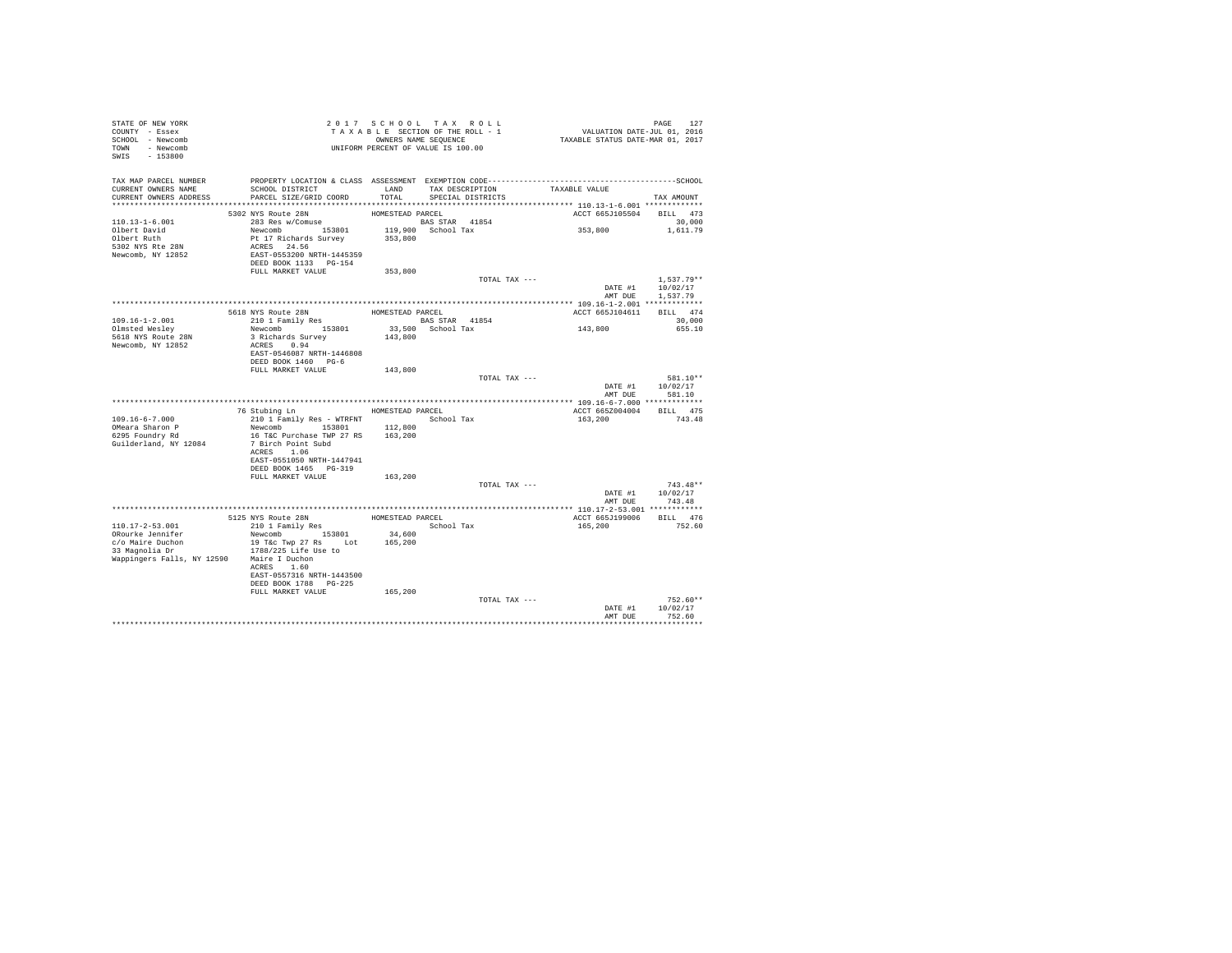| STATE OF NEW YORK<br>COUNTY - Essex<br>SCHOOL - Newcomb<br>TOWN - Newcomb<br>SWIS - 153800 | T A X A B L E SOLIION.<br>OWNERS NAME SEQUENCE<br>UNIFORM PERCENT OF VALUE IS 100.00                                                      |                  | 2017 SCHOOL TAX ROLL<br>TAXABLE SECTION OF THE ROLL - 1<br>OWNERS NAME SEQUENCE |                  | PAGE 127<br>VALUATION DATE-JUL 01, 2016<br>TAXABLE STATUS DATE-MAR 01, 2017 |                                                  |
|--------------------------------------------------------------------------------------------|-------------------------------------------------------------------------------------------------------------------------------------------|------------------|---------------------------------------------------------------------------------|------------------|-----------------------------------------------------------------------------|--------------------------------------------------|
| TAX MAP PARCEL NUMBER<br>CURRENT OWNERS NAME<br>CURRENT OWNERS ADDRESS                     | PROPERTY LOCATION & CLASS ASSESSMENT EXEMPTION CODE-----------------------------------SCHOOL<br>SCHOOL DISTRICT<br>PARCEL SIZE/GRID COORD | TOTAL            | LAND TAX DESCRIPTION<br>SPECIAL DISTRICTS                                       |                  | TAXABLE VALUE                                                               | TAX AMOUNT                                       |
|                                                                                            |                                                                                                                                           |                  |                                                                                 |                  |                                                                             |                                                  |
| 110.13-1-6.001                                                                             | 5302 NYS Route 28N<br>283 Res w/Comuse                                                                                                    | HOMESTEAD PARCEL | BAS STAR 41854                                                                  |                  | ACCT 665J105504 BILL 473<br>353,800                                         | 30,000<br>1,611.79                               |
| Olbert David<br>Olbert Ruth<br>5302 NYS Rte 28N<br>Newcomb, NY 12852                       | Newcomb 153801 119,900 School Tax<br>Pt 17 Richards Survey 353,800<br>ACRES 24.56<br>EAST-0553200 NRTH-1445359<br>DEED BOOK 1133 PG-154   |                  |                                                                                 |                  |                                                                             |                                                  |
|                                                                                            | FULL MARKET VALUE                                                                                                                         | 353,800          |                                                                                 |                  |                                                                             |                                                  |
|                                                                                            |                                                                                                                                           |                  |                                                                                 | TOTAL TAX ---    | DATE #1<br>AMT DUE                                                          | $1.537.79**$<br>10/02/17<br>1,537.79             |
|                                                                                            |                                                                                                                                           |                  |                                                                                 |                  |                                                                             |                                                  |
|                                                                                            |                                                                                                                                           | HOMESTEAD PARCEL |                                                                                 |                  | ACCT 665J104611                                                             | BILL 474                                         |
| 109.16-1-2.001                                                                             | 5618 NYS Route 28N<br>210 1 Family Res                                                                                                    |                  | <b>BAS STAR 41854</b>                                                           |                  |                                                                             | 30,000                                           |
| Olmsted Weslev                                                                             | Newcomb 153801                                                                                                                            |                  | 33,500 School Tax                                                               |                  | 143,800                                                                     | 655.10                                           |
| 5618 NYS Route 28N                                                                         | 3 Richards Survey                                                                                                                         | 143,800          |                                                                                 |                  |                                                                             |                                                  |
| Newcomb, NY 12852                                                                          | ACRES 0.94<br>EAST-0546087 NRTH-1446808<br>DEED BOOK 1460 PG-6                                                                            |                  |                                                                                 |                  |                                                                             |                                                  |
|                                                                                            | FULL MARKET VALUE                                                                                                                         | 143,800          |                                                                                 |                  |                                                                             |                                                  |
|                                                                                            |                                                                                                                                           |                  |                                                                                 | TOTAL TAX ---    |                                                                             | 581.10**                                         |
|                                                                                            |                                                                                                                                           |                  |                                                                                 |                  | DATE #1                                                                     | 10/02/17<br>AMT DUE 581.10                       |
|                                                                                            |                                                                                                                                           |                  |                                                                                 |                  |                                                                             |                                                  |
|                                                                                            | 76 Stubing Ln                                                                                                                             |                  |                                                                                 | HOMESTEAD PARCEL | ACCT 665Z004004 BILL 475                                                    |                                                  |
| $109.16 - 6 - 7.000$                                                                       | 210 1 Family Res - WTRFNT                                                                                                                 |                  |                                                                                 | School Tax       | 163,200                                                                     | 743.48                                           |
| OMeara Sharon P<br>6295 Foundry Rd                                                         | Newcomb 153801 112,800<br>16 T&C Purchase TWP 27 RS                                                                                       | 163,200          |                                                                                 |                  |                                                                             |                                                  |
| Guilderland, NY 12084                                                                      | 7 Birch Point Subd<br>ACRES 1.06                                                                                                          |                  |                                                                                 |                  |                                                                             |                                                  |
|                                                                                            | EAST-0551050 NRTH-1447941<br>DEED BOOK 1465 PG-319                                                                                        |                  |                                                                                 |                  |                                                                             |                                                  |
|                                                                                            | FULL MARKET VALUE                                                                                                                         | 163,200          |                                                                                 |                  |                                                                             |                                                  |
|                                                                                            |                                                                                                                                           |                  |                                                                                 | TOTAL TAX ---    |                                                                             | $743.48**$<br>DATE #1 10/02/17<br>AMT DUE 743.48 |
|                                                                                            |                                                                                                                                           |                  |                                                                                 |                  |                                                                             |                                                  |
|                                                                                            |                                                                                                                                           | HOMESTEAD PARCEL |                                                                                 |                  | ACCT 665J199006 BILL 476                                                    |                                                  |
| 110.17-2-53.001                                                                            | 5125 NYS Route 28N<br>210 1 Family Res                                                                                                    |                  | School Tax                                                                      |                  | 165,200                                                                     | 752.60                                           |
|                                                                                            |                                                                                                                                           | 34,600           |                                                                                 |                  |                                                                             |                                                  |
|                                                                                            |                                                                                                                                           | 165,200          |                                                                                 |                  |                                                                             |                                                  |
| Wappingers Falls, NY 12590 Maire I Duchon                                                  |                                                                                                                                           |                  |                                                                                 |                  |                                                                             |                                                  |
|                                                                                            | ACRES 1.60<br>EAST-0557316 NRTH-1443500                                                                                                   |                  |                                                                                 |                  |                                                                             |                                                  |
|                                                                                            | DEED BOOK 1788 PG-225                                                                                                                     |                  |                                                                                 |                  |                                                                             |                                                  |
|                                                                                            | FULL MARKET VALUE                                                                                                                         | 165,200          |                                                                                 |                  |                                                                             |                                                  |
|                                                                                            |                                                                                                                                           |                  |                                                                                 | TOTAL TAX ---    |                                                                             | $752.60**$                                       |
|                                                                                            |                                                                                                                                           |                  |                                                                                 |                  | DATE #1<br>AMT DUE                                                          | 10/02/17<br>752.60                               |
|                                                                                            |                                                                                                                                           |                  |                                                                                 |                  |                                                                             |                                                  |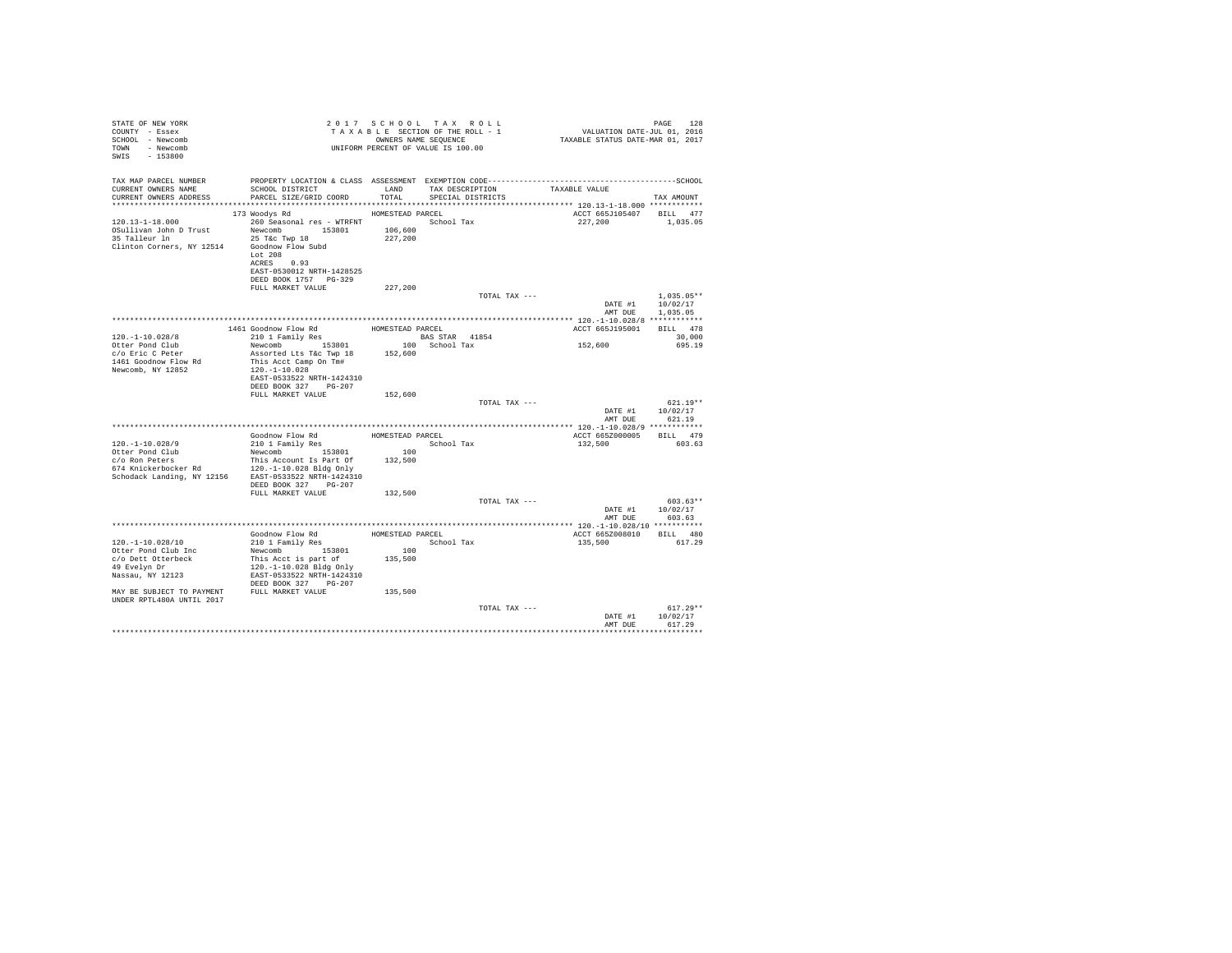| STATE OF NEW YORK<br>COUNTY - Essex<br>SCHOOL - Newcomb<br>TOWN - Newcomb<br>SWIS - 153800                                                                                          |                                                                                                                                                                                                                                    |                                                                   | 2017 SCHOOL TAX ROLL<br>TAXABLE SECTION OF THE ROLL - 1<br>OWNERS NAME SEQUENCE<br>UNIFORM PERCENT OF VALUE IS 100.00 | PAGE 128<br>2016 VALUATION DATE-JUL<br>2017 TAXABLE STATUS DATE-MAR | PAGE<br>128                                     |
|-------------------------------------------------------------------------------------------------------------------------------------------------------------------------------------|------------------------------------------------------------------------------------------------------------------------------------------------------------------------------------------------------------------------------------|-------------------------------------------------------------------|-----------------------------------------------------------------------------------------------------------------------|---------------------------------------------------------------------|-------------------------------------------------|
| TAX MAP PARCEL NUMBER<br>CURRENT OWNERS NAME<br>CURRENT OWNERS ADDRESS                                                                                                              | SCHOOL DISTRICT LAND<br>PARCEL SIZE/GRID COORD                                                                                                                                                                                     | TOTAL                                                             | TAX DESCRIPTION<br>SPECIAL DISTRICTS                                                                                  | TAXABLE VALUE                                                       | TAX AMOUNT                                      |
| $120.13 - 1 - 18.000$<br>OSullivan John D Trust<br>35 Talleur ln<br>Clinton Corners, NY 12514 Goodnow Flow Subd                                                                     | 173 Woodys Rd<br>260 Seasonal res - WTRFNT<br>Newcomb 153801<br>25 T&c Twp 18<br>Lot 208<br>ACRES 0.93<br>EAST-0530012 NRTH-1428525<br>DEED BOOK 1757 PG-329                                                                       | HOMESTEAD PARCEL<br>106,600<br>227,200                            | School Tax                                                                                                            | ACCT 665J105407 BILL 477<br>227,200                                 | 1,035.05                                        |
|                                                                                                                                                                                     | FULL MARKET VALUE                                                                                                                                                                                                                  | 227,200                                                           | TOTAL TAX ---                                                                                                         | DATE #1<br>AMT DUE                                                  | $1,035.05**$<br>10/02/17<br>1,035.05            |
| $120.-1-10.028/8$<br>Otter Pond Club<br>$c$ /0 Eric C Peter<br>1461 Goodnow Flow Rd<br>Newcomb, NY 12852                                                                            | 1461 Goodnow Flow Rd<br>210 1 Family Res BAS STAR 41854<br>Newcomb 153801<br>Assorted Lts T&c Twp 18 152,600<br>This Acct Camp On Tm#<br>120. -1 -10.028<br>EAST-0533522 NRTH-1424310<br>DEED BOOK 327 PG-207<br>FULL MARKET VALUE | 152,600                                                           | BAS STAR 41854<br>100 School Tax<br>TOTAL TAX ---                                                                     | ACCT 665J195001<br>152,600<br>DATE #1 10/02/17                      | BILL 478<br>30,000<br>695.19<br>$621.19**$      |
| $120. -1 - 10.028/9$<br>Otter Pond Club<br>c/o Ron Peters<br>674 Knickerbocker Rd<br>Schodack Landing, NY 12156 EAST-0533522 NRTH-1424310                                           | Goodnow Flow Rd MOMESTEAD PARCEL<br>210 1 Family Res<br>Newcomb $153801$<br>This Account Is Part Of<br>120.-1-10.028 Bldg Only<br>DEED BOOK 327 PG-207<br>FULL MARKET VALUE                                                        | $100$<br>$\begin{array}{c} 100 \\ 132,500 \end{array}$<br>132,500 | School Tax<br>TOTAL TAX ---                                                                                           | AMT DUE<br>ACCT 665Z000005 BILL 479<br>132,500<br>DATE #1 10/02/17  | 621.19<br>603.63<br>$603.63**$                  |
| $120. - 1 - 10.028/10$<br>Otter Pond Club Inc<br>c/o Dett Otterbeck<br>49 Evelyn Dr<br>Nassau, NY 12123<br>MAY BE SUBJECT TO PAYMENT FULL MARKET VALUE<br>UNDER RPTL480A UNTIL 2017 | Goodnow Flow Rd<br>210 1 Family Res<br>Scho<br>This Acct is part of<br>120.-1-10.028 Bldg Only<br>EAST-0533522 NRTH-1424310<br>DEED BOOK 327 PG-207                                                                                | 135,500<br>135,500                                                |                                                                                                                       | AMT DUE<br>ACCT 665Z008010 BILL 480<br>135,500                      | 603.63<br>617.29                                |
|                                                                                                                                                                                     |                                                                                                                                                                                                                                    |                                                                   | TOTAL TAX ---                                                                                                         | DATE #1<br>AMT DUE                                                  | $617.29**$<br>10/02/17<br>617.29<br>*********** |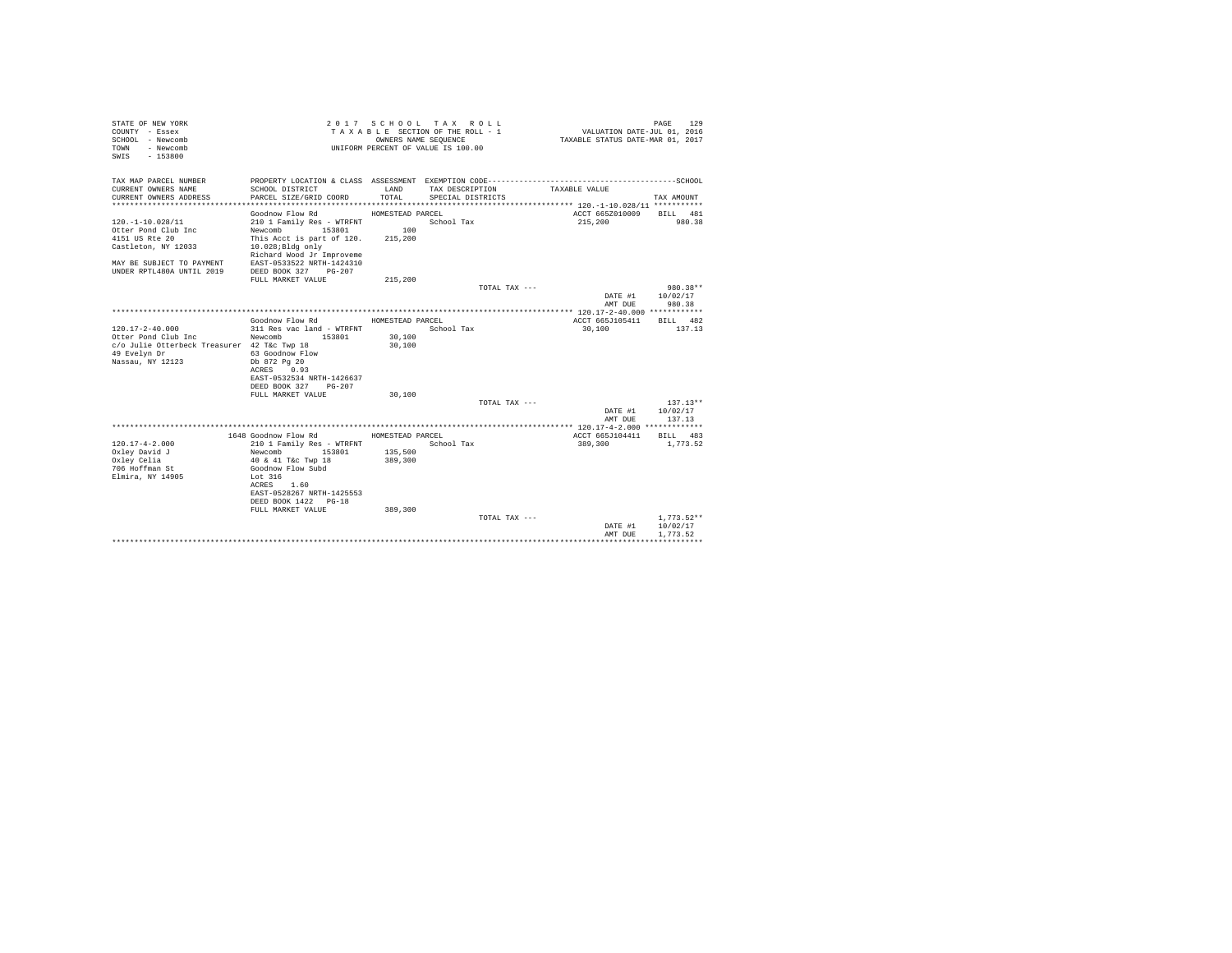| STATE OF NEW YORK<br>COUNTY - Essex<br>SCHOOL - Newcomb<br>- Newcomb<br>TOWN<br>$-153800$<br>SWIS |                                                   | OWNERS NAME SEOUENCE | 2017 SCHOOL TAX ROLL<br>TAXABLE SECTION OF THE ROLL - 1<br>UNIFORM PERCENT OF VALUE IS 100.00 | VALUATION DATE-JUL 01, 2016<br>TAXABLE STATUS DATE-MAR 01, 2017 | PAGE<br>129  |
|---------------------------------------------------------------------------------------------------|---------------------------------------------------|----------------------|-----------------------------------------------------------------------------------------------|-----------------------------------------------------------------|--------------|
| TAX MAP PARCEL NUMBER<br>CURRENT OWNERS NAME                                                      | SCHOOL DISTRICT                                   | LAND                 | TAX DESCRIPTION                                                                               | TAXABLE VALUE                                                   |              |
| CURRENT OWNERS ADDRESS                                                                            | PARCEL SIZE/GRID COORD                            | TOTAL.               | SPECIAL DISTRICTS                                                                             |                                                                 | TAX AMOUNT   |
|                                                                                                   |                                                   |                      |                                                                                               |                                                                 |              |
|                                                                                                   | Goodnow Flow Rd                                   | HOMESTEAD PARCEL     |                                                                                               | ACCT 665Z010009                                                 | BILL 481     |
| $120. -1 - 10.028/11$                                                                             | 210 1 Family Res - WTRFNT                         |                      | School Tax                                                                                    | 215,200                                                         | 980.38       |
| Otter Pond Club Inc                                                                               | Newcomb 153801                                    | 100                  |                                                                                               |                                                                 |              |
| 4151 US Rte 20                                                                                    | This Acct is part of 120.                         | 215,200              |                                                                                               |                                                                 |              |
| Castleton, NY 12033                                                                               | $10.028$ ; Bldg only                              |                      |                                                                                               |                                                                 |              |
|                                                                                                   | Richard Wood Jr Improveme                         |                      |                                                                                               |                                                                 |              |
| MAY BE SUBJECT TO PAYMENT<br>UNDER RPTL480A UNTIL 2019                                            | EAST-0533522 NRTH-1424310<br>DEED BOOK 327 PG-207 |                      |                                                                                               |                                                                 |              |
|                                                                                                   | FULL MARKET VALUE                                 | 215,200              |                                                                                               |                                                                 |              |
|                                                                                                   |                                                   |                      | TOTAL TAX ---                                                                                 |                                                                 | 980.38**     |
|                                                                                                   |                                                   |                      |                                                                                               | DATE #1                                                         | 10/02/17     |
|                                                                                                   |                                                   |                      |                                                                                               | AMT DUE                                                         | 980.38       |
|                                                                                                   |                                                   |                      |                                                                                               |                                                                 |              |
|                                                                                                   | Goodnow Flow Rd                                   | HOMESTEAD PARCEL     |                                                                                               | ACCT 665J105411                                                 | BILL 482     |
| 120.17-2-40.000                                                                                   | 311 Res vac land - WTRFNT                         |                      | School Tax                                                                                    | 30,100                                                          | 137.13       |
| Otter Pond Club Inc                                                                               | Newcomb 153801                                    | 30,100               |                                                                                               |                                                                 |              |
| c/o Julie Otterbeck Treasurer 42 T&c Twp 18<br>49 Evelyn Dr                                       | 63 Goodnow Flow                                   | 30,100               |                                                                                               |                                                                 |              |
| Nassau, NY 12123                                                                                  | Db 872 Pg 20                                      |                      |                                                                                               |                                                                 |              |
|                                                                                                   | ACRES 0.93                                        |                      |                                                                                               |                                                                 |              |
|                                                                                                   | EAST-0532534 NRTH-1426637                         |                      |                                                                                               |                                                                 |              |
|                                                                                                   | DEED BOOK 327 PG-207                              |                      |                                                                                               |                                                                 |              |
|                                                                                                   | FULL MARKET VALUE                                 | 30,100               |                                                                                               |                                                                 |              |
|                                                                                                   |                                                   |                      | TOTAL TAX ---                                                                                 |                                                                 | $137.13**$   |
|                                                                                                   |                                                   |                      |                                                                                               | DATE #1                                                         | 10/02/17     |
|                                                                                                   |                                                   |                      |                                                                                               | AMT DUE                                                         | 137.13       |
|                                                                                                   | 1648 Goodnow Flow Rd                              | HOMESTEAD PARCEL     |                                                                                               | ACCT 665J104411                                                 | BILL 483     |
| $120.17 - 4 - 2.000$                                                                              | 210 1 Family Res - WTRFNT                         |                      | School Tax                                                                                    | 389,300                                                         | 1,773.52     |
| Oxlev David J                                                                                     | 153801<br>Newcomb                                 | 135,500              |                                                                                               |                                                                 |              |
| Oxley Celia                                                                                       | 40 & 41 T&c Twp 18                                | 389,300              |                                                                                               |                                                                 |              |
| 706 Hoffman St                                                                                    | Goodnow Flow Subd                                 |                      |                                                                                               |                                                                 |              |
| Elmira, NY 14905                                                                                  | Lot 316                                           |                      |                                                                                               |                                                                 |              |
|                                                                                                   | ACRES 1.60                                        |                      |                                                                                               |                                                                 |              |
|                                                                                                   | EAST-0528267 NRTH-1425553                         |                      |                                                                                               |                                                                 |              |
|                                                                                                   | DEED BOOK 1422 PG-18                              |                      |                                                                                               |                                                                 |              |
|                                                                                                   | FULL MARKET VALUE                                 | 389,300              | TOTAL TAX ---                                                                                 |                                                                 | $1,773.52**$ |
|                                                                                                   |                                                   |                      |                                                                                               | DATE #1                                                         | 10/02/17     |
|                                                                                                   |                                                   |                      |                                                                                               | AMT DUE                                                         | 1.773.52     |
|                                                                                                   |                                                   |                      |                                                                                               |                                                                 |              |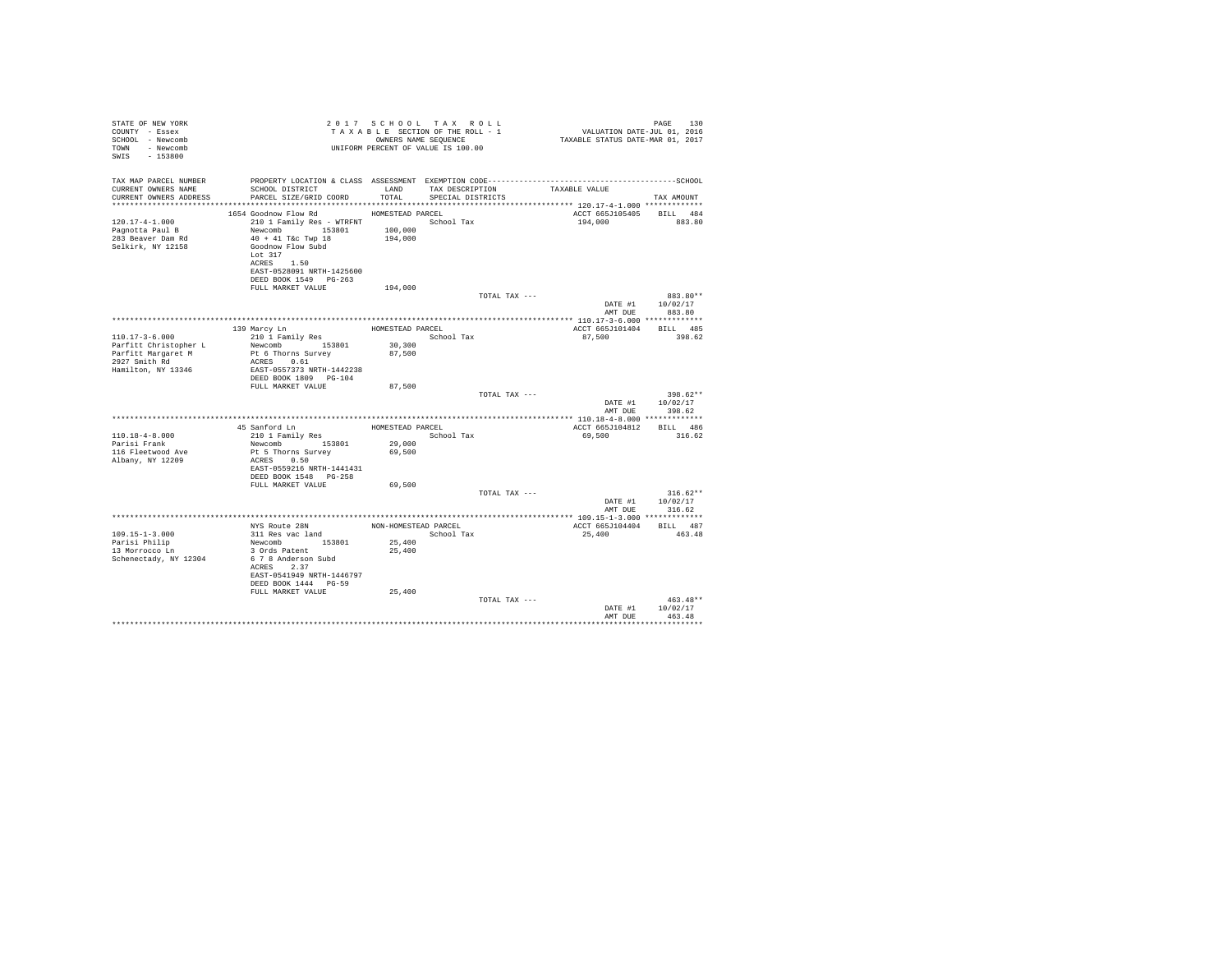| STATE OF NEW YORK<br>COUNTY - Essex<br>SCHOOL - Newcomb<br>TOWN - Newcomb<br>SWIS - 153800 |                                                                                                                                                                                                                                                                         |                             | 2017 SCHOOL TAX ROLL<br>UNIFORM PERCENT OF VALUE IS 100.00 |                               | 7 0 17 SCHOOL TAX ROLL<br>TAXABLE SECTION OF THE ROLL - 1 VALUATION DATE-JUL 011 2016<br>OWNERS NAME SEQUENCE TO TAXABLE STATUS DATE-MAR 01, 2017 | PAGE<br>130                                    |
|--------------------------------------------------------------------------------------------|-------------------------------------------------------------------------------------------------------------------------------------------------------------------------------------------------------------------------------------------------------------------------|-----------------------------|------------------------------------------------------------|-------------------------------|---------------------------------------------------------------------------------------------------------------------------------------------------|------------------------------------------------|
| TAX MAP PARCEL NUMBER<br>CURRENT OWNERS NAME<br>CURRENT OWNERS ADDRESS                     | SCHOOL DISTRICT<br>PARCEL SIZE/GRID COORD TOTAL SPECIAL DISTRICTS                                                                                                                                                                                                       | LAND                        |                                                            | TAX DESCRIPTION TAXABLE VALUE |                                                                                                                                                   | TAX AMOUNT                                     |
| $120.17 - 4 - 1.000$<br>Pagnotta Paul B<br>283 Beaver Dam Rd<br>Selkirk, NY 12158          | 1654 Goodnow Flow Rd<br>210 1 Family Res - WTRFNT School Tax<br>Newcomb 153801 100,000<br>40 + 41 T&c Twp 18 194,000<br>$40 + 41$ T&c Twp $18$<br>Goodnow Flow Subd<br>Lot 317<br>ACRES 1.50<br>EAST-0528091 NRTH-1425600<br>DEED BOOK 1549 PG-263<br>FULL MARKET VALUE | HOMESTEAD PARCEL<br>194,000 |                                                            |                               | ACCT 665J105405 BILL 484<br>194,000                                                                                                               | 883.80                                         |
|                                                                                            |                                                                                                                                                                                                                                                                         |                             |                                                            | TOTAL TAX ---                 |                                                                                                                                                   | 883.80**<br>DATE #1 10/02/17<br>AMT DUE 883.80 |
|                                                                                            |                                                                                                                                                                                                                                                                         |                             |                                                            |                               |                                                                                                                                                   |                                                |
|                                                                                            | 9 Marcy Ln<br>210 1 Family Res<br>139 Marcy Ln                                                                                                                                                                                                                          |                             | HOMESTEAD PARCEL                                           |                               | ACCT 665J101404 BILL 485                                                                                                                          |                                                |
| $110.17 - 3 - 6.000$                                                                       |                                                                                                                                                                                                                                                                         |                             | School Tax                                                 |                               | 87,500                                                                                                                                            | 398.62                                         |
| Parfitt Christopher L<br>Parfitt Christopher L<br>Parfitt Margaret M                       | Newcomb 153801<br>Pt 6 Thorns Survey                                                                                                                                                                                                                                    | 30,300<br>87,500            |                                                            |                               |                                                                                                                                                   |                                                |
| 2927 Smith Rd<br>Hamilton, NY 13346                                                        | ACRES 0.61<br>EAST-0557373 NRTH-1442238<br>DEED BOOK 1809 PG-104                                                                                                                                                                                                        |                             |                                                            |                               |                                                                                                                                                   |                                                |
|                                                                                            | FULL MARKET VALUE                                                                                                                                                                                                                                                       | 87,500                      |                                                            |                               |                                                                                                                                                   |                                                |
|                                                                                            |                                                                                                                                                                                                                                                                         |                             |                                                            | TOTAL TAX ---                 | AMT DUE                                                                                                                                           | $398.62**$<br>DATE #1 10/02/17<br>398.62       |
|                                                                                            |                                                                                                                                                                                                                                                                         |                             |                                                            |                               |                                                                                                                                                   |                                                |
|                                                                                            |                                                                                                                                                                                                                                                                         |                             |                                                            |                               | ACCT 665J104812 BILL 486                                                                                                                          |                                                |
| $110.18 - 4 - 8.000$                                                                       |                                                                                                                                                                                                                                                                         |                             |                                                            |                               | 69,500                                                                                                                                            | 316.62                                         |
| Parisi Frank<br>116 Fleetwood Ave<br>Albany, NY 12209                                      | Newcomb 153801<br>Pt 5 Thorns Survey<br>ACRES 0.50                                                                                                                                                                                                                      | 29,000<br>69,500            |                                                            |                               |                                                                                                                                                   |                                                |
|                                                                                            | EAST-0559216 NRTH-1441431<br>DEED BOOK 1548 PG-258                                                                                                                                                                                                                      |                             |                                                            |                               |                                                                                                                                                   |                                                |
|                                                                                            | FULL MARKET VALUE                                                                                                                                                                                                                                                       | 69,500                      |                                                            |                               |                                                                                                                                                   |                                                |
|                                                                                            |                                                                                                                                                                                                                                                                         |                             |                                                            | TOTAL TAX ---                 |                                                                                                                                                   | $316.62**$                                     |
|                                                                                            |                                                                                                                                                                                                                                                                         |                             |                                                            |                               | DATE #1                                                                                                                                           | 10/02/17                                       |
|                                                                                            |                                                                                                                                                                                                                                                                         |                             |                                                            |                               | AMT DUE                                                                                                                                           | 316.62                                         |
|                                                                                            | NYS Route 28N NON-HOMESTEAD PARCEL                                                                                                                                                                                                                                      |                             |                                                            |                               | ACCT 665J104404 BILL 487                                                                                                                          |                                                |
| $109.15 - 1 - 3.000$                                                                       | 311 Res vac land                                                                                                                                                                                                                                                        |                             | School Tax                                                 |                               | 25,400                                                                                                                                            | 463.48                                         |
| Parisi Philip                                                                              | Newcomb 153801                                                                                                                                                                                                                                                          | 25,400                      |                                                            |                               |                                                                                                                                                   |                                                |
| 13 Morrocco Ln<br>Schenectady, NY 12304                                                    | 3 Ords Patent<br>6 7 8 Anderson Subd<br>ACRES 2.37<br>EAST-0541949 NRTH-1446797<br>DEED BOOK 1444 PG-59                                                                                                                                                                 | 25,400                      |                                                            |                               |                                                                                                                                                   |                                                |
|                                                                                            | FULL MARKET VALUE                                                                                                                                                                                                                                                       | 25,400                      |                                                            | TOTAL TAX ---                 | DATE #1                                                                                                                                           | $463.48**$<br>10/02/17                         |
|                                                                                            |                                                                                                                                                                                                                                                                         |                             |                                                            |                               | AMT DUR                                                                                                                                           | 463.48                                         |
|                                                                                            |                                                                                                                                                                                                                                                                         |                             |                                                            |                               |                                                                                                                                                   |                                                |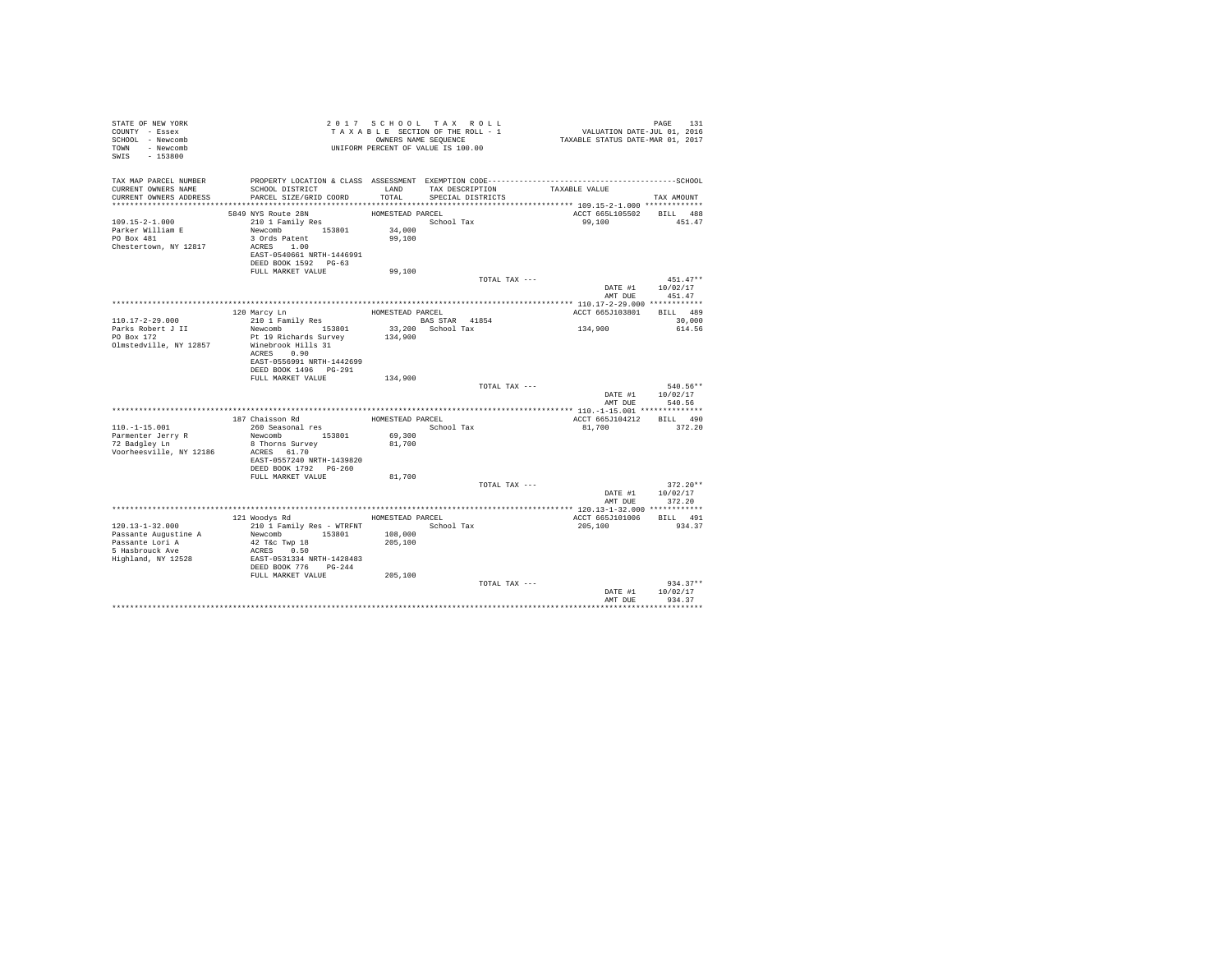| STATE OF NEW YORK<br>COUNTY - Essex<br>SCHOOL - Newcomb<br>TOWN - Newcomb<br>SWIS - 153800 |                                                 |                  | 2017 SCHOOL TAX ROLL<br>TAXABLE SECTION OF THE ROLL - 1<br>OWNERS NAME SEQUENCE<br>UNIFORM PERCENT OF VALUE IS 100.00 | PAGE 131<br>VALUATION DATE-JUL 01, 2016<br>TAXABLE STATUS DATE-MAR 01, 2017 |                                |
|--------------------------------------------------------------------------------------------|-------------------------------------------------|------------------|-----------------------------------------------------------------------------------------------------------------------|-----------------------------------------------------------------------------|--------------------------------|
| TAX MAP PARCEL NUMBER                                                                      |                                                 |                  |                                                                                                                       |                                                                             |                                |
| CURRENT OWNERS NAME<br>CURRENT OWNERS ADDRESS                                              | SCHOOL DISTRICT<br>PARCEL SIZE/GRID COORD       | LAND<br>TOTAL    | TAX DESCRIPTION<br>SPECIAL DISTRICTS                                                                                  | TAXABLE VALUE                                                               | TAX AMOUNT                     |
|                                                                                            |                                                 |                  |                                                                                                                       |                                                                             |                                |
|                                                                                            | 5849 NYS Route 28N                              | HOMESTEAD PARCEL |                                                                                                                       | ACCT 665L105502 BILL 488                                                    |                                |
| $109.15 - 2 - 1.000$                                                                       | $210$ 1 Family Res                              |                  | School Tax                                                                                                            | 99,100                                                                      | 451.47                         |
| Parker William E                                                                           | Newcomb 153801                                  | 34,000           |                                                                                                                       |                                                                             |                                |
| PO Box 481                                                                                 | 3 Ords Patent                                   | 99,100           |                                                                                                                       |                                                                             |                                |
| Chestertown, NY 12817                                                                      | ACRES 1.00<br>EAST-0540661 NRTH-1446991         |                  |                                                                                                                       |                                                                             |                                |
|                                                                                            | DEED BOOK 1592 PG-63                            |                  |                                                                                                                       |                                                                             |                                |
|                                                                                            | FULL MARKET VALUE                               | 99,100           |                                                                                                                       |                                                                             |                                |
|                                                                                            |                                                 |                  | TOTAL TAX ---                                                                                                         |                                                                             | $451.47**$                     |
|                                                                                            |                                                 |                  |                                                                                                                       |                                                                             | DATE #1 10/02/17               |
|                                                                                            |                                                 |                  |                                                                                                                       | AMT DUE                                                                     | 451.47                         |
|                                                                                            | 120 Marcy Ln                                    | HOMESTEAD PARCEL |                                                                                                                       | ACCT 665J103801 BILL 489                                                    |                                |
| 110.17-2-29.000                                                                            | 210 1 Family Res                                |                  | BAS STAR 41854                                                                                                        |                                                                             | 30,000                         |
| Parks Robert J II<br>PO Box 172                                                            | Newcomb 153801                                  |                  | 33,200 School Tax                                                                                                     | 134,900                                                                     | 614.56                         |
|                                                                                            | Pt 19 Richards Survey                           | 134,900          |                                                                                                                       |                                                                             |                                |
| Olmstedville, NY 12857                                                                     | Winebrook Hills 31<br>ACRES 0.90                |                  |                                                                                                                       |                                                                             |                                |
|                                                                                            | EAST-0556991 NRTH-1442699                       |                  |                                                                                                                       |                                                                             |                                |
|                                                                                            | DEED BOOK 1496 PG-291                           |                  |                                                                                                                       |                                                                             |                                |
|                                                                                            | FULL MARKET VALUE 134,900                       |                  |                                                                                                                       |                                                                             |                                |
|                                                                                            |                                                 |                  | TOTAL TAX ---                                                                                                         |                                                                             | $540.56**$<br>DATE #1 10/02/17 |
|                                                                                            |                                                 |                  |                                                                                                                       | AMT DUE                                                                     | 540.56                         |
|                                                                                            |                                                 |                  |                                                                                                                       |                                                                             |                                |
|                                                                                            | 187 Chaisson Rd                                 | HOMESTEAD PARCEL |                                                                                                                       | ACCT 665J104212                                                             | BILL 490                       |
| $110. - 1 - 15.001$                                                                        | 260 Seasonal res                                |                  | School Tax                                                                                                            | 81,700                                                                      | 372.20                         |
| Parmenter Jerry R<br>72 Badgley Ln                                                         | Newcomb 153801                                  | 69,300<br>81,700 |                                                                                                                       |                                                                             |                                |
| Voorheesville, NY 12186                                                                    | 8 Thorns Survey<br>ACRES 61.70                  |                  |                                                                                                                       |                                                                             |                                |
|                                                                                            | EAST-0557240 NRTH-1439820                       |                  |                                                                                                                       |                                                                             |                                |
|                                                                                            | DEED BOOK 1792 PG-260                           |                  |                                                                                                                       |                                                                             |                                |
|                                                                                            | FULL MARKET VALUE                               | 81,700           |                                                                                                                       |                                                                             |                                |
|                                                                                            |                                                 |                  | TOTAL TAX ---                                                                                                         |                                                                             | $372.20**$<br>DATE #1 10/02/17 |
|                                                                                            |                                                 |                  |                                                                                                                       |                                                                             | AMT DUE 372.20                 |
|                                                                                            |                                                 |                  |                                                                                                                       | **************** 120.13-1-32.000 ************                               |                                |
|                                                                                            | 121 Woodys Rd                                   | HOMESTEAD PARCEL |                                                                                                                       | ACCT 665J101006 BILL 491                                                    |                                |
| 120.13-1-32.000                                                                            | 210 1 Family Res - WTRFNT School Tax            |                  |                                                                                                                       | 205,100                                                                     | 934.37                         |
|                                                                                            | Newcomb 153801 108,000<br>42 T&c Twp 18 205,100 |                  |                                                                                                                       |                                                                             |                                |
| Passante Augustine A<br>Passante Lori A<br>5 Hasbrouck Ave                                 | ACRES 0.50                                      |                  |                                                                                                                       |                                                                             |                                |
| Highland, NY 12528                                                                         | EAST-0531334 NRTH-1428483                       |                  |                                                                                                                       |                                                                             |                                |
|                                                                                            | DEED BOOK 776 PG-244                            |                  |                                                                                                                       |                                                                             |                                |
|                                                                                            | FULL MARKET VALUE 205,100                       |                  | TOTAL TAX ---                                                                                                         |                                                                             | $934.37**$                     |
|                                                                                            |                                                 |                  |                                                                                                                       | DATE #1                                                                     | 10/02/17                       |
|                                                                                            |                                                 |                  |                                                                                                                       | AMT DUE                                                                     | 934.37                         |
|                                                                                            |                                                 |                  |                                                                                                                       |                                                                             |                                |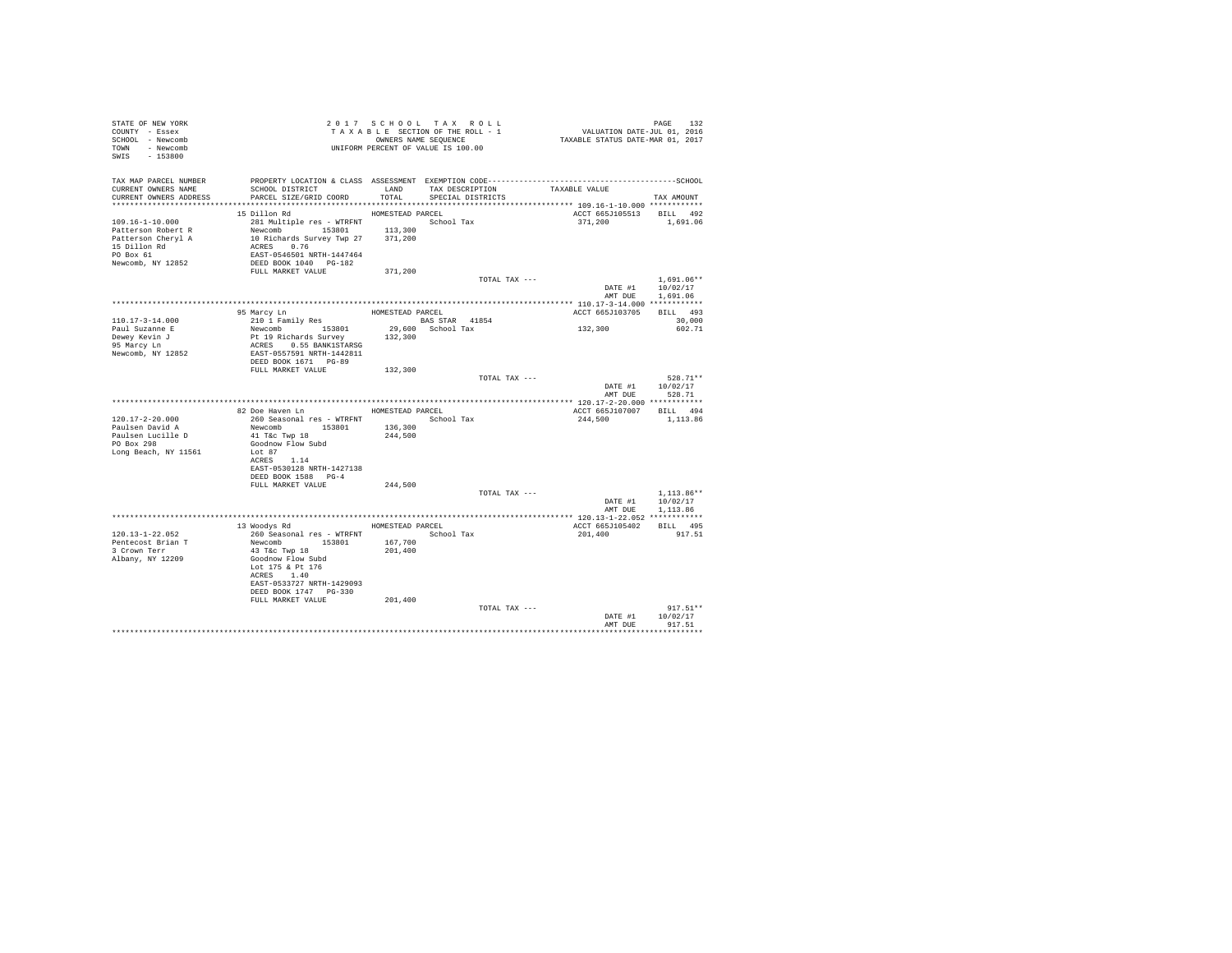| STATE OF NEW YORK<br>COUNTY - Essex<br>SCHOOL - Newcomb<br>TOWN - Newcomb<br>SWIS - 153800                    | TAXABLE SECTION OF THE ROWL -<br>ONNERS NAME SEQUENCE<br>UNIFORM PERCENT OF VALUE IS 100.00                                                                     |                    | TAXABLE SECTION OF THE ROLL - 1      | PAGE 132<br>VALUATION DATE-JUL 01, 2016<br>TAXABLE STATUS DATE-MAR 01, 2017 |                                        |
|---------------------------------------------------------------------------------------------------------------|-----------------------------------------------------------------------------------------------------------------------------------------------------------------|--------------------|--------------------------------------|-----------------------------------------------------------------------------|----------------------------------------|
| TAX MAP PARCEL NUMBER<br>CURRENT OWNERS NAME<br>CURRENT OWNERS ADDRESS                                        | SCHOOL DISTRICT<br>PARCEL SIZE/GRID COORD                                                                                                                       | LAND<br>TOTAL      | TAX DESCRIPTION<br>SPECIAL DISTRICTS | TAXABLE VALUE                                                               | TAX AMOUNT                             |
|                                                                                                               | 15 Dillon Rd                                                                                                                                                    | HOMESTEAD PARCEL   |                                      | ACCT 665J105513 BILL 492                                                    |                                        |
| 109.16-1-10.000<br>Patterson Robert R<br>Patterson Cheryl A<br>15 Dillon Rd<br>PO Box 61<br>Newcomb, NY 12852 | 281 Multiple res - WTRFNT School Tax<br>Newcomb 153801<br>10 Richards Survey Twp 27 371,200<br>ACRES 0.76<br>EAST-0546501 NRTH-1447464<br>DEED BOOK 1040 PG-182 | 113,300            |                                      | 371,200                                                                     | 1,691.06                               |
|                                                                                                               | FULL MARKET VALUE                                                                                                                                               | 371,200            |                                      |                                                                             |                                        |
|                                                                                                               |                                                                                                                                                                 |                    | TOTAL TAX ---                        | DATE #1 10/02/17<br>AMT DUE                                                 | $1.691.06**$<br>1,691.06               |
|                                                                                                               |                                                                                                                                                                 |                    |                                      |                                                                             |                                        |
| 110.17-3-14.000                                                                                               | 95 Marcy Ln<br>210 1 Family Res                                                                                                                                 | HOMESTEAD PARCEL   | <b>BAS STAR 41854</b>                | ACCT 665J103705                                                             | BILL 493<br>30,000                     |
| Paul Suzanne E                                                                                                | Newcomb 153801                                                                                                                                                  |                    | 29,600 School Tax                    | 132,300                                                                     | 602.71                                 |
| Dewey Kevin J<br>95 Marcy Ln                                                                                  | Pt 19 Richards Survey 132,300                                                                                                                                   |                    |                                      |                                                                             |                                        |
|                                                                                                               | ACRES 0.55 BANK1STARSG<br>EAST-0557591 NRTH-1442811                                                                                                             |                    |                                      |                                                                             |                                        |
| Newcomb, NY 12852                                                                                             | DEED BOOK 1671 PG-89                                                                                                                                            |                    |                                      |                                                                             |                                        |
|                                                                                                               | FULL MARKET VALUE                                                                                                                                               | 132,300            |                                      |                                                                             |                                        |
|                                                                                                               |                                                                                                                                                                 |                    | TOTAL TAX ---                        | AMT DUE                                                                     | 528.71**<br>DATE #1 10/02/17<br>528.71 |
|                                                                                                               |                                                                                                                                                                 |                    |                                      |                                                                             |                                        |
|                                                                                                               | 82 Doe Haven Ln MOMESTEAD PARCEL                                                                                                                                |                    |                                      | ACCT 665J107007 BILL 494                                                    |                                        |
| $120.17 - 2 - 20.000$                                                                                         | 260 Seasonal res - WTRFNT                                                                                                                                       |                    | School Tax                           | 244,500                                                                     | 1,113.86                               |
| Paulsen David A<br>Paulsen Lucille D                                                                          | Newcomb 153801<br>41 T&c Twp 18                                                                                                                                 | 136,300<br>244,500 |                                      |                                                                             |                                        |
| PO Box 298                                                                                                    | Goodnow Flow Subd                                                                                                                                               |                    |                                      |                                                                             |                                        |
| Long Beach, NY 11561                                                                                          | Lot 87                                                                                                                                                          |                    |                                      |                                                                             |                                        |
|                                                                                                               | ACRES 1.14                                                                                                                                                      |                    |                                      |                                                                             |                                        |
|                                                                                                               | EAST-0530128 NRTH-1427138<br>DEED BOOK 1588 PG-4                                                                                                                |                    |                                      |                                                                             |                                        |
|                                                                                                               | FULL MARKET VALUE                                                                                                                                               | 244,500            |                                      |                                                                             |                                        |
|                                                                                                               |                                                                                                                                                                 |                    | TOTAL TAX ---                        |                                                                             | $1.113.86**$                           |
|                                                                                                               |                                                                                                                                                                 |                    |                                      |                                                                             | DATE #1 10/02/17                       |
|                                                                                                               |                                                                                                                                                                 |                    |                                      | AMT DUE                                                                     | 1,113,86                               |
|                                                                                                               | 13 Woodys Rd                                                                                                                                                    |                    | HOMESTEAD PARCEL                     | ACCT 665J105402                                                             | BILL 495                               |
| 120.13-1-22.052                                                                                               | 260 Seasonal res - WTRFNT                                                                                                                                       |                    | School Tax                           | 201,400                                                                     | 917.51                                 |
| Pentecost Brian T                                                                                             | Newcomb 153801                                                                                                                                                  | 167,700            |                                      |                                                                             |                                        |
| 3 Crown Terr<br>Albany, NY 12209                                                                              | 43 T&c Twp 18<br>Goodnow Flow Subd                                                                                                                              | 201,400            |                                      |                                                                             |                                        |
|                                                                                                               | Lot 175 & Pt 176                                                                                                                                                |                    |                                      |                                                                             |                                        |
|                                                                                                               | ACRES 1.40                                                                                                                                                      |                    |                                      |                                                                             |                                        |
|                                                                                                               | EAST-0533727 NRTH-1429093                                                                                                                                       |                    |                                      |                                                                             |                                        |
|                                                                                                               | DEED BOOK 1747 PG-330<br>FULL MARKET VALUE                                                                                                                      | 201,400            |                                      |                                                                             |                                        |
|                                                                                                               |                                                                                                                                                                 |                    | TOTAL TAX ---                        |                                                                             | $917.51**$                             |
|                                                                                                               |                                                                                                                                                                 |                    |                                      | DATE #1                                                                     | 10/02/17                               |
|                                                                                                               |                                                                                                                                                                 |                    |                                      | AMT DUE                                                                     | 917.51                                 |
|                                                                                                               |                                                                                                                                                                 |                    |                                      |                                                                             |                                        |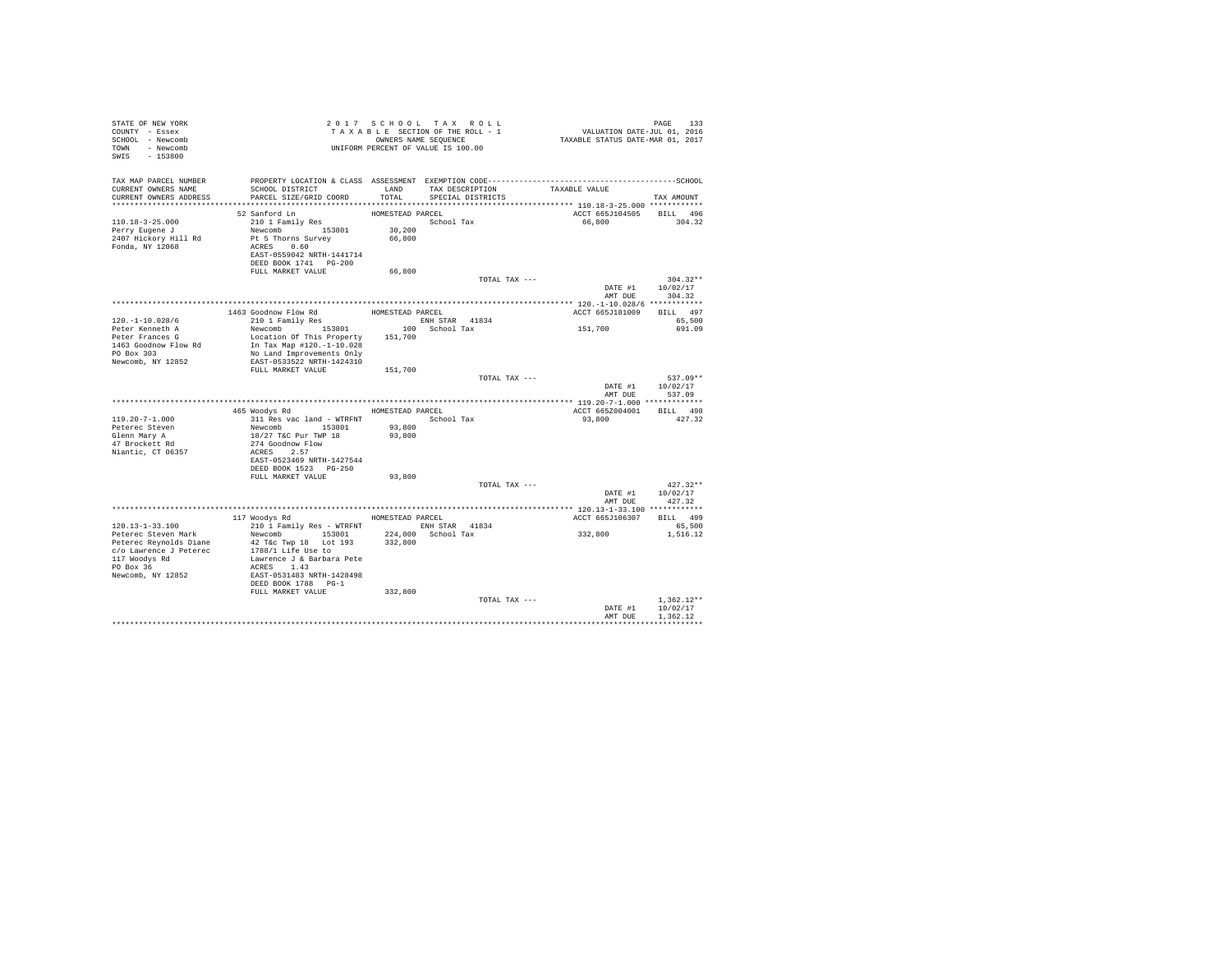| STATE OF NEW YORK<br>COUNTY - Essex<br>SCHOOL - Newcomb<br>TOWN - Newcomb<br>SWIS - 153800 |                                                                                                                                               |                                      | 2017 SCHOOL TAX ROLL<br>TAXABLE SECTION OF THE ROLL - 1<br>OWNERS NAME SEQUENCE<br>UNIFORM PERCENT OF VALUE IS 100.00 | PAGE 133<br>VALUATION DATE-JUL 01, 2016<br>TAXABLE STATUS DATE-MAR 01, 2017 |                            |
|--------------------------------------------------------------------------------------------|-----------------------------------------------------------------------------------------------------------------------------------------------|--------------------------------------|-----------------------------------------------------------------------------------------------------------------------|-----------------------------------------------------------------------------|----------------------------|
| TAX MAP PARCEL NUMBER<br>CURRENT OWNERS NAME<br>CURRENT OWNERS ADDRESS                     | SCHOOL DISTRICT<br>PARCEL SIZE/GRID COORD                                                                                                     | TOTAL                                | LAND TAX DESCRIPTION<br>SPECIAL DISTRICTS                                                                             | TAXABLE VALUE                                                               | TAX AMOUNT                 |
|                                                                                            |                                                                                                                                               |                                      |                                                                                                                       |                                                                             |                            |
| $110.18 - 3 - 25.000$<br>Perry Eugene J<br>2407 Hickory Hill Rd<br>Fonda, NY 12068         | 52 Sanford Ln<br>210 1 Family Res<br>Newcomb 153801<br>Pt 5 Thorns Survey<br>ACRES 0.60<br>EAST-0559042 NRTH-1441714<br>DEED BOOK 1741 PG-200 | HOMESTEAD PARCEL<br>30,200<br>66,800 | School Tax                                                                                                            | ACCT 665J104505 BILL 496<br>66,800                                          | 304.32                     |
|                                                                                            | FULL MARKET VALUE                                                                                                                             | 66,800                               |                                                                                                                       |                                                                             |                            |
|                                                                                            |                                                                                                                                               |                                      | TOTAL TAX ---                                                                                                         | DATE #1 10/02/17<br>AMT DUE                                                 | $304.32**$<br>304.32       |
|                                                                                            |                                                                                                                                               |                                      |                                                                                                                       |                                                                             |                            |
| 120. -1-10.028/6                                                                           | 1463 Goodnow Flow Rd<br>210 1 Family Res                                                                                                      | HOMESTEAD PARCEL                     |                                                                                                                       | ACCT 665J181009                                                             | BILL 497<br>65,500         |
| Peter Kenneth A                                                                            |                                                                                                                                               |                                      |                                                                                                                       | 151,700                                                                     | 691.09                     |
| Peter Frances G<br>1463 Goodnow Flow Rd<br>PO Box 303                                      | Location Of This Property 151,700<br>In Tax Map #120.-1-10.028<br>No Land Improvements Only<br>EAST-0533522 NRTH-1424310                      |                                      |                                                                                                                       |                                                                             |                            |
| Newcomb, NY 12852                                                                          | FULL MARKET VALUE                                                                                                                             | 151,700                              |                                                                                                                       |                                                                             |                            |
|                                                                                            |                                                                                                                                               |                                      | TOTAL TAX ---                                                                                                         |                                                                             | $537.09**$                 |
|                                                                                            |                                                                                                                                               |                                      |                                                                                                                       | DATE #1                                                                     | 10/02/17<br>AMT DUE 537.09 |
|                                                                                            |                                                                                                                                               |                                      |                                                                                                                       |                                                                             |                            |
|                                                                                            | 465 Woodys Rd                                                                                                                                 |                                      | HOMESTEAD PARCEL                                                                                                      | ACCT 665Z004001 BILL 498                                                    |                            |
| $119.20 - 7 - 1.000$<br>Peterec Steven                                                     | 311 Res vac land - WTRFNT School Tax                                                                                                          | 93,800                               |                                                                                                                       | 93,800                                                                      | 427.32                     |
| Glenn Mary A                                                                               | Newcomb 153801<br>18/27 T&C Pur TWP 18                                                                                                        | 93,800                               |                                                                                                                       |                                                                             |                            |
| 47 Brockett Rd<br>Niantic, CT 06357                                                        | 274 Goodnow Flow<br>ACRES 2.57                                                                                                                |                                      |                                                                                                                       |                                                                             |                            |
|                                                                                            | EAST-0523469 NRTH-1427544<br>DEED BOOK 1523 PG-250                                                                                            |                                      |                                                                                                                       |                                                                             |                            |
|                                                                                            | FULL MARKET VALUE                                                                                                                             | 93,800                               |                                                                                                                       |                                                                             |                            |
|                                                                                            |                                                                                                                                               |                                      | TOTAL TAX ---                                                                                                         |                                                                             | $427.32**$                 |
|                                                                                            |                                                                                                                                               |                                      |                                                                                                                       | DATE #1 10/02/17<br>AMT DUE                                                 | 427.32                     |
|                                                                                            | 117 Woodys Rd MOMESTEAD PARCEL                                                                                                                |                                      |                                                                                                                       |                                                                             |                            |
| $120.13 - 1 - 33.100$                                                                      | 210 1 Family Res - WTRFNT                                                                                                                     |                                      | ENH STAR 41834                                                                                                        | ACCT 665J106307 BILL 499                                                    | 65,500                     |
| Peterec Steven Mark                                                                        | Newcomb 153801                                                                                                                                |                                      | 224,000 School Tax                                                                                                    | 332,800                                                                     | 1,516.12                   |
| Peterec Reynolds Diane                                                                     | 42 T&c Twp 18 Lot 193                                                                                                                         | 332,800                              |                                                                                                                       |                                                                             |                            |
| c/o Lawrence J Peterec                                                                     | 1788/1 Life Use to                                                                                                                            |                                      |                                                                                                                       |                                                                             |                            |
| 117 Woodys Rd<br>PO Box 36                                                                 | Lawrence J & Barbara Pete                                                                                                                     |                                      |                                                                                                                       |                                                                             |                            |
| Newcomb, NY 12852                                                                          | ACRES 1.43<br>EAST-0531483 NRTH-1428498<br>DEED BOOK 1788 PG-1                                                                                |                                      |                                                                                                                       |                                                                             |                            |
|                                                                                            | FULL MARKET VALUE                                                                                                                             | 332,800                              |                                                                                                                       |                                                                             |                            |
|                                                                                            |                                                                                                                                               |                                      | TOTAL TAX ---                                                                                                         |                                                                             | $1.362.12**$               |
|                                                                                            |                                                                                                                                               |                                      |                                                                                                                       | DATE #1                                                                     | 10/02/17                   |
|                                                                                            |                                                                                                                                               |                                      |                                                                                                                       | AMT DUE                                                                     | 1,362.12                   |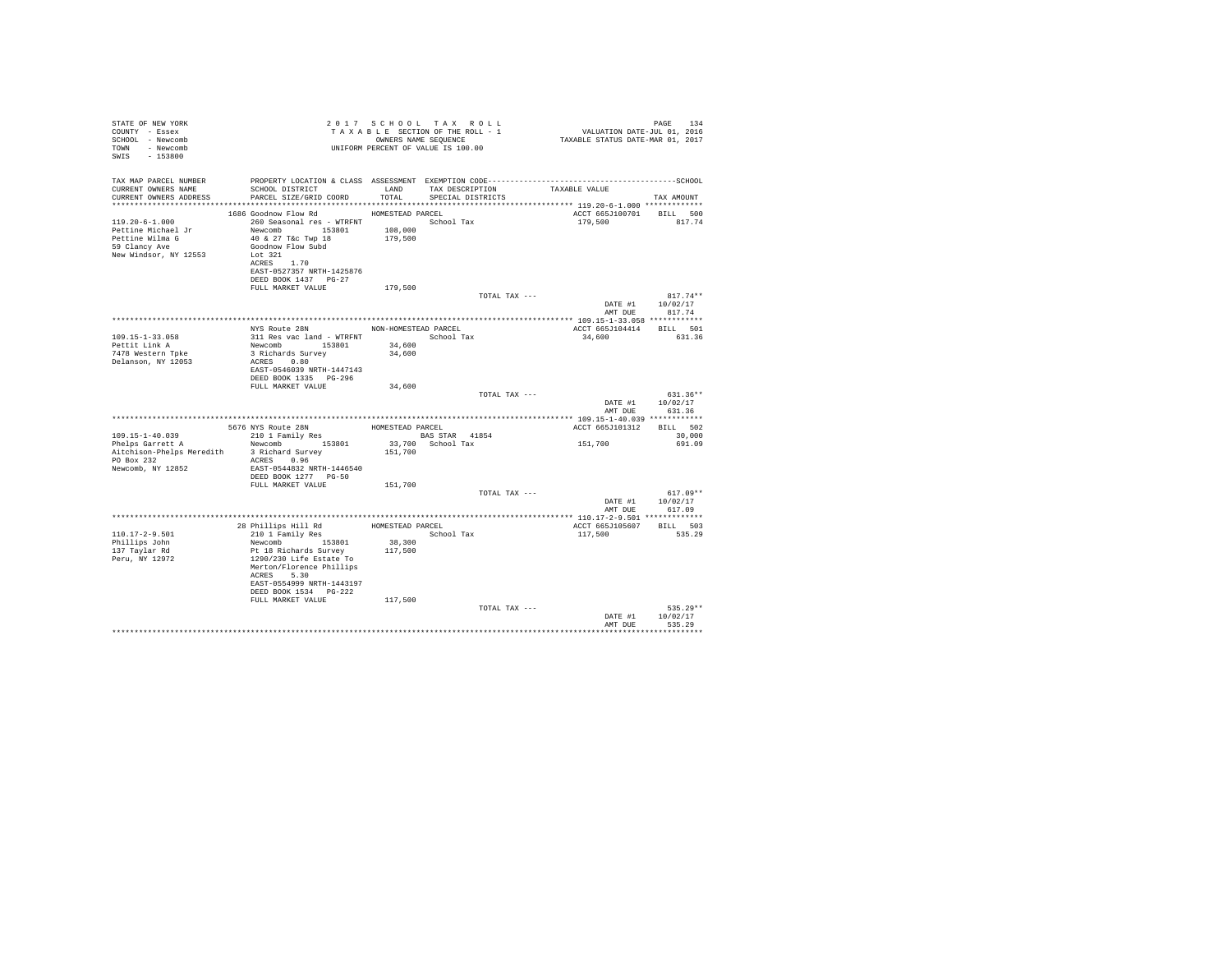| STATE OF NEW YORK<br>COUNTY - Essex<br>SCHOOL - Newcomb<br>TOWN - Newcomb<br>SWIS - 153800                            |                                                                                                                                                                                                                                                                                           |                   | 2017 SCHOOL TAX ROLL<br>TAXABLE SECTION OF THE ROLL - 1<br>TAXABLE SECTION OF THE ROLL - 1<br>OWNERS NAME SEQUENCE<br>UNIFORM PERCENT OF VALUE IS 100.00 | +د.<br>7110 VALUATION DATE-JUL<br>7110 TAXABLE STATUS DATE-MAR                                                | PAGE 134                                         |
|-----------------------------------------------------------------------------------------------------------------------|-------------------------------------------------------------------------------------------------------------------------------------------------------------------------------------------------------------------------------------------------------------------------------------------|-------------------|----------------------------------------------------------------------------------------------------------------------------------------------------------|---------------------------------------------------------------------------------------------------------------|--------------------------------------------------|
| TAX MAP PARCEL NUMBER<br>CURRENT OWNERS NAME<br>CURRENT OWNERS ADDRESS PARCEL SIZE/GRID COORD TOTAL SPECIAL DISTRICTS | SCHOOL DISTRICT TAND TAX DESCRIPTION                                                                                                                                                                                                                                                      |                   |                                                                                                                                                          | PROPERTY LOCATION & CLASS ASSESSMENT EXEMPTION CODE-----------------------------------SCHOOL<br>TAXABLE VALUE | TAX AMOUNT                                       |
|                                                                                                                       |                                                                                                                                                                                                                                                                                           |                   |                                                                                                                                                          |                                                                                                               |                                                  |
| 119.20-6-1.000<br>Pettine Michael Jr<br>Pettine Wilma G<br>59 Clancy Ave<br>New Windsor, NY 12553                     | 1686 Goodnow Flow Rd MOMESTEAD PARCEL<br>260 Seasonal res - WTRFNT <a>&gt; School Tax<br/>Newcomb 153801 108,000<br/>40 &amp; 27 T&amp;c Twp 18 179,500<br/>Goodnow Flow Subd<br/>Lot 321<br/>ACRES 1.70<br/>EAST-0527357 NRTH-1425876<br/>DEED BOOK 1437 PG-27<br/>FULL MARKET VALUE</a> | 179,500           |                                                                                                                                                          | ACCT 665J100701 BILL 500<br>179,500                                                                           | 817.74                                           |
|                                                                                                                       |                                                                                                                                                                                                                                                                                           |                   | TOTAL TAX ---                                                                                                                                            |                                                                                                               | $817.74**$                                       |
|                                                                                                                       |                                                                                                                                                                                                                                                                                           |                   |                                                                                                                                                          |                                                                                                               | DATE #1 10/02/17                                 |
|                                                                                                                       |                                                                                                                                                                                                                                                                                           |                   |                                                                                                                                                          | AMT DUE                                                                                                       | 817.74                                           |
|                                                                                                                       | NYS Route 28N NON-HOMESTEAD PARCEL                                                                                                                                                                                                                                                        |                   |                                                                                                                                                          |                                                                                                               |                                                  |
| $109.15 - 1 - 33.058$                                                                                                 | 311 Res vac land - WTRFNT School Tax                                                                                                                                                                                                                                                      |                   |                                                                                                                                                          | ACCT 665J104414 BILL 501<br>34,600 631.36                                                                     |                                                  |
| Pettit Link A                                                                                                         | Newcomb 153801                                                                                                                                                                                                                                                                            | 34,600            |                                                                                                                                                          |                                                                                                               |                                                  |
| 7478 Western Tpke                                                                                                     | 3 Richards Survey                                                                                                                                                                                                                                                                         | 34,600            |                                                                                                                                                          |                                                                                                               |                                                  |
| Delanson, NY 12053                                                                                                    | ACRES 0.80<br>EAST-0546039 NRTH-1447143<br>DEED BOOK 1335 PG-296                                                                                                                                                                                                                          |                   |                                                                                                                                                          |                                                                                                               |                                                  |
|                                                                                                                       | FULL MARKET VALUE                                                                                                                                                                                                                                                                         | 34,600            |                                                                                                                                                          |                                                                                                               |                                                  |
|                                                                                                                       |                                                                                                                                                                                                                                                                                           |                   | TOTAL TAX ---                                                                                                                                            | AMT DUE                                                                                                       | $631.36**$<br>DATE #1 10/02/17<br>631.36         |
|                                                                                                                       |                                                                                                                                                                                                                                                                                           |                   |                                                                                                                                                          |                                                                                                               |                                                  |
|                                                                                                                       | $$\tt 5676$ $\tt NYS$ $\tt Route$ $\tt 28N$ $\tt 210$ $\tt 1$ $\tt Family$ $\tt Res$ $\tt 588$ $\tt STR$ $\tt 41854$                                                                                                                                                                      |                   |                                                                                                                                                          | ACCT 665J101312 BILL 502                                                                                      |                                                  |
| $109.15 - 1 - 40.039$                                                                                                 |                                                                                                                                                                                                                                                                                           |                   |                                                                                                                                                          |                                                                                                               | 30,000                                           |
| Phelps Garrett A<br>Aitchison-Phelps Meredith 3 Richard Survey<br>PO Box 232<br>Newcomb, NY 12852                     | Newcomb 153801<br>ACRES 0.96<br>EAST-0544832 NRTH-1446540<br>DEED BOOK 1277 PG-50                                                                                                                                                                                                         | 151,700           | 33,700 School Tax                                                                                                                                        | 151,700                                                                                                       | 691.09                                           |
|                                                                                                                       | FULL MARKET VALUE 151,700                                                                                                                                                                                                                                                                 |                   |                                                                                                                                                          |                                                                                                               |                                                  |
|                                                                                                                       |                                                                                                                                                                                                                                                                                           |                   | TOTAL TAX ---                                                                                                                                            |                                                                                                               | $617.09**$<br>DATE #1 10/02/17<br>AMT DUE 617.09 |
|                                                                                                                       |                                                                                                                                                                                                                                                                                           |                   |                                                                                                                                                          |                                                                                                               |                                                  |
|                                                                                                                       | 28 Phillips Hill Rd<br>210 1 Family Res<br>School Tax                                                                                                                                                                                                                                     |                   |                                                                                                                                                          | ACCT 665J105607 BILL 503                                                                                      |                                                  |
| $110.17 - 2 - 9.501$                                                                                                  |                                                                                                                                                                                                                                                                                           |                   |                                                                                                                                                          | 117,500                                                                                                       | 535.29                                           |
| Phillips John<br>137 Taylar Rd<br>Peru, NY 12972                                                                      | Newcomb 153801<br>Pt 18 Richards Survey<br>1290/230 Life Estate To<br>Merton/Florence Phillips<br>ACRES 5.30<br>EAST-0554999 NRTH-1443197<br>DEED BOOK 1534 PG-222                                                                                                                        | 38,300<br>117,500 |                                                                                                                                                          |                                                                                                               |                                                  |
|                                                                                                                       | FULL MARKET VALUE                                                                                                                                                                                                                                                                         | 117,500           |                                                                                                                                                          |                                                                                                               |                                                  |
|                                                                                                                       |                                                                                                                                                                                                                                                                                           |                   | TOTAL TAX ---                                                                                                                                            | DATE #1<br>AMT DUR                                                                                            | $535.29**$<br>10/02/17<br>535.29                 |
|                                                                                                                       |                                                                                                                                                                                                                                                                                           |                   |                                                                                                                                                          |                                                                                                               |                                                  |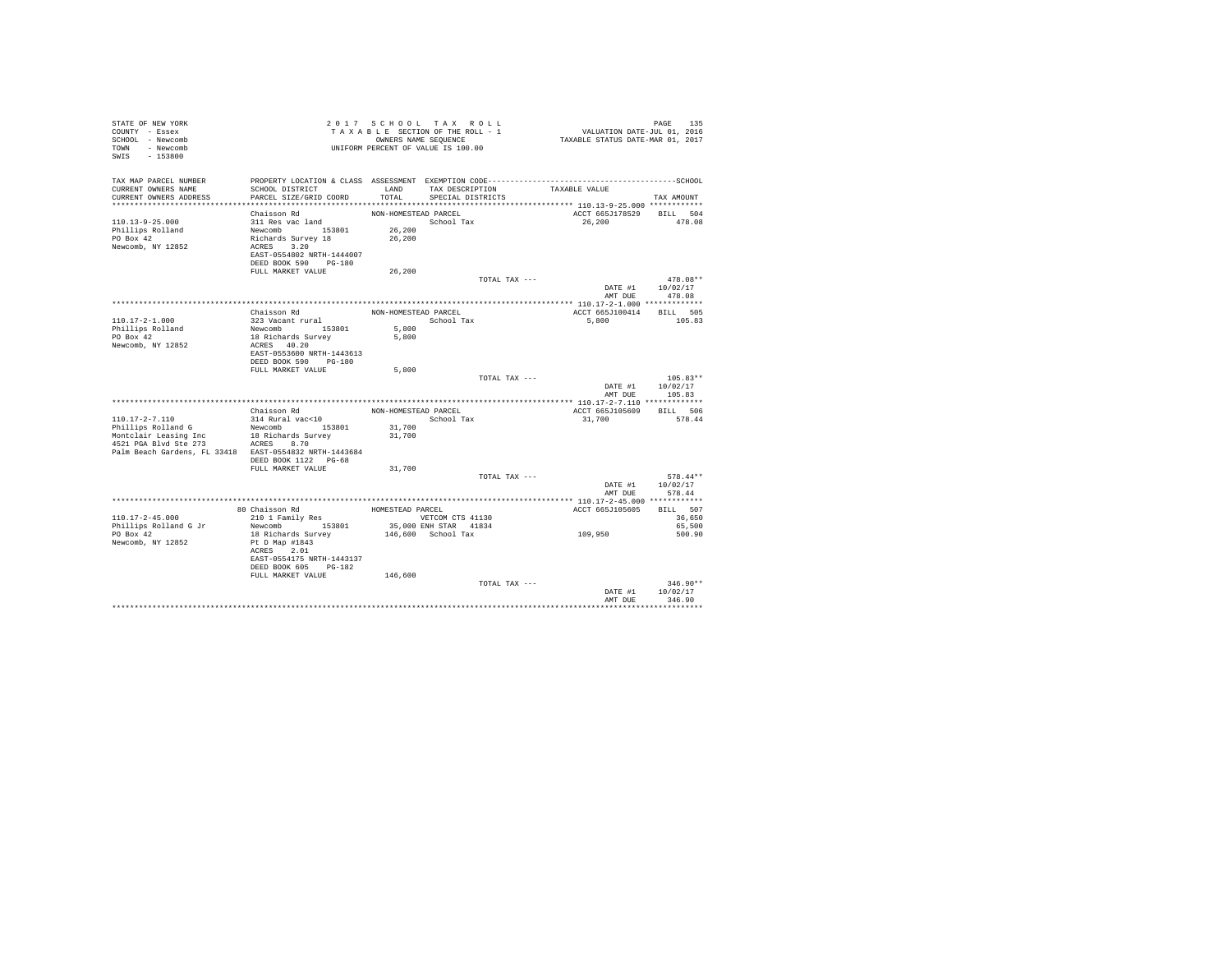| STATE OF NEW YORK<br>COUNTY - Essex<br>SCHOOL - Newcomb<br>TOWN - Newcomb<br>SWIS - 153800 |                                           |                      | 2017 SCHOOL TAX ROLL<br>TAXABLE SECTION OF THE ROLL - 1<br>OWNERS NAME SEQUENCE<br>UNIFORM PERCENT OF VALUE IS 100.00 | PAGE 135<br>VALUATION DATE-JUL 01, 2016<br>TAXABLE STATUS DATE-MAR 01, 2017 |                            |
|--------------------------------------------------------------------------------------------|-------------------------------------------|----------------------|-----------------------------------------------------------------------------------------------------------------------|-----------------------------------------------------------------------------|----------------------------|
| TAX MAP PARCEL NUMBER                                                                      |                                           |                      |                                                                                                                       |                                                                             |                            |
| CURRENT OWNERS NAME                                                                        | SCHOOL DISTRICT                           |                      | LAND TAX DESCRIPTION                                                                                                  | TAXABLE VALUE                                                               |                            |
| CURRENT OWNERS ADDRESS                                                                     | PARCEL SIZE/GRID COORD                    | TOTAL                | SPECIAL DISTRICTS                                                                                                     |                                                                             | TAX AMOUNT                 |
|                                                                                            | Chaisson Rd                               | NON-HOMESTEAD PARCEL |                                                                                                                       | ACCT 665J178529 BILL 504                                                    |                            |
| $110.13 - 9 - 25.000$                                                                      | 311 Res vac land                          |                      | School Tax                                                                                                            | 26,200                                                                      | 478.08                     |
| Phillips Rolland                                                                           |                                           | 26,200               |                                                                                                                       |                                                                             |                            |
| PO Box 42                                                                                  | Newcomb 153801<br>Richards Survey 18      | 26,200               |                                                                                                                       |                                                                             |                            |
| Newcomb, NY 12852                                                                          | ACRES 3.20                                |                      |                                                                                                                       |                                                                             |                            |
|                                                                                            | EAST-0554802 NRTH-1444007                 |                      |                                                                                                                       |                                                                             |                            |
|                                                                                            | DEED BOOK 590 PG-180<br>FULL MARKET VALUE | 26,200               |                                                                                                                       |                                                                             |                            |
|                                                                                            |                                           |                      | TOTAL TAX ---                                                                                                         |                                                                             | $478.08**$                 |
|                                                                                            |                                           |                      |                                                                                                                       | DATE #1                                                                     | 10/02/17                   |
|                                                                                            |                                           |                      |                                                                                                                       | AMT DUE                                                                     | 478.08                     |
|                                                                                            |                                           |                      |                                                                                                                       |                                                                             |                            |
|                                                                                            | Chaisson Rd                               |                      | NON-HOMESTEAD PARCEL                                                                                                  | ACCT 665J100414                                                             | BILL 505                   |
| 110.17-2-1.000                                                                             | 323 Vacant rural                          |                      | School Tax                                                                                                            | 5,800                                                                       | 105.83                     |
| Phillips Rolland<br>PO Box 42                                                              | Newcomb 153801<br>18 Richards Survey      | 5,800<br>5,800       |                                                                                                                       |                                                                             |                            |
| Newcomb, NY 12852                                                                          | ACRES 40.20                               |                      |                                                                                                                       |                                                                             |                            |
|                                                                                            | EAST-0553600 NRTH-1443613                 |                      |                                                                                                                       |                                                                             |                            |
|                                                                                            | DEED BOOK 590 PG-180                      |                      |                                                                                                                       |                                                                             |                            |
|                                                                                            | FULL MARKET VALUE                         | 5,800                |                                                                                                                       |                                                                             |                            |
|                                                                                            |                                           |                      | TOTAL TAX ---                                                                                                         | DATE #1                                                                     | $105.83**$<br>10/02/17     |
|                                                                                            |                                           |                      |                                                                                                                       | AMT DUE                                                                     | 105.83                     |
|                                                                                            |                                           |                      |                                                                                                                       |                                                                             |                            |
|                                                                                            | Chaisson Rd                               | NON-HOMESTEAD PARCEL |                                                                                                                       | ACCT 665J105609 BILL 506                                                    |                            |
| $110.17 - 2 - 7.110$                                                                       | 314 Rural vac<10                          |                      | School Tax                                                                                                            | 31,700                                                                      | 578.44                     |
| Phillips Rolland G                                                                         | Newcomb 153801                            | 31,700               |                                                                                                                       |                                                                             |                            |
| Montclair Leasing Inc<br>4521 PGA Blvd Ste 273 ACRES 8.70                                  | 18 Richards Survey                        | 31,700               |                                                                                                                       |                                                                             |                            |
| Palm Beach Gardens, FL 33418 EAST-0554832 NRTH-1443684                                     |                                           |                      |                                                                                                                       |                                                                             |                            |
|                                                                                            | DEED BOOK 1122    PG-68                   |                      |                                                                                                                       |                                                                             |                            |
|                                                                                            | FULL MARKET VALUE                         | 31,700               |                                                                                                                       |                                                                             |                            |
|                                                                                            |                                           |                      | TOTAL TAX ---                                                                                                         |                                                                             | $578.44**$                 |
|                                                                                            |                                           |                      |                                                                                                                       |                                                                             | DATE #1 10/02/17<br>578.44 |
|                                                                                            |                                           |                      |                                                                                                                       | AMT DUE                                                                     |                            |
|                                                                                            | 80 Chaisson Rd                            | HOMESTEAD PARCEL     |                                                                                                                       | ACCT 665J105605                                                             | BILL 507                   |
| $110.17 - 2 - 45.000$                                                                      | 210 1 Family Res                          |                      | VETCOM CTS 41130                                                                                                      |                                                                             | 36,650                     |
| Phillips Rolland G Jr                                                                      | Newcomb 153801                            |                      | 35,000 ENH STAR 41834                                                                                                 |                                                                             | 65,500                     |
| PO Box 42                                                                                  | 18 Richards Survey                        |                      | 146,600 School Tax                                                                                                    | 109,950                                                                     | 500.90                     |
| Newcomb, NY 12852                                                                          | Pt D Map #1843                            |                      |                                                                                                                       |                                                                             |                            |
|                                                                                            | ACRES 2.01<br>EAST-0554175 NRTH-1443137   |                      |                                                                                                                       |                                                                             |                            |
|                                                                                            | DEED BOOK 605 PG-182                      |                      |                                                                                                                       |                                                                             |                            |
|                                                                                            | FULL MARKET VALUE                         | 146,600              |                                                                                                                       |                                                                             |                            |
|                                                                                            |                                           |                      | TOTAL TAX ---                                                                                                         |                                                                             | $346.90**$                 |
|                                                                                            |                                           |                      |                                                                                                                       | DATE #1                                                                     | 10/02/17                   |
|                                                                                            |                                           |                      |                                                                                                                       | AMT DUE                                                                     | 346.90                     |
|                                                                                            |                                           |                      |                                                                                                                       |                                                                             |                            |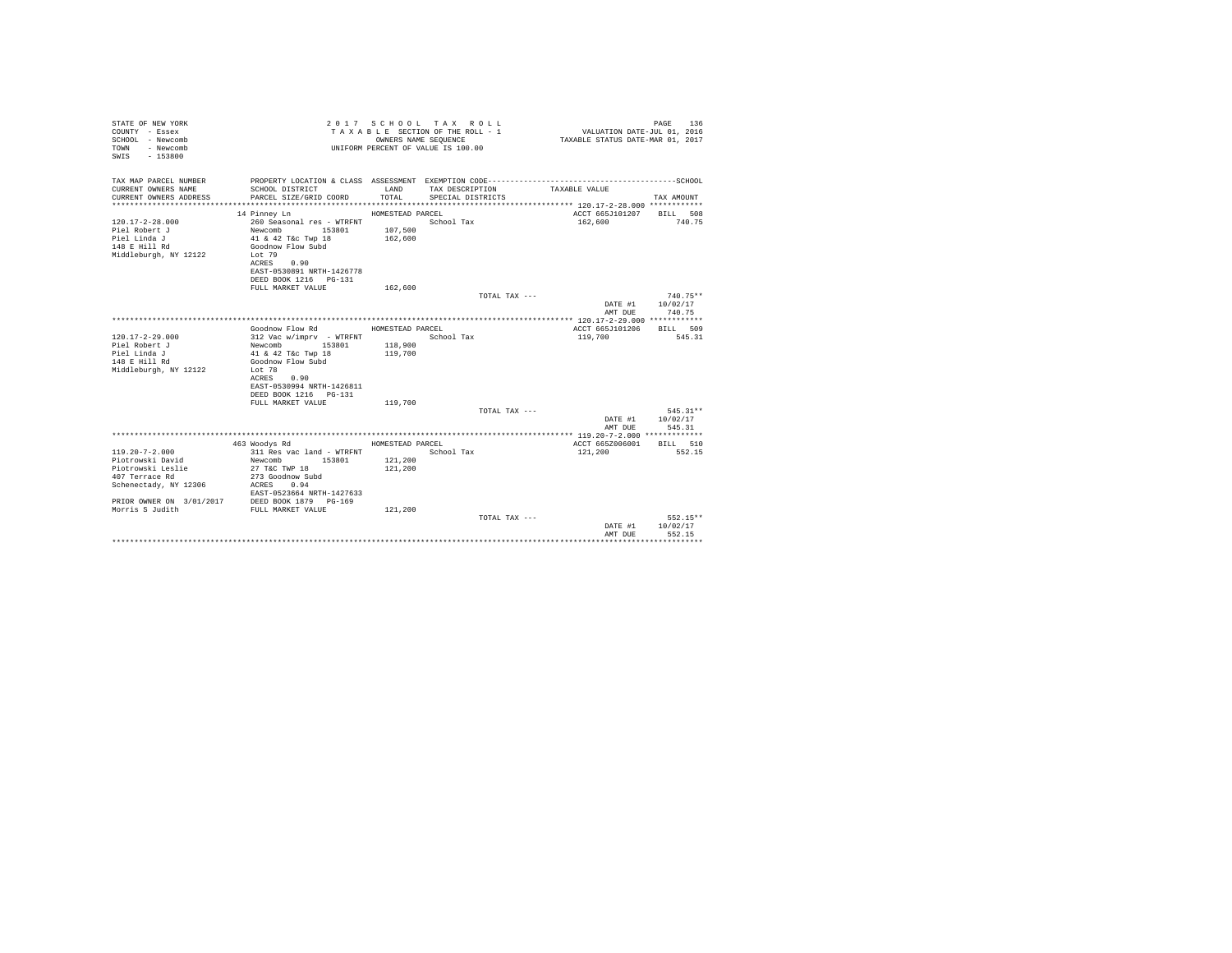| STATE OF NEW YORK<br>COUNTY - Essex<br>SCHOOL - Newcomb<br>TOWN - Newcomb<br>$-153800$<br>SWIS |                                            |                  | 2017 SCHOOL TAX ROLL<br>TAXABLE SECTION OF THE ROLL - 1<br>OWNERS NAME SEQUENCE<br>UNIFORM PERCENT OF VALUE IS 100.00 | VALUATION DATE-JUL 01, 2016<br>TAXABLE STATUS DATE-MAR 01, 2017 | 136<br>PAGE      |
|------------------------------------------------------------------------------------------------|--------------------------------------------|------------------|-----------------------------------------------------------------------------------------------------------------------|-----------------------------------------------------------------|------------------|
| TAX MAP PARCEL NUMBER                                                                          |                                            |                  |                                                                                                                       |                                                                 |                  |
| CURRENT OWNERS NAME<br>CURRENT OWNERS ADDRESS                                                  | SCHOOL DISTRICT<br>PARCEL SIZE/GRID COORD  | LAND<br>TOTAL    | TAX DESCRIPTION<br>SPECIAL DISTRICTS                                                                                  | TAXABLE VALUE                                                   | TAX AMOUNT       |
|                                                                                                |                                            |                  |                                                                                                                       |                                                                 |                  |
|                                                                                                | 14 Pinney Ln                               | HOMESTEAD PARCEL |                                                                                                                       | ACCT 665J101207 BILL 508                                        |                  |
| $120.17 - 2 - 28.000$                                                                          | 260 Seasonal res - WTRFNT                  |                  | School Tax                                                                                                            | 162,600                                                         | 740.75           |
| Piel Robert J                                                                                  | Newcomb 153801<br>41 & 42 T&c Twp 18       | 107,500          |                                                                                                                       |                                                                 |                  |
| Piel Linda J                                                                                   |                                            | 162,600          |                                                                                                                       |                                                                 |                  |
| 148 E Hill Rd                                                                                  | Goodnow Flow Subd                          |                  |                                                                                                                       |                                                                 |                  |
| Middleburgh, NY 12122                                                                          | Lot 79<br>ACRES 0.90                       |                  |                                                                                                                       |                                                                 |                  |
|                                                                                                | EAST-0530891 NRTH-1426778                  |                  |                                                                                                                       |                                                                 |                  |
|                                                                                                | DEED BOOK 1216 PG-131                      |                  |                                                                                                                       |                                                                 |                  |
|                                                                                                | FULL MARKET VALUE                          | 162,600          |                                                                                                                       |                                                                 |                  |
|                                                                                                |                                            |                  | TOTAL TAX ---                                                                                                         |                                                                 | $740.75**$       |
|                                                                                                |                                            |                  |                                                                                                                       |                                                                 | DATE #1 10/02/17 |
|                                                                                                |                                            |                  |                                                                                                                       | AMT DUE                                                         | 740.75           |
|                                                                                                | Goodnow Flow Rd                            | HOMESTEAD PARCEL |                                                                                                                       | ACCT 665J101206 BILL 509                                        |                  |
| $120.17 - 2 - 29.000$                                                                          | 312 Vac w/imprv - WTRFNT                   |                  | School Tax                                                                                                            | 119,700                                                         | 545.31           |
| Piel Robert J                                                                                  | Newcomb 153801 118,900                     |                  |                                                                                                                       |                                                                 |                  |
| Piel Linda J                                                                                   | 41 & 42 T&c Twp 18                         | 119,700          |                                                                                                                       |                                                                 |                  |
| 148 E Hill Rd                                                                                  | Goodnow Flow Subd                          |                  |                                                                                                                       |                                                                 |                  |
| Middleburgh, NY 12122                                                                          | Lot 78                                     |                  |                                                                                                                       |                                                                 |                  |
|                                                                                                | ACRES<br>0.90<br>EAST-0530994 NRTH-1426811 |                  |                                                                                                                       |                                                                 |                  |
|                                                                                                | DEED BOOK 1216    PG-131                   |                  |                                                                                                                       |                                                                 |                  |
|                                                                                                | FULL MARKET VALUE                          | 119,700          |                                                                                                                       |                                                                 |                  |
|                                                                                                |                                            |                  | TOTAL TAX ---                                                                                                         |                                                                 | 545.31**         |
|                                                                                                |                                            |                  |                                                                                                                       | DATE #1 10/02/17                                                |                  |
|                                                                                                |                                            |                  |                                                                                                                       | AMT DUE                                                         | 545.31           |
|                                                                                                | 463 Woodys Rd                              | HOMESTEAD PARCEL |                                                                                                                       | ACCT 665Z006001                                                 | BILL 510         |
| $119.20 - 7 - 2.000$                                                                           | 311 Res vac land - WTRFNT                  |                  | School Tax                                                                                                            | 121,200                                                         | 552.15           |
| Piotrowski David                                                                               | Newcomb 153801                             | 121,200          |                                                                                                                       |                                                                 |                  |
| Piotrowski Leslie                                                                              | 27 T&C TWP 18                              | 121,200          |                                                                                                                       |                                                                 |                  |
| 407 Terrace Rd                                                                                 | 273 Goodnow Subd                           |                  |                                                                                                                       |                                                                 |                  |
| Schenectady, NY 12306                                                                          | ACRES 0.94                                 |                  |                                                                                                                       |                                                                 |                  |
|                                                                                                | EAST-0523664 NRTH-1427633                  |                  |                                                                                                                       |                                                                 |                  |
| PRIOR OWNER ON 3/01/2017 DEED BOOK 1879 PG-169<br>Morris S Judith FULL MARKET VALUE            |                                            | 121,200          |                                                                                                                       |                                                                 |                  |
|                                                                                                |                                            |                  | TOTAL TAX ---                                                                                                         |                                                                 | $552.15**$       |
|                                                                                                |                                            |                  |                                                                                                                       | DATE #1                                                         | 10/02/17         |
|                                                                                                |                                            |                  |                                                                                                                       | AMT DUE                                                         | 552.15           |
|                                                                                                |                                            |                  |                                                                                                                       |                                                                 |                  |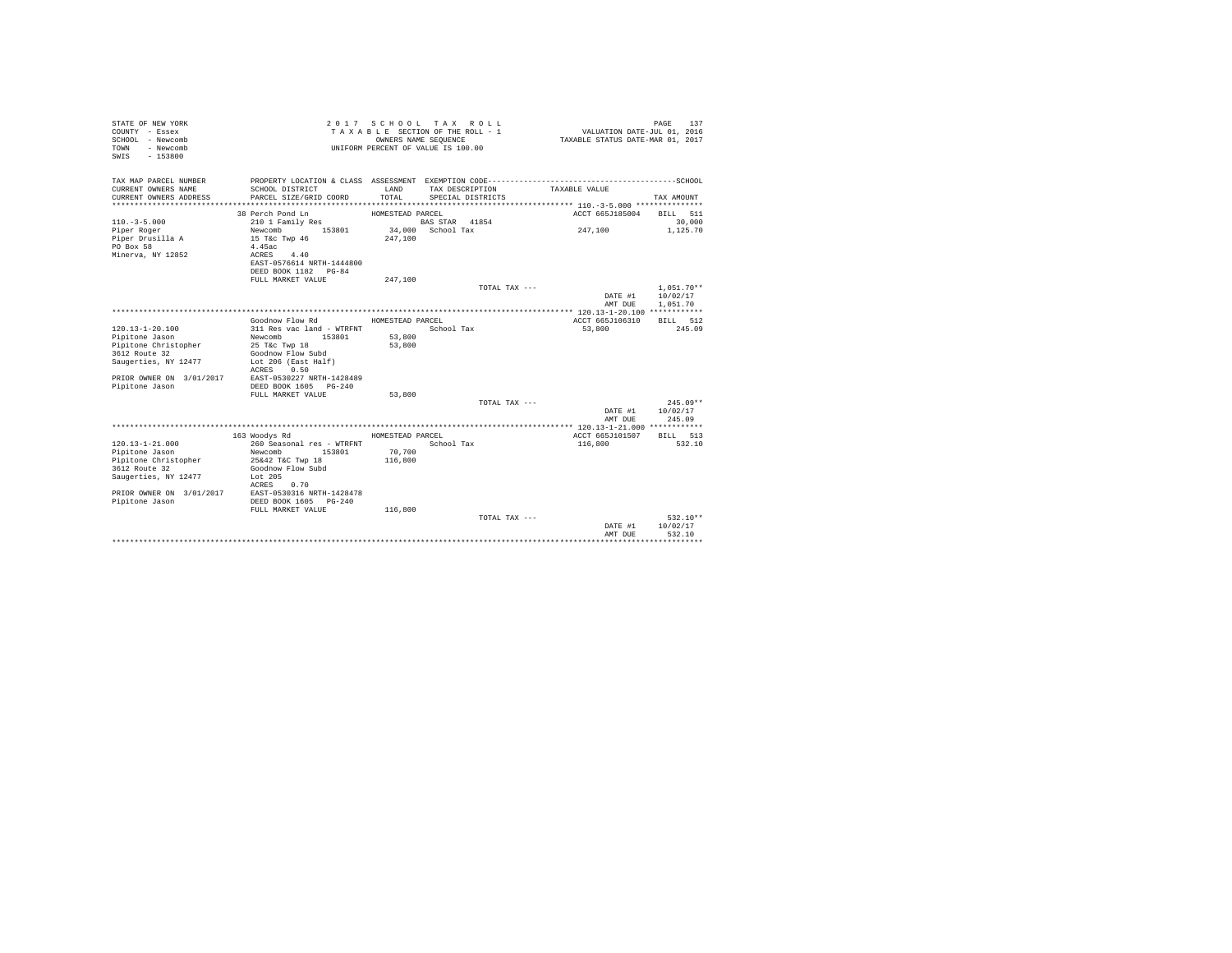| STATE OF NEW YORK<br>COUNTY - Essex<br>SCHOOL - Newcomb<br>- Newcomb<br>TOWN<br>$-153800$<br>SWIS |                                            | OWNERS NAME SEOUENCE | 2017 SCHOOL TAX ROLL<br>TAXABLE SECTION OF THE ROLL - 1<br>UNIFORM PERCENT OF VALUE IS 100.00 | VALUATION DATE-JUL 01, 2016<br>TAXABLE STATUS DATE-MAR 01, 2017 | 137<br>PAGE          |
|---------------------------------------------------------------------------------------------------|--------------------------------------------|----------------------|-----------------------------------------------------------------------------------------------|-----------------------------------------------------------------|----------------------|
| TAX MAP PARCEL NUMBER                                                                             |                                            |                      |                                                                                               |                                                                 |                      |
| CURRENT OWNERS NAME                                                                               | SCHOOL DISTRICT<br>PARCEL SIZE/GRID COORD  | LAND<br>TOTAL        | TAX DESCRIPTION                                                                               | TAXABLE VALUE                                                   | TAX AMOUNT           |
| CURRENT OWNERS ADDRESS                                                                            |                                            |                      | SPECIAL DISTRICTS                                                                             |                                                                 |                      |
|                                                                                                   | 38 Perch Pond Ln                           | HOMESTEAD PARCEL     |                                                                                               | ACCT 665J185004                                                 | BILL 511             |
| $110. -3 - 5.000$                                                                                 | 210 1 Family Res                           |                      | BAS STAR 41854                                                                                |                                                                 | 30,000               |
| Piper Roger                                                                                       | 153801<br>Newcomb                          |                      | 34,000 School Tax                                                                             | 247.100                                                         | 1,125.70             |
| Piper Drusilla A                                                                                  | 15 T&c Twp 46                              | 247,100              |                                                                                               |                                                                 |                      |
| PO Box 58                                                                                         | 4.45ac                                     |                      |                                                                                               |                                                                 |                      |
| Minerva, NY 12852                                                                                 | 4.40<br>ACRES                              |                      |                                                                                               |                                                                 |                      |
|                                                                                                   | EAST-0576614 NRTH-1444800                  |                      |                                                                                               |                                                                 |                      |
|                                                                                                   | DEED BOOK 1182 PG-84                       |                      |                                                                                               |                                                                 |                      |
|                                                                                                   | FULL MARKET VALUE                          | 247,100              |                                                                                               |                                                                 |                      |
|                                                                                                   |                                            |                      | TOTAL TAX ---                                                                                 |                                                                 | $1.051.70**$         |
|                                                                                                   |                                            |                      |                                                                                               | DATE #1<br>AMT DUE                                              | 10/02/17<br>1,051.70 |
|                                                                                                   |                                            |                      |                                                                                               | *************** 120.13-1-20.100 ************                    |                      |
|                                                                                                   | Goodnow Flow Rd                            | HOMESTEAD PARCEL     |                                                                                               | ACCT 665J106310                                                 | BILL 512             |
| $120.13 - 1 - 20.100$                                                                             | 311 Res vac land - WTRFNT                  |                      | School Tax                                                                                    | 53,800                                                          | 245.09               |
| Pipitone Jason                                                                                    | Newcomb<br>153801                          | 53,800               |                                                                                               |                                                                 |                      |
| Pipitone Christopher                                                                              | 25 T&c Twp 18                              | 53,800               |                                                                                               |                                                                 |                      |
| 3612 Route 32                                                                                     | Goodnow Flow Subd                          |                      |                                                                                               |                                                                 |                      |
| Saugerties, NY 12477                                                                              | Lot 206 (East Half)                        |                      |                                                                                               |                                                                 |                      |
|                                                                                                   | 0.50<br>ACRES                              |                      |                                                                                               |                                                                 |                      |
| PRIOR OWNER ON 3/01/2017                                                                          | EAST-0530227 NRTH-1428489                  |                      |                                                                                               |                                                                 |                      |
| Pipitone Jason                                                                                    | DEED BOOK 1605 PG-240                      |                      |                                                                                               |                                                                 |                      |
|                                                                                                   | FULL MARKET VALUE                          | 53,800               | TOTAL TAX ---                                                                                 |                                                                 | $245.09**$           |
|                                                                                                   |                                            |                      |                                                                                               | DATE #1                                                         | 10/02/17             |
|                                                                                                   |                                            |                      |                                                                                               | AMT DUE                                                         | 245.09               |
|                                                                                                   |                                            |                      |                                                                                               |                                                                 |                      |
|                                                                                                   | 163 Woodys Rd                              | HOMESTEAD PARCEL     |                                                                                               | ACCT 665J101507                                                 | BILL 513             |
| $120.13 - 1 - 21.000$                                                                             | 260 Seasonal res - WTRFNT                  |                      | School Tax                                                                                    | 116,800                                                         | 532.10               |
| Pipitone Jason                                                                                    | 153801<br>Newcomb                          | 70,700               |                                                                                               |                                                                 |                      |
| Pipitone Christopher                                                                              | 25&42 T&C Twp 18                           | 116,800              |                                                                                               |                                                                 |                      |
| 3612 Route 32                                                                                     | Goodnow Flow Subd                          |                      |                                                                                               |                                                                 |                      |
| Saugerties, NY 12477                                                                              | Lot 205                                    |                      |                                                                                               |                                                                 |                      |
| PRIOR OWNER ON 3/01/2017                                                                          | ACRES<br>0.70<br>EAST-0530316 NRTH-1428478 |                      |                                                                                               |                                                                 |                      |
| Pipitone Jason                                                                                    | DEED BOOK 1605 PG-240                      |                      |                                                                                               |                                                                 |                      |
|                                                                                                   | FULL MARKET VALUE                          | 116,800              |                                                                                               |                                                                 |                      |
|                                                                                                   |                                            |                      | TOTAL TAX ---                                                                                 |                                                                 | $532.10**$           |
|                                                                                                   |                                            |                      |                                                                                               | DATE #1                                                         | 10/02/17             |
|                                                                                                   |                                            |                      |                                                                                               | AMT DUE                                                         | 532.10               |
|                                                                                                   |                                            |                      |                                                                                               |                                                                 |                      |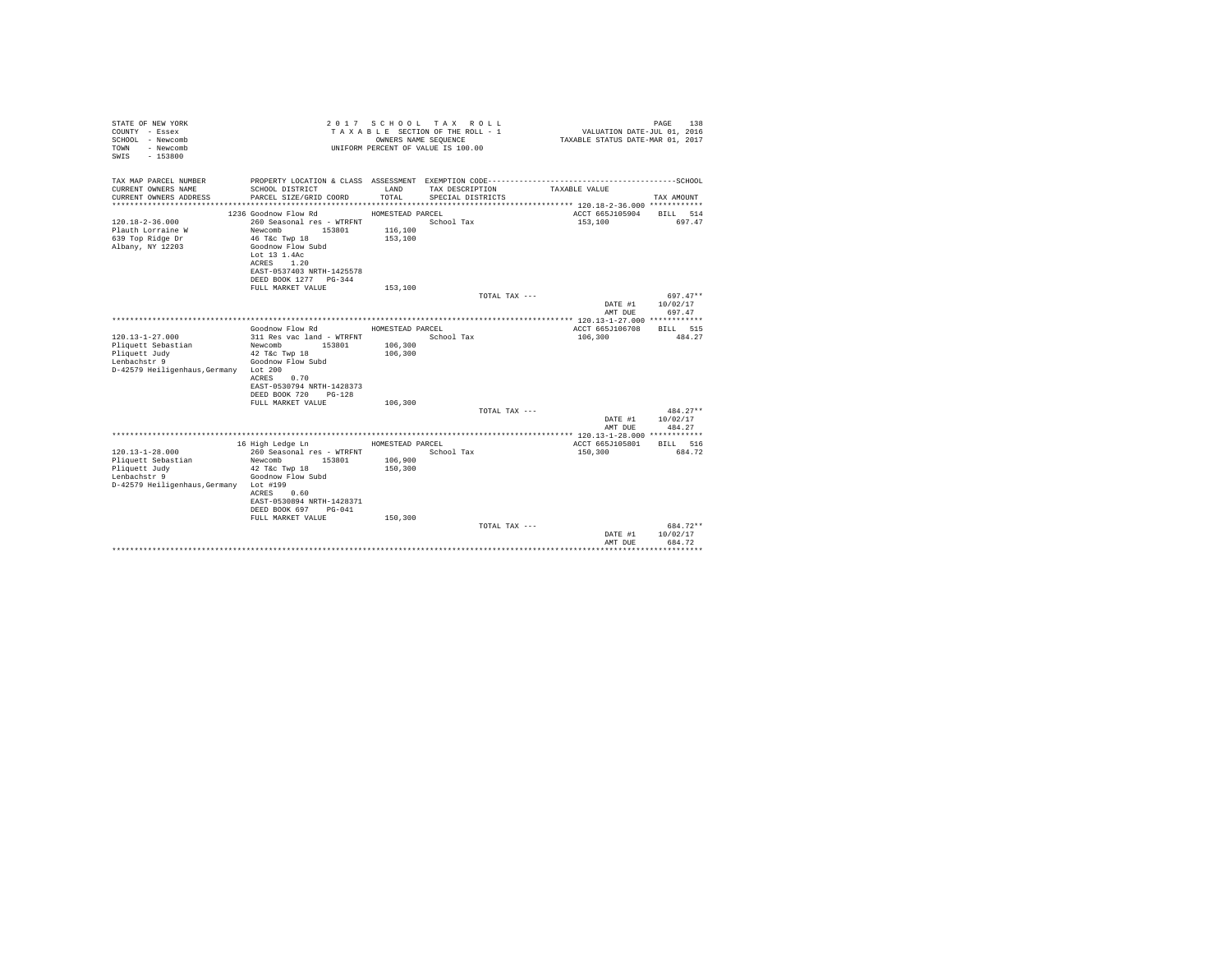| TAX MAP PARCEL NUMBER<br>PROPERTY LOCATION & CLASS ASSESSMENT EXEMPTION CODE-----------------------------------SCHOOL<br>CURRENT OWNERS NAME<br>SCHOOL DISTRICT<br>LAND<br>TAX DESCRIPTION<br>TAXABLE VALUE<br>TOTAL<br>CURRENT OWNERS ADDRESS<br>PARCEL SIZE/GRID COORD<br>SPECIAL DISTRICTS<br>TAX AMOUNT<br>1236 Goodnow Flow Rd<br>ACCT 665J105904<br>HOMESTEAD PARCEL<br>BILL 514<br>$120.18 - 2 - 36.000$<br>260 Seasonal res - WTRFNT<br>School Tax<br>153,100<br>697.47<br>116,100<br>Plauth Lorraine W<br>Newcomb<br>153801<br>639 Top Ridge Dr<br>46 T&C Twp 18<br>153,100<br>Albany, NY 12203<br>Goodnow Flow Subd<br>Lot 13 1.4Ac<br>ACRES<br>1.20<br>EAST-0537403 NRTH-1425578<br>DEED BOOK 1277 PG-344<br>FULL MARKET VALUE<br>153,100<br>TOTAL TAX ---<br>$697.47**$<br>10/02/17<br>DATE #1<br>AMT DUE<br>697.47<br>Goodnow Flow Rd<br>HOMESTEAD PARCEL<br>ACCT 665J106708<br>BILL 515<br>School Tax<br>$120.13 - 1 - 27.000$<br>311 Res vac land - WTRFNT<br>106,300<br>484.27<br>106,300<br>Pliquett Sebastian<br>Newcomb<br>153801<br>106,300<br>Pliquett Judy<br>42 T&c Twp 18<br>Goodnow Flow Subd<br>Lenbachstr 9<br>D-42579 Heiligenhaus. Germany Lot 200<br>ACRES<br>0.70<br>EAST-0530794 NRTH-1428373<br>DEED BOOK 720 PG-128<br>FULL MARKET VALUE<br>106,300<br>$484.27**$<br>TOTAL TAX ---<br>10/02/17<br>DATE #1<br>AMT DUE<br>484.27<br>16 High Ledge Ln<br>HOMESTEAD PARCEL<br>ACCT 665J105801<br>BILL 516<br>$120.13 - 1 - 28.000$<br>260 Seasonal res - WTRFNT<br>School Tax<br>150,300<br>684.72<br>Pliquett Sebastian<br>Newcomb<br>106,900<br>153801<br>150,300<br>Pliquett Judy<br>42 T&c Twp 18<br>Goodnow Flow Subd<br>Lenbachstr 9<br>D-42579 Heiligenhaus, Germany Lot #199<br>ACRES<br>0.60<br>EAST-0530894 NRTH-1428371<br>DEED BOOK 697 PG-041<br>FULL MARKET VALUE<br>150,300<br>$684.72**$<br>TOTAL TAX ---<br>10/02/17<br>DATE #1<br>684.72<br>AMT DUE<br>. | STATE OF NEW YORK<br>COUNTY - Essex<br>SCHOOL - Newcomb<br>- Newcomb<br>TOWN<br>$-153800$<br>SWIS |  | 2017 SCHOOL TAX ROLL<br>TAXABLE SECTION OF THE ROLL - 1<br>OWNERS NAME SEQUENCE<br>UNIFORM PERCENT OF VALUE IS 100.00 | VALUATION DATE-JUL $01, 2016$<br>TAXABLE STATUS DATE-MAR 01, 2017 | PAGE<br>138 |
|----------------------------------------------------------------------------------------------------------------------------------------------------------------------------------------------------------------------------------------------------------------------------------------------------------------------------------------------------------------------------------------------------------------------------------------------------------------------------------------------------------------------------------------------------------------------------------------------------------------------------------------------------------------------------------------------------------------------------------------------------------------------------------------------------------------------------------------------------------------------------------------------------------------------------------------------------------------------------------------------------------------------------------------------------------------------------------------------------------------------------------------------------------------------------------------------------------------------------------------------------------------------------------------------------------------------------------------------------------------------------------------------------------------------------------------------------------------------------------------------------------------------------------------------------------------------------------------------------------------------------------------------------------------------------------------------------------------------------------------------------------------------------------------------------------------------------------------------------------------------------------------------------------|---------------------------------------------------------------------------------------------------|--|-----------------------------------------------------------------------------------------------------------------------|-------------------------------------------------------------------|-------------|
|                                                                                                                                                                                                                                                                                                                                                                                                                                                                                                                                                                                                                                                                                                                                                                                                                                                                                                                                                                                                                                                                                                                                                                                                                                                                                                                                                                                                                                                                                                                                                                                                                                                                                                                                                                                                                                                                                                          |                                                                                                   |  |                                                                                                                       |                                                                   |             |
|                                                                                                                                                                                                                                                                                                                                                                                                                                                                                                                                                                                                                                                                                                                                                                                                                                                                                                                                                                                                                                                                                                                                                                                                                                                                                                                                                                                                                                                                                                                                                                                                                                                                                                                                                                                                                                                                                                          |                                                                                                   |  |                                                                                                                       |                                                                   |             |
|                                                                                                                                                                                                                                                                                                                                                                                                                                                                                                                                                                                                                                                                                                                                                                                                                                                                                                                                                                                                                                                                                                                                                                                                                                                                                                                                                                                                                                                                                                                                                                                                                                                                                                                                                                                                                                                                                                          |                                                                                                   |  |                                                                                                                       |                                                                   |             |
|                                                                                                                                                                                                                                                                                                                                                                                                                                                                                                                                                                                                                                                                                                                                                                                                                                                                                                                                                                                                                                                                                                                                                                                                                                                                                                                                                                                                                                                                                                                                                                                                                                                                                                                                                                                                                                                                                                          |                                                                                                   |  |                                                                                                                       |                                                                   |             |
|                                                                                                                                                                                                                                                                                                                                                                                                                                                                                                                                                                                                                                                                                                                                                                                                                                                                                                                                                                                                                                                                                                                                                                                                                                                                                                                                                                                                                                                                                                                                                                                                                                                                                                                                                                                                                                                                                                          |                                                                                                   |  |                                                                                                                       |                                                                   |             |
|                                                                                                                                                                                                                                                                                                                                                                                                                                                                                                                                                                                                                                                                                                                                                                                                                                                                                                                                                                                                                                                                                                                                                                                                                                                                                                                                                                                                                                                                                                                                                                                                                                                                                                                                                                                                                                                                                                          |                                                                                                   |  |                                                                                                                       |                                                                   |             |
|                                                                                                                                                                                                                                                                                                                                                                                                                                                                                                                                                                                                                                                                                                                                                                                                                                                                                                                                                                                                                                                                                                                                                                                                                                                                                                                                                                                                                                                                                                                                                                                                                                                                                                                                                                                                                                                                                                          |                                                                                                   |  |                                                                                                                       |                                                                   |             |
|                                                                                                                                                                                                                                                                                                                                                                                                                                                                                                                                                                                                                                                                                                                                                                                                                                                                                                                                                                                                                                                                                                                                                                                                                                                                                                                                                                                                                                                                                                                                                                                                                                                                                                                                                                                                                                                                                                          |                                                                                                   |  |                                                                                                                       |                                                                   |             |
|                                                                                                                                                                                                                                                                                                                                                                                                                                                                                                                                                                                                                                                                                                                                                                                                                                                                                                                                                                                                                                                                                                                                                                                                                                                                                                                                                                                                                                                                                                                                                                                                                                                                                                                                                                                                                                                                                                          |                                                                                                   |  |                                                                                                                       |                                                                   |             |
|                                                                                                                                                                                                                                                                                                                                                                                                                                                                                                                                                                                                                                                                                                                                                                                                                                                                                                                                                                                                                                                                                                                                                                                                                                                                                                                                                                                                                                                                                                                                                                                                                                                                                                                                                                                                                                                                                                          |                                                                                                   |  |                                                                                                                       |                                                                   |             |
|                                                                                                                                                                                                                                                                                                                                                                                                                                                                                                                                                                                                                                                                                                                                                                                                                                                                                                                                                                                                                                                                                                                                                                                                                                                                                                                                                                                                                                                                                                                                                                                                                                                                                                                                                                                                                                                                                                          |                                                                                                   |  |                                                                                                                       |                                                                   |             |
|                                                                                                                                                                                                                                                                                                                                                                                                                                                                                                                                                                                                                                                                                                                                                                                                                                                                                                                                                                                                                                                                                                                                                                                                                                                                                                                                                                                                                                                                                                                                                                                                                                                                                                                                                                                                                                                                                                          |                                                                                                   |  |                                                                                                                       |                                                                   |             |
|                                                                                                                                                                                                                                                                                                                                                                                                                                                                                                                                                                                                                                                                                                                                                                                                                                                                                                                                                                                                                                                                                                                                                                                                                                                                                                                                                                                                                                                                                                                                                                                                                                                                                                                                                                                                                                                                                                          |                                                                                                   |  |                                                                                                                       |                                                                   |             |
|                                                                                                                                                                                                                                                                                                                                                                                                                                                                                                                                                                                                                                                                                                                                                                                                                                                                                                                                                                                                                                                                                                                                                                                                                                                                                                                                                                                                                                                                                                                                                                                                                                                                                                                                                                                                                                                                                                          |                                                                                                   |  |                                                                                                                       |                                                                   |             |
|                                                                                                                                                                                                                                                                                                                                                                                                                                                                                                                                                                                                                                                                                                                                                                                                                                                                                                                                                                                                                                                                                                                                                                                                                                                                                                                                                                                                                                                                                                                                                                                                                                                                                                                                                                                                                                                                                                          |                                                                                                   |  |                                                                                                                       |                                                                   |             |
|                                                                                                                                                                                                                                                                                                                                                                                                                                                                                                                                                                                                                                                                                                                                                                                                                                                                                                                                                                                                                                                                                                                                                                                                                                                                                                                                                                                                                                                                                                                                                                                                                                                                                                                                                                                                                                                                                                          |                                                                                                   |  |                                                                                                                       |                                                                   |             |
|                                                                                                                                                                                                                                                                                                                                                                                                                                                                                                                                                                                                                                                                                                                                                                                                                                                                                                                                                                                                                                                                                                                                                                                                                                                                                                                                                                                                                                                                                                                                                                                                                                                                                                                                                                                                                                                                                                          |                                                                                                   |  |                                                                                                                       |                                                                   |             |
|                                                                                                                                                                                                                                                                                                                                                                                                                                                                                                                                                                                                                                                                                                                                                                                                                                                                                                                                                                                                                                                                                                                                                                                                                                                                                                                                                                                                                                                                                                                                                                                                                                                                                                                                                                                                                                                                                                          |                                                                                                   |  |                                                                                                                       |                                                                   |             |
|                                                                                                                                                                                                                                                                                                                                                                                                                                                                                                                                                                                                                                                                                                                                                                                                                                                                                                                                                                                                                                                                                                                                                                                                                                                                                                                                                                                                                                                                                                                                                                                                                                                                                                                                                                                                                                                                                                          |                                                                                                   |  |                                                                                                                       |                                                                   |             |
|                                                                                                                                                                                                                                                                                                                                                                                                                                                                                                                                                                                                                                                                                                                                                                                                                                                                                                                                                                                                                                                                                                                                                                                                                                                                                                                                                                                                                                                                                                                                                                                                                                                                                                                                                                                                                                                                                                          |                                                                                                   |  |                                                                                                                       |                                                                   |             |
|                                                                                                                                                                                                                                                                                                                                                                                                                                                                                                                                                                                                                                                                                                                                                                                                                                                                                                                                                                                                                                                                                                                                                                                                                                                                                                                                                                                                                                                                                                                                                                                                                                                                                                                                                                                                                                                                                                          |                                                                                                   |  |                                                                                                                       |                                                                   |             |
|                                                                                                                                                                                                                                                                                                                                                                                                                                                                                                                                                                                                                                                                                                                                                                                                                                                                                                                                                                                                                                                                                                                                                                                                                                                                                                                                                                                                                                                                                                                                                                                                                                                                                                                                                                                                                                                                                                          |                                                                                                   |  |                                                                                                                       |                                                                   |             |
|                                                                                                                                                                                                                                                                                                                                                                                                                                                                                                                                                                                                                                                                                                                                                                                                                                                                                                                                                                                                                                                                                                                                                                                                                                                                                                                                                                                                                                                                                                                                                                                                                                                                                                                                                                                                                                                                                                          |                                                                                                   |  |                                                                                                                       |                                                                   |             |
|                                                                                                                                                                                                                                                                                                                                                                                                                                                                                                                                                                                                                                                                                                                                                                                                                                                                                                                                                                                                                                                                                                                                                                                                                                                                                                                                                                                                                                                                                                                                                                                                                                                                                                                                                                                                                                                                                                          |                                                                                                   |  |                                                                                                                       |                                                                   |             |
|                                                                                                                                                                                                                                                                                                                                                                                                                                                                                                                                                                                                                                                                                                                                                                                                                                                                                                                                                                                                                                                                                                                                                                                                                                                                                                                                                                                                                                                                                                                                                                                                                                                                                                                                                                                                                                                                                                          |                                                                                                   |  |                                                                                                                       |                                                                   |             |
|                                                                                                                                                                                                                                                                                                                                                                                                                                                                                                                                                                                                                                                                                                                                                                                                                                                                                                                                                                                                                                                                                                                                                                                                                                                                                                                                                                                                                                                                                                                                                                                                                                                                                                                                                                                                                                                                                                          |                                                                                                   |  |                                                                                                                       |                                                                   |             |
|                                                                                                                                                                                                                                                                                                                                                                                                                                                                                                                                                                                                                                                                                                                                                                                                                                                                                                                                                                                                                                                                                                                                                                                                                                                                                                                                                                                                                                                                                                                                                                                                                                                                                                                                                                                                                                                                                                          |                                                                                                   |  |                                                                                                                       |                                                                   |             |
|                                                                                                                                                                                                                                                                                                                                                                                                                                                                                                                                                                                                                                                                                                                                                                                                                                                                                                                                                                                                                                                                                                                                                                                                                                                                                                                                                                                                                                                                                                                                                                                                                                                                                                                                                                                                                                                                                                          |                                                                                                   |  |                                                                                                                       |                                                                   |             |
|                                                                                                                                                                                                                                                                                                                                                                                                                                                                                                                                                                                                                                                                                                                                                                                                                                                                                                                                                                                                                                                                                                                                                                                                                                                                                                                                                                                                                                                                                                                                                                                                                                                                                                                                                                                                                                                                                                          |                                                                                                   |  |                                                                                                                       |                                                                   |             |
|                                                                                                                                                                                                                                                                                                                                                                                                                                                                                                                                                                                                                                                                                                                                                                                                                                                                                                                                                                                                                                                                                                                                                                                                                                                                                                                                                                                                                                                                                                                                                                                                                                                                                                                                                                                                                                                                                                          |                                                                                                   |  |                                                                                                                       |                                                                   |             |
|                                                                                                                                                                                                                                                                                                                                                                                                                                                                                                                                                                                                                                                                                                                                                                                                                                                                                                                                                                                                                                                                                                                                                                                                                                                                                                                                                                                                                                                                                                                                                                                                                                                                                                                                                                                                                                                                                                          |                                                                                                   |  |                                                                                                                       |                                                                   |             |
|                                                                                                                                                                                                                                                                                                                                                                                                                                                                                                                                                                                                                                                                                                                                                                                                                                                                                                                                                                                                                                                                                                                                                                                                                                                                                                                                                                                                                                                                                                                                                                                                                                                                                                                                                                                                                                                                                                          |                                                                                                   |  |                                                                                                                       |                                                                   |             |
|                                                                                                                                                                                                                                                                                                                                                                                                                                                                                                                                                                                                                                                                                                                                                                                                                                                                                                                                                                                                                                                                                                                                                                                                                                                                                                                                                                                                                                                                                                                                                                                                                                                                                                                                                                                                                                                                                                          |                                                                                                   |  |                                                                                                                       |                                                                   |             |
|                                                                                                                                                                                                                                                                                                                                                                                                                                                                                                                                                                                                                                                                                                                                                                                                                                                                                                                                                                                                                                                                                                                                                                                                                                                                                                                                                                                                                                                                                                                                                                                                                                                                                                                                                                                                                                                                                                          |                                                                                                   |  |                                                                                                                       |                                                                   |             |
|                                                                                                                                                                                                                                                                                                                                                                                                                                                                                                                                                                                                                                                                                                                                                                                                                                                                                                                                                                                                                                                                                                                                                                                                                                                                                                                                                                                                                                                                                                                                                                                                                                                                                                                                                                                                                                                                                                          |                                                                                                   |  |                                                                                                                       |                                                                   |             |
|                                                                                                                                                                                                                                                                                                                                                                                                                                                                                                                                                                                                                                                                                                                                                                                                                                                                                                                                                                                                                                                                                                                                                                                                                                                                                                                                                                                                                                                                                                                                                                                                                                                                                                                                                                                                                                                                                                          |                                                                                                   |  |                                                                                                                       |                                                                   |             |
|                                                                                                                                                                                                                                                                                                                                                                                                                                                                                                                                                                                                                                                                                                                                                                                                                                                                                                                                                                                                                                                                                                                                                                                                                                                                                                                                                                                                                                                                                                                                                                                                                                                                                                                                                                                                                                                                                                          |                                                                                                   |  |                                                                                                                       |                                                                   |             |
|                                                                                                                                                                                                                                                                                                                                                                                                                                                                                                                                                                                                                                                                                                                                                                                                                                                                                                                                                                                                                                                                                                                                                                                                                                                                                                                                                                                                                                                                                                                                                                                                                                                                                                                                                                                                                                                                                                          |                                                                                                   |  |                                                                                                                       |                                                                   |             |
|                                                                                                                                                                                                                                                                                                                                                                                                                                                                                                                                                                                                                                                                                                                                                                                                                                                                                                                                                                                                                                                                                                                                                                                                                                                                                                                                                                                                                                                                                                                                                                                                                                                                                                                                                                                                                                                                                                          |                                                                                                   |  |                                                                                                                       |                                                                   |             |
|                                                                                                                                                                                                                                                                                                                                                                                                                                                                                                                                                                                                                                                                                                                                                                                                                                                                                                                                                                                                                                                                                                                                                                                                                                                                                                                                                                                                                                                                                                                                                                                                                                                                                                                                                                                                                                                                                                          |                                                                                                   |  |                                                                                                                       |                                                                   |             |
|                                                                                                                                                                                                                                                                                                                                                                                                                                                                                                                                                                                                                                                                                                                                                                                                                                                                                                                                                                                                                                                                                                                                                                                                                                                                                                                                                                                                                                                                                                                                                                                                                                                                                                                                                                                                                                                                                                          |                                                                                                   |  |                                                                                                                       |                                                                   |             |
|                                                                                                                                                                                                                                                                                                                                                                                                                                                                                                                                                                                                                                                                                                                                                                                                                                                                                                                                                                                                                                                                                                                                                                                                                                                                                                                                                                                                                                                                                                                                                                                                                                                                                                                                                                                                                                                                                                          |                                                                                                   |  |                                                                                                                       |                                                                   |             |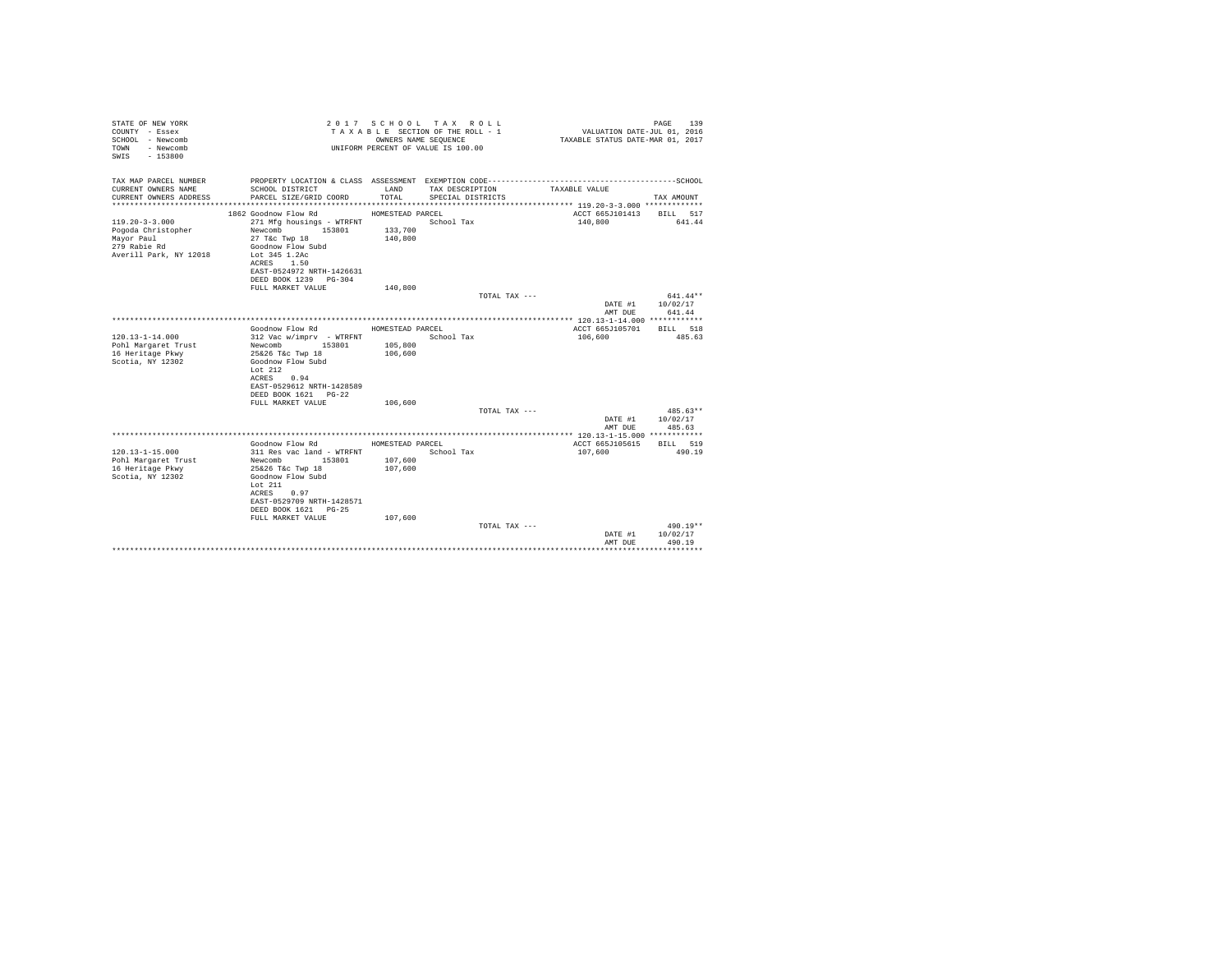| STATE OF NEW YORK<br>COUNTY - Essex<br>SCHOOL - Newcomb<br>- Newcomb<br>TOWN<br>$-153800$<br>SWTS |                                                | OWNERS NAME SEQUENCE | 2017 SCHOOL TAX ROLL<br>TAXABLE SECTION OF THE ROLL - 1<br>UNIFORM PERCENT OF VALUE IS 100.00 | VALUATION DATE-JUL 01, 2016<br>TAXABLE STATUS DATE-MAR 01, 2017 | 139<br>PAGE            |
|---------------------------------------------------------------------------------------------------|------------------------------------------------|----------------------|-----------------------------------------------------------------------------------------------|-----------------------------------------------------------------|------------------------|
| TAX MAP PARCEL NUMBER                                                                             |                                                |                      |                                                                                               |                                                                 |                        |
| CURRENT OWNERS NAME<br>CURRENT OWNERS ADDRESS                                                     | SCHOOL DISTRICT<br>PARCEL SIZE/GRID COORD      | LAND<br>TOTAL.       | TAX DESCRIPTION<br>SPECIAL DISTRICTS                                                          | TAXABLE VALUE                                                   | TAX AMOUNT             |
|                                                                                                   |                                                |                      |                                                                                               |                                                                 |                        |
|                                                                                                   | 1862 Goodnow Flow Rd                           | HOMESTEAD PARCEL     |                                                                                               | ACCT 665J101413                                                 | BILL 517               |
| $119.20 - 3 - 3.000$<br>Pogoda Christopher                                                        | 271 Mfg housings - WTRFNT<br>Newcomb<br>153801 | 133,700              | School Tax                                                                                    | 140,800                                                         | 641.44                 |
| Mayor Paul                                                                                        | 27 T&C Twp 18                                  | 140,800              |                                                                                               |                                                                 |                        |
| 279 Rabie Rd                                                                                      | Goodnow Flow Subd                              |                      |                                                                                               |                                                                 |                        |
| Averill Park, NY 12018                                                                            | Lot 345 1.2Ac                                  |                      |                                                                                               |                                                                 |                        |
|                                                                                                   | ACRES 1.50<br>EAST-0524972 NRTH-1426631        |                      |                                                                                               |                                                                 |                        |
|                                                                                                   | DEED BOOK 1239 PG-304                          |                      |                                                                                               |                                                                 |                        |
|                                                                                                   | FULL MARKET VALUE                              | 140,800              |                                                                                               |                                                                 |                        |
|                                                                                                   |                                                |                      | TOTAL TAX ---                                                                                 | DATE #1                                                         | $641.44**$<br>10/02/17 |
|                                                                                                   |                                                |                      |                                                                                               | AMT DUE                                                         | 641.44                 |
|                                                                                                   |                                                |                      |                                                                                               |                                                                 |                        |
|                                                                                                   | Goodnow Flow Rd                                | HOMESTEAD PARCEL     |                                                                                               | ACCT 665J105701                                                 | <b>BTLL</b> 518        |
| $120.13 - 1 - 14.000$<br>Pohl Margaret Trust                                                      | 312 Vac w/imprv - WTRFNT<br>Newcomb 153801     | 105,800              | School Tax                                                                                    | 106,600                                                         | 485.63                 |
| 16 Heritage Pkwy                                                                                  | 25&26 T&c Twp 18                               | 106,600              |                                                                                               |                                                                 |                        |
| Scotia, NY 12302                                                                                  | Goodnow Flow Subd                              |                      |                                                                                               |                                                                 |                        |
|                                                                                                   | Lot $212$                                      |                      |                                                                                               |                                                                 |                        |
|                                                                                                   | ACRES<br>0.94<br>EAST-0529612 NRTH-1428589     |                      |                                                                                               |                                                                 |                        |
|                                                                                                   | DEED BOOK 1621 PG-22                           |                      |                                                                                               |                                                                 |                        |
|                                                                                                   | FULL MARKET VALUE                              | 106,600              |                                                                                               |                                                                 |                        |
|                                                                                                   |                                                |                      | TOTAL TAX ---                                                                                 |                                                                 | 485.63**               |
|                                                                                                   |                                                |                      |                                                                                               | DATE #1<br>AMT DUE                                              | 10/02/17<br>485.63     |
|                                                                                                   |                                                |                      |                                                                                               |                                                                 |                        |
|                                                                                                   | Goodnow Flow Rd                                | HOMESTEAD PARCEL     |                                                                                               | ACCT 665J105615                                                 | BILL 519               |
| $120.13 - 1 - 15.000$                                                                             | 311 Res vac land - WTRFNT                      |                      | School Tax                                                                                    | 107,600                                                         | 490.19                 |
| Pohl Margaret Trust<br>16 Heritage Pkwy                                                           | 153801<br>Newcomb<br>25&26 T&c Twp 18          | 107,600<br>107,600   |                                                                                               |                                                                 |                        |
| Scotia, NY 12302                                                                                  | Goodnow Flow Subd                              |                      |                                                                                               |                                                                 |                        |
|                                                                                                   | Lot $211$                                      |                      |                                                                                               |                                                                 |                        |
|                                                                                                   | ACRES<br>0.97<br>EAST-0529709 NRTH-1428571     |                      |                                                                                               |                                                                 |                        |
|                                                                                                   | DEED BOOK 1621 PG-25                           |                      |                                                                                               |                                                                 |                        |
|                                                                                                   | FULL MARKET VALUE                              | 107,600              |                                                                                               |                                                                 |                        |
|                                                                                                   |                                                |                      | TOTAL TAX ---                                                                                 |                                                                 | 490.19**               |
|                                                                                                   |                                                |                      |                                                                                               | DATE #1<br>AMT DUE                                              | 10/02/17<br>490.19     |
|                                                                                                   |                                                |                      |                                                                                               |                                                                 |                        |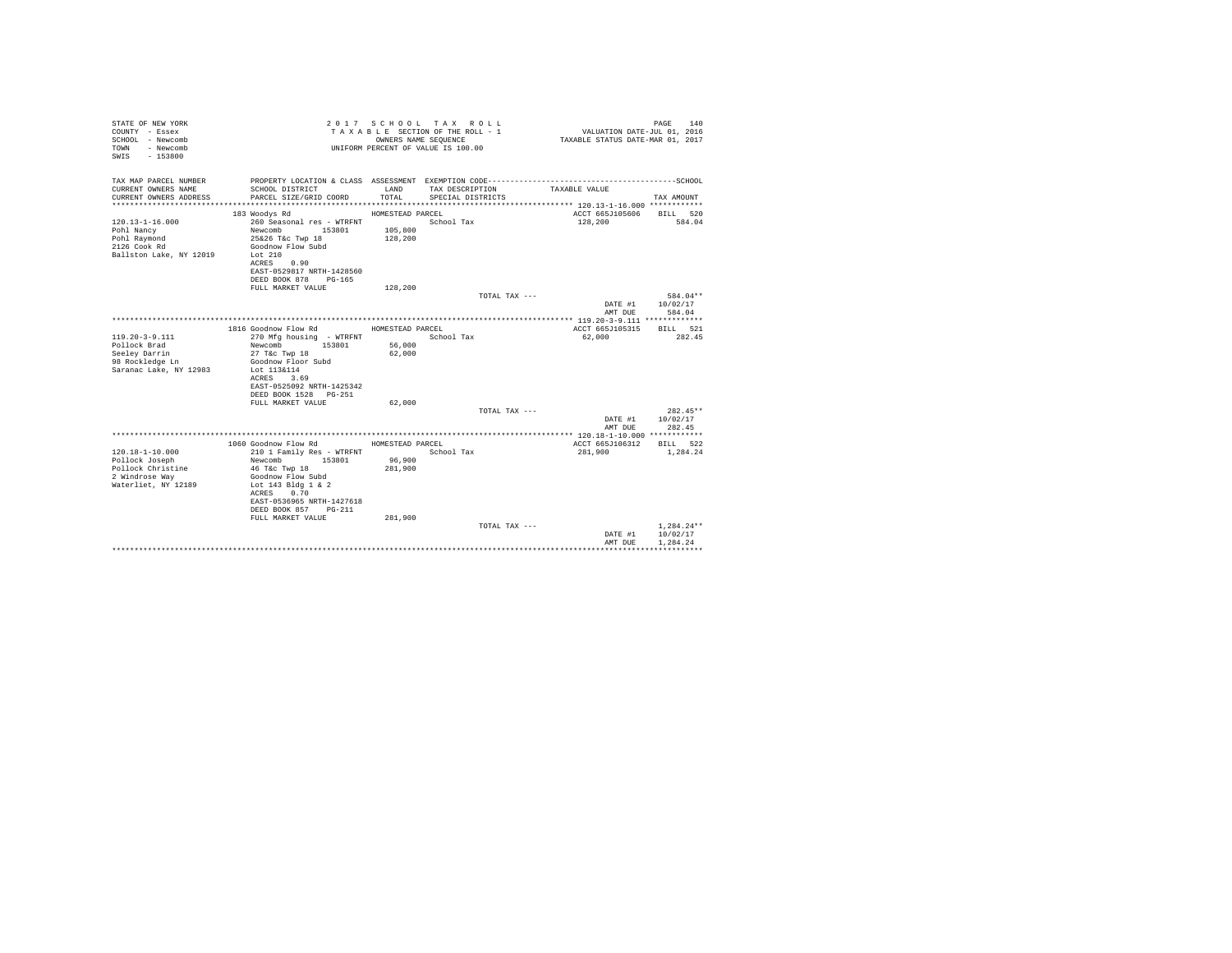| STATE OF NEW YORK<br>COUNTY - Essex<br>SCHOOL - Newcomb<br>- Newcomb<br>TOWN<br>$-153800$<br>SWTS |                                                    | OWNERS NAME SEQUENCE | 2017 SCHOOL TAX ROLL<br>TAXABLE SECTION OF THE ROLL - 1<br>UNIFORM PERCENT OF VALUE IS 100.00 | VALUATION DATE-JUL 01, 2016<br>TAXABLE STATUS DATE-MAR 01, 2017 | 140<br>PAGE        |
|---------------------------------------------------------------------------------------------------|----------------------------------------------------|----------------------|-----------------------------------------------------------------------------------------------|-----------------------------------------------------------------|--------------------|
| TAX MAP PARCEL NUMBER                                                                             |                                                    |                      |                                                                                               |                                                                 |                    |
| CURRENT OWNERS NAME<br>CURRENT OWNERS ADDRESS                                                     | SCHOOL DISTRICT<br>PARCEL SIZE/GRID COORD          | LAND<br>TOTAL.       | TAX DESCRIPTION<br>SPECIAL DISTRICTS                                                          | TAXABLE VALUE                                                   | TAX AMOUNT         |
|                                                                                                   |                                                    |                      |                                                                                               |                                                                 |                    |
| $120.13 - 1 - 16.000$                                                                             | 183 Woodys Rd<br>260 Seasonal res - WTRFNT         | HOMESTEAD PARCEL     | School Tax                                                                                    | ACCT 665J105606<br>128,200                                      | BILL 520<br>584.04 |
| Pohl Nancy                                                                                        | Newcomb 153801                                     | 105,800              |                                                                                               |                                                                 |                    |
| Pohl Raymond                                                                                      | 25&26 T&c Twp 18                                   | 128,200              |                                                                                               |                                                                 |                    |
| 2126 Cook Rd                                                                                      | Goodnow Flow Subd                                  |                      |                                                                                               |                                                                 |                    |
| Ballston Lake, NY 12019                                                                           | Lot 210                                            |                      |                                                                                               |                                                                 |                    |
|                                                                                                   | ACRES 0.90<br>EAST-0529817 NRTH-1428560            |                      |                                                                                               |                                                                 |                    |
|                                                                                                   | DEED BOOK 878 PG-165                               |                      |                                                                                               |                                                                 |                    |
|                                                                                                   | FULL MARKET VALUE                                  | 128,200              |                                                                                               |                                                                 |                    |
|                                                                                                   |                                                    |                      | TOTAL TAX ---                                                                                 |                                                                 | 584.04**           |
|                                                                                                   |                                                    |                      |                                                                                               | DATE #1                                                         | 10/02/17           |
|                                                                                                   |                                                    |                      |                                                                                               | AMT DUE                                                         | 584.04             |
|                                                                                                   |                                                    |                      |                                                                                               |                                                                 |                    |
| $119.20 - 3 - 9.111$                                                                              | 1816 Goodnow Flow Rd<br>270 Mfg housing - WTRFNT   | HOMESTEAD PARCEL     | School Tax                                                                                    | ACCT 665J105315<br>62,000                                       | RTLL 521<br>282.45 |
| Pollock Brad                                                                                      | Newcomb<br>153801                                  | 56,000               |                                                                                               |                                                                 |                    |
| Seeley Darrin                                                                                     | 27 T&c Twp 18                                      | 62,000               |                                                                                               |                                                                 |                    |
| 98 Rockledge Ln                                                                                   | Goodnow Floor Subd                                 |                      |                                                                                               |                                                                 |                    |
| Saranac Lake, NY 12983                                                                            | Lot 113&114                                        |                      |                                                                                               |                                                                 |                    |
|                                                                                                   | 3.69<br>ACRES                                      |                      |                                                                                               |                                                                 |                    |
|                                                                                                   | EAST-0525092 NRTH-1425342<br>DEED BOOK 1528 PG-251 |                      |                                                                                               |                                                                 |                    |
|                                                                                                   | FULL MARKET VALUE                                  | 62,000               |                                                                                               |                                                                 |                    |
|                                                                                                   |                                                    |                      | TOTAL TAX ---                                                                                 |                                                                 | $282.45**$         |
|                                                                                                   |                                                    |                      |                                                                                               | DATE #1                                                         | 10/02/17           |
|                                                                                                   |                                                    |                      |                                                                                               | AMT DUE                                                         | 282.45             |
|                                                                                                   |                                                    |                      |                                                                                               |                                                                 |                    |
| $120.18 - 1 - 10.000$                                                                             | 1060 Goodnow Flow Rd                               | HOMESTEAD PARCEL     | School Tax                                                                                    | ACCT 665J106312<br>281,900                                      | BILL 522           |
| Pollock Joseph                                                                                    | 210 1 Family Res - WTRFNT<br>Newcomb<br>153801     | 96,900               |                                                                                               |                                                                 | 1,284.24           |
| Pollock Christine                                                                                 | 46 T&c Twp 18                                      | 281,900              |                                                                                               |                                                                 |                    |
| 2 Windrose Way                                                                                    | Goodnow Flow Subd                                  |                      |                                                                                               |                                                                 |                    |
| Waterliet, NY 12189                                                                               | Lot 143 Bldg 1 & 2                                 |                      |                                                                                               |                                                                 |                    |
|                                                                                                   | 0.70<br>ACRES                                      |                      |                                                                                               |                                                                 |                    |
|                                                                                                   | EAST-0536965 NRTH-1427618                          |                      |                                                                                               |                                                                 |                    |
|                                                                                                   | DEED BOOK 857 PG-211<br>FULL MARKET VALUE          | 281,900              |                                                                                               |                                                                 |                    |
|                                                                                                   |                                                    |                      | TOTAL TAX ---                                                                                 |                                                                 | $1.284.24**$       |
|                                                                                                   |                                                    |                      |                                                                                               | DATE #1                                                         | 10/02/17           |
|                                                                                                   |                                                    |                      |                                                                                               | AMT DUE                                                         | 1.284.24           |
|                                                                                                   |                                                    |                      |                                                                                               |                                                                 |                    |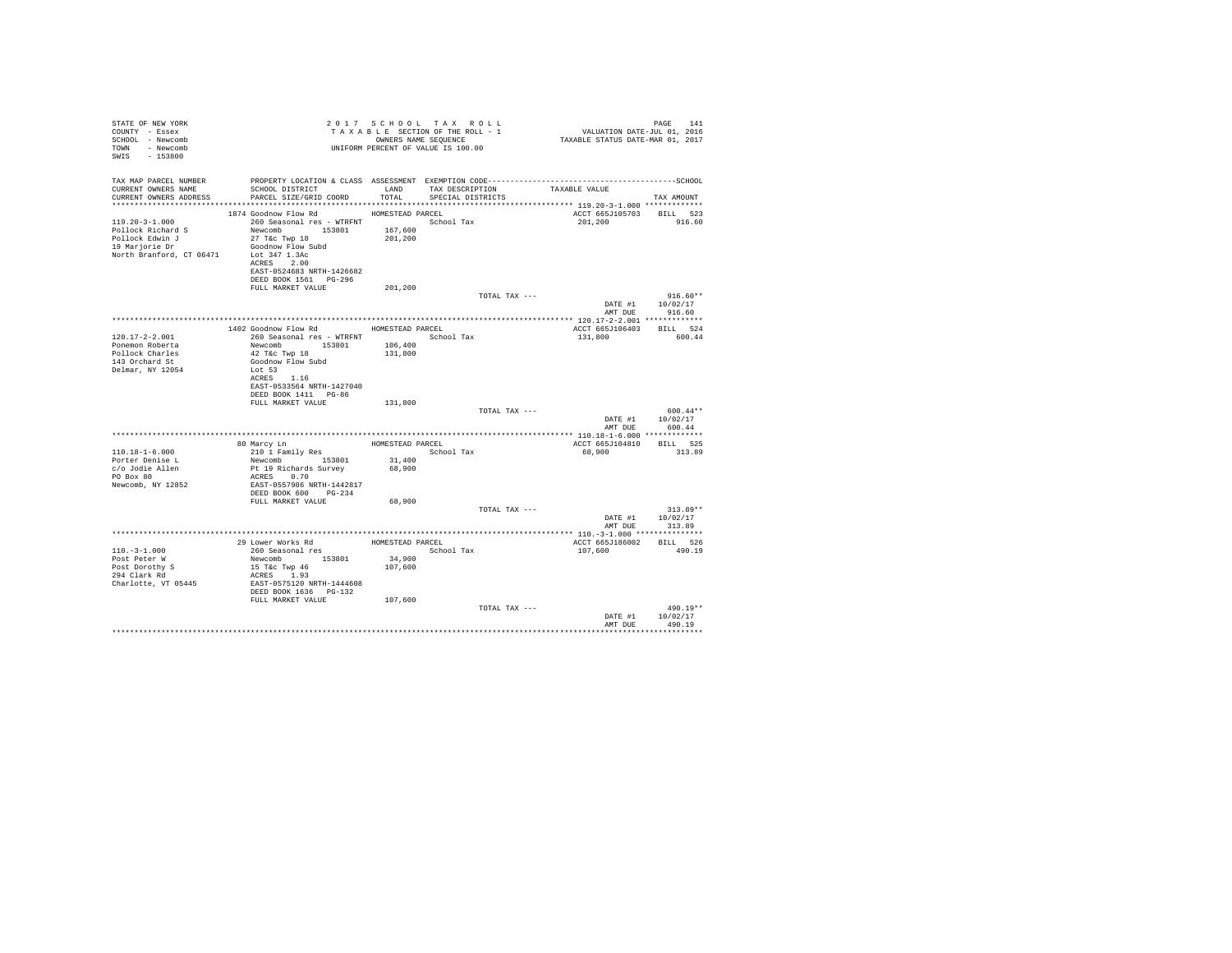| STATE OF NEW YORK<br>COUNTY - Essex<br>SCHOOL - Newcomb<br>TOWN - Newcomb<br>SWIS - 153800                            |                                                                                                                                                                                                                                                                                      |                              | 2017 SCHOOL TAX ROLL<br>TAXABLE SECHOOL TAX ROLL TAXABLE TAXABLE SECTION OF THE ROLL - 1<br>OWNERS NAME SEQUENCE<br>UNIFORM PERCENT OF VALUE IS 100.00 |               | FAGE 141<br>VALUATION DATE-JUL 01, 2016<br>TAXABLE STATUS DATE-MAR 01, 2017 | PAGE 141                                         |
|-----------------------------------------------------------------------------------------------------------------------|--------------------------------------------------------------------------------------------------------------------------------------------------------------------------------------------------------------------------------------------------------------------------------------|------------------------------|--------------------------------------------------------------------------------------------------------------------------------------------------------|---------------|-----------------------------------------------------------------------------|--------------------------------------------------|
| TAX MAP PARCEL NUMBER<br>CURRENT OWNERS NAME<br>CURRENT OWNERS ADDRESS PARCEL SIZE/GRID COORD TOTAL SPECIAL DISTRICTS | PROPERTY LOCATION & CLASS ASSESSMENT EXEMPTION CODE-----------------------------------SCHOOL<br>SCHOOL DISTRICT TAND TAX DESCRIPTION                                                                                                                                                 |                              |                                                                                                                                                        |               | TAXABLE VALUE                                                               | TAX AMOUNT                                       |
|                                                                                                                       |                                                                                                                                                                                                                                                                                      |                              |                                                                                                                                                        |               |                                                                             |                                                  |
| 119.20-3-1.000                                                                                                        | 1874 Goodnow Flow Rd MOMESTEAD PARCEL<br>260 Seasonal res - WTRFNT <a> School Tax<br/>ACRES 2.00<br/>EAST-0524683 NRTH-1426682<br/>DEED BOOK 1561 PG-296</a>                                                                                                                         |                              |                                                                                                                                                        |               | ACCT 665J105703 BILL 523<br>201,200                                         | 916.60                                           |
|                                                                                                                       | FULL MARKET VALUE                                                                                                                                                                                                                                                                    | 201,200                      |                                                                                                                                                        | TOTAL TAX --- |                                                                             | $916.60**$                                       |
|                                                                                                                       |                                                                                                                                                                                                                                                                                      |                              |                                                                                                                                                        |               |                                                                             | DATE #1 10/02/17<br>AMT DUE 916.60               |
|                                                                                                                       |                                                                                                                                                                                                                                                                                      |                              |                                                                                                                                                        |               |                                                                             |                                                  |
|                                                                                                                       | 1402 Goodnow Flow Rd MOMESTEAD PARCEL                                                                                                                                                                                                                                                |                              |                                                                                                                                                        |               | ACCT 665J106403 BILL 524                                                    |                                                  |
| $120.17 - 2 - 2.001$<br>Ponemon Roberta<br>Pollock Charles<br>143 Orchard St<br>Delmar, NY 12054                      | 260 Seasonal res - WTRFNT                 School Tax<br>Newcomb 153801<br>42 T&C Twp 18<br>Goodnow Flow Subd<br>Lot 53<br>ACRES 1.16<br>EAST-0533564 NRTH-1427040<br>DEED BOOK 1411 PG-86                                                                                            | 106,400<br>131,800           |                                                                                                                                                        |               | 131,800 600.44                                                              |                                                  |
|                                                                                                                       | FULL MARKET VALUE                                                                                                                                                                                                                                                                    | 131,800                      |                                                                                                                                                        |               |                                                                             |                                                  |
|                                                                                                                       |                                                                                                                                                                                                                                                                                      |                              |                                                                                                                                                        | TOTAL TAX --- |                                                                             | $600.44**$<br>DATE #1 10/02/17<br>AMT DUE 600.44 |
|                                                                                                                       |                                                                                                                                                                                                                                                                                      |                              |                                                                                                                                                        |               |                                                                             |                                                  |
| 110.18-1-6.000<br>Porter Denise L<br>c/o Jodie Allen<br>PO Box 80<br>Newcomb, NY 12852                                | ${\small \begin{tabular}{l l l l l} \hline 80 Marcy Ln & \multicolumn{2}{l}{\text{HOMESTEAD PARCH}} \\\hline 210 1 Family Res & \multicolumn{2}{l}{\text{School Tax}} \\\hline & 153801 & 31,400 \end{tabular}}$<br>Pt 19 Richards Survey<br>ACRES 0.70<br>EAST-0557986 NRTH-1442817 | 68,900                       |                                                                                                                                                        |               | ACCT 665J104810 BILL 525<br>68,900 313.89                                   |                                                  |
|                                                                                                                       | DEED BOOK 600 PG-234<br>FULL MARKET VALUE                                                                                                                                                                                                                                            | 68,900                       |                                                                                                                                                        |               |                                                                             |                                                  |
|                                                                                                                       |                                                                                                                                                                                                                                                                                      |                              |                                                                                                                                                        | TOTAL TAX --- |                                                                             | $313.89**$<br>DATE #1 10/02/17<br>AMT DUE 313.89 |
|                                                                                                                       |                                                                                                                                                                                                                                                                                      |                              |                                                                                                                                                        |               |                                                                             |                                                  |
| $110. - 3 - 1.000$<br>Post Peter W<br>Post Dorothy S<br>294 Clark Rd<br>Charlotte, VT 05445                           | Newcomb 153801<br>15 T&c Twp 46<br>ACRES 1.93<br>EAST-0575120 NRTH-1444608<br>DEED BOOK 1636 PG-132<br>FULL MARKET VALUE                                                                                                                                                             | 34,900<br>107,600<br>107,600 |                                                                                                                                                        |               | ACCT 665J186002 BILL 526<br>107,600 490.19                                  |                                                  |
|                                                                                                                       |                                                                                                                                                                                                                                                                                      |                              |                                                                                                                                                        | TOTAL TAX --- | DATE #1<br>AMT DUE                                                          | 490.19**<br>10/02/17<br>490.19                   |
|                                                                                                                       |                                                                                                                                                                                                                                                                                      |                              |                                                                                                                                                        |               |                                                                             |                                                  |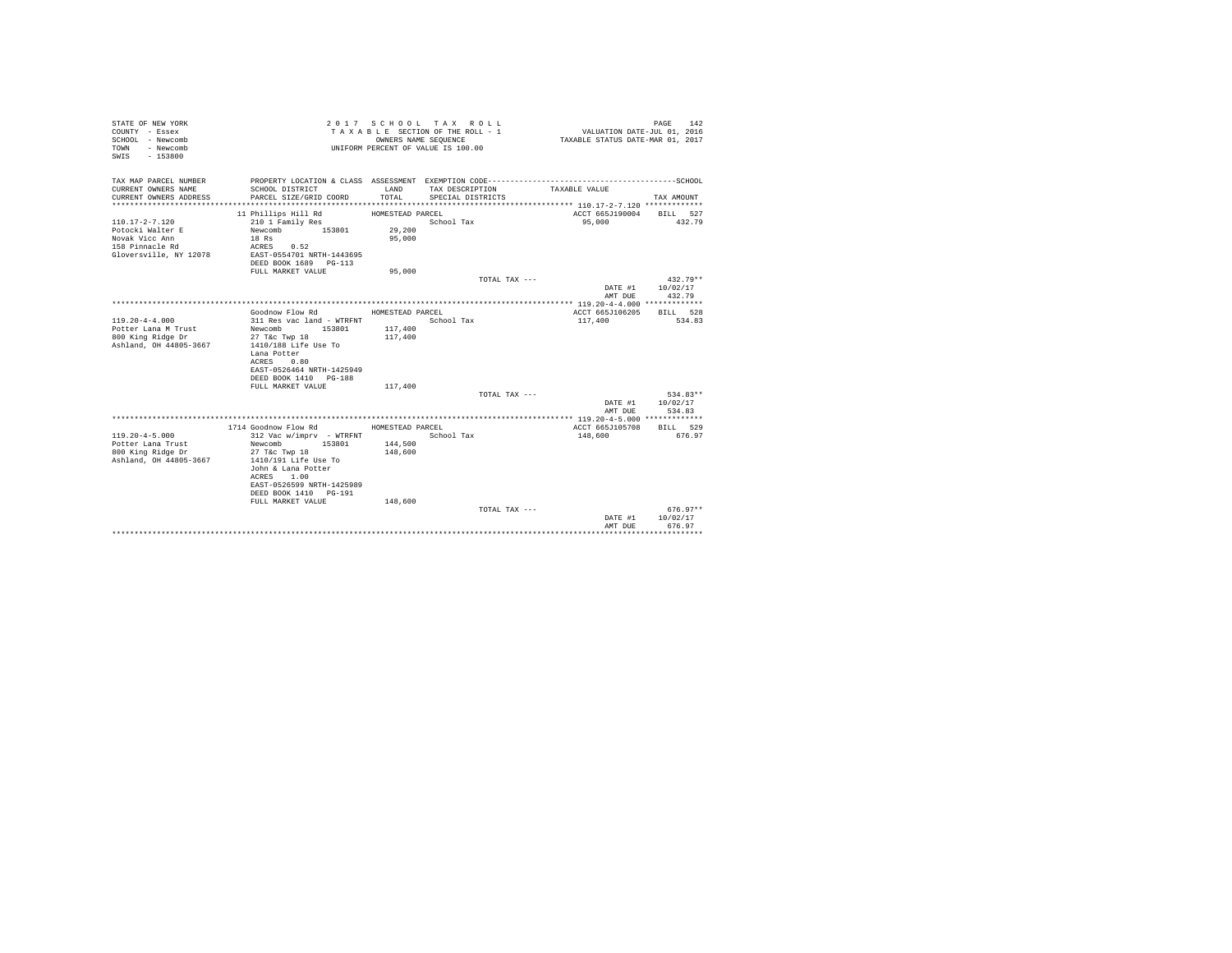| STATE OF NEW YORK<br>COUNTY - Essex<br>SCHOOL - Newcomb<br>- Newcomb<br>TOWN<br>$-153800$<br>SWTS |                                                    | OWNERS NAME SEQUENCE | 2017 SCHOOL TAX ROLL<br>TAXABLE SECTION OF THE ROLL - 1<br>UNIFORM PERCENT OF VALUE IS 100.00 | VALUATION DATE-JUL 01, 2016<br>TAXABLE STATUS DATE-MAR 01, 2017 | 142<br>PAGE   |
|---------------------------------------------------------------------------------------------------|----------------------------------------------------|----------------------|-----------------------------------------------------------------------------------------------|-----------------------------------------------------------------|---------------|
| TAX MAP PARCEL NUMBER<br>CURRENT OWNERS NAME                                                      | SCHOOL DISTRICT                                    | LAND                 | TAX DESCRIPTION                                                                               | TAXABLE VALUE                                                   |               |
| CURRENT OWNERS ADDRESS                                                                            | PARCEL SIZE/GRID COORD                             | TOTAL                | SPECIAL DISTRICTS                                                                             |                                                                 | TAX AMOUNT    |
|                                                                                                   | 11 Phillips Hill Rd                                | HOMESTEAD PARCEL     |                                                                                               | ACCT 665J190004 BILL 527                                        |               |
| 110.17-2-7.120                                                                                    | 210 1 Family Res                                   |                      | School Tax                                                                                    | 95,000                                                          | 432.79        |
| Potocki Walter E                                                                                  | Newcomb 153801                                     | 29,200               |                                                                                               |                                                                 |               |
| Novak Vicc Ann                                                                                    | 18 Rs                                              | 95,000               |                                                                                               |                                                                 |               |
| 158 Pinnacle Rd                                                                                   | ACRES 0.52                                         |                      |                                                                                               |                                                                 |               |
| Gloversville, NY 12078                                                                            | EAST-0554701 NRTH-1443695                          |                      |                                                                                               |                                                                 |               |
|                                                                                                   | DEED BOOK 1689 PG-113                              |                      |                                                                                               |                                                                 |               |
|                                                                                                   | FULL MARKET VALUE                                  | 95,000               | TOTAL TAX ---                                                                                 |                                                                 | $432.79**$    |
|                                                                                                   |                                                    |                      |                                                                                               | DATE #1                                                         | 10/02/17      |
|                                                                                                   |                                                    |                      |                                                                                               | AMT DUE                                                         | 432.79        |
|                                                                                                   |                                                    |                      |                                                                                               |                                                                 |               |
|                                                                                                   | Goodnow Flow Rd                                    | HOMESTEAD PARCEL     |                                                                                               | ACCT 665J106205                                                 | BILL 528      |
| $119.20 - 4 - 4.000$                                                                              | 311 Res vac land - WTRFNT                          |                      | School Tax                                                                                    | 117,400                                                         | 534.83        |
| Potter Lana M Trust                                                                               | 153801<br>Newcomb                                  | 117,400              |                                                                                               |                                                                 |               |
| 800 King Ridge Dr                                                                                 | 27 T&c Twp 18                                      | 117,400              |                                                                                               |                                                                 |               |
| Ashland, OH 44805-3667                                                                            | 1410/188 Life Use To<br>Lana Potter                |                      |                                                                                               |                                                                 |               |
|                                                                                                   | ACRES<br>0.80                                      |                      |                                                                                               |                                                                 |               |
|                                                                                                   | EAST-0526464 NRTH-1425949                          |                      |                                                                                               |                                                                 |               |
|                                                                                                   | DEED BOOK 1410 PG-188                              |                      |                                                                                               |                                                                 |               |
|                                                                                                   | FULL MARKET VALUE                                  | 117,400              |                                                                                               |                                                                 |               |
|                                                                                                   |                                                    |                      | TOTAL TAX ---                                                                                 |                                                                 | $534.83**$    |
|                                                                                                   |                                                    |                      |                                                                                               | DATE #1                                                         | 10/02/17      |
|                                                                                                   |                                                    |                      |                                                                                               | AMT DUE                                                         | 534.83        |
|                                                                                                   | 1714 Goodnow Flow Rd                               | HOMESTEAD PARCEL     |                                                                                               | ACCT 665J105708                                                 | BILL 529      |
| $119.20 - 4 - 5.000$                                                                              | 312 Vac w/imprv - WTRFNT                           |                      | School Tax                                                                                    | 148,600                                                         | 676.97        |
| Potter Lana Trust                                                                                 | Newcomb<br>153801                                  | 144,500              |                                                                                               |                                                                 |               |
| 800 King Ridge Dr                                                                                 | 27 T&c Twp 18                                      | 148,600              |                                                                                               |                                                                 |               |
| Ashland, OH 44805-3667                                                                            | 1410/191 Life Use To                               |                      |                                                                                               |                                                                 |               |
|                                                                                                   | John & Lana Potter                                 |                      |                                                                                               |                                                                 |               |
|                                                                                                   | ACRES 1.00                                         |                      |                                                                                               |                                                                 |               |
|                                                                                                   | EAST-0526599 NRTH-1425989<br>DEED BOOK 1410 PG-191 |                      |                                                                                               |                                                                 |               |
|                                                                                                   | FULL MARKET VALUE                                  | 148,600              |                                                                                               |                                                                 |               |
|                                                                                                   |                                                    |                      | TOTAL TAX $---$                                                                               |                                                                 | $676.97**$    |
|                                                                                                   |                                                    |                      |                                                                                               | DATE #1                                                         | 10/02/17      |
|                                                                                                   |                                                    |                      |                                                                                               | AMT DUE                                                         | 676.97        |
|                                                                                                   |                                                    |                      |                                                                                               |                                                                 | ************* |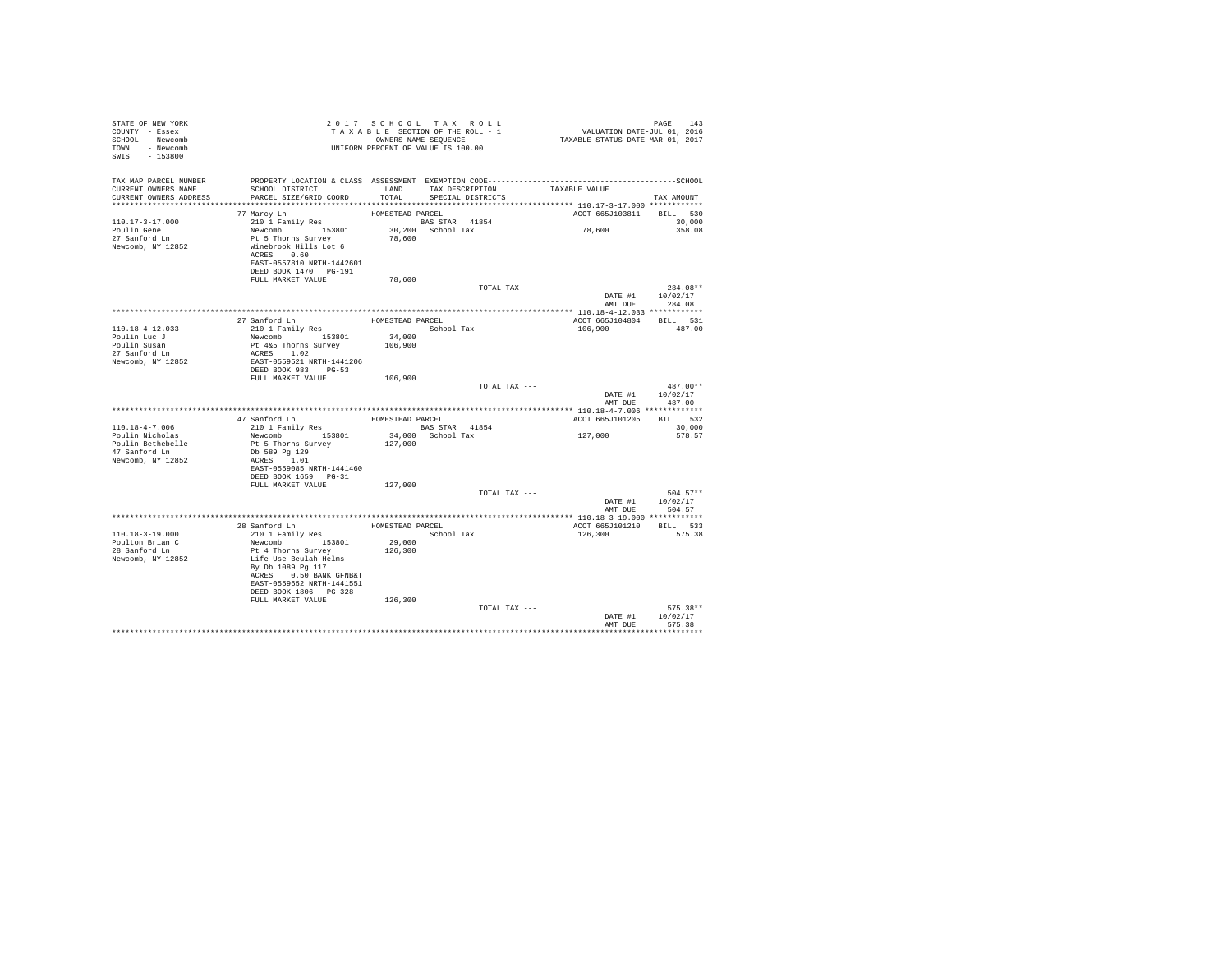| STATE OF NEW YORK<br>COUNTY - Essex<br>SCHOOL - Newcomb<br>TOWN - Newcomb<br>SWIS - 153800   | T A X A B B B B AND SEQUENCE<br>UNIFORM PERCENT OF VALUE IS 100.00                                                                                                                                      | 2017 SCHOOL TAX ROLL<br>OWNERS NAME SEQUENCE           |                   | TAXABLE SECTION OF THE ROLL - 1      | PAGE 143<br>VALUATION DATE-JUL 01, 2016<br>TAXABLE STATUS DATE-MAR 01, 2017 |                                          |
|----------------------------------------------------------------------------------------------|---------------------------------------------------------------------------------------------------------------------------------------------------------------------------------------------------------|--------------------------------------------------------|-------------------|--------------------------------------|-----------------------------------------------------------------------------|------------------------------------------|
| TAX MAP PARCEL NUMBER<br>CURRENT OWNERS NAME<br>CURRENT OWNERS ADDRESS                       | SCHOOL DISTRICT<br>PARCEL SIZE/GRID COORD<br>********************************                                                                                                                           | LAND<br>TOTAL                                          |                   | TAX DESCRIPTION<br>SPECIAL DISTRICTS | TAXABLE VALUE                                                               | TAX AMOUNT                               |
| 110.17-3-17.000<br>Poulin Gene<br>27 Sanford Ln<br>Newcomb, NY 12852                         | 77 Marcy Ln<br>210 1 Family Res<br>Newcomb 153801<br>Pt 5 Thorns Survey<br>Winebrook Hills Lot 6<br>ACRES 0.60<br>EAST-0557810 NRTH-1442601<br>DEED BOOK 1470 PG-191<br>FULL MARKET VALUE               | HOMESTEAD PARCEL<br>BAS STAR 41854<br>78,600<br>78,600 | 30,200 School Tax |                                      | ACCT 665J103811<br>78,600                                                   | BILL 530<br>30,000<br>358.08             |
|                                                                                              |                                                                                                                                                                                                         |                                                        |                   | TOTAL TAX ---                        | AMT DUE                                                                     | $284.08**$<br>DATE #1 10/02/17<br>284.08 |
| 110.18-4-12.033<br>Poulin Luc J<br>Poulin Susan<br>27 Sanford Ln<br>Newcomb, NY 12852        | 27 Sanford Ln<br>210 1 Family Res<br>Newcomb 153801<br>Pt 4&5 Thorns Survey<br>ACRES 1.02<br>EAST-0559521 NRTH-1441206<br>DEED BOOK 983 PG-53                                                           | HOMESTEAD PARCEL<br>34,000<br>106,900                  |                   | School Tax                           | ACCT 665J104804 BILL 531<br>106,900                                         | 487.00                                   |
|                                                                                              | FULL MARKET VALUE                                                                                                                                                                                       | 106,900                                                |                   | TOTAL TAX ---                        |                                                                             | $487.00**$<br>DATE #1 10/02/17<br>487.00 |
|                                                                                              |                                                                                                                                                                                                         |                                                        |                   |                                      | AMT DUE                                                                     |                                          |
|                                                                                              |                                                                                                                                                                                                         | HOMESTEAD PARCEL                                       |                   |                                      | ACCT 665J101205                                                             | BILL 532                                 |
| 110.18-4-7.006<br>Poulin Nicholas<br>Poulin Bethebelle<br>47 Sanford Ln<br>Newcomb, NY 12852 | 47 Sanford Ln<br>210 1 Family Res<br>Newcomb 153801<br>Pt 5 Thorns Survey<br>Db 589 Pg 129<br>ACRES 1.01<br>EAST-0559085 NRTH-1441460<br>DEED BOOK 1659 PG-31                                           | BAS STAR 41854<br>127,000                              | 34,000 School Tax |                                      | 127,000                                                                     | 30,000<br>578.57                         |
|                                                                                              | FULL MARKET VALUE                                                                                                                                                                                       | 127,000                                                |                   | TOTAL TAX ---                        | DATE #1 10/02/17                                                            | $504.57**$<br>AMT DUE 504.57             |
|                                                                                              |                                                                                                                                                                                                         |                                                        |                   |                                      |                                                                             |                                          |
| 110.18-3-19.000<br>Poulton Brian C<br>28 Sanford Ln<br>Newcomb, NY 12852                     | 28 Sanford Ln<br>210 1 Family Res<br>Newcomb 153801<br>Pt 4 Thorns Survey<br>Life Use Beulah Helms<br>By Db 1089 Pg 117<br>ACRES 0.50 BANK GFNB&T<br>EAST-0559652 NRTH-1441551<br>DEED BOOK 1806 PG-328 | HOMESTEAD PARCEL<br>29,000<br>126,300                  |                   | School Tax                           | ACCT 665J101210<br>126,300                                                  | BILL 533<br>575.38                       |
|                                                                                              | FULL MARKET VALUE                                                                                                                                                                                       | 126,300                                                |                   | TOTAL TAX ---                        | DATE #1<br>AMT DUE                                                          | $575.38**$<br>10/02/17<br>575.38         |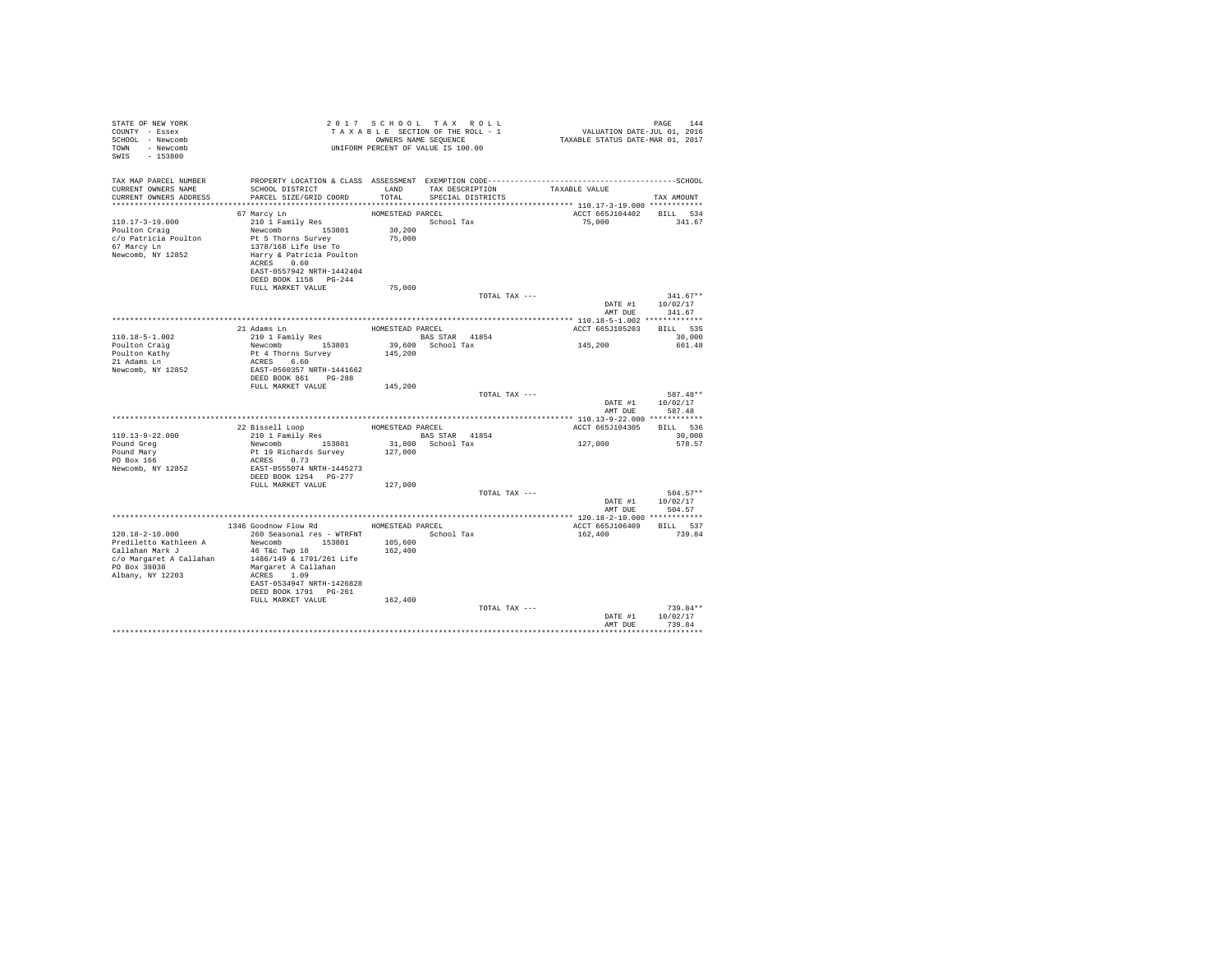| STATE OF NEW YORK<br>COUNTY - Essex<br>SCHOOL - Newcomb<br>TOWN - Newcomb<br>SWIS<br>$-153800$                             |                                                                                                                                                                                           |                    | 2017 SCHOOL TAX ROLL<br>TAXABLE SECTION OF THE ROLL - 1<br>OWNERS NAME SEQUENCE<br>UNIFORM PERCENT OF VALUE IS 100.00 | raus<br>1410 VALUATION DATE-JUL<br>101, TAXABLE STATUS DATE-MAR | PAGE<br>144                              |
|----------------------------------------------------------------------------------------------------------------------------|-------------------------------------------------------------------------------------------------------------------------------------------------------------------------------------------|--------------------|-----------------------------------------------------------------------------------------------------------------------|-----------------------------------------------------------------|------------------------------------------|
| TAX MAP PARCEL NUMBER<br>CURRENT OWNERS NAME<br>CURRENT OWNERS ADDRESS                                                     | SCHOOL DISTRICT TAND TAX DESCRIPTION<br>PARCEL SIZE/GRID COORD TOTAL SPECIAL DISTRICTS                                                                                                    |                    |                                                                                                                       | TAXABLE VALUE                                                   | TAX AMOUNT                               |
|                                                                                                                            |                                                                                                                                                                                           |                    |                                                                                                                       |                                                                 |                                          |
| $110.17 - 3 - 19.000$<br>Poulton Craig<br>c/o Patricia Poulton<br>67 Marcy Ln<br>Newcomb, NY 12852                         | Newcomb 153801<br>Pt 5 Thorns Survey<br>1378/168 Life Use To<br>Harry & Patricia Poulton<br>ACRES 0.60<br>EAST-0557942 NRTH-1442404<br>DEED BOOK 1158 PG-244                              | 30,200<br>75,000   |                                                                                                                       | ACCT 665J104402 BILL 534<br>75,000                              | 341.67                                   |
|                                                                                                                            | FULL MARKET VALUE                                                                                                                                                                         | 75,000             |                                                                                                                       |                                                                 |                                          |
|                                                                                                                            |                                                                                                                                                                                           |                    | TOTAL TAX ---                                                                                                         | DATE #1<br>AMT DUE                                              | $341.67**$<br>10/02/17<br>341.67         |
|                                                                                                                            |                                                                                                                                                                                           |                    |                                                                                                                       |                                                                 |                                          |
|                                                                                                                            |                                                                                                                                                                                           |                    |                                                                                                                       | ACCT 665J105203                                                 | BILL 535                                 |
| $110.18 - 5 - 1.002$                                                                                                       |                                                                                                                                                                                           |                    |                                                                                                                       |                                                                 | 30,000                                   |
| Poulton Craig<br>Poulton Kathy<br>21 Adams Ln<br>Newcomb, NY 12852                                                         | Newcomb 153801<br>Pt 4 Thorns Survey<br>ACRES 6.60<br>EAST-0560357 NRTH-1441662<br>DEED BOOK 861 PG-288                                                                                   | 145,200            | 39,600 School Tax                                                                                                     | 145, 200                                                        | 661.48                                   |
|                                                                                                                            | FULL MARKET VALUE 145.200                                                                                                                                                                 |                    |                                                                                                                       |                                                                 |                                          |
|                                                                                                                            |                                                                                                                                                                                           |                    | TOTAL TAX ---                                                                                                         | AMT DUE                                                         | 587.48**<br>DATE #1 10/02/17<br>587.48   |
|                                                                                                                            |                                                                                                                                                                                           |                    |                                                                                                                       |                                                                 |                                          |
|                                                                                                                            |                                                                                                                                                                                           |                    |                                                                                                                       | ACCT 665J104305                                                 | BILL 536                                 |
| $110.13 - 9 - 22.000$                                                                                                      |                                                                                                                                                                                           |                    |                                                                                                                       |                                                                 | 30,000                                   |
| Pound Grea<br>Pound Mary<br>PO Box 166<br>Newcomb, NY 12852                                                                | ACRES 0.73<br>EAST-0555074 NRTH-1445273<br>DEED BOOK 1254 PG-277                                                                                                                          |                    |                                                                                                                       | 127,000                                                         | 578.57                                   |
|                                                                                                                            | FULL MARKET VALUE 127,000                                                                                                                                                                 |                    |                                                                                                                       |                                                                 |                                          |
|                                                                                                                            |                                                                                                                                                                                           |                    | TOTAL TAX ---                                                                                                         | AMT DUE                                                         | $504.57**$<br>DATE #1 10/02/17<br>504.57 |
|                                                                                                                            |                                                                                                                                                                                           |                    |                                                                                                                       |                                                                 |                                          |
|                                                                                                                            | 1346 Goodnow Flow Rd MOMESTEAD PARCEL                                                                                                                                                     |                    |                                                                                                                       | ACCT 665J106409                                                 | BILL 537                                 |
| 120.18-2-10.000<br>Prediletto Kathleen A<br>Callahan Mark J<br>c/o Margaret A Callahan<br>PO Box 38038<br>Albany, NY 12203 | 260 Seasonal res - WTRFNT<br>153801<br>Newcomb<br>46 T&C Twp 18<br>1486/149 & 1791/261 Life<br>Margaret A Callahan<br>ACRES 1.09<br>EAST-0534947 NRTH-1426828<br>DEED BOOK 1791    PG-261 | 105,600<br>162,400 | School Tax                                                                                                            | 162,400                                                         | 739.84                                   |
|                                                                                                                            | FULL MARKET VALUE                                                                                                                                                                         | 162,400            | TOTAL TAX ---                                                                                                         | DATE #1<br>AMT DUR                                              | $739.84**$<br>10/02/17<br>739.84         |
|                                                                                                                            |                                                                                                                                                                                           |                    |                                                                                                                       |                                                                 |                                          |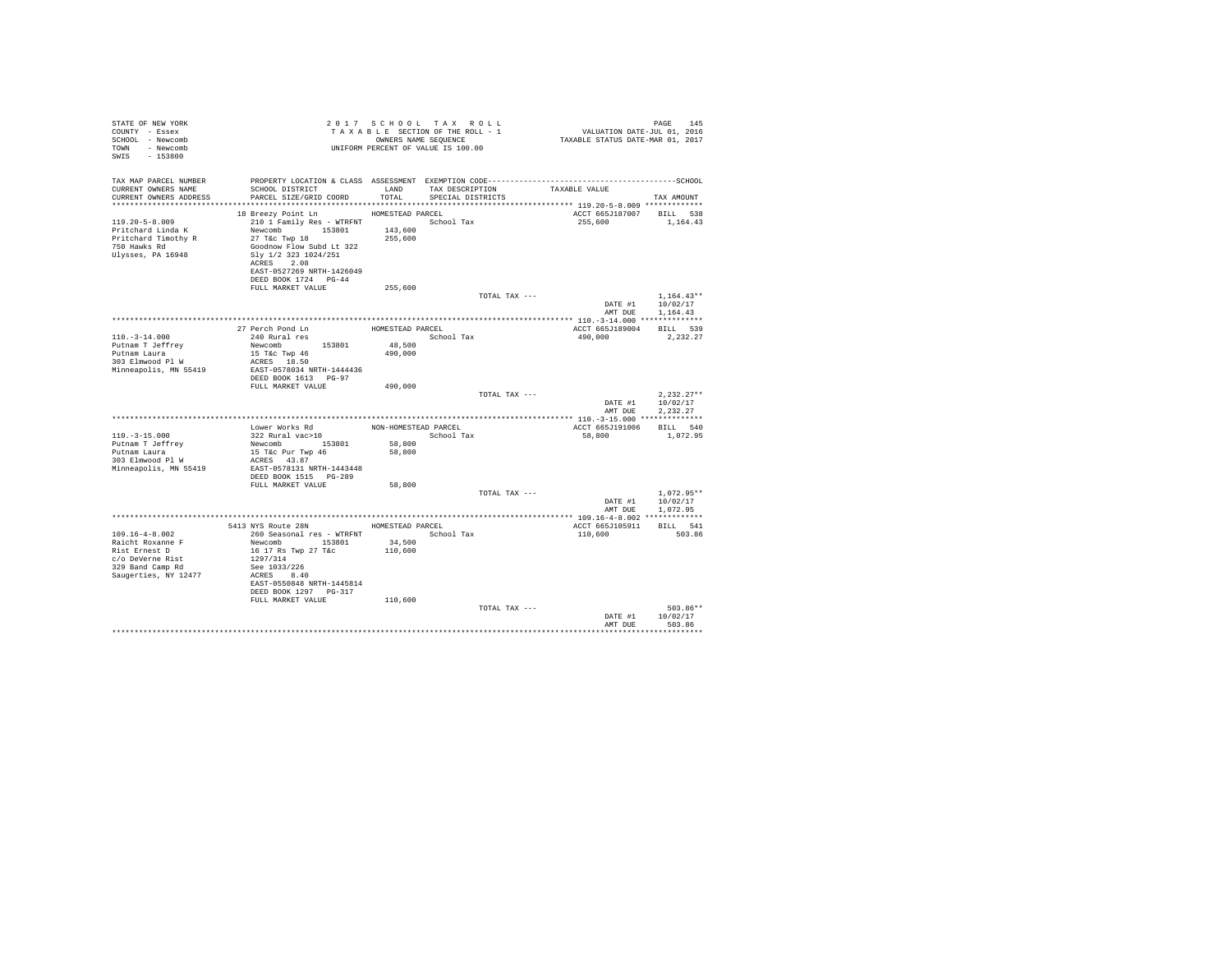| STATE OF NEW YORK<br>COUNTY - Essex<br>SCHOOL - Newcomb<br>TOWN - Newcomb<br>SWIS<br>$-153800$        |                                                                                                                                                                                                                                                         |                    | UNIFORM PERCENT OF VALUE IS 100.00 |                                     |                                                      |
|-------------------------------------------------------------------------------------------------------|---------------------------------------------------------------------------------------------------------------------------------------------------------------------------------------------------------------------------------------------------------|--------------------|------------------------------------|-------------------------------------|------------------------------------------------------|
| TAX MAP PARCEL NUMBER<br>CURRENT OWNERS NAME<br>CURRENT OWNERS ADDRESS                                | SCHOOL DISTRICT TAND TAX DESCRIPTION<br>PARCEL SIZE/GRID COORD TOTAL SPECIAL DISTRICTS                                                                                                                                                                  |                    |                                    | TAXABLE VALUE                       | TAX AMOUNT                                           |
| $119.20 - 5 - 8.009$<br>Pritchard Linda K<br>Pritchard Timothy R<br>750 Hawks Rd<br>Ulvsses, PA 16948 | 18 Breezy Point Ln HOMESTEAD PARCEL<br>210 1 Family Res - WTRFNT<br>Newcomb 153801 143,600<br>27 T&c Twp 18<br>Goodnow Flow Subd Lt 322<br>Slv 1/2 323 1024/251<br>ACRES 2.08<br>EAST-0527269 NRTH-1426049<br>DEED BOOK 1724 PG-44<br>FULL MARKET VALUE | 255,600<br>255,600 | School Tax                         | ACCT 665J187007 BILL 538<br>255,600 | 1,164.43                                             |
|                                                                                                       |                                                                                                                                                                                                                                                         |                    | TOTAL TAX ---                      |                                     | $1.164.43**$<br>DATE #1 10/02/17                     |
|                                                                                                       |                                                                                                                                                                                                                                                         |                    |                                    |                                     | AMT DUE 1.164.43                                     |
|                                                                                                       |                                                                                                                                                                                                                                                         |                    |                                    | ACCT 665J189004 BILL 539            |                                                      |
| $110. - 3 - 14.000$                                                                                   | 27 Perch Pond Ln MOMESTEAD PARCEL<br>240 Rural res School Tax                                                                                                                                                                                           |                    | School Tax                         | 490,000                             | 2.232.27                                             |
| Putnam T Jeffrey                                                                                      | Newcomb 153801                                                                                                                                                                                                                                          |                    |                                    |                                     |                                                      |
| Putnam Laura                                                                                          | 15 T&C Twp 46                                                                                                                                                                                                                                           | 48,500<br>490,000  |                                    |                                     |                                                      |
| 303 Elmwood Pl W                                                                                      | ACRES 18.50                                                                                                                                                                                                                                             |                    |                                    |                                     |                                                      |
| Minneapolis, MN 55419                                                                                 | EAST-0578034 NRTH-1444436                                                                                                                                                                                                                               |                    |                                    |                                     |                                                      |
|                                                                                                       | DEED BOOK 1613 PG-97                                                                                                                                                                                                                                    |                    |                                    |                                     |                                                      |
|                                                                                                       | FULL MARKET VALUE                                                                                                                                                                                                                                       | 490,000            |                                    |                                     |                                                      |
|                                                                                                       |                                                                                                                                                                                                                                                         |                    | TOTAL TAX ---                      |                                     | $2.232.27**$<br>DATE #1 10/02/17<br>AMT DUE 2.232.27 |
|                                                                                                       |                                                                                                                                                                                                                                                         |                    |                                    |                                     |                                                      |
|                                                                                                       |                                                                                                                                                                                                                                                         |                    |                                    | ACCT 665J191006 BILL 540            |                                                      |
| $110. - 3 - 15.000$                                                                                   | $\begin{tabular}{llll} \textsc{Lower Works Rd} & & \textsc{NON-HOMESTEAD PARCEL} \\ 322 \textsc{ Rural vac}>10 & & \textsc{School Tax} \end{tabular}$                                                                                                   |                    | School Tax                         | 58,800                              | 1,072.95                                             |
| Putnam T Jeffrey                                                                                      | Newcomb 153801                                                                                                                                                                                                                                          | 58,800             |                                    |                                     |                                                      |
| Putnam Laura                                                                                          | 15 T&c Pur Twp 46                                                                                                                                                                                                                                       | 58,800             |                                    |                                     |                                                      |
| 303 Elmwood Pl W                                                                                      | ACRES 43.87                                                                                                                                                                                                                                             |                    |                                    |                                     |                                                      |
| Minneapolis, MN 55419                                                                                 | EAST-0578131 NRTH-1443448                                                                                                                                                                                                                               |                    |                                    |                                     |                                                      |
|                                                                                                       | DEED BOOK 1515 PG-289                                                                                                                                                                                                                                   |                    |                                    |                                     |                                                      |
|                                                                                                       | FULL MARKET VALUE                                                                                                                                                                                                                                       | 58,800             | TOTAL TAX ---                      |                                     | $1.072.95**$                                         |
|                                                                                                       |                                                                                                                                                                                                                                                         |                    |                                    |                                     | DATE #1 10/02/17                                     |
|                                                                                                       |                                                                                                                                                                                                                                                         |                    |                                    |                                     | AMT DUE 1,072.95                                     |
|                                                                                                       |                                                                                                                                                                                                                                                         |                    |                                    |                                     |                                                      |
|                                                                                                       | 5413 NYS Route 28N HOMESTEAD PARCEL                                                                                                                                                                                                                     |                    |                                    | ACCT 665J105911                     | BILL 541                                             |
| $109.16 - 4 - 8.002$                                                                                  | 260 Seasonal res - WTRFNT                                                                                                                                                                                                                               |                    | School Tax                         | 110,600                             | 503.86                                               |
| Raicht Roxanne F                                                                                      | Newcomb 153801                                                                                                                                                                                                                                          | 34,500             |                                    |                                     |                                                      |
| Rist Ernest D                                                                                         | 16 17 Rs Twp 27 T&c                                                                                                                                                                                                                                     | 110,600            |                                    |                                     |                                                      |
| c/o DeVerne Rist                                                                                      | 1297/314                                                                                                                                                                                                                                                |                    |                                    |                                     |                                                      |
| 329 Band Camp Rd<br>Saugerties, NY 12477                                                              | See 1033/226<br>ACRES 8.40                                                                                                                                                                                                                              |                    |                                    |                                     |                                                      |
|                                                                                                       | EAST-0550848 NRTH-1445814                                                                                                                                                                                                                               |                    |                                    |                                     |                                                      |
|                                                                                                       | DEED BOOK 1297 PG-317                                                                                                                                                                                                                                   |                    |                                    |                                     |                                                      |
|                                                                                                       | FULL MARKET VALUE                                                                                                                                                                                                                                       | 110,600            |                                    |                                     |                                                      |
|                                                                                                       |                                                                                                                                                                                                                                                         |                    | TOTAL TAX ---                      |                                     | 503.86**                                             |
|                                                                                                       |                                                                                                                                                                                                                                                         |                    |                                    |                                     | DATE #1 10/02/17                                     |
|                                                                                                       |                                                                                                                                                                                                                                                         |                    |                                    | AMT DUR                             | 503.86                                               |
|                                                                                                       |                                                                                                                                                                                                                                                         |                    |                                    |                                     |                                                      |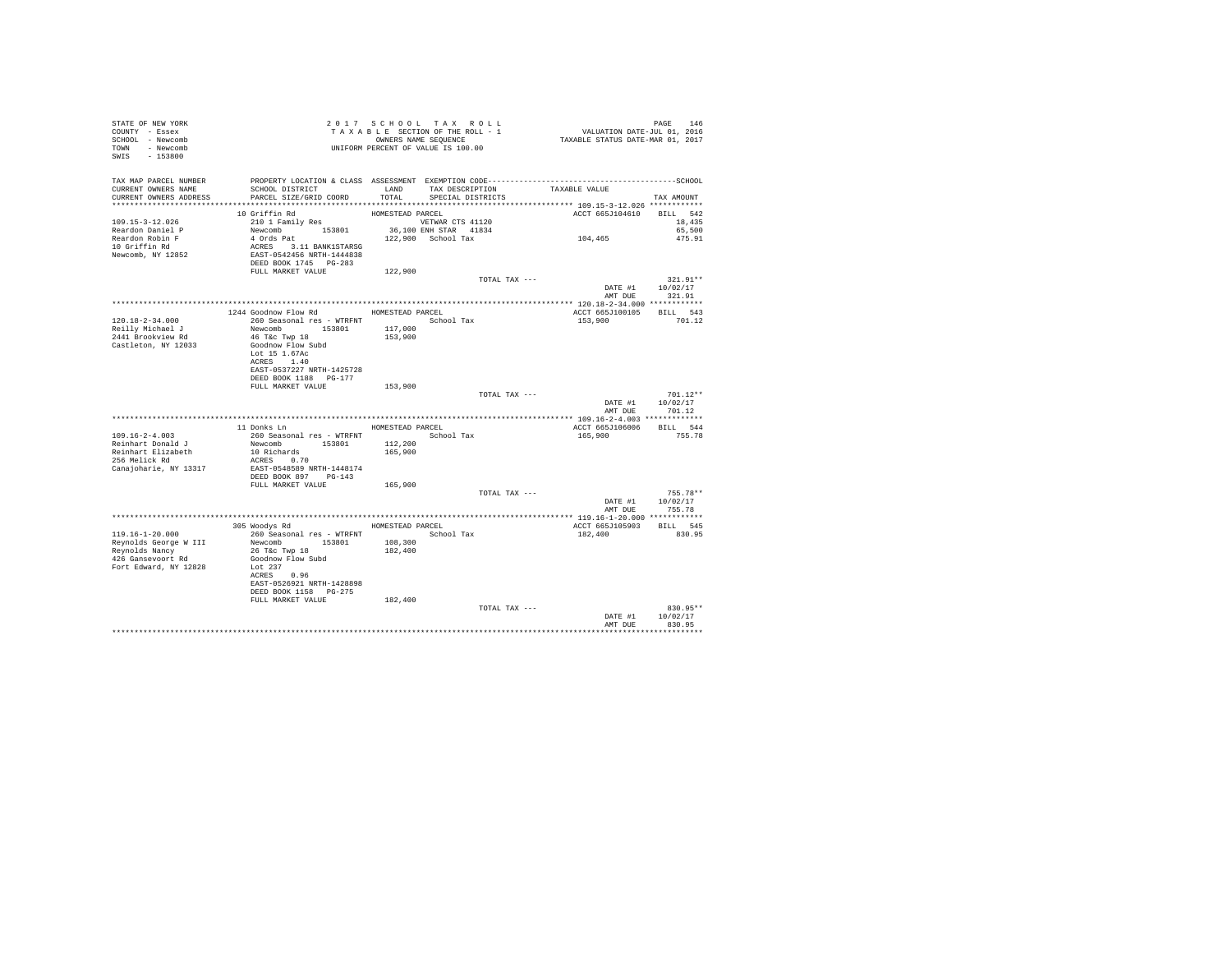| STATE OF NEW YORK<br>COUNTY - Essex<br>SCHOOL - Newcomb<br>TOWN - Newcomb<br>SWIS - 153800                |                                                                                                                                                                |                                        | 2017 SCHOOL TAX ROLL<br>TAXABLE SECTION OF THE ROLL - 1<br>OWNERS NAME SEQUENCE | PAGE 146<br>VALUATION DATE-JUL 01, 2016<br>TAXABLE STATUS DATE-MAR 01, 2017 |                                                  |
|-----------------------------------------------------------------------------------------------------------|----------------------------------------------------------------------------------------------------------------------------------------------------------------|----------------------------------------|---------------------------------------------------------------------------------|-----------------------------------------------------------------------------|--------------------------------------------------|
| TAX MAP PARCEL NUMBER<br>CURRENT OWNERS NAME<br>CURRENT OWNERS ADDRESS                                    | SCHOOL DISTRICT<br>PARCEL SIZE/GRID COORD                                                                                                                      | LAND<br>TOTAL                          | TAX DESCRIPTION<br>SPECIAL DISTRICTS                                            | TAXABLE VALUE                                                               | TAX AMOUNT                                       |
| 109.15-3-12.026<br>Reardon Daniel P<br>Reardon Robin F<br>10 Griffin Rd<br>Newcomb, NY 12852              | 10 Griffin Rd<br>210 1 Family Res<br>Newcomb 153801<br>4 Ords Pat<br>ACRES 3.11 BANK1STARSG<br>EAST-0542456 NRTH-1444838<br>DEED BOOK 1745 PG-283              | HOMESTEAD PARCEL                       | VETWAR CTS 41120<br>36,100 ENH STAR 41834<br>122,900 School Tax                 | ACCT 665J104610<br>104,465                                                  | BILL 542<br>18,435<br>65,500<br>475.91           |
|                                                                                                           | FULL MARKET VALUE                                                                                                                                              | 122,900                                |                                                                                 |                                                                             |                                                  |
|                                                                                                           |                                                                                                                                                                |                                        | TOTAL TAX ---                                                                   |                                                                             | $321.91**$<br>DATE #1 10/02/17<br>AMT DUE 321.91 |
| 120.18-2-34.000                                                                                           | 1244 Goodnow Flow Rd MOMESTEAD PARCEL<br>260 Seasonal res - WTRFNT <a></a> School Tax                                                                          |                                        |                                                                                 | ACCT 665J100105<br>153,900                                                  | BILL 543<br>701.12                               |
| Reilly Michael J<br>2441 Brookview Rd<br>Castleton, NY 12033                                              | Newcomb 153801<br>46 T&c Twp 18<br>Goodnow Flow Subd<br>Lot 15 1.67Ac<br>ACRES 1.40<br>EAST-0537227 NRTH-1425728<br>DEED BOOK 1188 PG-177<br>FULL MARKET VALUE | 117,000<br>153,900<br>153,900          |                                                                                 |                                                                             |                                                  |
|                                                                                                           |                                                                                                                                                                |                                        | TOTAL TAX ---                                                                   | DATE #1                                                                     | $701.12**$<br>10/02/17<br>AMT DUE 701.12         |
| $109.16 - 2 - 4.003$<br>Reinhart Donald J<br>Reinhart Elizabeth<br>256 Melick Rd<br>Canajoharie, NY 13317 | 11 Donks Ln<br>260 Seasonal res - WTRFNT<br>Newcomb 153801<br>10 Richards<br>ACRES 0.70<br>EAST-0548589 NRTH-1448174<br>DEED BOOK 897 PG-143                   | HOMESTEAD PARCEL<br>112,200<br>165,900 | School Tax                                                                      | ACCT 665J106006 BILL 544<br>165,900                                         | 755.78                                           |
|                                                                                                           | FULL MARKET VALUE                                                                                                                                              | 165,900                                | TOTAL TAX ---                                                                   |                                                                             | $755.78**$                                       |
|                                                                                                           |                                                                                                                                                                |                                        |                                                                                 | DATE #1                                                                     | 10/02/17<br>AMT DUE 755.78                       |
| 119.16-1-20.000<br>Reynolds George W III<br>Reynolds Nancy<br>426 Gansevoort Rd<br>Fort Edward, NY 12828  | 305 Woodys Rd<br>260 Seasonal res - WTRFNT<br>Newcomb 153801<br>26 T&C Twp 18<br>Goodnow Flow Subd<br>Lot 237<br>ACRES 0.96                                    | 108,300<br>182,400                     | HOMESTEAD PARCEL<br>School Tax                                                  | ACCT 665J105903 BILL 545<br>182,400                                         | 830.95                                           |
|                                                                                                           | EAST-0526921 NRTH-1428898<br>DEED BOOK 1158 PG-275<br>FULL MARKET VALUE                                                                                        | 182,400                                | TOTAL TAX ---                                                                   |                                                                             | 830.95**                                         |
|                                                                                                           |                                                                                                                                                                |                                        |                                                                                 | DATE #1<br>AMT DUE                                                          | 10/02/17<br>830.95                               |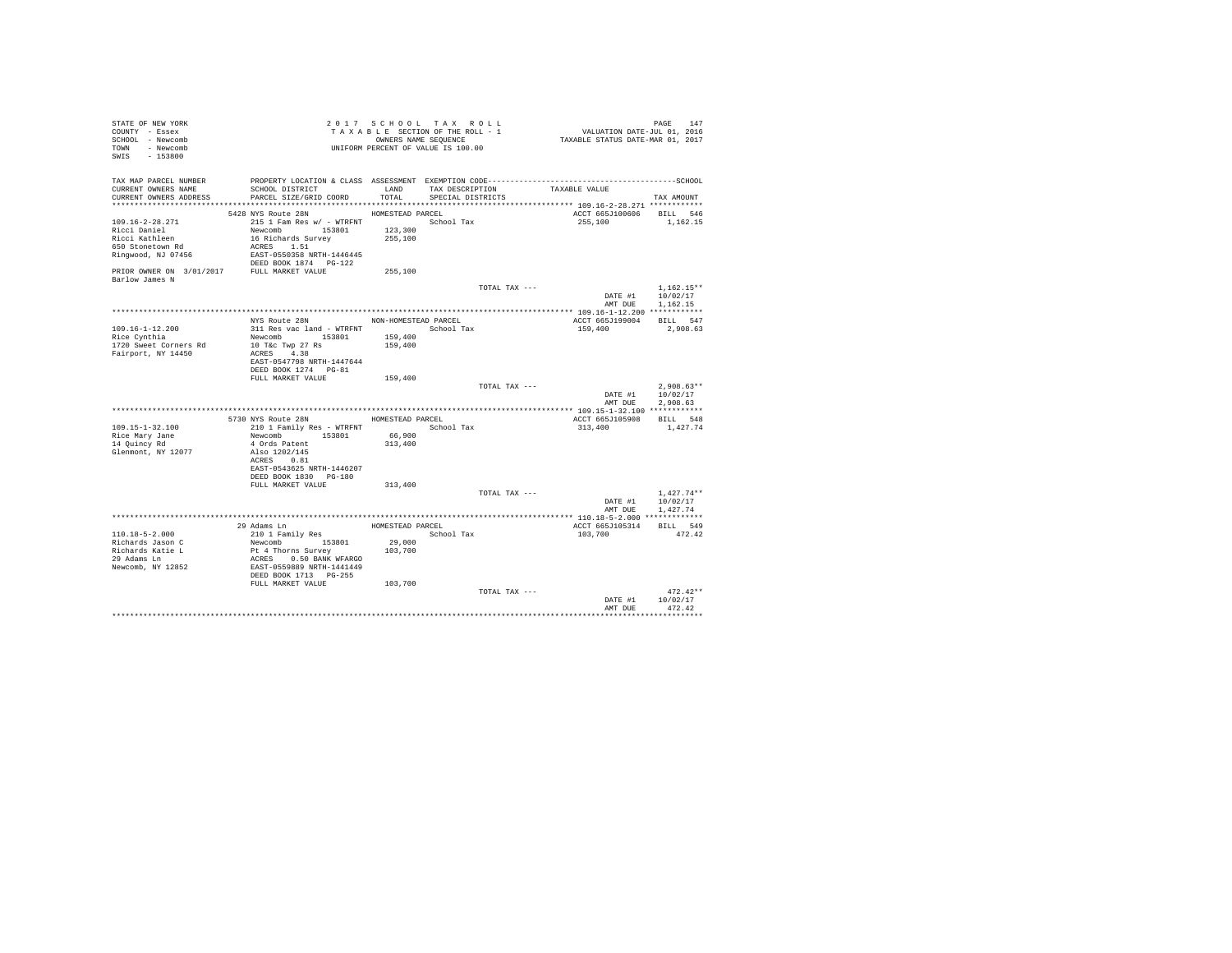| STATE OF NEW YORK<br>COUNTY - Essex                                                                                                                                                                                                                                                                                                                                                                                                                          | TAXABLE SECTION OF THE RULL - 1<br>CONNERS NAME SEQUENCE<br>UNIFORM PERCENT OF VALUE IS 100.00                                                                                                                                                                        |                  | TAXABLE SECTION OF THE ROLL - 1 | PAGE 147<br>VALUATION DATE-JUL 01, 2016<br>TAXABLE STATUS DATE-MAR 01, 2017                  |                          |
|--------------------------------------------------------------------------------------------------------------------------------------------------------------------------------------------------------------------------------------------------------------------------------------------------------------------------------------------------------------------------------------------------------------------------------------------------------------|-----------------------------------------------------------------------------------------------------------------------------------------------------------------------------------------------------------------------------------------------------------------------|------------------|---------------------------------|----------------------------------------------------------------------------------------------|--------------------------|
| SCHOOL - Newcomb                                                                                                                                                                                                                                                                                                                                                                                                                                             |                                                                                                                                                                                                                                                                       |                  | OWNERS NAME SEQUENCE            |                                                                                              |                          |
| TOWN - Newcomb                                                                                                                                                                                                                                                                                                                                                                                                                                               |                                                                                                                                                                                                                                                                       |                  |                                 |                                                                                              |                          |
| SWIS - 153800                                                                                                                                                                                                                                                                                                                                                                                                                                                |                                                                                                                                                                                                                                                                       |                  |                                 |                                                                                              |                          |
|                                                                                                                                                                                                                                                                                                                                                                                                                                                              |                                                                                                                                                                                                                                                                       |                  |                                 |                                                                                              |                          |
| TAX MAP PARCEL NUMBER                                                                                                                                                                                                                                                                                                                                                                                                                                        |                                                                                                                                                                                                                                                                       |                  |                                 | PROPERTY LOCATION & CLASS ASSESSMENT EXEMPTION CODE-----------------------------------SCHOOL |                          |
| CURRENT OWNERS NAME                                                                                                                                                                                                                                                                                                                                                                                                                                          | SCHOOL DISTRICT                                                                                                                                                                                                                                                       | LAND             |                                 | TAX DESCRIPTION TAXABLE VALUE                                                                |                          |
| CURRENT OWNERS ADDRESS                                                                                                                                                                                                                                                                                                                                                                                                                                       | PARCEL SIZE/GRID COORD                                                                                                                                                                                                                                                | TOTAL            | SPECIAL DISTRICTS               |                                                                                              | TAX AMOUNT               |
|                                                                                                                                                                                                                                                                                                                                                                                                                                                              |                                                                                                                                                                                                                                                                       |                  |                                 |                                                                                              |                          |
|                                                                                                                                                                                                                                                                                                                                                                                                                                                              | 5428 NYS Route 28N                                                                                                                                                                                                                                                    | HOMESTEAD PARCEL |                                 |                                                                                              | ACCT 665J100606 BILL 546 |
| 109.16-2-28.271                                                                                                                                                                                                                                                                                                                                                                                                                                              |                                                                                                                                                                                                                                                                       |                  |                                 |                                                                                              | 255.100 1.162.15         |
| Ricci Daniel                                                                                                                                                                                                                                                                                                                                                                                                                                                 | Newcomb 153801                                                                                                                                                                                                                                                        | 123,300          |                                 |                                                                                              |                          |
| Ricci Kathleen                                                                                                                                                                                                                                                                                                                                                                                                                                               | 16 Richards Survey                                                                                                                                                                                                                                                    | 255,100          |                                 |                                                                                              |                          |
| 650 Stonetown Rd                                                                                                                                                                                                                                                                                                                                                                                                                                             | ACRES 1.51                                                                                                                                                                                                                                                            |                  |                                 |                                                                                              |                          |
| Ringwood, NJ 07456<br>$\begin{tabular}{l l l l} \multicolumn{1}{l}{{\tt Ringwood, NJ.07456}} & \multicolumn{1}{l}{\tt EAST-0550358 NRTH-1446445} \\ & \multicolumn{1}{l}{\tt DETDR.0WNER ON} & \multicolumn{1}{l}{\tt DESDR.0WER} \\ \multicolumn{1}{l}{\tt PREST.VALIE} & \multicolumn{1}{l}{\tt DEEDS.0WER} & \multicolumn{1}{l}{\tt REJ4} \\ \multicolumn{1}{l}{\tt PREST.VALIE} & \multicolumn{1}{l}{\tt MEST-VALIE} \\ \multicolumn{1}{l}{\tt PREST.VA$ |                                                                                                                                                                                                                                                                       |                  |                                 |                                                                                              |                          |
|                                                                                                                                                                                                                                                                                                                                                                                                                                                              |                                                                                                                                                                                                                                                                       |                  |                                 |                                                                                              |                          |
|                                                                                                                                                                                                                                                                                                                                                                                                                                                              |                                                                                                                                                                                                                                                                       | 255,100          |                                 |                                                                                              |                          |
| Barlow James N                                                                                                                                                                                                                                                                                                                                                                                                                                               |                                                                                                                                                                                                                                                                       |                  |                                 |                                                                                              |                          |
|                                                                                                                                                                                                                                                                                                                                                                                                                                                              |                                                                                                                                                                                                                                                                       |                  |                                 | TOTAL TAX ---                                                                                | $1.162.15**$             |
|                                                                                                                                                                                                                                                                                                                                                                                                                                                              |                                                                                                                                                                                                                                                                       |                  |                                 |                                                                                              | DATE #1 10/02/17         |
|                                                                                                                                                                                                                                                                                                                                                                                                                                                              |                                                                                                                                                                                                                                                                       |                  |                                 | AMT DUE                                                                                      | 1,162.15                 |
|                                                                                                                                                                                                                                                                                                                                                                                                                                                              | NYS Route 28N NON-HOMESTEAD PARCEL                                                                                                                                                                                                                                    |                  |                                 |                                                                                              | ACCT 665J199004 BILL 547 |
| 109.16-1-12.200                                                                                                                                                                                                                                                                                                                                                                                                                                              |                                                                                                                                                                                                                                                                       |                  |                                 | 159,400                                                                                      | 2,908.63                 |
| Rice Cynthia                                                                                                                                                                                                                                                                                                                                                                                                                                                 | Newcomb 153801                                                                                                                                                                                                                                                        | 159,400          |                                 |                                                                                              |                          |
| 1720 Sweet Corners Rd                                                                                                                                                                                                                                                                                                                                                                                                                                        | 10 T&c Twp 27 Rs                                                                                                                                                                                                                                                      | 159,400          |                                 |                                                                                              |                          |
| Fairport, NY 14450                                                                                                                                                                                                                                                                                                                                                                                                                                           | ACRES 4.38                                                                                                                                                                                                                                                            |                  |                                 |                                                                                              |                          |
|                                                                                                                                                                                                                                                                                                                                                                                                                                                              | EAST-0547798 NRTH-1447644                                                                                                                                                                                                                                             |                  |                                 |                                                                                              |                          |
|                                                                                                                                                                                                                                                                                                                                                                                                                                                              | DEED BOOK 1274 PG-81                                                                                                                                                                                                                                                  |                  |                                 |                                                                                              |                          |
|                                                                                                                                                                                                                                                                                                                                                                                                                                                              | FULL MARKET VALUE                                                                                                                                                                                                                                                     | 159,400          |                                 |                                                                                              |                          |
|                                                                                                                                                                                                                                                                                                                                                                                                                                                              |                                                                                                                                                                                                                                                                       |                  |                                 | TOTAL TAX ---                                                                                | $2.908.63**$             |
|                                                                                                                                                                                                                                                                                                                                                                                                                                                              |                                                                                                                                                                                                                                                                       |                  |                                 |                                                                                              | DATE #1 10/02/17         |
|                                                                                                                                                                                                                                                                                                                                                                                                                                                              |                                                                                                                                                                                                                                                                       |                  |                                 |                                                                                              | AMT DUE<br>2.908.63      |
|                                                                                                                                                                                                                                                                                                                                                                                                                                                              |                                                                                                                                                                                                                                                                       |                  |                                 |                                                                                              |                          |
|                                                                                                                                                                                                                                                                                                                                                                                                                                                              | 5730 NYS Route 28N HOMESTEAD PARCEL                                                                                                                                                                                                                                   |                  |                                 | ACCT 665J105908                                                                              | BILL 548                 |
| 109.15-1-32.100                                                                                                                                                                                                                                                                                                                                                                                                                                              | 210 1 Family Res - WTRFNT School Tax                                                                                                                                                                                                                                  |                  |                                 | 313,400                                                                                      | 1,427.74                 |
| Rice Mary Jane                                                                                                                                                                                                                                                                                                                                                                                                                                               | Newcomb 153801 66,900                                                                                                                                                                                                                                                 |                  |                                 |                                                                                              |                          |
| 14 Quincy Rd                                                                                                                                                                                                                                                                                                                                                                                                                                                 | 4 Ords Patent<br>Also 1202/145                                                                                                                                                                                                                                        | 313,400          |                                 |                                                                                              |                          |
| Glenmont, NY 12077                                                                                                                                                                                                                                                                                                                                                                                                                                           | ACRES 0.81                                                                                                                                                                                                                                                            |                  |                                 |                                                                                              |                          |
|                                                                                                                                                                                                                                                                                                                                                                                                                                                              | EAST-0543625 NRTH-1446207                                                                                                                                                                                                                                             |                  |                                 |                                                                                              |                          |
|                                                                                                                                                                                                                                                                                                                                                                                                                                                              | DEED BOOK 1830 PG-180                                                                                                                                                                                                                                                 |                  |                                 |                                                                                              |                          |
|                                                                                                                                                                                                                                                                                                                                                                                                                                                              | FULL MARKET VALUE                                                                                                                                                                                                                                                     | 313,400          |                                 |                                                                                              |                          |
|                                                                                                                                                                                                                                                                                                                                                                                                                                                              |                                                                                                                                                                                                                                                                       |                  |                                 | TOTAL TAX ---                                                                                | $1.427.74**$             |
|                                                                                                                                                                                                                                                                                                                                                                                                                                                              |                                                                                                                                                                                                                                                                       |                  |                                 | DATE #1                                                                                      | 10/02/17                 |
|                                                                                                                                                                                                                                                                                                                                                                                                                                                              |                                                                                                                                                                                                                                                                       |                  |                                 | AMT DUE                                                                                      | 1,427.74                 |
|                                                                                                                                                                                                                                                                                                                                                                                                                                                              |                                                                                                                                                                                                                                                                       |                  |                                 |                                                                                              |                          |
|                                                                                                                                                                                                                                                                                                                                                                                                                                                              |                                                                                                                                                                                                                                                                       |                  | HOMESTEAD PARCEL                | ACCT 665J105314                                                                              | BILL 549                 |
| $110.18 - 5 - 2.000$                                                                                                                                                                                                                                                                                                                                                                                                                                         |                                                                                                                                                                                                                                                                       |                  | School Tax                      | 103,700                                                                                      | 472.42                   |
| Richards Jason C                                                                                                                                                                                                                                                                                                                                                                                                                                             | 29 Adams Inn<br>210 1 Family Res<br>Newcomb<br>210 1 Family Res<br>Newcomb<br>210 1 Family Res<br>2180 1<br>PL 4 Thorns Survey<br>22 RARS<br>22 BARN WFARSO<br>22 RARS BOOK 1713<br>22 -255<br>25<br>26 -255<br>26 -255<br>26<br>26 -255<br>26<br>26 -255<br>26<br>26 | 29,000           |                                 |                                                                                              |                          |
| Richards Katie L                                                                                                                                                                                                                                                                                                                                                                                                                                             |                                                                                                                                                                                                                                                                       | 103,700          |                                 |                                                                                              |                          |
| 29 Adams Ln                                                                                                                                                                                                                                                                                                                                                                                                                                                  |                                                                                                                                                                                                                                                                       |                  |                                 |                                                                                              |                          |
| Newcomb, NY 12852                                                                                                                                                                                                                                                                                                                                                                                                                                            |                                                                                                                                                                                                                                                                       |                  |                                 |                                                                                              |                          |
|                                                                                                                                                                                                                                                                                                                                                                                                                                                              |                                                                                                                                                                                                                                                                       |                  |                                 |                                                                                              |                          |
|                                                                                                                                                                                                                                                                                                                                                                                                                                                              | FULL MARKET VALUE 103,700                                                                                                                                                                                                                                             |                  |                                 |                                                                                              |                          |
|                                                                                                                                                                                                                                                                                                                                                                                                                                                              |                                                                                                                                                                                                                                                                       |                  |                                 | TOTAL TAX ---<br>DATE #1                                                                     | $472.42**$<br>10/02/17   |
|                                                                                                                                                                                                                                                                                                                                                                                                                                                              |                                                                                                                                                                                                                                                                       |                  |                                 | AMT DUE                                                                                      | 472.42                   |
|                                                                                                                                                                                                                                                                                                                                                                                                                                                              |                                                                                                                                                                                                                                                                       |                  |                                 |                                                                                              |                          |
|                                                                                                                                                                                                                                                                                                                                                                                                                                                              |                                                                                                                                                                                                                                                                       |                  |                                 |                                                                                              |                          |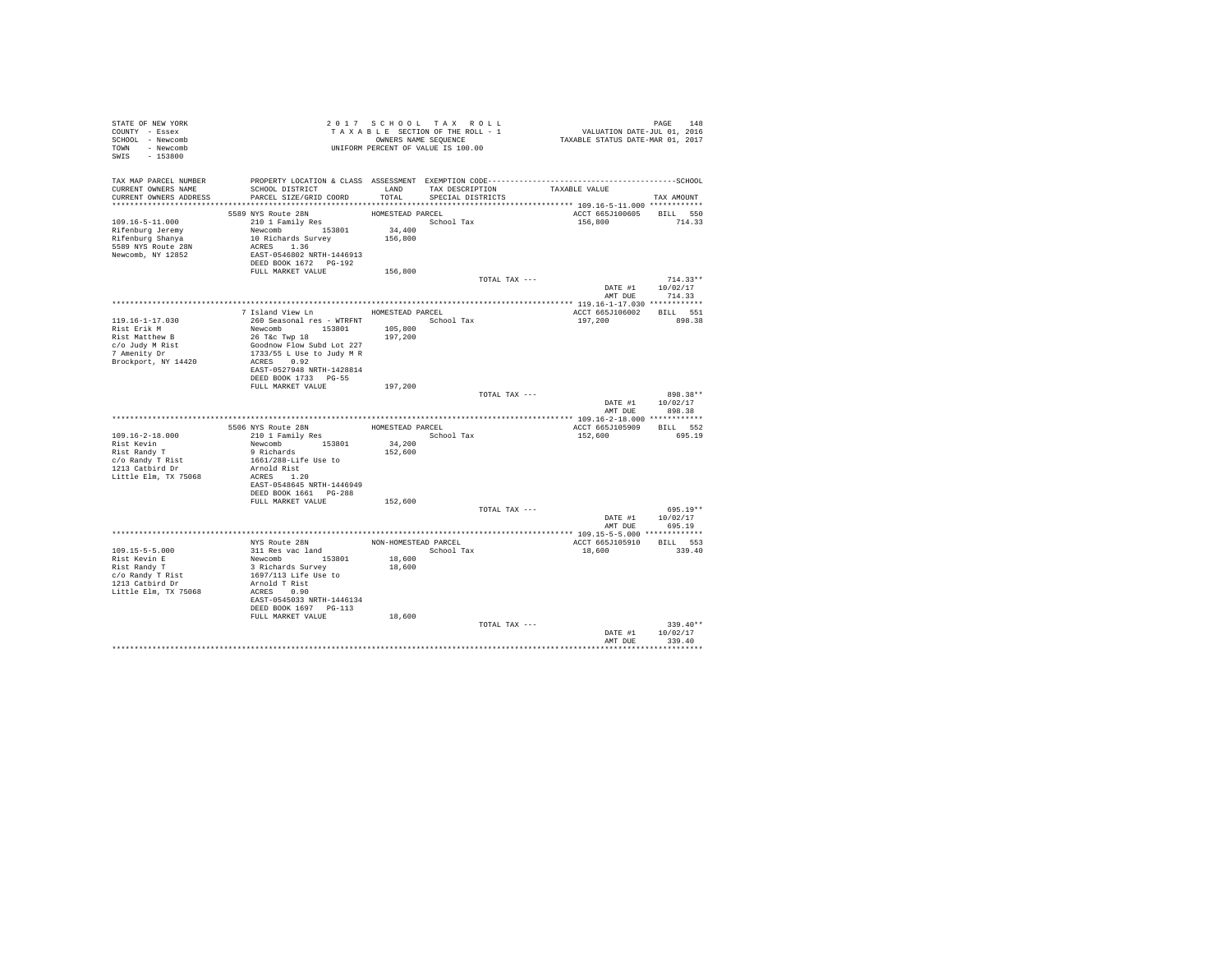| STATE OF NEW YORK                   | 2017 SCHUUL TAA KULL<br>TAXABLE SECTION OF THE ROLL - 1<br>ONNEERS NAME SEQUENCE<br>UNIFORM PERCENT OF VALUE IS 100.00                                                                                                                                   |                    | 2017 SCHOOL TAX ROLL | PAGE 148<br>VALUATION DATE-JUL 01, 2016<br>TAXABLE STATUS DATE-MAR 01, 2017 |                  |
|-------------------------------------|----------------------------------------------------------------------------------------------------------------------------------------------------------------------------------------------------------------------------------------------------------|--------------------|----------------------|-----------------------------------------------------------------------------|------------------|
| COUNTY - Essex                      |                                                                                                                                                                                                                                                          |                    |                      |                                                                             |                  |
| SCHOOL - Newcomb                    |                                                                                                                                                                                                                                                          |                    |                      |                                                                             |                  |
| TOWN - Newcomb                      |                                                                                                                                                                                                                                                          |                    |                      |                                                                             |                  |
| SWIS - 153800                       |                                                                                                                                                                                                                                                          |                    |                      |                                                                             |                  |
|                                     |                                                                                                                                                                                                                                                          |                    |                      |                                                                             |                  |
|                                     |                                                                                                                                                                                                                                                          |                    |                      |                                                                             |                  |
| CURRENT OWNERS NAME                 | TAX MAP PARCEL NUMBER PROPERTY LOCATION & CLASS ASSESSMENT EXEMPTION CODE-----------------------------------SCHOOL<br>SCHOOL DISTRICT TAX DESCRIPTION                                                                                                    |                    |                      | TAXABLE VALUE                                                               |                  |
| CURRENT OWNERS ADDRESS              | PARCEL SIZE/GRID COORD                                                                                                                                                                                                                                   | TOTAL              | SPECIAL DISTRICTS    |                                                                             | TAX AMOUNT       |
|                                     |                                                                                                                                                                                                                                                          |                    |                      |                                                                             |                  |
|                                     |                                                                                                                                                                                                                                                          | HOMESTEAD PARCEL   |                      | ACCT 665J100605 BILL 550                                                    |                  |
| $109.16 - 5 - 11.000$               | $\begin{tabular}{lllllll} 5589 & NYS & Route & 28N & & & & & & & & & & & \\ 210 & I Fami1y & Res & & & & & & & & \\ & New & & & & 153801 & & & 34,400 & \\ & New & & & & 153801 & & & 34,400 & \\ & & 10 & & 156,800 & & & & 156,800 & \\ \end{tabular}$ |                    | School Tax           | 156,800 714.33                                                              |                  |
| Rifenburg Jeremy                    |                                                                                                                                                                                                                                                          |                    |                      |                                                                             |                  |
| Rifenburg Shanya                    |                                                                                                                                                                                                                                                          |                    |                      |                                                                             |                  |
| 5589 NYS Route 28N                  | ACRES 1.36                                                                                                                                                                                                                                               |                    |                      |                                                                             |                  |
| Newcomb, NY 12852                   | EAST-0546802 NRTH-1446913                                                                                                                                                                                                                                |                    |                      |                                                                             |                  |
|                                     | DEED BOOK 1672 PG-192                                                                                                                                                                                                                                    |                    |                      |                                                                             |                  |
|                                     | FULL MARKET VALUE 156,800                                                                                                                                                                                                                                |                    |                      |                                                                             |                  |
|                                     |                                                                                                                                                                                                                                                          |                    | TOTAL TAX ---        |                                                                             | $714.33**$       |
|                                     |                                                                                                                                                                                                                                                          |                    |                      | DATE #1   10/02/17                                                          |                  |
|                                     |                                                                                                                                                                                                                                                          |                    |                      |                                                                             | AMT DUE 714.33   |
|                                     |                                                                                                                                                                                                                                                          |                    |                      |                                                                             |                  |
|                                     | 7 Island View Ln MOMESTEAD PARCEL                                                                                                                                                                                                                        |                    |                      | ACCT 665J106002 BILL 551                                                    |                  |
| 119.16-1-17.030                     | 260 Seasonal res - WTRFNT                                                                                                                                                                                                                                |                    | School Tax           | 197,200                                                                     | 898.38           |
| Rist Erik M                         |                                                                                                                                                                                                                                                          | 105,800<br>197,200 |                      |                                                                             |                  |
| Rist Matthew B                      | Newcomb<br>26 T&c Twp 18<br>Goodnow Flow Subd Lot 227                                                                                                                                                                                                    |                    |                      |                                                                             |                  |
| c/o Judy M Rist<br>7 Amenity Dr     |                                                                                                                                                                                                                                                          |                    |                      |                                                                             |                  |
|                                     | 1733/55 L Use to Judy M R                                                                                                                                                                                                                                |                    |                      |                                                                             |                  |
| Brockport, NY 14420                 | ACRES 0.92                                                                                                                                                                                                                                               |                    |                      |                                                                             |                  |
|                                     | EAST-0527948 NRTH-1428814                                                                                                                                                                                                                                |                    |                      |                                                                             |                  |
|                                     | DEED BOOK 1733 PG-55                                                                                                                                                                                                                                     |                    |                      |                                                                             |                  |
|                                     | FULL MARKET VALUE                                                                                                                                                                                                                                        | 197,200            | TOTAL TAX ---        |                                                                             | 898.38**         |
|                                     |                                                                                                                                                                                                                                                          |                    |                      |                                                                             | DATE #1 10/02/17 |
|                                     |                                                                                                                                                                                                                                                          |                    |                      | AMT DUE                                                                     | 898.38           |
|                                     |                                                                                                                                                                                                                                                          |                    |                      |                                                                             |                  |
|                                     |                                                                                                                                                                                                                                                          | HOMESTEAD PARCEL   |                      | ACCT 665J105909 BILL 552                                                    |                  |
| $109.16 - 2 - 18.000$               | 5506 NYS Route 28N<br>210 1 Family Res<br>Newcomb 153801<br>9 Richards                                                                                                                                                                                   |                    | School Tax           | 152,600                                                                     | 695.19           |
|                                     |                                                                                                                                                                                                                                                          | 34,200             |                      |                                                                             |                  |
| Rist Kevin<br>Rist Randy T          |                                                                                                                                                                                                                                                          | 152,600            |                      |                                                                             |                  |
|                                     | 1661/288-Life Use to                                                                                                                                                                                                                                     |                    |                      |                                                                             |                  |
| c/o Randy T Rist<br>1213 Catbird Dr | Arnold Rist                                                                                                                                                                                                                                              |                    |                      |                                                                             |                  |
| Little Elm, TX 75068                | ACRES 1.20                                                                                                                                                                                                                                               |                    |                      |                                                                             |                  |
|                                     | EAST-0548645 NRTH-1446949                                                                                                                                                                                                                                |                    |                      |                                                                             |                  |
|                                     | DEED BOOK 1661 PG-288                                                                                                                                                                                                                                    |                    |                      |                                                                             |                  |
|                                     | FULL MARKET VALUE                                                                                                                                                                                                                                        | 152,600            |                      |                                                                             |                  |
|                                     |                                                                                                                                                                                                                                                          |                    | TOTAL TAX ---        |                                                                             | $695.19**$       |
|                                     |                                                                                                                                                                                                                                                          |                    |                      |                                                                             | DATE #1 10/02/17 |
|                                     |                                                                                                                                                                                                                                                          |                    |                      | AMT DUE                                                                     | 695.19           |
|                                     |                                                                                                                                                                                                                                                          |                    |                      |                                                                             |                  |
|                                     |                                                                                                                                                                                                                                                          |                    |                      |                                                                             |                  |
| $109.15 - 5 - 5.000$                |                                                                                                                                                                                                                                                          |                    | School Tax           | 18,600                                                                      | 339.40           |
| Rist Kevin E                        |                                                                                                                                                                                                                                                          | 18,600             |                      |                                                                             |                  |
| Rist Randy T                        |                                                                                                                                                                                                                                                          | 18,600             |                      |                                                                             |                  |
| c/o Randy T Rist<br>1213 Catbird Dr | All Res vac land<br>311 Res vac land<br>Newcomb 153801<br>3 Richards Survey<br>1697/113 Life Use to<br>1897/113 Life Use to                                                                                                                              |                    |                      |                                                                             |                  |
|                                     | Arnold T Rist                                                                                                                                                                                                                                            |                    |                      |                                                                             |                  |
| Little Elm, TX 75068                | ACRES 0.90                                                                                                                                                                                                                                               |                    |                      |                                                                             |                  |
|                                     | EAST-0545033 NRTH-1446134<br>DEED BOOK 1697 PG-113                                                                                                                                                                                                       |                    |                      |                                                                             |                  |
|                                     | FULL MARKET VALUE                                                                                                                                                                                                                                        | 18,600             |                      |                                                                             |                  |
|                                     |                                                                                                                                                                                                                                                          |                    | TOTAL TAX ---        |                                                                             | $339.40**$       |
|                                     |                                                                                                                                                                                                                                                          |                    |                      |                                                                             | DATE #1 10/02/17 |
|                                     |                                                                                                                                                                                                                                                          |                    |                      |                                                                             | AMT DUE 339.40   |
|                                     |                                                                                                                                                                                                                                                          |                    |                      |                                                                             |                  |
|                                     |                                                                                                                                                                                                                                                          |                    |                      |                                                                             |                  |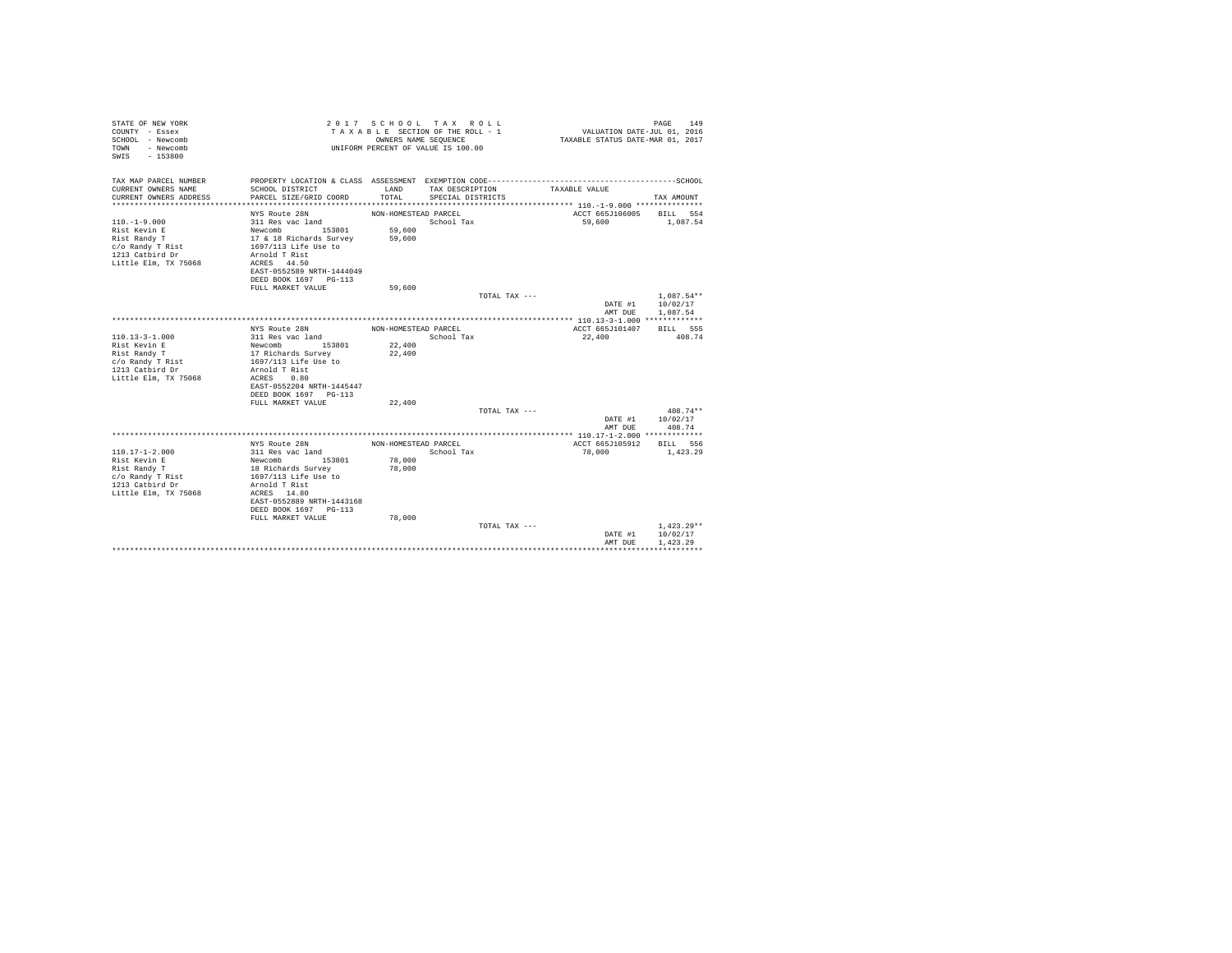| STATE OF NEW YORK<br>COUNTY - Essex<br>SCHOOL - Newcomb<br>- Newcomb<br>TOWN<br>$-153800$<br>SWTS |                                            | OWNERS NAME SEQUENCE | 2017 SCHOOL TAX ROLL<br>TAXABLE SECTION OF THE ROLL - 1<br>UNIFORM PERCENT OF VALUE IS 100.00 |               | VALUATION DATE-JUL 01, 2016<br>TAXABLE STATUS DATE-MAR 01, 2017 | 149<br>PAGE     |
|---------------------------------------------------------------------------------------------------|--------------------------------------------|----------------------|-----------------------------------------------------------------------------------------------|---------------|-----------------------------------------------------------------|-----------------|
| TAX MAP PARCEL NUMBER<br>CURRENT OWNERS NAME                                                      | SCHOOL DISTRICT                            | LAND                 | TAX DESCRIPTION                                                                               |               | TAXABLE VALUE                                                   |                 |
| CURRENT OWNERS ADDRESS                                                                            | PARCEL SIZE/GRID COORD                     | TOTAL.               | SPECIAL DISTRICTS                                                                             |               |                                                                 | TAX AMOUNT      |
|                                                                                                   | NYS Route 28N                              | NON-HOMESTEAD PARCEL |                                                                                               |               | ACCT 665J106005                                                 | BILL 554        |
| $110. -1 - 9.000$                                                                                 | 311 Res vac land                           |                      | School Tax                                                                                    |               | 59,600                                                          | 1,087.54        |
| Rist Kevin E                                                                                      | Newcomb 153801                             | 59,600               |                                                                                               |               |                                                                 |                 |
| Rist Randy T                                                                                      | 17 & 18 Richards Survey                    | 59,600               |                                                                                               |               |                                                                 |                 |
| c/o Randy T Rist                                                                                  | 1697/113 Life Use to                       |                      |                                                                                               |               |                                                                 |                 |
| 1213 Catbird Dr                                                                                   | Arnold T Rist                              |                      |                                                                                               |               |                                                                 |                 |
| Little Elm, TX 75068                                                                              | ACRES 44.50<br>EAST-0552589 NRTH-1444049   |                      |                                                                                               |               |                                                                 |                 |
|                                                                                                   | DEED BOOK 1697 PG-113                      |                      |                                                                                               |               |                                                                 |                 |
|                                                                                                   | FULL MARKET VALUE                          | 59,600               |                                                                                               |               |                                                                 |                 |
|                                                                                                   |                                            |                      |                                                                                               | TOTAL TAX --- |                                                                 | $1,087.54**$    |
|                                                                                                   |                                            |                      |                                                                                               |               | DATE #1                                                         | 10/02/17        |
|                                                                                                   |                                            |                      |                                                                                               |               | AMT DUE                                                         | 1.087.54        |
|                                                                                                   |                                            |                      |                                                                                               |               |                                                                 |                 |
|                                                                                                   | NYS Route 28N                              | NON-HOMESTEAD PARCEL |                                                                                               |               | ACCT 665J101407                                                 | <b>BTLL 555</b> |
| $110.13 - 3 - 1.000$                                                                              | 311 Res vac land                           |                      | School Tax                                                                                    |               | 22,400                                                          | 408.74          |
| Rist Kevin E                                                                                      | Newcomb 153801                             | 22,400               |                                                                                               |               |                                                                 |                 |
| Rist Randy T                                                                                      | 17 Richards Survey                         | 22,400               |                                                                                               |               |                                                                 |                 |
| c/o Randy T Rist                                                                                  | 1697/113 Life Use to                       |                      |                                                                                               |               |                                                                 |                 |
| 1213 Catbird Dr                                                                                   | Arnold T Rist                              |                      |                                                                                               |               |                                                                 |                 |
| Little Elm, TX 75068                                                                              | ACRES<br>0.80<br>EAST-0552204 NRTH-1445447 |                      |                                                                                               |               |                                                                 |                 |
|                                                                                                   | DEED BOOK 1697 PG-113                      |                      |                                                                                               |               |                                                                 |                 |
|                                                                                                   | FULL MARKET VALUE                          | 22,400               |                                                                                               |               |                                                                 |                 |
|                                                                                                   |                                            |                      |                                                                                               | TOTAL TAX --- |                                                                 | $408.74**$      |
|                                                                                                   |                                            |                      |                                                                                               |               | DATE #1                                                         | 10/02/17        |
|                                                                                                   |                                            |                      |                                                                                               |               | AMT DUE                                                         | 408.74          |
|                                                                                                   |                                            |                      |                                                                                               |               |                                                                 |                 |
|                                                                                                   | NYS Route 28N                              | NON-HOMESTEAD PARCEL |                                                                                               |               | ACCT 665J105912                                                 | BILL 556        |
| $110.17 - 1 - 2.000$                                                                              | 311 Res vac land                           |                      | School Tax                                                                                    |               | 78,000                                                          | 1,423.29        |
| Rist Kevin E                                                                                      | 153801<br>Newcomb                          | 78,000               |                                                                                               |               |                                                                 |                 |
| Rist Randy T                                                                                      | 18 Richards Survey                         | 78,000               |                                                                                               |               |                                                                 |                 |
| c/o Randy T Rist                                                                                  | 1697/113 Life Use to                       |                      |                                                                                               |               |                                                                 |                 |
| 1213 Catbird Dr                                                                                   | Arnold T Rist                              |                      |                                                                                               |               |                                                                 |                 |
| Little Elm, TX 75068                                                                              | ACRES 14.80<br>EAST-0552889 NRTH-1443168   |                      |                                                                                               |               |                                                                 |                 |
|                                                                                                   | DEED BOOK 1697 PG-113                      |                      |                                                                                               |               |                                                                 |                 |
|                                                                                                   | FULL MARKET VALUE                          | 78,000               |                                                                                               |               |                                                                 |                 |
|                                                                                                   |                                            |                      |                                                                                               | TOTAL TAX --- |                                                                 | $1.423.29**$    |
|                                                                                                   |                                            |                      |                                                                                               |               | DATE #1                                                         | 10/02/17        |
|                                                                                                   |                                            |                      |                                                                                               |               | AMT DUE                                                         | 1.423.29        |
|                                                                                                   |                                            |                      |                                                                                               |               |                                                                 |                 |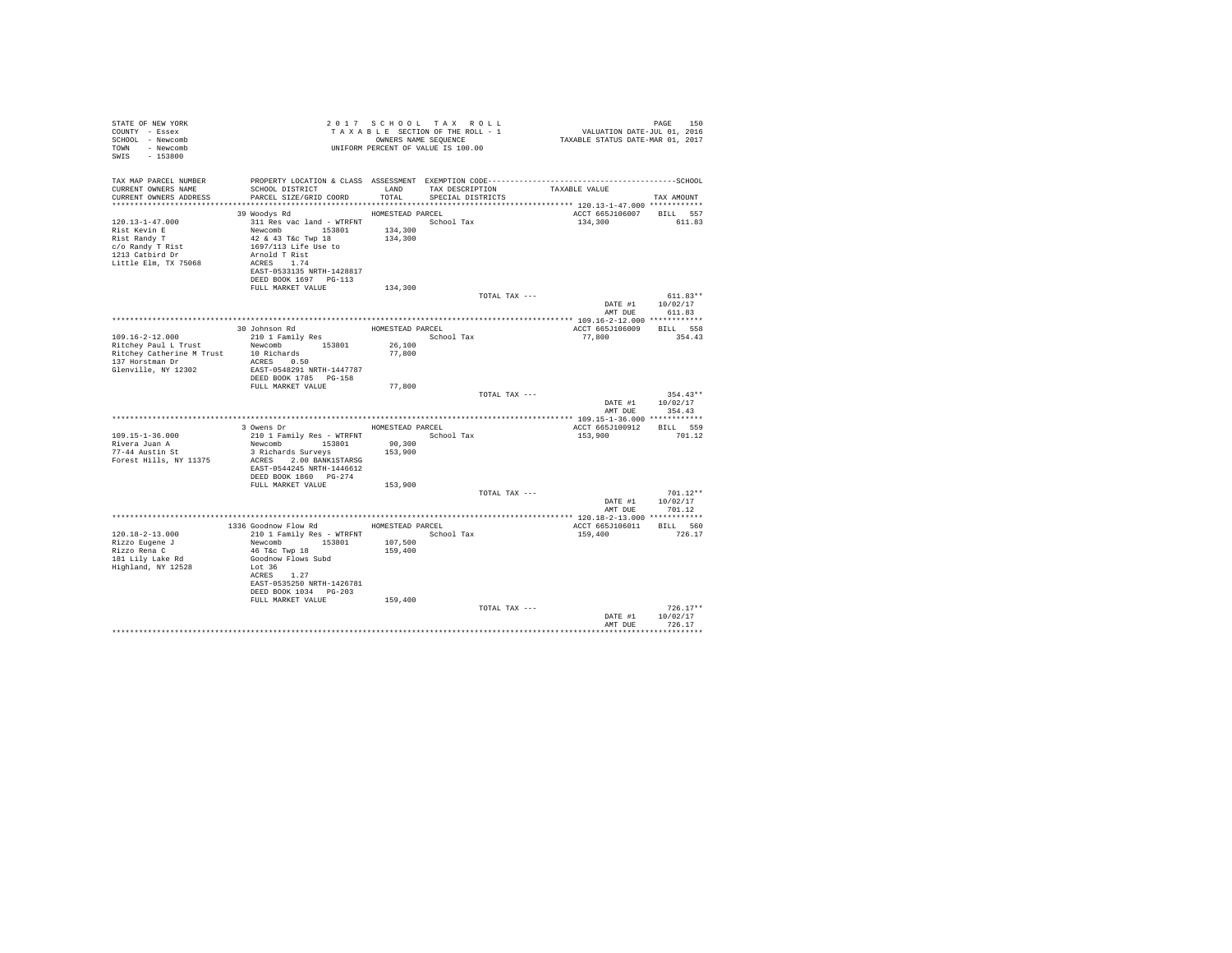| STATE OF NEW YORK<br>COUNTY - Essex<br>SCHOOL - Newcomb<br>TOWN - Newcomb<br>SWIS - 153800                           | OWNERS NAME SEQUENCE<br>UNIFORM PERCENT OF VALUE IS 100.00                                                                                                                                                                     |                                        | 2017 SCHOOL TAX ROLL<br>TAXABLE SECTION OF THE ROLL - 1<br>OWNERS NAME SEQUENCE |               | PAGE 150<br>VALUATION DATE-JUL 01, 2016<br>TAXABLE STATUS DATE-MAR 01, 2017 |                                          |
|----------------------------------------------------------------------------------------------------------------------|--------------------------------------------------------------------------------------------------------------------------------------------------------------------------------------------------------------------------------|----------------------------------------|---------------------------------------------------------------------------------|---------------|-----------------------------------------------------------------------------|------------------------------------------|
| TAX MAP PARCEL NUMBER<br>CURRENT OWNERS NAME<br>CURRENT OWNERS ADDRESS                                               | SCHOOL DISTRICT<br>PARCEL SIZE/GRID COORD                                                                                                                                                                                      | LAND<br>TOTAL                          | TAX DESCRIPTION<br>SPECIAL DISTRICTS                                            |               | TAXABLE VALUE                                                               | TAX AMOUNT                               |
| 120.13-1-47.000<br>Rist Kevin E<br>Rist Randy T<br>c/o Randy T Rist<br>1213 Catbird Dr<br>Little Elm, TX 75068       | 39 Woodys Rd<br>311 Res vac land - WTRFNT School Tax<br>Newcomb 153801<br>42 & 43 T&c Twp 18<br>1697/113 Life Use to<br>Arnold T Rist<br>ACRES 1.74<br>EAST-0533135 NRTH-1428817<br>DEED BOOK 1697 PG-113<br>FULL MARKET VALUE | HOMESTEAD PARCEL<br>134,300<br>134,300 |                                                                                 |               | ACCT 665J106007 BILL 557<br>134,300                                         | 611.83                                   |
|                                                                                                                      |                                                                                                                                                                                                                                | 134,300                                |                                                                                 | TOTAL TAX --- | AMT DUE                                                                     | $611.83**$<br>DATE #1 10/02/17<br>611.83 |
|                                                                                                                      |                                                                                                                                                                                                                                |                                        |                                                                                 |               |                                                                             |                                          |
| $109.16 - 2 - 12.000$<br>Ritchey Paul L Trust<br>Ritchey Catherine M Trust<br>137 Horstman Dr<br>Glenville, NY 12302 | 30 Johnson Rd<br>210 1 Family Res<br>Newcomb 153801<br>10 Richards<br>ACRES 0.50<br>EAST-0548291 NRTH-1447787<br>DEED BOOK 1785 PG-158<br>FULL MARKET VALUE                                                                    | HOMESTEAD PARCEL<br>26,100<br>77,800   | School Tax                                                                      |               | ACCT 665J106009 BILL 558<br>77,800                                          | 354.43                                   |
|                                                                                                                      |                                                                                                                                                                                                                                | 77,800                                 |                                                                                 | TOTAL TAX --- | AMT DUE                                                                     | $354.43**$<br>DATE #1 10/02/17<br>354.43 |
|                                                                                                                      |                                                                                                                                                                                                                                |                                        |                                                                                 |               |                                                                             |                                          |
| $109.15 - 1 - 36.000$<br>Rivera Juan A<br>Forest Hills, NY 11375                                                     | 3 Owens Dr<br>210 1 Family Res - WTRFNT<br>Newcomb 153801<br>3 Richards Surveys<br>ACRES 2.00 BANK1STARSG<br>EAST-0544245 NRTH-1446612<br>DEED BOOK 1860 PG-274                                                                | 90,300<br>153,900                      | HOMESTEAD PARCEL<br>School Tax                                                  |               | ACCT 665J100912 BILL 559<br>153,900                                         | 701.12                                   |
|                                                                                                                      | FULL MARKET VALUE                                                                                                                                                                                                              | 153,900                                |                                                                                 |               |                                                                             |                                          |
|                                                                                                                      |                                                                                                                                                                                                                                |                                        |                                                                                 | TOTAL TAX --- | DATE #1                                                                     | $701.12**$<br>10/02/17<br>AMT DUE 701.12 |
|                                                                                                                      |                                                                                                                                                                                                                                |                                        |                                                                                 |               |                                                                             |                                          |
| 120.18-2-13.000<br>Rizzo Eugene J<br>Rizzo Rena C<br>181 Lily Lake Rd<br>Highland, NY 12528                          | 1336 Goodnow Flow Rd HOMESTEAD PARCEL<br>210 1 Family Res - WTRFNT<br>Newcomb 153801<br>46 T&C Twp 18<br>Goodnow Flows Subd<br>Lot 36<br>ACRES 1.27<br>EAST-0535250 NRTH-1426781<br>DEED BOOK 1034 PG-203                      | 107,500<br>159,400                     | School Tax                                                                      |               | ACCT 665J106011 BILL 560<br>159,400                                         | 726.17                                   |
|                                                                                                                      | FULL MARKET VALUE                                                                                                                                                                                                              | 159,400                                |                                                                                 | TOTAL TAX --- | DATE #1<br>AMT DUE                                                          | $726.17**$<br>10/02/17<br>726.17         |
|                                                                                                                      |                                                                                                                                                                                                                                |                                        |                                                                                 |               |                                                                             |                                          |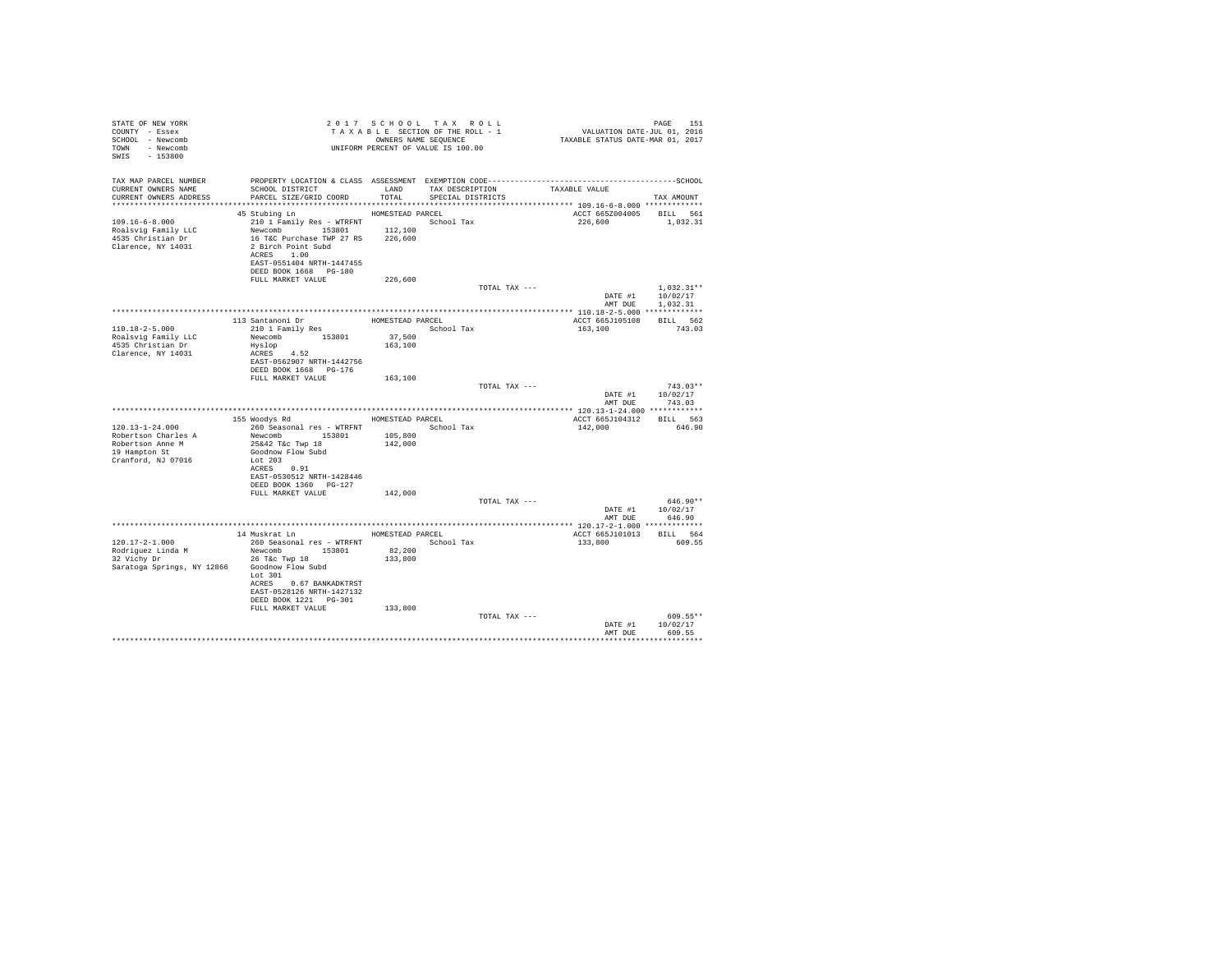| STATE OF NEW YORK<br>COUNTY - Essex<br>SCHOOL - Newcomb<br>TOWN - Newcomb<br>SWIS - 153800                         | Z U 1 / S C A C O C C A C C C C A C C C THE ROLL - 1<br>T A X A B L E SECTION OF THE ROLL - 1<br>OWNERS NAME SEQUENCE<br>UNIFORM PERCENT OF VALUE IS 100.00                                                         |                   |                                |               | PAGE 151<br>VALUATION DATE-JUL 01, 2016<br>TAXABLE STATUS DATE-MAR 01, 2017 |                                        |
|--------------------------------------------------------------------------------------------------------------------|---------------------------------------------------------------------------------------------------------------------------------------------------------------------------------------------------------------------|-------------------|--------------------------------|---------------|-----------------------------------------------------------------------------|----------------------------------------|
| CURRENT OWNERS NAME<br>CURRENT OWNERS ADDRESS                                                                      | SCHOOL DISTRICT           LAND     TAX DESCRIPTION       TAXABLE VALUE<br>PARCEL SIZE/GRID COORD                                                                                                                    | TOTAL             | SPECIAL DISTRICTS              |               |                                                                             | TAX AMOUNT                             |
| $109.16 - 6 - 8.000$<br>Roalsvig Family LLC<br>4535 Christian Dr<br>Clarence, NY 14031                             | 45 Stubing Ln MOMESTEAD PARCEL<br>210 1 Family Res - WTRFNT<br>Newcomb 153801 12,100<br>16 T&C Purchase TWP 27 RS 226,600<br>2 Birch Point Subd<br>ACRES 1.00<br>EAST-0551404 NRTH-1447455<br>DEED BOOK 1668 PG-180 | 226,600           | School Tax                     |               | ACCT 665Z004005 BILL 561<br>226,600 1,032.31                                |                                        |
|                                                                                                                    | FULL MARKET VALUE                                                                                                                                                                                                   |                   |                                | TOTAL TAX --- | DATE #1   10/02/17<br>AMT DUE 1,032.31                                      | $1,032.31**$                           |
|                                                                                                                    |                                                                                                                                                                                                                     |                   |                                |               |                                                                             |                                        |
| $110.18 - 2 - 5.000$                                                                                               | 113 Santanoni Dr<br>210 1 Family Res                                                                                                                                                                                |                   | HOMESTEAD PARCEL<br>School Tax |               | ACCT 665J105108 BILL 562<br>163,100                                         | 743.03                                 |
| Roalsvig Family LLC                                                                                                |                                                                                                                                                                                                                     | 37,500            |                                |               |                                                                             |                                        |
| 4535 Christian Dr<br>Clarence, NY 14031                                                                            | Newcomb<br>Newcomb<br>Hyslop<br>ACRES 4.52<br>EAST-0562907 NRTH-1442756                                                                                                                                             | 163,100           |                                |               |                                                                             |                                        |
|                                                                                                                    | DEED BOOK 1668 PG-176                                                                                                                                                                                               |                   |                                |               |                                                                             |                                        |
|                                                                                                                    | FULL MARKET VALUE                                                                                                                                                                                                   | 163,100           |                                |               |                                                                             |                                        |
|                                                                                                                    |                                                                                                                                                                                                                     |                   |                                | TOTAL TAX --- | DATE #1 $10/02/17$                                                          | $743.03**$<br>AMT DUE 743.03           |
|                                                                                                                    |                                                                                                                                                                                                                     |                   |                                |               |                                                                             |                                        |
|                                                                                                                    | 155 Woodys Rd<br>HOMESTEAD PARCEL                                                                                                                                                                                   |                   |                                |               | ACCT 665J104312 BILL 563                                                    |                                        |
| $120.13 - 1 - 24.000$                                                                                              | 260 Seasonal res - WTRFNT                                                                                                                                                                                           |                   | School Tax                     |               | 142,000 646.90                                                              |                                        |
| Robertson Charles A<br>Robertson Anne M                                                                            | Newcomb<br>153801 105,800<br>25&42 T&c Twp 18 142,000<br>Goodnow Flow Subd                                                                                                                                          |                   |                                |               |                                                                             |                                        |
| 19 Hampton St                                                                                                      |                                                                                                                                                                                                                     |                   |                                |               |                                                                             |                                        |
| Cranford, NJ 07016                                                                                                 | Lot 203<br>ACRES 0.91                                                                                                                                                                                               |                   |                                |               |                                                                             |                                        |
|                                                                                                                    | EAST-0530512 NRTH-1428446<br>DEED BOOK 1360 PG-127                                                                                                                                                                  |                   |                                |               |                                                                             |                                        |
|                                                                                                                    | FULL MARKET VALUE 142,000                                                                                                                                                                                           |                   |                                |               |                                                                             |                                        |
|                                                                                                                    |                                                                                                                                                                                                                     |                   |                                | TOTAL TAX --- |                                                                             | $646.90**$                             |
|                                                                                                                    |                                                                                                                                                                                                                     |                   |                                |               | AMT DUE                                                                     | DATE #1   10/02/17<br>646.90           |
|                                                                                                                    |                                                                                                                                                                                                                     |                   |                                |               |                                                                             |                                        |
|                                                                                                                    | 14 Muskrat Ln MOMESTEAD PARCEL                                                                                                                                                                                      |                   |                                |               | ACCT 665J101013 BILL 564                                                    |                                        |
| 120.17-2-1.000                                                                                                     |                                                                                                                                                                                                                     |                   |                                |               |                                                                             | 609.55                                 |
| Rodriguez Linda M<br>32 Vichy Dr<br>26 T&c Twp 18<br>26 T&c Twp 18<br>Saratoga Springs, NY 12866 Goodnow Flow Subd | Lot 301<br>ACRES 0.67 BANKADKTRST                                                                                                                                                                                   | 82,200<br>133,800 |                                |               |                                                                             |                                        |
|                                                                                                                    | EAST-0528126 NRTH-1427132<br>DEED BOOK 1221   PG-301                                                                                                                                                                |                   |                                |               |                                                                             |                                        |
|                                                                                                                    | FULL MARKET VALUE 133,800                                                                                                                                                                                           |                   |                                |               |                                                                             |                                        |
|                                                                                                                    |                                                                                                                                                                                                                     |                   |                                | TOTAL TAX --- | AMT DUE                                                                     | 609.55**<br>DATE #1 10/02/17<br>609.55 |
|                                                                                                                    |                                                                                                                                                                                                                     |                   |                                |               |                                                                             |                                        |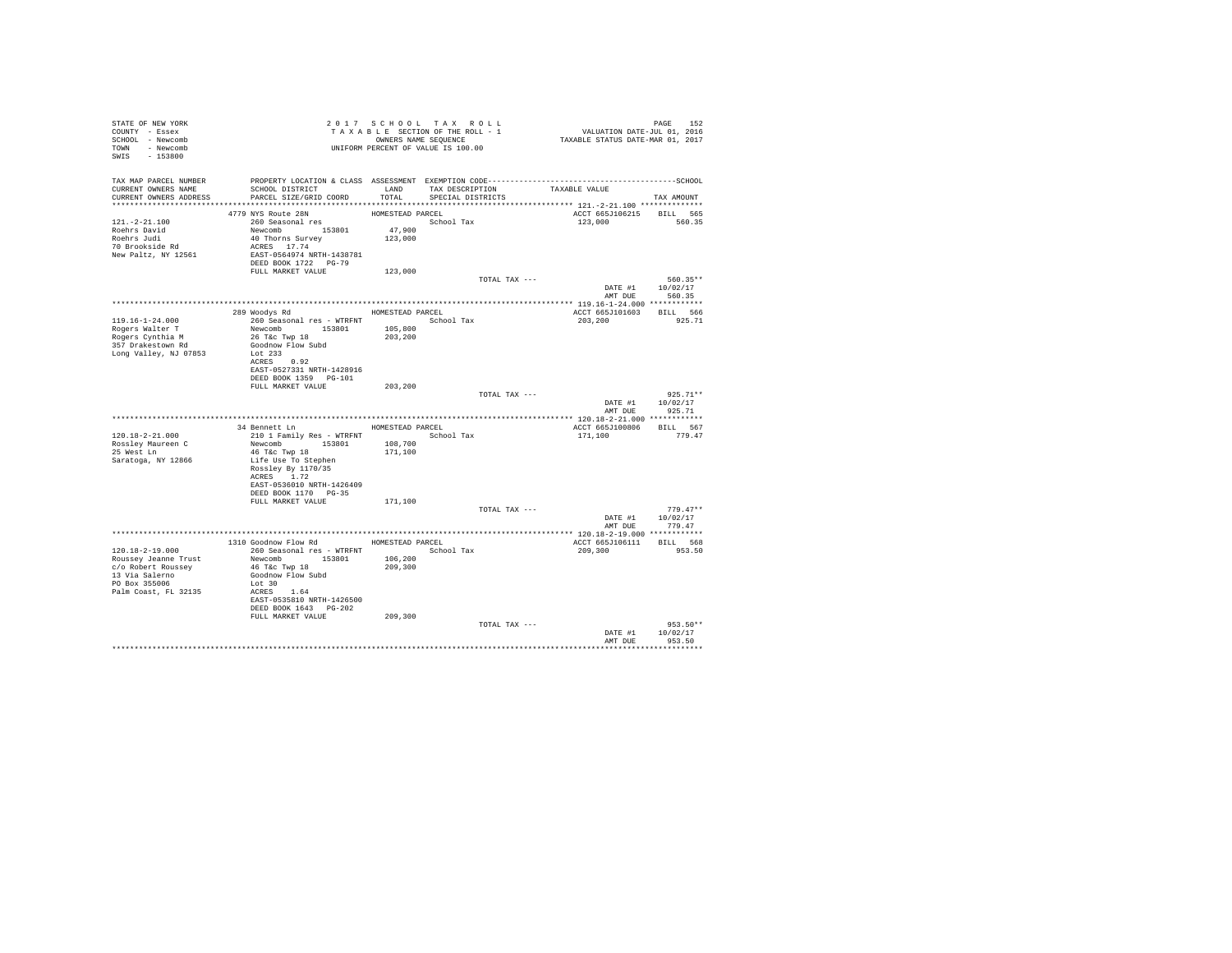| STATE OF NEW YORK                                | 2017 SUR SECTION OF THE ROLL - 1<br>TAXABLE SECTION OF THE ROLL - 1<br>OWNERS NAME SEQUENCE<br>UNIFORM PERCENT OF VALUE IS 100.00 |                   | 2017 SCHOOL TAX ROLL | PAGE 152<br>VALUATION DATE-JUL 01, 2016<br>TAXABLE STATUS DATE-MAR 01, 2017 |                |
|--------------------------------------------------|-----------------------------------------------------------------------------------------------------------------------------------|-------------------|----------------------|-----------------------------------------------------------------------------|----------------|
| COUNTY - Essex                                   |                                                                                                                                   |                   |                      |                                                                             |                |
| SCHOOL - Newcomb                                 |                                                                                                                                   |                   |                      |                                                                             |                |
| TOWN - Newcomb                                   |                                                                                                                                   |                   |                      |                                                                             |                |
| SWIS - 153800                                    |                                                                                                                                   |                   |                      |                                                                             |                |
|                                                  |                                                                                                                                   |                   |                      |                                                                             |                |
|                                                  |                                                                                                                                   |                   |                      |                                                                             |                |
| CURRENT OWNERS NAME                              | SCHOOL DISTRICT TAND TAX DESCRIPTION                                                                                              |                   |                      | TAXABLE VALUE                                                               |                |
| CURRENT OWNERS ADDRESS                           | PARCEL SIZE/GRID COORD                                                                                                            | TOTAL             | SPECIAL DISTRICTS    |                                                                             | TAX AMOUNT     |
|                                                  |                                                                                                                                   |                   |                      |                                                                             |                |
|                                                  | 4779 NYS Route 28N                                                                                                                | HOMESTEAD PARCEL  |                      | ACCT 665J106215 BILL 565                                                    |                |
| $121. - 2 - 21.100$                              | 260 Seasonal res                                                                                                                  |                   | School Tax           | 123,000 560.35                                                              |                |
|                                                  |                                                                                                                                   |                   |                      |                                                                             |                |
| Roehrs David<br>Roehrs Judi                      |                                                                                                                                   | 47,900<br>123,000 |                      |                                                                             |                |
| 70 Brookside Rd                                  | Newcomb<br>40 Thorns Survey<br>ACRES 17.74                                                                                        |                   |                      |                                                                             |                |
| New Paltz, NY 12561                              | EAST-0564974 NRTH-1438781                                                                                                         |                   |                      |                                                                             |                |
|                                                  | DEED BOOK 1722 PG-79                                                                                                              |                   |                      |                                                                             |                |
|                                                  | FULL MARKET VALUE                                                                                                                 | 123,000           |                      |                                                                             |                |
|                                                  |                                                                                                                                   |                   | TOTAL TAX ---        |                                                                             | 560.35**       |
|                                                  |                                                                                                                                   |                   |                      | DATE #1 10/02/17                                                            |                |
|                                                  |                                                                                                                                   |                   |                      |                                                                             | AMT DUE 560.35 |
|                                                  |                                                                                                                                   |                   |                      |                                                                             |                |
|                                                  | 289 Woodys Rd MOMESTEAD PARCEL                                                                                                    |                   |                      | ACCT 665J101603 BILL 566                                                    |                |
| $119.16 - 1 - 24.000$                            |                                                                                                                                   |                   | School Tax           | 203,200                                                                     | 925.71         |
| Rogers Walter T                                  | 260 Seasonal res - WTRFNT<br>Newcomb 153801 105,800<br>26 T&c Twp 18 203,200                                                      |                   |                      |                                                                             |                |
| Rogers Cynthia M<br>357 Drakestown Rd            |                                                                                                                                   |                   |                      |                                                                             |                |
|                                                  | Goodnow Flow Subd                                                                                                                 |                   |                      |                                                                             |                |
| Long Valley, NJ 07853                            | Lot 233                                                                                                                           |                   |                      |                                                                             |                |
|                                                  | ACRES 0.92                                                                                                                        |                   |                      |                                                                             |                |
|                                                  | EAST-0527331 NRTH-1428916                                                                                                         |                   |                      |                                                                             |                |
|                                                  | DEED BOOK 1359 PG-101<br>FULL MARKET VALUE                                                                                        | 203,200           |                      |                                                                             |                |
|                                                  |                                                                                                                                   |                   | TOTAL TAX ---        |                                                                             | $925.71**$     |
|                                                  |                                                                                                                                   |                   |                      | DATE #1 10/02/17                                                            |                |
|                                                  |                                                                                                                                   |                   |                      | AMT DUE                                                                     | 925.71         |
|                                                  |                                                                                                                                   |                   |                      |                                                                             |                |
|                                                  | 34 Bennett Ln HOMESTEAD PARCEL                                                                                                    |                   |                      | ACCT 665J100806 BILL 567                                                    |                |
| 120.18-2-21.000                                  |                                                                                                                                   |                   | School Tax           | 171,100                                                                     | 779.47         |
| Rossley Maureen C                                | 210 1 Family Res - WTRFNT<br>Newcomb 153801 108,700                                                                               |                   |                      |                                                                             |                |
| 25 West Ln                                       | 46 T&C Twp 18                                                                                                                     | 171,100           |                      |                                                                             |                |
| Saratoga, NY 12866                               | Life Use To Stephen                                                                                                               |                   |                      |                                                                             |                |
|                                                  | Rossley By 1170/35                                                                                                                |                   |                      |                                                                             |                |
|                                                  | ACRES 1.72                                                                                                                        |                   |                      |                                                                             |                |
|                                                  | EAST-0536010 NRTH-1426409                                                                                                         |                   |                      |                                                                             |                |
|                                                  | DEED BOOK 1170 PG-35                                                                                                              |                   |                      |                                                                             |                |
|                                                  | FULL MARKET VALUE                                                                                                                 | 171,100           |                      |                                                                             |                |
|                                                  |                                                                                                                                   |                   | TOTAL TAX ---        |                                                                             | $779.47**$     |
|                                                  |                                                                                                                                   |                   |                      | DATE #1 10/02/17                                                            |                |
|                                                  |                                                                                                                                   |                   |                      | AMT DUE                                                                     | 779.47         |
|                                                  | 1310 Goodnow Flow Rd MOMESTEAD PARCEL                                                                                             |                   |                      |                                                                             |                |
|                                                  |                                                                                                                                   |                   |                      | ACCT 665J106111 BILL 568                                                    |                |
| 120.18-2-19.000<br>Roussey Jeanne Trust          | 260 Seasonal res - WTRFNT               School Tax<br>Newcomb 153801 106,200                                                      |                   |                      | 209,300                                                                     | 953.50         |
| c/o Robert Roussey                               | 46 T&C Twp 18                                                                                                                     | 209,300           |                      |                                                                             |                |
|                                                  | Goodnow Flow Subd                                                                                                                 |                   |                      |                                                                             |                |
| 13 Via Salerno<br>PO Box 355006<br>PO Box 355006 | Lot 30                                                                                                                            |                   |                      |                                                                             |                |
| Palm Coast, FL 32135                             | ACRES 1.64                                                                                                                        |                   |                      |                                                                             |                |
|                                                  | EAST-0535810 NRTH-1426500                                                                                                         |                   |                      |                                                                             |                |
|                                                  | DEED BOOK 1643 PG-202                                                                                                             |                   |                      |                                                                             |                |
|                                                  | FULL MARKET VALUE                                                                                                                 | 209,300           |                      |                                                                             |                |
|                                                  |                                                                                                                                   |                   | TOTAL TAX ---        |                                                                             | $953.50**$     |
|                                                  |                                                                                                                                   |                   |                      | DATE #1                                                                     | 10/02/17       |
|                                                  |                                                                                                                                   |                   |                      | AMT DUR                                                                     | 953.50         |
|                                                  |                                                                                                                                   |                   |                      |                                                                             |                |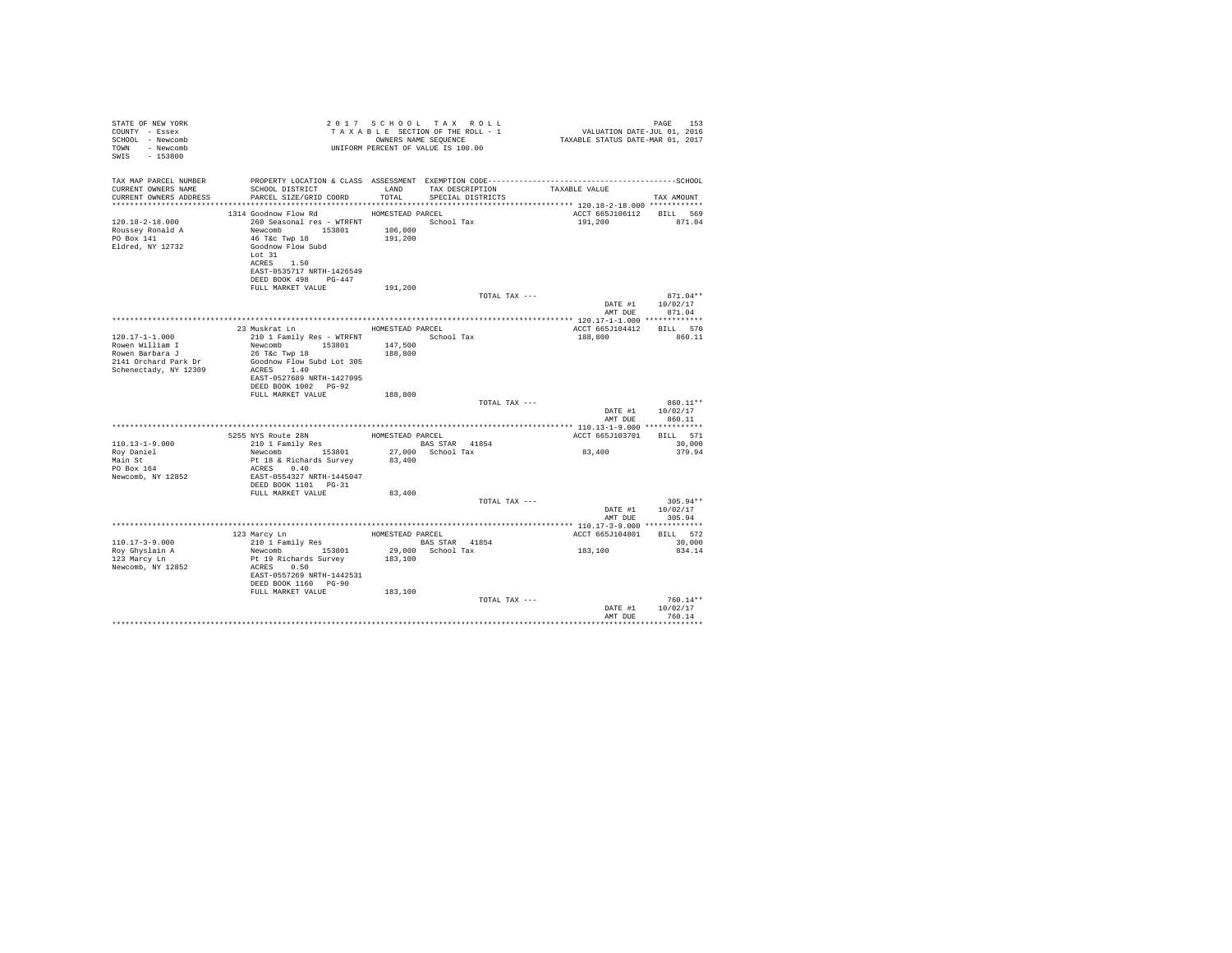| STATE OF NEW YORK<br>COUNTY - Essex<br>SCHOOL - Newcomb<br>TOWN - Newcomb<br>SWIS<br>$-153800$ |                                                                                                                                                                                                | 2017 SCHOOL TAX ROLL<br>OWNERS NAME SEOUENCE<br>UNIFORM PERCENT OF VALUE IS 100.00 |            | TAXABLE SECTION OF THE ROLL - 1      | PAGE 153<br>VALUATION DATE-JUL 01, 2016<br>TAXABLE STATUS DATE-MAR 01, 2017 | 153<br>PAGE                                      |
|------------------------------------------------------------------------------------------------|------------------------------------------------------------------------------------------------------------------------------------------------------------------------------------------------|------------------------------------------------------------------------------------|------------|--------------------------------------|-----------------------------------------------------------------------------|--------------------------------------------------|
| TAX MAP PARCEL NUMBER<br>CURRENT OWNERS NAME<br>CURRENT OWNERS ADDRESS                         | SCHOOL DISTRICT<br>PARCEL SIZE/GRID COORD TOTAL                                                                                                                                                | LAND                                                                               |            | TAX DESCRIPTION<br>SPECIAL DISTRICTS | TAXABLE VALUE                                                               | TAX AMOUNT                                       |
| $120.18 - 2 - 18.000$<br>Roussey Ronald A<br>PO Box 141<br>Eldred, NY 12732                    | 1314 Goodnow Flow Rd<br>260 Seasonal res - WTRFNT<br>Newcomb 153801 106,000<br>46 T&C Twp 18<br>Goodnow Flow Subd<br>Lot 31<br>ACRES 1.50<br>EAST-0535717 NRTH-1426549<br>DEED BOOK 498 PG-447 | HOMESTEAD PARCEL<br>191,200                                                        | School Tax |                                      | ACCT 665J106112 BILL 569<br>191,200                                         | 871.04                                           |
|                                                                                                | FULL MARKET VALUE                                                                                                                                                                              | 191,200                                                                            |            | TOTAL TAX ---                        |                                                                             | $871.04**$<br>DATE #1 10/02/17<br>AMT DUE 871.04 |
|                                                                                                |                                                                                                                                                                                                |                                                                                    |            |                                      |                                                                             |                                                  |
| $120.17 - 1 - 1.000$                                                                           | 23 Muskrat Ln<br>210 1 Family Res - WTRFNT School Tax                                                                                                                                          | HOMESTEAD PARCEL                                                                   |            |                                      | ACCT 665J104412<br>188,800                                                  | BILL 570<br>860.11                               |
| Rowen William I<br>Rowen Barbara J<br>2141 Orchard Park Dr<br>Schenectady, NY 12309            | Newcomb 153801<br>26 T&c Twp 18<br>Goodnow Flow Subd Lot 305<br>ACRES 1.40                                                                                                                     | 147,500<br>188,800                                                                 |            |                                      |                                                                             |                                                  |
|                                                                                                | EAST-0527689 NRTH-1427095<br>DEED BOOK 1002 PG-92<br>FULL MARKET VALUE                                                                                                                         | 188,800                                                                            |            |                                      |                                                                             |                                                  |
|                                                                                                |                                                                                                                                                                                                |                                                                                    |            | TOTAL TAX ---                        | DATE #1<br>AMT DUE                                                          | $860.11**$<br>10/02/17<br>860.11                 |
|                                                                                                |                                                                                                                                                                                                |                                                                                    |            |                                      |                                                                             |                                                  |
| $110.13 - 1 - 9.000$                                                                           | 5255 NYS Route 28N HOMESTEAD PARCEL<br>210 1 Family Res BAS ST                                                                                                                                 | BAS STAR 41854                                                                     |            |                                      | ACCT 665J103701 BILL 571                                                    | 30,000                                           |
| Rov Daniel<br>Main St<br>PO Box 164<br>Newcomb, NY 12852                                       | Newcomb 153801<br>Pt 18 & Richards Survey<br>ACRES 0.40<br>EAST-0554327 NRTH-1445047<br>DEED BOOK 1101 PG-31                                                                                   | 27,000 School Tax<br>83,400                                                        |            |                                      | 83,400                                                                      | 379.94                                           |
|                                                                                                | FULL MARKET VALUE                                                                                                                                                                              | 83,400                                                                             |            | TOTAL TAX ---                        |                                                                             | $305.94**$                                       |
|                                                                                                |                                                                                                                                                                                                |                                                                                    |            |                                      | AMT DUE                                                                     | DATE #1 10/02/17<br>305.94                       |
|                                                                                                |                                                                                                                                                                                                |                                                                                    |            |                                      |                                                                             |                                                  |
| $110.17 - 3 - 9.000$                                                                           | 123 Marcy Ln<br>210 1 Family Res                                                                                                                                                               | HOMESTEAD PARCEL<br><b>BAS STAR</b> 41854                                          |            |                                      | ACCT 665J104801                                                             | BILL 572<br>30,000                               |
| Roy Ghyslain A<br>123 Marcy Ln<br>Newcomb, NY 12852                                            | Newcomb 153801<br>Pt 19 Richards Survey<br>ACRES 0.50<br>EAST-0557269 NRTH-1442531<br>DEED BOOK 1160 PG-90                                                                                     | 29,000 School Tax<br>183,100                                                       |            |                                      | 183,100                                                                     | 834.14                                           |
|                                                                                                | FULL MARKET VALUE                                                                                                                                                                              | 183,100                                                                            |            | TOTAL TAX ---                        | DATE #1                                                                     | $760.14**$<br>10/02/17<br>760.14                 |
|                                                                                                |                                                                                                                                                                                                |                                                                                    |            |                                      | AMT DUE                                                                     |                                                  |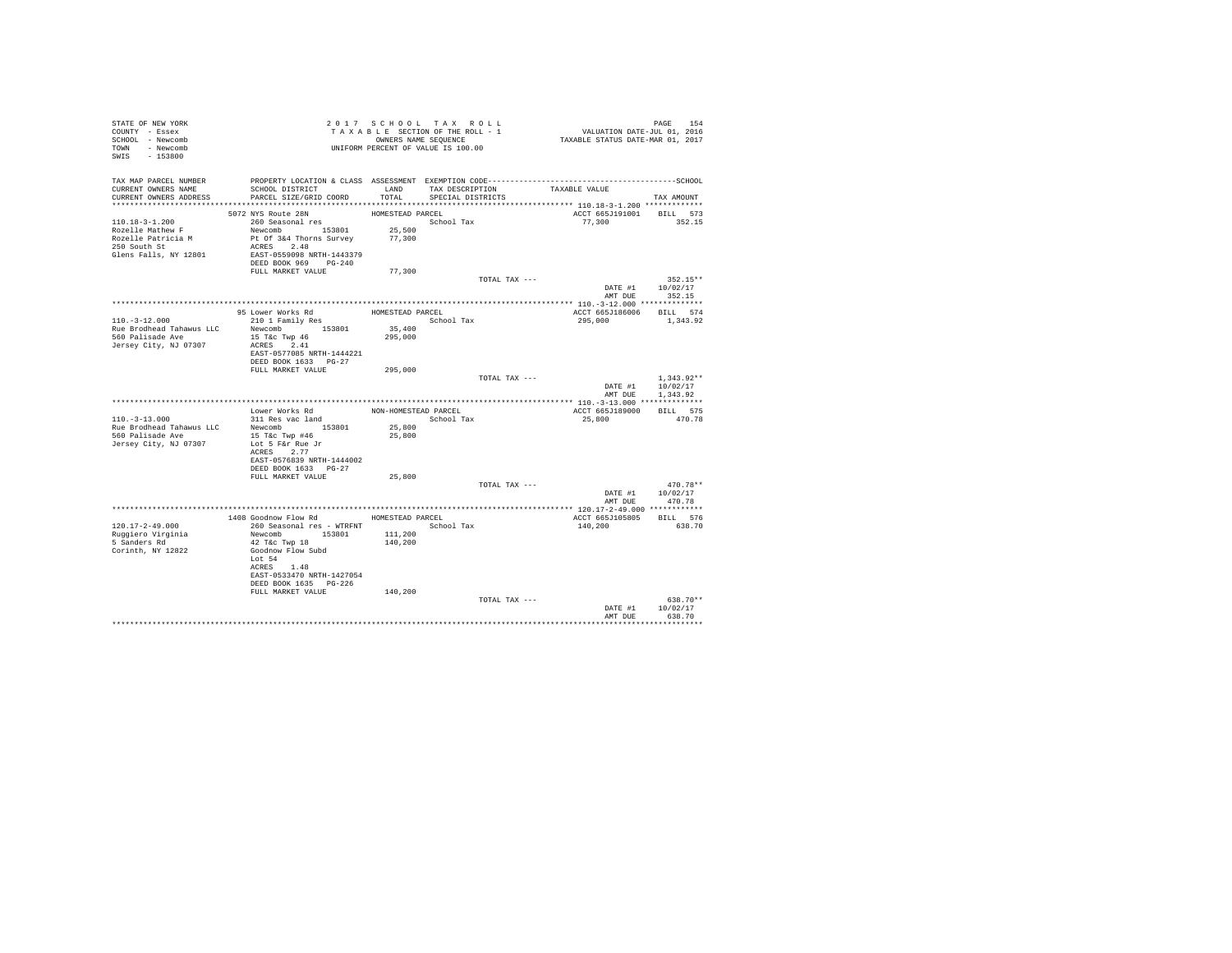| STATE OF NEW YORK<br>COUNTY - Essex<br>SCHOOL - Newcomb<br>TOWN - Newcomb<br>SWIS - 153800        | UNIFORM PERCENT OF VALUE IS 100.00                                                                                                                            | 2017 SCHOOL TAX ROLL<br>TAXABLE SECTION OF THE ROLL - 1<br>OWNERS NAME SEQUENCE |                                           |               | PAGE 154<br>VALUATION DATE-JUL 01, 2016<br>TAXABLE STATUS DATE-MAR 01, 2017 |                                                      |  |  |
|---------------------------------------------------------------------------------------------------|---------------------------------------------------------------------------------------------------------------------------------------------------------------|---------------------------------------------------------------------------------|-------------------------------------------|---------------|-----------------------------------------------------------------------------|------------------------------------------------------|--|--|
| TAX MAP PARCEL NUMBER<br>CURRENT OWNERS NAME<br>CURRENT OWNERS ADDRESS                            | PROPERTY LOCATION & CLASS ASSESSMENT EXEMPTION CODE-----------------------------------SCHOOL<br>SCHOOL DISTRICT<br>PARCEL SIZE/GRID COORD                     | TOTAL                                                                           | LAND TAX DESCRIPTION<br>SPECIAL DISTRICTS |               | TAXABLE VALUE                                                               | TAX AMOUNT                                           |  |  |
|                                                                                                   |                                                                                                                                                               |                                                                                 |                                           |               |                                                                             |                                                      |  |  |
| 110.18-3-1.200<br>Rozelle Mathew F<br>Rozelle Patricia M<br>250 South St<br>Glens Falls, NY 12801 | 5072 NYS Route 28N<br>260 Seasonal res<br>Newcomb 153801<br>Pt Of 3&4 Thorns Survey 77,300<br>ACRES 2.48<br>EAST-0559098 NRTH-1443379<br>DEED BOOK 969 PG-240 | HOMESTEAD PARCEL<br>School Tax<br>25,500                                        |                                           |               | ACCT 665J191001 BILL 573<br>77,300                                          | 352.15                                               |  |  |
|                                                                                                   | FULL MARKET VALUE                                                                                                                                             | 77,300                                                                          |                                           |               |                                                                             |                                                      |  |  |
|                                                                                                   |                                                                                                                                                               |                                                                                 |                                           | TOTAL TAX --- | AMT DUE                                                                     | $352.15**$<br>DATE #1 10/02/17<br>352.15             |  |  |
|                                                                                                   |                                                                                                                                                               |                                                                                 |                                           |               |                                                                             |                                                      |  |  |
| $110. - 3 - 12.000$<br>Rue Brodhead Tahawus LLC                                                   | 95 Lower Works Rd<br>210 1 Family Res<br>Newcomb 153801                                                                                                       | HOMESTEAD PARCEL<br>35,400                                                      | School Tax                                |               | ACCT 665J186006 BILL 574<br>295,000                                         | 1,343.92                                             |  |  |
| 560 Palisade Ave<br>Jersey City, NJ 07307                                                         | 15 T&c Twp 46<br>ACRES 2.41<br>EAST-0577085 NRTH-1444221<br>DEED BOOK 1633 PG-27                                                                              | 295,000                                                                         |                                           |               |                                                                             |                                                      |  |  |
|                                                                                                   | FULL MARKET VALUE                                                                                                                                             | 295,000                                                                         |                                           |               |                                                                             |                                                      |  |  |
|                                                                                                   |                                                                                                                                                               |                                                                                 |                                           | TOTAL TAX --- |                                                                             | $1.343.92**$<br>DATE #1 10/02/17<br>AMT DUE 1.343.92 |  |  |
|                                                                                                   |                                                                                                                                                               |                                                                                 |                                           |               |                                                                             |                                                      |  |  |
|                                                                                                   | Lower Works Rd                                                                                                                                                | NON-HOMESTEAD PARCEL                                                            |                                           |               | ACCT 665J189000                                                             | BILL 575                                             |  |  |
| $110.-3-13.000$                                                                                   | 311 Res vac land                                                                                                                                              |                                                                                 | School Tax                                |               | 25,800                                                                      | 470.78                                               |  |  |
| Rue Brodhead Tahawus LLC<br>560 Palisade Ave                                                      | Newcomb 153801<br>15 T&c Twp #46<br>Lot 5 F&r Rue Jr                                                                                                          | 25,800<br>25,800                                                                |                                           |               |                                                                             |                                                      |  |  |
| Jersey City, NJ 07307                                                                             | ACRES 2.77<br>EAST-0576839 NRTH-1444002                                                                                                                       |                                                                                 |                                           |               |                                                                             |                                                      |  |  |
|                                                                                                   | DEED BOOK 1633 PG-27                                                                                                                                          |                                                                                 |                                           |               |                                                                             |                                                      |  |  |
|                                                                                                   | FULL MARKET VALUE                                                                                                                                             | 25,800                                                                          |                                           |               |                                                                             |                                                      |  |  |
|                                                                                                   |                                                                                                                                                               |                                                                                 |                                           | TOTAL TAX --- | AMT DUE                                                                     | 470.78**<br>DATE #1 10/02/17<br>470.78               |  |  |
|                                                                                                   |                                                                                                                                                               |                                                                                 |                                           |               |                                                                             |                                                      |  |  |
|                                                                                                   | 1408 Goodnow Flow Rd                                                                                                                                          | HOMESTEAD PARCEL                                                                |                                           |               | ACCT 665J105805 BILL 576                                                    |                                                      |  |  |
| 120.17-2-49.000<br>Ruggiero Virginia<br>5 Sanders Rd<br>Corinth, NY 12822                         | 260 Seasonal res - WTRFNT<br>Newcomb 153801<br>42 T&C Twp 18<br>Goodnow Flow Subd<br>Lot 54                                                                   | 111,200<br>140,200                                                              | School Tax                                |               | 140,200                                                                     | 638.70                                               |  |  |
|                                                                                                   | ACRES 1.48<br>EAST-0533470 NRTH-1427054<br>DEED BOOK 1635 PG-226<br>FULL MARKET VALUE                                                                         | 140,200                                                                         |                                           |               |                                                                             |                                                      |  |  |
|                                                                                                   |                                                                                                                                                               |                                                                                 |                                           | TOTAL TAX --- | DATE #1<br>AMT DUE                                                          | 638.70**<br>10/02/17<br>638.70                       |  |  |
|                                                                                                   |                                                                                                                                                               |                                                                                 |                                           |               |                                                                             |                                                      |  |  |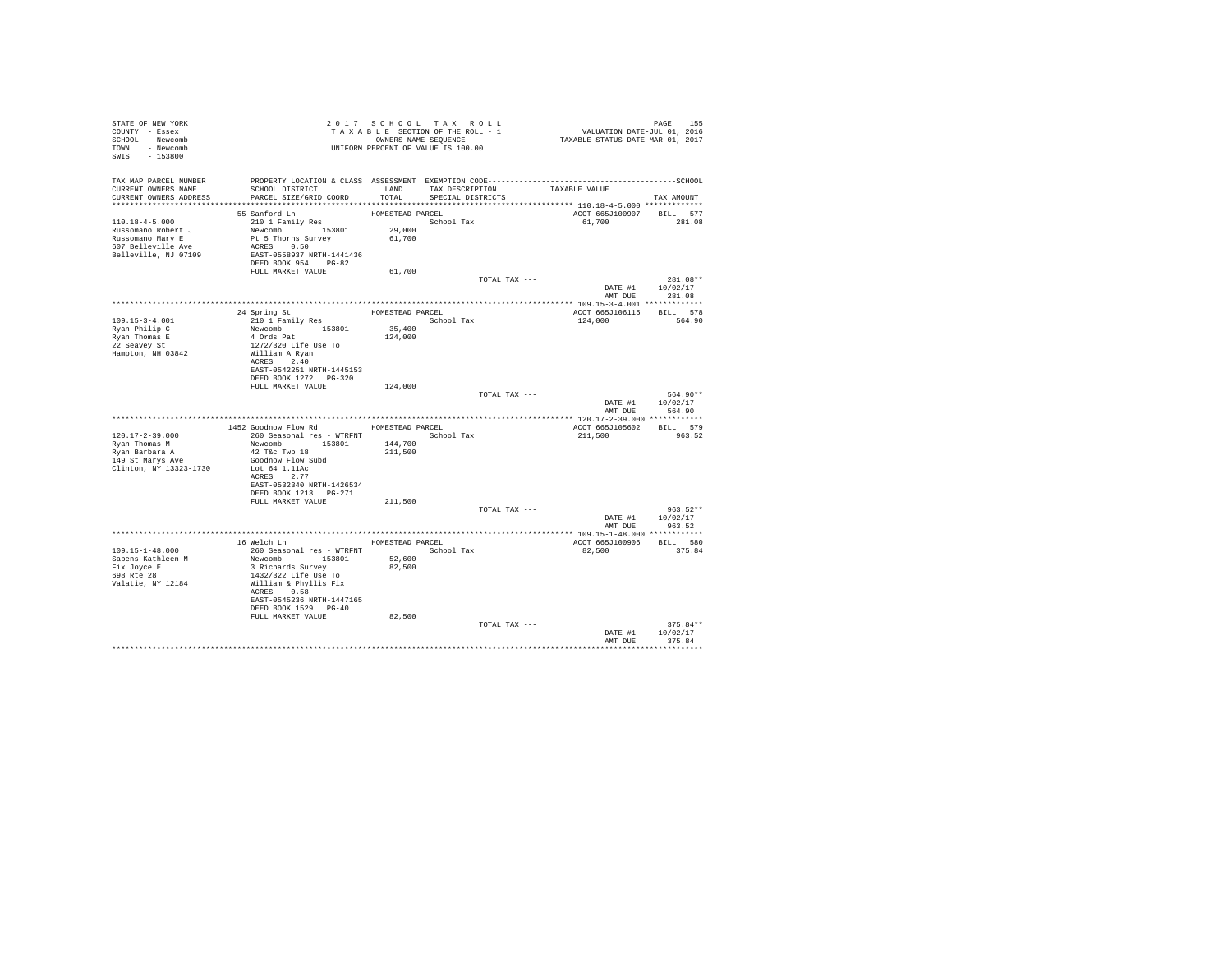| STATE OF NEW YORK                                            |                                                                                                                    |                   | 2017 SCHOOL TAX ROLL            | PAGE 155<br>VALUATION DATE-JUL 01, 2016<br>TAXABLE STATUS DATE-MAR 01, 2017 |                    |
|--------------------------------------------------------------|--------------------------------------------------------------------------------------------------------------------|-------------------|---------------------------------|-----------------------------------------------------------------------------|--------------------|
| COUNTY - Essex                                               |                                                                                                                    |                   | TAXABLE SECTION OF THE ROLL - 1 |                                                                             |                    |
| SCHOOL - Newcomb                                             |                                                                                                                    |                   | OWNERS NAME SEQUENCE            |                                                                             |                    |
| TOWN - Newcomb                                               | UNIFORM PERCENT OF VALUE IS 100.00                                                                                 |                   |                                 |                                                                             |                    |
| SWIS - 153800                                                |                                                                                                                    |                   |                                 |                                                                             |                    |
|                                                              |                                                                                                                    |                   |                                 |                                                                             |                    |
|                                                              |                                                                                                                    |                   |                                 |                                                                             |                    |
|                                                              | TAX MAP PARCEL NUMBER PROPERTY LOCATION & CLASS ASSESSMENT EXEMPTION CODE-----------------------------------SCHOOL |                   |                                 |                                                                             |                    |
| CURRENT OWNERS NAME                                          | SCHOOL DISTRICT TAND TAX DESCRIPTION                                                                               |                   |                                 | TAXABLE VALUE                                                               |                    |
| CURRENT OWNERS ADDRESS                                       | PARCEL SIZE/GRID COORD                                                                                             | TOTAL             | SPECIAL DISTRICTS               |                                                                             | TAX AMOUNT         |
|                                                              |                                                                                                                    |                   |                                 |                                                                             |                    |
|                                                              | 55 Sanford Ln                                                                                                      | HOMESTEAD PARCEL  |                                 | ACCT 665J100907 BILL 577                                                    |                    |
| $110.18 - 4 - 5.000$                                         | 210 1 Family Res<br>Newcomb 153801                                                                                 |                   | School Tax                      | 61,700 281.08                                                               |                    |
|                                                              |                                                                                                                    | 29,000            |                                 |                                                                             |                    |
| Russomano Robert J<br>Russomano Mary E<br>607 Belleville Ave | Pt 5 Thorns Survey                                                                                                 | 61,700            |                                 |                                                                             |                    |
|                                                              | ACRES 0.50                                                                                                         |                   |                                 |                                                                             |                    |
| Belleville, NJ 07109                                         | EAST-0558937 NRTH-1441436                                                                                          |                   |                                 |                                                                             |                    |
|                                                              | DEED BOOK 954 PG-82                                                                                                |                   |                                 |                                                                             |                    |
|                                                              | FULL MARKET VALUE                                                                                                  | 61,700            |                                 |                                                                             |                    |
|                                                              |                                                                                                                    |                   | TOTAL TAX ---                   |                                                                             | 281.08**           |
|                                                              |                                                                                                                    |                   |                                 |                                                                             | DATE #1   10/02/17 |
|                                                              |                                                                                                                    |                   |                                 |                                                                             | AMT DUE 281.08     |
|                                                              |                                                                                                                    |                   |                                 |                                                                             |                    |
|                                                              | 24 Spring St                                                                                                       | HOMESTEAD PARCEL  |                                 | ACCT 665J106115 BILL 578                                                    |                    |
| $109.15 - 3 - 4.001$                                         |                                                                                                                    |                   | School Tax                      | 124,000                                                                     | 564.90             |
|                                                              |                                                                                                                    |                   |                                 |                                                                             |                    |
| Ryan Philip C<br>Ryan Thomas E<br>22 Seavey St               | 210 1 Family Res<br>Newcomb 153801<br>4 Ords Pat<br>1272.226 -                                                     | 35,400<br>124,000 |                                 |                                                                             |                    |
|                                                              | 1272/320 Life Use To                                                                                               |                   |                                 |                                                                             |                    |
| Hampton, NH 03842                                            | William A Rvan                                                                                                     |                   |                                 |                                                                             |                    |
|                                                              | ACRES 2.40                                                                                                         |                   |                                 |                                                                             |                    |
|                                                              | EAST-0542251 NRTH-1445153                                                                                          |                   |                                 |                                                                             |                    |
|                                                              | DEED BOOK 1272 PG-320                                                                                              |                   |                                 |                                                                             |                    |
|                                                              | FULL MARKET VALUE                                                                                                  | 124,000           |                                 |                                                                             |                    |
|                                                              |                                                                                                                    |                   | TOTAL TAX ---                   |                                                                             | 564.90**           |
|                                                              |                                                                                                                    |                   |                                 |                                                                             | DATE #1 10/02/17   |
|                                                              |                                                                                                                    |                   |                                 | AMT DUE                                                                     | 564.90             |
|                                                              |                                                                                                                    |                   |                                 |                                                                             |                    |
|                                                              | 1452 Goodnow Flow Rd HOMESTEAD PARCEL                                                                              |                   |                                 | ACCT 665J105602 BILL 579                                                    |                    |
| $120.17 - 2 - 39.000$                                        | 260 Seasonal res - WTRFNT                                                                                          |                   | School Tax                      | 211,500                                                                     | 963.52             |
| Ryan Thomas M                                                |                                                                                                                    |                   |                                 |                                                                             |                    |
| Ryan Barbara A                                               | Newcomb 153801 144,700<br>42 T&c Twp 18 211,500                                                                    |                   |                                 |                                                                             |                    |
| 149 St Marys Ave                                             | Goodnow Flow Subd                                                                                                  |                   |                                 |                                                                             |                    |
| Clinton, NY 13323-1730                                       | Lot 64 1.11Ac                                                                                                      |                   |                                 |                                                                             |                    |
|                                                              | ACRES 2.77                                                                                                         |                   |                                 |                                                                             |                    |
|                                                              | EAST-0532340 NRTH-1426534                                                                                          |                   |                                 |                                                                             |                    |
|                                                              | DEED BOOK 1213 PG-271                                                                                              |                   |                                 |                                                                             |                    |
|                                                              | FULL MARKET VALUE                                                                                                  | 211,500           |                                 |                                                                             |                    |
|                                                              |                                                                                                                    |                   | TOTAL TAX ---                   |                                                                             | $963.52**$         |
|                                                              |                                                                                                                    |                   |                                 |                                                                             |                    |
|                                                              |                                                                                                                    |                   |                                 |                                                                             | DATE #1 10/02/17   |
|                                                              |                                                                                                                    |                   |                                 | AMT DUE                                                                     | 963.52             |
|                                                              |                                                                                                                    |                   |                                 |                                                                             |                    |
|                                                              | 16 Welch Ln MOMESTEAD PARCEL                                                                                       |                   |                                 | ACCT 665J100906 BILL 580                                                    |                    |
| $109.15 - 1 - 48.000$                                        | 260 Seasonal res - WTRFNT<br>Newcomb 153801 52,600                                                                 |                   | School Tax                      | 82,500                                                                      | 375.84             |
| Sabens Kathleen M                                            |                                                                                                                    |                   |                                 |                                                                             |                    |
| Fix Joyce E<br>698 Rte 28                                    | 3 Richards Survey                                                                                                  | 82,500            |                                 |                                                                             |                    |
|                                                              | 1432/322 Life Use To                                                                                               |                   |                                 |                                                                             |                    |
| Valatie, NY 12184                                            | William & Phyllis Fix                                                                                              |                   |                                 |                                                                             |                    |
|                                                              | ACRES 0.58                                                                                                         |                   |                                 |                                                                             |                    |
|                                                              | EAST-0545236 NRTH-1447165                                                                                          |                   |                                 |                                                                             |                    |
|                                                              | DEED BOOK 1529 PG-40                                                                                               |                   |                                 |                                                                             |                    |
|                                                              | FULL MARKET VALUE                                                                                                  | 82,500            |                                 |                                                                             |                    |
|                                                              |                                                                                                                    |                   | TOTAL TAX ---                   |                                                                             | $375.84**$         |
|                                                              |                                                                                                                    |                   |                                 |                                                                             |                    |
|                                                              |                                                                                                                    |                   |                                 | DATE #1                                                                     | 10/02/17           |
|                                                              |                                                                                                                    |                   |                                 | AMT DUR                                                                     | 375.84             |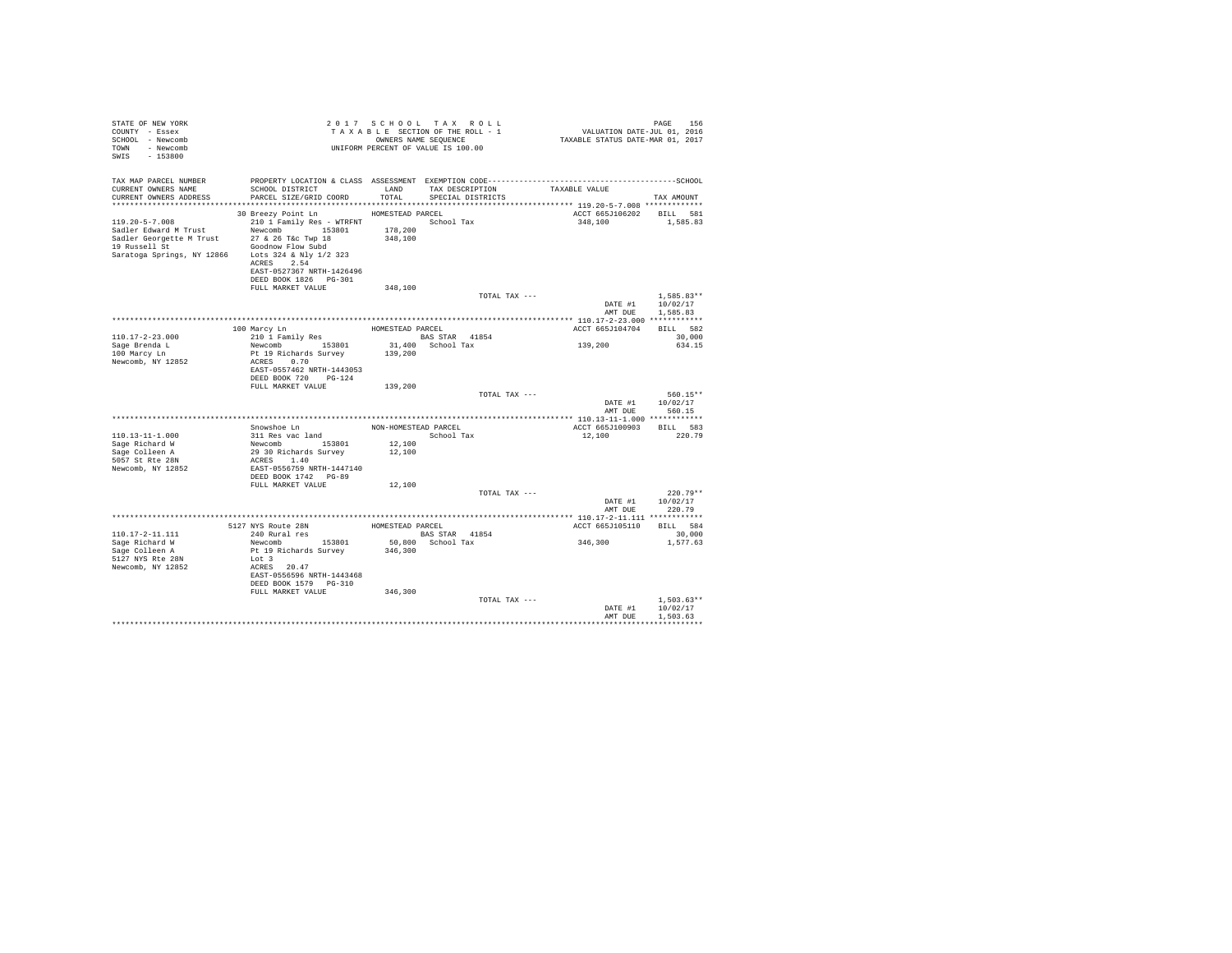| STATE OF NEW YORK<br>COUNTY - Essex<br>SCHOOL - Newcomb<br>TOWN - Newcomb<br>SWIS - 153800                                                                                        |                                                                                                                                                                                                                                                                                                                                                                                                                                              |               | 2017 SCHOOL TAX ROLL<br>TAXABLE SECTION OF THE ROLL - 1<br>OWNERS NAME SEOUENCE<br>UNIFORM PERCENT OF VALUE IS 100.00 |               | PAGE 156<br>2016 VALUATION DATE-JUL<br>2017 TAXABLE STATUS DATE-MAR | PAGE<br>156                          |  |
|-----------------------------------------------------------------------------------------------------------------------------------------------------------------------------------|----------------------------------------------------------------------------------------------------------------------------------------------------------------------------------------------------------------------------------------------------------------------------------------------------------------------------------------------------------------------------------------------------------------------------------------------|---------------|-----------------------------------------------------------------------------------------------------------------------|---------------|---------------------------------------------------------------------|--------------------------------------|--|
| TAX MAP PARCEL NUMBER<br>CURRENT OWNERS NAME<br>CURRENT OWNERS ADDRESS                                                                                                            | SCHOOL DISTRICT<br>PARCEL SIZE/GRID COORD                                                                                                                                                                                                                                                                                                                                                                                                    | LAND<br>TOTAL | TAX DESCRIPTION<br>SPECIAL DISTRICTS                                                                                  |               | TAXABLE VALUE                                                       | TAX AMOUNT                           |  |
| $119.20 - 5 - 7.008$<br>Sadler Edward M Trust Mewcomb 153801<br>Sadler Georgette M Trust 27 & 26 T&c Twp 18<br>19 Russell St<br>Saratoga Springs, NY 12866 Lots 324 & Nly 1/2 323 | 30 Breezy Point Ln HOMESTEAD PARCEL<br>210 1 Family Res - WTRFNT             School Tax<br>Newcomb 153801 178,200<br>27 & 26 T&c Twp 18 348,100<br>Goodnow Flow Subd<br>ACRES 2.54<br>EAST-0527367 NRTH-1426496<br>DEED BOOK 1826 PG-301                                                                                                                                                                                                     |               |                                                                                                                       |               | ACCT 665J106202 BILL 581<br>348,100                                 | 1,585.83                             |  |
|                                                                                                                                                                                   | FULL MARKET VALUE                                                                                                                                                                                                                                                                                                                                                                                                                            | 348,100       |                                                                                                                       | TOTAL TAX --- | DATE #1<br>AMT DUE                                                  | $1.585.83**$<br>10/02/17<br>1,585.83 |  |
|                                                                                                                                                                                   |                                                                                                                                                                                                                                                                                                                                                                                                                                              |               |                                                                                                                       |               |                                                                     |                                      |  |
|                                                                                                                                                                                   |                                                                                                                                                                                                                                                                                                                                                                                                                                              |               |                                                                                                                       |               | ACCT 665J104704                                                     | BILL 582                             |  |
| $110.17 - 2 - 23.000$                                                                                                                                                             | ${\small \begin{tabular}{lcl} 100 Marcy In \\ 210 1 Family Res \end{tabular}} {\small \begin{tabular}{lcl} HOMESTEAD PARCEL \\ BAS STAR \end{tabular}} \end{tabular}} \begin{tabular}{lcl} 100 MorSTEAD & & & & \\ 210 1 & Family Res & & & \\ 1 & 1 & & & \\ 1 & 1 & & \\ 1 & 1 & & \\ 1 & 1 & & \\ 1 & 1 & & \\ 1 & 1 & & \\ 1 & 1 & & \\ 1 & 1 & & \\ 1 & 1 & & \\ 1 & 1 & & \\ 1 & 1 & & \\ 1 & 1 & & \\ 1 & 1 & & \\ 1 & 1 & & \\ 1 & $ |               |                                                                                                                       |               |                                                                     | 30,000                               |  |
| Sage Brenda L                                                                                                                                                                     | Newcomb 153801                                                                                                                                                                                                                                                                                                                                                                                                                               |               | 31,400 School Tax                                                                                                     |               | 139,200                                                             | 634.15                               |  |
| 100 Marcy Ln                                                                                                                                                                      | Pt 19 Richards Survey                                                                                                                                                                                                                                                                                                                                                                                                                        | 139,200       |                                                                                                                       |               |                                                                     |                                      |  |
| Newcomb, NY 12852                                                                                                                                                                 | ACRES 0.70<br>EAST-0557462 NRTH-1443053<br>DEED BOOK 720 PG-124                                                                                                                                                                                                                                                                                                                                                                              |               |                                                                                                                       |               |                                                                     |                                      |  |
|                                                                                                                                                                                   | FULL MARKET VALUE                                                                                                                                                                                                                                                                                                                                                                                                                            | 139,200       |                                                                                                                       |               |                                                                     |                                      |  |
|                                                                                                                                                                                   |                                                                                                                                                                                                                                                                                                                                                                                                                                              |               |                                                                                                                       | TOTAL TAX --- | DATE #1<br>AMT DUE                                                  | 560.15**<br>10/02/17<br>560.15       |  |
|                                                                                                                                                                                   |                                                                                                                                                                                                                                                                                                                                                                                                                                              |               |                                                                                                                       |               |                                                                     |                                      |  |
|                                                                                                                                                                                   | Snowshoe Ln NON-HOMESTEAD PARCEL                                                                                                                                                                                                                                                                                                                                                                                                             |               |                                                                                                                       |               | ACCT 665J100903 BILL 583                                            |                                      |  |
| $110.13 - 11 - 1.000$                                                                                                                                                             | 311 Res vac land                                                                                                                                                                                                                                                                                                                                                                                                                             |               | School Tax                                                                                                            |               | 12,100                                                              | 220.79                               |  |
| Sage Richard W                                                                                                                                                                    | Newcomb 153801<br>29 30 Richards Survey                                                                                                                                                                                                                                                                                                                                                                                                      | 12,100        |                                                                                                                       |               |                                                                     |                                      |  |
| Sage Colleen A                                                                                                                                                                    |                                                                                                                                                                                                                                                                                                                                                                                                                                              | 12,100        |                                                                                                                       |               |                                                                     |                                      |  |
| 5057 St Rte 28N<br>Newcomb, NY 12852                                                                                                                                              | ACRES 1.40<br>EAST-0556759 NRTH-1447140<br>DEED BOOK 1742 PG-89                                                                                                                                                                                                                                                                                                                                                                              |               |                                                                                                                       |               |                                                                     |                                      |  |
|                                                                                                                                                                                   | FULL MARKET VALUE                                                                                                                                                                                                                                                                                                                                                                                                                            | 12,100        |                                                                                                                       |               |                                                                     |                                      |  |
|                                                                                                                                                                                   |                                                                                                                                                                                                                                                                                                                                                                                                                                              |               |                                                                                                                       | TOTAL TAX --- |                                                                     | $220.79**$                           |  |
|                                                                                                                                                                                   |                                                                                                                                                                                                                                                                                                                                                                                                                                              |               |                                                                                                                       |               | DATE #1                                                             | 10/02/17                             |  |
|                                                                                                                                                                                   |                                                                                                                                                                                                                                                                                                                                                                                                                                              |               |                                                                                                                       |               | AMT DUE                                                             | 220.79                               |  |
|                                                                                                                                                                                   |                                                                                                                                                                                                                                                                                                                                                                                                                                              |               |                                                                                                                       |               |                                                                     |                                      |  |
|                                                                                                                                                                                   | 5127 NYS Route 28N HOMESTEAD PARCEL<br>240 Rural res                                                                                                                                                                                                                                                                                                                                                                                         |               |                                                                                                                       |               | ACCT 665J105110 BILL 584                                            |                                      |  |
| 110.17-2-11.111                                                                                                                                                                   | 240 Rural res                                                                                                                                                                                                                                                                                                                                                                                                                                |               | <b>BAS STAR</b> 41854                                                                                                 |               |                                                                     | 30,000                               |  |
| Sage Richard W                                                                                                                                                                    | Newcomb 153801                                                                                                                                                                                                                                                                                                                                                                                                                               |               | 50,800 School Tax                                                                                                     |               | 346,300                                                             | 1,577.63                             |  |
| Sage Colleen A                                                                                                                                                                    | Pt 19 Richards Survey                                                                                                                                                                                                                                                                                                                                                                                                                        | 346,300       |                                                                                                                       |               |                                                                     |                                      |  |
| 5127 NYS Rte 28N                                                                                                                                                                  | Lot 3                                                                                                                                                                                                                                                                                                                                                                                                                                        |               |                                                                                                                       |               |                                                                     |                                      |  |
| Newcomb, NY 12852                                                                                                                                                                 | ACRES 20.47<br>EAST-0556596 NRTH-1443468<br>DEED BOOK 1579 PG-310                                                                                                                                                                                                                                                                                                                                                                            |               |                                                                                                                       |               |                                                                     |                                      |  |
|                                                                                                                                                                                   | FULL MARKET VALUE                                                                                                                                                                                                                                                                                                                                                                                                                            | 346,300       |                                                                                                                       |               |                                                                     |                                      |  |
|                                                                                                                                                                                   |                                                                                                                                                                                                                                                                                                                                                                                                                                              |               |                                                                                                                       | TOTAL TAX --- |                                                                     | $1.503.63**$                         |  |
|                                                                                                                                                                                   |                                                                                                                                                                                                                                                                                                                                                                                                                                              |               |                                                                                                                       |               | DATE #1                                                             | 10/02/17                             |  |
|                                                                                                                                                                                   |                                                                                                                                                                                                                                                                                                                                                                                                                                              |               |                                                                                                                       |               | AMT DUR                                                             | 1.503.63                             |  |
|                                                                                                                                                                                   |                                                                                                                                                                                                                                                                                                                                                                                                                                              |               |                                                                                                                       |               |                                                                     |                                      |  |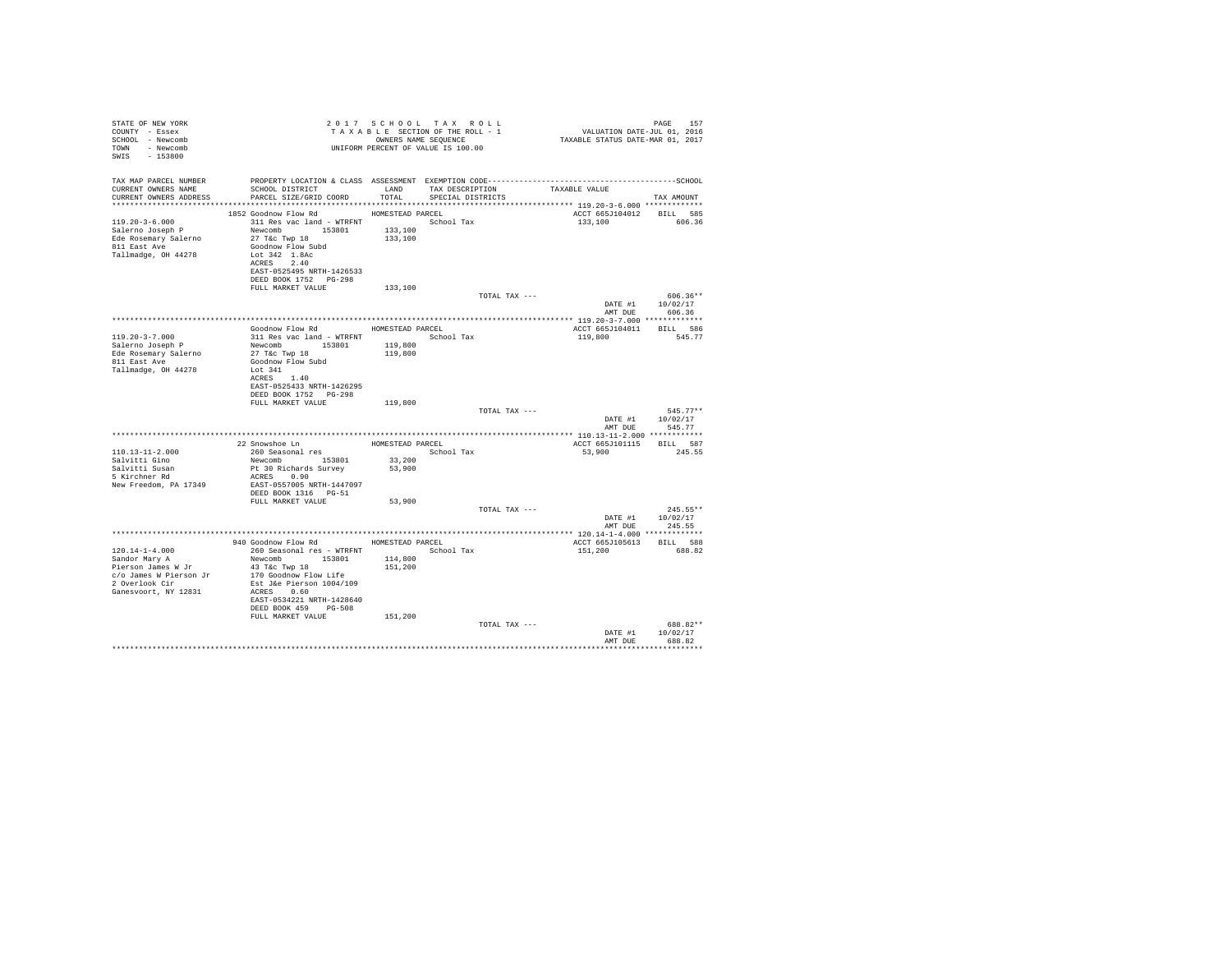| STATE OF NEW YORK<br>COUNTY - Essex<br>SCHOOL - Newcomb<br>TOWN - Newcomb<br>SWIS - 153800 |                                                                                                                                      |         | 2017 SCHOOL TAX ROLL<br>UNIFORM PERCENT OF VALUE IS 100.00 |               | PAGE 157 PAGE 157<br>TAXABLE SECTION OF THE ROLL - 1<br>ONNERS NAME SEQUENCE 1 CALLATION DATE-JUL 0.1, 2016<br>TAXABLE STATUS DATE-MAR 01, 2017 | PAGE<br>157                        |
|--------------------------------------------------------------------------------------------|--------------------------------------------------------------------------------------------------------------------------------------|---------|------------------------------------------------------------|---------------|-------------------------------------------------------------------------------------------------------------------------------------------------|------------------------------------|
| TAX MAP PARCEL NUMBER<br>CURRENT OWNERS NAME                                               | PROPERTY LOCATION & CLASS ASSESSMENT EXEMPTION CODE-----------------------------------SCHOOL<br>SCHOOL DISTRICT LAND TAX DESCRIPTION |         |                                                            |               | TAXABLE VALUE                                                                                                                                   |                                    |
| CURRENT OWNERS ADDRESS                                                                     | PARCEL SIZE/GRID COORD TOTAL                                                                                                         |         | SPECIAL DISTRICTS                                          |               |                                                                                                                                                 | TAX AMOUNT                         |
|                                                                                            |                                                                                                                                      |         |                                                            |               | ACCT 665J104012 BILL 585                                                                                                                        |                                    |
| Ede Rosemary Salerno                                                                       | 27 T&c Twp 18                                                                                                                        | 133,100 |                                                            |               | 133,100 606.36                                                                                                                                  |                                    |
| 811 East Ave<br>Tallmadge, OH 44278                                                        | Goodnow Flow Subd<br>Lot 342 1.8Ac<br>ACRES 2.40                                                                                     |         |                                                            |               |                                                                                                                                                 |                                    |
|                                                                                            | EAST-0525495 NRTH-1426533<br>DEED BOOK 1752    PG-298                                                                                |         |                                                            |               |                                                                                                                                                 |                                    |
|                                                                                            | FULL MARKET VALUE                                                                                                                    | 133,100 |                                                            | TOTAL TAX --- |                                                                                                                                                 | $606.36**$                         |
|                                                                                            |                                                                                                                                      |         |                                                            |               | AMT DUE                                                                                                                                         | DATE #1 10/02/17<br>606.36         |
|                                                                                            |                                                                                                                                      |         |                                                            |               |                                                                                                                                                 |                                    |
|                                                                                            | Goodnow Flow Rd MOMESTEAD PARCEL                                                                                                     |         |                                                            |               | ACCT 665J104011 BILL 586                                                                                                                        |                                    |
| $119.20 - 3 - 7.000$<br>Salerno Joseph P                                                   | 311 Res vac land - WTRFNT School Tax                                                                                                 | 119,800 |                                                            |               | 119,800                                                                                                                                         | 545.77                             |
| Ede Rosemary Salerno                                                                       | Newcomb 153801<br>27 T&c Twp 18                                                                                                      | 119,800 |                                                            |               |                                                                                                                                                 |                                    |
| 811 East Ave                                                                               | Goodnow Flow Subd                                                                                                                    |         |                                                            |               |                                                                                                                                                 |                                    |
| Tallmadge, OH 44278                                                                        | Lot 341                                                                                                                              |         |                                                            |               |                                                                                                                                                 |                                    |
|                                                                                            | ACRES 1.40<br>EAST-0525433 NRTH-1426295                                                                                              |         |                                                            |               |                                                                                                                                                 |                                    |
|                                                                                            | DEED BOOK 1752 PG-298                                                                                                                |         |                                                            |               |                                                                                                                                                 |                                    |
|                                                                                            | FULL MARKET VALUE                                                                                                                    | 119,800 |                                                            |               |                                                                                                                                                 |                                    |
|                                                                                            |                                                                                                                                      |         |                                                            | TOTAL TAX --- |                                                                                                                                                 | $545.77**$<br>DATE #1 10/02/17     |
|                                                                                            |                                                                                                                                      |         |                                                            |               | AMT DUE                                                                                                                                         | 545.77                             |
|                                                                                            |                                                                                                                                      |         |                                                            |               |                                                                                                                                                 |                                    |
|                                                                                            | 22 Snowshoe Ln HOMESTEAD PARCEL                                                                                                      |         |                                                            |               | ACCT 665J101115 BILL 587                                                                                                                        |                                    |
| $110.13 - 11 - 2.000$<br>Salvitti Gino                                                     |                                                                                                                                      |         | School Tax                                                 |               | 53,900 245.55                                                                                                                                   |                                    |
| Salvitti Susan<br>5 Kirchner Rd                                                            | -- 260 Seasonal res<br>Newcomb 153801 33,200<br>Pt 30 Richards Survey 53,900                                                         |         |                                                            |               |                                                                                                                                                 |                                    |
|                                                                                            | ACRES 0.90                                                                                                                           |         |                                                            |               |                                                                                                                                                 |                                    |
| New Freedom, PA 17349                                                                      | EAST-0557005 NRTH-1447097<br>DEED BOOK 1316 PG-51                                                                                    |         |                                                            |               |                                                                                                                                                 |                                    |
|                                                                                            | FULL MARKET VALUE                                                                                                                    | 53,900  |                                                            |               |                                                                                                                                                 |                                    |
|                                                                                            |                                                                                                                                      |         |                                                            | TOTAL TAX --- |                                                                                                                                                 | $245.55**$                         |
|                                                                                            |                                                                                                                                      |         |                                                            |               |                                                                                                                                                 | DATE #1 10/02/17<br>AMT DUE 245.55 |
|                                                                                            |                                                                                                                                      |         |                                                            |               |                                                                                                                                                 |                                    |
|                                                                                            | 940 Goodnow Flow Rd                                                                                                                  |         | HOMESTEAD PARCEL                                           |               | ACCT 665J105613 BILL 588                                                                                                                        |                                    |
| $120.14 - 1 - 4.000$                                                                       | 260 Seasonal res - WTRFNT                                                                                                            | 114,800 | School Tax                                                 |               | 151,200                                                                                                                                         | 688.82                             |
|                                                                                            |                                                                                                                                      | 151,200 |                                                            |               |                                                                                                                                                 |                                    |
|                                                                                            |                                                                                                                                      |         |                                                            |               |                                                                                                                                                 |                                    |
|                                                                                            | ACRES 0.60                                                                                                                           |         |                                                            |               |                                                                                                                                                 |                                    |
| Ganesvoort, NY 12831                                                                       | EAST-0534221 NRTH-1428640                                                                                                            |         |                                                            |               |                                                                                                                                                 |                                    |
|                                                                                            | DEED BOOK 459 PG-508                                                                                                                 |         |                                                            |               |                                                                                                                                                 |                                    |
|                                                                                            | FULL MARKET VALUE                                                                                                                    | 151,200 |                                                            |               |                                                                                                                                                 |                                    |
|                                                                                            |                                                                                                                                      |         |                                                            | TOTAL TAX --- |                                                                                                                                                 | 688.82**<br>DATE #1 10/02/17       |
|                                                                                            |                                                                                                                                      |         |                                                            |               | AMT DUR                                                                                                                                         | 688.82                             |
|                                                                                            |                                                                                                                                      |         |                                                            |               |                                                                                                                                                 |                                    |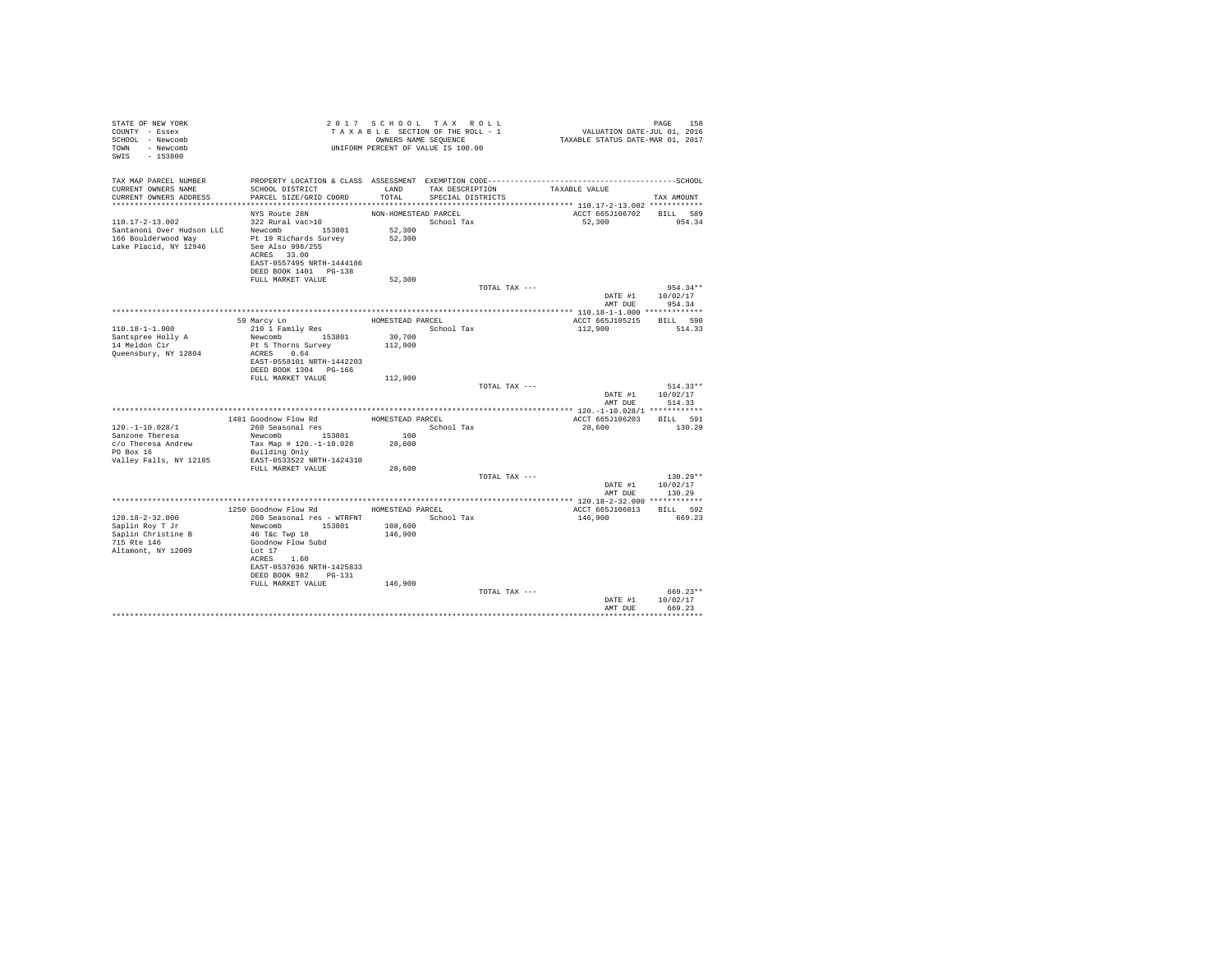| STATE OF NEW YORK<br>COUNTY - Essex<br>SCHOOL - Newcomb<br>TOWN - Newcomb<br>SWIS - 153800 |                                                    |                      | 2017 SCHOOL TAX ROLL<br>TAXABLE SECTION OF THE ROLL - 1<br>OWNERS NAME SEQUENCE<br>UNIFORM PERCENT OF VALUE IS 100.00 | PAGE 158<br>VALUATION DATE-JUL 01, 2016<br>TAXABLE STATUS DATE-MAR 01, 2017 |                                |
|--------------------------------------------------------------------------------------------|----------------------------------------------------|----------------------|-----------------------------------------------------------------------------------------------------------------------|-----------------------------------------------------------------------------|--------------------------------|
| TAX MAP PARCEL NUMBER                                                                      |                                                    |                      |                                                                                                                       |                                                                             |                                |
| CURRENT OWNERS NAME<br>CURRENT OWNERS ADDRESS                                              | SCHOOL DISTRICT<br>PARCEL SIZE/GRID COORD          | LAND<br>TOTAL        | TAX DESCRIPTION<br>SPECIAL DISTRICTS                                                                                  | TAXABLE VALUE                                                               | TAX AMOUNT                     |
|                                                                                            |                                                    |                      |                                                                                                                       |                                                                             |                                |
|                                                                                            | NYS Route 28N                                      | NON-HOMESTEAD PARCEL |                                                                                                                       | ACCT 665J106702 BILL 589                                                    |                                |
| $110.17 - 2 - 13.002$                                                                      | 322 Rural vac>10                                   |                      | School Tax                                                                                                            | 52,300                                                                      | 954.34                         |
| Santanoni Over Hudson LLC                                                                  | Newcomb 153801                                     | 52,300               |                                                                                                                       |                                                                             |                                |
| 166 Boulderwood Wav<br>Lake Placid, NY 12946                                               | Pt 19 Richards Survey<br>See Also 998/255          | 52,300               |                                                                                                                       |                                                                             |                                |
|                                                                                            | ACRES 33.00                                        |                      |                                                                                                                       |                                                                             |                                |
|                                                                                            | EAST-0557495 NRTH-1444186                          |                      |                                                                                                                       |                                                                             |                                |
|                                                                                            | DEED BOOK 1401 PG-138                              |                      |                                                                                                                       |                                                                             |                                |
|                                                                                            | FULL MARKET VALUE                                  | 52,300               |                                                                                                                       |                                                                             |                                |
|                                                                                            |                                                    |                      |                                                                                                                       | TOTAL TAX ---                                                               | $954.34**$                     |
|                                                                                            |                                                    |                      |                                                                                                                       | AMT DUE                                                                     | DATE #1 10/02/17<br>954.34     |
|                                                                                            |                                                    |                      |                                                                                                                       |                                                                             |                                |
|                                                                                            | 59 Marcy Ln                                        | HOMESTEAD PARCEL     |                                                                                                                       | ACCT 665J105215 BILL 590                                                    |                                |
| $110.18 - 1 - 1.000$                                                                       | 210 1 Family Res                                   |                      | School Tax                                                                                                            | 112,900                                                                     | 514.33                         |
| Santspree Holly A                                                                          | Newcomb 153801                                     | 30,700               |                                                                                                                       |                                                                             |                                |
| 14 Meldon Cir                                                                              | Pt 5 Thorns Survey                                 | 112,900              |                                                                                                                       |                                                                             |                                |
| Queensbury, NY 12804                                                                       | ACRES 0.64                                         |                      |                                                                                                                       |                                                                             |                                |
|                                                                                            | EAST-0558101 NRTH-1442203<br>DEED BOOK 1304 PG-166 |                      |                                                                                                                       |                                                                             |                                |
|                                                                                            | FULL MARKET VALUE                                  | 112,900              |                                                                                                                       |                                                                             |                                |
|                                                                                            |                                                    |                      |                                                                                                                       | TOTAL TAX ---                                                               | $514.33**$                     |
|                                                                                            |                                                    |                      |                                                                                                                       | DATE #1                                                                     | 10/02/17                       |
|                                                                                            |                                                    |                      |                                                                                                                       |                                                                             | AMT DUE 514.33                 |
|                                                                                            |                                                    |                      |                                                                                                                       |                                                                             |                                |
| 120.-1-10.028/1                                                                            | 1481 Goodnow Flow Rd<br>260 Seasonal res           | HOMESTEAD PARCEL     | School Tax                                                                                                            | ACCT 665J106203 BILL 591<br>28,600                                          | 130.29                         |
| Sanzone Theresa                                                                            | Newcomb 153801                                     | 100                  |                                                                                                                       |                                                                             |                                |
| c/o Theresa Andrew                                                                         | Tax Map # 120.-1-10.028                            | 28,600               |                                                                                                                       |                                                                             |                                |
| PO Box 16                                                                                  | Building Only                                      |                      |                                                                                                                       |                                                                             |                                |
| Valley Falls, NY 12185                                                                     | EAST-0533522 NRTH-1424310                          |                      |                                                                                                                       |                                                                             |                                |
|                                                                                            | FULL MARKET VALUE                                  | 28,600               |                                                                                                                       |                                                                             |                                |
|                                                                                            |                                                    |                      |                                                                                                                       | TOTAL TAX ---                                                               | $130.29**$<br>DATE #1 10/02/17 |
|                                                                                            |                                                    |                      |                                                                                                                       | AMT DUE                                                                     | 130.29                         |
|                                                                                            |                                                    |                      |                                                                                                                       |                                                                             |                                |
|                                                                                            | 1250 Goodnow Flow Rd HOMESTEAD PARCEL              |                      |                                                                                                                       | ACCT 665J106013 BILL 592                                                    |                                |
| 120.18-2-32.000                                                                            | 260 Seasonal res - WTRFNT                          |                      | School Tax                                                                                                            | 146,900                                                                     | 669.23                         |
| Saplin Roy T Jr                                                                            | Newcomb 153801                                     | 108,600<br>146,900   |                                                                                                                       |                                                                             |                                |
| Saplin Christine B<br>715 Rte 146                                                          | 46 T&c Twp 18<br>Goodnow Flow Subd                 |                      |                                                                                                                       |                                                                             |                                |
| Altamont, NY 12009                                                                         | Lot 17                                             |                      |                                                                                                                       |                                                                             |                                |
|                                                                                            | ACRES 1.60                                         |                      |                                                                                                                       |                                                                             |                                |
|                                                                                            | EAST-0537036 NRTH-1425833                          |                      |                                                                                                                       |                                                                             |                                |
|                                                                                            | DEED BOOK 982 PG-131                               |                      |                                                                                                                       |                                                                             |                                |
|                                                                                            | FULL MARKET VALUE                                  | 146,900              |                                                                                                                       |                                                                             |                                |
|                                                                                            |                                                    |                      |                                                                                                                       | TOTAL TAX ---<br>DATE #1                                                    | 669.23**<br>10/02/17           |
|                                                                                            |                                                    |                      |                                                                                                                       | AMT DUE                                                                     | 669.23                         |
|                                                                                            |                                                    |                      |                                                                                                                       |                                                                             |                                |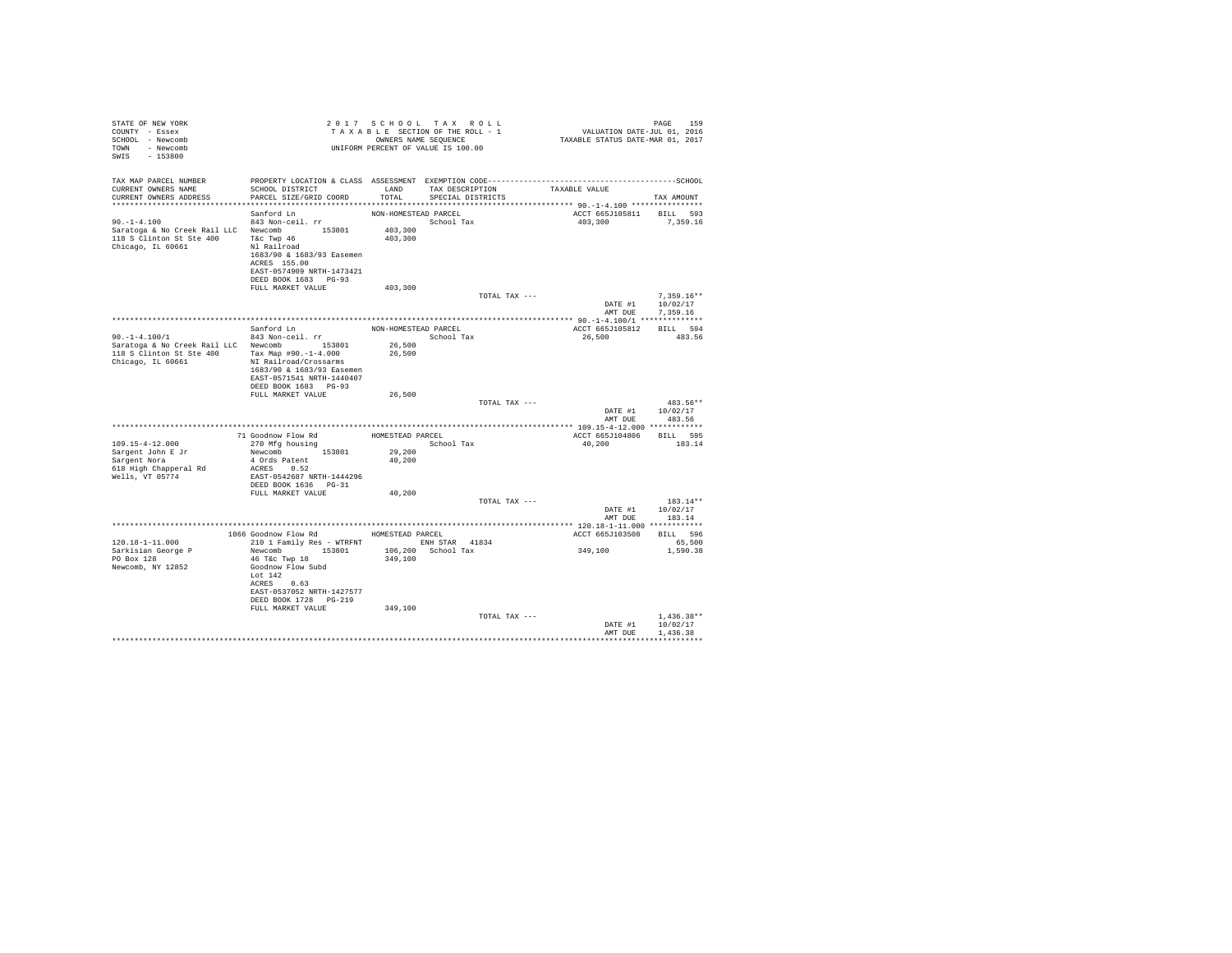| STATE OF NEW YORK<br>COUNTY - Essex<br>SCHOOL - Newcomb<br>TOWN - Newcomb<br>SWIS - 153800                                                      |                                                                                                                                                         |                      | 2017 SCHOOL TAX ROLL<br>UNIFORM PERCENT OF VALUE IS 100.00 |               |                                           | PAGE<br>159          |
|-------------------------------------------------------------------------------------------------------------------------------------------------|---------------------------------------------------------------------------------------------------------------------------------------------------------|----------------------|------------------------------------------------------------|---------------|-------------------------------------------|----------------------|
| TAX MAP PARCEL NUMBER<br>CURRENT OWNERS NAME<br>CURRENT OWNERS ADDRESS                                                                          | SCHOOL DISTRICT<br>PARCEL SIZE/GRID COORD                                                                                                               | TOTAL                | LAND TAX DESCRIPTION TAXABLE VALUE<br>SPECIAL DISTRICTS    |               |                                           | TAX AMOUNT           |
|                                                                                                                                                 |                                                                                                                                                         |                      |                                                            |               | ACCT 665J105811 BILL 593                  |                      |
| $90. -1 - 4.100$                                                                                                                                | Sanford Ln<br>843 Non-ceil. rr                                                                                                                          | NON-HOMESTEAD PARCEL | School Tax                                                 |               | 403.300 7.359.16                          |                      |
| Saratoga & No Creek Rail LLC Newcomb 153801<br>118 Saratoga & No Creek Rail LLC Newcomb 153801<br>118 S Clinton St Ste 400<br>Chicago, IL 60661 | $\begin{array}{c}\n\text{N1} & \text{any} & 46 \\ \text{N1} & \text{Railroad} \\ 1683/00 & 1\n\end{array}$<br>1683/90 & 1683/93 Easemen<br>ACRES 155.00 | 403,300<br>403,300   |                                                            |               |                                           |                      |
|                                                                                                                                                 | EAST-0574909 NRTH-1473421                                                                                                                               |                      |                                                            |               |                                           |                      |
|                                                                                                                                                 | DEED BOOK 1683    PG-93<br>FULL MARKET VALUE                                                                                                            |                      |                                                            |               |                                           |                      |
|                                                                                                                                                 |                                                                                                                                                         | 403,300              |                                                            | TOTAL TAX --- |                                           | $7.359.16**$         |
|                                                                                                                                                 |                                                                                                                                                         |                      |                                                            |               | DATE #1<br>AMT DUE                        | 10/02/17<br>7.359.16 |
|                                                                                                                                                 |                                                                                                                                                         |                      |                                                            |               |                                           |                      |
| $90, -1 - 4, 100/1$                                                                                                                             | Sanford Ln<br>843 Non-ceil. rr                                                                                                                          | NON-HOMESTEAD PARCEL | School Tax                                                 |               | ACCT 665J105812 BILL 594<br>26,500 483.56 |                      |
| Saratoga & No Creek Rail LLC Newcomb 153801                                                                                                     |                                                                                                                                                         | 26,500               |                                                            |               |                                           |                      |
| 118 S Clinton St Ste 400<br>Chicago, IL 60661                                                                                                   | Tax Map #90.-1-4.000<br>NI Railroad/Crossarms<br>1683/90 & 1683/93 Easemen<br>EAST-0571541 NRTH-1440407                                                 | 26,500               |                                                            |               |                                           |                      |
|                                                                                                                                                 | DEED BOOK 1683 PG-93<br>FULL MARKET VALUE                                                                                                               | 26,500               |                                                            |               |                                           |                      |
|                                                                                                                                                 |                                                                                                                                                         |                      |                                                            | TOTAL TAX --- |                                           | 483.56**             |
|                                                                                                                                                 |                                                                                                                                                         |                      |                                                            |               | DATE #1 10/02/17                          |                      |
|                                                                                                                                                 |                                                                                                                                                         |                      |                                                            |               | AMT DUE                                   | 483.56               |
|                                                                                                                                                 |                                                                                                                                                         |                      |                                                            |               | ACCT 665J104806                           | BILL 595             |
| 109.15-4-12.000                                                                                                                                 | 71 Goodnow Flow Rd<br>270 Mfg bouging<br>270 Mfg bouging<br>270 Mfg housing                                                                             |                      | School Tax                                                 |               | 40,200                                    | 183.14               |
| Sargent John E Jr<br>Sargent Nora                                                                                                               | Newcomb 153801                                                                                                                                          | 29,200               |                                                            |               |                                           |                      |
|                                                                                                                                                 | 4 Ords Patent                                                                                                                                           | 40,200               |                                                            |               |                                           |                      |
| 618 High Chapperal Rd<br>Wells, VT 05774                                                                                                        | ACRES 0.52<br>EAST-0542687 NRTH-1444296                                                                                                                 |                      |                                                            |               |                                           |                      |
|                                                                                                                                                 | DEED BOOK 1636 PG-31                                                                                                                                    |                      |                                                            |               |                                           |                      |
|                                                                                                                                                 | FULL MARKET VALUE                                                                                                                                       | 40,200               |                                                            |               |                                           |                      |
|                                                                                                                                                 |                                                                                                                                                         |                      |                                                            | TOTAL TAX --- |                                           | $183.14**$           |
|                                                                                                                                                 |                                                                                                                                                         |                      |                                                            |               | DATE #1 10/02/17<br>AMT DUE               | 183.14               |
|                                                                                                                                                 |                                                                                                                                                         |                      |                                                            |               |                                           |                      |
|                                                                                                                                                 | 1066 Goodnow Flow Rd MOMESTEAD PARCEL                                                                                                                   |                      |                                                            |               | ACCT 665J103508                           | BILL 596             |
| $120.18 - 1 - 11.000$                                                                                                                           | 210 1 Family Res - WTRFNT ENH STAR 41834                                                                                                                |                      |                                                            |               |                                           | 65,500               |
| Sarkisian George P<br>PO Box 128                                                                                                                | Newcomb 153801 106,200 School Tax<br>46 T&C Twp 18                                                                                                      | 349,100              |                                                            |               | 349,100                                   | 1,590.38             |
| Newcomb, NY 12852                                                                                                                               | Goodnow Flow Subd                                                                                                                                       |                      |                                                            |               |                                           |                      |
|                                                                                                                                                 | Lot $142$                                                                                                                                               |                      |                                                            |               |                                           |                      |
|                                                                                                                                                 | ACRES 0.63                                                                                                                                              |                      |                                                            |               |                                           |                      |
|                                                                                                                                                 | EAST-0537052 NRTH-1427577<br>DEED BOOK 1728 PG-219                                                                                                      |                      |                                                            |               |                                           |                      |
|                                                                                                                                                 | FULL MARKET VALUE                                                                                                                                       | 349,100              |                                                            |               |                                           |                      |
|                                                                                                                                                 |                                                                                                                                                         |                      |                                                            | TOTAL TAX --- |                                           | $1,436.38**$         |
|                                                                                                                                                 |                                                                                                                                                         |                      |                                                            |               | DATE #1                                   | 10/02/17             |
|                                                                                                                                                 |                                                                                                                                                         |                      |                                                            |               | AMT DUE                                   | 1,436.38<br>.        |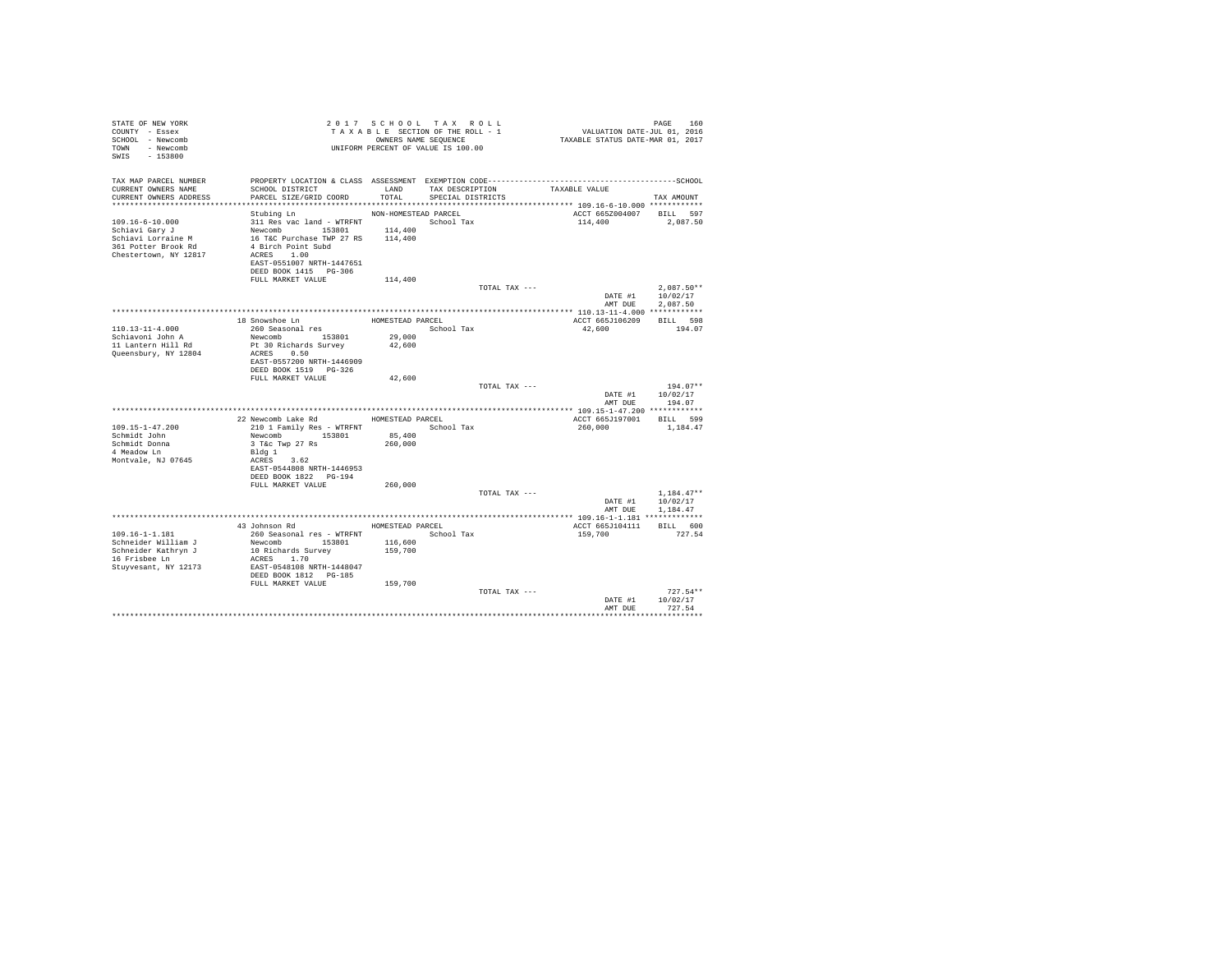| STATE OF NEW YORK<br>COUNTY - Essex<br>SCHOOL - Newcomb<br>TOWN - Newcomb<br>$-153800$<br>SWIS |                                                                                              |                      | 2017 SCHOOL TAX ROLL<br>TAXABLE SECTION OF THE ROLL - 1<br>OWNERS NAME SEQUENCE<br>UNIFORM PERCENT OF VALUE IS 100.00 |               | PAGE 160<br>VALUATION DATE-JUL 01, 2016<br>TAXABLE STATUS DATE-MAR 01, 2017 |              |            |
|------------------------------------------------------------------------------------------------|----------------------------------------------------------------------------------------------|----------------------|-----------------------------------------------------------------------------------------------------------------------|---------------|-----------------------------------------------------------------------------|--------------|------------|
| TAX MAP PARCEL NUMBER                                                                          | PROPERTY LOCATION & CLASS ASSESSMENT EXEMPTION CODE-----------------------------------SCHOOL |                      |                                                                                                                       |               |                                                                             |              |            |
| CURRENT OWNERS NAME<br>CURRENT OWNERS ADDRESS                                                  | SCHOOL DISTRICT<br>PARCEL SIZE/GRID COORD                                                    | LAND<br>TOTAL        | TAX DESCRIPTION<br>SPECIAL DISTRICTS                                                                                  | TAXABLE VALUE |                                                                             | TAX AMOUNT   |            |
|                                                                                                |                                                                                              |                      |                                                                                                                       |               |                                                                             |              |            |
|                                                                                                | Stubing Ln                                                                                   | NON-HOMESTEAD PARCEL |                                                                                                                       |               | ACCT 665Z004007 BILL 597                                                    |              |            |
| $109.16 - 6 - 10.000$                                                                          |                                                                                              |                      |                                                                                                                       |               | 114,400                                                                     | 2,087.50     |            |
| Schiavi Gary J                                                                                 | Newcomb 153801 114,400<br>16 T&C Purchase TWP 27 RS 114,400                                  | 114,400              |                                                                                                                       |               |                                                                             |              |            |
| Schiavi Lorraine M                                                                             |                                                                                              |                      |                                                                                                                       |               |                                                                             |              |            |
| 361 Potter Brook Rd                                                                            | 4 Birch Point Subd                                                                           |                      |                                                                                                                       |               |                                                                             |              |            |
| Chestertown, NY 12817                                                                          | ACRES 1.00                                                                                   |                      |                                                                                                                       |               |                                                                             |              |            |
|                                                                                                | EAST-0551007 NRTH-1447651                                                                    |                      |                                                                                                                       |               |                                                                             |              |            |
|                                                                                                | DEED BOOK 1415 PG-306<br>FULL MARKET VALUE                                                   | 114,400              |                                                                                                                       |               |                                                                             |              |            |
|                                                                                                |                                                                                              |                      |                                                                                                                       | TOTAL TAX --- |                                                                             | $2,087.50**$ |            |
|                                                                                                |                                                                                              |                      |                                                                                                                       |               | DATE #1 10/02/17                                                            |              |            |
|                                                                                                |                                                                                              |                      |                                                                                                                       |               | AMT DUE                                                                     | 2.087.50     |            |
|                                                                                                |                                                                                              |                      |                                                                                                                       |               |                                                                             |              |            |
|                                                                                                | 18 Snowshoe Ln                                                                               | HOMESTEAD PARCEL     |                                                                                                                       |               | ACCT 665J106209                                                             | BILL 598     |            |
| $110.13 - 11 - 4.000$                                                                          | 260 Seasonal res                                                                             |                      | School Tax                                                                                                            |               | 42,600                                                                      | 194.07       |            |
| Schiavoni John A                                                                               | Newcomb 153801                                                                               | 29,000               |                                                                                                                       |               |                                                                             |              |            |
| 11 Lantern Hill Rd                                                                             | Pt 30 Richards Survey                                                                        | 42,600               |                                                                                                                       |               |                                                                             |              |            |
| Queensbury, NY 12804                                                                           | ACRES 0.50                                                                                   |                      |                                                                                                                       |               |                                                                             |              |            |
|                                                                                                | EAST-0557200 NRTH-1446909<br>DEED BOOK 1519 PG-326                                           |                      |                                                                                                                       |               |                                                                             |              |            |
|                                                                                                | FULL MARKET VALUE                                                                            | 42,600               |                                                                                                                       |               |                                                                             |              |            |
|                                                                                                |                                                                                              |                      |                                                                                                                       | TOTAL TAX --- |                                                                             |              | $194.07**$ |
|                                                                                                |                                                                                              |                      |                                                                                                                       |               | DATE #1                                                                     | 10/02/17     |            |
|                                                                                                |                                                                                              |                      |                                                                                                                       |               | AMT DUE 194.07                                                              |              |            |
|                                                                                                |                                                                                              |                      |                                                                                                                       |               |                                                                             |              |            |
|                                                                                                | 22 Newcomb Lake Rd                                                                           | HOMESTEAD PARCEL     |                                                                                                                       |               | ACCT 665J197001 BILL 599                                                    |              |            |
| 109.15-1-47.200                                                                                | 210 1 Family Res - WTRFNT                                                                    |                      | School Tax                                                                                                            |               | 260,000                                                                     | 1,184.47     |            |
| Schmidt John                                                                                   | Newcomb 153801                                                                               | 85,400               |                                                                                                                       |               |                                                                             |              |            |
| Schmidt Donna<br>4 Meadow Ln                                                                   | 3 T&c Twp 27 Rs                                                                              | 260,000              |                                                                                                                       |               |                                                                             |              |            |
| Montvale, NJ 07645                                                                             | Bldg 1<br>ACRES 3.62                                                                         |                      |                                                                                                                       |               |                                                                             |              |            |
|                                                                                                | EAST-0544808 NRTH-1446953                                                                    |                      |                                                                                                                       |               |                                                                             |              |            |
|                                                                                                | DEED BOOK 1822 PG-194                                                                        |                      |                                                                                                                       |               |                                                                             |              |            |
|                                                                                                | FULL MARKET VALUE                                                                            | 260,000              |                                                                                                                       |               |                                                                             |              |            |
|                                                                                                |                                                                                              |                      |                                                                                                                       | TOTAL TAX --- |                                                                             | $1,184.47**$ |            |
|                                                                                                |                                                                                              |                      |                                                                                                                       |               | DATE #1                                                                     | 10/02/17     |            |
|                                                                                                |                                                                                              |                      |                                                                                                                       |               | AMT DUE                                                                     | 1,184.47     |            |
|                                                                                                |                                                                                              |                      |                                                                                                                       |               |                                                                             |              |            |
|                                                                                                | 43 Johnson Rd                                                                                |                      | HOMESTEAD PARCEL                                                                                                      |               | ACCT 665J104111                                                             | BILL 600     |            |
| $109.16 - 1 - 1.181$                                                                           | 260 Seasonal res - WTRFNT                                                                    |                      | School Tax                                                                                                            |               | 159,700                                                                     | 727.54       |            |
| Schneider William J<br>Schneider Kathryn J                                                     | Newcomb 153801<br>10 Richards Survey                                                         | 116,600<br>159,700   |                                                                                                                       |               |                                                                             |              |            |
| 16 Frisbee Ln                                                                                  | ACRES 1.70                                                                                   |                      |                                                                                                                       |               |                                                                             |              |            |
| Stuyvesant, NY 12173                                                                           | EAST-0548108 NRTH-1448047                                                                    |                      |                                                                                                                       |               |                                                                             |              |            |
|                                                                                                | DEED BOOK 1812 PG-185                                                                        |                      |                                                                                                                       |               |                                                                             |              |            |
|                                                                                                | FULL MARKET VALUE                                                                            | 159,700              |                                                                                                                       |               |                                                                             |              |            |
|                                                                                                |                                                                                              |                      |                                                                                                                       | TOTAL TAX --- |                                                                             |              | $727.54**$ |
|                                                                                                |                                                                                              |                      |                                                                                                                       |               | DATE #1                                                                     | 10/02/17     |            |
|                                                                                                |                                                                                              |                      |                                                                                                                       |               | AMT DUE                                                                     | 727.54       |            |
|                                                                                                |                                                                                              |                      |                                                                                                                       |               |                                                                             |              |            |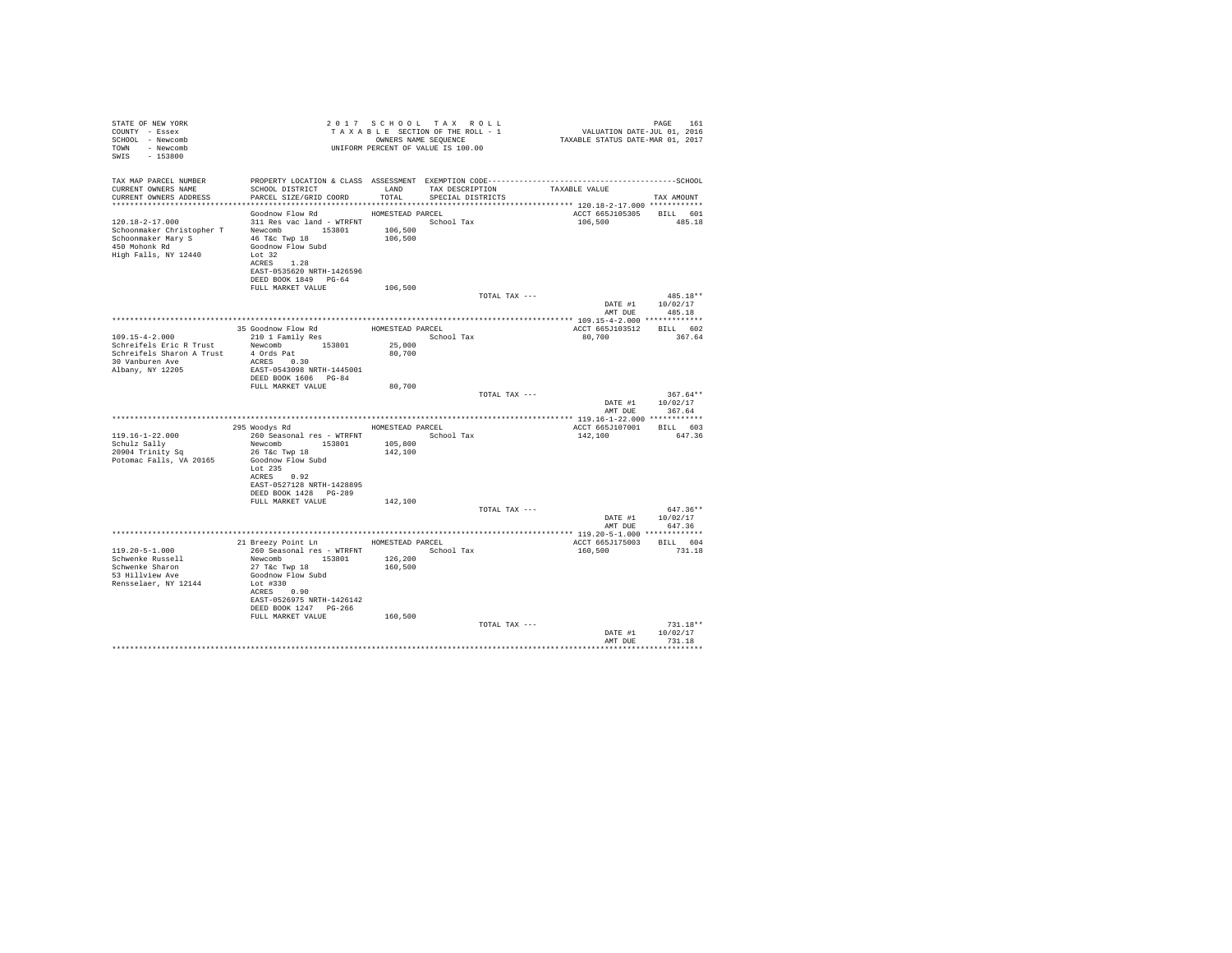| STATE OF NEW YORK<br>COUNTY - Essex<br>SCHOOL - Newcomb<br>TOWN - Newcomb<br>SWIS - 153800                                                                        |                                                                                                     |                    | 2017 SCHOOL TAX ROLL<br>TAXABLE SECTION OF THE ROLL - 1<br>OWNERS NAME SEQUENCE<br>UNIFORM PERCENT OF VALUE IS 100.00 | PAGE 161<br>VALUATION DATE-JUL 01, 2016<br>TAXABLE STATUS DATE-MAR 01, 2017 | PAGE<br>161            |
|-------------------------------------------------------------------------------------------------------------------------------------------------------------------|-----------------------------------------------------------------------------------------------------|--------------------|-----------------------------------------------------------------------------------------------------------------------|-----------------------------------------------------------------------------|------------------------|
| TAX MAP PARCEL NUMBER                                                                                                                                             |                                                                                                     |                    |                                                                                                                       |                                                                             |                        |
| CURRENT OWNERS NAME<br>CURRENT OWNERS ADDRESS                                                                                                                     | SCHOOL DISTRICT LAND<br>PARCEL SIZE/GRID COORD                                                      | TOTAL              | TAX DESCRIPTION<br>SPECIAL DISTRICTS                                                                                  | TAXABLE VALUE                                                               | TAX AMOUNT             |
|                                                                                                                                                                   | Goodnow Flow Rd                                                                                     | HOMESTEAD PARCEL   |                                                                                                                       | ACCT 665J105305 BILL 601                                                    |                        |
| $120.18 - 2 - 17.000$<br>120.18-2-17.000<br>Schoonmaker Christopher T Newcomb 153801<br>Schoonmaker Mary S 46 T&c Twp 18<br>450 Mohonk Rd<br>High Falls, NY 12440 | 311 Res vac land - WTRFNT<br>Goodnow Flow Subd<br>Lot 32<br>ACRES 1.28<br>EAST-0535620 NRTH-1426596 | 106,500<br>106,500 | School Tax                                                                                                            | 106,500                                                                     | 485.18                 |
|                                                                                                                                                                   | DEED BOOK 1849 PG-64                                                                                |                    |                                                                                                                       |                                                                             |                        |
|                                                                                                                                                                   | FULL MARKET VALUE                                                                                   | 106,500            | TOTAL TAX ---                                                                                                         |                                                                             | 485.18**               |
|                                                                                                                                                                   |                                                                                                     |                    |                                                                                                                       | DATE #1<br>AMT DUE                                                          | 10/02/17<br>485.18     |
|                                                                                                                                                                   |                                                                                                     |                    |                                                                                                                       |                                                                             |                        |
|                                                                                                                                                                   | 35 Goodnow Flow Rd HOMESTEAD PARCEL                                                                 |                    |                                                                                                                       | ACCT 665J103512 BILL 602                                                    |                        |
| $109.15 - 4 - 2.000$<br>Schreifels Eric R Trust                                                                                                                   | 210 1 Family Res<br>Newcomb 153801                                                                  | 25,000             | School Tax                                                                                                            | 80,700                                                                      | 367.64                 |
| Schreifels Sharon A Trust                                                                                                                                         | 4 Ords Pat                                                                                          | 80,700             |                                                                                                                       |                                                                             |                        |
| 30 Vanburen Ave                                                                                                                                                   | ACRES 0.30                                                                                          |                    |                                                                                                                       |                                                                             |                        |
| Albany, NY 12205                                                                                                                                                  | EAST-0543098 NRTH-1445001                                                                           |                    |                                                                                                                       |                                                                             |                        |
|                                                                                                                                                                   | DEED BOOK 1606 PG-84<br>FULL MARKET VALUE                                                           | 80,700             |                                                                                                                       |                                                                             |                        |
|                                                                                                                                                                   |                                                                                                     |                    | TOTAL TAX ---                                                                                                         |                                                                             | $367.64**$             |
|                                                                                                                                                                   |                                                                                                     |                    |                                                                                                                       | DATE #1                                                                     | 10/02/17               |
|                                                                                                                                                                   |                                                                                                     |                    |                                                                                                                       | AMT DUE                                                                     | 367.64                 |
|                                                                                                                                                                   | 295 Woodys Rd                                                                                       | HOMESTEAD PARCEL   |                                                                                                                       | ACCT 665J107001 BILL 603                                                    |                        |
| $119.16 - 1 - 22.000$                                                                                                                                             | 260 Seasonal res - WTRFNT                                                                           |                    | School Tax                                                                                                            | 142,100                                                                     | 647.36                 |
| Schulz Sally                                                                                                                                                      | Newcomb 153801                                                                                      | 105,800            |                                                                                                                       |                                                                             |                        |
| 20904 Trinity Sq                                                                                                                                                  | 26 T&c Twp 18                                                                                       | 142,100            |                                                                                                                       |                                                                             |                        |
| Potomac Falls, VA 20165                                                                                                                                           | Goodnow Flow Subd<br>Lot 235                                                                        |                    |                                                                                                                       |                                                                             |                        |
|                                                                                                                                                                   | ACRES 0.92                                                                                          |                    |                                                                                                                       |                                                                             |                        |
|                                                                                                                                                                   | EAST-0527128 NRTH-1428895                                                                           |                    |                                                                                                                       |                                                                             |                        |
|                                                                                                                                                                   | DEED BOOK 1428 PG-289                                                                               |                    |                                                                                                                       |                                                                             |                        |
|                                                                                                                                                                   | FULL MARKET VALUE                                                                                   | 142,100            | TOTAL TAX ---                                                                                                         |                                                                             | 647.36**               |
|                                                                                                                                                                   |                                                                                                     |                    |                                                                                                                       | DATE #1                                                                     | 10/02/17               |
|                                                                                                                                                                   |                                                                                                     |                    |                                                                                                                       | AMT DUE                                                                     | 647.36                 |
|                                                                                                                                                                   |                                                                                                     |                    |                                                                                                                       |                                                                             |                        |
| $119.20 - 5 - 1.000$                                                                                                                                              | 21 Breezy Point Ln<br>260 Seasonal res - WTRFNT                                                     | HOMESTEAD PARCEL   | School Tax                                                                                                            | ACCT 665J175003<br>160,500                                                  | BILL 604<br>731.18     |
| Schwenke Russell                                                                                                                                                  | Newcomb 153801                                                                                      | 126,200            |                                                                                                                       |                                                                             |                        |
| Schwenke Sharon                                                                                                                                                   | 27 T&c Twp 18                                                                                       | 160,500            |                                                                                                                       |                                                                             |                        |
| 53 Hillview Ave                                                                                                                                                   | Goodnow Flow Subd                                                                                   |                    |                                                                                                                       |                                                                             |                        |
| Rensselaer, NY 12144                                                                                                                                              | Lot #330<br>ACRES 0.90                                                                              |                    |                                                                                                                       |                                                                             |                        |
|                                                                                                                                                                   | EAST-0526975 NRTH-1426142                                                                           |                    |                                                                                                                       |                                                                             |                        |
|                                                                                                                                                                   | DEED BOOK 1247 PG-266                                                                               |                    |                                                                                                                       |                                                                             |                        |
|                                                                                                                                                                   | FULL MARKET VALUE                                                                                   | 160,500            |                                                                                                                       |                                                                             |                        |
|                                                                                                                                                                   |                                                                                                     |                    | TOTAL TAX ---                                                                                                         | DATE #1                                                                     | $731.18**$<br>10/02/17 |
|                                                                                                                                                                   |                                                                                                     |                    |                                                                                                                       | AMT DUE                                                                     | 731.18                 |
|                                                                                                                                                                   |                                                                                                     |                    |                                                                                                                       |                                                                             |                        |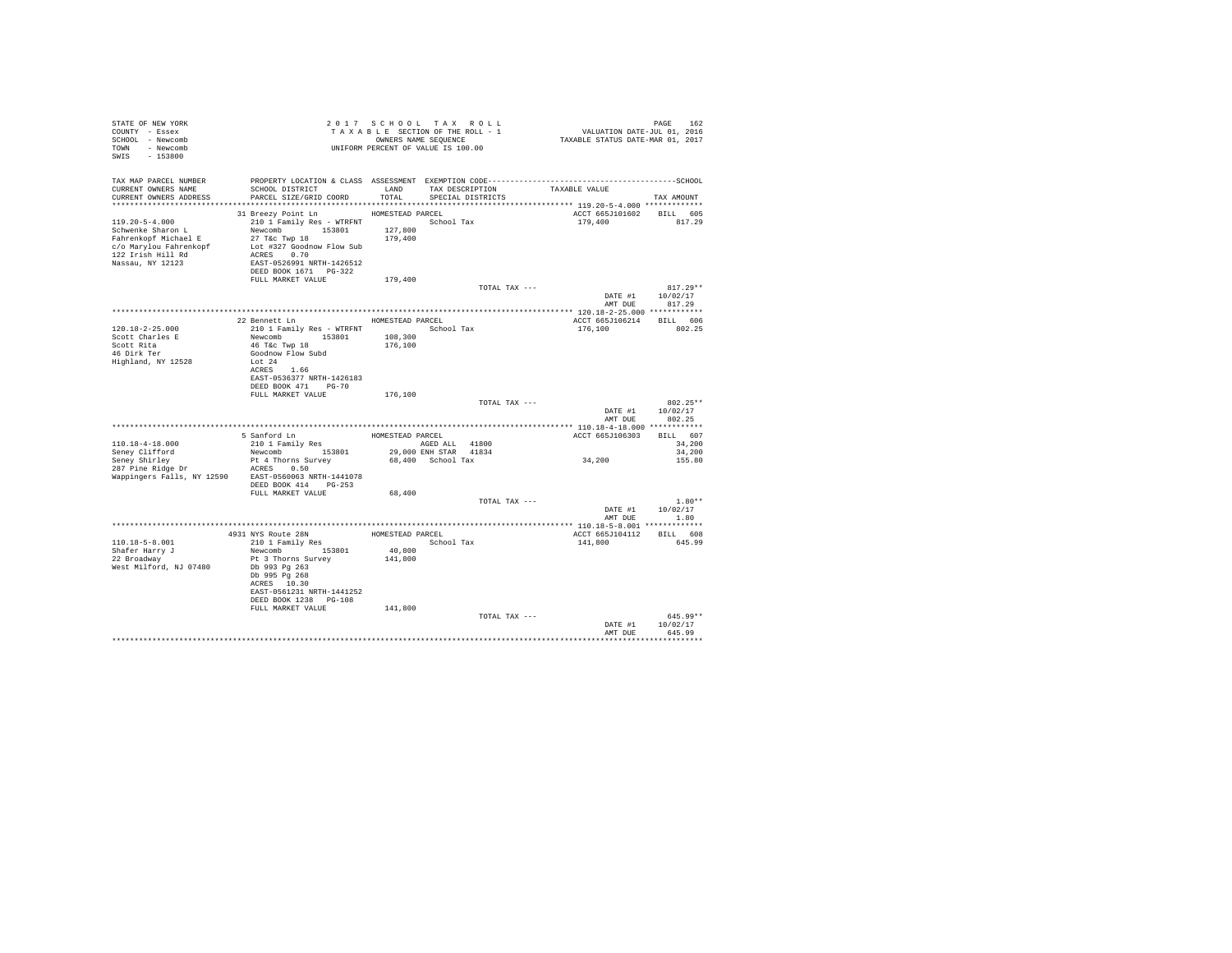| STATE OF NEW YORK<br>COUNTY - Essex<br>SCHOOL - Newcomb<br>TOWN - Newcomb<br>SWIS - 153800  |                                                                                                                                                                                                                  |                    | 2017 SCHOOL TAX ROLL<br>UNIFORM PERCENT OF VALUE IS 100.00 | PAGE 162 PAGE 162 PAGE 162 PAGE 162 PAGE 162<br>TA XA B LE SECTION OF THE ROLL - 1 VALUATION DATE-JUL 01, 2016<br>OWNERS NAME SEQUENCE 1 TAXABLE STATUS DATE-MAR 01, 2017 | PAGE 162                                         |
|---------------------------------------------------------------------------------------------|------------------------------------------------------------------------------------------------------------------------------------------------------------------------------------------------------------------|--------------------|------------------------------------------------------------|---------------------------------------------------------------------------------------------------------------------------------------------------------------------------|--------------------------------------------------|
| TAX MAP PARCEL NUMBER<br>CURRENT OWNERS NAME                                                | PROPERTY LOCATION & CLASS ASSESSMENT EXEMPTION CODE-----------------------------------SCHOOL<br>SCHOOL DISTRICT<br>LAND TAX DESCRIPTION<br>CURRENT OWNERS ADDRESS PARCEL SIZE/GRID COORD TOTAL SPECIAL DISTRICTS |                    |                                                            | TAXABLE VALUE                                                                                                                                                             | TAX AMOUNT                                       |
|                                                                                             |                                                                                                                                                                                                                  |                    |                                                            |                                                                                                                                                                           |                                                  |
| $119.20 - 5 - 4.000$<br>Schwenke Sharon L                                                   | 31 Breezy Point Ln HOMESTEAD PARCEL<br>210 1 Family Res - WTRFNT<br>Newcomb 153801 127,800<br>27 T&c Twp 18 179,400<br>DEED BOOK 1671    PG-322<br>FULL MARKET VALUE                                             | 179,400            | School Tax                                                 | ACCT 665J101602 BILL 605<br>179,400 817.29                                                                                                                                |                                                  |
|                                                                                             |                                                                                                                                                                                                                  |                    | TOTAL TAX ---                                              |                                                                                                                                                                           | $817.29**$                                       |
|                                                                                             |                                                                                                                                                                                                                  |                    |                                                            |                                                                                                                                                                           | DATE #1 10/02/17<br>AMT DUE 817.29               |
|                                                                                             | 22 Bennett Ln HOMESTEAD PARCEL                                                                                                                                                                                   |                    |                                                            |                                                                                                                                                                           |                                                  |
| $120.18 - 2 - 25.000$<br>Scott Charles E<br>Scott Rita<br>46 Dirk Ter<br>Highland, NY 12528 | 210 1 Family Res - WTRFNT School Tax<br>Newcomb 153801 108,300<br>46 T&C Twp 18<br>Goodnow Flow Subd<br>Lot 24<br>ACRES 1.66<br>EAST-0536377 NRTH-1426183<br>DEED BOOK 471 PG-70                                 | 176,100            |                                                            | ACCT 665J106214 BILL 606<br>176,100 802.25                                                                                                                                |                                                  |
|                                                                                             | FULL MARKET VALUE                                                                                                                                                                                                | 176,100            |                                                            |                                                                                                                                                                           |                                                  |
|                                                                                             |                                                                                                                                                                                                                  |                    | TOTAL TAX ---                                              |                                                                                                                                                                           | 802.25**<br>DATE #1 10/02/17<br>AMT DUE 802.25   |
|                                                                                             |                                                                                                                                                                                                                  |                    |                                                            | ACCT 665J106303 BILL 607                                                                                                                                                  |                                                  |
|                                                                                             |                                                                                                                                                                                                                  |                    |                                                            | 34,200                                                                                                                                                                    | 34,200<br>34,200<br>155.80                       |
|                                                                                             | Wappingers Falls, NY 12590 EAST-0560063 NRTH-1441078<br>DEED BOOK 414 PG-253                                                                                                                                     |                    |                                                            |                                                                                                                                                                           |                                                  |
|                                                                                             | FULL MARKET VALUE                                                                                                                                                                                                | 68,400             | TOTAL TAX ---                                              |                                                                                                                                                                           | $1.80**$<br>DATE #1 10/02/17<br>AMT DUE 1.80     |
|                                                                                             |                                                                                                                                                                                                                  |                    |                                                            |                                                                                                                                                                           |                                                  |
| $110.18 - 5 - 8.001$                                                                        | 4931 NYS Route 28N<br>210 1 Family Res BOMESTEAD PARCEL<br>School Tax                                                                                                                                            | 40,800             |                                                            | ACCT 665J104112 BILL 608<br>141,800                                                                                                                                       | 645.99                                           |
| Shafer Harry J<br>22 Broadway<br>West Milford, NJ 07480                                     | Newcomb 153801<br>Pt 3 Thorns Survey<br>Db 993 Pg 263<br>Db 995 Pg 268<br>ACRES 10.30<br>EAST-0561231 NRTH-1441252<br>DEED BOOK 1238 PG-108<br>FULL MARKET VALUE                                                 | 141,800<br>141,800 |                                                            |                                                                                                                                                                           |                                                  |
|                                                                                             |                                                                                                                                                                                                                  |                    | TOTAL TAX ---                                              |                                                                                                                                                                           | $645.99**$<br>DATE #1 10/02/17<br>AMT DUE 645.99 |
|                                                                                             |                                                                                                                                                                                                                  |                    |                                                            |                                                                                                                                                                           |                                                  |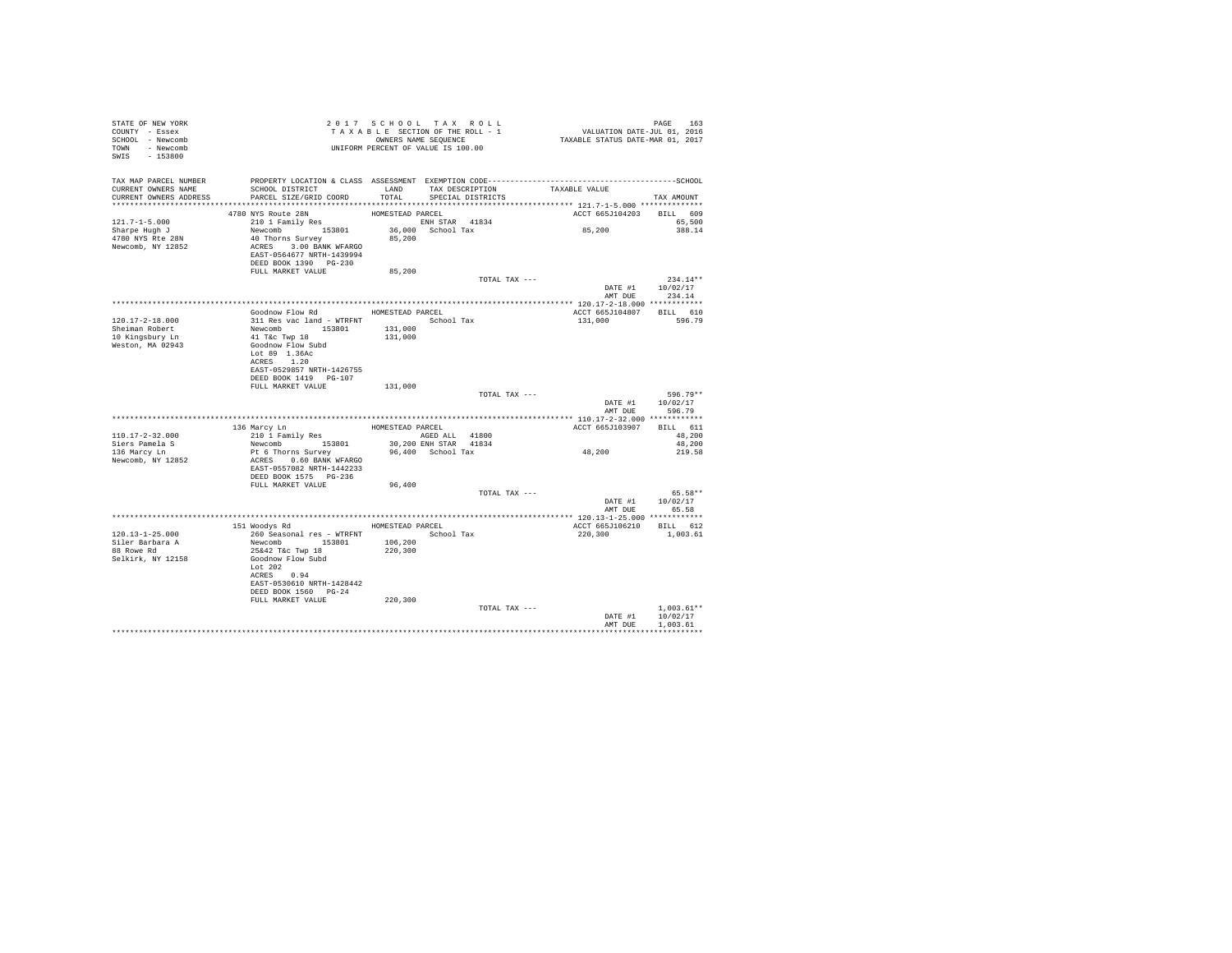| STATE OF NEW YORK<br>COUNTY - Essex<br>SCHOOL - Newcomb<br>TOWN - Newcomb<br>SWIS - 153800    | T A X A B B B B B B SEQUENCE<br>OWNERS NAME SEQUENCE<br>UNIFORM PERCENT OF VALUE IS 100.00                                                                                                                                 | 2017 SCHOOL TAX ROLL                                              | TAXABLE SECTION OF THE ROLL - 1<br>OWNERS NAME SEQUENCE | PAGE 163<br>VALUATION DATE-JUL 01, 2016<br>TAXABLE STATUS DATE-MAR 01, 2017 |                                        |
|-----------------------------------------------------------------------------------------------|----------------------------------------------------------------------------------------------------------------------------------------------------------------------------------------------------------------------------|-------------------------------------------------------------------|---------------------------------------------------------|-----------------------------------------------------------------------------|----------------------------------------|
| TAX MAP PARCEL NUMBER<br>CURRENT OWNERS NAME<br>CURRENT OWNERS ADDRESS PARCEL SIZE/GRID COORD | PROPERTY LOCATION & CLASS ASSESSMENT EXEMPTION CODE-----------------------------------SCHOOL<br>SCHOOL DISTRICT                                                                                                            | TOTAL                                                             | LAND TAX DESCRIPTION<br>SPECIAL DISTRICTS               | TAXABLE VALUE                                                               | TAX AMOUNT                             |
| $121.7 - 1 - 5.000$<br>Sharpe Hugh J<br>4780 NYS Rte 28N<br>Newcomb, NY 12852                 | 4780 NYS Route 28N<br>210 1 Family Res<br>Newcomb 153801<br>40 Thorns Survey<br>ACRES 3.00 BANK WFARGO<br>EAST-0564677 NRTH-1439994<br>DEED BOOK 1390 PG-230                                                               | HOMESTEAD PARCEL<br>ENH STAR 41834<br>36,000 School Tax<br>85,200 |                                                         | ACCT 665J104203 BILL 609<br>85,200                                          | 65,500<br>388.14                       |
|                                                                                               | FULL MARKET VALUE                                                                                                                                                                                                          | 85,200                                                            | TOTAL TAX ---                                           |                                                                             | $234.14**$                             |
|                                                                                               |                                                                                                                                                                                                                            |                                                                   |                                                         | DATE #1 10/02/17                                                            | AMT DUE 234.14                         |
| 120.17-2-18.000<br>Sheiman Robert<br>10 Kingsbury Ln<br>Weston, MA 02943                      | Goodnow Flow Rd MOMESTEAD PARCEL<br>311 Res vac land - WTRFNT<br>Newcomb 153801 131,000<br>41 Tác Twp 18 131,000<br>Goodnow Flow Subd<br>Lot 89 1.36Ac<br>ACRES 1.20<br>EAST-0529857 NRTH-1426755<br>DEED BOOK 1419 PG-107 |                                                                   |                                                         | ACCT 665J104807 BILL 610<br>131,000                                         | 596.79                                 |
|                                                                                               | FULL MARKET VALUE                                                                                                                                                                                                          | 131,000                                                           | TOTAL TAX ---                                           | DATE #1<br>AMT DUE                                                          | 596.79**<br>10/02/17<br>596.79         |
|                                                                                               |                                                                                                                                                                                                                            |                                                                   |                                                         |                                                                             |                                        |
| $110.17 - 2 - 32.000$<br>Siers Pamela S<br>136 Marcy Ln<br>Newcomb, NY 12852                  | 136 Marcy Ln<br>210 1 Family Res<br>Newcomb 153801<br>Pt 6 Thorns Survey<br>ACRES 0.60 BANK WFARGO<br>EAST-0557082 NRTH-1442233<br>DEED BOOK 1575 PG-236                                                                   | HOMESTEAD PARCEL<br>AGED ALL 41800                                | 30,200 ENH STAR 41834<br>96,400 School Tax              | ACCT 665J103907<br>48,200                                                   | BILL 611<br>48,200<br>48,200<br>219.58 |
|                                                                                               | FULL MARKET VALUE                                                                                                                                                                                                          | 96,400                                                            | TOTAL TAX ---                                           | DATE #1                                                                     | 65.58**<br>10/02/17                    |
|                                                                                               |                                                                                                                                                                                                                            |                                                                   |                                                         | AMT DUE                                                                     | 65.58                                  |
| $120.13 - 1 - 25.000$<br>Siler Barbara A<br>88 Rowe Rd<br>Selkirk, NY 12158                   | 151 Woodys Rd MOMESTEAD PARCEL<br>260 Seasonal res - WTRFNT<br>Newcomb 153801<br>25&42 T&c Twp 18<br>Goodnow Flow Subd<br>Lot 202<br>ACRES 0.94<br>EAST-0530610 NRTH-1428442<br>DEED BOOK 1560 PG-24                       | 106,200<br>220,300                                                | School Tax                                              | ACCT 665J106210 BILL 612<br>220,300                                         | 1,003.61                               |
|                                                                                               | FULL MARKET VALUE                                                                                                                                                                                                          | 220,300                                                           | TOTAL TAX ---                                           | DATE #1<br>AMT DUE                                                          | $1.003.61**$<br>10/02/17<br>1,003.61   |
|                                                                                               |                                                                                                                                                                                                                            |                                                                   |                                                         |                                                                             |                                        |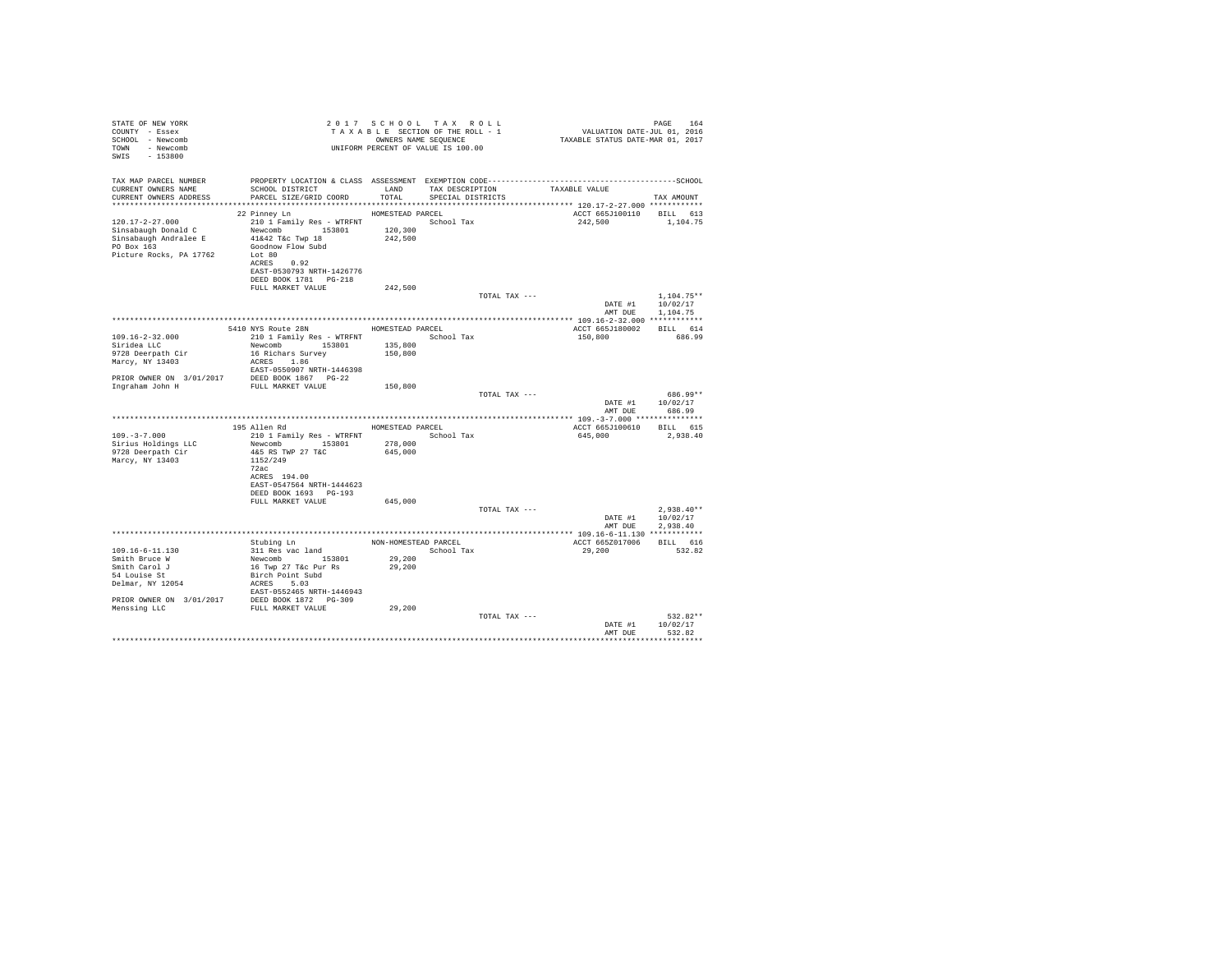| PAGE 164<br>VALUATION DATE-JUL 01, 2016<br>TAXABLE STATUS DATE-MAR 01, 2017<br>TAXABLE SERIOUL TAX KOLL<br>TAXABLE SECTION OF THE ROLL - 1<br>OWNERS NAME SEQUENCE<br>SCHOOL - Newcomb<br>TOWN - Newcomb<br>UNIFORM PERCENT OF VALUE IS 100.00<br>SWIS - 153800 |                                    |
|-----------------------------------------------------------------------------------------------------------------------------------------------------------------------------------------------------------------------------------------------------------------|------------------------------------|
| TAX MAP PARCEL NUMBER                                                                                                                                                                                                                                           |                                    |
| SCHOOL DISTRICT LAND TAX DESCRIPTION<br>CURRENT OWNERS NAME<br>TAXABLE VALUE<br>PARCEL SIZE/GRID COORD TOTAL<br>CURRENT OWNERS ADDRESS<br>SPECIAL DISTRICTS                                                                                                     | TAX AMOUNT                         |
|                                                                                                                                                                                                                                                                 |                                    |
| 22 Pinney Ln HOMESTEAD PARCEL                                                                                                                                                                                                                                   | ACCT 665J100110 BILL 613           |
| 120.17-2-27.000                                                                                                                                                                                                                                                 | 242,500 1,104.75                   |
| 210 1 Family Res - WTRFNT School Tax<br>Newcomb 153801 120,300<br>Sinsabaugh Donald C                                                                                                                                                                           |                                    |
| 41&42 T&c Twp 18<br>242,500<br>Sinsabaugh Andralee E                                                                                                                                                                                                            |                                    |
| PO Box 163<br>Goodnow Flow Subd                                                                                                                                                                                                                                 |                                    |
| Picture Rocks, PA 17762<br>Lot 80<br>ACRES 0.92                                                                                                                                                                                                                 |                                    |
| EAST-0530793 NRTH-1426776                                                                                                                                                                                                                                       |                                    |
| DEED BOOK 1781    PG-218                                                                                                                                                                                                                                        |                                    |
| 242.500<br>FULL MARKET VALUE                                                                                                                                                                                                                                    |                                    |
| TOTAL TAX ---                                                                                                                                                                                                                                                   | $1,104.75**$                       |
|                                                                                                                                                                                                                                                                 | 10/02/17<br>DATE #1                |
|                                                                                                                                                                                                                                                                 | AMT DUE 1,104.75                   |
|                                                                                                                                                                                                                                                                 |                                    |
| 5410 NYS Route 28N HOMESTEAD PARCEL<br>$109.16 - 2 - 32.000$                                                                                                                                                                                                    | ACCT 665J180002 BILL 614<br>686.99 |
| 150,800<br>Siridea LLC                                                                                                                                                                                                                                          |                                    |
| Newcomb 153801 135,800<br>16 Richars Survey 150,800<br>9728 Deerpath Cir<br>Marcy, NY 13403                                                                                                                                                                     |                                    |
| 16 Richars Survey<br>ACRES 1.86                                                                                                                                                                                                                                 |                                    |
| EAST-0550907 NRTH-1446398                                                                                                                                                                                                                                       |                                    |
|                                                                                                                                                                                                                                                                 |                                    |
| PRIOR OWNER ON $3/01/2017$ DEED BOOK 1867 PG-22<br>Ingraham John H FULL MARKET VALUE<br>150,800                                                                                                                                                                 |                                    |
| TOTAL TAX ---                                                                                                                                                                                                                                                   | 686.99**                           |
|                                                                                                                                                                                                                                                                 | DATE #1 10/02/17                   |
|                                                                                                                                                                                                                                                                 | AMT DUE<br>686.99                  |
| 195 Allen Rd<br>HOMESTEAD PARCEL                                                                                                                                                                                                                                | ACCT 665J100610 BILL 615           |
| 210 1 Family Res - WTRFNT School Tax<br>$109. - 3 - 7.000$<br>645,000                                                                                                                                                                                           | 2,938.40                           |
| Newcomb 153801 278,000<br>Sirius Holdings LLC                                                                                                                                                                                                                   |                                    |
| 645,000<br>9728 Deerpath Cir<br>4&5 RS TWP 27 T&C                                                                                                                                                                                                               |                                    |
| Marcy, NY 13403<br>1152/249                                                                                                                                                                                                                                     |                                    |
| 72ac                                                                                                                                                                                                                                                            |                                    |
| ACRES 194.00                                                                                                                                                                                                                                                    |                                    |
| EAST-0547564 NRTH-1444623<br>DEED BOOK 1693 PG-193                                                                                                                                                                                                              |                                    |
| FULL MARKET VALUE<br>645,000                                                                                                                                                                                                                                    |                                    |
| TOTAL TAX ---                                                                                                                                                                                                                                                   | $2.938.40**$                       |
|                                                                                                                                                                                                                                                                 | DATE #1 10/02/17                   |
|                                                                                                                                                                                                                                                                 | AMT DUE<br>2.938.40                |
|                                                                                                                                                                                                                                                                 |                                    |
|                                                                                                                                                                                                                                                                 | ACCT 665Z017006 BILL 616           |
| 109.16-6-11.130<br>109.16-6-11.130<br>109.16-6-11.130<br>Stubing Lm NON-HOMESTEAD PARCEL NON-HOMESTEAD PARCEL SUBSISION<br>Smith Bruce W Newcomb 153801<br>529,200<br>Stubing Strich Point Subdivision<br>16 Twp 27 Tac Pur Rs 29,200<br>29,200                 | 532.82                             |
|                                                                                                                                                                                                                                                                 |                                    |
|                                                                                                                                                                                                                                                                 |                                    |
|                                                                                                                                                                                                                                                                 |                                    |
|                                                                                                                                                                                                                                                                 |                                    |
|                                                                                                                                                                                                                                                                 |                                    |
|                                                                                                                                                                                                                                                                 |                                    |
| TOTAL TAX ---                                                                                                                                                                                                                                                   | 532.82**                           |
|                                                                                                                                                                                                                                                                 | 10/02/17<br>DATE #1                |
|                                                                                                                                                                                                                                                                 | AMT DUE<br>532.82                  |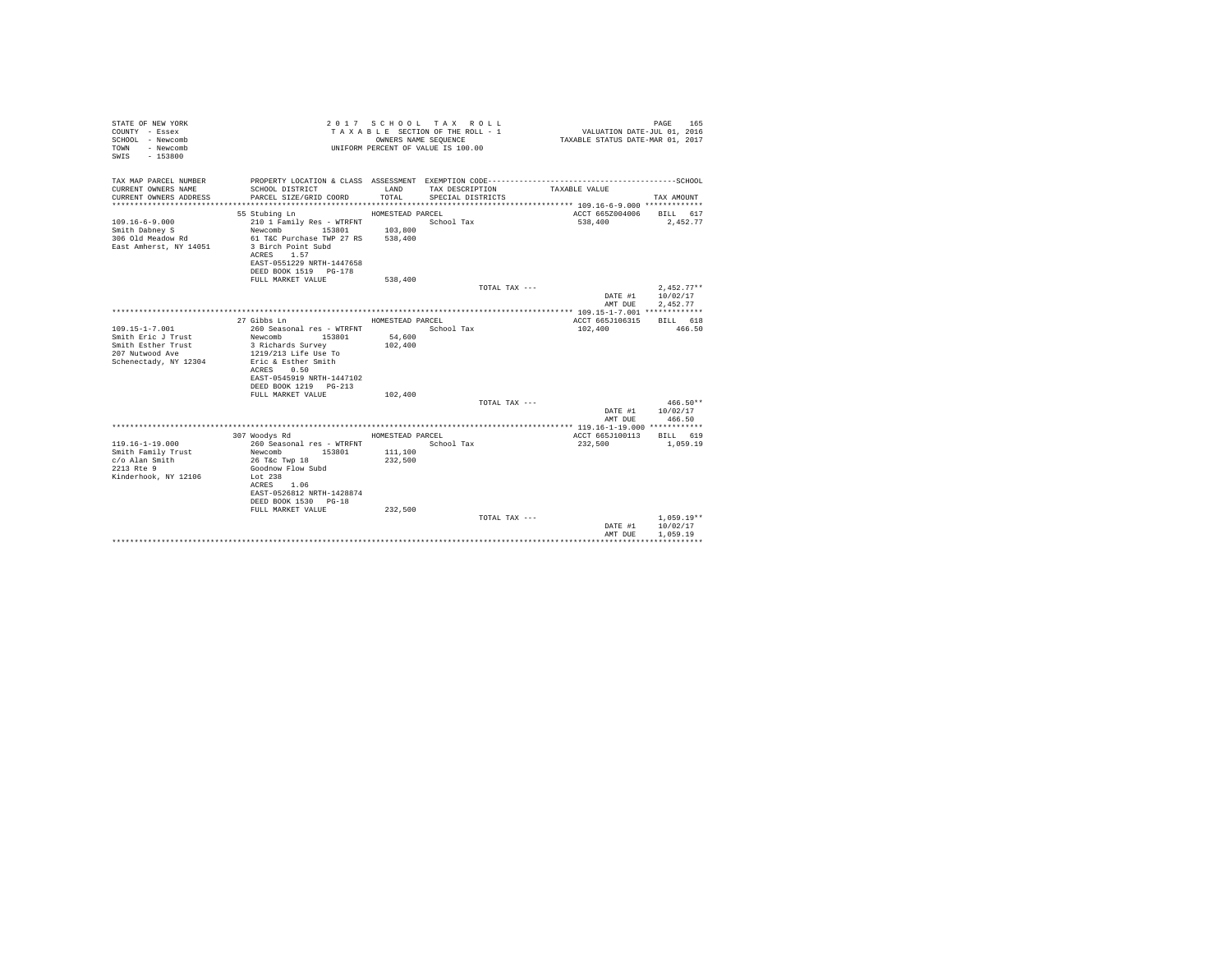| STATE OF NEW YORK<br>COUNTY - Essex<br>SCHOOL - Newcomb<br>TOWN<br>- Newcomb<br>$-153800$<br>SWIS |                                           |                    | 2017 SCHOOL TAX ROLL<br>TAXABLE SECTION OF THE ROLL - 1<br>OWNERS NAME SEQUENCE<br>UNIFORM PERCENT OF VALUE IS 100.00 | VALUATION DATE-JUL $01$ , 2016<br>TAXABLE STATUS DATE-MAR 01, 2017 | PAGE<br>165                  |
|---------------------------------------------------------------------------------------------------|-------------------------------------------|--------------------|-----------------------------------------------------------------------------------------------------------------------|--------------------------------------------------------------------|------------------------------|
| TAX MAP PARCEL NUMBER                                                                             |                                           |                    |                                                                                                                       |                                                                    |                              |
| CURRENT OWNERS NAME<br>CURRENT OWNERS ADDRESS                                                     | SCHOOL DISTRICT<br>PARCEL SIZE/GRID COORD | LAND<br>TOTAL      | TAX DESCRIPTION<br>SPECIAL DISTRICTS                                                                                  | TAXABLE VALUE                                                      | TAX AMOUNT                   |
|                                                                                                   |                                           |                    |                                                                                                                       |                                                                    |                              |
|                                                                                                   | 55 Stubing Ln                             | HOMESTEAD PARCEL   |                                                                                                                       | ACCT 665Z004006 BILL 617                                           |                              |
| $109.16 - 6 - 9.000$                                                                              | 210 1 Family Res - WTRFNT                 |                    | School Tax                                                                                                            | 538,400                                                            | 2,452.77                     |
| Smith Dabney S                                                                                    | 153801 103,800<br>Newcomb                 |                    |                                                                                                                       |                                                                    |                              |
| 306 Old Meadow Rd                                                                                 | 61 T&C Purchase TWP 27 RS 538,400         |                    |                                                                                                                       |                                                                    |                              |
| East Amherst, NY 14051                                                                            | 3 Birch Point Subd                        |                    |                                                                                                                       |                                                                    |                              |
|                                                                                                   | ACRES 1.57                                |                    |                                                                                                                       |                                                                    |                              |
|                                                                                                   | EAST-0551229 NRTH-1447658                 |                    |                                                                                                                       |                                                                    |                              |
|                                                                                                   | DEED BOOK 1519 PG-178                     |                    |                                                                                                                       |                                                                    |                              |
|                                                                                                   | FULL MARKET VALUE                         | 538,400            |                                                                                                                       |                                                                    |                              |
|                                                                                                   |                                           |                    | TOTAL TAX ---                                                                                                         |                                                                    | $2.452.77**$                 |
|                                                                                                   |                                           |                    |                                                                                                                       | AMT DUE                                                            | DATE #1 10/02/17<br>2.452.77 |
|                                                                                                   |                                           |                    |                                                                                                                       |                                                                    |                              |
|                                                                                                   | 27 Gibbs Ln                               | HOMESTEAD PARCEL   |                                                                                                                       | ACCT 665J106315 BILL 618                                           |                              |
| $109.15 - 1 - 7.001$                                                                              | 260 Seasonal res - WTRFNT                 |                    | School Tax                                                                                                            | 102,400                                                            | 466.50                       |
| Smith Eric J Trust                                                                                | Newcomb 153801                            | 54,600             |                                                                                                                       |                                                                    |                              |
| Smith Esther Trust                                                                                | 3 Richards Survey                         | 102,400            |                                                                                                                       |                                                                    |                              |
| 207 Nutwood Ave                                                                                   | 1219/213 Life Use To                      |                    |                                                                                                                       |                                                                    |                              |
| Schenectady, NY 12304                                                                             | Eric & Esther Smith                       |                    |                                                                                                                       |                                                                    |                              |
|                                                                                                   | ACRES 0.50                                |                    |                                                                                                                       |                                                                    |                              |
|                                                                                                   | EAST-0545919 NRTH-1447102                 |                    |                                                                                                                       |                                                                    |                              |
|                                                                                                   | DEED BOOK 1219 PG-213                     |                    |                                                                                                                       |                                                                    |                              |
|                                                                                                   | FULL MARKET VALUE                         | 102,400            |                                                                                                                       |                                                                    |                              |
|                                                                                                   |                                           |                    | TOTAL TAX ---                                                                                                         |                                                                    | $466.50**$                   |
|                                                                                                   |                                           |                    |                                                                                                                       |                                                                    | DATE #1 10/02/17             |
|                                                                                                   |                                           |                    |                                                                                                                       | AMT DUE                                                            | 466.50                       |
|                                                                                                   |                                           |                    |                                                                                                                       |                                                                    |                              |
|                                                                                                   | 307 Woodys Rd                             | HOMESTEAD PARCEL   |                                                                                                                       | ACCT 665J100113 BILL 619                                           |                              |
| $119.16 - 1 - 19.000$                                                                             | 260 Seasonal res - WTRFNT<br>153801       |                    | School Tax                                                                                                            | 232,500                                                            | 1,059.19                     |
| Smith Family Trust                                                                                | Newcomb                                   | 111,100<br>232,500 |                                                                                                                       |                                                                    |                              |
| c/o Alan Smith<br>2213 Rte 9                                                                      | 26 T&c Twp 18<br>Goodnow Flow Subd        |                    |                                                                                                                       |                                                                    |                              |
| Kinderhook, NY 12106                                                                              | Lot 238                                   |                    |                                                                                                                       |                                                                    |                              |
|                                                                                                   | ACRES 1.06                                |                    |                                                                                                                       |                                                                    |                              |
|                                                                                                   | EAST-0526812 NRTH-1428874                 |                    |                                                                                                                       |                                                                    |                              |
|                                                                                                   | DEED BOOK 1530 PG-18                      |                    |                                                                                                                       |                                                                    |                              |
|                                                                                                   | FULL MARKET VALUE                         | 232.500            |                                                                                                                       |                                                                    |                              |
|                                                                                                   |                                           |                    | TOTAL TAX ---                                                                                                         |                                                                    | $1.059.19**$                 |
|                                                                                                   |                                           |                    |                                                                                                                       | DATE #1                                                            | 10/02/17                     |
|                                                                                                   |                                           |                    |                                                                                                                       | AMT DUE                                                            | 1,059.19                     |
|                                                                                                   |                                           |                    |                                                                                                                       |                                                                    | ***********                  |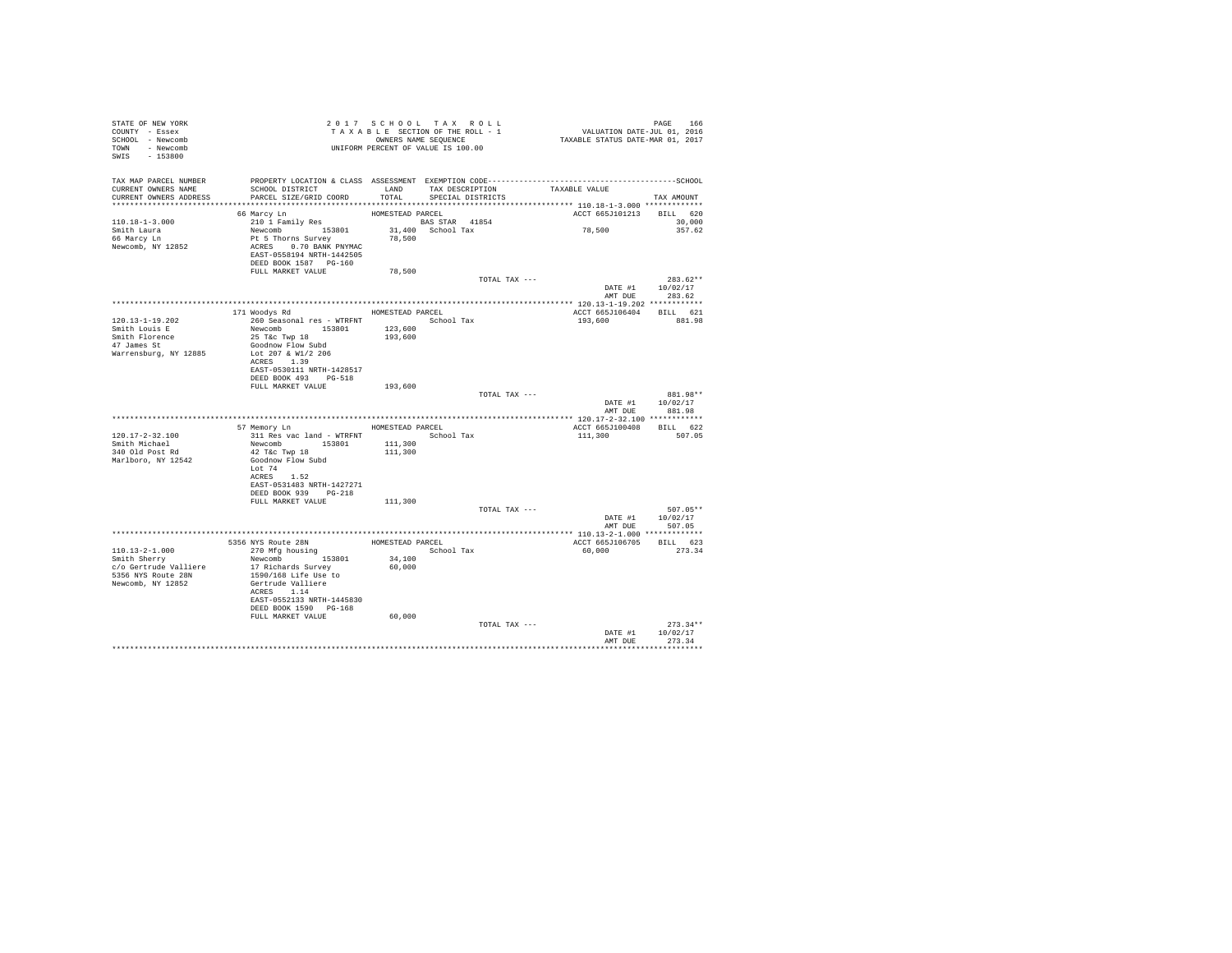| STATE OF NEW YORK                             |                                                                                                                                           |                  |                                                                                                           |                          |                  |
|-----------------------------------------------|-------------------------------------------------------------------------------------------------------------------------------------------|------------------|-----------------------------------------------------------------------------------------------------------|--------------------------|------------------|
| COUNTY - Essex                                |                                                                                                                                           |                  |                                                                                                           |                          |                  |
| SCHOOL - Newcomb                              |                                                                                                                                           |                  | T A X A B L E SECTION OF THE ROLL - 1<br>OWNERS NAMES NAME SEQUENCE<br>UNIFORM PERCENT OF VALUE IS 100.00 |                          |                  |
| TOWN - Newcomb                                |                                                                                                                                           |                  |                                                                                                           |                          |                  |
| SWIS - 153800                                 |                                                                                                                                           |                  |                                                                                                           |                          |                  |
|                                               |                                                                                                                                           |                  |                                                                                                           |                          |                  |
|                                               |                                                                                                                                           |                  |                                                                                                           |                          |                  |
|                                               | TAX MAP PARCEL NUMBER PROPERTY LOCATION & CLASS ASSESSMENT EXEMPTION CODE----------------------------------SCHOOL                         |                  |                                                                                                           |                          |                  |
| CURRENT OWNERS NAME<br>CURRENT OWNERS ADDRESS | SCHOOL DISTRICT                      LAND        TAX DESCRIPTION                TAXABLE VALUE<br>PARCEL SIZE/GRID COORD                   | TOTAL            | SPECIAL DISTRICTS                                                                                         |                          |                  |
|                                               |                                                                                                                                           |                  |                                                                                                           |                          | TAX AMOUNT       |
|                                               | 66 Marcy Ln                                                                                                                               |                  |                                                                                                           |                          |                  |
| 110.18-1-3.000                                | % HOMESTEAD RACEL HOMESTEAD PARCEL 1896<br>Newcomb 153801 31,400 School Tax<br>Pt 5 Thorns Survey 78,500<br>ACRES 0.70 BANK PNYMAC 78,500 | HOMESTEAD PARCEL |                                                                                                           | ACCT 665J101213 BILL 620 | 30,000           |
|                                               |                                                                                                                                           |                  |                                                                                                           | 78,500                   | 357.62           |
| Smith Laura<br>66 Marcy Ln                    |                                                                                                                                           |                  |                                                                                                           |                          |                  |
| Newcomb, NY 12852                             |                                                                                                                                           |                  |                                                                                                           |                          |                  |
|                                               | EAST-0558194 NRTH-1442505                                                                                                                 |                  |                                                                                                           |                          |                  |
|                                               | DEED BOOK 1587 PG-160                                                                                                                     |                  |                                                                                                           |                          |                  |
|                                               | FULL MARKET VALUE                                                                                                                         | 78,500           |                                                                                                           |                          |                  |
|                                               |                                                                                                                                           |                  | TOTAL TAX ---                                                                                             |                          | $283.62**$       |
|                                               |                                                                                                                                           |                  |                                                                                                           |                          | DATE #1 10/02/17 |
|                                               |                                                                                                                                           |                  |                                                                                                           |                          | AMT DUE 283.62   |
|                                               |                                                                                                                                           |                  |                                                                                                           |                          |                  |
|                                               | 171 Woodys Rd MOMESTEAD PARCEL                                                                                                            |                  |                                                                                                           | ACCT 665J106404 BILL 621 |                  |
| $120.13 - 1 - 19.202$                         |                                                                                                                                           |                  |                                                                                                           | 193,600 881.98           |                  |
| Smith Louis E                                 |                                                                                                                                           |                  |                                                                                                           |                          |                  |
|                                               |                                                                                                                                           |                  |                                                                                                           |                          |                  |
| Smith Florence<br>47 James St                 | Goodnow Flow Subd                                                                                                                         |                  |                                                                                                           |                          |                  |
| Warrensburg, NY 12885                         | Lot 207 & W1/2 206                                                                                                                        |                  |                                                                                                           |                          |                  |
|                                               | ACRES 1.39                                                                                                                                |                  |                                                                                                           |                          |                  |
|                                               | EAST-0530111 NRTH-1428517                                                                                                                 |                  |                                                                                                           |                          |                  |
|                                               | DEED BOOK 493 PG-518                                                                                                                      |                  |                                                                                                           |                          |                  |
|                                               | FULL MARKET VALUE 193,600                                                                                                                 |                  |                                                                                                           |                          |                  |
|                                               |                                                                                                                                           |                  |                                                                                                           |                          |                  |
|                                               |                                                                                                                                           |                  | TOTAL TAX ---                                                                                             |                          | 881.98**         |
|                                               |                                                                                                                                           |                  |                                                                                                           |                          | DATE #1 10/02/17 |
|                                               |                                                                                                                                           |                  |                                                                                                           |                          | AMT DUE 881.98   |
|                                               |                                                                                                                                           |                  |                                                                                                           |                          |                  |
|                                               | 57 Memory Ln HOMESTEAD PARCEL                                                                                                             |                  |                                                                                                           | ACCT 665J100408 BILL 622 |                  |
| 120.17-2-32.100                               |                                                                                                                                           |                  |                                                                                                           | 111,300 507.05           |                  |
| Smith Michael                                 | 311 Res vac land - WTRFNT School Tax<br>Newcomb 153801 111,300                                                                            |                  |                                                                                                           |                          |                  |
| 340 Old Post Rd                               | 42 T&C Twp 18                                                                                                                             | 111,300          |                                                                                                           |                          |                  |
| Marlboro, NY 12542                            | Goodnow Flow Subd                                                                                                                         |                  |                                                                                                           |                          |                  |
|                                               | Lot 74                                                                                                                                    |                  |                                                                                                           |                          |                  |
|                                               | ACRES 1.52                                                                                                                                |                  |                                                                                                           |                          |                  |
|                                               | EAST-0531483 NRTH-1427271                                                                                                                 |                  |                                                                                                           |                          |                  |
|                                               | DEED BOOK 939 PG-218                                                                                                                      |                  |                                                                                                           |                          |                  |
|                                               | FULL MARKET VALUE 111,300                                                                                                                 |                  |                                                                                                           |                          |                  |
|                                               |                                                                                                                                           |                  | TOTAL TAX ---                                                                                             |                          | 507.05**         |
|                                               |                                                                                                                                           |                  |                                                                                                           |                          | DATE #1 10/02/17 |
|                                               |                                                                                                                                           |                  |                                                                                                           | AMT DUE                  | 507.05           |
|                                               |                                                                                                                                           |                  |                                                                                                           |                          |                  |
|                                               |                                                                                                                                           |                  |                                                                                                           | ACCT 665J106705 BILL 623 |                  |
|                                               |                                                                                                                                           |                  |                                                                                                           | 60,000                   | 273.34           |
|                                               |                                                                                                                                           |                  |                                                                                                           |                          |                  |
| c/o Gertrude Valliere                         |                                                                                                                                           | 60,000           |                                                                                                           |                          |                  |
| 5356 NYS Route 28N                            |                                                                                                                                           |                  |                                                                                                           |                          |                  |
| Newcomb, NY 12852                             | Newcomp<br>17 Richards Survey<br>1590/168 Life Use to<br>Gertrude Valliere<br>20080 114                                                   |                  |                                                                                                           |                          |                  |
|                                               | ACRES 1.14<br>EAST-0552133 NRTH-1445830                                                                                                   |                  |                                                                                                           |                          |                  |
|                                               | DEED BOOK 1590 PG-168                                                                                                                     |                  |                                                                                                           |                          |                  |
|                                               | FULL MARKET VALUE                                                                                                                         | 60,000           |                                                                                                           |                          |                  |
|                                               |                                                                                                                                           |                  | TOTAL TAX ---                                                                                             |                          | $273.34**$       |
|                                               |                                                                                                                                           |                  |                                                                                                           | DATE #1                  | 10/02/17         |
|                                               |                                                                                                                                           |                  |                                                                                                           |                          | AMT DUE 273.34   |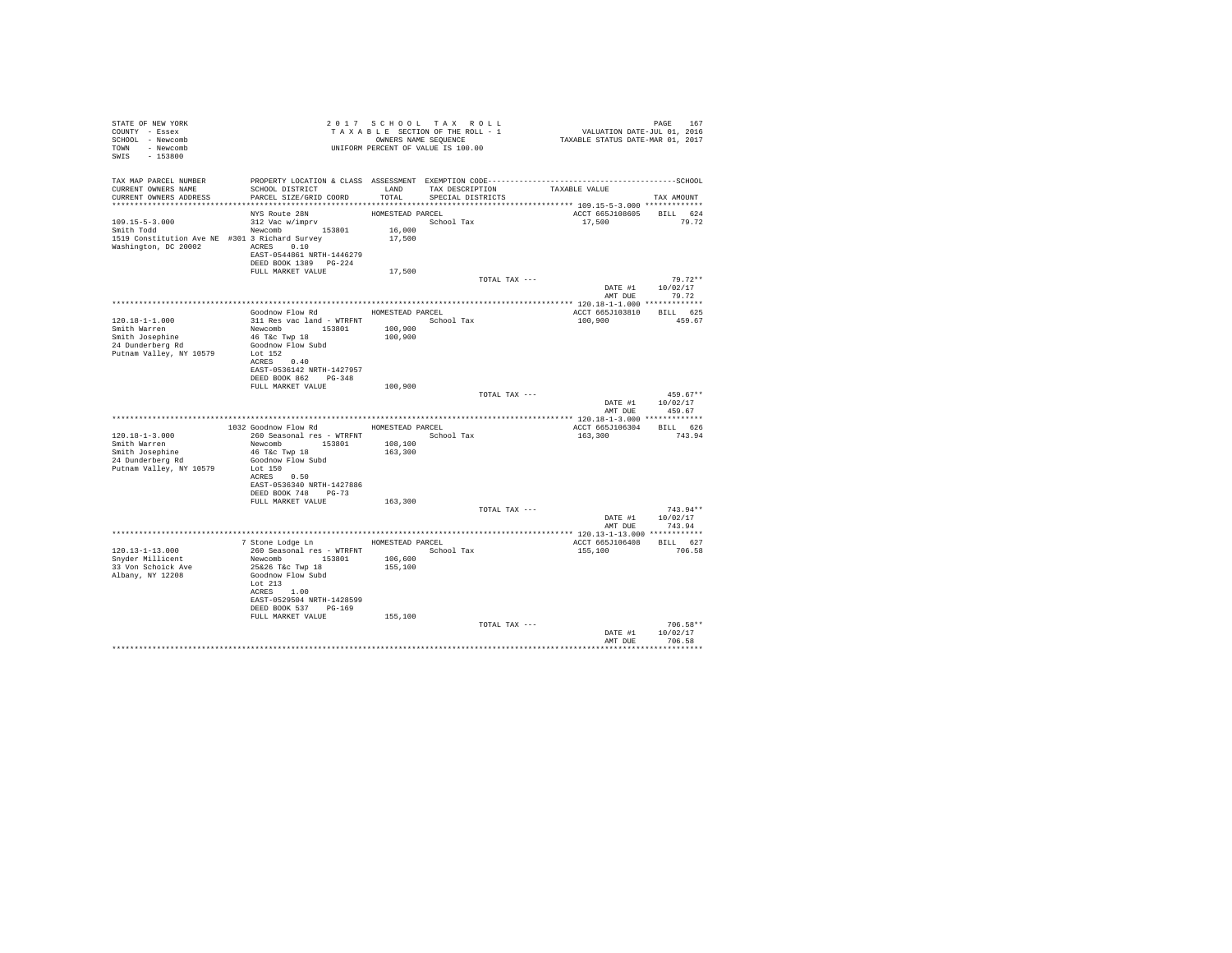| STATE OF NEW YORK                              |                                                                                 |                  | 2017 SCHOOL TAX ROLL            |               | PAGE 167<br>VALUATION DATE-JUL 01, 2016<br>TAXABLE STATUS DATE-MAR 01, 2017 |                  |
|------------------------------------------------|---------------------------------------------------------------------------------|------------------|---------------------------------|---------------|-----------------------------------------------------------------------------|------------------|
| COUNTY - Essex                                 |                                                                                 |                  | TAXABLE SECTION OF THE ROLL - 1 |               |                                                                             |                  |
| SCHOOL - Newcomb                               |                                                                                 |                  | OWNERS NAME SEQUENCE            |               |                                                                             |                  |
| TOWN - Newcomb                                 |                                                                                 |                  |                                 |               |                                                                             |                  |
| SWIS - 153800                                  | T A X A B L _<br>OWNERS NAME SEQUENCE<br>UNIFORM PERCENT OF VALUE IS 100.00     |                  |                                 |               |                                                                             |                  |
|                                                |                                                                                 |                  |                                 |               |                                                                             |                  |
|                                                |                                                                                 |                  |                                 |               |                                                                             |                  |
| CURRENT OWNERS NAME                            | SCHOOL DISTRICT TAND TAX DESCRIPTION                                            |                  |                                 |               |                                                                             |                  |
| CURRENT OWNERS ADDRESS                         | PARCEL SIZE/GRID COORD                                                          | TOTAL            | SPECIAL DISTRICTS               |               | TAXABLE VALUE                                                               | TAX AMOUNT       |
|                                                |                                                                                 |                  |                                 |               |                                                                             |                  |
|                                                | NYS Route 28N                                                                   | HOMESTEAD PARCEL |                                 |               | ACCT 665J108605 BILL 624                                                    |                  |
| 109.15-5-3.000                                 | 312 Vac w/imprv                                                                 |                  | School Tax                      |               | 17,500 79.72                                                                |                  |
| Smith Todd                                     | Newcomb 153801                                                                  | $16\,,000$       |                                 |               |                                                                             |                  |
| 1519 Constitution Ave NE #301 3 Richard Survey |                                                                                 | 17,500           |                                 |               |                                                                             |                  |
| Washington, DC 20002 ACRES 0.10                |                                                                                 |                  |                                 |               |                                                                             |                  |
|                                                | EAST-0544861 NRTH-1446279                                                       |                  |                                 |               |                                                                             |                  |
|                                                | DEED BOOK 1389 PG-224                                                           |                  |                                 |               |                                                                             |                  |
|                                                | FULL MARKET VALUE                                                               | 17,500           |                                 |               |                                                                             |                  |
|                                                |                                                                                 |                  |                                 | TOTAL TAX --- |                                                                             | $79.72**$        |
|                                                |                                                                                 |                  |                                 |               |                                                                             | DATE #1 10/02/17 |
|                                                |                                                                                 |                  |                                 |               |                                                                             | AMT DUE 79.72    |
|                                                |                                                                                 |                  |                                 |               |                                                                             |                  |
|                                                | Goodnow Flow Rd MOMESTEAD PARCEL                                                |                  |                                 |               | ACCT 665J103810 BILL 625                                                    |                  |
| 120.18-1-1.000                                 | 311 Res vac land - WTRFNT                                                       |                  | School Tax                      |               | 100,900                                                                     | 459.67           |
| Smith Warren                                   | Newcomb 153801 100,900                                                          |                  |                                 |               |                                                                             |                  |
| Smith Josephine                                | 46 T&C Twp 18                                                                   | 100,900          |                                 |               |                                                                             |                  |
| 24 Dunderberg Rd                               | Goodnow Flow Subd                                                               |                  |                                 |               |                                                                             |                  |
| Putnam Valley, NY 10579                        | Lot 152                                                                         |                  |                                 |               |                                                                             |                  |
|                                                | ACRES 0.40                                                                      |                  |                                 |               |                                                                             |                  |
|                                                | EAST-0536142 NRTH-1427957                                                       |                  |                                 |               |                                                                             |                  |
|                                                | DEED BOOK 862 PG-348                                                            |                  |                                 |               |                                                                             |                  |
|                                                | FULL MARKET VALUE 100,900                                                       |                  |                                 |               |                                                                             |                  |
|                                                |                                                                                 |                  |                                 | TOTAL TAX --- |                                                                             | $459.67**$       |
|                                                |                                                                                 |                  |                                 |               |                                                                             | DATE #1 10/02/17 |
|                                                |                                                                                 |                  |                                 |               | AMT DUE                                                                     | 459.67           |
|                                                |                                                                                 |                  |                                 |               |                                                                             |                  |
|                                                | 1032 Goodnow Flow Rd HOMESTEAD PARCEL                                           |                  |                                 |               | ACCT 665J106304 BILL 626                                                    |                  |
| $120.18 - 1 - 3.000$<br>Smith Warren           | 260 Seasonal res - WTRFNT             School Tax                                | 108,100          |                                 |               | 163,300                                                                     | 743.94           |
| Smith Josephine                                | Newcomb 153801<br>46 T&c Twp 18                                                 | 163,300          |                                 |               |                                                                             |                  |
| 24 Dunderberg Rd                               | Goodnow Flow Subd                                                               |                  |                                 |               |                                                                             |                  |
| Putnam Valley, NY 10579                        | Lot 150                                                                         |                  |                                 |               |                                                                             |                  |
|                                                | ACRES 0.50                                                                      |                  |                                 |               |                                                                             |                  |
|                                                | EAST-0536340 NRTH-1427886                                                       |                  |                                 |               |                                                                             |                  |
|                                                | DEED BOOK 748 PG-73                                                             |                  |                                 |               |                                                                             |                  |
|                                                | FULL MARKET VALUE                                                               | 163,300          |                                 |               |                                                                             |                  |
|                                                |                                                                                 |                  |                                 | TOTAL TAX --- |                                                                             | $743.94**$       |
|                                                |                                                                                 |                  |                                 |               |                                                                             | DATE #1 10/02/17 |
|                                                |                                                                                 |                  |                                 |               | AMT DUE                                                                     | 743.94           |
|                                                |                                                                                 |                  |                                 |               |                                                                             |                  |
|                                                | 7 Stone Lodge Ln MOMESTEAD PARCEL                                               |                  |                                 |               | ACCT 665J106408 BILL 627                                                    |                  |
| 120.13-1-13.000                                | 260 Seasonal res - WTRFNT                                                       |                  | School Tax                      |               | 155,100                                                                     | 706.58           |
| Snyder Millicent                               |                                                                                 |                  |                                 |               |                                                                             |                  |
| 33 Von Schoick Ave                             |                                                                                 |                  |                                 |               |                                                                             |                  |
| Albany, NY 12208                               | Newcomb 153801 106,600<br>25&26 T&c Twp 18 155,100<br>Goodnow Flow Subd 155,100 |                  |                                 |               |                                                                             |                  |
|                                                | Lot 213                                                                         |                  |                                 |               |                                                                             |                  |
|                                                | ACRES 1.00                                                                      |                  |                                 |               |                                                                             |                  |
|                                                | EAST-0529504 NRTH-1428599                                                       |                  |                                 |               |                                                                             |                  |
|                                                | DEED BOOK 537 PG-169                                                            |                  |                                 |               |                                                                             |                  |
|                                                | FULL MARKET VALUE                                                               | 155,100          |                                 |               |                                                                             |                  |
|                                                |                                                                                 |                  |                                 | TOTAL TAX --- |                                                                             | $706.58**$       |
|                                                |                                                                                 |                  |                                 |               |                                                                             | DATE #1 10/02/17 |
|                                                |                                                                                 |                  |                                 |               |                                                                             | AMT DUE 706.58   |
|                                                |                                                                                 |                  |                                 |               |                                                                             |                  |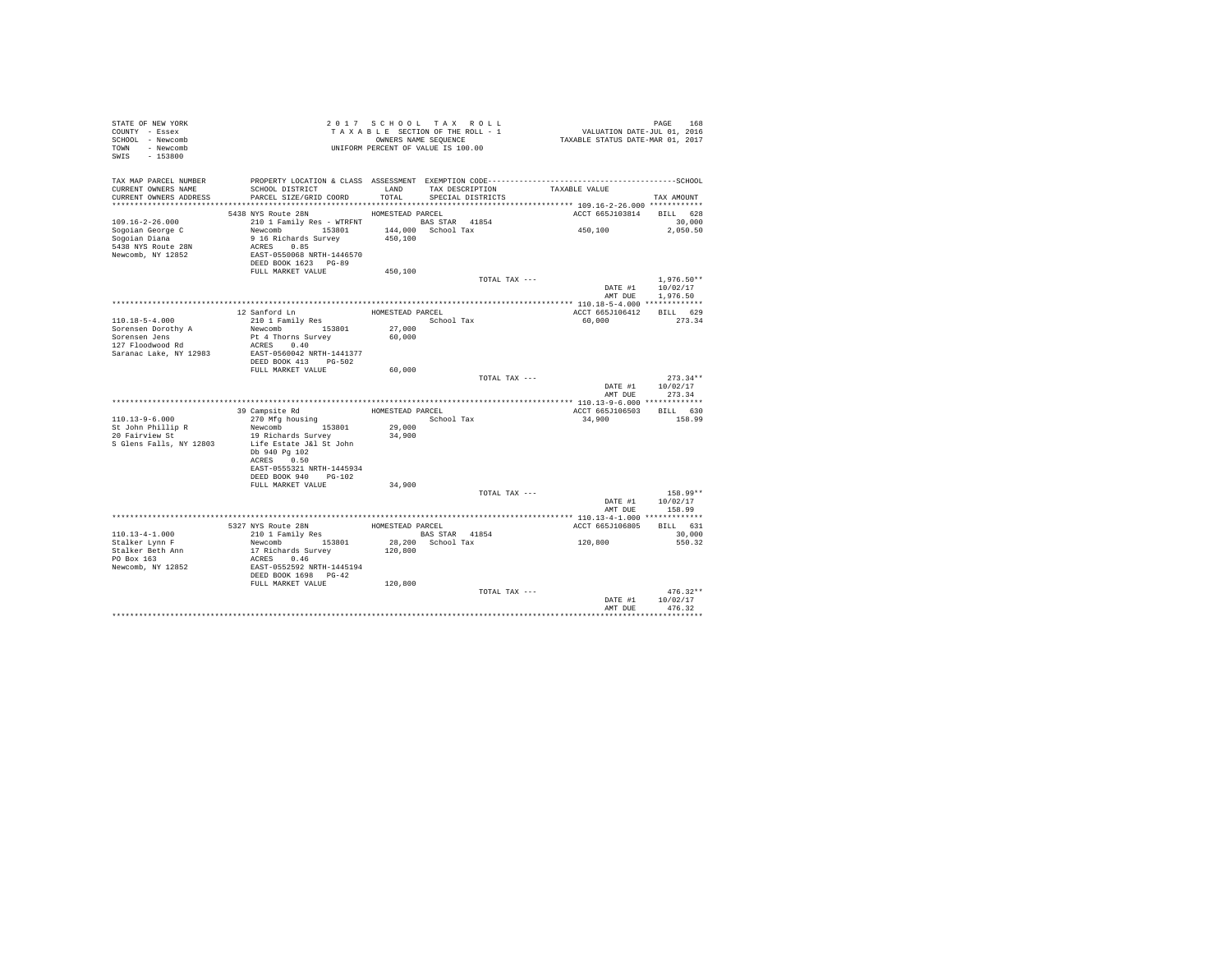| STATE OF NEW YORK<br>COUNTY - Essex<br>SCHOOL - Newcomb<br>TOWN - Newcomb<br>SWIS - 153800 | TAXABLE SECTION OF THE ROLL - 1<br>TAXABLE SECTION OF THE ROLL - 1<br>UNIFORM PERCENT OF VALUE IS 100.00 |                        | TAXABLE SECTION OF THE ROLL - 1<br>OWNERS NAME SEQUENCE | PAGE 168<br>VALUATION DATE-JUL 01, 2016<br>TAXABLE STATUS DATE-MAR 01, 2017                  |                          |
|--------------------------------------------------------------------------------------------|----------------------------------------------------------------------------------------------------------|------------------------|---------------------------------------------------------|----------------------------------------------------------------------------------------------|--------------------------|
| TAX MAP PARCEL NUMBER                                                                      |                                                                                                          |                        |                                                         | PROPERTY LOCATION & CLASS ASSESSMENT EXEMPTION CODE-----------------------------------SCHOOL |                          |
| CURRENT OWNERS NAME                                                                        | SCHOOL DISTRICT                                                                                          | LAND                   | TAX DESCRIPTION                                         | TAXABLE VALUE                                                                                |                          |
| CURRENT OWNERS ADDRESS                                                                     | PARCEL SIZE/GRID COORD                                                                                   | TOTAL                  | SPECIAL DISTRICTS                                       |                                                                                              | TAX AMOUNT               |
|                                                                                            |                                                                                                          |                        |                                                         |                                                                                              |                          |
| $109.16 - 2 - 26.000$                                                                      | 5438 NYS Route 28N                                                                                       | HOMESTEAD PARCEL       |                                                         | ACCT 665J103814 BILL 628                                                                     | 30,000                   |
| Sogoian George C                                                                           | Newcomb 153801                                                                                           |                        |                                                         | 450,100                                                                                      | 2,050.50                 |
| Sogoian Diana                                                                              | 9 16 Richards Survey                                                                                     | 450,100                |                                                         |                                                                                              |                          |
| 5438 NYS Route 28N                                                                         | ACRES 0.85                                                                                               |                        |                                                         |                                                                                              |                          |
| Newcomb, NY 12852                                                                          | EAST-0550068 NRTH-1446570                                                                                |                        |                                                         |                                                                                              |                          |
|                                                                                            | DEED BOOK 1623 PG-89                                                                                     |                        |                                                         |                                                                                              |                          |
|                                                                                            | FULL MARKET VALUE                                                                                        | 450,100                |                                                         |                                                                                              |                          |
|                                                                                            |                                                                                                          |                        | TOTAL TAX ---                                           | DATE #1                                                                                      | $1.976.50**$<br>10/02/17 |
|                                                                                            |                                                                                                          |                        |                                                         |                                                                                              | AMT DUE 1,976.50         |
|                                                                                            |                                                                                                          |                        |                                                         |                                                                                              |                          |
|                                                                                            | 12 Sanford Ln                                                                                            | HOMESTEAD PARCEL       |                                                         | ACCT 665J106412 BILL 629                                                                     |                          |
| 110.18-5-4.000                                                                             | 210 1 Family Res                                                                                         |                        | School Tax                                              | 60,000                                                                                       | 273.34                   |
| Sorensen Dorothy A<br>Sorensen Jens<br>127 Floodwood Rd                                    | Newcomb 153801                                                                                           | $\bf{27}$ , $\bf{000}$ |                                                         |                                                                                              |                          |
|                                                                                            | Pt 4 Thorns Survey                                                                                       | 60,000                 |                                                         |                                                                                              |                          |
| Saranac Lake, NY 12983                                                                     | ACRES 0.40<br>EAST-0560042 NRTH-1441377                                                                  |                        |                                                         |                                                                                              |                          |
|                                                                                            | DEED BOOK 413 PG-502                                                                                     |                        |                                                         |                                                                                              |                          |
|                                                                                            | FULL MARKET VALUE                                                                                        | 60,000                 |                                                         |                                                                                              |                          |
|                                                                                            |                                                                                                          |                        | TOTAL TAX ---                                           |                                                                                              | $273.34**$               |
|                                                                                            |                                                                                                          |                        |                                                         |                                                                                              | DATE #1 10/02/17         |
|                                                                                            |                                                                                                          |                        |                                                         | AMT DUE                                                                                      | 273.34                   |
|                                                                                            | 39 Campsite Rd                                                                                           |                        | HOMESTEAD PARCEL                                        | ACCT 665J106503 BILL 630                                                                     |                          |
| $110.13 - 9 - 6.000$                                                                       | 270 Mfg housing                                                                                          |                        | School Tax                                              | 34,900                                                                                       | 158.99                   |
|                                                                                            | Newcomb 153801                                                                                           | 29,000                 |                                                         |                                                                                              |                          |
| St John Phillip R<br>20 Fairview St                                                        | 19 Richards Survey                                                                                       | 34,900                 |                                                         |                                                                                              |                          |
| S Glens Falls, NY 12803                                                                    | Life Estate J&l St John                                                                                  |                        |                                                         |                                                                                              |                          |
|                                                                                            | Db 940 Pg 102                                                                                            |                        |                                                         |                                                                                              |                          |
|                                                                                            | ACRES 0.50<br>EAST-0555321 NRTH-1445934                                                                  |                        |                                                         |                                                                                              |                          |
|                                                                                            | DEED BOOK 940 PG-102                                                                                     |                        |                                                         |                                                                                              |                          |
|                                                                                            | FULL MARKET VALUE                                                                                        | 34,900                 |                                                         |                                                                                              |                          |
|                                                                                            |                                                                                                          |                        | TOTAL TAX ---                                           |                                                                                              | $158.99**$               |
|                                                                                            |                                                                                                          |                        |                                                         |                                                                                              | DATE #1 10/02/17         |
|                                                                                            |                                                                                                          |                        |                                                         |                                                                                              | AMT DUE 158.99           |
|                                                                                            |                                                                                                          |                        | HOMESTEAD PARCEL                                        | ACCT 665J106805                                                                              | BILL 631                 |
| $110.13 - 4 - 1.000$                                                                       | 5327 NYS Route 28N<br>210 1 Family Res                                                                   |                        | <b>BAS STAR</b> 41854                                   |                                                                                              | 30,000                   |
| Stalker Lynn F                                                                             |                                                                                                          |                        | 28,200 School Tax                                       | 120,800                                                                                      | 550.32                   |
| Stalker Beth Ann                                                                           | Newcomb 153801<br>17 Richards Survey                                                                     | 120,800                |                                                         |                                                                                              |                          |
| PO Box 163                                                                                 |                                                                                                          |                        |                                                         |                                                                                              |                          |
| Newcomb, NY 12852                                                                          | ACRES 0.46<br>EAST-0552592 NRTH-1445194<br>DEED BOOK 1698 PG-42                                          |                        |                                                         |                                                                                              |                          |
|                                                                                            |                                                                                                          |                        |                                                         |                                                                                              |                          |
|                                                                                            | FULL MARKET VALUE                                                                                        | 120,800                | TOTAL TAX ---                                           |                                                                                              | $476.32**$               |
|                                                                                            |                                                                                                          |                        |                                                         | DATE #1                                                                                      | 10/02/17                 |
|                                                                                            |                                                                                                          |                        |                                                         | AMT DUE                                                                                      | 476.32                   |
|                                                                                            |                                                                                                          |                        |                                                         |                                                                                              |                          |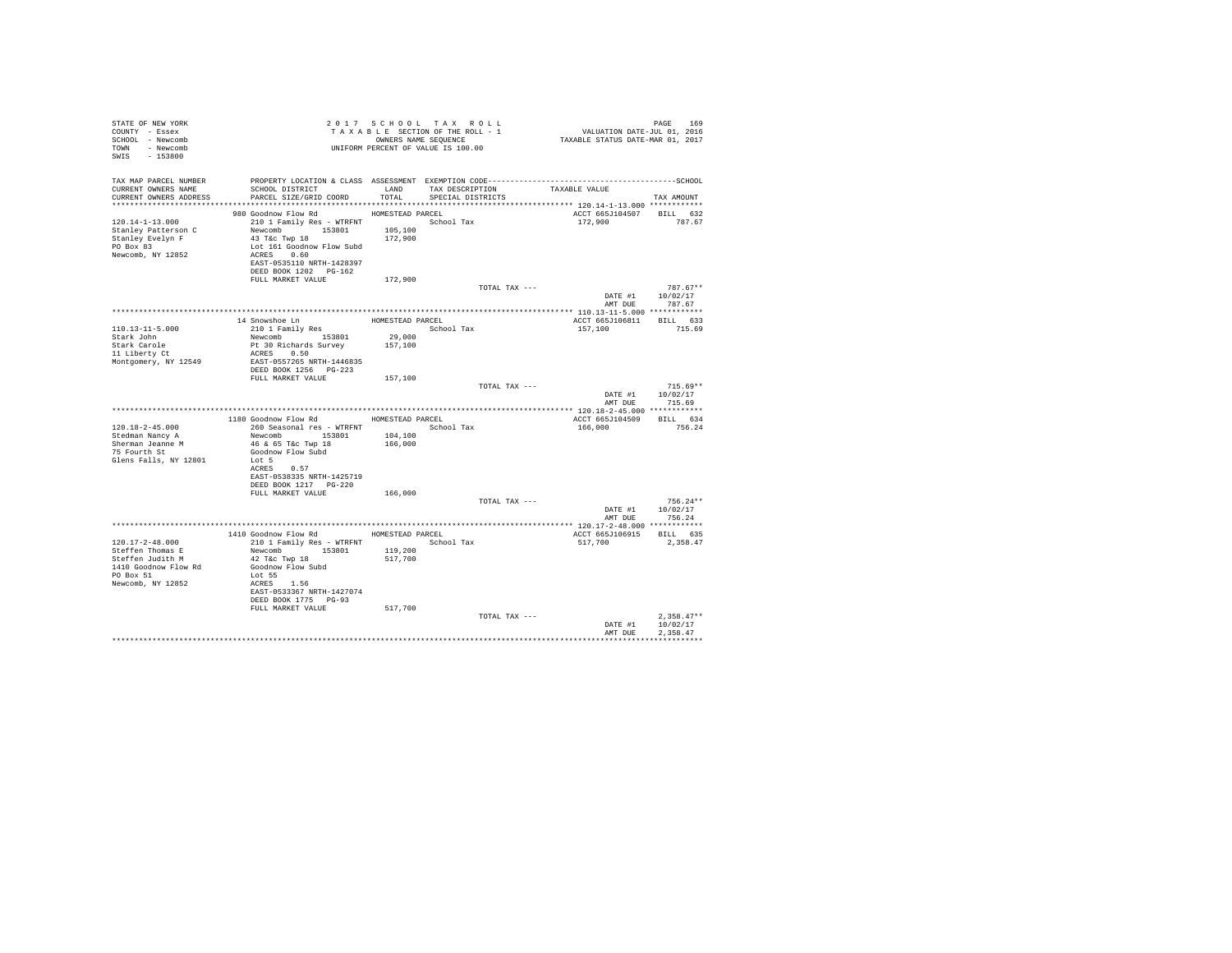| STATE OF NEW YORK<br>COUNTY - Essex<br>SCHOOL - Newcomb<br>TOWN - Newcomb<br>SWIS - 153800   | TAXABLE SECTION OF THE KODD - THAT A BLE SECTION OF THE KODD - OWNERS NAME SEQUENCE                                                                                   |                    |                   |                                    | PAGE 169<br>VALUATION DATE-JUL 01, 2016<br>TAXABLE STATUS DATE-MAR 01, 2017 |                                                  |
|----------------------------------------------------------------------------------------------|-----------------------------------------------------------------------------------------------------------------------------------------------------------------------|--------------------|-------------------|------------------------------------|-----------------------------------------------------------------------------|--------------------------------------------------|
| TAX MAP PARCEL NUMBER                                                                        |                                                                                                                                                                       |                    |                   |                                    |                                                                             |                                                  |
| CURRENT OWNERS NAME<br>CURRENT OWNERS ADDRESS                                                | SCHOOL DISTRICT<br>PARCEL SIZE/GRID COORD                                                                                                                             | TOTAL              | SPECIAL DISTRICTS | LAND TAX DESCRIPTION TAXABLE VALUE |                                                                             | TAX AMOUNT                                       |
|                                                                                              |                                                                                                                                                                       |                    |                   |                                    |                                                                             |                                                  |
|                                                                                              | 980 Goodnow Flow Rd MOMESTEAD PARCEL                                                                                                                                  |                    |                   |                                    | ACCT 665J104507                                                             | BILL 632                                         |
| 120.14-1-13.000<br>Stanley Patterson C<br>Stanley Evelyn F<br>PO Box 83<br>Newcomb, NY 12852 | 210 1 Family Res - WTRFNT<br>Newcomb 153801 105,100<br>43 T&C Twp 18<br>Lot 161 Goodnow Flow Subd<br>ACRES 0.60<br>EAST-0535110 NRTH-1428397<br>DEED BOOK 1202 PG-162 | 172,900            | School Tax        |                                    | 172,900                                                                     | 787.67                                           |
|                                                                                              | FULL MARKET VALUE                                                                                                                                                     | 172,900            |                   |                                    |                                                                             |                                                  |
|                                                                                              |                                                                                                                                                                       |                    |                   | TOTAL TAX ---                      |                                                                             | $787.67**$<br>DATE #1 10/02/17<br>AMT DUE 787.67 |
|                                                                                              |                                                                                                                                                                       |                    |                   |                                    |                                                                             |                                                  |
|                                                                                              | 14 Snowshoe Ln<br>210 1 Family Res                                                                                                                                    |                    | HOMESTEAD PARCEL  |                                    | ACCT 665J106811 BILL 633                                                    |                                                  |
| 110.13-11-5.000                                                                              |                                                                                                                                                                       | 29,000             | School Tax        |                                    | 157,100                                                                     | 715.69                                           |
| Stark John<br>Stark Carole                                                                   | Newcomb 153801<br>Pt 30 Richards Survey                                                                                                                               | 157,100            |                   |                                    |                                                                             |                                                  |
| 11 Liberty Ct                                                                                | ACRES 0.50                                                                                                                                                            |                    |                   |                                    |                                                                             |                                                  |
| Montgomery, NY 12549                                                                         | EAST-0557265 NRTH-1446835                                                                                                                                             |                    |                   |                                    |                                                                             |                                                  |
|                                                                                              | DEED BOOK 1256 PG-223<br>FULL MARKET VALUE                                                                                                                            | 157,100            |                   |                                    |                                                                             |                                                  |
|                                                                                              |                                                                                                                                                                       |                    |                   | TOTAL TAX ---                      |                                                                             | $715.69**$                                       |
|                                                                                              |                                                                                                                                                                       |                    |                   |                                    |                                                                             | DATE #1 10/02/17<br>AMT DUE 715.69               |
|                                                                                              | 1180 Goodnow Flow Rd MOMESTEAD PARCEL                                                                                                                                 |                    |                   |                                    | ACCT 665J104509 BILL 634                                                    |                                                  |
| 120.18-2-45.000                                                                              | 260 Seasonal res - WTRFNT               School Tax                                                                                                                    |                    |                   |                                    | 166,000                                                                     | 756.24                                           |
| Stedman Nancy A                                                                              | Newcomb 153801 104,100                                                                                                                                                |                    |                   |                                    |                                                                             |                                                  |
| Sherman Jeanne M<br>75 Fourth St                                                             | 46 & 65 T&c Twp 18                                                                                                                                                    | 166,000            |                   |                                    |                                                                             |                                                  |
| Glens Falls, NY 12801                                                                        | Goodnow Flow Subd<br>Lot 5                                                                                                                                            |                    |                   |                                    |                                                                             |                                                  |
|                                                                                              | ACRES 0.57                                                                                                                                                            |                    |                   |                                    |                                                                             |                                                  |
|                                                                                              | EAST-0538335 NRTH-1425719                                                                                                                                             |                    |                   |                                    |                                                                             |                                                  |
|                                                                                              | DEED BOOK 1217 PG-220<br>FULL MARKET VALUE                                                                                                                            | 166,000            |                   |                                    |                                                                             |                                                  |
|                                                                                              |                                                                                                                                                                       |                    |                   | TOTAL TAX ---                      |                                                                             | $756.24**$                                       |
|                                                                                              |                                                                                                                                                                       |                    |                   |                                    |                                                                             | DATE #1 10/02/17                                 |
|                                                                                              |                                                                                                                                                                       |                    |                   |                                    | AMT DUE                                                                     | 756.24                                           |
|                                                                                              | 1410 Goodnow Flow Rd MOMESTEAD PARCEL                                                                                                                                 |                    |                   |                                    | ACCT 665J106915 BILL 635                                                    |                                                  |
| 120.17-2-48.000                                                                              | 210 1 Family Res - WTRFNT                                                                                                                                             |                    | School Tax        |                                    | 517,700                                                                     | 2,358.47                                         |
| Steffen Thomas E<br>Steffen Judith M                                                         | Newcomb 153801<br>42 T&C Twp 18                                                                                                                                       | 119,200<br>517,700 |                   |                                    |                                                                             |                                                  |
| 1410 Goodnow Flow Rd                                                                         | Goodnow Flow Subd                                                                                                                                                     |                    |                   |                                    |                                                                             |                                                  |
| PO Box 51                                                                                    | Lot 55                                                                                                                                                                |                    |                   |                                    |                                                                             |                                                  |
| Newcomb, NY 12852                                                                            | ACRES 1.56<br>EAST-0533367 NRTH-1427074<br>DEED BOOK 1775 PG-93                                                                                                       |                    |                   |                                    |                                                                             |                                                  |
|                                                                                              | FULL MARKET VALUE                                                                                                                                                     | 517,700            |                   |                                    |                                                                             |                                                  |
|                                                                                              |                                                                                                                                                                       |                    |                   | TOTAL TAX ---                      |                                                                             | $2,358.47**$                                     |
|                                                                                              |                                                                                                                                                                       |                    |                   |                                    | DATE #1                                                                     | 10/02/17                                         |
|                                                                                              |                                                                                                                                                                       |                    |                   |                                    | AMT DUE                                                                     | 2.358.47<br>************                         |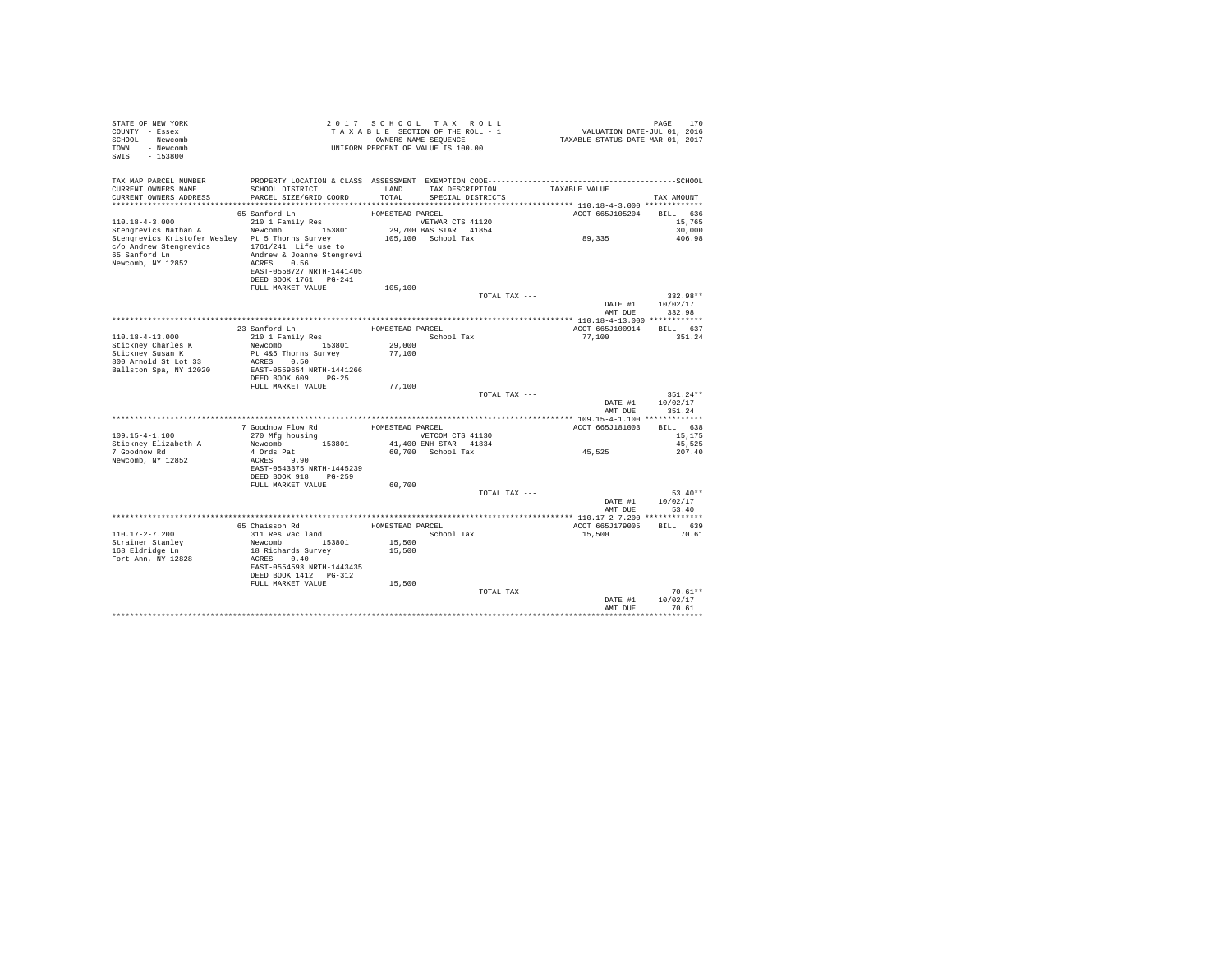| STATE OF NEW YORK<br>COUNTY - Essex<br>SCHOOL - Newcomb<br>TOWN - Newcomb<br>SWIS - 153800                                                                                                                                                                                | 2017 SCHOOL TAX ROLL<br>PAGE 170<br>2016 VALUATION DATE-JUL<br>2017 TAXABLE STATUS DATE-MAR<br>TAXABLE SECTION OF THE ROLL - 1<br>OWNERS NAME SEOUENCE<br>UNIFORM PERCENT OF VALUE IS 100.00 | PAGE<br>170                |
|---------------------------------------------------------------------------------------------------------------------------------------------------------------------------------------------------------------------------------------------------------------------------|----------------------------------------------------------------------------------------------------------------------------------------------------------------------------------------------|----------------------------|
| TAX MAP PARCEL NUMBER<br>SCHOOL DISTRICT LAND<br>CURRENT OWNERS NAME<br>PARCEL SIZE/GRID COORD<br>CURRENT OWNERS ADDRESS                                                                                                                                                  | TAX DESCRIPTION TAXABLE VALUE<br>TOTAL<br>SPECIAL DISTRICTS                                                                                                                                  | TAX AMOUNT                 |
| 65 Sanford Ln                                                                                                                                                                                                                                                             | ACCT 665J105204 BILL 636<br>HOMESTEAD PARCEL                                                                                                                                                 |                            |
| 210 1 Family Res<br>$110.18 - 4 - 3.000$<br>Newcomb 153801<br>Stengrevics Nathan A<br>Stengrevics Kristofer Wesley Pt 5 Thorns Survey<br>$c/o$ Andrew Stengrevics $1761/241$ Life use to<br>65 Sanford Ln<br>Andrew & Joanne Stengrevi<br>Newcomb, NY 12852<br>ACRES 0.56 | VETWAR CTS 41120<br>29,700 BAS STAR 41854<br>89,335<br>105,100 School Tax                                                                                                                    | 15,765<br>30,000<br>406.98 |
| EAST-0558727 NRTH-1441405                                                                                                                                                                                                                                                 |                                                                                                                                                                                              |                            |
| DEED BOOK 1761    PG-241<br>FULL MARKET VALUE                                                                                                                                                                                                                             | 105,100                                                                                                                                                                                      |                            |
|                                                                                                                                                                                                                                                                           | TOTAL TAX ---                                                                                                                                                                                | 332.98**                   |
|                                                                                                                                                                                                                                                                           | DATE #1 10/02/17                                                                                                                                                                             |                            |
|                                                                                                                                                                                                                                                                           | AMT DUE                                                                                                                                                                                      | 332.98                     |
| 23 Sanford Ln                                                                                                                                                                                                                                                             | HOMESTEAD PARCEL<br>ACCT 665J100914                                                                                                                                                          | BILL 637                   |
| 210 1 Family Res<br>$110.18 - 4 - 13.000$                                                                                                                                                                                                                                 | School Tax<br>77.100                                                                                                                                                                         | 351.24                     |
| Stickney Charles K<br>Newcomb 153801                                                                                                                                                                                                                                      | 29,000                                                                                                                                                                                       |                            |
| Stickney Susan K<br>Pt 4&5 Thorns Survey                                                                                                                                                                                                                                  | 77,100                                                                                                                                                                                       |                            |
| 800 Arnold St Lot 33<br>ACRES 0.50<br>Ballston Spa, NY 12020<br>EAST-0559654 NRTH-1441266                                                                                                                                                                                 |                                                                                                                                                                                              |                            |
| DEED BOOK 609 PG-25                                                                                                                                                                                                                                                       |                                                                                                                                                                                              |                            |
| FULL MARKET VALUE                                                                                                                                                                                                                                                         | 77,100                                                                                                                                                                                       |                            |
|                                                                                                                                                                                                                                                                           | TOTAL TAX ---                                                                                                                                                                                | $351.24**$                 |
|                                                                                                                                                                                                                                                                           | DATE #1<br>AMT DUE                                                                                                                                                                           | 10/02/17<br>351.24         |
|                                                                                                                                                                                                                                                                           |                                                                                                                                                                                              |                            |
| 7 Goodnow Flow Rd                                                                                                                                                                                                                                                         | HOMESTEAD PARCEL<br>ACCT 665J181003                                                                                                                                                          | BILL 638                   |
| $109.15 - 4 - 1.100$<br>270 Mfg housing                                                                                                                                                                                                                                   | VETCOM CTS 41130                                                                                                                                                                             | 15,175                     |
| Newcomb 153801<br>Stickney Elizabeth A<br>7 Goodnow Rd<br>4 Ords Pat                                                                                                                                                                                                      | 41,400 ENH STAR 41834<br>45,525<br>60.700 School Tax                                                                                                                                         | 45,525<br>207.40           |
| ACRES 9.90<br>Newcomb, NY 12852                                                                                                                                                                                                                                           |                                                                                                                                                                                              |                            |
| EAST-0543375 NRTH-1445239                                                                                                                                                                                                                                                 |                                                                                                                                                                                              |                            |
| DEED BOOK 918 PG-259                                                                                                                                                                                                                                                      |                                                                                                                                                                                              |                            |
| FULL MARKET VALUE                                                                                                                                                                                                                                                         | 60,700<br>TOTAL TAX ---                                                                                                                                                                      | $53.40**$                  |
|                                                                                                                                                                                                                                                                           | DATE #1                                                                                                                                                                                      | 10/02/17                   |
|                                                                                                                                                                                                                                                                           | AMT DUR                                                                                                                                                                                      | 53.40                      |
|                                                                                                                                                                                                                                                                           |                                                                                                                                                                                              |                            |
| 65 Chaisson Rd<br>311 Res vac land<br>$110.17 - 2 - 7.200$                                                                                                                                                                                                                | HOMESTEAD PARCEL<br>ACCT 665J179005<br>School Tax<br>15,500                                                                                                                                  | BILL 639<br>70.61          |
| Newcomb 153801<br>Strainer Stanley                                                                                                                                                                                                                                        | 15,500                                                                                                                                                                                       |                            |
| 168 Eldridge Ln<br>18 Richards Survey                                                                                                                                                                                                                                     | 15,500                                                                                                                                                                                       |                            |
| Fort Ann, NY 12828<br>ACRES 0.40                                                                                                                                                                                                                                          |                                                                                                                                                                                              |                            |
| EAST-0554593 NRTH-1443435<br>DEED BOOK 1412   PG-312                                                                                                                                                                                                                      |                                                                                                                                                                                              |                            |
| FULL MARKET VALUE                                                                                                                                                                                                                                                         | 15,500                                                                                                                                                                                       |                            |
|                                                                                                                                                                                                                                                                           | TOTAL TAX ---                                                                                                                                                                                | $70.61**$                  |
|                                                                                                                                                                                                                                                                           | DATE #1                                                                                                                                                                                      | 10/02/17                   |
|                                                                                                                                                                                                                                                                           | AMT DUE                                                                                                                                                                                      | 70.61                      |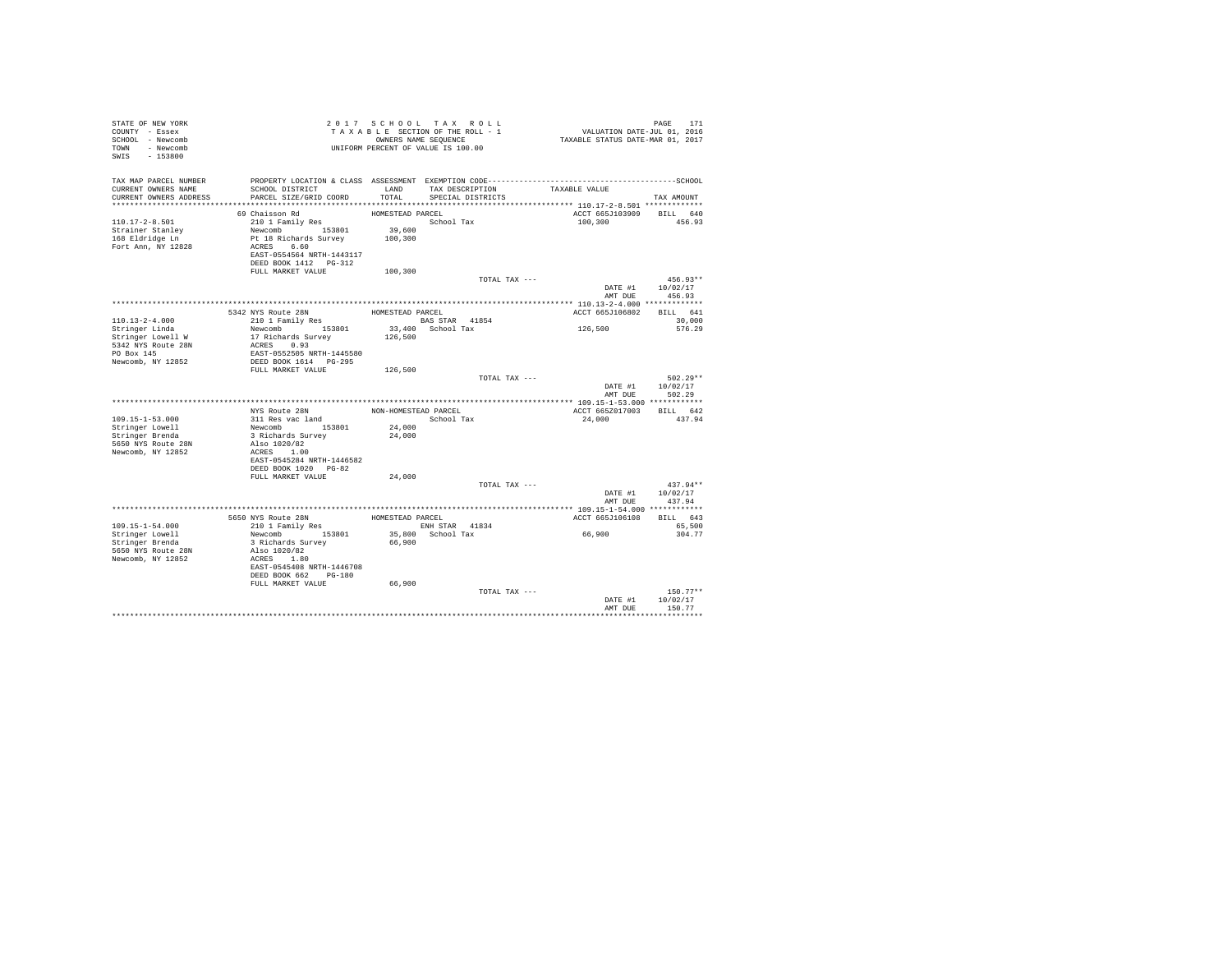| STATE OF NEW YORK<br>COUNTY - Essex<br>SCHOOL - Newcomb<br>TOWN - Newcomb<br>SWIS - 153800 |                                                                                                                                                        |                              | 2017 SCHOOL TAX ROLL<br>PAGE 171 2017 SCHOOL TAX ROLL 2017 PAGE 171<br>TAXABLE SECTION OF THE ROLL - 1 VALUATION DATE-JUL 01, 2016<br>ONNERS NAME SEQUENCE 1 TAXABLE STATUS DATE-MAR 01, 2017<br>UNIFORM PERCENT OF VALUE IS 100.00 |         |                             | PAGE<br>171                              |
|--------------------------------------------------------------------------------------------|--------------------------------------------------------------------------------------------------------------------------------------------------------|------------------------------|-------------------------------------------------------------------------------------------------------------------------------------------------------------------------------------------------------------------------------------|---------|-----------------------------|------------------------------------------|
| TAX MAP PARCEL NUMBER<br>CURRENT OWNERS NAME<br>CURRENT OWNERS ADDRESS                     | SCHOOL DISTRICT<br>PARCEL SIZE/GRID COORD                                                                                                              | LAND<br>TOTAL                | TAX DESCRIPTION TAXABLE VALUE<br>SPECIAL DISTRICTS                                                                                                                                                                                  |         |                             | TAX AMOUNT                               |
|                                                                                            | 69 Chaisson Rd                                                                                                                                         | HOMESTEAD PARCEL             |                                                                                                                                                                                                                                     |         |                             | ACCT 665J103909 BILL 640                 |
| $110.17 - 2 - 8.501$<br>Strainer Stanley<br>168 Eldridge Ln<br>Fort Ann, NY 12828          | 210 1 Family Res<br>Newcomb 153801<br>Pt 18 Richards Survey<br>ACRES 6.60<br>EAST-0554564 NRTH-1443117<br>DEED BOOK 1412   PG-312<br>FULL MARKET VALUE | 39,600<br>100,300<br>100,300 | School Tax                                                                                                                                                                                                                          | 100,300 |                             | 456.93                                   |
|                                                                                            |                                                                                                                                                        |                              | TOTAL TAX ---                                                                                                                                                                                                                       |         |                             | $456.93**$                               |
|                                                                                            |                                                                                                                                                        |                              |                                                                                                                                                                                                                                     |         |                             | DATE #1 10/02/17<br>AMT DUE 456.93       |
|                                                                                            |                                                                                                                                                        |                              |                                                                                                                                                                                                                                     |         |                             | ACCT 665J106802 BILL 641                 |
| $110.13 - 2 - 4.000$                                                                       | ${\small\begin{tabular}{lcl} \bf 5342 NYS Route & 28N & \tt HOMESTEAD PARCEL \\ 210 1 Family Res & \tt BASSTAR & \tt BAS \end{tabular}}$               |                              |                                                                                                                                                                                                                                     |         |                             | 30,000                                   |
| Stringer Linda<br>Stringer Lowell W<br>5342 NYS Route 28N<br>PO Box 145                    | BAS STAR 41854<br>17 Richards Survey 13,400 School Tax<br>ACRES 0.93<br>ACRES 0.93<br>FREE 0.93<br>EAST-0552505 NRTH-1445580                           |                              |                                                                                                                                                                                                                                     | 126,500 |                             | 576.29                                   |
| Newcomb, NY 12852                                                                          | DEED BOOK 1614 PG-295                                                                                                                                  |                              |                                                                                                                                                                                                                                     |         |                             |                                          |
|                                                                                            | FULL MARKET VALUE                                                                                                                                      | 126,500                      | TOTAL TAX ---                                                                                                                                                                                                                       |         | DATE #1 10/02/17<br>AMT DUE | 502.29**<br>502.29                       |
|                                                                                            |                                                                                                                                                        |                              |                                                                                                                                                                                                                                     |         |                             |                                          |
|                                                                                            | NYS Route 28N                                                                                                                                          | NON-HOMESTEAD PARCEL         |                                                                                                                                                                                                                                     |         |                             | ACCT 665Z017003 BILL 642                 |
| $109.15 - 1 - 53.000$                                                                      | 311 Res vac land<br>311 Res vac land<br>Newcomb 153801                                                                                                 | 24,000                       | School Tax                                                                                                                                                                                                                          | 24,000  |                             | 437.94                                   |
| Stringer Lowell<br>Stringer Brenda<br>5650 NYS Route 28N<br>Newcomb, NY 12852              | 3 Richards Survey<br>Also 1020/82<br>ACRES 1.00<br>EAST-0545284 NRTH-1446582                                                                           | 24,000                       |                                                                                                                                                                                                                                     |         |                             |                                          |
|                                                                                            | DEED BOOK 1020 PG-82                                                                                                                                   |                              |                                                                                                                                                                                                                                     |         |                             |                                          |
|                                                                                            | FULL MARKET VALUE                                                                                                                                      | 24,000                       |                                                                                                                                                                                                                                     |         |                             |                                          |
|                                                                                            |                                                                                                                                                        |                              | TOTAL TAX ---                                                                                                                                                                                                                       |         |                             | $437.94**$                               |
|                                                                                            |                                                                                                                                                        |                              |                                                                                                                                                                                                                                     |         |                             | DATE #1 10/02/17                         |
|                                                                                            |                                                                                                                                                        |                              |                                                                                                                                                                                                                                     |         | AMT DUE                     | 437.94                                   |
|                                                                                            |                                                                                                                                                        |                              |                                                                                                                                                                                                                                     |         |                             | ACCT 665J106108 BILL 643                 |
| $109.15 - 1 - 54.000$                                                                      |                                                                                                                                                        |                              |                                                                                                                                                                                                                                     |         |                             | 65,500                                   |
| Stringer Lowell                                                                            |                                                                                                                                                        |                              |                                                                                                                                                                                                                                     | 66,900  |                             | 304.77                                   |
| Stringer Brenda                                                                            |                                                                                                                                                        |                              |                                                                                                                                                                                                                                     |         |                             |                                          |
| 5650 NYS Route 28N<br>Newcomb, NY 12852                                                    | Also 1020/82<br>ACRES 1.80<br>EAST-0545408 NRTH-1446708<br>DEED BOOK 662 PG-180                                                                        |                              |                                                                                                                                                                                                                                     |         |                             |                                          |
|                                                                                            | FULL MARKET VALUE                                                                                                                                      | 66,900                       |                                                                                                                                                                                                                                     |         |                             |                                          |
|                                                                                            |                                                                                                                                                        |                              | TOTAL TAX ---                                                                                                                                                                                                                       |         | AMT DUE                     | $150.77**$<br>DATE #1 10/02/17<br>150.77 |
|                                                                                            |                                                                                                                                                        |                              |                                                                                                                                                                                                                                     |         |                             |                                          |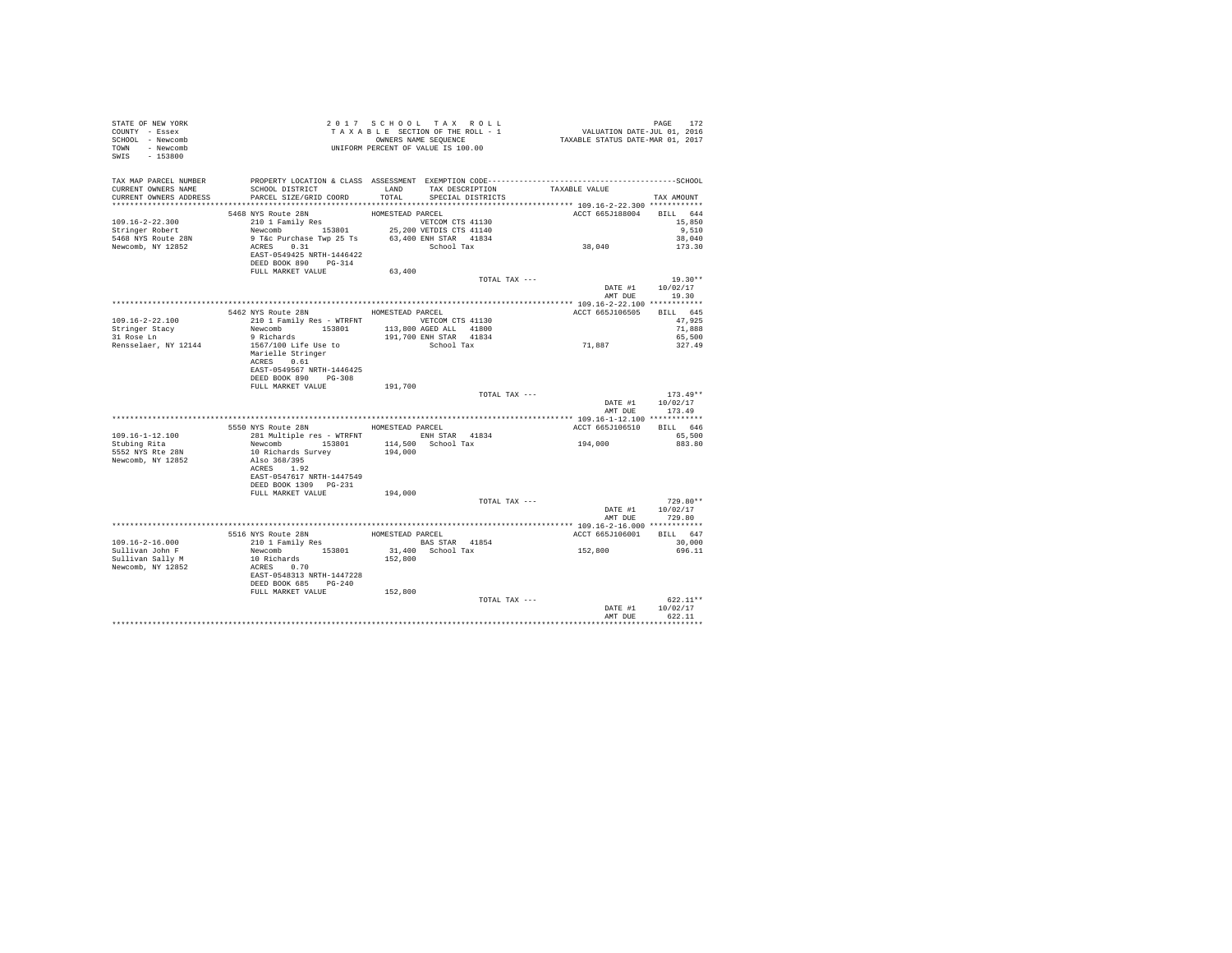| STATE OF NEW YORK<br>COUNTY - Essex<br>SCHOOL - Newcomb<br>TOWN - Newcomb<br>SWIS - 153800 |                                                                                                                                                                                                                                                                                              |         | UNIFORM PERCENT OF VALUE IS 100.00 |                          |                                                      |
|--------------------------------------------------------------------------------------------|----------------------------------------------------------------------------------------------------------------------------------------------------------------------------------------------------------------------------------------------------------------------------------------------|---------|------------------------------------|--------------------------|------------------------------------------------------|
| CURRENT OWNERS NAME                                                                        | TAX MAP PARCEL NUMBER PROPERTY LOCATION & CLASS ASSESSMENT EXEMPTION CODE----------------------------------SCHOOL<br>SCHOOL DISTRICT                     LAND        TAX DESCRIPTION                  TAXABLE VALUE<br>CURRENT OWNERS ADDRESS PARCEL SIZE/GRID COORD TOTAL SPECIAL DISTRICTS |         |                                    |                          | TAX AMOUNT                                           |
|                                                                                            |                                                                                                                                                                                                                                                                                              |         |                                    |                          |                                                      |
|                                                                                            |                                                                                                                                                                                                                                                                                              |         |                                    |                          |                                                      |
|                                                                                            |                                                                                                                                                                                                                                                                                              |         |                                    |                          |                                                      |
|                                                                                            |                                                                                                                                                                                                                                                                                              |         |                                    |                          |                                                      |
|                                                                                            | DEED BOOK 890 PG-314                                                                                                                                                                                                                                                                         |         |                                    |                          |                                                      |
|                                                                                            | FULL MARKET VALUE                                                                                                                                                                                                                                                                            | 63,400  |                                    |                          |                                                      |
|                                                                                            |                                                                                                                                                                                                                                                                                              |         | TOTAL TAX ---                      |                          | $19.30**$<br>DATE #1 10/02/17                        |
|                                                                                            |                                                                                                                                                                                                                                                                                              |         |                                    |                          | AMT DUE 19.30                                        |
|                                                                                            |                                                                                                                                                                                                                                                                                              |         |                                    |                          |                                                      |
|                                                                                            | 5462 NYS Route 28N HOMESTEAD PARCEL                                                                                                                                                                                                                                                          |         |                                    | ACCT 665J106505 BILL 645 |                                                      |
|                                                                                            |                                                                                                                                                                                                                                                                                              |         |                                    |                          |                                                      |
|                                                                                            |                                                                                                                                                                                                                                                                                              |         |                                    |                          |                                                      |
|                                                                                            | $\begin{tabular}{cccccc} 109.16-2-22.100 & 310.801 & 101.801 & 101.801 & 101.801 & 101.801 & 101.801 & 101.801 & 101.801 & 101.801 & 101.801 & 101.801 & 101.801 & 101.801 & 101.801 & 101.801 & 101.801 & 101.801 & 101.801 & 101.801 & 101.801 & 101.801 & 101.$                           |         |                                    |                          |                                                      |
|                                                                                            | Marielle Stringer<br>ACRES 0.61                                                                                                                                                                                                                                                              |         |                                    |                          |                                                      |
|                                                                                            | EAST-0549567 NRTH-1446425<br>DEED BOOK 890 PG-308                                                                                                                                                                                                                                            |         |                                    |                          |                                                      |
|                                                                                            | FULL MARKET VALUE 191,700                                                                                                                                                                                                                                                                    |         |                                    |                          |                                                      |
|                                                                                            |                                                                                                                                                                                                                                                                                              |         |                                    | TOTAL TAX ---            | $173.49*$ $10/02/17$<br>$173.49**$<br>AMT DUE 173.49 |
|                                                                                            |                                                                                                                                                                                                                                                                                              |         |                                    |                          |                                                      |
|                                                                                            | 5550 NYS Route 28N HOMESTEAD PARCEL                                                                                                                                                                                                                                                          |         |                                    | ACCT 665J106510 BILL 646 |                                                      |
| 109.16-1-12.100                                                                            |                                                                                                                                                                                                                                                                                              |         |                                    |                          | 65,500                                               |
| Stubing Rita<br>5552 NYS Rte 28N                                                           |                                                                                                                                                                                                                                                                                              |         |                                    |                          | 883.80                                               |
| Newcomb, NY 12852                                                                          |                                                                                                                                                                                                                                                                                              |         |                                    |                          |                                                      |
|                                                                                            | ACRES 1.92                                                                                                                                                                                                                                                                                   |         |                                    |                          |                                                      |
|                                                                                            | EAST-0547617 NRTH-1447549                                                                                                                                                                                                                                                                    |         |                                    |                          |                                                      |
|                                                                                            | DEED BOOK 1309 PG-231                                                                                                                                                                                                                                                                        |         |                                    |                          |                                                      |
|                                                                                            | FULL MARKET VALUE                                                                                                                                                                                                                                                                            | 194,000 |                                    | TOTAL TAX ---            | $729.80**$                                           |
|                                                                                            |                                                                                                                                                                                                                                                                                              |         |                                    |                          | 729.80*<br>DATE #1 10/02/17<br>AMT DUE 729.80        |
|                                                                                            |                                                                                                                                                                                                                                                                                              |         |                                    |                          |                                                      |
|                                                                                            |                                                                                                                                                                                                                                                                                              |         |                                    |                          |                                                      |
|                                                                                            |                                                                                                                                                                                                                                                                                              |         |                                    | ACCT 665J106001 BILL 647 |                                                      |
| $109.16 - 2 - 16.000$                                                                      |                                                                                                                                                                                                                                                                                              |         |                                    |                          | 30,000<br>696.11                                     |
|                                                                                            |                                                                                                                                                                                                                                                                                              |         |                                    |                          |                                                      |
| Sullivan John F<br>Sullivan Sally M<br>Newcomb, NY 12950                                   |                                                                                                                                                                                                                                                                                              |         |                                    |                          |                                                      |
|                                                                                            | EAST-0548313 NRTH-1447228<br>DEED BOOK 685 PG-240                                                                                                                                                                                                                                            |         |                                    |                          |                                                      |
|                                                                                            | FULL MARKET VALUE 152,800                                                                                                                                                                                                                                                                    |         |                                    |                          |                                                      |
|                                                                                            |                                                                                                                                                                                                                                                                                              |         | TOTAL TAX ---                      |                          | $622.11**$<br>DATE #1 10/02/17<br>AMT DUE 622.11     |
|                                                                                            |                                                                                                                                                                                                                                                                                              |         |                                    |                          |                                                      |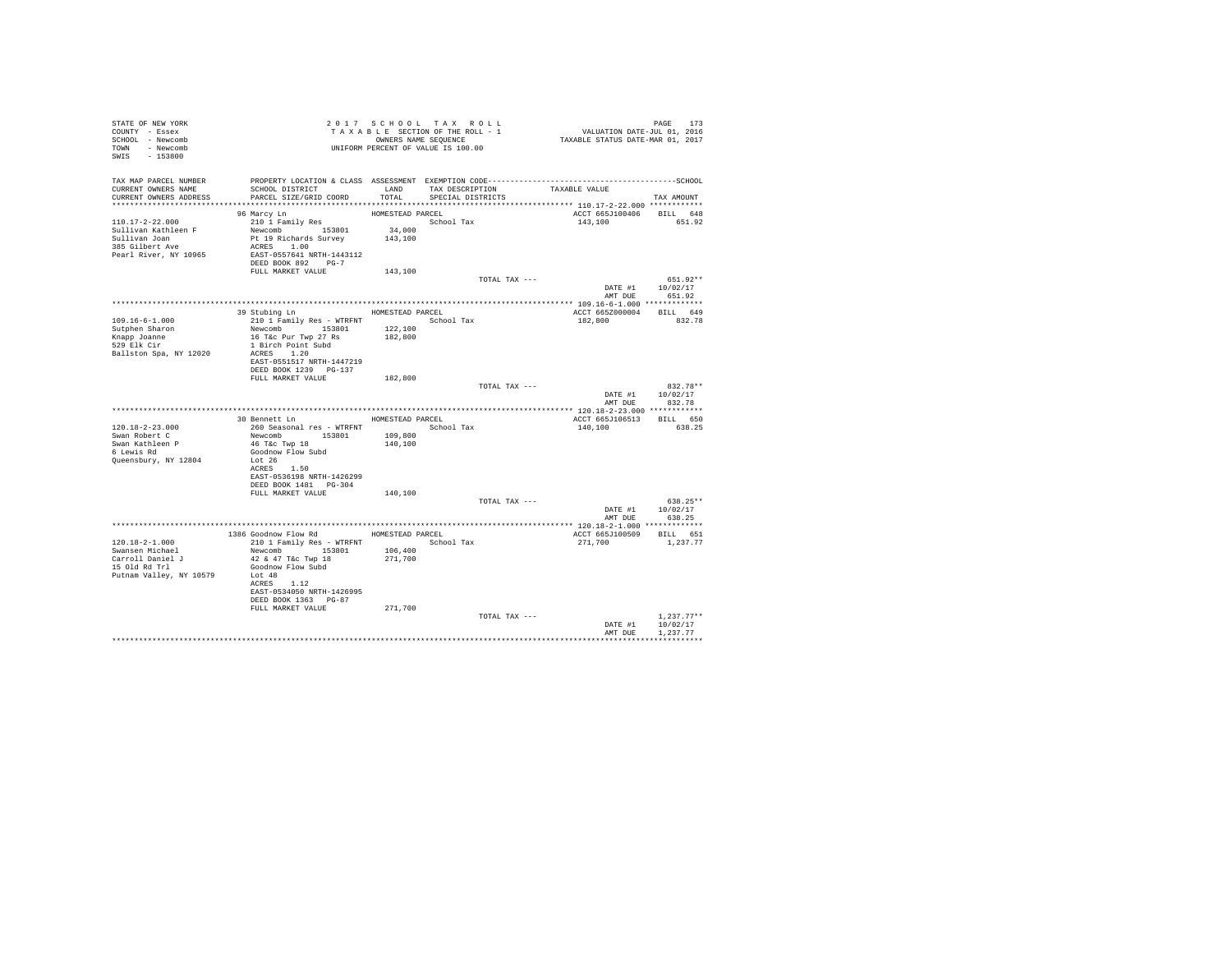| STATE OF NEW YORK<br>COUNTY - Essex<br>SCHOOL - Newcomb<br>TOWN - Newcomb<br>SWIS - 153800 | T A X A B B B B B B SOUENCE<br>ONNERS NAME SEQUENCE<br>UNIFORM PERCENT OF VALUE IS 100.00    |                  | 2017 SCHOOL TAX ROLL<br>TAXABLE SECTION OF THE ROLL - 1<br>OWNERS NAME SEQUENCE | PAGE 173<br>VALUATION DATE-JUL 01, 2016<br>TAXABLE STATUS DATE-MAR 01, 2017 |                          |
|--------------------------------------------------------------------------------------------|----------------------------------------------------------------------------------------------|------------------|---------------------------------------------------------------------------------|-----------------------------------------------------------------------------|--------------------------|
| TAX MAP PARCEL NUMBER                                                                      | PROPERTY LOCATION & CLASS ASSESSMENT EXEMPTION CODE-----------------------------------SCHOOL |                  |                                                                                 |                                                                             |                          |
| CURRENT OWNERS NAME<br>CURRENT OWNERS ADDRESS                                              | SCHOOL DISTRICT<br>PARCEL SIZE/GRID COORD                                                    | TOTAL            | LAND TAX DESCRIPTION TAXABLE VALUE<br>SPECIAL DISTRICTS                         |                                                                             |                          |
|                                                                                            |                                                                                              |                  |                                                                                 |                                                                             | TAX AMOUNT               |
|                                                                                            | 96 Marcy Ln                                                                                  | HOMESTEAD PARCEL |                                                                                 | ACCT 665J100406 BILL 648                                                    |                          |
| 110.17-2-22.000                                                                            | 210 1 Family Res                                                                             |                  | School Tax                                                                      | 143,100                                                                     | 651.92                   |
| Sullivan Kathleen F                                                                        | Newcomb 153801                                                                               | 34,000           |                                                                                 |                                                                             |                          |
| Sullivan Joan<br>385 Gilbert Ave                                                           | Pt 19 Richards Survey<br>ACRES 1.00                                                          | 143,100          |                                                                                 |                                                                             |                          |
| Pearl River, NY 10965                                                                      | EAST-0557641 NRTH-1443112                                                                    |                  |                                                                                 |                                                                             |                          |
|                                                                                            | DEED BOOK 892 PG-7                                                                           |                  |                                                                                 |                                                                             |                          |
|                                                                                            | FULL MARKET VALUE                                                                            | 143,100          | TOTAL TAX ---                                                                   |                                                                             | $651.92**$               |
|                                                                                            |                                                                                              |                  |                                                                                 | DATE #1 10/02/17                                                            |                          |
|                                                                                            |                                                                                              |                  |                                                                                 | AMT DUE                                                                     | 651.92                   |
|                                                                                            |                                                                                              |                  |                                                                                 |                                                                             |                          |
| 109.16-6-1.000                                                                             | 39 Stubing Ln<br>210 1 Family Res - WTRFNT School Tax                                        |                  | HOMESTEAD PARCEL                                                                | ACCT 665Z000004<br>182,800                                                  | BILL 649<br>832.78       |
| Sutphen Sharon                                                                             | Newcomb 153801                                                                               | 122,100          |                                                                                 |                                                                             |                          |
| Knapp Joanne<br>529 Elk Cir                                                                | 16 T&c Pur Twp 27 Rs                                                                         | 182,800          |                                                                                 |                                                                             |                          |
|                                                                                            | 1 Birch Point Subd<br>ACRES 1.20                                                             |                  |                                                                                 |                                                                             |                          |
| Ballston Spa, NY 12020                                                                     | EAST-0551517 NRTH-1447219                                                                    |                  |                                                                                 |                                                                             |                          |
|                                                                                            | DEED BOOK 1239 PG-137                                                                        |                  |                                                                                 |                                                                             |                          |
|                                                                                            | FULL MARKET VALUE                                                                            | 182,800          |                                                                                 |                                                                             |                          |
|                                                                                            |                                                                                              |                  | TOTAL TAX ---                                                                   | DATE #1 10/02/17                                                            | 832.78**                 |
|                                                                                            |                                                                                              |                  |                                                                                 |                                                                             | AMT DUE 832.78           |
|                                                                                            |                                                                                              |                  |                                                                                 |                                                                             |                          |
| $120.18 - 2 - 23.000$                                                                      | 30 Bennett Ln MESTEAD PARCEL                                                                 |                  |                                                                                 | ACCT 665J106513 BILL 650                                                    |                          |
| Swan Robert C                                                                              |                                                                                              |                  |                                                                                 | 140,100                                                                     | 638.25                   |
| Swan Kathleen P<br>6 Lewis Rd                                                              | 46 T&C Twp 18                                                                                | 140,100          |                                                                                 |                                                                             |                          |
|                                                                                            | Goodnow Flow Subd                                                                            |                  |                                                                                 |                                                                             |                          |
| Queensbury, NY 12804                                                                       | Lot 26<br>ACRES 1.50                                                                         |                  |                                                                                 |                                                                             |                          |
|                                                                                            | EAST-0536198 NRTH-1426299                                                                    |                  |                                                                                 |                                                                             |                          |
|                                                                                            | DEED BOOK 1481 PG-304                                                                        |                  |                                                                                 |                                                                             |                          |
|                                                                                            | FULL MARKET VALUE                                                                            | 140,100          | TOTAL TAX ---                                                                   |                                                                             | $638.25**$               |
|                                                                                            |                                                                                              |                  |                                                                                 |                                                                             | DATE #1 10/02/17         |
|                                                                                            |                                                                                              |                  |                                                                                 | AMT DUE                                                                     | 638.25                   |
|                                                                                            |                                                                                              |                  |                                                                                 |                                                                             |                          |
| 120.18-2-1.000                                                                             | 1386 Goodnow Flow Rd MOMESTEAD PARCEL<br>210 1 Family Res - WTRFNT                           |                  | School Tax                                                                      | ACCT 665J100509 BILL 651<br>271,700                                         | 1,237.77                 |
| Swansen Michael                                                                            | Newcomb 153801                                                                               | 106,400          |                                                                                 |                                                                             |                          |
| Carroll Daniel J<br>15 Old Rd Trl                                                          | 42 & 47 T&c Twp 18                                                                           | 271,700          |                                                                                 |                                                                             |                          |
| Putnam Valley, NY 10579                                                                    | Goodnow Flow Subd<br>Lot 48                                                                  |                  |                                                                                 |                                                                             |                          |
|                                                                                            | ACRES 1.12                                                                                   |                  |                                                                                 |                                                                             |                          |
|                                                                                            | EAST-0534050 NRTH-1426995                                                                    |                  |                                                                                 |                                                                             |                          |
|                                                                                            | DEED BOOK 1363 PG-87<br>FULL MARKET VALUE                                                    | 271,700          |                                                                                 |                                                                             |                          |
|                                                                                            |                                                                                              |                  | TOTAL TAX ---                                                                   |                                                                             | $1,237.77**$             |
|                                                                                            |                                                                                              |                  |                                                                                 | DATE #1                                                                     | 10/02/17                 |
|                                                                                            |                                                                                              |                  |                                                                                 | AMT DUE                                                                     | 1,237.77<br>************ |
|                                                                                            |                                                                                              |                  |                                                                                 |                                                                             |                          |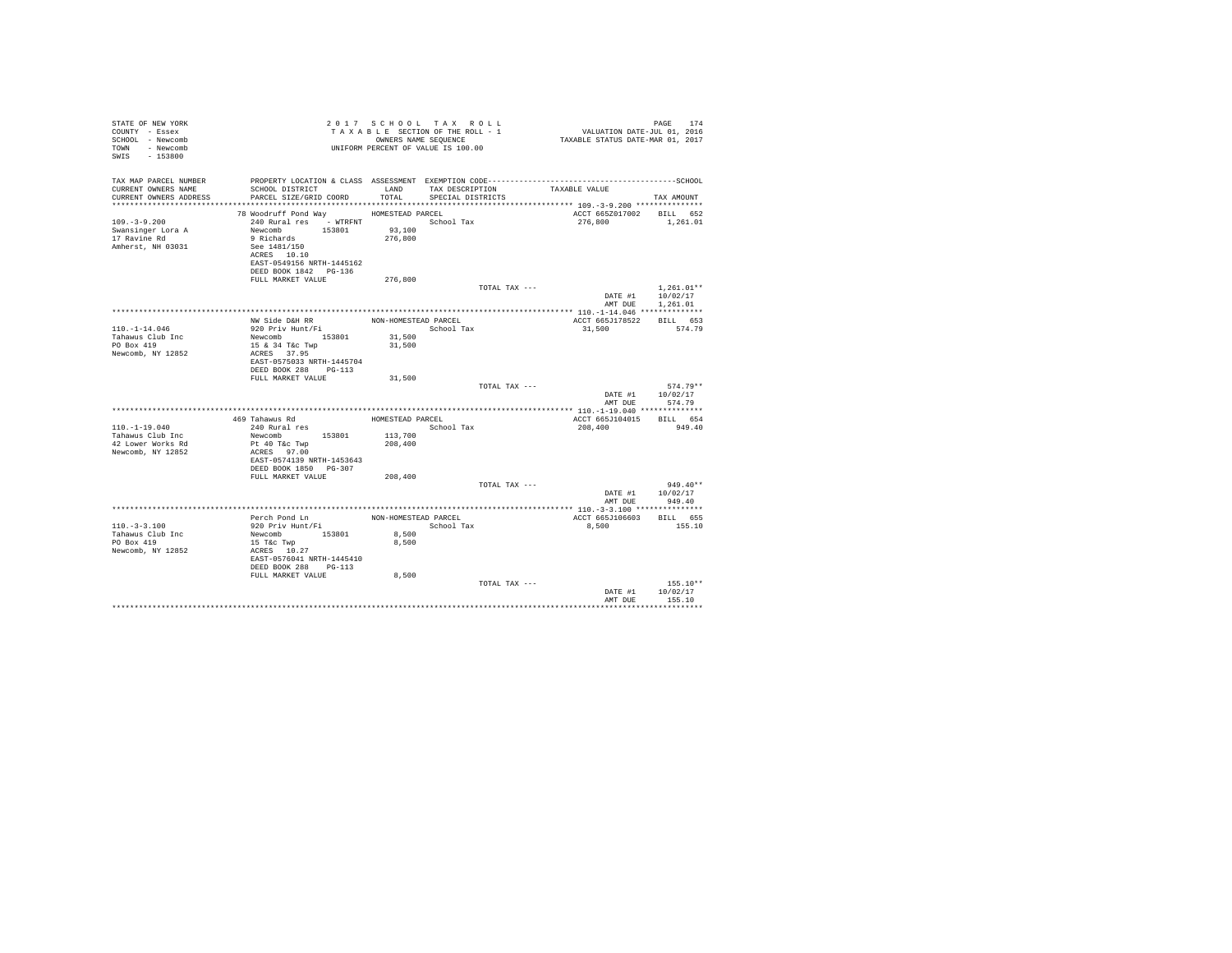| STATE OF NEW YORK<br>COUNTY - Essex<br>SCHOOL - Newcomb<br>TOWN - Newcomb<br>SWIS - 153800 |                                                                                                                                |                      | 2017 SCHOOL TAX ROLL<br>TAXABLE SECTION OF THE ROLL - 1<br>OWNERS NAME SEQUENCE<br>UNIFORM PERCENT OF VALUE IS 100.00 | PAGE 174<br>VALUATION DATE-JUL 01, 2016<br>TAXABLE STATUS DATE-MAR 01, 2017 | PAGE<br>174                  |
|--------------------------------------------------------------------------------------------|--------------------------------------------------------------------------------------------------------------------------------|----------------------|-----------------------------------------------------------------------------------------------------------------------|-----------------------------------------------------------------------------|------------------------------|
| TAX MAP PARCEL NUMBER<br>CURRENT OWNERS NAME<br>CURRENT OWNERS ADDRESS                     | SCHOOL DISTRICT<br>PARCEL SIZE/GRID COORD                                                                                      | LAND<br>TOTAL        | TAX DESCRIPTION<br>SPECIAL DISTRICTS                                                                                  | TAXABLE VALUE                                                               | TAX AMOUNT                   |
|                                                                                            |                                                                                                                                |                      |                                                                                                                       |                                                                             |                              |
| $109. - 3 - 9.200$<br>Swansinger Lora A<br>17 Ravine Rd<br>Amherst, NH 03031               | 78 Woodruff Pond Way HOMESTEAD PARCEL<br>240 Rural res - WTRFNT<br>Newcomb 153801<br>9 Richards<br>See 1481/150<br>ACRES 10.10 | 93,100<br>276,800    | School Tax                                                                                                            | ACCT 665Z017002<br>276,800                                                  | BILL 652<br>1,261.01         |
|                                                                                            | EAST-0549156 NRTH-1445162<br>DEED BOOK 1842 PG-136                                                                             |                      |                                                                                                                       |                                                                             |                              |
|                                                                                            | FULL MARKET VALUE                                                                                                              | 276,800              | TOTAL TAX ---                                                                                                         |                                                                             | $1.261.01**$                 |
|                                                                                            |                                                                                                                                |                      |                                                                                                                       | AMT DUE                                                                     | DATE #1 10/02/17<br>1,261.01 |
|                                                                                            |                                                                                                                                |                      |                                                                                                                       |                                                                             |                              |
| $110. - 1 - 14.046$                                                                        | NW Side D&H RR<br>920 Priv Hunt/Fi                                                                                             | NON-HOMESTEAD PARCEL | School Tax                                                                                                            | ACCT 665J178522<br>31,500                                                   | BILL 653<br>574.79           |
| Tahawus Club Inc                                                                           | Newcomb 153801                                                                                                                 | 31,500               |                                                                                                                       |                                                                             |                              |
| PO Box 419<br>Newcomb, NY 12852                                                            | 15 & 34 T&c Twp<br>ACRES 37.95<br>EAST-0575033 NRTH-1445704<br>DEED BOOK 288 PG-113                                            | 31,500               |                                                                                                                       |                                                                             |                              |
|                                                                                            | FULL MARKET VALUE                                                                                                              | 31,500               |                                                                                                                       |                                                                             |                              |
|                                                                                            |                                                                                                                                |                      | TOTAL TAX ---                                                                                                         | DATE #1                                                                     | $574.79**$<br>10/02/17       |
|                                                                                            |                                                                                                                                |                      |                                                                                                                       | AMT DUE                                                                     | 574.79                       |
|                                                                                            | 469 Tahawus Rd                                                                                                                 | HOMESTEAD PARCEL     |                                                                                                                       | ACCT 665J104015                                                             | BILL 654                     |
| $110. - 1 - 19.040$                                                                        | 240 Rural res                                                                                                                  |                      | School Tax                                                                                                            | 208,400                                                                     | 949.40                       |
| Tahawus Club Inc<br>42 Lower Works Rd<br>Newcomb, NY 12852                                 | Newcomb 153801<br>Pt 40 T&c Twp<br>ACRES 97.00                                                                                 | 113,700<br>208,400   |                                                                                                                       |                                                                             |                              |
|                                                                                            | EAST-0574139 NRTH-1453643<br>DEED BOOK 1850 PG-307                                                                             |                      |                                                                                                                       |                                                                             |                              |
|                                                                                            | FULL MARKET VALUE                                                                                                              | 208,400              | TOTAL TAX ---                                                                                                         |                                                                             | $949.40**$                   |
|                                                                                            |                                                                                                                                |                      |                                                                                                                       | DATE #1<br>AMT DUE                                                          | 10/02/17<br>949.40           |
|                                                                                            |                                                                                                                                |                      |                                                                                                                       |                                                                             |                              |
| $110. - 3 - 3.100$                                                                         | Perch Pond Ln<br>920 Priv Hunt/Fi                                                                                              | NON-HOMESTEAD PARCEL | School Tax                                                                                                            | ACCT 665J106603<br>8,500                                                    | BILL 655<br>155.10           |
| Tahawus Club Inc<br>PO Box 419                                                             | Newcomb 153801<br>15 T&c Twp                                                                                                   | 8,500<br>8,500       |                                                                                                                       |                                                                             |                              |
| Newcomb, NY 12852                                                                          | ACRES 10.27<br>EAST-0576041 NRTH-1445410<br>DEED BOOK 288 PG-113                                                               |                      |                                                                                                                       |                                                                             |                              |
|                                                                                            | FULL MARKET VALUE                                                                                                              | 8,500                | TOTAL TAX ---                                                                                                         | DATE #1                                                                     | $155.10**$<br>10/02/17       |
|                                                                                            |                                                                                                                                |                      |                                                                                                                       | AMT DUE                                                                     | 155.10                       |
|                                                                                            |                                                                                                                                |                      |                                                                                                                       |                                                                             |                              |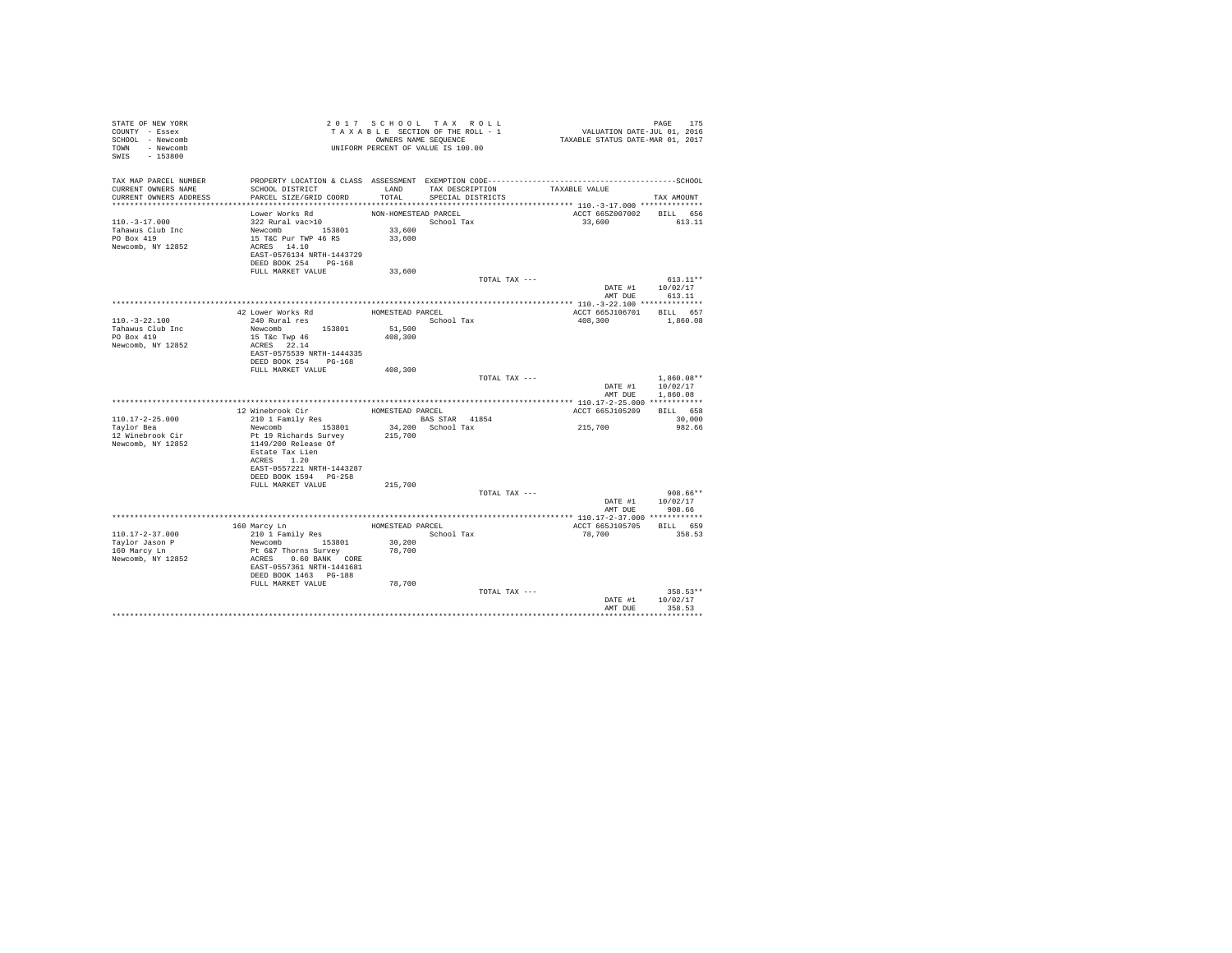| COUNTY - Essex<br>SCHOOL - Newcomb<br>TOWN - Newcomb<br>SWIS - 153800 |                                                                |                      | 2017 SCHOOL TAX ROLL<br>TAXABLE SECTION OF THE ROLL - 1<br>OWNERS NAME SEQUENCE<br>UNIFORM PERCENT OF VALUE IS 100.00 | PAGE 175<br>VALUATION DATE-JUL 01, 2016<br>TAXABLE STATUS DATE-MAR 01, 2017                  |                    |
|-----------------------------------------------------------------------|----------------------------------------------------------------|----------------------|-----------------------------------------------------------------------------------------------------------------------|----------------------------------------------------------------------------------------------|--------------------|
| TAX MAP PARCEL NUMBER                                                 |                                                                |                      |                                                                                                                       | PROPERTY LOCATION & CLASS ASSESSMENT EXEMPTION CODE-----------------------------------SCHOOL |                    |
| CURRENT OWNERS NAME<br>CURRENT OWNERS ADDRESS                         | SCHOOL DISTRICT<br>PARCEL SIZE/GRID COORD                      | TOTAL.               | LAND TAX DESCRIPTION<br>SPECIAL DISTRICTS                                                                             | TAXABLE VALUE                                                                                | TAX AMOUNT         |
|                                                                       |                                                                |                      |                                                                                                                       |                                                                                              |                    |
|                                                                       | Lower Works Rd                                                 | NON-HOMESTEAD PARCEL |                                                                                                                       | ACCT 665Z007002 BILL 656                                                                     |                    |
| $110. - 3 - 17.000$                                                   | 322 Rural vac>10                                               |                      | School Tax                                                                                                            | 33,600                                                                                       | 613.11             |
| Tahawus Club Inc                                                      | Newcomb 153801                                                 | 33,600               |                                                                                                                       |                                                                                              |                    |
| PO Box 419                                                            | 15 T&C Pur TWP 46 RS                                           | 33,600               |                                                                                                                       |                                                                                              |                    |
| Newcomb, NY 12852                                                     | ACRES 14.10                                                    |                      |                                                                                                                       |                                                                                              |                    |
|                                                                       | EAST-0576134 NRTH-1443729                                      |                      |                                                                                                                       |                                                                                              |                    |
|                                                                       | DEED BOOK 254 PG-168                                           |                      |                                                                                                                       |                                                                                              |                    |
|                                                                       | FULL MARKET VALUE                                              | 33,600               | TOTAL TAX ---                                                                                                         |                                                                                              | $613.11**$         |
|                                                                       |                                                                |                      |                                                                                                                       |                                                                                              | DATE #1 10/02/17   |
|                                                                       |                                                                |                      |                                                                                                                       |                                                                                              | AMT DUE 613.11     |
|                                                                       |                                                                |                      |                                                                                                                       |                                                                                              |                    |
|                                                                       | 42 Lower Works Rd                                              | HOMESTEAD PARCEL     |                                                                                                                       | ACCT 665J106701 BILL 657                                                                     |                    |
| $110. - 3 - 22.100$                                                   | 240 Rural res                                                  |                      | School Tax                                                                                                            | 408,300                                                                                      | 1,860.08           |
| Tahawus Club Inc                                                      | Newcomb 153801                                                 |                      |                                                                                                                       |                                                                                              |                    |
| PO Box 419                                                            | 15 T&c Twp 46                                                  | 51,500<br>408,300    |                                                                                                                       |                                                                                              |                    |
| Newcomb, NY 12852                                                     | ACRES 22.14                                                    |                      |                                                                                                                       |                                                                                              |                    |
|                                                                       | EAST-0575539 NRTH-1444335                                      |                      |                                                                                                                       |                                                                                              |                    |
|                                                                       | DEED BOOK 254 PG-168                                           |                      |                                                                                                                       |                                                                                              |                    |
|                                                                       | FULL MARKET VALUE                                              | 408,300              |                                                                                                                       |                                                                                              |                    |
|                                                                       |                                                                |                      | TOTAL TAX ---                                                                                                         |                                                                                              | $1.860.08**$       |
|                                                                       |                                                                |                      |                                                                                                                       | DATE #1                                                                                      | 10/02/17           |
|                                                                       |                                                                |                      |                                                                                                                       |                                                                                              | AMT DUE 1,860.08   |
|                                                                       |                                                                |                      |                                                                                                                       |                                                                                              |                    |
|                                                                       | 12 Winebrook Cir                                               | HOMESTEAD PARCEL     |                                                                                                                       | ACCT 665J105209                                                                              | BILL 658           |
| $110.17 - 2 - 25.000$                                                 | 210 1 Family Res                                               |                      | BAS STAR 41854                                                                                                        |                                                                                              | 30,000             |
| Taylor Bea                                                            | Newcomb 153801                                                 |                      | 34,200 School Tax                                                                                                     | 215,700                                                                                      | 982.66             |
| 12 Winebrook Cir                                                      | Pt 19 Richards Survey                                          | 215,700              |                                                                                                                       |                                                                                              |                    |
| Newcomb, NY 12852                                                     | 1149/200 Release Of                                            |                      |                                                                                                                       |                                                                                              |                    |
|                                                                       | Estate Tax Lien                                                |                      |                                                                                                                       |                                                                                              |                    |
|                                                                       | ACRES 1.20<br>EAST-0557221 NRTH-1443287                        |                      |                                                                                                                       |                                                                                              |                    |
|                                                                       | DEED BOOK 1594 PG-258                                          |                      |                                                                                                                       |                                                                                              |                    |
|                                                                       | FULL MARKET VALUE                                              | 215,700              |                                                                                                                       |                                                                                              |                    |
|                                                                       |                                                                |                      | TOTAL TAX ---                                                                                                         |                                                                                              | $908.66**$         |
|                                                                       |                                                                |                      |                                                                                                                       | DATE #1 10/02/17                                                                             |                    |
|                                                                       |                                                                |                      |                                                                                                                       |                                                                                              | AMT DUE 908.66     |
|                                                                       |                                                                |                      |                                                                                                                       |                                                                                              |                    |
|                                                                       | 160 Marcy Ln                                                   |                      | HOMESTEAD PARCEL                                                                                                      | ACCT 665J105705 BILL 659                                                                     |                    |
| $110.17 - 2 - 37.000$                                                 | 210 1 Family Res                                               |                      | School Tax                                                                                                            | 78,700                                                                                       | 358.53             |
| Taylor Jason P                                                        |                                                                |                      |                                                                                                                       |                                                                                              |                    |
| 160 Marcy Ln                                                          |                                                                | 30,200<br>78,700     |                                                                                                                       |                                                                                              |                    |
| Newcomb, NY 12852                                                     | Newcomb 153801<br>Pt 6&7 Thorns Survey<br>ACRES 0.60 BANK CORE |                      |                                                                                                                       |                                                                                              |                    |
|                                                                       | EAST-0557361 NRTH-1441681                                      |                      |                                                                                                                       |                                                                                              |                    |
|                                                                       | DEED BOOK 1463    PG-188                                       |                      |                                                                                                                       |                                                                                              |                    |
|                                                                       | FULL MARKET VALUE                                              | 78,700               |                                                                                                                       |                                                                                              |                    |
|                                                                       |                                                                |                      | TOTAL TAX ---                                                                                                         |                                                                                              | $358.53**$         |
|                                                                       |                                                                |                      |                                                                                                                       | DATE #1<br>AMT DUE                                                                           | 10/02/17<br>358.53 |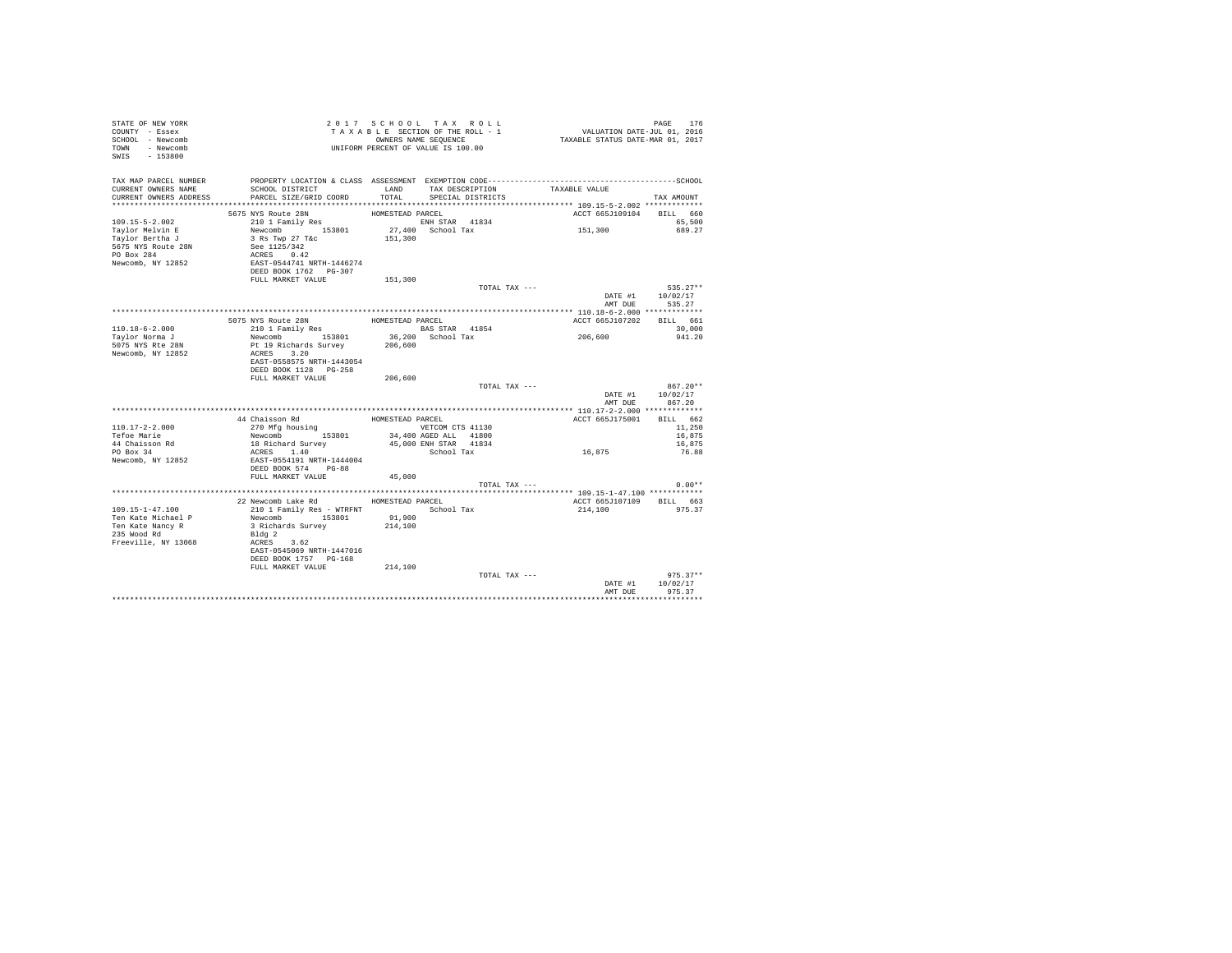| STATE OF NEW YORK<br>COUNTY - Essex<br>SCHOOL - Newcomb<br>TOWN - Newcomb<br>SWIS - 153800                    |                                                                                                                                                                                                            |                              | 2017 SCHOOL TAX ROLL<br>TAXABLE SECTION OF THE ROLL - 1<br>OWNERS NAME SEQUENCE<br>UNIFORM PERCENT OF VALUE IS 100.00 | PAGE 176<br>VALUATION DATE-JUL 01, 2016<br>TAXABLE STATUS DATE-MAR 01, 2017 |                                                             |
|---------------------------------------------------------------------------------------------------------------|------------------------------------------------------------------------------------------------------------------------------------------------------------------------------------------------------------|------------------------------|-----------------------------------------------------------------------------------------------------------------------|-----------------------------------------------------------------------------|-------------------------------------------------------------|
| TAX MAP PARCEL NUMBER<br>CURRENT OWNERS NAME<br>CURRENT OWNERS ADDRESS                                        | PROPERTY LOCATION & CLASS ASSESSMENT EXEMPTION CODE-----------------------------------SCHOOL<br>SCHOOL DISTRICT<br>PARCEL SIZE/GRID COORD                                                                  | LAND<br>TOTAL                | TAX DESCRIPTION<br>SPECIAL DISTRICTS                                                                                  | TAXABLE VALUE                                                               | TAX AMOUNT                                                  |
| 109.15-5-2.002<br>Taylor Melvin E<br>Taylor Bertha J<br>5675 NYS Route 28N<br>PO Box 284<br>Newcomb, NY 12852 | 5675 NYS Route 28N<br>210 1 Family Res<br>Newcomb 153801<br>3 Rs Twp 27 T&c<br>See 1125/342<br>ACRES 0.42<br>EAST-0544741 NRTH-1446274<br>DEED BOOK 1762 PG-307                                            | HOMESTEAD PARCEL<br>151,300  | ENH STAR 41834<br>27,400 School Tax                                                                                   | ACCT 665J109104 BILL 660<br>151,300                                         | 65,500<br>689.27                                            |
|                                                                                                               | FULL MARKET VALUE                                                                                                                                                                                          | 151,300                      | TOTAL TAX ---                                                                                                         | DATE #1<br>AMT DUE                                                          | $535.27**$<br>10/02/17<br>535.27                            |
| $110.18 - 6 - 2.000$<br>Taylor Norma J<br>5075 NYS Rte 28N<br>Newcomb, NY 12852                               | 5075 NYS Route 28N<br>210 1 Family Res<br>Newcomb 153801<br>Pt 19 Richards Survey<br>ACRES 3.20<br>EAST-0558575 NRTH-1443054<br>DEED BOOK 1128 PG-258                                                      | HOMESTEAD PARCEL<br>206,600  | BAS STAR 41854<br>36,200 School Tax                                                                                   | ACCT 665J107202<br>206,600                                                  | BILL 661<br>30,000<br>941.20                                |
|                                                                                                               | FULL MARKET VALUE                                                                                                                                                                                          | 206,600                      | TOTAL TAX ---                                                                                                         | AMT DUE                                                                     | $867.20**$<br>DATE #1 10/02/17<br>867.20                    |
| $110.17 - 2 - 2.000$<br>Tefoe Marie<br>44 Chaisson Rd<br>PO Box 34<br>Newcomb, NY 12852                       | 44 Chaisson Rd<br>270 Mfg housing<br>Newcomb 153801<br>18 Richard Survey<br>ACRES 1.40<br>EAST-0554191 NRTH-1444004<br>DEED BOOK 574 PG-88<br>FULL MARKET VALUE                                            | HOMESTEAD PARCEL<br>45,000   | VETCOM CTS 41130<br>34,400 AGED ALL 41800<br>45,000 ENH STAR 41834<br>School Tax<br>TOTAL TAX ---                     | ACCT 665J175001<br>16,875                                                   | BILL 662<br>11,250<br>16,875<br>16,875<br>76.88<br>$0.00**$ |
| $109.15 - 1 - 47.100$<br>Ten Kate Michael P<br>Ten Kate Nancy R<br>235 Wood Rd<br>Freeville, NY 13068         | 22 Newcomb Lake Rd MOMESTEAD PARCEL<br>210 1 Family Res - WTRFNT<br>Newcomb 153801<br>3 Richards Survey<br>Bldg 2<br>ACRES 3.62<br>EAST-0545069 NRTH-1447016<br>DEED BOOK 1757 PG-168<br>FULL MARKET VALUE | 91,900<br>214,100<br>214,100 | School Tax                                                                                                            | ACCT 665J107109<br>214,100                                                  | BILL 663<br>975.37                                          |
|                                                                                                               |                                                                                                                                                                                                            |                              | TOTAL TAX ---                                                                                                         | DATE #1<br>AMT DUE                                                          | $975.37**$<br>10/02/17<br>975.37                            |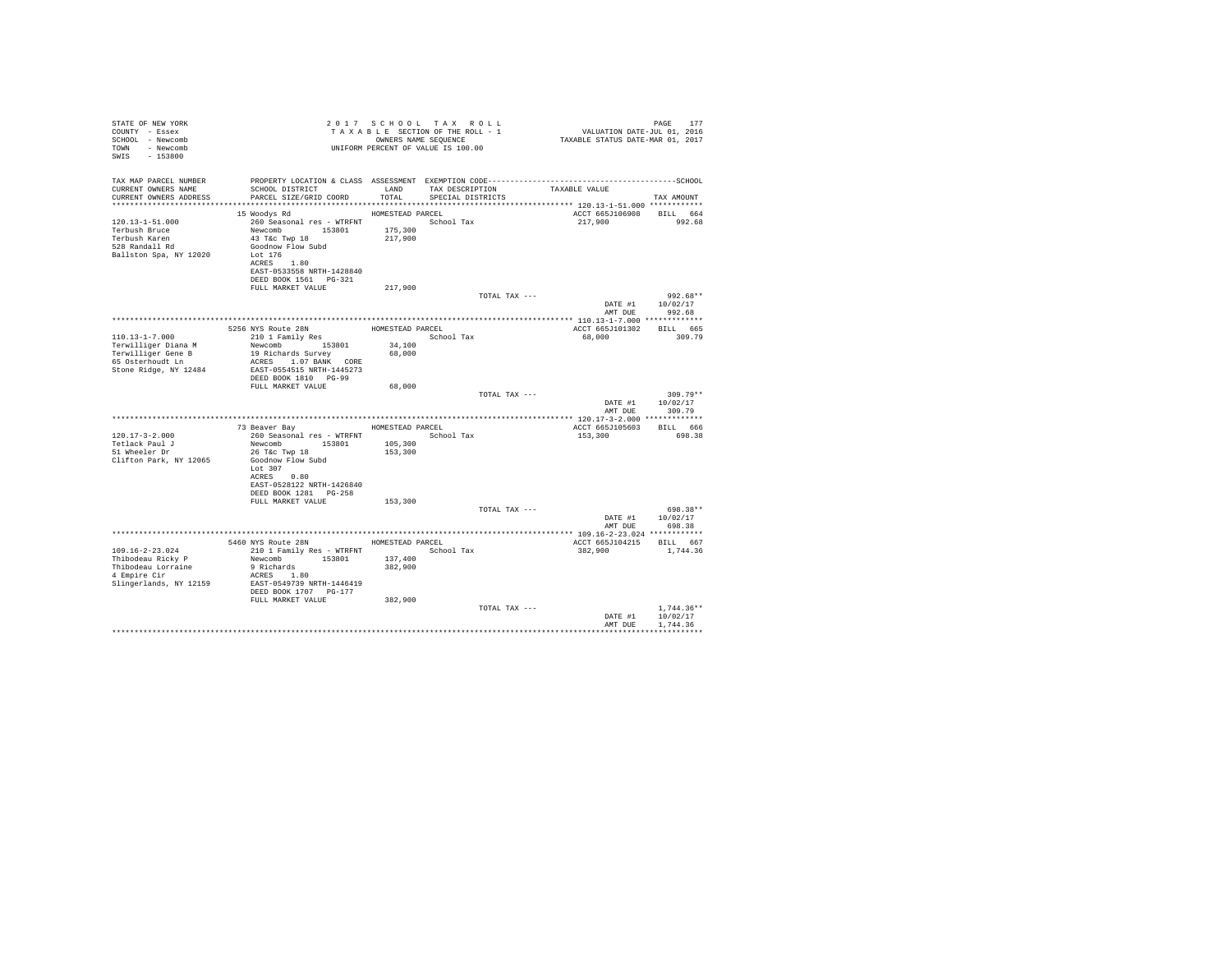| STATE OF NEW YORK<br>COUNTY - Essex<br>SCHOOL - Newcomb<br>- Newcomb<br><b>TOWN</b><br>SWIS<br>$-153800$ |                                                                                                                                                                                     |                                        | 2017 SCHOOL TAX ROLL<br>TAXABLE SECTION OF THE ROLL - 1<br>OWNERS NAME SEOUENCE<br>UNIFORM PERCENT OF VALUE IS 100.00 | VALUATION DATE-JUL 01, 2016<br>TAXABLE STATUS DATE-MAR 01, 2017 | PAGE<br>177                          |
|----------------------------------------------------------------------------------------------------------|-------------------------------------------------------------------------------------------------------------------------------------------------------------------------------------|----------------------------------------|-----------------------------------------------------------------------------------------------------------------------|-----------------------------------------------------------------|--------------------------------------|
| TAX MAP PARCEL NUMBER<br>CURRENT OWNERS NAME<br>CURRENT OWNERS ADDRESS                                   | SCHOOL DISTRICT TAND TAX DESCRIPTION<br>PARCEL SIZE/GRID COORD TOTAL                                                                                                                |                                        | SPECIAL DISTRICTS                                                                                                     | TAXABLE VALUE                                                   | TAX AMOUNT                           |
| $120.13 - 1 - 51.000$<br>Terbush Bruce<br>Terbush Karen<br>528 Randall Rd<br>Ballston Spa, NY 12020      | 15 Woodys Rd<br>260 Seasonal res - WTRFNT<br>Newcomb 153801<br>43 T&C Twp 18<br>Goodnow Flow Subd<br>Lot 176<br>ACRES 1.80<br>EAST-0533558 NRTH-1428840<br>DEED BOOK 1561    PG-321 | HOMESTEAD PARCEL<br>175,300<br>217,900 | School Tax                                                                                                            | ACCT 665J106908 BILL 664<br>217,900                             | 992.68                               |
|                                                                                                          | FULL MARKET VALUE                                                                                                                                                                   | 217,900                                | TOTAL TAX ---                                                                                                         |                                                                 | $992.68**$                           |
|                                                                                                          |                                                                                                                                                                                     |                                        |                                                                                                                       | AMT DUE                                                         | DATE #1 10/02/17<br>992.68           |
|                                                                                                          |                                                                                                                                                                                     |                                        | HOMESTEAD PARCEL                                                                                                      | ACCT 665J101302                                                 | BILL 665                             |
| $110.13 - 1 - 7.000$                                                                                     | 5256 NYS Route 28N<br>210 1 Family Res                                                                                                                                              |                                        | School Tax                                                                                                            | 68,000                                                          | 309.79                               |
| Terwilliger Diana M<br>Terwilliger Gene B<br>65 Osterhoudt Ln<br>Stone Ridge, NY 12484                   | Newcomb 153801<br>19 Richards Survey<br>ACRES 1.07 BANK CORE<br>EAST-0554515 NRTH-1445273                                                                                           | 34,100<br>68,000                       |                                                                                                                       |                                                                 |                                      |
|                                                                                                          | DEED BOOK 1810 PG-99                                                                                                                                                                |                                        |                                                                                                                       |                                                                 |                                      |
|                                                                                                          | FULL MARKET VALUE                                                                                                                                                                   | 68,000                                 |                                                                                                                       |                                                                 |                                      |
|                                                                                                          |                                                                                                                                                                                     |                                        | TOTAL TAX ---                                                                                                         | DATE #1<br>AMT DUE                                              | $309.79**$<br>10/02/17<br>309.79     |
|                                                                                                          |                                                                                                                                                                                     |                                        |                                                                                                                       |                                                                 |                                      |
|                                                                                                          | 73 Beaver Bay MOMESTEAD PARCEL                                                                                                                                                      |                                        |                                                                                                                       | ACCT 665J105603                                                 | BILL 666                             |
| $120.17 - 3 - 2.000$                                                                                     | 260 Seasonal res - WTRFNT                                                                                                                                                           |                                        | School Tax                                                                                                            | 153,300                                                         | 698.38                               |
| Tetlack Paul J<br>51 Wheeler Dr<br>Clifton Park, NY 12065                                                | Newcomb 153801<br>26 T&c Twp 18<br>Goodnow Flow Subd                                                                                                                                | 105,300<br>153,300                     |                                                                                                                       |                                                                 |                                      |
|                                                                                                          | Lot $307$<br>ACRES 0.80<br>EAST-0528122 NRTH-1426840<br>DEED BOOK 1281 PG-258                                                                                                       |                                        |                                                                                                                       |                                                                 |                                      |
|                                                                                                          | FULL MARKET VALUE                                                                                                                                                                   | 153,300                                |                                                                                                                       |                                                                 |                                      |
|                                                                                                          |                                                                                                                                                                                     |                                        | TOTAL TAX ---                                                                                                         |                                                                 | 698.38**<br>DATE #1 10/02/17         |
|                                                                                                          |                                                                                                                                                                                     |                                        |                                                                                                                       | AMT DUE                                                         | 698.38                               |
|                                                                                                          | 5460 NYS Route 28N                                                                                                                                                                  | HOMESTEAD PARCEL                       |                                                                                                                       | ACCT 665J104215                                                 | <b>BILL</b> 667                      |
| 109.16-2-23.024<br>Thibodeau Ricky P<br>Thibodeau Lorraine<br>4 Empire Cir<br>Slingerlands, NY 12159     | 210 1 Family Res - WTRFNT<br>Newcomb 153801<br>9 Richards<br>ACRES 1.80<br>EAST-0549739 NRTH-1446419<br>DEED BOOK 1707 PG-177                                                       | 137,400<br>382,900                     | School Tax                                                                                                            | 382,900                                                         | 1,744.36                             |
|                                                                                                          | FULL MARKET VALUE                                                                                                                                                                   | 382,900                                |                                                                                                                       |                                                                 |                                      |
|                                                                                                          |                                                                                                                                                                                     |                                        | TOTAL TAX ---                                                                                                         | DATE #1<br>AMT DUE                                              | $1.744.36**$<br>10/02/17<br>1,744.36 |
|                                                                                                          |                                                                                                                                                                                     |                                        |                                                                                                                       |                                                                 | ************                         |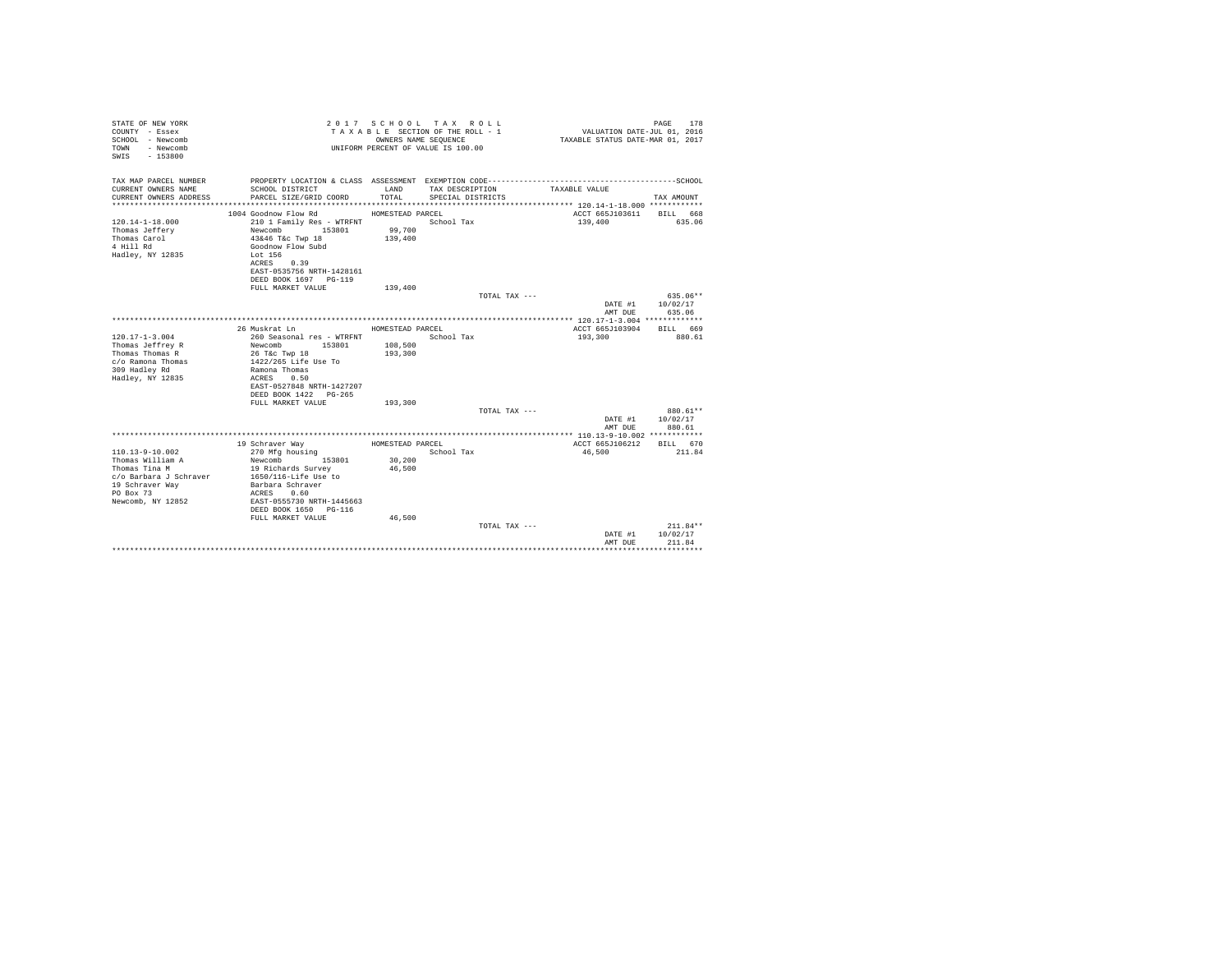| STATE OF NEW YORK<br>COUNTY - Essex<br>SCHOOL - Newcomb<br>- Newcomb<br>TOWN<br>$-153800$<br>SWTS |                                                |                    | 2017 SCHOOL TAX ROLL<br>TAXABLE SECTION OF THE ROLL - 1<br>OWNERS NAME SEQUENCE<br>UNIFORM PERCENT OF VALUE IS 100.00 | VALUATION DATE-JUL 01, 2016<br>TAXABLE STATUS DATE-MAR 01, 2017 | PAGE<br>178        |
|---------------------------------------------------------------------------------------------------|------------------------------------------------|--------------------|-----------------------------------------------------------------------------------------------------------------------|-----------------------------------------------------------------|--------------------|
| TAX MAP PARCEL NUMBER                                                                             |                                                |                    |                                                                                                                       |                                                                 |                    |
| CURRENT OWNERS NAME<br>CURRENT OWNERS ADDRESS                                                     | SCHOOL DISTRICT<br>PARCEL SIZE/GRID COORD      | LAND<br>TOTAL.     | TAX DESCRIPTION<br>SPECIAL DISTRICTS                                                                                  | TAXABLE VALUE                                                   | TAX AMOUNT         |
|                                                                                                   |                                                |                    |                                                                                                                       |                                                                 |                    |
|                                                                                                   | 1004 Goodnow Flow Rd                           | HOMESTEAD PARCEL   |                                                                                                                       | ACCT 665J103611                                                 | BILL 668           |
| $120.14 - 1 - 18.000$<br>Thomas Jeffery                                                           | 210 1 Family Res - WTRFNT<br>153801<br>Newcomb | 99,700             | School Tax                                                                                                            | 139,400                                                         | 635.06             |
| Thomas Carol                                                                                      | 43&46 T&c Twp 18                               | 139,400            |                                                                                                                       |                                                                 |                    |
| 4 Hill Rd                                                                                         | Goodnow Flow Subd                              |                    |                                                                                                                       |                                                                 |                    |
| Hadley, NY 12835                                                                                  | Lot 156                                        |                    |                                                                                                                       |                                                                 |                    |
|                                                                                                   | ACRES 0.39                                     |                    |                                                                                                                       |                                                                 |                    |
|                                                                                                   | EAST-0535756 NRTH-1428161                      |                    |                                                                                                                       |                                                                 |                    |
|                                                                                                   | DEED BOOK 1697 PG-119                          |                    |                                                                                                                       |                                                                 |                    |
|                                                                                                   | FULL MARKET VALUE                              | 139,400            |                                                                                                                       |                                                                 |                    |
|                                                                                                   |                                                |                    | TOTAL TAX ---                                                                                                         |                                                                 | $635.06**$         |
|                                                                                                   |                                                |                    |                                                                                                                       | DATE #1                                                         | 10/02/17           |
|                                                                                                   |                                                |                    |                                                                                                                       | AMT DUE                                                         | 635.06             |
|                                                                                                   |                                                |                    |                                                                                                                       |                                                                 |                    |
|                                                                                                   | 26 Muskrat Ln                                  | HOMESTEAD PARCEL   |                                                                                                                       | ACCT 665J103904                                                 | RTLL 669           |
| $120.17 - 1 - 3.004$                                                                              | 260 Seasonal res - WTRFNT<br>Newcomb 153801    |                    | School Tax                                                                                                            | 193,300                                                         | 880.61             |
| Thomas Jeffrey R<br>Thomas Thomas R                                                               | 26 T&c Twp 18                                  | 108,500<br>193,300 |                                                                                                                       |                                                                 |                    |
| c/o Ramona Thomas                                                                                 | 1422/265 Life Use To                           |                    |                                                                                                                       |                                                                 |                    |
| 309 Hadley Rd                                                                                     | Ramona Thomas                                  |                    |                                                                                                                       |                                                                 |                    |
| Hadley, NY 12835                                                                                  | ACRES 0.50                                     |                    |                                                                                                                       |                                                                 |                    |
|                                                                                                   | EAST-0527848 NRTH-1427207                      |                    |                                                                                                                       |                                                                 |                    |
|                                                                                                   | DEED BOOK 1422 PG-265                          |                    |                                                                                                                       |                                                                 |                    |
|                                                                                                   | FULL MARKET VALUE                              | 193,300            |                                                                                                                       |                                                                 |                    |
|                                                                                                   |                                                |                    | TOTAL TAX ---                                                                                                         |                                                                 | 880.61**           |
|                                                                                                   |                                                |                    |                                                                                                                       | DATE #1                                                         | 10/02/17           |
|                                                                                                   |                                                |                    |                                                                                                                       | AMT DUE                                                         | 880.61             |
|                                                                                                   |                                                |                    |                                                                                                                       |                                                                 |                    |
| $110.13 - 9 - 10.002$                                                                             | 19 Schraver Way<br>270 Mfg housing             | HOMESTEAD PARCEL   | School Tax                                                                                                            | ACCT 665J106212<br>46,500                                       | BILL 670<br>211.84 |
| Thomas William A                                                                                  | Newcomb<br>153801                              | 30,200             |                                                                                                                       |                                                                 |                    |
| Thomas Tina M                                                                                     | 19 Richards Survey                             | 46.500             |                                                                                                                       |                                                                 |                    |
| c/o Barbara J Schraver                                                                            | 1650/116-Life Use to                           |                    |                                                                                                                       |                                                                 |                    |
| 19 Schraver Way                                                                                   | Barbara Schraver                               |                    |                                                                                                                       |                                                                 |                    |
| PO Box 73                                                                                         | ACRES 0.60                                     |                    |                                                                                                                       |                                                                 |                    |
| Newcomb, NY 12852                                                                                 | EAST-0555730 NRTH-1445663                      |                    |                                                                                                                       |                                                                 |                    |
|                                                                                                   | DEED BOOK 1650 PG-116                          |                    |                                                                                                                       |                                                                 |                    |
|                                                                                                   | FULL MARKET VALUE                              | 46,500             |                                                                                                                       |                                                                 |                    |
|                                                                                                   |                                                |                    | TOTAL TAX ---                                                                                                         |                                                                 | $211.84**$         |
|                                                                                                   |                                                |                    |                                                                                                                       | DATE #1                                                         | 10/02/17           |
|                                                                                                   |                                                |                    |                                                                                                                       | AMT DUE                                                         | 211.84             |
|                                                                                                   |                                                |                    |                                                                                                                       |                                                                 |                    |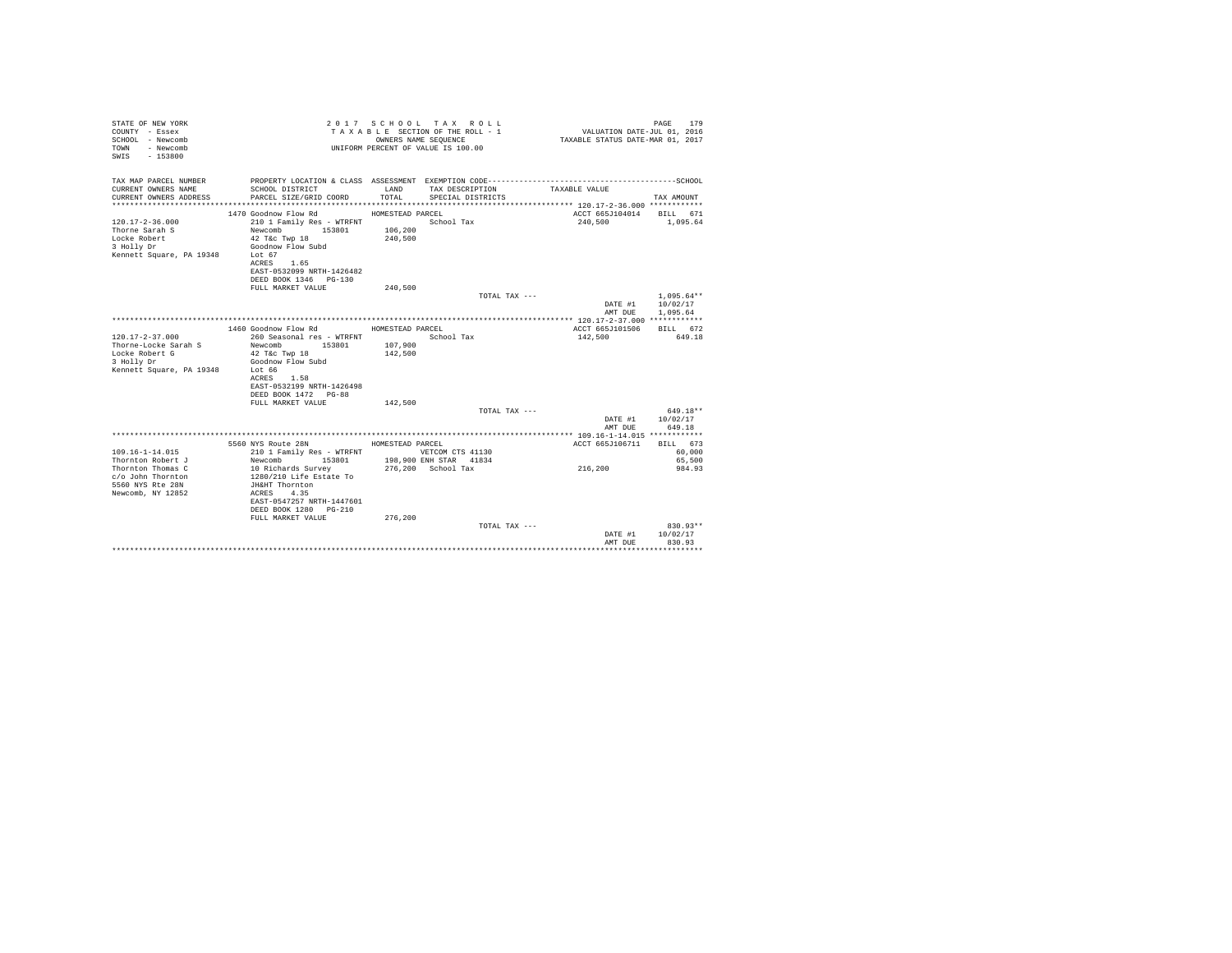| STATE OF NEW YORK<br>COUNTY - Essex<br>SCHOOL - Newcomb<br>TOWN - Newcomb<br>SWIS - 153800 |                                               |                  | 2017 SCHOOL TAX ROLL<br>TAXABLE SECTION OF THE ROLL - 1<br>OWNERS NAME SEQUENCE<br>UNIFORM PERCENT OF VALUE IS 100.00 | VALUATION DATE-JUL 01, 2016<br>TAXABLE STATUS DATE-MAR 01, 2017                              | PAGE<br>179          |
|--------------------------------------------------------------------------------------------|-----------------------------------------------|------------------|-----------------------------------------------------------------------------------------------------------------------|----------------------------------------------------------------------------------------------|----------------------|
| TAX MAP PARCEL NUMBER                                                                      |                                               |                  |                                                                                                                       | PROPERTY LOCATION & CLASS ASSESSMENT EXEMPTION CODE-----------------------------------SCHOOL |                      |
| CURRENT OWNERS NAME                                                                        | SCHOOL DISTRICT LAND                          |                  | TAX DESCRIPTION                                                                                                       | TAXABLE VALUE                                                                                |                      |
| CURRENT OWNERS ADDRESS                                                                     | PARCEL SIZE/GRID COORD                        | TOTAL.           | SPECIAL DISTRICTS                                                                                                     |                                                                                              | TAX AMOUNT           |
|                                                                                            |                                               |                  |                                                                                                                       |                                                                                              |                      |
|                                                                                            | 1470 Goodnow Flow Rd                          | HOMESTEAD PARCEL |                                                                                                                       | ACCT 665J104014                                                                              | BILL 671             |
| $120.17 - 2 - 36.000$                                                                      | 210 1 Family Res - WTRFNT                     |                  | School Tax                                                                                                            | 240,500                                                                                      | 1,095.64             |
| Thorne Sarah S                                                                             | Newcomb 153801                                | 106,200          |                                                                                                                       |                                                                                              |                      |
| Locke Robert                                                                               | 42 T&c Twp 18<br>Goodnow Flow Subd            | 240,500          |                                                                                                                       |                                                                                              |                      |
| 3 Holly Dr<br>Kennett Square, PA 19348                                                     | Lot 67                                        |                  |                                                                                                                       |                                                                                              |                      |
|                                                                                            | ACRES 1.65                                    |                  |                                                                                                                       |                                                                                              |                      |
|                                                                                            | EAST-0532099 NRTH-1426482                     |                  |                                                                                                                       |                                                                                              |                      |
|                                                                                            | DEED BOOK 1346 PG-130                         |                  |                                                                                                                       |                                                                                              |                      |
|                                                                                            | FULL MARKET VALUE                             | 240,500          |                                                                                                                       |                                                                                              |                      |
|                                                                                            |                                               |                  | TOTAL TAX ---                                                                                                         |                                                                                              | $1.095.64**$         |
|                                                                                            |                                               |                  |                                                                                                                       | DATE #1                                                                                      | 10/02/17             |
|                                                                                            |                                               |                  |                                                                                                                       | AMT DUE                                                                                      | 1,095.64             |
|                                                                                            |                                               |                  |                                                                                                                       |                                                                                              |                      |
|                                                                                            | 1460 Goodnow Flow Rd MOMESTEAD PARCEL         |                  |                                                                                                                       | ACCT 665J101506                                                                              | BILL 672<br>649.18   |
| $120.17 - 2 - 37.000$<br>Thorne-Locke Sarah S                                              | 260 Seasonal res - WTRFNT<br>Newcomb 153801   | 107,900          | School Tax                                                                                                            | 142,500                                                                                      |                      |
| Locke Robert G                                                                             | 42 T&c Twp 18                                 | 142,500          |                                                                                                                       |                                                                                              |                      |
| 3 Holly Dr                                                                                 | Goodnow Flow Subd                             |                  |                                                                                                                       |                                                                                              |                      |
| Kennett Square, PA 19348                                                                   | Lot 66                                        |                  |                                                                                                                       |                                                                                              |                      |
|                                                                                            | ACRES 1.58                                    |                  |                                                                                                                       |                                                                                              |                      |
|                                                                                            | EAST-0532199 NRTH-1426498                     |                  |                                                                                                                       |                                                                                              |                      |
|                                                                                            | DEED BOOK 1472 PG-88                          |                  |                                                                                                                       |                                                                                              |                      |
|                                                                                            | FULL MARKET VALUE                             | 142,500          |                                                                                                                       |                                                                                              |                      |
|                                                                                            |                                               |                  | TOTAL TAX ---                                                                                                         |                                                                                              | 649.18**             |
|                                                                                            |                                               |                  |                                                                                                                       | DATE #1                                                                                      | 10/02/17             |
|                                                                                            |                                               |                  |                                                                                                                       | AMT DUE                                                                                      | 649.18               |
|                                                                                            | 5560 NYS Route 28N                            | HOMESTEAD PARCEL |                                                                                                                       | ACCT 665J106711                                                                              | BILL 673             |
| $109.16 - 1 - 14.015$                                                                      | 210 1 Family Res - WTRFNT                     |                  | VETCOM CTS 41130                                                                                                      |                                                                                              | 60,000               |
| Thornton Robert J                                                                          | Newcomb 153801                                |                  | 198,900 ENH STAR 41834                                                                                                |                                                                                              | 65,500               |
| Thornton Thomas C                                                                          |                                               |                  | 276.200 School Tax                                                                                                    | 216,200                                                                                      | 984.93               |
| c/o John Thornton                                                                          | 10 Richards Survey<br>1280/210 Life Estate To |                  |                                                                                                                       |                                                                                              |                      |
| 5560 NYS Rte 28N                                                                           | JH&HT Thornton                                |                  |                                                                                                                       |                                                                                              |                      |
| Newcomb, NY 12852                                                                          | ACRES 4.35                                    |                  |                                                                                                                       |                                                                                              |                      |
|                                                                                            | EAST-0547257 NRTH-1447601                     |                  |                                                                                                                       |                                                                                              |                      |
|                                                                                            | DEED BOOK 1280 PG-210                         |                  |                                                                                                                       |                                                                                              |                      |
|                                                                                            | FULL MARKET VALUE                             | 276.200          |                                                                                                                       |                                                                                              |                      |
|                                                                                            |                                               |                  | TOTAL TAX ---                                                                                                         | DATE #1                                                                                      | 830.93**<br>10/02/17 |
|                                                                                            |                                               |                  |                                                                                                                       | AMT DUE                                                                                      | 830.93               |
|                                                                                            |                                               |                  |                                                                                                                       |                                                                                              |                      |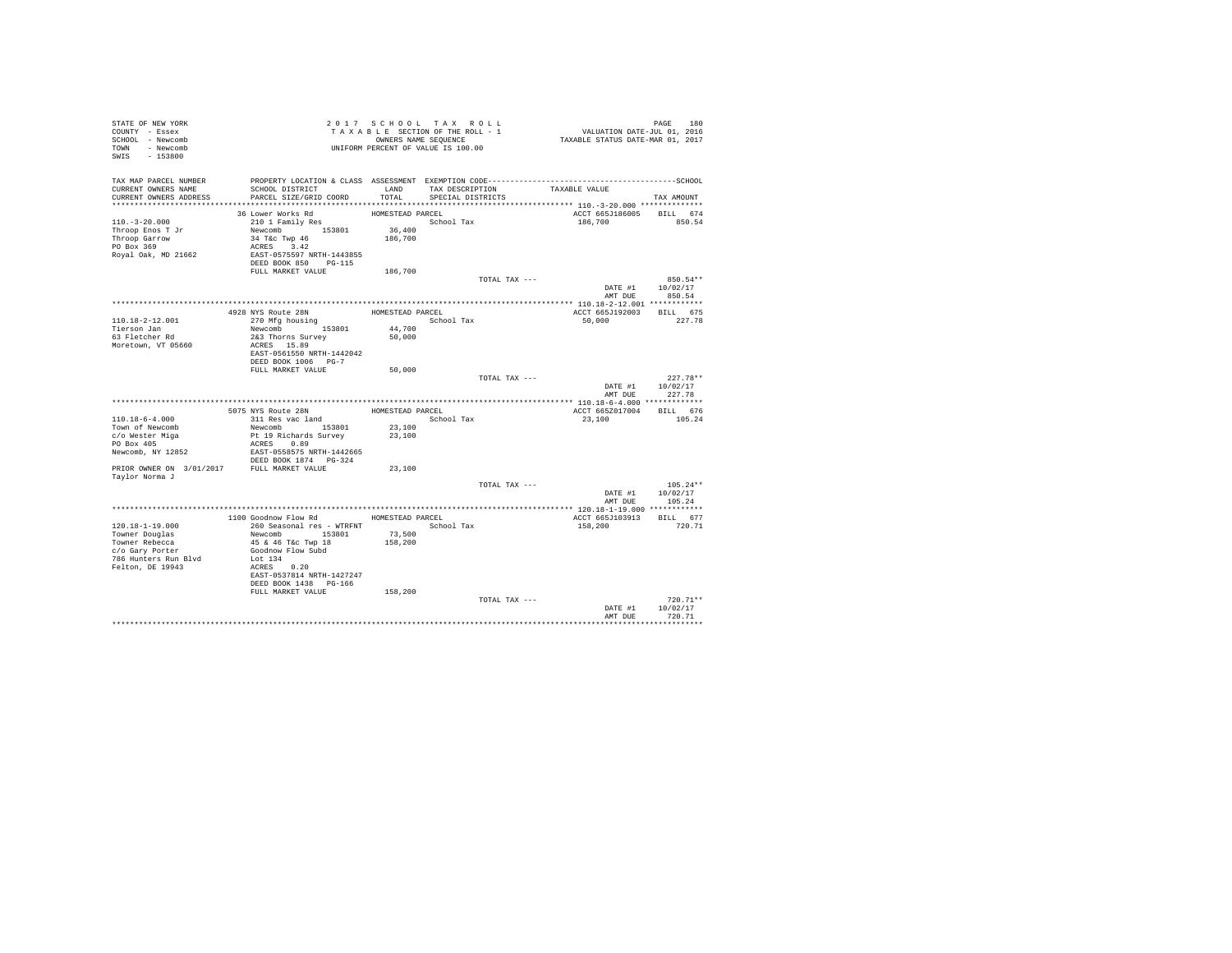| STATE OF NEW YORK<br>COUNTY - Essex<br>SCHOOL - Newcomb<br>TOWN - Newcomb<br>SWIS - 153800      |                                                                                                                                             |                                       | 2017 SCHOOL TAX ROLL<br>TAXABLE SECTION OF THE ROLL - 1<br>OWNERS NAME SEQUENCE<br>UNIFORM PERCENT OF VALUE IS 100.00 |               | PAGE 180<br>VALUATION DATE-JUL 01, 2016<br>TAXABLE STATUS DATE-MAR 01, 2017 |                                  |  |
|-------------------------------------------------------------------------------------------------|---------------------------------------------------------------------------------------------------------------------------------------------|---------------------------------------|-----------------------------------------------------------------------------------------------------------------------|---------------|-----------------------------------------------------------------------------|----------------------------------|--|
| TAX MAP PARCEL NUMBER<br>CURRENT OWNERS NAME<br>CURRENT OWNERS ADDRESS                          | SCHOOL DISTRICT<br>PARCEL SIZE/GRID COORD                                                                                                   | TOTAL                                 | LAND TAX DESCRIPTION<br>SPECIAL DISTRICTS                                                                             | TAXABLE VALUE |                                                                             | TAX AMOUNT                       |  |
|                                                                                                 |                                                                                                                                             |                                       |                                                                                                                       |               |                                                                             |                                  |  |
| $110.-3-20.000$<br>Throop Enos T Jr<br>Throop Garrow<br>PO Box 369<br>Royal Oak, MD 21662       | 36 Lower Works Rd<br>210 1 Family Res<br>Newcomb 153801<br>34 T&c Twp 46<br>ACRES 3.42<br>EAST-0575597 NRTH-1443855<br>DEED BOOK 850 PG-115 | HOMESTEAD PARCEL<br>36,400<br>186,700 | School Tax                                                                                                            |               | ACCT 665J186005 BILL 674<br>186,700                                         | 850.54                           |  |
|                                                                                                 | FULL MARKET VALUE                                                                                                                           | 186,700                               |                                                                                                                       |               |                                                                             |                                  |  |
|                                                                                                 |                                                                                                                                             |                                       |                                                                                                                       | TOTAL TAX --- | DATE #1 10/02/17<br>AMT DUE                                                 | 850.54**<br>850.54               |  |
|                                                                                                 |                                                                                                                                             |                                       |                                                                                                                       |               |                                                                             |                                  |  |
| 110.18-2-12.001                                                                                 | 4928 NYS Route 28N<br>270 Mfg housing                                                                                                       | HOMESTEAD PARCEL                      | School Tax                                                                                                            |               | ACCT 665J192003<br>50,000                                                   | BILL 675<br>227.78               |  |
| Tierson Jan                                                                                     | Newcomb 153801                                                                                                                              | 44,700                                |                                                                                                                       |               |                                                                             |                                  |  |
| 63 Fletcher Rd<br>Moretown, VT 05660                                                            | 2&3 Thorns Survey<br>ACRES 15.89<br>EAST-0561550 NRTH-1442042<br>DEED BOOK 1006 PG-7                                                        | 50,000                                |                                                                                                                       |               |                                                                             |                                  |  |
|                                                                                                 | FULL MARKET VALUE                                                                                                                           | 50,000                                |                                                                                                                       |               |                                                                             |                                  |  |
|                                                                                                 |                                                                                                                                             |                                       |                                                                                                                       | TOTAL TAX --- | DATE #1<br>AMT DUE                                                          | $227.78**$<br>10/02/17<br>227.78 |  |
|                                                                                                 |                                                                                                                                             |                                       |                                                                                                                       |               |                                                                             |                                  |  |
|                                                                                                 | 5075 NYS Route 28N                                                                                                                          | HOMESTEAD PARCEL                      |                                                                                                                       |               | ACCT 665Z017004 BILL 676                                                    |                                  |  |
| $110.18 - 6 - 4.000$                                                                            | 311 Res vac land                                                                                                                            |                                       | School Tax                                                                                                            |               | 23,100                                                                      | 105.24                           |  |
| Town of Newcomb                                                                                 | Newcomb 153801                                                                                                                              | 23,100                                |                                                                                                                       |               |                                                                             |                                  |  |
| c/o Wester Miga<br>PO Box 405                                                                   | Pt 19 Richards Survey<br>ACRES 0.89                                                                                                         | 23,100                                |                                                                                                                       |               |                                                                             |                                  |  |
| Newcomb, NY 12852                                                                               | EAST-0558575 NRTH-1442665<br>DEED BOOK 1874    PG-324                                                                                       |                                       |                                                                                                                       |               |                                                                             |                                  |  |
| PRIOR OWNER ON 3/01/2017 FULL MARKET VALUE<br>Taylor Norma J                                    |                                                                                                                                             | 23,100                                |                                                                                                                       |               |                                                                             |                                  |  |
|                                                                                                 |                                                                                                                                             |                                       |                                                                                                                       | TOTAL TAX --- | DATE #1 10/02/17                                                            | $105.24**$<br>AMT DUE 105.24     |  |
|                                                                                                 |                                                                                                                                             |                                       |                                                                                                                       |               |                                                                             |                                  |  |
|                                                                                                 | 1100 Goodnow Flow Rd MOMESTEAD PARCEL                                                                                                       |                                       |                                                                                                                       |               | ACCT 665J103913 BILL 677                                                    |                                  |  |
| 120.18-1-19.000                                                                                 | 260 Seasonal res - WTRFNT                                                                                                                   |                                       | School Tax                                                                                                            |               | 158,200                                                                     | 720.71                           |  |
| Towner Douglas<br>Towner Rebecca<br>c/o Gary Porter<br>786 Hunters Run Blvd<br>Felton, DE 19943 | Newcomb 153801<br>45 & 46 T&c Twp 18<br>Goodnow Flow Subd<br>Lot 134<br>ACRES 0.20<br>EAST-0537814 NRTH-1427247<br>DEED BOOK 1438 PG-166    | 73,500<br>158,200                     |                                                                                                                       |               |                                                                             |                                  |  |
|                                                                                                 | FULL MARKET VALUE                                                                                                                           | 158,200                               |                                                                                                                       |               |                                                                             |                                  |  |
|                                                                                                 |                                                                                                                                             |                                       |                                                                                                                       | TOTAL TAX --- | DATE #1<br>AMT DUE                                                          | $720.71**$<br>10/02/17<br>720.71 |  |
|                                                                                                 |                                                                                                                                             |                                       |                                                                                                                       |               |                                                                             | .                                |  |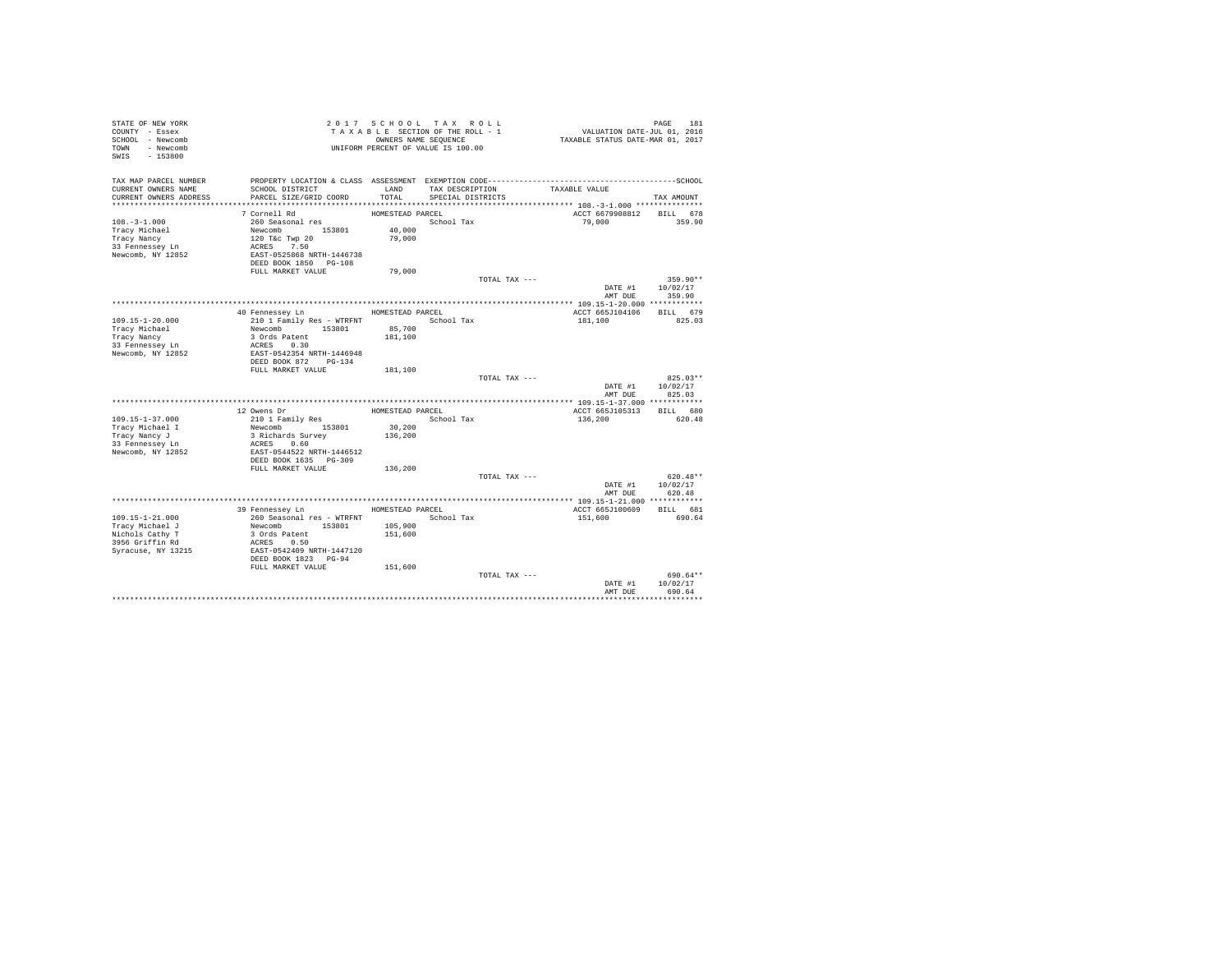| STATE OF NEW YORK<br>COUNTY - Essex<br>SCHOOL - Newcomb<br>TOWN - Newcomb<br>SWIS<br>$-153800$ |                                           |                    | 2017 SCHOOL TAX ROLL<br>TAXABLE SECTION OF THE ROLL - 1<br>OWNERS NAME SEQUENCE<br>UNIFORM PERCENT OF VALUE IS 100.00 | PAGE 181<br>VALUATION DATE-JUL 01, 2016<br>TAXABLE STATUS DATE-MAR 01, 2017 | PAGE<br>181        |
|------------------------------------------------------------------------------------------------|-------------------------------------------|--------------------|-----------------------------------------------------------------------------------------------------------------------|-----------------------------------------------------------------------------|--------------------|
| TAX MAP PARCEL NUMBER                                                                          |                                           |                    |                                                                                                                       |                                                                             |                    |
| CURRENT OWNERS NAME<br>CURRENT OWNERS ADDRESS                                                  | SCHOOL DISTRICT<br>PARCEL SIZE/GRID COORD | LAND<br>TOTAL      | TAX DESCRIPTION                                                                                                       | TAXABLE VALUE                                                               |                    |
|                                                                                                |                                           |                    | SPECIAL DISTRICTS                                                                                                     |                                                                             | TAX AMOUNT         |
|                                                                                                | 7 Cornell Rd                              | HOMESTEAD PARCEL   |                                                                                                                       | ACCT 6679908812                                                             | BILL 678           |
| $108. - 3 - 1.000$                                                                             | 260 Seasonal res                          |                    | School Tax                                                                                                            | 79,000                                                                      | 359.90             |
| Tracy Michael                                                                                  | Newcomb 153801                            | 40,000             |                                                                                                                       |                                                                             |                    |
| Tracy Nancy                                                                                    | 120 T&c Twp 20                            | 79,000             |                                                                                                                       |                                                                             |                    |
| 33 Fennessey Ln                                                                                | ACRES 7.50                                |                    |                                                                                                                       |                                                                             |                    |
| Newcomb, NY 12852                                                                              | EAST-0525868 NRTH-1446738                 |                    |                                                                                                                       |                                                                             |                    |
|                                                                                                | DEED BOOK 1850 PG-108                     |                    |                                                                                                                       |                                                                             |                    |
|                                                                                                | FULL MARKET VALUE                         | 79,000             |                                                                                                                       |                                                                             |                    |
|                                                                                                |                                           |                    | TOTAL TAX ---                                                                                                         |                                                                             | 359.90**           |
|                                                                                                |                                           |                    |                                                                                                                       | DATE #1<br>AMT DUE                                                          | 10/02/17<br>359.90 |
|                                                                                                |                                           |                    |                                                                                                                       |                                                                             |                    |
|                                                                                                | 40 Fennessey Ln                           | HOMESTEAD PARCEL   |                                                                                                                       | ACCT 665J104106                                                             | BILL 679           |
| $109.15 - 1 - 20.000$                                                                          | 210 1 Family Res - WTRFNT School Tax      |                    |                                                                                                                       | 181,100                                                                     | 825.03             |
| Tracy Michael                                                                                  | Newcomb 153801                            | 85,700             |                                                                                                                       |                                                                             |                    |
| Tracy Nancy                                                                                    | 3 Ords Patent                             | 181,100            |                                                                                                                       |                                                                             |                    |
| 33 Fennessey Ln                                                                                | ACRES 0.30                                |                    |                                                                                                                       |                                                                             |                    |
| Newcomb, NY 12852                                                                              | EAST-0542354 NRTH-1446948                 |                    |                                                                                                                       |                                                                             |                    |
|                                                                                                | DEED BOOK 872 PG-134                      |                    |                                                                                                                       |                                                                             |                    |
|                                                                                                | FULL MARKET VALUE                         | 181,100            | TOTAL TAX ---                                                                                                         |                                                                             | $825.03**$         |
|                                                                                                |                                           |                    |                                                                                                                       | DATE #1                                                                     | 10/02/17           |
|                                                                                                |                                           |                    |                                                                                                                       | AMT DUR                                                                     | 825.03             |
|                                                                                                |                                           |                    |                                                                                                                       |                                                                             |                    |
|                                                                                                | 12 Owens Dr                               | HOMESTEAD PARCEL   |                                                                                                                       | ACCT 665J105313                                                             | BILL 680           |
| $109.15 - 1 - 37.000$                                                                          | 210 1 Family Res                          |                    | School Tax                                                                                                            | 136,200                                                                     | 620.48             |
| Tracy Michael I                                                                                | Newcomb 153801                            | 30,200             |                                                                                                                       |                                                                             |                    |
| Tracy Nancy J                                                                                  | 3 Richards Survey                         | 136,200            |                                                                                                                       |                                                                             |                    |
| 33 Fennessey Ln<br>Newcomb, NY 12852                                                           | ACRES 0.60<br>EAST-0544522 NRTH-1446512   |                    |                                                                                                                       |                                                                             |                    |
|                                                                                                | DEED BOOK 1635 PG-309                     |                    |                                                                                                                       |                                                                             |                    |
|                                                                                                | FULL MARKET VALUE                         | 136,200            |                                                                                                                       |                                                                             |                    |
|                                                                                                |                                           |                    | TOTAL TAX ---                                                                                                         |                                                                             | $620.48**$         |
|                                                                                                |                                           |                    |                                                                                                                       | DATE #1                                                                     | 10/02/17           |
|                                                                                                |                                           |                    |                                                                                                                       | AMT DUE                                                                     | 620.48             |
|                                                                                                |                                           |                    |                                                                                                                       |                                                                             |                    |
|                                                                                                | 39 Fennessey Ln                           | HOMESTEAD PARCEL   |                                                                                                                       | ACCT 665J100609                                                             | BILL 681           |
| $109.15 - 1 - 21.000$                                                                          | 260 Seasonal res - WTRFNT                 |                    | School Tax                                                                                                            | 151,600                                                                     | 690.64             |
| Tracy Michael J<br>Nichols Cathy T                                                             | Newcomb 153801<br>3 Ords Patent           | 105,900<br>151,600 |                                                                                                                       |                                                                             |                    |
| 3956 Griffin Rd                                                                                | ACRES 0.50                                |                    |                                                                                                                       |                                                                             |                    |
| Syracuse, NY 13215                                                                             | EAST-0542409 NRTH-1447120                 |                    |                                                                                                                       |                                                                             |                    |
|                                                                                                | DEED BOOK 1823 PG-94                      |                    |                                                                                                                       |                                                                             |                    |
|                                                                                                | FULL MARKET VALUE                         | 151,600            |                                                                                                                       |                                                                             |                    |
|                                                                                                |                                           |                    | TOTAL TAX ---                                                                                                         |                                                                             | 690.64**           |
|                                                                                                |                                           |                    |                                                                                                                       | DATE #1                                                                     | 10/02/17           |
|                                                                                                |                                           |                    |                                                                                                                       | AMT DUE                                                                     | 690.64             |
|                                                                                                |                                           |                    |                                                                                                                       |                                                                             |                    |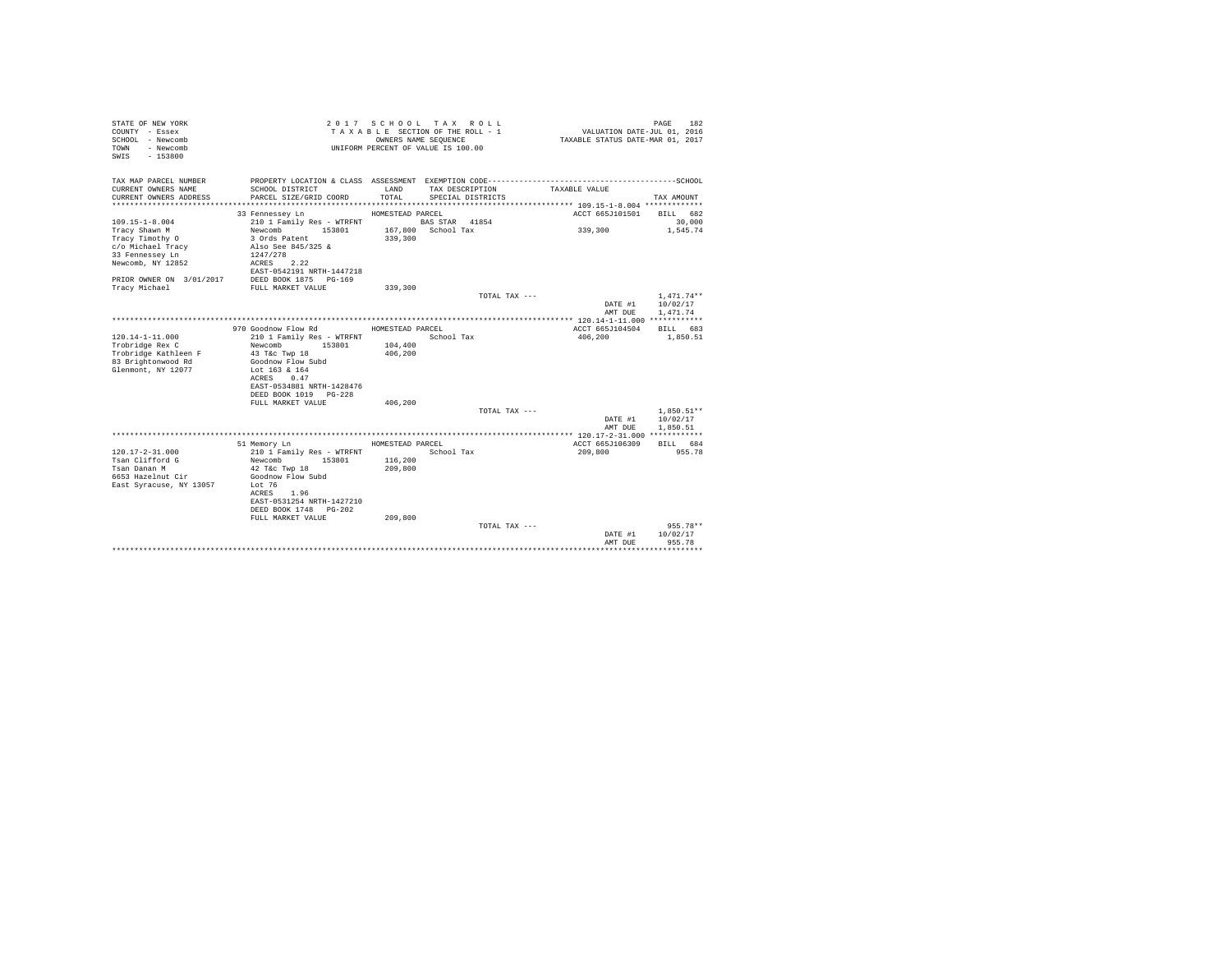| STATE OF NEW YORK<br>COUNTY - Essex<br>SCHOOL - Newcomb<br>- Newcomb<br>TOWN<br>$-153800$<br>SWTS |                                           | OWNERS NAME SEQUENCE | 2017 SCHOOL TAX ROLL<br>TAXABLE SECTION OF THE ROLL - 1<br>UNIFORM PERCENT OF VALUE IS 100.00 | VALUATION DATE-JUL 01, 2016<br>TAXABLE STATUS DATE-MAR 01, 2017 | 182<br>PAGE  |
|---------------------------------------------------------------------------------------------------|-------------------------------------------|----------------------|-----------------------------------------------------------------------------------------------|-----------------------------------------------------------------|--------------|
| TAX MAP PARCEL NUMBER                                                                             |                                           |                      |                                                                                               |                                                                 |              |
| CURRENT OWNERS NAME<br>CURRENT OWNERS ADDRESS                                                     | SCHOOL DISTRICT<br>PARCEL SIZE/GRID COORD | LAND<br>TOTAL.       | TAX DESCRIPTION<br>SPECIAL DISTRICTS                                                          | TAXABLE VALUE                                                   | TAX AMOUNT   |
|                                                                                                   | 33 Fennessey Ln                           | HOMESTEAD PARCEL     |                                                                                               | ACCT 665J101501                                                 | BILL 682     |
| $109.15 - 1 - 8.004$                                                                              | 210 1 Family Res - WTRFNT                 |                      | BAS STAR 41854                                                                                |                                                                 | 30,000       |
| Tracy Shawn M                                                                                     | Newcomb<br>153801                         |                      | 167,800 School Tax                                                                            | 339,300                                                         | 1,545.74     |
| Tracy Timothy O                                                                                   | 3 Ords Patent                             | 339,300              |                                                                                               |                                                                 |              |
| c/o Michael Tracy                                                                                 | Also See 845/325 &                        |                      |                                                                                               |                                                                 |              |
| 33 Fennessey Ln                                                                                   | 1247/278                                  |                      |                                                                                               |                                                                 |              |
| Newcomb, NY 12852                                                                                 | ACRES 2.22                                |                      |                                                                                               |                                                                 |              |
|                                                                                                   | EAST-0542191 NRTH-1447218                 |                      |                                                                                               |                                                                 |              |
| PRIOR OWNER ON 3/01/2017                                                                          | DEED BOOK 1875 PG-169                     |                      |                                                                                               |                                                                 |              |
| Tracy Michael                                                                                     | FULL MARKET VALUE                         | 339,300              |                                                                                               |                                                                 |              |
|                                                                                                   |                                           |                      | TOTAL TAX ---                                                                                 |                                                                 | $1,471.74**$ |
|                                                                                                   |                                           |                      |                                                                                               | DATE #1                                                         | 10/02/17     |
|                                                                                                   |                                           |                      |                                                                                               | AMT DUE                                                         | 1,471.74     |
|                                                                                                   | 970 Goodnow Flow Rd                       | HOMESTEAD PARCEL     |                                                                                               | ACCT 665J104504                                                 | BILL 683     |
| $120.14 - 1 - 11.000$                                                                             | 210 1 Family Res - WTRFNT                 |                      | School Tax                                                                                    | 406,200                                                         | 1,850.51     |
| Trobridge Rex C                                                                                   | Newcomb<br>153801                         | 104,400              |                                                                                               |                                                                 |              |
| Trobridge Kathleen F                                                                              | 43 T&c Twp 18                             | 406,200              |                                                                                               |                                                                 |              |
| 83 Brightonwood Rd                                                                                | Goodnow Flow Subd                         |                      |                                                                                               |                                                                 |              |
| Glenmont, NY 12077                                                                                | Lot 163 & 164                             |                      |                                                                                               |                                                                 |              |
|                                                                                                   | 0.47<br>ACRES                             |                      |                                                                                               |                                                                 |              |
|                                                                                                   | EAST-0534881 NRTH-1428476                 |                      |                                                                                               |                                                                 |              |
|                                                                                                   | DEED BOOK 1019 PG-228                     |                      |                                                                                               |                                                                 |              |
|                                                                                                   | FULL MARKET VALUE                         | 406,200              |                                                                                               |                                                                 |              |
|                                                                                                   |                                           |                      | TOTAL TAX ---                                                                                 |                                                                 | $1.850.51**$ |
|                                                                                                   |                                           |                      |                                                                                               | DATE #1                                                         | 10/02/17     |
|                                                                                                   |                                           |                      |                                                                                               | AMT DUE                                                         | 1,850.51     |
|                                                                                                   | 51 Memory Ln                              | HOMESTEAD PARCEL     |                                                                                               | ACCT 665J106309                                                 | BILL 684     |
| $120.17 - 2 - 31.000$                                                                             | 210 1 Family Res - WTRFNT                 |                      | School Tax                                                                                    | 209,800                                                         | 955.78       |
| Tsan Clifford G                                                                                   | 153801<br>Newcomb                         | 116,200              |                                                                                               |                                                                 |              |
| Tsan Danan M                                                                                      | 42 T&c Twp 18                             | 209,800              |                                                                                               |                                                                 |              |
| 6653 Hazelnut Cir                                                                                 | Goodnow Flow Subd                         |                      |                                                                                               |                                                                 |              |
| East Syracuse, NY 13057                                                                           | Lot $76$                                  |                      |                                                                                               |                                                                 |              |
|                                                                                                   | 1.96<br>ACRES                             |                      |                                                                                               |                                                                 |              |
|                                                                                                   | EAST-0531254 NRTH-1427210                 |                      |                                                                                               |                                                                 |              |
|                                                                                                   | DEED BOOK 1748 PG-202                     |                      |                                                                                               |                                                                 |              |
|                                                                                                   | FULL MARKET VALUE                         | 209,800              |                                                                                               |                                                                 |              |
|                                                                                                   |                                           |                      | TOTAL TAX ---                                                                                 |                                                                 | $955.78**$   |
|                                                                                                   |                                           |                      |                                                                                               | DATE #1                                                         | 10/02/17     |
|                                                                                                   |                                           |                      |                                                                                               | AMT DUE                                                         | 955.78       |
|                                                                                                   |                                           |                      |                                                                                               |                                                                 |              |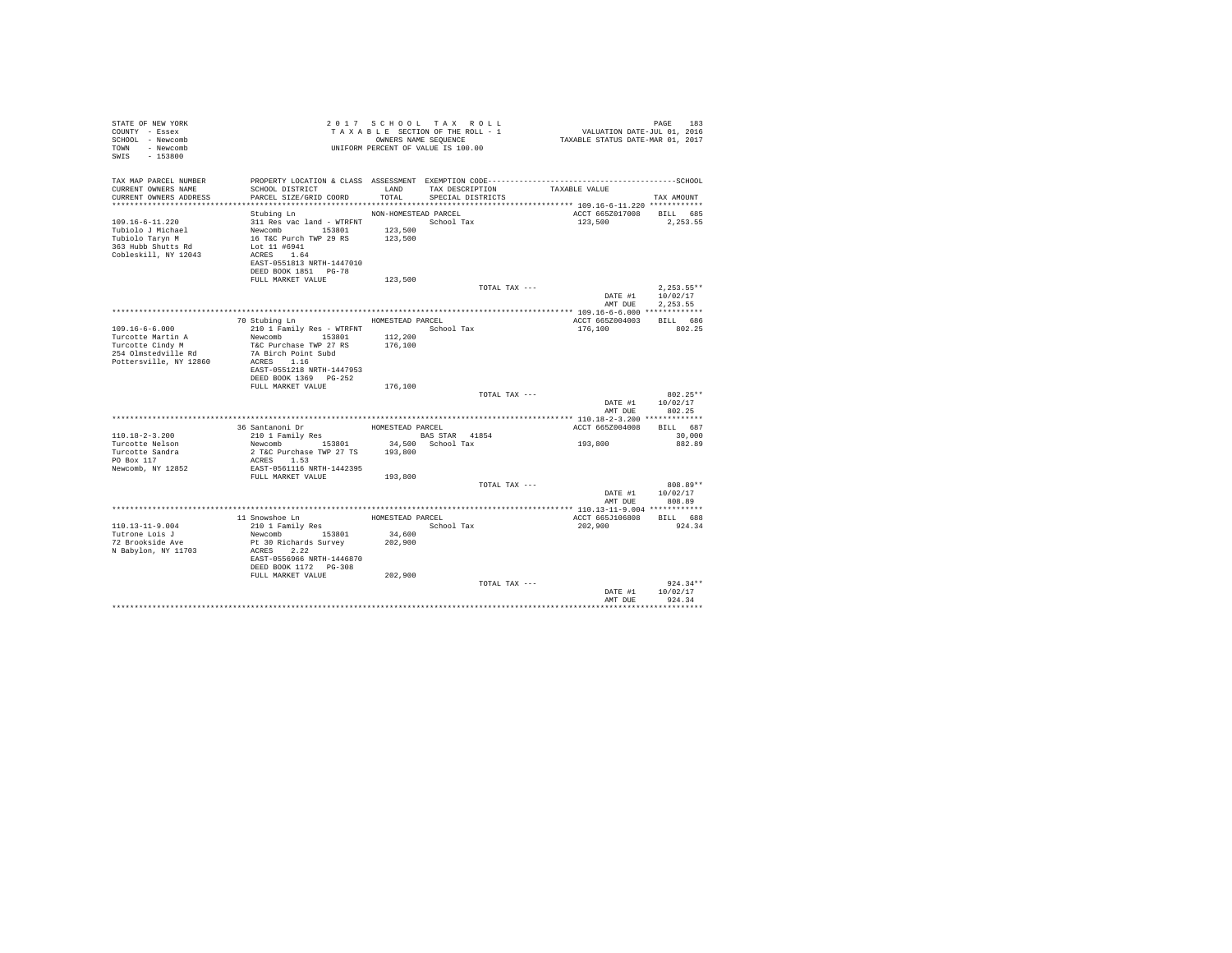| STATE OF NEW YORK<br>COUNTY - Essex<br>SCHOOL - Newcomb<br>- Newcomb<br>TOWN<br>SWIS<br>$-153800$           |                                                                                                                                                   |                                            | 2017 SCHOOL TAX ROLL<br>TAXABLE SECTION OF THE ROLL - 1<br>OWNERS NAME SEQUENCE<br>UNIFORM PERCENT OF VALUE IS 100.00 | PAGE 183<br>VALUATION DATE-JUL 01, 2016<br>TAXABLE STATUS DATE-MAR 01, 2017 | PAGE<br>183                      |
|-------------------------------------------------------------------------------------------------------------|---------------------------------------------------------------------------------------------------------------------------------------------------|--------------------------------------------|-----------------------------------------------------------------------------------------------------------------------|-----------------------------------------------------------------------------|----------------------------------|
| TAX MAP PARCEL NUMBER<br>CURRENT OWNERS NAME<br>CURRENT OWNERS ADDRESS                                      | SCHOOL DISTRICT<br>PARCEL SIZE/GRID COORD                                                                                                         | LAND<br>TOTAL                              | TAX DESCRIPTION<br>SPECIAL DISTRICTS                                                                                  | TAXABLE VALUE                                                               | TAX AMOUNT                       |
|                                                                                                             |                                                                                                                                                   |                                            |                                                                                                                       |                                                                             |                                  |
| $109.16 - 6 - 11.220$<br>Tubiolo J Michael<br>Tubiolo Taryn M<br>363 Hubb Shutts Rd<br>Cobleskill, NY 12043 | Stubing Ln<br>311 Res vac land - WTRFNT<br>Newcomb<br>153801<br>16 T&C Purch TWP 29 RS<br>Lot 11 #6941<br>ACRES 1.64<br>EAST-0551813 NRTH-1447010 | NON-HOMESTEAD PARCEL<br>123,500<br>123,500 | School Tax                                                                                                            | ACCT 665Z017008<br>123,500                                                  | BILL 685<br>2.253.55             |
|                                                                                                             | DEED BOOK 1851 PG-78                                                                                                                              |                                            |                                                                                                                       |                                                                             |                                  |
|                                                                                                             | FULL MARKET VALUE                                                                                                                                 | 123,500                                    | TOTAL TAX ---                                                                                                         |                                                                             | $2.253.55**$                     |
|                                                                                                             |                                                                                                                                                   |                                            |                                                                                                                       | DATE #1                                                                     | 10/02/17                         |
|                                                                                                             |                                                                                                                                                   |                                            |                                                                                                                       | AMT DUE                                                                     | 2.253.55                         |
|                                                                                                             |                                                                                                                                                   |                                            |                                                                                                                       |                                                                             |                                  |
|                                                                                                             | 70 Stubing Ln                                                                                                                                     | HOMESTEAD PARCEL                           |                                                                                                                       | ACCT 665Z004003                                                             | BILL 686                         |
| $109.16 - 6 - 6.000$                                                                                        | 210 1 Family Res - WTRFNT                                                                                                                         |                                            | School Tax                                                                                                            | 176,100                                                                     | 802.25                           |
| Turcotte Martin A                                                                                           | Newcomb 153801                                                                                                                                    | 112,200                                    |                                                                                                                       |                                                                             |                                  |
| Turcotte Cindy M                                                                                            | T&C Purchase TWP 27 RS                                                                                                                            | 176,100                                    |                                                                                                                       |                                                                             |                                  |
| 254 Olmstedville Rd<br>Pottersville, NY 12860                                                               | 7A Birch Point Subd<br>ACRES 1.16<br>EAST-0551218 NRTH-1447953<br>DEED BOOK 1369 PG-252                                                           |                                            |                                                                                                                       |                                                                             |                                  |
|                                                                                                             | FULL MARKET VALUE                                                                                                                                 | 176,100                                    |                                                                                                                       |                                                                             |                                  |
|                                                                                                             |                                                                                                                                                   |                                            | TOTAL TAX ---                                                                                                         | DATE #1<br>AMT DUE                                                          | $802.25**$<br>10/02/17<br>802.25 |
|                                                                                                             |                                                                                                                                                   |                                            |                                                                                                                       |                                                                             |                                  |
|                                                                                                             | 36 Santanoni Dr                                                                                                                                   | HOMESTEAD PARCEL                           |                                                                                                                       | ACCT 665Z004008                                                             | BILL 687                         |
| $110.18 - 2 - 3.200$                                                                                        | 210 1 Family Res                                                                                                                                  |                                            | BAS STAR 41854                                                                                                        |                                                                             | 30,000                           |
| Turcotte Nelson                                                                                             | Newcomb 153801                                                                                                                                    |                                            | 34,500 School Tax                                                                                                     | 193,800                                                                     | 882.89                           |
| Turcotte Sandra<br>PO Box 117                                                                               | 2 T&C Purchase TWP 27 TS<br>ACRES 1.53                                                                                                            | 193,800                                    |                                                                                                                       |                                                                             |                                  |
| Newcomb, NY 12852                                                                                           | EAST-0561116 NRTH-1442395                                                                                                                         |                                            |                                                                                                                       |                                                                             |                                  |
|                                                                                                             | FULL MARKET VALUE                                                                                                                                 | 193,800                                    |                                                                                                                       |                                                                             |                                  |
|                                                                                                             |                                                                                                                                                   |                                            | TOTAL TAX ---                                                                                                         |                                                                             | 808.89**                         |
|                                                                                                             |                                                                                                                                                   |                                            |                                                                                                                       | DATE #1                                                                     | 10/02/17<br>808.89               |
|                                                                                                             |                                                                                                                                                   |                                            |                                                                                                                       | AMT DUE                                                                     |                                  |
|                                                                                                             | 11 Snowshoe Ln                                                                                                                                    | HOMESTEAD PARCEL                           |                                                                                                                       | ACCT 665J106808                                                             | BILL 688                         |
| $110.13 - 11 - 9.004$                                                                                       | 210 1 Family Res                                                                                                                                  |                                            | School Tax                                                                                                            | 202,900                                                                     | 924.34                           |
| Tutrone Lois J                                                                                              | 153801<br>Newcomb                                                                                                                                 | 34,600                                     |                                                                                                                       |                                                                             |                                  |
| 72 Brookside Ave                                                                                            | Pt 30 Richards Survey                                                                                                                             | 202,900                                    |                                                                                                                       |                                                                             |                                  |
| N Babylon, NY 11703                                                                                         | ACRES 2.22<br>EAST-0556966 NRTH-1446870<br>DEED BOOK 1172 PG-308                                                                                  |                                            |                                                                                                                       |                                                                             |                                  |
|                                                                                                             | FULL MARKET VALUE                                                                                                                                 | 202,900                                    |                                                                                                                       |                                                                             |                                  |
|                                                                                                             |                                                                                                                                                   |                                            | TOTAL TAX ---                                                                                                         |                                                                             | $924.34**$                       |
|                                                                                                             |                                                                                                                                                   |                                            |                                                                                                                       | DATE #1                                                                     | 10/02/17                         |
|                                                                                                             |                                                                                                                                                   |                                            |                                                                                                                       | AMT DUE                                                                     | 924.34                           |
|                                                                                                             |                                                                                                                                                   |                                            |                                                                                                                       |                                                                             |                                  |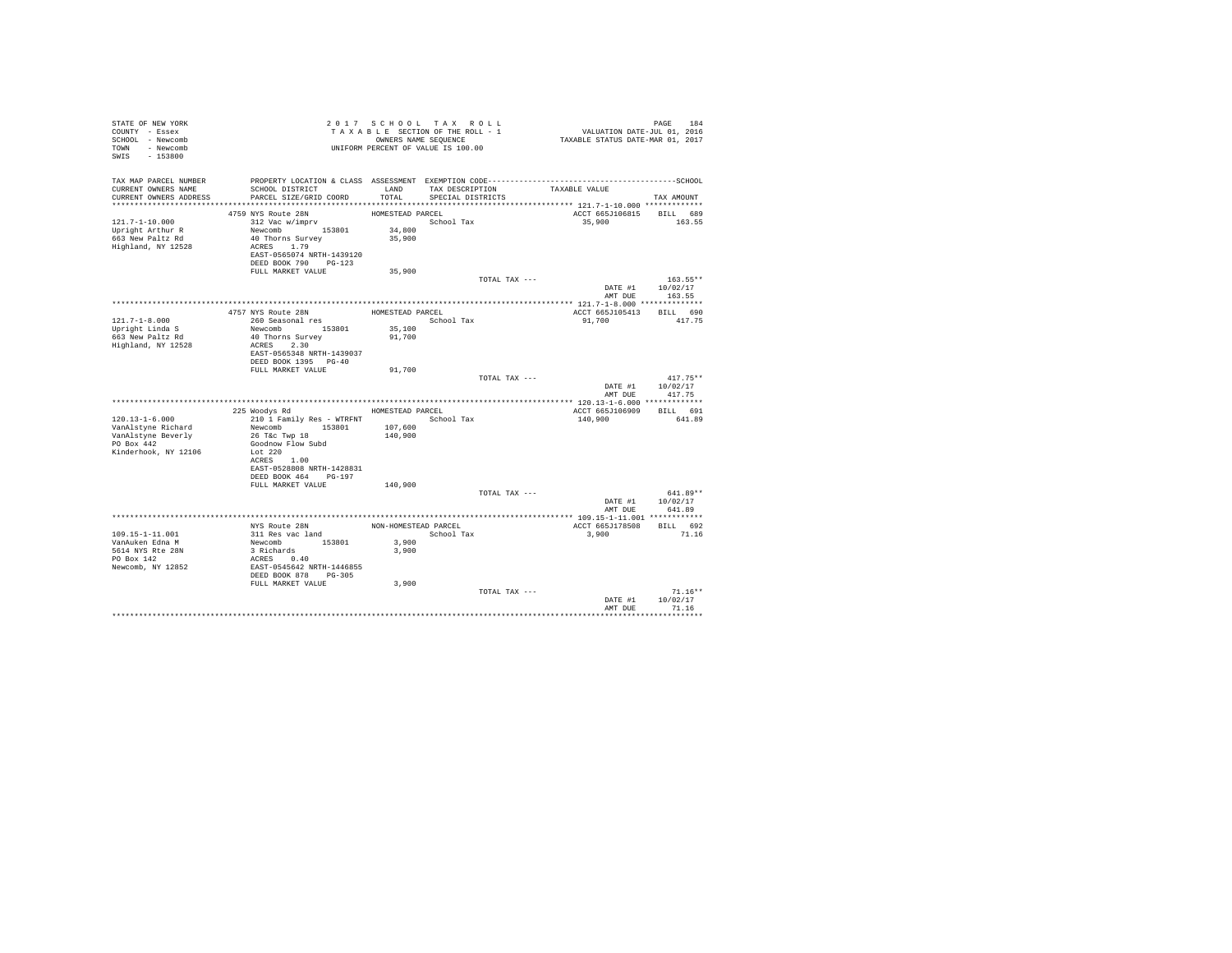| STATE OF NEW YORK<br>COUNTY - Essex<br>SCHOOL - Newcomb<br>TOWN - Newcomb<br>SWIS - 153800 |                                                                   |                  | 2017 SCHOOL TAX ROLL<br>TAXABLE SECTION OF THE ROLL - 1<br>OWNERS NAME SEQUENCE<br>UNIFORM PERCENT OF VALUE IS 100.00 | PAGE 184<br>VALUATION DATE-JUL 01, 2016<br>TAXABLE STATUS DATE-MAR 01, 2017                  |                  |
|--------------------------------------------------------------------------------------------|-------------------------------------------------------------------|------------------|-----------------------------------------------------------------------------------------------------------------------|----------------------------------------------------------------------------------------------|------------------|
| TAX MAP PARCEL NUMBER                                                                      |                                                                   |                  |                                                                                                                       | PROPERTY LOCATION & CLASS ASSESSMENT EXEMPTION CODE-----------------------------------SCHOOL |                  |
| CURRENT OWNERS NAME<br>CURRENT OWNERS ADDRESS                                              | SCHOOL DISTRICT<br>PARCEL SIZE/GRID COORD                         | LAND<br>TOTAL.   | TAX DESCRIPTION<br>SPECIAL DISTRICTS                                                                                  | TAXABLE VALUE                                                                                | TAX AMOUNT       |
|                                                                                            |                                                                   |                  |                                                                                                                       |                                                                                              |                  |
|                                                                                            | 4759 NYS Route 28N                                                | HOMESTEAD PARCEL |                                                                                                                       | ACCT 665J106815 BILL 689                                                                     |                  |
| $121.7 - 1 - 10.000$                                                                       | 312 Vac w/imprv                                                   |                  | School Tax                                                                                                            | 35,900                                                                                       | 163.55           |
| Upright Arthur R                                                                           | Newcomb 153801                                                    | 34,800           |                                                                                                                       |                                                                                              |                  |
| 663 New Paltz Rd                                                                           | 40 Thorns Survey                                                  | 35,900           |                                                                                                                       |                                                                                              |                  |
| Highland, NY 12528                                                                         | ACRES 1.79                                                        |                  |                                                                                                                       |                                                                                              |                  |
|                                                                                            | EAST-0565074 NRTH-1439120                                         |                  |                                                                                                                       |                                                                                              |                  |
|                                                                                            | DEED BOOK 790 PG-123                                              |                  |                                                                                                                       |                                                                                              |                  |
|                                                                                            | FULL MARKET VALUE                                                 | 35,900           | TOTAL TAX ---                                                                                                         |                                                                                              | $163.55**$       |
|                                                                                            |                                                                   |                  |                                                                                                                       |                                                                                              | DATE #1 10/02/17 |
|                                                                                            |                                                                   |                  |                                                                                                                       |                                                                                              | AMT DUE 163.55   |
|                                                                                            |                                                                   |                  |                                                                                                                       |                                                                                              |                  |
|                                                                                            | 4757 NYS Route 28N                                                | HOMESTEAD PARCEL |                                                                                                                       | ACCT 665J105413 BILL 690                                                                     |                  |
| $121.7 - 1 - 8.000$                                                                        | 260 Seasonal res                                                  |                  | School Tax                                                                                                            | 91,700                                                                                       | 417.75           |
| Upright Linda S                                                                            | Newcomb 153801                                                    | 35,100           |                                                                                                                       |                                                                                              |                  |
| 663 New Paltz Rd                                                                           | 40 Thorns Survey                                                  | 91,700           |                                                                                                                       |                                                                                              |                  |
| Highland, NY 12528                                                                         | ACRES 2.30                                                        |                  |                                                                                                                       |                                                                                              |                  |
|                                                                                            | EAST-0565348 NRTH-1439037                                         |                  |                                                                                                                       |                                                                                              |                  |
|                                                                                            | DEED BOOK 1395 PG-40                                              |                  |                                                                                                                       |                                                                                              |                  |
|                                                                                            | FULL MARKET VALUE                                                 | 91,700           |                                                                                                                       |                                                                                              |                  |
|                                                                                            |                                                                   |                  |                                                                                                                       | TOTAL TAX ---                                                                                | $417.75**$       |
|                                                                                            |                                                                   |                  |                                                                                                                       | DATE #1                                                                                      | 10/02/17         |
|                                                                                            |                                                                   |                  |                                                                                                                       | AMT DUE                                                                                      | 417.75           |
|                                                                                            | 225 Woodys Rd                                                     |                  | HOMESTEAD PARCEL                                                                                                      | ACCT 665J106909                                                                              | BILL 691         |
| $120.13 - 1 - 6.000$                                                                       | 210 1 Family Res - WTRFNT                                         |                  | School Tax                                                                                                            | 140,900                                                                                      | 641.89           |
| VanAlstyne Richard                                                                         | Newcomb 153801                                                    | 107,600          |                                                                                                                       |                                                                                              |                  |
| VanAlstyne Beverly                                                                         | 26 T&C Twp 18                                                     | 140,900          |                                                                                                                       |                                                                                              |                  |
| PO Box 442                                                                                 | Goodnow Flow Subd                                                 |                  |                                                                                                                       |                                                                                              |                  |
| Kinderhook, NY 12106                                                                       | Lot 220                                                           |                  |                                                                                                                       |                                                                                              |                  |
|                                                                                            | ACRES 1.00                                                        |                  |                                                                                                                       |                                                                                              |                  |
|                                                                                            | EAST-0528808 NRTH-1428831                                         |                  |                                                                                                                       |                                                                                              |                  |
|                                                                                            | DEED BOOK 464 PG-197                                              |                  |                                                                                                                       |                                                                                              |                  |
|                                                                                            | FULL MARKET VALUE                                                 | 140,900          |                                                                                                                       |                                                                                              |                  |
|                                                                                            |                                                                   |                  | TOTAL TAX ---                                                                                                         |                                                                                              | 641.89**         |
|                                                                                            |                                                                   |                  |                                                                                                                       |                                                                                              | DATE #1 10/02/17 |
|                                                                                            |                                                                   |                  |                                                                                                                       |                                                                                              | AMT DUE 641.89   |
|                                                                                            |                                                                   |                  |                                                                                                                       |                                                                                              |                  |
|                                                                                            | NYS Route 28N<br>311 Res vac land<br>Newcomb 153801<br>3 Richards |                  | NON-HOMESTEAD PARCEL                                                                                                  | ACCT 665J178508 BILL 692                                                                     |                  |
| 109.15-1-11.001                                                                            |                                                                   |                  | School Tax                                                                                                            | 3,900                                                                                        | 71.16            |
| VanAuken Edna M                                                                            |                                                                   | 3,900            |                                                                                                                       |                                                                                              |                  |
| 5614 NYS Rte 28N<br>PO Box 142                                                             |                                                                   | 3,900            |                                                                                                                       |                                                                                              |                  |
| Newcomb, NY 12852                                                                          | ACRES 0.40<br>EAST-0545642 NRTH-1446855                           |                  |                                                                                                                       |                                                                                              |                  |
|                                                                                            | DEED BOOK 878 PG-305                                              |                  |                                                                                                                       |                                                                                              |                  |
|                                                                                            | FULL MARKET VALUE                                                 | 3,900            |                                                                                                                       |                                                                                              |                  |
|                                                                                            |                                                                   |                  | TOTAL TAX ---                                                                                                         |                                                                                              | $71.16**$        |
|                                                                                            |                                                                   |                  |                                                                                                                       | DATE #1                                                                                      | 10/02/17         |
|                                                                                            |                                                                   |                  |                                                                                                                       | AMT DUE                                                                                      | 71.16            |
|                                                                                            |                                                                   |                  |                                                                                                                       |                                                                                              |                  |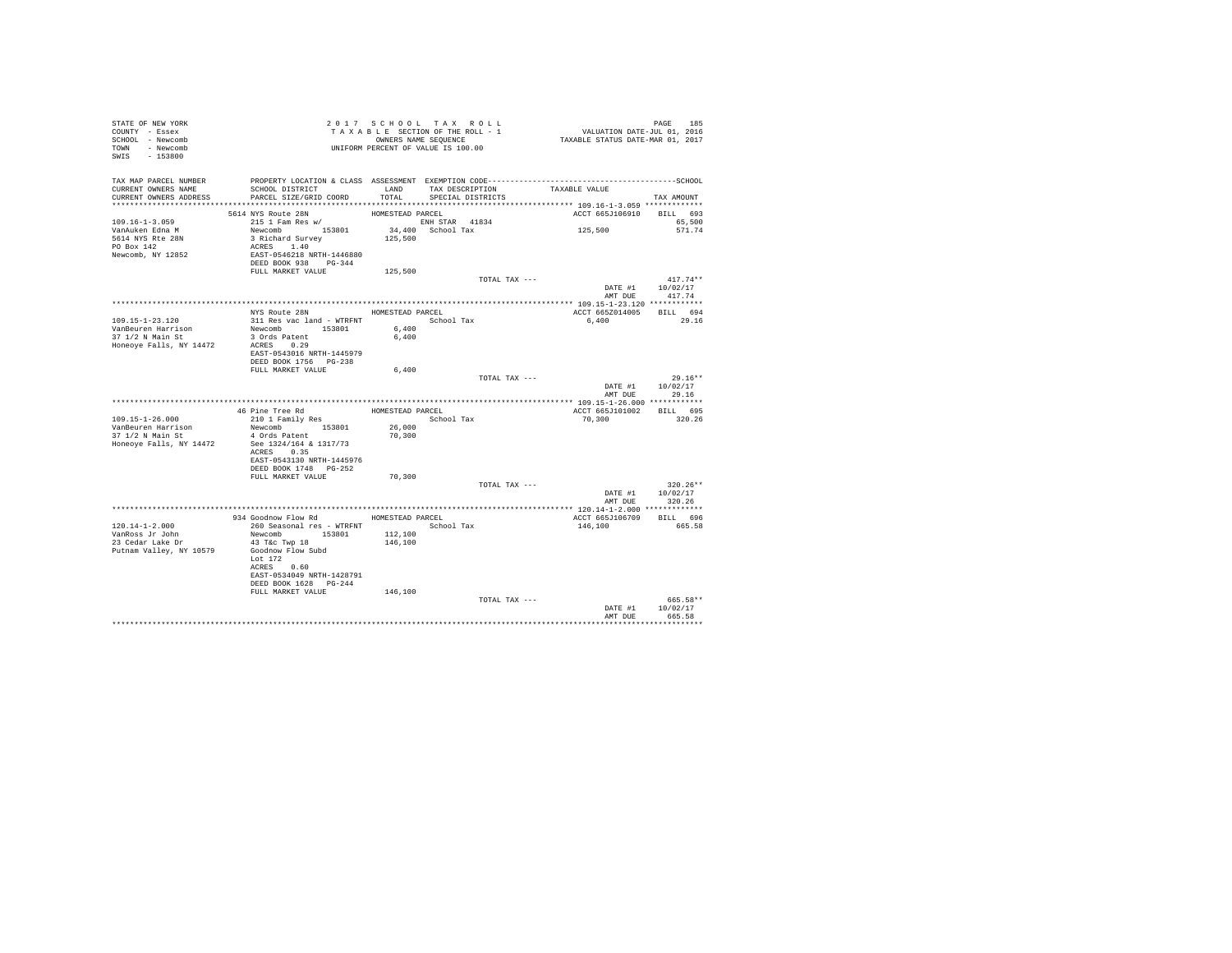| STATE OF NEW YORK<br>COUNTY - Essex<br>SCHOOL - Newcomb<br>TOWN - Newcomb<br>SWIS - 153800 |                                                                                                                                                                                           | 2017 SCHOOL TAX ROLL<br>TAXABLE SECTION OF THE ROLL - 1<br>OWNERS NAME SEQUENCE<br>UNIFORM PERCENT OF VALUE IS 100.00 |                                           |               | PAGE 185<br>VALUATION DATE-JUL 01, 2016<br>TAXABLE STATUS DATE-MAR 01, 2017 |                                  |
|--------------------------------------------------------------------------------------------|-------------------------------------------------------------------------------------------------------------------------------------------------------------------------------------------|-----------------------------------------------------------------------------------------------------------------------|-------------------------------------------|---------------|-----------------------------------------------------------------------------|----------------------------------|
| TAX MAP PARCEL NUMBER<br>CURRENT OWNERS NAME<br>CURRENT OWNERS ADDRESS                     | SCHOOL DISTRICT<br>PARCEL SIZE/GRID COORD                                                                                                                                                 | TOTAL                                                                                                                 | LAND TAX DESCRIPTION<br>SPECIAL DISTRICTS |               | TAXABLE VALUE                                                               | TAX AMOUNT                       |
| $109.16 - 1 - 3.059$<br>VanAuken Edna M<br>5614 NYS Rte 28N<br>PO Box 142                  | 5614 NYS Route 28N<br>215 1 Fam Res w/<br>Newcomb 153801<br>3 Richard Survey<br>ACRES 1.40                                                                                                | HOMESTEAD PARCEL<br>ENH STAR 41834<br>125,500                                                                         | 34,400 School Tax                         |               | ACCT 665J106910 BILL 693<br>125,500                                         | 65,500<br>571.74                 |
| Newcomb, NY 12852                                                                          | EAST-0546218 NRTH-1446880<br>DEED BOOK 938 PG-344<br>FULL MARKET VALUE                                                                                                                    | 125,500                                                                                                               |                                           | TOTAL TAX --- |                                                                             | $417.74**$                       |
|                                                                                            |                                                                                                                                                                                           |                                                                                                                       |                                           |               | AMT DUE                                                                     | DATE #1 10/02/17<br>417.74       |
| 109.15-1-23.120<br>VanBeuren Harrison<br>37 1/2 N Main St<br>Honeove Falls, NY 14472       | NYS Route 28N<br>311 Res vac land - WTRFNT<br>Newcomb 153801<br>3 Ords Patent<br>ACRES 0.29<br>EAST-0543016 NRTH-1445979<br>DEED BOOK 1756 PG-238                                         | HOMESTEAD PARCEL<br>6,400<br>6,400                                                                                    | School Tax                                |               | ACCT 665Z014005 BILL 694<br>6,400                                           | 29.16                            |
|                                                                                            | FULL MARKET VALUE                                                                                                                                                                         | 6,400                                                                                                                 |                                           | TOTAL TAX --- | DATE #1<br>AMT DUE                                                          | $29.16**$<br>10/02/17<br>29.16   |
|                                                                                            |                                                                                                                                                                                           |                                                                                                                       |                                           |               |                                                                             |                                  |
|                                                                                            | 46 Pine Tree Rd                                                                                                                                                                           | HOMESTEAD PARCEL                                                                                                      |                                           |               | ACCT 665J101002 BILL 695                                                    |                                  |
| 109.15-1-26.000<br>VanBeuren Harrison<br>$37 \t1/2$ N Main St<br>Honeoye Falls, NY 14472   | 210 1 Family Res<br>Newcomb 153801<br>4 Ords Patent<br>See 1324/164 & 1317/73<br>ACRES 0.35<br>EAST-0543130 NRTH-1445976<br>DEED BOOK 1748 PG-252                                         | 26,000<br>70,300                                                                                                      | School Tax                                |               | 70,300                                                                      | 320.26                           |
|                                                                                            | FULL MARKET VALUE                                                                                                                                                                         | 70,300                                                                                                                |                                           |               |                                                                             |                                  |
|                                                                                            |                                                                                                                                                                                           |                                                                                                                       |                                           | TOTAL TAX --- | DATE #1<br>AMT DUE                                                          | $320.26**$<br>10/02/17<br>320.26 |
|                                                                                            |                                                                                                                                                                                           |                                                                                                                       |                                           |               |                                                                             |                                  |
| 120.14-1-2.000<br>VanRoss Jr John<br>23 Cedar Lake Dr<br>Putnam Valley, NY 10579           | 934 Goodnow Flow Rd<br>260 Seasonal res - WTRFNT<br>Newcomb 153801<br>43 T&c Twp 18<br>Goodnow Flow Subd<br>Lot $172$<br>ACRES 0.60<br>EAST-0534049 NRTH-1428791<br>DEED BOOK 1628 PG-244 | HOMESTEAD PARCEL<br>112,100<br>146,100                                                                                | School Tax                                |               | ACCT 665J106709<br>146,100                                                  | BILL 696<br>665.58               |
|                                                                                            | FULL MARKET VALUE                                                                                                                                                                         | 146,100                                                                                                               |                                           | TOTAL TAX --- | DATE #1<br>AMT DUE                                                          | 665.58**<br>10/02/17<br>665.58   |
|                                                                                            |                                                                                                                                                                                           |                                                                                                                       |                                           |               |                                                                             |                                  |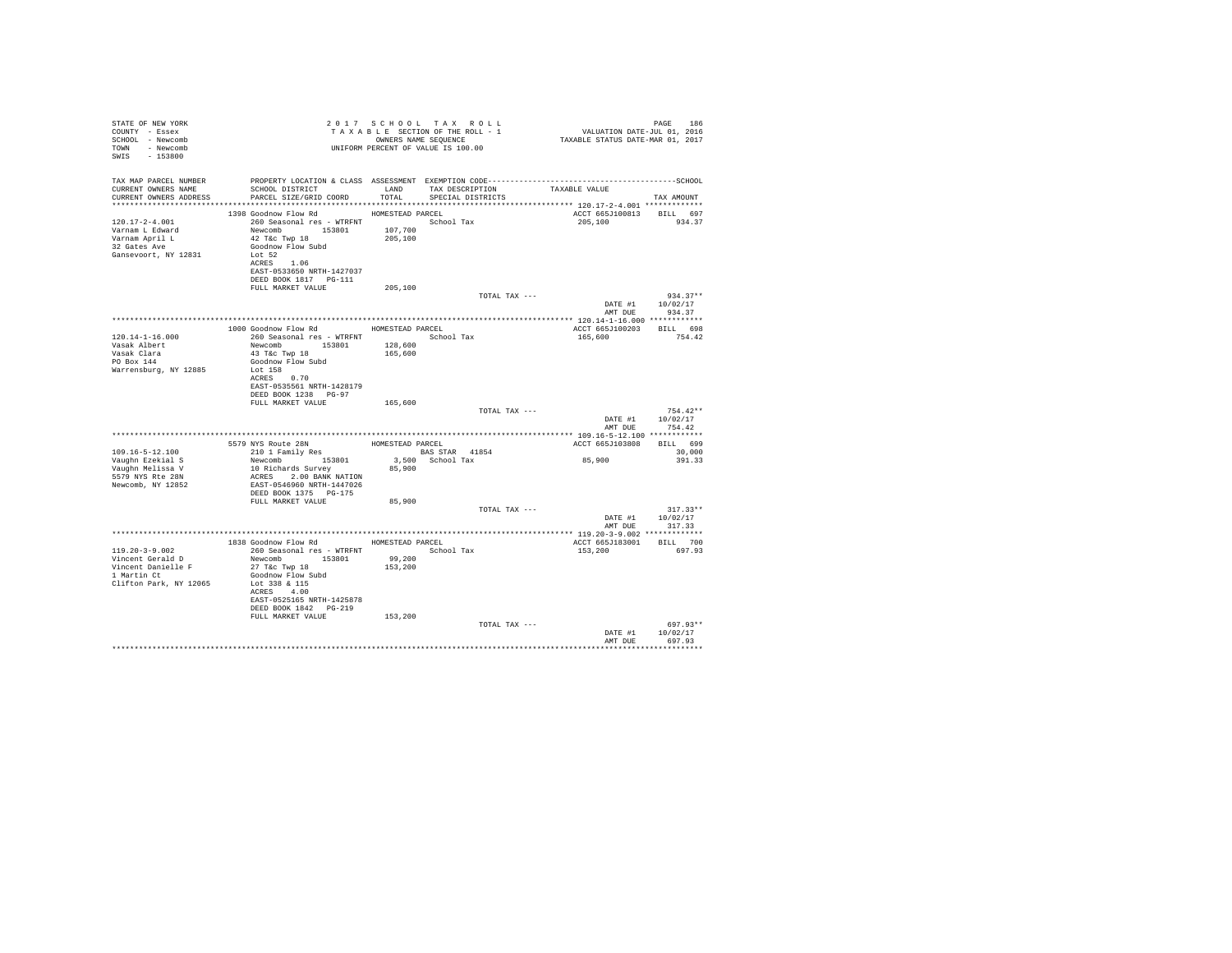| STATE OF NEW YORK<br>COUNTY - Essex<br>SCHOOL - Newcomb<br>TOWN - Newcomb<br>SWIS - 153800                         |                                                                                                                                               |         | 2017 SCHOOL TAX ROLL<br>UNIFORM PERCENT OF VALUE IS 100.00 |               |                                            | PAGE<br>186                    |
|--------------------------------------------------------------------------------------------------------------------|-----------------------------------------------------------------------------------------------------------------------------------------------|---------|------------------------------------------------------------|---------------|--------------------------------------------|--------------------------------|
| TAX MAP PARCEL NUMBER PROPERTY LOCATION & CLASS ASSESSMENT EXEMPTION CODE-----------------------------------SCHOOL |                                                                                                                                               |         |                                                            |               |                                            |                                |
| CURRENT OWNERS NAME<br>CURRENT OWNERS ADDRESS                                                                      | SCHOOL DISTRICT $\hfill\textsc{LAND}$ TAX DESCRIPTION TAXABLE VALUE<br>PARCEL SIZE/GRID COORD TOTAL SPECIAL DISTRICTS                         |         |                                                            |               |                                            | TAX AMOUNT                     |
|                                                                                                                    |                                                                                                                                               |         |                                                            |               |                                            |                                |
| $120.17 - 2 - 4.001$                                                                                               | 1398 Goodnow Flow Rd MOMESTEAD PARCEL                                                                                                         |         |                                                            |               | ACCT 665J100813 BILL 697<br>205,100        | 934.37                         |
| Varnam L Edward                                                                                                    |                                                                                                                                               |         |                                                            |               |                                            |                                |
| Varnam April L<br>32 Gates Ave                                                                                     | 260 Seasonal res - WTRFNT<br>Newcomb 153801 1907,700<br>42 T&c Twp 18 107,700                                                                 |         |                                                            |               |                                            |                                |
|                                                                                                                    | Goodnow Flow Subd                                                                                                                             |         |                                                            |               |                                            |                                |
| Gansevoort, NY 12831                                                                                               | Lot 52<br>ACRES 1.06                                                                                                                          |         |                                                            |               |                                            |                                |
|                                                                                                                    | EAST-0533650 NRTH-1427037                                                                                                                     |         |                                                            |               |                                            |                                |
|                                                                                                                    | DEED BOOK 1817    PG-111                                                                                                                      |         |                                                            |               |                                            |                                |
|                                                                                                                    | FULL MARKET VALUE                                                                                                                             | 205,100 |                                                            |               |                                            |                                |
|                                                                                                                    |                                                                                                                                               |         |                                                            | TOTAL TAX --- |                                            | $934.37**$<br>DATE #1 10/02/17 |
|                                                                                                                    |                                                                                                                                               |         |                                                            |               | AMT DUE                                    | 934.37                         |
|                                                                                                                    |                                                                                                                                               |         |                                                            |               |                                            |                                |
| $120.14 - 1 - 16.000$                                                                                              | 1000 Goodnow Flow Rd HOMESTEAD PARCEL<br>260 Seasonal res - WTRFNT             School Tax                                                     |         |                                                            |               | ACCT 665J100203 BILL 698<br>165,600 754.42 |                                |
| Vasak Albert                                                                                                       | Newcomb 153801                                                                                                                                | 128,600 |                                                            |               |                                            |                                |
| Vasak Clara<br>PO Box 144                                                                                          | 43 T&C Twp 18                                                                                                                                 | 165,600 |                                                            |               |                                            |                                |
|                                                                                                                    | Goodnow Flow Subd                                                                                                                             |         |                                                            |               |                                            |                                |
| Warrensburg, NY 12885                                                                                              | Lot 158<br>ACRES 0.70                                                                                                                         |         |                                                            |               |                                            |                                |
|                                                                                                                    | EAST-0535561 NRTH-1428179                                                                                                                     |         |                                                            |               |                                            |                                |
|                                                                                                                    | DEED BOOK 1238 PG-97                                                                                                                          |         |                                                            |               |                                            |                                |
|                                                                                                                    | FULL MARKET VALUE                                                                                                                             | 165,600 |                                                            |               |                                            | $754.42**$                     |
|                                                                                                                    |                                                                                                                                               |         |                                                            | TOTAL TAX --- | DATE #1                                    | 10/02/17                       |
|                                                                                                                    |                                                                                                                                               |         |                                                            |               |                                            | AMT DUE 754.42                 |
|                                                                                                                    |                                                                                                                                               |         |                                                            |               |                                            |                                |
|                                                                                                                    | 5579 NYS Route 28N HOMESTEAD PARCEL 210 1 Family Res BAS STAR 41854                                                                           |         |                                                            |               | ACCT 665J103808 BILL 699                   |                                |
| 109.16-5-12.100                                                                                                    | --- - - ------, RESSON 3,500 School Tax<br>10 Richards Survey 85,900 School Tax<br>ACRES 3.00 BANK NATION 85,900<br>EAST-0546960 NRTH-1447026 |         |                                                            |               | 85,900                                     | 30,000<br>391.33               |
| Vaughn Ezekial S<br>Vaughn Melissa V<br>5579 NYS Rte 28N                                                           |                                                                                                                                               |         |                                                            |               |                                            |                                |
|                                                                                                                    |                                                                                                                                               |         |                                                            |               |                                            |                                |
| Newcomb, NY 12852                                                                                                  | DEED BOOK 1375 PG-175                                                                                                                         |         |                                                            |               |                                            |                                |
|                                                                                                                    | FULL MARKET VALUE                                                                                                                             | 85,900  |                                                            |               |                                            |                                |
|                                                                                                                    |                                                                                                                                               |         |                                                            | TOTAL TAX --- |                                            | $317.33**$                     |
|                                                                                                                    |                                                                                                                                               |         |                                                            |               |                                            | DATE #1 10/02/17               |
|                                                                                                                    |                                                                                                                                               |         |                                                            |               |                                            | AMT DUE 317.33                 |
|                                                                                                                    | 1838 Goodnow Flow Rd HOMESTEAD PARCEL                                                                                                         |         |                                                            |               | ACCT 665J183001 BILL 700                   |                                |
| $119.20 - 3 - 9.002$                                                                                               | 260 Seasonal res - WTRFNT                                                                                                                     |         | School Tax                                                 |               | 153,200                                    | 697.93                         |
| Vincent Gerald D                                                                                                   | Newcomb 153801                                                                                                                                | 99,200  |                                                            |               |                                            |                                |
| Vincent Danielle F<br>1 Martin Ct                                                                                  | 27 T&C Twp 18<br>Goodnow Flow Subd                                                                                                            | 153,200 |                                                            |               |                                            |                                |
| Clifton Park, NY 12065                                                                                             | Lot 338 & 115                                                                                                                                 |         |                                                            |               |                                            |                                |
|                                                                                                                    | ACRES 4.00                                                                                                                                    |         |                                                            |               |                                            |                                |
|                                                                                                                    | EAST-0525165 NRTH-1425878                                                                                                                     |         |                                                            |               |                                            |                                |
|                                                                                                                    | DEED BOOK 1842    PG-219<br>FULL MARKET VALUE                                                                                                 | 153,200 |                                                            |               |                                            |                                |
|                                                                                                                    |                                                                                                                                               |         |                                                            | TOTAL TAX --- |                                            | 697.93**                       |
|                                                                                                                    |                                                                                                                                               |         |                                                            |               | DATE #1                                    | 10/02/17                       |
|                                                                                                                    |                                                                                                                                               |         |                                                            |               | AMT DUE                                    | 697.93                         |
|                                                                                                                    |                                                                                                                                               |         |                                                            |               |                                            |                                |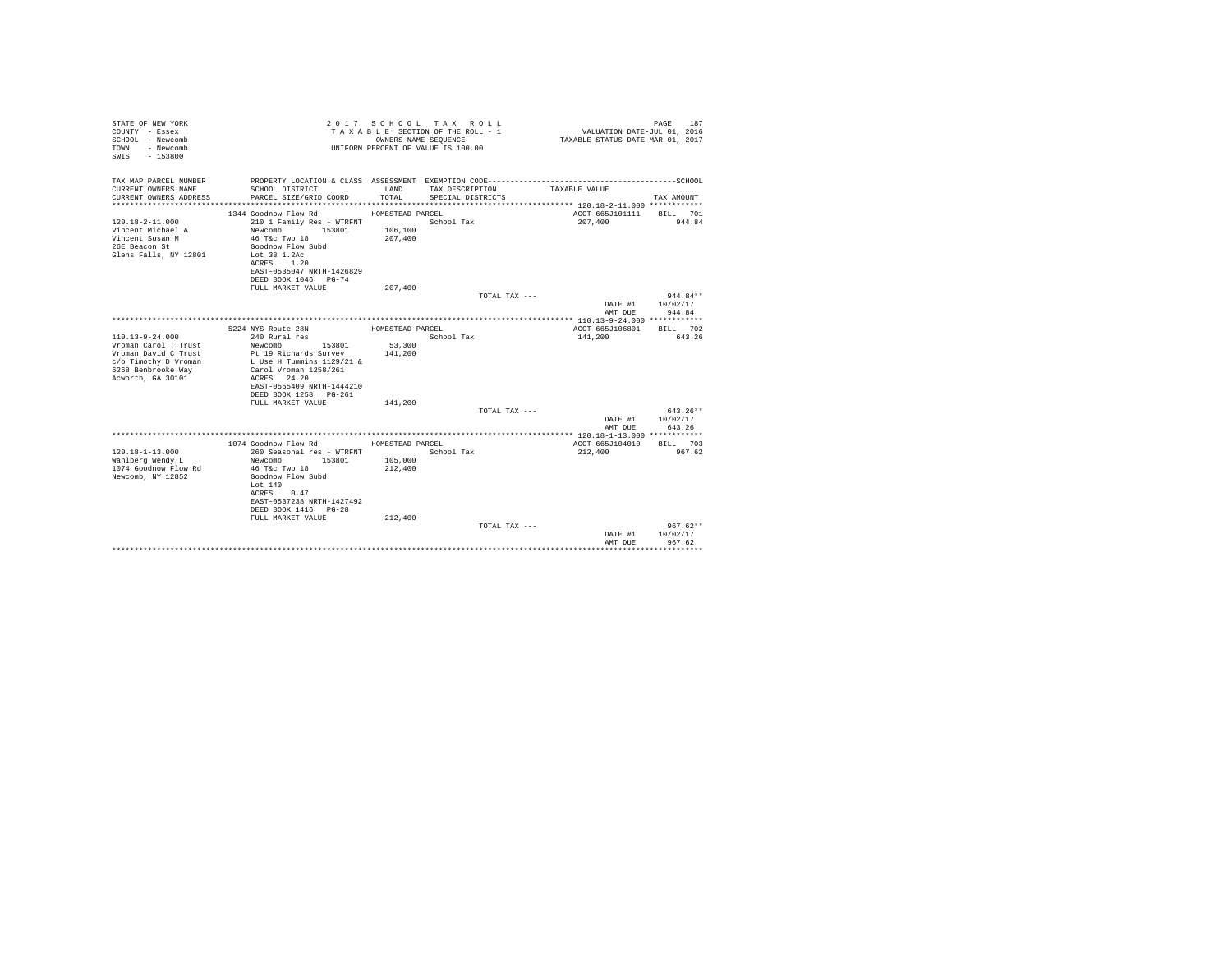| STATE OF NEW YORK<br>COUNTY - Essex<br>SCHOOL - Newcomb<br>- Newcomb<br>TOWN<br>SWIS<br>$-153800$                                        |                                                                                                                                                                                        | OWNERS NAME SEQUENCE | 2017 SCHOOL TAX ROLL<br>TAXABLE SECTION OF THE ROLL - 1<br>UNIFORM PERCENT OF VALUE IS 100.00 | VALUATION DATE-JUL 01, 2016<br>TAXABLE STATUS DATE-MAR 01, 2017                              | 187<br>PAGE                    |
|------------------------------------------------------------------------------------------------------------------------------------------|----------------------------------------------------------------------------------------------------------------------------------------------------------------------------------------|----------------------|-----------------------------------------------------------------------------------------------|----------------------------------------------------------------------------------------------|--------------------------------|
| TAX MAP PARCEL NUMBER                                                                                                                    |                                                                                                                                                                                        |                      |                                                                                               | PROPERTY LOCATION & CLASS ASSESSMENT EXEMPTION CODE-----------------------------------SCHOOL |                                |
| CURRENT OWNERS NAME<br>CURRENT OWNERS ADDRESS                                                                                            | SCHOOL DISTRICT<br>PARCEL SIZE/GRID COORD                                                                                                                                              | LAND<br>TOTAL        | TAX DESCRIPTION<br>SPECIAL DISTRICTS                                                          | TAXABLE VALUE                                                                                | TAX AMOUNT                     |
|                                                                                                                                          | 1344 Goodnow Flow Rd                                                                                                                                                                   | HOMESTEAD PARCEL     |                                                                                               | ACCT 665J101111                                                                              | BILL 701                       |
| $120.18 - 2 - 11.000$<br>Vincent Michael A<br>Vincent Susan M<br>26E Beacon St<br>Glens Falls, NY 12801                                  | 210 1 Family Res - WTRFNT<br>Newcomb<br>153801<br>46 T&C Twp 18<br>Goodnow Flow Subd<br>Lot 38 1.2Ac<br>1.20<br>ACRES<br>EAST-0535047 NRTH-1426829                                     | 106,100<br>207,400   | School Tax                                                                                    | 207,400                                                                                      | 944.84                         |
|                                                                                                                                          | DEED BOOK 1046 PG-74                                                                                                                                                                   |                      |                                                                                               |                                                                                              |                                |
|                                                                                                                                          | FULL MARKET VALUE                                                                                                                                                                      | 207,400              | TOTAL TAX ---                                                                                 |                                                                                              | $944.84**$                     |
|                                                                                                                                          |                                                                                                                                                                                        |                      |                                                                                               | DATE #1<br>AMT DUE                                                                           | 10/02/17<br>944.84             |
|                                                                                                                                          |                                                                                                                                                                                        |                      |                                                                                               |                                                                                              |                                |
|                                                                                                                                          | 5224 NYS Route 28N                                                                                                                                                                     | HOMESTEAD PARCEL     |                                                                                               | ACCT 665J106801                                                                              | BILL 702                       |
| $110.13 - 9 - 24.000$<br>Vroman Carol T Trust<br>Vroman David C Trust<br>c/o Timothy D Vroman<br>6268 Benbrooke Way<br>Acworth, GA 30101 | 240 Rural res<br>Newcomb<br>153801<br>Pt 19 Richards Survey<br>L Use H Tummins 1129/21 &<br>Carol Vroman 1258/261<br>ACRES 24.20<br>EAST-0555409 NRTH-1444210<br>DEED BOOK 1258 PG-261 | 53,300<br>141,200    | School Tax                                                                                    | 141,200                                                                                      | 643.26                         |
|                                                                                                                                          | FULL MARKET VALUE                                                                                                                                                                      | 141,200              |                                                                                               |                                                                                              |                                |
|                                                                                                                                          |                                                                                                                                                                                        |                      | TOTAL TAX ---                                                                                 | DATE #1<br>AMT DUE                                                                           | 643.26**<br>10/02/17<br>643.26 |
|                                                                                                                                          |                                                                                                                                                                                        |                      |                                                                                               |                                                                                              |                                |
|                                                                                                                                          | 1074 Goodnow Flow Rd                                                                                                                                                                   | HOMESTEAD PARCEL     |                                                                                               | ACCT 665J104010                                                                              | BILL 703                       |
| $120.18 - 1 - 13.000$<br>Wahlberg Wendy L<br>1074 Goodnow Flow Rd<br>Newcomb, NY 12852                                                   | 260 Seasonal res - WTRFNT<br>Newcomb<br>153801<br>46 T&C Twp 18<br>Goodnow Flow Subd<br>Lot 140<br>0.47<br>ACRES<br>EAST-0537238 NRTH-1427492<br>DEED BOOK 1416 PG-28                  | 105,000<br>212,400   | School Tax                                                                                    | 212,400                                                                                      | 967.62                         |
|                                                                                                                                          | FULL MARKET VALUE                                                                                                                                                                      | 212,400              | TOTAL TAX ---                                                                                 |                                                                                              | $967.62**$                     |
|                                                                                                                                          |                                                                                                                                                                                        |                      |                                                                                               | DATE #1<br>AMT DUE                                                                           | 10/02/17<br>967.62             |
|                                                                                                                                          |                                                                                                                                                                                        |                      |                                                                                               |                                                                                              | .                              |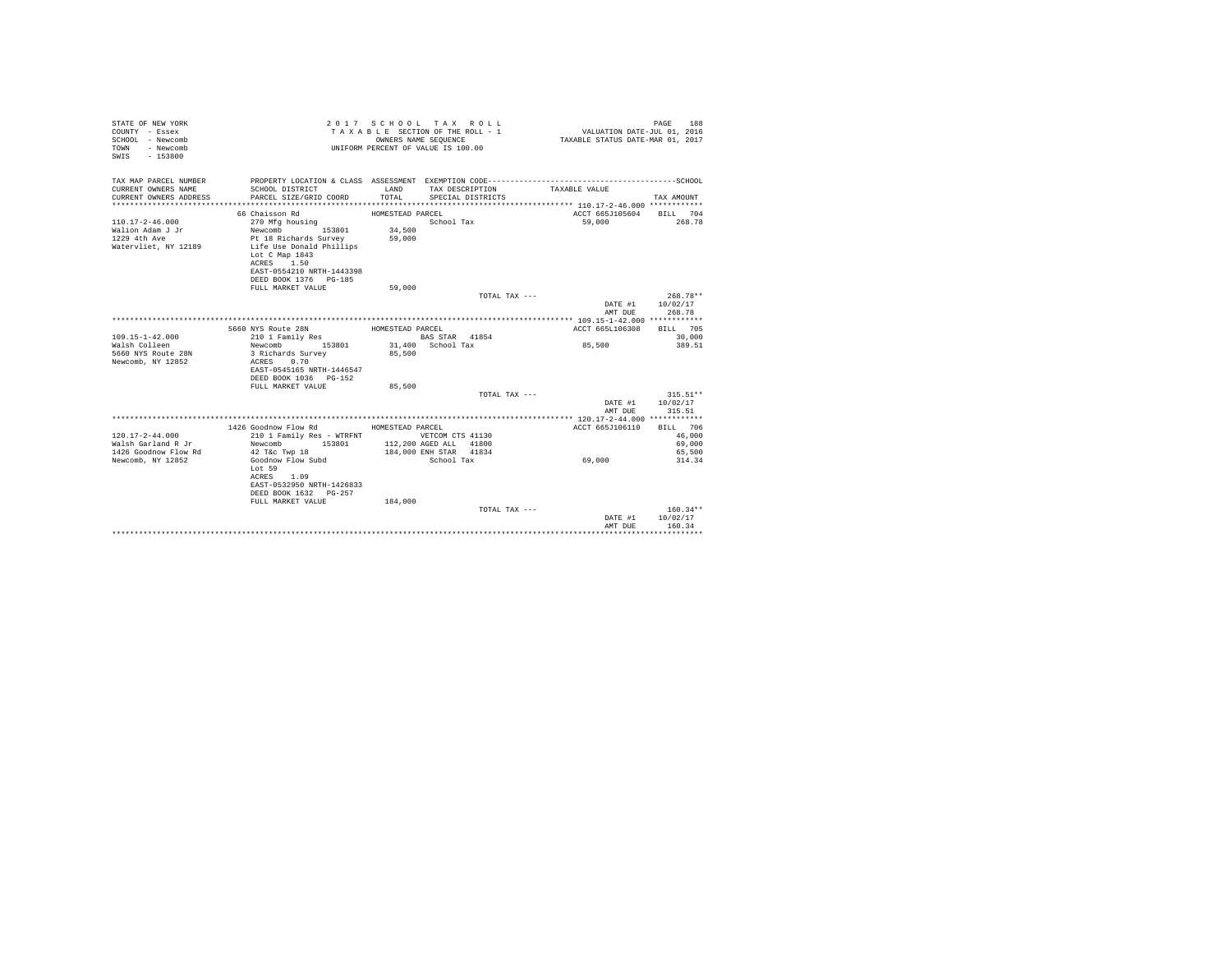| STATE OF NEW YORK<br>COUNTY - Essex<br>SCHOOL - Newcomb<br>- Newcomb<br>TOWN<br>SWIS - 153800 |                                                                                                                                                                          | OWNERS NAME SEQUENCE                 | 2017 SCHOOL TAX ROLL<br>TAXABLE SECTION OF THE ROLL - 1<br>UNIFORM PERCENT OF VALUE IS 100.00 | VALUATION DATE-JUL 01, 2016<br>TAXABLE STATUS DATE-MAR 01, 2017                                               | PAGE<br>188                            |
|-----------------------------------------------------------------------------------------------|--------------------------------------------------------------------------------------------------------------------------------------------------------------------------|--------------------------------------|-----------------------------------------------------------------------------------------------|---------------------------------------------------------------------------------------------------------------|----------------------------------------|
| TAX MAP PARCEL NUMBER<br>CURRENT OWNERS NAME<br>CURRENT OWNERS ADDRESS                        | SCHOOL DISTRICT<br>PARCEL SIZE/GRID COORD                                                                                                                                | LAND<br>TOTAL                        | TAX DESCRIPTION<br>SPECIAL DISTRICTS                                                          | PROPERTY LOCATION & CLASS ASSESSMENT EXEMPTION CODE-----------------------------------SCHOOL<br>TAXABLE VALUE | TAX AMOUNT                             |
| $110.17 - 2 - 46.000$<br>Walion Adam J Jr<br>1229 4th Ave<br>Watervliet, NY 12189             | 66 Chaisson Rd<br>270 Mfg housing<br>Newcomb<br>153801<br>Pt 18 Richards Survey<br>Life Use Donald Phillips<br>Lot C Map 1843<br>ACRES 1.50<br>EAST-0554210 NRTH-1443398 | HOMESTEAD PARCEL<br>34,500<br>59,000 | School Tax                                                                                    | ACCT 665J105604<br>59,000                                                                                     | BILL 704<br>268.78                     |
|                                                                                               | DEED BOOK 1376 PG-185<br>FULL MARKET VALUE                                                                                                                               | 59,000                               | TOTAL TAX ---                                                                                 |                                                                                                               | $268.78**$<br>DATE #1 10/02/17         |
|                                                                                               |                                                                                                                                                                          |                                      |                                                                                               | AMT DUE                                                                                                       | 268.78                                 |
| $109.15 - 1 - 42.000$<br>Walsh Colleen<br>5660 NYS Route 28N<br>Newcomb, NY 12852             | 5660 NYS Route 28N<br>210 1 Family Res<br>Newcomb 153801<br>3 Richards Survey<br>ACRES 0.70<br>EAST-0545165 NRTH-1446547<br>DEED BOOK 1036 PG-152<br>FULL MARKET VALUE   | HOMESTEAD PARCEL<br>85,500<br>85,500 | BAS STAR 41854<br>31,400 School Tax                                                           | ACCT 665L106308<br>85,500                                                                                     | BTLL 705<br>30,000<br>389.51           |
|                                                                                               |                                                                                                                                                                          |                                      | TOTAL TAX ---                                                                                 |                                                                                                               | $315.51**$                             |
|                                                                                               |                                                                                                                                                                          |                                      |                                                                                               | DATE #1<br>AMT DUE                                                                                            | 10/02/17<br>315.51                     |
|                                                                                               |                                                                                                                                                                          |                                      |                                                                                               |                                                                                                               |                                        |
| $120.17 - 2 - 44.000$<br>Walsh Garland R Jr<br>1426 Goodnow Flow Rd                           | 1426 Goodnow Flow Rd MOMESTEAD PARCEL<br>210 1 Family Res - WTRFNT WETCOM CTS 41130<br>Newcomb<br>153801<br>42 T&c Twp 18                                                |                                      | 112,200 AGED ALL 41800<br>184,000 ENH STAR 41834                                              | ACCT 665J106110                                                                                               | BILL 706<br>46,000<br>69,000<br>65,500 |
| Newcomb, NY 12852                                                                             | Goodnow Flow Subd<br>Lot 59<br>ACRES 1.09<br>EAST-0532950 NRTH-1426833<br>DEED BOOK 1632 PG-257<br>FULL MARKET VALUE                                                     | 184,000                              | School Tax                                                                                    | 69,000                                                                                                        | 314.34                                 |
|                                                                                               |                                                                                                                                                                          |                                      | TOTAL TAX ---                                                                                 | DATE #1<br>AMT DUE                                                                                            | $160.34**$<br>10/02/17<br>160.34       |
|                                                                                               |                                                                                                                                                                          |                                      |                                                                                               |                                                                                                               |                                        |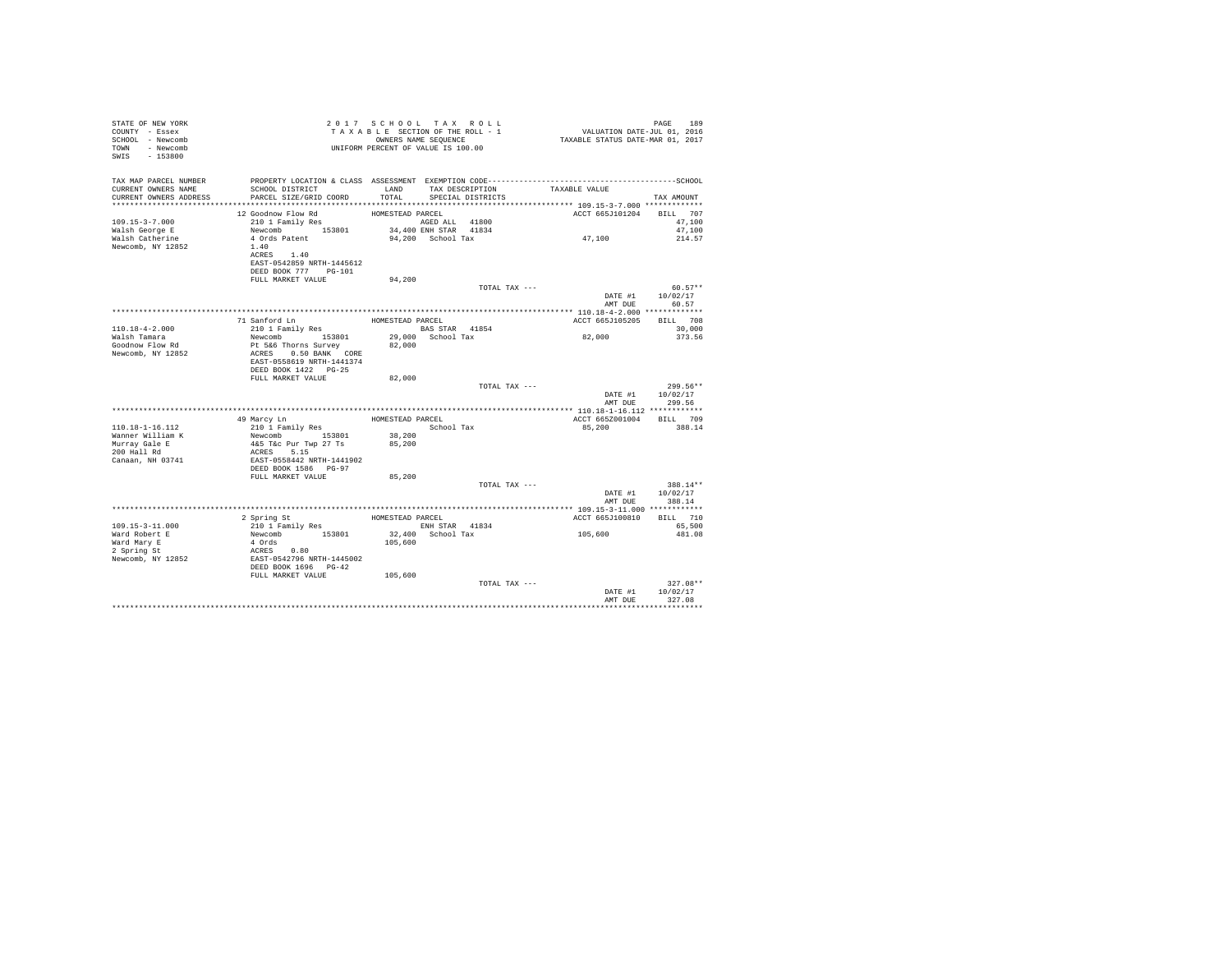| STATE OF NEW YORK<br>COUNTY - Essex<br>SCHOOL - Newcomb<br>TOWN - Newcomb<br>SWIS - 153800 | T A X A B L E SECIION CI<br>OWNERS NAME SEQUENCE<br>UNIFORM PERCENT OF VALUE IS 100.00                                                                | TAXABLE SECTION OF THE ROLL - 1<br>OWNERS NAME SEQUENCE |                       |                   | PAGE 189<br>VALUATION DATE-JUL 01, 2016<br>TAXABLE STATUS DATE-MAR 01, 2017 |                              |
|--------------------------------------------------------------------------------------------|-------------------------------------------------------------------------------------------------------------------------------------------------------|---------------------------------------------------------|-----------------------|-------------------|-----------------------------------------------------------------------------|------------------------------|
|                                                                                            |                                                                                                                                                       |                                                         |                       |                   |                                                                             |                              |
| TAX MAP PARCEL NUMBER                                                                      |                                                                                                                                                       |                                                         |                       |                   |                                                                             |                              |
| CURRENT OWNERS NAME                                                                        | SCHOOL DISTRICT                                                                                                                                       | LAND                                                    |                       | TAX DESCRIPTION   | TAXABLE VALUE                                                               |                              |
| CURRENT OWNERS ADDRESS                                                                     | PARCEL SIZE/GRID COORD                                                                                                                                | TOTAL                                                   |                       | SPECIAL DISTRICTS |                                                                             | TAX AMOUNT                   |
|                                                                                            | 12 Goodnow Flow Rd                                                                                                                                    | HOMESTEAD PARCEL                                        |                       |                   | ACCT 665J101204 BILL 707                                                    |                              |
| $109.15 - 3 - 7.000$                                                                       | 210 1 Family Res                                                                                                                                      | AGED ALL 41800                                          |                       |                   |                                                                             | 47,100                       |
| Walsh George E                                                                             | Newcomb 153801<br>4 Ords Patent                                                                                                                       |                                                         | 34,400 ENH STAR 41834 |                   | 47,100                                                                      | 47,100                       |
| Walsh Catherine                                                                            |                                                                                                                                                       |                                                         | 94,200 School Tax     |                   |                                                                             | 214.57                       |
| Newcomb, NY 12852                                                                          | 1.40<br>ACRES 1.40                                                                                                                                    |                                                         |                       |                   |                                                                             |                              |
|                                                                                            | EAST-0542859 NRTH-1445612                                                                                                                             |                                                         |                       |                   |                                                                             |                              |
|                                                                                            | DEED BOOK 777 PG-101                                                                                                                                  |                                                         |                       |                   |                                                                             |                              |
|                                                                                            | FULL MARKET VALUE                                                                                                                                     | 94,200                                                  |                       |                   |                                                                             |                              |
|                                                                                            |                                                                                                                                                       |                                                         |                       | TOTAL TAX ---     |                                                                             | $60.57**$                    |
|                                                                                            |                                                                                                                                                       |                                                         |                       |                   | AMT DUE                                                                     | DATE #1 10/02/17<br>60.57    |
|                                                                                            |                                                                                                                                                       |                                                         |                       |                   |                                                                             |                              |
|                                                                                            | 71 Sanford Ln                                                                                                                                         | HOMESTEAD PARCEL                                        |                       |                   | ACCT 665J105205                                                             | BILL 708                     |
| 110.18-4-2.000                                                                             | 210 1 Family Res                                                                                                                                      | BAS STAR 41854                                          |                       |                   |                                                                             | 30,000                       |
| Walsh Tamara<br>Goodnow Flow Rd                                                            | Newcomb 153801                                                                                                                                        |                                                         |                       | 29,000 School Tax | 82,000                                                                      | 373.56                       |
| Newcomb, NY 12852                                                                          | Pt 5&6 Thorns Survey 82,000<br>ACRES 0.50 BANK CORE                                                                                                   |                                                         |                       |                   |                                                                             |                              |
|                                                                                            | EAST-0558619 NRTH-1441374                                                                                                                             |                                                         |                       |                   |                                                                             |                              |
|                                                                                            | DEED BOOK 1422   PG-25                                                                                                                                |                                                         |                       |                   |                                                                             |                              |
|                                                                                            | FULL MARKET VALUE                                                                                                                                     | 82,000                                                  |                       |                   |                                                                             |                              |
|                                                                                            |                                                                                                                                                       |                                                         |                       | TOTAL TAX ---     |                                                                             | 299.56**<br>DATE #1 10/02/17 |
|                                                                                            |                                                                                                                                                       |                                                         |                       |                   | AMT DUE                                                                     | 299.56                       |
|                                                                                            |                                                                                                                                                       |                                                         |                       |                   |                                                                             |                              |
|                                                                                            | 49 Marcy Ln                                                                                                                                           | HOMESTEAD PARCEL                                        |                       |                   | ACCT 665Z001004 BILL 709                                                    |                              |
| 110.18-1-16.112                                                                            | 210 1 Family Res                                                                                                                                      | School Tax                                              |                       |                   | 85,200                                                                      | 388.14                       |
|                                                                                            |                                                                                                                                                       | 38,200                                                  |                       |                   |                                                                             |                              |
| Wanner William K<br>Murray Gale E<br>200 Hall Rd                                           | Newcomb 153801 38,200<br>465 Tac Pur Twp 27 Ts 85,200<br>ACRES 5.15<br>RAST-0558442 NRTH-1441902                                                      |                                                         |                       |                   |                                                                             |                              |
| Canaan, NH 03741                                                                           |                                                                                                                                                       |                                                         |                       |                   |                                                                             |                              |
|                                                                                            | DEED BOOK 1586 PG-97                                                                                                                                  |                                                         |                       |                   |                                                                             |                              |
|                                                                                            | FULL MARKET VALUE                                                                                                                                     | 85,200                                                  |                       | TOTAL TAX ---     |                                                                             | 388.14**                     |
|                                                                                            |                                                                                                                                                       |                                                         |                       |                   |                                                                             | DATE #1   10/02/17           |
|                                                                                            |                                                                                                                                                       |                                                         |                       |                   | AMT DUE                                                                     | 388.14                       |
|                                                                                            |                                                                                                                                                       |                                                         |                       |                   |                                                                             |                              |
|                                                                                            | 2 Spring St                                                                                                                                           | HOMESTEAD PARCEL                                        |                       |                   | ACCT 665J100810                                                             | BILL 710                     |
| 109.15-3-11.000<br>Ward Robert E                                                           |                                                                                                                                                       | ENH STAR 41834<br>32,400 School Tax                     |                       |                   | 105,600                                                                     | 65,500<br>481.08             |
|                                                                                            |                                                                                                                                                       | 105,600                                                 |                       |                   |                                                                             |                              |
| Ward Mary E<br>2 Spring St                                                                 |                                                                                                                                                       |                                                         |                       |                   |                                                                             |                              |
| Newcomb, NY 12852                                                                          | 2 Spring St<br>210 1 Family Res<br>Newcomb 153801<br>4 Ords<br>2008<br>EAST-0542796 NRTH-1445002<br>EAST-0542796 NRTH-1445002<br>DEED BOOK 1696 PG-42 |                                                         |                       |                   |                                                                             |                              |
|                                                                                            | FULL MARKET VALUE 105,600                                                                                                                             |                                                         |                       |                   |                                                                             |                              |
|                                                                                            |                                                                                                                                                       |                                                         |                       | TOTAL TAX ---     |                                                                             | $327.08**$                   |
|                                                                                            |                                                                                                                                                       |                                                         |                       |                   |                                                                             | DATE #1 10/02/17             |
|                                                                                            |                                                                                                                                                       |                                                         |                       |                   | AMT DUE                                                                     | 327.08                       |
|                                                                                            |                                                                                                                                                       |                                                         |                       |                   |                                                                             |                              |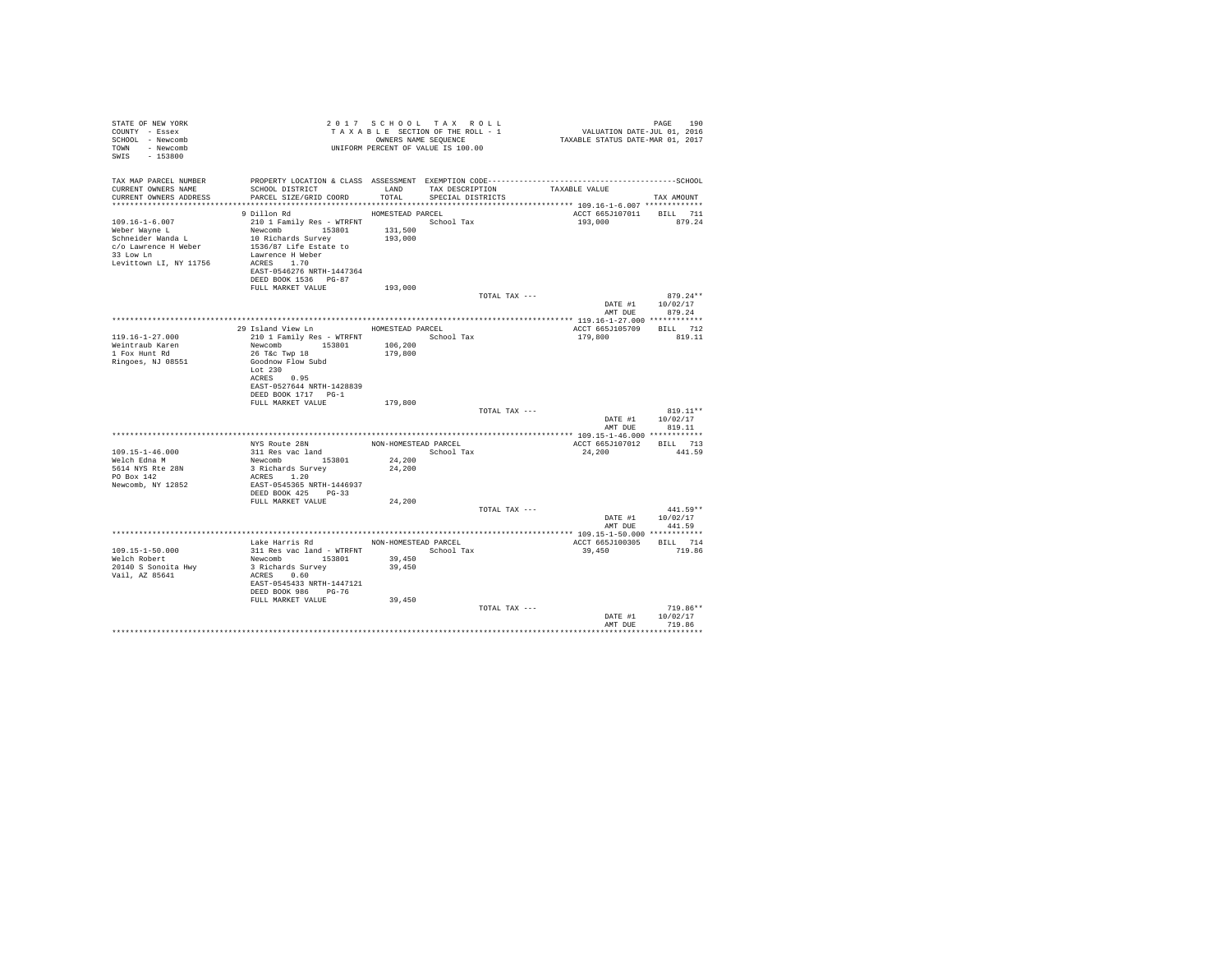| STATE OF NEW YORK<br>COUNTY - Essex<br>SCHOOL - Newcomb<br>TOWN - Newcomb<br>SWIS - 153800                          | UNIFORM PERCENT OF VALUE IS 100.00                                                                                                                                                                           |                                          | 2017 SCHOOL TAX ROLL<br>TAXABLE SECTION OF THE ROLL - 1<br>OWNERS NAME SEQUENCE |               | PAGE 190<br>VALUATION DATE-JUL 01, 2016<br>TAXABLE STATUS DATE-MAR 01, 2017 |                                          |
|---------------------------------------------------------------------------------------------------------------------|--------------------------------------------------------------------------------------------------------------------------------------------------------------------------------------------------------------|------------------------------------------|---------------------------------------------------------------------------------|---------------|-----------------------------------------------------------------------------|------------------------------------------|
| TAX MAP PARCEL NUMBER<br>CURRENT OWNERS NAME<br>CURRENT OWNERS ADDRESS                                              | PROPERTY LOCATION & CLASS ASSESSMENT EXEMPTION CODE-----------------------------------SCHOOL<br>SCHOOL DISTRICT<br>PARCEL SIZE/GRID COORD                                                                    | LAND<br>TOTAL                            | TAX DESCRIPTION<br>SPECIAL DISTRICTS                                            |               | TAXABLE VALUE                                                               | TAX AMOUNT                               |
| 109.16-1-6.007<br>Weber Wayne L<br>Schneider Wanda L<br>c/o Lawrence H Weber<br>33 Low Ln<br>Levittown LI, NY 11756 | 9 Dillon Rd<br>210 1 Family Res - WTRFNT School Tax<br>Newcomb 153801<br>10 Richards Survey<br>1536/87 Life Estate to<br>Lawrence H Weber<br>ACRES 1.70<br>EAST-0546276 NRTH-1447364<br>DEED BOOK 1536 PG-87 | HOMESTEAD PARCEL<br>131,500<br>193,000   |                                                                                 |               | ACCT 665J107011 BILL 711<br>193,000 879.24                                  |                                          |
|                                                                                                                     | FULL MARKET VALUE                                                                                                                                                                                            | 193,000                                  |                                                                                 | TOTAL TAX --- | AMT DUE                                                                     | 879.24**<br>DATE #1 10/02/17<br>879.24   |
|                                                                                                                     |                                                                                                                                                                                                              |                                          |                                                                                 |               |                                                                             |                                          |
| $119.16 - 1 - 27.000$<br>Weintraub Karen<br>1 Fox Hunt Rd<br>Ringoes, NJ 08551                                      | 29 Island View Ln MOMESTEAD PARCEL<br>210 1 Family Res - WTRFNT<br>Newcomb 153801<br>26 T&C Twp 18<br>Goodnow Flow Subd<br>Lot 230<br>ACRES 0.95<br>EAST-0527644 NRTH-1428839                                | 106,200<br>179,800                       | School Tax                                                                      |               | ACCT 665J105709 BILL 712<br>179,800                                         | 819.11                                   |
|                                                                                                                     | DEED BOOK 1717 PG-1<br>FULL MARKET VALUE                                                                                                                                                                     | 179,800                                  |                                                                                 | TOTAL TAX --- |                                                                             | $819.11**$                               |
|                                                                                                                     |                                                                                                                                                                                                              |                                          |                                                                                 |               |                                                                             |                                          |
| $109.15 - 1 - 46.000$<br>Welch Edna M<br>5614 NYS Rte 28N<br>PO Box 142<br>Newcomb, NY 12852                        | NYS Route 28N<br>$311$ Res vac land<br>Newcomb 153801<br>3 Richards Survey<br>ACRES 1.20<br>EAST-0545365 NRTH-1446937<br>DEED BOOK 425 PG-33                                                                 | NON-HOMESTEAD PARCEL<br>24,200<br>24,200 | School Tax                                                                      |               | ACCT 665J107012 BILL 713<br>24,200                                          | 441.59                                   |
|                                                                                                                     | FULL MARKET VALUE                                                                                                                                                                                            | 24,200                                   |                                                                                 | TOTAL TAX --- | AMT DUE                                                                     | $441.59**$<br>DATE #1 10/02/17<br>441.59 |
|                                                                                                                     |                                                                                                                                                                                                              |                                          |                                                                                 |               |                                                                             |                                          |
| 109.15-1-50.000<br>Welch Robert<br>20140 S Sonoita Hwy<br>Vail, AZ 85641                                            | Lake Harris Rd MON-HOMESTEAD PARCEL<br>311 Res vac land - WTRFNT<br>Newcomb 153801<br>3 Richards Survey<br>ACRES 0.60<br>EAST-0545433 NRTH-1447121<br>DEED BOOK 986 PG-76                                    | 39,450<br>39,450                         | School Tax                                                                      |               | ACCT 665J100305 BILL 714<br>39,450                                          | 719.86                                   |
|                                                                                                                     | FULL MARKET VALUE                                                                                                                                                                                            | 39,450                                   |                                                                                 | TOTAL TAX --- | DATE #1<br>AMT DUE                                                          | $719.86**$<br>10/02/17<br>719.86         |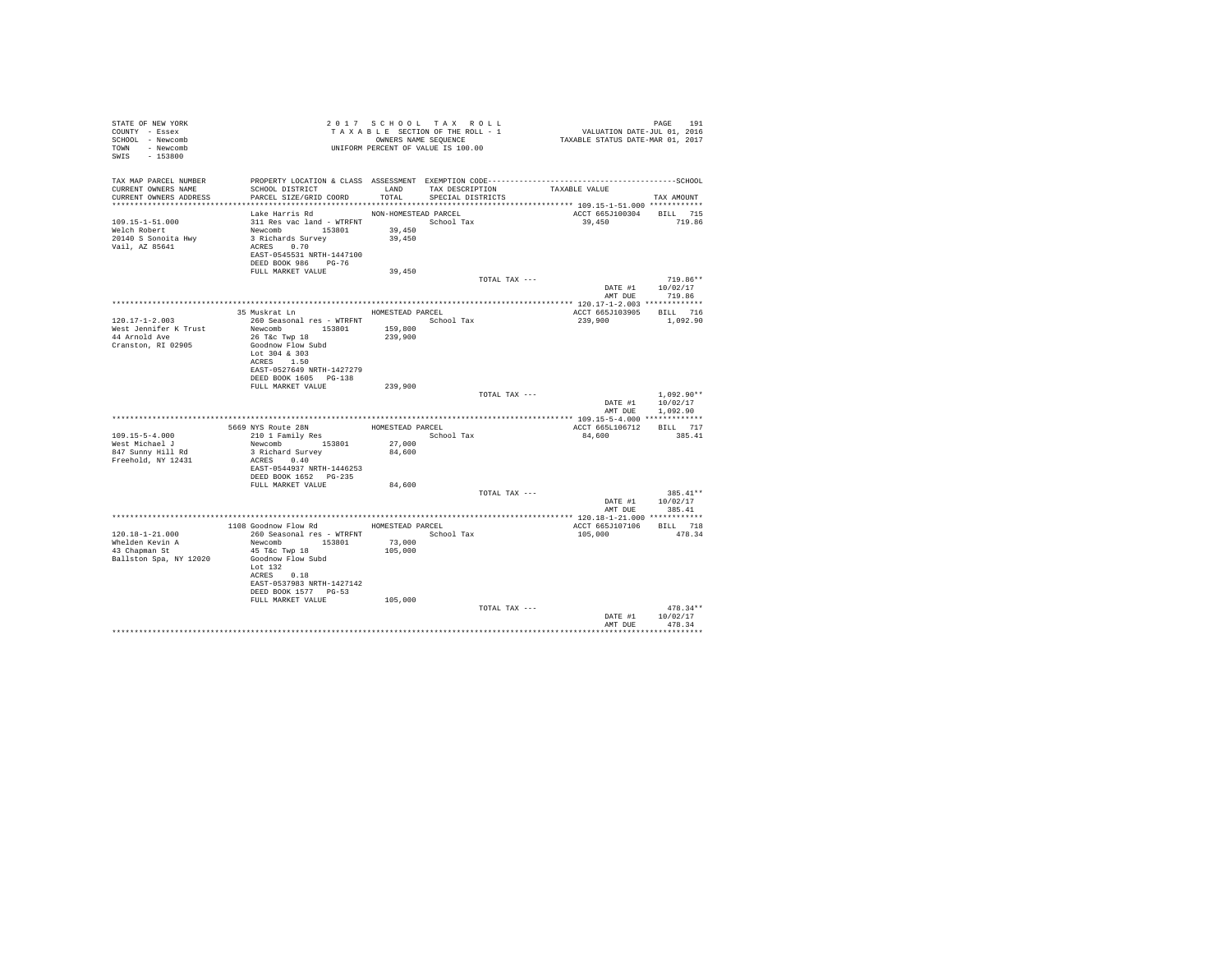| STATE OF NEW YORK<br>COUNTY - Essex<br>SCHOOL - Newcomb<br>TOWN - Newcomb<br>SWIS - 153800 |                                                                                                                                                                   |                                          | 2017 SCHOOL TAX ROLL<br>TAXABLE SECTION OF THE ROLL - 1<br>OWNERS NAME SEQUENCE<br>UNIFORM PERCENT OF VALUE IS 100.00 | PAGE 191<br>VALUATION DATE-JUL 01, 2016<br>TAXABLE STATUS DATE-MAR 01, 2017 |                                          |
|--------------------------------------------------------------------------------------------|-------------------------------------------------------------------------------------------------------------------------------------------------------------------|------------------------------------------|-----------------------------------------------------------------------------------------------------------------------|-----------------------------------------------------------------------------|------------------------------------------|
| TAX MAP PARCEL NUMBER<br>CURRENT OWNERS NAME<br>CURRENT OWNERS ADDRESS                     | SCHOOL DISTRICT<br>PARCEL SIZE/GRID COORD                                                                                                                         | LAND<br>TOTAL                            | TAX DESCRIPTION<br>SPECIAL DISTRICTS                                                                                  | TAXABLE VALUE<br>******************** 109.15-1-51.000 ************          | TAX AMOUNT                               |
| 109.15-1-51.000<br>Welch Robert<br>20140 S Sonoita Hwy<br>Vail, AZ 85641                   | Lake Harris Rd<br>311 Res vac land - WTRFNT School Tax<br>Newcomb 153801<br>3 Richards Survey<br>ACRES 0.70<br>EAST-0545531 NRTH-1447100<br>DEED BOOK 986 PG-76   | NON-HOMESTEAD PARCEL<br>39,450<br>39,450 |                                                                                                                       | ACCT 665J100304 BILL 715<br>39,450                                          | 719.86                                   |
|                                                                                            | FULL MARKET VALUE                                                                                                                                                 | 39,450                                   |                                                                                                                       |                                                                             |                                          |
|                                                                                            |                                                                                                                                                                   |                                          | TOTAL TAX ---                                                                                                         | DATE #1                                                                     | $719.86**$<br>10/02/17<br>AMT DUE 719.86 |
|                                                                                            |                                                                                                                                                                   |                                          |                                                                                                                       |                                                                             |                                          |
| $120.17 - 1 - 2.003$                                                                       | 35 Muskrat Ln<br>260 Seasonal res - WTRFNT                                                                                                                        | HOMESTEAD PARCEL                         | School Tax                                                                                                            | ACCT 665J103905 BILL 716<br>239,900                                         | 1,092.90                                 |
| West Jennifer K Trust<br>44 Arnold Ave<br>Cranston, RI 02905                               | Newcomb 153801<br>26 T&c Twp 18<br>Goodnow Flow Subd<br>Lot 304 & 303<br>ACRES 1.50<br>EAST-0527649 NRTH-1427279<br>DEED BOOK 1605 PG-138<br>FULL MARKET VALUE    | 159,800<br>239,900<br>239,900            |                                                                                                                       |                                                                             |                                          |
|                                                                                            |                                                                                                                                                                   |                                          | TOTAL TAX ---                                                                                                         | DATE #1<br>AMT DUE                                                          | $1.092.90**$<br>10/02/17<br>1,092.90     |
|                                                                                            |                                                                                                                                                                   |                                          |                                                                                                                       |                                                                             |                                          |
| $109.15 - 5 - 4.000$<br>West Michael J<br>847 Sunny Hill Rd<br>Freehold, NY 12431          | 5669 NYS Route 28N<br>210 1 Family Res<br>Newcomb 153801<br>3 Richard Survey<br>ACRES 0.40<br>EAST-0544937 NRTH-1446253<br>DEED BOOK 1652 PG-235                  | HOMESTEAD PARCEL<br>27,000<br>84,600     | School Tax                                                                                                            | ACCT 665L106712<br>84,600                                                   | BILL 717<br>385.41                       |
|                                                                                            | FULL MARKET VALUE                                                                                                                                                 | 84,600                                   |                                                                                                                       |                                                                             |                                          |
|                                                                                            |                                                                                                                                                                   |                                          | TOTAL TAX ---                                                                                                         | DATE #1                                                                     | 385.41**<br>10/02/17<br>AMT DUE 385.41   |
|                                                                                            |                                                                                                                                                                   |                                          |                                                                                                                       |                                                                             |                                          |
|                                                                                            | 1108 Goodnow Flow Rd HOMESTEAD PARCEL                                                                                                                             |                                          |                                                                                                                       | ACCT 665J107106                                                             | BILL 718                                 |
| 120.18-1-21.000<br>Whelden Kevin A<br>43 Chapman St<br>Ballston Spa, NY 12020              | 260 Seasonal res - WTRFNT<br>Newcomb 153801<br>45 T&C Twp 18<br>Goodnow Flow Subd<br>Lot $132$<br>ACRES 0.18<br>EAST-0537983 NRTH-1427142<br>DEED BOOK 1577 PG-53 | 73,000<br>105,000                        | School Tax                                                                                                            | 105,000                                                                     | 478.34                                   |
|                                                                                            | FULL MARKET VALUE                                                                                                                                                 | 105,000                                  |                                                                                                                       |                                                                             |                                          |
|                                                                                            |                                                                                                                                                                   |                                          | TOTAL TAX ---                                                                                                         | DATE #1<br>AMT DUE                                                          | $478.34**$<br>10/02/17<br>478.34         |
|                                                                                            |                                                                                                                                                                   |                                          |                                                                                                                       |                                                                             |                                          |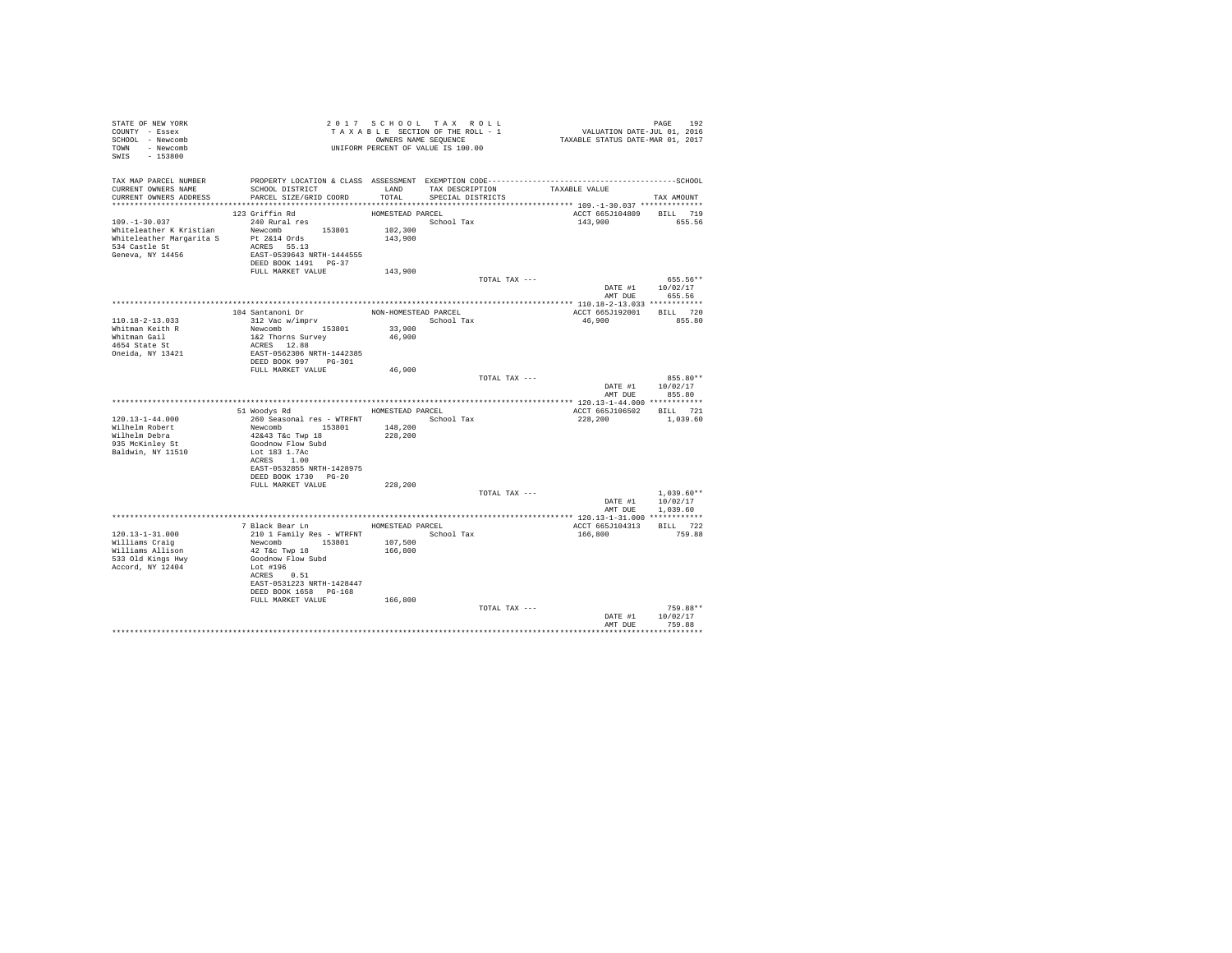| STATE OF NEW YORK<br>COUNTY - Essex<br>SCHOOL - Newcomb<br>TOWN - Newcomb<br>SWIS - 153800                              |                                                    |                    | 2017 SCHOOL TAX ROLL<br>TAXABLE SECTION OF THE ROLL - 1<br>OWNERS NAME SEQUENCE<br>UNIFORM PERCENT OF VALUE IS 100.00 | PAGE 192<br>VALUATION DATE-JUL 01, 2016<br>TAXABLE STATUS DATE-MAR 01, 2017 |                                        |
|-------------------------------------------------------------------------------------------------------------------------|----------------------------------------------------|--------------------|-----------------------------------------------------------------------------------------------------------------------|-----------------------------------------------------------------------------|----------------------------------------|
| TAX MAP PARCEL NUMBER<br>CURRENT OWNERS NAME<br>CURRENT OWNERS ADDRESS                                                  | SCHOOL DISTRICT<br>PARCEL SIZE/GRID COORD          | LAND<br>TOTAL      | TAX DESCRIPTION<br>SPECIAL DISTRICTS                                                                                  | TAXABLE VALUE                                                               | TAX AMOUNT                             |
|                                                                                                                         |                                                    |                    |                                                                                                                       |                                                                             |                                        |
|                                                                                                                         | 123 Griffin Rd                                     | HOMESTEAD PARCEL   |                                                                                                                       | ACCT 665J104809                                                             | BILL 719                               |
| $109. - 1 - 30.037$<br>Whiteleather K Kristian Mewcomb 153801<br>Whiteleather Margarita S Pt 2&14 Ords<br>534 Castle St | 240 Rural res<br>ACRES 55.13                       | 102,300<br>143,900 | School Tax                                                                                                            | 143,900                                                                     | 655.56                                 |
| Geneva, NY 14456                                                                                                        | EAST-0539643 NRTH-1444555<br>DEED BOOK 1491 PG-37  |                    |                                                                                                                       |                                                                             |                                        |
|                                                                                                                         | FULL MARKET VALUE                                  | 143,900            |                                                                                                                       |                                                                             | 655.56**                               |
|                                                                                                                         |                                                    |                    | TOTAL TAX $---$                                                                                                       | DATE #1 10/02/17                                                            | AMT DUE 655.56                         |
|                                                                                                                         |                                                    |                    |                                                                                                                       |                                                                             |                                        |
|                                                                                                                         | 104 Santanoni Dr                                   |                    | NON-HOMESTEAD PARCEL                                                                                                  | ACCT 665J192001 BILL 720                                                    |                                        |
| $110.18 - 2 - 13.033$                                                                                                   | 312 Vac w/imprv                                    |                    | School Tax                                                                                                            | 46,900                                                                      | 855.80                                 |
| Whitman Keith R                                                                                                         | Newcomb 153801                                     | 33,900             |                                                                                                                       |                                                                             |                                        |
| Whitman Gail<br>4654 State St                                                                                           | 1&2 Thorns Survey                                  | 46,900             |                                                                                                                       |                                                                             |                                        |
|                                                                                                                         | ACRES 12.88                                        |                    |                                                                                                                       |                                                                             |                                        |
| Oneida, NY 13421                                                                                                        | EAST-0562306 NRTH-1442385<br>DEED BOOK 997 PG-301  |                    |                                                                                                                       |                                                                             |                                        |
|                                                                                                                         | FULL MARKET VALUE                                  | 46,900             |                                                                                                                       |                                                                             |                                        |
|                                                                                                                         |                                                    |                    | TOTAL TAX ---                                                                                                         | AMT DUE                                                                     | 855.80**<br>DATE #1 10/02/17<br>855.80 |
|                                                                                                                         |                                                    |                    |                                                                                                                       |                                                                             |                                        |
|                                                                                                                         | 51 Woodys Rd MOMESTEAD PARCEL                      |                    |                                                                                                                       | ACCT 665J106502 BILL 721                                                    |                                        |
| $120.13 - 1 - 44.000$                                                                                                   | 260 Seasonal res - WTRFNT                          |                    | School Tax                                                                                                            | 228,200                                                                     | 1,039.60                               |
| Wilhelm Robert                                                                                                          | Newcomb 153801                                     | 148,200            |                                                                                                                       |                                                                             |                                        |
| Wilhelm Debra                                                                                                           | 42&43 T&c Twp 18                                   | 228,200            |                                                                                                                       |                                                                             |                                        |
| 935 McKinley St                                                                                                         | Goodnow Flow Subd                                  |                    |                                                                                                                       |                                                                             |                                        |
| Baldwin, NY 11510                                                                                                       | Lot 183 1.7Ac                                      |                    |                                                                                                                       |                                                                             |                                        |
|                                                                                                                         | ACRES 1.00<br>EAST-0532855 NRTH-1428975            |                    |                                                                                                                       |                                                                             |                                        |
|                                                                                                                         | DEED BOOK 1730 PG-20                               |                    |                                                                                                                       |                                                                             |                                        |
|                                                                                                                         | FULL MARKET VALUE                                  | 228,200            |                                                                                                                       |                                                                             |                                        |
|                                                                                                                         |                                                    |                    | TOTAL TAX ---                                                                                                         |                                                                             | $1.039.60**$                           |
|                                                                                                                         |                                                    |                    |                                                                                                                       | AMT DUE                                                                     | DATE #1 10/02/17<br>1,039.60           |
|                                                                                                                         |                                                    |                    |                                                                                                                       |                                                                             |                                        |
|                                                                                                                         | 7 Black Bear Ln                 HOMESTEAD PARCEL   |                    |                                                                                                                       | ACCT 665J104313                                                             | BILL 722                               |
| 120.13-1-31.000                                                                                                         | 210 1 Family Res - WTRFNT                          |                    | School Tax                                                                                                            | 166,800                                                                     | 759.88                                 |
| Williams Craig                                                                                                          | Newcomb 153801                                     | 107,500            |                                                                                                                       |                                                                             |                                        |
| Williams Allison                                                                                                        | 42 T&C Twp 18                                      | 166,800            |                                                                                                                       |                                                                             |                                        |
| 533 Old Kings Hwy                                                                                                       | Goodnow Flow Subd                                  |                    |                                                                                                                       |                                                                             |                                        |
| Accord, NY 12404                                                                                                        | Lot #196<br>ACRES 0.51                             |                    |                                                                                                                       |                                                                             |                                        |
|                                                                                                                         | EAST-0531223 NRTH-1428447<br>DEED BOOK 1658 PG-168 |                    |                                                                                                                       |                                                                             |                                        |
|                                                                                                                         | FULL MARKET VALUE                                  | 166,800            |                                                                                                                       |                                                                             |                                        |
|                                                                                                                         |                                                    |                    | TOTAL TAX ---                                                                                                         |                                                                             | 759.88**                               |
|                                                                                                                         |                                                    |                    |                                                                                                                       | DATE #1                                                                     | 10/02/17                               |
|                                                                                                                         |                                                    |                    |                                                                                                                       | AMT DUE                                                                     | 759.88                                 |
|                                                                                                                         |                                                    |                    |                                                                                                                       |                                                                             |                                        |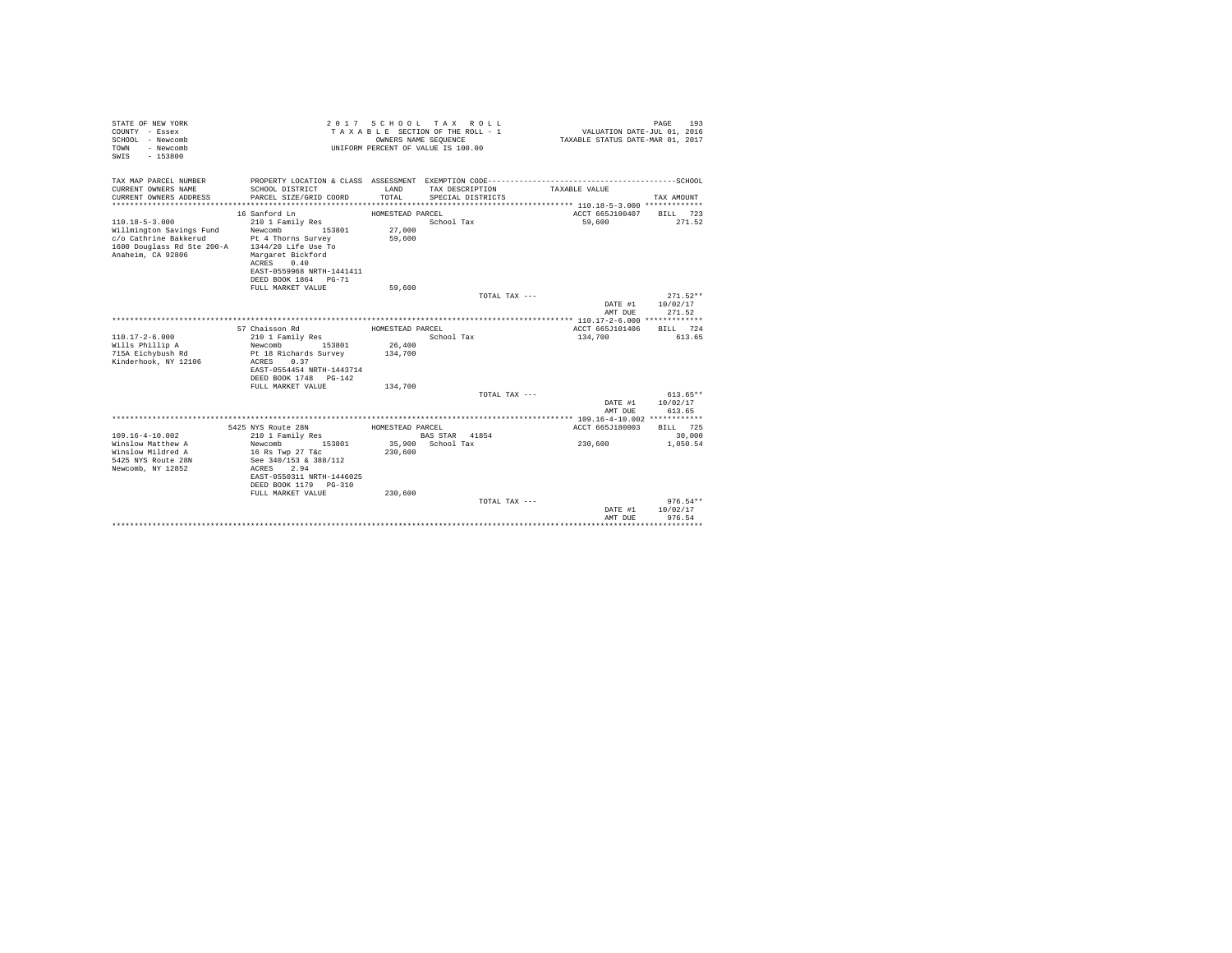| STATE OF NEW YORK<br>COUNTY - Essex<br>SCHOOL - Newcomb<br>TOWN - Newcomb<br>SWIS - 153800 |                               |                  | 2017 SCHOOL TAX ROLL<br>TAXABLE SECTION OF THE ROLL - 1<br>OWNERS NAME SEQUENCE<br>UNIFORM PERCENT OF VALUE IS 100.00 | VALUATION DATE-JUL 01, 2016<br>TAXABLE STATUS DATE-MAR 01, 2017 | 193<br>PAGE      |
|--------------------------------------------------------------------------------------------|-------------------------------|------------------|-----------------------------------------------------------------------------------------------------------------------|-----------------------------------------------------------------|------------------|
| TAX MAP PARCEL NUMBER                                                                      |                               |                  |                                                                                                                       |                                                                 |                  |
| CURRENT OWNERS NAME                                                                        | SCHOOL DISTRICT               | T.AND            | TAX DESCRIPTION                                                                                                       | TAXABLE VALUE                                                   |                  |
| CURRENT OWNERS ADDRESS                                                                     | PARCEL SIZE/GRID COORD        | TOTAL            | SPECIAL DISTRICTS                                                                                                     |                                                                 | TAX AMOUNT       |
|                                                                                            |                               |                  |                                                                                                                       |                                                                 |                  |
|                                                                                            | 16 Sanford Ln                 | HOMESTEAD PARCEL |                                                                                                                       | ACCT 665J100407                                                 | BILL 723         |
| $110.18 - 5 - 3.000$                                                                       | 210 1 Family Res              |                  | School Tax                                                                                                            | 59,600                                                          | 271.52           |
| Willmington Savings Fund                                                                   | Newcomb 153801                | 27,000           |                                                                                                                       |                                                                 |                  |
| c/o Cathrine Bakkerud                                                                      | Pt 4 Thorns Survey            | 59,600           |                                                                                                                       |                                                                 |                  |
| 1600 Douglass Rd Ste 200-A 1344/20 Life Use To                                             |                               |                  |                                                                                                                       |                                                                 |                  |
| Anaheim, CA 92806                                                                          | Margaret Bickford             |                  |                                                                                                                       |                                                                 |                  |
|                                                                                            | ACRES<br>0.40                 |                  |                                                                                                                       |                                                                 |                  |
|                                                                                            | EAST-0559968 NRTH-1441411     |                  |                                                                                                                       |                                                                 |                  |
|                                                                                            | DEED BOOK 1864 PG-71          |                  |                                                                                                                       |                                                                 |                  |
|                                                                                            | FULL MARKET VALUE             | 59,600           |                                                                                                                       |                                                                 |                  |
|                                                                                            |                               |                  |                                                                                                                       | TOTAL TAX ---                                                   | $271.52**$       |
|                                                                                            |                               |                  |                                                                                                                       |                                                                 | DATE #1 10/02/17 |
|                                                                                            |                               |                  |                                                                                                                       | AMT DUE                                                         | 271.52           |
|                                                                                            | 57 Chaisson Rd                | HOMESTEAD PARCEL |                                                                                                                       | ACCT 665J101406                                                 | RTLL 724         |
| $110.17 - 2 - 6.000$                                                                       | 210 1 Family Res              |                  | School Tax                                                                                                            | 134,700                                                         | 613.65           |
| Wills Phillip A                                                                            | Newcomb 153801                | 26,400           |                                                                                                                       |                                                                 |                  |
| 715A Eichvbush Rd                                                                          | Pt 18 Richards Survey 134,700 |                  |                                                                                                                       |                                                                 |                  |
| Kinderhook, NY 12106                                                                       | ACRES 0.37                    |                  |                                                                                                                       |                                                                 |                  |
|                                                                                            | EAST-0554454 NRTH-1443714     |                  |                                                                                                                       |                                                                 |                  |
|                                                                                            | DEED BOOK 1748 PG-142         |                  |                                                                                                                       |                                                                 |                  |
|                                                                                            | FULL MARKET VALUE             | 134,700          |                                                                                                                       |                                                                 |                  |
|                                                                                            |                               |                  |                                                                                                                       | TOTAL TAX ---                                                   | $613.65**$       |
|                                                                                            |                               |                  |                                                                                                                       | DATE #1                                                         | 10/02/17         |
|                                                                                            |                               |                  |                                                                                                                       | AMT DUE                                                         | 613.65           |
|                                                                                            |                               |                  |                                                                                                                       |                                                                 |                  |
|                                                                                            | 5425 NYS Route 28N            | HOMESTEAD PARCEL |                                                                                                                       | ACCT 665J180003                                                 | BILL 725         |
| 109.16-4-10.002                                                                            | 210 1 Family Res              |                  | BAS STAR 41854                                                                                                        |                                                                 | 30,000           |
| Winslow Matthew A                                                                          | Newcomb 153801                |                  | 35,900 School Tax                                                                                                     | 230,600                                                         | 1,050.54         |
| Winslow Mildred A                                                                          | 16 Rs Twp 27 T&c              | 230,600          |                                                                                                                       |                                                                 |                  |
| 5425 NYS Route 28N                                                                         | See 340/153 & 388/112         |                  |                                                                                                                       |                                                                 |                  |
| Newcomb, NY 12852                                                                          | ACRES 2.94                    |                  |                                                                                                                       |                                                                 |                  |
|                                                                                            | EAST-0550311 NRTH-1446025     |                  |                                                                                                                       |                                                                 |                  |
|                                                                                            | DEED BOOK 1179    PG-310      |                  |                                                                                                                       |                                                                 |                  |
|                                                                                            | FULL MARKET VALUE             | 230,600          |                                                                                                                       |                                                                 |                  |
|                                                                                            |                               |                  |                                                                                                                       | TOTAL TAX ---                                                   | $976.54**$       |
|                                                                                            |                               |                  |                                                                                                                       | DATE #1                                                         | 10/02/17         |
|                                                                                            |                               |                  |                                                                                                                       | AMT DUE<br>******************************                       | 976.54           |
|                                                                                            |                               |                  |                                                                                                                       |                                                                 |                  |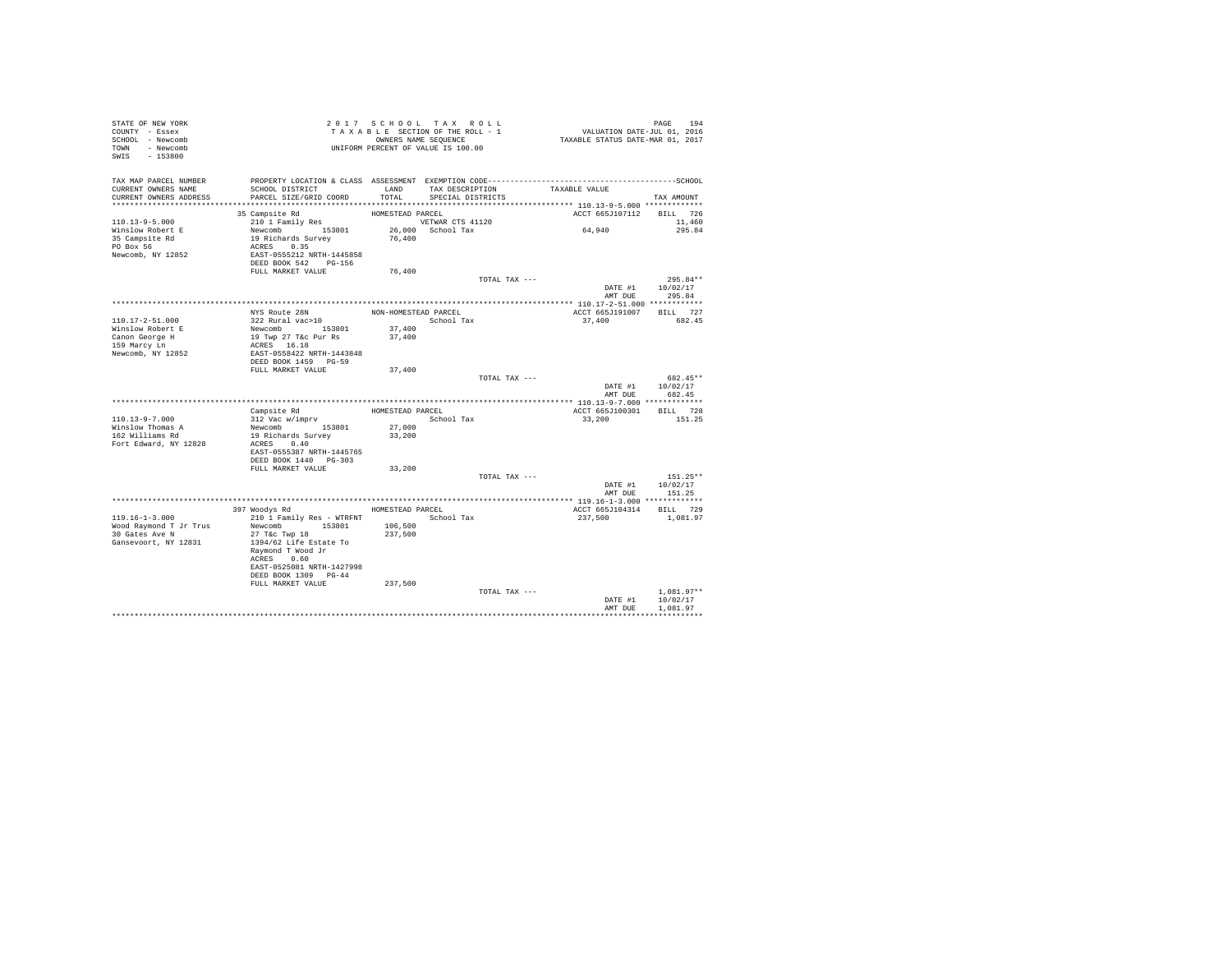| STATE OF NEW YORK<br>COUNTY - Essex<br>SCHOOL - Newcomb |                                                                                              |                      | 2017 SCHOOL TAX ROLL<br>TAXABLE SECTION OF THE ROLL - 1<br>OWNERS NAME SEQUENCE |               | PAGE 194<br>VALUATION DATE-JUL 01, 2016<br>TAXABLE STATUS DATE-MAR 01, 2017 |              |            |
|---------------------------------------------------------|----------------------------------------------------------------------------------------------|----------------------|---------------------------------------------------------------------------------|---------------|-----------------------------------------------------------------------------|--------------|------------|
| TOWN - Newcomb<br>SWIS - 153800                         |                                                                                              |                      | UNIFORM PERCENT OF VALUE IS 100.00                                              |               |                                                                             |              |            |
| TAX MAP PARCEL NUMBER                                   | PROPERTY LOCATION & CLASS ASSESSMENT EXEMPTION CODE-----------------------------------SCHOOL |                      |                                                                                 |               |                                                                             |              |            |
| CURRENT OWNERS NAME<br>CURRENT OWNERS ADDRESS           | SCHOOL DISTRICT<br>PARCEL SIZE/GRID COORD                                                    | LAND<br>TOTAL.       | TAX DESCRIPTION<br>SPECIAL DISTRICTS                                            |               | TAXABLE VALUE                                                               | TAX AMOUNT   |            |
|                                                         |                                                                                              |                      |                                                                                 |               |                                                                             |              |            |
|                                                         | 35 Campsite Rd                                                                               | HOMESTEAD PARCEL     |                                                                                 |               | ACCT 665J107112 BILL 726                                                    |              |            |
| $110.13 - 9 - 5.000$                                    | 210 1 Family Res                                                                             |                      | VETWAR CTS 41120                                                                |               |                                                                             |              | 11,460     |
| Winslow Robert E                                        | Newcomb 153801                                                                               |                      | 26,000 School Tax                                                               |               | 64,940                                                                      |              | 295.84     |
| 35 Campsite Rd<br>PO Box 56                             | 19 Richards Survey<br>ACRES 0.35                                                             | 76,400               |                                                                                 |               |                                                                             |              |            |
| Newcomb, NY 12852                                       | EAST-0555212 NRTH-1445858                                                                    |                      |                                                                                 |               |                                                                             |              |            |
|                                                         | DEED BOOK 542 PG-156                                                                         |                      |                                                                                 |               |                                                                             |              |            |
|                                                         | FULL MARKET VALUE                                                                            | 76,400               |                                                                                 |               |                                                                             |              |            |
|                                                         |                                                                                              |                      |                                                                                 | TOTAL TAX --- |                                                                             |              | $295.84**$ |
|                                                         |                                                                                              |                      |                                                                                 |               | DATE #1                                                                     | 10/02/17     |            |
|                                                         |                                                                                              |                      |                                                                                 |               | AMT DUE                                                                     | 295.84       |            |
|                                                         | NYS Route 28N                                                                                | NON-HOMESTEAD PARCEL |                                                                                 |               | ACCT 665J191007 BILL 727                                                    |              |            |
| 110.17-2-51.000                                         | 322 Rural vac>10                                                                             |                      | School Tax                                                                      |               | 37,400                                                                      |              | 682.45     |
| Winslow Robert E                                        | Newcomb 153801                                                                               | 37,400               |                                                                                 |               |                                                                             |              |            |
| Canon George H                                          | 19 Twp 27 T&c Pur Rs                                                                         | 37,400               |                                                                                 |               |                                                                             |              |            |
| 159 Marcy Ln                                            | ACRES 16.18                                                                                  |                      |                                                                                 |               |                                                                             |              |            |
| Newcomb, NY 12852                                       | EAST-0558422 NRTH-1443848                                                                    |                      |                                                                                 |               |                                                                             |              |            |
|                                                         | DEED BOOK 1459 PG-59                                                                         |                      |                                                                                 |               |                                                                             |              |            |
|                                                         | FULL MARKET VALUE                                                                            | 37,400               |                                                                                 | TOTAL TAX --- |                                                                             | 682.45**     |            |
|                                                         |                                                                                              |                      |                                                                                 |               | DATE #1 10/02/17                                                            |              |            |
|                                                         |                                                                                              |                      |                                                                                 |               | AMT DUE                                                                     | 682.45       |            |
|                                                         |                                                                                              |                      |                                                                                 |               |                                                                             |              |            |
|                                                         | Campsite Rd                                                                                  |                      | HOMESTEAD PARCEL                                                                |               | ACCT 665J100301                                                             | BILL 728     |            |
| $110.13 - 9 - 7.000$                                    | 312 Vac w/imprv                                                                              |                      | School Tax                                                                      |               | 33,200                                                                      | 151.25       |            |
| Winslow Thomas A<br>162 Williams Rd                     | Newcomb 153801<br>19 Richards Survey                                                         | 27,000<br>33,200     |                                                                                 |               |                                                                             |              |            |
| Fort Edward, NY 12828                                   | ACRES 0.40                                                                                   |                      |                                                                                 |               |                                                                             |              |            |
|                                                         | EAST-0555387 NRTH-1445765                                                                    |                      |                                                                                 |               |                                                                             |              |            |
|                                                         | DEED BOOK 1440 PG-303                                                                        |                      |                                                                                 |               |                                                                             |              |            |
|                                                         | FULL MARKET VALUE                                                                            | 33,200               |                                                                                 |               |                                                                             |              |            |
|                                                         |                                                                                              |                      |                                                                                 | TOTAL TAX --- |                                                                             | $151.25**$   |            |
|                                                         |                                                                                              |                      |                                                                                 |               | DATE #1 10/02/17<br>AMT DUE                                                 | 151.25       |            |
|                                                         |                                                                                              |                      |                                                                                 |               |                                                                             |              |            |
|                                                         | 397 Woodys Rd                                                                                | HOMESTEAD PARCEL     |                                                                                 |               | ACCT 665J104314 BILL 729                                                    |              |            |
| $119.16 - 1 - 3.000$                                    | 210 1 Family Res - WTRFNT                                                                    |                      | School Tax                                                                      |               | 237,500                                                                     | 1,081.97     |            |
| Wood Raymond T Jr Trus                                  | Newcomb 153801                                                                               | 106,500              |                                                                                 |               |                                                                             |              |            |
| 30 Gates Ave N                                          | 27 T&C Twp 18                                                                                | 237.500              |                                                                                 |               |                                                                             |              |            |
| Gansevoort, NY 12831                                    | 1394/62 Life Estate To<br>Raymond T Wood Jr                                                  |                      |                                                                                 |               |                                                                             |              |            |
|                                                         | ACRES 0.60                                                                                   |                      |                                                                                 |               |                                                                             |              |            |
|                                                         | EAST-0525081 NRTH-1427998<br>DEED BOOK 1309 PG-44                                            |                      |                                                                                 |               |                                                                             |              |            |
|                                                         | FULL MARKET VALUE                                                                            | 237,500              |                                                                                 |               |                                                                             |              |            |
|                                                         |                                                                                              |                      |                                                                                 | TOTAL TAX --- |                                                                             | $1.081.97**$ |            |
|                                                         |                                                                                              |                      |                                                                                 |               | DATE #1                                                                     | 10/02/17     |            |
|                                                         |                                                                                              |                      |                                                                                 |               | AMT DUE                                                                     | 1,081.97     |            |
|                                                         |                                                                                              |                      |                                                                                 |               |                                                                             |              |            |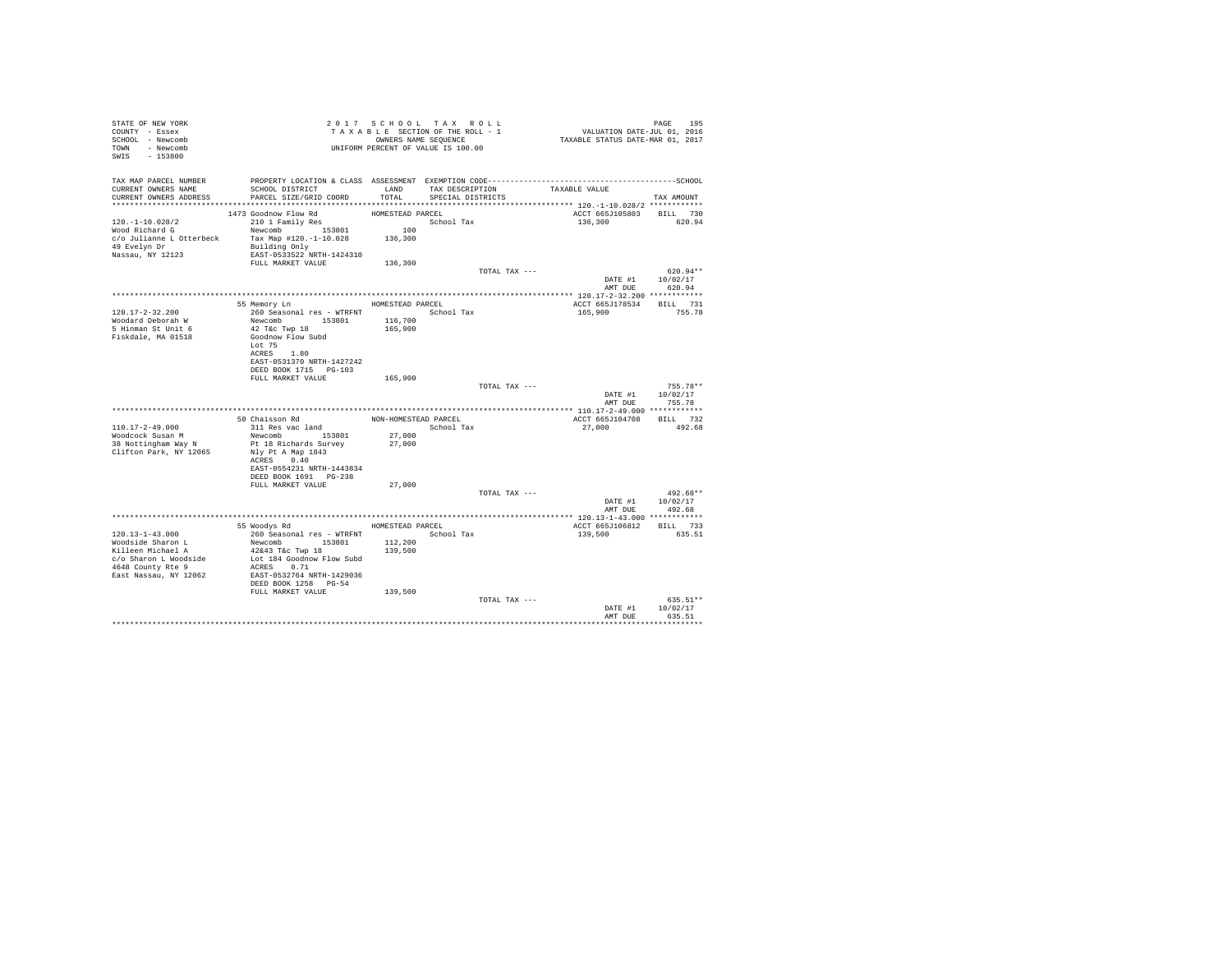| STATE OF NEW YORK<br>COUNTY - Essex<br>SCHOOL - Newcomb<br>TOWN - Newcomb<br>$-153800$<br>SWIS |                                                    |                      | 2017 SCHOOL TAX ROLL<br>TAXABLE SECTION OF THE ROLL - 1<br>OWNERS NAME SEQUENCE<br>UNIFORM PERCENT OF VALUE IS 100.00 |               | PAGE 195<br>VALUATION DATE-JUL 01, 2016<br>TAXABLE STATUS DATE-MAR 01, 2017 |                        |
|------------------------------------------------------------------------------------------------|----------------------------------------------------|----------------------|-----------------------------------------------------------------------------------------------------------------------|---------------|-----------------------------------------------------------------------------|------------------------|
| TAX MAP PARCEL NUMBER<br>CURRENT OWNERS NAME<br>CURRENT OWNERS ADDRESS                         | SCHOOL DISTRICT<br>PARCEL SIZE/GRID COORD          | TOTAL                | LAND TAX DESCRIPTION                                                                                                  |               | TAXABLE VALUE                                                               |                        |
|                                                                                                |                                                    |                      | SPECIAL DISTRICTS                                                                                                     |               |                                                                             | TAX AMOUNT             |
|                                                                                                | 1473 Goodnow Flow Rd                               | HOMESTEAD PARCEL     |                                                                                                                       |               | ACCT 665J105803                                                             | BILL 730               |
| $120. -1 - 10.028/2$                                                                           | 210 1 Family Res                                   |                      | School Tax                                                                                                            |               | 136,300                                                                     | 620.94                 |
| Wood Richard G                                                                                 | Newcomb 153801                                     | 100                  |                                                                                                                       |               |                                                                             |                        |
| c/o Julianne L Otterbeck                                                                       | Tax Map #120.-1-10.028 136,300                     |                      |                                                                                                                       |               |                                                                             |                        |
| 49 Evelyn Dr                                                                                   | Building Only                                      |                      |                                                                                                                       |               |                                                                             |                        |
| Nassau, NY 12123                                                                               | EAST-0533522 NRTH-1424310                          |                      |                                                                                                                       |               |                                                                             |                        |
|                                                                                                | FULL MARKET VALUE                                  | 136,300              |                                                                                                                       |               |                                                                             |                        |
|                                                                                                |                                                    |                      |                                                                                                                       | TOTAL TAX --- |                                                                             | $620.94**$             |
|                                                                                                |                                                    |                      |                                                                                                                       |               | DATE #1<br>AMT DUE                                                          | 10/02/17<br>620.94     |
|                                                                                                | 55 Memory Ln                                       | HOMESTEAD PARCEL     |                                                                                                                       |               | ACCT 665J178534                                                             | BILL 731               |
| 120.17-2-32.200                                                                                | 260 Seasonal res - WTRFNT                          |                      | School Tax                                                                                                            |               | 165,900                                                                     | 755.78                 |
| Woodard Deborah W                                                                              | Newcomb 153801                                     | 116,700              |                                                                                                                       |               |                                                                             |                        |
| 5 Hinman St Unit 6                                                                             | 42 T&c Twp 18                                      | 165,900              |                                                                                                                       |               |                                                                             |                        |
| Fiskdale, MA 01518                                                                             | Goodnow Flow Subd                                  |                      |                                                                                                                       |               |                                                                             |                        |
|                                                                                                | Lot 75                                             |                      |                                                                                                                       |               |                                                                             |                        |
|                                                                                                | ACRES 1.80                                         |                      |                                                                                                                       |               |                                                                             |                        |
|                                                                                                | EAST-0531370 NRTH-1427242                          |                      |                                                                                                                       |               |                                                                             |                        |
|                                                                                                | DEED BOOK 1715 PG-103                              |                      |                                                                                                                       |               |                                                                             |                        |
|                                                                                                | FULL MARKET VALUE                                  | 165,900              |                                                                                                                       |               |                                                                             |                        |
|                                                                                                |                                                    |                      |                                                                                                                       | TOTAL TAX --- | DATE #1                                                                     | $755.78**$<br>10/02/17 |
|                                                                                                |                                                    |                      |                                                                                                                       |               | AMT DUE                                                                     | 755.78                 |
|                                                                                                |                                                    |                      |                                                                                                                       |               |                                                                             |                        |
|                                                                                                | 50 Chaisson Rd                                     | NON-HOMESTEAD PARCEL |                                                                                                                       |               | ACCT 665J104708                                                             | BILL 732               |
| $110.17 - 2 - 49.000$                                                                          | 311 Res vac land                                   |                      | School Tax                                                                                                            |               | 27,000                                                                      | 492.68                 |
| Woodcock Susan M                                                                               | Newcomb 153801                                     | 27,000               |                                                                                                                       |               |                                                                             |                        |
| 38 Nottingham Way N                                                                            | Pt 18 Richards Survey                              | 27,000               |                                                                                                                       |               |                                                                             |                        |
| Clifton Park, NY 12065                                                                         | Nly Pt A Map 1843                                  |                      |                                                                                                                       |               |                                                                             |                        |
|                                                                                                | ACRES 0.40                                         |                      |                                                                                                                       |               |                                                                             |                        |
|                                                                                                | EAST-0554231 NRTH-1443834<br>DEED BOOK 1691 PG-238 |                      |                                                                                                                       |               |                                                                             |                        |
|                                                                                                | FULL MARKET VALUE                                  | 27,000               |                                                                                                                       |               |                                                                             |                        |
|                                                                                                |                                                    |                      |                                                                                                                       | TOTAL TAX --- |                                                                             | $492.68**$             |
|                                                                                                |                                                    |                      |                                                                                                                       |               |                                                                             | DATE #1 10/02/17       |
|                                                                                                |                                                    |                      |                                                                                                                       |               | AMT DUE                                                                     | 492.68                 |
|                                                                                                |                                                    |                      |                                                                                                                       |               |                                                                             |                        |
|                                                                                                | 55 Woodys Rd MOMESTEAD PARCEL                      |                      |                                                                                                                       |               | ACCT 665J106812                                                             | BILL 733               |
| $120.13 - 1 - 43.000$                                                                          | 260 Seasonal res - WTRFNT                          |                      | School Tax                                                                                                            |               | 139,500                                                                     | 635.51                 |
| Woodside Sharon L                                                                              | Newcomb 153801                                     | 112,200              |                                                                                                                       |               |                                                                             |                        |
| Killeen Michael A                                                                              | 42&43 T&c Twp 18                                   | 139,500              |                                                                                                                       |               |                                                                             |                        |
| c/o Sharon L Woodside<br>4648 County Rte 9                                                     | Lot 184 Goodnow Flow Subd<br>ACRES 0.71            |                      |                                                                                                                       |               |                                                                             |                        |
| East Nassau, NY 12062                                                                          | EAST-0532764 NRTH-1429036                          |                      |                                                                                                                       |               |                                                                             |                        |
|                                                                                                | DEED BOOK 1258 PG-54                               |                      |                                                                                                                       |               |                                                                             |                        |
|                                                                                                | FULL MARKET VALUE                                  | 139,500              |                                                                                                                       |               |                                                                             |                        |
|                                                                                                |                                                    |                      |                                                                                                                       | TOTAL TAX --- |                                                                             | $635.51**$             |
|                                                                                                |                                                    |                      |                                                                                                                       |               | DATE #1                                                                     | 10/02/17               |
|                                                                                                |                                                    |                      |                                                                                                                       |               | AMT DUE                                                                     | 635.51                 |
|                                                                                                |                                                    |                      |                                                                                                                       |               |                                                                             | ***********            |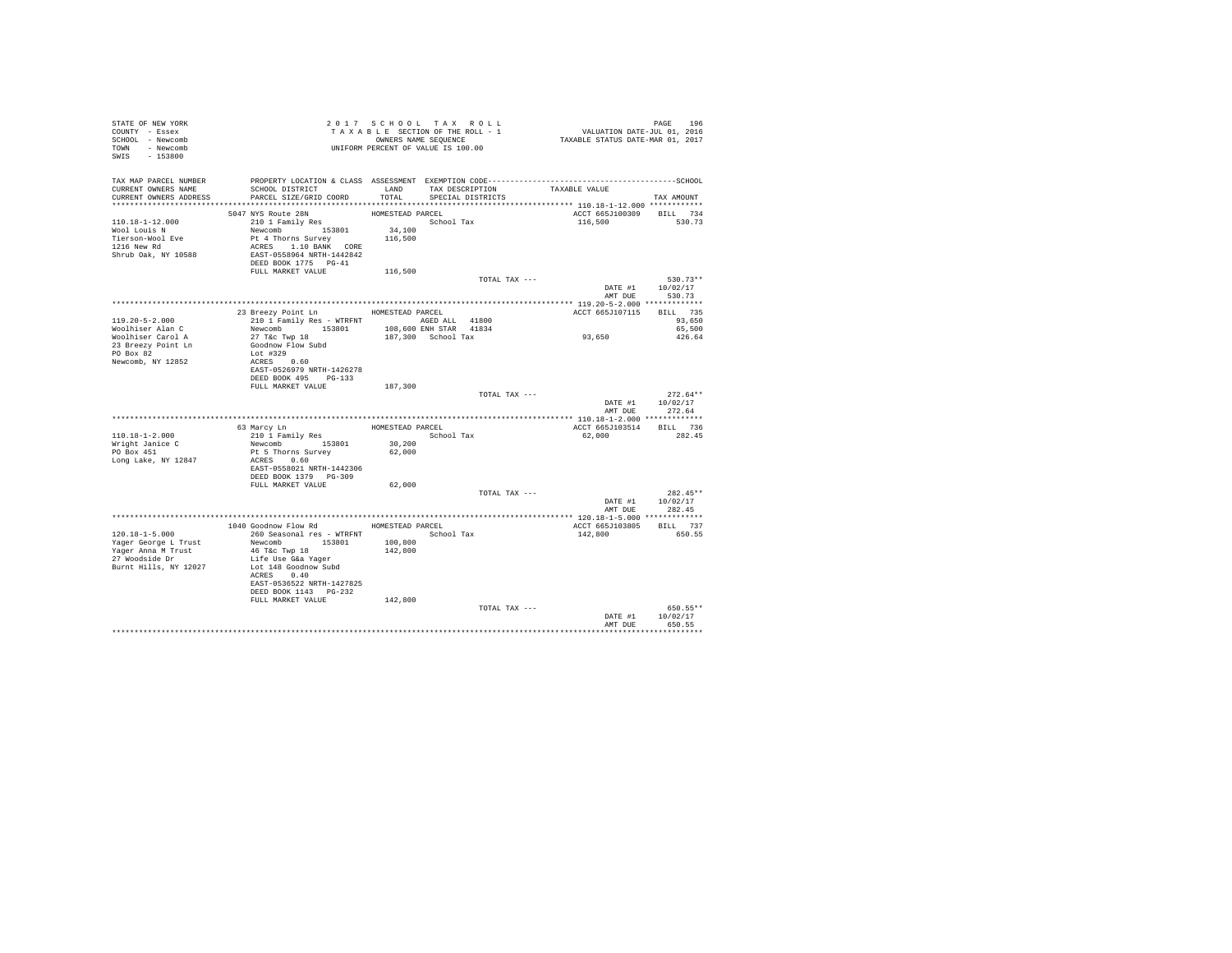| STATE OF NEW YORK<br>COUNTY - Essex<br>SCHOOL - Newcomb<br>TOWN - Newcomb<br>SWIS - 153800                    | T A X A B B B B ANNE SEQUENCE<br>UNIFORM PERCENT OF VALUE IS 100.00                                                                                                                                                        |                                       | 2017 SCHOOL TAX ROLL<br>TAXABLE SECTION OF THE ROLL - 1<br>OWNERS NAME SEQUENCE | PAGE 196<br>VALUATION DATE-JUL 01, 2016<br>TAXABLE STATUS DATE-MAR 01, 2017 |                                                                              |
|---------------------------------------------------------------------------------------------------------------|----------------------------------------------------------------------------------------------------------------------------------------------------------------------------------------------------------------------------|---------------------------------------|---------------------------------------------------------------------------------|-----------------------------------------------------------------------------|------------------------------------------------------------------------------|
| TAX MAP PARCEL NUMBER<br>CURRENT OWNERS NAME<br>CURRENT OWNERS ADDRESS                                        | SCHOOL DISTRICT<br>PARCEL SIZE/GRID COORD                                                                                                                                                                                  | LAND<br>TOTAL                         | TAX DESCRIPTION<br>SPECIAL DISTRICTS                                            | TAXABLE VALUE                                                               | TAX AMOUNT                                                                   |
| 110.18-1-12.000<br>Wool Louis N<br>Tierson-Wool Eve<br>1216 New Rd<br>Shrub Oak, NY 10588                     | 5047 NYS Route 28N<br>210 1 Family Res<br>Newcomb 153801<br>Pt 4 Thorns Survey<br>ACRES 1.10 BANK CORE<br>EAST-0558964 NRTH-1442842<br>DEED BOOK 1775 PG-41                                                                | HOMESTEAD PARCEL<br>34,100<br>116,500 | School Tax                                                                      | ACCT 665J100309<br>116,500                                                  | BILL 734<br>530.73                                                           |
|                                                                                                               | FULL MARKET VALUE                                                                                                                                                                                                          | 116,500                               | TOTAL TAX ---                                                                   |                                                                             | 530.73**                                                                     |
| 119.20-5-2.000<br>Woolhiser Alan C<br>Woolhiser Carol A<br>23 Breezy Point Ln                                 | 23 Breezy Point Ln HOMESTEAD PARCEL<br>210 1 Family Res - WTRFNT AGED ALL 41800<br>Newcomb 153801<br>27 T&c Twp 18<br>Goodnow Flow Subd                                                                                    |                                       | 108,600 ENH STAR 41834<br>187,300 School Tax                                    | ACCT 665J107115<br>93,650                                                   | DATE #1 10/02/17<br>AMT DUE 530.73<br>BILL 735<br>93,650<br>65,500<br>426.64 |
| PO Box 82<br>Newcomb, NY 12852                                                                                | Lot #329<br>ACRES 0.60<br>EAST-0526979 NRTH-1426278<br>DEED BOOK 495 PG-133<br>FULL MARKET VALUE                                                                                                                           | 187,300                               | TOTAL TAX ---                                                                   |                                                                             | $272.64**$<br>DATE #1 10/02/17                                               |
|                                                                                                               |                                                                                                                                                                                                                            |                                       |                                                                                 | AMT DUE                                                                     | 272.64                                                                       |
| 110.18-1-2.000<br>Wright Janice C<br>PO Box 451<br>Long Lake, NY 12847                                        | 63 Marcy Ln<br>210 1 Family Res<br>Newcomb 153801<br>Pt 5 Thorns Survey<br>ACRES 0.60<br>EAST-0558021 NRTH-1442306<br>DEED BOOK 1379 PG-309                                                                                | HOMESTEAD PARCEL<br>30,200<br>62,000  | School Tax                                                                      | ACCT 665J103514 BILL 736<br>62,000                                          | 282.45                                                                       |
|                                                                                                               | FULL MARKET VALUE                                                                                                                                                                                                          | 62,000                                | TOTAL TAX ---                                                                   | DATE #1                                                                     | $282.45**$<br>10/02/17                                                       |
|                                                                                                               |                                                                                                                                                                                                                            |                                       |                                                                                 | AMT DUE                                                                     | 282.45                                                                       |
| $120.18 - 1 - 5.000$<br>Yager George L Trust<br>Yaqer Anna M Trust<br>27 Woodside Dr<br>Burnt Hills, NY 12027 | 1040 Goodnow Flow Rd MOMESTEAD PARCEL<br>260 Seasonal res - WTRFNT<br>Newcomb 153801<br>46 T&c Twp 18<br>Life Use G&a Yaqer<br>Lot 148 Goodnow Subd<br>ACRES 0.40<br>EAST-0536522 NRTH-1427825<br>DEED BOOK 1143    PG-232 | 100,800<br>142,800                    | School Tax                                                                      | ACCT 665J103805<br>142,800                                                  | BILL 737<br>650.55                                                           |
|                                                                                                               | FULL MARKET VALUE                                                                                                                                                                                                          | 142,800                               | TOTAL TAX ---                                                                   | DATE #1<br>AMT DUE                                                          | 650.55**<br>10/02/17<br>650.55                                               |
|                                                                                                               |                                                                                                                                                                                                                            |                                       |                                                                                 |                                                                             |                                                                              |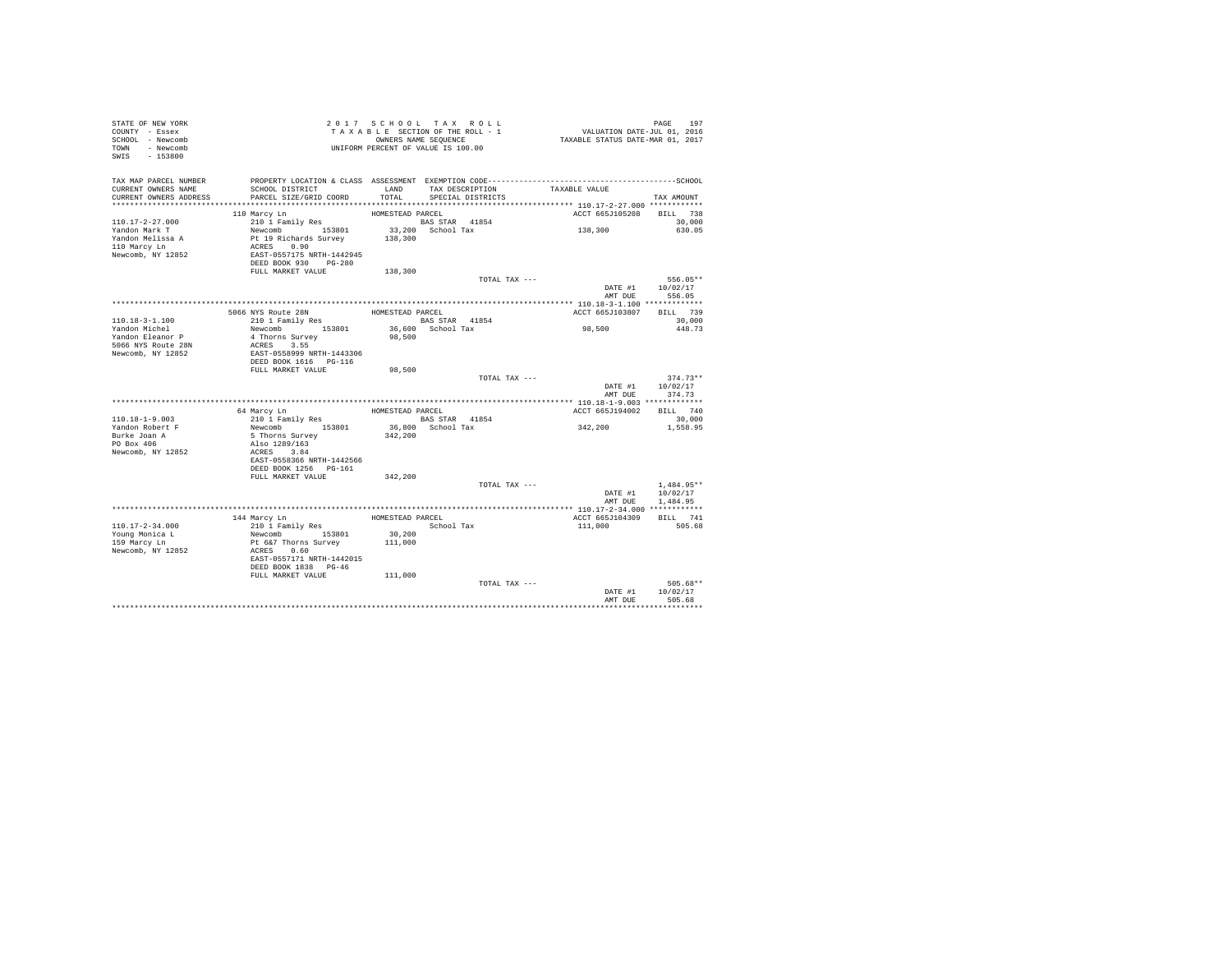| STATE OF NEW YORK<br>COUNTY - Essex<br>SCHOOL - Newcomb<br>TOWN - Newcomb<br>SWIS - 153800 |                                                                             | 2017 SCHOOL TAX ROLL                | T A X A B L E SECTION OF THE ROLL - 1<br>OWNERS NAME SEQUENCE<br>UNIFORM PERCENT OF VALUE IS 100.00 | PAGE 197<br>VALUATION DATE-JUL 01, 2016<br>TAXABLE STATUS DATE-MAR 01, 2017 |                            |
|--------------------------------------------------------------------------------------------|-----------------------------------------------------------------------------|-------------------------------------|-----------------------------------------------------------------------------------------------------|-----------------------------------------------------------------------------|----------------------------|
| TAX MAP PARCEL NUMBER                                                                      |                                                                             |                                     |                                                                                                     |                                                                             |                            |
| CURRENT OWNERS NAME                                                                        | SCHOOL DISTRICT                                                             |                                     | LAND TAX DESCRIPTION                                                                                | TAXABLE VALUE                                                               |                            |
| CURRENT OWNERS ADDRESS                                                                     | PARCEL SIZE/GRID COORD                                                      | TOTAL                               | SPECIAL DISTRICTS                                                                                   |                                                                             | TAX AMOUNT                 |
|                                                                                            | 110 Marcy Ln                                                                | HOMESTEAD PARCEL                    |                                                                                                     | ACCT 665J105208 BILL 738                                                    |                            |
| $110.17 - 2 - 27.000$                                                                      | 210 1 Family Res                                                            |                                     |                                                                                                     |                                                                             | 30,000                     |
| Yandon Mark T                                                                              |                                                                             | BAS STAR 41854<br>33,200 School Tax |                                                                                                     | 138,300                                                                     | 630.05                     |
| Yandon Melissa A                                                                           | Newcomb<br>Pt 19 Richards Survey<br>ACRES 0.90<br>EAST-0557175 NRTH-1442945 | 138,300                             |                                                                                                     |                                                                             |                            |
| 110 Marcy Ln                                                                               |                                                                             |                                     |                                                                                                     |                                                                             |                            |
| Newcomb, NY 12852                                                                          |                                                                             |                                     |                                                                                                     |                                                                             |                            |
|                                                                                            | DEED BOOK 930 PG-280                                                        |                                     |                                                                                                     |                                                                             |                            |
|                                                                                            | FULL MARKET VALUE                                                           | 138,300                             |                                                                                                     |                                                                             |                            |
|                                                                                            |                                                                             |                                     | TOTAL TAX ---                                                                                       |                                                                             | 556.05**                   |
|                                                                                            |                                                                             |                                     |                                                                                                     | AMT DUR                                                                     | DATE #1 10/02/17<br>556.05 |
|                                                                                            |                                                                             |                                     |                                                                                                     |                                                                             |                            |
|                                                                                            |                                                                             | HOMESTEAD PARCEL                    |                                                                                                     | ACCT 665J103807                                                             | BILL 739                   |
| 110.18-3-1.100                                                                             | 5066 NYS Route 28N<br>210 1 Family Res                                      |                                     |                                                                                                     |                                                                             | 30,000                     |
| Yandon Michel                                                                              | Newcomb 153801                                                              | BAS STAR 41854<br>36,600 School Tax |                                                                                                     | 98,500                                                                      | 448.73                     |
| Yandon Eleanor P                                                                           | 4 Thorns Survey<br>ACRES 3.55                                               | 98,500                              |                                                                                                     |                                                                             |                            |
| 5066 NYS Route 28N                                                                         |                                                                             |                                     |                                                                                                     |                                                                             |                            |
| Newcomb, NY 12852                                                                          | ACRES 3.55<br>EAST-0558999 NRTH-1443306<br>DEED BOOK 1616 PG-116            |                                     |                                                                                                     |                                                                             |                            |
|                                                                                            | FULL MARKET VALUE                                                           |                                     |                                                                                                     |                                                                             |                            |
|                                                                                            |                                                                             | 98,500                              | TOTAL TAX ---                                                                                       |                                                                             | $374.73**$                 |
|                                                                                            |                                                                             |                                     |                                                                                                     |                                                                             | DATE #1 10/02/17           |
|                                                                                            |                                                                             |                                     |                                                                                                     | AMT DUE                                                                     | 374.73                     |
|                                                                                            |                                                                             |                                     |                                                                                                     |                                                                             |                            |
|                                                                                            | 64 Marcy Ln                                                                 | HOMESTEAD PARCEL                    |                                                                                                     | ACCT 665J194002 BILL 740                                                    |                            |
| 110.18-1-9.003                                                                             | 210 1 Family Res                                                            | <b>BAS STAR</b> 41854               |                                                                                                     | 342,200                                                                     | 30,000                     |
| Yandon Robert F                                                                            | Newcomb 153801                                                              | 36,800 School Tax                   |                                                                                                     |                                                                             | 1,558.95                   |
| Burke Joan A<br>PO Box 406                                                                 | 5 Thorns Survey<br>Also 1289/163                                            | 342,200                             |                                                                                                     |                                                                             |                            |
| Newcomb, NY 12852                                                                          | ACRES 3.84                                                                  |                                     |                                                                                                     |                                                                             |                            |
|                                                                                            | EAST-0558366 NRTH-1442566                                                   |                                     |                                                                                                     |                                                                             |                            |
|                                                                                            | DEED BOOK 1256 PG-161                                                       |                                     |                                                                                                     |                                                                             |                            |
|                                                                                            | FULL MARKET VALUE                                                           | 342,200                             |                                                                                                     |                                                                             |                            |
|                                                                                            |                                                                             |                                     | TOTAL TAX ---                                                                                       |                                                                             | $1,484.95**$               |
|                                                                                            |                                                                             |                                     |                                                                                                     |                                                                             | DATE #1   10/02/17         |
|                                                                                            |                                                                             |                                     |                                                                                                     |                                                                             | AMT DUE 1,484.95           |
|                                                                                            | 144 Marcy Ln                                                                | HOMESTEAD PARCEL                    |                                                                                                     | ACCT 665J104309                                                             | BILL 741                   |
| 110.17-2-34.000                                                                            | 210 1 Family Res                                                            | School Tax                          |                                                                                                     | 111,000                                                                     | 505.68                     |
| Young Monica L                                                                             |                                                                             |                                     |                                                                                                     |                                                                             |                            |
| 159 Marcy Ln                                                                               |                                                                             |                                     |                                                                                                     |                                                                             |                            |
| Newcomb, NY 12852                                                                          | Newcomb 153801 30,200<br>Pt 6&7 Thorns Survey 111,000<br>ACRES 0.60         |                                     |                                                                                                     |                                                                             |                            |
|                                                                                            | EAST-0557171 NRTH-1442015                                                   |                                     |                                                                                                     |                                                                             |                            |
|                                                                                            | DEED BOOK 1838 PG-46                                                        |                                     |                                                                                                     |                                                                             |                            |
|                                                                                            | FULL MARKET VALUE 111,000                                                   |                                     | TOTAL TAX ---                                                                                       |                                                                             | $505.68**$                 |
|                                                                                            |                                                                             |                                     |                                                                                                     |                                                                             | DATE #1 10/02/17           |
|                                                                                            |                                                                             |                                     |                                                                                                     | AMT DUE                                                                     | 505.68                     |
|                                                                                            |                                                                             |                                     |                                                                                                     |                                                                             |                            |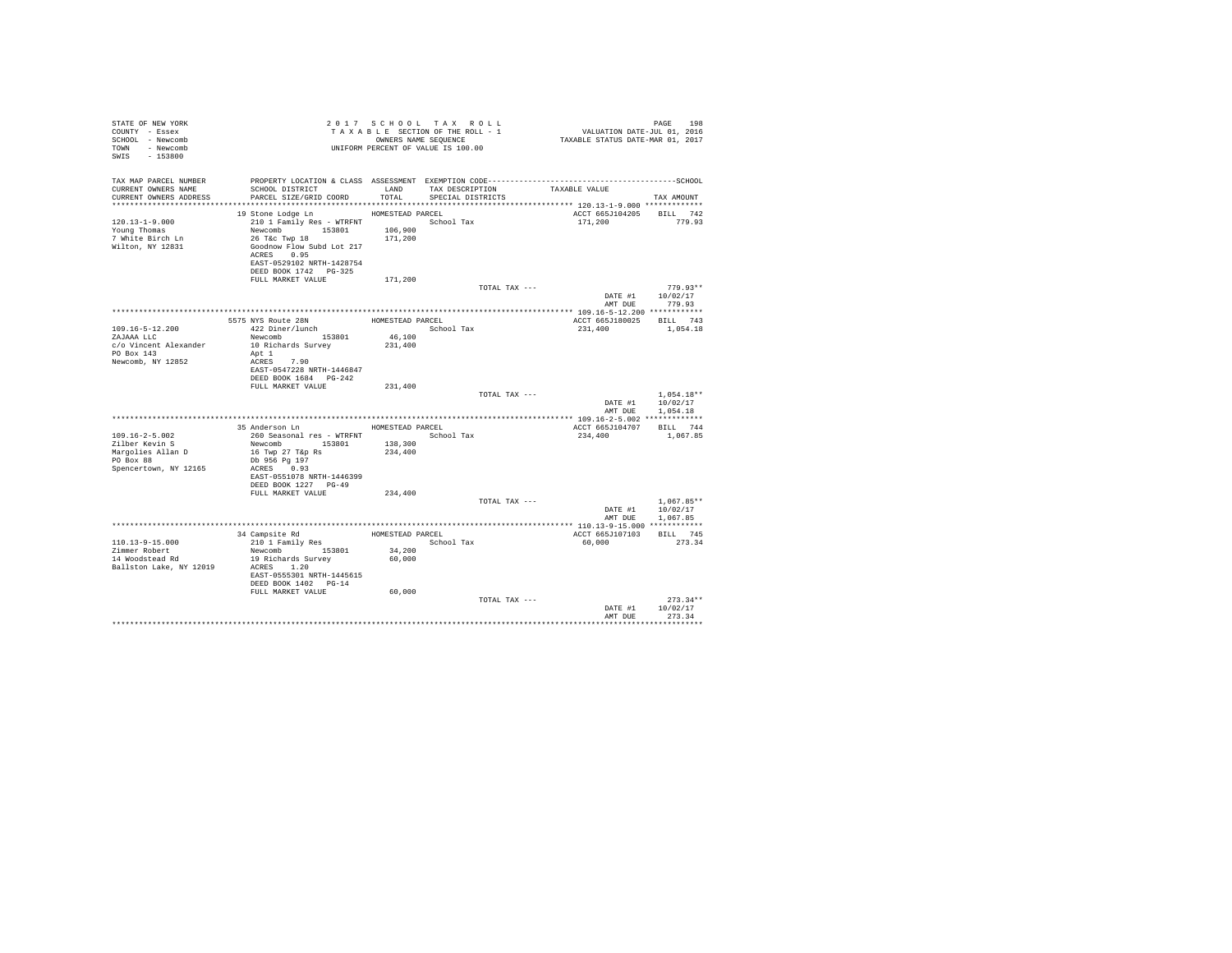| STATE OF NEW YORK<br>COUNTY - Essex<br>SCHOOL - Newcomb<br>TOWN - Newcomb<br>SWIS - 153800          |                                                                                                                                                                                                                     |                                                | 2017 SCHOOL TAX ROLL<br>TAXABLE SECTION OF THE ROLL - 1<br>OWNERS NAME SEQUENCE<br>UNIFORM PERCENT OF VALUE IS 100.00 | PAGE 198<br>2016 VALUATION DATE-JUL<br>2017 TAXABLE STATUS DATE-MAR                                           | PAGE<br>198                          |
|-----------------------------------------------------------------------------------------------------|---------------------------------------------------------------------------------------------------------------------------------------------------------------------------------------------------------------------|------------------------------------------------|-----------------------------------------------------------------------------------------------------------------------|---------------------------------------------------------------------------------------------------------------|--------------------------------------|
| TAX MAP PARCEL NUMBER<br>CURRENT OWNERS NAME<br>CURRENT OWNERS ADDRESS<br>************************* | SCHOOL DISTRICT LAND<br>PARCEL SIZE/GRID COORD TOTAL SPECIAL DISTRICTS                                                                                                                                              |                                                | TAX DESCRIPTION                                                                                                       | PROPERTY LOCATION & CLASS ASSESSMENT EXEMPTION CODE-----------------------------------SCHOOL<br>TAXABLE VALUE | TAX AMOUNT                           |
| $120.13 - 1 - 9.000$<br>Young Thomas<br>7 White Birch Ln<br>Wilton, NY 12831                        | 19 Stone Lodge Ln MOMESTEAD PARCEL<br>210 1 Family Res - WTRFNT<br>Newcomb 153801 106,900<br>26 T&c Twp 18 171,200<br>Goodnow Flow Subd Lot 217<br>ACRES 0.95<br>EAST-0529102 NRTH-1428754<br>DEED BOOK 1742 PG-325 |                                                | School Tax                                                                                                            | ACCT 665J104205 BILL 742<br>171,200                                                                           | 779.93                               |
|                                                                                                     | FULL MARKET VALUE                                                                                                                                                                                                   | 171,200                                        |                                                                                                                       | TOTAL TAX ---<br>DATE #1                                                                                      | $779.93**$<br>10/02/17               |
|                                                                                                     |                                                                                                                                                                                                                     |                                                |                                                                                                                       | AMT DUE                                                                                                       | 779.93                               |
|                                                                                                     | 5575 NYS Route 28N                                                                                                                                                                                                  | HOMESTEAD PARCEL                               |                                                                                                                       | ACCT 665J180025 BILL 743                                                                                      |                                      |
| $109.16 - 5 - 12.200$<br>ZAJAAA LLC<br>c/o Vincent Alexander<br>PO Box 143<br>Newcomb, NY 12852     | 422 Diner/lunch<br>Newcomb 153801<br>10 Richards Survey<br>Apt 1<br>ACRES 7.90<br>EAST-0547228 NRTH-1446847<br>DEED BOOK 1684   PG-242                                                                              | 46,100<br>231,400                              | School Tax                                                                                                            | 231,400                                                                                                       | 1,054.18                             |
|                                                                                                     | FULL MARKET VALUE                                                                                                                                                                                                   | 231,400                                        |                                                                                                                       |                                                                                                               |                                      |
|                                                                                                     |                                                                                                                                                                                                                     |                                                |                                                                                                                       | TOTAL TAX ---<br>DATE #1<br>AMT DUE                                                                           | $1,054.18**$<br>10/02/17<br>1,054.18 |
|                                                                                                     | 35 Anderson Ln MOMESTEAD PARCEL                                                                                                                                                                                     |                                                |                                                                                                                       |                                                                                                               |                                      |
| $109.16 - 2 - 5.002$<br>Zilber Kevin S<br>Margolies Allan D<br>PO Box 88<br>Spencertown, NY 12165   | 260 Seasonal res - WTRFNT <a></a> School Tax<br>Newcomb 153801<br>16 Twp 27 T&p Rs<br>Db 956 Pg 197<br>ACRES 0.93<br>EAST-0551078 NRTH-1446399<br>DEED BOOK 1227 PG-49                                              | 138,300<br>234,400                             |                                                                                                                       | ACCT 665J104707 BILL 744<br>234,400                                                                           | 1,067.85                             |
|                                                                                                     | FULL MARKET VALUE                                                                                                                                                                                                   | 234,400                                        |                                                                                                                       | TOTAL TAX ---                                                                                                 | $1.067.85**$                         |
|                                                                                                     |                                                                                                                                                                                                                     |                                                |                                                                                                                       | AMT DUE                                                                                                       | DATE #1 10/02/17<br>1,067.85         |
|                                                                                                     |                                                                                                                                                                                                                     |                                                |                                                                                                                       |                                                                                                               |                                      |
| 110.13-9-15.000<br>Zimmer Robert<br>14 Woodstead Rd<br>Ballston Lake, NY 12019                      | 34 Campsite Rd<br>210 1 Family Res<br>Newcomb 153801<br>19 Richards Survey<br>ACRES 1.20<br>EAST-0555301 NRTH-1445615<br>DEED BOOK 1402 PG-14<br>FULL MARKET VALUE                                                  | HOMESTEAD PARCEL<br>34,200<br>60,000<br>60,000 | School Tax                                                                                                            | ACCT 665J107103<br>60,000                                                                                     | BILL 745<br>273.34                   |
|                                                                                                     |                                                                                                                                                                                                                     |                                                |                                                                                                                       | TOTAL TAX ---<br>DATE #1<br>AMT DUE                                                                           | $273.34**$<br>10/02/17<br>273.34     |
|                                                                                                     |                                                                                                                                                                                                                     |                                                |                                                                                                                       |                                                                                                               |                                      |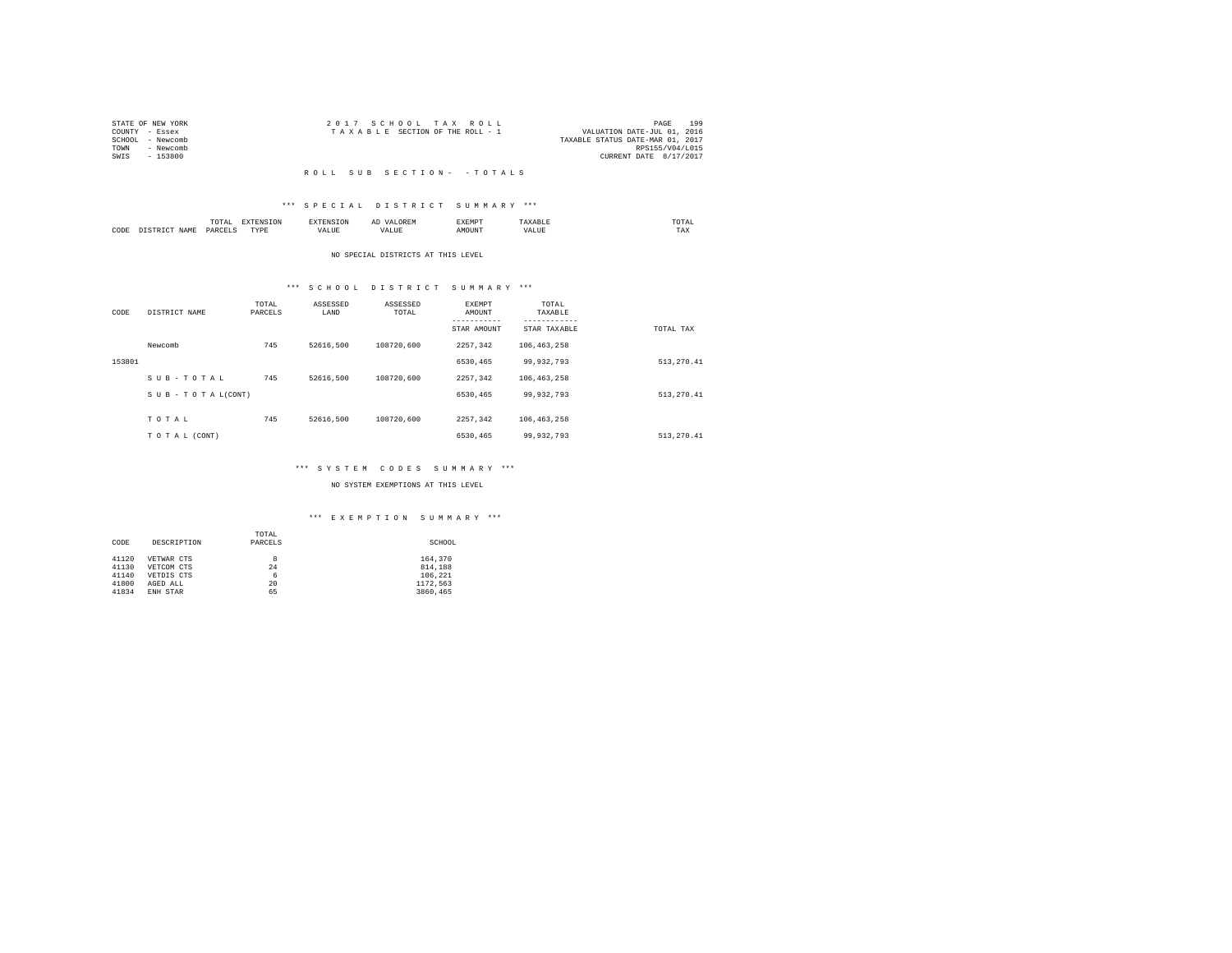|                | STATE OF NEW YORK |  | 2017 SCHOOL TAX ROLL            |  | 199<br>PAGE                      |
|----------------|-------------------|--|---------------------------------|--|----------------------------------|
| COUNTY - Essex |                   |  | TAXABLE SECTION OF THE ROLL - 1 |  | VALUATION DATE-JUL 01, 2016      |
|                | SCHOOL - Newcomb  |  |                                 |  | TAXABLE STATUS DATE-MAR 01, 2017 |
| TOWN           | - Newcomb         |  |                                 |  | RPS155/V04/L015                  |
| SWIS           | - 153800          |  |                                 |  | CURRENT DATE 8/17/2017           |
|                |                   |  |                                 |  |                                  |

#### R O L L S U B S E C T I O N - - T O T A L S

## \*\*\* S P E C I A L D I S T R I C T S U M M A R Y \*\*\*

|      |              | .                  |                  |       | $\cdots$ | SXEMP" |    | / LAL<br>the contract of the contract of the contract of |
|------|--------------|--------------------|------------------|-------|----------|--------|----|----------------------------------------------------------|
| CODE | $J \Delta M$ | <b>DARCET</b><br>. | <b>TVDI</b><br>. | - --- | ,,       | эттn   | n. | 1'AX                                                     |

#### NO SPECIAL DISTRICTS AT THIS LEVEL

# \*\*\* S C H O O L D I S T R I C T S U M M A R Y \*\*\*

| CODE   | DISTRICT NAME   | TOTAL<br>PARCELS | ASSESSED<br>LAND | ASSESSED<br>TOTAL | EXEMPT<br>AMOUNT | TOTAL<br>TAXABLE<br>--------- |             |
|--------|-----------------|------------------|------------------|-------------------|------------------|-------------------------------|-------------|
|        |                 |                  |                  |                   | STAR AMOUNT      | STAR TAXABLE                  | TOTAL TAX   |
|        | Newcomb         | 745              | 52616.500        | 108720,600        | 2257.342         | 106,463,258                   |             |
| 153801 |                 |                  |                  |                   | 6530,465         | 99,932,793                    | 513, 270.41 |
|        | SUB-TOTAL       | 745              | 52616.500        | 108720.600        | 2257.342         | 106, 463, 258                 |             |
|        | SUB-TOTAL(CONT) |                  |                  |                   | 6530,465         | 99.932.793                    | 513, 270.41 |
|        |                 |                  |                  |                   |                  |                               |             |
|        | TOTAL           | 745              | 52616.500        | 108720.600        | 2257.342         | 106, 463, 258                 |             |
|        | TO TAL (CONT)   |                  |                  |                   | 6530.465         | 99,932,793                    | 513, 270.41 |

## \*\*\* S Y S T E M C O D E S S U M M A R Y \*\*\*

## NO SYSTEM EXEMPTIONS AT THIS LEVEL

## \*\*\* E X E M P T I O N S U M M A R Y \*\*\*

|       |             | TOTAL   |          |
|-------|-------------|---------|----------|
| CODE  | DESCRIPTION | PARCELS | SCHOOL   |
|       |             |         |          |
| 41120 | VETWAR CTS  | 8       | 164,370  |
| 41130 | VETCOM CTS  | 24      | 814,188  |
| 41140 | VETDIS CTS  | 6       | 106.221  |
| 41800 | AGED ALL    | 20      | 1172.563 |
| 41834 | ENH STAR    | 65      | 3860.465 |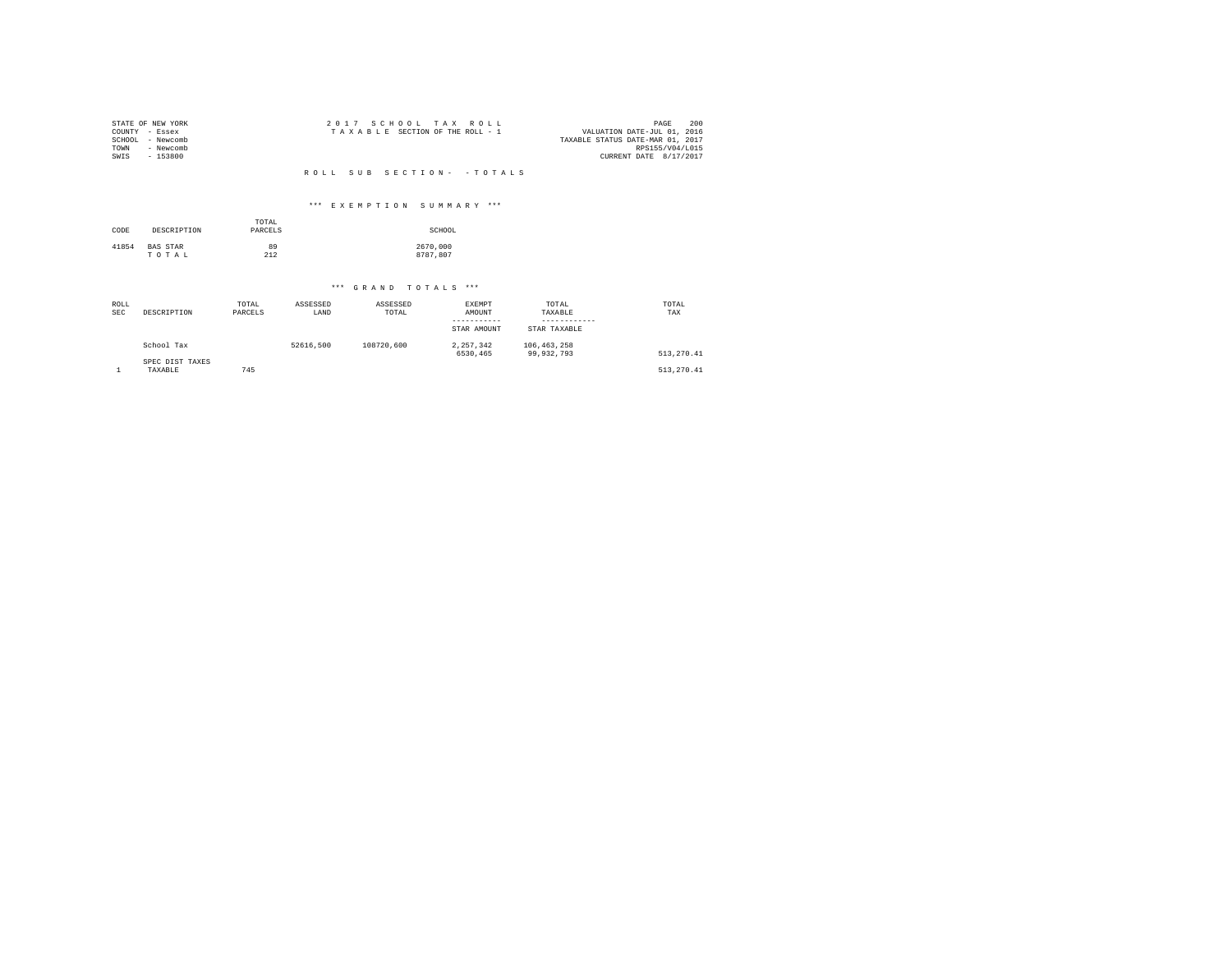| SCHOOL<br>TOWN<br>SWIS    | STATE OF NEW YORK<br>COUNTY - Essex<br>- Newcomb<br>- Newcomb<br>$-153800$ |                  |                  | 2017 SCHOOL TAX      | ROLL<br>TAXABLE SECTION OF THE ROLL - 1      |                                  | 200<br>PAGE<br>VALUATION DATE-JUL 01, 2016<br>TAXABLE STATUS DATE-MAR 01, 2017<br>RPS155/V04/L015<br>CURRENT DATE 8/17/2017 |
|---------------------------|----------------------------------------------------------------------------|------------------|------------------|----------------------|----------------------------------------------|----------------------------------|-----------------------------------------------------------------------------------------------------------------------------|
|                           |                                                                            |                  | ROLL.            | SUB                  | SECTION- - TOTALS                            |                                  |                                                                                                                             |
|                           |                                                                            |                  |                  |                      | *** EXEMPTION SUMMARY ***                    |                                  |                                                                                                                             |
| CODE                      | DESCRIPTION                                                                | TOTAL<br>PARCELS |                  |                      | SCHOOL                                       |                                  |                                                                                                                             |
| 41854                     | BAS STAR<br>TOTAL                                                          | 89<br>212        |                  |                      | 2670,000<br>8787.807                         |                                  |                                                                                                                             |
|                           |                                                                            |                  |                  | *** GRAND TOTALS *** |                                              |                                  |                                                                                                                             |
| <b>ROLL</b><br><b>SEC</b> | DESCRIPTION                                                                | TOTAL<br>PARCELS | ASSESSED<br>LAND | ASSESSED<br>TOTAL    | EXEMPT<br>AMOUNT<br>---------<br>STAR AMOUNT | TOTAL<br>TAXABLE<br>STAR TAXABLE | TOTAL<br>TAX                                                                                                                |
|                           | School Tax<br>SPEC DIST TAXES                                              |                  | 52616,500        | 108720,600           | 2, 257, 342<br>6530.465                      | 106, 463, 258<br>99,932,793      | 513, 270.41                                                                                                                 |
| 1                         | TAXABLE                                                                    | 745              |                  |                      |                                              |                                  | 513, 270.41                                                                                                                 |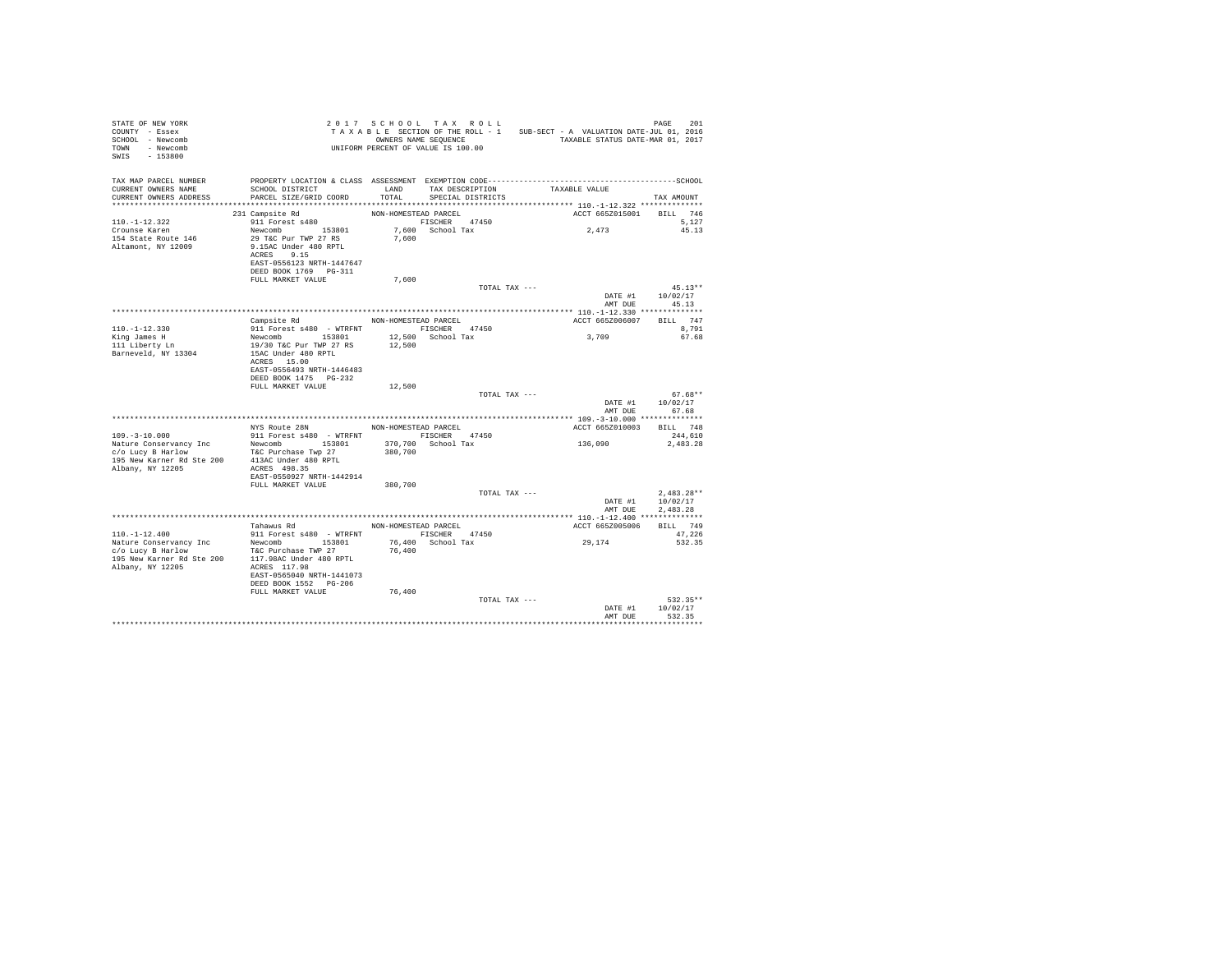| TAXABLE SECTION.<br>OWNERS NAME SEQUENCE<br>UNIFORM PERCENT OF VALUE IS 100.00<br>TAX MAP PARCEL NUMBER<br>LAND TAX DESCRIPTION<br>CURRENT OWNERS NAME<br>SCHOOL DISTRICT<br>TAXABLE VALUE<br>CURRENT OWNERS ADDRESS<br>PARCEL SIZE/GRID COORD<br>TOTAL<br>SPECIAL DISTRICTS<br>TAX AMOUNT<br>ACCT 665Z015001<br>BILL 746<br>231 Campsite Rd<br>NON-HOMESTEAD PARCEL<br>$110. -1 - 12.322$<br>911 Forest s480<br>FISCHER 47450<br>Newcomb 153801<br>29 T&C Pur TWP 27 RS<br>7,600 School Tax<br>2,473<br>Crounse Karen<br>7,600<br>154 State Route 146<br>9.15AC Under 480 RPTL<br>Altamont, NY 12009<br>ACRES 9.15<br>EAST-0556123 NRTH-1447647<br>DEED BOOK 1769 PG-311<br>FULL MARKET VALUE<br>7.600<br>TOTAL TAX --- | 5,127<br>45.13   |
|--------------------------------------------------------------------------------------------------------------------------------------------------------------------------------------------------------------------------------------------------------------------------------------------------------------------------------------------------------------------------------------------------------------------------------------------------------------------------------------------------------------------------------------------------------------------------------------------------------------------------------------------------------------------------------------------------------------------------|------------------|
|                                                                                                                                                                                                                                                                                                                                                                                                                                                                                                                                                                                                                                                                                                                          |                  |
|                                                                                                                                                                                                                                                                                                                                                                                                                                                                                                                                                                                                                                                                                                                          |                  |
|                                                                                                                                                                                                                                                                                                                                                                                                                                                                                                                                                                                                                                                                                                                          |                  |
|                                                                                                                                                                                                                                                                                                                                                                                                                                                                                                                                                                                                                                                                                                                          |                  |
|                                                                                                                                                                                                                                                                                                                                                                                                                                                                                                                                                                                                                                                                                                                          |                  |
|                                                                                                                                                                                                                                                                                                                                                                                                                                                                                                                                                                                                                                                                                                                          |                  |
|                                                                                                                                                                                                                                                                                                                                                                                                                                                                                                                                                                                                                                                                                                                          |                  |
| DATE #1 10/02/17                                                                                                                                                                                                                                                                                                                                                                                                                                                                                                                                                                                                                                                                                                         | $45.13**$        |
| AMT DUE<br>45.13                                                                                                                                                                                                                                                                                                                                                                                                                                                                                                                                                                                                                                                                                                         |                  |
| Campsite Rd NON-HOMESTEAD PARCEL<br>ACCT 665Z006007<br>BILL 747                                                                                                                                                                                                                                                                                                                                                                                                                                                                                                                                                                                                                                                          |                  |
| 911 Forest s480 - WTRFNT FISCHER 47450<br>$110. - 1 - 12.330$<br>8,791                                                                                                                                                                                                                                                                                                                                                                                                                                                                                                                                                                                                                                                   |                  |
| 3,709<br>12,500 School Tax<br>King James H                                                                                                                                                                                                                                                                                                                                                                                                                                                                                                                                                                                                                                                                               | 67.68            |
| Newcomb<br>197301 T&C Pur TWP 27 RS<br>15AC Under 480 RPTL<br>111 Liberty Ln<br>12,500<br>Barneveld, NY 13304<br>ACRES 15.00<br>EAST-0556493 NRTH-1446483                                                                                                                                                                                                                                                                                                                                                                                                                                                                                                                                                                |                  |
| DEED BOOK 1475 PG-232                                                                                                                                                                                                                                                                                                                                                                                                                                                                                                                                                                                                                                                                                                    |                  |
| FULL MARKET VALUE<br>12,500<br>TOTAL TAX ---                                                                                                                                                                                                                                                                                                                                                                                                                                                                                                                                                                                                                                                                             | $67.68**$        |
| DATE #1<br>10/02/17<br>67.68<br>AMT DUE                                                                                                                                                                                                                                                                                                                                                                                                                                                                                                                                                                                                                                                                                  |                  |
|                                                                                                                                                                                                                                                                                                                                                                                                                                                                                                                                                                                                                                                                                                                          |                  |
| NYS Route 28N<br>BILL 748<br>ACCT 665Z010003<br>NON-HOMESTEAD PARCEL<br>$109. - 3 - 10.000$<br>911 Forest s480 - WTRFNT FISCHER 47450                                                                                                                                                                                                                                                                                                                                                                                                                                                                                                                                                                                    | 244,610          |
| 136,090<br>Nature Conservancy Inc<br>Newcomb 153801<br>370,700 School Tax<br>2,483.28                                                                                                                                                                                                                                                                                                                                                                                                                                                                                                                                                                                                                                    |                  |
| c/o Lucy B Harlow<br>T&C Purchase Twp 27<br>380,700<br>195 New Karner Rd Ste 200 413AC Under 480 RPTL<br>Albany, NY 12205<br>ACRES 498.35<br>EAST-0550927 NRTH-1442914                                                                                                                                                                                                                                                                                                                                                                                                                                                                                                                                                   |                  |
| FULL MARKET VALUE<br>380,700                                                                                                                                                                                                                                                                                                                                                                                                                                                                                                                                                                                                                                                                                             |                  |
| $2.483.28**$<br>TOTAL TAX ---<br>DATE #1<br>10/02/17<br>AMT DUE<br>2,483.28                                                                                                                                                                                                                                                                                                                                                                                                                                                                                                                                                                                                                                              |                  |
|                                                                                                                                                                                                                                                                                                                                                                                                                                                                                                                                                                                                                                                                                                                          |                  |
| Tahawus Rd NON-HOMESTEAD PARCEL<br>ACCT 665Z005006<br>BILL 749<br>$110. -1 - 12.400$<br>911 Forest s480 - WTRFNT FISCHER 47450<br>Newcomb 153801<br>29,174<br>76,400 School Tax                                                                                                                                                                                                                                                                                                                                                                                                                                                                                                                                          | 47,226<br>532.35 |
| Nature Conservancy Inc<br>c/o Lucy B Harlow<br>T&C Purchase TWP 27<br>76,400<br>195 New Karner Rd Ste 200 117.98AC Under 480 RPTL<br>Albany, NY 12205<br>ACRES 117.98<br>EAST-0565040 NRTH-1441073<br>DEED BOOK 1552 PG-206                                                                                                                                                                                                                                                                                                                                                                                                                                                                                              |                  |
| FULL MARKET VALUE<br>76,400                                                                                                                                                                                                                                                                                                                                                                                                                                                                                                                                                                                                                                                                                              |                  |
| TOTAL TAX ---<br>DATE #1<br>10/02/17<br>AMT DUE<br>532.35<br>**************                                                                                                                                                                                                                                                                                                                                                                                                                                                                                                                                                                                                                                              | 532.35**         |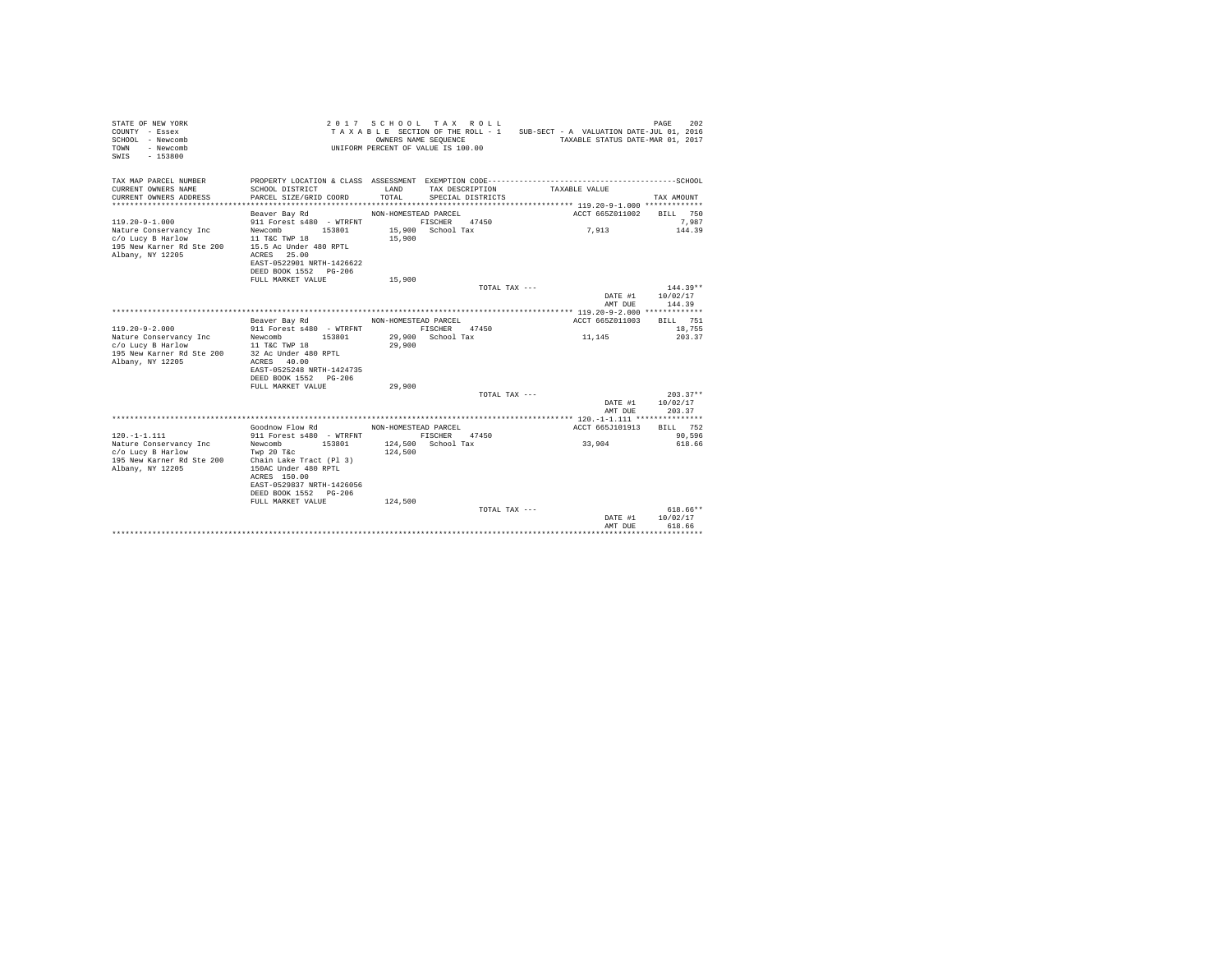| STATE OF NEW YORK<br>COUNTY - Essex<br>SCHOOL - Newcomb<br>- Newcomb<br>TOWN<br>$-153800$<br>SWTS |                                                                                                                                                          | OWNERS NAME SEQUENCE           | 2017 SCHOOL TAX ROLL<br>UNIFORM PERCENT OF VALUE IS 100.00 | TAXABLE SECTION OF THE ROLL - 1 SUB-SECT - A VALUATION DATE-JUL 01, 2016<br>TAXABLE STATUS DATE-MAR 01, 2017 | 202<br>PAGE                  |
|---------------------------------------------------------------------------------------------------|----------------------------------------------------------------------------------------------------------------------------------------------------------|--------------------------------|------------------------------------------------------------|--------------------------------------------------------------------------------------------------------------|------------------------------|
| TAX MAP PARCEL NUMBER<br>CURRENT OWNERS NAME<br>CURRENT OWNERS ADDRESS                            | SCHOOL DISTRICT<br>PARCEL SIZE/GRID COORD                                                                                                                | LAND<br>TOTAL                  | TAX DESCRIPTION<br>SPECIAL DISTRICTS                       | TAXABLE VALUE                                                                                                | TAX AMOUNT                   |
|                                                                                                   | Beaver Bay Rd                                                                                                                                            | NON-HOMESTEAD PARCEL           |                                                            | ACCT 665Z011002                                                                                              | BILL 750                     |
| $119.20 - 9 - 1.000$                                                                              | 911 Forest s480 - WTRFNT                                                                                                                                 |                                | FISCHER<br>47450                                           |                                                                                                              | 7,987                        |
| Nature Conservancy Inc<br>c/o Lucy B Harlow<br>195 New Karner Rd Ste 200<br>Albany, NY 12205      | 153801<br>Newcomb<br>11 T&C TWP 18<br>15.5 Ac Under 480 RPTL<br>ACRES 25.00<br>EAST-0522901 NRTH-1426622<br>DEED BOOK 1552 PG-206<br>FULL MARKET VALUE   | 15,900<br>15,900               | 15,900 School Tax                                          | 7,913                                                                                                        | 144.39                       |
|                                                                                                   |                                                                                                                                                          |                                | TOTAL TAX ---                                              |                                                                                                              | $144.39**$                   |
|                                                                                                   |                                                                                                                                                          |                                |                                                            | DATE #1<br>AMT DUE                                                                                           | 10/02/17<br>144.39           |
|                                                                                                   |                                                                                                                                                          |                                |                                                            |                                                                                                              |                              |
| $119.20 - 9 - 2.000$<br>Nature Conservancy Inc<br>c/o Lucy B Harlow<br>195 New Karner Rd Ste 200  | Beaver Bay Rd<br>911 Forest s480 - WTRFNT<br>Newcomb 153801<br>11 T&C TWP 18<br>32 Ac Under 480 RPTL                                                     | NON-HOMESTEAD PARCEL<br>29,900 | FISCHER 47450<br>29,900 School Tax                         | ACCT 665Z011003<br>11,145                                                                                    | BTLL 751<br>18,755<br>203.37 |
| Albany, NY 12205                                                                                  | ACRES 40.00<br>EAST-0525248 NRTH-1424735<br>DEED BOOK 1552 PG-206                                                                                        | 29,900                         |                                                            |                                                                                                              |                              |
|                                                                                                   | FULL MARKET VALUE                                                                                                                                        |                                | TOTAL TAX ---                                              |                                                                                                              | $203.37**$                   |
|                                                                                                   |                                                                                                                                                          |                                |                                                            | DATE #1<br>AMT DUE                                                                                           | 10/02/17<br>203.37           |
|                                                                                                   |                                                                                                                                                          |                                |                                                            |                                                                                                              |                              |
| $120. -1 - 1.111$                                                                                 | Goodnow Flow Rd<br>911 Forest s480 - WTRFNT                                                                                                              | NON-HOMESTEAD PARCEL           | FISCHER 47450                                              | ACCT 665J101913                                                                                              | BILL 752<br>90,596           |
| Nature Conservancy Inc<br>c/o Lucy B Harlow<br>195 New Karner Rd Ste 200<br>Albany, NY 12205      | Newcomb<br>153801<br>Twp 20 T&c<br>Chain Lake Tract (Pl 3)<br>150AC Under 480 RPTL<br>ACRES 150.00<br>EAST-0529837 NRTH-1426056<br>DEED BOOK 1552 PG-206 | 124,500                        | 124.500 School Tax                                         | 33,904                                                                                                       | 618.66                       |
|                                                                                                   | FULL MARKET VALUE                                                                                                                                        | 124,500                        |                                                            |                                                                                                              | 618.66**                     |
|                                                                                                   |                                                                                                                                                          |                                | TOTAL TAX ---                                              | DATE #1<br>AMT DUE                                                                                           | 10/02/17<br>618.66           |
|                                                                                                   |                                                                                                                                                          |                                |                                                            |                                                                                                              |                              |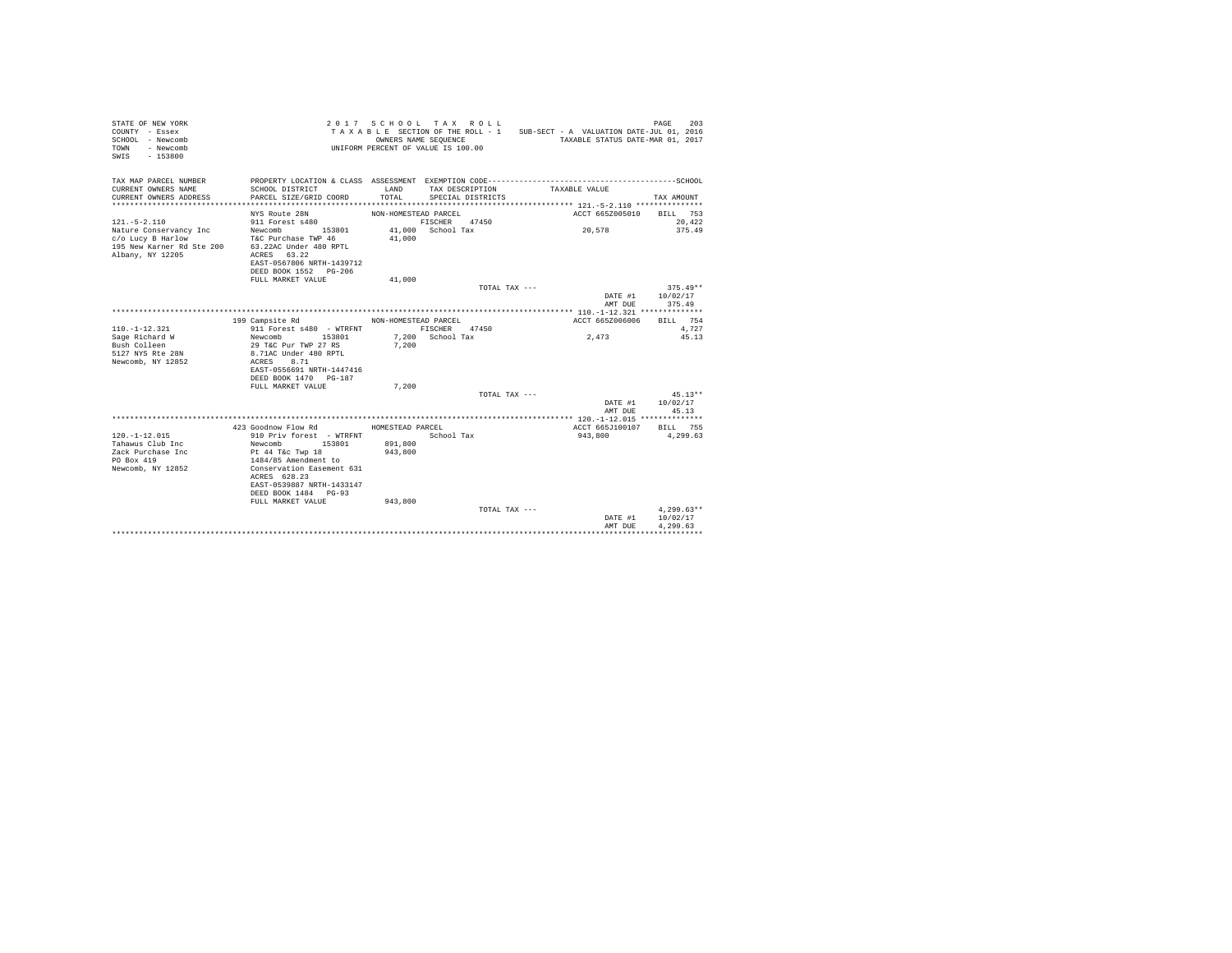| STATE OF NEW YORK<br>COUNTY - Essex<br>SCHOOL - Newcomb<br>- Newcomb<br>TOWN<br>$-153800$<br>SWTS                  |                                                                                                                                                                                                                    |                                        | 2017 SCHOOL TAX ROLL<br>OWNERS NAME SEQUENCE<br>UNIFORM PERCENT OF VALUE IS 100.00 |               | TAXABLE SECTION OF THE ROLL - 1 SUB-SECT - A VALUATION DATE-JUL 01, 2016<br>TAXABLE STATUS DATE-MAR 01, 2017 | 203<br>PAGE                      |
|--------------------------------------------------------------------------------------------------------------------|--------------------------------------------------------------------------------------------------------------------------------------------------------------------------------------------------------------------|----------------------------------------|------------------------------------------------------------------------------------|---------------|--------------------------------------------------------------------------------------------------------------|----------------------------------|
| TAX MAP PARCEL NUMBER<br>CURRENT OWNERS NAME<br>CURRENT OWNERS ADDRESS<br>***********************                  | SCHOOL DISTRICT<br>PARCEL SIZE/GRID COORD                                                                                                                                                                          | LAND<br>TOTAL                          | TAX DESCRIPTION<br>SPECIAL DISTRICTS                                               |               | TAXABLE VALUE                                                                                                | TAX AMOUNT                       |
|                                                                                                                    | NYS Route 28N                                                                                                                                                                                                      | NON-HOMESTEAD PARCEL                   |                                                                                    |               | ACCT 665Z005010                                                                                              | BILL 753                         |
| $121. - 5 - 2.110$<br>Nature Conservancy Inc<br>c/o Lucy B Harlow<br>195 New Karner Rd Ste 200<br>Albany, NY 12205 | 911 Forest s480<br>Newcomb<br>153801<br>T&C Purchase TWP 46<br>63.22AC Under 480 RPTL<br>ACRES 63.22<br>EAST-0567806 NRTH-1439712<br>DEED BOOK 1552 PG-206                                                         | 41,000                                 | FISCHER<br>41,000 School Tax                                                       | 47450         | 20,578                                                                                                       | 20.422<br>375.49                 |
|                                                                                                                    | FULL MARKET VALUE                                                                                                                                                                                                  | 41,000                                 |                                                                                    |               |                                                                                                              |                                  |
|                                                                                                                    |                                                                                                                                                                                                                    |                                        |                                                                                    | TOTAL TAX --- | DATE #1<br>AMT DUE                                                                                           | $375.49**$<br>10/02/17<br>375.49 |
|                                                                                                                    |                                                                                                                                                                                                                    |                                        |                                                                                    |               |                                                                                                              |                                  |
| $110. -1 - 12.321$<br>Sage Richard W<br>Bush Colleen<br>5127 NYS Rte 28N<br>Newcomb, NY 12852                      | 199 Campsite Rd<br>911 Forest s480 - WTRFNT<br>153801<br>Newcomb<br>29 T&C Pur TWP 27 RS<br>8.71AC Under 480 RPTL<br>ACRES<br>8.71<br>EAST-0556691 NRTH-1447416                                                    | NON-HOMESTEAD PARCEL<br>7.200          | FISCHER<br>7,200 School Tax                                                        | 47450         | ACCT 665Z006006<br>2,473                                                                                     | RTLL 754<br>4.727<br>45.13       |
|                                                                                                                    | DEED BOOK 1470 PG-187<br>FULL MARKET VALUE                                                                                                                                                                         | 7,200                                  |                                                                                    |               |                                                                                                              |                                  |
|                                                                                                                    |                                                                                                                                                                                                                    |                                        |                                                                                    | TOTAL TAX --- | DATE #1<br>AMT DUE                                                                                           | $45.13**$<br>10/02/17<br>45.13   |
|                                                                                                                    |                                                                                                                                                                                                                    |                                        |                                                                                    |               |                                                                                                              |                                  |
| $120. -1 - 12.015$<br>Tahawus Club Inc<br>Zack Purchase Inc<br>PO Box 419<br>Newcomb, NY 12852                     | 423 Goodnow Flow Rd<br>910 Priv forest - WTRFNT<br>Newcomb<br>153801<br>Pt 44 T&c Twp 18<br>1484/85 Amendment to<br>Conservation Easement 631<br>ACRES 628.23<br>EAST-0539887 NRTH-1433147<br>DEED BOOK 1484 PG-93 | HOMESTEAD PARCEL<br>891,800<br>943,800 | School Tax                                                                         |               | ACCT 665J100107<br>943,800                                                                                   | BILL 755<br>4,299.63             |
|                                                                                                                    | FULL MARKET VALUE                                                                                                                                                                                                  | 943,800                                |                                                                                    | TOTAL TAX --- | DATE #1                                                                                                      | $4,299.63**$<br>10/02/17         |
|                                                                                                                    |                                                                                                                                                                                                                    |                                        |                                                                                    |               | AMT DUE                                                                                                      | 4.299.63                         |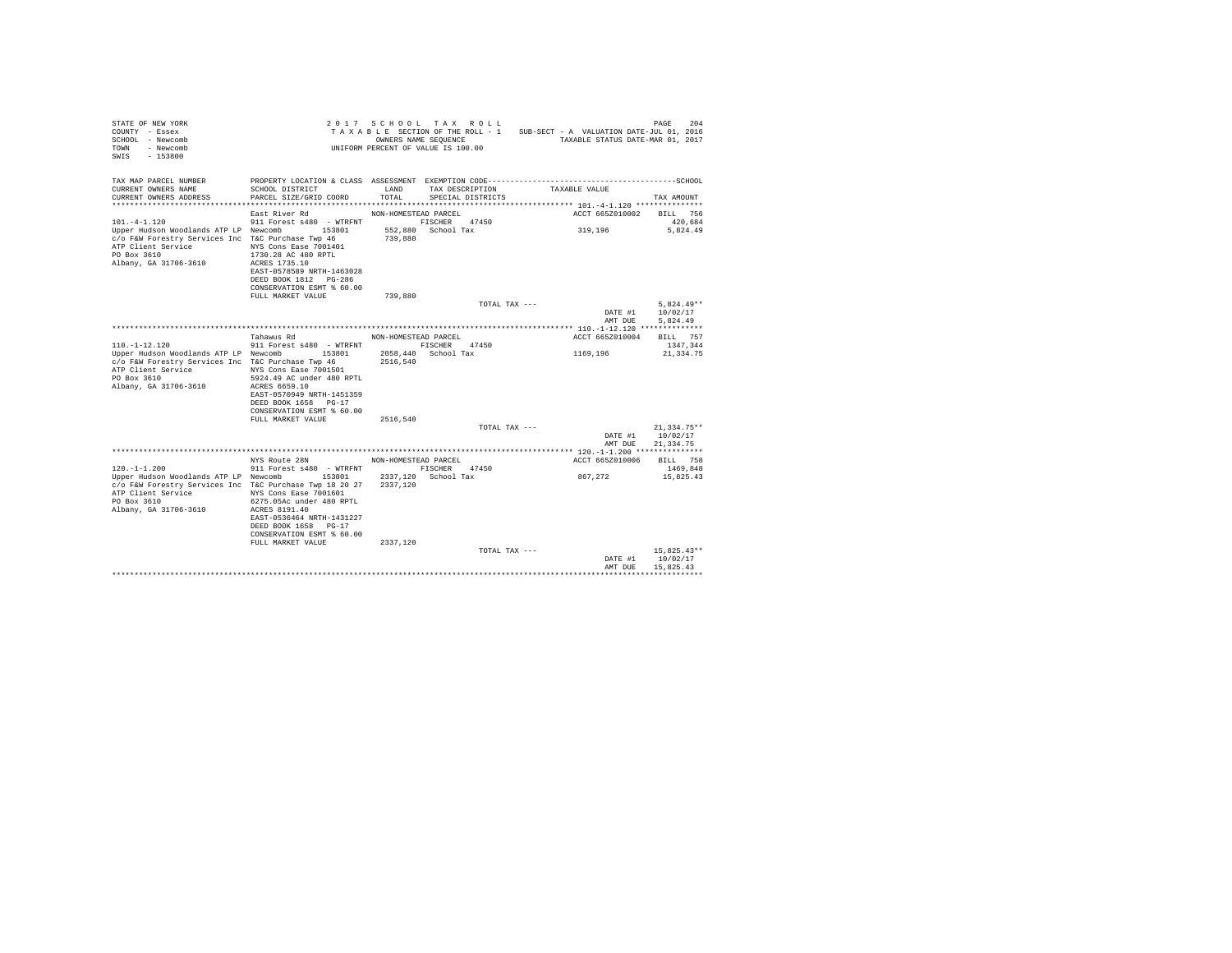| STATE OF NEW YORK<br>COUNTY - Essex<br>SCHOOL - Newcomb<br>TOWN<br>- Newcomb<br>$-153800$<br>SWIS                                                                                    |                                                                                                                                                                                                                  | OWNERS NAME SEQUENCE | 2017 SCHOOL TAX ROLL<br>TAXABLE SECTION OF THE ROLL - 1<br>UNIFORM PERCENT OF VALUE IS 100.00 | SUB-SECT - A VALUATION DATE-JUL 01, 2016<br>TAXABLE STATUS DATE-MAR 01, 2017                                  | 204<br>PAGE            |
|--------------------------------------------------------------------------------------------------------------------------------------------------------------------------------------|------------------------------------------------------------------------------------------------------------------------------------------------------------------------------------------------------------------|----------------------|-----------------------------------------------------------------------------------------------|---------------------------------------------------------------------------------------------------------------|------------------------|
| TAX MAP PARCEL NUMBER<br>CURRENT OWNERS NAME<br>CURRENT OWNERS ADDRESS                                                                                                               | SCHOOL DISTRICT<br>PARCEL SIZE/GRID COORD                                                                                                                                                                        | LAND<br>TOTAL        | TAX DESCRIPTION<br>SPECIAL DISTRICTS                                                          | PROPERTY LOCATION & CLASS ASSESSMENT EXEMPTION CODE-----------------------------------SCHOOL<br>TAXABLE VALUE | TAX AMOUNT             |
|                                                                                                                                                                                      | East River Rd                                                                                                                                                                                                    | NON-HOMESTEAD PARCEL |                                                                                               | ACCT 665Z010002                                                                                               | BILL 756               |
| $101. -4 - 1.120$                                                                                                                                                                    | 911 Forest s480 - WTRFNT                                                                                                                                                                                         |                      | 47450<br>FISCHER                                                                              |                                                                                                               | 420.684                |
| Upper Hudson Woodlands ATP LP Newcomb<br>c/o F&W Forestry Services Inc T&C Purchase Twp 46<br>ATP Client Service<br>PO Box 3610<br>Albany, GA 31706-3610                             | 153801<br>NYS Cons Ease 7001401<br>1730.28 AC 480 RPTL<br>ACRES 1735.10<br>EAST-0578589 NRTH-1463028<br>DEED BOOK 1812 PG-286<br>CONSERVATION ESMT % 60.00<br>FULL MARKET VALUE                                  | 739,880<br>739,880   | 552,880 School Tax                                                                            | 319,196                                                                                                       | 5,824.49               |
|                                                                                                                                                                                      |                                                                                                                                                                                                                  |                      | TOTAL TAX ---                                                                                 |                                                                                                               | $5,824.49**$           |
|                                                                                                                                                                                      |                                                                                                                                                                                                                  |                      |                                                                                               | DATE #1<br>AMT DUE                                                                                            | 10/02/17<br>5.824.49   |
|                                                                                                                                                                                      |                                                                                                                                                                                                                  |                      |                                                                                               |                                                                                                               |                        |
|                                                                                                                                                                                      | Tahawus Rd                                                                                                                                                                                                       | NON-HOMESTEAD PARCEL |                                                                                               | ACCT 665Z010004                                                                                               | BILL 757               |
| $110. - 1 - 12.120$<br>Upper Hudson Woodlands ATP LP Newcomb<br>c/o F&W Forestry Services Inc T&C Purchase Twp 46<br>ATP Client Service<br>PO Box 3610<br>Albany, GA 31706-3610      | 911 Forest s480 - WTRFNT<br>153801<br>NYS Cons Ease 7001501<br>5924.49 AC under 480 RPTL<br>ACRES 6659.10<br>EAST-0570949 NRTH-1451359<br>DEED BOOK 1658 PG-17<br>CONSERVATION ESMT % 60.00<br>FULL MARKET VALUE | 2516,540<br>2516,540 | FISCHER 47450<br>2058,440 School Tax                                                          | 1169,196                                                                                                      | 1347.344<br>21,334.75  |
|                                                                                                                                                                                      |                                                                                                                                                                                                                  |                      | TOTAL TAX ---                                                                                 |                                                                                                               | $21.334.75**$          |
|                                                                                                                                                                                      |                                                                                                                                                                                                                  |                      |                                                                                               | DATE #1<br>AMT DUE                                                                                            | 10/02/17<br>21, 334.75 |
|                                                                                                                                                                                      |                                                                                                                                                                                                                  |                      |                                                                                               |                                                                                                               |                        |
|                                                                                                                                                                                      | NYS Route 28N                                                                                                                                                                                                    | NON-HOMESTEAD PARCEL |                                                                                               | ACCT 665Z010006                                                                                               | BILL 758               |
| $120. - 1 - 1.200$<br>Upper Hudson Woodlands ATP LP Newcomb<br>c/o F&W Forestry Services Inc T&C Purchase Twp 18 20 27<br>ATP Client Service<br>PO Box 3610<br>Albany, GA 31706-3610 | 911 Forest s480 - WTRFNT<br>153801<br>NYS Cons Ease 7001601<br>6275.05Ac under 480 RPTL<br>ACRES 8191.40<br>EAST-0536464 NRTH-1431227<br>DEED BOOK 1658 PG-17<br>CONSERVATION ESMT % 60.00<br>FULL MARKET VALUE  | 2337.120<br>2337,120 | FISCHER 47450<br>2337.120 School Tax                                                          | 867.272                                                                                                       | 1469,848<br>15,825.43  |
|                                                                                                                                                                                      |                                                                                                                                                                                                                  |                      | TOTAL TAX ---                                                                                 |                                                                                                               | $15,825.43**$          |
|                                                                                                                                                                                      |                                                                                                                                                                                                                  |                      |                                                                                               | DATE #1<br>AMT DUE                                                                                            | 10/02/17<br>15,825.43  |
|                                                                                                                                                                                      |                                                                                                                                                                                                                  |                      |                                                                                               |                                                                                                               |                        |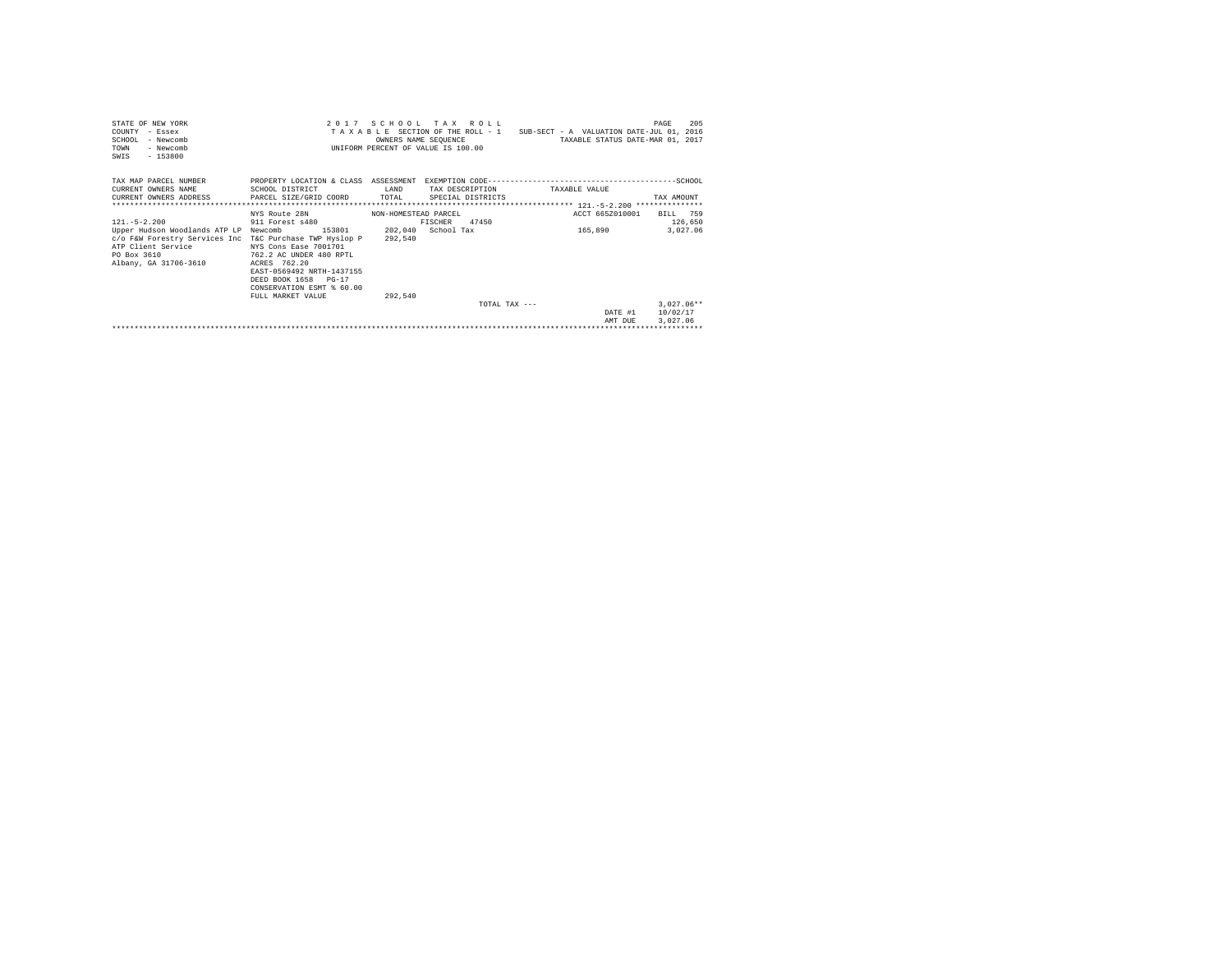| STATE OF NEW YORK<br>COUNTY - Essex<br>SCHOOL - Newcomb<br>TOWN<br>- Newcomb<br>$-153800$<br>SWIS |                           | OWNERS NAME SEQUENCE      | 2017 SCHOOL TAX ROLL<br>INIFORM PERCENT OF VALUE IS 100.00 | TAXABLE SECTION OF THE ROLL - 1 SUB-SECT - A VALUATION DATE-JUL 01, 2016<br>TAXABLE STATUS DATE-MAR 01, 2017 | 205<br>PAGE  |
|---------------------------------------------------------------------------------------------------|---------------------------|---------------------------|------------------------------------------------------------|--------------------------------------------------------------------------------------------------------------|--------------|
| TAX MAP PARCEL NUMBER                                                                             |                           |                           |                                                            | PROPERTY LOCATION & CLASS ASSESSMENT EXEMPTION CODE-----------------------------------SCHOOL                 |              |
| CURRENT OWNERS NAME                                                                               | SCHOOL DISTRICT           | LAND                      | TAX DESCRIPTION                                            | TAXABLE VALUE                                                                                                |              |
| CURRENT OWNERS ADDRESS                                                                            | PARCEL SIZE/GRID COORD    | TOTAL                     | SPECIAL DISTRICTS                                          |                                                                                                              | TAX AMOUNT   |
|                                                                                                   |                           |                           |                                                            |                                                                                                              |              |
|                                                                                                   | NYS Route 28N             | NON-HOMESTEAD PARCEL      |                                                            | ACCT 665Z010001                                                                                              | BILL 759     |
| $121 - 5 - 2.200$                                                                                 | 911 Forest s480           |                           | 47450<br>FISCHER                                           |                                                                                                              | 126,650      |
| Upper Hudson Woodlands ATP LP Newcomb                                                             |                           | 153801 202,040 School Tax |                                                            | 165,890                                                                                                      | 3.027.06     |
| c/o F&W Forestry Services Inc T&C Purchase TWP Hyslop P                                           |                           | 292.540                   |                                                            |                                                                                                              |              |
| ATP Client Service                                                                                | NYS Cons Ease 7001701     |                           |                                                            |                                                                                                              |              |
| PO Box 3610                                                                                       | 762.2 AC UNDER 480 RPTL   |                           |                                                            |                                                                                                              |              |
| Albany, GA 31706-3610                                                                             | ACRES 762.20              |                           |                                                            |                                                                                                              |              |
|                                                                                                   | EAST-0569492 NRTH-1437155 |                           |                                                            |                                                                                                              |              |
|                                                                                                   | DEED BOOK 1658 PG-17      |                           |                                                            |                                                                                                              |              |
|                                                                                                   | CONSERVATION ESMT % 60.00 |                           |                                                            |                                                                                                              |              |
|                                                                                                   | FULL MARKET VALUE         | 292.540                   |                                                            |                                                                                                              |              |
|                                                                                                   |                           |                           | TOTAL TAX $---$                                            |                                                                                                              | $3.027.06**$ |
|                                                                                                   |                           |                           |                                                            | DATE #1                                                                                                      | 10/02/17     |
|                                                                                                   |                           |                           |                                                            | AMT DUE                                                                                                      | 3.027.06     |
|                                                                                                   |                           |                           |                                                            |                                                                                                              |              |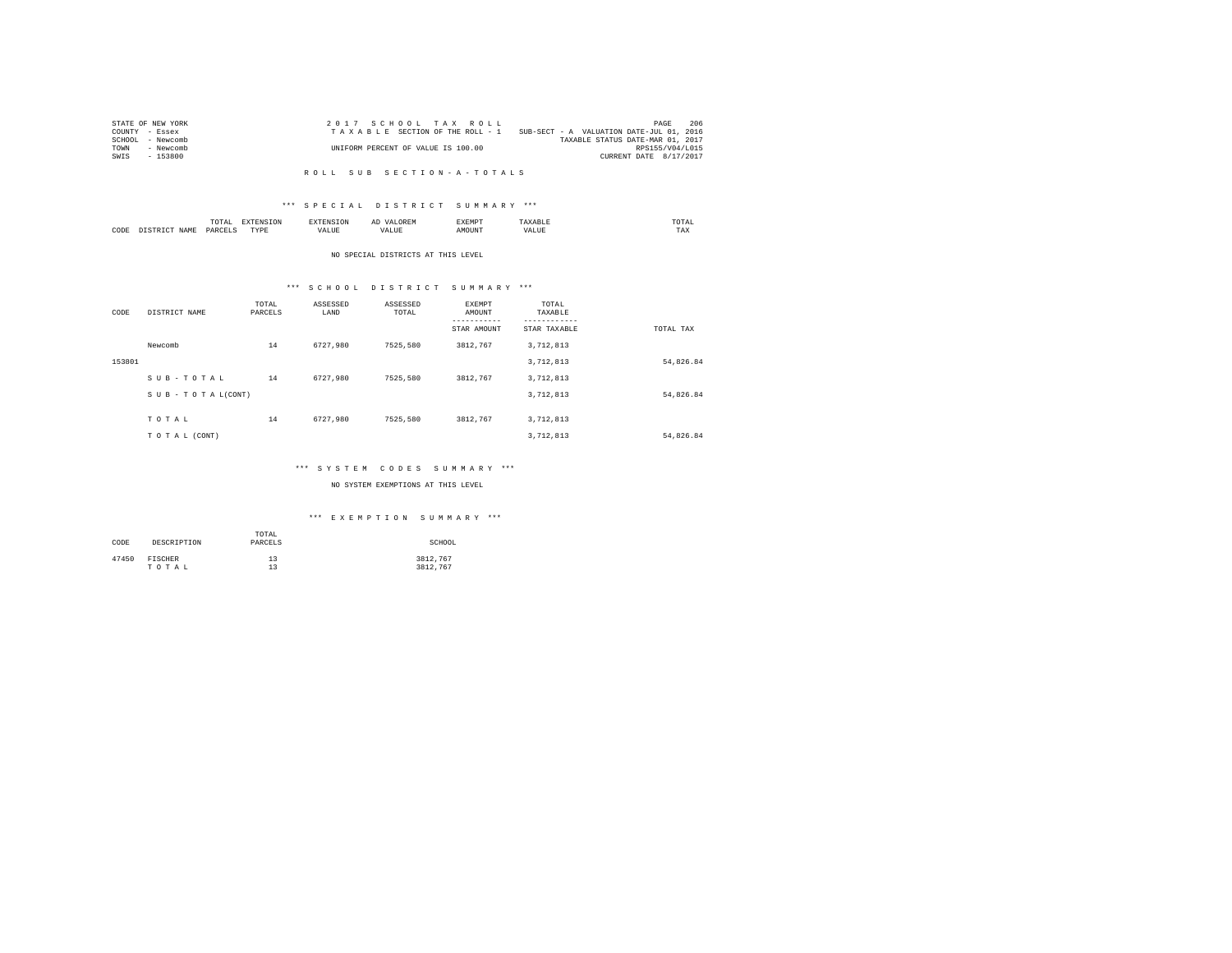| STATE OF NEW YORK | 2017 SCHOOL TAX ROLL               | 206<br>PAGE                              |
|-------------------|------------------------------------|------------------------------------------|
| COUNTY - Essex    | TAXABLE SECTION OF THE ROLL - 1    | SUB-SECT - A VALUATION DATE-JUL 01, 2016 |
| SCHOOL - Newcomb  |                                    | TAXABLE STATUS DATE-MAR 01, 2017         |
| TOWN<br>- Newcomb | UNIFORM PERCENT OF VALUE IS 100.00 | RPS155/V04/L015                          |
| - 153800<br>SWIS  |                                    | CURRENT DATE 8/17/2017                   |
|                   |                                    |                                          |

#### R O L L S U B S E C T I O N - A - T O T A L S

## \*\*\* S P E C I A L D I S T R I C T S U M M A R Y \*\*\*

|      | ----<br>/ L A L<br>the contract of the contract of the contract of | ----       | $\cdots$ | .     | moms:<br>the contract of the contract of the contract of |
|------|--------------------------------------------------------------------|------------|----------|-------|----------------------------------------------------------|
| CODE | <b>DAR</b><br>$\sim$                                               | TVD's<br>. |          | MOUN. | 1'AX                                                     |

#### NO SPECIAL DISTRICTS AT THIS LEVEL

# \*\*\* S C H O O L D I S T R I C T S U M M A R Y \*\*\*

| CODE   | DISTRICT NAME   | TOTAL<br>PARCELS | ASSESSED<br>LAND | ASSESSED<br>TOTAL | <b>EXEMPT</b><br>AMOUNT<br>---------<br>STAR AMOUNT | TOTAL<br>TAXABLE<br>---------<br>STAR TAXABLE | TOTAL TAX |
|--------|-----------------|------------------|------------------|-------------------|-----------------------------------------------------|-----------------------------------------------|-----------|
|        | Newcomb         | 14               | 6727.980         | 7525.580          | 3812.767                                            | 3,712,813                                     |           |
| 153801 |                 |                  |                  |                   |                                                     | 3,712,813                                     | 54,826.84 |
|        | SUB-TOTAL       | 14               | 6727.980         | 7525.580          | 3812.767                                            | 3,712,813                                     |           |
|        | SUB-TOTAL(CONT) |                  |                  |                   |                                                     | 3,712,813                                     | 54,826.84 |
|        | TOTAL           | 14               | 6727.980         | 7525.580          | 3812.767                                            | 3,712,813                                     |           |
|        | TO TAL (CONT)   |                  |                  |                   |                                                     | 3,712,813                                     | 54,826.84 |

## \*\*\* S Y S T E M C O D E S S U M M A R Y \*\*\*

## NO SYSTEM EXEMPTIONS AT THIS LEVEL

## \*\*\* E X E M P T I O N S U M M A R Y \*\*\*

| CODE  | DESCRIPTION | TOTAL<br>PARCELS | SCHOOL   |
|-------|-------------|------------------|----------|
| 47450 | FISCHER     | 13               | 3812.767 |
|       | TOTAL       | 13               | 3812.767 |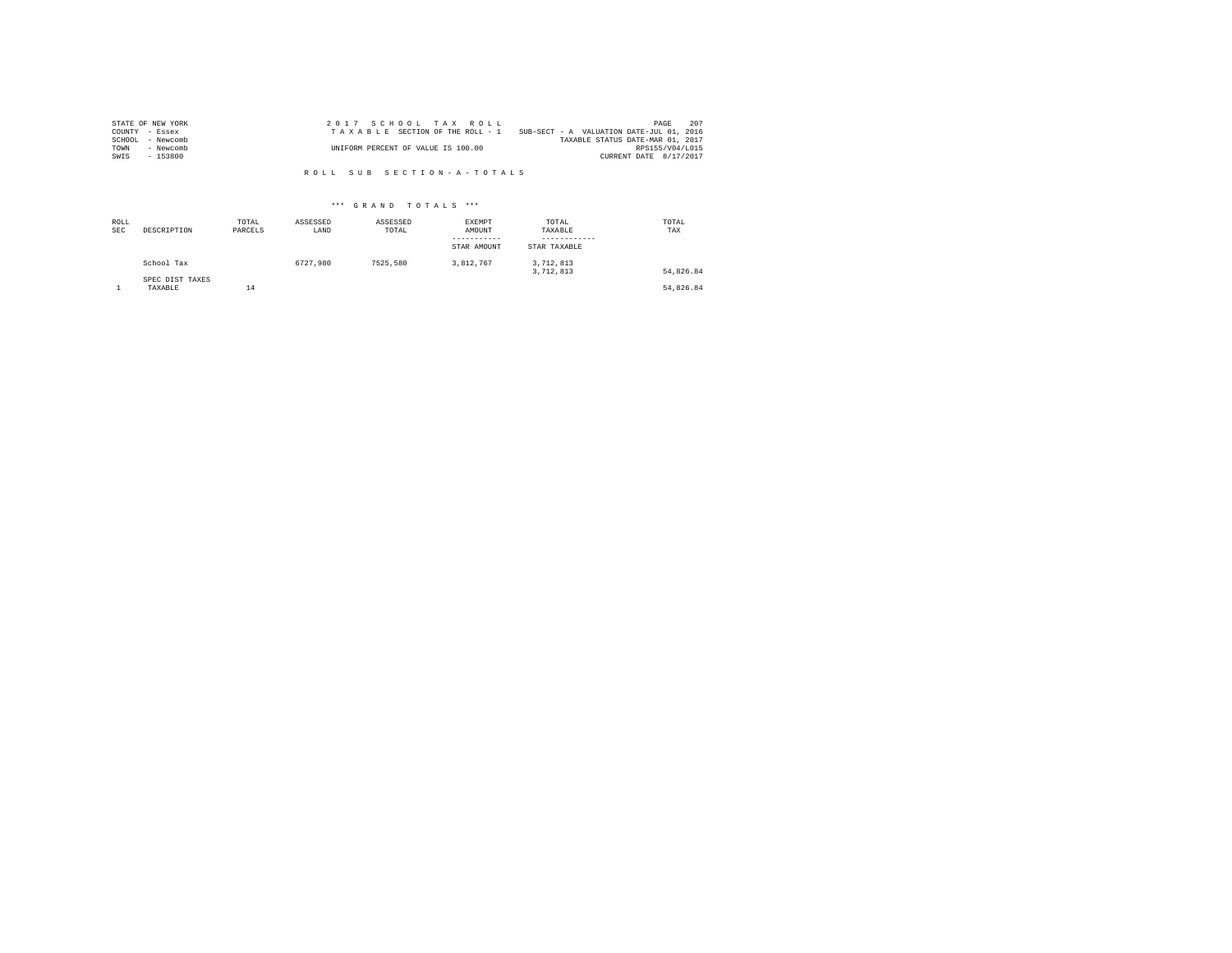| STATE OF NEW YORK   | 2017 SCHOOL TAX ROLL                                                        | PAGE            | 207 |
|---------------------|-----------------------------------------------------------------------------|-----------------|-----|
| COUNTY - Essex      | SUB-SECT - A VALUATION DATE-JUL 01, 2016<br>TAXABLE SECTION OF THE ROLL - 1 |                 |     |
| SCHOOL<br>- Newcomb | TAXABLE STATUS DATE-MAR 01, 2017                                            |                 |     |
| TOWN<br>- Newcomb   | UNIFORM PERCENT OF VALUE IS 100.00                                          | RPS155/V04/L015 |     |
| $-153800$<br>SWIS   | CURRENT DATE 8/17/2017                                                      |                 |     |

R O L L S U B S E C T I O N - A - T O T A L S

## \*\*\* G R A N D T O T A L S \*\*\*

| ROLL<br><b>SEC</b> | DESCRIPTION                | TOTAL<br>PARCELS | ASSESSED<br>LAND | ASSESSED<br>TOTAL | EXEMPT<br>AMOUNT<br>-----------<br>STAR AMOUNT | TOTAL<br>TAXABLE<br>------------<br>STAR TAXABLE | TOTAL<br>TAX |
|--------------------|----------------------------|------------------|------------------|-------------------|------------------------------------------------|--------------------------------------------------|--------------|
|                    | School Tax                 |                  | 6727.980         | 7525.580          | 3.812.767                                      | 3,712,813<br>3,712,813                           | 54.826.84    |
|                    | SPEC DIST TAXES<br>TAXABLE | 14               |                  |                   |                                                |                                                  | 54.826.84    |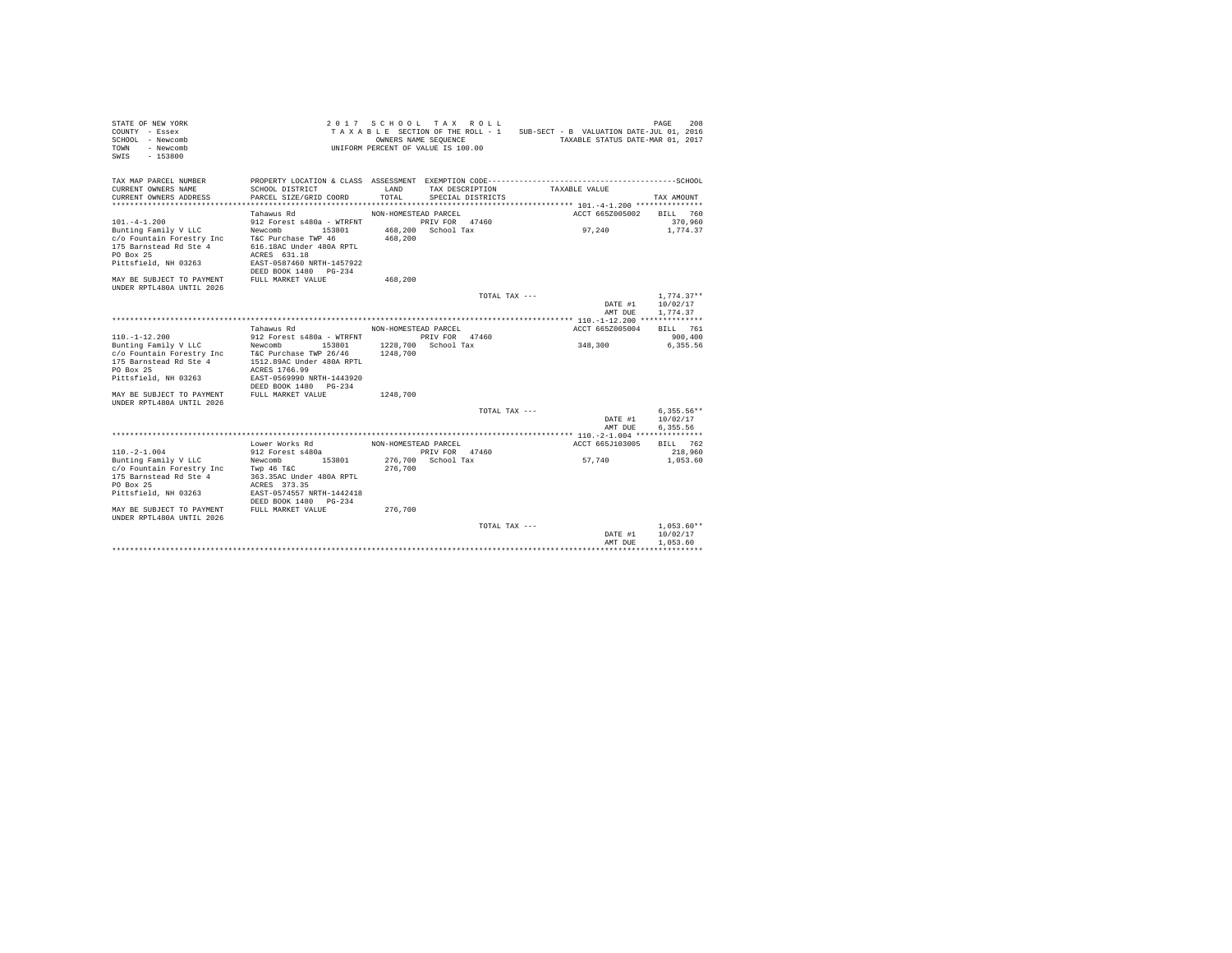| STATE OF NEW YORK<br>COUNTY - Essex<br>SCHOOL - Newcomb<br>- Newcomb<br><b>TOWN</b><br>$-153800$<br>SWIS                                |                                                                                                                                                                         | OWNERS NAME SEQUENCE             | 2017 SCHOOL TAX ROLL<br>UNIFORM PERCENT OF VALUE IS 100.00 |               | TAXABLE SECTION OF THE ROLL - 1 SUB-SECT - B VALUATION DATE-JUL 01, 2016<br>TAXABLE STATUS DATE-MAR 01, 2017 | PAGE<br>208                          |
|-----------------------------------------------------------------------------------------------------------------------------------------|-------------------------------------------------------------------------------------------------------------------------------------------------------------------------|----------------------------------|------------------------------------------------------------|---------------|--------------------------------------------------------------------------------------------------------------|--------------------------------------|
| TAX MAP PARCEL NUMBER<br>CURRENT OWNERS NAME<br>CURRENT OWNERS ADDRESS                                                                  | PROPERTY LOCATION & CLASS ASSESSMENT EXEMPTION CODE-------------------------<br>SCHOOL DISTRICT<br>PARCEL SIZE/GRID COORD                                               | LAND<br>TOTAL.                   | TAX DESCRIPTION<br>SPECIAL DISTRICTS                       |               | TAXABLE VALUE                                                                                                | ---------------SCHOOL<br>TAX AMOUNT  |
|                                                                                                                                         | Tahawus Rd                                                                                                                                                              | NON-HOMESTEAD PARCEL             |                                                            |               | ACCT 665Z005002                                                                                              | BILL 760                             |
| $101. -4 - 1.200$<br>Bunting Family V LLC<br>c/o Fountain Forestry Inc<br>175 Barnstead Rd Ste 4<br>PO Box 25<br>Pittsfield, NH 03263   | 912 Forest s480a - WTRFNT<br>Newcomb<br>153801<br>T&C Purchase TWP 46<br>616.18AC Under 480A RPTL<br>ACRES 631.18<br>EAST-0587460 NRTH-1457922<br>DEED BOOK 1480 PG-234 | 468,200                          | PRIV FOR 47460<br>468.200 School Tax                       |               | 97.240                                                                                                       | 370,960<br>1,774.37                  |
| MAY BE SUBJECT TO PAYMENT<br><b>IINDER RPTL480A IINTIL 2026</b>                                                                         | FULL MARKET VALUE                                                                                                                                                       | 468,200                          |                                                            |               |                                                                                                              |                                      |
|                                                                                                                                         |                                                                                                                                                                         |                                  |                                                            | TOTAL TAX --- | DATE #1<br>AMT DUE                                                                                           | $1.774.37**$<br>10/02/17<br>1.774.37 |
|                                                                                                                                         |                                                                                                                                                                         |                                  |                                                            |               |                                                                                                              |                                      |
| $110. - 1 - 12.200$<br>Bunting Family V LLC<br>c/o Fountain Forestry Inc<br>175 Barnstead Rd Ste 4<br>PO Box 25<br>Pittsfield, NH 03263 | Tahawus Rd<br>912 Forest s480a - WTRFNT<br>Newcomb<br>153801<br>T&C Purchase TWP 26/46<br>1512.89AC Under 480A RPTL<br>ACRES 1766.99<br>EAST-0569990 NRTH-1443920       | NON-HOMESTEAD PARCEL<br>1248,700 | PRIV FOR 47460<br>1228.700 School Tax                      |               | ACCT 665Z005004<br>348,300                                                                                   | BTLL 761<br>900,400<br>6.355.56      |
| MAY BE SUBJECT TO PAYMENT<br>UNDER RPTL480A UNTIL 2026                                                                                  | DEED BOOK 1480 PG-234<br>FULL MARKET VALUE                                                                                                                              | 1248,700                         |                                                            |               |                                                                                                              |                                      |
|                                                                                                                                         |                                                                                                                                                                         |                                  |                                                            | TOTAL TAX --- | DATE #1<br>AMT DUE                                                                                           | $6.355.56**$<br>10/02/17<br>6,355.56 |
|                                                                                                                                         |                                                                                                                                                                         |                                  |                                                            |               |                                                                                                              |                                      |
| $110. -2 - 1.004$<br>Bunting Family V LLC                                                                                               | Lower Works Rd<br>912 Forest s480a<br>Newcomb<br>153801                                                                                                                 | NON-HOMESTEAD PARCEL<br>276,700  | PRIV FOR 47460<br>276,700 School Tax                       |               | ACCT 665J103005<br>57.740                                                                                    | BILL 762<br>218,960<br>1,053.60      |
| c/o Fountain Forestry Inc<br>175 Barnstead Rd Ste 4<br>PO Box 25<br>Pittsfield, NH 03263<br>MAY BE SUBJECT TO PAYMENT                   | Twp 46 T&C<br>363.35AC Under 480A RPTL<br>ACRES 373.35<br>EAST-0574557 NRTH-1442418<br>DEED BOOK 1480 PG-234<br>FULL MARKET VALUE                                       | 276,700                          |                                                            |               |                                                                                                              |                                      |
| IINDER RPTL480A IINTIL 2026                                                                                                             |                                                                                                                                                                         |                                  |                                                            | TOTAL TAX --- | DATE #1<br>AMT DUE                                                                                           | $1.053.60**$<br>10/02/17<br>1,053.60 |
|                                                                                                                                         |                                                                                                                                                                         |                                  |                                                            |               |                                                                                                              |                                      |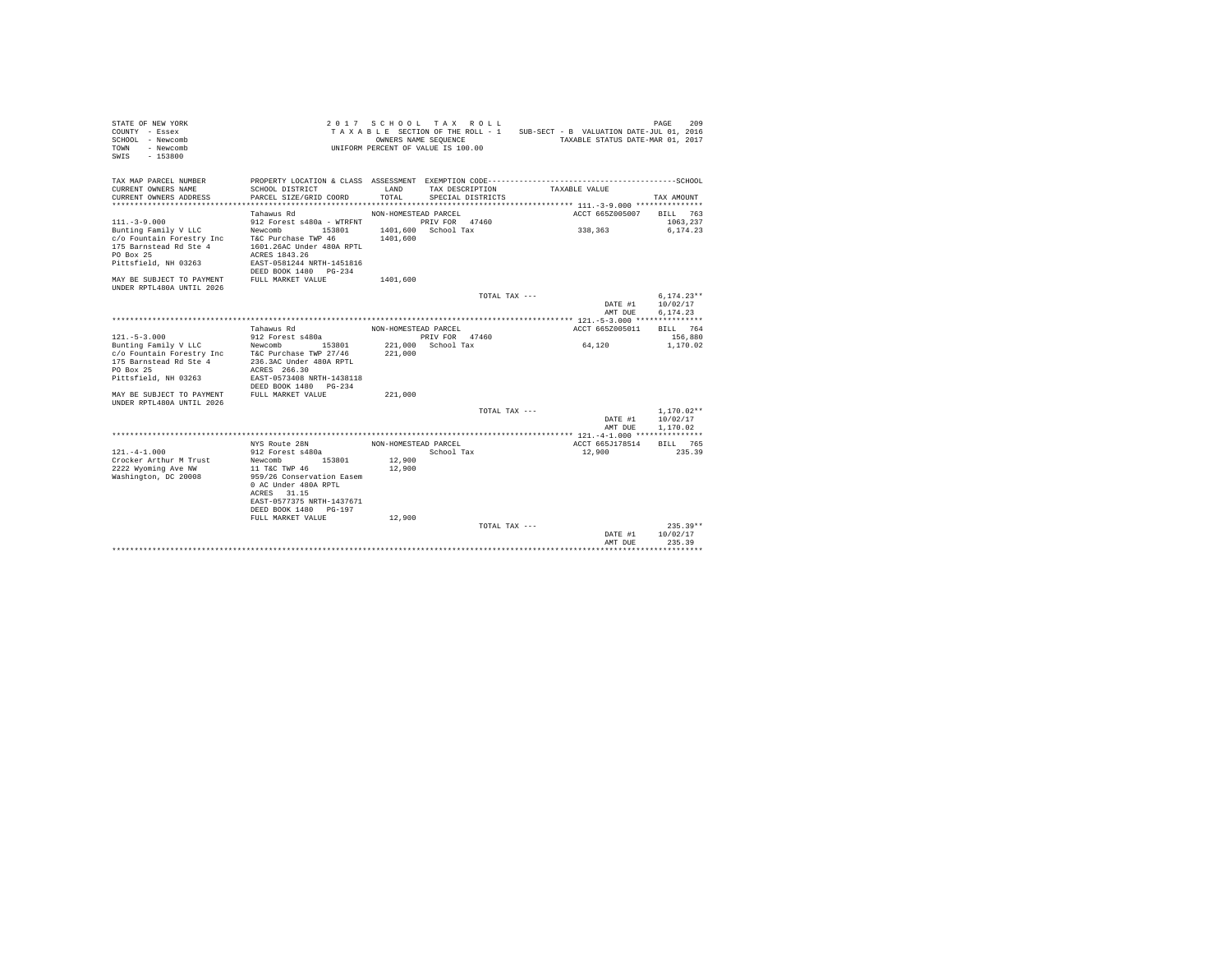| STATE OF NEW YORK<br>COUNTY - Essex<br>SCHOOL - Newcomb<br>- Newcomb<br><b>TOWN</b><br>$-153800$<br>SWIS |                                                                                                              | 2017 SCHOOL TAX ROLL<br>TAXABLE SECTION OF THE ROLL - 1<br>OWNERS NAME SEQUENCE<br>UNIFORM PERCENT OF VALUE IS 100.00 |                                      |               | SUB-SECT - B VALUATION DATE-JUL 01, 2016              |                 | PAGE<br>209<br>TAXABLE STATUS DATE-MAR 01, 2017 |
|----------------------------------------------------------------------------------------------------------|--------------------------------------------------------------------------------------------------------------|-----------------------------------------------------------------------------------------------------------------------|--------------------------------------|---------------|-------------------------------------------------------|-----------------|-------------------------------------------------|
| TAX MAP PARCEL NUMBER<br>CURRENT OWNERS NAME<br>CURRENT OWNERS ADDRESS                                   | PROPERTY LOCATION & CLASS ASSESSMENT EXEMPTION CODE------------<br>SCHOOL DISTRICT<br>PARCEL SIZE/GRID COORD | LAND<br>TOTAL                                                                                                         | TAX DESCRIPTION<br>SPECIAL DISTRICTS |               | ------------------------------SCHOOL<br>TAXABLE VALUE |                 | TAX AMOUNT                                      |
| *************************                                                                                |                                                                                                              |                                                                                                                       |                                      |               |                                                       |                 |                                                 |
|                                                                                                          | Tahawus Rd                                                                                                   | NON-HOMESTEAD PARCEL                                                                                                  |                                      |               |                                                       | ACCT 665Z005007 | 763<br>BILL                                     |
| $111. - 3 - 9.000$                                                                                       | 912 Forest s480a - WTRFNT                                                                                    |                                                                                                                       | PRIV FOR 47460                       |               |                                                       |                 | 1063.237                                        |
| Bunting Family V LLC                                                                                     | Newcomb<br>153801                                                                                            |                                                                                                                       | 1401.600 School Tax                  |               | 338,363                                               |                 | 6.174.23                                        |
| c/o Fountain Forestry Inc                                                                                | T&C Purchase TWP 46                                                                                          | 1401,600                                                                                                              |                                      |               |                                                       |                 |                                                 |
| 175 Barnstead Rd Ste 4                                                                                   | 1601.26AC Under 480A RPTL                                                                                    |                                                                                                                       |                                      |               |                                                       |                 |                                                 |
| PO Box 25                                                                                                | ACRES 1843.26                                                                                                |                                                                                                                       |                                      |               |                                                       |                 |                                                 |
| Pittsfield, NH 03263                                                                                     | EAST-0581244 NRTH-1451816                                                                                    |                                                                                                                       |                                      |               |                                                       |                 |                                                 |
| MAY BE SUBJECT TO PAYMENT                                                                                | DEED BOOK 1480 PG-234<br>FULL MARKET VALUE                                                                   |                                                                                                                       |                                      |               |                                                       |                 |                                                 |
| UNDER RPTL480A UNTIL 2026                                                                                |                                                                                                              | 1401,600                                                                                                              |                                      |               |                                                       |                 |                                                 |
|                                                                                                          |                                                                                                              |                                                                                                                       |                                      | TOTAL TAX --- |                                                       |                 | $6.174.23**$                                    |
|                                                                                                          |                                                                                                              |                                                                                                                       |                                      |               |                                                       | DATE #1         | 10/02/17                                        |
|                                                                                                          |                                                                                                              |                                                                                                                       |                                      |               |                                                       | AMT DUE         | 6.174.23                                        |
|                                                                                                          |                                                                                                              |                                                                                                                       |                                      |               |                                                       |                 |                                                 |
|                                                                                                          | Tahawus Rd                                                                                                   | NON-HOMESTEAD PARCEL                                                                                                  |                                      |               |                                                       | ACCT 665Z005011 | BILL 764                                        |
| $121. - 5 - 3.000$                                                                                       | 912 Forest s480a                                                                                             |                                                                                                                       | PRIV FOR 47460                       |               |                                                       |                 | 156,880                                         |
| Bunting Family V LLC                                                                                     | 153801<br>Newcomb                                                                                            | 221,000                                                                                                               | School Tax                           |               | 64,120                                                |                 | 1,170.02                                        |
| c/o Fountain Forestry Inc                                                                                | T&C Purchase TWP 27/46                                                                                       | 221,000                                                                                                               |                                      |               |                                                       |                 |                                                 |
| 175 Barnstead Rd Ste 4                                                                                   | 236.3AC Under 480A RPTL                                                                                      |                                                                                                                       |                                      |               |                                                       |                 |                                                 |
| PO Box 25                                                                                                | ACRES 266.30                                                                                                 |                                                                                                                       |                                      |               |                                                       |                 |                                                 |
| Pittsfield, NH 03263                                                                                     | EAST-0573408 NRTH-1438118                                                                                    |                                                                                                                       |                                      |               |                                                       |                 |                                                 |
|                                                                                                          | DEED BOOK 1480<br>$PG - 234$                                                                                 |                                                                                                                       |                                      |               |                                                       |                 |                                                 |
| MAY BE SUBJECT TO PAYMENT                                                                                | FULL MARKET VALUE                                                                                            | 221,000                                                                                                               |                                      |               |                                                       |                 |                                                 |
| UNDER RPTL480A UNTIL 2026                                                                                |                                                                                                              |                                                                                                                       |                                      |               |                                                       |                 |                                                 |
|                                                                                                          |                                                                                                              |                                                                                                                       |                                      | TOTAL TAX --- |                                                       |                 | $1.170.02**$                                    |
|                                                                                                          |                                                                                                              |                                                                                                                       |                                      |               |                                                       | DATE #1         | 10/02/17                                        |
|                                                                                                          |                                                                                                              |                                                                                                                       |                                      |               |                                                       | AMT DUE         | 1,170.02                                        |
|                                                                                                          | NYS Route 28N                                                                                                | NON-HOMESTEAD PARCEL                                                                                                  |                                      |               |                                                       | ACCT 665J178514 | 765<br>BILL                                     |
| $121 - 4 - 1.000$                                                                                        | 912 Forest s480a                                                                                             |                                                                                                                       | School Tax                           |               | 12,900                                                |                 | 235.39                                          |
| Crocker Arthur M Trust                                                                                   | 153801<br>Newcomb                                                                                            | 12,900                                                                                                                |                                      |               |                                                       |                 |                                                 |
| 2222 Wyoming Ave NW                                                                                      | 11 T&C TWP 46                                                                                                | 12,900                                                                                                                |                                      |               |                                                       |                 |                                                 |
| Washington, DC 20008                                                                                     | 959/26 Conservation Easem                                                                                    |                                                                                                                       |                                      |               |                                                       |                 |                                                 |
|                                                                                                          | 0 AC Under 480A RPTL                                                                                         |                                                                                                                       |                                      |               |                                                       |                 |                                                 |
|                                                                                                          | 31.15<br>ACRES                                                                                               |                                                                                                                       |                                      |               |                                                       |                 |                                                 |
|                                                                                                          | EAST-0577375 NRTH-1437671                                                                                    |                                                                                                                       |                                      |               |                                                       |                 |                                                 |
|                                                                                                          | DEED BOOK 1480<br>PG-197                                                                                     |                                                                                                                       |                                      |               |                                                       |                 |                                                 |
|                                                                                                          | FULL MARKET VALUE                                                                                            | 12,900                                                                                                                |                                      |               |                                                       |                 |                                                 |
|                                                                                                          |                                                                                                              |                                                                                                                       |                                      | TOTAL TAX --- |                                                       |                 | $235.39**$                                      |
|                                                                                                          |                                                                                                              |                                                                                                                       |                                      |               |                                                       | DATE #1         | 10/02/17                                        |
|                                                                                                          |                                                                                                              |                                                                                                                       |                                      |               |                                                       | AMT DUE         | 235.39                                          |
|                                                                                                          |                                                                                                              |                                                                                                                       |                                      |               |                                                       |                 | .                                               |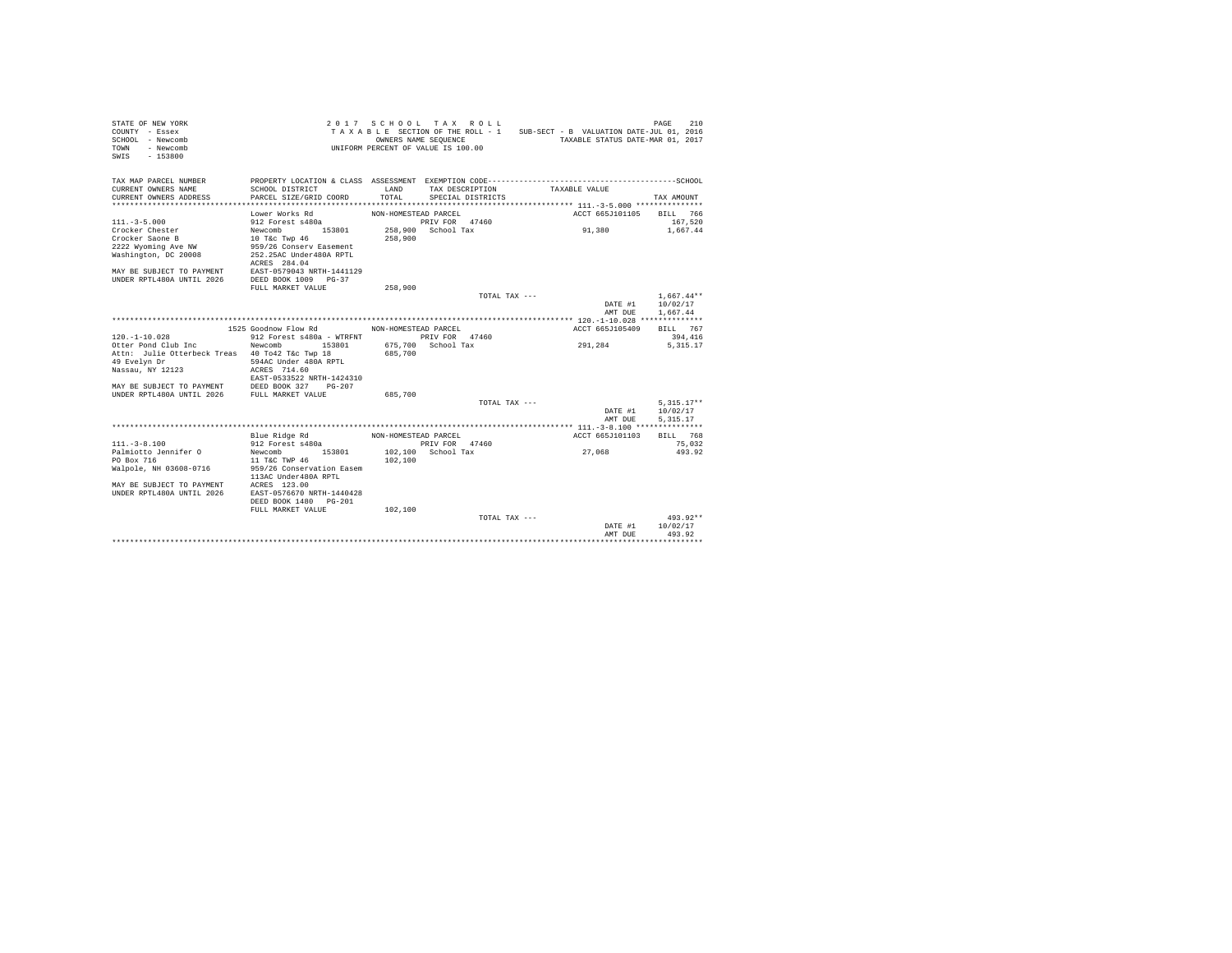| TAX MAP PARCEL NUMBER<br>LAND<br>CURRENT OWNERS NAME<br>SCHOOL DISTRICT<br>TAX DESCRIPTION<br>TAXABLE VALUE<br>TOTAL<br>CURRENT OWNERS ADDRESS<br>PARCEL SIZE/GRID COORD<br>SPECIAL DISTRICTS<br>TAX AMOUNT<br>*************************<br>Lower Works Rd<br>NON-HOMESTEAD PARCEL<br>ACCT 665J101105<br>BILL 766<br>PRIV FOR 47460<br>$111 - 3 - 5.000$<br>912 Forest s480a<br>167.520<br>Crocker Chester<br>258.900 School Tax<br>91,380<br>Newcomb 153801<br>1,667.44<br>Crocker Saone B<br>10 T&c Twp 46<br>258,900<br>959/26 Conserv Easement<br>2222 Wyoming Ave NW<br>Washington, DC 20008<br>252.25AC Under480A RPTL<br>ACRES 284.04<br>MAY BE SUBJECT TO PAYMENT EAST-0579043 NRTH-1441129<br>UNDER RPTL480A UNTIL 2026 DEED BOOK 1009 PG-37<br>FULL MARKET VALUE<br>258,900<br>$1.667.44**$<br>TOTAL TAX $---$<br>10/02/17<br>DATE #1<br>1.667.44<br>AMT DUE<br>1525 Goodnow Flow Rd<br>ACCT 665J105409<br>NON-HOMESTEAD PARCEL<br>BILL 767<br>$120. - 1 - 10.028$<br>912 Forest s480a - WTRFNT PRIV FOR 47460<br>394,416<br>291,284<br>675,700 School Tax<br>Otter Pond Club Inc<br>Newcomb 153801<br>5, 315, 17<br>Attn: Julie Otterbeck Treas 40 To42 T&c Twp 18<br>685,700<br>49 Evelyn Dr<br>594AC Under 480A RPTL<br>Nassau, NY 12123<br>ACRES 714.60<br>EAST-0533522 NRTH-1424310<br>685,700<br>$5.315.17**$<br>TOTAL TAX ---<br>10/02/17<br>DATE #1<br>AMT DUE<br>5.315.17<br>ACCT 665J101103<br>Blue Ridge Rd<br>BILL 768<br>NON-HOMESTEAD PARCEL<br>$111. - 3 - 8.100$<br>PRIV FOR 47460<br>912 Forest s480a<br>75,032<br>27,068<br>Palmiotto Jennifer O<br>Newcomb 153801<br>102.100 School Tax<br>493.92<br>PO Box 716<br>11 T&C TWP 46<br>102,100<br>Walpole, NH 03608-0716<br>959/26 Conservation Easem<br>113AC Under480A RPTL<br>MAY BE SUBJECT TO PAYMENT ACRES 123.00<br>UNDER RPTL480A UNTIL 2026 EAST-0576670 P<br>EAST-0576670 NRTH-1440428<br>DEED BOOK 1480 PG-201<br>FULL MARKET VALUE<br>102,100<br>TOTAL TAX ---<br>$493.92**$<br>10/02/17<br>DATE #1<br>AMT DUE<br>493.92 | STATE OF NEW YORK<br>COUNTY - Essex<br>SCHOOL - Newcomb<br>- Newcomb<br>TOWN<br>$SWTS = 153800$ | OWNERS NAME SEQUENCE | 2017 SCHOOL TAX ROLL<br>UNIFORM PERCENT OF VALUE IS 100.00 | TAXABLE SECTION OF THE ROLL - 1 SUB-SECT - B VALUATION DATE-JUL 01, 2016<br>TAXABLE STATUS DATE-MAR 01, 2017 | 210<br>PAGE |
|----------------------------------------------------------------------------------------------------------------------------------------------------------------------------------------------------------------------------------------------------------------------------------------------------------------------------------------------------------------------------------------------------------------------------------------------------------------------------------------------------------------------------------------------------------------------------------------------------------------------------------------------------------------------------------------------------------------------------------------------------------------------------------------------------------------------------------------------------------------------------------------------------------------------------------------------------------------------------------------------------------------------------------------------------------------------------------------------------------------------------------------------------------------------------------------------------------------------------------------------------------------------------------------------------------------------------------------------------------------------------------------------------------------------------------------------------------------------------------------------------------------------------------------------------------------------------------------------------------------------------------------------------------------------------------------------------------------------------------------------------------------------------------------------------------------------------------------------------------------------------------------------------------------------------------------------------------------------------------------------------------------|-------------------------------------------------------------------------------------------------|----------------------|------------------------------------------------------------|--------------------------------------------------------------------------------------------------------------|-------------|
|                                                                                                                                                                                                                                                                                                                                                                                                                                                                                                                                                                                                                                                                                                                                                                                                                                                                                                                                                                                                                                                                                                                                                                                                                                                                                                                                                                                                                                                                                                                                                                                                                                                                                                                                                                                                                                                                                                                                                                                                                |                                                                                                 |                      |                                                            |                                                                                                              |             |
|                                                                                                                                                                                                                                                                                                                                                                                                                                                                                                                                                                                                                                                                                                                                                                                                                                                                                                                                                                                                                                                                                                                                                                                                                                                                                                                                                                                                                                                                                                                                                                                                                                                                                                                                                                                                                                                                                                                                                                                                                |                                                                                                 |                      |                                                            |                                                                                                              |             |
|                                                                                                                                                                                                                                                                                                                                                                                                                                                                                                                                                                                                                                                                                                                                                                                                                                                                                                                                                                                                                                                                                                                                                                                                                                                                                                                                                                                                                                                                                                                                                                                                                                                                                                                                                                                                                                                                                                                                                                                                                |                                                                                                 |                      |                                                            |                                                                                                              |             |
|                                                                                                                                                                                                                                                                                                                                                                                                                                                                                                                                                                                                                                                                                                                                                                                                                                                                                                                                                                                                                                                                                                                                                                                                                                                                                                                                                                                                                                                                                                                                                                                                                                                                                                                                                                                                                                                                                                                                                                                                                |                                                                                                 |                      |                                                            |                                                                                                              |             |
|                                                                                                                                                                                                                                                                                                                                                                                                                                                                                                                                                                                                                                                                                                                                                                                                                                                                                                                                                                                                                                                                                                                                                                                                                                                                                                                                                                                                                                                                                                                                                                                                                                                                                                                                                                                                                                                                                                                                                                                                                |                                                                                                 |                      |                                                            |                                                                                                              |             |
|                                                                                                                                                                                                                                                                                                                                                                                                                                                                                                                                                                                                                                                                                                                                                                                                                                                                                                                                                                                                                                                                                                                                                                                                                                                                                                                                                                                                                                                                                                                                                                                                                                                                                                                                                                                                                                                                                                                                                                                                                |                                                                                                 |                      |                                                            |                                                                                                              |             |
|                                                                                                                                                                                                                                                                                                                                                                                                                                                                                                                                                                                                                                                                                                                                                                                                                                                                                                                                                                                                                                                                                                                                                                                                                                                                                                                                                                                                                                                                                                                                                                                                                                                                                                                                                                                                                                                                                                                                                                                                                |                                                                                                 |                      |                                                            |                                                                                                              |             |
|                                                                                                                                                                                                                                                                                                                                                                                                                                                                                                                                                                                                                                                                                                                                                                                                                                                                                                                                                                                                                                                                                                                                                                                                                                                                                                                                                                                                                                                                                                                                                                                                                                                                                                                                                                                                                                                                                                                                                                                                                |                                                                                                 |                      |                                                            |                                                                                                              |             |
|                                                                                                                                                                                                                                                                                                                                                                                                                                                                                                                                                                                                                                                                                                                                                                                                                                                                                                                                                                                                                                                                                                                                                                                                                                                                                                                                                                                                                                                                                                                                                                                                                                                                                                                                                                                                                                                                                                                                                                                                                |                                                                                                 |                      |                                                            |                                                                                                              |             |
|                                                                                                                                                                                                                                                                                                                                                                                                                                                                                                                                                                                                                                                                                                                                                                                                                                                                                                                                                                                                                                                                                                                                                                                                                                                                                                                                                                                                                                                                                                                                                                                                                                                                                                                                                                                                                                                                                                                                                                                                                |                                                                                                 |                      |                                                            |                                                                                                              |             |
|                                                                                                                                                                                                                                                                                                                                                                                                                                                                                                                                                                                                                                                                                                                                                                                                                                                                                                                                                                                                                                                                                                                                                                                                                                                                                                                                                                                                                                                                                                                                                                                                                                                                                                                                                                                                                                                                                                                                                                                                                |                                                                                                 |                      |                                                            |                                                                                                              |             |
|                                                                                                                                                                                                                                                                                                                                                                                                                                                                                                                                                                                                                                                                                                                                                                                                                                                                                                                                                                                                                                                                                                                                                                                                                                                                                                                                                                                                                                                                                                                                                                                                                                                                                                                                                                                                                                                                                                                                                                                                                |                                                                                                 |                      |                                                            |                                                                                                              |             |
|                                                                                                                                                                                                                                                                                                                                                                                                                                                                                                                                                                                                                                                                                                                                                                                                                                                                                                                                                                                                                                                                                                                                                                                                                                                                                                                                                                                                                                                                                                                                                                                                                                                                                                                                                                                                                                                                                                                                                                                                                |                                                                                                 |                      |                                                            |                                                                                                              |             |
|                                                                                                                                                                                                                                                                                                                                                                                                                                                                                                                                                                                                                                                                                                                                                                                                                                                                                                                                                                                                                                                                                                                                                                                                                                                                                                                                                                                                                                                                                                                                                                                                                                                                                                                                                                                                                                                                                                                                                                                                                |                                                                                                 |                      |                                                            |                                                                                                              |             |
|                                                                                                                                                                                                                                                                                                                                                                                                                                                                                                                                                                                                                                                                                                                                                                                                                                                                                                                                                                                                                                                                                                                                                                                                                                                                                                                                                                                                                                                                                                                                                                                                                                                                                                                                                                                                                                                                                                                                                                                                                |                                                                                                 |                      |                                                            |                                                                                                              |             |
|                                                                                                                                                                                                                                                                                                                                                                                                                                                                                                                                                                                                                                                                                                                                                                                                                                                                                                                                                                                                                                                                                                                                                                                                                                                                                                                                                                                                                                                                                                                                                                                                                                                                                                                                                                                                                                                                                                                                                                                                                |                                                                                                 |                      |                                                            |                                                                                                              |             |
|                                                                                                                                                                                                                                                                                                                                                                                                                                                                                                                                                                                                                                                                                                                                                                                                                                                                                                                                                                                                                                                                                                                                                                                                                                                                                                                                                                                                                                                                                                                                                                                                                                                                                                                                                                                                                                                                                                                                                                                                                |                                                                                                 |                      |                                                            |                                                                                                              |             |
|                                                                                                                                                                                                                                                                                                                                                                                                                                                                                                                                                                                                                                                                                                                                                                                                                                                                                                                                                                                                                                                                                                                                                                                                                                                                                                                                                                                                                                                                                                                                                                                                                                                                                                                                                                                                                                                                                                                                                                                                                |                                                                                                 |                      |                                                            |                                                                                                              |             |
|                                                                                                                                                                                                                                                                                                                                                                                                                                                                                                                                                                                                                                                                                                                                                                                                                                                                                                                                                                                                                                                                                                                                                                                                                                                                                                                                                                                                                                                                                                                                                                                                                                                                                                                                                                                                                                                                                                                                                                                                                |                                                                                                 |                      |                                                            |                                                                                                              |             |
|                                                                                                                                                                                                                                                                                                                                                                                                                                                                                                                                                                                                                                                                                                                                                                                                                                                                                                                                                                                                                                                                                                                                                                                                                                                                                                                                                                                                                                                                                                                                                                                                                                                                                                                                                                                                                                                                                                                                                                                                                |                                                                                                 |                      |                                                            |                                                                                                              |             |
|                                                                                                                                                                                                                                                                                                                                                                                                                                                                                                                                                                                                                                                                                                                                                                                                                                                                                                                                                                                                                                                                                                                                                                                                                                                                                                                                                                                                                                                                                                                                                                                                                                                                                                                                                                                                                                                                                                                                                                                                                |                                                                                                 |                      |                                                            |                                                                                                              |             |
|                                                                                                                                                                                                                                                                                                                                                                                                                                                                                                                                                                                                                                                                                                                                                                                                                                                                                                                                                                                                                                                                                                                                                                                                                                                                                                                                                                                                                                                                                                                                                                                                                                                                                                                                                                                                                                                                                                                                                                                                                |                                                                                                 |                      |                                                            |                                                                                                              |             |
|                                                                                                                                                                                                                                                                                                                                                                                                                                                                                                                                                                                                                                                                                                                                                                                                                                                                                                                                                                                                                                                                                                                                                                                                                                                                                                                                                                                                                                                                                                                                                                                                                                                                                                                                                                                                                                                                                                                                                                                                                |                                                                                                 |                      |                                                            |                                                                                                              |             |
|                                                                                                                                                                                                                                                                                                                                                                                                                                                                                                                                                                                                                                                                                                                                                                                                                                                                                                                                                                                                                                                                                                                                                                                                                                                                                                                                                                                                                                                                                                                                                                                                                                                                                                                                                                                                                                                                                                                                                                                                                |                                                                                                 |                      |                                                            |                                                                                                              |             |
|                                                                                                                                                                                                                                                                                                                                                                                                                                                                                                                                                                                                                                                                                                                                                                                                                                                                                                                                                                                                                                                                                                                                                                                                                                                                                                                                                                                                                                                                                                                                                                                                                                                                                                                                                                                                                                                                                                                                                                                                                |                                                                                                 |                      |                                                            |                                                                                                              |             |
|                                                                                                                                                                                                                                                                                                                                                                                                                                                                                                                                                                                                                                                                                                                                                                                                                                                                                                                                                                                                                                                                                                                                                                                                                                                                                                                                                                                                                                                                                                                                                                                                                                                                                                                                                                                                                                                                                                                                                                                                                |                                                                                                 |                      |                                                            |                                                                                                              |             |
|                                                                                                                                                                                                                                                                                                                                                                                                                                                                                                                                                                                                                                                                                                                                                                                                                                                                                                                                                                                                                                                                                                                                                                                                                                                                                                                                                                                                                                                                                                                                                                                                                                                                                                                                                                                                                                                                                                                                                                                                                |                                                                                                 |                      |                                                            |                                                                                                              |             |
|                                                                                                                                                                                                                                                                                                                                                                                                                                                                                                                                                                                                                                                                                                                                                                                                                                                                                                                                                                                                                                                                                                                                                                                                                                                                                                                                                                                                                                                                                                                                                                                                                                                                                                                                                                                                                                                                                                                                                                                                                |                                                                                                 |                      |                                                            |                                                                                                              |             |
|                                                                                                                                                                                                                                                                                                                                                                                                                                                                                                                                                                                                                                                                                                                                                                                                                                                                                                                                                                                                                                                                                                                                                                                                                                                                                                                                                                                                                                                                                                                                                                                                                                                                                                                                                                                                                                                                                                                                                                                                                |                                                                                                 |                      |                                                            |                                                                                                              |             |
|                                                                                                                                                                                                                                                                                                                                                                                                                                                                                                                                                                                                                                                                                                                                                                                                                                                                                                                                                                                                                                                                                                                                                                                                                                                                                                                                                                                                                                                                                                                                                                                                                                                                                                                                                                                                                                                                                                                                                                                                                |                                                                                                 |                      |                                                            |                                                                                                              |             |
|                                                                                                                                                                                                                                                                                                                                                                                                                                                                                                                                                                                                                                                                                                                                                                                                                                                                                                                                                                                                                                                                                                                                                                                                                                                                                                                                                                                                                                                                                                                                                                                                                                                                                                                                                                                                                                                                                                                                                                                                                |                                                                                                 |                      |                                                            |                                                                                                              |             |
|                                                                                                                                                                                                                                                                                                                                                                                                                                                                                                                                                                                                                                                                                                                                                                                                                                                                                                                                                                                                                                                                                                                                                                                                                                                                                                                                                                                                                                                                                                                                                                                                                                                                                                                                                                                                                                                                                                                                                                                                                |                                                                                                 |                      |                                                            |                                                                                                              |             |
|                                                                                                                                                                                                                                                                                                                                                                                                                                                                                                                                                                                                                                                                                                                                                                                                                                                                                                                                                                                                                                                                                                                                                                                                                                                                                                                                                                                                                                                                                                                                                                                                                                                                                                                                                                                                                                                                                                                                                                                                                |                                                                                                 |                      |                                                            |                                                                                                              |             |
|                                                                                                                                                                                                                                                                                                                                                                                                                                                                                                                                                                                                                                                                                                                                                                                                                                                                                                                                                                                                                                                                                                                                                                                                                                                                                                                                                                                                                                                                                                                                                                                                                                                                                                                                                                                                                                                                                                                                                                                                                |                                                                                                 |                      |                                                            |                                                                                                              |             |
|                                                                                                                                                                                                                                                                                                                                                                                                                                                                                                                                                                                                                                                                                                                                                                                                                                                                                                                                                                                                                                                                                                                                                                                                                                                                                                                                                                                                                                                                                                                                                                                                                                                                                                                                                                                                                                                                                                                                                                                                                |                                                                                                 |                      |                                                            |                                                                                                              |             |
|                                                                                                                                                                                                                                                                                                                                                                                                                                                                                                                                                                                                                                                                                                                                                                                                                                                                                                                                                                                                                                                                                                                                                                                                                                                                                                                                                                                                                                                                                                                                                                                                                                                                                                                                                                                                                                                                                                                                                                                                                |                                                                                                 |                      |                                                            |                                                                                                              |             |
|                                                                                                                                                                                                                                                                                                                                                                                                                                                                                                                                                                                                                                                                                                                                                                                                                                                                                                                                                                                                                                                                                                                                                                                                                                                                                                                                                                                                                                                                                                                                                                                                                                                                                                                                                                                                                                                                                                                                                                                                                |                                                                                                 |                      |                                                            |                                                                                                              |             |
|                                                                                                                                                                                                                                                                                                                                                                                                                                                                                                                                                                                                                                                                                                                                                                                                                                                                                                                                                                                                                                                                                                                                                                                                                                                                                                                                                                                                                                                                                                                                                                                                                                                                                                                                                                                                                                                                                                                                                                                                                |                                                                                                 |                      |                                                            |                                                                                                              |             |
|                                                                                                                                                                                                                                                                                                                                                                                                                                                                                                                                                                                                                                                                                                                                                                                                                                                                                                                                                                                                                                                                                                                                                                                                                                                                                                                                                                                                                                                                                                                                                                                                                                                                                                                                                                                                                                                                                                                                                                                                                |                                                                                                 |                      |                                                            |                                                                                                              |             |
|                                                                                                                                                                                                                                                                                                                                                                                                                                                                                                                                                                                                                                                                                                                                                                                                                                                                                                                                                                                                                                                                                                                                                                                                                                                                                                                                                                                                                                                                                                                                                                                                                                                                                                                                                                                                                                                                                                                                                                                                                |                                                                                                 |                      |                                                            |                                                                                                              |             |
|                                                                                                                                                                                                                                                                                                                                                                                                                                                                                                                                                                                                                                                                                                                                                                                                                                                                                                                                                                                                                                                                                                                                                                                                                                                                                                                                                                                                                                                                                                                                                                                                                                                                                                                                                                                                                                                                                                                                                                                                                |                                                                                                 |                      |                                                            |                                                                                                              |             |
|                                                                                                                                                                                                                                                                                                                                                                                                                                                                                                                                                                                                                                                                                                                                                                                                                                                                                                                                                                                                                                                                                                                                                                                                                                                                                                                                                                                                                                                                                                                                                                                                                                                                                                                                                                                                                                                                                                                                                                                                                |                                                                                                 |                      |                                                            |                                                                                                              |             |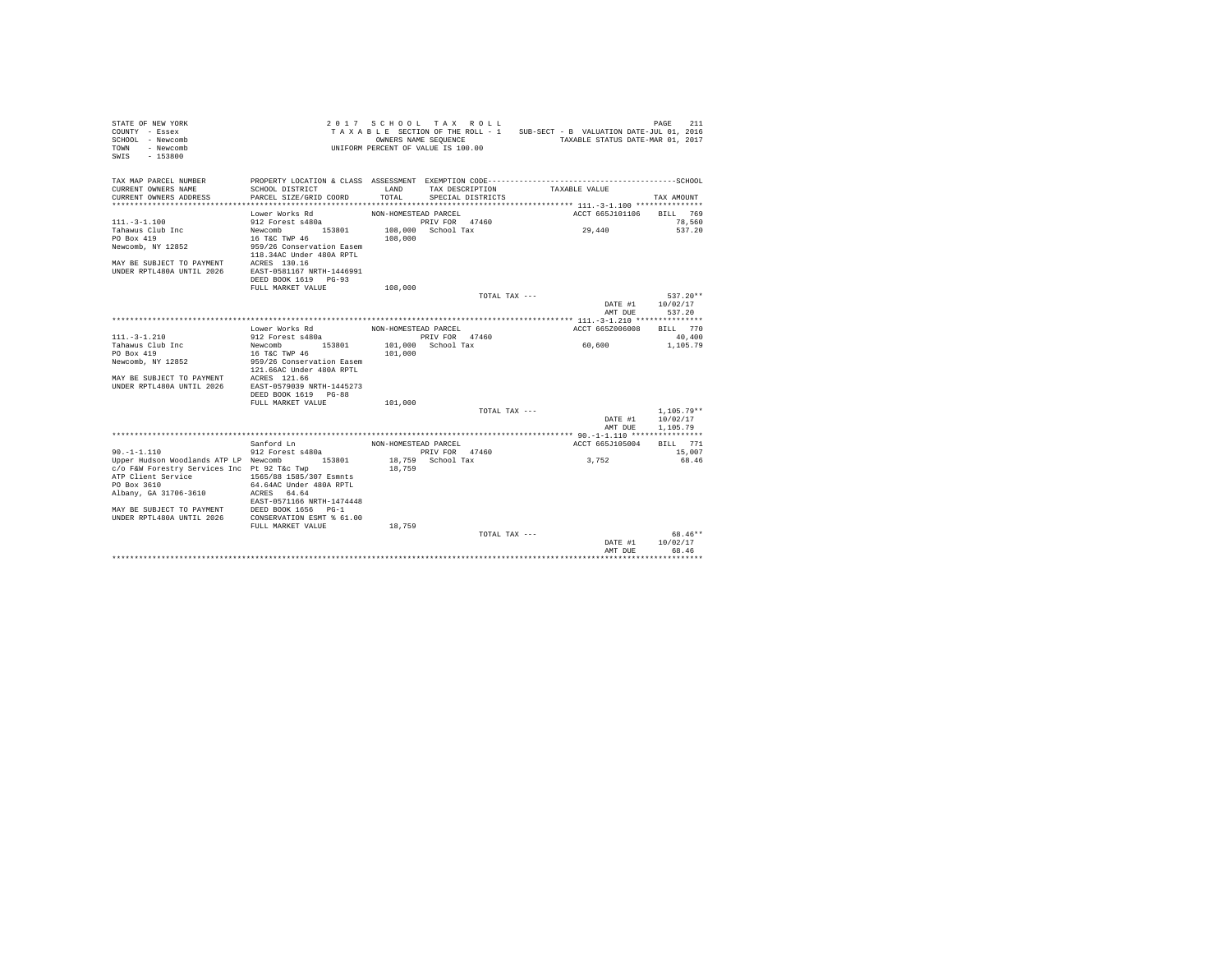| STATE OF NEW YORK<br>COUNTY - Essex<br>SCHOOL - Newcomb<br>- Newcomb<br>TOWN<br>$-153800$<br>SWIS |                                                       |                      | 2017 SCHOOL TAX ROLL<br>OWNERS NAME SEQUENCE<br>UNIFORM PERCENT OF VALUE IS 100.00 | TAXABLE SECTION OF THE ROLL - 1 SUB-SECT - B VALUATION DATE-JUL 01, 2016<br>TAXABLE STATUS DATE-MAR 01, 2017 | PAGE<br>211  |
|---------------------------------------------------------------------------------------------------|-------------------------------------------------------|----------------------|------------------------------------------------------------------------------------|--------------------------------------------------------------------------------------------------------------|--------------|
| TAX MAP PARCEL NUMBER                                                                             |                                                       |                      |                                                                                    |                                                                                                              |              |
| CURRENT OWNERS NAME<br>CURRENT OWNERS ADDRESS                                                     | SCHOOL DISTRICT<br>PARCEL SIZE/GRID COORD             | LAND<br>TOTAL.       | TAX DESCRIPTION<br>SPECIAL DISTRICTS                                               | TAXABLE VALUE                                                                                                | TAX AMOUNT   |
|                                                                                                   |                                                       |                      |                                                                                    |                                                                                                              |              |
|                                                                                                   | Lower Works Rd                                        | NON-HOMESTEAD PARCEL |                                                                                    | ACCT 665J101106                                                                                              | BILL 769     |
| $111 - 3 - 1.100$                                                                                 | 912 Forest s480a                                      |                      | PRIV FOR 47460                                                                     |                                                                                                              | 78,560       |
| Tahawus Club Inc                                                                                  | Newcomb 153801                                        |                      | 108,000 School Tax                                                                 | 29,440                                                                                                       | 537.20       |
| PO Box 419                                                                                        | 16 T&C TWP 46                                         | 108,000              |                                                                                    |                                                                                                              |              |
| Newcomb, NY 12852                                                                                 | 959/26 Conservation Easem<br>118.34AC Under 480A RPTL |                      |                                                                                    |                                                                                                              |              |
|                                                                                                   |                                                       |                      |                                                                                    |                                                                                                              |              |
| MAY BE SUBJECT TO PAYMENT ACRES 130.16<br>UNDER RPTL480A UNTIL 2026 EAST-0581167 NRTH-1446991     |                                                       |                      |                                                                                    |                                                                                                              |              |
|                                                                                                   | DEED BOOK 1619 PG-93                                  |                      |                                                                                    |                                                                                                              |              |
|                                                                                                   | FULL MARKET VALUE                                     | 108,000              |                                                                                    |                                                                                                              |              |
|                                                                                                   |                                                       |                      | TOTAL TAX ---                                                                      |                                                                                                              | $537.20**$   |
|                                                                                                   |                                                       |                      |                                                                                    | DATE #1                                                                                                      | 10/02/17     |
|                                                                                                   |                                                       |                      |                                                                                    | AMT DUE                                                                                                      | 537.20       |
|                                                                                                   |                                                       |                      |                                                                                    |                                                                                                              |              |
|                                                                                                   | Lower Works Rd                                        | NON-HOMESTEAD PARCEL |                                                                                    | ACCT 665Z006008                                                                                              | BILL 770     |
| $111. - 3 - 1.210$                                                                                | 912 Forest s480a                                      |                      | PRIV FOR 47460                                                                     |                                                                                                              | 40,400       |
| Tahawus Club Inc                                                                                  | Newcomb 153801                                        |                      | 101,000 School Tax                                                                 | 60,600                                                                                                       | 1,105.79     |
| PO Box 419                                                                                        | 16 T&C TWP 46                                         | 101,000              |                                                                                    |                                                                                                              |              |
| Newcomb, NY 12852                                                                                 | 959/26 Conservation Easem<br>121.66AC Under 480A RPTL |                      |                                                                                    |                                                                                                              |              |
| MAY BE SUBJECT TO PAYMENT ACRES 121.66                                                            |                                                       |                      |                                                                                    |                                                                                                              |              |
| UNDER RPTL480A UNTIL 2026                                                                         | EAST-0579039 NRTH-1445273                             |                      |                                                                                    |                                                                                                              |              |
|                                                                                                   | DEED BOOK 1619 PG-88                                  |                      |                                                                                    |                                                                                                              |              |
|                                                                                                   | FULL MARKET VALUE                                     | 101,000              |                                                                                    |                                                                                                              |              |
|                                                                                                   |                                                       |                      | TOTAL TAX ---                                                                      |                                                                                                              | $1.105.79**$ |
|                                                                                                   |                                                       |                      |                                                                                    | DATE #1                                                                                                      | 10/02/17     |
|                                                                                                   |                                                       |                      |                                                                                    | AMT DUE                                                                                                      | 1,105.79     |
|                                                                                                   |                                                       |                      |                                                                                    |                                                                                                              |              |
|                                                                                                   | Sanford Ln                                            | NON-HOMESTEAD PARCEL |                                                                                    | ACCT 665J105004                                                                                              | BILL 771     |
| $90. -1 - 1.110$                                                                                  | 912 Forest s480a                                      |                      | PRIV FOR 47460                                                                     |                                                                                                              | 15,007       |
| Upper Hudson Woodlands ATP LP Newcomb                                                             | 153801                                                |                      | 18,759 School Tax                                                                  | 3,752                                                                                                        | 68.46        |
| c/o F&W Forestry Services Inc Pt 92 T&c Twp<br>ATP Client Service                                 | 1565/88 1585/307 Esmnts                               | 18,759               |                                                                                    |                                                                                                              |              |
| PO Box 3610                                                                                       | 64.64AC Under 480A RPTL                               |                      |                                                                                    |                                                                                                              |              |
| Albany, GA 31706-3610                                                                             | ACRES 64.64                                           |                      |                                                                                    |                                                                                                              |              |
|                                                                                                   | EAST-0571166 NRTH-1474448                             |                      |                                                                                    |                                                                                                              |              |
| MAY BE SUBJECT TO PAYMENT DEED BOOK 1656 PG-1                                                     |                                                       |                      |                                                                                    |                                                                                                              |              |
| UNDER RPTL480A UNTIL 2026 CONSERVATION ESMT % 61.00                                               |                                                       |                      |                                                                                    |                                                                                                              |              |
|                                                                                                   | FULL MARKET VALUE                                     | 18,759               |                                                                                    |                                                                                                              |              |
|                                                                                                   |                                                       |                      | TOTAL TAX ---                                                                      |                                                                                                              | 68.46**      |
|                                                                                                   |                                                       |                      |                                                                                    | DATE #1                                                                                                      | 10/02/17     |
|                                                                                                   |                                                       |                      |                                                                                    | AMT DUE                                                                                                      | 68.46        |
|                                                                                                   |                                                       |                      |                                                                                    |                                                                                                              | *******      |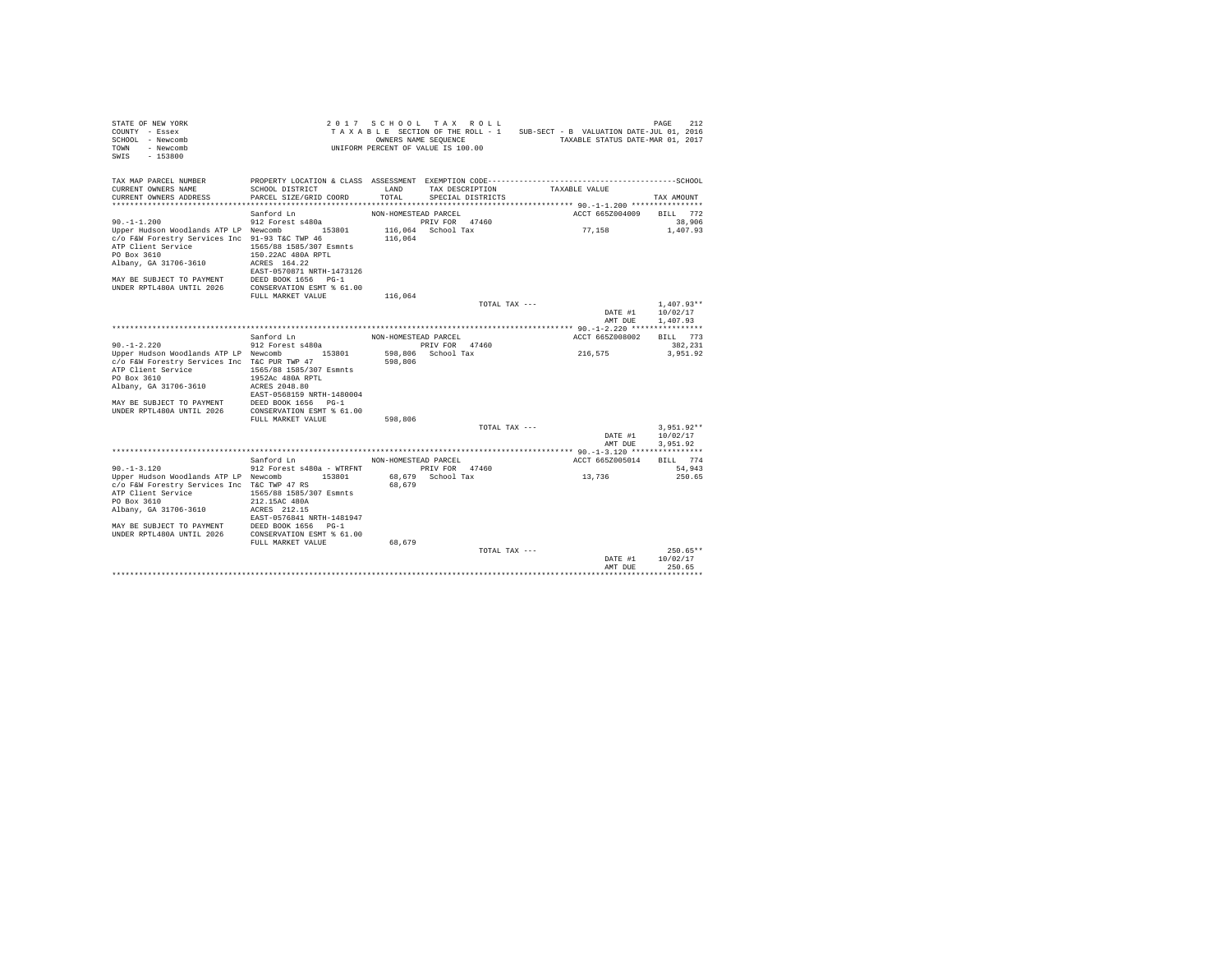| STATE OF NEW YORK<br>COUNTY - Essex<br>SCHOOL - Newcomb<br>- Newcomb<br>TOWN<br>SWTS<br>$-153800$ |                                                                   |                      | 2017 SCHOOL TAX ROLL<br>OWNERS NAME SEQUENCE<br>UNIFORM PERCENT OF VALUE IS 100.00 | TAXABLE SECTION OF THE ROLL - 1 SUB-SECT - B VALUATION DATE-JUL 01, 2016 | 212<br>PAGE<br>TAXABLE STATUS DATE-MAR 01, 2017 |  |
|---------------------------------------------------------------------------------------------------|-------------------------------------------------------------------|----------------------|------------------------------------------------------------------------------------|--------------------------------------------------------------------------|-------------------------------------------------|--|
| TAX MAP PARCEL NUMBER                                                                             | PROPERTY LOCATION & CLASS ASSESSMENT EXEMPTION CODE-------------- |                      |                                                                                    |                                                                          | ---------------------------SCHOOL               |  |
| CURRENT OWNERS NAME<br>CURRENT OWNERS ADDRESS                                                     | SCHOOL DISTRICT<br>PARCEL SIZE/GRID COORD                         | T.AND<br>TOTAL       | TAX DESCRIPTION<br>SPECIAL DISTRICTS                                               | TAXABLE VALUE                                                            | TAX AMOUNT                                      |  |
|                                                                                                   |                                                                   |                      |                                                                                    |                                                                          |                                                 |  |
|                                                                                                   | Sanford Ln                                                        | NON-HOMESTEAD PARCEL |                                                                                    | ACCT 665Z004009                                                          | BTLL 772                                        |  |
| $90. -1 - 1.200$                                                                                  | 912 Forest s480a                                                  |                      | PRIV FOR 47460                                                                     |                                                                          | 38,906                                          |  |
| Upper Hudson Woodlands ATP LP Newcomb 153801                                                      |                                                                   |                      | 116,064 School Tax                                                                 | 77,158                                                                   | 1,407.93                                        |  |
| c/o F&W Forestry Services Inc 91-93 T&C TWP 46<br>ATP Client Service                              | 1565/88 1585/307 Esmnts                                           | 116,064              |                                                                                    |                                                                          |                                                 |  |
| PO Box 3610                                                                                       | 150.22AC 480A RPTL                                                |                      |                                                                                    |                                                                          |                                                 |  |
| Albany, GA 31706-3610                                                                             | ACRES 164.22                                                      |                      |                                                                                    |                                                                          |                                                 |  |
|                                                                                                   | EAST-0570871 NRTH-1473126                                         |                      |                                                                                    |                                                                          |                                                 |  |
| MAY BE SUBJECT TO PAYMENT                                                                         | DEED BOOK 1656 PG-1                                               |                      |                                                                                    |                                                                          |                                                 |  |
| UNDER RPTL480A UNTIL 2026                                                                         | CONSERVATION ESMT % 61.00                                         |                      |                                                                                    |                                                                          |                                                 |  |
|                                                                                                   | FULL MARKET VALUE                                                 | 116,064              | TOTAL TAX ---                                                                      |                                                                          | $1.407.93**$                                    |  |
|                                                                                                   |                                                                   |                      |                                                                                    |                                                                          | 10/02/17<br>DATE #1                             |  |
|                                                                                                   |                                                                   |                      |                                                                                    |                                                                          | AMT DUE<br>1,407.93                             |  |
|                                                                                                   |                                                                   |                      |                                                                                    |                                                                          |                                                 |  |
|                                                                                                   | Sanford Ln                                                        | NON-HOMESTEAD PARCEL |                                                                                    | ACCT 665Z008002                                                          | BILL 773                                        |  |
| $90. -1 - 2.220$                                                                                  | 912 Forest s480a                                                  |                      | PRIV FOR 47460                                                                     |                                                                          | 382,231                                         |  |
| Upper Hudson Woodlands ATP LP Newcomb 153801                                                      |                                                                   |                      | 598.806 School Tax                                                                 | 216.575                                                                  | 3.951.92                                        |  |
| c/o F&W Forestry Services Inc T&C PUR TWP 47                                                      |                                                                   | 598,806              |                                                                                    |                                                                          |                                                 |  |
| ATP Client Service<br>PO Box 3610                                                                 | 1565/88 1585/307 Esmnts<br>1952Ac 480A RPTL                       |                      |                                                                                    |                                                                          |                                                 |  |
| Albany, GA 31706-3610                                                                             | ACRES 2048.80                                                     |                      |                                                                                    |                                                                          |                                                 |  |
|                                                                                                   | EAST-0568159 NRTH-1480004                                         |                      |                                                                                    |                                                                          |                                                 |  |
| MAY BE SUBJECT TO PAYMENT                                                                         | DEED BOOK 1656 PG-1                                               |                      |                                                                                    |                                                                          |                                                 |  |
| UNDER RPTL480A UNTIL 2026                                                                         | CONSERVATION ESMT % 61.00                                         |                      |                                                                                    |                                                                          |                                                 |  |
|                                                                                                   | FULL MARKET VALUE                                                 | 598,806              |                                                                                    |                                                                          |                                                 |  |
|                                                                                                   |                                                                   |                      | TOTAL TAX ---                                                                      |                                                                          | $3.951.92**$                                    |  |
|                                                                                                   |                                                                   |                      |                                                                                    |                                                                          | DATE #1<br>10/02/17<br>AMT DUE<br>3,951.92      |  |
|                                                                                                   |                                                                   |                      |                                                                                    |                                                                          |                                                 |  |
|                                                                                                   | Sanford Ln                                                        | NON-HOMESTEAD PARCEL |                                                                                    | ACCT 665Z005014                                                          | <b>BTLL</b> 774                                 |  |
| $90. -1 - 3.120$                                                                                  | 912 Forest s480a - WTRFNT                                         |                      | PRIV FOR 47460                                                                     |                                                                          | 54.943                                          |  |
| Upper Hudson Woodlands ATP LP Newcomb                                                             | 153801                                                            |                      | 68,679 School Tax                                                                  | 13,736                                                                   | 250.65                                          |  |
| c/o F&W Forestry Services Inc T&C TWP 47 RS                                                       |                                                                   | 68,679               |                                                                                    |                                                                          |                                                 |  |
| ATP Client Service                                                                                | 1565/88 1585/307 Esmnts                                           |                      |                                                                                    |                                                                          |                                                 |  |
| PO Box 3610<br>Albany, GA 31706-3610                                                              | 212.15AC 480A<br>ACRES 212.15                                     |                      |                                                                                    |                                                                          |                                                 |  |
|                                                                                                   | EAST-0576841 NRTH-1481947                                         |                      |                                                                                    |                                                                          |                                                 |  |
| MAY BE SUBJECT TO PAYMENT                                                                         | DEED BOOK 1656 PG-1                                               |                      |                                                                                    |                                                                          |                                                 |  |
| UNDER RPTL480A UNTIL 2026                                                                         | CONSERVATION ESMT % 61.00                                         |                      |                                                                                    |                                                                          |                                                 |  |
|                                                                                                   | FULL MARKET VALUE                                                 | 68,679               |                                                                                    |                                                                          |                                                 |  |
|                                                                                                   |                                                                   |                      | TOTAL TAX ---                                                                      |                                                                          | $250.65**$                                      |  |
|                                                                                                   |                                                                   |                      |                                                                                    |                                                                          | 10/02/17<br>DATE #1                             |  |
|                                                                                                   |                                                                   |                      |                                                                                    |                                                                          | 250.65<br>AMT DUE                               |  |
|                                                                                                   |                                                                   |                      |                                                                                    |                                                                          |                                                 |  |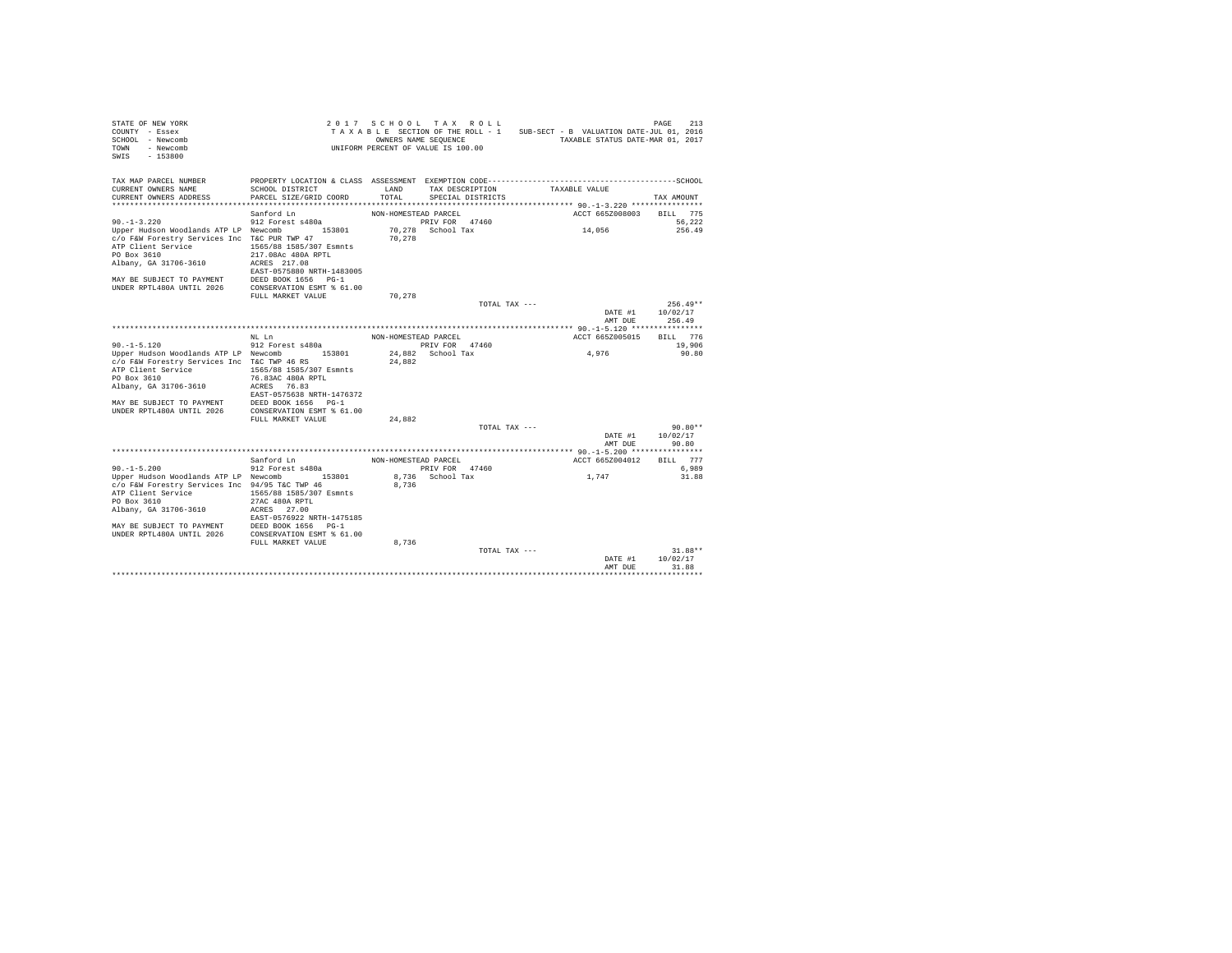| STATE OF NEW YORK<br>COUNTY - Essex<br>SCHOOL - Newcomb<br>- Newcomb<br>TOWN<br>$-153800$<br>SWIS |                             | 2017 SCHOOL TAX ROLL<br>TAXABLE SECTION OF THE ROLL - 1<br>OWNERS NAME SEOUENCE<br>UNIFORM PERCENT OF VALUE IS 100.00 |                                     |               | SUB-SECT - B VALUATION DATE-JUL 01, 2016<br>TAXABLE STATUS DATE-MAR 01, 2017 | 213<br>PAGE        |  |
|---------------------------------------------------------------------------------------------------|-----------------------------|-----------------------------------------------------------------------------------------------------------------------|-------------------------------------|---------------|------------------------------------------------------------------------------|--------------------|--|
| TAX MAP PARCEL NUMBER                                                                             |                             |                                                                                                                       |                                     |               |                                                                              |                    |  |
| CURRENT OWNERS NAME                                                                               | SCHOOL DISTRICT             | T.AND                                                                                                                 | TAX DESCRIPTION                     |               | TAXABLE VALUE                                                                |                    |  |
| CURRENT OWNERS ADDRESS                                                                            | PARCEL SIZE/GRID COORD      | TOTAL                                                                                                                 | SPECIAL DISTRICTS                   |               |                                                                              | TAX AMOUNT         |  |
|                                                                                                   |                             |                                                                                                                       |                                     |               |                                                                              |                    |  |
|                                                                                                   | Sanford Ln                  | NON-HOMESTEAD PARCEL                                                                                                  |                                     |               | ACCT 665Z008003                                                              | BILL 775           |  |
| $90. -1 - 3.220$                                                                                  | 912 Forest s480a            |                                                                                                                       | PRIV FOR 47460                      |               |                                                                              | 56.222             |  |
| Upper Hudson Woodlands ATP LP Newcomb<br>c/o F&W Forestry Services Inc T&C PUR TWP 47             | 153801                      | 70.278                                                                                                                | 70,278 School Tax                   |               | 14,056                                                                       | 256.49             |  |
| ATP Client Service                                                                                | 1565/88 1585/307 Esmnts     |                                                                                                                       |                                     |               |                                                                              |                    |  |
| PO Box 3610                                                                                       | 217.08Ac 480A RPTL          |                                                                                                                       |                                     |               |                                                                              |                    |  |
| Albany, GA 31706-3610                                                                             | ACRES 217.08                |                                                                                                                       |                                     |               |                                                                              |                    |  |
|                                                                                                   | EAST-0575880 NRTH-1483005   |                                                                                                                       |                                     |               |                                                                              |                    |  |
| MAY BE SUBJECT TO PAYMENT                                                                         | DEED BOOK 1656 PG-1         |                                                                                                                       |                                     |               |                                                                              |                    |  |
| UNDER RPTL480A UNTIL 2026                                                                         | CONSERVATION ESMT % 61.00   |                                                                                                                       |                                     |               |                                                                              |                    |  |
|                                                                                                   | FULL MARKET VALUE           | 70,278                                                                                                                |                                     |               |                                                                              |                    |  |
|                                                                                                   |                             |                                                                                                                       |                                     | TOTAL TAX --- |                                                                              | $256.49**$         |  |
|                                                                                                   |                             |                                                                                                                       |                                     |               | DATE #1                                                                      | 10/02/17           |  |
|                                                                                                   |                             |                                                                                                                       |                                     |               | AMT DUE                                                                      | 256.49             |  |
|                                                                                                   |                             |                                                                                                                       |                                     |               |                                                                              |                    |  |
| $90. -1 - 5.120$                                                                                  | NT. T.n<br>912 Forest s480a | NON-HOMESTEAD PARCEL                                                                                                  |                                     |               | ACCT 665Z005015                                                              | BILL 776<br>19,906 |  |
| Upper Hudson Woodlands ATP LP Newcomb 153801                                                      |                             |                                                                                                                       | PRIV FOR 47460<br>24.882 School Tax |               | 4,976                                                                        | 90.80              |  |
| c/o F&W Forestry Services Inc T&C TWP 46 RS                                                       |                             | 24,882                                                                                                                |                                     |               |                                                                              |                    |  |
| ATP Client Service                                                                                | 1565/88 1585/307 Esmnts     |                                                                                                                       |                                     |               |                                                                              |                    |  |
| PO Box 3610                                                                                       | 76.83AC 480A RPTL           |                                                                                                                       |                                     |               |                                                                              |                    |  |
| Albany, GA 31706-3610                                                                             | ACRES 76.83                 |                                                                                                                       |                                     |               |                                                                              |                    |  |
|                                                                                                   | EAST-0575638 NRTH-1476372   |                                                                                                                       |                                     |               |                                                                              |                    |  |
| MAY BE SUBJECT TO PAYMENT                                                                         | DEED BOOK 1656 PG-1         |                                                                                                                       |                                     |               |                                                                              |                    |  |
| UNDER RPTL480A UNTIL 2026                                                                         | CONSERVATION ESMT % 61.00   |                                                                                                                       |                                     |               |                                                                              |                    |  |
|                                                                                                   | FULL MARKET VALUE           | 24,882                                                                                                                |                                     |               |                                                                              |                    |  |
|                                                                                                   |                             |                                                                                                                       |                                     | TOTAL TAX --- |                                                                              | $90.80**$          |  |
|                                                                                                   |                             |                                                                                                                       |                                     |               | DATE #1<br>AMT DUE                                                           | 10/02/17<br>90.80  |  |
|                                                                                                   |                             |                                                                                                                       |                                     |               |                                                                              |                    |  |
|                                                                                                   | Sanford Ln                  | NON-HOMESTEAD PARCEL                                                                                                  |                                     |               | ACCT 665Z004012                                                              | BILL 777           |  |
| $90. -1 - 5.200$                                                                                  | 912 Forest s480a            |                                                                                                                       | PRIV FOR 47460                      |               |                                                                              | 6.989              |  |
| Upper Hudson Woodlands ATP LP Newcomb                                                             | 153801                      |                                                                                                                       | 8,736 School Tax                    |               | 1,747                                                                        | 31.88              |  |
| c/o F&W Forestry Services Inc 94/95 T&C TWP 46                                                    |                             | 8,736                                                                                                                 |                                     |               |                                                                              |                    |  |
| ATP Client Service                                                                                | 1565/88 1585/307 Esmnts     |                                                                                                                       |                                     |               |                                                                              |                    |  |
| PO Box 3610                                                                                       | 27AC 480A RPTL              |                                                                                                                       |                                     |               |                                                                              |                    |  |
| Albany, GA 31706-3610                                                                             | ACRES 27.00                 |                                                                                                                       |                                     |               |                                                                              |                    |  |
|                                                                                                   | EAST-0576922 NRTH-1475185   |                                                                                                                       |                                     |               |                                                                              |                    |  |
| MAY BE SUBJECT TO PAYMENT                                                                         | DEED BOOK 1656 PG-1         |                                                                                                                       |                                     |               |                                                                              |                    |  |
| UNDER RPTL480A UNTIL 2026                                                                         | CONSERVATION ESMT % 61.00   |                                                                                                                       |                                     |               |                                                                              |                    |  |
|                                                                                                   | FULL MARKET VALUE           | 8,736                                                                                                                 |                                     | TOTAL TAX --- |                                                                              | $31.88**$          |  |
|                                                                                                   |                             |                                                                                                                       |                                     |               | DATE #1                                                                      | 10/02/17           |  |
|                                                                                                   |                             |                                                                                                                       |                                     |               | AMT DUE                                                                      | 31.88              |  |
|                                                                                                   |                             |                                                                                                                       |                                     |               |                                                                              | .                  |  |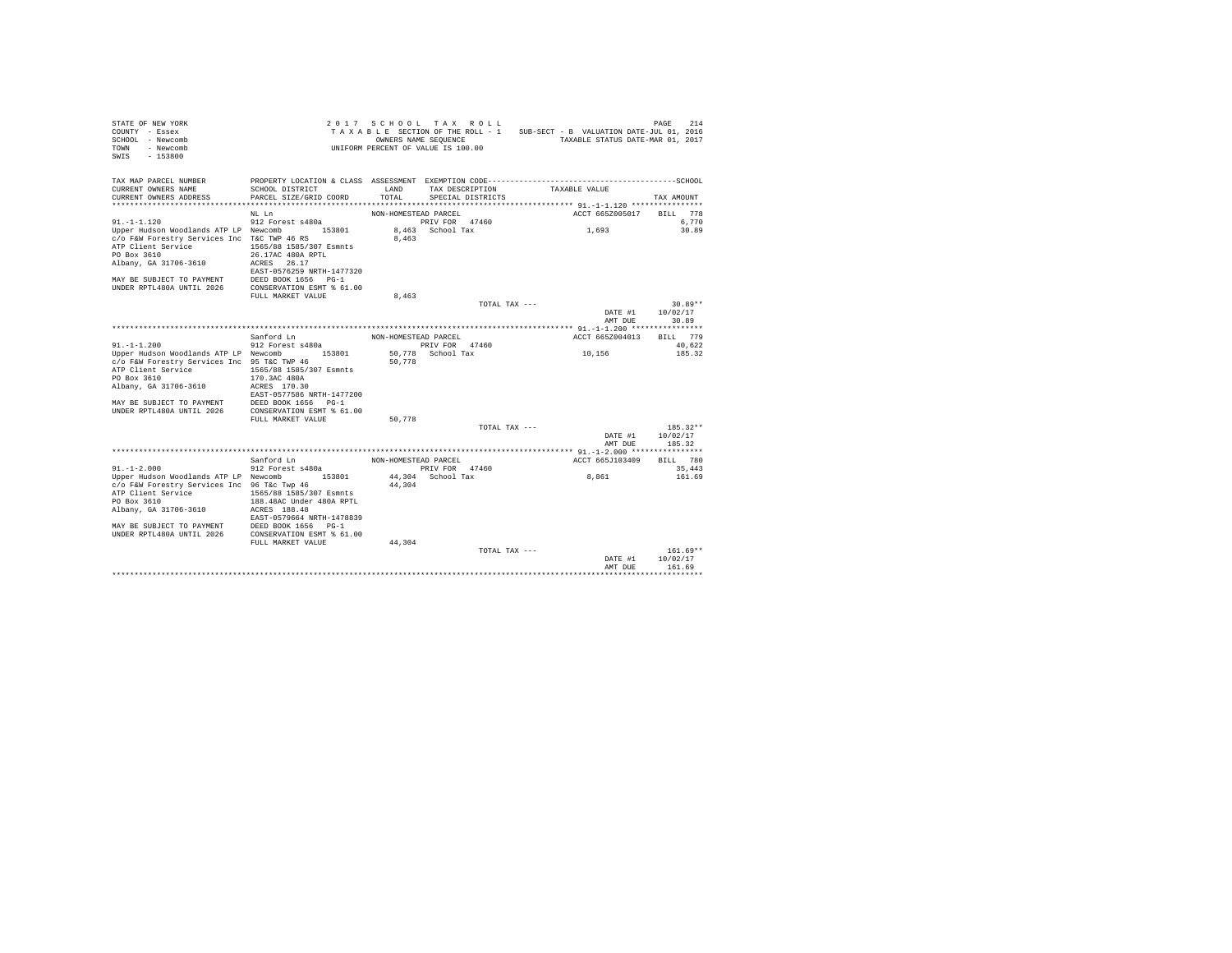| STATE OF NEW YORK<br>COUNTY - Essex<br>SCHOOL - Newcomb<br>TOWN<br>- Newcomb<br>SWIS - 153800 |                           |                      | 2017 SCHOOL TAX ROLL<br>OWNERS NAME SEQUENCE<br>UNIFORM PERCENT OF VALUE IS 100.00 | TAXABLE SECTION OF THE ROLL - 1 SUB-SECT - B VALUATION DATE-JUL 01, 2016<br>TAXABLE STATUS DATE-MAR 01, 2017 | 214<br>PAGE            |
|-----------------------------------------------------------------------------------------------|---------------------------|----------------------|------------------------------------------------------------------------------------|--------------------------------------------------------------------------------------------------------------|------------------------|
| TAX MAP PARCEL NUMBER                                                                         |                           |                      |                                                                                    |                                                                                                              |                        |
| CURRENT OWNERS NAME                                                                           | SCHOOL DISTRICT           | LAND<br>TOTAL.       | TAX DESCRIPTION                                                                    | TAXABLE VALUE                                                                                                |                        |
| CURRENT OWNERS ADDRESS                                                                        | PARCEL SIZE/GRID COORD    |                      | SPECIAL DISTRICTS                                                                  |                                                                                                              | TAX AMOUNT             |
|                                                                                               | NL Ln                     | NON-HOMESTEAD PARCEL |                                                                                    | ACCT 665Z005017                                                                                              | BILL 778               |
| $91. -1 -1.120$                                                                               | 912 Forest s480a          |                      | PRIV FOR 47460                                                                     |                                                                                                              | 6.770                  |
| Upper Hudson Woodlands ATP LP Newcomb 153801                                                  |                           |                      | 8.463 School Tax                                                                   | 1,693                                                                                                        | 30.89                  |
| c/o F&W Forestry Services Inc T&C TWP 46 RS                                                   |                           | 8,463                |                                                                                    |                                                                                                              |                        |
| ATP Client Service                                                                            | 1565/88 1585/307 Esmnts   |                      |                                                                                    |                                                                                                              |                        |
| PO Box 3610                                                                                   | 26.17AC 480A RPTL         |                      |                                                                                    |                                                                                                              |                        |
| Albany, GA 31706-3610                                                                         | ACRES 26.17               |                      |                                                                                    |                                                                                                              |                        |
|                                                                                               | EAST-0576259 NRTH-1477320 |                      |                                                                                    |                                                                                                              |                        |
| MAY BE SUBJECT TO PAYMENT                                                                     | DEED BOOK 1656 PG-1       |                      |                                                                                    |                                                                                                              |                        |
| IINDER RPTL480A IINTIL 2026                                                                   | CONSERVATION ESMT % 61.00 |                      |                                                                                    |                                                                                                              |                        |
|                                                                                               | FULL MARKET VALUE         | 8,463                |                                                                                    |                                                                                                              |                        |
|                                                                                               |                           |                      | TOTAL TAX ---                                                                      |                                                                                                              | $30.89**$              |
|                                                                                               |                           |                      |                                                                                    | DATE #1                                                                                                      | 10/02/17<br>30.89      |
|                                                                                               |                           |                      |                                                                                    | AMT DUE                                                                                                      |                        |
|                                                                                               | Sanford Ln                | NON-HOMESTEAD PARCEL |                                                                                    | ACCT 665Z004013                                                                                              | BILL 779               |
| $91. -1 -1.200$                                                                               | 912 Forest s480a          |                      | PRIV FOR 47460                                                                     |                                                                                                              | 40.622                 |
| Upper Hudson Woodlands ATP LP Newcomb 153801                                                  |                           |                      | 50.778 School Tax                                                                  | 10,156                                                                                                       | 185.32                 |
| c/o F&W Forestry Services Inc 95 T&C TWP 46                                                   |                           | 50.778               |                                                                                    |                                                                                                              |                        |
| ATP Client Service                                                                            | 1565/88 1585/307 Esmnts   |                      |                                                                                    |                                                                                                              |                        |
| PO Box 3610                                                                                   | 170.3AC 480A              |                      |                                                                                    |                                                                                                              |                        |
| Albany, GA 31706-3610                                                                         | ACRES 170.30              |                      |                                                                                    |                                                                                                              |                        |
|                                                                                               | EAST-0577586 NRTH-1477200 |                      |                                                                                    |                                                                                                              |                        |
| MAY BE SUBJECT TO PAYMENT                                                                     | DEED BOOK 1656 PG-1       |                      |                                                                                    |                                                                                                              |                        |
| UNDER RPTL480A UNTIL 2026                                                                     | CONSERVATION ESMT % 61.00 |                      |                                                                                    |                                                                                                              |                        |
|                                                                                               | FULL MARKET VALUE         | 50,778               |                                                                                    |                                                                                                              |                        |
|                                                                                               |                           |                      | TOTAL TAX ---                                                                      |                                                                                                              | $185.32**$<br>10/02/17 |
|                                                                                               |                           |                      |                                                                                    | DATE #1<br>AMT DUE                                                                                           | 185.32                 |
|                                                                                               |                           |                      |                                                                                    |                                                                                                              |                        |
|                                                                                               | Sanford Ln                | NON-HOMESTEAD PARCEL |                                                                                    | ACCT 665J103409                                                                                              | BILL 780               |
| $91. - 1 - 2.000$                                                                             | 912 Forest s480a          |                      | PRIV FOR 47460                                                                     |                                                                                                              | 35,443                 |
| Upper Hudson Woodlands ATP LP Newcomb                                                         | 153801                    |                      | 44.304 School Tax                                                                  | 8,861                                                                                                        | 161.69                 |
| c/o F&W Forestry Services Inc 96 T&c Twp 46                                                   |                           | 44.304               |                                                                                    |                                                                                                              |                        |
| ATP Client Service                                                                            | 1565/88 1585/307 Esmnts   |                      |                                                                                    |                                                                                                              |                        |
| PO Box 3610                                                                                   | 188.48AC Under 480A RPTL  |                      |                                                                                    |                                                                                                              |                        |
| Albany, GA 31706-3610                                                                         | ACRES 188.48              |                      |                                                                                    |                                                                                                              |                        |
|                                                                                               | EAST-0579664 NRTH-1478839 |                      |                                                                                    |                                                                                                              |                        |
| MAY BE SUBJECT TO PAYMENT                                                                     | DEED BOOK 1656 PG-1       |                      |                                                                                    |                                                                                                              |                        |
| UNDER RPTL480A UNTIL 2026                                                                     | CONSERVATION ESMT % 61.00 |                      |                                                                                    |                                                                                                              |                        |
|                                                                                               | FULL MARKET VALUE         | 44,304               |                                                                                    |                                                                                                              |                        |
|                                                                                               |                           |                      | TOTAL TAX ---                                                                      |                                                                                                              | $161.69**$<br>10/02/17 |
|                                                                                               |                           |                      |                                                                                    | DATE #1<br>AMT DUE                                                                                           | 161.69                 |
|                                                                                               |                           |                      |                                                                                    |                                                                                                              | ************           |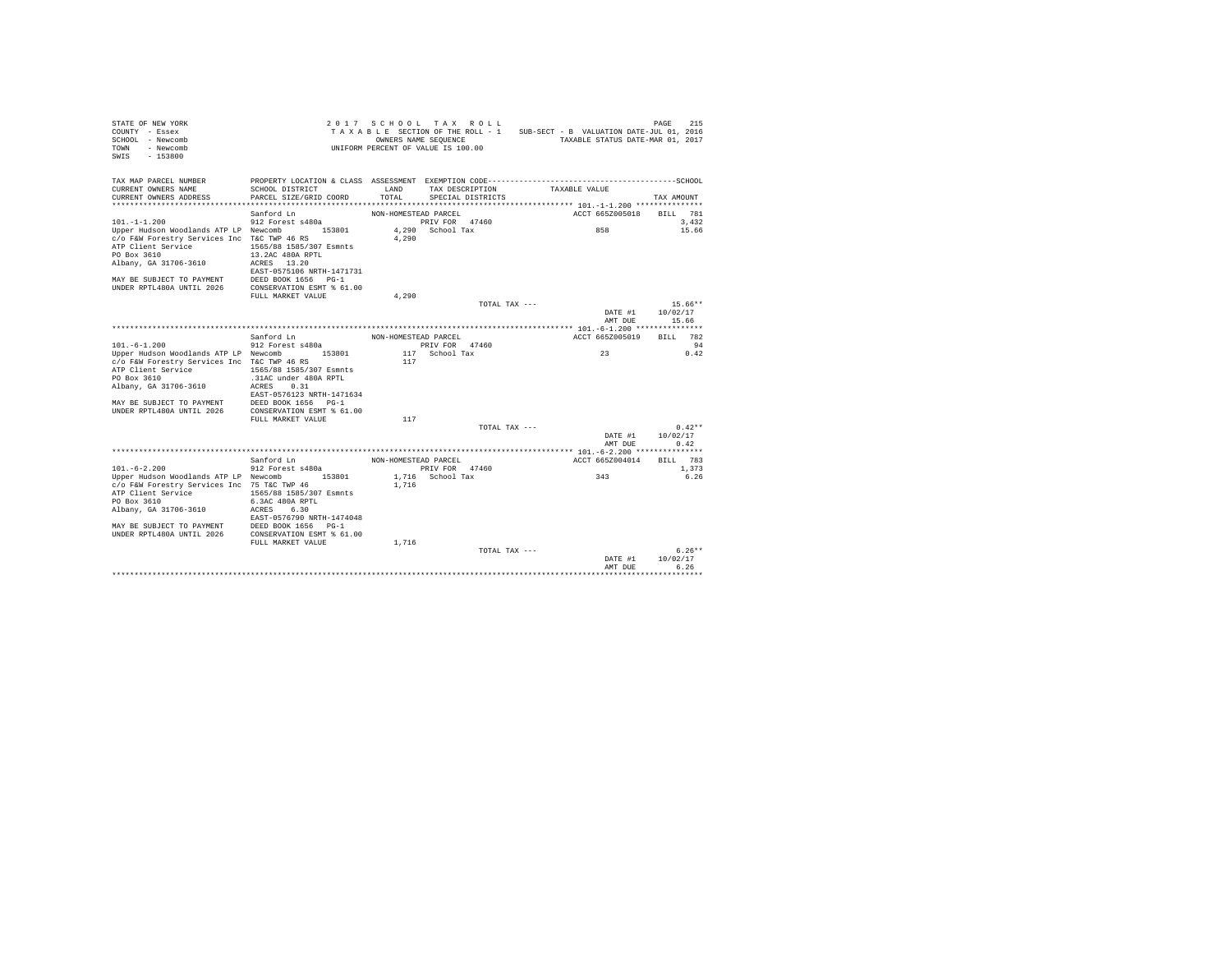| STATE OF NEW YORK<br>COUNTY - Essex<br>SCHOOL - Newcomb<br>TOWN<br>- Newcomb<br>SWIS<br>$-153800$                                                                                                                                  |                                                                                                                                                                            | OWNERS NAME SEQUENCE  | 2017 SCHOOL TAX ROLL<br>TAXABLE SECTION OF THE ROLL - 1<br>UNIFORM PERCENT OF VALUE IS 100.00 | SUB-SECT - B VALUATION DATE-JUL 01, 2016<br>TAXABLE STATUS DATE-MAR 01, 2017                                  | 215<br>PAGE                  |
|------------------------------------------------------------------------------------------------------------------------------------------------------------------------------------------------------------------------------------|----------------------------------------------------------------------------------------------------------------------------------------------------------------------------|-----------------------|-----------------------------------------------------------------------------------------------|---------------------------------------------------------------------------------------------------------------|------------------------------|
| TAX MAP PARCEL NUMBER<br>CURRENT OWNERS NAME<br>CURRENT OWNERS ADDRESS                                                                                                                                                             | SCHOOL DISTRICT<br>PARCEL SIZE/GRID COORD                                                                                                                                  | <b>T.AND</b><br>TOTAL | TAX DESCRIPTION<br>SPECIAL DISTRICTS                                                          | PROPERTY LOCATION & CLASS ASSESSMENT EXEMPTION CODE-----------------------------------SCHOOL<br>TAXABLE VALUE | TAX AMOUNT                   |
|                                                                                                                                                                                                                                    | Sanford Ln                                                                                                                                                                 | NON-HOMESTEAD PARCEL  |                                                                                               | ACCT 665Z005018                                                                                               | BILL 781                     |
| $101. -1 -1.200$                                                                                                                                                                                                                   | 912 Forest s480a                                                                                                                                                           |                       | PRIV FOR 47460                                                                                |                                                                                                               | 3.432                        |
| Upper Hudson Woodlands ATP LP Newcomb<br>c/o F&W Forestry Services Inc T&C TWP 46 RS<br>ATP Client Service<br>PO Box 3610<br>Albany, GA 31706-3610                                                                                 | 153801<br>1565/88 1585/307 Esmnts<br>13.2AC 480A RPTL<br>ACRES 13.20<br>EAST-0575106 NRTH-1471731                                                                          | 4.290                 | 4,290 School Tax                                                                              | 858                                                                                                           | 15.66                        |
| MAY BE SUBJECT TO PAYMENT                                                                                                                                                                                                          | DEED BOOK 1656 PG-1                                                                                                                                                        |                       |                                                                                               |                                                                                                               |                              |
| UNDER RPTL480A UNTIL 2026 CONSERVATION ESMT % 61.00                                                                                                                                                                                |                                                                                                                                                                            |                       |                                                                                               |                                                                                                               |                              |
|                                                                                                                                                                                                                                    | FULL MARKET VALUE                                                                                                                                                          | 4.290                 |                                                                                               |                                                                                                               |                              |
|                                                                                                                                                                                                                                    |                                                                                                                                                                            |                       | TOTAL TAX ---                                                                                 |                                                                                                               | $15.66**$                    |
|                                                                                                                                                                                                                                    |                                                                                                                                                                            |                       |                                                                                               | DATE #1<br>AMT DUE                                                                                            | 10/02/17<br>15.66            |
|                                                                                                                                                                                                                                    |                                                                                                                                                                            |                       |                                                                                               |                                                                                                               |                              |
|                                                                                                                                                                                                                                    | Sanford Ln                                                                                                                                                                 | NON-HOMESTEAD PARCEL  |                                                                                               | ACCT 665Z005019                                                                                               | 782<br><b>BILL</b>           |
| $101. -6 - 1.200$                                                                                                                                                                                                                  | 912 Forest s480a                                                                                                                                                           |                       | PRIV FOR 47460                                                                                |                                                                                                               | 94                           |
| Upper Hudson Woodlands ATP LP Newcomb<br>c/o F&W Forestry Services Inc T&C TWP 46 RS<br>ATP Client Service<br>PO Box 3610<br>Albany, GA 31706-3610<br>MAY BE SUBJECT TO PAYMENT<br>UNDER RPTL480A UNTIL 2026                       | 153801<br>1565/88 1585/307 Esmnts<br>.31AC under 480A RPTL<br>0.31<br>ACRES<br>EAST-0576123 NRTH-1471634<br>DEED BOOK 1656 PG-1<br>CONSERVATION ESMT % 61.00               | 117                   | 117 School Tax                                                                                | 23                                                                                                            | 0.42                         |
|                                                                                                                                                                                                                                    | FULL MARKET VALUE                                                                                                                                                          | 117                   |                                                                                               |                                                                                                               |                              |
|                                                                                                                                                                                                                                    |                                                                                                                                                                            |                       | TOTAL TAX ---                                                                                 | DATE #1<br>AMT DUE                                                                                            | $0.42**$<br>10/02/17<br>0.42 |
|                                                                                                                                                                                                                                    |                                                                                                                                                                            |                       |                                                                                               |                                                                                                               |                              |
|                                                                                                                                                                                                                                    | Sanford Ln                                                                                                                                                                 | NON-HOMESTEAD PARCEL  |                                                                                               | ACCT 665Z004014                                                                                               | <b>BTLL</b> 783              |
| $101. - 6 - 2.200$<br>Upper Hudson Woodlands ATP LP Newcomb<br>c/o F&W Forestry Services Inc 75 T&C TWP 46<br>ATP Client Service<br>PO Box 3610<br>Albany, GA 31706-3610<br>MAY BE SUBJECT TO PAYMENT<br>UNDER RPTL480A UNTIL 2026 | 912 Forest s480a<br>153801<br>1565/88 1585/307 Esmnts<br>6.3AC 480A RPTL<br>6.30<br>ACRES<br>EAST-0576790 NRTH-1474048<br>DEED BOOK 1656 PG-1<br>CONSERVATION ESMT % 61.00 | 1,716                 | PRIV FOR 47460<br>1,716 School Tax                                                            | 343                                                                                                           | 1,373<br>6.26                |
|                                                                                                                                                                                                                                    | FULL MARKET VALUE                                                                                                                                                          | 1,716                 |                                                                                               |                                                                                                               |                              |
|                                                                                                                                                                                                                                    |                                                                                                                                                                            |                       | TOTAL TAX ---                                                                                 | DATE #1<br>AMT DUE                                                                                            | $6.26**$<br>10/02/17<br>6.26 |
|                                                                                                                                                                                                                                    |                                                                                                                                                                            |                       |                                                                                               |                                                                                                               |                              |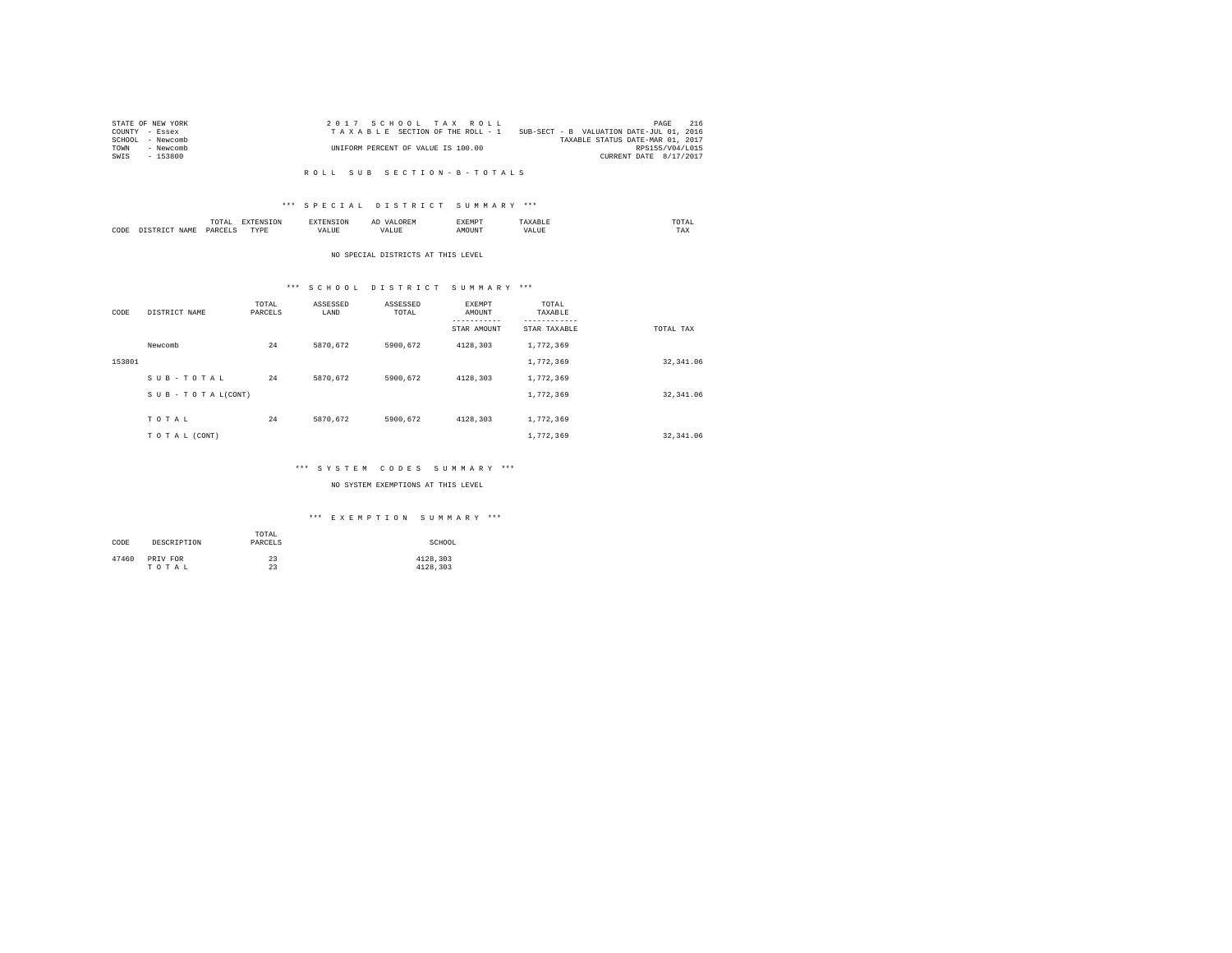| STATE OF NEW YORK | 2017 SCHOOL TAX ROLL               | 216<br>PAGE                              |
|-------------------|------------------------------------|------------------------------------------|
| COUNTY - Essex    | TAXABLE SECTION OF THE ROLL - 1    | SUB-SECT - B VALUATION DATE-JUL 01, 2016 |
| SCHOOL - Newcomb  |                                    | TAXABLE STATUS DATE-MAR 01, 2017         |
| TOWN<br>- Newcomb | UNIFORM PERCENT OF VALUE IS 100.00 | RPS155/V04/L015                          |
| - 153800<br>SWIS  |                                    | CURRENT DATE 8/17/2017                   |
|                   |                                    |                                          |

#### R O L L S U B S E C T I O N - B - T O T A L S

## \*\*\* S P E C I A L D I S T R I C T S U M M A R Y \*\*\*

|      | ----<br>/ L A L<br>the contract of the contract of the contract of | ----       | $\cdots$ | .     | moms:<br>the contract of the contract of the contract of |
|------|--------------------------------------------------------------------|------------|----------|-------|----------------------------------------------------------|
| CODE | <b>DAR</b><br>$\sim$                                               | TVD's<br>. |          | MOUN. | 1'AX                                                     |

#### NO SPECIAL DISTRICTS AT THIS LEVEL

## \*\*\* S C H O O L D I S T R I C T S U M M A R Y \*\*\*

| CODE   | DISTRICT NAME   | TOTAL<br>PARCELS | ASSESSED<br>LAND | ASSESSED<br>TOTAL | EXEMPT<br>AMOUNT<br>---------<br>STAR AMOUNT | TOTAL<br>TAXABLE<br>---------<br>STAR TAXABLE | TOTAL TAX  |
|--------|-----------------|------------------|------------------|-------------------|----------------------------------------------|-----------------------------------------------|------------|
|        | Newcomb         | 24               | 5870.672         | 5900.672          | 4128.303                                     | 1,772,369                                     |            |
| 153801 |                 |                  |                  |                   |                                              | 1,772,369                                     | 32, 341.06 |
|        | SUB-TOTAL       | 24               | 5870.672         | 5900.672          | 4128.303                                     | 1,772,369                                     |            |
|        | SUB-TOTAL(CONT) |                  |                  |                   |                                              | 1,772,369                                     | 32, 341.06 |
|        | TOTAL           | 24               | 5870.672         | 5900.672          | 4128.303                                     | 1,772,369                                     |            |
|        | TO TAL (CONT)   |                  |                  |                   |                                              | 1,772,369                                     | 32, 341.06 |

## \*\*\* S Y S T E M C O D E S S U M M A R Y \*\*\*

## NO SYSTEM EXEMPTIONS AT THIS LEVEL

## \*\*\* E X E M P T I O N S U M M A R Y \*\*\*

| CODE  | DESCRIPTION | TOTAL<br>PARCELS | SCHOOL   |
|-------|-------------|------------------|----------|
| 47460 | PRIV FOR    | 23               | 4128.303 |
|       | TOTAL       | 23               | 4128.303 |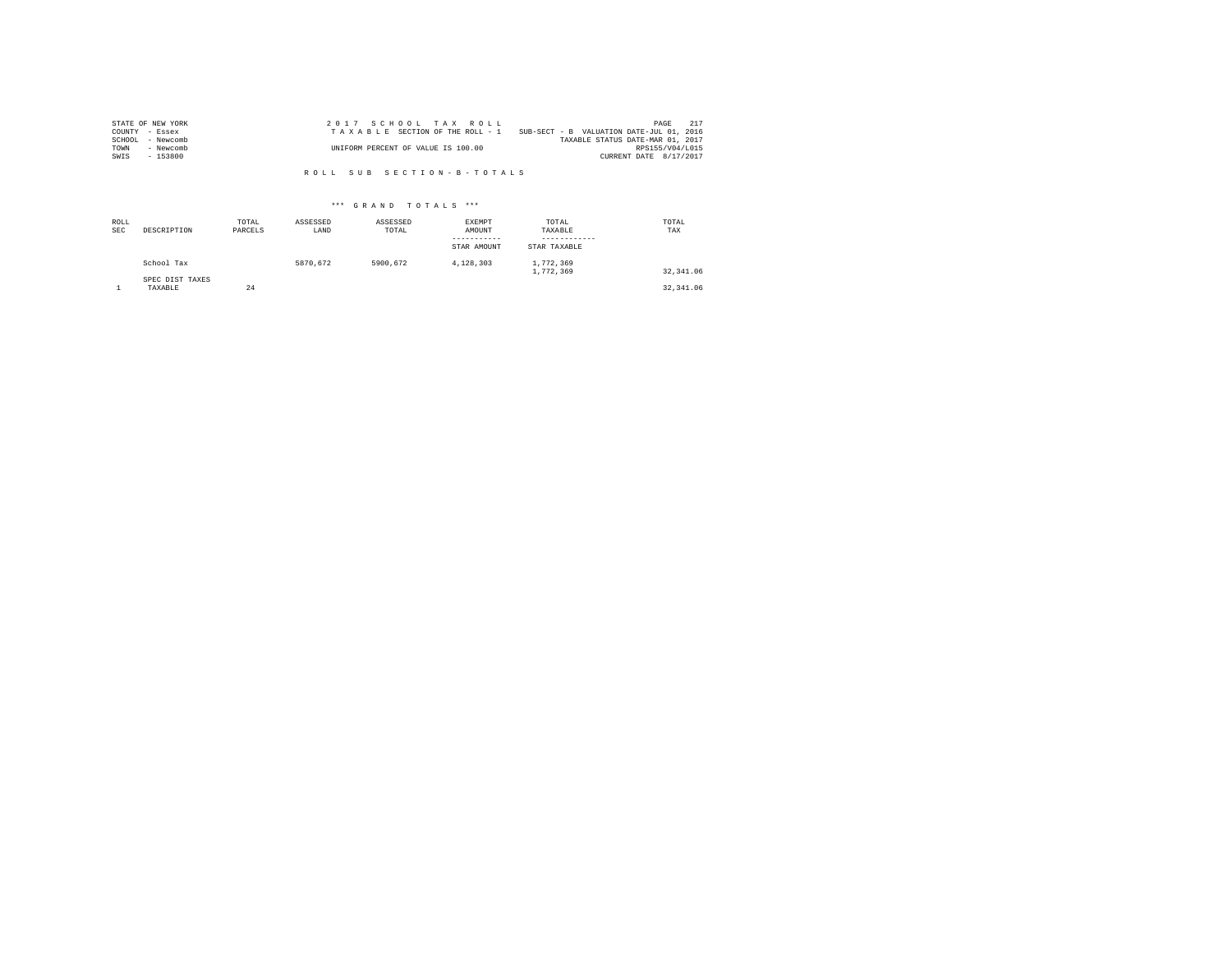| STATE OF NEW YORK   | 2017 SCHOOL TAX ROLL                                                        | PAGE            | 217 |
|---------------------|-----------------------------------------------------------------------------|-----------------|-----|
| COUNTY - Essex      | SUB-SECT - B VALUATION DATE-JUL 01, 2016<br>TAXABLE SECTION OF THE ROLL - 1 |                 |     |
| SCHOOL<br>- Newcomb | TAXABLE STATUS DATE-MAR 01, 2017                                            |                 |     |
| TOWN<br>- Newcomb   | UNIFORM PERCENT OF VALUE IS 100.00                                          | RPS155/V04/L015 |     |
| $-153800$<br>SWIS   | CURRENT DATE 8/17/2017                                                      |                 |     |

R O L L S U B S E C T I O N - B - T O T A L S

## \*\*\* G R A N D T O T A L S \*\*\*

| ROLL<br><b>SEC</b> | DESCRIPTION                | TOTAL<br>PARCELS | ASSESSED<br>LAND | ASSESSED<br>TOTAL | EXEMPT<br>AMOUNT<br>---------<br>STAR AMOUNT | TOTAL<br>TAXABLE<br>STAR TAXABLE | TOTAL<br>TAX |
|--------------------|----------------------------|------------------|------------------|-------------------|----------------------------------------------|----------------------------------|--------------|
|                    | School Tax                 |                  | 5870.672         | 5900.672          | 4.128.303                                    | 1,772,369<br>1,772,369           | 32.341.06    |
|                    | SPEC DIST TAXES<br>TAXABLE | 24               |                  |                   |                                              |                                  | 32, 341, 06  |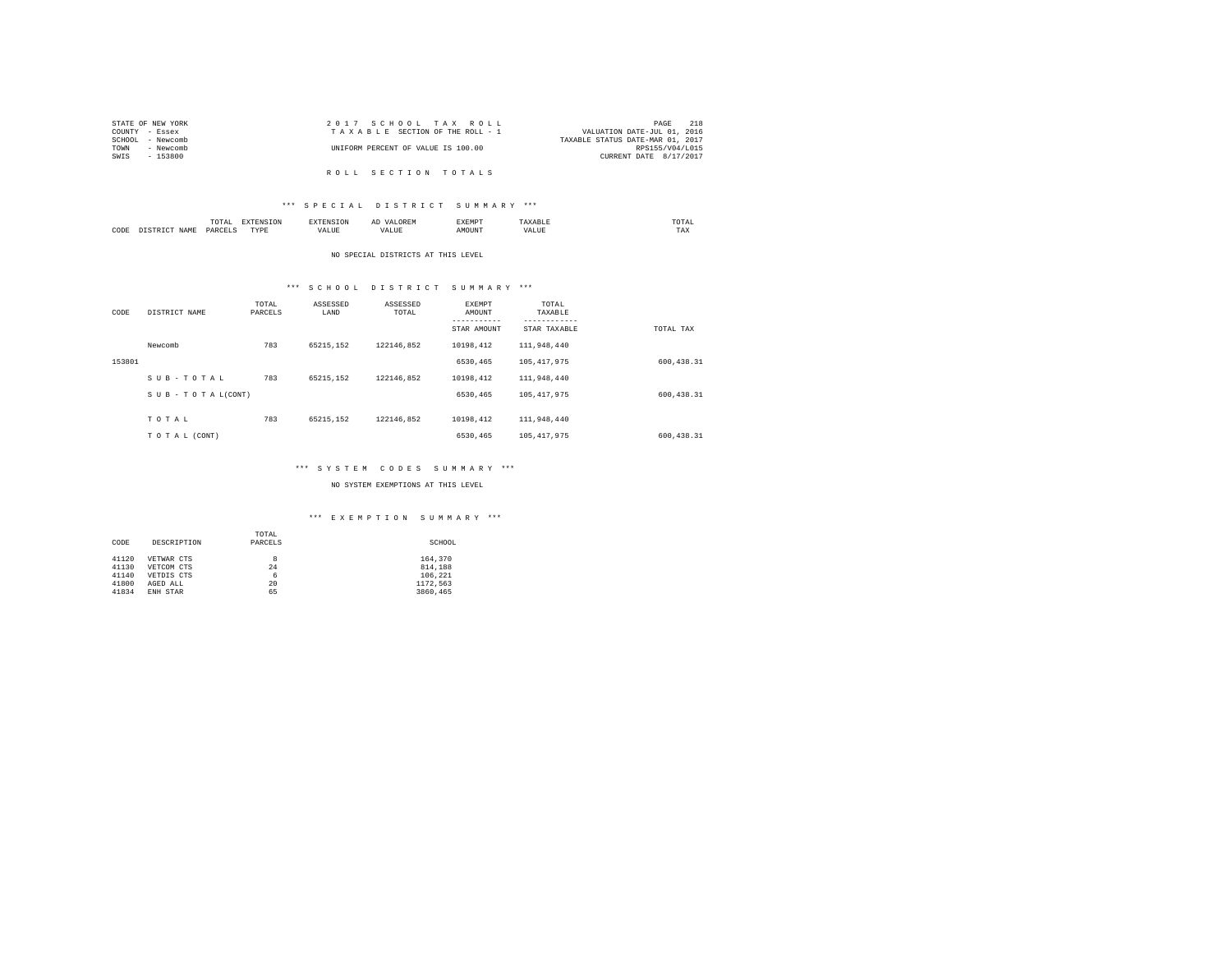| STATE OF NEW YORK | 2017 SCHOOL TAX ROLL               | 218<br>PAGE                      |
|-------------------|------------------------------------|----------------------------------|
| COUNTY - Essex    | TAXABLE SECTION OF THE ROLL - 1    | VALUATION DATE-JUL 01, 2016      |
| SCHOOL - Newcomb  |                                    | TAXABLE STATUS DATE-MAR 01, 2017 |
| TOWN<br>- Newcomb | UNIFORM PERCENT OF VALUE IS 100.00 | RPS155/V04/L015                  |
| SWIS<br>- 153800  |                                    | CURRENT DATE 8/17/2017           |
|                   |                                    |                                  |
|                   | ROLL SECTION TOTALS                |                                  |

# \*\*\* S P E C I A L D I S T R I C T S U M M A R Y \*\*\*

|      |   | <b>CALL</b> |        | ≖ | .    | ------<br>the contract of the contract of the contract of |
|------|---|-------------|--------|---|------|-----------------------------------------------------------|
| CODE | - | DAR<br>.    | .<br>. | . | ITN' | 1 M.A                                                     |

#### NO SPECIAL DISTRICTS AT THIS LEVEL

## \*\*\* S C H O O L D I S T R I C T S U M M A R Y \*\*\*

| CODE   | DISTRICT NAME   | TOTAL<br>PARCELS | ASSESSED<br>LAND | ASSESSED<br>TOTAL | EXEMPT<br>AMOUNT<br>--------- | TOTAL<br>TAXABLE<br>--------- |            |
|--------|-----------------|------------------|------------------|-------------------|-------------------------------|-------------------------------|------------|
|        |                 |                  |                  |                   | STAR AMOUNT                   | STAR TAXABLE                  | TOTAL TAX  |
|        | Newcomb         | 783              | 65215.152        | 122146.852        | 10198.412                     | 111,948,440                   |            |
| 153801 |                 |                  |                  |                   | 6530,465                      | 105, 417, 975                 | 600.438.31 |
|        | SUB-TOTAL       | 783              | 65215.152        | 122146.852        | 10198.412                     | 111,948,440                   |            |
|        | SUB-TOTAL(CONT) |                  |                  |                   | 6530,465                      | 105, 417, 975                 | 600.438.31 |
|        |                 |                  |                  |                   |                               |                               |            |
|        | TOTAL           | 783              | 65215.152        | 122146.852        | 10198.412                     | 111,948,440                   |            |
|        | TO TAL (CONT)   |                  |                  |                   | 6530.465                      | 105, 417, 975                 | 600.438.31 |

## \*\*\* S Y S T E M C O D E S S U M M A R Y \*\*\*

## NO SYSTEM EXEMPTIONS AT THIS LEVEL

## \*\*\* E X E M P T I O N S U M M A R Y \*\*\*

|       |             | TOTAL   |          |
|-------|-------------|---------|----------|
| CODE  | DESCRIPTION | PARCELS | SCHOOL   |
|       |             |         |          |
| 41120 | VETWAR CTS  | 8       | 164,370  |
| 41130 | VETCOM CTS  | 24      | 814,188  |
| 41140 | VETDIS CTS  | 6       | 106.221  |
| 41800 | AGED ALL    | 20      | 1172.563 |
| 41834 | ENH STAR    | 65      | 3860.465 |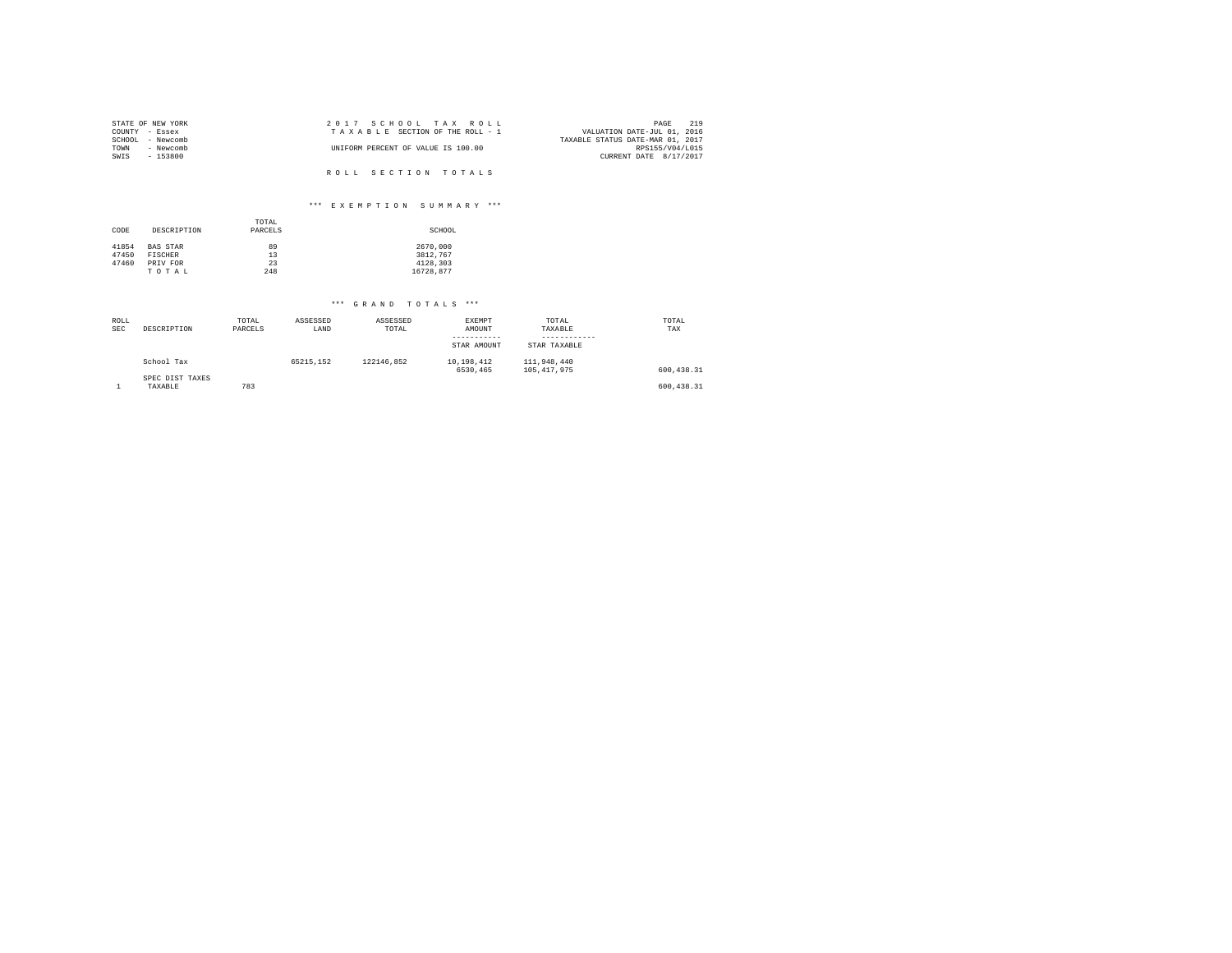| STATE OF NEW YORK |           | 2017 SCHOOL TAX ROLL               |  |                                  | PAGE                   | 219 |
|-------------------|-----------|------------------------------------|--|----------------------------------|------------------------|-----|
| COUNTY - Essex    |           | TAXABLE SECTION OF THE ROLL - 1    |  | VALUATION DATE-JUL 01, 2016      |                        |     |
| SCHOOL - Newcomb  |           |                                    |  | TAXABLE STATUS DATE-MAR 01, 2017 |                        |     |
| TOWN              | - Newcomb | UNIFORM PERCENT OF VALUE IS 100.00 |  |                                  | RPS155/V04/L015        |     |
| SWIS              | - 153800  |                                    |  |                                  | CURRENT DATE 8/17/2017 |     |
|                   |           |                                    |  |                                  |                        |     |
|                   |           | ROLL SECTION TOTALS                |  |                                  |                        |     |

## \*\*\* E X E M P T I O N S U M M A R Y \*\*\*

| CODE                    | DESCRIPTION                            | TOTAL<br>PARCELS | SCHOOL                           |
|-------------------------|----------------------------------------|------------------|----------------------------------|
| 41854<br>47450<br>47460 | <b>BAS STAR</b><br>FISCHER<br>PRIV FOR | 89<br>13<br>23   | 2670,000<br>3812.767<br>4128.303 |
|                         | TOTAL                                  | 248              | 16728.877                        |

## \*\*\* G R A N D T O T A L S \*\*\*

| ROLL       |                 | TOTAL   | ASSESSED  | ASSESSED   | EXEMPT      | TOTAL         | TOTAL      |
|------------|-----------------|---------|-----------|------------|-------------|---------------|------------|
| <b>SEC</b> | DESCRIPTION     | PARCELS | LAND      | TOTAL      | AMOUNT      | TAXABLE       | TAX        |
|            |                 |         |           |            | ----------- |               |            |
|            |                 |         |           |            | STAR AMOUNT | STAR TAXABLE  |            |
|            | School Tax      |         | 65215.152 | 122146.852 | 10.198.412  | 111,948,440   |            |
|            |                 |         |           |            | 6530.465    | 105, 417, 975 | 600.438.31 |
|            | SPEC DIST TAXES |         |           |            |             |               |            |
|            | TAXABLE         | 783     |           |            |             |               | 600.438.31 |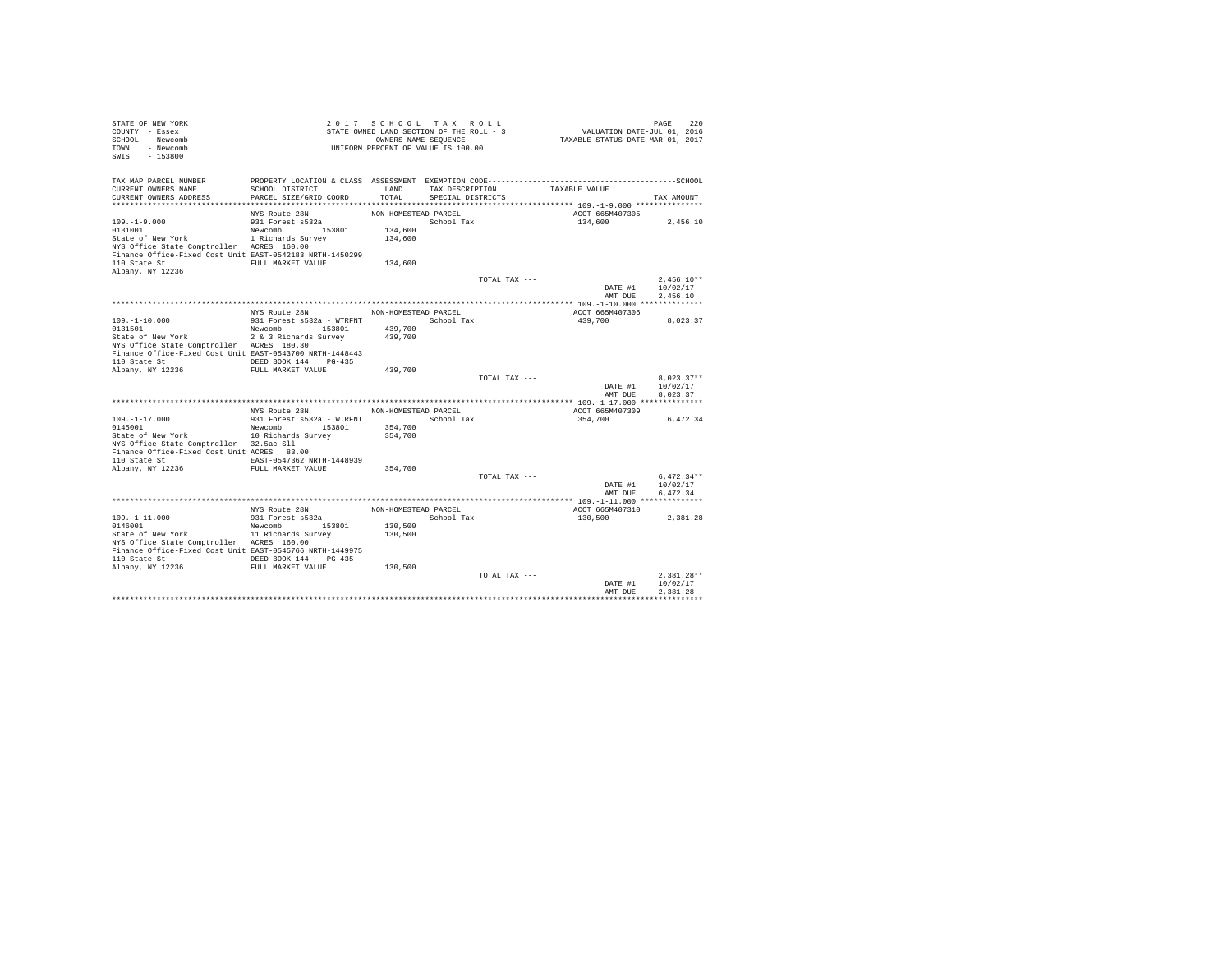| STATE OF NEW YORK<br>COUNTY - Essex<br>SCHOOL - Newcomb<br>TOWN - Newcomb<br>SWIS<br>$-153800$                                                                                                                                                               |                                                                                        | 2017 SCHOOL TAX ROLL<br>STATE OWNED LAND SECTION OF THE ROLL - 3<br>UNIFORM PERCENT OF VALUE IS 100.00 | OWNERS NAME SEQUENCE                 |               | PAGE 220<br>VALUATION DATE-JUL 01, 2016<br>TAXABLE STATUS DATE-MAR 01, 2017 |                                              |
|--------------------------------------------------------------------------------------------------------------------------------------------------------------------------------------------------------------------------------------------------------------|----------------------------------------------------------------------------------------|--------------------------------------------------------------------------------------------------------|--------------------------------------|---------------|-----------------------------------------------------------------------------|----------------------------------------------|
| TAX MAP PARCEL NUMBER<br>CURRENT OWNERS NAME<br>CURRENT OWNERS ADDRESS                                                                                                                                                                                       | SCHOOL DISTRICT<br>PARCEL SIZE/GRID COORD                                              | LAND<br>TOTAL                                                                                          | TAX DESCRIPTION<br>SPECIAL DISTRICTS |               | TAXABLE VALUE                                                               | TAX AMOUNT                                   |
| $109. - 1 - 9.000$<br>0131001<br>State of New York 1 Richards Survey<br>NYS Office State Comptroller ACRES 160.00<br>Finance Office-Fixed Cost Unit EAST-0542183 NRTH-1450299<br>110 State St<br>Albany, NY 12236                                            | NYS Route 28N<br>931 Forest s532a<br>Newcomb 153801<br>FULL MARKET VALUE               | NON-HOMESTEAD PARCEL<br>134,600<br>134,600<br>134,600                                                  | School Tax                           |               | ACCT 665M407305<br>134,600                                                  | 2,456.10                                     |
|                                                                                                                                                                                                                                                              |                                                                                        |                                                                                                        |                                      | TOTAL TAX --- | AMT DUE                                                                     | $2.456.10**$<br>DATE #1 10/02/17<br>2.456.10 |
| 109.-1-10.000<br>0131501<br>State of New York 2 & 3 Richards Survey<br>NYS Office State Comptroller ACRES 180.30<br>Finance Office-Fixed Cost Unit EAST-0543700 NRTH-1448443<br>110 State St                                                                 | NYS Route 28N NON-HOMESTEAD PARCEL<br>Newcomb 153801<br>DEED BOOK 144 PG-435           | 439,700<br>439,700                                                                                     |                                      |               | ACCT 665M407306<br>439,700                                                  | 8.023.37                                     |
| Albany, NY 12236                                                                                                                                                                                                                                             | FULL MARKET VALUE                                                                      | 439,700                                                                                                |                                      | TOTAL TAX --- | DATE #1<br>AMT DUR                                                          | $8.023.37**$<br>10/02/17<br>8.023.37         |
|                                                                                                                                                                                                                                                              | NYS Route 28N                                                                          | NON-HOMESTEAD PARCEL                                                                                   |                                      |               | ACCT 665M407309                                                             |                                              |
| $109. -1 - 17.000$<br>0145001<br>State of New York<br>NYS Office State Comptroller 32.5ac Sll<br>Finance Office-Fixed Cost Unit ACRES 83.00<br>110 State St EAST-0547362 NRTH-1448939<br>Albany, NY 12236                                                    | 931 Forest s532a - WTRFNT<br>Newcomb 153801<br>10 Richards Survey<br>FULL MARKET VALUE | 354,700<br>354,700<br>354,700                                                                          | School Tax                           |               | 354,700                                                                     | 6,472.34                                     |
|                                                                                                                                                                                                                                                              |                                                                                        |                                                                                                        |                                      | TOTAL TAX --- | DATE #1<br>AMT DUE                                                          | $6.472.34**$<br>10/02/17<br>6.472.34         |
|                                                                                                                                                                                                                                                              | NYS Route 28N                                                                          | NON-HOMESTEAD PARCEL                                                                                   |                                      |               | ACCT 665M407310                                                             |                                              |
| $109. - 1 - 11.000$<br>0146001<br>State of New York 11 Richards Survey<br>NYS Office State Comptroller ACRES 160.00<br>Finance Office-Fixed Cost Unit EAST-0545766 NRTH-1449975<br>110 State St 6 DEED BOOK 144 PG-435<br>Albany, NY 12236 FULL MARKET VALUE | 931 Forest s532a<br>Newcomb 153801                                                     | 130,500<br>130,500<br>130,500                                                                          | School Tax                           |               | 130,500                                                                     | 2.381.28                                     |
|                                                                                                                                                                                                                                                              |                                                                                        |                                                                                                        |                                      | TOTAL TAX --- | DATE #1<br>AMT DUE                                                          | $2.381.28**$<br>10/02/17<br>2.381.28         |
|                                                                                                                                                                                                                                                              |                                                                                        |                                                                                                        |                                      |               |                                                                             |                                              |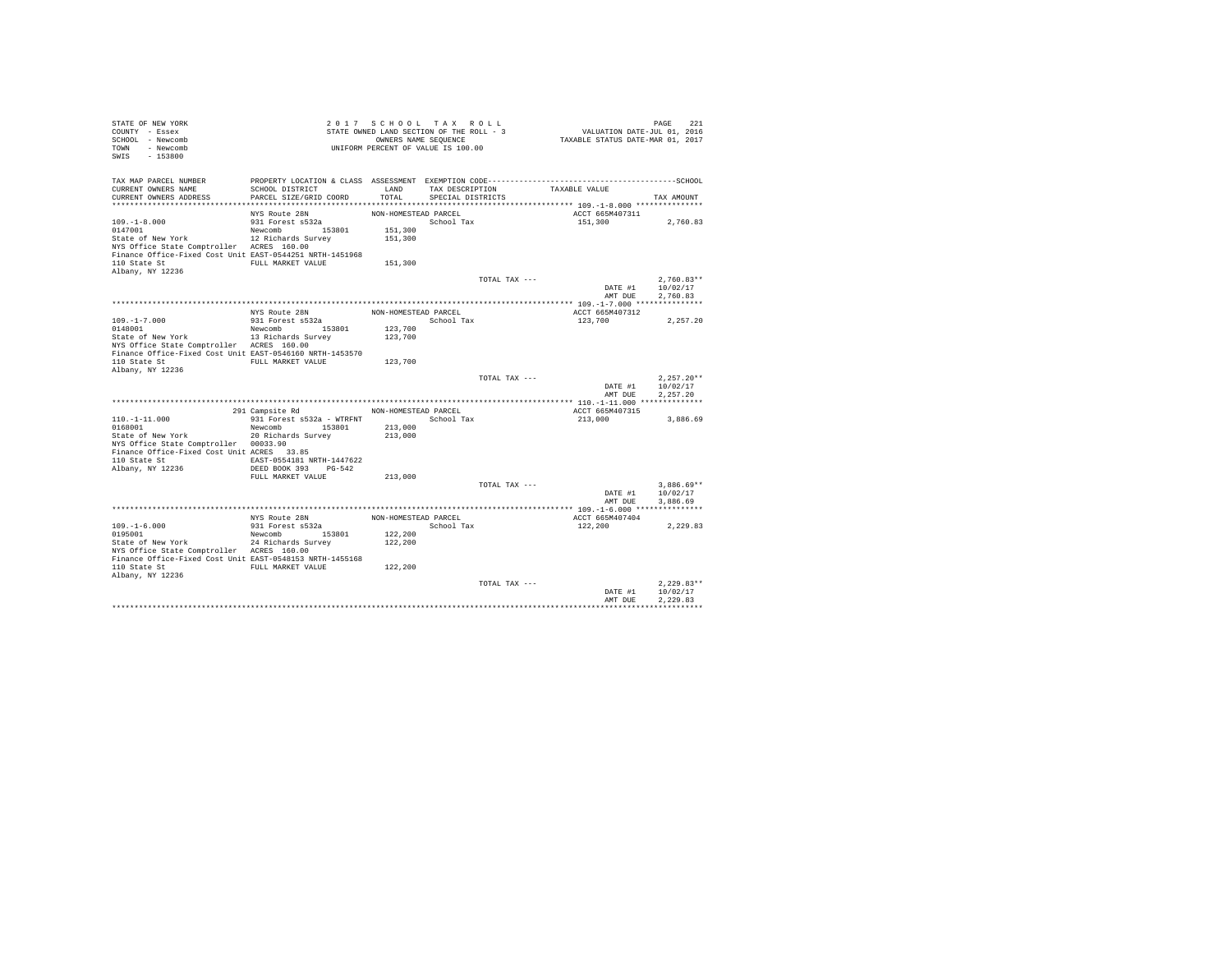| STATE OF NEW YORK<br>COUNTY - Essex<br>SCHOOL - Newcomb    |                                                    | 2017 SCHOOL TAX ROLL<br>STATE OWNED LAND SECTION OF THE ROLL - 3<br>OWNERS NAME SEQUENCE |                         |               | PAGE 221<br>VALUATION DATE-JUL 01, 2016<br>TAXABLE STATUS DATE-MAR 01, 2017 |                              |
|------------------------------------------------------------|----------------------------------------------------|------------------------------------------------------------------------------------------|-------------------------|---------------|-----------------------------------------------------------------------------|------------------------------|
| TOWN - Newcomb<br>SWIS<br>$-153800$                        |                                                    | UNIFORM PERCENT OF VALUE IS 100.00                                                       |                         |               |                                                                             |                              |
| TAX MAP PARCEL NUMBER                                      |                                                    |                                                                                          |                         |               |                                                                             |                              |
| CURRENT OWNERS NAME                                        | SCHOOL DISTRICT                                    | LAND                                                                                     | TAX DESCRIPTION         |               | TAXABLE VALUE                                                               |                              |
| CURRENT OWNERS ADDRESS                                     | PARCEL SIZE/GRID COORD                             |                                                                                          | TOTAL SPECIAL DISTRICTS |               |                                                                             | TAX AMOUNT                   |
|                                                            | NYS Route 28N                                      | NON-HOMESTEAD PARCEL                                                                     |                         |               | ACCT 665M407311                                                             |                              |
| $109. - 1 - 8.000$                                         | 931 Forest s532a                                   |                                                                                          | School Tax              |               | 151,300                                                                     | 2,760.83                     |
| 0147001                                                    | Newcomb 153801                                     | 151,300                                                                                  |                         |               |                                                                             |                              |
| State of New York                                          | 12 Richards Survey                                 | 151,300                                                                                  |                         |               |                                                                             |                              |
| NYS Office State Comptroller ACRES 160.00                  |                                                    |                                                                                          |                         |               |                                                                             |                              |
| Finance Office-Fixed Cost Unit EAST-0544251 NRTH-1451968   |                                                    |                                                                                          |                         |               |                                                                             |                              |
| 110 State St                                               | FULL MARKET VALUE                                  | 151,300                                                                                  |                         |               |                                                                             |                              |
| Albany, NY 12236                                           |                                                    |                                                                                          |                         |               |                                                                             |                              |
|                                                            |                                                    |                                                                                          |                         | TOTAL TAX --- |                                                                             | $2.760.83**$                 |
|                                                            |                                                    |                                                                                          |                         |               | AMT DUE                                                                     | DATE #1 10/02/17<br>2,760.83 |
|                                                            |                                                    |                                                                                          |                         |               |                                                                             |                              |
|                                                            | NYS Route 28N                                      | NON-HOMESTEAD PARCEL                                                                     |                         |               | ACCT 665M407312                                                             |                              |
| $109. -1 - 7.000$                                          | 931 Forest s532a                                   |                                                                                          | School Tax              |               | 123,700                                                                     | 2,257.20                     |
| 0148001                                                    | Newcomb 153801                                     | 123,700                                                                                  |                         |               |                                                                             |                              |
| State of New York                                          | 13 Richards Survey                                 | 123,700                                                                                  |                         |               |                                                                             |                              |
| NYS Office State Comptroller ACRES 160.00                  |                                                    |                                                                                          |                         |               |                                                                             |                              |
| Finance Office-Fixed Cost Unit EAST-0546160 NRTH-1453570   |                                                    |                                                                                          |                         |               |                                                                             |                              |
| 110 State St FULL MARKET VALUE                             |                                                    | 123,700                                                                                  |                         |               |                                                                             |                              |
| Albany, NY 12236                                           |                                                    |                                                                                          |                         | TOTAL TAX --- |                                                                             | $2.257.20**$                 |
|                                                            |                                                    |                                                                                          |                         |               |                                                                             | DATE #1 10/02/17             |
|                                                            |                                                    |                                                                                          |                         |               | AMT DUE                                                                     | 2.257.20                     |
|                                                            |                                                    |                                                                                          |                         |               |                                                                             |                              |
|                                                            | 291 Campsite Rd NON-HOMESTEAD PARCEL               |                                                                                          |                         |               | ACCT 665M407315                                                             |                              |
| $110. - 1 - 11.000$                                        | 931 Forest s532a - WTRFNT               School Tax |                                                                                          |                         |               | 213,000                                                                     | 3,886.69                     |
| 0168001                                                    | Newcomb 153801                                     | 213,000                                                                                  |                         |               |                                                                             |                              |
| State of New York                                          | 20 Richards Survey                                 | 213,000                                                                                  |                         |               |                                                                             |                              |
| NYS Office State Comptroller 00033.90                      |                                                    |                                                                                          |                         |               |                                                                             |                              |
| Finance Office-Fixed Cost Unit ACRES 33.85<br>110 State St | EAST-0554181 NRTH-1447622                          |                                                                                          |                         |               |                                                                             |                              |
| Albany, NY 12236                                           | DEED BOOK 393 PG-542                               |                                                                                          |                         |               |                                                                             |                              |
|                                                            | FULL MARKET VALUE                                  | 213,000                                                                                  |                         |               |                                                                             |                              |
|                                                            |                                                    |                                                                                          |                         | TOTAL TAX --- |                                                                             | $3,886.69**$                 |
|                                                            |                                                    |                                                                                          |                         |               |                                                                             | DATE #1 10/02/17             |
|                                                            |                                                    |                                                                                          |                         |               | AMT DUE                                                                     | 3.886.69                     |
|                                                            |                                                    |                                                                                          |                         |               |                                                                             |                              |
|                                                            | NYS Route 28N                                      | NON-HOMESTEAD PARCEL                                                                     |                         |               | ACCT 665M407404                                                             |                              |
| $109. - 1 - 6.000$                                         | 931 Forest s532a                                   |                                                                                          | School Tax              |               | 122,200                                                                     | 2,229.83                     |
| 0195001<br>State of New York                               | Newcomb 153801                                     | 122,200                                                                                  |                         |               |                                                                             |                              |
| NYS Office State Comptroller ACRES 160.00                  | 24 Richards Survey                                 | 122,200                                                                                  |                         |               |                                                                             |                              |
| Finance Office-Fixed Cost Unit EAST-0548153 NRTH-1455168   |                                                    |                                                                                          |                         |               |                                                                             |                              |
| 110 State St                                               | FULL MARKET VALUE                                  | 122,200                                                                                  |                         |               |                                                                             |                              |
| Albany, NY 12236                                           |                                                    |                                                                                          |                         |               |                                                                             |                              |
|                                                            |                                                    |                                                                                          |                         | TOTAL TAX --- |                                                                             | $2.229.83**$                 |
|                                                            |                                                    |                                                                                          |                         |               | DATE #1                                                                     | 10/02/17                     |
|                                                            |                                                    |                                                                                          |                         |               | AMT DUE                                                                     | 2.229.83                     |
|                                                            |                                                    |                                                                                          |                         |               |                                                                             |                              |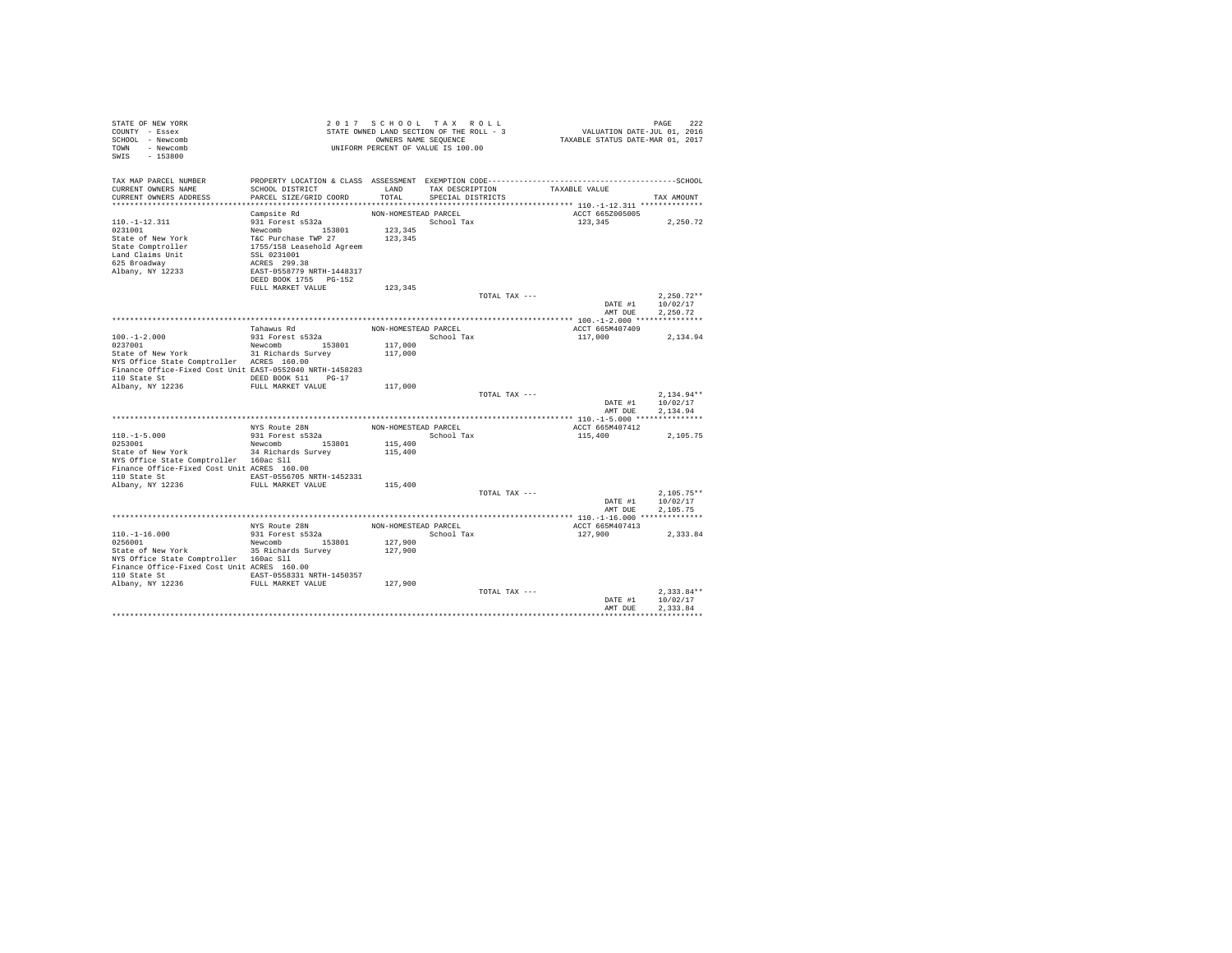| STATE OF NEW YORK<br>COUNTY - Essex<br>SCHOOL - Newcomb<br>TOWN - Newcomb<br>SWIS<br>$-153800$                                                                     |                                                                                                                                                                                            |                      | 2017 SCHOOL TAX ROLL<br>STATE OWNED LAND SECTION OF THE ROLL - 3<br>OWNERS NAME SEOUENCE<br>UNIFORM PERCENT OF VALUE IS 100.00 | PAGE 222<br>VALUATION DATE-JUL 01, 2016<br>TAXABLE STATUS DATE-MAR 01, 2017 | PAGE<br>222                          |
|--------------------------------------------------------------------------------------------------------------------------------------------------------------------|--------------------------------------------------------------------------------------------------------------------------------------------------------------------------------------------|----------------------|--------------------------------------------------------------------------------------------------------------------------------|-----------------------------------------------------------------------------|--------------------------------------|
| TAX MAP PARCEL NUMBER<br>CURRENT OWNERS NAME<br>CURRENT OWNERS ADDRESS                                                                                             | SCHOOL DISTRICT<br>PARCEL SIZE/GRID COORD                                                                                                                                                  | LAND<br>TOTAL        | TAX DESCRIPTION<br>SPECIAL DISTRICTS                                                                                           | TAXABLE VALUE                                                               | TAX AMOUNT                           |
|                                                                                                                                                                    |                                                                                                                                                                                            | NON-HOMESTEAD PARCEL |                                                                                                                                | ACCT 665Z005005                                                             |                                      |
| $110. - 1 - 12.311$<br>0231001<br>State of New York<br>State Comptroller<br>Land Claims Unit<br>625 Broadway<br>Albany, NY 12233                                   | Campsite Rd<br>931 Forest s532a<br>Newcomb 153801<br>T&C Purchase TWP 27<br>1755/158 Leasehold Agreem<br>SSL 0231001<br>ACRES 299.38<br>EAST-0558779 NRTH-1448317<br>DEED BOOK 1755 PG-152 | 123,345<br>123,345   | School Tax                                                                                                                     | 123,345                                                                     | 2,250.72                             |
|                                                                                                                                                                    | FULL MARKET VALUE                                                                                                                                                                          | 123,345              |                                                                                                                                |                                                                             |                                      |
|                                                                                                                                                                    |                                                                                                                                                                                            |                      | TOTAL TAX ---                                                                                                                  | DATE #1<br>AMT DUE                                                          | $2.250.72**$<br>10/02/17<br>2.250.72 |
|                                                                                                                                                                    |                                                                                                                                                                                            |                      |                                                                                                                                |                                                                             |                                      |
|                                                                                                                                                                    | Tahawus Rd                                                                                                                                                                                 | NON-HOMESTEAD PARCEL |                                                                                                                                | ACCT 665M407409                                                             |                                      |
| $100. - 1 - 2.000$<br>0237001<br>State of New York                                                                                                                 | 931 Forest s532a<br>Newcomb 153801                                                                                                                                                         | 117,000              | School Tax                                                                                                                     | 117,000                                                                     | 2,134.94                             |
| NYS Office State Comptroller ACRES 160.00<br>Finance Office-Fixed Cost Unit EAST-0552040 NRTH-1458283<br>110 State St CONDER BOOK 511 PG-17                        | 31 Richards Survey                                                                                                                                                                         | 117,000              |                                                                                                                                |                                                                             |                                      |
| Albany, NY 12236                                                                                                                                                   | FULL MARKET VALUE                                                                                                                                                                          | 117,000              |                                                                                                                                |                                                                             |                                      |
|                                                                                                                                                                    |                                                                                                                                                                                            |                      | TOTAL TAX $---$                                                                                                                | DATE #1<br>AMT DUE                                                          | $2.134.94**$<br>10/02/17<br>2.134.94 |
|                                                                                                                                                                    |                                                                                                                                                                                            |                      |                                                                                                                                |                                                                             |                                      |
|                                                                                                                                                                    | NYS Route 28N                                                                                                                                                                              | NON-HOMESTEAD PARCEL |                                                                                                                                | ACCT 665M407412                                                             |                                      |
| $110. -1 - 5.000$<br>0253001                                                                                                                                       | 931 Forest s532a<br>Newcomb 153801                                                                                                                                                         | 115,400              | School Tax                                                                                                                     | 115,400                                                                     | 2.105.75                             |
| State of New York<br>NYS Office State Comptroller 160ac Sll<br>Finance Office-Fixed Cost Unit ACRES 160.00<br>110 State St  EAST-0556705 NRTH-1452331              | 34 Richards Survey                                                                                                                                                                         | 115,400              |                                                                                                                                |                                                                             |                                      |
| Albany, NY 12236                                                                                                                                                   | FULL MARKET VALUE                                                                                                                                                                          | 115,400              |                                                                                                                                |                                                                             |                                      |
|                                                                                                                                                                    |                                                                                                                                                                                            |                      | TOTAL TAX ---                                                                                                                  | DATE #1<br>AMT DUE                                                          | $2.105.75**$<br>10/02/17<br>2.105.75 |
|                                                                                                                                                                    |                                                                                                                                                                                            |                      |                                                                                                                                |                                                                             |                                      |
| $110. - 1 - 16.000$                                                                                                                                                | NYS Route 28N<br>931 Forest s532a                                                                                                                                                          | NON-HOMESTEAD PARCEL | School Tax                                                                                                                     | ACCT 665M407413<br>127,900                                                  | 2,333.84                             |
| 0256001<br>State of New York<br>NYS Office State Comptroller 160ac Sll<br>Finance Office-Fixed Cost Unit ACRES 160.00<br>110 State St 6. EAST-0558331 NRTH-1450357 | Newcomb 153801<br>35 Richards Survey                                                                                                                                                       | 127,900<br>127,900   |                                                                                                                                |                                                                             |                                      |
| Albany, NY 12236                                                                                                                                                   | FULL MARKET VALUE                                                                                                                                                                          | 127,900              |                                                                                                                                |                                                                             |                                      |
|                                                                                                                                                                    |                                                                                                                                                                                            |                      | TOTAL TAX ---                                                                                                                  | DATE #1<br>AMT DUE                                                          | $2.333.84**$<br>10/02/17<br>2.333.84 |
|                                                                                                                                                                    |                                                                                                                                                                                            |                      |                                                                                                                                |                                                                             |                                      |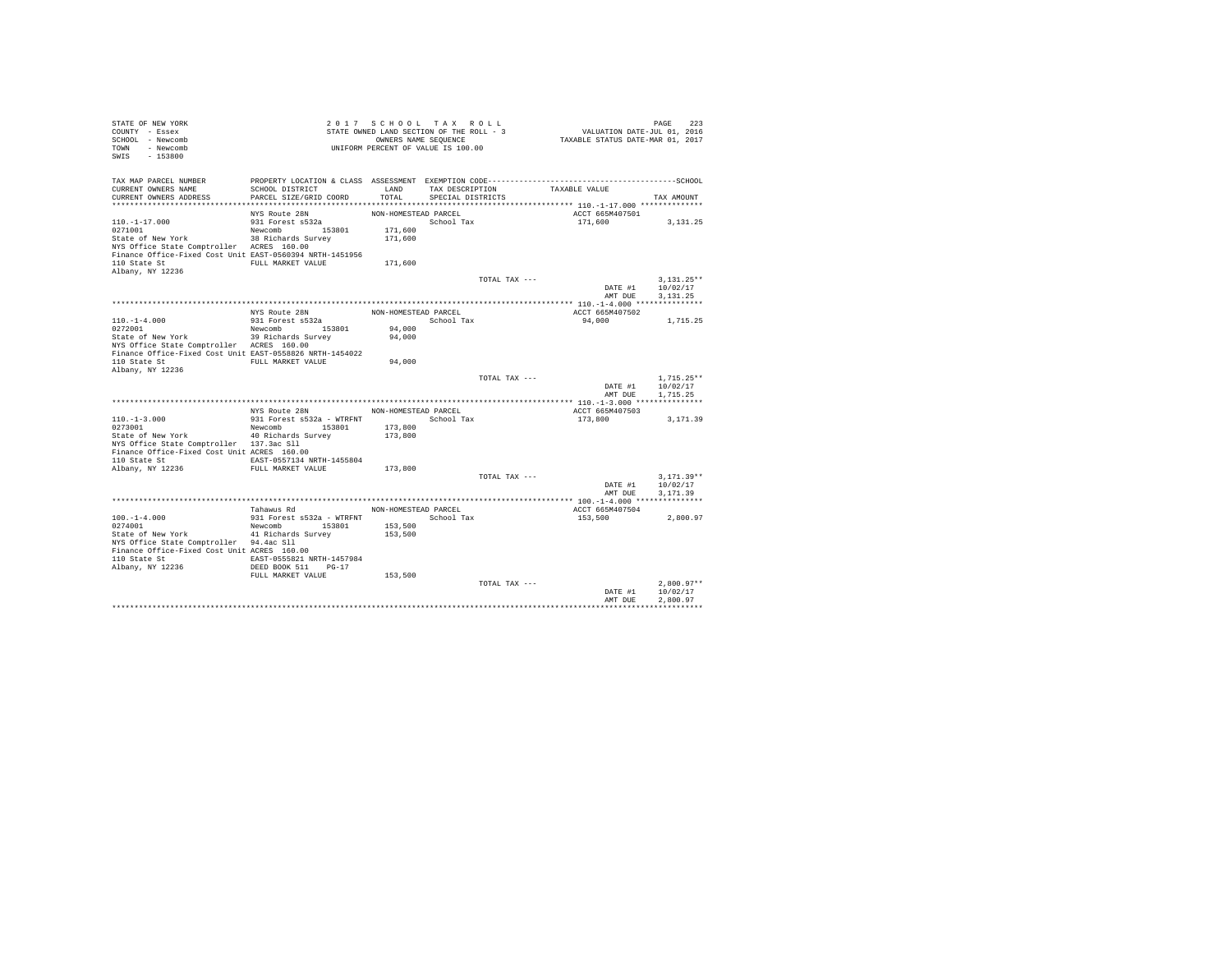| STATE OF NEW YORK<br>COUNTY - Essex<br>SCHOOL - Newcomb<br>TOWN - Newcomb |                                    | 2017 SCHOOL TAX ROLL<br>STATE OWNED LAND SECTION OF THE ROLL - 3<br>OWNERS NAME SEQUENCE<br>UNIFORM PERCENT OF VALUE IS 100.00 |                   |               | VALUATION DATE-JUL 01, 2016<br>TAXABLE STATUS DATE-MAR 01, 2017 | PAGE<br>223              |
|---------------------------------------------------------------------------|------------------------------------|--------------------------------------------------------------------------------------------------------------------------------|-------------------|---------------|-----------------------------------------------------------------|--------------------------|
| SWIS<br>$-153800$                                                         |                                    |                                                                                                                                |                   |               |                                                                 |                          |
| TAX MAP PARCEL NUMBER                                                     |                                    |                                                                                                                                |                   |               |                                                                 |                          |
| CURRENT OWNERS NAME                                                       | SCHOOL DISTRICT                    | LAND                                                                                                                           | TAX DESCRIPTION   |               | TAXABLE VALUE                                                   |                          |
| CURRENT OWNERS ADDRESS                                                    | PARCEL SIZE/GRID COORD             | TOTAL                                                                                                                          | SPECIAL DISTRICTS |               |                                                                 | TAX AMOUNT               |
|                                                                           |                                    |                                                                                                                                |                   |               |                                                                 |                          |
|                                                                           | NYS Route 28N                      | NON-HOMESTEAD PARCEL                                                                                                           |                   |               | ACCT 665M407501                                                 |                          |
| $110. - 1 - 17.000$<br>0271001                                            | 931 Forest s532a<br>Newcomb 153801 | 171,600                                                                                                                        | School Tax        |               | 171,600                                                         | 3.131.25                 |
| State of New York                                                         | 38 Richards Survey                 | 171,600                                                                                                                        |                   |               |                                                                 |                          |
| NYS Office State Comptroller ACRES 160.00                                 |                                    |                                                                                                                                |                   |               |                                                                 |                          |
| Finance Office-Fixed Cost Unit EAST-0560394 NRTH-1451956                  |                                    |                                                                                                                                |                   |               |                                                                 |                          |
| 110 State St                                                              | FULL MARKET VALUE                  | 171,600                                                                                                                        |                   |               |                                                                 |                          |
| Albany, NY 12236                                                          |                                    |                                                                                                                                |                   |               |                                                                 |                          |
|                                                                           |                                    |                                                                                                                                |                   | TOTAL TAX --- |                                                                 | $3.131.25**$             |
|                                                                           |                                    |                                                                                                                                |                   |               | DATE #1                                                         | 10/02/17                 |
|                                                                           |                                    |                                                                                                                                |                   |               | AMT DUE                                                         | 3.131.25                 |
|                                                                           |                                    |                                                                                                                                |                   |               |                                                                 |                          |
| $110. - 1 - 4.000$                                                        | NYS Route 28N                      | NON-HOMESTEAD PARCEL                                                                                                           |                   |               | ACCT 665M407502                                                 |                          |
| 0272001                                                                   | 931 Forest s532a<br>Newcomb 153801 | 94,000                                                                                                                         | School Tax        |               | 94,000                                                          | 1,715.25                 |
| State of New York                                                         | 39 Richards Survey                 | 94,000                                                                                                                         |                   |               |                                                                 |                          |
| NYS Office State Comptroller ACRES 160.00                                 |                                    |                                                                                                                                |                   |               |                                                                 |                          |
| Finance Office-Fixed Cost Unit EAST-0558826 NRTH-1454022                  |                                    |                                                                                                                                |                   |               |                                                                 |                          |
|                                                                           |                                    | 94,000                                                                                                                         |                   |               |                                                                 |                          |
| Albany, NY 12236                                                          |                                    |                                                                                                                                |                   |               |                                                                 |                          |
|                                                                           |                                    |                                                                                                                                |                   | TOTAL TAX --- |                                                                 | $1.715.25**$             |
|                                                                           |                                    |                                                                                                                                |                   |               | DATE #1                                                         | 10/02/17                 |
|                                                                           |                                    |                                                                                                                                |                   |               | AMT DUE                                                         | 1,715.25                 |
|                                                                           | NYS Route 28N                      | NON-HOMESTEAD PARCEL                                                                                                           |                   |               | ACCT 665M407503                                                 |                          |
| $110. - 1 - 3.000$                                                        | 931 Forest s532a - WTRFNT          |                                                                                                                                | School Tax        |               | 173,800                                                         | 3,171.39                 |
| 0273001                                                                   | Newcomb 153801                     | 173,800                                                                                                                        |                   |               |                                                                 |                          |
| State of New York                                                         | 40 Richards Survey                 | 173,800                                                                                                                        |                   |               |                                                                 |                          |
| NYS Office State Comptroller 137.3ac Sll                                  |                                    |                                                                                                                                |                   |               |                                                                 |                          |
| Finance Office-Fixed Cost Unit ACRES 160.00                               |                                    |                                                                                                                                |                   |               |                                                                 |                          |
| 110 State St                                                              | EAST-0557134 NRTH-1455804          |                                                                                                                                |                   |               |                                                                 |                          |
| Albany, NY 12236                                                          | FULL MARKET VALUE                  | 173,800                                                                                                                        |                   |               |                                                                 |                          |
|                                                                           |                                    |                                                                                                                                |                   | TOTAL TAX --- |                                                                 | $3,171.39**$<br>10/02/17 |
|                                                                           |                                    |                                                                                                                                |                   |               | DATE #1<br>AMT DUE                                              | 3,171.39                 |
|                                                                           |                                    |                                                                                                                                |                   |               |                                                                 |                          |
|                                                                           | Tahawus Rd                         | NON-HOMESTEAD PARCEL                                                                                                           |                   |               | ACCT 665M407504                                                 |                          |
| $100. -1 - 4.000$                                                         | 931 Forest s532a - WTRFNT          |                                                                                                                                | School Tax        |               | 153,500                                                         | 2,800.97                 |
| 0274001                                                                   | Newcomb 153801                     | 153,500                                                                                                                        |                   |               |                                                                 |                          |
| State of New York                                                         | 41 Richards Survey                 | 153,500                                                                                                                        |                   |               |                                                                 |                          |
| NYS Office State Comptroller 94.4ac Sll                                   |                                    |                                                                                                                                |                   |               |                                                                 |                          |
| Finance Office-Fixed Cost Unit ACRES 160.00                               |                                    |                                                                                                                                |                   |               |                                                                 |                          |
| 110 State St                                                              | EAST-0555821 NRTH-1457984          |                                                                                                                                |                   |               |                                                                 |                          |
| Albany, NY 12236                                                          | DEED BOOK 511 PG-17                |                                                                                                                                |                   |               |                                                                 |                          |
|                                                                           | FULL MARKET VALUE                  | 153,500                                                                                                                        |                   | TOTAL TAX --- |                                                                 | $2.800.97**$             |
|                                                                           |                                    |                                                                                                                                |                   |               | DATE #1                                                         | 10/02/17                 |
|                                                                           |                                    |                                                                                                                                |                   |               | AMT DUE                                                         | 2.800.97                 |
|                                                                           |                                    |                                                                                                                                |                   |               |                                                                 |                          |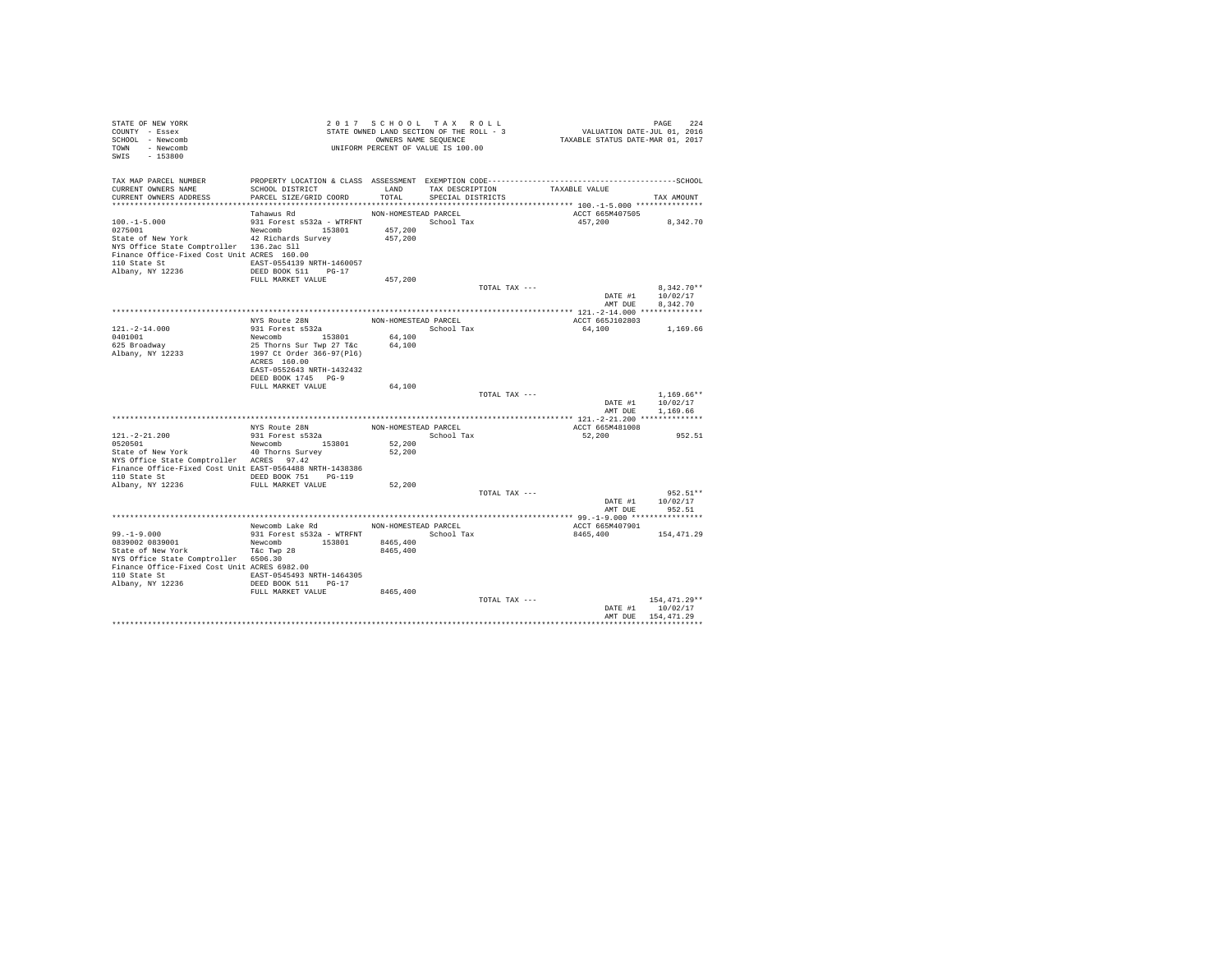| STATE OF NEW YORK<br>COUNTY - Essex<br>SCHOOL - Newcomb<br>TOWN - Newcomb<br>SWIS - 153800           | - - -<br>STATE OWNED LAND SECTION OF THE RULL - -<br>OWNERS NAME SEQUENCE<br>UNIFORM PERCENT OF VALUE IS 100.00 |                      |                      |                                    | PAGE 224<br>VALUATION DATE-JUL 01, 2016<br>TAXABLE STATUS DATE-MAR 01, 2017 |                          |  |
|------------------------------------------------------------------------------------------------------|-----------------------------------------------------------------------------------------------------------------|----------------------|----------------------|------------------------------------|-----------------------------------------------------------------------------|--------------------------|--|
| TAX MAP PARCEL NUMBER                                                                                |                                                                                                                 |                      |                      |                                    |                                                                             |                          |  |
| CURRENT OWNERS NAME                                                                                  | SCHOOL DISTRICT                                                                                                 |                      |                      | LAND TAX DESCRIPTION TAXABLE VALUE |                                                                             |                          |  |
| CURRENT OWNERS ADDRESS                                                                               | PARCEL SIZE/GRID COORD                                                                                          | TOTAL                | SPECIAL DISTRICTS    |                                    |                                                                             | TAX AMOUNT               |  |
|                                                                                                      | Tahawus Rd                                                                                                      | NON-HOMESTEAD PARCEL |                      |                                    | ACCT 665M407505                                                             |                          |  |
| $100.-1-5.000$                                                                                       | 931 Forest s532a - WTRFNT School Tax                                                                            |                      |                      |                                    |                                                                             | 457,200 8,342.70         |  |
| 0275001                                                                                              | Newcomb 153801                                                                                                  | 457,200              |                      |                                    |                                                                             |                          |  |
| State of New York 42 Richards Survey                                                                 |                                                                                                                 | 457,200              |                      |                                    |                                                                             |                          |  |
| NYS Office State Comptroller 136.2ac Sll                                                             |                                                                                                                 |                      |                      |                                    |                                                                             |                          |  |
| Finance Office-Fixed Cost Unit ACRES 160.00                                                          |                                                                                                                 |                      |                      |                                    |                                                                             |                          |  |
| 110 State St 60057 EAST-0554139 NRTH-1460057                                                         |                                                                                                                 |                      |                      |                                    |                                                                             |                          |  |
| Albany, NY 12236                                                                                     | DEED BOOK 511 PG-17                                                                                             |                      |                      |                                    |                                                                             |                          |  |
|                                                                                                      | FULL MARKET VALUE                                                                                               | 457.200              |                      |                                    |                                                                             |                          |  |
|                                                                                                      |                                                                                                                 |                      |                      | TOTAL TAX ---                      | DATE #1                                                                     | $8.342.70**$<br>10/02/17 |  |
|                                                                                                      |                                                                                                                 |                      |                      |                                    | AMT DUE                                                                     | 8,342.70                 |  |
|                                                                                                      |                                                                                                                 |                      |                      |                                    |                                                                             |                          |  |
|                                                                                                      | NYS Route 28N                                                                                                   |                      | NON-HOMESTEAD PARCEL |                                    | ACCT 665J102803                                                             |                          |  |
| $121. - 2 - 14.000$                                                                                  | 931 Forest s532a                                                                                                |                      | School Tax           |                                    | 64,100                                                                      | 1,169.66                 |  |
| 0401001                                                                                              |                                                                                                                 | 64,100               |                      |                                    |                                                                             |                          |  |
| 625 Broadway                                                                                         | Newcomb 153801<br>25 Thorns Sur Twp 27 T&c                                                                      | 64,100               |                      |                                    |                                                                             |                          |  |
| Albany, NY 12233                                                                                     | 1997 Ct Order 366-97(Pl6)                                                                                       |                      |                      |                                    |                                                                             |                          |  |
|                                                                                                      | ACRES 160.00                                                                                                    |                      |                      |                                    |                                                                             |                          |  |
|                                                                                                      | EAST-0552643 NRTH-1432432<br>DEED BOOK 1745 PG-9                                                                |                      |                      |                                    |                                                                             |                          |  |
|                                                                                                      | FULL MARKET VALUE                                                                                               | 64,100               |                      |                                    |                                                                             |                          |  |
|                                                                                                      |                                                                                                                 |                      |                      | TOTAL TAX ---                      |                                                                             | $1.169.66**$             |  |
|                                                                                                      |                                                                                                                 |                      |                      |                                    |                                                                             | DATE #1 10/02/17         |  |
|                                                                                                      |                                                                                                                 |                      |                      |                                    | AMT DUE                                                                     | 1,169.66                 |  |
|                                                                                                      |                                                                                                                 |                      |                      |                                    |                                                                             |                          |  |
|                                                                                                      | NYS Route 28N<br>931 Forest s532a                                                                               |                      | NON-HOMESTEAD PARCEL |                                    | ACCT 665M481008                                                             |                          |  |
| $121. - 2 - 21.200$                                                                                  |                                                                                                                 |                      | School Tax           |                                    | 52,200                                                                      | 952.51                   |  |
| 0520501                                                                                              | Newcomb 153801                                                                                                  | 52,200               |                      |                                    |                                                                             |                          |  |
| State of New York                                                                                    | 40 Thorns Survey                                                                                                | 52,200               |                      |                                    |                                                                             |                          |  |
| NYS Office State Comptroller ACRES 97.42<br>Finance Office-Fixed Cost Unit EAST-0564488 NRTH-1438386 |                                                                                                                 |                      |                      |                                    |                                                                             |                          |  |
|                                                                                                      |                                                                                                                 |                      |                      |                                    |                                                                             |                          |  |
|                                                                                                      |                                                                                                                 | 52,200               |                      |                                    |                                                                             |                          |  |
|                                                                                                      |                                                                                                                 |                      |                      | TOTAL TAX ---                      |                                                                             | $952.51**$               |  |
|                                                                                                      |                                                                                                                 |                      |                      |                                    |                                                                             | DATE #1 10/02/17         |  |
|                                                                                                      |                                                                                                                 |                      |                      |                                    | AMT DUE                                                                     | 952.51                   |  |
|                                                                                                      |                                                                                                                 |                      |                      |                                    |                                                                             |                          |  |
|                                                                                                      | Newcomb Lake Rd NON-HOMESTEAD PARCEL                                                                            |                      |                      |                                    | ACCT 665M407901                                                             |                          |  |
| $99. - 1 - 9.000$                                                                                    |                                                                                                                 |                      |                      |                                    |                                                                             | 8465.400 154.471.29      |  |
| 0839002 0839001                                                                                      | Newcomb 153801                                                                                                  | 8465,400             |                      |                                    |                                                                             |                          |  |
| State of New York<br>NYS Office State Comptroller 6506.30                                            | T&c Twp 28                                                                                                      | 8465,400             |                      |                                    |                                                                             |                          |  |
| Finance Office-Fixed Cost Unit ACRES 6982.00                                                         |                                                                                                                 |                      |                      |                                    |                                                                             |                          |  |
| 110 State St 64305 EAST-0545493 NRTH-1464305                                                         |                                                                                                                 |                      |                      |                                    |                                                                             |                          |  |
| Albany, NY 12236                                                                                     | DEED BOOK 511 PG-17                                                                                             |                      |                      |                                    |                                                                             |                          |  |
|                                                                                                      | FULL MARKET VALUE                                                                                               | 8465,400             |                      |                                    |                                                                             |                          |  |
|                                                                                                      |                                                                                                                 |                      |                      | TOTAL TAX ---                      |                                                                             | 154,471.29**             |  |
|                                                                                                      |                                                                                                                 |                      |                      |                                    |                                                                             | DATE #1 10/02/17         |  |
|                                                                                                      |                                                                                                                 |                      |                      |                                    |                                                                             | AMT DUE 154, 471.29      |  |
|                                                                                                      |                                                                                                                 |                      |                      |                                    |                                                                             |                          |  |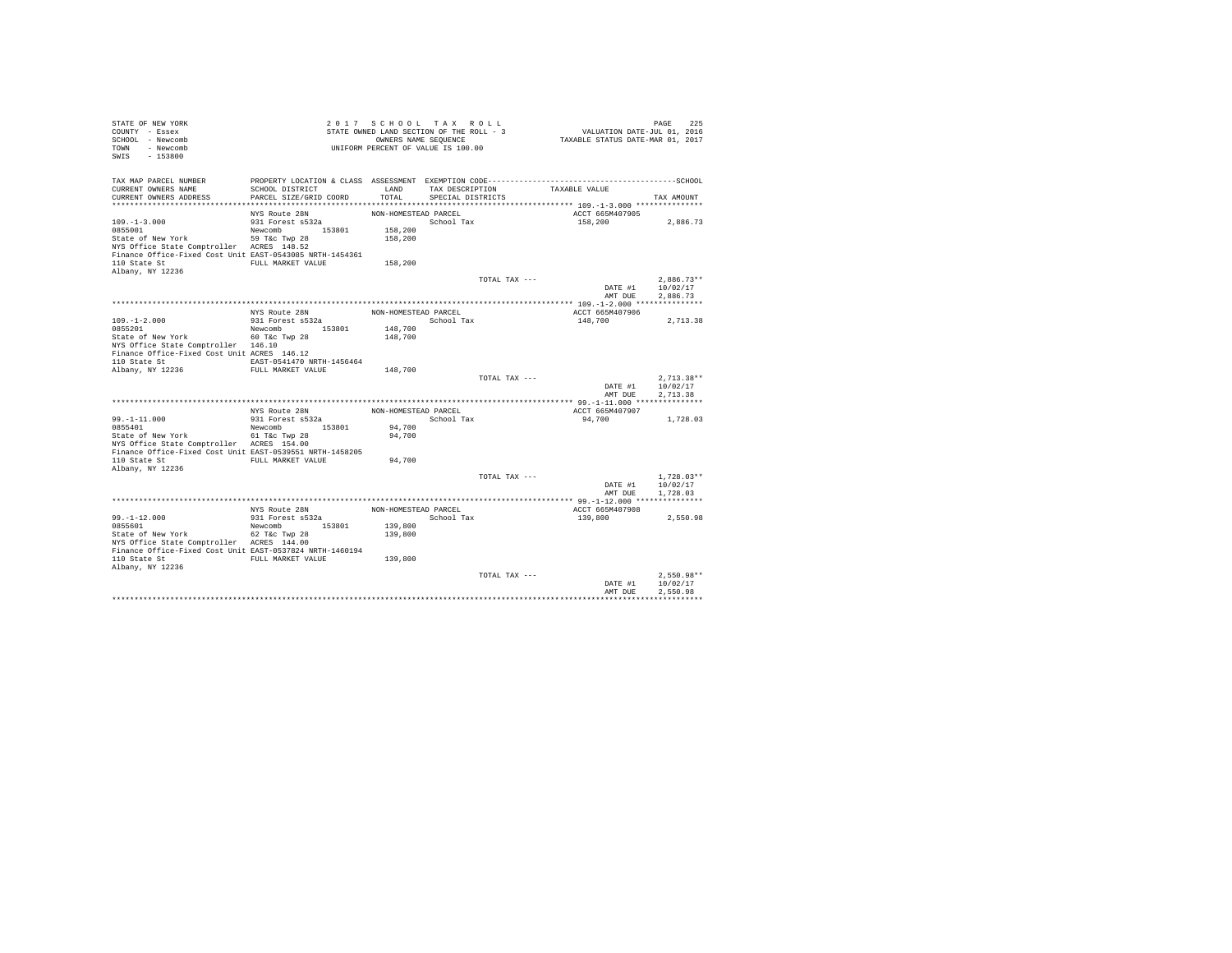| STATE OF NEW YORK<br>COUNTY - Essex<br>SCHOOL - Newcomb<br>TOWN - Newcomb<br>SWIS<br>$-153800$ |                                   |                      | 2017 SCHOOL TAX ROLL<br>STATE OWNED LAND SECTION OF THE ROLL - 3<br>OWNERS NAME SEQUENCE<br>UNIFORM PERCENT OF VALUE IS 100.00 | TAXABLE STATUS DATE-MAR 01, 2017 | PAGE<br>225<br>VALUATION DATE-JUL 01, 2016 |
|------------------------------------------------------------------------------------------------|-----------------------------------|----------------------|--------------------------------------------------------------------------------------------------------------------------------|----------------------------------|--------------------------------------------|
| TAX MAP PARCEL NUMBER<br>CURRENT OWNERS NAME                                                   | SCHOOL DISTRICT                   | LAND                 | TAX DESCRIPTION                                                                                                                | TAXABLE VALUE                    |                                            |
| CURRENT OWNERS ADDRESS                                                                         | PARCEL SIZE/GRID COORD            | TOTAL                | SPECIAL DISTRICTS                                                                                                              |                                  | TAX AMOUNT                                 |
|                                                                                                |                                   |                      |                                                                                                                                |                                  |                                            |
| $109. - 1 - 3.000$                                                                             | NYS Route 28N<br>931 Forest s532a | NON-HOMESTEAD PARCEL | School Tax                                                                                                                     | ACCT 665M407905<br>158,200       |                                            |
| 0855001                                                                                        | Newcomb 153801                    | 158,200              |                                                                                                                                |                                  | 2,886.73                                   |
| State of New York                                                                              | 59 T&c Twp 28                     | 158,200              |                                                                                                                                |                                  |                                            |
| NYS Office State Comptroller ACRES 148.52                                                      |                                   |                      |                                                                                                                                |                                  |                                            |
| Finance Office-Fixed Cost Unit EAST-0543085 NRTH-1454361                                       |                                   |                      |                                                                                                                                |                                  |                                            |
| 110 State St                                                                                   | FULL MARKET VALUE                 | 158,200              |                                                                                                                                |                                  |                                            |
| Albany, NY 12236                                                                               |                                   |                      |                                                                                                                                |                                  |                                            |
|                                                                                                |                                   |                      | TOTAL TAX ---                                                                                                                  | DATE #1                          | $2.886.73**$<br>10/02/17                   |
|                                                                                                |                                   |                      |                                                                                                                                |                                  | AMT DUE<br>2.886.73                        |
|                                                                                                |                                   |                      |                                                                                                                                |                                  |                                            |
|                                                                                                | NYS Route 28N                     | NON-HOMESTEAD PARCEL |                                                                                                                                | ACCT 665M407906                  |                                            |
| $109. - 1 - 2.000$                                                                             | 931 Forest s532a                  |                      | School Tax                                                                                                                     | 148,700                          | 2,713.38                                   |
| 0855201                                                                                        | Newcomb 153801                    | 148,700              |                                                                                                                                |                                  |                                            |
| State of New York                                                                              | 60 T&c Twp 28                     | 148,700              |                                                                                                                                |                                  |                                            |
| NYS Office State Comptroller 146.10<br>Finance Office-Fixed Cost Unit ACRES 146.12             |                                   |                      |                                                                                                                                |                                  |                                            |
| 110 State St                                                                                   | EAST-0541470 NRTH-1456464         |                      |                                                                                                                                |                                  |                                            |
| Albany, NY 12236                                                                               | FULL MARKET VALUE                 | 148,700              |                                                                                                                                |                                  |                                            |
|                                                                                                |                                   |                      | TOTAL TAX ---                                                                                                                  |                                  | $2.713.38**$                               |
|                                                                                                |                                   |                      |                                                                                                                                | DATE #1                          | 10/02/17                                   |
|                                                                                                |                                   |                      |                                                                                                                                | AMT DUE                          | 2.713.38                                   |
|                                                                                                | NYS Route 28N                     | NON-HOMESTEAD PARCEL |                                                                                                                                | ACCT 665M407907                  |                                            |
| $99. -1 - 11.000$                                                                              | 931 Forest s532a                  |                      | School Tax                                                                                                                     | 94,700                           | 1,728.03                                   |
| 0855401                                                                                        | 153801<br>Newcomb                 | 94,700               |                                                                                                                                |                                  |                                            |
| State of New York                                                                              | 61 T&c Twp 28                     | 94,700               |                                                                                                                                |                                  |                                            |
| NYS Office State Comptroller ACRES 154.00                                                      |                                   |                      |                                                                                                                                |                                  |                                            |
| Finance Office-Fixed Cost Unit EAST-0539551 NRTH-1458205                                       |                                   |                      |                                                                                                                                |                                  |                                            |
| 110 State St<br>Albany, NY 12236                                                               | FULL MARKET VALUE                 | 94,700               |                                                                                                                                |                                  |                                            |
|                                                                                                |                                   |                      | TOTAL TAX ---                                                                                                                  |                                  | $1.728.03**$                               |
|                                                                                                |                                   |                      |                                                                                                                                | DATE #1                          | 10/02/17                                   |
|                                                                                                |                                   |                      |                                                                                                                                | AMT DUE                          | 1,728.03                                   |
|                                                                                                |                                   |                      |                                                                                                                                |                                  |                                            |
|                                                                                                | NYS Route 28N                     | NON-HOMESTEAD PARCEL |                                                                                                                                | ACCT 665M407908                  |                                            |
| $99. - 1 - 12.000$                                                                             | 931 Forest s532a                  |                      | School Tax                                                                                                                     | 139,800                          | 2.550.98                                   |
| 0855601<br>State of New York                                                                   | Newcomb 153801<br>62 T&c Twp 28   | 139,800<br>139,800   |                                                                                                                                |                                  |                                            |
| NYS Office State Comptroller ACRES 144.00                                                      |                                   |                      |                                                                                                                                |                                  |                                            |
| Finance Office-Fixed Cost Unit EAST-0537824 NRTH-1460194                                       |                                   |                      |                                                                                                                                |                                  |                                            |
| 110 State St                                                                                   | FULL MARKET VALUE                 | 139,800              |                                                                                                                                |                                  |                                            |
| Albany, NY 12236                                                                               |                                   |                      |                                                                                                                                |                                  |                                            |
|                                                                                                |                                   |                      | TOTAL TAX ---                                                                                                                  |                                  | $2,550.98**$                               |
|                                                                                                |                                   |                      |                                                                                                                                | DATE #1<br>AMT DUE               | 10/02/17<br>2.550.98                       |
|                                                                                                |                                   |                      |                                                                                                                                |                                  |                                            |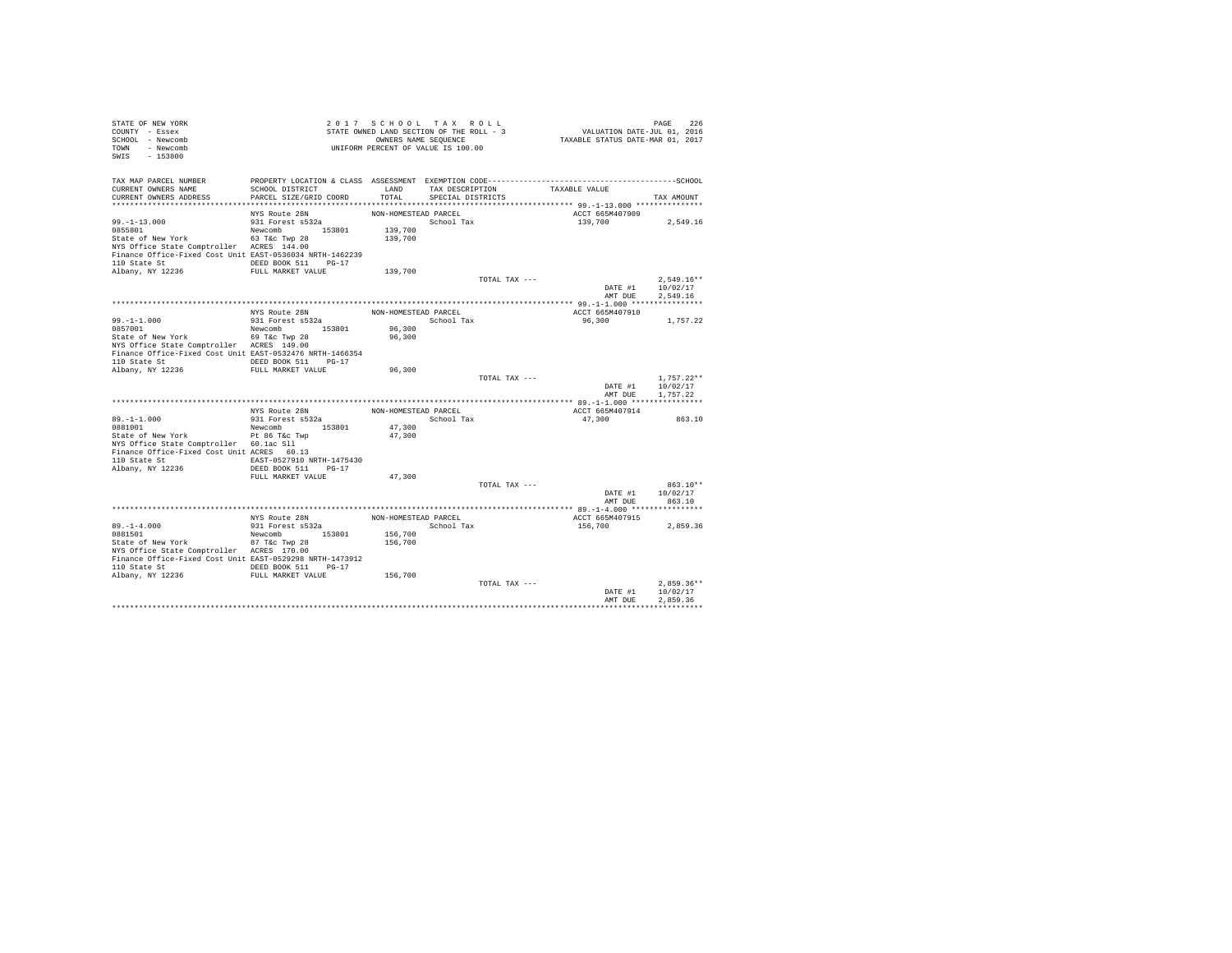| STATE OF NEW YORK<br>COUNTY - Essex                                                     |                                   | 2017 SCHOOL TAX ROLL<br>STATE OWNED LAND SECTION OF THE ROLL - 3 |                         |                               | PAGE 226<br>VALUATION DATE-JUL 01, 2016<br>TAXABLE STATUS DATE-MAR 01, 2017 |                    |
|-----------------------------------------------------------------------------------------|-----------------------------------|------------------------------------------------------------------|-------------------------|-------------------------------|-----------------------------------------------------------------------------|--------------------|
| SCHOOL - Newcomb                                                                        |                                   |                                                                  |                         |                               |                                                                             |                    |
| TOWN - Newcomb                                                                          |                                   | OWNERS NAME SEQUENCE<br>UNIFORM PERCENT OF VALUE IS 100.00       |                         |                               |                                                                             |                    |
| SWIS - 153800                                                                           |                                   |                                                                  |                         |                               |                                                                             |                    |
|                                                                                         |                                   |                                                                  |                         |                               |                                                                             |                    |
|                                                                                         |                                   |                                                                  |                         |                               |                                                                             |                    |
| CURRENT OWNERS NAME                                                                     | SCHOOL DISTRICT                   | LAND                                                             |                         | TAX DESCRIPTION TAXABLE VALUE |                                                                             |                    |
| CURRENT OWNERS ADDRESS                                                                  | PARCEL SIZE/GRID COORD            |                                                                  | TOTAL SPECIAL DISTRICTS |                               |                                                                             | TAX AMOUNT         |
|                                                                                         |                                   |                                                                  |                         |                               |                                                                             |                    |
|                                                                                         | NYS Route 28N<br>931 Forest s532a | NON-HOMESTEAD PARCEL                                             |                         |                               | ACCT 665M407909                                                             |                    |
| $99. -1 - 13.000$                                                                       |                                   | 139,700                                                          | School Tax              |                               | 139,700                                                                     | 2.549.16           |
|                                                                                         |                                   | 139,700                                                          |                         |                               |                                                                             |                    |
| NYS Office State Comptroller ACRES 144.00                                               |                                   |                                                                  |                         |                               |                                                                             |                    |
| Finance Office-Fixed Cost Unit EAST-0536034 NRTH-1462239                                |                                   |                                                                  |                         |                               |                                                                             |                    |
| 110 State St DEED BOOK 511 PG-17                                                        |                                   |                                                                  |                         |                               |                                                                             |                    |
| Albany, NY 12236                                                                        | FULL MARKET VALUE                 | 139,700                                                          |                         |                               |                                                                             |                    |
|                                                                                         |                                   |                                                                  |                         | TOTAL TAX ---                 |                                                                             | $2.549.16**$       |
|                                                                                         |                                   |                                                                  |                         |                               |                                                                             | DATE #1 10/02/17   |
|                                                                                         |                                   |                                                                  |                         |                               |                                                                             | AMT DUE 2.549.16   |
|                                                                                         |                                   |                                                                  |                         |                               |                                                                             |                    |
|                                                                                         | NYS Route 28N<br>931 Forest s532a | NON-HOMESTEAD PARCEL<br>School Tax                               |                         |                               | ACCT 665M407910<br>96,300 1,757.22                                          |                    |
| 99.-1-1.000<br>0857001                                                                  | Newcomb 153801                    | 96,300                                                           |                         |                               |                                                                             |                    |
|                                                                                         |                                   | 96,300                                                           |                         |                               |                                                                             |                    |
| State of New York 69 T&c Twp 28<br>NYS Office State Comptroller ACRES 149.00            |                                   |                                                                  |                         |                               |                                                                             |                    |
| Finance Office-Fixed Cost Unit EAST-0532476 NRTH-1466354                                |                                   |                                                                  |                         |                               |                                                                             |                    |
| 110 State St CONGRESS DEED BOOK 511 PG-17                                               |                                   |                                                                  |                         |                               |                                                                             |                    |
| Albany, NY 12236 FULL MARKET VALUE                                                      |                                   | 96,300                                                           |                         |                               |                                                                             |                    |
|                                                                                         |                                   |                                                                  |                         | TOTAL TAX ---                 |                                                                             | $1.757.22**$       |
|                                                                                         |                                   |                                                                  |                         |                               |                                                                             | DATE #1 10/02/17   |
|                                                                                         |                                   |                                                                  |                         |                               | AMT DUE                                                                     | 1,757.22           |
|                                                                                         |                                   | NON-HOMESTEAD PARCEL                                             |                         |                               | ACCT 665M407914                                                             |                    |
| $89. -1 - 1.000$                                                                        | NYS Route 28N<br>931 Forest s532a |                                                                  | School Tax              |                               | 47,300                                                                      | 863.10             |
| 0881001                                                                                 | Newcomb 153801                    | 47,300                                                           |                         |                               |                                                                             |                    |
| State of New York Pt 86 T&c Twp                                                         |                                   | 47,300                                                           |                         |                               |                                                                             |                    |
| NYS Office State Comptroller 60.1ac S11                                                 |                                   |                                                                  |                         |                               |                                                                             |                    |
| Finance Office-Fixed Cost Unit ACRES 60.13                                              |                                   |                                                                  |                         |                               |                                                                             |                    |
| 110 State St 6. EAST-0527910 NRTH-1475430                                               |                                   |                                                                  |                         |                               |                                                                             |                    |
| Albany, NY 12236                                                                        | DEED BOOK 511 PG-17               |                                                                  |                         |                               |                                                                             |                    |
|                                                                                         | FULL MARKET VALUE                 | 47,300                                                           |                         |                               |                                                                             | $863.10**$         |
|                                                                                         |                                   |                                                                  |                         | TOTAL TAX ---                 |                                                                             | DATE #1   10/02/17 |
|                                                                                         |                                   |                                                                  |                         |                               | AMT DUE                                                                     | 863.10             |
|                                                                                         |                                   |                                                                  |                         |                               |                                                                             |                    |
|                                                                                         | NYS Route 28N                     | NON-HOMESTEAD PARCEL                                             |                         |                               | ACCT 665M407915                                                             |                    |
| $89. - 1 - 4.000$                                                                       | 931 Forest s532a                  |                                                                  | School Tax              |                               | 156,700                                                                     | 2,859.36           |
| 0881501                                                                                 | Newcomb 153801                    | 156,700                                                          |                         |                               |                                                                             |                    |
| UBBLOUT<br>State of New York 87 T&c Twp 28                                              |                                   | 156,700                                                          |                         |                               |                                                                             |                    |
| NYS Office State Comptroller ACRES 170.00                                               |                                   |                                                                  |                         |                               |                                                                             |                    |
| Finance Office-Fixed Cost Unit EAST-0529298 NRTH-1473912                                |                                   |                                                                  |                         |                               |                                                                             |                    |
| 110 State St CONGRESS DEED BOOK 511 PG-17<br>Albany, NY 12236 FULL MARKET VALUE 156,700 |                                   |                                                                  |                         |                               |                                                                             |                    |
|                                                                                         |                                   |                                                                  |                         | TOTAL TAX ---                 |                                                                             | $2.859.36**$       |
|                                                                                         |                                   |                                                                  |                         |                               | DATE #1                                                                     | 10/02/17           |
|                                                                                         |                                   |                                                                  |                         |                               | AMT DUE                                                                     | 2.859.36           |
|                                                                                         |                                   |                                                                  |                         |                               |                                                                             |                    |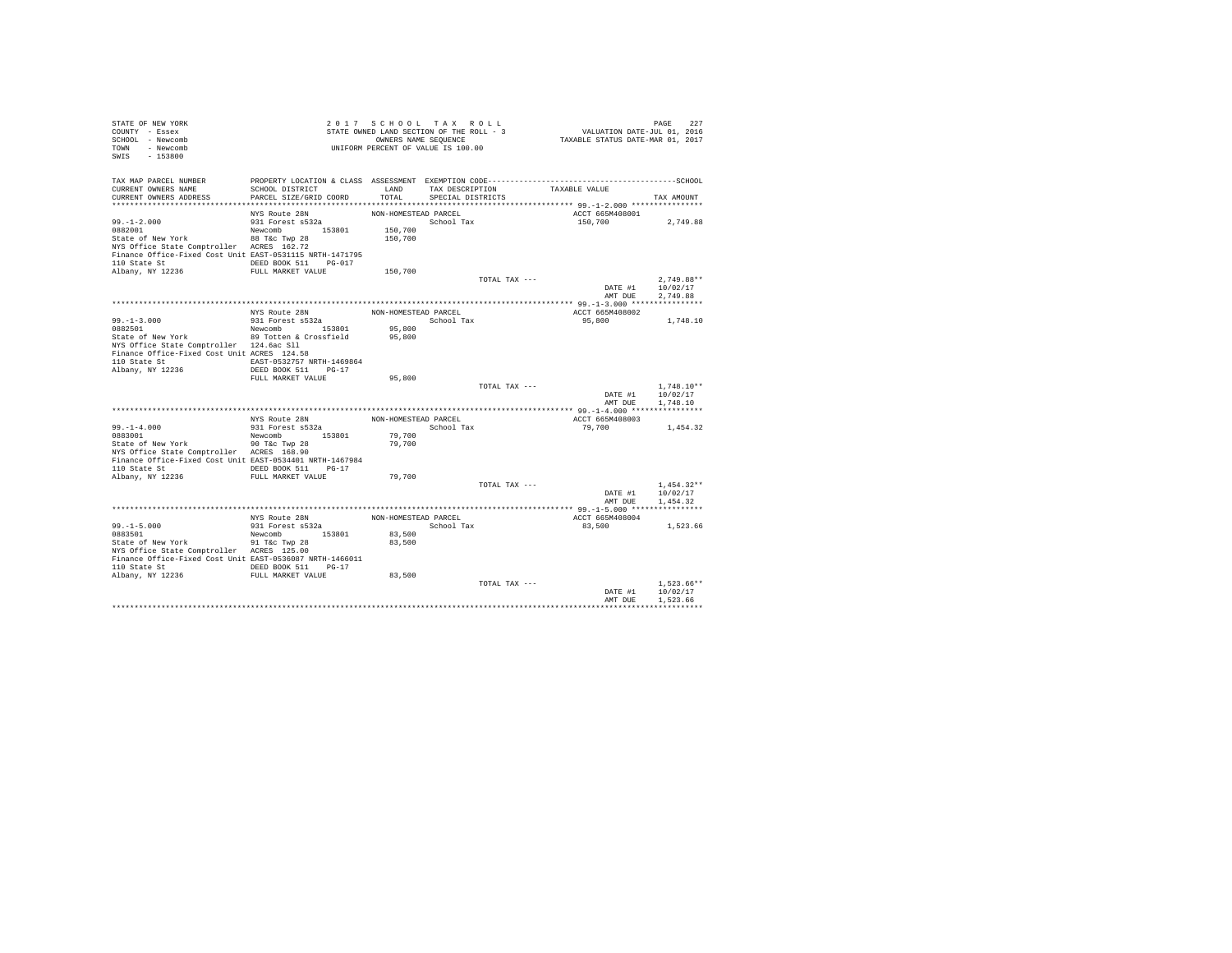| STATE OF NEW YORK<br>COUNTY - Essex                                                                   |                                           |                      | 2017 SCHOOL TAX ROLL<br>STATE OWNED LAND SECTION OF THE ROLL - 3 |                                    | PAGE 227<br>VALUATION DATE-JUL 01, 2016<br>TAXABLE STATUS DATE-MAR 01, 2017 |                                                                                                      |  |
|-------------------------------------------------------------------------------------------------------|-------------------------------------------|----------------------|------------------------------------------------------------------|------------------------------------|-----------------------------------------------------------------------------|------------------------------------------------------------------------------------------------------|--|
| SCHOOL - Newcomb<br>TOWN - Newcomb<br>SWIS - 153800                                                   |                                           |                      | OWNERS NAME SEQUENCE<br>UNIFORM PERCENT OF VALUE IS 100.00       |                                    |                                                                             |                                                                                                      |  |
| TAX MAP PARCEL NUMBER                                                                                 |                                           |                      |                                                                  |                                    |                                                                             |                                                                                                      |  |
| CURRENT OWNERS NAME<br>CURRENT OWNERS ADDRESS                                                         | SCHOOL DISTRICT<br>PARCEL SIZE/GRID COORD | TOTAL                | SPECIAL DISTRICTS                                                | LAND TAX DESCRIPTION TAXABLE VALUE |                                                                             |                                                                                                      |  |
|                                                                                                       |                                           |                      |                                                                  |                                    |                                                                             | TAX AMOUNT                                                                                           |  |
|                                                                                                       | NYS Route 28N                             | NON-HOMESTEAD PARCEL |                                                                  |                                    | ACCT 665M408001                                                             |                                                                                                      |  |
| $99. - 1 - 2.000$                                                                                     | $931$ Forest $s532a$                      |                      | School Tax                                                       |                                    | 150,700 2,749.88                                                            |                                                                                                      |  |
| 0882001                                                                                               | Newcomb 153801                            | 150,700              |                                                                  |                                    |                                                                             |                                                                                                      |  |
| State of New York 88 T&c Twp 28                                                                       |                                           | 150,700              |                                                                  |                                    |                                                                             |                                                                                                      |  |
| NYS Office State Comptroller ACRES 162.72                                                             |                                           |                      |                                                                  |                                    |                                                                             |                                                                                                      |  |
| Finance Office-Fixed Cost Unit EAST-0531115 NRTH-1471795                                              |                                           |                      |                                                                  |                                    |                                                                             |                                                                                                      |  |
| 110 State St CONGRESS DEED BOOK 511 PG-017<br>Albany, NY 12236                                        | FULL MARKET VALUE                         | 150,700              |                                                                  |                                    |                                                                             |                                                                                                      |  |
|                                                                                                       |                                           |                      |                                                                  | TOTAL TAX ---                      |                                                                             | $2.749.88**$                                                                                         |  |
|                                                                                                       |                                           |                      |                                                                  |                                    |                                                                             | DATE #1 10/02/17                                                                                     |  |
|                                                                                                       |                                           |                      |                                                                  |                                    |                                                                             | AMT DUE 2.749.88                                                                                     |  |
|                                                                                                       |                                           |                      |                                                                  |                                    |                                                                             |                                                                                                      |  |
|                                                                                                       | NYS Route 28N<br>931 Forest s532a         |                      | NON-HOMESTEAD PARCEL                                             |                                    | ACCT 665M408002                                                             |                                                                                                      |  |
| 99.-1-3.000<br>0882501                                                                                | Newcomb 153801                            | 95,800               | School Tax                                                       |                                    | 95,800 1,748.10                                                             |                                                                                                      |  |
| State of New York 89 Totten & Crossfield                                                              |                                           | 95,800               |                                                                  |                                    |                                                                             |                                                                                                      |  |
| NYS Office State Comptroller 124.6ac Sll                                                              |                                           |                      |                                                                  |                                    |                                                                             |                                                                                                      |  |
| Finance Office-Fixed Cost Unit ACRES 124.58                                                           |                                           |                      |                                                                  |                                    |                                                                             |                                                                                                      |  |
| 110 State St EAST-0532757 NRTH-1469864                                                                |                                           |                      |                                                                  |                                    |                                                                             |                                                                                                      |  |
| Albany, NY 12236                                                                                      | DEED BOOK 511 PG-17<br>FULL MARKET VALUE  |                      |                                                                  |                                    |                                                                             |                                                                                                      |  |
|                                                                                                       |                                           | 95,800               |                                                                  | TOTAL TAX ---                      |                                                                             | $1.748.10**$                                                                                         |  |
|                                                                                                       |                                           |                      |                                                                  |                                    |                                                                             | $\begin{array}{cc} & 1\,,748\,.\,10\,^\star \cdot \\ \text{DATE \#1} & 10\,/\,02\,/\,17 \end{array}$ |  |
|                                                                                                       |                                           |                      |                                                                  |                                    | AMT DUE                                                                     | 1,748.10                                                                                             |  |
|                                                                                                       |                                           |                      |                                                                  |                                    |                                                                             |                                                                                                      |  |
|                                                                                                       | NYS Route 28N                             |                      | NON-HOMESTEAD PARCEL                                             |                                    | ACCT 665M408003                                                             |                                                                                                      |  |
| $99. -1 - 4.000$<br>0883001                                                                           | 931 Forest s532a<br>Newcomb 153801        |                      | School Tax                                                       |                                    | 79,700                                                                      | 1,454.32                                                                                             |  |
|                                                                                                       |                                           | 79,700<br>79,700     |                                                                  |                                    |                                                                             |                                                                                                      |  |
| State of New York 90 T&c Twp 28<br>NYS Office State Comptroller ACRES 168.90                          |                                           |                      |                                                                  |                                    |                                                                             |                                                                                                      |  |
| Finance Office-Fixed Cost Unit EAST-0534401 NRTH-1467984                                              |                                           |                      |                                                                  |                                    |                                                                             |                                                                                                      |  |
| 110 State St CDEED BOOK 511 PG-17                                                                     |                                           |                      |                                                                  |                                    |                                                                             |                                                                                                      |  |
| Albany, NY 12236 FULL MARKET VALUE                                                                    |                                           | 79,700               |                                                                  |                                    |                                                                             |                                                                                                      |  |
|                                                                                                       |                                           |                      |                                                                  | TOTAL TAX ---                      |                                                                             | $1,454.32**$<br>$\text{DATE}$ #1 $10/02/17$                                                          |  |
|                                                                                                       |                                           |                      |                                                                  |                                    | AMT DUE                                                                     | 1,454.32                                                                                             |  |
|                                                                                                       |                                           |                      |                                                                  |                                    |                                                                             |                                                                                                      |  |
|                                                                                                       | NYS Route 28N                             | NON-HOMESTEAD PARCEL |                                                                  |                                    | ACCT 665M408004                                                             |                                                                                                      |  |
| $99. -1 - 5.000$                                                                                      | 931 Forest s532a                          |                      | School Tax                                                       |                                    | 83,500                                                                      | 1,523.66                                                                                             |  |
| 0883501                                                                                               | Newcomb 153801                            | 83,500               |                                                                  |                                    |                                                                             |                                                                                                      |  |
| State of New York 91 T&C Twp 28                                                                       |                                           | 83,500               |                                                                  |                                    |                                                                             |                                                                                                      |  |
| NYS Office State Comptroller ACRES 125.00<br>Finance Office-Fixed Cost Unit EAST-0536087 NRTH-1466011 |                                           |                      |                                                                  |                                    |                                                                             |                                                                                                      |  |
| 110 State St CONGRESS DEED BOOK 511 PG-17                                                             |                                           |                      |                                                                  |                                    |                                                                             |                                                                                                      |  |
| Albany, NY 12236 FULL MARKET VALUE                                                                    |                                           | 83,500               |                                                                  |                                    |                                                                             |                                                                                                      |  |
|                                                                                                       |                                           |                      |                                                                  | TOTAL TAX ---                      |                                                                             | $1.523.66**$                                                                                         |  |
|                                                                                                       |                                           |                      |                                                                  |                                    | DATE #1                                                                     | 10/02/17                                                                                             |  |
|                                                                                                       |                                           |                      |                                                                  |                                    | AMT DUE                                                                     | 1.523.66                                                                                             |  |
|                                                                                                       |                                           |                      |                                                                  |                                    |                                                                             |                                                                                                      |  |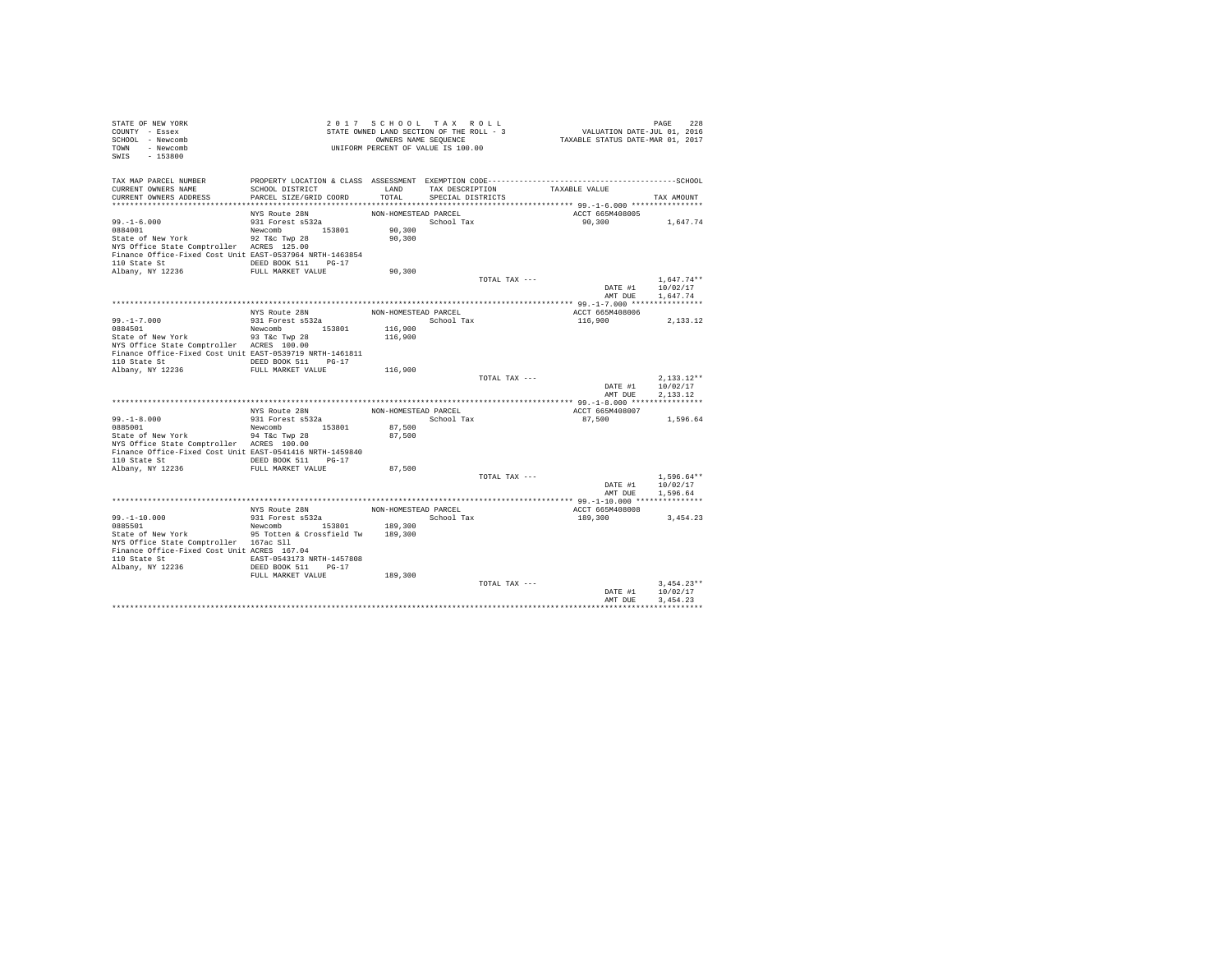| STATE OF NEW YORK                                                            |                                   | 2017 SCHOOL TAX ROLL                                       |                         |                                                                                                                            | PAGE 228<br>VALUATION DATE-JUL 01, 2016<br>TAXABLE STATUS DATE-MAR 01, 2017 |                  |
|------------------------------------------------------------------------------|-----------------------------------|------------------------------------------------------------|-------------------------|----------------------------------------------------------------------------------------------------------------------------|-----------------------------------------------------------------------------|------------------|
| COUNTY - Essex                                                               |                                   | STATE OWNED LAND SECTION OF THE ROLL - 3                   |                         |                                                                                                                            |                                                                             |                  |
| SCHOOL - Newcomb<br>TOWN - Newcomb                                           |                                   | OWNERS NAME SEQUENCE<br>UNIFORM PERCENT OF VALUE IS 100.00 |                         |                                                                                                                            |                                                                             |                  |
| SWIS - 153800                                                                |                                   |                                                            |                         |                                                                                                                            |                                                                             |                  |
|                                                                              |                                   |                                                            |                         |                                                                                                                            |                                                                             |                  |
|                                                                              |                                   |                                                            |                         |                                                                                                                            |                                                                             |                  |
| TAX MAP PARCEL NUMBER                                                        |                                   |                                                            |                         |                                                                                                                            |                                                                             |                  |
| CURRENT OWNERS NAME                                                          | SCHOOL DISTRICT                   |                                                            |                         | ${\tt LAND} \hspace{20pt} {\tt TAX} \hspace{20pt} {\tt PESCRIPTION} \hspace{20pt} {\tt TAXABLE} \hspace{20pt} {\tt VALUE}$ |                                                                             |                  |
| CURRENT OWNERS ADDRESS                                                       | PARCEL SIZE/GRID COORD            |                                                            | TOTAL SPECIAL DISTRICTS |                                                                                                                            |                                                                             | TAX AMOUNT       |
|                                                                              |                                   | NON-HOMESTEAD PARCEL                                       |                         |                                                                                                                            | ACCT 665M408005                                                             |                  |
| $99. - 1 - 6.000$                                                            | NYS Route 28N<br>931 Forest s532a |                                                            | School Tax              |                                                                                                                            | 90,300 1,647.74                                                             |                  |
| 0884001                                                                      | Newcomb 153801                    | 90,300                                                     |                         |                                                                                                                            |                                                                             |                  |
| State of New York 92 T&c Twp 28                                              |                                   | 90,300                                                     |                         |                                                                                                                            |                                                                             |                  |
| NYS Office State Comptroller ACRES 125.00                                    |                                   |                                                            |                         |                                                                                                                            |                                                                             |                  |
| Finance Office-Fixed Cost Unit EAST-0537964 NRTH-1463854                     |                                   |                                                            |                         |                                                                                                                            |                                                                             |                  |
| 110 State St CONGRESS DEED BOOK 511 PG-17                                    |                                   |                                                            |                         |                                                                                                                            |                                                                             |                  |
| Albany, NY 12236                                                             | FULL MARKET VALUE                 | 90,300                                                     |                         |                                                                                                                            |                                                                             |                  |
|                                                                              |                                   |                                                            |                         | TOTAL TAX ---                                                                                                              |                                                                             | $1.647.74**$     |
|                                                                              |                                   |                                                            |                         |                                                                                                                            |                                                                             | DATE #1 10/02/17 |
|                                                                              |                                   |                                                            |                         |                                                                                                                            | AMT DUE                                                                     | 1,647.74         |
|                                                                              |                                   |                                                            |                         |                                                                                                                            |                                                                             |                  |
|                                                                              | NYS Route 28N<br>931 Forest s532a | NON-HOMESTEAD PARCEL                                       |                         |                                                                                                                            | ACCT 665M408006                                                             |                  |
| 99.-1-7.000<br>0884501                                                       |                                   |                                                            |                         | School Tax                                                                                                                 | 116,900                                                                     | 2,133.12         |
|                                                                              | Newcomb 153801                    | 116,900                                                    |                         |                                                                                                                            |                                                                             |                  |
| State of New York 93 T&c Twp 28<br>NYS Office State Comptroller ACRES 100.00 |                                   | 116,900                                                    |                         |                                                                                                                            |                                                                             |                  |
|                                                                              |                                   |                                                            |                         |                                                                                                                            |                                                                             |                  |
| Finance Office-Fixed Cost Unit EAST-0539719 NRTH-1461811                     |                                   |                                                            |                         |                                                                                                                            |                                                                             |                  |
|                                                                              |                                   |                                                            |                         |                                                                                                                            |                                                                             |                  |
|                                                                              |                                   | 116,900                                                    |                         | TOTAL TAX ---                                                                                                              |                                                                             | $2.133.12**$     |
|                                                                              |                                   |                                                            |                         |                                                                                                                            |                                                                             | DATE #1 10/02/17 |
|                                                                              |                                   |                                                            |                         |                                                                                                                            | AMT DUE                                                                     | 2.133.12         |
|                                                                              |                                   |                                                            |                         |                                                                                                                            |                                                                             |                  |
|                                                                              | NYS Route 28N                     | NON-HOMESTEAD PARCEL                                       |                         |                                                                                                                            | ACCT 665M408007                                                             |                  |
| $99. -1 - 8.000$                                                             | 931 Forest s532a                  |                                                            | School Tax              |                                                                                                                            | 87,500                                                                      | 1,596.64         |
| 0885001                                                                      | Newcomb 153801                    | 87,500                                                     |                         |                                                                                                                            |                                                                             |                  |
| State of New York                                                            | 94 T&C Twp 28                     | 87,500                                                     |                         |                                                                                                                            |                                                                             |                  |
| NYS Office State Comptroller ACRES 100.00                                    |                                   |                                                            |                         |                                                                                                                            |                                                                             |                  |
| Finance Office-Fixed Cost Unit EAST-0541416 NRTH-1459840                     |                                   |                                                            |                         |                                                                                                                            |                                                                             |                  |
| 110 State St 6. DEED BOOK 511 PG-17                                          |                                   |                                                            |                         |                                                                                                                            |                                                                             |                  |
| Albany, NY 12236                                                             | FULL MARKET VALUE                 | 87,500                                                     |                         |                                                                                                                            |                                                                             |                  |
|                                                                              |                                   |                                                            |                         | TOTAL TAX ---                                                                                                              |                                                                             | $1,596.64**$     |
|                                                                              |                                   |                                                            |                         |                                                                                                                            |                                                                             | DATE #1 10/02/17 |
|                                                                              |                                   |                                                            |                         |                                                                                                                            |                                                                             | AMT DUE 1,596.64 |
|                                                                              |                                   | NON-HOMESTEAD PARCEL                                       |                         |                                                                                                                            |                                                                             |                  |
|                                                                              | NYS Route 28N<br>931 Forest s532a |                                                            |                         |                                                                                                                            | ACCT 665M408008                                                             |                  |
| 99.-1-10.000<br>0885501                                                      | Newcomb 153801 189,300            | School Tax                                                 |                         |                                                                                                                            | 189,300                                                                     | 3,454.23         |
| State of New York 95 Totten & Crossfield Tw 189,300                          |                                   |                                                            |                         |                                                                                                                            |                                                                             |                  |
| NYS Office State Comptroller 167ac Sll                                       |                                   |                                                            |                         |                                                                                                                            |                                                                             |                  |
| Finance Office-Fixed Cost Unit ACRES 167.04                                  |                                   |                                                            |                         |                                                                                                                            |                                                                             |                  |
| 110 State St  EAST-0543173 NRTH-1457808                                      |                                   |                                                            |                         |                                                                                                                            |                                                                             |                  |
| Albany, NY 12236                                                             | DEED BOOK 511 PG-17               |                                                            |                         |                                                                                                                            |                                                                             |                  |
|                                                                              | FULL MARKET VALUE                 | 189,300                                                    |                         |                                                                                                                            |                                                                             |                  |
|                                                                              |                                   |                                                            |                         | TOTAL TAX ---                                                                                                              |                                                                             | $3.454.23**$     |
|                                                                              |                                   |                                                            |                         |                                                                                                                            | DATE #1                                                                     | 10/02/17         |
|                                                                              |                                   |                                                            |                         |                                                                                                                            | AMT DUE                                                                     | 3.454.23         |
|                                                                              |                                   |                                                            |                         |                                                                                                                            |                                                                             |                  |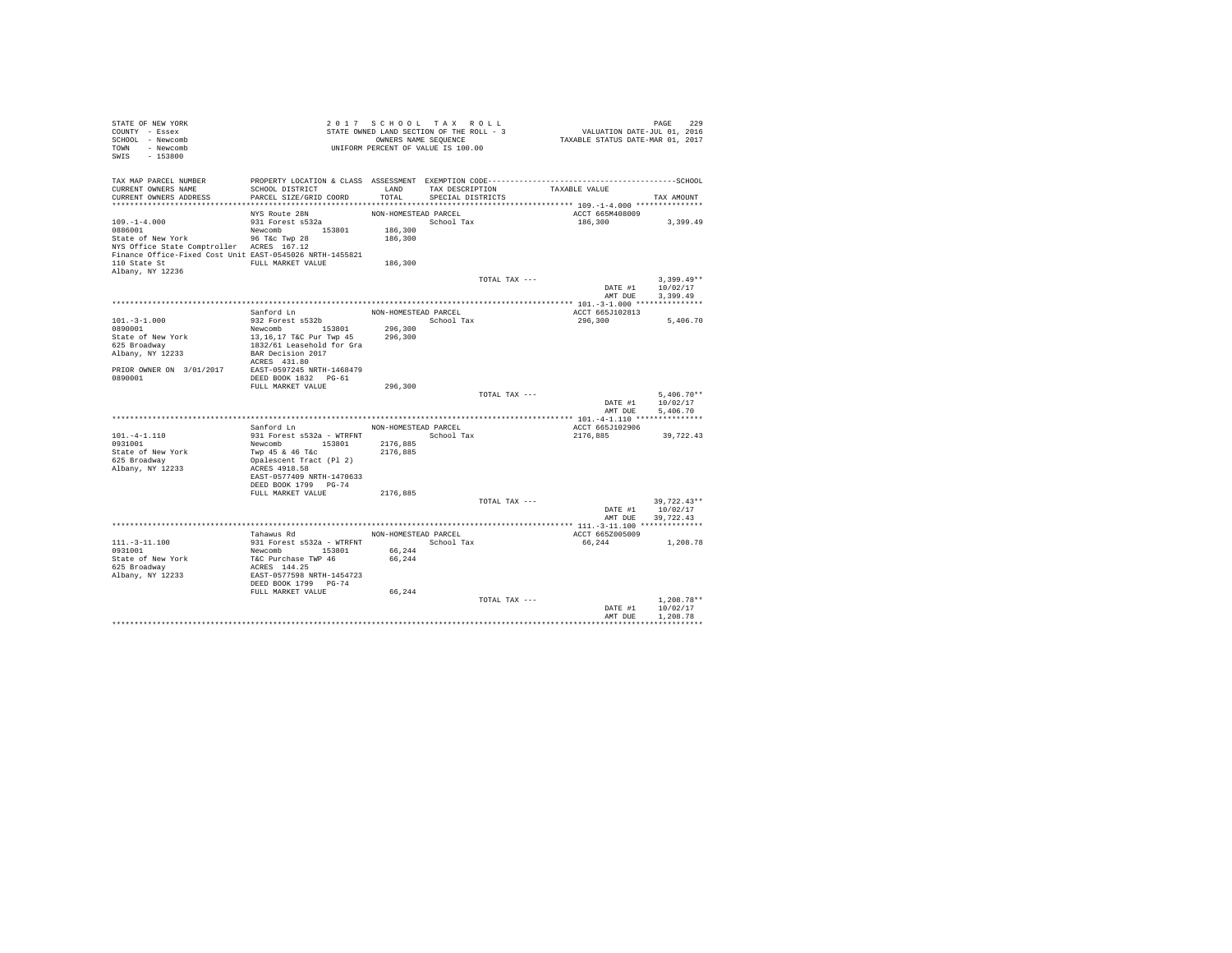| VALUATION DATE-JUL $01, 2016$<br>TAXABLE STATUS DATE-MAR 01, 2017<br>OWNERS NAME SEQUENCE<br>UNIFORM PERCENT OF VALUE IS 100.00<br>- Newcomb<br>$-153800$<br>TAX MAP PARCEL NUMBER<br>PROPERTY LOCATION & CLASS ASSESSMENT EXEMPTION CODE-----------------------------------SCHOOL<br>CURRENT OWNERS NAME<br>SCHOOL DISTRICT<br>LAND<br>TAX DESCRIPTION<br>TAXABLE VALUE<br>PARCEL SIZE/GRID COORD<br>TOTAL<br>CURRENT OWNERS ADDRESS<br>SPECIAL DISTRICTS<br>TAX AMOUNT<br>**************************<br>ACCT 665M408009<br>NON-HOMESTEAD PARCEL<br>NYS Route 28N<br>$109. - 1 - 4.000$<br>931 Forest s532a<br>School Tax<br>186,300<br>3,399.49<br>Newcomb 153801<br>186,300<br>96 T&c Twp 28<br>186,300<br>NYS Office State Comptroller ACRES 167.12<br>Finance Office-Fixed Cost Unit EAST-0545026 NRTH-1455821<br>186,300<br>FULL MARKET VALUE<br>Albany, NY 12236<br>$3.399.49**$<br>TOTAL TAX ---<br>DATE #1<br>10/02/17<br>3,399.49<br>AMT DUE<br>Sanford Ln<br>NON-HOMESTEAD PARCEL<br>ACCT 665J102813<br>932 Forest s532b<br>$101. - 3 - 1.000$<br>School Tax<br>296,300<br>5,406.70<br>Newcomb 153801<br>0890001<br>296,300<br>State of New York<br>13,16,17 T&C Pur Twp 45<br>296,300<br>625 Broadway<br>1832/61 Leasehold for Gra<br>BAR Decision 2017<br>Albany, NY 12233<br>ACRES 431.80<br>PRIOR OWNER ON 3/01/2017<br>EAST-0597245 NRTH-1468479<br>DEED BOOK 1832 PG-61<br>FULL MARKET VALUE<br>296,300<br>TOTAL TAX ---<br>$5.406.70**$<br>10/02/17<br>DATE #1<br>5,406.70<br>AMT DUE<br>Sanford Ln<br>NON-HOMESTEAD PARCEL<br>ACCT 665J102906<br>$101. -4 - 1.110$<br>931 Forest s532a - WTRFNT<br>School Tax<br>2176,885<br>39,722.43<br>0931001<br>Newcomb 153801<br>2176,885<br>State of New York<br>Twp 45 & 46 T&C<br>2176,885<br>625 Broadway<br>Opalescent Tract (Pl 2)<br>ACRES 4918.58<br>Albany, NY 12233<br>EAST-0577409 NRTH-1470633<br>DEED BOOK 1799 PG-74<br>2176,885<br>FULL MARKET VALUE<br>TOTAL TAX ---<br>39,722.43**<br>10/02/17<br>DATE #1<br>AMT DUE<br>39.722.43<br>NON-HOMESTEAD PARCEL<br>Tahawus Rd<br>ACCT 665Z005009<br>931 Forest s532a - WTRFNT<br>School Tax<br>66,244<br>1,208.78<br>Newcomb 153801<br>66,244<br>T&C Purchase TWP 46<br>66,244<br>ACRES 144.25<br>EAST-0577598 NRTH-1454723<br>Albany, NY 12233<br>DEED BOOK 1799 PG-74<br>FULL MARKET VALUE<br>66.244<br>$1.208.78**$<br>TOTAL TAX ---<br>DATE #1<br>10/02/17<br>AMT DUE<br>1,208.78<br>************ | STATE OF NEW YORK<br>COUNTY - Essex |  | 2017 SCHOOL TAX ROLL<br>STATE OWNED LAND SECTION OF THE ROLL - 3 |  | PAGE | 229 |
|---------------------------------------------------------------------------------------------------------------------------------------------------------------------------------------------------------------------------------------------------------------------------------------------------------------------------------------------------------------------------------------------------------------------------------------------------------------------------------------------------------------------------------------------------------------------------------------------------------------------------------------------------------------------------------------------------------------------------------------------------------------------------------------------------------------------------------------------------------------------------------------------------------------------------------------------------------------------------------------------------------------------------------------------------------------------------------------------------------------------------------------------------------------------------------------------------------------------------------------------------------------------------------------------------------------------------------------------------------------------------------------------------------------------------------------------------------------------------------------------------------------------------------------------------------------------------------------------------------------------------------------------------------------------------------------------------------------------------------------------------------------------------------------------------------------------------------------------------------------------------------------------------------------------------------------------------------------------------------------------------------------------------------------------------------------------------------------------------------------------------------------------------------------------------------------------------------------------------------------------------------------------------------------------------------------------------------------------------------------------------------------------------------------------------|-------------------------------------|--|------------------------------------------------------------------|--|------|-----|
|                                                                                                                                                                                                                                                                                                                                                                                                                                                                                                                                                                                                                                                                                                                                                                                                                                                                                                                                                                                                                                                                                                                                                                                                                                                                                                                                                                                                                                                                                                                                                                                                                                                                                                                                                                                                                                                                                                                                                                                                                                                                                                                                                                                                                                                                                                                                                                                                                           | SCHOOL - Newcomb                    |  |                                                                  |  |      |     |
|                                                                                                                                                                                                                                                                                                                                                                                                                                                                                                                                                                                                                                                                                                                                                                                                                                                                                                                                                                                                                                                                                                                                                                                                                                                                                                                                                                                                                                                                                                                                                                                                                                                                                                                                                                                                                                                                                                                                                                                                                                                                                                                                                                                                                                                                                                                                                                                                                           | TOWN                                |  |                                                                  |  |      |     |
|                                                                                                                                                                                                                                                                                                                                                                                                                                                                                                                                                                                                                                                                                                                                                                                                                                                                                                                                                                                                                                                                                                                                                                                                                                                                                                                                                                                                                                                                                                                                                                                                                                                                                                                                                                                                                                                                                                                                                                                                                                                                                                                                                                                                                                                                                                                                                                                                                           | SWIS                                |  |                                                                  |  |      |     |
|                                                                                                                                                                                                                                                                                                                                                                                                                                                                                                                                                                                                                                                                                                                                                                                                                                                                                                                                                                                                                                                                                                                                                                                                                                                                                                                                                                                                                                                                                                                                                                                                                                                                                                                                                                                                                                                                                                                                                                                                                                                                                                                                                                                                                                                                                                                                                                                                                           |                                     |  |                                                                  |  |      |     |
|                                                                                                                                                                                                                                                                                                                                                                                                                                                                                                                                                                                                                                                                                                                                                                                                                                                                                                                                                                                                                                                                                                                                                                                                                                                                                                                                                                                                                                                                                                                                                                                                                                                                                                                                                                                                                                                                                                                                                                                                                                                                                                                                                                                                                                                                                                                                                                                                                           |                                     |  |                                                                  |  |      |     |
|                                                                                                                                                                                                                                                                                                                                                                                                                                                                                                                                                                                                                                                                                                                                                                                                                                                                                                                                                                                                                                                                                                                                                                                                                                                                                                                                                                                                                                                                                                                                                                                                                                                                                                                                                                                                                                                                                                                                                                                                                                                                                                                                                                                                                                                                                                                                                                                                                           |                                     |  |                                                                  |  |      |     |
|                                                                                                                                                                                                                                                                                                                                                                                                                                                                                                                                                                                                                                                                                                                                                                                                                                                                                                                                                                                                                                                                                                                                                                                                                                                                                                                                                                                                                                                                                                                                                                                                                                                                                                                                                                                                                                                                                                                                                                                                                                                                                                                                                                                                                                                                                                                                                                                                                           |                                     |  |                                                                  |  |      |     |
|                                                                                                                                                                                                                                                                                                                                                                                                                                                                                                                                                                                                                                                                                                                                                                                                                                                                                                                                                                                                                                                                                                                                                                                                                                                                                                                                                                                                                                                                                                                                                                                                                                                                                                                                                                                                                                                                                                                                                                                                                                                                                                                                                                                                                                                                                                                                                                                                                           |                                     |  |                                                                  |  |      |     |
|                                                                                                                                                                                                                                                                                                                                                                                                                                                                                                                                                                                                                                                                                                                                                                                                                                                                                                                                                                                                                                                                                                                                                                                                                                                                                                                                                                                                                                                                                                                                                                                                                                                                                                                                                                                                                                                                                                                                                                                                                                                                                                                                                                                                                                                                                                                                                                                                                           |                                     |  |                                                                  |  |      |     |
|                                                                                                                                                                                                                                                                                                                                                                                                                                                                                                                                                                                                                                                                                                                                                                                                                                                                                                                                                                                                                                                                                                                                                                                                                                                                                                                                                                                                                                                                                                                                                                                                                                                                                                                                                                                                                                                                                                                                                                                                                                                                                                                                                                                                                                                                                                                                                                                                                           |                                     |  |                                                                  |  |      |     |
|                                                                                                                                                                                                                                                                                                                                                                                                                                                                                                                                                                                                                                                                                                                                                                                                                                                                                                                                                                                                                                                                                                                                                                                                                                                                                                                                                                                                                                                                                                                                                                                                                                                                                                                                                                                                                                                                                                                                                                                                                                                                                                                                                                                                                                                                                                                                                                                                                           | 0886001                             |  |                                                                  |  |      |     |
|                                                                                                                                                                                                                                                                                                                                                                                                                                                                                                                                                                                                                                                                                                                                                                                                                                                                                                                                                                                                                                                                                                                                                                                                                                                                                                                                                                                                                                                                                                                                                                                                                                                                                                                                                                                                                                                                                                                                                                                                                                                                                                                                                                                                                                                                                                                                                                                                                           | State of New York                   |  |                                                                  |  |      |     |
|                                                                                                                                                                                                                                                                                                                                                                                                                                                                                                                                                                                                                                                                                                                                                                                                                                                                                                                                                                                                                                                                                                                                                                                                                                                                                                                                                                                                                                                                                                                                                                                                                                                                                                                                                                                                                                                                                                                                                                                                                                                                                                                                                                                                                                                                                                                                                                                                                           |                                     |  |                                                                  |  |      |     |
|                                                                                                                                                                                                                                                                                                                                                                                                                                                                                                                                                                                                                                                                                                                                                                                                                                                                                                                                                                                                                                                                                                                                                                                                                                                                                                                                                                                                                                                                                                                                                                                                                                                                                                                                                                                                                                                                                                                                                                                                                                                                                                                                                                                                                                                                                                                                                                                                                           |                                     |  |                                                                  |  |      |     |
|                                                                                                                                                                                                                                                                                                                                                                                                                                                                                                                                                                                                                                                                                                                                                                                                                                                                                                                                                                                                                                                                                                                                                                                                                                                                                                                                                                                                                                                                                                                                                                                                                                                                                                                                                                                                                                                                                                                                                                                                                                                                                                                                                                                                                                                                                                                                                                                                                           | 110 State St                        |  |                                                                  |  |      |     |
|                                                                                                                                                                                                                                                                                                                                                                                                                                                                                                                                                                                                                                                                                                                                                                                                                                                                                                                                                                                                                                                                                                                                                                                                                                                                                                                                                                                                                                                                                                                                                                                                                                                                                                                                                                                                                                                                                                                                                                                                                                                                                                                                                                                                                                                                                                                                                                                                                           |                                     |  |                                                                  |  |      |     |
|                                                                                                                                                                                                                                                                                                                                                                                                                                                                                                                                                                                                                                                                                                                                                                                                                                                                                                                                                                                                                                                                                                                                                                                                                                                                                                                                                                                                                                                                                                                                                                                                                                                                                                                                                                                                                                                                                                                                                                                                                                                                                                                                                                                                                                                                                                                                                                                                                           |                                     |  |                                                                  |  |      |     |
|                                                                                                                                                                                                                                                                                                                                                                                                                                                                                                                                                                                                                                                                                                                                                                                                                                                                                                                                                                                                                                                                                                                                                                                                                                                                                                                                                                                                                                                                                                                                                                                                                                                                                                                                                                                                                                                                                                                                                                                                                                                                                                                                                                                                                                                                                                                                                                                                                           |                                     |  |                                                                  |  |      |     |
|                                                                                                                                                                                                                                                                                                                                                                                                                                                                                                                                                                                                                                                                                                                                                                                                                                                                                                                                                                                                                                                                                                                                                                                                                                                                                                                                                                                                                                                                                                                                                                                                                                                                                                                                                                                                                                                                                                                                                                                                                                                                                                                                                                                                                                                                                                                                                                                                                           |                                     |  |                                                                  |  |      |     |
|                                                                                                                                                                                                                                                                                                                                                                                                                                                                                                                                                                                                                                                                                                                                                                                                                                                                                                                                                                                                                                                                                                                                                                                                                                                                                                                                                                                                                                                                                                                                                                                                                                                                                                                                                                                                                                                                                                                                                                                                                                                                                                                                                                                                                                                                                                                                                                                                                           |                                     |  |                                                                  |  |      |     |
|                                                                                                                                                                                                                                                                                                                                                                                                                                                                                                                                                                                                                                                                                                                                                                                                                                                                                                                                                                                                                                                                                                                                                                                                                                                                                                                                                                                                                                                                                                                                                                                                                                                                                                                                                                                                                                                                                                                                                                                                                                                                                                                                                                                                                                                                                                                                                                                                                           |                                     |  |                                                                  |  |      |     |
|                                                                                                                                                                                                                                                                                                                                                                                                                                                                                                                                                                                                                                                                                                                                                                                                                                                                                                                                                                                                                                                                                                                                                                                                                                                                                                                                                                                                                                                                                                                                                                                                                                                                                                                                                                                                                                                                                                                                                                                                                                                                                                                                                                                                                                                                                                                                                                                                                           |                                     |  |                                                                  |  |      |     |
|                                                                                                                                                                                                                                                                                                                                                                                                                                                                                                                                                                                                                                                                                                                                                                                                                                                                                                                                                                                                                                                                                                                                                                                                                                                                                                                                                                                                                                                                                                                                                                                                                                                                                                                                                                                                                                                                                                                                                                                                                                                                                                                                                                                                                                                                                                                                                                                                                           |                                     |  |                                                                  |  |      |     |
|                                                                                                                                                                                                                                                                                                                                                                                                                                                                                                                                                                                                                                                                                                                                                                                                                                                                                                                                                                                                                                                                                                                                                                                                                                                                                                                                                                                                                                                                                                                                                                                                                                                                                                                                                                                                                                                                                                                                                                                                                                                                                                                                                                                                                                                                                                                                                                                                                           |                                     |  |                                                                  |  |      |     |
|                                                                                                                                                                                                                                                                                                                                                                                                                                                                                                                                                                                                                                                                                                                                                                                                                                                                                                                                                                                                                                                                                                                                                                                                                                                                                                                                                                                                                                                                                                                                                                                                                                                                                                                                                                                                                                                                                                                                                                                                                                                                                                                                                                                                                                                                                                                                                                                                                           |                                     |  |                                                                  |  |      |     |
|                                                                                                                                                                                                                                                                                                                                                                                                                                                                                                                                                                                                                                                                                                                                                                                                                                                                                                                                                                                                                                                                                                                                                                                                                                                                                                                                                                                                                                                                                                                                                                                                                                                                                                                                                                                                                                                                                                                                                                                                                                                                                                                                                                                                                                                                                                                                                                                                                           |                                     |  |                                                                  |  |      |     |
|                                                                                                                                                                                                                                                                                                                                                                                                                                                                                                                                                                                                                                                                                                                                                                                                                                                                                                                                                                                                                                                                                                                                                                                                                                                                                                                                                                                                                                                                                                                                                                                                                                                                                                                                                                                                                                                                                                                                                                                                                                                                                                                                                                                                                                                                                                                                                                                                                           |                                     |  |                                                                  |  |      |     |
|                                                                                                                                                                                                                                                                                                                                                                                                                                                                                                                                                                                                                                                                                                                                                                                                                                                                                                                                                                                                                                                                                                                                                                                                                                                                                                                                                                                                                                                                                                                                                                                                                                                                                                                                                                                                                                                                                                                                                                                                                                                                                                                                                                                                                                                                                                                                                                                                                           | 0890001                             |  |                                                                  |  |      |     |
|                                                                                                                                                                                                                                                                                                                                                                                                                                                                                                                                                                                                                                                                                                                                                                                                                                                                                                                                                                                                                                                                                                                                                                                                                                                                                                                                                                                                                                                                                                                                                                                                                                                                                                                                                                                                                                                                                                                                                                                                                                                                                                                                                                                                                                                                                                                                                                                                                           |                                     |  |                                                                  |  |      |     |
|                                                                                                                                                                                                                                                                                                                                                                                                                                                                                                                                                                                                                                                                                                                                                                                                                                                                                                                                                                                                                                                                                                                                                                                                                                                                                                                                                                                                                                                                                                                                                                                                                                                                                                                                                                                                                                                                                                                                                                                                                                                                                                                                                                                                                                                                                                                                                                                                                           |                                     |  |                                                                  |  |      |     |
|                                                                                                                                                                                                                                                                                                                                                                                                                                                                                                                                                                                                                                                                                                                                                                                                                                                                                                                                                                                                                                                                                                                                                                                                                                                                                                                                                                                                                                                                                                                                                                                                                                                                                                                                                                                                                                                                                                                                                                                                                                                                                                                                                                                                                                                                                                                                                                                                                           |                                     |  |                                                                  |  |      |     |
|                                                                                                                                                                                                                                                                                                                                                                                                                                                                                                                                                                                                                                                                                                                                                                                                                                                                                                                                                                                                                                                                                                                                                                                                                                                                                                                                                                                                                                                                                                                                                                                                                                                                                                                                                                                                                                                                                                                                                                                                                                                                                                                                                                                                                                                                                                                                                                                                                           |                                     |  |                                                                  |  |      |     |
|                                                                                                                                                                                                                                                                                                                                                                                                                                                                                                                                                                                                                                                                                                                                                                                                                                                                                                                                                                                                                                                                                                                                                                                                                                                                                                                                                                                                                                                                                                                                                                                                                                                                                                                                                                                                                                                                                                                                                                                                                                                                                                                                                                                                                                                                                                                                                                                                                           |                                     |  |                                                                  |  |      |     |
|                                                                                                                                                                                                                                                                                                                                                                                                                                                                                                                                                                                                                                                                                                                                                                                                                                                                                                                                                                                                                                                                                                                                                                                                                                                                                                                                                                                                                                                                                                                                                                                                                                                                                                                                                                                                                                                                                                                                                                                                                                                                                                                                                                                                                                                                                                                                                                                                                           |                                     |  |                                                                  |  |      |     |
|                                                                                                                                                                                                                                                                                                                                                                                                                                                                                                                                                                                                                                                                                                                                                                                                                                                                                                                                                                                                                                                                                                                                                                                                                                                                                                                                                                                                                                                                                                                                                                                                                                                                                                                                                                                                                                                                                                                                                                                                                                                                                                                                                                                                                                                                                                                                                                                                                           |                                     |  |                                                                  |  |      |     |
|                                                                                                                                                                                                                                                                                                                                                                                                                                                                                                                                                                                                                                                                                                                                                                                                                                                                                                                                                                                                                                                                                                                                                                                                                                                                                                                                                                                                                                                                                                                                                                                                                                                                                                                                                                                                                                                                                                                                                                                                                                                                                                                                                                                                                                                                                                                                                                                                                           |                                     |  |                                                                  |  |      |     |
|                                                                                                                                                                                                                                                                                                                                                                                                                                                                                                                                                                                                                                                                                                                                                                                                                                                                                                                                                                                                                                                                                                                                                                                                                                                                                                                                                                                                                                                                                                                                                                                                                                                                                                                                                                                                                                                                                                                                                                                                                                                                                                                                                                                                                                                                                                                                                                                                                           |                                     |  |                                                                  |  |      |     |
|                                                                                                                                                                                                                                                                                                                                                                                                                                                                                                                                                                                                                                                                                                                                                                                                                                                                                                                                                                                                                                                                                                                                                                                                                                                                                                                                                                                                                                                                                                                                                                                                                                                                                                                                                                                                                                                                                                                                                                                                                                                                                                                                                                                                                                                                                                                                                                                                                           |                                     |  |                                                                  |  |      |     |
|                                                                                                                                                                                                                                                                                                                                                                                                                                                                                                                                                                                                                                                                                                                                                                                                                                                                                                                                                                                                                                                                                                                                                                                                                                                                                                                                                                                                                                                                                                                                                                                                                                                                                                                                                                                                                                                                                                                                                                                                                                                                                                                                                                                                                                                                                                                                                                                                                           |                                     |  |                                                                  |  |      |     |
|                                                                                                                                                                                                                                                                                                                                                                                                                                                                                                                                                                                                                                                                                                                                                                                                                                                                                                                                                                                                                                                                                                                                                                                                                                                                                                                                                                                                                                                                                                                                                                                                                                                                                                                                                                                                                                                                                                                                                                                                                                                                                                                                                                                                                                                                                                                                                                                                                           |                                     |  |                                                                  |  |      |     |
|                                                                                                                                                                                                                                                                                                                                                                                                                                                                                                                                                                                                                                                                                                                                                                                                                                                                                                                                                                                                                                                                                                                                                                                                                                                                                                                                                                                                                                                                                                                                                                                                                                                                                                                                                                                                                                                                                                                                                                                                                                                                                                                                                                                                                                                                                                                                                                                                                           |                                     |  |                                                                  |  |      |     |
|                                                                                                                                                                                                                                                                                                                                                                                                                                                                                                                                                                                                                                                                                                                                                                                                                                                                                                                                                                                                                                                                                                                                                                                                                                                                                                                                                                                                                                                                                                                                                                                                                                                                                                                                                                                                                                                                                                                                                                                                                                                                                                                                                                                                                                                                                                                                                                                                                           |                                     |  |                                                                  |  |      |     |
|                                                                                                                                                                                                                                                                                                                                                                                                                                                                                                                                                                                                                                                                                                                                                                                                                                                                                                                                                                                                                                                                                                                                                                                                                                                                                                                                                                                                                                                                                                                                                                                                                                                                                                                                                                                                                                                                                                                                                                                                                                                                                                                                                                                                                                                                                                                                                                                                                           |                                     |  |                                                                  |  |      |     |
|                                                                                                                                                                                                                                                                                                                                                                                                                                                                                                                                                                                                                                                                                                                                                                                                                                                                                                                                                                                                                                                                                                                                                                                                                                                                                                                                                                                                                                                                                                                                                                                                                                                                                                                                                                                                                                                                                                                                                                                                                                                                                                                                                                                                                                                                                                                                                                                                                           |                                     |  |                                                                  |  |      |     |
|                                                                                                                                                                                                                                                                                                                                                                                                                                                                                                                                                                                                                                                                                                                                                                                                                                                                                                                                                                                                                                                                                                                                                                                                                                                                                                                                                                                                                                                                                                                                                                                                                                                                                                                                                                                                                                                                                                                                                                                                                                                                                                                                                                                                                                                                                                                                                                                                                           |                                     |  |                                                                  |  |      |     |
|                                                                                                                                                                                                                                                                                                                                                                                                                                                                                                                                                                                                                                                                                                                                                                                                                                                                                                                                                                                                                                                                                                                                                                                                                                                                                                                                                                                                                                                                                                                                                                                                                                                                                                                                                                                                                                                                                                                                                                                                                                                                                                                                                                                                                                                                                                                                                                                                                           |                                     |  |                                                                  |  |      |     |
|                                                                                                                                                                                                                                                                                                                                                                                                                                                                                                                                                                                                                                                                                                                                                                                                                                                                                                                                                                                                                                                                                                                                                                                                                                                                                                                                                                                                                                                                                                                                                                                                                                                                                                                                                                                                                                                                                                                                                                                                                                                                                                                                                                                                                                                                                                                                                                                                                           | $111. - 3 - 11.100$                 |  |                                                                  |  |      |     |
|                                                                                                                                                                                                                                                                                                                                                                                                                                                                                                                                                                                                                                                                                                                                                                                                                                                                                                                                                                                                                                                                                                                                                                                                                                                                                                                                                                                                                                                                                                                                                                                                                                                                                                                                                                                                                                                                                                                                                                                                                                                                                                                                                                                                                                                                                                                                                                                                                           | 0931001                             |  |                                                                  |  |      |     |
|                                                                                                                                                                                                                                                                                                                                                                                                                                                                                                                                                                                                                                                                                                                                                                                                                                                                                                                                                                                                                                                                                                                                                                                                                                                                                                                                                                                                                                                                                                                                                                                                                                                                                                                                                                                                                                                                                                                                                                                                                                                                                                                                                                                                                                                                                                                                                                                                                           | State of New York                   |  |                                                                  |  |      |     |
|                                                                                                                                                                                                                                                                                                                                                                                                                                                                                                                                                                                                                                                                                                                                                                                                                                                                                                                                                                                                                                                                                                                                                                                                                                                                                                                                                                                                                                                                                                                                                                                                                                                                                                                                                                                                                                                                                                                                                                                                                                                                                                                                                                                                                                                                                                                                                                                                                           | 625 Broadway                        |  |                                                                  |  |      |     |
|                                                                                                                                                                                                                                                                                                                                                                                                                                                                                                                                                                                                                                                                                                                                                                                                                                                                                                                                                                                                                                                                                                                                                                                                                                                                                                                                                                                                                                                                                                                                                                                                                                                                                                                                                                                                                                                                                                                                                                                                                                                                                                                                                                                                                                                                                                                                                                                                                           |                                     |  |                                                                  |  |      |     |
|                                                                                                                                                                                                                                                                                                                                                                                                                                                                                                                                                                                                                                                                                                                                                                                                                                                                                                                                                                                                                                                                                                                                                                                                                                                                                                                                                                                                                                                                                                                                                                                                                                                                                                                                                                                                                                                                                                                                                                                                                                                                                                                                                                                                                                                                                                                                                                                                                           |                                     |  |                                                                  |  |      |     |
|                                                                                                                                                                                                                                                                                                                                                                                                                                                                                                                                                                                                                                                                                                                                                                                                                                                                                                                                                                                                                                                                                                                                                                                                                                                                                                                                                                                                                                                                                                                                                                                                                                                                                                                                                                                                                                                                                                                                                                                                                                                                                                                                                                                                                                                                                                                                                                                                                           |                                     |  |                                                                  |  |      |     |
|                                                                                                                                                                                                                                                                                                                                                                                                                                                                                                                                                                                                                                                                                                                                                                                                                                                                                                                                                                                                                                                                                                                                                                                                                                                                                                                                                                                                                                                                                                                                                                                                                                                                                                                                                                                                                                                                                                                                                                                                                                                                                                                                                                                                                                                                                                                                                                                                                           |                                     |  |                                                                  |  |      |     |
|                                                                                                                                                                                                                                                                                                                                                                                                                                                                                                                                                                                                                                                                                                                                                                                                                                                                                                                                                                                                                                                                                                                                                                                                                                                                                                                                                                                                                                                                                                                                                                                                                                                                                                                                                                                                                                                                                                                                                                                                                                                                                                                                                                                                                                                                                                                                                                                                                           |                                     |  |                                                                  |  |      |     |
|                                                                                                                                                                                                                                                                                                                                                                                                                                                                                                                                                                                                                                                                                                                                                                                                                                                                                                                                                                                                                                                                                                                                                                                                                                                                                                                                                                                                                                                                                                                                                                                                                                                                                                                                                                                                                                                                                                                                                                                                                                                                                                                                                                                                                                                                                                                                                                                                                           |                                     |  |                                                                  |  |      |     |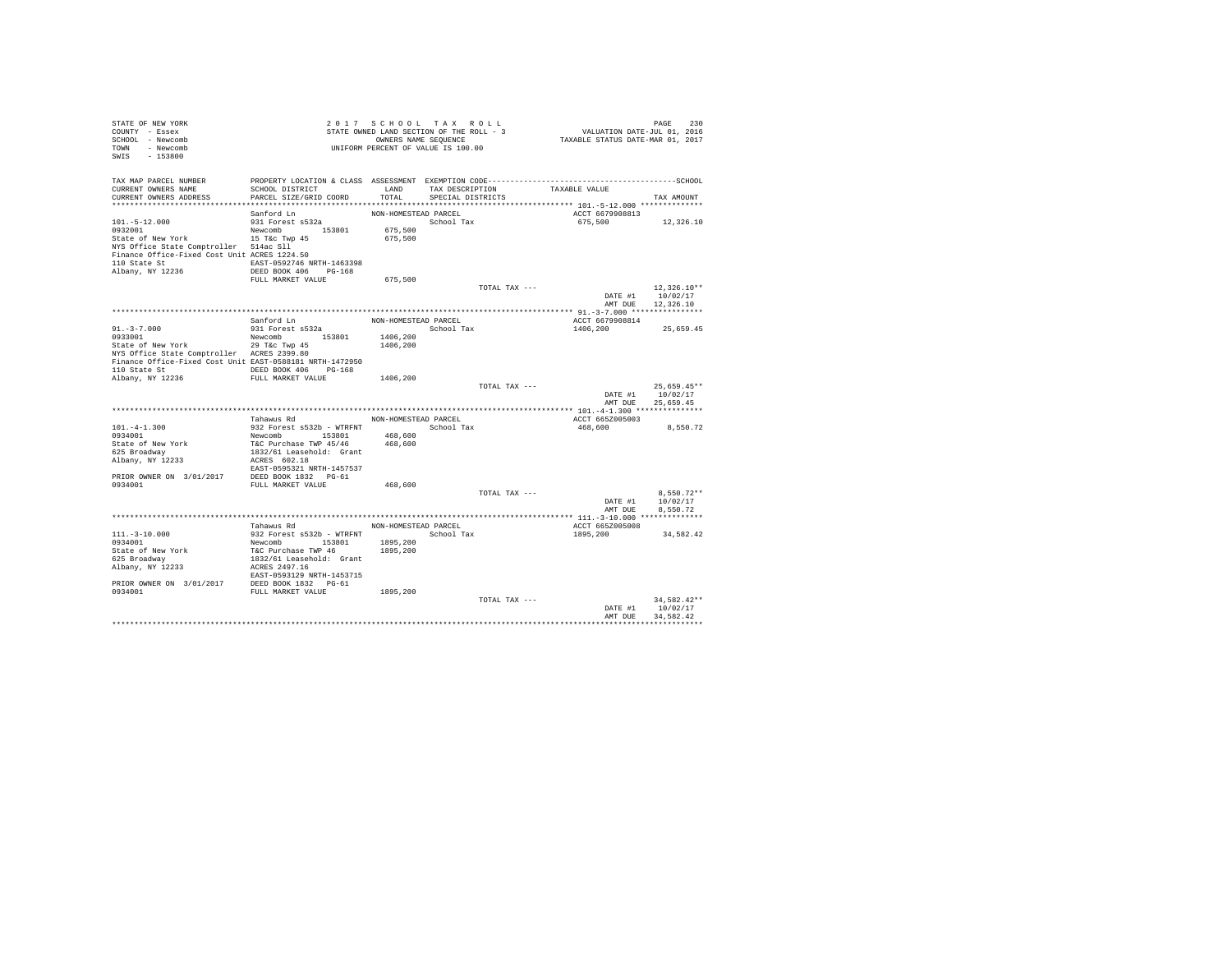| STATE OF NEW YORK<br>COUNTY - Essex                                           |                                                                                                           | 2017 SCHOOL TAX ROLL<br>STATE OWNED LAND SECTION OF THE ROLL - 3 |                      |               | PAGE 230<br>VALUATION DATE-JUL 01, 2016<br>TAXABLE STATUS DATE-MAR 01, 2017 |                    |               |  |
|-------------------------------------------------------------------------------|-----------------------------------------------------------------------------------------------------------|------------------------------------------------------------------|----------------------|---------------|-----------------------------------------------------------------------------|--------------------|---------------|--|
| SCHOOL - Newcomb                                                              |                                                                                                           |                                                                  |                      |               |                                                                             |                    |               |  |
| TOWN - Newcomb                                                                |                                                                                                           | OWNERS NAME SEQUENCE<br>UNIFORM PERCENT OF VALUE IS 100.00       |                      |               |                                                                             |                    |               |  |
| SWIS - 153800                                                                 |                                                                                                           |                                                                  |                      |               |                                                                             |                    |               |  |
|                                                                               |                                                                                                           |                                                                  |                      |               |                                                                             |                    |               |  |
|                                                                               |                                                                                                           |                                                                  |                      |               |                                                                             |                    |               |  |
| TAX MAP PARCEL NUMBER<br>CURRENT OWNERS NAME                                  | SCHOOL DISTRICT                                                                                           |                                                                  | LAND TAX DESCRIPTION |               | TAXABLE VALUE                                                               |                    |               |  |
| CURRENT OWNERS ADDRESS                                                        | PARCEL SIZE/GRID COORD                                                                                    | TOTAL                                                            | SPECIAL DISTRICTS    |               |                                                                             |                    |               |  |
|                                                                               |                                                                                                           |                                                                  |                      |               |                                                                             |                    | TAX AMOUNT    |  |
|                                                                               | Sanford Ln                                                                                                | NON-HOMESTEAD PARCEL                                             |                      |               | ACCT 6679908813                                                             |                    |               |  |
| $101.-5-12.000$                                                               | 931 Forest s532a                                                                                          |                                                                  | School Tax           |               |                                                                             | 675,500 12,326.10  |               |  |
| 0932001                                                                       | Newcomb 153801                                                                                            | 675,500                                                          |                      |               |                                                                             |                    |               |  |
| State of New York 15 T&c Twp 45                                               |                                                                                                           | 675,500                                                          |                      |               |                                                                             |                    |               |  |
| NYS Office State Comptroller 514ac Sll                                        |                                                                                                           |                                                                  |                      |               |                                                                             |                    |               |  |
| Finance Office-Fixed Cost Unit ACRES 1224.50                                  |                                                                                                           |                                                                  |                      |               |                                                                             |                    |               |  |
| 110 State St 6. EAST-0592746 NRTH-1463398                                     |                                                                                                           |                                                                  |                      |               |                                                                             |                    |               |  |
| Albany, NY 12236                                                              | DEED BOOK 406 PG-168                                                                                      |                                                                  |                      |               |                                                                             |                    |               |  |
|                                                                               | FULL MARKET VALUE                                                                                         | 675,500                                                          |                      |               |                                                                             |                    |               |  |
|                                                                               |                                                                                                           |                                                                  |                      | TOTAL TAX --- |                                                                             |                    | $12.326.10**$ |  |
|                                                                               |                                                                                                           |                                                                  |                      |               |                                                                             | DATE #1            | 10/02/17      |  |
|                                                                               |                                                                                                           |                                                                  |                      |               |                                                                             | AMT DUE 12,326.10  |               |  |
|                                                                               |                                                                                                           |                                                                  |                      |               |                                                                             |                    |               |  |
|                                                                               | Sanford Ln                                                                                                | NON-HOMESTEAD PARCEL                                             |                      |               | ACCT 6679908814                                                             |                    |               |  |
| $91. - 3 - 7.000$                                                             | 931 Forest s532a                                                                                          | School Tax                                                       |                      |               |                                                                             | 1406,200 25,659.45 |               |  |
| 0933001                                                                       | Newcomb 153801                                                                                            | 1406,200                                                         |                      |               |                                                                             |                    |               |  |
| State of New York 29 T&c Twp 45<br>NYS Office State Comptroller ACRES 2399.80 |                                                                                                           | 1406,200                                                         |                      |               |                                                                             |                    |               |  |
| NYS Office State Comptroller ACRES 2399.80                                    |                                                                                                           |                                                                  |                      |               |                                                                             |                    |               |  |
| Finance Office-Fixed Cost Unit EAST-0588181 NRTH-1472950                      |                                                                                                           |                                                                  |                      |               |                                                                             |                    |               |  |
| 110 State St CONGRESS DEED BOOK 406 PG-168                                    |                                                                                                           |                                                                  |                      |               |                                                                             |                    |               |  |
| Albany, NY 12236 FULL MARKET VALUE                                            |                                                                                                           | 1406,200                                                         |                      |               |                                                                             |                    |               |  |
|                                                                               |                                                                                                           |                                                                  |                      | TOTAL TAX --- |                                                                             |                    | $25.659.45**$ |  |
|                                                                               |                                                                                                           |                                                                  |                      |               |                                                                             | DATE #1            | 10/02/17      |  |
|                                                                               |                                                                                                           |                                                                  |                      |               |                                                                             | AMT DUE            | 25,659.45     |  |
|                                                                               |                                                                                                           |                                                                  |                      |               |                                                                             |                    |               |  |
|                                                                               | Tahawus Rd                                                                                                | NON-HOMESTEAD PARCEL                                             |                      |               | ACCT 665Z005003                                                             |                    |               |  |
| $101. -4 - 1.300$<br>0934001                                                  | 932 Forest s532b - WTRFNT                                                                                 |                                                                  | School Tax           |               | 468,600                                                                     |                    | 8,550.72      |  |
|                                                                               | Newcomb 153801<br>T&C Purchase TWP 45/46                                                                  | 468,600                                                          |                      |               |                                                                             |                    |               |  |
| State of New York                                                             |                                                                                                           | 468,600                                                          |                      |               |                                                                             |                    |               |  |
| 625 Broadway                                                                  | 1832/61 Leasehold: Grant                                                                                  |                                                                  |                      |               |                                                                             |                    |               |  |
| Albany, NY 12233                                                              | ACRES 602.18                                                                                              |                                                                  |                      |               |                                                                             |                    |               |  |
| PRIOR OWNER ON 3/01/2017 DEED BOOK 1832 PG-61                                 | EAST-0595321 NRTH-1457537                                                                                 |                                                                  |                      |               |                                                                             |                    |               |  |
| 0934001                                                                       | FULL MARKET VALUE                                                                                         | 468,600                                                          |                      |               |                                                                             |                    |               |  |
|                                                                               |                                                                                                           |                                                                  |                      | TOTAL TAX --- |                                                                             |                    | $8.550.72**$  |  |
|                                                                               |                                                                                                           |                                                                  |                      |               |                                                                             | DATE #1            | 10/02/17      |  |
|                                                                               |                                                                                                           |                                                                  |                      |               |                                                                             | AMT DUE            | 8,550.72      |  |
|                                                                               |                                                                                                           |                                                                  |                      |               |                                                                             |                    |               |  |
|                                                                               | Tahawus Rd                                                                                                | NON-HOMESTEAD PARCEL                                             |                      |               | ACCT 665Z005008                                                             |                    |               |  |
| $111. - 3 - 10.000$                                                           |                                                                                                           |                                                                  |                      |               | 1895, 200                                                                   |                    | 34,582.42     |  |
| 0934001                                                                       |                                                                                                           |                                                                  |                      |               |                                                                             |                    |               |  |
| State of New York                                                             | 932 Forest s532b - WTRFNT 3000 NORTHUM 3000 TAC Newcomb 153801 1895, 200<br>T&C Purchase TWP 46 1895, 200 |                                                                  |                      |               |                                                                             |                    |               |  |
| 625 Broadway                                                                  |                                                                                                           |                                                                  |                      |               |                                                                             |                    |               |  |
| albany, NY 12233                                                              | 1832/61 Leasehold: Grant<br>ACRES 2497.16                                                                 |                                                                  |                      |               |                                                                             |                    |               |  |
|                                                                               | EAST-0593129 NRTH-1453715                                                                                 |                                                                  |                      |               |                                                                             |                    |               |  |
| PRIOR OWNER ON 3/01/2017 DEED BOOK 1832 PG-61                                 |                                                                                                           |                                                                  |                      |               |                                                                             |                    |               |  |
| 0934001                                                                       | FULL MARKET VALUE                                                                                         | 1895,200                                                         |                      |               |                                                                             |                    |               |  |
|                                                                               |                                                                                                           |                                                                  |                      | TOTAL TAX --- |                                                                             |                    | 34.582.42**   |  |
|                                                                               |                                                                                                           |                                                                  |                      |               |                                                                             | DATE #1            | 10/02/17      |  |
|                                                                               |                                                                                                           |                                                                  |                      |               |                                                                             | AMT DUE            | 34.582.42     |  |
|                                                                               |                                                                                                           |                                                                  |                      |               |                                                                             |                    |               |  |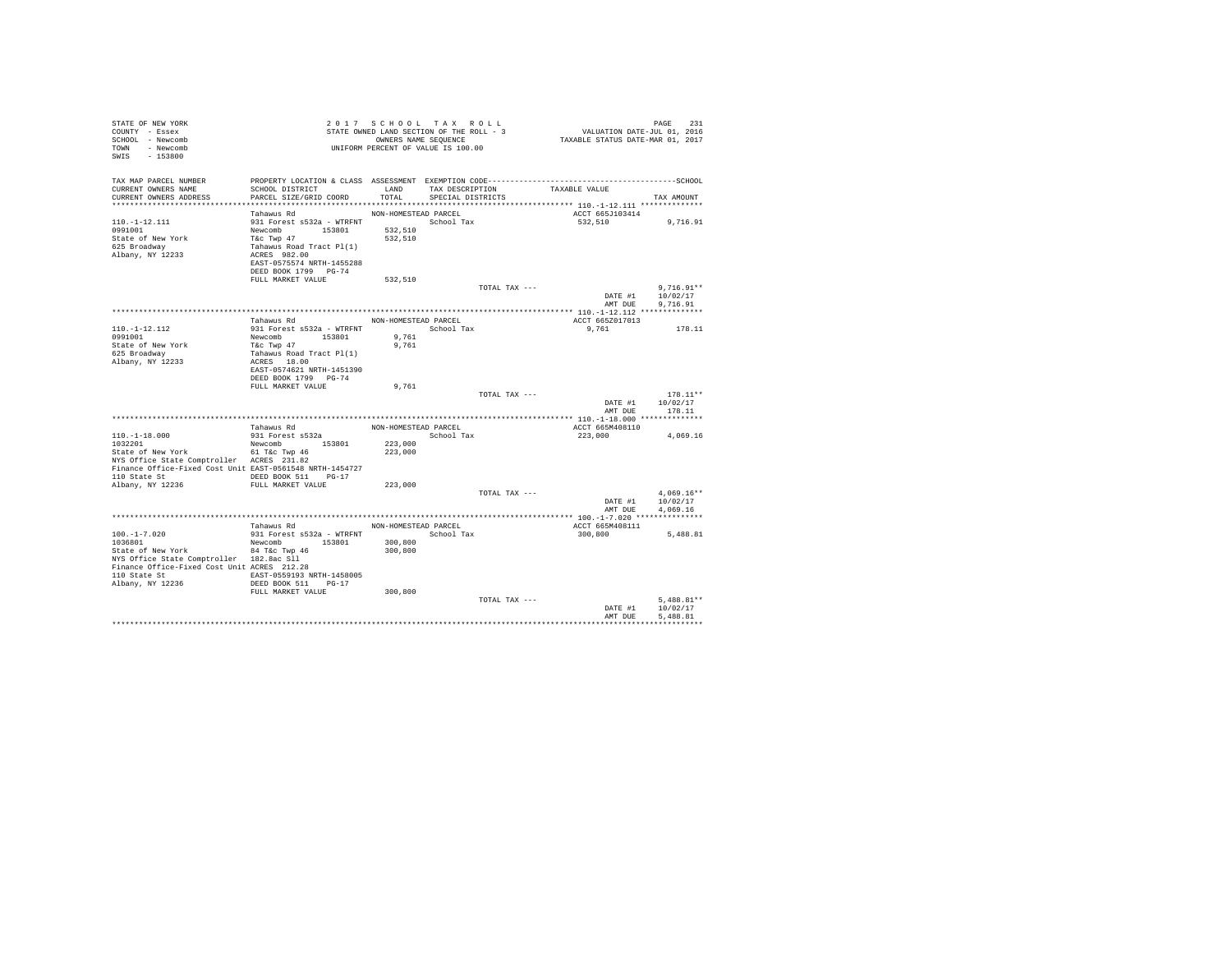| STATE OF NEW YORK<br>COUNTY - Essex<br>SCHOOL - Newcomb<br>TOWN<br>- Newcomb<br>$-153800$<br>SWTS                                                                                                              |                                                                                                                                                                          |                               | 2017 SCHOOL TAX ROLL<br>STATE OWNED LAND SECTION OF THE ROLL - 3<br>OWNERS NAME SEQUENCE<br>UNIFORM PERCENT OF VALUE IS 100.00 | FAGE 231<br>VALUATION DATE-JUL 01, 2016<br>TAXABLE STATUS DATE-MAR 01, 2017 | PAGE<br>231                          |
|----------------------------------------------------------------------------------------------------------------------------------------------------------------------------------------------------------------|--------------------------------------------------------------------------------------------------------------------------------------------------------------------------|-------------------------------|--------------------------------------------------------------------------------------------------------------------------------|-----------------------------------------------------------------------------|--------------------------------------|
| TAX MAP PARCEL NUMBER<br>CURRENT OWNERS NAME<br>CURRENT OWNERS ADDRESS<br>*************************                                                                                                            | SCHOOL DISTRICT<br>PARCEL SIZE/GRID COORD                                                                                                                                | <b>T.AND</b><br>TOTAL         | TAX DESCRIPTION<br>SPECIAL DISTRICTS                                                                                           | TAXABLE VALUE                                                               | TAX AMOUNT                           |
|                                                                                                                                                                                                                |                                                                                                                                                                          | NON-HOMESTEAD PARCEL          |                                                                                                                                | ACCT 665J103414                                                             |                                      |
| $110.-1-12.111$<br>0991001<br>State of New York<br>625 Broadway<br>Albany, NY 12233                                                                                                                            | Tahawus Rd<br>931 Forest s532a - WTRFNT<br>Newcomb 153801<br>T&C Twp 47<br>Tahawus Road Tract Pl(1)<br>ACRES 982.00<br>EAST-0575574 NRTH-1455288<br>DEED BOOK 1799 PG-74 | 532,510<br>532,510            | School Tax                                                                                                                     | 532,510                                                                     | 9,716.91                             |
|                                                                                                                                                                                                                | FULL MARKET VALUE                                                                                                                                                        | 532,510                       |                                                                                                                                |                                                                             |                                      |
|                                                                                                                                                                                                                |                                                                                                                                                                          |                               | TOTAL TAX ---                                                                                                                  | DATE #1<br>AMT DUE                                                          | $9.716.91**$<br>10/02/17<br>9,716.91 |
|                                                                                                                                                                                                                |                                                                                                                                                                          |                               |                                                                                                                                |                                                                             |                                      |
| $110. - 1 - 12.112$<br>0991001                                                                                                                                                                                 | Tahawus Rd<br>931 Forest s532a - WTRFNT                                                                                                                                  | NON-HOMESTEAD PARCEL<br>9,761 | School Tax                                                                                                                     | ACCT 665Z017013<br>9,761                                                    | 178.11                               |
| State of New York<br>625 Broadway<br>Albany, NY 12233                                                                                                                                                          | Newcomb 153801<br>T&C Twp 47<br>Tahawus Road Tract Pl(1)<br>ACRES 18.00<br>EAST-0574621 NRTH-1451390<br>DEED BOOK 1799 PG-74                                             | 9.761                         |                                                                                                                                |                                                                             |                                      |
|                                                                                                                                                                                                                | FULL MARKET VALUE                                                                                                                                                        | 9,761                         |                                                                                                                                |                                                                             |                                      |
|                                                                                                                                                                                                                |                                                                                                                                                                          |                               | TOTAL TAX ---                                                                                                                  | DATE #1<br>AMT DUE                                                          | $178.11**$<br>10/02/17<br>178.11     |
|                                                                                                                                                                                                                |                                                                                                                                                                          |                               |                                                                                                                                |                                                                             |                                      |
| $110. - 1 - 18.000$<br>1032201                                                                                                                                                                                 | Tahawus Rd<br>931 Forest s532a<br>Newcomb 153801                                                                                                                         | 223,000                       | NON-HOMESTEAD PARCEL<br>School Tax                                                                                             | ACCT 665M408110<br>223,000                                                  | 4.069.16                             |
| State of New York<br>NYS Office State Comptroller ACRES 231.82<br>Finance Office-Fixed Cost Unit EAST-0561548 NRTH-1454727<br>110 State St 6. DEED BOOK 511 PG-17                                              | 61 T&C Twp 46<br>ACRES 231.82                                                                                                                                            | 223,000                       |                                                                                                                                |                                                                             |                                      |
| Albany, NY 12236                                                                                                                                                                                               | FULL MARKET VALUE                                                                                                                                                        | 223,000                       |                                                                                                                                |                                                                             |                                      |
|                                                                                                                                                                                                                |                                                                                                                                                                          |                               | TOTAL TAX ---                                                                                                                  | DATE #1<br>AMT DUE                                                          | $4.069.16**$<br>10/02/17<br>4.069.16 |
|                                                                                                                                                                                                                |                                                                                                                                                                          |                               |                                                                                                                                |                                                                             |                                      |
|                                                                                                                                                                                                                | Tahawus Rd                                                                                                                                                               | NON-HOMESTEAD PARCEL          |                                                                                                                                | ACCT 665M408111                                                             |                                      |
| $100. - 1 - 7.020$<br>1036801<br>State of New York<br>NYS Office State Comptroller 182.8ac Sll<br>Finance Office-Fixed Cost Unit ACRES 212.28<br>110 State St 6. EAST-0559193 NRTH-1458005<br>Albany, NY 12236 | 931 Forest s532a - WTRFNT<br>Newcomb 153801<br>84 T&c Twp 46<br>DEED BOOK 511 PG-17<br>FULL MARKET VALUE                                                                 | 300,800<br>300,800<br>300,800 | School Tax                                                                                                                     | 300,800                                                                     | 5,488.81                             |
|                                                                                                                                                                                                                |                                                                                                                                                                          |                               | TOTAL TAX ---                                                                                                                  | DATE #1                                                                     | $5.488.81**$<br>10/02/17             |
|                                                                                                                                                                                                                |                                                                                                                                                                          |                               |                                                                                                                                | AMT DUE<br>***************************                                      | 5,488.81                             |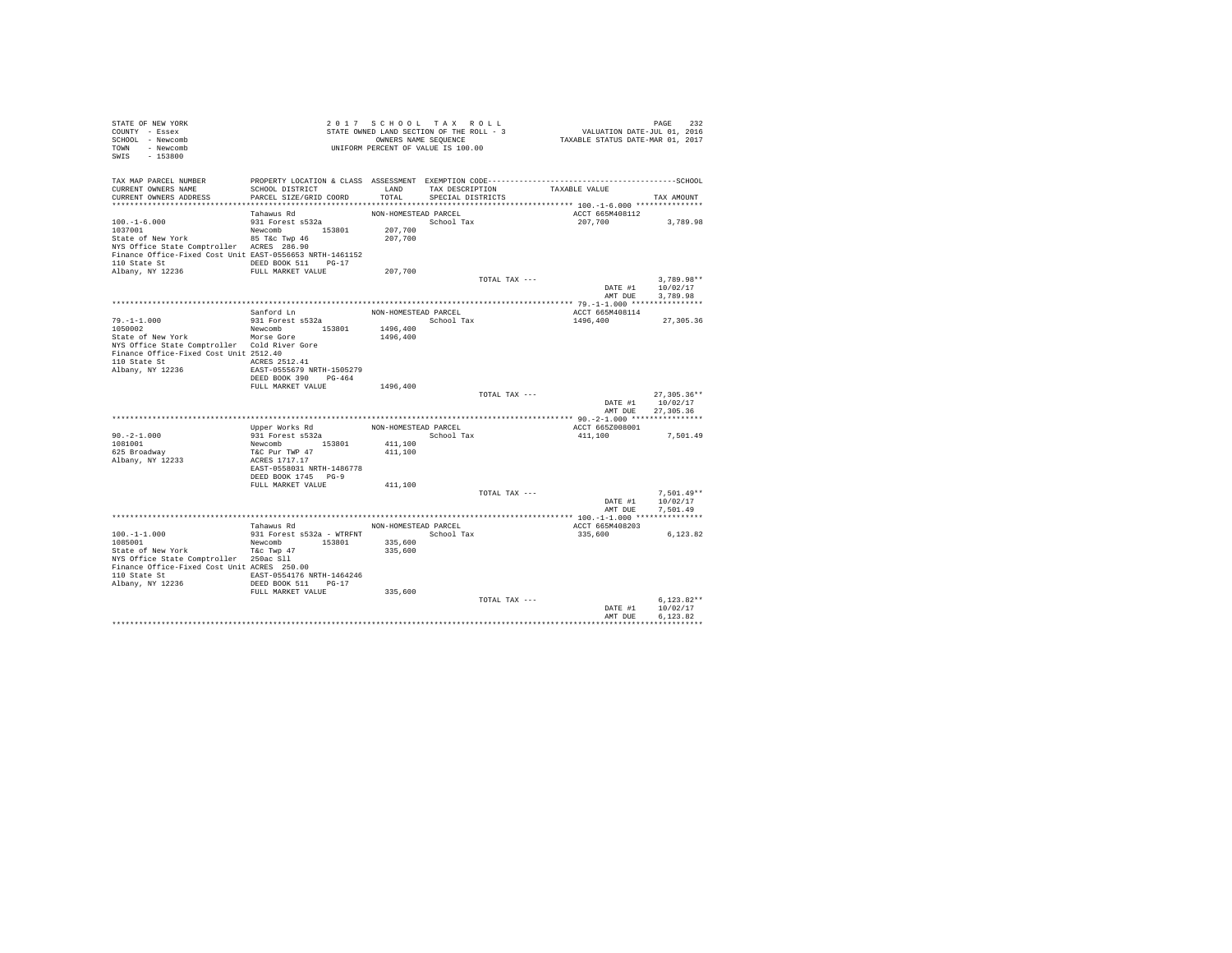| STATE OF NEW YORK<br>COUNTY - Essex<br>SCHOOL - Newcomb<br>TOWN - Newcomb<br>$-153800$<br>SWIS                                              |                                                                   |                                  | 2017 SCHOOL TAX ROLL<br>STATE OWNED LAND SECTION OF THE ROLL - 3<br>OWNERS NAME SEQUENCE<br>UNIFORM PERCENT OF VALUE IS 100.00 | PAGE 232<br>VALUATION DATE-JUL 01, 2016<br>TAXABLE STATUS DATE-MAR 01, 2017                                   |                                             |
|---------------------------------------------------------------------------------------------------------------------------------------------|-------------------------------------------------------------------|----------------------------------|--------------------------------------------------------------------------------------------------------------------------------|---------------------------------------------------------------------------------------------------------------|---------------------------------------------|
| TAX MAP PARCEL NUMBER<br>CURRENT OWNERS NAME                                                                                                | SCHOOL DISTRICT                                                   |                                  | LAND TAX DESCRIPTION                                                                                                           | PROPERTY LOCATION & CLASS ASSESSMENT EXEMPTION CODE-----------------------------------SCHOOL<br>TAXABLE VALUE |                                             |
| CURRENT OWNERS ADDRESS                                                                                                                      | PARCEL SIZE/GRID COORD                                            | TOTAL                            | SPECIAL DISTRICTS                                                                                                              |                                                                                                               | TAX AMOUNT                                  |
|                                                                                                                                             | Tahawus Rd                                                        | NON-HOMESTEAD PARCEL             |                                                                                                                                | ACCT 665M408112                                                                                               |                                             |
| $100.-1-6.000$<br>1037001<br>State of New York                                                                                              | 931 Forest s532a<br>Newcomb 153801<br>85 T&c Twp 46               | 207,700<br>207,700               | School Tax                                                                                                                     | 207,700                                                                                                       | 3,789.98                                    |
| NYS Office State Comptroller ACRES 286.90<br>Finance Office-Fixed Cost Unit EAST-0556653 NRTH-1461152<br>110 State St 6 DEED BOOK 511 PG-17 |                                                                   |                                  |                                                                                                                                |                                                                                                               |                                             |
| Albany, NY 12236 FULL MARKET VALUE                                                                                                          |                                                                   | 207,700                          |                                                                                                                                |                                                                                                               |                                             |
|                                                                                                                                             |                                                                   |                                  |                                                                                                                                | TOTAL TAX ---<br>DATE #1                                                                                      | $3.789.98**$<br>10/02/17                    |
|                                                                                                                                             |                                                                   |                                  |                                                                                                                                | AMT DUE                                                                                                       | 3,789.98                                    |
|                                                                                                                                             |                                                                   |                                  |                                                                                                                                |                                                                                                               |                                             |
| $79. - 1 - 1.000$<br>1050002                                                                                                                | Sanford Ln<br>931 Forest s532a<br>Newcomb 153801                  | NON-HOMESTEAD PARCEL<br>1496,400 | School Tax                                                                                                                     | ACCT 665M408114<br>1496,400                                                                                   | 27,305.36                                   |
| State of New York                                                                                                                           | Morse Gore                                                        | 1496,400                         |                                                                                                                                |                                                                                                               |                                             |
| NYS Office State Comptroller Cold River Gore<br>Finance Office-Fixed Cost Unit 2512.40<br>110 State St<br>Albany, NY 12236                  | ACRES 2512.41<br>EAST-0555679 NRTH-1505279                        |                                  |                                                                                                                                |                                                                                                               |                                             |
|                                                                                                                                             | DEED BOOK 390 PG-464                                              |                                  |                                                                                                                                |                                                                                                               |                                             |
|                                                                                                                                             | FULL MARKET VALUE                                                 | 1496,400                         |                                                                                                                                | TOTAL TAX ---                                                                                                 | $27.305.36**$                               |
|                                                                                                                                             |                                                                   |                                  |                                                                                                                                |                                                                                                               | 10/02/17<br>DATE #1<br>AMT DUE<br>27,305.36 |
|                                                                                                                                             |                                                                   |                                  |                                                                                                                                |                                                                                                               |                                             |
|                                                                                                                                             | Upper Works Rd                                                    |                                  | NON-HOMESTEAD PARCEL                                                                                                           | ACCT 665Z008001                                                                                               |                                             |
| $90. -2 - 1.000$                                                                                                                            | 931 Forest s532a                                                  |                                  | School Tax                                                                                                                     | 411,100                                                                                                       | 7,501.49                                    |
| 1081001                                                                                                                                     | Newcomb 153801<br>T&C Pur TWP 47                                  | 411,100                          |                                                                                                                                |                                                                                                               |                                             |
| 625 Broadway<br>Albany, NY 12233                                                                                                            | ACRES 1717.17<br>EAST-0558031 NRTH-1486778<br>DEED BOOK 1745 PG-9 | 411,100                          |                                                                                                                                |                                                                                                               |                                             |
|                                                                                                                                             | FULL MARKET VALUE                                                 | 411,100                          |                                                                                                                                |                                                                                                               |                                             |
|                                                                                                                                             |                                                                   |                                  |                                                                                                                                | TOTAL TAX ---<br>DATE #1<br>AMT DUE                                                                           | $7.501.49**$<br>10/02/17<br>7,501.49        |
|                                                                                                                                             |                                                                   |                                  |                                                                                                                                |                                                                                                               |                                             |
| $100. - 1 - 1.000$                                                                                                                          | Tahawus Rd NON-HOMESTEAD PARCEL<br>931 Forest s532a - WTRFNT      | School Tax                       |                                                                                                                                | ACCT 665M408203<br>335,600                                                                                    | 6,123.82                                    |
| 1085001<br>State of New York                                                                                                                | Newcomb 153801<br>T&c Twp 47                                      | 335,600<br>335,600               |                                                                                                                                |                                                                                                               |                                             |
| NYS Office State Comptroller 250ac Sll<br>Finance Office-Fixed Cost Unit ACRES 250.00<br>110 State St 64246 EAST-0554176 NRTH-1464246       |                                                                   |                                  |                                                                                                                                |                                                                                                               |                                             |
| Albany, NY 12236                                                                                                                            | DEED BOOK 511 PG-17<br>FULL MARKET VALUE                          |                                  |                                                                                                                                |                                                                                                               |                                             |
|                                                                                                                                             |                                                                   | 335,600                          |                                                                                                                                | TOTAL TAX ---<br>DATE #1                                                                                      | $6.123.82**$<br>10/02/17                    |
|                                                                                                                                             |                                                                   |                                  |                                                                                                                                | AMT DUE                                                                                                       | 6.123.82                                    |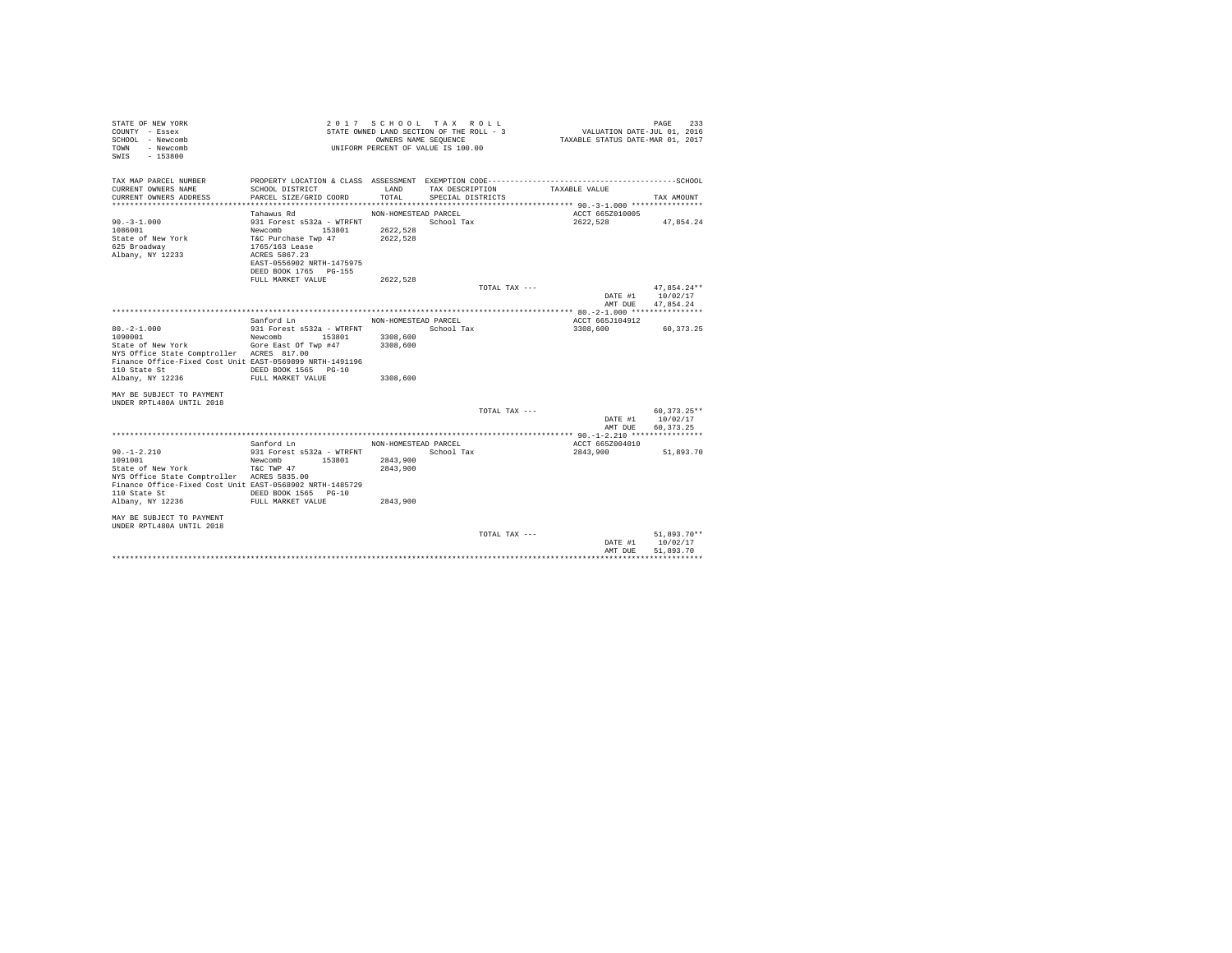| STATE OF NEW YORK<br>COUNTY - Essex<br>SCHOOL - Newcomb<br>- Newcomb<br>TOWN<br>$-153800$<br>SWIS |                                             | 2017 SCHOOL TAX ROLL<br>STATE OWNED LAND SECTION OF THE ROLL - 3<br>UNIFORM PERCENT OF VALUE IS 100.00 | OWNERS NAME SEQUENCE                 |               | VALUATION DATE-JUL 01, 2016<br>TAXABLE STATUS DATE-MAR 01, 2017 | PAGE<br>233             |
|---------------------------------------------------------------------------------------------------|---------------------------------------------|--------------------------------------------------------------------------------------------------------|--------------------------------------|---------------|-----------------------------------------------------------------|-------------------------|
| TAX MAP PARCEL NUMBER                                                                             |                                             |                                                                                                        |                                      |               |                                                                 |                         |
| CURRENT OWNERS NAME<br>CURRENT OWNERS ADDRESS                                                     | SCHOOL DISTRICT<br>PARCEL SIZE/GRID COORD   | LAND<br>TOTAL.                                                                                         | TAX DESCRIPTION<br>SPECIAL DISTRICTS |               | TAXABLE VALUE                                                   | TAX AMOUNT              |
|                                                                                                   |                                             |                                                                                                        |                                      |               |                                                                 |                         |
|                                                                                                   | Tahawus Rd                                  | NON-HOMESTEAD PARCEL                                                                                   |                                      |               | ACCT 665Z010005                                                 |                         |
| $90. -3 - 1.000$                                                                                  | 931 Forest s532a - WTRFNT                   |                                                                                                        | School Tax                           |               | 2622.528                                                        | 47.854.24               |
| 1086001                                                                                           | Newcomb<br>153801                           | 2622,528                                                                                               |                                      |               |                                                                 |                         |
| State of New York<br>625 Broadway                                                                 | T&C Purchase Twp 47<br>1765/163 Lease       | 2622,528                                                                                               |                                      |               |                                                                 |                         |
| Albany, NY 12233                                                                                  | ACRES 5867.23                               |                                                                                                        |                                      |               |                                                                 |                         |
|                                                                                                   | EAST-0556902 NRTH-1475975                   |                                                                                                        |                                      |               |                                                                 |                         |
|                                                                                                   | DEED BOOK 1765 PG-155                       |                                                                                                        |                                      |               |                                                                 |                         |
|                                                                                                   | FULL MARKET VALUE                           | 2622.528                                                                                               |                                      |               |                                                                 |                         |
|                                                                                                   |                                             |                                                                                                        |                                      | TOTAL TAX --- |                                                                 | 47.854.24**<br>10/02/17 |
|                                                                                                   |                                             |                                                                                                        |                                      |               | DATE #1<br>AMT DUE                                              | 47,854.24               |
|                                                                                                   |                                             |                                                                                                        |                                      |               |                                                                 |                         |
|                                                                                                   | Sanford Ln                                  | NON-HOMESTEAD PARCEL                                                                                   |                                      |               | ACCT 665J104912                                                 |                         |
| $80. -2 - 1.000$                                                                                  | 931 Forest s532a - WTRFNT                   |                                                                                                        | School Tax                           |               | 3308,600                                                        | 60, 373. 25             |
| 1090001<br>State of New York                                                                      | Newcomb 153801<br>Gore East Of Twp #47      | 3308,600<br>3308,600                                                                                   |                                      |               |                                                                 |                         |
| NYS Office State Comptroller ACRES 817.00                                                         |                                             |                                                                                                        |                                      |               |                                                                 |                         |
| Finance Office-Fixed Cost Unit EAST-0569899 NRTH-1491196                                          |                                             |                                                                                                        |                                      |               |                                                                 |                         |
| 110 State St                                                                                      | DEED BOOK 1565 PG-10                        |                                                                                                        |                                      |               |                                                                 |                         |
| Albany, NY 12236                                                                                  | FULL MARKET VALUE                           | 3308,600                                                                                               |                                      |               |                                                                 |                         |
| MAY BE SUBJECT TO PAYMENT                                                                         |                                             |                                                                                                        |                                      |               |                                                                 |                         |
| UNDER RPTL480A UNTIL 2018                                                                         |                                             |                                                                                                        |                                      | TOTAL TAX --- |                                                                 | $60.373.25**$           |
|                                                                                                   |                                             |                                                                                                        |                                      |               | DATE #1                                                         | 10/02/17                |
|                                                                                                   |                                             |                                                                                                        |                                      |               | AMT DUE                                                         | 60.373.25               |
|                                                                                                   |                                             |                                                                                                        |                                      |               |                                                                 |                         |
|                                                                                                   | Sanford Ln                                  | NON-HOMESTEAD PARCEL                                                                                   |                                      |               | ACCT 665Z004010                                                 |                         |
| $90. -1 - 2.210$<br>1091001                                                                       | 931 Forest s532a - WTRFNT<br>Newcomb 153801 | 2843,900                                                                                               | School Tax                           |               | 2843,900                                                        | 51,893.70               |
| State of New York                                                                                 | T&C TWP 47                                  | 2843,900                                                                                               |                                      |               |                                                                 |                         |
| NYS Office State Comptroller ACRES 5835.00                                                        |                                             |                                                                                                        |                                      |               |                                                                 |                         |
| Finance Office-Fixed Cost Unit EAST-0568902 NRTH-1485729                                          |                                             |                                                                                                        |                                      |               |                                                                 |                         |
| 110 State St                                                                                      | DEED BOOK 1565 PG-10                        |                                                                                                        |                                      |               |                                                                 |                         |
| Albany, NY 12236                                                                                  | FULL MARKET VALUE                           | 2843,900                                                                                               |                                      |               |                                                                 |                         |
| MAY BE SUBJECT TO PAYMENT<br>UNDER RPTL480A UNTIL 2018                                            |                                             |                                                                                                        |                                      |               |                                                                 |                         |
|                                                                                                   |                                             |                                                                                                        |                                      | TOTAL TAX --- |                                                                 | 51.893.70**             |
|                                                                                                   |                                             |                                                                                                        |                                      |               | DATE #1                                                         | 10/02/17                |
|                                                                                                   |                                             |                                                                                                        |                                      |               | AMT DHE                                                         | 51,893.70               |
|                                                                                                   |                                             |                                                                                                        |                                      |               |                                                                 |                         |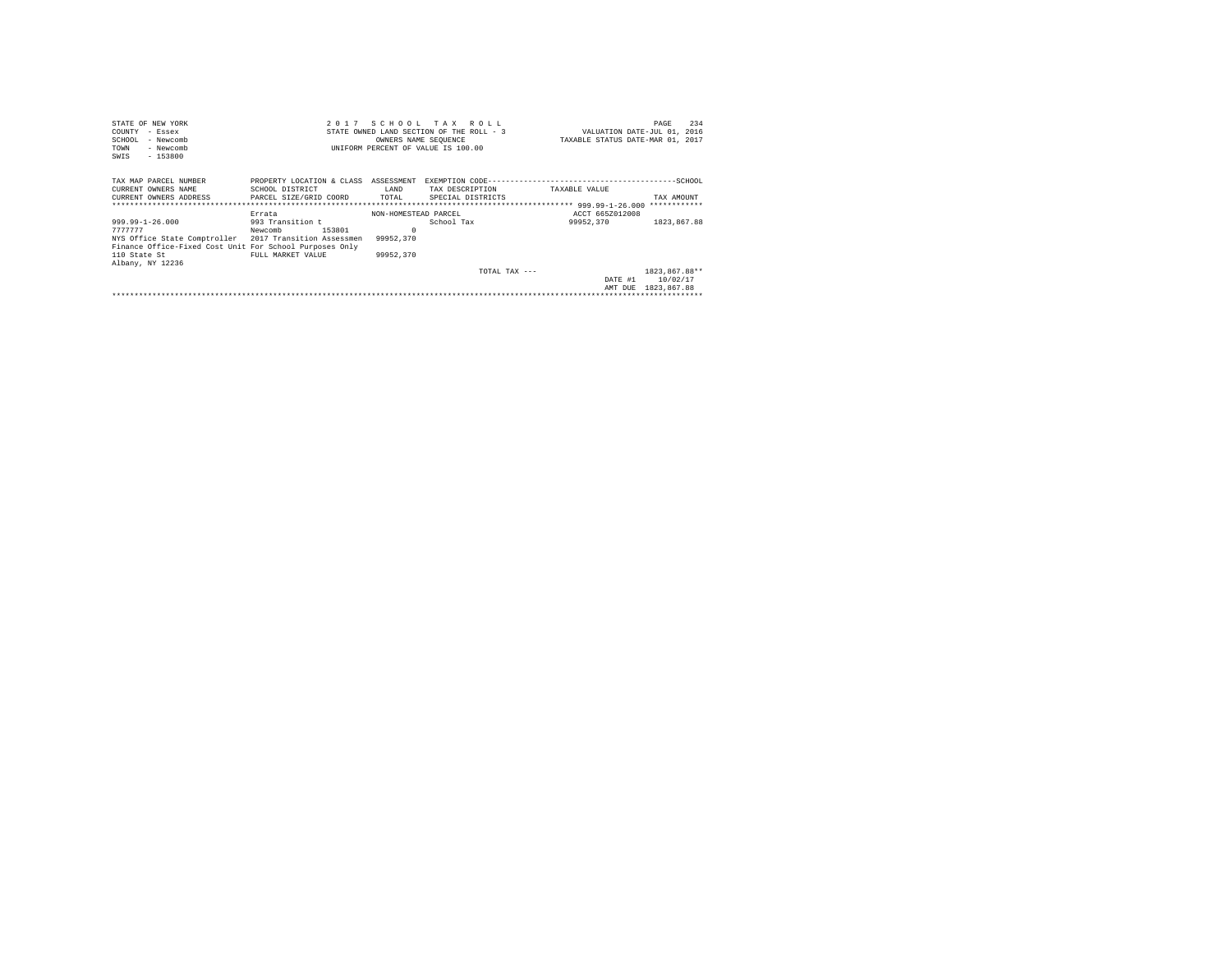| STATE OF NEW YORK                                       |                                      |                      | 2017 SCHOOL TAX ROLL                     |                                  | 234<br>PAGE                 |
|---------------------------------------------------------|--------------------------------------|----------------------|------------------------------------------|----------------------------------|-----------------------------|
| COUNTY<br>- Essex                                       |                                      |                      | STATE OWNED LAND SECTION OF THE ROLL - 3 |                                  | VALUATION DATE-JUL 01, 2016 |
| SCHOOL<br>- Newcomb                                     |                                      | OWNERS NAME SEQUENCE |                                          | TAXABLE STATUS DATE-MAR 01, 2017 |                             |
| TOWN<br>- Newcomb                                       |                                      |                      | UNIFORM PERCENT OF VALUE IS 100.00       |                                  |                             |
| $-153800$<br>SWIS                                       |                                      |                      |                                          |                                  |                             |
|                                                         |                                      |                      |                                          |                                  |                             |
| TAX MAP PARCEL NUMBER                                   | PROPERTY LOCATION & CLASS ASSESSMENT |                      |                                          |                                  |                             |
| CURRENT OWNERS NAME                                     | SCHOOL DISTRICT                      | LAND                 | TAX DESCRIPTION                          | TAXABLE VALUE                    |                             |
| CURRENT OWNERS ADDRESS PARCEL SIZE/GRID COORD           |                                      | TOTAL                | SPECIAL DISTRICTS                        |                                  | TAX AMOUNT                  |
|                                                         |                                      |                      |                                          |                                  |                             |
|                                                         | Errata                               | NON-HOMESTEAD PARCEL |                                          | ACCT 665Z012008                  |                             |
| 999.99-1-26.000                                         | 993 Transition t                     |                      | School Tax                               | 99952,370                        | 1823,867.88                 |
| 7777777                                                 | Newcomb<br>153801                    | $\Omega$             |                                          |                                  |                             |
| NYS Office State Comptroller 2017 Transition Assessmen  |                                      | 99952.370            |                                          |                                  |                             |
| Finance Office-Fixed Cost Unit For School Purposes Only |                                      |                      |                                          |                                  |                             |
| 110 State St                                            | FULL MARKET VALUE                    | 99952,370            |                                          |                                  |                             |
| Albany, NY 12236                                        |                                      |                      |                                          |                                  |                             |
|                                                         |                                      |                      |                                          |                                  |                             |
|                                                         |                                      |                      | TOTAL TAX ---                            |                                  | 1823.867.88**               |
|                                                         |                                      |                      |                                          |                                  | DATE #1 10/02/17            |
|                                                         |                                      |                      |                                          |                                  | AMT DUE 1823.867.88         |
|                                                         |                                      |                      |                                          |                                  |                             |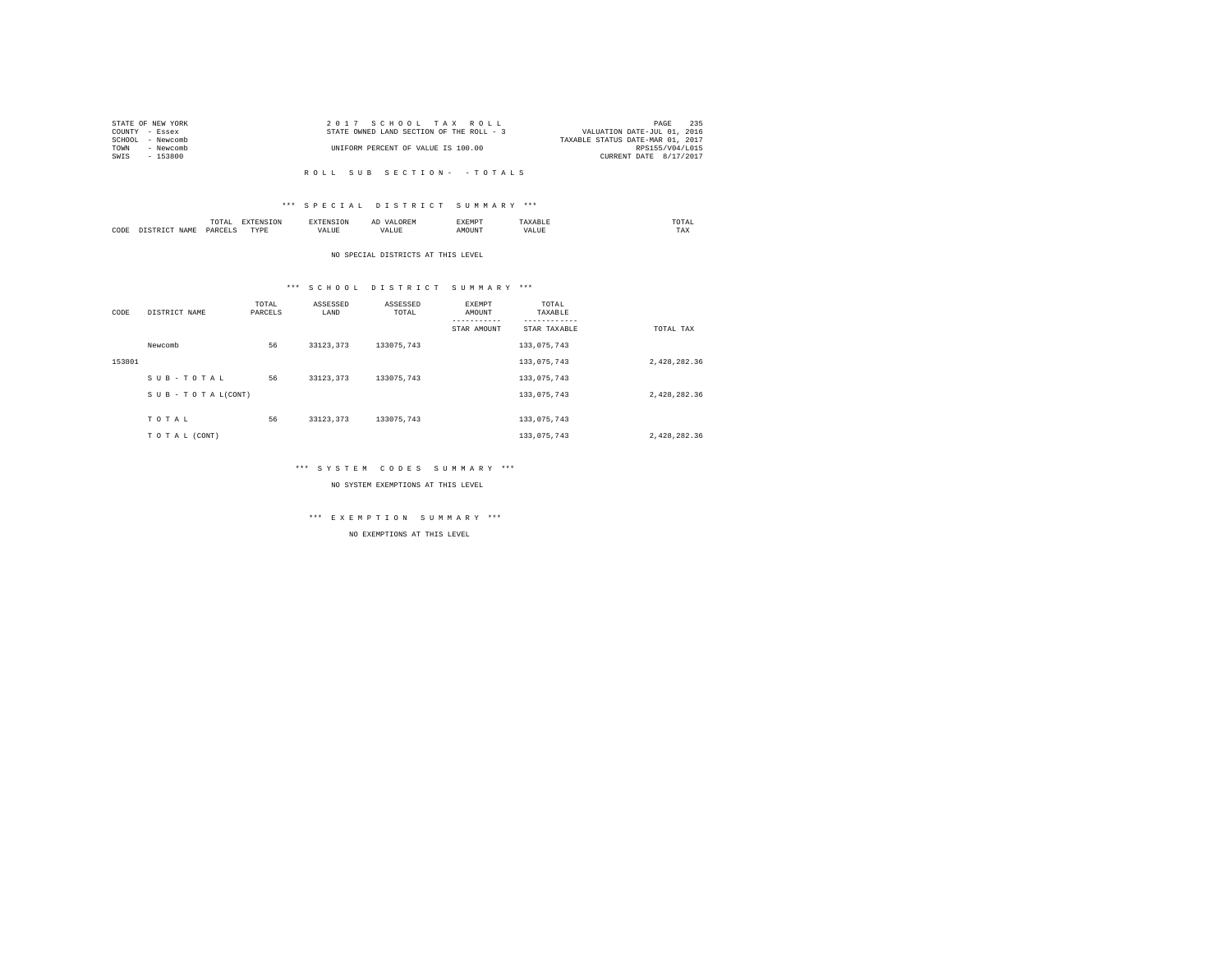| STATE OF NEW YORK   | 2017 SCHOOL TAX ROLL                     | 235<br>PAGE                      |
|---------------------|------------------------------------------|----------------------------------|
| COUNTY - Essex      | STATE OWNED LAND SECTION OF THE ROLL - 3 | VALUATION DATE-JUL 01, 2016      |
| SCHOOL<br>- Newcomb |                                          | TAXABLE STATUS DATE-MAR 01, 2017 |
| TOWN<br>- Newcomb   | UNIFORM PERCENT OF VALUE IS 100.00       | RPS155/V04/L015                  |
| SWIS<br>$-153800$   |                                          | CURRENT DATE 8/17/2017           |
|                     |                                          |                                  |

R O L L S U B S E C T I O N - - T O T A L S

## \*\*\* S P E C I A L D I S T R I C T S U M M A R Y \*\*\*

|      |   | ----<br>.'O'TAL<br>the contract of the contract of the contract of the contract of the contract of | ---              | <b>CAN INF</b> | ----- |      | moms:<br>the contract of the contract of the contract of |  |
|------|---|----------------------------------------------------------------------------------------------------|------------------|----------------|-------|------|----------------------------------------------------------|--|
| CODE | - | DARCEL.<br>$\sim$<br>________                                                                      | <b>TVDk</b><br>. | $\cdots$<br>.  | MOUN. | ∿JU⊾ | TAX                                                      |  |

NO SPECIAL DISTRICTS AT THIS LEVEL

## \*\*\* S C H O O L D I S T R I C T S U M M A R Y \*\*\*

| CODE   | DISTRICT NAME   | TOTAL<br>PARCELS | ASSESSED<br>LAND | ASSESSED<br>TOTAL | EXEMPT<br>AMOUNT | TOTAL<br>TAXABLE |              |
|--------|-----------------|------------------|------------------|-------------------|------------------|------------------|--------------|
|        |                 |                  |                  |                   | STAR AMOUNT      | STAR TAXABLE     | TOTAL TAX    |
|        | Newcomb         | 56               | 33123.373        | 133075.743        |                  | 133,075,743      |              |
| 153801 |                 |                  |                  |                   |                  | 133,075,743      | 2.428.282.36 |
|        | SUB-TOTAL       | 56               | 33123.373        | 133075.743        |                  | 133,075,743      |              |
|        | SUB-TOTAL(CONT) |                  |                  |                   |                  | 133,075,743      | 2,428,282.36 |
|        |                 |                  |                  |                   |                  |                  |              |
|        | TOTAL           | 56               | 33123.373        | 133075.743        |                  | 133,075,743      |              |
|        | TO TAL (CONT)   |                  |                  |                   |                  | 133,075,743      | 2,428,282.36 |

## \*\*\* S Y S T E M C O D E S S U M M A R Y \*\*\*

NO SYSTEM EXEMPTIONS AT THIS LEVEL

# \*\*\* E X E M P T I O N S U M M A R Y \*\*\*

NO EXEMPTIONS AT THIS LEVEL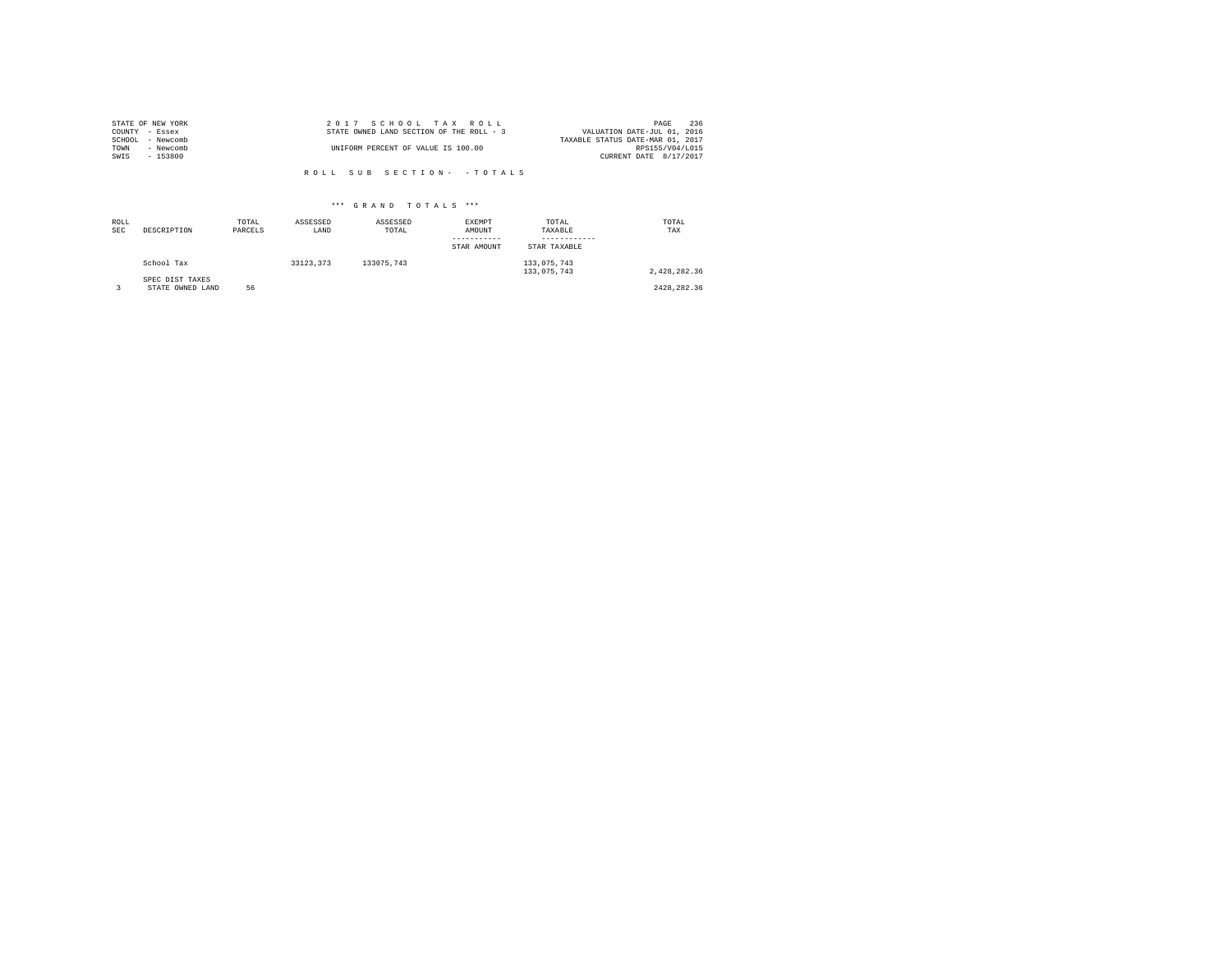|                | STATE OF NEW YORK | 2017 SCHOOL TAX ROLL                     | 236<br>PAGE                      |
|----------------|-------------------|------------------------------------------|----------------------------------|
| COUNTY - Essex |                   | STATE OWNED LAND SECTION OF THE ROLL - 3 | VALUATION DATE-JUL 01, 2016      |
|                | SCHOOL - Newcomb  |                                          | TAXABLE STATUS DATE-MAR 01, 2017 |
| TOWN           | - Newcomb         | UNIFORM PERCENT OF VALUE IS 100.00       | RPS155/V04/L015                  |
| SWIS           | - 153800          |                                          | CURRENT DATE 8/17/2017           |
|                |                   |                                          |                                  |

R O L L S U B S E C T I O N - - T O T A L S

## \*\*\* G R A N D T O T A L S \*\*\*

| ROLL<br><b>SEC</b> | DESCRIPTION                         | TOTAL<br>PARCELS | ASSESSED<br>LAND | ASSESSED<br>TOTAL | EXEMPT<br>AMOUNT<br>STAR AMOUNT | TOTAL<br>TAXABLE<br>STAR TAXABLE | TOTAL<br>TAX |
|--------------------|-------------------------------------|------------------|------------------|-------------------|---------------------------------|----------------------------------|--------------|
|                    | School Tax                          |                  | 33123.373        | 133075.743        |                                 | 133,075,743<br>133,075,743       | 2.428.282.36 |
|                    | SPEC DIST TAXES<br>STATE OWNED LAND | 56               |                  |                   |                                 |                                  | 2428.282.36  |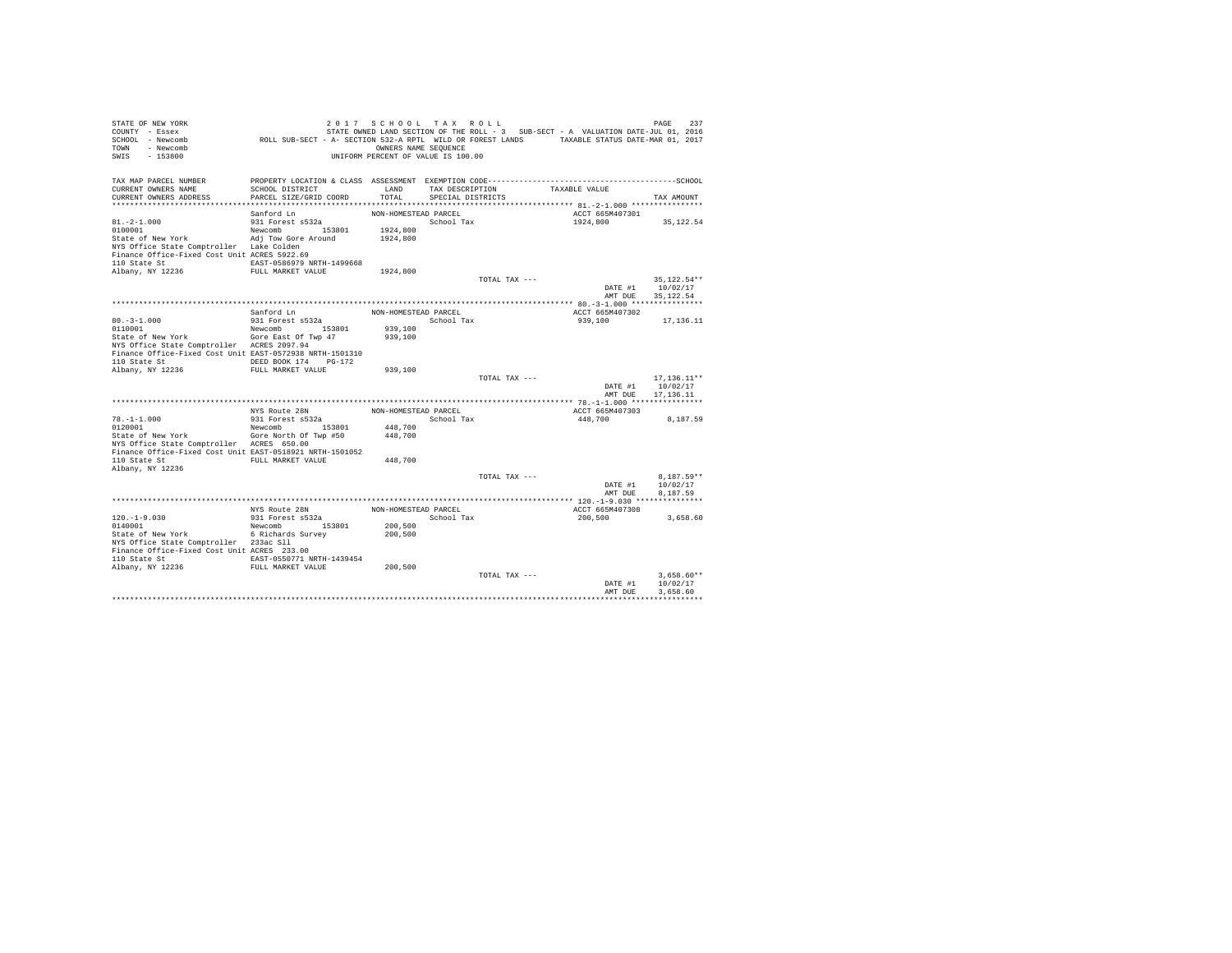| STATE OF NEW YORK<br>COUNTY - Essex<br>SCHOOL - Newcomb<br>TOWN - Newcomb<br>SWIS<br>$-153800$ | ROLL SUB-SECT - A- SECTION 532-A RPTL WILD OR FOREST LANDS TAXABLE STATUS DATE-MAR 01, 2017 | 2017 SCHOOL TAX ROLL<br>OWNERS NAME SEOUENCE<br>UNIFORM PERCENT OF VALUE IS 100.00 |                   |               | STATE OWNED LAND SECTION OF THE ROLL - 3 SUB-SECT - A VALUATION DATE-JUL 01, 2016 | PAGE<br>237             |
|------------------------------------------------------------------------------------------------|---------------------------------------------------------------------------------------------|------------------------------------------------------------------------------------|-------------------|---------------|-----------------------------------------------------------------------------------|-------------------------|
| TAX MAP PARCEL NUMBER                                                                          |                                                                                             |                                                                                    |                   |               |                                                                                   |                         |
| CURRENT OWNERS NAME                                                                            | SCHOOL DISTRICT                                                                             | LAND                                                                               | TAX DESCRIPTION   |               | TAXABLE VALUE                                                                     |                         |
| CURRENT OWNERS ADDRESS                                                                         | PARCEL SIZE/GRID COORD                                                                      | TOTAL.                                                                             | SPECIAL DISTRICTS |               |                                                                                   | TAX AMOUNT              |
|                                                                                                | Sanford Ln                                                                                  | NON-HOMESTEAD PARCEL                                                               |                   |               | ACCT 665M407301                                                                   |                         |
| $81. -2 - 1.000$                                                                               | 931 Forest s532a                                                                            |                                                                                    | School Tax        |               | 1924,800                                                                          | 35,122.54               |
| 0100001                                                                                        | Newcomb 153801                                                                              | 1924,800                                                                           |                   |               |                                                                                   |                         |
| State of New York                                                                              | Adj Tow Gore Around                                                                         | 1924,800                                                                           |                   |               |                                                                                   |                         |
| NYS Office State Comptroller Lake Colden                                                       |                                                                                             |                                                                                    |                   |               |                                                                                   |                         |
| Finance Office-Fixed Cost Unit ACRES 5922.69                                                   |                                                                                             |                                                                                    |                   |               |                                                                                   |                         |
| 110 State St 6. EAST-0586979 NRTH-1499668                                                      |                                                                                             |                                                                                    |                   |               |                                                                                   |                         |
| Albany, NY 12236 FULL MARKET VALUE                                                             |                                                                                             | 1924,800                                                                           |                   |               |                                                                                   |                         |
|                                                                                                |                                                                                             |                                                                                    |                   | TOTAL TAX --- | DATE #1                                                                           | 35.122.54**<br>10/02/17 |
|                                                                                                |                                                                                             |                                                                                    |                   |               | AMT DUE                                                                           | 35, 122.54              |
|                                                                                                |                                                                                             |                                                                                    |                   |               |                                                                                   |                         |
|                                                                                                | Sanford Ln                                                                                  | NON-HOMESTEAD PARCEL                                                               |                   |               | ACCT 665M407302                                                                   |                         |
| $80.-3-1.000$<br>0110001                                                                       | 931 Forest s532a                                                                            | School Tax                                                                         |                   |               | 939,100                                                                           | 17.136.11               |
|                                                                                                | Newcomb 153801                                                                              | 939,100                                                                            |                   |               |                                                                                   |                         |
| State of New York Gore East Of Twp 47                                                          |                                                                                             | 939,100                                                                            |                   |               |                                                                                   |                         |
| NYS Office State Comptroller ACRES 2097.94                                                     |                                                                                             |                                                                                    |                   |               |                                                                                   |                         |
| Finance Office-Fixed Cost Unit EAST-0572938 NRTH-1501310<br>110 State St                       | DEED BOOK 174 PG-172                                                                        |                                                                                    |                   |               |                                                                                   |                         |
| Albany, NY 12236                                                                               | FULL MARKET VALUE                                                                           | 939,100                                                                            |                   |               |                                                                                   |                         |
|                                                                                                |                                                                                             |                                                                                    |                   | TOTAL TAX --- |                                                                                   | $17, 136.11**$          |
|                                                                                                |                                                                                             |                                                                                    |                   |               | DATE #1                                                                           | 10/02/17                |
|                                                                                                |                                                                                             |                                                                                    |                   |               | AMT DUE                                                                           | 17.136.11               |
|                                                                                                |                                                                                             |                                                                                    |                   |               |                                                                                   |                         |
|                                                                                                | NYS Route 28N                                                                               | NON-HOMESTEAD PARCEL                                                               |                   |               | ACCT 665M407303                                                                   |                         |
| $78. - 1 - 1.000$<br>0120001                                                                   | 931 Forest s532a                                                                            |                                                                                    | School Tax        |               | 448,700                                                                           | 8.187.59                |
| State of New York                                                                              | Newcomb<br>153801<br>Gore North Of Twp #50                                                  | 448,700<br>448,700                                                                 |                   |               |                                                                                   |                         |
| NYS Office State Comptroller ACRES 650.00                                                      |                                                                                             |                                                                                    |                   |               |                                                                                   |                         |
| Finance Office-Fixed Cost Unit EAST-0518921 NRTH-1501052                                       |                                                                                             |                                                                                    |                   |               |                                                                                   |                         |
| 110 State St                                                                                   | FULL MARKET VALUE                                                                           | 448,700                                                                            |                   |               |                                                                                   |                         |
| Albany, NY 12236                                                                               |                                                                                             |                                                                                    |                   |               |                                                                                   |                         |
|                                                                                                |                                                                                             |                                                                                    |                   | TOTAL TAX --- |                                                                                   | $8.187.59**$            |
|                                                                                                |                                                                                             |                                                                                    |                   |               | DATE #1                                                                           | 10/02/17                |
|                                                                                                |                                                                                             |                                                                                    |                   |               | AMT DUE                                                                           | 8.187.59                |
|                                                                                                | NYS Route 28N                                                                               | NON-HOMESTEAD PARCEL                                                               |                   |               | ACCT 665M407308                                                                   |                         |
| $120. - 1 - 9.030$                                                                             | 931 Forest s532a                                                                            |                                                                                    | School Tax        |               | 200,500                                                                           | 3,658.60                |
| 0140001                                                                                        | Newcomb 153801                                                                              | 200,500                                                                            |                   |               |                                                                                   |                         |
| State of New York 6 Richards Survey                                                            |                                                                                             | 200,500                                                                            |                   |               |                                                                                   |                         |
| NYS Office State Comptroller 233ac Sll                                                         |                                                                                             |                                                                                    |                   |               |                                                                                   |                         |
| Finance Office-Fixed Cost Unit ACRES 233.00                                                    |                                                                                             |                                                                                    |                   |               |                                                                                   |                         |
| 110 State St 6. EAST-0550771 NRTH-1439454<br>Albany, NY 12236 FULL MARKET VALUE                |                                                                                             | 200,500                                                                            |                   |               |                                                                                   |                         |
|                                                                                                |                                                                                             |                                                                                    |                   | TOTAL TAX --- |                                                                                   | $3.658.60**$            |
|                                                                                                |                                                                                             |                                                                                    |                   |               | DATE #1                                                                           | 10/02/17                |
|                                                                                                |                                                                                             |                                                                                    |                   |               | AMT DUE                                                                           | 3.658.60                |
|                                                                                                |                                                                                             |                                                                                    |                   |               |                                                                                   |                         |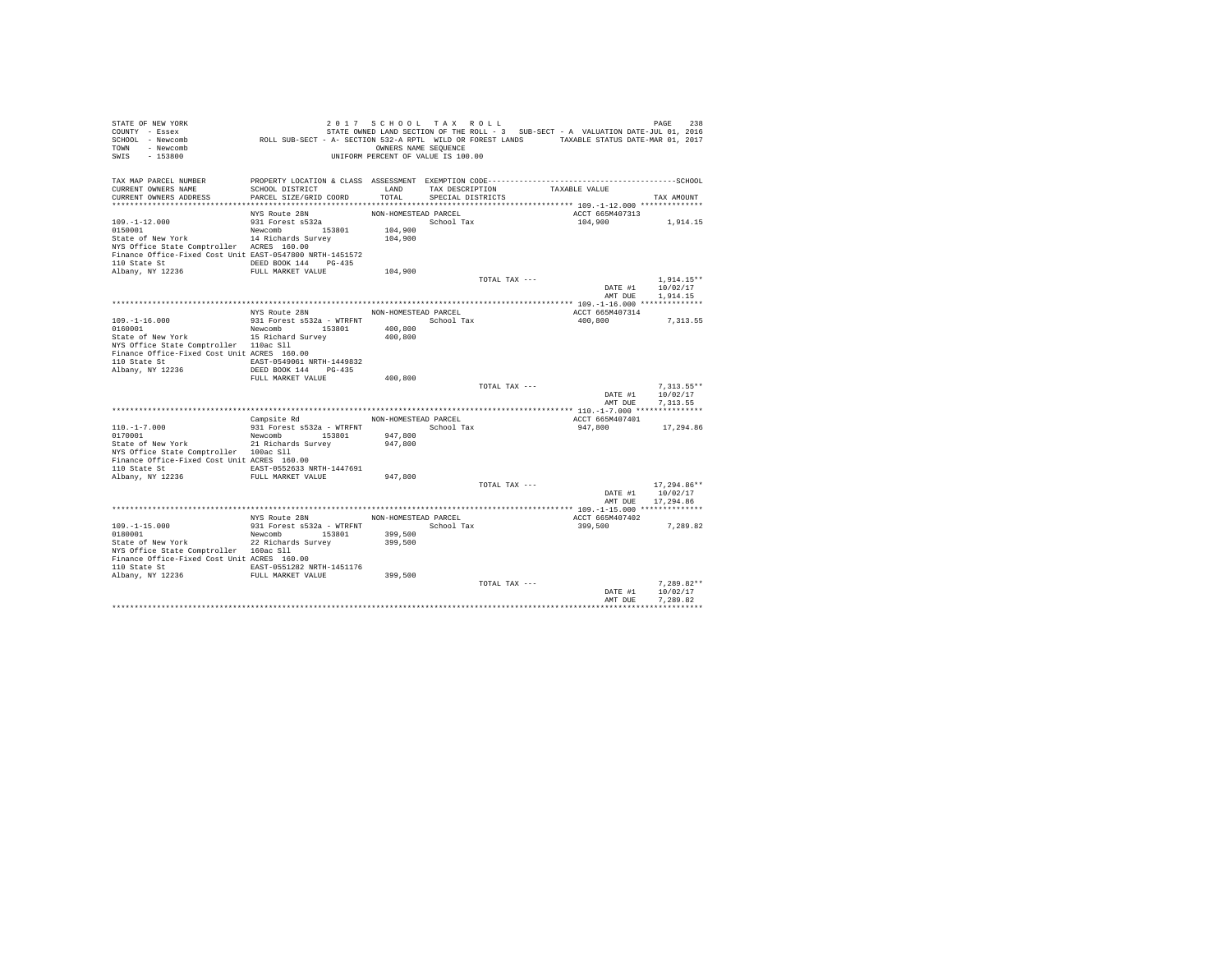| STATE OF NEW YORK<br>COUNTY - Essex<br>SCHOOL - Newcomb<br>TOWN - Newcomb<br>SWIS<br>$-153800$ | 238 PAGE 218 ו 17 S C H O O L T A X R O L L<br>STRIE OWNED LAND SECTION OF THE ROLL - 3 SUB-SECT - A VALUATION DATE-JUL 01, 2016<br>ROLL SUB-SECT - A- SECTION 532-A RPTL WILD OR FOREST LANDS TAXABLE STATUS DATE-MAR 01, 2017 | OWNERS NAME SEQUENCE<br>UNIFORM PERCENT OF VALUE IS 100.00 |                   |               |                               |                                                                                         |
|------------------------------------------------------------------------------------------------|---------------------------------------------------------------------------------------------------------------------------------------------------------------------------------------------------------------------------------|------------------------------------------------------------|-------------------|---------------|-------------------------------|-----------------------------------------------------------------------------------------|
|                                                                                                |                                                                                                                                                                                                                                 |                                                            |                   |               |                               |                                                                                         |
| TAX MAP PARCEL NUMBER<br>CURRENT OWNERS NAME                                                   | SCHOOL DISTRICT                                                                                                                                                                                                                 | LAND                                                       |                   |               | TAX DESCRIPTION TAXABLE VALUE |                                                                                         |
| CURRENT OWNERS ADDRESS                                                                         | PARCEL SIZE/GRID COORD                                                                                                                                                                                                          | TOTAL                                                      | SPECIAL DISTRICTS |               |                               | TAX AMOUNT                                                                              |
|                                                                                                |                                                                                                                                                                                                                                 |                                                            |                   |               |                               |                                                                                         |
|                                                                                                | NYS Route 28N                                                                                                                                                                                                                   | NON-HOMESTEAD PARCEL                                       |                   |               | ACCT 665M407313               |                                                                                         |
| $109. - 1 - 12.000$                                                                            | $931$ Forest $s532a$                                                                                                                                                                                                            |                                                            | School Tax        |               |                               | 104,900 1,914.15                                                                        |
| 0150001 153801 Newcomb 153801<br>State of New York 14 Richards Survey                          |                                                                                                                                                                                                                                 | 104,900                                                    |                   |               |                               |                                                                                         |
| NYS Office State Comptroller ACRES 160.00                                                      |                                                                                                                                                                                                                                 | 104,900                                                    |                   |               |                               |                                                                                         |
| Finance Office-Fixed Cost Unit EAST-0547800 NRTH-1451572                                       |                                                                                                                                                                                                                                 |                                                            |                   |               |                               |                                                                                         |
| 110 State St CONSERVING DEED BOOK 144 PG-435                                                   |                                                                                                                                                                                                                                 |                                                            |                   |               |                               |                                                                                         |
| Albany, NY 12236                                                                               | FULL MARKET VALUE                                                                                                                                                                                                               | 104,900                                                    |                   |               |                               |                                                                                         |
|                                                                                                |                                                                                                                                                                                                                                 |                                                            |                   | TOTAL TAX --- |                               | $1.914.15**$                                                                            |
|                                                                                                |                                                                                                                                                                                                                                 |                                                            |                   |               |                               | DATE #1 10/02/17                                                                        |
|                                                                                                |                                                                                                                                                                                                                                 |                                                            |                   |               |                               | AMT DUE 1,914.15                                                                        |
|                                                                                                | NYS Route 28N NON-HOMESTEAD PARCEL                                                                                                                                                                                              |                                                            |                   |               |                               |                                                                                         |
| $109. -1 - 16.000$                                                                             | 931 Forest s532a - WTRFNT School Tax                                                                                                                                                                                            |                                                            |                   |               | ACCT 665M407314<br>400,800    | 7, 313.55                                                                               |
| 0160001                                                                                        | Newcomb 153801                                                                                                                                                                                                                  | 400,800                                                    |                   |               |                               |                                                                                         |
| State of New York 15 Richard Survey                                                            |                                                                                                                                                                                                                                 | 400,800                                                    |                   |               |                               |                                                                                         |
| NYS Office State Comptroller 110ac Sll                                                         |                                                                                                                                                                                                                                 |                                                            |                   |               |                               |                                                                                         |
| Finance Office-Fixed Cost Unit ACRES 160.00                                                    |                                                                                                                                                                                                                                 |                                                            |                   |               |                               |                                                                                         |
| 110 State St EAST-0549061 NRTH-1449832                                                         |                                                                                                                                                                                                                                 |                                                            |                   |               |                               |                                                                                         |
| Albany, NY 12236                                                                               | DEED BOOK 144 PG-435<br>FULL MARKET VALUE                                                                                                                                                                                       | 400,800                                                    |                   |               |                               |                                                                                         |
|                                                                                                |                                                                                                                                                                                                                                 |                                                            |                   | TOTAL TAX --- |                               | $7.313.55**$                                                                            |
|                                                                                                |                                                                                                                                                                                                                                 |                                                            |                   |               |                               | $\begin{array}{cc} 7\,, 313\,.\,55*\,\\ \text{DATE \#1} & 10\,/\,02\,/\,17 \end{array}$ |
|                                                                                                |                                                                                                                                                                                                                                 |                                                            |                   |               | AMT DUE                       | 7.313.55                                                                                |
|                                                                                                |                                                                                                                                                                                                                                 |                                                            |                   |               |                               |                                                                                         |
|                                                                                                | Campsite Rd NON-HOMESTEAD PARCEL                                                                                                                                                                                                |                                                            |                   |               | ACCT 665M407401               |                                                                                         |
|                                                                                                |                                                                                                                                                                                                                                 |                                                            |                   |               | 947,800                       | 17,294.86                                                                               |
|                                                                                                |                                                                                                                                                                                                                                 |                                                            |                   |               |                               |                                                                                         |
| NYS Office State Comptroller 100ac Sll                                                         |                                                                                                                                                                                                                                 |                                                            |                   |               |                               |                                                                                         |
| Finance Office-Fixed Cost Unit ACRES 160.00                                                    |                                                                                                                                                                                                                                 |                                                            |                   |               |                               |                                                                                         |
| 110 State St 6. EAST-0552633 NRTH-1447691                                                      |                                                                                                                                                                                                                                 |                                                            |                   |               |                               |                                                                                         |
| Albany, NY 12236 FULL MARKET VALUE                                                             |                                                                                                                                                                                                                                 | 947,800                                                    |                   |               |                               |                                                                                         |
|                                                                                                |                                                                                                                                                                                                                                 |                                                            |                   | TOTAL TAX --- |                               | 17,294.86**                                                                             |
|                                                                                                |                                                                                                                                                                                                                                 |                                                            |                   |               |                               | DATE #1 $\frac{10}{2}$ 10/02/17                                                         |
|                                                                                                |                                                                                                                                                                                                                                 |                                                            |                   |               | AMT DUE                       | 17.294.86                                                                               |
|                                                                                                | NYS Route 28N NON-HOMESTEAD PARCEL                                                                                                                                                                                              |                                                            |                   |               | ACCT 665M407402               |                                                                                         |
| $109. -1 - 15.000$                                                                             | 931 Forest s532a - WTRFNT School Tax                                                                                                                                                                                            |                                                            |                   |               | 399,500                       | 7,289.82                                                                                |
| 0180001                                                                                        | Newcomb 153801 399,500                                                                                                                                                                                                          |                                                            |                   |               |                               |                                                                                         |
| State of New York 22 Richards Survey                                                           |                                                                                                                                                                                                                                 | 399,500                                                    |                   |               |                               |                                                                                         |
| NYS Office State Comptroller 160ac Sll                                                         |                                                                                                                                                                                                                                 |                                                            |                   |               |                               |                                                                                         |
| Finance Office-Fixed Cost Unit ACRES 160.00<br>110 State St  EAST-0551282 NRTH-1451176         |                                                                                                                                                                                                                                 |                                                            |                   |               |                               |                                                                                         |
| Albany, NY 12236 FULL MARKET VALUE 399,500                                                     |                                                                                                                                                                                                                                 |                                                            |                   |               |                               |                                                                                         |
|                                                                                                |                                                                                                                                                                                                                                 |                                                            |                   | TOTAL TAX --- |                               | $7.289.82**$                                                                            |
|                                                                                                |                                                                                                                                                                                                                                 |                                                            |                   |               | DATE #1                       | 10/02/17                                                                                |
|                                                                                                |                                                                                                                                                                                                                                 |                                                            |                   |               | AMT DUE                       | 7.289.82                                                                                |
|                                                                                                |                                                                                                                                                                                                                                 |                                                            |                   |               |                               |                                                                                         |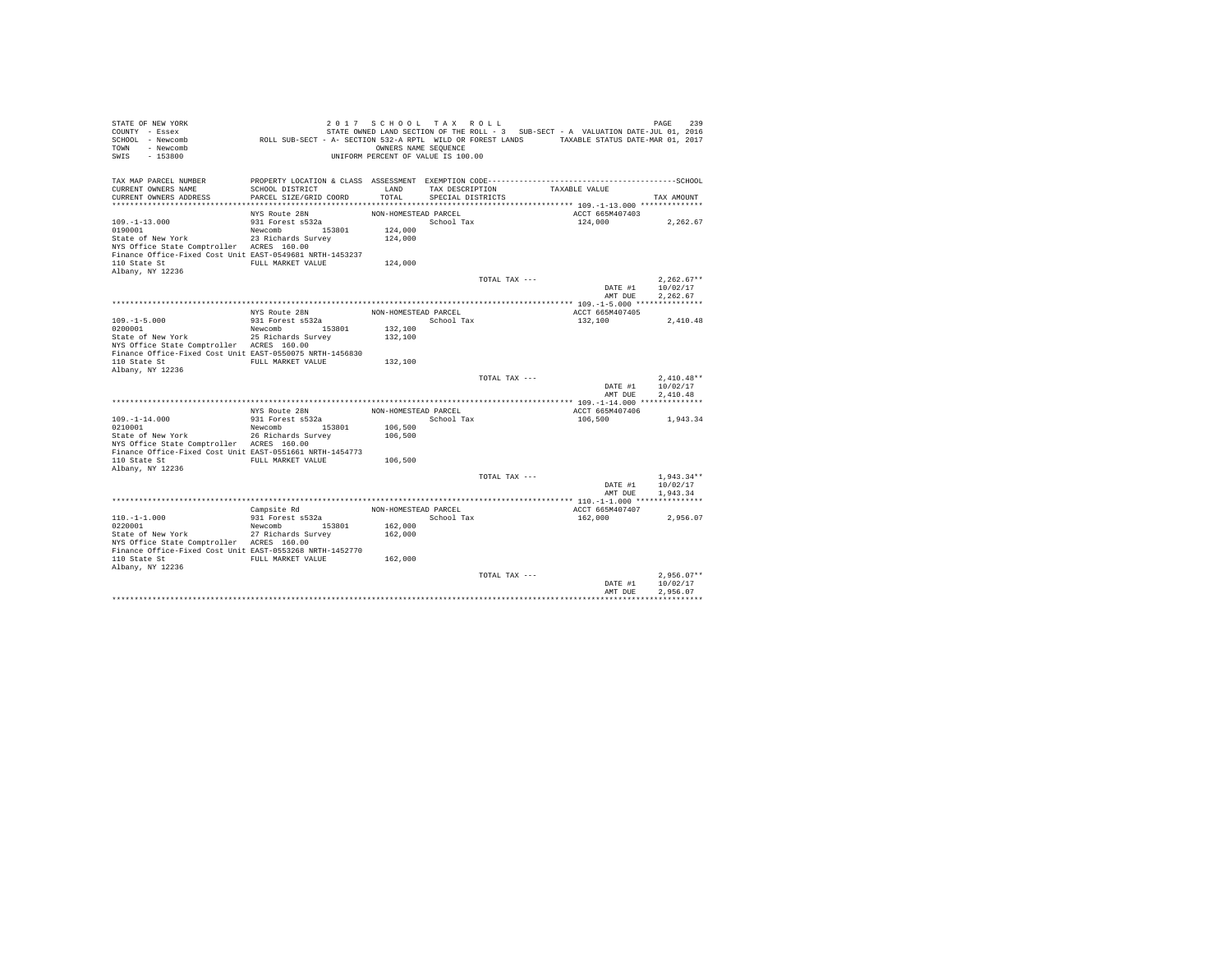| STATE OF NEW YORK<br>COUNTY - Essex<br>SCHOOL - Newcomb<br>- Newcomb<br>TOWN<br>SWIS<br>$-153800$                     | ROLL SUB-SECT - A- SECTION 532-A RPTL WILD OR FOREST LANDS TAXABLE STATUS DATE-MAR 01, 2017 | 2017 SCHOOL TAX ROLL<br>OWNERS NAME SEQUENCE<br>UNIFORM PERCENT OF VALUE IS 100.00 |                                      |               | STATE OWNED LAND SECTION OF THE ROLL - 3 SUB-SECT - A VALUATION DATE-JUL 01, 2016 | PAGE<br>239                          |
|-----------------------------------------------------------------------------------------------------------------------|---------------------------------------------------------------------------------------------|------------------------------------------------------------------------------------|--------------------------------------|---------------|-----------------------------------------------------------------------------------|--------------------------------------|
| TAX MAP PARCEL NUMBER<br>CURRENT OWNERS NAME<br>CURRENT OWNERS ADDRESS                                                | SCHOOL DISTRICT<br>PARCEL SIZE/GRID COORD                                                   | LAND<br>TOTAL                                                                      | TAX DESCRIPTION<br>SPECIAL DISTRICTS |               | TAXABLE VALUE                                                                     | TAX AMOUNT                           |
|                                                                                                                       |                                                                                             |                                                                                    |                                      |               |                                                                                   |                                      |
| $109. - 1 - 13.000$<br>0190001<br>State of New York                                                                   | NYS Route 28N<br>931 Forest s532a<br>Newcomb 153801<br>23 Richards Survey                   | NON-HOMESTEAD PARCEL<br>124,000<br>124,000                                         | School Tax                           |               | ACCT 665M407403<br>124,000                                                        | 2,262.67                             |
| NYS Office State Comptroller ACRES 160.00<br>Finance Office-Fixed Cost Unit EAST-0549681 NRTH-1453237<br>110 State St | FULL MARKET VALUE                                                                           | 124,000                                                                            |                                      |               |                                                                                   |                                      |
| Albany, NY 12236                                                                                                      |                                                                                             |                                                                                    |                                      |               |                                                                                   |                                      |
|                                                                                                                       |                                                                                             |                                                                                    |                                      | TOTAL TAX --- | DATE #1<br>AMT DUE                                                                | $2.262.67**$<br>10/02/17<br>2.262.67 |
|                                                                                                                       |                                                                                             |                                                                                    |                                      |               |                                                                                   |                                      |
|                                                                                                                       | NYS Route 28N                                                                               | NON-HOMESTEAD PARCEL                                                               |                                      |               | ACCT 665M407405                                                                   |                                      |
| $109. - 1 - 5.000$                                                                                                    | 931 Forest s532a                                                                            |                                                                                    | School Tax                           |               | 132,100                                                                           | 2.410.48                             |
| 0200001                                                                                                               | Newcomb<br>153801                                                                           | 132,100                                                                            |                                      |               |                                                                                   |                                      |
| State of New York                                                                                                     | 25 Richards Survey                                                                          | 132,100                                                                            |                                      |               |                                                                                   |                                      |
| NYS Office State Comptroller ACRES 160.00                                                                             |                                                                                             |                                                                                    |                                      |               |                                                                                   |                                      |
| Finance Office-Fixed Cost Unit EAST-0550075 NRTH-1456830<br>110 State St                                              | FULL MARKET VALUE                                                                           | 132,100                                                                            |                                      |               |                                                                                   |                                      |
| Albany, NY 12236                                                                                                      |                                                                                             |                                                                                    |                                      | TOTAL TAX --- |                                                                                   | $2.410.48**$                         |
|                                                                                                                       |                                                                                             |                                                                                    |                                      |               | DATE #1<br>AMT DUE                                                                | 10/02/17<br>2.410.48                 |
|                                                                                                                       |                                                                                             |                                                                                    |                                      |               |                                                                                   |                                      |
|                                                                                                                       | NYS Route 28N                                                                               | NON-HOMESTEAD PARCEL                                                               |                                      |               | ACCT 665M407406                                                                   |                                      |
| $109. -1 - 14.000$                                                                                                    | 931 Forest s532a                                                                            |                                                                                    | School Tax                           |               | 106,500                                                                           | 1,943.34                             |
| 0210001                                                                                                               | 153801<br>Newcomb                                                                           | 106,500                                                                            |                                      |               |                                                                                   |                                      |
| State of New York                                                                                                     | 26 Richards Survey                                                                          | 106,500                                                                            |                                      |               |                                                                                   |                                      |
| NYS Office State Comptroller ACRES 160.00<br>Finance Office-Fixed Cost Unit EAST-0551661 NRTH-1454773                 |                                                                                             |                                                                                    |                                      |               |                                                                                   |                                      |
| 110 State St<br>Albany, NY 12236                                                                                      | FULL MARKET VALUE                                                                           | 106,500                                                                            |                                      |               |                                                                                   |                                      |
|                                                                                                                       |                                                                                             |                                                                                    |                                      | TOTAL TAX --- |                                                                                   | $1.943.34**$                         |
|                                                                                                                       |                                                                                             |                                                                                    |                                      |               | DATE #1                                                                           | 10/02/17                             |
|                                                                                                                       |                                                                                             |                                                                                    |                                      |               | AMT DUE                                                                           | 1,943.34                             |
|                                                                                                                       | Campsite Rd                                                                                 | NON-HOMESTEAD PARCEL                                                               |                                      |               | ACCT 665M407407                                                                   |                                      |
| $110. -1 - 1.000$                                                                                                     | 931 Forest s532a                                                                            |                                                                                    | School Tax                           |               | 162,000                                                                           | 2.956.07                             |
| 0220001                                                                                                               | Newcomb 153801                                                                              | 162,000                                                                            |                                      |               |                                                                                   |                                      |
| State of New York<br>NYS Office State Comptroller ACRES 160.00                                                        | 27 Richards Survey                                                                          | 162,000                                                                            |                                      |               |                                                                                   |                                      |
| Finance Office-Fixed Cost Unit EAST-0553268 NRTH-1452770                                                              |                                                                                             |                                                                                    |                                      |               |                                                                                   |                                      |
| 110 State St<br>Albany, NY 12236                                                                                      | FULL MARKET VALUE                                                                           | 162,000                                                                            |                                      |               |                                                                                   |                                      |
|                                                                                                                       |                                                                                             |                                                                                    |                                      | TOTAL TAX --- |                                                                                   | $2.956.07**$                         |
|                                                                                                                       |                                                                                             |                                                                                    |                                      |               | DATE #1<br>AMT DUE                                                                | 10/02/17<br>2.956.07                 |
|                                                                                                                       |                                                                                             |                                                                                    |                                      |               |                                                                                   |                                      |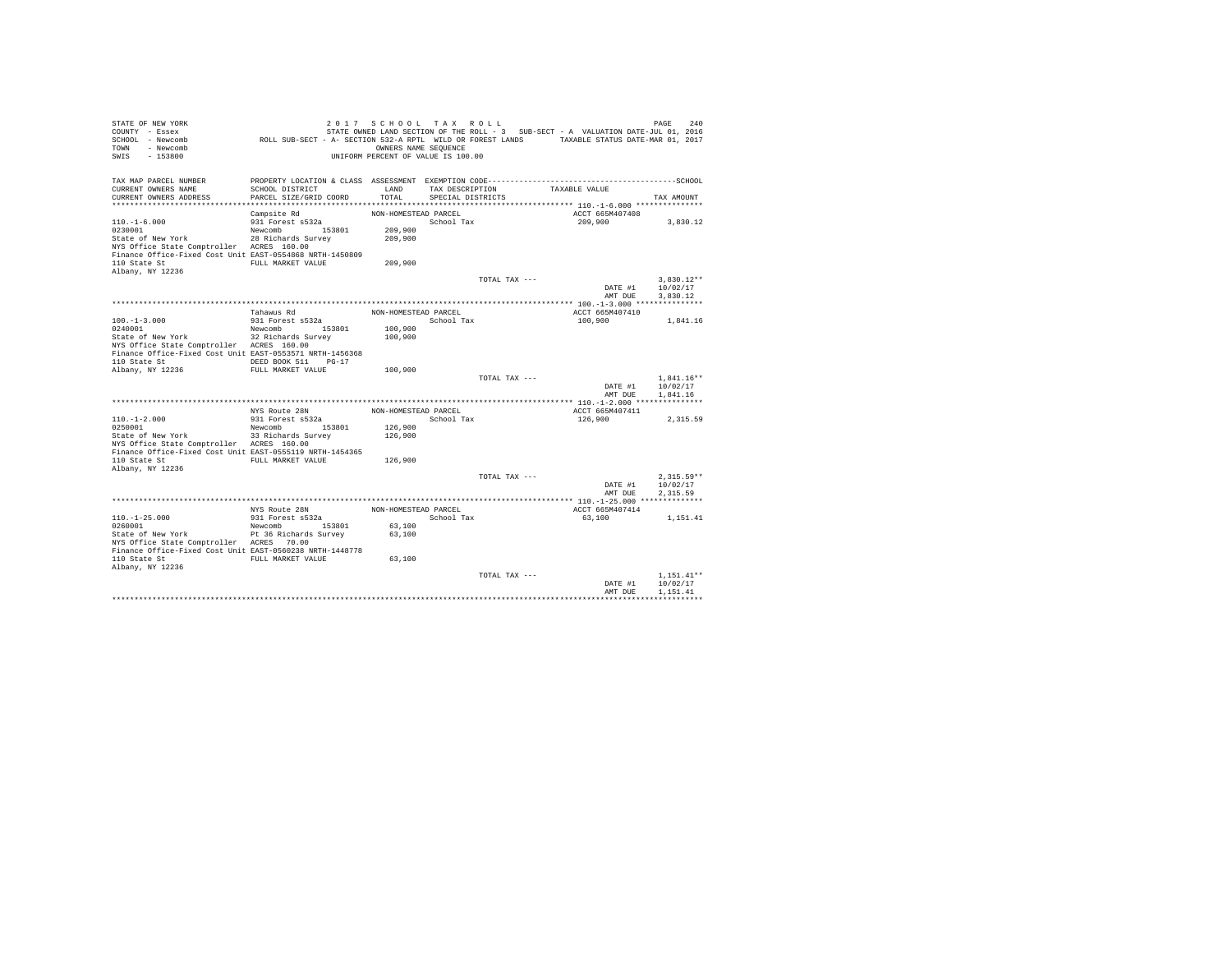| STATE OF NEW YORK<br>COUNTY - Essex<br>SCHOOL - Newcomb<br>- Newcomb<br>TOWN<br>SWIS<br>$-153800$                                                                                               | ROLL SUB-SECT - A- SECTION 532-A RPTL WILD OR FOREST LANDS TAXABLE STATUS DATE-MAR 01, 2017  | 2017 SCHOOL TAX ROLL<br>OWNERS NAME SEQUENCE<br>UNIFORM PERCENT OF VALUE IS 100.00 |                                      |               | STATE OWNED LAND SECTION OF THE ROLL - 3 SUB-SECT - A VALUATION DATE-JUL 01, 2016 | PAGE<br>240                          |
|-------------------------------------------------------------------------------------------------------------------------------------------------------------------------------------------------|----------------------------------------------------------------------------------------------|------------------------------------------------------------------------------------|--------------------------------------|---------------|-----------------------------------------------------------------------------------|--------------------------------------|
| TAX MAP PARCEL NUMBER<br>CURRENT OWNERS NAME<br>CURRENT OWNERS ADDRESS                                                                                                                          | SCHOOL DISTRICT<br>PARCEL SIZE/GRID COORD                                                    | LAND<br>TOTAL                                                                      | TAX DESCRIPTION<br>SPECIAL DISTRICTS |               | TAXABLE VALUE                                                                     | TAX AMOUNT                           |
| $110. - 1 - 6.000$<br>0230001<br>State of New York<br>NYS Office State Comptroller ACRES 160.00<br>Finance Office-Fixed Cost Unit EAST-0554868 NRTH-1450809<br>110 State St<br>Albany, NY 12236 | Campsite Rd<br>931 Forest s532a<br>Newcomb 153801<br>28 Richards Survey<br>FULL MARKET VALUE | NON-HOMESTEAD PARCEL<br>209,900<br>209,900<br>209,900                              | School Tax                           |               | ACCT 665M407408<br>209,900                                                        | 3,830.12                             |
|                                                                                                                                                                                                 |                                                                                              |                                                                                    |                                      | TOTAL TAX --- | DATE #1<br>AMT DUE                                                                | $3.830.12**$<br>10/02/17<br>3,830.12 |
| $100. -1 - 3.000$<br>0240001<br>State of New York<br>NYS Office State Comptroller ACRES 160.00<br>Finance Office-Fixed Cost Unit EAST-0553571 NRTH-1456368                                      | Tahawus Rd<br>931 Forest s532a<br>Newcomb 153801<br>32 Richards Survey                       | NON-HOMESTEAD PARCEL<br>100,900<br>100,900                                         | School Tax                           |               | ACCT 665M407410<br>100,900                                                        | 1,841.16                             |
| 110 State St<br>Albany, NY 12236                                                                                                                                                                | DEED BOOK 511<br>$PG-17$<br>FULL MARKET VALUE                                                | 100,900                                                                            |                                      | TOTAL TAX --- | DATE #1<br>AMT DUE                                                                | $1.841.16**$<br>10/02/17<br>1.841.16 |
|                                                                                                                                                                                                 | NYS Route 28N                                                                                | NON-HOMESTEAD PARCEL                                                               |                                      |               | ACCT 665M407411                                                                   |                                      |
| $110. -1 - 2.000$<br>0250001<br>State of New York<br>NYS Office State Comptroller ACRES 160.00<br>Finance Office-Fixed Cost Unit EAST-0555119 NRTH-1454365<br>110 State St                      | 931 Forest s532a<br>153801<br>Newcomb<br>33 Richards Survey<br>FULL MARKET VALUE             | 126,900<br>126,900<br>126,900                                                      | School Tax                           |               | 126,900                                                                           | 2,315.59                             |
| Albany, NY 12236                                                                                                                                                                                |                                                                                              |                                                                                    |                                      | TOTAL TAX --- | DATE #1<br>AMT DUE                                                                | $2.315.59**$<br>10/02/17<br>2.315.59 |
|                                                                                                                                                                                                 | NYS Route 28N                                                                                | NON-HOMESTEAD PARCEL                                                               |                                      |               | ACCT 665M407414                                                                   |                                      |
| $110. -1 - 25.000$<br>0260001<br>State of New York<br>NYS Office State Comptroller ACRES 70.00<br>Finance Office-Fixed Cost Unit EAST-0560238 NRTH-1448778<br>110 State St<br>Albany, NY 12236  | 931 Forest s532a<br>Newcomb 153801<br>Pt 36 Richards Survey<br>FULL MARKET VALUE             | 63,100<br>63,100<br>63,100                                                         | School Tax                           |               | 63,100                                                                            | 1,151.41                             |
|                                                                                                                                                                                                 |                                                                                              |                                                                                    |                                      | TOTAL TAX --- | DATE #1<br>AMT DUE                                                                | $1.151.41**$<br>10/02/17<br>1,151.41 |
|                                                                                                                                                                                                 |                                                                                              |                                                                                    |                                      |               |                                                                                   |                                      |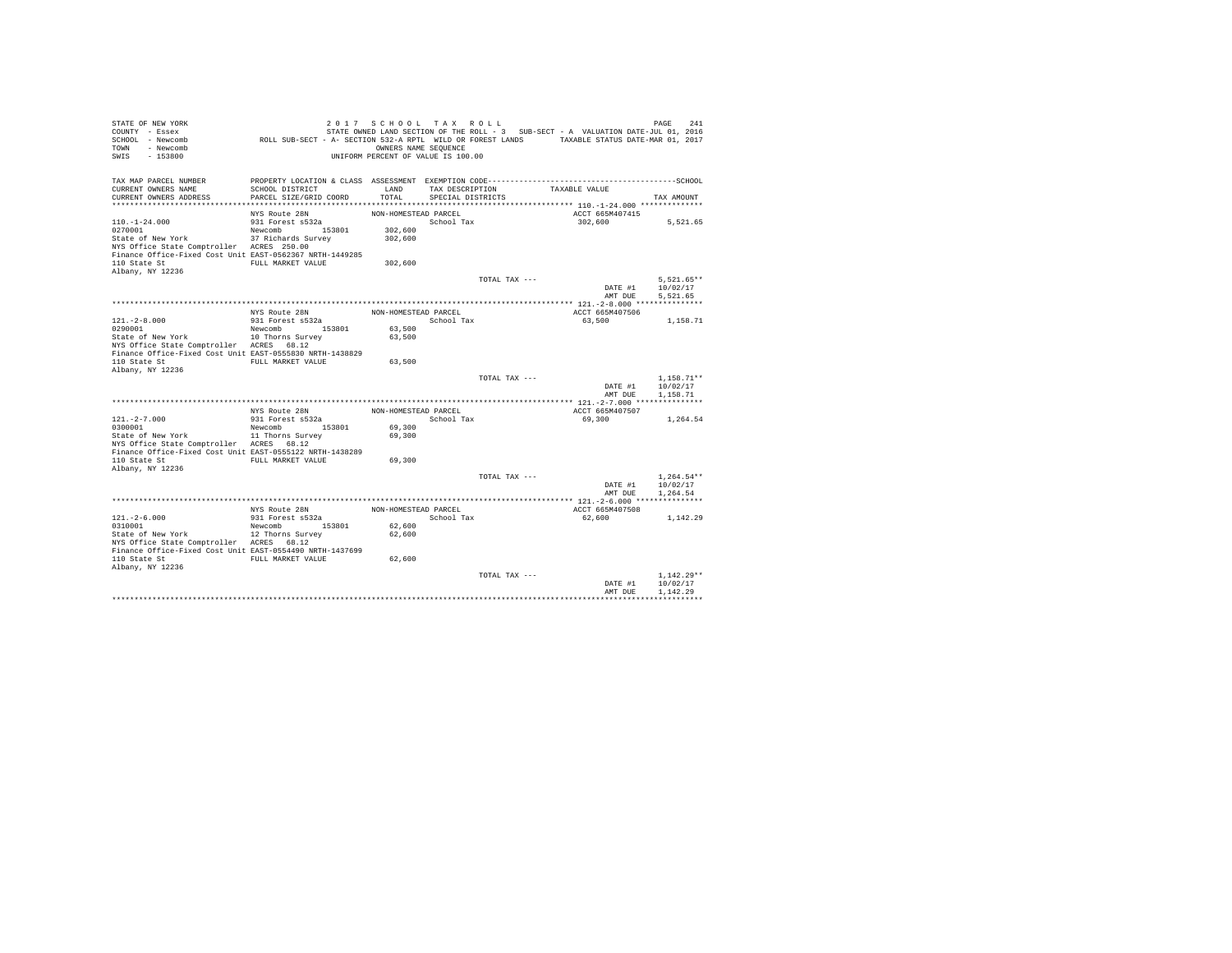| STATE OF NEW YORK<br>COUNTY - Essex<br>SCHOOL - Newcomb<br>- Newcomb<br><b>TOWN</b><br>$-153800$<br>SWIS | ROLL SUB-SECT - A- SECTION 532-A RPTL WILD OR FOREST LANDS TAXABLE STATUS DATE-MAR 01, 2017 | 2017 SCHOOL TAX ROLL<br>OWNERS NAME SEQUENCE<br>UNIFORM PERCENT OF VALUE IS 100.00 |                                      |               | STATE OWNED LAND SECTION OF THE ROLL - 3 SUB-SECT - A VALUATION DATE-JUL 01, 2016 | PAGE<br>241          |
|----------------------------------------------------------------------------------------------------------|---------------------------------------------------------------------------------------------|------------------------------------------------------------------------------------|--------------------------------------|---------------|-----------------------------------------------------------------------------------|----------------------|
| TAX MAP PARCEL NUMBER<br>CURRENT OWNERS NAME<br>CURRENT OWNERS ADDRESS                                   | SCHOOL DISTRICT<br>PARCEL SIZE/GRID COORD                                                   | LAND<br>TOTAL                                                                      | TAX DESCRIPTION<br>SPECIAL DISTRICTS |               | TAXABLE VALUE                                                                     | TAX AMOUNT           |
|                                                                                                          |                                                                                             |                                                                                    |                                      |               |                                                                                   |                      |
|                                                                                                          | NYS Route 28N                                                                               | NON-HOMESTEAD PARCEL                                                               |                                      |               | ACCT 665M407415                                                                   |                      |
| $110. - 1 - 24.000$                                                                                      | 931 Forest s532a                                                                            |                                                                                    | School Tax                           |               | 302,600                                                                           | 5,521.65             |
| 0270001                                                                                                  | Newcomb 153801                                                                              | 302,600                                                                            |                                      |               |                                                                                   |                      |
| State of New York                                                                                        | 37 Richards Survey                                                                          | 302,600                                                                            |                                      |               |                                                                                   |                      |
| NYS Office State Comptroller ACRES 250.00                                                                |                                                                                             |                                                                                    |                                      |               |                                                                                   |                      |
| Finance Office-Fixed Cost Unit EAST-0562367 NRTH-1449285                                                 |                                                                                             |                                                                                    |                                      |               |                                                                                   |                      |
| 110 State St                                                                                             | FULL MARKET VALUE                                                                           | 302,600                                                                            |                                      |               |                                                                                   |                      |
| Albany, NY 12236                                                                                         |                                                                                             |                                                                                    |                                      |               |                                                                                   |                      |
|                                                                                                          |                                                                                             |                                                                                    |                                      | TOTAL TAX --- |                                                                                   | $5.521.65**$         |
|                                                                                                          |                                                                                             |                                                                                    |                                      |               | DATE #1<br>AMT DUE                                                                | 10/02/17<br>5.521.65 |
|                                                                                                          |                                                                                             |                                                                                    |                                      |               |                                                                                   |                      |
|                                                                                                          | NYS Route 28N                                                                               | NON-HOMESTEAD PARCEL                                                               |                                      |               | ACCT 665M407506                                                                   |                      |
| $121. -2 - 8.000$                                                                                        | 931 Forest s532a                                                                            |                                                                                    | School Tax                           |               | 63,500                                                                            | 1,158.71             |
| 0290001                                                                                                  | 153801<br>Newcomb                                                                           | 63,500                                                                             |                                      |               |                                                                                   |                      |
| State of New York                                                                                        | 10 Thorns Survey                                                                            | 63,500                                                                             |                                      |               |                                                                                   |                      |
| NYS Office State Comptroller ACRES 68.12                                                                 |                                                                                             |                                                                                    |                                      |               |                                                                                   |                      |
| Finance Office-Fixed Cost Unit EAST-0555830 NRTH-1438829                                                 |                                                                                             |                                                                                    |                                      |               |                                                                                   |                      |
| 110 State St                                                                                             | FULL MARKET VALUE                                                                           | 63,500                                                                             |                                      |               |                                                                                   |                      |
| Albany, NY 12236                                                                                         |                                                                                             |                                                                                    |                                      |               |                                                                                   |                      |
|                                                                                                          |                                                                                             |                                                                                    |                                      | TOTAL TAX --- |                                                                                   | $1.158.71**$         |
|                                                                                                          |                                                                                             |                                                                                    |                                      |               | DATE #1<br>AMT DUE                                                                | 10/02/17<br>1.158.71 |
|                                                                                                          |                                                                                             |                                                                                    |                                      |               |                                                                                   |                      |
|                                                                                                          | NYS Route 28N                                                                               | NON-HOMESTEAD PARCEL                                                               |                                      |               | ACCT 665M407507                                                                   |                      |
| $121. -2 - 7.000$                                                                                        | 931 Forest s532a                                                                            |                                                                                    | School Tax                           |               | 69,300                                                                            | 1,264.54             |
| 0300001                                                                                                  | Newcomb 153801                                                                              | 69,300                                                                             |                                      |               |                                                                                   |                      |
| State of New York                                                                                        | 11 Thorns Survey                                                                            | 69,300                                                                             |                                      |               |                                                                                   |                      |
| NYS Office State Comptroller ACRES 68.12                                                                 |                                                                                             |                                                                                    |                                      |               |                                                                                   |                      |
| Finance Office-Fixed Cost Unit EAST-0555122 NRTH-1438289                                                 |                                                                                             |                                                                                    |                                      |               |                                                                                   |                      |
| 110 State St                                                                                             | FULL MARKET VALUE                                                                           | 69,300                                                                             |                                      |               |                                                                                   |                      |
| Albany, NY 12236                                                                                         |                                                                                             |                                                                                    |                                      |               |                                                                                   |                      |
|                                                                                                          |                                                                                             |                                                                                    |                                      | TOTAL TAX --- |                                                                                   | $1.264.54**$         |
|                                                                                                          |                                                                                             |                                                                                    |                                      |               | DATE #1<br>AMT DUE                                                                | 10/02/17<br>1.264.54 |
|                                                                                                          |                                                                                             |                                                                                    |                                      |               |                                                                                   |                      |
|                                                                                                          | NYS Route 28N                                                                               | NON-HOMESTEAD PARCEL                                                               |                                      |               | ACCT 665M407508                                                                   |                      |
| $121. - 2 - 6.000$                                                                                       | 931 Forest s532a                                                                            |                                                                                    | School Tax                           |               | 62,600                                                                            | 1,142.29             |
| 0310001                                                                                                  | Newcomb 153801                                                                              | 62,600                                                                             |                                      |               |                                                                                   |                      |
| State of New York                                                                                        | 12 Thorns Survey                                                                            | 62,600                                                                             |                                      |               |                                                                                   |                      |
| NYS Office State Comptroller ACRES 68.12                                                                 |                                                                                             |                                                                                    |                                      |               |                                                                                   |                      |
| Finance Office-Fixed Cost Unit EAST-0554490 NRTH-1437699                                                 |                                                                                             |                                                                                    |                                      |               |                                                                                   |                      |
| 110 State St                                                                                             | FULL MARKET VALUE                                                                           | 62,600                                                                             |                                      |               |                                                                                   |                      |
| Albany, NY 12236                                                                                         |                                                                                             |                                                                                    |                                      |               |                                                                                   |                      |
|                                                                                                          |                                                                                             |                                                                                    |                                      | TOTAL TAX --- |                                                                                   | $1.142.29**$         |
|                                                                                                          |                                                                                             |                                                                                    |                                      |               | DATE #1<br>AMT DUE                                                                | 10/02/17<br>1.142.29 |
|                                                                                                          |                                                                                             |                                                                                    |                                      |               |                                                                                   |                      |
|                                                                                                          |                                                                                             |                                                                                    |                                      |               |                                                                                   |                      |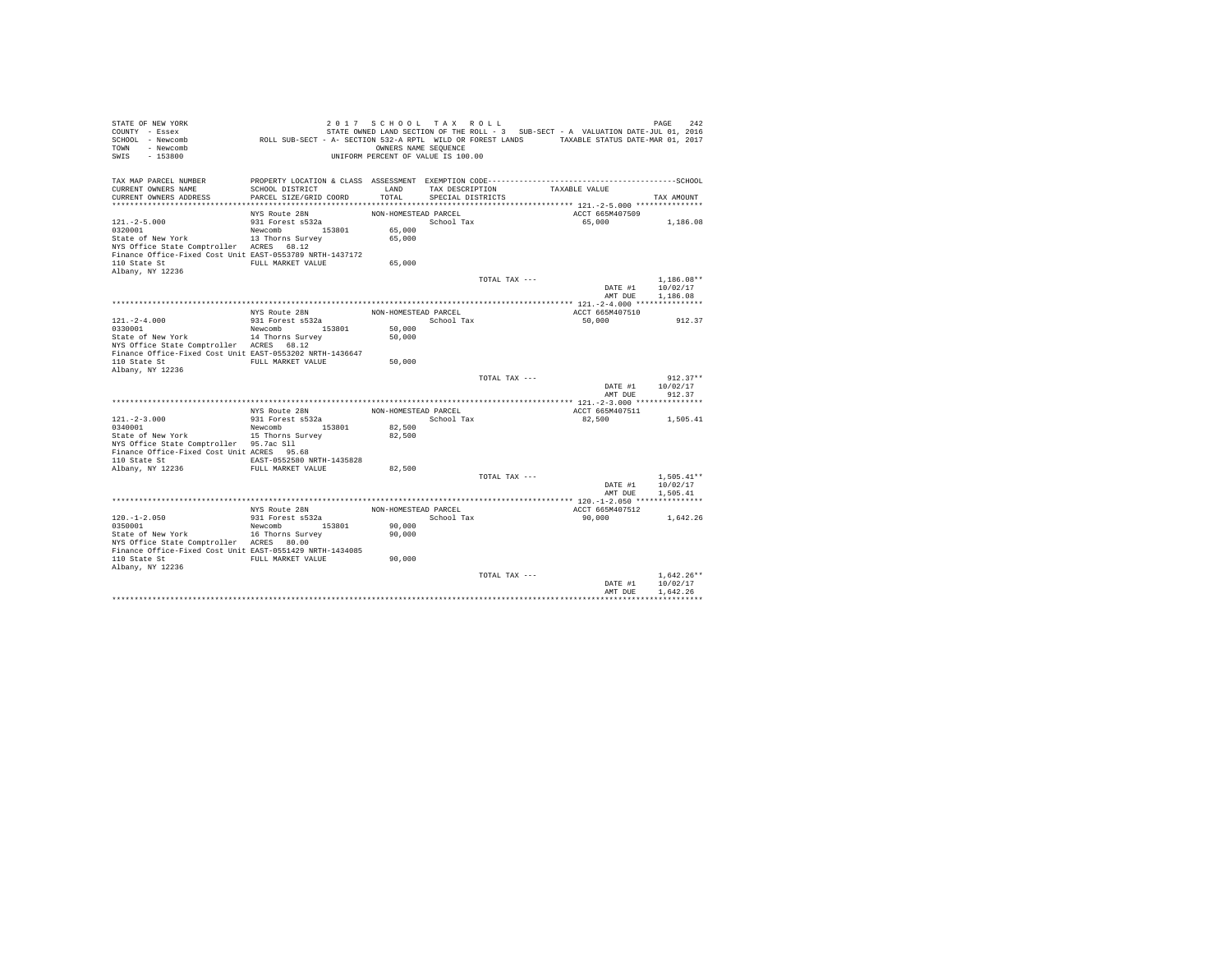| STATE OF NEW YORK<br>COUNTY - Essex<br>SCHOOL - Newcomb<br>- Newcomb<br>TOWN<br>$-153800$<br>SWIS                                                          | ROLL SUB-SECT - A- SECTION 532-A RPTL WILD OR FOREST LANDS TAXABLE STATUS DATE-MAR 01, 2017 | 2017 SCHOOL TAX ROLL<br>OWNERS NAME SEQUENCE<br>UNIFORM PERCENT OF VALUE IS 100.00 |                                      |               | STATE OWNED LAND SECTION OF THE ROLL - 3 SUB-SECT - A VALUATION DATE-JUL 01, 2016 | PAGE<br>242                          |
|------------------------------------------------------------------------------------------------------------------------------------------------------------|---------------------------------------------------------------------------------------------|------------------------------------------------------------------------------------|--------------------------------------|---------------|-----------------------------------------------------------------------------------|--------------------------------------|
| TAX MAP PARCEL NUMBER<br>CURRENT OWNERS NAME<br>CURRENT OWNERS ADDRESS                                                                                     | SCHOOL DISTRICT<br>PARCEL SIZE/GRID COORD                                                   | LAND<br>TOTAL                                                                      | TAX DESCRIPTION<br>SPECIAL DISTRICTS |               | TAXABLE VALUE                                                                     | TAX AMOUNT                           |
|                                                                                                                                                            |                                                                                             |                                                                                    |                                      |               |                                                                                   |                                      |
| $121. -2 - 5.000$<br>0320001<br>State of New York<br>NYS Office State Comptroller ACRES 68.12<br>Finance Office-Fixed Cost Unit EAST-0553789 NRTH-1437172  | NYS Route 28N<br>931 Forest s532a<br>Newcomb 153801<br>13 Thorns Survey                     | NON-HOMESTEAD PARCEL<br>65,000<br>65,000                                           | School Tax                           |               | ACCT 665M407509<br>65,000                                                         | 1,186.08                             |
| 110 State St<br>Albany, NY 12236                                                                                                                           | FULL MARKET VALUE                                                                           | 65,000                                                                             |                                      |               |                                                                                   |                                      |
|                                                                                                                                                            |                                                                                             |                                                                                    |                                      | TOTAL TAX --- | DATE #1<br>AMT DUE                                                                | $1.186.08**$<br>10/02/17<br>1,186.08 |
|                                                                                                                                                            |                                                                                             |                                                                                    |                                      |               |                                                                                   |                                      |
|                                                                                                                                                            | NYS Route 28N                                                                               | NON-HOMESTEAD PARCEL                                                               |                                      |               | ACCT 665M407510                                                                   |                                      |
| $121. - 2 - 4.000$                                                                                                                                         | 931 Forest s532a                                                                            |                                                                                    | School Tax                           |               | 50,000                                                                            | 912.37                               |
| 0330001                                                                                                                                                    | 153801<br>Newcomb                                                                           | 50,000                                                                             |                                      |               |                                                                                   |                                      |
| State of New York<br>NYS Office State Comptroller ACRES 68.12<br>Finance Office-Fixed Cost Unit EAST-0553202 NRTH-1436647                                  | 14 Thorns Survey                                                                            | 50,000                                                                             |                                      |               |                                                                                   |                                      |
| 110 State St<br>Albany, NY 12236                                                                                                                           | FULL MARKET VALUE                                                                           | 50,000                                                                             |                                      |               |                                                                                   |                                      |
|                                                                                                                                                            |                                                                                             |                                                                                    |                                      | TOTAL TAX --- |                                                                                   | $912.37**$                           |
|                                                                                                                                                            |                                                                                             |                                                                                    |                                      |               | DATE #1                                                                           | 10/02/17                             |
|                                                                                                                                                            |                                                                                             |                                                                                    |                                      |               | AMT DUE                                                                           | 912.37                               |
|                                                                                                                                                            | NYS Route 28N                                                                               | NON-HOMESTEAD PARCEL                                                               |                                      |               | ACCT 665M407511                                                                   |                                      |
| $121. - 2 - 3.000$                                                                                                                                         | 931 Forest s532a                                                                            |                                                                                    | School Tax                           |               | 82,500                                                                            | 1,505.41                             |
| 0340001                                                                                                                                                    | Newcomb 153801                                                                              | 82,500                                                                             |                                      |               |                                                                                   |                                      |
| State of New York                                                                                                                                          | 15 Thorns Survey                                                                            | 82,500                                                                             |                                      |               |                                                                                   |                                      |
| NYS Office State Comptroller 95.7ac Sll                                                                                                                    |                                                                                             |                                                                                    |                                      |               |                                                                                   |                                      |
| Finance Office-Fixed Cost Unit ACRES 95.68                                                                                                                 |                                                                                             |                                                                                    |                                      |               |                                                                                   |                                      |
| 110 State St<br>Albany, NY 12236                                                                                                                           | EAST-0552580 NRTH-1435828<br>FULL MARKET VALUE                                              | 82,500                                                                             |                                      |               |                                                                                   |                                      |
|                                                                                                                                                            |                                                                                             |                                                                                    |                                      | TOTAL TAX --- |                                                                                   | $1.505.41**$                         |
|                                                                                                                                                            |                                                                                             |                                                                                    |                                      |               | DATE #1                                                                           | 10/02/17                             |
|                                                                                                                                                            |                                                                                             |                                                                                    |                                      |               | AMT DUE                                                                           | 1,505.41                             |
|                                                                                                                                                            |                                                                                             |                                                                                    |                                      |               |                                                                                   |                                      |
|                                                                                                                                                            | NYS Route 28N                                                                               | NON-HOMESTEAD PARCEL                                                               |                                      |               | ACCT 665M407512                                                                   |                                      |
| $120. - 1 - 2.050$<br>0350001<br>State of New York<br>NYS Office State Comptroller ACRES 80.00<br>Finance Office-Fixed Cost Unit EAST-0551429 NRTH-1434085 | 931 Forest s532a<br>Newcomb 153801<br>16 Thorns Survey                                      | 90,000<br>90,000                                                                   | School Tax                           |               | 90,000                                                                            | 1,642.26                             |
| 110 State St<br>Albany, NY 12236                                                                                                                           | FULL MARKET VALUE                                                                           | 90,000                                                                             |                                      |               |                                                                                   |                                      |
|                                                                                                                                                            |                                                                                             |                                                                                    |                                      | TOTAL TAX --- | DATE #1<br>AMT DUE                                                                | $1.642.26**$<br>10/02/17<br>1.642.26 |
|                                                                                                                                                            |                                                                                             |                                                                                    |                                      |               |                                                                                   |                                      |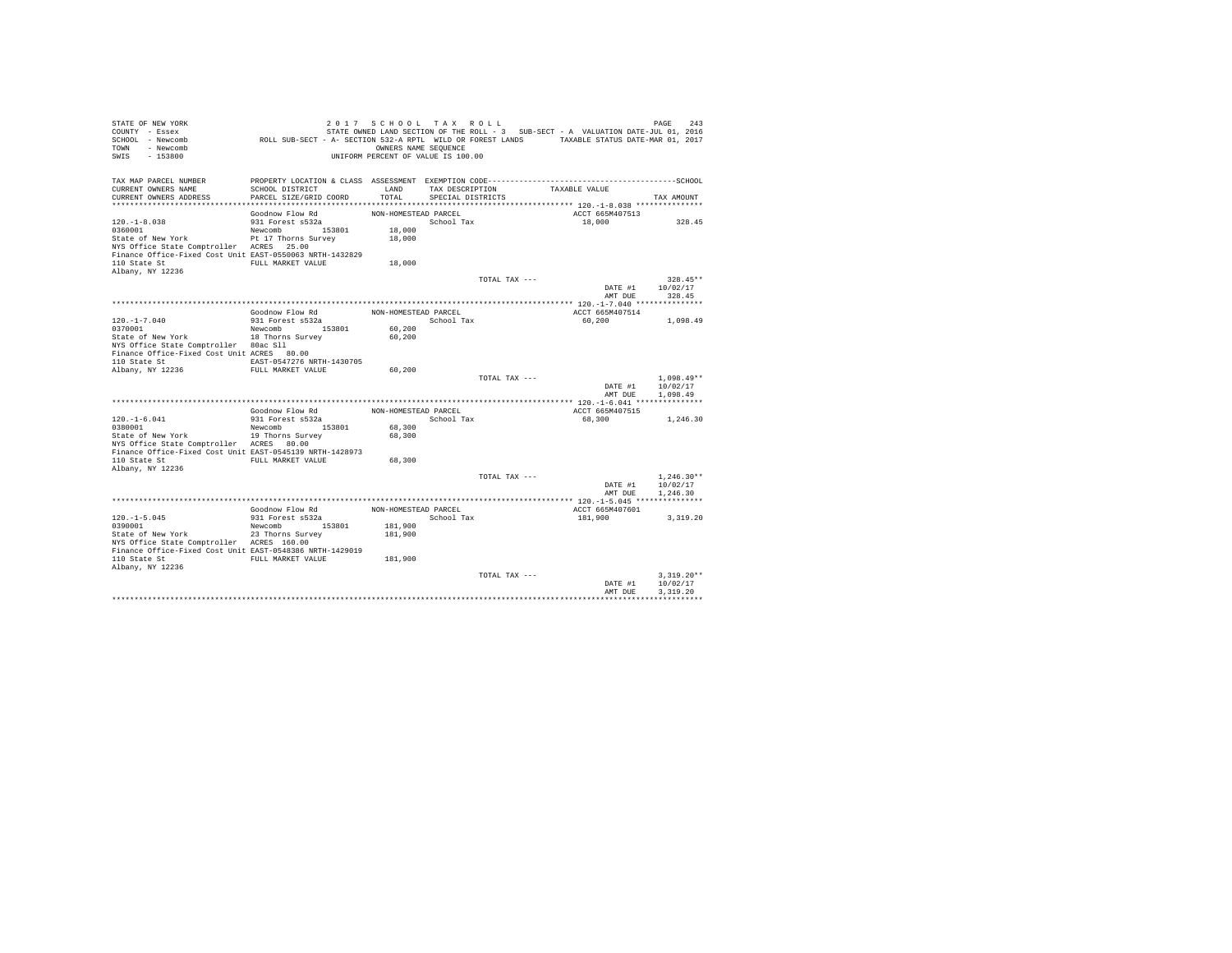| STATE OF NEW YORK<br>COUNTY - Essex<br>SCHOOL - Newcomb<br>TOWN<br>- Newcomb<br>SWIS<br>$-153800$ | ROLL SUB-SECT - A- SECTION 532-A RPTL WILD OR FOREST LANDS TAXABLE STATUS DATE-MAR 01, 2017 | 2017 SCHOOL TAX ROLL<br>OWNERS NAME SEOUENCE<br>UNIFORM PERCENT OF VALUE IS 100.00 |                   |               | STATE OWNED LAND SECTION OF THE ROLL - 3 SUB-SECT - A VALUATION DATE-JUL 01, 2016 | PAGE<br>243  |
|---------------------------------------------------------------------------------------------------|---------------------------------------------------------------------------------------------|------------------------------------------------------------------------------------|-------------------|---------------|-----------------------------------------------------------------------------------|--------------|
| TAX MAP PARCEL NUMBER                                                                             |                                                                                             |                                                                                    |                   |               |                                                                                   |              |
| CURRENT OWNERS NAME                                                                               | SCHOOL DISTRICT                                                                             | LAND                                                                               | TAX DESCRIPTION   |               | TAXABLE VALUE                                                                     |              |
| CURRENT OWNERS ADDRESS                                                                            | PARCEL SIZE/GRID COORD                                                                      | TOTAL.                                                                             | SPECIAL DISTRICTS |               |                                                                                   | TAX AMOUNT   |
|                                                                                                   | Goodnow Flow Rd                                                                             | NON-HOMESTEAD PARCEL                                                               |                   |               | ACCT 665M407513                                                                   |              |
| $120. -1 - 8.038$                                                                                 | 931 Forest s532a                                                                            |                                                                                    | School Tax        |               | 18,000                                                                            | 328.45       |
| 0360001                                                                                           | Newcomb 153801                                                                              | 18,000                                                                             |                   |               |                                                                                   |              |
| State of New York                                                                                 | Pt 17 Thorns Survey                                                                         | 18,000                                                                             |                   |               |                                                                                   |              |
| NYS Office State Comptroller ACRES 25.00                                                          |                                                                                             |                                                                                    |                   |               |                                                                                   |              |
| Finance Office-Fixed Cost Unit EAST-0550063 NRTH-1432829                                          |                                                                                             |                                                                                    |                   |               |                                                                                   |              |
| 110 State St                                                                                      | FULL MARKET VALUE                                                                           | 18,000                                                                             |                   |               |                                                                                   |              |
| Albany, NY 12236                                                                                  |                                                                                             |                                                                                    |                   | TOTAL TAX --- |                                                                                   | $328.45**$   |
|                                                                                                   |                                                                                             |                                                                                    |                   |               | DATE #1                                                                           | 10/02/17     |
|                                                                                                   |                                                                                             |                                                                                    |                   |               | AMT DUE                                                                           | 328.45       |
|                                                                                                   |                                                                                             |                                                                                    |                   |               |                                                                                   |              |
|                                                                                                   | Goodnow Flow Rd                                                                             | NON-HOMESTEAD PARCEL                                                               |                   |               | ACCT 665M407514                                                                   |              |
| $120. - 1 - 7.040$                                                                                | 931 Forest s532a                                                                            |                                                                                    | School Tax        |               | 60,200                                                                            | 1,098.49     |
| 0370001<br>State of New York                                                                      | Newcomb<br>153801                                                                           | 60,200                                                                             |                   |               |                                                                                   |              |
| NYS Office State Comptroller 80ac Sll                                                             | 18 Thorns Survey                                                                            | 60,200                                                                             |                   |               |                                                                                   |              |
| Finance Office-Fixed Cost Unit ACRES 80.00                                                        |                                                                                             |                                                                                    |                   |               |                                                                                   |              |
| 110 State St                                                                                      | EAST-0547276 NRTH-1430705                                                                   |                                                                                    |                   |               |                                                                                   |              |
| Albany, NY 12236                                                                                  | FULL MARKET VALUE                                                                           | 60,200                                                                             |                   |               |                                                                                   |              |
|                                                                                                   |                                                                                             |                                                                                    |                   | TOTAL TAX --- |                                                                                   | $1.098.49**$ |
|                                                                                                   |                                                                                             |                                                                                    |                   |               | DATE #1                                                                           | 10/02/17     |
|                                                                                                   |                                                                                             |                                                                                    |                   |               | AMT DUE                                                                           | 1,098.49     |
|                                                                                                   | Goodnow Flow Rd                                                                             | NON-HOMESTEAD PARCEL                                                               |                   |               | ACCT 665M407515                                                                   |              |
| $120. -1 - 6.041$                                                                                 | 931 Forest s532a                                                                            |                                                                                    | School Tax        |               | 68,300                                                                            | 1,246.30     |
| 0380001                                                                                           | Newcomb<br>153801                                                                           | 68,300                                                                             |                   |               |                                                                                   |              |
| State of New York                                                                                 | 19 Thorns Survey                                                                            | 68,300                                                                             |                   |               |                                                                                   |              |
| NYS Office State Comptroller ACRES 80.00                                                          |                                                                                             |                                                                                    |                   |               |                                                                                   |              |
| Finance Office-Fixed Cost Unit EAST-0545139 NRTH-1428973<br>110 State St                          | FULL MARKET VALUE                                                                           | 68,300                                                                             |                   |               |                                                                                   |              |
| Albany, NY 12236                                                                                  |                                                                                             |                                                                                    |                   |               |                                                                                   |              |
|                                                                                                   |                                                                                             |                                                                                    |                   | TOTAL TAX --- |                                                                                   | $1.246.30**$ |
|                                                                                                   |                                                                                             |                                                                                    |                   |               | DATE #1                                                                           | 10/02/17     |
|                                                                                                   |                                                                                             |                                                                                    |                   |               | AMT DUE                                                                           | 1,246.30     |
|                                                                                                   |                                                                                             |                                                                                    |                   |               |                                                                                   |              |
| $120. -1 - 5.045$                                                                                 | Goodnow Flow Rd<br>931 Forest s532a                                                         | NON-HOMESTEAD PARCEL                                                               | School Tax        |               | ACCT 665M407601                                                                   |              |
| 0390001                                                                                           | Newcomb 153801                                                                              | 181,900                                                                            |                   |               | 181,900                                                                           | 3, 319, 20   |
| State of New York                                                                                 | 23 Thorns Survey                                                                            | 181,900                                                                            |                   |               |                                                                                   |              |
| NYS Office State Comptroller ACRES 160.00                                                         |                                                                                             |                                                                                    |                   |               |                                                                                   |              |
| Finance Office-Fixed Cost Unit EAST-0548386 NRTH-1429019                                          |                                                                                             |                                                                                    |                   |               |                                                                                   |              |
| 110 State St                                                                                      | FULL MARKET VALUE                                                                           | 181,900                                                                            |                   |               |                                                                                   |              |
| Albany, NY 12236                                                                                  |                                                                                             |                                                                                    |                   | TOTAL TAX --- |                                                                                   | $3.319.20**$ |
|                                                                                                   |                                                                                             |                                                                                    |                   |               | DATE #1                                                                           | 10/02/17     |
|                                                                                                   |                                                                                             |                                                                                    |                   |               | AMT DUE                                                                           | 3.319.20     |
|                                                                                                   |                                                                                             |                                                                                    |                   |               |                                                                                   |              |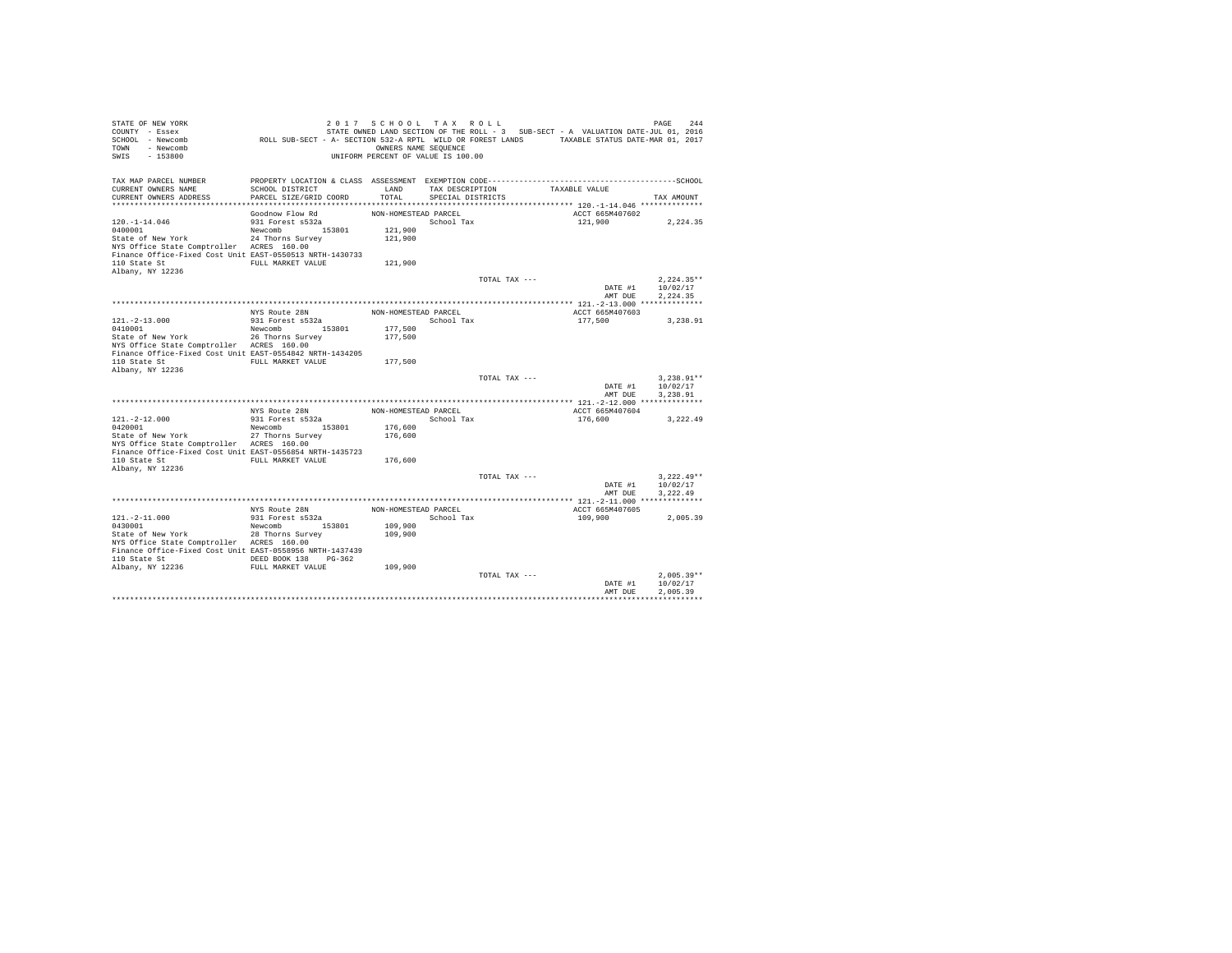| STATE OF NEW YORK<br>COUNTY - Essex<br>SCHOOL - Newcomb<br>- Newcomb<br>TOWN<br>$-153800$<br>SWIS                                                                                                | ROLL SUB-SECT - A- SECTION 532-A RPTL WILD OR FOREST LANDS TAXABLE STATUS DATE-MAR 01, 2017         | 2017 SCHOOL TAX ROLL<br>OWNERS NAME SEQUENCE<br>UNIFORM PERCENT OF VALUE IS 100.00 |                                      |               | STATE OWNED LAND SECTION OF THE ROLL - 3 SUB-SECT - A VALUATION DATE-JUL 01, 2016 | 244<br>PAGE                                                |  |
|--------------------------------------------------------------------------------------------------------------------------------------------------------------------------------------------------|-----------------------------------------------------------------------------------------------------|------------------------------------------------------------------------------------|--------------------------------------|---------------|-----------------------------------------------------------------------------------|------------------------------------------------------------|--|
| TAX MAP PARCEL NUMBER<br>CURRENT OWNERS NAME<br>CURRENT OWNERS ADDRESS                                                                                                                           | SCHOOL DISTRICT<br>PARCEL SIZE/GRID COORD                                                           | LAND<br>TOTAL                                                                      | TAX DESCRIPTION<br>SPECIAL DISTRICTS |               | TAXABLE VALUE                                                                     | TAX AMOUNT                                                 |  |
| $120. - 1 - 14.046$<br>0400001<br>State of New York<br>NYS Office State Comptroller ACRES 160.00<br>Finance Office-Fixed Cost Unit EAST-0550513 NRTH-1430733<br>110 State St<br>Albany, NY 12236 | Goodnow Flow Rd<br>931 Forest s532a<br>Newcomb 153801<br>24 Thorns Survey<br>FULL MARKET VALUE      | NON-HOMESTEAD PARCEL<br>121,900<br>121,900<br>121,900                              | School Tax                           |               | ACCT 665M407602<br>121,900                                                        | 2,224.35                                                   |  |
|                                                                                                                                                                                                  |                                                                                                     |                                                                                    |                                      | TOTAL TAX --- |                                                                                   | $2.224.35**$<br>10/02/17<br>DATE #1<br>AMT DUE<br>2.224.35 |  |
| $121. - 2 - 13.000$<br>0410001<br>State of New York<br>NYS Office State Comptroller ACRES 160.00<br>Finance Office-Fixed Cost Unit EAST-0554842 NRTH-1434205<br>110 State St<br>Albany, NY 12236 | NYS Route 28N<br>931 Forest s532a<br>153801<br>Newcomb<br>26 Thorns Survey<br>FULL MARKET VALUE     | NON-HOMESTEAD PARCEL<br>177,500<br>177,500<br>177.500                              | School Tax                           |               | ACCT 665M407603<br>177.500                                                        | 3.238.91                                                   |  |
|                                                                                                                                                                                                  |                                                                                                     |                                                                                    |                                      | TOTAL TAX --- |                                                                                   | $3.238.91**$<br>DATE #1<br>10/02/17<br>AMT DUR<br>3.238.91 |  |
|                                                                                                                                                                                                  | NYS Route 28N                                                                                       | NON-HOMESTEAD PARCEL                                                               |                                      |               | ACCT 665M407604                                                                   |                                                            |  |
| $121. -2 - 12.000$<br>0420001<br>State of New York<br>NYS Office State Comptroller ACRES 160.00<br>Finance Office-Fixed Cost Unit EAST-0556854 NRTH-1435723<br>110 State St                      | 931 Forest s532a<br>153801<br>Newcomb<br>27 Thorns Survey<br>FULL MARKET VALUE                      | 176,600<br>176,600<br>176,600                                                      | School Tax                           |               | 176,600                                                                           | 3,222.49                                                   |  |
| Albany, NY 12236                                                                                                                                                                                 |                                                                                                     |                                                                                    |                                      | TOTAL TAX --- |                                                                                   | $3.222.49**$<br>DATE #1<br>10/02/17<br>AMT DUE<br>3.222.49 |  |
|                                                                                                                                                                                                  | NYS Route 28N                                                                                       | NON-HOMESTEAD PARCEL                                                               |                                      |               | ACCT 665M407605                                                                   |                                                            |  |
| $121. - 2 - 11.000$<br>0430001<br>State of New York<br>NYS Office State Comptroller ACRES 160.00<br>Finance Office-Fixed Cost Unit EAST-0558956 NRTH-1437439<br>110 State St<br>Albany, NY 12236 | 931 Forest s532a<br>Newcomb 153801<br>28 Thorns Survey<br>DEED BOOK 138 PG-362<br>FULL MARKET VALUE | 109,900<br>109,900<br>109,900                                                      | School Tax                           |               | 109,900                                                                           | 2.005.39                                                   |  |
|                                                                                                                                                                                                  |                                                                                                     |                                                                                    |                                      | TOTAL TAX --- |                                                                                   | $2.005.39**$<br>10/02/17<br>DATE #1<br>2.005.39<br>AMT DUE |  |
|                                                                                                                                                                                                  |                                                                                                     |                                                                                    |                                      |               |                                                                                   |                                                            |  |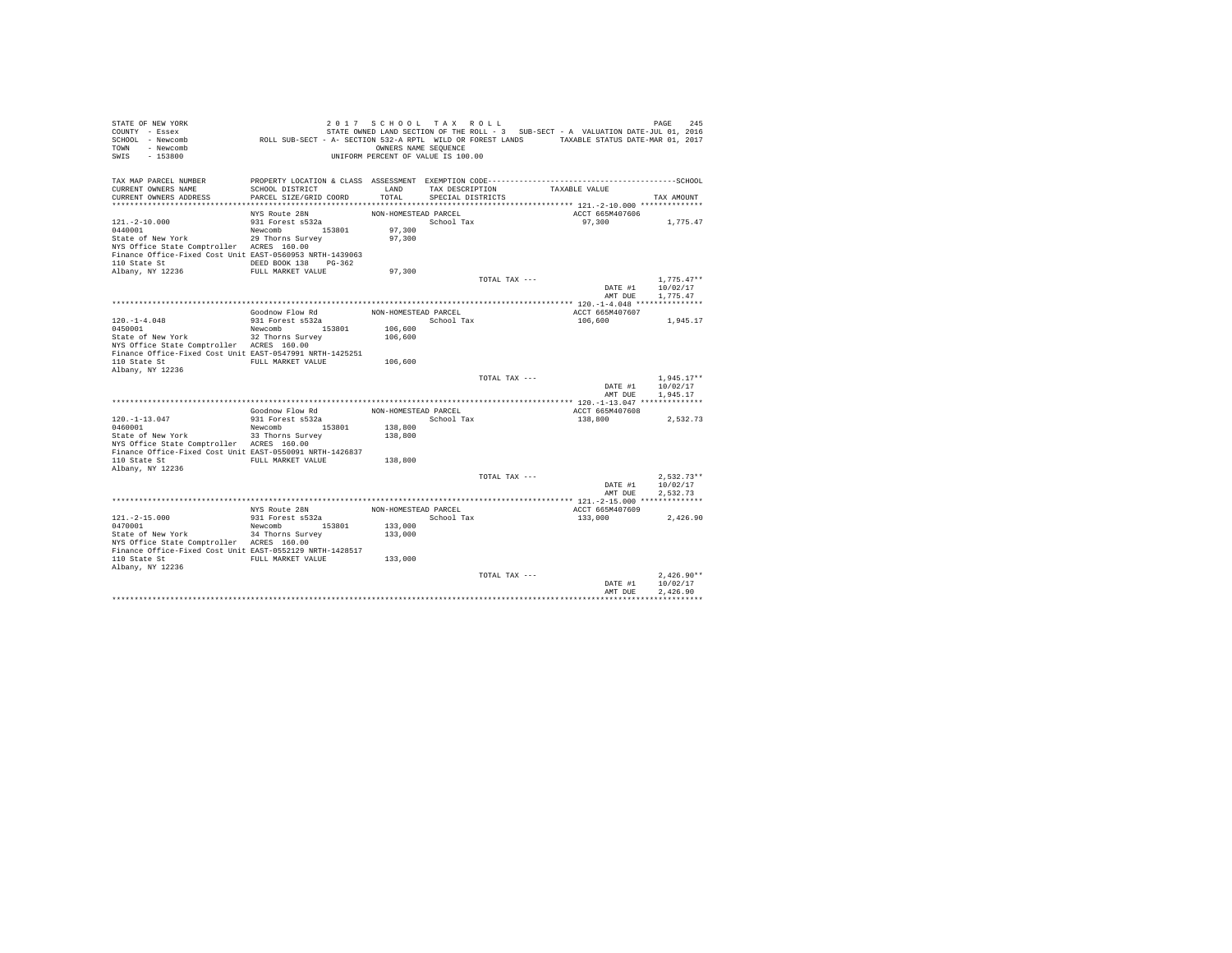| STATE OF NEW YORK<br>COUNTY - Essex<br>SCHOOL - Newcomb<br>TOWN - Newcomb<br>SWIS<br>$-153800$        | ROLL SUB-SECT - A- SECTION 532-A RPTL WILD OR FOREST LANDS TAXABLE STATUS DATE-MAR 01, 2017 | 2017 SCHOOL TAX ROLL<br>OWNERS NAME SEQUENCE<br>UNIFORM PERCENT OF VALUE IS 100.00 |                   |               | STATE OWNED LAND SECTION OF THE ROLL - 3 SUB-SECT - A VALUATION DATE-JUL 01, 2016 | PAGE<br>245              |
|-------------------------------------------------------------------------------------------------------|---------------------------------------------------------------------------------------------|------------------------------------------------------------------------------------|-------------------|---------------|-----------------------------------------------------------------------------------|--------------------------|
| TAX MAP PARCEL NUMBER<br>CURRENT OWNERS NAME                                                          | SCHOOL DISTRICT                                                                             | LAND                                                                               | TAX DESCRIPTION   |               | TAXABLE VALUE                                                                     |                          |
| CURRENT OWNERS ADDRESS                                                                                | PARCEL SIZE/GRID COORD                                                                      | TOTAL                                                                              | SPECIAL DISTRICTS |               |                                                                                   | TAX AMOUNT               |
|                                                                                                       |                                                                                             |                                                                                    |                   |               |                                                                                   |                          |
|                                                                                                       | NYS Route 28N                                                                               | NON-HOMESTEAD PARCEL                                                               |                   |               | ACCT 665M407606                                                                   |                          |
| $121. - 2 - 10.000$<br>0440001                                                                        | 931 Forest s532a<br>Newcomb 153801                                                          | 97,300                                                                             | School Tax        |               | 97,300                                                                            | 1,775.47                 |
| State of New York                                                                                     | 29 Thorns Survey                                                                            | 97,300                                                                             |                   |               |                                                                                   |                          |
| NYS Office State Comptroller ACRES 160.00                                                             |                                                                                             |                                                                                    |                   |               |                                                                                   |                          |
| Finance Office-Fixed Cost Unit EAST-0560953 NRTH-1439063                                              |                                                                                             |                                                                                    |                   |               |                                                                                   |                          |
| 110 State St                                                                                          | DEED BOOK 138 PG-362                                                                        |                                                                                    |                   |               |                                                                                   |                          |
| Albany, NY 12236                                                                                      | FULL MARKET VALUE                                                                           | 97,300                                                                             |                   |               |                                                                                   |                          |
|                                                                                                       |                                                                                             |                                                                                    |                   | TOTAL TAX --- |                                                                                   | $1.775.47**$             |
|                                                                                                       |                                                                                             |                                                                                    |                   |               | DATE #1                                                                           | 10/02/17                 |
|                                                                                                       |                                                                                             |                                                                                    |                   |               | AMT DUE                                                                           | 1,775.47                 |
|                                                                                                       | Goodnow Flow Rd                                                                             | NON-HOMESTEAD PARCEL                                                               |                   |               | ACCT 665M407607                                                                   |                          |
| $120. - 1 - 4.048$                                                                                    | 931 Forest s532a                                                                            |                                                                                    | School Tax        |               | 106,600                                                                           | 1,945.17                 |
| 0450001                                                                                               | Newcomb 153801                                                                              | 106,600                                                                            |                   |               |                                                                                   |                          |
| State of New York                                                                                     | 32 Thorns Survey                                                                            | 106,600                                                                            |                   |               |                                                                                   |                          |
| NYS Office State Comptroller ACRES 160.00                                                             |                                                                                             |                                                                                    |                   |               |                                                                                   |                          |
| Finance Office-Fixed Cost Unit EAST-0547991 NRTH-1425251                                              |                                                                                             |                                                                                    |                   |               |                                                                                   |                          |
| 110 State St                                                                                          | FULL MARKET VALUE                                                                           | 106,600                                                                            |                   |               |                                                                                   |                          |
| Albany, NY 12236                                                                                      |                                                                                             |                                                                                    |                   | TOTAL TAX --- |                                                                                   | $1.945.17**$             |
|                                                                                                       |                                                                                             |                                                                                    |                   |               | DATE #1                                                                           | 10/02/17                 |
|                                                                                                       |                                                                                             |                                                                                    |                   |               | AMT DUR                                                                           | 1.945.17                 |
|                                                                                                       |                                                                                             |                                                                                    |                   |               |                                                                                   |                          |
|                                                                                                       | Goodnow Flow Rd                                                                             | NON-HOMESTEAD PARCEL                                                               |                   |               | ACCT 665M407608                                                                   |                          |
| $120. -1 - 13.047$                                                                                    | 931 Forest s532a                                                                            |                                                                                    | School Tax        |               | 138,800                                                                           | 2,532.73                 |
| 0460001                                                                                               | Newcomb 153801                                                                              | 138,800                                                                            |                   |               |                                                                                   |                          |
| State of New York                                                                                     | 33 Thorns Survey                                                                            | 138,800                                                                            |                   |               |                                                                                   |                          |
| NYS Office State Comptroller ACRES 160.00<br>Finance Office-Fixed Cost Unit EAST-0550091 NRTH-1426837 |                                                                                             |                                                                                    |                   |               |                                                                                   |                          |
| 110 State St                                                                                          | FULL MARKET VALUE                                                                           | 138,800                                                                            |                   |               |                                                                                   |                          |
| Albany, NY 12236                                                                                      |                                                                                             |                                                                                    |                   |               |                                                                                   |                          |
|                                                                                                       |                                                                                             |                                                                                    |                   | TOTAL TAX --- |                                                                                   | $2.532.73**$             |
|                                                                                                       |                                                                                             |                                                                                    |                   |               | DATE #1                                                                           | 10/02/17                 |
|                                                                                                       |                                                                                             |                                                                                    |                   |               | AMT DUE                                                                           | 2.532.73                 |
|                                                                                                       |                                                                                             |                                                                                    |                   |               |                                                                                   |                          |
| $121. - 2 - 15.000$                                                                                   | NYS Route 28N<br>931 Forest s532a                                                           | NON-HOMESTEAD PARCEL                                                               | School Tax        |               | ACCT 665M407609<br>133,000                                                        | 2.426.90                 |
| 0470001                                                                                               | Newcomb 153801                                                                              | 133,000                                                                            |                   |               |                                                                                   |                          |
| State of New York                                                                                     | 34 Thorns Survey                                                                            | 133,000                                                                            |                   |               |                                                                                   |                          |
| NYS Office State Comptroller ACRES 160.00                                                             |                                                                                             |                                                                                    |                   |               |                                                                                   |                          |
| Finance Office-Fixed Cost Unit EAST-0552129 NRTH-1428517                                              |                                                                                             |                                                                                    |                   |               |                                                                                   |                          |
| 110 State St                                                                                          | FULL MARKET VALUE                                                                           | 133,000                                                                            |                   |               |                                                                                   |                          |
| Albany, NY 12236                                                                                      |                                                                                             |                                                                                    |                   |               |                                                                                   |                          |
|                                                                                                       |                                                                                             |                                                                                    |                   | TOTAL TAX --- | DATE #1                                                                           | $2.426.90**$<br>10/02/17 |
|                                                                                                       |                                                                                             |                                                                                    |                   |               | AMT DUE                                                                           | 2.426.90                 |
|                                                                                                       |                                                                                             |                                                                                    |                   |               |                                                                                   |                          |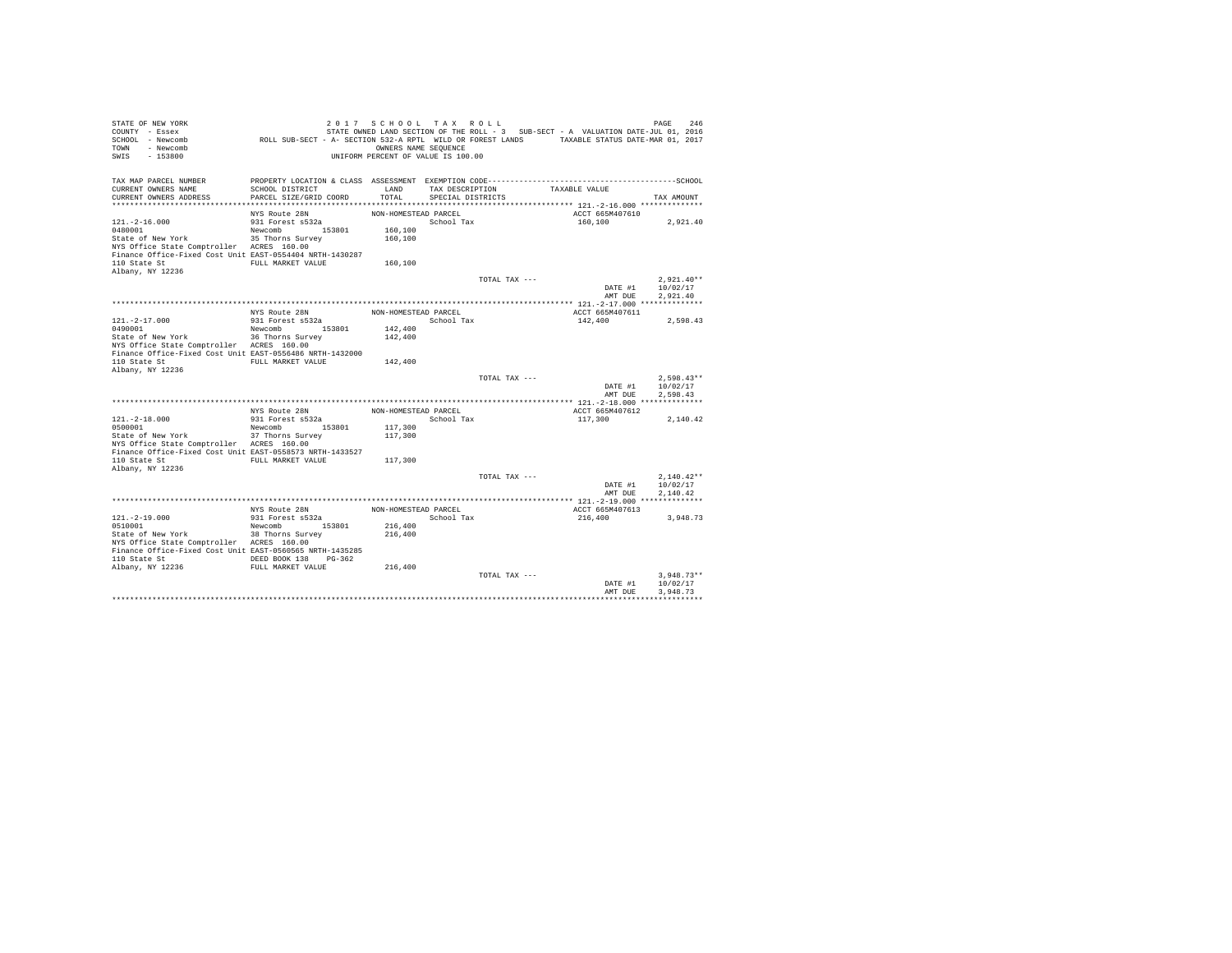| STATE OF NEW YORK<br>COUNTY - Essex<br>SCHOOL - Newcomb<br>- Newcomb<br><b>TOWN</b><br>SWIS<br>$-153800$ | ROLL SUB-SECT - A- SECTION 532-A RPTL WILD OR FOREST LANDS TAXABLE STATUS DATE-MAR 01, 2017 | 2017 SCHOOL TAX ROLL<br>OWNERS NAME SEQUENCE<br>UNIFORM PERCENT OF VALUE IS 100.00 |                   |               |               |                            | 246<br>PAGE<br>STATE OWNED LAND SECTION OF THE ROLL - 3 SUB-SECT - A VALUATION DATE-JUL 01, 2016 |
|----------------------------------------------------------------------------------------------------------|---------------------------------------------------------------------------------------------|------------------------------------------------------------------------------------|-------------------|---------------|---------------|----------------------------|--------------------------------------------------------------------------------------------------|
| TAX MAP PARCEL NUMBER<br>CURRENT OWNERS NAME                                                             | SCHOOL DISTRICT                                                                             | LAND                                                                               | TAX DESCRIPTION   |               | TAXABLE VALUE |                            |                                                                                                  |
| CURRENT OWNERS ADDRESS                                                                                   | PARCEL SIZE/GRID COORD                                                                      | TOTAL                                                                              | SPECIAL DISTRICTS |               |               |                            | TAX AMOUNT                                                                                       |
|                                                                                                          |                                                                                             |                                                                                    |                   |               |               |                            |                                                                                                  |
|                                                                                                          | NYS Route 28N                                                                               | NON-HOMESTEAD PARCEL                                                               |                   |               |               | ACCT 665M407610            |                                                                                                  |
| $121. - 2 - 16.000$                                                                                      | 931 Forest s532a                                                                            |                                                                                    | School Tax        |               |               | 160,100                    | 2,921.40                                                                                         |
| 0480001<br>State of New York                                                                             | Newcomb 153801<br>35 Thorns Survey                                                          | 160,100<br>160,100                                                                 |                   |               |               |                            |                                                                                                  |
| NYS Office State Comptroller ACRES 160.00                                                                |                                                                                             |                                                                                    |                   |               |               |                            |                                                                                                  |
| Finance Office-Fixed Cost Unit EAST-0554404 NRTH-1430287                                                 |                                                                                             |                                                                                    |                   |               |               |                            |                                                                                                  |
| 110 State St                                                                                             | FULL MARKET VALUE                                                                           | 160,100                                                                            |                   |               |               |                            |                                                                                                  |
| Albany, NY 12236                                                                                         |                                                                                             |                                                                                    |                   |               |               |                            |                                                                                                  |
|                                                                                                          |                                                                                             |                                                                                    |                   | TOTAL TAX --- |               |                            | $2.921.40**$                                                                                     |
|                                                                                                          |                                                                                             |                                                                                    |                   |               |               | DATE #1<br>AMT DUE         | 10/02/17<br>2.921.40                                                                             |
|                                                                                                          |                                                                                             |                                                                                    |                   |               |               |                            |                                                                                                  |
|                                                                                                          | NYS Route 28N                                                                               | NON-HOMESTEAD PARCEL                                                               |                   |               |               | ACCT 665M407611            |                                                                                                  |
| $121. - 2 - 17.000$                                                                                      | 931 Forest s532a                                                                            | School Tax                                                                         |                   |               |               | 142,400                    | 2.598.43                                                                                         |
| 0490001                                                                                                  | 153801<br>Newcomb                                                                           | 142,400                                                                            |                   |               |               |                            |                                                                                                  |
| State of New York                                                                                        | 36 Thorns Survey                                                                            | 142,400                                                                            |                   |               |               |                            |                                                                                                  |
| NYS Office State Comptroller ACRES 160.00                                                                |                                                                                             |                                                                                    |                   |               |               |                            |                                                                                                  |
| Finance Office-Fixed Cost Unit EAST-0556486 NRTH-1432000<br>110 State St                                 | FULL MARKET VALUE                                                                           | 142,400                                                                            |                   |               |               |                            |                                                                                                  |
| Albany, NY 12236                                                                                         |                                                                                             |                                                                                    |                   |               |               |                            |                                                                                                  |
|                                                                                                          |                                                                                             |                                                                                    |                   | TOTAL TAX --- |               |                            | $2.598.43**$                                                                                     |
|                                                                                                          |                                                                                             |                                                                                    |                   |               |               | DATE #1                    | 10/02/17                                                                                         |
|                                                                                                          |                                                                                             |                                                                                    |                   |               |               | AMT DUR                    | 2.598.43                                                                                         |
|                                                                                                          |                                                                                             |                                                                                    |                   |               |               |                            |                                                                                                  |
| $121. - 2 - 18.000$                                                                                      | NYS Route 28N<br>931 Forest s532a                                                           | NON-HOMESTEAD PARCEL                                                               | School Tax        |               |               | ACCT 665M407612<br>117,300 |                                                                                                  |
| 0500001                                                                                                  | 153801<br>Newcomb                                                                           | 117,300                                                                            |                   |               |               |                            | 2,140.42                                                                                         |
| State of New York                                                                                        | 37 Thorns Survey                                                                            | 117,300                                                                            |                   |               |               |                            |                                                                                                  |
| NYS Office State Comptroller ACRES 160.00                                                                |                                                                                             |                                                                                    |                   |               |               |                            |                                                                                                  |
| Finance Office-Fixed Cost Unit EAST-0558573 NRTH-1433527                                                 |                                                                                             |                                                                                    |                   |               |               |                            |                                                                                                  |
| 110 State St                                                                                             | FULL MARKET VALUE                                                                           | 117,300                                                                            |                   |               |               |                            |                                                                                                  |
| Albany, NY 12236                                                                                         |                                                                                             |                                                                                    |                   | TOTAL TAX --- |               |                            | $2.140.42**$                                                                                     |
|                                                                                                          |                                                                                             |                                                                                    |                   |               |               | DATE #1                    | 10/02/17                                                                                         |
|                                                                                                          |                                                                                             |                                                                                    |                   |               |               | AMT DUE                    | 2.140.42                                                                                         |
|                                                                                                          |                                                                                             |                                                                                    |                   |               |               |                            |                                                                                                  |
|                                                                                                          | NYS Route 28N                                                                               | NON-HOMESTEAD PARCEL                                                               |                   |               |               | ACCT 665M407613            |                                                                                                  |
| $121. - 2 - 19.000$                                                                                      | 931 Forest s532a                                                                            |                                                                                    | School Tax        |               |               | 216,400                    | 3,948.73                                                                                         |
| 0510001                                                                                                  | Newcomb 153801                                                                              | 216,400                                                                            |                   |               |               |                            |                                                                                                  |
| State of New York<br>NYS Office State Comptroller ACRES 160.00                                           | 38 Thorns Survey                                                                            | 216,400                                                                            |                   |               |               |                            |                                                                                                  |
| Finance Office-Fixed Cost Unit EAST-0560565 NRTH-1435285                                                 |                                                                                             |                                                                                    |                   |               |               |                            |                                                                                                  |
| 110 State St                                                                                             | DEED BOOK 138 PG-362                                                                        |                                                                                    |                   |               |               |                            |                                                                                                  |
| Albany, NY 12236 FULL MARKET VALUE                                                                       |                                                                                             | 216,400                                                                            |                   |               |               |                            |                                                                                                  |
|                                                                                                          |                                                                                             |                                                                                    |                   | TOTAL TAX --- |               |                            | $3.948.73**$                                                                                     |
|                                                                                                          |                                                                                             |                                                                                    |                   |               |               | DATE #1                    | 10/02/17                                                                                         |
|                                                                                                          |                                                                                             |                                                                                    |                   |               |               | AMT DUE                    | 3.948.73                                                                                         |
|                                                                                                          |                                                                                             |                                                                                    |                   |               |               |                            |                                                                                                  |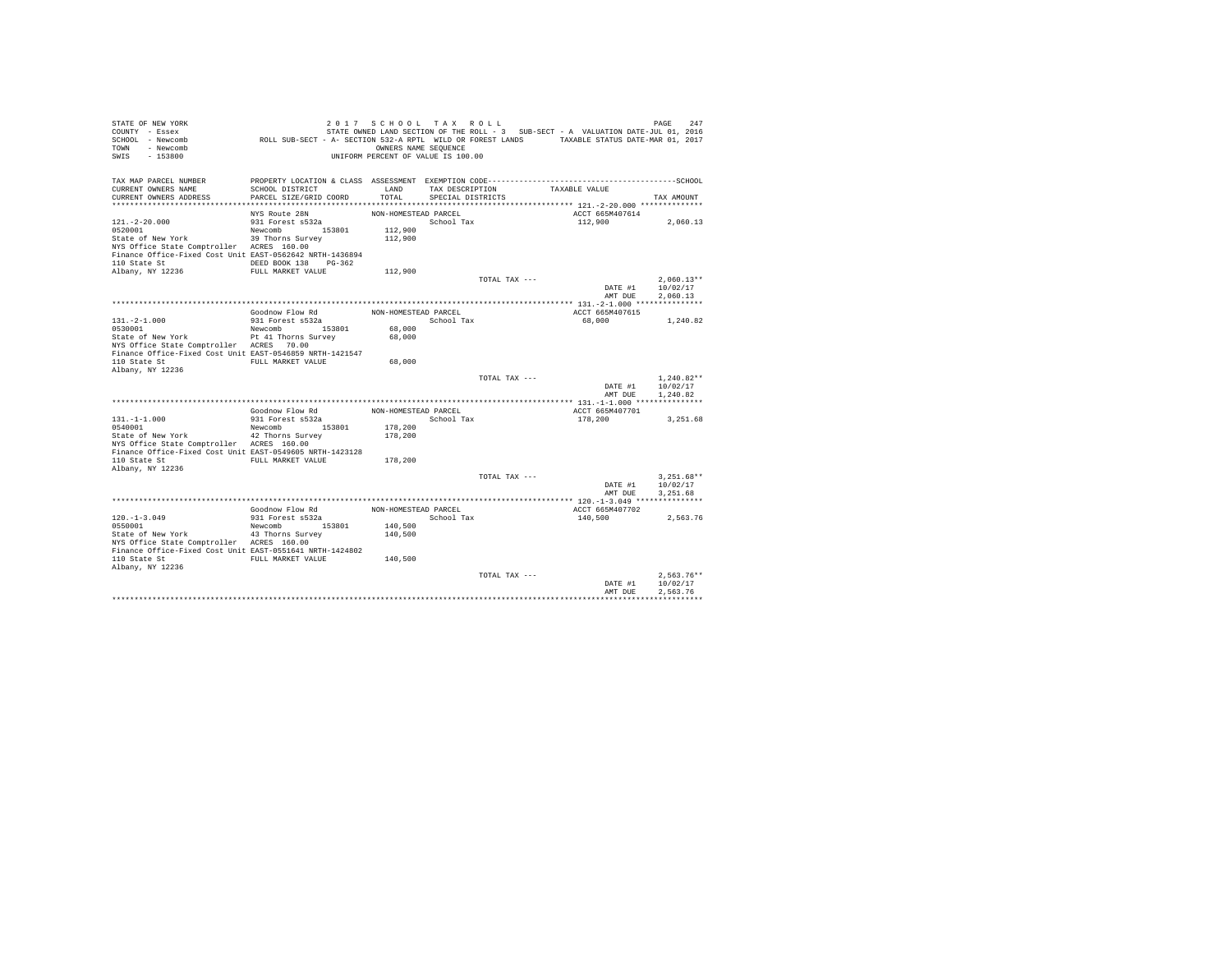| STATE OF NEW YORK<br>COUNTY - Essex<br>SCHOOL - Newcomb<br>- Newcomb<br><b>TOWN</b><br>SWIS<br>$-153800$ | ROLL SUB-SECT - A- SECTION 532-A RPTL WILD OR FOREST LANDS TAXABLE STATUS DATE-MAR 01, 2017 | 2017 SCHOOL TAX ROLL<br>OWNERS NAME SEQUENCE<br>UNIFORM PERCENT OF VALUE IS 100.00 |                                      |               | STATE OWNED LAND SECTION OF THE ROLL - 3 SUB-SECT - A VALUATION DATE-JUL 01, 2016 | PAGE<br>247  |
|----------------------------------------------------------------------------------------------------------|---------------------------------------------------------------------------------------------|------------------------------------------------------------------------------------|--------------------------------------|---------------|-----------------------------------------------------------------------------------|--------------|
| TAX MAP PARCEL NUMBER                                                                                    |                                                                                             |                                                                                    |                                      |               |                                                                                   |              |
| CURRENT OWNERS NAME<br>CURRENT OWNERS ADDRESS                                                            | SCHOOL DISTRICT<br>PARCEL SIZE/GRID COORD                                                   | LAND<br>TOTAL                                                                      | TAX DESCRIPTION<br>SPECIAL DISTRICTS |               | TAXABLE VALUE                                                                     | TAX AMOUNT   |
|                                                                                                          |                                                                                             |                                                                                    |                                      |               |                                                                                   |              |
|                                                                                                          | NYS Route 28N                                                                               | NON-HOMESTEAD PARCEL                                                               |                                      |               | ACCT 665M407614                                                                   |              |
| $121. - 2 - 20.000$                                                                                      | 931 Forest s532a                                                                            |                                                                                    | School Tax                           |               | 112,900                                                                           | 2,060.13     |
| 0520001                                                                                                  | Newcomb 153801                                                                              | 112,900                                                                            |                                      |               |                                                                                   |              |
| State of New York                                                                                        | 39 Thorns Survey                                                                            | 112,900                                                                            |                                      |               |                                                                                   |              |
| NYS Office State Comptroller ACRES 160.00                                                                |                                                                                             |                                                                                    |                                      |               |                                                                                   |              |
| Finance Office-Fixed Cost Unit EAST-0562642 NRTH-1436894                                                 |                                                                                             |                                                                                    |                                      |               |                                                                                   |              |
| 110 State St<br>Albany, NY 12236                                                                         | DEED BOOK 138 PG-362<br>FULL MARKET VALUE                                                   | 112,900                                                                            |                                      |               |                                                                                   |              |
|                                                                                                          |                                                                                             |                                                                                    |                                      | TOTAL TAX --- |                                                                                   | $2.060.13**$ |
|                                                                                                          |                                                                                             |                                                                                    |                                      |               | DATE #1                                                                           | 10/02/17     |
|                                                                                                          |                                                                                             |                                                                                    |                                      |               | AMT DUE                                                                           | 2.060.13     |
|                                                                                                          |                                                                                             |                                                                                    |                                      |               |                                                                                   |              |
|                                                                                                          | Goodnow Flow Rd                                                                             | NON-HOMESTEAD PARCEL                                                               |                                      |               | ACCT 665M407615                                                                   |              |
| $131. -2 - 1.000$                                                                                        | 931 Forest s532a                                                                            |                                                                                    | School Tax                           |               | 68,000                                                                            | 1,240.82     |
| 0530001                                                                                                  | Newcomb<br>153801                                                                           | 68,000                                                                             |                                      |               |                                                                                   |              |
| State of New York<br>NYS Office State Comptroller ACRES 70.00                                            | Pt 41 Thorns Survey                                                                         | 68,000                                                                             |                                      |               |                                                                                   |              |
| Finance Office-Fixed Cost Unit EAST-0546859 NRTH-1421547                                                 |                                                                                             |                                                                                    |                                      |               |                                                                                   |              |
| 110 State St                                                                                             | FULL MARKET VALUE                                                                           | 68,000                                                                             |                                      |               |                                                                                   |              |
| Albany, NY 12236                                                                                         |                                                                                             |                                                                                    |                                      |               |                                                                                   |              |
|                                                                                                          |                                                                                             |                                                                                    |                                      | TOTAL TAX --- |                                                                                   | $1.240.82**$ |
|                                                                                                          |                                                                                             |                                                                                    |                                      |               | DATE #1                                                                           | 10/02/17     |
|                                                                                                          |                                                                                             |                                                                                    |                                      |               | AMT DUR                                                                           | 1,240.82     |
|                                                                                                          | Goodnow Flow Rd                                                                             | NON-HOMESTEAD PARCEL                                                               |                                      |               | ACCT 665M407701                                                                   |              |
| $131. -1 -1.000$                                                                                         | 931 Forest s532a                                                                            |                                                                                    | School Tax                           |               | 178,200                                                                           | 3,251.68     |
| 0540001                                                                                                  | Newcomb 153801                                                                              | 178,200                                                                            |                                      |               |                                                                                   |              |
| State of New York                                                                                        | 42 Thorns Survey                                                                            | 178,200                                                                            |                                      |               |                                                                                   |              |
| NYS Office State Comptroller ACRES 160.00                                                                |                                                                                             |                                                                                    |                                      |               |                                                                                   |              |
| Finance Office-Fixed Cost Unit EAST-0549605 NRTH-1423128                                                 |                                                                                             |                                                                                    |                                      |               |                                                                                   |              |
| 110 State St                                                                                             | FULL MARKET VALUE                                                                           | 178,200                                                                            |                                      |               |                                                                                   |              |
| Albany, NY 12236                                                                                         |                                                                                             |                                                                                    |                                      | TOTAL TAX --- |                                                                                   | $3.251.68**$ |
|                                                                                                          |                                                                                             |                                                                                    |                                      |               | DATE #1                                                                           | 10/02/17     |
|                                                                                                          |                                                                                             |                                                                                    |                                      |               | AMT DUE                                                                           | 3.251.68     |
|                                                                                                          |                                                                                             |                                                                                    |                                      |               |                                                                                   |              |
|                                                                                                          | Goodnow Flow Rd                                                                             | NON-HOMESTEAD PARCEL                                                               |                                      |               | ACCT 665M407702                                                                   |              |
| $120. - 1 - 3.049$                                                                                       | 931 Forest s532a                                                                            |                                                                                    | School Tax                           |               | 140,500                                                                           | 2.563.76     |
| 0550001                                                                                                  | Newcomb 153801                                                                              | 140,500                                                                            |                                      |               |                                                                                   |              |
| State of New York<br>NYS Office State Comptroller ACRES 160.00                                           | 43 Thorns Survey                                                                            | 140,500                                                                            |                                      |               |                                                                                   |              |
| Finance Office-Fixed Cost Unit EAST-0551641 NRTH-1424802                                                 |                                                                                             |                                                                                    |                                      |               |                                                                                   |              |
| 110 State St                                                                                             | FULL MARKET VALUE                                                                           | 140,500                                                                            |                                      |               |                                                                                   |              |
| Albany, NY 12236                                                                                         |                                                                                             |                                                                                    |                                      |               |                                                                                   |              |
|                                                                                                          |                                                                                             |                                                                                    |                                      | TOTAL TAX --- |                                                                                   | $2.563.76**$ |
|                                                                                                          |                                                                                             |                                                                                    |                                      |               | DATE #1                                                                           | 10/02/17     |
|                                                                                                          |                                                                                             |                                                                                    |                                      |               | AMT DUE                                                                           | 2.563.76     |
|                                                                                                          |                                                                                             |                                                                                    |                                      |               |                                                                                   |              |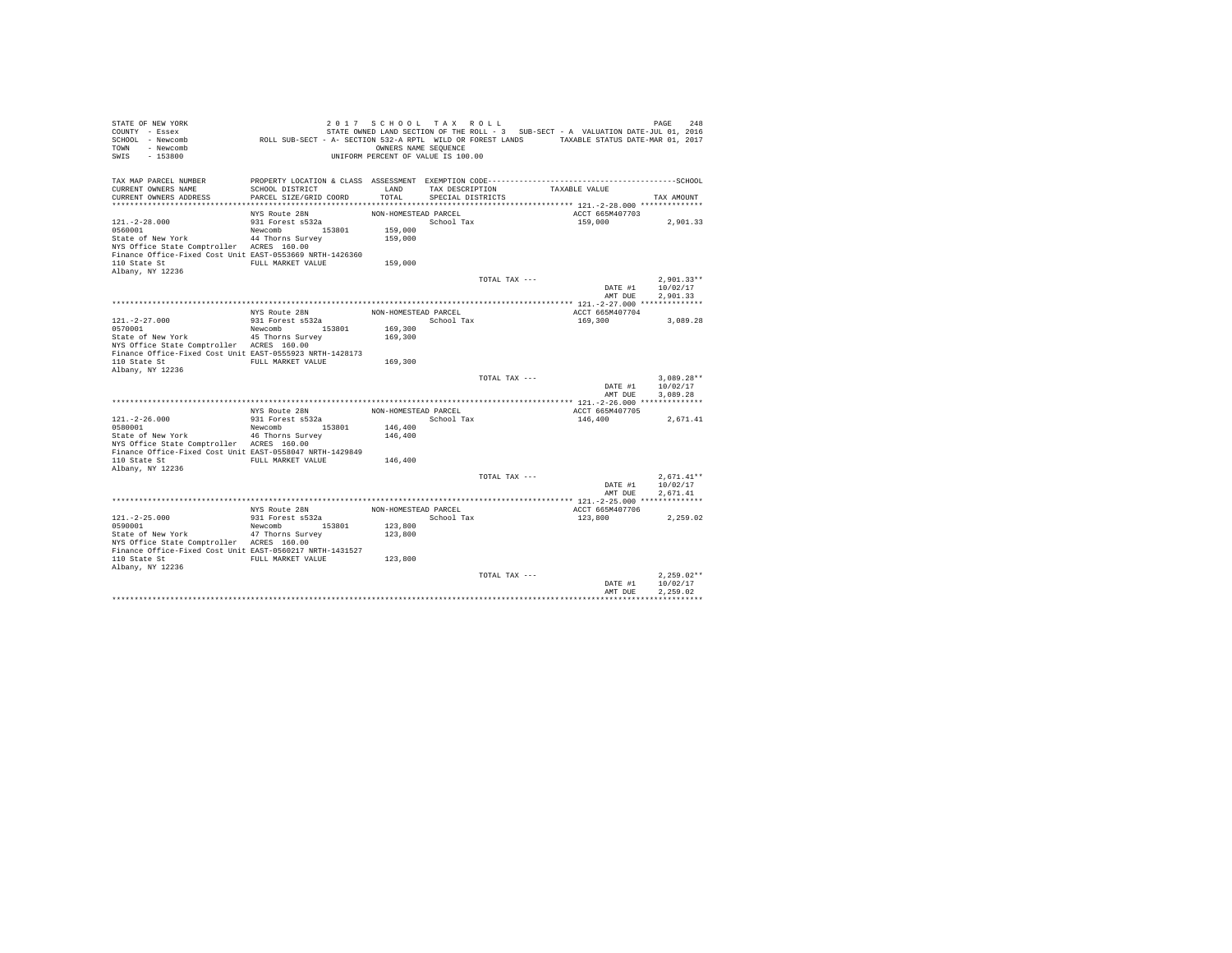| STATE OF NEW YORK<br>COUNTY - Essex<br>SCHOOL - Newcomb<br>- Newcomb<br><b>TOWN</b><br>$-153800$<br>SWIS                                                                                         | ROLL SUB-SECT - A- SECTION 532-A RPTL WILD OR FOREST LANDS TAXABLE STATUS DATE-MAR 01, 2017     | 2017 SCHOOL TAX ROLL<br>OWNERS NAME SEQUENCE<br>UNIFORM PERCENT OF VALUE IS 100.00 |                                      |               | STATE OWNED LAND SECTION OF THE ROLL - 3 SUB-SECT - A VALUATION DATE-JUL 01, 2016 | PAGE<br>2.48                         |
|--------------------------------------------------------------------------------------------------------------------------------------------------------------------------------------------------|-------------------------------------------------------------------------------------------------|------------------------------------------------------------------------------------|--------------------------------------|---------------|-----------------------------------------------------------------------------------|--------------------------------------|
| TAX MAP PARCEL NUMBER<br>CURRENT OWNERS NAME<br>CURRENT OWNERS ADDRESS                                                                                                                           | SCHOOL DISTRICT<br>PARCEL SIZE/GRID COORD                                                       | LAND<br>TOTAL                                                                      | TAX DESCRIPTION<br>SPECIAL DISTRICTS |               | TAXABLE VALUE                                                                     | TAX AMOUNT                           |
| $121. - 2 - 28.000$<br>0560001<br>State of New York<br>NYS Office State Comptroller ACRES 160.00<br>Finance Office-Fixed Cost Unit EAST-0553669 NRTH-1426360<br>110 State St<br>Albany, NY 12236 | NYS Route 28N<br>931 Forest s532a<br>Newcomb 153801<br>44 Thorns Survey<br>FULL MARKET VALUE    | NON-HOMESTEAD PARCEL<br>159,000<br>159,000<br>159,000                              | School Tax                           |               | ACCT 665M407703<br>159,000                                                        | 2,901.33                             |
|                                                                                                                                                                                                  |                                                                                                 |                                                                                    |                                      | TOTAL TAX --- | DATE #1<br>AMT DUE                                                                | $2.901.33**$<br>10/02/17<br>2.901.33 |
| $121. - 2 - 27.000$<br>0570001<br>State of New York<br>NYS Office State Comptroller ACRES 160.00<br>Finance Office-Fixed Cost Unit EAST-0555923 NRTH-1428173<br>110 State St<br>Albany, NY 12236 | NYS Route 28N<br>931 Forest s532a<br>153801<br>Newcomb<br>45 Thorns Survey<br>FULL MARKET VALUE | NON-HOMESTEAD PARCEL<br>169,300<br>169,300<br>169,300                              | School Tax                           |               | ACCT 665M407704<br>169,300                                                        | 3.089.28                             |
|                                                                                                                                                                                                  |                                                                                                 |                                                                                    |                                      | TOTAL TAX --- | DATE #1<br>AMT DUE                                                                | $3.089.28**$<br>10/02/17<br>3.089.28 |
|                                                                                                                                                                                                  | NYS Route 28N                                                                                   | NON-HOMESTEAD PARCEL                                                               |                                      |               | ACCT 665M407705                                                                   |                                      |
| $121. -2 - 26.000$<br>0580001<br>State of New York<br>NYS Office State Comptroller ACRES 160.00<br>Finance Office-Fixed Cost Unit EAST-0558047 NRTH-1429849                                      | 931 Forest s532a<br>153801<br>Newcomb<br>46 Thorns Survey                                       | 146,400<br>146,400                                                                 | School Tax                           |               | 146,400                                                                           | 2,671.41                             |
| 110 State St<br>Albany, NY 12236                                                                                                                                                                 | FULL MARKET VALUE                                                                               | 146,400                                                                            |                                      | TOTAL TAX --- | DATE #1<br>AMT DUE                                                                | $2.671.41**$<br>10/02/17<br>2.671.41 |
|                                                                                                                                                                                                  | NYS Route 28N                                                                                   | NON-HOMESTEAD PARCEL                                                               |                                      |               |                                                                                   |                                      |
| $121. -2 - 25.000$<br>0590001<br>State of New York<br>NYS Office State Comptroller ACRES 160.00<br>Finance Office-Fixed Cost Unit EAST-0560217 NRTH-1431527<br>110 State St<br>Albany, NY 12236  | 931 Forest s532a<br>Newcomb 153801<br>47 Thorns Survey<br>FULL MARKET VALUE                     | 123,800<br>123,800<br>123,800                                                      | School Tax                           |               | ACCT 665M407706<br>123,800                                                        | 2.259.02                             |
|                                                                                                                                                                                                  |                                                                                                 |                                                                                    |                                      | TOTAL TAX --- | DATE #1<br>AMT DUE                                                                | $2,259.02**$<br>10/02/17<br>2.259.02 |
|                                                                                                                                                                                                  |                                                                                                 |                                                                                    |                                      |               |                                                                                   |                                      |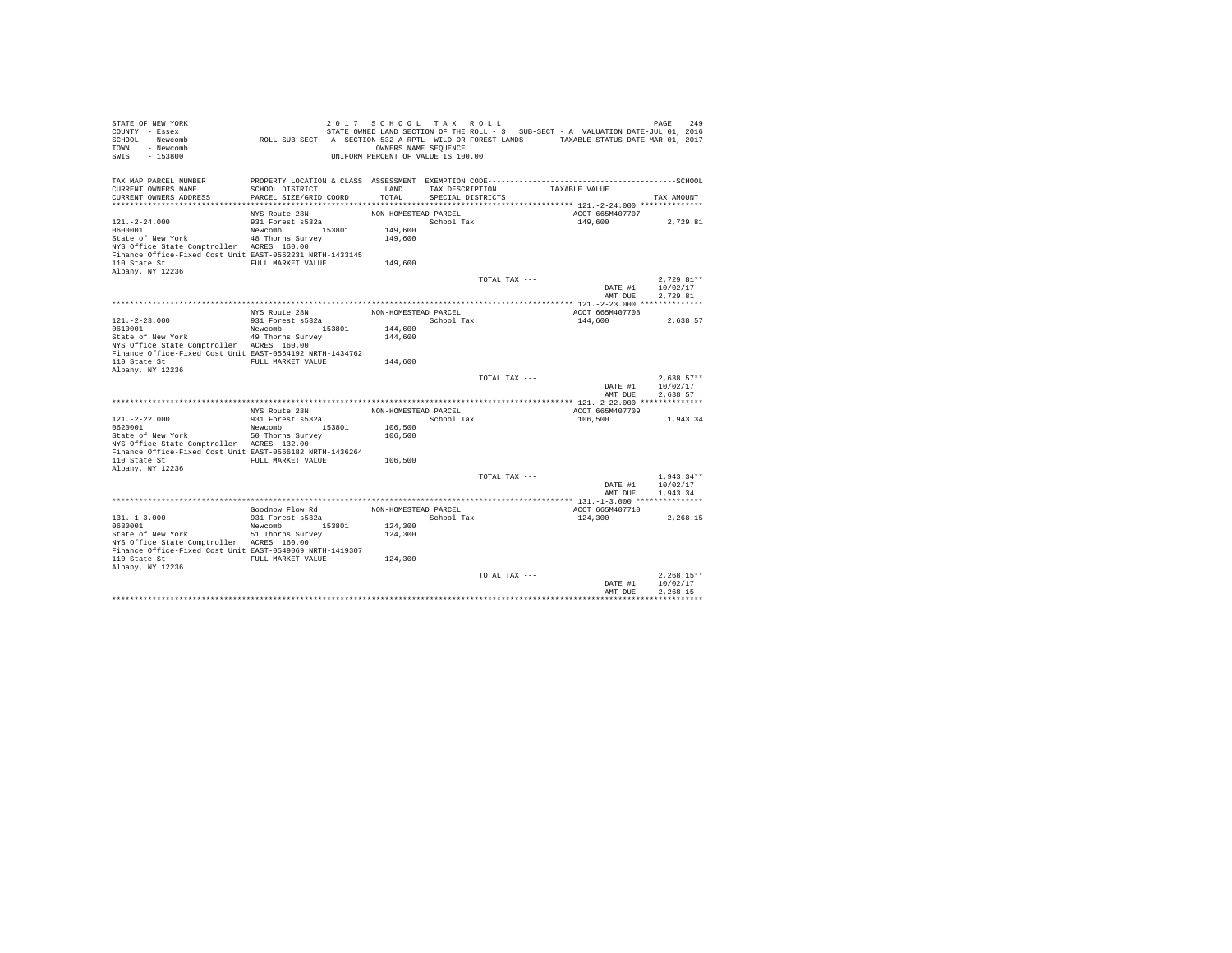| STATE OF NEW YORK<br>COUNTY - Essex<br>SCHOOL - Newcomb<br>- Newcomb<br><b>TOWN</b><br>SWIS<br>$-153800$                                                                                         | ROLL SUB-SECT - A- SECTION 532-A RPTL WILD OR FOREST LANDS TAXABLE STATUS DATE-MAR 01, 2017     | 2017 SCHOOL TAX ROLL<br>OWNERS NAME SEQUENCE<br>UNIFORM PERCENT OF VALUE IS 100.00 |                                      |               | STATE OWNED LAND SECTION OF THE ROLL - 3 SUB-SECT - A VALUATION DATE-JUL 01, 2016 | PAGE<br>249                          |
|--------------------------------------------------------------------------------------------------------------------------------------------------------------------------------------------------|-------------------------------------------------------------------------------------------------|------------------------------------------------------------------------------------|--------------------------------------|---------------|-----------------------------------------------------------------------------------|--------------------------------------|
| TAX MAP PARCEL NUMBER<br>CURRENT OWNERS NAME<br>CURRENT OWNERS ADDRESS                                                                                                                           | SCHOOL DISTRICT<br>PARCEL SIZE/GRID COORD                                                       | LAND<br>TOTAL                                                                      | TAX DESCRIPTION<br>SPECIAL DISTRICTS |               | TAXABLE VALUE                                                                     | TAX AMOUNT                           |
| $121. - 2 - 24.000$<br>0600001<br>State of New York<br>NYS Office State Comptroller ACRES 160.00<br>Finance Office-Fixed Cost Unit EAST-0562231 NRTH-1433145<br>110 State St<br>Albany, NY 12236 | NYS Route 28N<br>931 Forest s532a<br>Newcomb 153801<br>48 Thorns Survey<br>FULL MARKET VALUE    | NON-HOMESTEAD PARCEL<br>149,600<br>149,600<br>149,600                              | School Tax                           |               | ACCT 665M407707<br>149,600                                                        | 2,729.81                             |
|                                                                                                                                                                                                  |                                                                                                 |                                                                                    |                                      | TOTAL TAX --- | DATE #1<br>AMT DUE                                                                | $2.729.81**$<br>10/02/17<br>2.729.81 |
| $121. - 2 - 23.000$<br>0610001<br>State of New York<br>NYS Office State Comptroller ACRES 160.00<br>Finance Office-Fixed Cost Unit EAST-0564192 NRTH-1434762<br>110 State St<br>Albany, NY 12236 | NYS Route 28N<br>931 Forest s532a<br>153801<br>Newcomb<br>49 Thorns Survey<br>FULL MARKET VALUE | NON-HOMESTEAD PARCEL<br>144,600<br>144,600<br>144,600                              | School Tax                           |               | ACCT 665M407708<br>144,600                                                        | 2.638.57                             |
|                                                                                                                                                                                                  |                                                                                                 |                                                                                    |                                      | TOTAL TAX --- | DATE #1<br>AMT DUE                                                                | $2.638.57**$<br>10/02/17<br>2.638.57 |
|                                                                                                                                                                                                  |                                                                                                 |                                                                                    |                                      |               |                                                                                   |                                      |
| $121. -2 - 22.000$<br>0620001<br>State of New York<br>NYS Office State Comptroller ACRES 132.00<br>Finance Office-Fixed Cost Unit EAST-0566182 NRTH-1436264                                      | NYS Route 28N<br>931 Forest s532a<br>153801<br>Newcomb<br>50 Thorns Survey                      | NON-HOMESTEAD PARCEL<br>106,500<br>106,500                                         | School Tax                           |               | ACCT 665M407709<br>106,500                                                        | 1,943.34                             |
| 110 State St<br>Albany, NY 12236                                                                                                                                                                 | FULL MARKET VALUE                                                                               | 106,500                                                                            |                                      | TOTAL TAX --- | DATE #1<br>AMT DUE                                                                | $1.943.34**$<br>10/02/17<br>1,943.34 |
|                                                                                                                                                                                                  |                                                                                                 |                                                                                    |                                      |               |                                                                                   |                                      |
| $131. -1 - 3.000$<br>0630001<br>State of New York<br>NYS Office State Comptroller ACRES 160.00<br>Finance Office-Fixed Cost Unit EAST-0549069 NRTH-1419307<br>110 State St<br>Albany, NY 12236   | Goodnow Flow Rd<br>931 Forest s532a<br>Newcomb 153801<br>51 Thorns Survey<br>FULL MARKET VALUE  | NON-HOMESTEAD PARCEL<br>124,300<br>124,300<br>124,300                              | School Tax                           |               | ACCT 665M407710<br>124,300                                                        | 2.268.15                             |
|                                                                                                                                                                                                  |                                                                                                 |                                                                                    |                                      | TOTAL TAX --- | DATE #1<br>AMT DUE                                                                | $2.268.15**$<br>10/02/17<br>2.268.15 |
|                                                                                                                                                                                                  |                                                                                                 |                                                                                    |                                      |               |                                                                                   |                                      |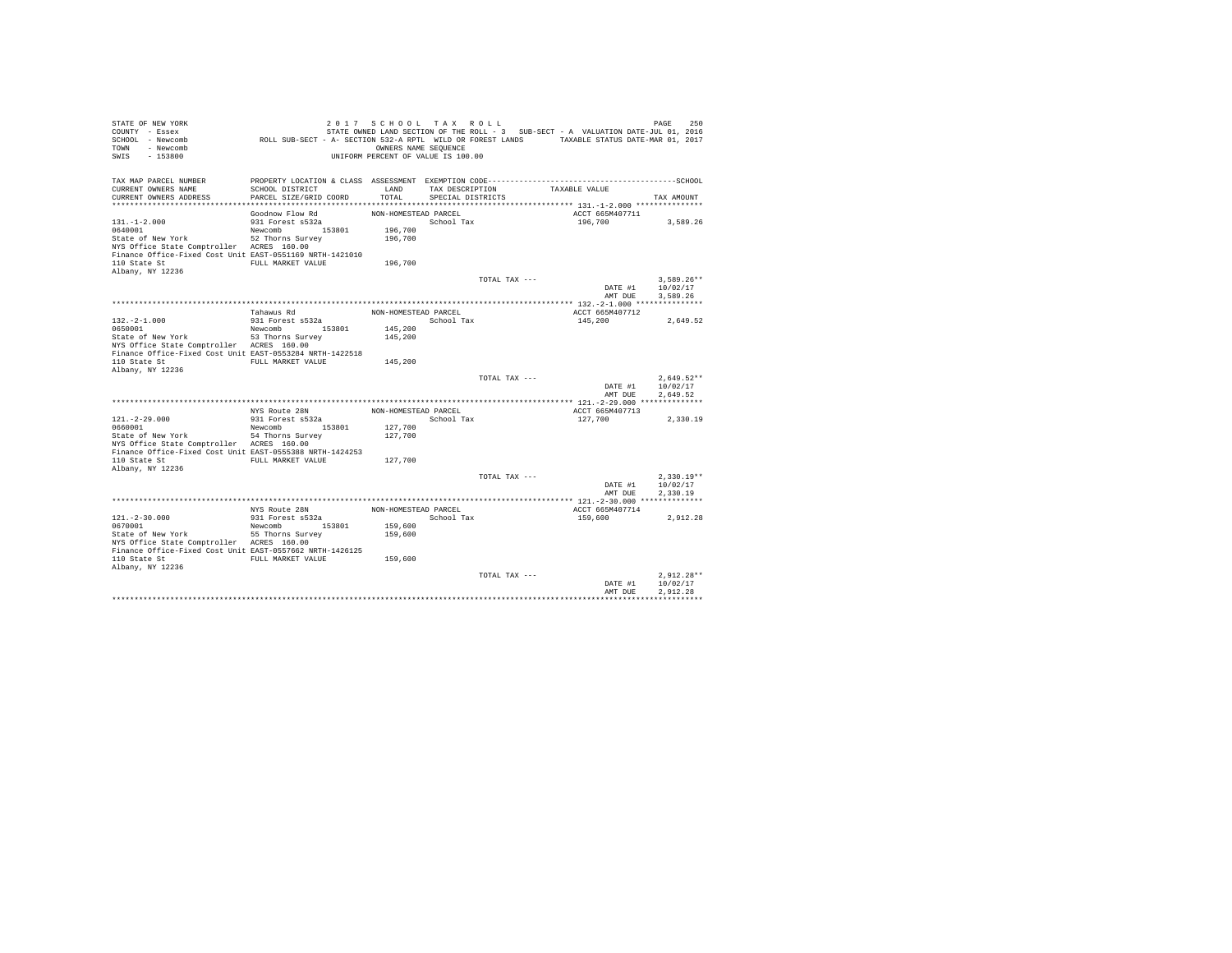| STATE OF NEW YORK<br>COUNTY - Essex<br>SCHOOL - Newcomb<br>- Newcomb<br>TOWN<br>$-153800$<br>SWIS                                                                                                | ROLL SUB-SECT - A- SECTION 532-A RPTL WILD OR FOREST LANDS TAXABLE STATUS DATE-MAR 01, 2017    | 2017 SCHOOL TAX ROLL<br>OWNERS NAME SEQUENCE<br>UNIFORM PERCENT OF VALUE IS 100.00 |                                      |               | STATE OWNED LAND SECTION OF THE ROLL - 3 SUB-SECT - A VALUATION DATE-JUL 01, 2016 | PAGE<br>250                          |
|--------------------------------------------------------------------------------------------------------------------------------------------------------------------------------------------------|------------------------------------------------------------------------------------------------|------------------------------------------------------------------------------------|--------------------------------------|---------------|-----------------------------------------------------------------------------------|--------------------------------------|
| TAX MAP PARCEL NUMBER<br>CURRENT OWNERS NAME<br>CURRENT OWNERS ADDRESS                                                                                                                           | SCHOOL DISTRICT<br>PARCEL SIZE/GRID COORD                                                      | LAND<br>TOTAL                                                                      | TAX DESCRIPTION<br>SPECIAL DISTRICTS |               | TAXABLE VALUE                                                                     | TAX AMOUNT                           |
| $131. - 1 - 2.000$<br>0640001<br>State of New York<br>NYS Office State Comptroller ACRES 160.00<br>Finance Office-Fixed Cost Unit EAST-0551169 NRTH-1421010<br>110 State St<br>Albany, NY 12236  | Goodnow Flow Rd<br>931 Forest s532a<br>Newcomb 153801<br>52 Thorns Survey<br>FULL MARKET VALUE | NON-HOMESTEAD PARCEL<br>196,700<br>196,700<br>196,700                              | School Tax                           |               | ACCT 665M407711<br>196,700                                                        | 3,589.26                             |
|                                                                                                                                                                                                  |                                                                                                |                                                                                    |                                      | TOTAL TAX --- | DATE #1<br>AMT DUE                                                                | $3.589.26**$<br>10/02/17<br>3.589.26 |
| $132. -2 - 1.000$<br>0650001<br>State of New York<br>NYS Office State Comptroller ACRES 160.00<br>Finance Office-Fixed Cost Unit EAST-0553284 NRTH-1422518<br>110 State St<br>Albany, NY 12236   | Tahawus Rd<br>931 Forest s532a<br>153801<br>Newcomb<br>53 Thorns Survey<br>FULL MARKET VALUE   | NON-HOMESTEAD PARCEL<br>145,200<br>145,200<br>145,200                              | School Tax                           |               | ACCT 665M407712<br>145,200                                                        | 2.649.52                             |
|                                                                                                                                                                                                  |                                                                                                |                                                                                    |                                      | TOTAL TAX --- | DATE #1<br>AMT DUE                                                                | $2.649.52**$<br>10/02/17<br>2.649.52 |
|                                                                                                                                                                                                  |                                                                                                |                                                                                    |                                      |               |                                                                                   |                                      |
| $121. -2 - 29.000$<br>0660001<br>State of New York<br>NYS Office State Comptroller ACRES 160.00<br>Finance Office-Fixed Cost Unit EAST-0555388 NRTH-1424253                                      | NYS Route 28N<br>931 Forest s532a<br>153801<br>Newcomb<br>54 Thorns Survey                     | NON-HOMESTEAD PARCEL<br>127,700<br>127,700                                         | School Tax                           |               | ACCT 665M407713<br>127,700                                                        | 2,330.19                             |
| 110 State St<br>Albany, NY 12236                                                                                                                                                                 | FULL MARKET VALUE                                                                              | 127,700                                                                            |                                      | TOTAL TAX --- | DATE #1<br>AMT DUE                                                                | $2.330.19**$<br>10/02/17<br>2.330.19 |
|                                                                                                                                                                                                  |                                                                                                |                                                                                    |                                      |               |                                                                                   |                                      |
| $121. - 2 - 30.000$<br>0670001<br>State of New York<br>NYS Office State Comptroller ACRES 160.00<br>Finance Office-Fixed Cost Unit EAST-0557662 NRTH-1426125<br>110 State St<br>Albany, NY 12236 | NYS Route 28N<br>931 Forest s532a<br>Newcomb 153801<br>55 Thorns Survey<br>FULL MARKET VALUE   | NON-HOMESTEAD PARCEL<br>159,600<br>159,600<br>159,600                              | School Tax                           |               | ACCT 665M407714<br>159,600                                                        | 2.912.28                             |
|                                                                                                                                                                                                  |                                                                                                |                                                                                    |                                      | TOTAL TAX --- | DATE #1<br>AMT DUE                                                                | $2.912.28**$<br>10/02/17<br>2.912.28 |
|                                                                                                                                                                                                  |                                                                                                |                                                                                    |                                      |               |                                                                                   |                                      |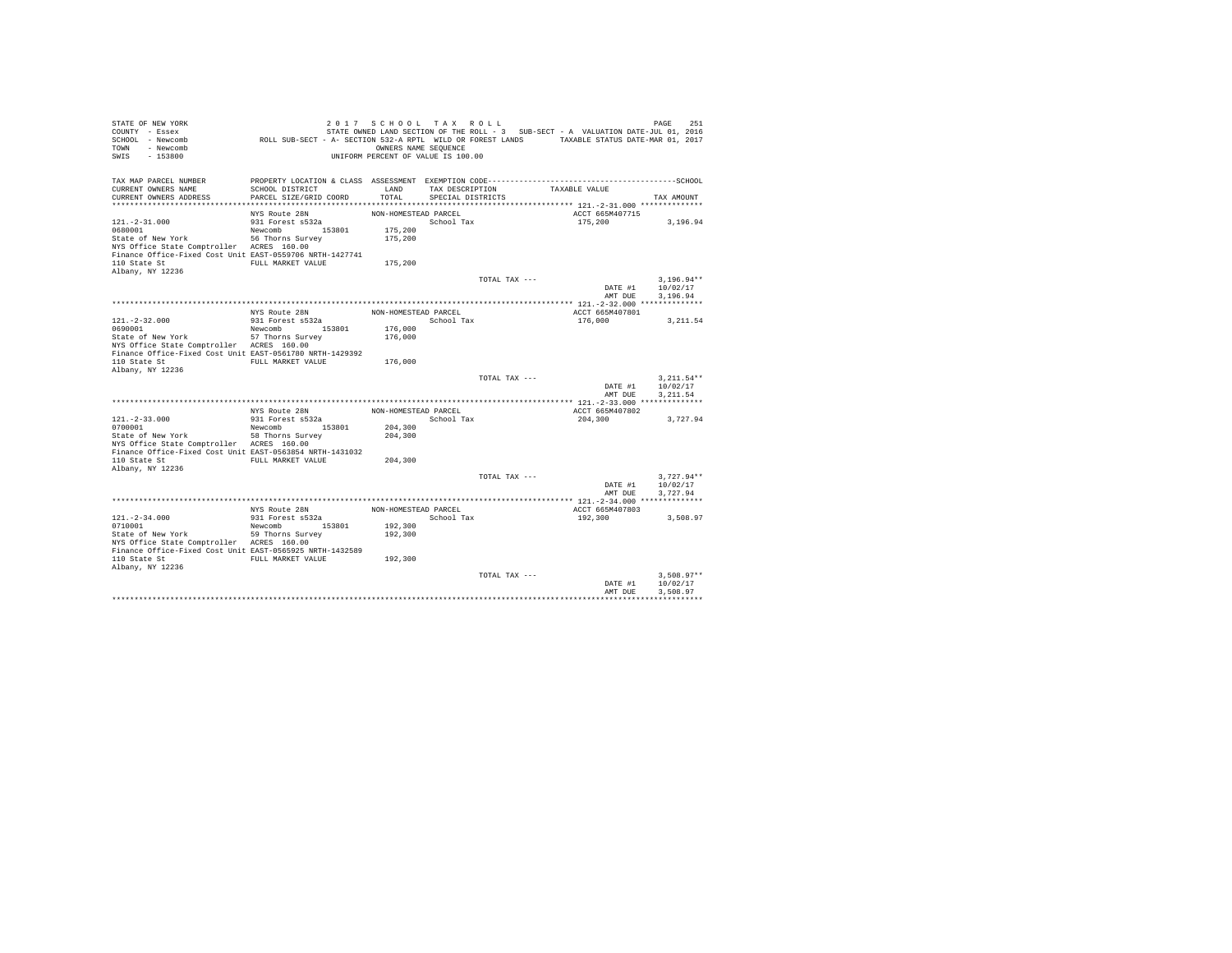| STATE OF NEW YORK<br>COUNTY - Essex<br>SCHOOL - Newcomb<br>- Newcomb<br>TOWN<br>$-153800$<br>SWIS                                                                            | ROLL SUB-SECT - A- SECTION 532-A RPTL WILD OR FOREST LANDS TAXABLE STATUS DATE-MAR 01, 2017 | 2017 SCHOOL TAX ROLL<br>OWNERS NAME SEQUENCE<br>UNIFORM PERCENT OF VALUE IS 100.00 |                                      |               | STATE OWNED LAND SECTION OF THE ROLL - 3 SUB-SECT - A VALUATION DATE-JUL 01, 2016 | PAGE<br>251                          |
|------------------------------------------------------------------------------------------------------------------------------------------------------------------------------|---------------------------------------------------------------------------------------------|------------------------------------------------------------------------------------|--------------------------------------|---------------|-----------------------------------------------------------------------------------|--------------------------------------|
| TAX MAP PARCEL NUMBER<br>CURRENT OWNERS NAME<br>CURRENT OWNERS ADDRESS                                                                                                       | SCHOOL DISTRICT<br>PARCEL SIZE/GRID COORD                                                   | LAND<br>TOTAL                                                                      | TAX DESCRIPTION<br>SPECIAL DISTRICTS |               | TAXABLE VALUE                                                                     | TAX AMOUNT                           |
|                                                                                                                                                                              |                                                                                             |                                                                                    |                                      |               |                                                                                   |                                      |
| $121. - 2 - 31.000$<br>0680001<br>State of New York<br>NYS Office State Comptroller ACRES 160.00                                                                             | NYS Route 28N<br>931 Forest s532a<br>Newcomb 153801<br>56 Thorns Survey                     | NON-HOMESTEAD PARCEL<br>175,200<br>175,200                                         | School Tax                           |               | ACCT 665M407715<br>175,200                                                        | 3,196.94                             |
| Finance Office-Fixed Cost Unit EAST-0559706 NRTH-1427741<br>110 State St<br>Albany, NY 12236                                                                                 | FULL MARKET VALUE                                                                           | 175,200                                                                            |                                      |               |                                                                                   |                                      |
|                                                                                                                                                                              |                                                                                             |                                                                                    |                                      | TOTAL TAX --- | DATE #1<br>AMT DUE                                                                | $3.196.94**$<br>10/02/17<br>3.196.94 |
|                                                                                                                                                                              |                                                                                             |                                                                                    |                                      |               |                                                                                   |                                      |
| $121. - 2 - 32.000$<br>0690001                                                                                                                                               | NYS Route 28N<br>931 Forest s532a<br>153801<br>Newcomb                                      | NON-HOMESTEAD PARCEL<br>176,000                                                    | School Tax                           |               | ACCT 665M407801<br>176,000                                                        | 3.211.54                             |
| State of New York<br>NYS Office State Comptroller ACRES 160.00<br>Finance Office-Fixed Cost Unit EAST-0561780 NRTH-1429392<br>110 State St                                   | 57 Thorns Survey<br>FULL MARKET VALUE                                                       | 176,000<br>176,000                                                                 |                                      |               |                                                                                   |                                      |
| Albany, NY 12236                                                                                                                                                             |                                                                                             |                                                                                    |                                      | TOTAL TAX --- | DATE #1<br>AMT DUE                                                                | $3.211.54**$<br>10/02/17<br>3.211.54 |
|                                                                                                                                                                              |                                                                                             |                                                                                    |                                      |               |                                                                                   |                                      |
|                                                                                                                                                                              | NYS Route 28N                                                                               | NON-HOMESTEAD PARCEL                                                               |                                      |               | ACCT 665M407802                                                                   |                                      |
| $121. -2 - 33.000$                                                                                                                                                           | 931 Forest s532a                                                                            |                                                                                    | School Tax                           |               | 204,300                                                                           | 3,727.94                             |
| 0700001                                                                                                                                                                      | 153801<br>Newcomb                                                                           | 204,300                                                                            |                                      |               |                                                                                   |                                      |
| State of New York<br>NYS Office State Comptroller ACRES 160.00<br>Finance Office-Fixed Cost Unit EAST-0563854 NRTH-1431032                                                   | 58 Thorns Survey                                                                            | 204,300                                                                            |                                      |               |                                                                                   |                                      |
| 110 State St<br>Albany, NY 12236                                                                                                                                             | FULL MARKET VALUE                                                                           | 204,300                                                                            |                                      |               |                                                                                   |                                      |
|                                                                                                                                                                              |                                                                                             |                                                                                    |                                      | TOTAL TAX --- | DATE #1<br>AMT DUE                                                                | $3.727.94**$<br>10/02/17<br>3.727.94 |
|                                                                                                                                                                              |                                                                                             |                                                                                    |                                      |               |                                                                                   |                                      |
|                                                                                                                                                                              | NYS Route 28N                                                                               | NON-HOMESTEAD PARCEL                                                               |                                      |               | ACCT 665M407803                                                                   |                                      |
| $121. - 2 - 34.000$<br>0710001<br>State of New York<br>NYS Office State Comptroller ACRES 160.00<br>Finance Office-Fixed Cost Unit EAST-0565925 NRTH-1432589<br>110 State St | 931 Forest s532a<br>Newcomb 153801<br>59 Thorns Survey<br>FULL MARKET VALUE                 | 192,300<br>192,300<br>192,300                                                      | School Tax                           |               | 192,300                                                                           | 3.508.97                             |
| Albany, NY 12236                                                                                                                                                             |                                                                                             |                                                                                    |                                      |               |                                                                                   |                                      |
|                                                                                                                                                                              |                                                                                             |                                                                                    |                                      | TOTAL TAX --- | DATE #1<br>AMT DUE                                                                | $3.508.97**$<br>10/02/17<br>3.508.97 |
|                                                                                                                                                                              |                                                                                             |                                                                                    |                                      |               |                                                                                   |                                      |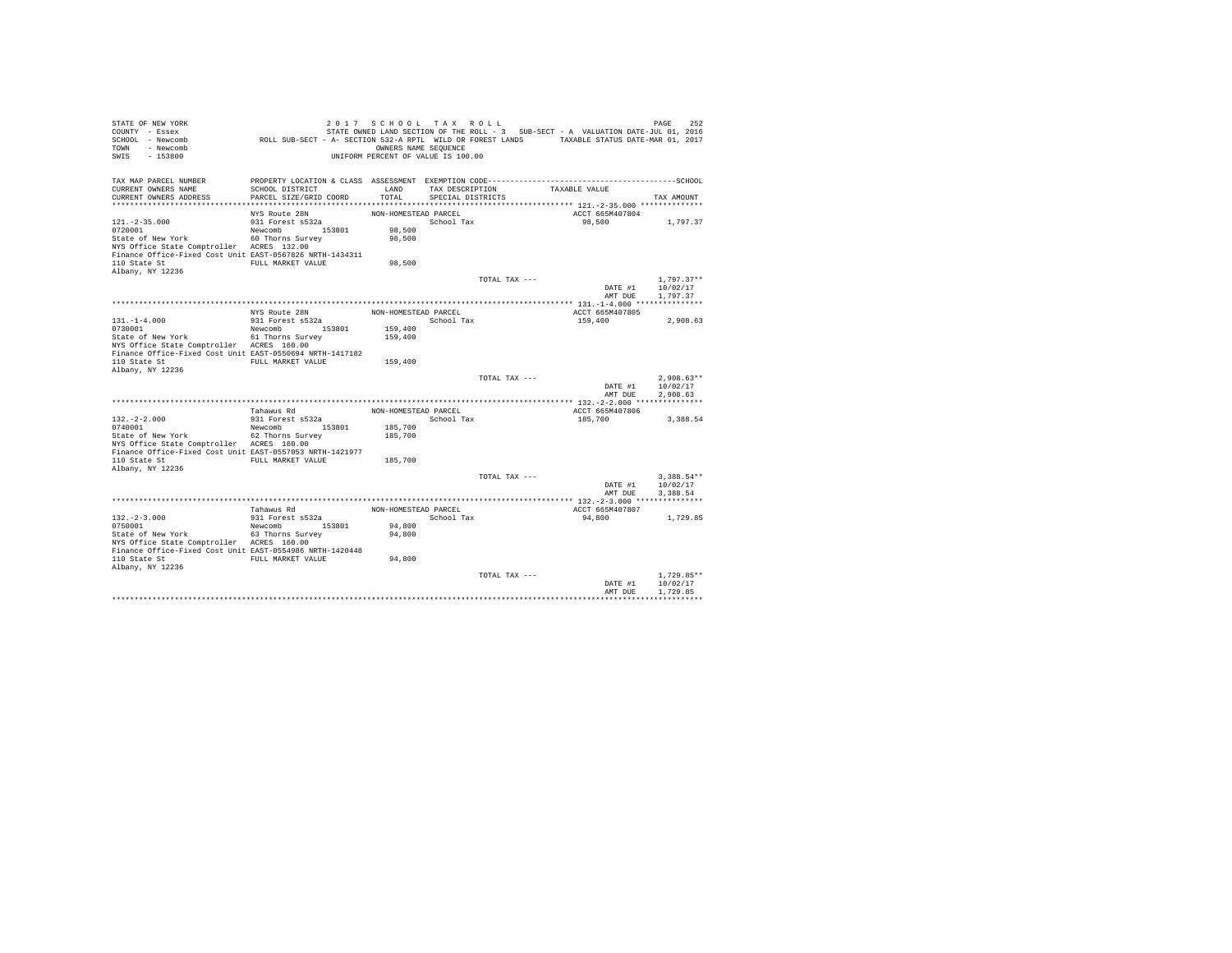| STATE OF NEW YORK<br>COUNTY - Essex<br>SCHOOL - Newcomb<br>- Newcomb<br><b>TOWN</b><br>SWIS<br>$-153800$ | ROLL SUB-SECT - A- SECTION 532-A RPTL WILD OR FOREST LANDS TAXABLE STATUS DATE-MAR 01, 2017 | 2017 SCHOOL TAX ROLL<br>OWNERS NAME SEQUENCE<br>UNIFORM PERCENT OF VALUE IS 100.00 |                                      |               | STATE OWNED LAND SECTION OF THE ROLL - 3 SUB-SECT - A VALUATION DATE-JUL 01, 2016 | 252<br>PAGE          |
|----------------------------------------------------------------------------------------------------------|---------------------------------------------------------------------------------------------|------------------------------------------------------------------------------------|--------------------------------------|---------------|-----------------------------------------------------------------------------------|----------------------|
| TAX MAP PARCEL NUMBER<br>CURRENT OWNERS NAME<br>CURRENT OWNERS ADDRESS                                   | SCHOOL DISTRICT<br>PARCEL SIZE/GRID COORD                                                   | LAND<br>TOTAL                                                                      | TAX DESCRIPTION<br>SPECIAL DISTRICTS |               | TAXABLE VALUE                                                                     | TAX AMOUNT           |
|                                                                                                          |                                                                                             |                                                                                    |                                      |               |                                                                                   |                      |
|                                                                                                          | NYS Route 28N                                                                               | NON-HOMESTEAD PARCEL                                                               |                                      |               | ACCT 665M407804                                                                   |                      |
| $121. -2 - 35.000$<br>0720001                                                                            | 931 Forest s532a<br>Newcomb 153801                                                          | 98,500                                                                             | School Tax                           |               | 98,500                                                                            | 1,797.37             |
| State of New York                                                                                        | 60 Thorns Survey                                                                            | 98,500                                                                             |                                      |               |                                                                                   |                      |
| NYS Office State Comptroller ACRES 132.00<br>Finance Office-Fixed Cost Unit EAST-0567826 NRTH-1434311    |                                                                                             |                                                                                    |                                      |               |                                                                                   |                      |
| 110 State St                                                                                             | FULL MARKET VALUE                                                                           | 98,500                                                                             |                                      |               |                                                                                   |                      |
| Albany, NY 12236                                                                                         |                                                                                             |                                                                                    |                                      | TOTAL TAX --- |                                                                                   | $1.797.37**$         |
|                                                                                                          |                                                                                             |                                                                                    |                                      |               | DATE #1                                                                           | 10/02/17             |
|                                                                                                          |                                                                                             |                                                                                    |                                      |               | AMT DUE                                                                           | 1,797.37             |
|                                                                                                          |                                                                                             |                                                                                    |                                      |               |                                                                                   |                      |
|                                                                                                          | NYS Route 28N                                                                               | NON-HOMESTEAD PARCEL                                                               |                                      |               | ACCT 665M407805                                                                   |                      |
| $131. - 1 - 4.000$                                                                                       | 931 Forest s532a                                                                            |                                                                                    | School Tax                           |               | 159,400                                                                           | 2.908.63             |
| 0730001                                                                                                  | 153801<br>Newcomb                                                                           | 159,400                                                                            |                                      |               |                                                                                   |                      |
| State of New York                                                                                        | 61 Thorns Survey                                                                            | 159,400                                                                            |                                      |               |                                                                                   |                      |
| NYS Office State Comptroller ACRES 160.00                                                                |                                                                                             |                                                                                    |                                      |               |                                                                                   |                      |
| Finance Office-Fixed Cost Unit EAST-0550694 NRTH-1417182<br>110 State St                                 | FULL MARKET VALUE                                                                           | 159,400                                                                            |                                      |               |                                                                                   |                      |
| Albany, NY 12236                                                                                         |                                                                                             |                                                                                    |                                      |               |                                                                                   |                      |
|                                                                                                          |                                                                                             |                                                                                    |                                      | TOTAL TAX --- |                                                                                   | $2.908.63**$         |
|                                                                                                          |                                                                                             |                                                                                    |                                      |               | DATE #1                                                                           | 10/02/17             |
|                                                                                                          |                                                                                             |                                                                                    |                                      |               | AMT DUE                                                                           | 2.908.63             |
|                                                                                                          |                                                                                             |                                                                                    |                                      |               |                                                                                   |                      |
|                                                                                                          | Tahawus Rd                                                                                  | NON-HOMESTEAD PARCEL                                                               |                                      |               | ACCT 665M407806                                                                   |                      |
| $132. -2 - 2.000$                                                                                        | 931 Forest s532a                                                                            |                                                                                    | School Tax                           |               | 185,700                                                                           | 3,388.54             |
| 0740001<br>State of New York                                                                             | Newcomb 153801<br>62 Thorns Survey                                                          | 185,700<br>185,700                                                                 |                                      |               |                                                                                   |                      |
| NYS Office State Comptroller ACRES 160.00                                                                |                                                                                             |                                                                                    |                                      |               |                                                                                   |                      |
| Finance Office-Fixed Cost Unit EAST-0557053 NRTH-1421977                                                 |                                                                                             |                                                                                    |                                      |               |                                                                                   |                      |
| 110 State St                                                                                             | FULL MARKET VALUE                                                                           | 185,700                                                                            |                                      |               |                                                                                   |                      |
| Albany, NY 12236                                                                                         |                                                                                             |                                                                                    |                                      |               |                                                                                   |                      |
|                                                                                                          |                                                                                             |                                                                                    |                                      | TOTAL TAX --- |                                                                                   | $3.388.54**$         |
|                                                                                                          |                                                                                             |                                                                                    |                                      |               | DATE #1<br>AMT DUE                                                                | 10/02/17<br>3.388.54 |
|                                                                                                          |                                                                                             |                                                                                    |                                      |               |                                                                                   |                      |
|                                                                                                          | Tahawus Rd                                                                                  | NON-HOMESTEAD PARCEL                                                               |                                      |               | ACCT 665M407807                                                                   |                      |
| $132. -2 - 3.000$                                                                                        | 931 Forest s532a                                                                            |                                                                                    | School Tax                           |               | 94,800                                                                            | 1,729.85             |
| 0750001                                                                                                  | Newcomb 153801                                                                              | 94,800                                                                             |                                      |               |                                                                                   |                      |
| State of New York                                                                                        | 63 Thorns Survey                                                                            | 94,800                                                                             |                                      |               |                                                                                   |                      |
| NYS Office State Comptroller ACRES 160.00                                                                |                                                                                             |                                                                                    |                                      |               |                                                                                   |                      |
| Finance Office-Fixed Cost Unit EAST-0554986 NRTH-1420448                                                 |                                                                                             |                                                                                    |                                      |               |                                                                                   |                      |
| 110 State St<br>Albany, NY 12236                                                                         | FULL MARKET VALUE                                                                           | 94,800                                                                             |                                      |               |                                                                                   |                      |
|                                                                                                          |                                                                                             |                                                                                    |                                      | TOTAL TAX --- |                                                                                   | $1.729.85**$         |
|                                                                                                          |                                                                                             |                                                                                    |                                      |               | DATE #1                                                                           | 10/02/17             |
|                                                                                                          |                                                                                             |                                                                                    |                                      |               | AMT DUE                                                                           | 1,729.85             |
|                                                                                                          |                                                                                             |                                                                                    |                                      |               |                                                                                   |                      |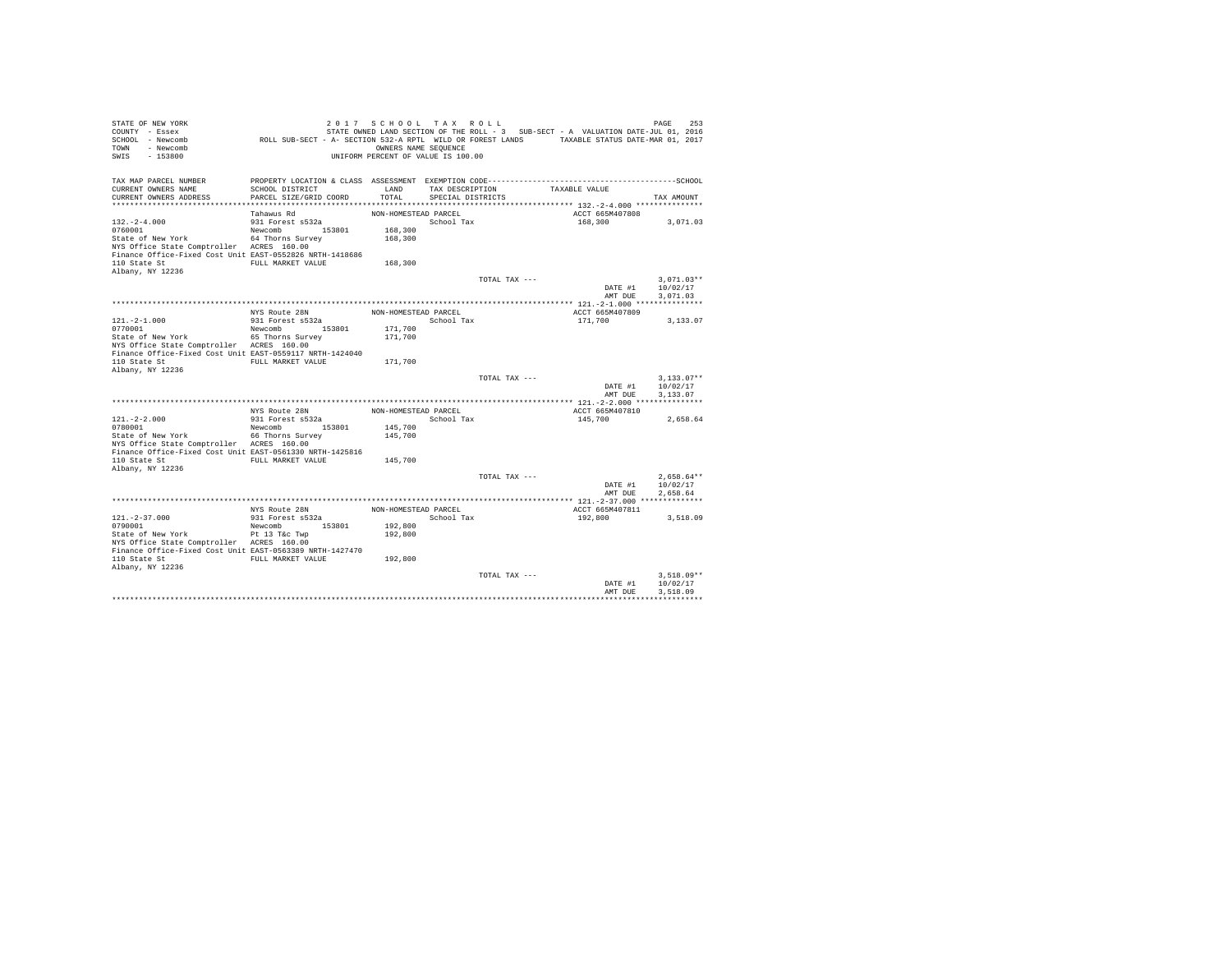| STATE OF NEW YORK<br>COUNTY - Essex<br>SCHOOL - Newcomb<br>- Newcomb<br>TOWN<br>$-153800$<br>SWIS                                          | ROLL SUB-SECT - A- SECTION 532-A RPTL WILD OR FOREST LANDS TAXABLE STATUS DATE-MAR 01, 2017                                               | 2017 SCHOOL TAX ROLL<br>OWNERS NAME SEQUENCE<br>UNIFORM PERCENT OF VALUE IS 100.00 |                                      |               | STATE OWNED LAND SECTION OF THE ROLL - 3 SUB-SECT - A VALUATION DATE-JUL 01, 2016 | PAGE<br>253                          |
|--------------------------------------------------------------------------------------------------------------------------------------------|-------------------------------------------------------------------------------------------------------------------------------------------|------------------------------------------------------------------------------------|--------------------------------------|---------------|-----------------------------------------------------------------------------------|--------------------------------------|
| TAX MAP PARCEL NUMBER<br>CURRENT OWNERS NAME<br>CURRENT OWNERS ADDRESS                                                                     | PROPERTY LOCATION & CLASS ASSESSMENT EXEMPTION CODE-----------------------------------SCHOOL<br>SCHOOL DISTRICT<br>PARCEL SIZE/GRID COORD | LAND<br>TOTAL                                                                      | TAX DESCRIPTION<br>SPECIAL DISTRICTS |               | TAXABLE VALUE                                                                     | TAX AMOUNT                           |
|                                                                                                                                            | Tahawus Rd                                                                                                                                | NON-HOMESTEAD PARCEL                                                               |                                      |               | ACCT 665M407808                                                                   |                                      |
| $132. -2 - 4.000$<br>0760001<br>State of New York                                                                                          | 931 Forest s532a<br>Newcomb 153801<br>64 Thorns Survey                                                                                    | 168,300<br>168,300                                                                 | School Tax                           |               | 168,300                                                                           | 3,071.03                             |
| NYS Office State Comptroller ACRES 160.00<br>Finance Office-Fixed Cost Unit EAST-0552826 NRTH-1418686<br>110 State St<br>Albany, NY 12236  | FULL MARKET VALUE                                                                                                                         | 168,300                                                                            |                                      |               |                                                                                   |                                      |
|                                                                                                                                            |                                                                                                                                           |                                                                                    |                                      | TOTAL TAX --- | DATE #1<br>AMT DUE                                                                | $3.071.03**$<br>10/02/17<br>3,071.03 |
|                                                                                                                                            |                                                                                                                                           |                                                                                    |                                      |               |                                                                                   |                                      |
| $121. -2 - 1.000$<br>0770001                                                                                                               | NYS Route 28N<br>931 Forest s532a<br>153801<br>Newcomb                                                                                    | NON-HOMESTEAD PARCEL<br>171,700                                                    | School Tax                           |               | ACCT 665M407809<br>171,700                                                        | 3.133.07                             |
| State of New York<br>NYS Office State Comptroller ACRES 160.00<br>Finance Office-Fixed Cost Unit EAST-0559117 NRTH-1424040<br>110 State St | 65 Thorns Survey<br>FULL MARKET VALUE                                                                                                     | 171,700<br>171,700                                                                 |                                      |               |                                                                                   |                                      |
| Albany, NY 12236                                                                                                                           |                                                                                                                                           |                                                                                    |                                      | TOTAL TAX --- | DATE #1<br>AMT DUE                                                                | $3.133.07**$<br>10/02/17<br>3.133.07 |
|                                                                                                                                            |                                                                                                                                           |                                                                                    |                                      |               |                                                                                   |                                      |
|                                                                                                                                            | NYS Route 28N                                                                                                                             | NON-HOMESTEAD PARCEL                                                               |                                      |               | ACCT 665M407810                                                                   |                                      |
| $121. -2 - 2.000$                                                                                                                          | 931 Forest s532a                                                                                                                          |                                                                                    | School Tax                           |               | 145,700                                                                           | 2,658.64                             |
| 0780001<br>State of New York<br>NYS Office State Comptroller ACRES 160.00                                                                  | 153801<br>Newcomb<br>66 Thorns Survey                                                                                                     | 145,700<br>145,700                                                                 |                                      |               |                                                                                   |                                      |
| Finance Office-Fixed Cost Unit EAST-0561330 NRTH-1425816<br>110 State St<br>Albany, NY 12236                                               | FULL MARKET VALUE                                                                                                                         | 145,700                                                                            |                                      |               |                                                                                   |                                      |
|                                                                                                                                            |                                                                                                                                           |                                                                                    |                                      | TOTAL TAX --- | DATE #1<br>AMT DUE                                                                | $2.658.64**$<br>10/02/17<br>2.658.64 |
|                                                                                                                                            |                                                                                                                                           |                                                                                    |                                      |               |                                                                                   |                                      |
| $121. - 2 - 37.000$                                                                                                                        | NYS Route 28N<br>931 Forest s532a                                                                                                         | NON-HOMESTEAD PARCEL                                                               | School Tax                           |               | ACCT 665M407811<br>192,800                                                        | 3,518.09                             |
| 0790001<br>State of New York<br>NYS Office State Comptroller ACRES 160.00<br>Finance Office-Fixed Cost Unit EAST-0563389 NRTH-1427470      | Newcomb<br>153801<br>Pt 13 T&c Twp                                                                                                        | 192,800<br>192,800                                                                 |                                      |               |                                                                                   |                                      |
| 110 State St<br>Albany, NY 12236                                                                                                           | FULL MARKET VALUE                                                                                                                         | 192,800                                                                            |                                      |               |                                                                                   |                                      |
|                                                                                                                                            |                                                                                                                                           |                                                                                    |                                      | TOTAL TAX --- | DATE #1<br>AMT DUE                                                                | $3.518.09**$<br>10/02/17<br>3.518.09 |
|                                                                                                                                            |                                                                                                                                           |                                                                                    |                                      |               |                                                                                   |                                      |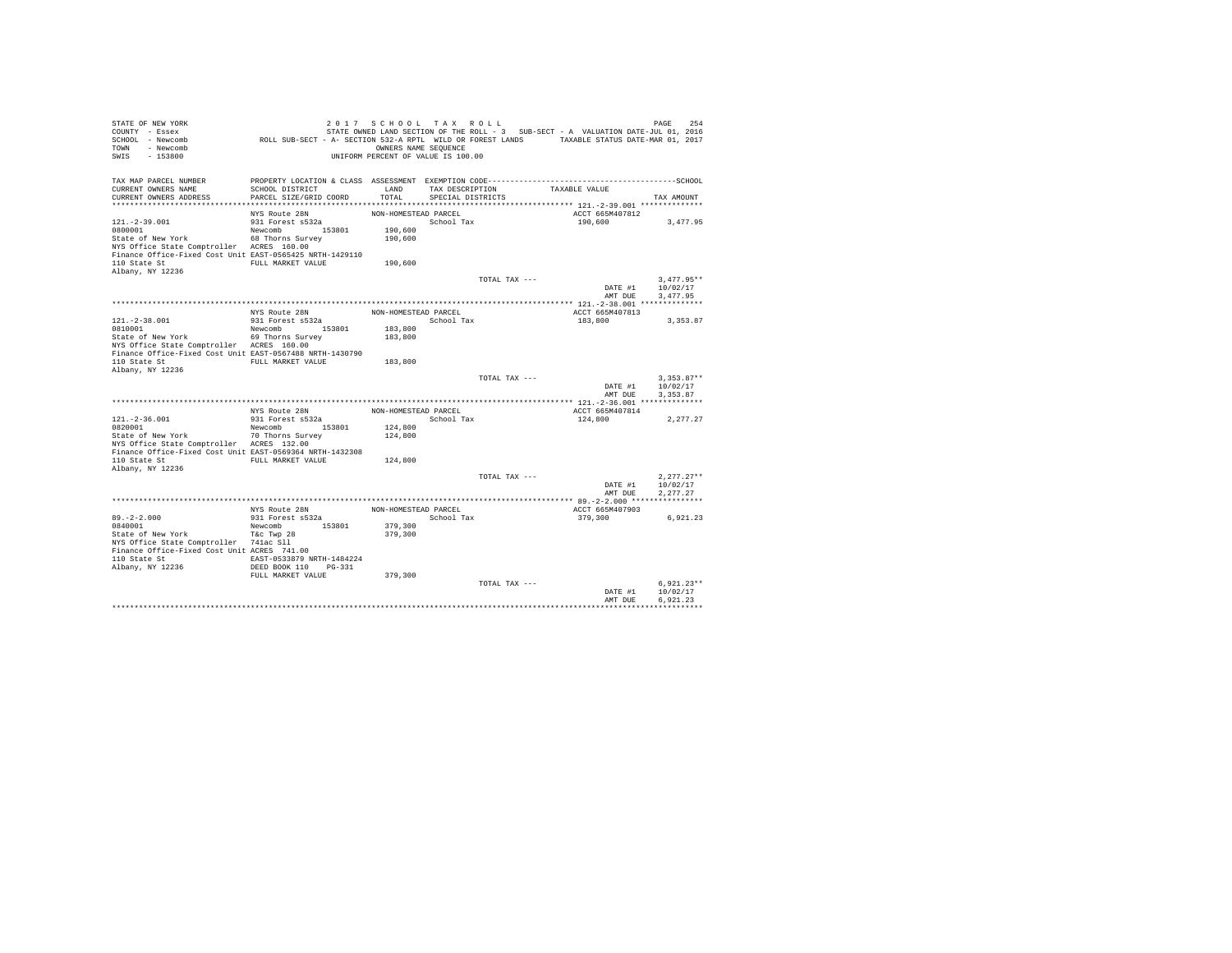| STATE OF NEW YORK<br>COUNTY - Essex<br>SCHOOL - Newcomb<br>TOWN - Newcomb<br>SWIS<br>$-153800$ | ROLL SUB-SECT - A- SECTION 532-A RPTL WILD OR FOREST LANDS TAXABLE STATUS DATE-MAR 01, 2017 | 2017 SCHOOL TAX ROLL<br>OWNERS NAME SEQUENCE<br>UNIFORM PERCENT OF VALUE IS 100.00 |                   |               | STATE OWNED LAND SECTION OF THE ROLL - 3 SUB-SECT - A VALUATION DATE-JUL 01, 2016 | 254<br>PAGE              |
|------------------------------------------------------------------------------------------------|---------------------------------------------------------------------------------------------|------------------------------------------------------------------------------------|-------------------|---------------|-----------------------------------------------------------------------------------|--------------------------|
| TAX MAP PARCEL NUMBER                                                                          |                                                                                             |                                                                                    |                   |               |                                                                                   |                          |
| CURRENT OWNERS NAME                                                                            | SCHOOL DISTRICT                                                                             | LAND                                                                               | TAX DESCRIPTION   |               | TAXABLE VALUE                                                                     |                          |
| CURRENT OWNERS ADDRESS                                                                         | PARCEL SIZE/GRID COORD                                                                      | TOTAL                                                                              | SPECIAL DISTRICTS |               |                                                                                   | TAX AMOUNT               |
|                                                                                                | NYS Route 28N                                                                               | NON-HOMESTEAD PARCEL                                                               |                   |               | ACCT 665M407812                                                                   |                          |
| $121. -2 - 39.001$                                                                             | 931 Forest s532a                                                                            |                                                                                    | School Tax        |               | 190,600                                                                           | 3.477.95                 |
| 0800001                                                                                        | Newcomb 153801                                                                              | 190,600                                                                            |                   |               |                                                                                   |                          |
| State of New York                                                                              | 68 Thorns Survey                                                                            | 190,600                                                                            |                   |               |                                                                                   |                          |
| NYS Office State Comptroller ACRES 160.00                                                      |                                                                                             |                                                                                    |                   |               |                                                                                   |                          |
| Finance Office-Fixed Cost Unit EAST-0565425 NRTH-1429110                                       |                                                                                             |                                                                                    |                   |               |                                                                                   |                          |
| 110 State St                                                                                   | FULL MARKET VALUE                                                                           | 190,600                                                                            |                   |               |                                                                                   |                          |
| Albany, NY 12236                                                                               |                                                                                             |                                                                                    |                   |               |                                                                                   |                          |
|                                                                                                |                                                                                             |                                                                                    |                   | TOTAL TAX --- |                                                                                   | $3.477.95**$             |
|                                                                                                |                                                                                             |                                                                                    |                   |               | DATE #1                                                                           | 10/02/17                 |
|                                                                                                |                                                                                             |                                                                                    |                   |               | AMT DUE                                                                           | 3.477.95                 |
|                                                                                                |                                                                                             |                                                                                    |                   |               |                                                                                   |                          |
| 121. - 2 - 38.001                                                                              | NYS Route 28N<br>931 Forest s532a                                                           | NON-HOMESTEAD PARCEL                                                               | School Tax        |               | ACCT 665M407813<br>183,800                                                        | 3,353.87                 |
| 0810001                                                                                        | Newcomb 153801                                                                              | 183,800                                                                            |                   |               |                                                                                   |                          |
| State of New York                                                                              | 69 Thorns Survey                                                                            | 183,800                                                                            |                   |               |                                                                                   |                          |
| NYS Office State Comptroller ACRES 160.00                                                      |                                                                                             |                                                                                    |                   |               |                                                                                   |                          |
| Finance Office-Fixed Cost Unit EAST-0567488 NRTH-1430790                                       |                                                                                             |                                                                                    |                   |               |                                                                                   |                          |
| 110 State St                                                                                   | FULL MARKET VALUE                                                                           | 183,800                                                                            |                   |               |                                                                                   |                          |
| Albany, NY 12236                                                                               |                                                                                             |                                                                                    |                   |               |                                                                                   |                          |
|                                                                                                |                                                                                             |                                                                                    |                   | TOTAL TAX --- |                                                                                   | $3.353.87**$             |
|                                                                                                |                                                                                             |                                                                                    |                   |               | DATE #1                                                                           | 10/02/17                 |
|                                                                                                |                                                                                             |                                                                                    |                   |               | AMT DUE                                                                           | 3.353.87                 |
|                                                                                                | NYS Route 28N                                                                               | NON-HOMESTEAD PARCEL                                                               |                   |               | ACCT 665M407814                                                                   |                          |
| $121. - 2 - 36.001$                                                                            | 931 Forest s532a                                                                            |                                                                                    | School Tax        |               | 124,800                                                                           | 2.277.27                 |
| 0820001                                                                                        | Newcomb 153801                                                                              | 124,800                                                                            |                   |               |                                                                                   |                          |
| State of New York                                                                              | 70 Thorns Survey                                                                            | 124,800                                                                            |                   |               |                                                                                   |                          |
| NYS Office State Comptroller ACRES 132.00                                                      |                                                                                             |                                                                                    |                   |               |                                                                                   |                          |
| Finance Office-Fixed Cost Unit EAST-0569364 NRTH-1432308                                       |                                                                                             |                                                                                    |                   |               |                                                                                   |                          |
| 110 State St                                                                                   | FULL MARKET VALUE                                                                           | 124,800                                                                            |                   |               |                                                                                   |                          |
| Albany, NY 12236                                                                               |                                                                                             |                                                                                    |                   |               |                                                                                   |                          |
|                                                                                                |                                                                                             |                                                                                    |                   | TOTAL TAX --- |                                                                                   | $2.277.27**$             |
|                                                                                                |                                                                                             |                                                                                    |                   |               | DATE #1                                                                           | 10/02/17                 |
|                                                                                                |                                                                                             |                                                                                    |                   |               | AMT DUE                                                                           | 2,277.27                 |
|                                                                                                | NYS Route 28N                                                                               | NON-HOMESTEAD PARCEL                                                               |                   |               | ACCT 665M407903                                                                   |                          |
| $89. -2 - 2.000$                                                                               | 931 Forest s532a                                                                            |                                                                                    | School Tax        |               | 379,300                                                                           | 6,921.23                 |
| 0840001                                                                                        | 153801<br>Newcomb                                                                           | 379,300                                                                            |                   |               |                                                                                   |                          |
| State of New York                                                                              | T&c Twp 28                                                                                  | 379,300                                                                            |                   |               |                                                                                   |                          |
| NYS Office State Comptroller 741ac Sll                                                         |                                                                                             |                                                                                    |                   |               |                                                                                   |                          |
| Finance Office-Fixed Cost Unit ACRES 741.00                                                    |                                                                                             |                                                                                    |                   |               |                                                                                   |                          |
| 110 State St 6. EAST-0533879 NRTH-1484224                                                      |                                                                                             |                                                                                    |                   |               |                                                                                   |                          |
| Albany, NY 12236                                                                               | DEED BOOK 110 PG-331                                                                        |                                                                                    |                   |               |                                                                                   |                          |
|                                                                                                | FULL MARKET VALUE                                                                           | 379,300                                                                            |                   |               |                                                                                   |                          |
|                                                                                                |                                                                                             |                                                                                    |                   | TOTAL TAX --- | DATE #1                                                                           | $6.921.23**$<br>10/02/17 |
|                                                                                                |                                                                                             |                                                                                    |                   |               | AMT DUE                                                                           | 6.921.23                 |
|                                                                                                |                                                                                             |                                                                                    |                   |               |                                                                                   |                          |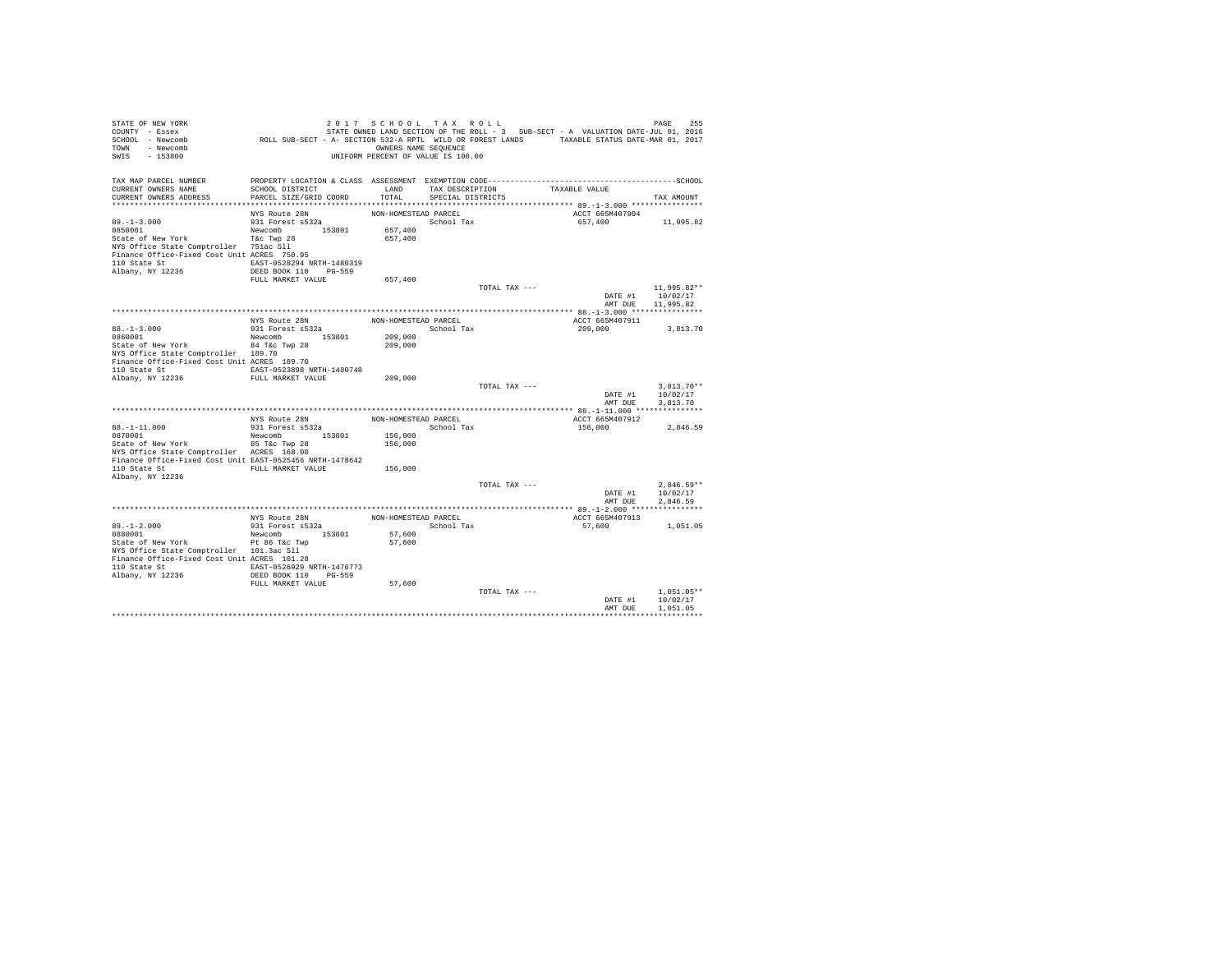| STATE OF NEW YORK<br>COUNTY - Essex<br>SCHOOL - Newcomb<br>TOWN - Newcomb<br>SWIS<br>$-153800$ | ROLL SUB-SECT - A- SECTION 532-A RPTL WILD OR FOREST LANDS TAXABLE STATUS DATE-MAR 01, 2017 | 2017 SCHOOL TAX ROLL<br>OWNERS NAME SEQUENCE<br>UNIFORM PERCENT OF VALUE IS 100.00 |                   |                 | STATE OWNED LAND SECTION OF THE ROLL - 3 SUB-SECT - A VALUATION DATE-JUL 01, 2016 | PAGE<br>255             |
|------------------------------------------------------------------------------------------------|---------------------------------------------------------------------------------------------|------------------------------------------------------------------------------------|-------------------|-----------------|-----------------------------------------------------------------------------------|-------------------------|
| TAX MAP PARCEL NUMBER                                                                          |                                                                                             |                                                                                    |                   |                 |                                                                                   |                         |
| CURRENT OWNERS NAME                                                                            | SCHOOL DISTRICT                                                                             | LAND                                                                               |                   | TAX DESCRIPTION | TAXABLE VALUE                                                                     |                         |
| CURRENT OWNERS ADDRESS                                                                         | PARCEL SIZE/GRID COORD                                                                      | TOTAL                                                                              | SPECIAL DISTRICTS |                 |                                                                                   | TAX AMOUNT              |
|                                                                                                | NYS Route 28N                                                                               | NON-HOMESTEAD PARCEL                                                               |                   |                 | ACCT 665M407904                                                                   |                         |
| $89. -1 - 3.000$                                                                               | 931 Forest s532a                                                                            |                                                                                    | School Tax        |                 | 657,400                                                                           | 11,995.82               |
| 0850001                                                                                        | Newcomb 153801                                                                              | 657,400                                                                            |                   |                 |                                                                                   |                         |
| State of New York                                                                              | T&c Twp 28                                                                                  | 657,400                                                                            |                   |                 |                                                                                   |                         |
| NYS Office State Comptroller 751ac Sll                                                         |                                                                                             |                                                                                    |                   |                 |                                                                                   |                         |
| Finance Office-Fixed Cost Unit ACRES 750.95                                                    |                                                                                             |                                                                                    |                   |                 |                                                                                   |                         |
| 110 State St                                                                                   | EAST-0528294 NRTH-1480319                                                                   |                                                                                    |                   |                 |                                                                                   |                         |
| Albany, NY 12236                                                                               | DEED BOOK 110 PG-559                                                                        |                                                                                    |                   |                 |                                                                                   |                         |
|                                                                                                | FULL MARKET VALUE                                                                           | 657,400                                                                            |                   |                 |                                                                                   |                         |
|                                                                                                |                                                                                             |                                                                                    |                   | TOTAL TAX ---   | DATE #1                                                                           | 11,995.82**<br>10/02/17 |
|                                                                                                |                                                                                             |                                                                                    |                   |                 |                                                                                   | AMT DUE 11,995.82       |
|                                                                                                |                                                                                             |                                                                                    |                   |                 |                                                                                   |                         |
|                                                                                                | NYS Route 28N                                                                               | NON-HOMESTEAD PARCEL                                                               |                   |                 | ACCT 665M407911                                                                   |                         |
| $88. - 1 - 3.000$                                                                              | 931 Forest s532a                                                                            |                                                                                    | School Tax        |                 | 209,000                                                                           | 3,813.70                |
| 0860001                                                                                        | Newcomb 153801                                                                              | 209,000                                                                            |                   |                 |                                                                                   |                         |
| State of New York                                                                              | 84 T&c Twp 28                                                                               | 209,000                                                                            |                   |                 |                                                                                   |                         |
| NYS Office State Comptroller 189.70                                                            |                                                                                             |                                                                                    |                   |                 |                                                                                   |                         |
| Finance Office-Fixed Cost Unit ACRES 189.70<br>110 State St                                    | EAST-0523898 NRTH-1480748                                                                   |                                                                                    |                   |                 |                                                                                   |                         |
| Albany, NY 12236                                                                               | FULL MARKET VALUE                                                                           | 209,000                                                                            |                   |                 |                                                                                   |                         |
|                                                                                                |                                                                                             |                                                                                    |                   | TOTAL TAX ---   |                                                                                   | $3.813.70**$            |
|                                                                                                |                                                                                             |                                                                                    |                   |                 | DATE #1                                                                           | 10/02/17                |
|                                                                                                |                                                                                             |                                                                                    |                   |                 | AMT DUE                                                                           | 3,813,70                |
|                                                                                                |                                                                                             |                                                                                    |                   |                 |                                                                                   |                         |
|                                                                                                | NYS Route 28N<br>931 Forest s532a                                                           | NON-HOMESTEAD PARCEL                                                               |                   |                 | ACCT 665M407912                                                                   |                         |
| $88. - 1 - 11.000$<br>0870001                                                                  | Newcomb 153801                                                                              | School Tax<br>156,000                                                              |                   |                 | 156,000                                                                           | 2,846.59                |
| State of New York                                                                              | 85 T&c Twp 28                                                                               | 156,000                                                                            |                   |                 |                                                                                   |                         |
| NYS Office State Comptroller ACRES 168.00                                                      |                                                                                             |                                                                                    |                   |                 |                                                                                   |                         |
| Finance Office-Fixed Cost Unit EAST-0525456 NRTH-1478642                                       |                                                                                             |                                                                                    |                   |                 |                                                                                   |                         |
| 110 State St                                                                                   | FULL MARKET VALUE                                                                           | 156,000                                                                            |                   |                 |                                                                                   |                         |
| Albany, NY 12236                                                                               |                                                                                             |                                                                                    |                   |                 |                                                                                   |                         |
|                                                                                                |                                                                                             |                                                                                    |                   | TOTAL TAX ---   |                                                                                   | $2.846.59**$            |
|                                                                                                |                                                                                             |                                                                                    |                   |                 | DATE #1<br>AMT DUE                                                                | 10/02/17<br>2.846.59    |
|                                                                                                |                                                                                             |                                                                                    |                   |                 |                                                                                   |                         |
|                                                                                                | NYS Route 28N                                                                               | NON-HOMESTEAD PARCEL                                                               |                   |                 | ACCT 665M407913                                                                   |                         |
| $89. - 1 - 2.000$                                                                              | 931 Forest s532a                                                                            | School Tax                                                                         |                   |                 | 57.600                                                                            | 1,051.05                |
| 0880001                                                                                        | Newcomb 153801                                                                              | 57,600                                                                             |                   |                 |                                                                                   |                         |
| State of New York                                                                              | Pt 86 T&c Twp                                                                               | 57,600                                                                             |                   |                 |                                                                                   |                         |
| NYS Office State Comptroller 101.3ac Sll                                                       |                                                                                             |                                                                                    |                   |                 |                                                                                   |                         |
| Finance Office-Fixed Cost Unit ACRES 101.28                                                    |                                                                                             |                                                                                    |                   |                 |                                                                                   |                         |
| 110 State St<br>Albany, NY 12236                                                               | EAST-0526929 NRTH-1476773<br>DEED BOOK 110 PG-559                                           |                                                                                    |                   |                 |                                                                                   |                         |
|                                                                                                | FULL MARKET VALUE                                                                           | 57,600                                                                             |                   |                 |                                                                                   |                         |
|                                                                                                |                                                                                             |                                                                                    |                   | TOTAL TAX ---   |                                                                                   | $1.051.05**$            |
|                                                                                                |                                                                                             |                                                                                    |                   |                 | DATE #1                                                                           | 10/02/17                |
|                                                                                                |                                                                                             |                                                                                    |                   |                 | AMT DUE                                                                           | 1,051.05                |
|                                                                                                |                                                                                             |                                                                                    |                   |                 |                                                                                   |                         |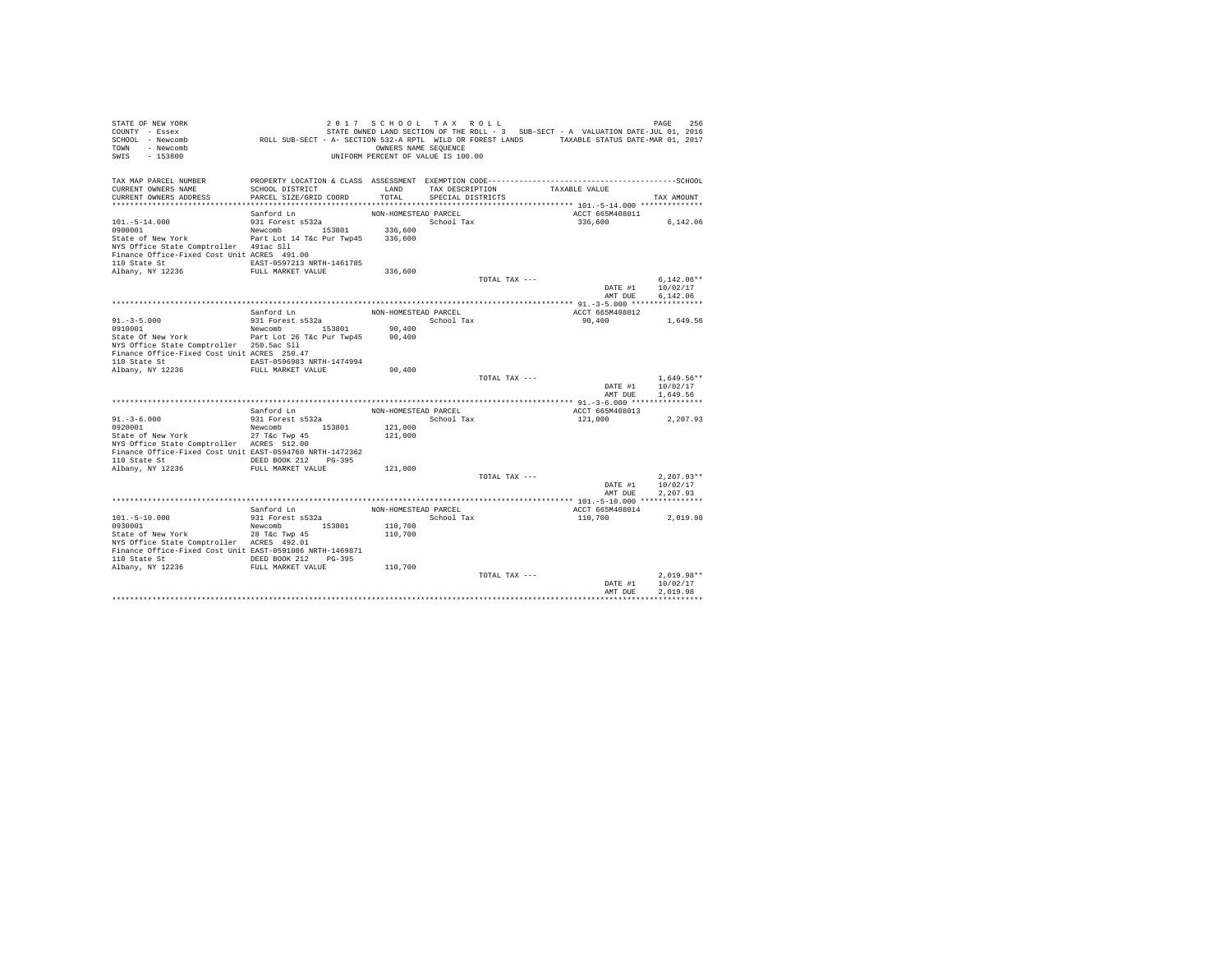| TAX MAP PARCEL NUMBER<br>CURRENT OWNERS NAME<br>SCHOOL DISTRICT<br>LAND<br>TAX DESCRIPTION<br>TAXABLE VALUE<br>TOTAL<br>CURRENT OWNERS ADDRESS<br>PARCEL SIZE/GRID COORD<br>SPECIAL DISTRICTS<br>TAX AMOUNT<br>NON-HOMESTEAD PARCEL<br>ACCT 665M408011<br>Sanford Ln<br>$101. - 5 - 14.000$<br>931 Forest s532a<br>School Tax<br>336,600<br>6,142.06<br>Newcomb 153801<br>0900001<br>336,600<br>State of New York Part Lot 14 T&c Pur Twp45 336,600<br>NYS Office State Comptroller 491ac Sll<br>Finance Office-Fixed Cost Unit ACRES 491.00<br>EAST-0597213 NRTH-1461785<br>Albany, NY 12236<br>FULL MARKET VALUE<br>336,600<br>$6.142.06**$<br>TOTAL TAX ---<br>DATE #1<br>10/02/17<br>AMT DUE<br>6.142.06<br>Sanford Ln<br>NON-HOMESTEAD PARCEL<br>ACCT 665M408012<br>$91. - 3 - 5.000$<br>931 Forest s532a<br>School Tax<br>90,400<br>1,649.56<br>0910001<br>Newcomb 153801<br>90,400<br>State Of New York Part Lot 26 T&c Pur Twp45<br>90,400<br>NYS Office State Comptroller 250.5ac Sll<br>Finance Office-Fixed Cost Unit ACRES 250.47<br>EAST-0596983 NRTH-1474994<br>FULL MARKET VALUE<br>90,400<br>$1.649.56**$<br>TOTAL TAX ---<br>DATE #1<br>10/02/17<br>AMT DUR<br>1,649.56<br>Sanford Ln<br>NON-HOMESTEAD PARCEL<br>ACCT 665M408013<br>$91. - 3 - 6.000$<br>School Tax<br>931 Forest s532a<br>121,000<br>2,207.93<br>Newcomb 153801<br>0920001<br>121,000<br>State of New York<br>27 T&c Twp 45<br>121,000<br>NYS Office State Comptroller ACRES 512.00<br>Finance Office-Fixed Cost Unit EAST-0594760 NRTH-1472362<br>DEED BOOK 212 PG-395<br>110 State St<br>Albany, NY 12236<br>FULL MARKET VALUE<br>121,000<br>TOTAL TAX ---<br>$2.207.93**$<br>DATE #1<br>10/02/17<br>AMT DUE<br>2.207.93<br>Sanford Ln<br>NON-HOMESTEAD PARCEL<br>ACCT 665M408014<br>931 Forest s532a<br>School Tax<br>$101. - 5 - 10.000$<br>110,700<br>2.019.98<br>Newcomb 153801<br>110,700<br>0930001<br>State of New York<br>110,700<br>28 T&c Twp 45<br>NYS Office State Comptroller ACRES 492.01<br>Finance Office-Fixed Cost Unit EAST-0591086 NRTH-1469871<br>110 State St 6 DEED BOOK 212 PG-395<br>Albany, NY 12236 FULL MARKET VALUE<br>110,700<br>$2.019.98**$<br>TOTAL TAX ---<br>DATE #1<br>10/02/17<br>2.019.98<br>AMT DUE | STATE OF NEW YORK<br>COUNTY - Essex<br>SCHOOL - Newcomb<br>TOWN - Newcomb<br>SWIS<br>$-153800$ | ROLL SUB-SECT - A- SECTION 532-A RPTL WILD OR FOREST LANDS TAXABLE STATUS DATE-MAR 01, 2017 | 2017 SCHOOL TAX ROLL<br>OWNERS NAME SEQUENCE<br>UNIFORM PERCENT OF VALUE IS 100.00 |  | STATE OWNED LAND SECTION OF THE ROLL - 3 SUB-SECT - A VALUATION DATE-JUL 01, 2016 | 256<br>PAGE |
|--------------------------------------------------------------------------------------------------------------------------------------------------------------------------------------------------------------------------------------------------------------------------------------------------------------------------------------------------------------------------------------------------------------------------------------------------------------------------------------------------------------------------------------------------------------------------------------------------------------------------------------------------------------------------------------------------------------------------------------------------------------------------------------------------------------------------------------------------------------------------------------------------------------------------------------------------------------------------------------------------------------------------------------------------------------------------------------------------------------------------------------------------------------------------------------------------------------------------------------------------------------------------------------------------------------------------------------------------------------------------------------------------------------------------------------------------------------------------------------------------------------------------------------------------------------------------------------------------------------------------------------------------------------------------------------------------------------------------------------------------------------------------------------------------------------------------------------------------------------------------------------------------------------------------------------------------------------------------------------------------------------------------------------------------------------------------------------------------------------------------------------------------------------------------------------------------------------------------------|------------------------------------------------------------------------------------------------|---------------------------------------------------------------------------------------------|------------------------------------------------------------------------------------|--|-----------------------------------------------------------------------------------|-------------|
|                                                                                                                                                                                                                                                                                                                                                                                                                                                                                                                                                                                                                                                                                                                                                                                                                                                                                                                                                                                                                                                                                                                                                                                                                                                                                                                                                                                                                                                                                                                                                                                                                                                                                                                                                                                                                                                                                                                                                                                                                                                                                                                                                                                                                                |                                                                                                |                                                                                             |                                                                                    |  |                                                                                   |             |
|                                                                                                                                                                                                                                                                                                                                                                                                                                                                                                                                                                                                                                                                                                                                                                                                                                                                                                                                                                                                                                                                                                                                                                                                                                                                                                                                                                                                                                                                                                                                                                                                                                                                                                                                                                                                                                                                                                                                                                                                                                                                                                                                                                                                                                |                                                                                                |                                                                                             |                                                                                    |  |                                                                                   |             |
|                                                                                                                                                                                                                                                                                                                                                                                                                                                                                                                                                                                                                                                                                                                                                                                                                                                                                                                                                                                                                                                                                                                                                                                                                                                                                                                                                                                                                                                                                                                                                                                                                                                                                                                                                                                                                                                                                                                                                                                                                                                                                                                                                                                                                                |                                                                                                |                                                                                             |                                                                                    |  |                                                                                   |             |
|                                                                                                                                                                                                                                                                                                                                                                                                                                                                                                                                                                                                                                                                                                                                                                                                                                                                                                                                                                                                                                                                                                                                                                                                                                                                                                                                                                                                                                                                                                                                                                                                                                                                                                                                                                                                                                                                                                                                                                                                                                                                                                                                                                                                                                |                                                                                                |                                                                                             |                                                                                    |  |                                                                                   |             |
|                                                                                                                                                                                                                                                                                                                                                                                                                                                                                                                                                                                                                                                                                                                                                                                                                                                                                                                                                                                                                                                                                                                                                                                                                                                                                                                                                                                                                                                                                                                                                                                                                                                                                                                                                                                                                                                                                                                                                                                                                                                                                                                                                                                                                                |                                                                                                |                                                                                             |                                                                                    |  |                                                                                   |             |
|                                                                                                                                                                                                                                                                                                                                                                                                                                                                                                                                                                                                                                                                                                                                                                                                                                                                                                                                                                                                                                                                                                                                                                                                                                                                                                                                                                                                                                                                                                                                                                                                                                                                                                                                                                                                                                                                                                                                                                                                                                                                                                                                                                                                                                |                                                                                                |                                                                                             |                                                                                    |  |                                                                                   |             |
|                                                                                                                                                                                                                                                                                                                                                                                                                                                                                                                                                                                                                                                                                                                                                                                                                                                                                                                                                                                                                                                                                                                                                                                                                                                                                                                                                                                                                                                                                                                                                                                                                                                                                                                                                                                                                                                                                                                                                                                                                                                                                                                                                                                                                                |                                                                                                |                                                                                             |                                                                                    |  |                                                                                   |             |
|                                                                                                                                                                                                                                                                                                                                                                                                                                                                                                                                                                                                                                                                                                                                                                                                                                                                                                                                                                                                                                                                                                                                                                                                                                                                                                                                                                                                                                                                                                                                                                                                                                                                                                                                                                                                                                                                                                                                                                                                                                                                                                                                                                                                                                |                                                                                                |                                                                                             |                                                                                    |  |                                                                                   |             |
|                                                                                                                                                                                                                                                                                                                                                                                                                                                                                                                                                                                                                                                                                                                                                                                                                                                                                                                                                                                                                                                                                                                                                                                                                                                                                                                                                                                                                                                                                                                                                                                                                                                                                                                                                                                                                                                                                                                                                                                                                                                                                                                                                                                                                                |                                                                                                |                                                                                             |                                                                                    |  |                                                                                   |             |
|                                                                                                                                                                                                                                                                                                                                                                                                                                                                                                                                                                                                                                                                                                                                                                                                                                                                                                                                                                                                                                                                                                                                                                                                                                                                                                                                                                                                                                                                                                                                                                                                                                                                                                                                                                                                                                                                                                                                                                                                                                                                                                                                                                                                                                | 110 State St                                                                                   |                                                                                             |                                                                                    |  |                                                                                   |             |
|                                                                                                                                                                                                                                                                                                                                                                                                                                                                                                                                                                                                                                                                                                                                                                                                                                                                                                                                                                                                                                                                                                                                                                                                                                                                                                                                                                                                                                                                                                                                                                                                                                                                                                                                                                                                                                                                                                                                                                                                                                                                                                                                                                                                                                |                                                                                                |                                                                                             |                                                                                    |  |                                                                                   |             |
|                                                                                                                                                                                                                                                                                                                                                                                                                                                                                                                                                                                                                                                                                                                                                                                                                                                                                                                                                                                                                                                                                                                                                                                                                                                                                                                                                                                                                                                                                                                                                                                                                                                                                                                                                                                                                                                                                                                                                                                                                                                                                                                                                                                                                                |                                                                                                |                                                                                             |                                                                                    |  |                                                                                   |             |
|                                                                                                                                                                                                                                                                                                                                                                                                                                                                                                                                                                                                                                                                                                                                                                                                                                                                                                                                                                                                                                                                                                                                                                                                                                                                                                                                                                                                                                                                                                                                                                                                                                                                                                                                                                                                                                                                                                                                                                                                                                                                                                                                                                                                                                |                                                                                                |                                                                                             |                                                                                    |  |                                                                                   |             |
|                                                                                                                                                                                                                                                                                                                                                                                                                                                                                                                                                                                                                                                                                                                                                                                                                                                                                                                                                                                                                                                                                                                                                                                                                                                                                                                                                                                                                                                                                                                                                                                                                                                                                                                                                                                                                                                                                                                                                                                                                                                                                                                                                                                                                                |                                                                                                |                                                                                             |                                                                                    |  |                                                                                   |             |
|                                                                                                                                                                                                                                                                                                                                                                                                                                                                                                                                                                                                                                                                                                                                                                                                                                                                                                                                                                                                                                                                                                                                                                                                                                                                                                                                                                                                                                                                                                                                                                                                                                                                                                                                                                                                                                                                                                                                                                                                                                                                                                                                                                                                                                |                                                                                                |                                                                                             |                                                                                    |  |                                                                                   |             |
|                                                                                                                                                                                                                                                                                                                                                                                                                                                                                                                                                                                                                                                                                                                                                                                                                                                                                                                                                                                                                                                                                                                                                                                                                                                                                                                                                                                                                                                                                                                                                                                                                                                                                                                                                                                                                                                                                                                                                                                                                                                                                                                                                                                                                                |                                                                                                |                                                                                             |                                                                                    |  |                                                                                   |             |
|                                                                                                                                                                                                                                                                                                                                                                                                                                                                                                                                                                                                                                                                                                                                                                                                                                                                                                                                                                                                                                                                                                                                                                                                                                                                                                                                                                                                                                                                                                                                                                                                                                                                                                                                                                                                                                                                                                                                                                                                                                                                                                                                                                                                                                |                                                                                                |                                                                                             |                                                                                    |  |                                                                                   |             |
|                                                                                                                                                                                                                                                                                                                                                                                                                                                                                                                                                                                                                                                                                                                                                                                                                                                                                                                                                                                                                                                                                                                                                                                                                                                                                                                                                                                                                                                                                                                                                                                                                                                                                                                                                                                                                                                                                                                                                                                                                                                                                                                                                                                                                                |                                                                                                |                                                                                             |                                                                                    |  |                                                                                   |             |
|                                                                                                                                                                                                                                                                                                                                                                                                                                                                                                                                                                                                                                                                                                                                                                                                                                                                                                                                                                                                                                                                                                                                                                                                                                                                                                                                                                                                                                                                                                                                                                                                                                                                                                                                                                                                                                                                                                                                                                                                                                                                                                                                                                                                                                |                                                                                                |                                                                                             |                                                                                    |  |                                                                                   |             |
|                                                                                                                                                                                                                                                                                                                                                                                                                                                                                                                                                                                                                                                                                                                                                                                                                                                                                                                                                                                                                                                                                                                                                                                                                                                                                                                                                                                                                                                                                                                                                                                                                                                                                                                                                                                                                                                                                                                                                                                                                                                                                                                                                                                                                                |                                                                                                |                                                                                             |                                                                                    |  |                                                                                   |             |
|                                                                                                                                                                                                                                                                                                                                                                                                                                                                                                                                                                                                                                                                                                                                                                                                                                                                                                                                                                                                                                                                                                                                                                                                                                                                                                                                                                                                                                                                                                                                                                                                                                                                                                                                                                                                                                                                                                                                                                                                                                                                                                                                                                                                                                | 110 State St                                                                                   |                                                                                             |                                                                                    |  |                                                                                   |             |
|                                                                                                                                                                                                                                                                                                                                                                                                                                                                                                                                                                                                                                                                                                                                                                                                                                                                                                                                                                                                                                                                                                                                                                                                                                                                                                                                                                                                                                                                                                                                                                                                                                                                                                                                                                                                                                                                                                                                                                                                                                                                                                                                                                                                                                | Albany, NY 12236                                                                               |                                                                                             |                                                                                    |  |                                                                                   |             |
|                                                                                                                                                                                                                                                                                                                                                                                                                                                                                                                                                                                                                                                                                                                                                                                                                                                                                                                                                                                                                                                                                                                                                                                                                                                                                                                                                                                                                                                                                                                                                                                                                                                                                                                                                                                                                                                                                                                                                                                                                                                                                                                                                                                                                                |                                                                                                |                                                                                             |                                                                                    |  |                                                                                   |             |
|                                                                                                                                                                                                                                                                                                                                                                                                                                                                                                                                                                                                                                                                                                                                                                                                                                                                                                                                                                                                                                                                                                                                                                                                                                                                                                                                                                                                                                                                                                                                                                                                                                                                                                                                                                                                                                                                                                                                                                                                                                                                                                                                                                                                                                |                                                                                                |                                                                                             |                                                                                    |  |                                                                                   |             |
|                                                                                                                                                                                                                                                                                                                                                                                                                                                                                                                                                                                                                                                                                                                                                                                                                                                                                                                                                                                                                                                                                                                                                                                                                                                                                                                                                                                                                                                                                                                                                                                                                                                                                                                                                                                                                                                                                                                                                                                                                                                                                                                                                                                                                                |                                                                                                |                                                                                             |                                                                                    |  |                                                                                   |             |
|                                                                                                                                                                                                                                                                                                                                                                                                                                                                                                                                                                                                                                                                                                                                                                                                                                                                                                                                                                                                                                                                                                                                                                                                                                                                                                                                                                                                                                                                                                                                                                                                                                                                                                                                                                                                                                                                                                                                                                                                                                                                                                                                                                                                                                |                                                                                                |                                                                                             |                                                                                    |  |                                                                                   |             |
|                                                                                                                                                                                                                                                                                                                                                                                                                                                                                                                                                                                                                                                                                                                                                                                                                                                                                                                                                                                                                                                                                                                                                                                                                                                                                                                                                                                                                                                                                                                                                                                                                                                                                                                                                                                                                                                                                                                                                                                                                                                                                                                                                                                                                                |                                                                                                |                                                                                             |                                                                                    |  |                                                                                   |             |
|                                                                                                                                                                                                                                                                                                                                                                                                                                                                                                                                                                                                                                                                                                                                                                                                                                                                                                                                                                                                                                                                                                                                                                                                                                                                                                                                                                                                                                                                                                                                                                                                                                                                                                                                                                                                                                                                                                                                                                                                                                                                                                                                                                                                                                |                                                                                                |                                                                                             |                                                                                    |  |                                                                                   |             |
|                                                                                                                                                                                                                                                                                                                                                                                                                                                                                                                                                                                                                                                                                                                                                                                                                                                                                                                                                                                                                                                                                                                                                                                                                                                                                                                                                                                                                                                                                                                                                                                                                                                                                                                                                                                                                                                                                                                                                                                                                                                                                                                                                                                                                                |                                                                                                |                                                                                             |                                                                                    |  |                                                                                   |             |
|                                                                                                                                                                                                                                                                                                                                                                                                                                                                                                                                                                                                                                                                                                                                                                                                                                                                                                                                                                                                                                                                                                                                                                                                                                                                                                                                                                                                                                                                                                                                                                                                                                                                                                                                                                                                                                                                                                                                                                                                                                                                                                                                                                                                                                |                                                                                                |                                                                                             |                                                                                    |  |                                                                                   |             |
|                                                                                                                                                                                                                                                                                                                                                                                                                                                                                                                                                                                                                                                                                                                                                                                                                                                                                                                                                                                                                                                                                                                                                                                                                                                                                                                                                                                                                                                                                                                                                                                                                                                                                                                                                                                                                                                                                                                                                                                                                                                                                                                                                                                                                                |                                                                                                |                                                                                             |                                                                                    |  |                                                                                   |             |
|                                                                                                                                                                                                                                                                                                                                                                                                                                                                                                                                                                                                                                                                                                                                                                                                                                                                                                                                                                                                                                                                                                                                                                                                                                                                                                                                                                                                                                                                                                                                                                                                                                                                                                                                                                                                                                                                                                                                                                                                                                                                                                                                                                                                                                |                                                                                                |                                                                                             |                                                                                    |  |                                                                                   |             |
|                                                                                                                                                                                                                                                                                                                                                                                                                                                                                                                                                                                                                                                                                                                                                                                                                                                                                                                                                                                                                                                                                                                                                                                                                                                                                                                                                                                                                                                                                                                                                                                                                                                                                                                                                                                                                                                                                                                                                                                                                                                                                                                                                                                                                                |                                                                                                |                                                                                             |                                                                                    |  |                                                                                   |             |
|                                                                                                                                                                                                                                                                                                                                                                                                                                                                                                                                                                                                                                                                                                                                                                                                                                                                                                                                                                                                                                                                                                                                                                                                                                                                                                                                                                                                                                                                                                                                                                                                                                                                                                                                                                                                                                                                                                                                                                                                                                                                                                                                                                                                                                |                                                                                                |                                                                                             |                                                                                    |  |                                                                                   |             |
|                                                                                                                                                                                                                                                                                                                                                                                                                                                                                                                                                                                                                                                                                                                                                                                                                                                                                                                                                                                                                                                                                                                                                                                                                                                                                                                                                                                                                                                                                                                                                                                                                                                                                                                                                                                                                                                                                                                                                                                                                                                                                                                                                                                                                                |                                                                                                |                                                                                             |                                                                                    |  |                                                                                   |             |
|                                                                                                                                                                                                                                                                                                                                                                                                                                                                                                                                                                                                                                                                                                                                                                                                                                                                                                                                                                                                                                                                                                                                                                                                                                                                                                                                                                                                                                                                                                                                                                                                                                                                                                                                                                                                                                                                                                                                                                                                                                                                                                                                                                                                                                |                                                                                                |                                                                                             |                                                                                    |  |                                                                                   |             |
|                                                                                                                                                                                                                                                                                                                                                                                                                                                                                                                                                                                                                                                                                                                                                                                                                                                                                                                                                                                                                                                                                                                                                                                                                                                                                                                                                                                                                                                                                                                                                                                                                                                                                                                                                                                                                                                                                                                                                                                                                                                                                                                                                                                                                                |                                                                                                |                                                                                             |                                                                                    |  |                                                                                   |             |
|                                                                                                                                                                                                                                                                                                                                                                                                                                                                                                                                                                                                                                                                                                                                                                                                                                                                                                                                                                                                                                                                                                                                                                                                                                                                                                                                                                                                                                                                                                                                                                                                                                                                                                                                                                                                                                                                                                                                                                                                                                                                                                                                                                                                                                |                                                                                                |                                                                                             |                                                                                    |  |                                                                                   |             |
|                                                                                                                                                                                                                                                                                                                                                                                                                                                                                                                                                                                                                                                                                                                                                                                                                                                                                                                                                                                                                                                                                                                                                                                                                                                                                                                                                                                                                                                                                                                                                                                                                                                                                                                                                                                                                                                                                                                                                                                                                                                                                                                                                                                                                                |                                                                                                |                                                                                             |                                                                                    |  |                                                                                   |             |
|                                                                                                                                                                                                                                                                                                                                                                                                                                                                                                                                                                                                                                                                                                                                                                                                                                                                                                                                                                                                                                                                                                                                                                                                                                                                                                                                                                                                                                                                                                                                                                                                                                                                                                                                                                                                                                                                                                                                                                                                                                                                                                                                                                                                                                |                                                                                                |                                                                                             |                                                                                    |  |                                                                                   |             |
|                                                                                                                                                                                                                                                                                                                                                                                                                                                                                                                                                                                                                                                                                                                                                                                                                                                                                                                                                                                                                                                                                                                                                                                                                                                                                                                                                                                                                                                                                                                                                                                                                                                                                                                                                                                                                                                                                                                                                                                                                                                                                                                                                                                                                                |                                                                                                |                                                                                             |                                                                                    |  |                                                                                   |             |
|                                                                                                                                                                                                                                                                                                                                                                                                                                                                                                                                                                                                                                                                                                                                                                                                                                                                                                                                                                                                                                                                                                                                                                                                                                                                                                                                                                                                                                                                                                                                                                                                                                                                                                                                                                                                                                                                                                                                                                                                                                                                                                                                                                                                                                |                                                                                                |                                                                                             |                                                                                    |  |                                                                                   |             |
|                                                                                                                                                                                                                                                                                                                                                                                                                                                                                                                                                                                                                                                                                                                                                                                                                                                                                                                                                                                                                                                                                                                                                                                                                                                                                                                                                                                                                                                                                                                                                                                                                                                                                                                                                                                                                                                                                                                                                                                                                                                                                                                                                                                                                                |                                                                                                |                                                                                             |                                                                                    |  |                                                                                   |             |
|                                                                                                                                                                                                                                                                                                                                                                                                                                                                                                                                                                                                                                                                                                                                                                                                                                                                                                                                                                                                                                                                                                                                                                                                                                                                                                                                                                                                                                                                                                                                                                                                                                                                                                                                                                                                                                                                                                                                                                                                                                                                                                                                                                                                                                |                                                                                                |                                                                                             |                                                                                    |  |                                                                                   |             |
|                                                                                                                                                                                                                                                                                                                                                                                                                                                                                                                                                                                                                                                                                                                                                                                                                                                                                                                                                                                                                                                                                                                                                                                                                                                                                                                                                                                                                                                                                                                                                                                                                                                                                                                                                                                                                                                                                                                                                                                                                                                                                                                                                                                                                                |                                                                                                |                                                                                             |                                                                                    |  |                                                                                   |             |
|                                                                                                                                                                                                                                                                                                                                                                                                                                                                                                                                                                                                                                                                                                                                                                                                                                                                                                                                                                                                                                                                                                                                                                                                                                                                                                                                                                                                                                                                                                                                                                                                                                                                                                                                                                                                                                                                                                                                                                                                                                                                                                                                                                                                                                |                                                                                                |                                                                                             |                                                                                    |  |                                                                                   |             |
|                                                                                                                                                                                                                                                                                                                                                                                                                                                                                                                                                                                                                                                                                                                                                                                                                                                                                                                                                                                                                                                                                                                                                                                                                                                                                                                                                                                                                                                                                                                                                                                                                                                                                                                                                                                                                                                                                                                                                                                                                                                                                                                                                                                                                                |                                                                                                |                                                                                             |                                                                                    |  |                                                                                   |             |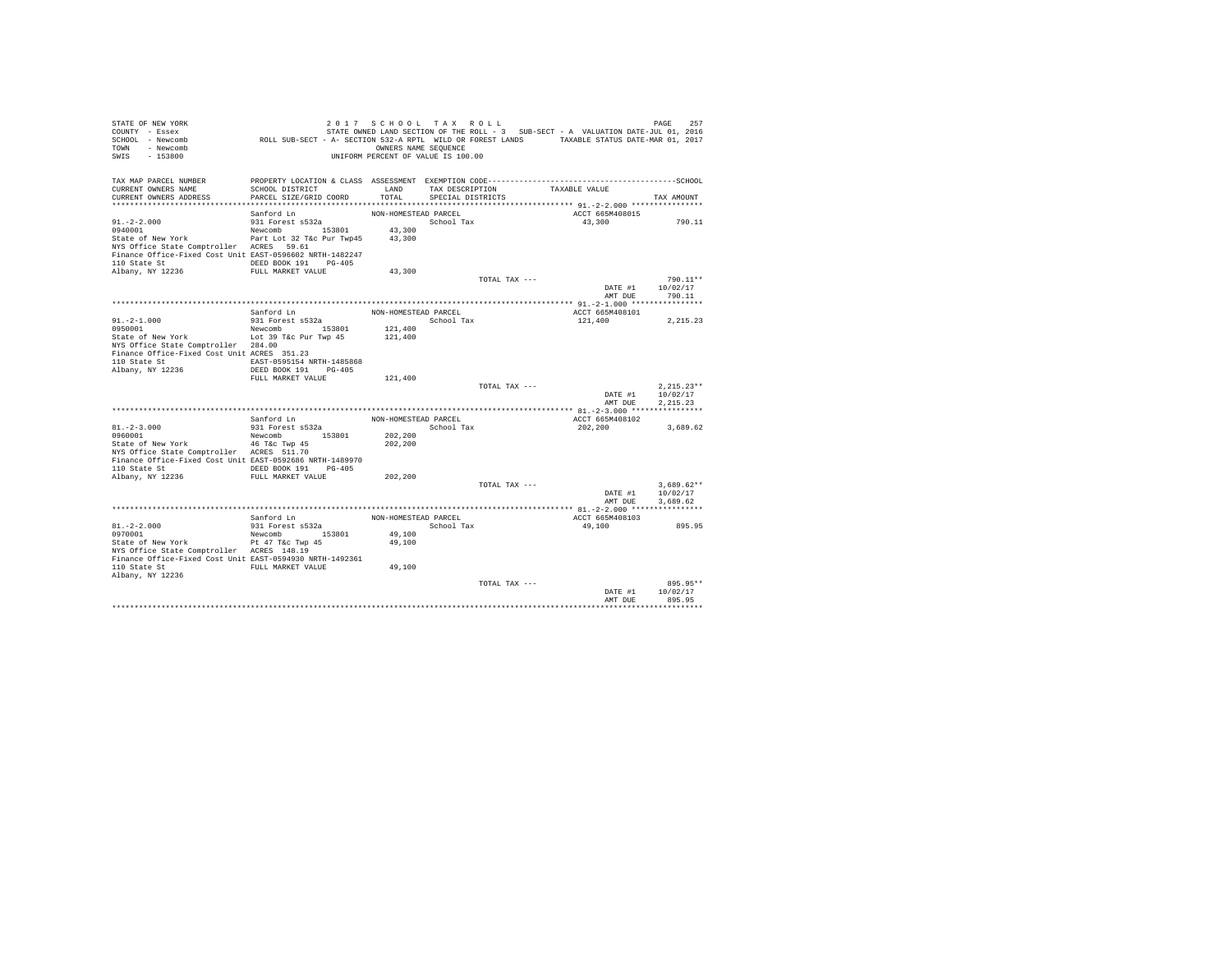| STATE OF NEW YORK<br>COUNTY - Essex<br>SCHOOL - Newcomb<br>TOWN - Newcomb<br>SWIS - 153800                                                       | ROLL SUB-SECT - A- SECTION 532-A RPTL WILD OR FOREST LANDS TAXABLE STATUS DATE-MAR 01, 2017 | 2017 SCHOOL TAX ROLL<br>OWNERS NAME SEQUENCE<br>UNIFORM PERCENT OF VALUE IS 100.00 |                      |               | STATE OWNED LAND SECTION OF THE ROLL - 3 SUB-SECT - A VALUATION DATE-JUL 01, 2016 | PAGE<br>257          |
|--------------------------------------------------------------------------------------------------------------------------------------------------|---------------------------------------------------------------------------------------------|------------------------------------------------------------------------------------|----------------------|---------------|-----------------------------------------------------------------------------------|----------------------|
| TAX MAP PARCEL NUMBER                                                                                                                            |                                                                                             |                                                                                    |                      |               |                                                                                   |                      |
| CURRENT OWNERS NAME                                                                                                                              | SCHOOL DISTRICT                                                                             | LAND                                                                               | TAX DESCRIPTION      |               | TAXABLE VALUE                                                                     |                      |
| CURRENT OWNERS ADDRESS                                                                                                                           | PARCEL SIZE/GRID COORD                                                                      | TOTAL                                                                              | SPECIAL DISTRICTS    |               |                                                                                   | TAX AMOUNT           |
|                                                                                                                                                  |                                                                                             | NON-HOMESTEAD PARCEL                                                               |                      |               | ACCT 665M408015                                                                   |                      |
| $91. - 2 - 2.000$                                                                                                                                | Sanford Ln<br>931 Forest s532a                                                              |                                                                                    | School Tax           |               | 43,300                                                                            | 790.11               |
| 0940001                                                                                                                                          | Newcomb 153801                                                                              | 43,300                                                                             |                      |               |                                                                                   |                      |
| State of New York Part Lot 32 T&c Pur Twp45 43,300                                                                                               |                                                                                             |                                                                                    |                      |               |                                                                                   |                      |
| NYS Office State Comptroller ACRES 59.61                                                                                                         |                                                                                             |                                                                                    |                      |               |                                                                                   |                      |
| Finance Office-Fixed Cost Unit EAST-0596602 NRTH-1482247                                                                                         |                                                                                             |                                                                                    |                      |               |                                                                                   |                      |
| 110 State St                                                                                                                                     | DEED BOOK 191 PG-405                                                                        |                                                                                    |                      |               |                                                                                   |                      |
| Albany, NY 12236                                                                                                                                 | FULL MARKET VALUE                                                                           | 43,300                                                                             |                      | TOTAL TAX --- |                                                                                   | 790.11**             |
|                                                                                                                                                  |                                                                                             |                                                                                    |                      |               |                                                                                   | DATE #1 10/02/17     |
|                                                                                                                                                  |                                                                                             |                                                                                    |                      |               | AMT DUE                                                                           | 790.11               |
|                                                                                                                                                  |                                                                                             |                                                                                    |                      |               |                                                                                   |                      |
|                                                                                                                                                  | Sanford Ln                                                                                  | NON-HOMESTEAD PARCEL                                                               |                      |               | ACCT 665M408101                                                                   |                      |
| $91.-2-1.000$<br>0950001                                                                                                                         | $931$ Forest $s532a$                                                                        | School Tax                                                                         |                      |               | 121,400                                                                           | 2, 215.23            |
| State of New York Lot 39 T&c Pur Twp 45 121,400                                                                                                  | Newcomb 153801                                                                              | 121,400                                                                            |                      |               |                                                                                   |                      |
| NYS Office State Comptroller 284.00                                                                                                              |                                                                                             |                                                                                    |                      |               |                                                                                   |                      |
| Finance Office-Fixed Cost Unit ACRES 351.23                                                                                                      |                                                                                             |                                                                                    |                      |               |                                                                                   |                      |
| 110 State St 6. EAST-0595154 NRTH-1485868                                                                                                        |                                                                                             |                                                                                    |                      |               |                                                                                   |                      |
| Albany, NY 12236                                                                                                                                 | DEED BOOK 191 PG-405                                                                        |                                                                                    |                      |               |                                                                                   |                      |
|                                                                                                                                                  | FULL MARKET VALUE                                                                           | 121,400                                                                            |                      | TOTAL TAX --- |                                                                                   | $2,215.23**$         |
|                                                                                                                                                  |                                                                                             |                                                                                    |                      |               |                                                                                   | DATE #1 10/02/17     |
|                                                                                                                                                  |                                                                                             |                                                                                    |                      |               | AMT DUE                                                                           | 2.215.23             |
|                                                                                                                                                  |                                                                                             |                                                                                    |                      |               |                                                                                   |                      |
|                                                                                                                                                  | Sanford Ln                                                                                  |                                                                                    | NON-HOMESTEAD PARCEL |               | ACCT 665M408102                                                                   |                      |
| $81. -2 - 3.000$                                                                                                                                 | 931 Forest s532a                                                                            |                                                                                    | School Tax           |               | 202,200                                                                           | 3,689.62             |
|                                                                                                                                                  | Newcomb 153801                                                                              | 202,200<br>202,200                                                                 |                      |               |                                                                                   |                      |
| State of New York $\begin{array}{ccc} 46 & \text{Tkc} & \text{Twp} & 45 \\ - & & - & - \end{array}$<br>NYS Office State Comptroller ACRES 511.70 |                                                                                             |                                                                                    |                      |               |                                                                                   |                      |
| Finance Office-Fixed Cost Unit EAST-0592686 NRTH-1489970                                                                                         |                                                                                             |                                                                                    |                      |               |                                                                                   |                      |
| 110 State St CDEED BOOK 191 PG-405                                                                                                               |                                                                                             |                                                                                    |                      |               |                                                                                   |                      |
| Albany, NY 12236 FULL MARKET VALUE                                                                                                               |                                                                                             | 202,200                                                                            |                      |               |                                                                                   |                      |
|                                                                                                                                                  |                                                                                             |                                                                                    |                      | TOTAL TAX --- |                                                                                   | $3.689.62**$         |
|                                                                                                                                                  |                                                                                             |                                                                                    |                      |               | DATE #1<br>AMT DUE                                                                | 10/02/17<br>3,689.62 |
|                                                                                                                                                  |                                                                                             |                                                                                    |                      |               |                                                                                   |                      |
|                                                                                                                                                  | Sanford Ln                                                                                  | NON-HOMESTEAD PARCEL                                                               |                      |               | ACCT 665M408103                                                                   |                      |
| $81. - 2 - 2.000$                                                                                                                                | 931 Forest s532a                                                                            |                                                                                    | School Tax           |               | 49,100                                                                            | 895.95               |
| 0970001                                                                                                                                          | Newcomb 153801                                                                              | 49,100                                                                             |                      |               |                                                                                   |                      |
| State of New York                                                                                                                                | Pt 47 T&c Twp 45                                                                            | 49,100                                                                             |                      |               |                                                                                   |                      |
| NYS Office State Comptroller ACRES 148.19<br>Finance Office-Fixed Cost Unit EAST-0594930 NRTH-1492361                                            |                                                                                             |                                                                                    |                      |               |                                                                                   |                      |
| 110 State St                                                                                                                                     | FULL MARKET VALUE                                                                           | 49,100                                                                             |                      |               |                                                                                   |                      |
| Albany, NY 12236                                                                                                                                 |                                                                                             |                                                                                    |                      |               |                                                                                   |                      |
|                                                                                                                                                  |                                                                                             |                                                                                    |                      | TOTAL TAX --- |                                                                                   | 895.95**             |
|                                                                                                                                                  |                                                                                             |                                                                                    |                      |               | DATE #1                                                                           | 10/02/17             |
|                                                                                                                                                  |                                                                                             |                                                                                    |                      |               | AMT DUE                                                                           | 895.95               |
|                                                                                                                                                  |                                                                                             |                                                                                    |                      |               |                                                                                   |                      |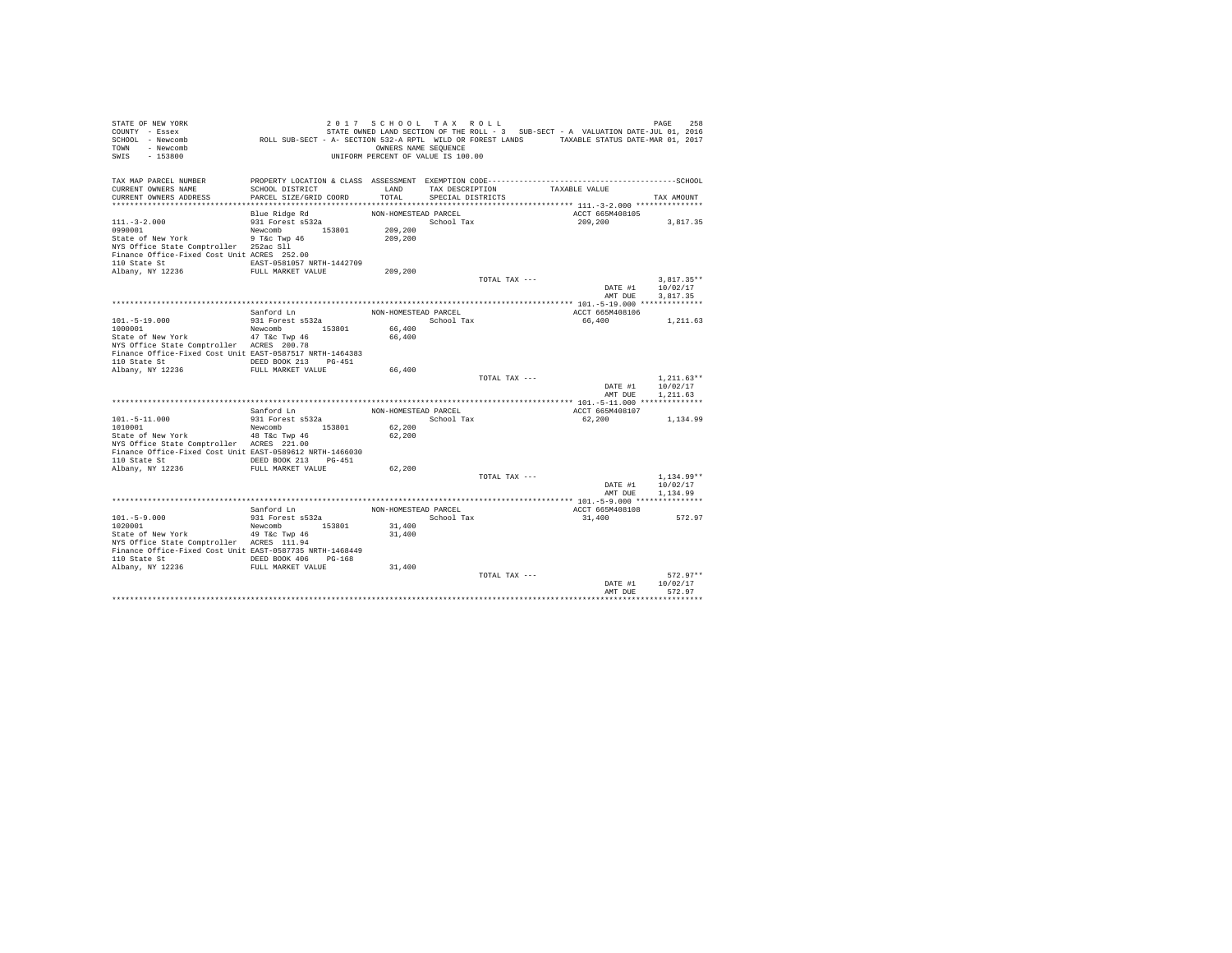| STATE OF NEW YORK<br>COUNTY - Essex<br>SCHOOL - Newcomb<br>TOWN - Newcomb<br>SWIS<br>$-153800$ | ROLL SUB-SECT - A- SECTION 532-A RPTL WILD OR FOREST LANDS TAXABLE STATUS DATE-MAR 01, 2017 | 2017 SCHOOL TAX ROLL<br>OWNERS NAME SEQUENCE<br>UNIFORM PERCENT OF VALUE IS 100.00 |                   |                 | STATE OWNED LAND SECTION OF THE ROLL - 3 SUB-SECT - A VALUATION DATE-JUL 01, 2016 | 258<br>PAGE          |
|------------------------------------------------------------------------------------------------|---------------------------------------------------------------------------------------------|------------------------------------------------------------------------------------|-------------------|-----------------|-----------------------------------------------------------------------------------|----------------------|
| TAX MAP PARCEL NUMBER                                                                          |                                                                                             |                                                                                    |                   |                 |                                                                                   |                      |
| CURRENT OWNERS NAME<br>CURRENT OWNERS ADDRESS                                                  | SCHOOL DISTRICT<br>PARCEL SIZE/GRID COORD                                                   | LAND<br>TOTAL                                                                      |                   | TAX DESCRIPTION | TAXABLE VALUE                                                                     |                      |
|                                                                                                |                                                                                             |                                                                                    | SPECIAL DISTRICTS |                 |                                                                                   | TAX AMOUNT           |
|                                                                                                | Blue Ridge Rd                                                                               | NON-HOMESTEAD PARCEL                                                               |                   |                 | ACCT 665M408105                                                                   |                      |
| $111. - 3 - 2.000$                                                                             | 931 Forest s532a                                                                            |                                                                                    | School Tax        |                 | 209,200                                                                           | 3,817.35             |
| 0990001                                                                                        | Newcomb 153801                                                                              | 209,200                                                                            |                   |                 |                                                                                   |                      |
| State of New York                                                                              | 9 T&c Twp 46                                                                                | 209,200                                                                            |                   |                 |                                                                                   |                      |
| NYS Office State Comptroller 252ac Sll                                                         |                                                                                             |                                                                                    |                   |                 |                                                                                   |                      |
| Finance Office-Fixed Cost Unit ACRES 252.00                                                    |                                                                                             |                                                                                    |                   |                 |                                                                                   |                      |
| 110 State St                                                                                   | EAST-0581057 NRTH-1442709                                                                   |                                                                                    |                   |                 |                                                                                   |                      |
| Albany, NY 12236                                                                               | FULL MARKET VALUE                                                                           | 209,200                                                                            |                   |                 |                                                                                   |                      |
|                                                                                                |                                                                                             |                                                                                    |                   | TOTAL TAX ---   |                                                                                   | $3.817.35**$         |
|                                                                                                |                                                                                             |                                                                                    |                   |                 | DATE #1                                                                           | 10/02/17             |
|                                                                                                |                                                                                             |                                                                                    |                   |                 | AMT DUE                                                                           | 3.817.35             |
|                                                                                                | Sanford Ln                                                                                  | NON-HOMESTEAD PARCEL                                                               |                   |                 | ACCT 665M408106                                                                   |                      |
| $101. - 5 - 19.000$                                                                            | 931 Forest s532a                                                                            | School Tax                                                                         |                   |                 | 66,400                                                                            | 1,211.63             |
| 1000001                                                                                        | Newcomb 153801                                                                              | 66,400                                                                             |                   |                 |                                                                                   |                      |
| State of New York                                                                              | 47 T&c Twp 46                                                                               | 66,400                                                                             |                   |                 |                                                                                   |                      |
| NYS Office State Comptroller ACRES 200.78                                                      |                                                                                             |                                                                                    |                   |                 |                                                                                   |                      |
| Finance Office-Fixed Cost Unit EAST-0587517 NRTH-1464383                                       |                                                                                             |                                                                                    |                   |                 |                                                                                   |                      |
| 110 State St                                                                                   | DEED BOOK 213 PG-451                                                                        |                                                                                    |                   |                 |                                                                                   |                      |
| Albany, NY 12236                                                                               | FULL MARKET VALUE                                                                           | 66,400                                                                             |                   |                 |                                                                                   |                      |
|                                                                                                |                                                                                             |                                                                                    |                   | TOTAL TAX ---   |                                                                                   | $1.211.63**$         |
|                                                                                                |                                                                                             |                                                                                    |                   |                 | DATE #1<br>AMT DUR                                                                | 10/02/17<br>1.211.63 |
|                                                                                                |                                                                                             |                                                                                    |                   |                 |                                                                                   |                      |
|                                                                                                | Sanford Ln                                                                                  | NON-HOMESTEAD PARCEL                                                               |                   |                 | ACCT 665M408107                                                                   |                      |
| $101.-5-11.000$                                                                                | 931 Forest s532a                                                                            |                                                                                    | School Tax        |                 | 62,200                                                                            | 1,134.99             |
| 1010001                                                                                        | Newcomb 153801                                                                              | 62,200                                                                             |                   |                 |                                                                                   |                      |
| State of New York                                                                              | 48 T&c Twp 46                                                                               | 62,200                                                                             |                   |                 |                                                                                   |                      |
| NYS Office State Comptroller ACRES 221.00                                                      |                                                                                             |                                                                                    |                   |                 |                                                                                   |                      |
| Finance Office-Fixed Cost Unit EAST-0589612 NRTH-1466030                                       |                                                                                             |                                                                                    |                   |                 |                                                                                   |                      |
| 110 State St CONGRESS DEED BOOK 213 PG-451                                                     |                                                                                             |                                                                                    |                   |                 |                                                                                   |                      |
| Albany, NY 12236                                                                               | FULL MARKET VALUE                                                                           | 62,200                                                                             |                   | TOTAL TAX ---   |                                                                                   | $1.134.99**$         |
|                                                                                                |                                                                                             |                                                                                    |                   |                 | DATE #1                                                                           | 10/02/17             |
|                                                                                                |                                                                                             |                                                                                    |                   |                 | AMT DUE                                                                           | 1,134.99             |
|                                                                                                |                                                                                             |                                                                                    |                   |                 |                                                                                   |                      |
|                                                                                                | Sanford Ln                                                                                  | NON-HOMESTEAD PARCEL                                                               |                   |                 | ACCT 665M408108                                                                   |                      |
| $101. - 5 - 9.000$                                                                             | 931 Forest s532a                                                                            |                                                                                    | School Tax        |                 | 31,400                                                                            | 572.97               |
| 1020001                                                                                        | Newcomb 153801                                                                              | 31,400                                                                             |                   |                 |                                                                                   |                      |
| State of New York                                                                              | 49 T&c Twp 46                                                                               | 31,400                                                                             |                   |                 |                                                                                   |                      |
| NYS Office State Comptroller ACRES 111.94                                                      |                                                                                             |                                                                                    |                   |                 |                                                                                   |                      |
| Finance Office-Fixed Cost Unit EAST-0587735 NRTH-1468449                                       |                                                                                             |                                                                                    |                   |                 |                                                                                   |                      |
| 110 State St 6 DEED BOOK 406 PG-168<br>Albany, NY 12236 FULL MARKET VALUE                      |                                                                                             | 31,400                                                                             |                   |                 |                                                                                   |                      |
|                                                                                                |                                                                                             |                                                                                    |                   | TOTAL TAX ---   |                                                                                   | $572.97**$           |
|                                                                                                |                                                                                             |                                                                                    |                   |                 | DATE #1                                                                           | 10/02/17             |
|                                                                                                |                                                                                             |                                                                                    |                   |                 | AMT DUE                                                                           | 572.97               |
|                                                                                                |                                                                                             |                                                                                    |                   |                 |                                                                                   |                      |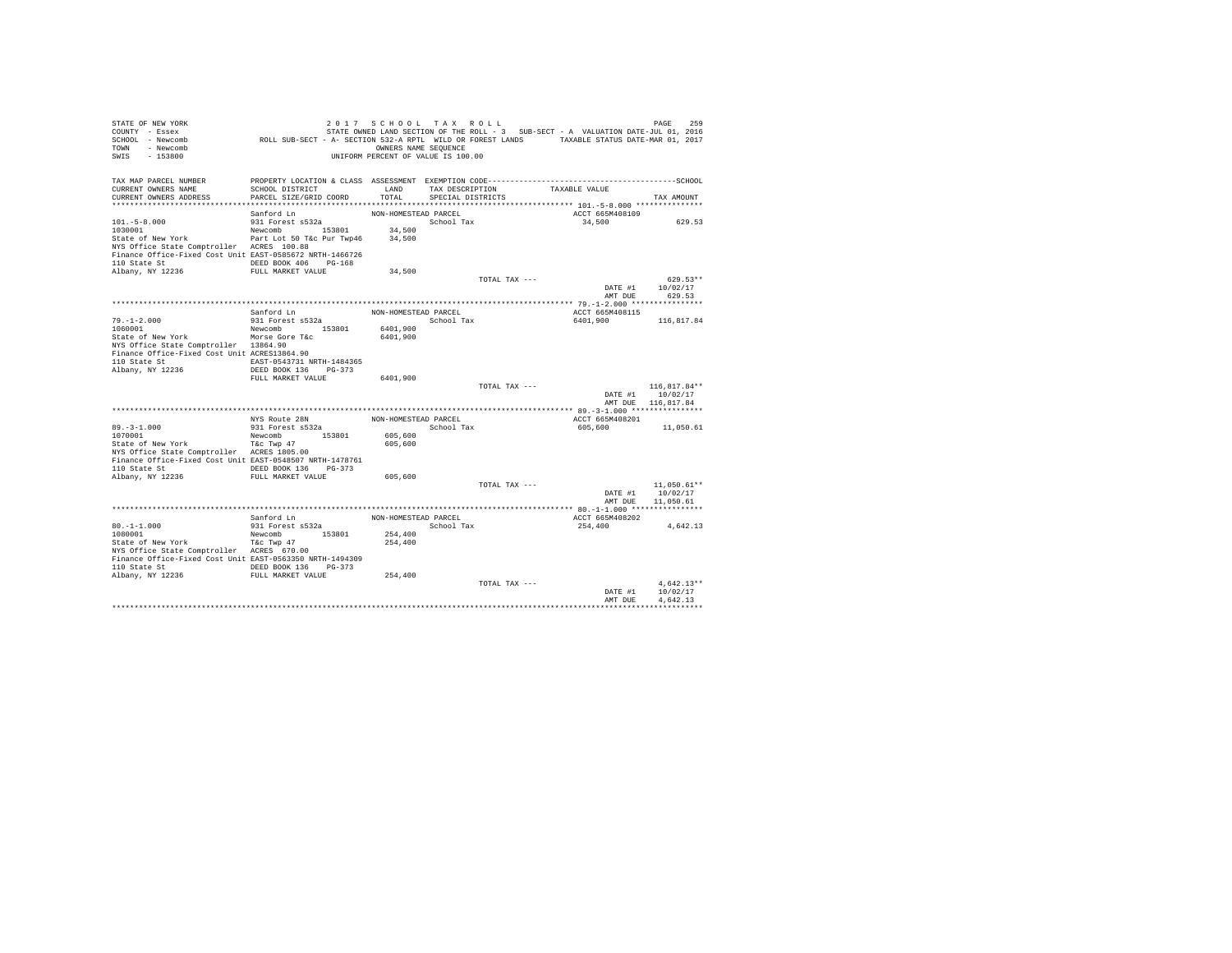| COUNTY - Essex<br>SCHOOL - Newcomb<br>- Newcomb<br>TOWN<br>SWIS<br>$-153800$                     | OWNERS NAME SEQUENCE<br>UNIFORM PERCENT OF VALUE IS 100.00 | 2017 SCHOOL TAX ROLL | STATE OWNED LAND SECTION OF THE ROLL - 3 SUB-SECT - A VALUATION DATE-JUL 01, 2016<br>ROLL SUB-SECT - A- SECTION 532-A RPTL WILD OR FOREST LANDS TAXABLE STATUS DATE-MAR 01, 2017 | PAGE<br>259               |
|--------------------------------------------------------------------------------------------------|------------------------------------------------------------|----------------------|----------------------------------------------------------------------------------------------------------------------------------------------------------------------------------|---------------------------|
| TAX MAP PARCEL NUMBER                                                                            |                                                            |                      |                                                                                                                                                                                  |                           |
| CURRENT OWNERS NAME<br>SCHOOL DISTRICT                                                           | LAND                                                       | TAX DESCRIPTION      | TAXABLE VALUE                                                                                                                                                                    |                           |
| PARCEL SIZE/GRID COORD<br>CURRENT OWNERS ADDRESS                                                 | TOTAL                                                      | SPECIAL DISTRICTS    |                                                                                                                                                                                  | TAX AMOUNT                |
| Sanford Ln                                                                                       | NON-HOMESTEAD PARCEL                                       |                      | ACCT 665M408109                                                                                                                                                                  |                           |
| $101. - 5 - 8.000$<br>931 Forest s532a                                                           |                                                            | School Tax           | 34,500                                                                                                                                                                           | 629.53                    |
| Newcomb 153801<br>1030001                                                                        | 34,500                                                     |                      |                                                                                                                                                                                  |                           |
| Part Lot 50 T&c Pur Twp46<br>State of New York                                                   | 34,500                                                     |                      |                                                                                                                                                                                  |                           |
| NYS Office State Comptroller ACRES 100.88                                                        |                                                            |                      |                                                                                                                                                                                  |                           |
| Finance Office-Fixed Cost Unit EAST-0585672 NRTH-1466726<br>DEED BOOK 406 PG-168<br>110 State St |                                                            |                      |                                                                                                                                                                                  |                           |
| Albany, NY 12236<br>FULL MARKET VALUE                                                            | 34,500                                                     |                      |                                                                                                                                                                                  |                           |
|                                                                                                  |                                                            | TOTAL TAX ---        |                                                                                                                                                                                  | $629.53**$                |
|                                                                                                  |                                                            |                      | DATE #1                                                                                                                                                                          | 10/02/17                  |
|                                                                                                  |                                                            |                      | AMT DUE                                                                                                                                                                          | 629.53                    |
|                                                                                                  |                                                            |                      |                                                                                                                                                                                  |                           |
| Sanford Ln<br>$79. - 1 - 2.000$<br>931 Forest s532a                                              | NON-HOMESTEAD PARCEL                                       | School Tax           | ACCT 665M408115<br>6401,900                                                                                                                                                      |                           |
| Newcomb 153801<br>1060001                                                                        | 6401,900                                                   |                      |                                                                                                                                                                                  | 116,817.84                |
| State of New York<br>Morse Gore T&c                                                              | 6401,900                                                   |                      |                                                                                                                                                                                  |                           |
| NYS Office State Comptroller 13864.90                                                            |                                                            |                      |                                                                                                                                                                                  |                           |
| Finance Office-Fixed Cost Unit ACRES13864.90                                                     |                                                            |                      |                                                                                                                                                                                  |                           |
| 110 State St<br>EAST-0543731 NRTH-1484365                                                        |                                                            |                      |                                                                                                                                                                                  |                           |
| Albany, NY 12236<br>DEED BOOK 136 PG-373<br>FULL MARKET VALUE                                    | 6401,900                                                   |                      |                                                                                                                                                                                  |                           |
|                                                                                                  |                                                            | TOTAL TAX ---        |                                                                                                                                                                                  | 116,817.84**              |
|                                                                                                  |                                                            |                      | DATE #1                                                                                                                                                                          | 10/02/17                  |
|                                                                                                  |                                                            |                      |                                                                                                                                                                                  | AMT DUE 116,817.84        |
|                                                                                                  |                                                            |                      |                                                                                                                                                                                  |                           |
| NYS Route 28N                                                                                    | NON-HOMESTEAD PARCEL                                       |                      | ACCT 665M408201                                                                                                                                                                  |                           |
| $89. - 3 - 1.000$<br>931 Forest s532a<br>1070001<br>Newcomb                                      | 153801<br>605,600                                          | School Tax           | 605,600                                                                                                                                                                          | 11,050.61                 |
| State of New York<br>T&C Twp 47                                                                  | 605,600                                                    |                      |                                                                                                                                                                                  |                           |
| NYS Office State Comptroller ACRES 1805.00                                                       |                                                            |                      |                                                                                                                                                                                  |                           |
| Finance Office-Fixed Cost Unit EAST-0548507 NRTH-1478761                                         |                                                            |                      |                                                                                                                                                                                  |                           |
| 110 State St<br>DEED BOOK 136 PG-373                                                             |                                                            |                      |                                                                                                                                                                                  |                           |
| Albany, NY 12236<br>FULL MARKET VALUE                                                            | 605,600                                                    |                      |                                                                                                                                                                                  |                           |
|                                                                                                  |                                                            | TOTAL TAX ---        | DATE #1                                                                                                                                                                          | $11,050.61**$<br>10/02/17 |
|                                                                                                  |                                                            |                      | AMT DUE                                                                                                                                                                          | 11,050.61                 |
|                                                                                                  |                                                            |                      |                                                                                                                                                                                  |                           |
| Sanford Ln                                                                                       | NON-HOMESTEAD PARCEL                                       |                      | ACCT 665M408202                                                                                                                                                                  |                           |
| $80. -1 - 1.000$<br>931 Forest s532a                                                             |                                                            | School Tax           | 254,400                                                                                                                                                                          | 4,642.13                  |
| 153801<br>1080001<br>Newcomb                                                                     | 254,400                                                    |                      |                                                                                                                                                                                  |                           |
| State of New York<br>T&C Twp 47<br>NYS Office State Comptroller ACRES 670.00                     | 254,400                                                    |                      |                                                                                                                                                                                  |                           |
| Finance Office-Fixed Cost Unit EAST-0563350 NRTH-1494309                                         |                                                            |                      |                                                                                                                                                                                  |                           |
| 110 State St<br>DEED BOOK 136                                                                    | $PG-373$                                                   |                      |                                                                                                                                                                                  |                           |
| Albany, NY 12236 FULL MARKET VALUE                                                               | 254,400                                                    |                      |                                                                                                                                                                                  |                           |
|                                                                                                  |                                                            | TOTAL TAX ---        |                                                                                                                                                                                  | $4.642.13**$              |
|                                                                                                  |                                                            |                      | DATE #1                                                                                                                                                                          | 10/02/17<br>4.642.13      |
|                                                                                                  |                                                            |                      | AMT DUE                                                                                                                                                                          |                           |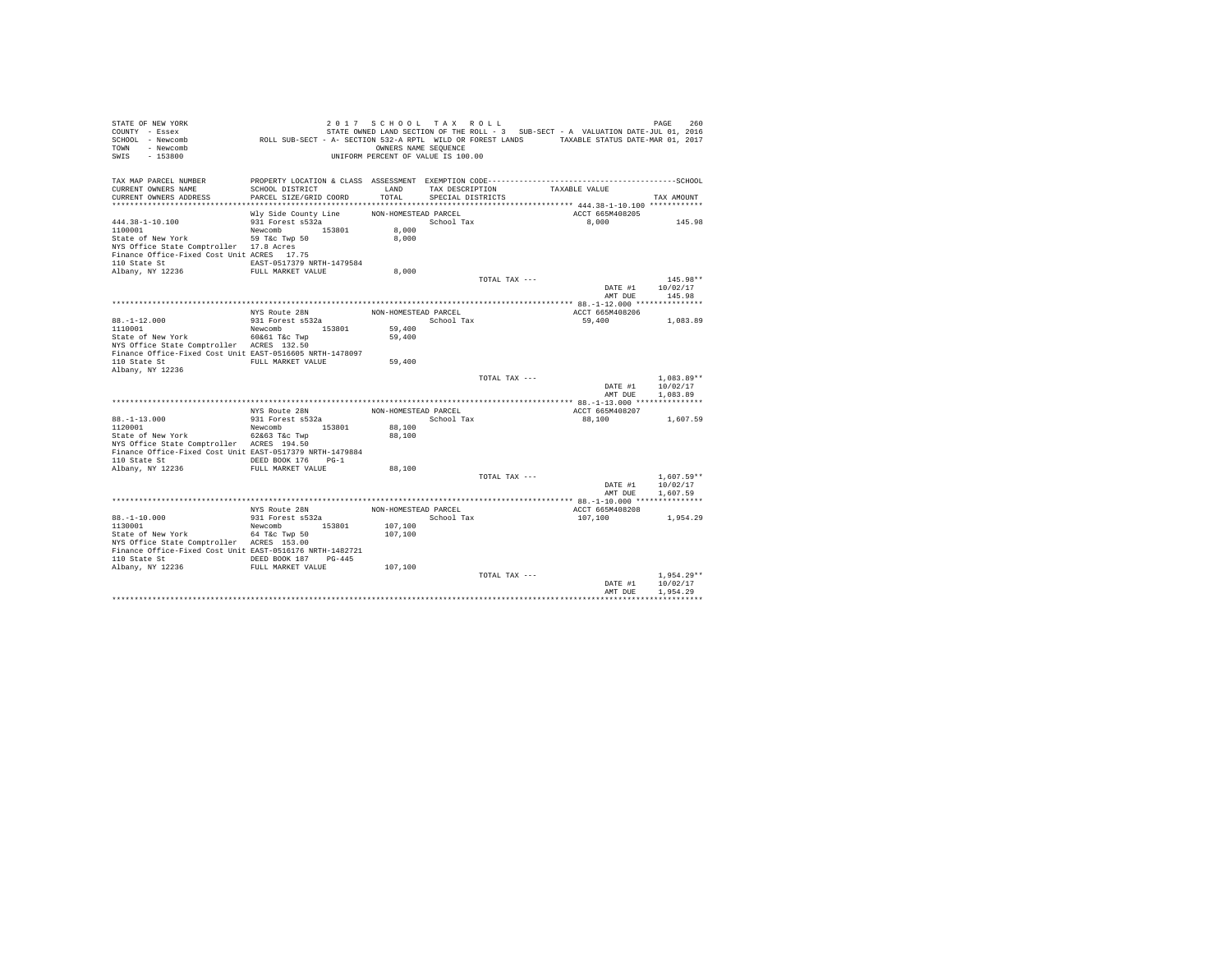| STATE OF NEW YORK<br>COUNTY - Essex<br>SCHOOL - Newcomb<br>TOWN - Newcomb<br>SWIS<br>$-153800$ | ROLL SUB-SECT - A- SECTION 532-A RPTL WILD OR FOREST LANDS TAXABLE STATUS DATE-MAR 01, 2017 | 2017 SCHOOL TAX ROLL<br>OWNERS NAME SEQUENCE<br>UNIFORM PERCENT OF VALUE IS 100.00 |                                      |               | STATE OWNED LAND SECTION OF THE ROLL - 3 SUB-SECT - A VALUATION DATE-JUL 01, 2016 | PAGE<br>260          |
|------------------------------------------------------------------------------------------------|---------------------------------------------------------------------------------------------|------------------------------------------------------------------------------------|--------------------------------------|---------------|-----------------------------------------------------------------------------------|----------------------|
| TAX MAP PARCEL NUMBER                                                                          |                                                                                             |                                                                                    |                                      |               |                                                                                   |                      |
| CURRENT OWNERS NAME<br>CURRENT OWNERS ADDRESS                                                  | SCHOOL DISTRICT<br>PARCEL SIZE/GRID COORD                                                   | LAND<br>TOTAL                                                                      | TAX DESCRIPTION<br>SPECIAL DISTRICTS |               | TAXABLE VALUE                                                                     |                      |
|                                                                                                |                                                                                             |                                                                                    |                                      |               |                                                                                   | TAX AMOUNT           |
|                                                                                                | Wly Side County Line                                                                        | NON-HOMESTEAD PARCEL                                                               |                                      |               | ACCT 665M408205                                                                   |                      |
| $444.38 - 1 - 10.100$                                                                          | 931 Forest s532a                                                                            |                                                                                    | School Tax                           |               | 8,000                                                                             | 145.98               |
| 1100001                                                                                        | Newcomb 153801                                                                              | 8,000                                                                              |                                      |               |                                                                                   |                      |
| State of New York                                                                              | 59 T&c Twp 50                                                                               | 8,000                                                                              |                                      |               |                                                                                   |                      |
| NYS Office State Comptroller 17.8 Acres                                                        |                                                                                             |                                                                                    |                                      |               |                                                                                   |                      |
| Finance Office-Fixed Cost Unit ACRES 17.75                                                     |                                                                                             |                                                                                    |                                      |               |                                                                                   |                      |
| 110 State St                                                                                   | EAST-0517379 NRTH-1479584                                                                   |                                                                                    |                                      |               |                                                                                   |                      |
| Albany, NY 12236                                                                               | FULL MARKET VALUE                                                                           | 8,000                                                                              |                                      |               |                                                                                   |                      |
|                                                                                                |                                                                                             |                                                                                    |                                      | TOTAL TAX --- |                                                                                   | 145.98**             |
|                                                                                                |                                                                                             |                                                                                    |                                      |               | DATE #1                                                                           | 10/02/17             |
|                                                                                                |                                                                                             |                                                                                    |                                      |               | AMT DUE                                                                           | 145.98               |
|                                                                                                | NYS Route 28N                                                                               | NON-HOMESTEAD PARCEL                                                               |                                      |               | ACCT 665M408206                                                                   |                      |
| $88. - 1 - 12.000$                                                                             | 931 Forest s532a                                                                            |                                                                                    | School Tax                           |               | 59,400                                                                            | 1,083.89             |
| 1110001                                                                                        | Newcomb 153801                                                                              | 59,400                                                                             |                                      |               |                                                                                   |                      |
| State of New York                                                                              | 60&61 T&c Twp                                                                               | 59,400                                                                             |                                      |               |                                                                                   |                      |
| NYS Office State Comptroller ACRES 132.50                                                      |                                                                                             |                                                                                    |                                      |               |                                                                                   |                      |
| Finance Office-Fixed Cost Unit EAST-0516605 NRTH-1478097                                       |                                                                                             |                                                                                    |                                      |               |                                                                                   |                      |
| 110 State St                                                                                   | FULL MARKET VALUE                                                                           | 59,400                                                                             |                                      |               |                                                                                   |                      |
| Albany, NY 12236                                                                               |                                                                                             |                                                                                    |                                      |               |                                                                                   |                      |
|                                                                                                |                                                                                             |                                                                                    |                                      | TOTAL TAX --- |                                                                                   | $1,083.89**$         |
|                                                                                                |                                                                                             |                                                                                    |                                      |               | DATE #1<br>AMT DUE                                                                | 10/02/17             |
|                                                                                                |                                                                                             |                                                                                    |                                      |               |                                                                                   | 1,083.89             |
|                                                                                                | NYS Route 28N                                                                               | NON-HOMESTEAD PARCEL                                                               |                                      |               | ACCT 665M408207                                                                   |                      |
| $88. - 1 - 13.000$                                                                             | 931 Forest s532a                                                                            |                                                                                    | School Tax                           |               | 88,100                                                                            | 1,607.59             |
| 1120001                                                                                        | Newcomb 153801                                                                              | 88,100                                                                             |                                      |               |                                                                                   |                      |
| State of New York                                                                              | 62&63 T&c Twp                                                                               | 88,100                                                                             |                                      |               |                                                                                   |                      |
| NYS Office State Comptroller ACRES 194.50                                                      |                                                                                             |                                                                                    |                                      |               |                                                                                   |                      |
| Finance Office-Fixed Cost Unit EAST-0517379 NRTH-1479884                                       |                                                                                             |                                                                                    |                                      |               |                                                                                   |                      |
| 110 State St CONTERT DEED BOOK 176 PG-1                                                        |                                                                                             |                                                                                    |                                      |               |                                                                                   |                      |
| Albany, NY 12236                                                                               | FULL MARKET VALUE                                                                           | 88,100                                                                             |                                      |               |                                                                                   |                      |
|                                                                                                |                                                                                             |                                                                                    |                                      | TOTAL TAX --- |                                                                                   | $1.607.59**$         |
|                                                                                                |                                                                                             |                                                                                    |                                      |               | DATE #1                                                                           | 10/02/17             |
|                                                                                                |                                                                                             |                                                                                    |                                      |               | AMT DUE                                                                           | 1,607.59             |
|                                                                                                | NYS Route 28N                                                                               | NON-HOMESTEAD PARCEL                                                               |                                      |               | ACCT 665M408208                                                                   |                      |
| $88. - 1 - 10.000$                                                                             | 931 Forest s532a                                                                            |                                                                                    | School Tax                           |               | 107,100                                                                           | 1,954.29             |
| 1130001                                                                                        | Newcomb 153801                                                                              | 107,100                                                                            |                                      |               |                                                                                   |                      |
| State of New York 64 T&C Twp 50                                                                |                                                                                             | 107,100                                                                            |                                      |               |                                                                                   |                      |
| NYS Office State Comptroller ACRES 153.00                                                      |                                                                                             |                                                                                    |                                      |               |                                                                                   |                      |
| Finance Office-Fixed Cost Unit EAST-0516176 NRTH-1482721                                       |                                                                                             |                                                                                    |                                      |               |                                                                                   |                      |
| 110 State St 6 DEED BOOK 187 PG-445                                                            |                                                                                             |                                                                                    |                                      |               |                                                                                   |                      |
| Albany, NY 12236 FULL MARKET VALUE                                                             |                                                                                             | 107,100                                                                            |                                      |               |                                                                                   |                      |
|                                                                                                |                                                                                             |                                                                                    |                                      | TOTAL TAX --- |                                                                                   | $1.954.29**$         |
|                                                                                                |                                                                                             |                                                                                    |                                      |               | DATE #1<br>AMT DUE                                                                | 10/02/17<br>1,954.29 |
|                                                                                                |                                                                                             |                                                                                    |                                      |               |                                                                                   |                      |
|                                                                                                |                                                                                             |                                                                                    |                                      |               |                                                                                   |                      |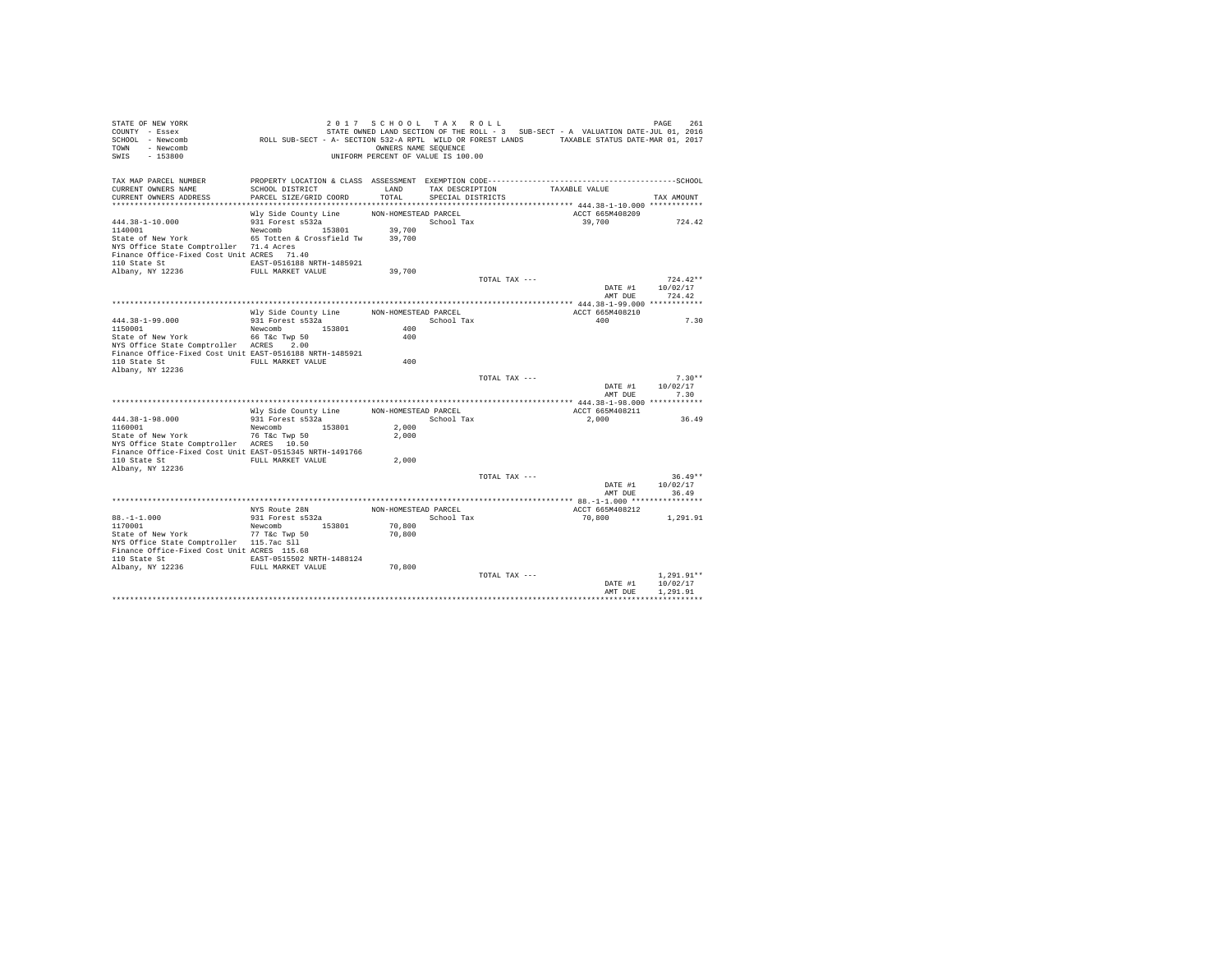| STATE OF NEW YORK<br>COUNTY - Essex<br>SCHOOL - Newcomb<br>TOWN - Newcomb<br>SWIS<br>$-153800$       | ROLL SUB-SECT - A- SECTION 532-A RPTL WILD OR FOREST LANDS TAXABLE STATUS DATE-MAR 01, 2017 | 2017 SCHOOL TAX ROLL<br>OWNERS NAME SEQUENCE<br>UNIFORM PERCENT OF VALUE IS 100.00 |                   |               | STATE OWNED LAND SECTION OF THE ROLL - 3 SUB-SECT - A VALUATION DATE-JUL 01, 2016 |                    | PAGE         | 261       |
|------------------------------------------------------------------------------------------------------|---------------------------------------------------------------------------------------------|------------------------------------------------------------------------------------|-------------------|---------------|-----------------------------------------------------------------------------------|--------------------|--------------|-----------|
| TAX MAP PARCEL NUMBER                                                                                |                                                                                             |                                                                                    |                   |               |                                                                                   |                    |              |           |
| CURRENT OWNERS NAME                                                                                  | SCHOOL DISTRICT                                                                             | LAND                                                                               | TAX DESCRIPTION   |               | TAXABLE VALUE                                                                     |                    |              |           |
| CURRENT OWNERS ADDRESS                                                                               | PARCEL SIZE/GRID COORD                                                                      | TOTAL                                                                              | SPECIAL DISTRICTS |               |                                                                                   |                    | TAX AMOUNT   |           |
|                                                                                                      | Wly Side County Line                                                                        | NON-HOMESTEAD PARCEL                                                               |                   |               |                                                                                   | ACCT 665M408209    |              |           |
| $444.38 - 1 - 10.000$                                                                                | 931 Forest s532a                                                                            |                                                                                    | School Tax        |               |                                                                                   | 39,700             |              | 724.42    |
| 1140001                                                                                              | Newcomb 153801                                                                              | 39,700                                                                             |                   |               |                                                                                   |                    |              |           |
| State of New York                                                                                    | 65 Totten & Crossfield Tw                                                                   | 39,700                                                                             |                   |               |                                                                                   |                    |              |           |
| NYS Office State Comptroller 71.4 Acres                                                              |                                                                                             |                                                                                    |                   |               |                                                                                   |                    |              |           |
| Finance Office-Fixed Cost Unit ACRES 71.40                                                           |                                                                                             |                                                                                    |                   |               |                                                                                   |                    |              |           |
| 110 State St<br>Albany, NY 12236                                                                     | EAST-0516188 NRTH-1485921<br>FULL MARKET VALUE                                              | 39,700                                                                             |                   |               |                                                                                   |                    |              |           |
|                                                                                                      |                                                                                             |                                                                                    |                   | TOTAL TAX --- |                                                                                   |                    | $724.42**$   |           |
|                                                                                                      |                                                                                             |                                                                                    |                   |               |                                                                                   | DATE #1            | 10/02/17     |           |
|                                                                                                      |                                                                                             |                                                                                    |                   |               |                                                                                   | AMT DUE            | 724.42       |           |
|                                                                                                      |                                                                                             |                                                                                    |                   |               |                                                                                   |                    |              |           |
|                                                                                                      | Wly Side County Line                                                                        | NON-HOMESTEAD PARCEL                                                               |                   |               |                                                                                   | ACCT 665M408210    |              |           |
| 444.38-1-99.000                                                                                      | 931 Forest s532a                                                                            |                                                                                    | School Tax        |               |                                                                                   | 400                |              | 7.30      |
| 1150001<br>State of New York                                                                         | Newcomb 153801<br>66 T&c Twp 50                                                             | 400<br>400                                                                         |                   |               |                                                                                   |                    |              |           |
| NYS Office State Comptroller ACRES 2.00                                                              |                                                                                             |                                                                                    |                   |               |                                                                                   |                    |              |           |
| Finance Office-Fixed Cost Unit EAST-0516188 NRTH-1485921                                             |                                                                                             |                                                                                    |                   |               |                                                                                   |                    |              |           |
| 110 State St                                                                                         | FULL MARKET VALUE                                                                           | 400                                                                                |                   |               |                                                                                   |                    |              |           |
| Albany, NY 12236                                                                                     |                                                                                             |                                                                                    |                   |               |                                                                                   |                    |              |           |
|                                                                                                      |                                                                                             |                                                                                    |                   | TOTAL TAX --- |                                                                                   |                    |              | $7.30**$  |
|                                                                                                      |                                                                                             |                                                                                    |                   |               |                                                                                   | DATE #1<br>AMT DUE | 10/02/17     | 7.30      |
|                                                                                                      |                                                                                             |                                                                                    |                   |               |                                                                                   |                    |              |           |
|                                                                                                      | Wly Side County Line                                                                        | NON-HOMESTEAD PARCEL                                                               |                   |               |                                                                                   | ACCT 665M408211    |              |           |
| 444.38-1-98.000                                                                                      | 931 Forest s532a                                                                            |                                                                                    | School Tax        |               |                                                                                   | 2,000              |              | 36.49     |
| 1160001                                                                                              | 153801<br>Newcomb                                                                           | 2,000                                                                              |                   |               |                                                                                   |                    |              |           |
| State of New York                                                                                    | 76 T&C Twp 50                                                                               | 2,000                                                                              |                   |               |                                                                                   |                    |              |           |
| NYS Office State Comptroller ACRES 10.50<br>Finance Office-Fixed Cost Unit EAST-0515345 NRTH-1491766 |                                                                                             |                                                                                    |                   |               |                                                                                   |                    |              |           |
| 110 State St                                                                                         | FULL MARKET VALUE                                                                           | 2,000                                                                              |                   |               |                                                                                   |                    |              |           |
| Albany, NY 12236                                                                                     |                                                                                             |                                                                                    |                   |               |                                                                                   |                    |              |           |
|                                                                                                      |                                                                                             |                                                                                    |                   | TOTAL TAX --- |                                                                                   |                    |              | $36.49**$ |
|                                                                                                      |                                                                                             |                                                                                    |                   |               |                                                                                   | DATE #1            | 10/02/17     |           |
|                                                                                                      |                                                                                             |                                                                                    |                   |               |                                                                                   | AMT DUE            | 36.49        |           |
|                                                                                                      | NYS Route 28N                                                                               | NON-HOMESTEAD PARCEL                                                               |                   |               |                                                                                   | ACCT 665M408212    |              |           |
| $88. - 1 - 1.000$                                                                                    | 931 Forest s532a                                                                            |                                                                                    | School Tax        |               |                                                                                   | 70,800             | 1,291.91     |           |
| 1170001                                                                                              | Newcomb 153801                                                                              | 70,800                                                                             |                   |               |                                                                                   |                    |              |           |
| State of New York                                                                                    | 77 T&c Twp 50                                                                               | 70,800                                                                             |                   |               |                                                                                   |                    |              |           |
| NYS Office State Comptroller 115.7ac Sll                                                             |                                                                                             |                                                                                    |                   |               |                                                                                   |                    |              |           |
| Finance Office-Fixed Cost Unit ACRES 115.68                                                          |                                                                                             |                                                                                    |                   |               |                                                                                   |                    |              |           |
| 110 State St                                                                                         | EAST-0515502 NRTH-1488124                                                                   |                                                                                    |                   |               |                                                                                   |                    |              |           |
| Albany, NY 12236                                                                                     | FULL MARKET VALUE                                                                           | 70,800                                                                             |                   | TOTAL TAX --- |                                                                                   |                    | $1.291.91**$ |           |
|                                                                                                      |                                                                                             |                                                                                    |                   |               |                                                                                   | DATE #1            | 10/02/17     |           |
|                                                                                                      |                                                                                             |                                                                                    |                   |               |                                                                                   | AMT DUE            | 1,291.91     |           |
|                                                                                                      |                                                                                             |                                                                                    |                   |               |                                                                                   |                    |              |           |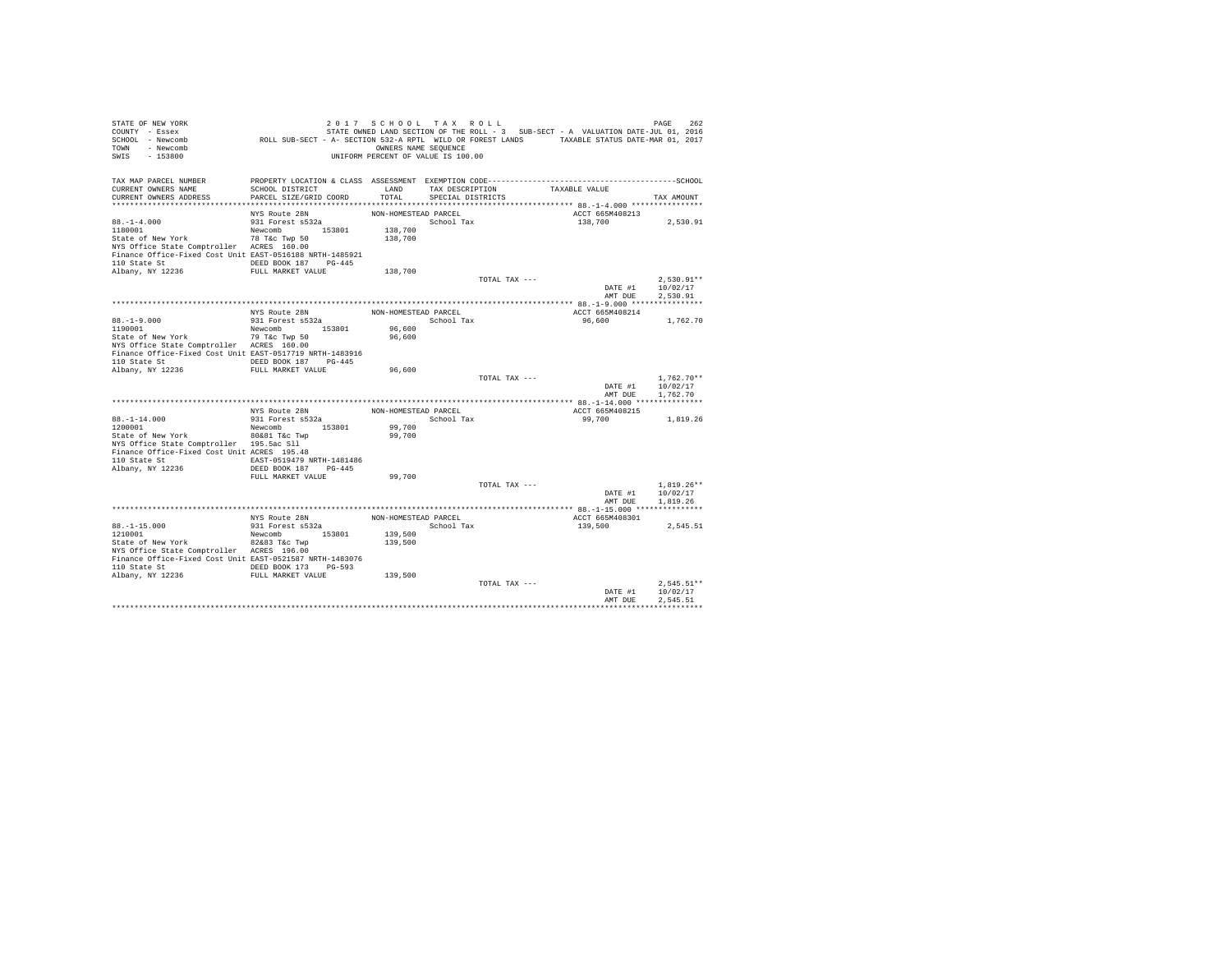| TOWN - Newcomb<br>SWIS<br>$-153800$                                          |                                   | OWNERS NAME SEQUENCE<br>UNIFORM PERCENT OF VALUE IS 100.00 |                         |                                    |                    |                                      |
|------------------------------------------------------------------------------|-----------------------------------|------------------------------------------------------------|-------------------------|------------------------------------|--------------------|--------------------------------------|
| TAX MAP PARCEL NUMBER                                                        |                                   |                                                            |                         |                                    |                    |                                      |
| CURRENT OWNERS NAME                                                          | SCHOOL DISTRICT                   |                                                            |                         | LAND TAX DESCRIPTION TAXABLE VALUE |                    |                                      |
| CURRENT OWNERS ADDRESS                                                       | PARCEL SIZE/GRID COORD            |                                                            | TOTAL SPECIAL DISTRICTS |                                    |                    | TAX AMOUNT                           |
|                                                                              | NYS Route 28N                     | NON-HOMESTEAD PARCEL                                       |                         |                                    | ACCT 665M408213    |                                      |
| $88. - 1 - 4.000$                                                            | $931$ Forest $532a$               |                                                            | School Tax              |                                    | 138.700 2.530.91   |                                      |
| 1180001                                                                      | Newcomb 153801                    | 138,700                                                    |                         |                                    |                    |                                      |
| State of New York 78 T&c Twp 50                                              |                                   | 138,700                                                    |                         |                                    |                    |                                      |
| NYS Office State Comptroller ACRES 160.00                                    |                                   |                                                            |                         |                                    |                    |                                      |
| Finance Office-Fixed Cost Unit EAST-0516188 NRTH-1485921                     |                                   |                                                            |                         |                                    |                    |                                      |
| 110 State St CONDERD BOOK 187 PG-445                                         |                                   |                                                            |                         |                                    |                    |                                      |
| Albany, NY 12236                                                             | FULL MARKET VALUE                 | 138,700                                                    |                         |                                    |                    |                                      |
|                                                                              |                                   |                                                            |                         | TOTAL TAX ---                      |                    | $2.530.91**$                         |
|                                                                              |                                   |                                                            |                         |                                    |                    | DATE #1 10/02/17<br>AMT DUE 2.530.91 |
|                                                                              |                                   |                                                            |                         |                                    |                    |                                      |
|                                                                              |                                   | NON-HOMESTEAD PARCEL                                       |                         |                                    | ACCT 665M408214    |                                      |
|                                                                              | NYS Route 28N<br>931 Forest s532a |                                                            | School Tax              |                                    | 96,600 1,762.70    |                                      |
| $88. -1 - 9.000$<br>1190001                                                  | Newcomb 153801                    | 96,600                                                     |                         |                                    |                    |                                      |
| State of New York 79 T&c Twp 50<br>NYS Office State Comptroller ACRES 160.00 |                                   | 96,600                                                     |                         |                                    |                    |                                      |
| NYS Office State Comptroller ACRES 160.00                                    |                                   |                                                            |                         |                                    |                    |                                      |
| Finance Office-Fixed Cost Unit EAST-0517719 NRTH-1483916                     |                                   |                                                            |                         |                                    |                    |                                      |
|                                                                              |                                   |                                                            |                         |                                    |                    |                                      |
|                                                                              |                                   | 96,600                                                     |                         |                                    |                    |                                      |
|                                                                              |                                   |                                                            |                         | TOTAL TAX ---                      |                    | $1.762.70**$                         |
|                                                                              |                                   |                                                            |                         |                                    | AMT DUE            | DATE #1 10/02/17<br>1,762.70         |
|                                                                              |                                   |                                                            |                         |                                    |                    |                                      |
|                                                                              |                                   | NON-HOMESTEAD PARCEL                                       |                         |                                    | ACCT 665M408215    |                                      |
| $88. -1 - 14.000$                                                            | NYS Route 28N<br>931 Forest s532a |                                                            | School Tax              |                                    | 99,700             | 1,819.26                             |
| 1200001                                                                      | Newcomb 153801                    | 99,700                                                     |                         |                                    |                    |                                      |
| State of New York 80&81 T&C Twp                                              |                                   | 99,700                                                     |                         |                                    |                    |                                      |
| NYS Office State Comptroller 195.5ac Sll                                     |                                   |                                                            |                         |                                    |                    |                                      |
| Finance Office-Fixed Cost Unit ACRES 195.48                                  |                                   |                                                            |                         |                                    |                    |                                      |
| 110 State St 6. EAST-0519479 NRTH-1481486                                    |                                   |                                                            |                         |                                    |                    |                                      |
| Albany, NY 12236                                                             | DEED BOOK 187 PG-445              |                                                            |                         |                                    |                    |                                      |
|                                                                              | FULL MARKET VALUE                 | 99,700                                                     |                         | TOTAL TAX ---                      |                    | $1,819.26**$                         |
|                                                                              |                                   |                                                            |                         |                                    | $\mathtt{DATE}$ #1 | 10/02/17                             |
|                                                                              |                                   |                                                            |                         |                                    | AMT DUE            | 1,819.26                             |
|                                                                              |                                   |                                                            |                         |                                    |                    |                                      |
|                                                                              | NYS Route 28N<br>931 Forest s532a | NON-HOMESTEAD PARCEL                                       |                         |                                    | ACCT 665M408301    |                                      |
| $88, -1 - 15, 000$                                                           |                                   |                                                            | School Tax              |                                    | 139,500            | 2,545.51                             |
| 1210001                                                                      | Newcomb 153801                    | 139,500                                                    |                         |                                    |                    |                                      |
| State of New York 82&83 T&C Twp                                              |                                   | 139,500                                                    |                         |                                    |                    |                                      |
| NYS Office State Comptroller ACRES 196.00                                    |                                   |                                                            |                         |                                    |                    |                                      |
| Finance Office-Fixed Cost Unit EAST-0521587 NRTH-1483076                     |                                   |                                                            |                         |                                    |                    |                                      |
|                                                                              |                                   |                                                            |                         |                                    |                    |                                      |
|                                                                              |                                   |                                                            |                         | TOTAL TAX ---                      |                    | $2.545.51**$                         |
|                                                                              |                                   |                                                            |                         |                                    | DATE #1            | 10/02/17                             |
|                                                                              |                                   |                                                            |                         |                                    | AMT DUE            | 2.545.51                             |
|                                                                              |                                   |                                                            |                         |                                    |                    |                                      |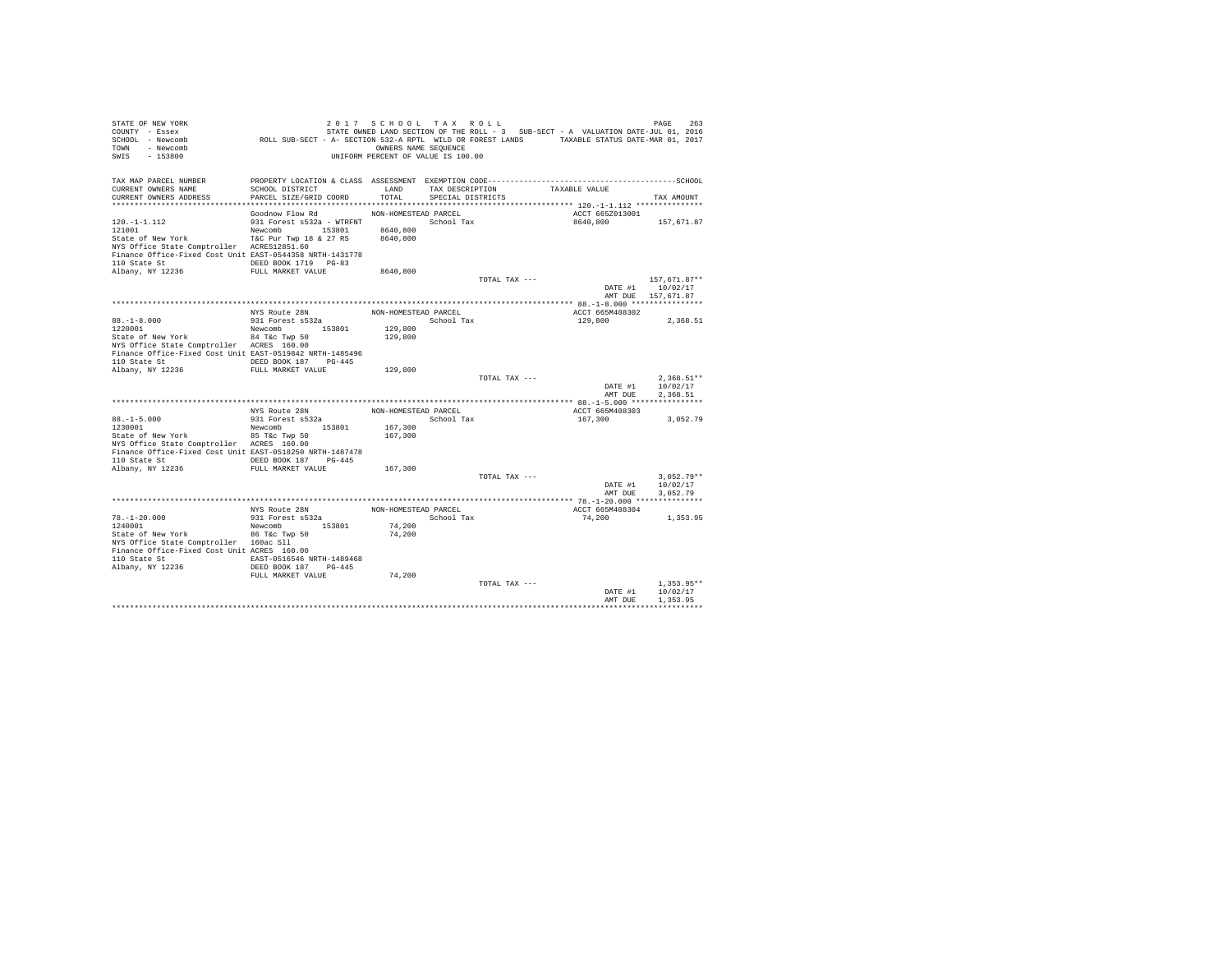| STATE OF NEW YORK<br>COUNTY - Essex<br>SCHOOL - Newcomb<br>- Newcomb<br>TOWN<br>SWIS<br>$-153800$ | ROLL SUB-SECT - A- SECTION 532-A RPTL WILD OR FOREST LANDS TAXABLE STATUS DATE-MAR 01, 2017 | 2017 SCHOOL TAX ROLL<br>OWNERS NAME SEQUENCE<br>UNIFORM PERCENT OF VALUE IS 100.00 |                                      |               | STATE OWNED LAND SECTION OF THE ROLL - 3 SUB-SECT - A VALUATION DATE-JUL 01, 2016 | PAGE<br>263              |
|---------------------------------------------------------------------------------------------------|---------------------------------------------------------------------------------------------|------------------------------------------------------------------------------------|--------------------------------------|---------------|-----------------------------------------------------------------------------------|--------------------------|
| TAX MAP PARCEL NUMBER                                                                             |                                                                                             |                                                                                    |                                      |               |                                                                                   |                          |
| CURRENT OWNERS NAME<br>CURRENT OWNERS ADDRESS                                                     | SCHOOL DISTRICT<br>PARCEL SIZE/GRID COORD                                                   | LAND<br>TOTAL                                                                      | TAX DESCRIPTION<br>SPECIAL DISTRICTS |               | TAXABLE VALUE                                                                     | TAX AMOUNT               |
|                                                                                                   |                                                                                             |                                                                                    |                                      |               |                                                                                   |                          |
|                                                                                                   | Goodnow Flow Rd                                                                             | NON-HOMESTEAD PARCEL                                                               |                                      |               | ACCT 665Z013001                                                                   |                          |
| $120. -1 - 1.112$                                                                                 | 931 Forest s532a - WTRFNT                                                                   |                                                                                    | School Tax                           |               | 8640,800                                                                          | 157,671.87               |
| 121001                                                                                            | Newcomb 153801 8640,800                                                                     |                                                                                    |                                      |               |                                                                                   |                          |
| State of New York                                                                                 | T&C Pur Twp 18 & 27 RS 8640,800                                                             |                                                                                    |                                      |               |                                                                                   |                          |
| NYS Office State Comptroller ACRES12851.60                                                        |                                                                                             |                                                                                    |                                      |               |                                                                                   |                          |
| Finance Office-Fixed Cost Unit EAST-0544358 NRTH-1431778<br>110 State St                          | DEED BOOK 1719 PG-83                                                                        |                                                                                    |                                      |               |                                                                                   |                          |
| Albany, NY 12236                                                                                  | FULL MARKET VALUE                                                                           | 8640,800                                                                           |                                      |               |                                                                                   |                          |
|                                                                                                   |                                                                                             |                                                                                    |                                      | TOTAL TAX --- |                                                                                   | 157,671.87**             |
|                                                                                                   |                                                                                             |                                                                                    |                                      |               | DATE #1                                                                           | 10/02/17                 |
|                                                                                                   |                                                                                             |                                                                                    |                                      |               |                                                                                   | AMT DUE 157.671.87       |
|                                                                                                   |                                                                                             |                                                                                    |                                      |               |                                                                                   |                          |
|                                                                                                   | NYS Route 28N<br>931 Forest s532a                                                           | NON-HOMESTEAD PARCEL                                                               |                                      |               | ACCT 665M408302                                                                   |                          |
| $88. - 1 - 8.000$<br>1220001                                                                      | 153801<br>Newcomb                                                                           | School Tax<br>129,800                                                              |                                      |               | 129,800                                                                           | 2.368.51                 |
| State of New York                                                                                 | 84 T&c Twp 50                                                                               | 129,800                                                                            |                                      |               |                                                                                   |                          |
| NYS Office State Comptroller ACRES 160.00                                                         |                                                                                             |                                                                                    |                                      |               |                                                                                   |                          |
| Finance Office-Fixed Cost Unit EAST-0519842 NRTH-1485496                                          |                                                                                             |                                                                                    |                                      |               |                                                                                   |                          |
| 110 State St CDEED BOOK 187 PG-445                                                                |                                                                                             |                                                                                    |                                      |               |                                                                                   |                          |
| Albany, NY 12236                                                                                  | FULL MARKET VALUE                                                                           | 129,800                                                                            |                                      |               |                                                                                   |                          |
|                                                                                                   |                                                                                             |                                                                                    |                                      | TOTAL TAX --- | DATE #1                                                                           | $2.368.51**$<br>10/02/17 |
|                                                                                                   |                                                                                             |                                                                                    |                                      |               | AMT DUE                                                                           | 2.368.51                 |
|                                                                                                   |                                                                                             |                                                                                    |                                      |               |                                                                                   |                          |
|                                                                                                   | NYS Route 28N                                                                               | NON-HOMESTEAD PARCEL                                                               |                                      |               | ACCT 665M408303                                                                   |                          |
| $88. - 1 - 5.000$                                                                                 | 931 Forest s532a                                                                            |                                                                                    | School Tax                           |               | 167,300                                                                           | 3,052.79                 |
| 1230001                                                                                           | Newcomb 153801                                                                              | 167,300                                                                            |                                      |               |                                                                                   |                          |
| State of New York<br>NYS Office State Comptroller ACRES 160.00                                    | 85 T&c Twp 50                                                                               | 167,300                                                                            |                                      |               |                                                                                   |                          |
| Finance Office-Fixed Cost Unit EAST-0518250 NRTH-1487478                                          |                                                                                             |                                                                                    |                                      |               |                                                                                   |                          |
| 110 State St                                                                                      | DEED BOOK 187 PG-445                                                                        |                                                                                    |                                      |               |                                                                                   |                          |
| Albany, NY 12236                                                                                  | FULL MARKET VALUE                                                                           | 167,300                                                                            |                                      |               |                                                                                   |                          |
|                                                                                                   |                                                                                             |                                                                                    |                                      | TOTAL TAX --- |                                                                                   | $3.052.79**$             |
|                                                                                                   |                                                                                             |                                                                                    |                                      |               | DATE #1                                                                           | 10/02/17                 |
|                                                                                                   |                                                                                             |                                                                                    |                                      |               | AMT DUE                                                                           | 3.052.79                 |
|                                                                                                   | NYS Route 28N                                                                               | NON-HOMESTEAD PARCEL                                                               |                                      |               | ACCT 665M408304                                                                   |                          |
| $78. - 1 - 20.000$                                                                                | 931 Forest s532a                                                                            |                                                                                    | School Tax                           |               | 74,200                                                                            | 1,353.95                 |
| 1240001                                                                                           | Newcomb 153801                                                                              | 74,200                                                                             |                                      |               |                                                                                   |                          |
| State of New York                                                                                 | 86 T&C Twp 50                                                                               | 74,200                                                                             |                                      |               |                                                                                   |                          |
| NYS Office State Comptroller 160ac Sll                                                            |                                                                                             |                                                                                    |                                      |               |                                                                                   |                          |
| Finance Office-Fixed Cost Unit ACRES 160.00                                                       |                                                                                             |                                                                                    |                                      |               |                                                                                   |                          |
| 110 State St  EAST-0516546 NRTH-1489468                                                           |                                                                                             |                                                                                    |                                      |               |                                                                                   |                          |
| Albany, NY 12236                                                                                  | DEED BOOK 187 PG-445<br>FULL MARKET VALUE                                                   | 74,200                                                                             |                                      |               |                                                                                   |                          |
|                                                                                                   |                                                                                             |                                                                                    |                                      | TOTAL TAX --- |                                                                                   | $1,353.95**$             |
|                                                                                                   |                                                                                             |                                                                                    |                                      |               | DATE #1                                                                           | 10/02/17                 |
|                                                                                                   |                                                                                             |                                                                                    |                                      |               | AMT DUE                                                                           | 1,353.95                 |
|                                                                                                   |                                                                                             |                                                                                    |                                      |               |                                                                                   |                          |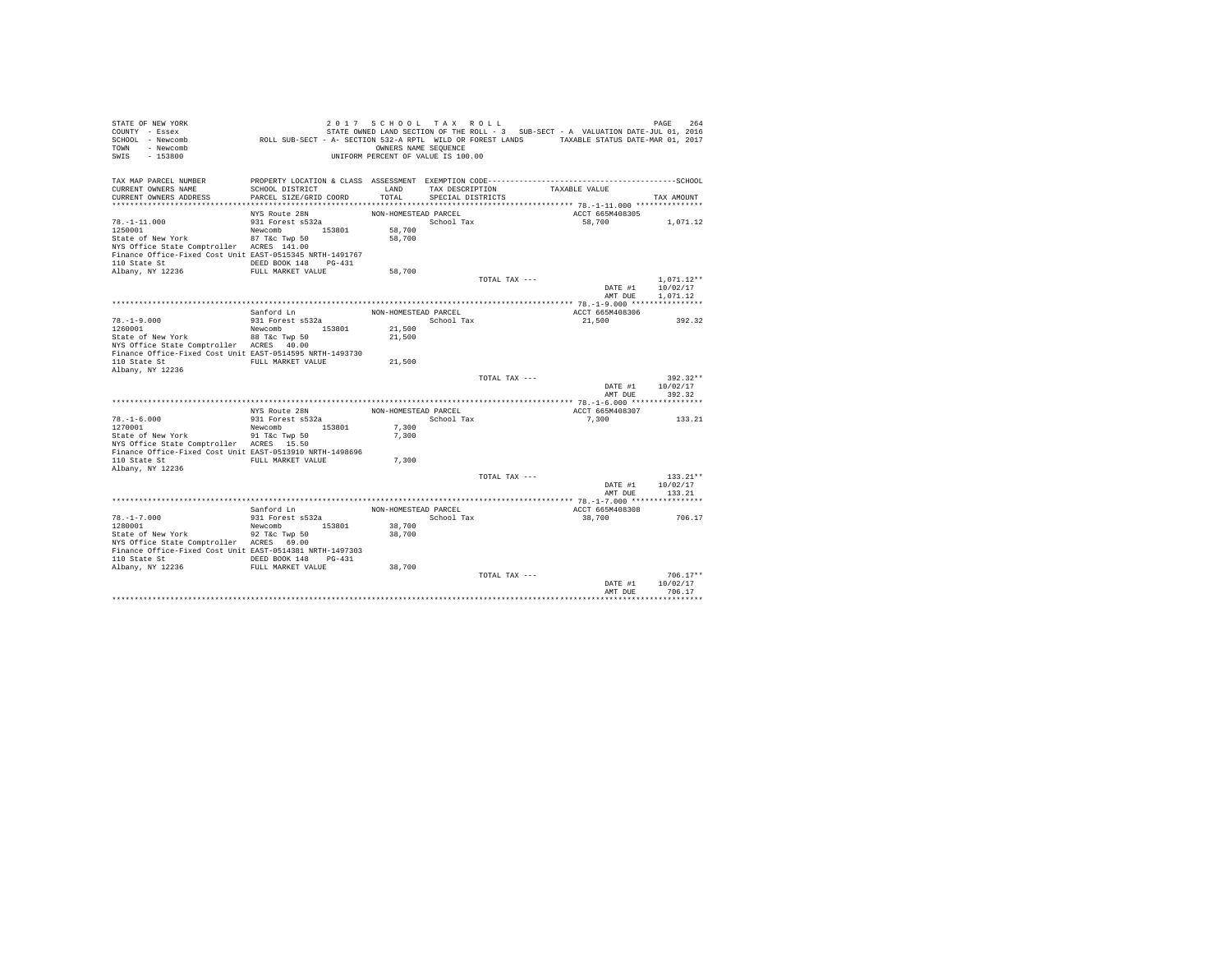| STATE OF NEW YORK<br>COUNTY - Essex<br>SCHOOL - Newcomb<br>- Newcomb<br>TOWN<br>$-153800$<br>SWIS | ROLL SUB-SECT - A- SECTION 532-A RPTL WILD OR FOREST LANDS TAXABLE STATUS DATE-MAR 01, 2017 | 2017 SCHOOL TAX ROLL<br>OWNERS NAME SEQUENCE<br>UNIFORM PERCENT OF VALUE IS 100.00 |                                      |               | STATE OWNED LAND SECTION OF THE ROLL - 3 SUB-SECT - A VALUATION DATE-JUL 01, 2016 | PAGE<br>264              |
|---------------------------------------------------------------------------------------------------|---------------------------------------------------------------------------------------------|------------------------------------------------------------------------------------|--------------------------------------|---------------|-----------------------------------------------------------------------------------|--------------------------|
| TAX MAP PARCEL NUMBER                                                                             |                                                                                             | LAND                                                                               |                                      |               | TAXABLE VALUE                                                                     |                          |
| CURRENT OWNERS NAME<br>CURRENT OWNERS ADDRESS                                                     | SCHOOL DISTRICT<br>PARCEL SIZE/GRID COORD                                                   | TOTAL                                                                              | TAX DESCRIPTION<br>SPECIAL DISTRICTS |               |                                                                                   | TAX AMOUNT               |
|                                                                                                   |                                                                                             |                                                                                    |                                      |               |                                                                                   |                          |
|                                                                                                   | NYS Route 28N                                                                               | NON-HOMESTEAD PARCEL                                                               |                                      |               | ACCT 665M408305                                                                   |                          |
| $78. - 1 - 11.000$                                                                                | 931 Forest s532a                                                                            |                                                                                    | School Tax                           |               | 58,700                                                                            | 1,071.12                 |
| 1250001                                                                                           | Newcomb 153801                                                                              | 58,700                                                                             |                                      |               |                                                                                   |                          |
| State of New York                                                                                 | 87 T&c Twp 50                                                                               | 58,700                                                                             |                                      |               |                                                                                   |                          |
| NYS Office State Comptroller ACRES 141.00                                                         |                                                                                             |                                                                                    |                                      |               |                                                                                   |                          |
| Finance Office-Fixed Cost Unit EAST-0515345 NRTH-1491767                                          |                                                                                             |                                                                                    |                                      |               |                                                                                   |                          |
| 110 State St                                                                                      | DEED BOOK 148 PG-431                                                                        |                                                                                    |                                      |               |                                                                                   |                          |
| Albany, NY 12236                                                                                  | FULL MARKET VALUE                                                                           | 58,700                                                                             |                                      |               |                                                                                   |                          |
|                                                                                                   |                                                                                             |                                                                                    |                                      | TOTAL TAX --- | DATE #1                                                                           | $1.071.12**$<br>10/02/17 |
|                                                                                                   |                                                                                             |                                                                                    |                                      |               | AMT DUE                                                                           | 1,071.12                 |
|                                                                                                   |                                                                                             |                                                                                    |                                      |               |                                                                                   |                          |
|                                                                                                   | Sanford Ln                                                                                  | NON-HOMESTEAD PARCEL                                                               |                                      |               | ACCT 665M408306                                                                   |                          |
| $78. - 1 - 9.000$                                                                                 | 931 Forest s532a                                                                            |                                                                                    | School Tax                           |               | 21,500                                                                            | 392.32                   |
| 1260001                                                                                           | Newcomb 153801                                                                              | 21,500                                                                             |                                      |               |                                                                                   |                          |
| State of New York                                                                                 | 88 T&c Twp 50                                                                               | 21,500                                                                             |                                      |               |                                                                                   |                          |
| NYS Office State Comptroller ACRES 40.00                                                          |                                                                                             |                                                                                    |                                      |               |                                                                                   |                          |
| Finance Office-Fixed Cost Unit EAST-0514595 NRTH-1493730                                          |                                                                                             |                                                                                    |                                      |               |                                                                                   |                          |
| 110 State St                                                                                      | FULL MARKET VALUE                                                                           | 21,500                                                                             |                                      |               |                                                                                   |                          |
| Albany, NY 12236                                                                                  |                                                                                             |                                                                                    |                                      |               |                                                                                   |                          |
|                                                                                                   |                                                                                             |                                                                                    |                                      | TOTAL TAX --- | DATE #1                                                                           | $392.32**$<br>10/02/17   |
|                                                                                                   |                                                                                             |                                                                                    |                                      |               | AMT DUE                                                                           | 392.32                   |
|                                                                                                   |                                                                                             |                                                                                    |                                      |               |                                                                                   |                          |
|                                                                                                   | NYS Route 28N                                                                               | NON-HOMESTEAD PARCEL                                                               |                                      |               | ACCT 665M408307                                                                   |                          |
| $78. - 1 - 6.000$                                                                                 | 931 Forest s532a                                                                            |                                                                                    | School Tax                           |               | 7.300                                                                             | 133.21                   |
| 1270001                                                                                           | 153801<br>Newcomb                                                                           | 7.300                                                                              |                                      |               |                                                                                   |                          |
| State of New York                                                                                 | 91 T&c Twp 50                                                                               | 7.300                                                                              |                                      |               |                                                                                   |                          |
| NYS Office State Comptroller ACRES 15.50                                                          |                                                                                             |                                                                                    |                                      |               |                                                                                   |                          |
| Finance Office-Fixed Cost Unit EAST-0513910 NRTH-1498696                                          |                                                                                             |                                                                                    |                                      |               |                                                                                   |                          |
| 110 State St<br>Albany, NY 12236                                                                  | FULL MARKET VALUE                                                                           | 7.300                                                                              |                                      |               |                                                                                   |                          |
|                                                                                                   |                                                                                             |                                                                                    |                                      | TOTAL TAX --- |                                                                                   | $133.21**$               |
|                                                                                                   |                                                                                             |                                                                                    |                                      |               | DATE #1                                                                           | 10/02/17                 |
|                                                                                                   |                                                                                             |                                                                                    |                                      |               | AMT DUE                                                                           | 133.21                   |
|                                                                                                   |                                                                                             |                                                                                    |                                      |               |                                                                                   |                          |
|                                                                                                   | Sanford Ln                                                                                  | NON-HOMESTEAD PARCEL                                                               |                                      |               | ACCT 665M408308                                                                   |                          |
| $78. - 1 - 7.000$                                                                                 | 931 Forest s532a                                                                            |                                                                                    | School Tax                           |               | 38,700                                                                            | 706.17                   |
| 1280001                                                                                           | Newcomb 153801                                                                              | 38,700                                                                             |                                      |               |                                                                                   |                          |
| State of New York                                                                                 | 92 T&c Twp 50                                                                               | 38,700                                                                             |                                      |               |                                                                                   |                          |
| NYS Office State Comptroller ACRES 69.00                                                          |                                                                                             |                                                                                    |                                      |               |                                                                                   |                          |
| Finance Office-Fixed Cost Unit EAST-0514381 NRTH-1497303                                          |                                                                                             |                                                                                    |                                      |               |                                                                                   |                          |
| 110 State St<br>Albany, NY 12236                                                                  | DEED BOOK 148 PG-431<br>FULL MARKET VALUE                                                   | 38,700                                                                             |                                      |               |                                                                                   |                          |
|                                                                                                   |                                                                                             |                                                                                    |                                      | TOTAL TAX --- |                                                                                   | $706.17**$               |
|                                                                                                   |                                                                                             |                                                                                    |                                      |               | DATE #1                                                                           | 10/02/17                 |
|                                                                                                   |                                                                                             |                                                                                    |                                      |               | AMT DUE                                                                           | 706.17                   |
|                                                                                                   |                                                                                             |                                                                                    |                                      |               |                                                                                   |                          |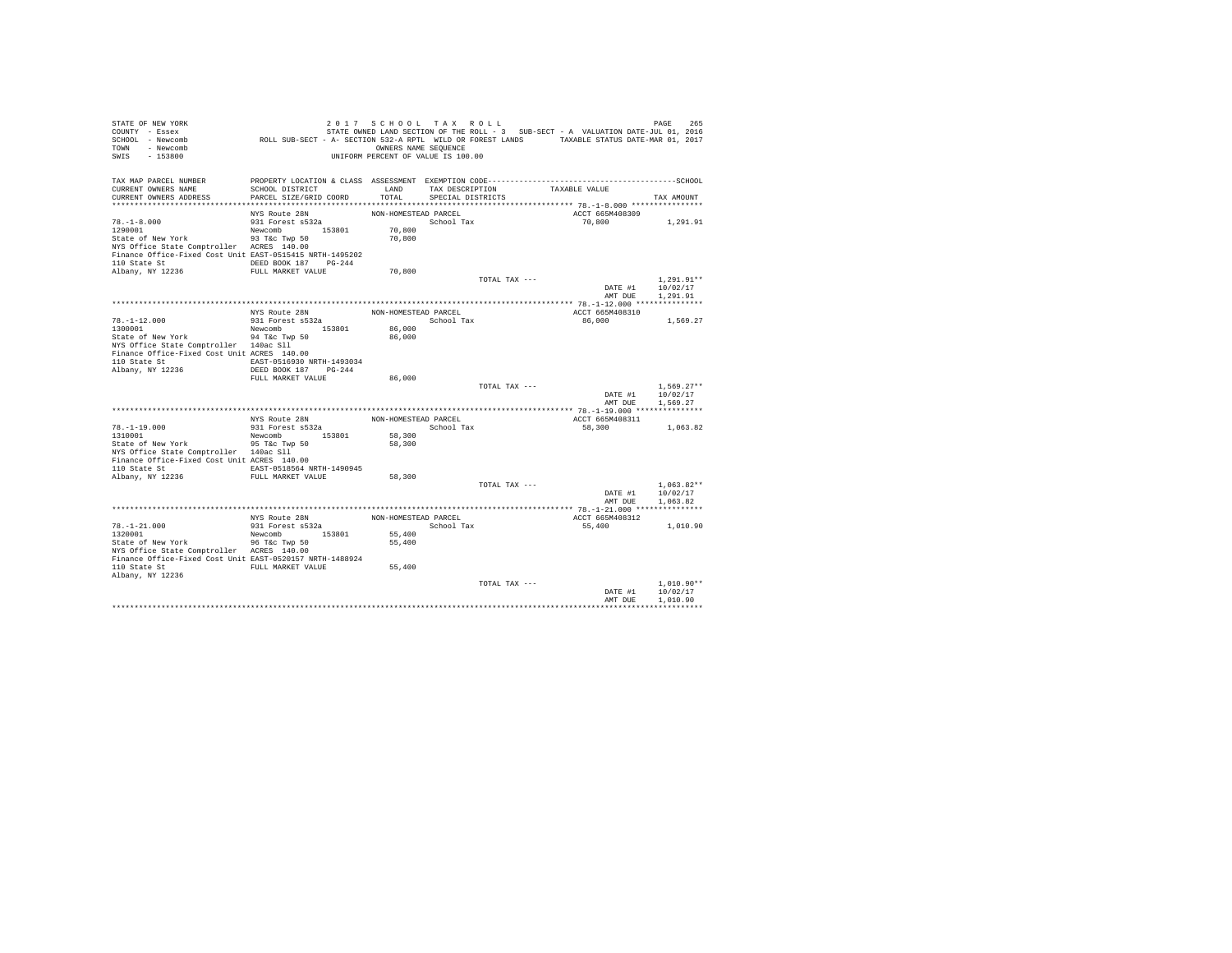| STATE OF NEW YORK<br>COUNTY - Essex<br>SCHOOL - Newcomb<br>TOWN - Newcomb<br>SWIS - 153800 | ROLL SUB-SECT - A- SECTION 532-A RPTL WILD OR FOREST LANDS TAXABLE STATUS DATE-MAR 01, 2017 | 2017 SCHOOL TAX ROLL<br>OWNERS NAME SEQUENCE<br>UNIFORM PERCENT OF VALUE IS 100.00 |                                    |               | STATE OWNED LAND SECTION OF THE ROLL - 3 SUB-SECT - A VALUATION DATE-JUL 01, 2016 | PAGE<br>265      |
|--------------------------------------------------------------------------------------------|---------------------------------------------------------------------------------------------|------------------------------------------------------------------------------------|------------------------------------|---------------|-----------------------------------------------------------------------------------|------------------|
| TAX MAP PARCEL NUMBER                                                                      |                                                                                             |                                                                                    |                                    |               |                                                                                   |                  |
| CURRENT OWNERS NAME                                                                        | SCHOOL DISTRICT                                                                             | LAND                                                                               |                                    |               | TAX DESCRIPTION TAXABLE VALUE                                                     |                  |
| CURRENT OWNERS ADDRESS                                                                     | PARCEL SIZE/GRID COORD                                                                      | TOTAL                                                                              | SPECIAL DISTRICTS                  |               |                                                                                   | TAX AMOUNT       |
|                                                                                            |                                                                                             | NON-HOMESTEAD PARCEL                                                               |                                    |               | ACCT 665M408309                                                                   |                  |
| $78. - 1 - 8.000$                                                                          | NYS Route 28N<br>931 Forest s532a                                                           |                                                                                    | School Tax                         |               | 70,800 1,291.91                                                                   |                  |
| 1290001                                                                                    | Newcomb 153801                                                                              | 70,800                                                                             |                                    |               |                                                                                   |                  |
| State of New York                                                                          | 93 T&c Twp 50                                                                               | 70,800                                                                             |                                    |               |                                                                                   |                  |
| NYS Office State Comptroller ACRES 140.00                                                  |                                                                                             |                                                                                    |                                    |               |                                                                                   |                  |
| Finance Office-Fixed Cost Unit EAST-0515415 NRTH-1495202                                   |                                                                                             |                                                                                    |                                    |               |                                                                                   |                  |
| 110 State St CDEED BOOK 187 PG-244<br>Albany, NY 12236                                     | FULL MARKET VALUE                                                                           | 70,800                                                                             |                                    |               |                                                                                   |                  |
|                                                                                            |                                                                                             |                                                                                    |                                    | TOTAL TAX --- |                                                                                   | $1,291.91**$     |
|                                                                                            |                                                                                             |                                                                                    |                                    |               |                                                                                   | DATE #1 10/02/17 |
|                                                                                            |                                                                                             |                                                                                    |                                    |               | AMT DUE                                                                           | 1,291.91         |
|                                                                                            |                                                                                             |                                                                                    |                                    |               |                                                                                   |                  |
|                                                                                            | NYS Route 28N<br>931 Forest s532a                                                           | NON-HOMESTEAD PARCEL<br>School Tax                                                 |                                    |               | ACCT 665M408310<br>86,000                                                         | 1,569.27         |
| $78. -1 - 12.000$<br>1300001                                                               | Newcomb 153801                                                                              | 86,000                                                                             |                                    |               |                                                                                   |                  |
| State of New York 94 T&c Twp 50                                                            |                                                                                             | 86,000                                                                             |                                    |               |                                                                                   |                  |
| NYS Office State Comptroller 140ac Sll                                                     |                                                                                             |                                                                                    |                                    |               |                                                                                   |                  |
| Finance Office-Fixed Cost Unit ACRES 140.00                                                |                                                                                             |                                                                                    |                                    |               |                                                                                   |                  |
| 110 State St EAST-0516930 NRTH-1493034                                                     |                                                                                             |                                                                                    |                                    |               |                                                                                   |                  |
| Albany, NY 12236                                                                           | DEED BOOK 187 PG-244<br>FULL MARKET VALUE                                                   | 86,000                                                                             |                                    |               |                                                                                   |                  |
|                                                                                            |                                                                                             |                                                                                    |                                    | TOTAL TAX --- |                                                                                   | $1,569.27**$     |
|                                                                                            |                                                                                             |                                                                                    |                                    |               |                                                                                   | DATE #1 10/02/17 |
|                                                                                            |                                                                                             |                                                                                    |                                    |               | AMT DUE                                                                           | 1,569.27         |
|                                                                                            |                                                                                             |                                                                                    |                                    |               |                                                                                   |                  |
|                                                                                            | NYS Route 28N<br>931 Forest s532a                                                           |                                                                                    | NON-HOMESTEAD PARCEL<br>School Tax |               | ACCT 665M408311<br>58,300                                                         | 1,063.82         |
| 78.-1-19.000<br>1310001                                                                    | Newcomb 153801                                                                              | 58,300                                                                             |                                    |               |                                                                                   |                  |
| State of New York 55 760 Twp 50                                                            |                                                                                             | 58,300                                                                             |                                    |               |                                                                                   |                  |
| NYS Office State Comptroller 140ac Sll                                                     |                                                                                             |                                                                                    |                                    |               |                                                                                   |                  |
| Finance Office-Fixed Cost Unit ACRES 140.00                                                |                                                                                             |                                                                                    |                                    |               |                                                                                   |                  |
| 110 State St  EAST-0518564 NRTH-1490945<br>Albany, NY 12236 FULL MARKET VALUE              |                                                                                             | 58,300                                                                             |                                    |               |                                                                                   |                  |
|                                                                                            |                                                                                             |                                                                                    |                                    | TOTAL TAX --- |                                                                                   | $1.063.82**$     |
|                                                                                            |                                                                                             |                                                                                    |                                    |               | DATE #1                                                                           | 10/02/17         |
|                                                                                            |                                                                                             |                                                                                    |                                    |               | AMT DUE                                                                           | 1,063.82         |
|                                                                                            |                                                                                             |                                                                                    |                                    |               |                                                                                   |                  |
|                                                                                            | NYS Route 28N<br>931 Forest s532a                                                           | NON-HOMESTEAD PARCEL                                                               |                                    |               | ACCT 665M408312                                                                   |                  |
| 78. -1-21.000<br>1320001                                                                   | Newcomb 153801                                                                              |                                                                                    | School Tax                         |               | 55,400                                                                            | 1,010.90         |
| State of New York 36 The State of New York 36 The State of New York                        |                                                                                             | 55,400<br>55,400                                                                   |                                    |               |                                                                                   |                  |
| NYS Office State Comptroller ACRES 140.00                                                  |                                                                                             |                                                                                    |                                    |               |                                                                                   |                  |
| Finance Office-Fixed Cost Unit EAST-0520157 NRTH-1488924                                   |                                                                                             |                                                                                    |                                    |               |                                                                                   |                  |
| 110 State St                                                                               | FULL MARKET VALUE                                                                           | 55,400                                                                             |                                    |               |                                                                                   |                  |
| Albany, NY 12236                                                                           |                                                                                             |                                                                                    |                                    | TOTAL TAX --- |                                                                                   | $1.010.90**$     |
|                                                                                            |                                                                                             |                                                                                    |                                    |               | DATE #1                                                                           | 10/02/17         |
|                                                                                            |                                                                                             |                                                                                    |                                    |               | AMT DUE                                                                           | 1,010.90         |
|                                                                                            |                                                                                             |                                                                                    |                                    |               |                                                                                   |                  |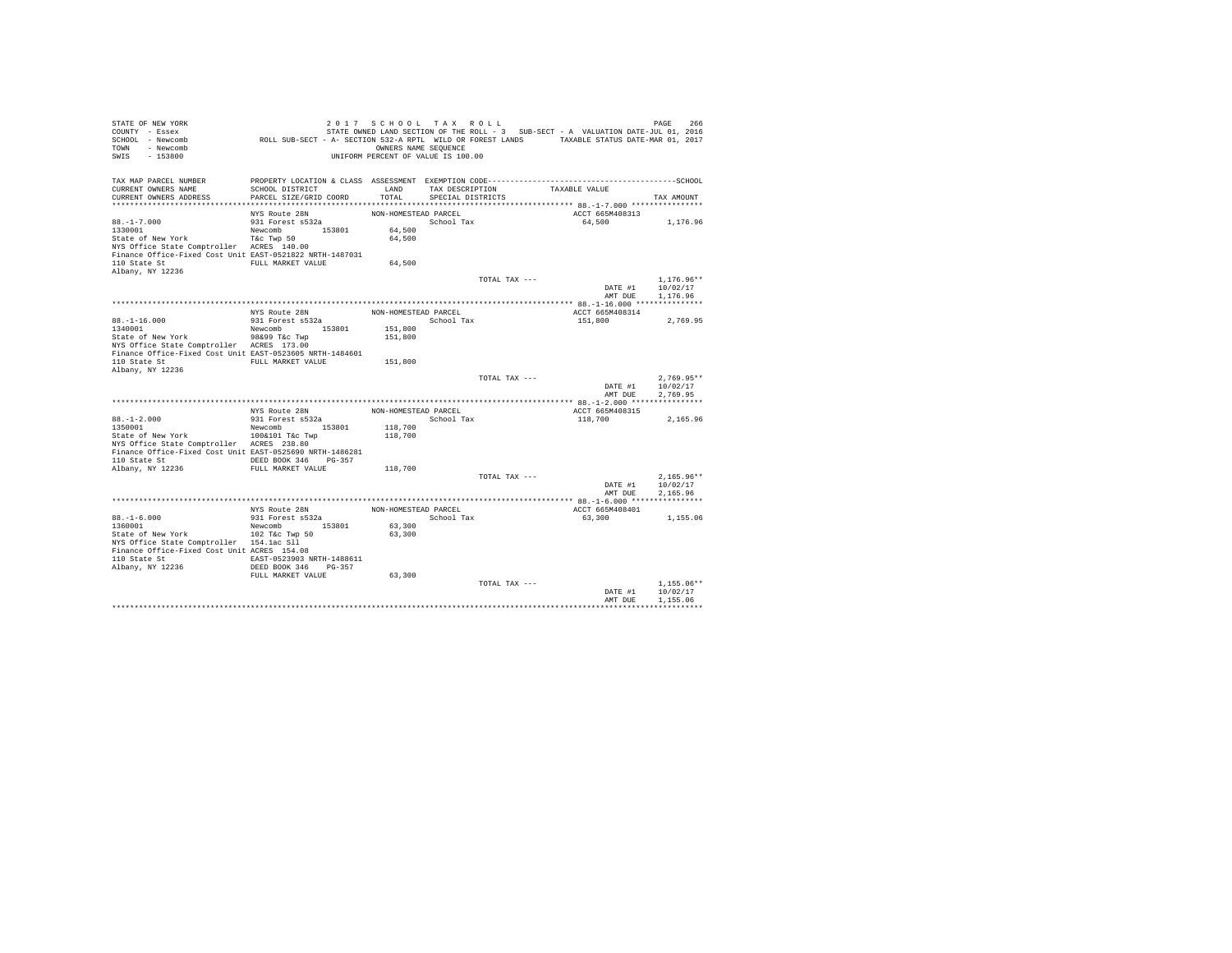| STATE OF NEW YORK<br>COUNTY - Essex<br>SCHOOL - Newcomb<br>TOWN - Newcomb | ROLL SUB-SECT - A- SECTION 532-A RPTL WILD OR FOREST LANDS TAXABLE STATUS DATE-MAR 01, 2017 | 2017 SCHOOL TAX ROLL<br>OWNERS NAME SEQUENCE |                         |                               | STATE OWNED LAND SECTION OF THE ROLL - 3 SUB-SECT - A VALUATION DATE-JUL 01, 2016 | PAGE<br>266              |
|---------------------------------------------------------------------------|---------------------------------------------------------------------------------------------|----------------------------------------------|-------------------------|-------------------------------|-----------------------------------------------------------------------------------|--------------------------|
| SWIS<br>$-153800$                                                         |                                                                                             | UNIFORM PERCENT OF VALUE IS 100.00           |                         |                               |                                                                                   |                          |
|                                                                           |                                                                                             |                                              |                         |                               |                                                                                   |                          |
| TAX MAP PARCEL NUMBER<br>CURRENT OWNERS NAME                              | SCHOOL DISTRICT                                                                             | LAND                                         |                         | TAX DESCRIPTION TAXABLE VALUE |                                                                                   |                          |
| CURRENT OWNERS ADDRESS                                                    | PARCEL SIZE/GRID COORD                                                                      |                                              | TOTAL SPECIAL DISTRICTS |                               |                                                                                   | TAX AMOUNT               |
|                                                                           |                                                                                             |                                              |                         |                               |                                                                                   |                          |
|                                                                           | NYS Route 28N                                                                               | NON-HOMESTEAD PARCEL                         |                         |                               | ACCT 665M408313                                                                   |                          |
| $88. - 1 - 7.000$                                                         | 931 Forest s532a                                                                            |                                              | School Tax              |                               | 64,500                                                                            | 1,176.96                 |
| 1330001<br>State of New York                                              | Newcomb 153801<br>T&C Twp 50                                                                | 64,500<br>64,500                             |                         |                               |                                                                                   |                          |
| NYS Office State Comptroller ACRES 140.00                                 |                                                                                             |                                              |                         |                               |                                                                                   |                          |
| Finance Office-Fixed Cost Unit EAST-0521822 NRTH-1487031                  |                                                                                             |                                              |                         |                               |                                                                                   |                          |
| 110 State St FULL MARKET VALUE                                            |                                                                                             | 64,500                                       |                         |                               |                                                                                   |                          |
| Albany, NY 12236                                                          |                                                                                             |                                              |                         |                               |                                                                                   |                          |
|                                                                           |                                                                                             |                                              |                         | TOTAL TAX ---                 | DATE #1                                                                           | $1.176.96**$<br>10/02/17 |
|                                                                           |                                                                                             |                                              |                         |                               | AMT DUE                                                                           | 1,176.96                 |
|                                                                           |                                                                                             |                                              |                         |                               |                                                                                   |                          |
|                                                                           | NYS Route 28N<br>931 Forest s532a                                                           | NON-HOMESTEAD PARCEL                         |                         |                               | ACCT 665M408314                                                                   |                          |
| $88. -1 - 16.000$                                                         |                                                                                             | School Tax                                   |                         |                               | 151,800                                                                           | 2,769.95                 |
| 1340001                                                                   | Newcomb 153801                                                                              | 151,800                                      |                         |                               |                                                                                   |                          |
| State of New York<br>NYS Office State Comptroller ACRES 173.00            | 98&99 T&c Twp                                                                               | 151,800                                      |                         |                               |                                                                                   |                          |
| Finance Office-Fixed Cost Unit EAST-0523605 NRTH-1484601                  |                                                                                             |                                              |                         |                               |                                                                                   |                          |
| 110 State St FULL MARKET VALUE                                            |                                                                                             | 151,800                                      |                         |                               |                                                                                   |                          |
| Albany, NY 12236                                                          |                                                                                             |                                              |                         |                               |                                                                                   |                          |
|                                                                           |                                                                                             |                                              |                         | TOTAL TAX ---                 |                                                                                   | $2.769.95**$             |
|                                                                           |                                                                                             |                                              |                         |                               | DATE #1<br>AMT DUE                                                                | 10/02/17<br>2.769.95     |
|                                                                           |                                                                                             |                                              |                         |                               |                                                                                   |                          |
|                                                                           | NYS Route 28N                                                                               | NON-HOMESTEAD PARCEL                         |                         |                               | ACCT 665M408315                                                                   |                          |
| $88. - 1 - 2.000$                                                         | 931 Forest s532a                                                                            |                                              | School Tax              |                               | 118,700                                                                           | 2.165.96                 |
| 1350001                                                                   | Newcomb 153801                                                                              | 118,700                                      |                         |                               |                                                                                   |                          |
| State of New York<br>NYS Office State Comptroller ACRES 238.80            | 100&101 T&c Twp                                                                             | 118,700                                      |                         |                               |                                                                                   |                          |
| Finance Office-Fixed Cost Unit EAST-0525690 NRTH-1486281                  |                                                                                             |                                              |                         |                               |                                                                                   |                          |
| 110 State St                                                              | DEED BOOK 346 PG-357                                                                        |                                              |                         |                               |                                                                                   |                          |
| Albany, NY 12236                                                          | FULL MARKET VALUE                                                                           | 118,700                                      |                         |                               |                                                                                   |                          |
|                                                                           |                                                                                             |                                              |                         | TOTAL TAX ---                 |                                                                                   | $2,165.96**$             |
|                                                                           |                                                                                             |                                              |                         |                               | DATE #1<br>AMT DUE                                                                | 10/02/17<br>2,165.96     |
|                                                                           |                                                                                             |                                              |                         |                               |                                                                                   |                          |
|                                                                           | NYS Route 28N                                                                               | NON-HOMESTEAD PARCEL                         |                         |                               | ACCT 665M408401                                                                   |                          |
| $88. -1 - 6.000$                                                          | 931 Forest s532a                                                                            |                                              | School Tax              |                               | 63,300                                                                            | 1,155.06                 |
| 1360001                                                                   | Newcomb 153801                                                                              | 63,300                                       |                         |                               |                                                                                   |                          |
| State of New York<br>NYS Office State Comptroller 154.1ac Sll             | 102 T&c Twp 50                                                                              | 63,300                                       |                         |                               |                                                                                   |                          |
| Finance Office-Fixed Cost Unit ACRES 154.08                               |                                                                                             |                                              |                         |                               |                                                                                   |                          |
| 110 State St 64ST-0523903 NRTH-1488611                                    |                                                                                             |                                              |                         |                               |                                                                                   |                          |
| Albany, NY 12236                                                          | DEED BOOK 346 PG-357                                                                        |                                              |                         |                               |                                                                                   |                          |
|                                                                           | FULL MARKET VALUE                                                                           | 63,300                                       |                         |                               |                                                                                   |                          |
|                                                                           |                                                                                             |                                              |                         | TOTAL TAX ---                 | DATE #1                                                                           | $1.155.06**$<br>10/02/17 |
|                                                                           |                                                                                             |                                              |                         |                               | AMT DUE                                                                           | 1,155.06                 |
|                                                                           |                                                                                             |                                              |                         |                               |                                                                                   |                          |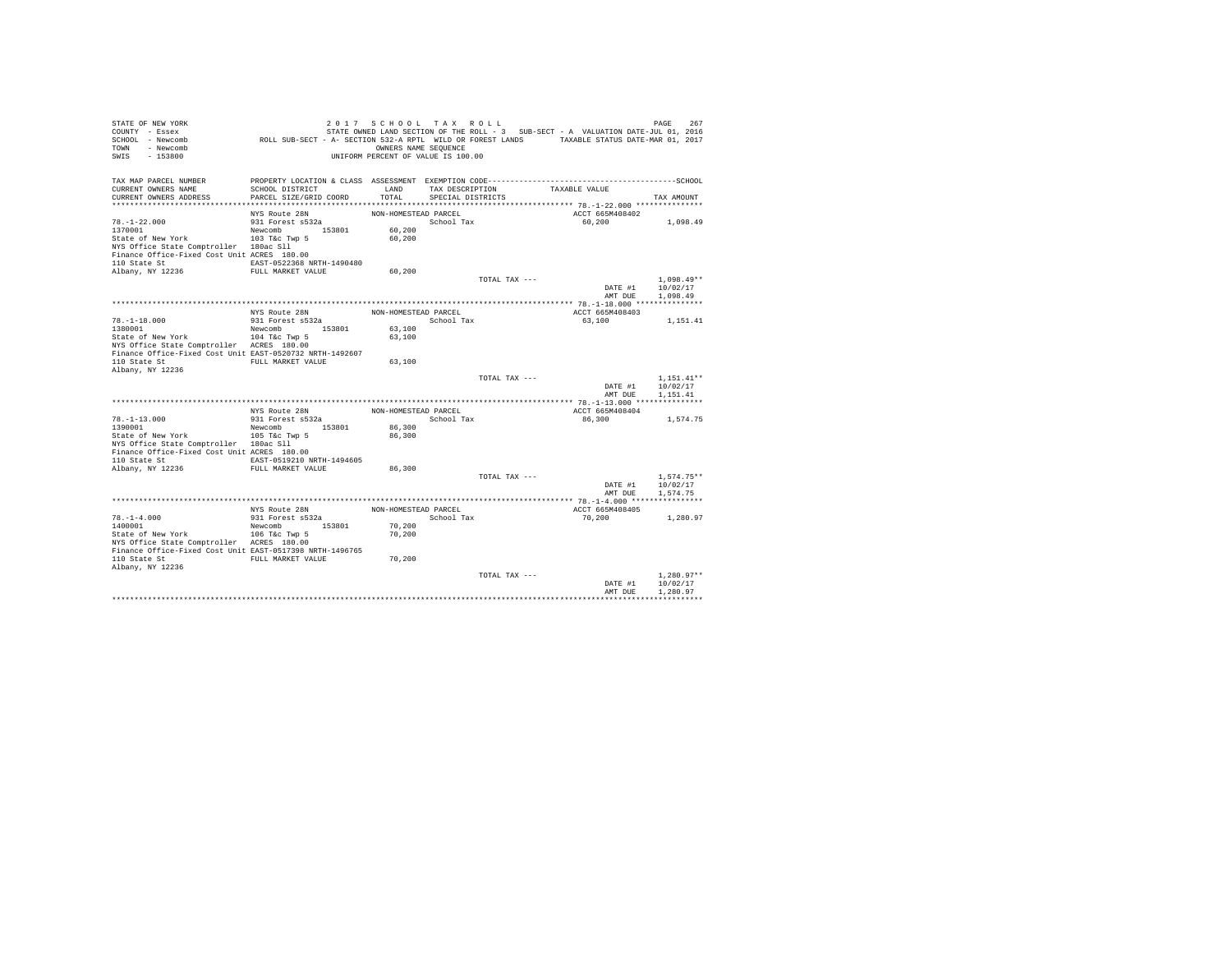| STATE OF NEW YORK<br>COUNTY - Essex<br>SCHOOL - Newcomb<br>TOWN - Newcomb<br>SWIS<br>$-153800$        | ROLL SUB-SECT - A- SECTION 532-A RPTL WILD OR FOREST LANDS TAXABLE STATUS DATE-MAR 01, 2017 | 2017 SCHOOL TAX ROLL<br>OWNERS NAME SEOUENCE<br>UNIFORM PERCENT OF VALUE IS 100.00 |                   |               | STATE OWNED LAND SECTION OF THE ROLL - 3 SUB-SECT - A VALUATION DATE-JUL 01, 2016 | PAGE<br>267  |
|-------------------------------------------------------------------------------------------------------|---------------------------------------------------------------------------------------------|------------------------------------------------------------------------------------|-------------------|---------------|-----------------------------------------------------------------------------------|--------------|
| TAX MAP PARCEL NUMBER                                                                                 |                                                                                             |                                                                                    |                   |               |                                                                                   |              |
| CURRENT OWNERS NAME                                                                                   | SCHOOL DISTRICT                                                                             | LAND                                                                               | TAX DESCRIPTION   |               | TAXABLE VALUE                                                                     |              |
| CURRENT OWNERS ADDRESS                                                                                | PARCEL SIZE/GRID COORD                                                                      | TOTAL.                                                                             | SPECIAL DISTRICTS |               |                                                                                   | TAX AMOUNT   |
|                                                                                                       | NYS Route 28N                                                                               | NON-HOMESTEAD PARCEL                                                               |                   |               | ACCT 665M408402                                                                   |              |
| $78. - 1 - 22.000$                                                                                    | 931 Forest s532a                                                                            |                                                                                    | School Tax        |               | 60,200                                                                            | 1,098.49     |
| 1370001                                                                                               | Newcomb 153801                                                                              | 60,200                                                                             |                   |               |                                                                                   |              |
| State of New York                                                                                     | 103 T&c Twp 5                                                                               | 60,200                                                                             |                   |               |                                                                                   |              |
| NYS Office State Comptroller 180ac Sll                                                                |                                                                                             |                                                                                    |                   |               |                                                                                   |              |
| Finance Office-Fixed Cost Unit ACRES 180.00                                                           |                                                                                             |                                                                                    |                   |               |                                                                                   |              |
| 110 State St 6. EAST-0522368 NRTH-1490480                                                             |                                                                                             |                                                                                    |                   |               |                                                                                   |              |
| Albany, NY 12236                                                                                      | FULL MARKET VALUE                                                                           | 60,200                                                                             |                   | TOTAL TAX --- |                                                                                   | $1,098.49**$ |
|                                                                                                       |                                                                                             |                                                                                    |                   |               | DATE #1                                                                           | 10/02/17     |
|                                                                                                       |                                                                                             |                                                                                    |                   |               | AMT DUE                                                                           | 1,098.49     |
|                                                                                                       |                                                                                             |                                                                                    |                   |               |                                                                                   |              |
|                                                                                                       | NYS Route 28N                                                                               | NON-HOMESTEAD PARCEL                                                               |                   |               | ACCT 665M408403                                                                   |              |
| 78.-1-18.000<br>1380001                                                                               | 931 Forest s532a                                                                            |                                                                                    | School Tax        |               | 63,100                                                                            | 1,151,41     |
|                                                                                                       | Newcomb 153801                                                                              | 63,100                                                                             |                   |               |                                                                                   |              |
| State of New York 104 T&c Twp 5                                                                       |                                                                                             | 63,100                                                                             |                   |               |                                                                                   |              |
| NYS Office State Comptroller ACRES 180.00<br>Finance Office-Fixed Cost Unit EAST-0520732 NRTH-1492607 |                                                                                             |                                                                                    |                   |               |                                                                                   |              |
| 110 State St                                                                                          | FULL MARKET VALUE                                                                           | 63,100                                                                             |                   |               |                                                                                   |              |
| Albany, NY 12236                                                                                      |                                                                                             |                                                                                    |                   |               |                                                                                   |              |
|                                                                                                       |                                                                                             |                                                                                    |                   | TOTAL TAX --- |                                                                                   | $1.151.41**$ |
|                                                                                                       |                                                                                             |                                                                                    |                   |               | DATE #1                                                                           | 10/02/17     |
|                                                                                                       |                                                                                             |                                                                                    |                   |               | AMT DUE                                                                           | 1.151.41     |
|                                                                                                       | NYS Route 28N                                                                               | NON-HOMESTEAD PARCEL                                                               |                   |               | ACCT 665M408404                                                                   |              |
| $78. - 1 - 13.000$                                                                                    | 931 Forest s532a                                                                            |                                                                                    | School Tax        |               | 86,300                                                                            | 1,574.75     |
| 1390001                                                                                               | Newcomb 153801                                                                              | 86,300                                                                             |                   |               |                                                                                   |              |
| State of New York                                                                                     | 105 T&c Twp 5                                                                               | 86,300                                                                             |                   |               |                                                                                   |              |
| NYS Office State Comptroller 180ac Sll                                                                |                                                                                             |                                                                                    |                   |               |                                                                                   |              |
| Finance Office-Fixed Cost Unit ACRES 180.00                                                           |                                                                                             |                                                                                    |                   |               |                                                                                   |              |
| 110 State St 645T-0519210 NRTH-1494605                                                                |                                                                                             |                                                                                    |                   |               |                                                                                   |              |
| Albany, NY 12236                                                                                      | FULL MARKET VALUE                                                                           | 86,300                                                                             |                   | TOTAL TAX --- |                                                                                   | $1.574.75**$ |
|                                                                                                       |                                                                                             |                                                                                    |                   |               | DATE #1                                                                           | 10/02/17     |
|                                                                                                       |                                                                                             |                                                                                    |                   |               | AMT DUE                                                                           | 1,574.75     |
|                                                                                                       |                                                                                             |                                                                                    |                   |               |                                                                                   |              |
|                                                                                                       | NYS Route 28N                                                                               | NON-HOMESTEAD PARCEL                                                               |                   |               | ACCT 665M408405                                                                   |              |
| $78. - 1 - 4.000$                                                                                     | 931 Forest s532a                                                                            |                                                                                    | School Tax        |               | 70,200                                                                            | 1,280.97     |
| 1400001                                                                                               | Newcomb 153801                                                                              | 70,200                                                                             |                   |               |                                                                                   |              |
| State of New York                                                                                     | 106 T&C Twp 5                                                                               | 70,200                                                                             |                   |               |                                                                                   |              |
| NYS Office State Comptroller ACRES 180.00<br>Finance Office-Fixed Cost Unit EAST-0517398 NRTH-1496765 |                                                                                             |                                                                                    |                   |               |                                                                                   |              |
| 110 State St                                                                                          | FULL MARKET VALUE                                                                           | 70,200                                                                             |                   |               |                                                                                   |              |
| Albany, NY 12236                                                                                      |                                                                                             |                                                                                    |                   |               |                                                                                   |              |
|                                                                                                       |                                                                                             |                                                                                    |                   | TOTAL TAX --- |                                                                                   | $1.280.97**$ |
|                                                                                                       |                                                                                             |                                                                                    |                   |               | DATE #1                                                                           | 10/02/17     |
|                                                                                                       |                                                                                             |                                                                                    |                   |               | AMT DUE                                                                           | 1.280.97     |
|                                                                                                       |                                                                                             |                                                                                    |                   |               |                                                                                   |              |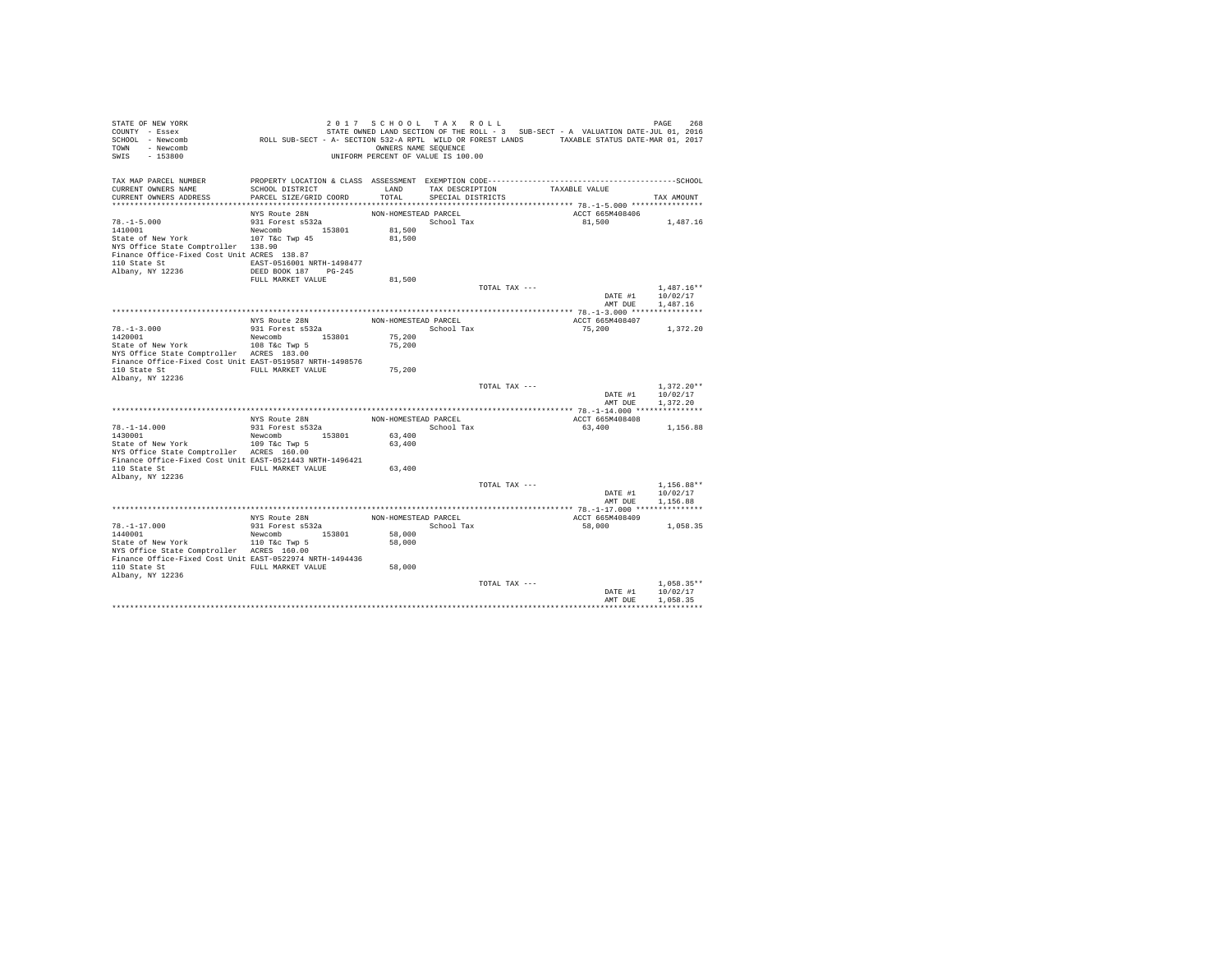| STATE OF NEW YORK<br>COUNTY - Essex<br>SCHOOL - Newcomb<br>- Newcomb<br><b>TOWN</b><br>SWIS<br>$-153800$                                                                    | ROLL SUB-SECT - A- SECTION 532-A RPTL WILD OR FOREST LANDS TAXABLE STATUS DATE-MAR 01, 2017               | 2017 SCHOOL TAX ROLL<br>OWNERS NAME SEQUENCE<br>UNIFORM PERCENT OF VALUE IS 100.00 |                                      |               | STATE OWNED LAND SECTION OF THE ROLL - 3 SUB-SECT - A VALUATION DATE-JUL 01, 2016 | 268<br>PAGE                          |
|-----------------------------------------------------------------------------------------------------------------------------------------------------------------------------|-----------------------------------------------------------------------------------------------------------|------------------------------------------------------------------------------------|--------------------------------------|---------------|-----------------------------------------------------------------------------------|--------------------------------------|
| TAX MAP PARCEL NUMBER<br>CURRENT OWNERS NAME<br>CURRENT OWNERS ADDRESS                                                                                                      | SCHOOL DISTRICT<br>PARCEL SIZE/GRID COORD                                                                 | LAND<br>TOTAL                                                                      | TAX DESCRIPTION<br>SPECIAL DISTRICTS |               | TAXABLE VALUE                                                                     | TAX AMOUNT                           |
|                                                                                                                                                                             | NYS Route 28N                                                                                             | NON-HOMESTEAD PARCEL                                                               |                                      |               | ACCT 665M408406                                                                   |                                      |
| $78. - 1 - 5.000$<br>1410001<br>State of New York<br>NYS Office State Comptroller 138.90<br>Finance Office-Fixed Cost Unit ACRES 138.87<br>110 State St<br>Albany, NY 12236 | 931 Forest s532a<br>Newcomb 153801<br>107 T&c Twp 45<br>EAST-0516001 NRTH-1498477<br>DEED BOOK 187 PG-245 | 81,500<br>81,500                                                                   | School Tax                           |               | 81,500                                                                            | 1,487.16                             |
|                                                                                                                                                                             | FULL MARKET VALUE                                                                                         | 81,500                                                                             |                                      |               |                                                                                   |                                      |
|                                                                                                                                                                             |                                                                                                           |                                                                                    |                                      | TOTAL TAX --- | DATE #1<br>AMT DUE                                                                | $1.487.16**$<br>10/02/17<br>1,487.16 |
|                                                                                                                                                                             |                                                                                                           |                                                                                    |                                      |               |                                                                                   |                                      |
| $78. - 1 - 3.000$                                                                                                                                                           | NYS Route 28N<br>931 Forest s532a                                                                         | NON-HOMESTEAD PARCEL                                                               | School Tax                           |               | ACCT 665M408407<br>75,200                                                         | 1,372.20                             |
| 1420001<br>State of New York<br>NYS Office State Comptroller ACRES 183.00<br>Finance Office-Fixed Cost Unit EAST-0519587 NRTH-1498576<br>110 State St                       | Newcomb 153801<br>108 T&c Twp 5<br>FULL MARKET VALUE                                                      | 75,200<br>75,200<br>75,200                                                         |                                      |               |                                                                                   |                                      |
| Albany, NY 12236                                                                                                                                                            |                                                                                                           |                                                                                    |                                      | TOTAL TAX --- | DATE #1                                                                           | $1.372.20**$<br>10/02/17             |
|                                                                                                                                                                             |                                                                                                           |                                                                                    |                                      |               | AMT DUE                                                                           | 1,372.20                             |
|                                                                                                                                                                             | NYS Route 28N                                                                                             | NON-HOMESTEAD PARCEL                                                               |                                      |               | ACCT 665M408408                                                                   |                                      |
| $78. - 1 - 14.000$<br>1430001<br>State of New York<br>NYS Office State Comptroller ACRES 160.00                                                                             | 931 Forest s532a<br>Newcomb 153801<br>109 T&c Twp 5                                                       | 63,400<br>63,400                                                                   | School Tax                           |               | 63,400                                                                            | 1,156.88                             |
| Finance Office-Fixed Cost Unit EAST-0521443 NRTH-1496421<br>110 State St<br>Albany, NY 12236                                                                                | FULL MARKET VALUE                                                                                         | 63,400                                                                             |                                      |               |                                                                                   |                                      |
|                                                                                                                                                                             |                                                                                                           |                                                                                    |                                      | TOTAL TAX --- | DATE #1                                                                           | $1,156.88**$<br>10/02/17             |
|                                                                                                                                                                             |                                                                                                           |                                                                                    |                                      |               | AMT DUE                                                                           | 1,156.88                             |
|                                                                                                                                                                             | NYS Route 28N                                                                                             | NON-HOMESTEAD PARCEL                                                               |                                      |               | ACCT 665M408409                                                                   |                                      |
| $78. - 1 - 17.000$                                                                                                                                                          | 931 Forest s532a                                                                                          |                                                                                    | School Tax                           |               | 58,000                                                                            | 1,058.35                             |
| 1440001<br>State of New York<br>NYS Office State Comptroller ACRES 160.00<br>Finance Office-Fixed Cost Unit EAST-0522974 NRTH-1494436                                       | Newcomb 153801<br>110 T&c Twp 5                                                                           | 58,000<br>58,000                                                                   |                                      |               |                                                                                   |                                      |
| 110 State St<br>Albany, NY 12236                                                                                                                                            | FULL MARKET VALUE                                                                                         | 58,000                                                                             |                                      |               |                                                                                   |                                      |
|                                                                                                                                                                             |                                                                                                           |                                                                                    |                                      | TOTAL TAX --- | DATE #1<br>AMT DUE                                                                | $1.058.35**$<br>10/02/17<br>1,058.35 |
|                                                                                                                                                                             |                                                                                                           |                                                                                    |                                      |               |                                                                                   |                                      |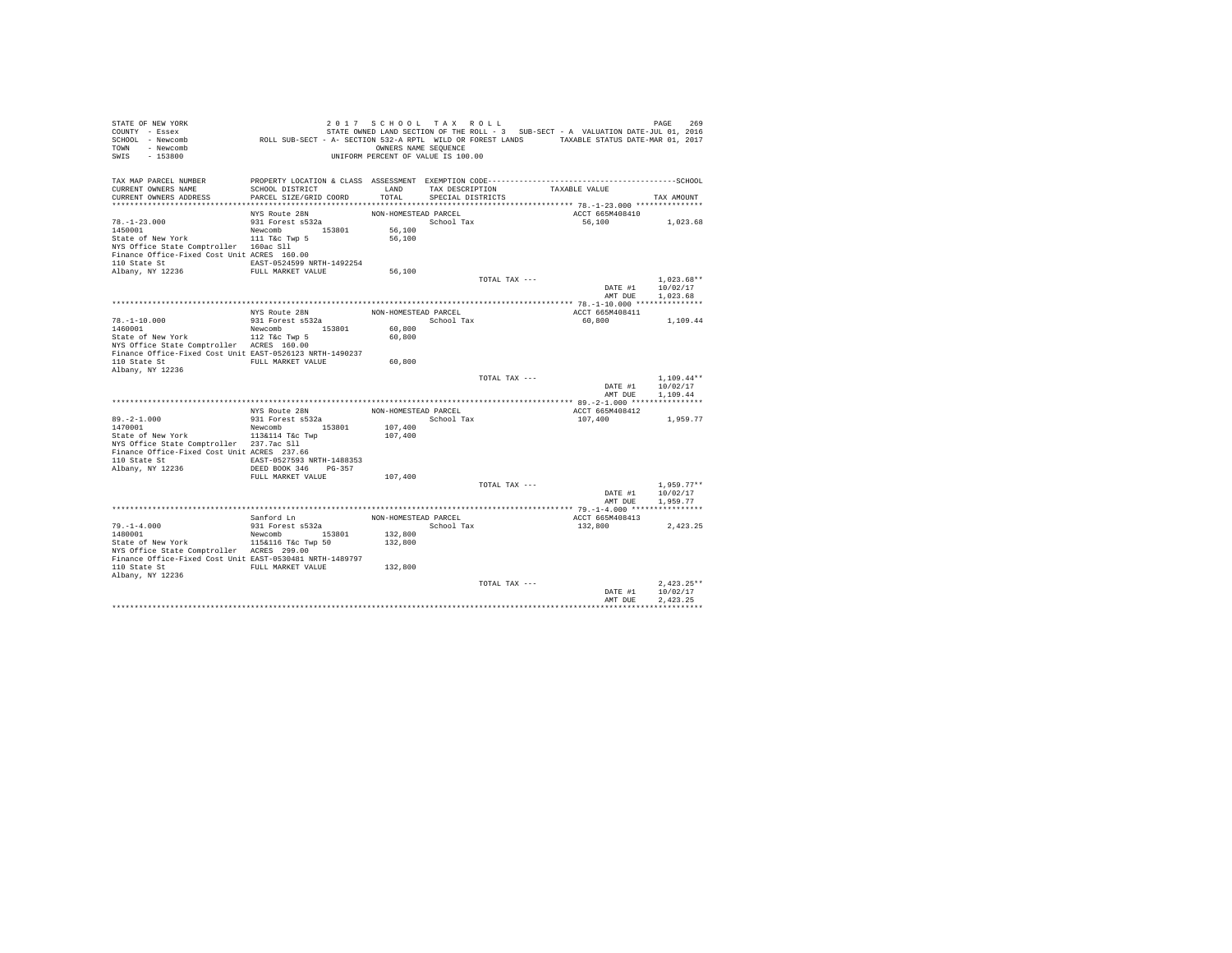| TOWN - Newcomb<br>SWIS - 153800                                                                      |                                      | OWNERS NAME SEQUENCE<br>UNIFORM PERCENT OF VALUE IS 100.00 |                   |               |                           |                          |
|------------------------------------------------------------------------------------------------------|--------------------------------------|------------------------------------------------------------|-------------------|---------------|---------------------------|--------------------------|
| TAX MAP PARCEL NUMBER                                                                                |                                      |                                                            |                   |               |                           |                          |
| CURRENT OWNERS NAME                                                                                  | SCHOOL DISTRICT                      | LAND                                                       | TAX DESCRIPTION   |               | TAXABLE VALUE             |                          |
| CURRENT OWNERS ADDRESS                                                                               | PARCEL SIZE/GRID COORD               | TOTAL                                                      | SPECIAL DISTRICTS |               |                           | TAX AMOUNT               |
|                                                                                                      | NYS Route 28N                        | NON-HOMESTEAD PARCEL                                       |                   |               | ACCT 665M408410           |                          |
| $78. - 1 - 23.000$                                                                                   | 931 Forest s532a                     |                                                            | School Tax        |               | 56,100                    | 1,023.68                 |
|                                                                                                      |                                      | 56,100                                                     |                   |               |                           |                          |
|                                                                                                      |                                      | 56,100                                                     |                   |               |                           |                          |
| NYS Office State Comptroller 160ac Sll                                                               |                                      |                                                            |                   |               |                           |                          |
| Finance Office-Fixed Cost Unit ACRES 160.00<br>110 State St EAST-0524599 NRTH-1492254                |                                      |                                                            |                   |               |                           |                          |
| Albany, NY 12236                                                                                     | FULL MARKET VALUE                    | 56,100                                                     |                   |               |                           |                          |
|                                                                                                      |                                      |                                                            |                   | TOTAL TAX --- |                           | $1,023.68**$             |
|                                                                                                      |                                      |                                                            |                   |               |                           | DATE #1 10/02/17         |
|                                                                                                      |                                      |                                                            |                   |               | AMT DUE                   | 1,023.68                 |
|                                                                                                      |                                      |                                                            |                   |               |                           |                          |
|                                                                                                      | NYS Route 28N<br>931 Forest s532a    | NON-HOMESTEAD PARCEL                                       | School Tax        |               | ACCT 665M408411<br>60,800 | 1,109.44                 |
| $78. -1 - 10.000$<br>1460001                                                                         | Newcomb 153801                       | 60,800                                                     |                   |               |                           |                          |
| State of New York 112 T&C Twp 5                                                                      |                                      | 60,800                                                     |                   |               |                           |                          |
| NYS Office State Comptroller ACRES 160.00                                                            |                                      |                                                            |                   |               |                           |                          |
| Finance Office-Fixed Cost Unit EAST-0526123 NRTH-1490237                                             |                                      |                                                            |                   |               |                           |                          |
| 110 State St  FULL MARKET VALUE                                                                      |                                      | 60,800                                                     |                   |               |                           |                          |
| Albany, NY 12236                                                                                     |                                      |                                                            |                   | TOTAL TAX --- |                           | $1,109.44**$             |
|                                                                                                      |                                      |                                                            |                   |               |                           | DATE #1 10/02/17         |
|                                                                                                      |                                      |                                                            |                   |               | AMT DUE                   | 1,109.44                 |
|                                                                                                      |                                      |                                                            |                   |               |                           |                          |
|                                                                                                      | NYS Route 28N                        | NON-HOMESTEAD PARCEL                                       |                   |               | ACCT 665M408412           |                          |
| 89.-2-1.000 931 Forest s532a<br>1470001 New York Newcomb 153801<br>State of New York 113&114 T&c Twp |                                      |                                                            | School Tax        |               | 107,400                   | 1,959.77                 |
|                                                                                                      |                                      | 107,400<br>107,400                                         |                   |               |                           |                          |
| NYS Office State Comptroller 237.7ac Sll                                                             |                                      |                                                            |                   |               |                           |                          |
| Finance Office-Fixed Cost Unit ACRES 237.66                                                          |                                      |                                                            |                   |               |                           |                          |
| 110 State St EAST-0527593 NRTH-1488353                                                               |                                      |                                                            |                   |               |                           |                          |
| Albany, NY 12236                                                                                     | DEED BOOK 346 PG-357                 |                                                            |                   |               |                           |                          |
|                                                                                                      | FULL MARKET VALUE                    | 107,400                                                    |                   | TOTAL TAX --- |                           | $1.959.77**$             |
|                                                                                                      |                                      |                                                            |                   |               | DATE $#1$                 | 10/02/17                 |
|                                                                                                      |                                      |                                                            |                   |               | AMT DUE                   | 1,959.77                 |
|                                                                                                      |                                      |                                                            |                   |               |                           |                          |
|                                                                                                      | Sanford Ln                           | NON-HOMESTEAD PARCEL                                       |                   |               | ACCT 665M408413           |                          |
| $79. - 1 - 4.000$                                                                                    | 931 Forest s532a                     |                                                            | School Tax        |               | 132,800                   | 2.423.25                 |
| 1480001<br>State of New York                                                                         | Newcomb 153801<br>115&116 T&c Twp 50 | 132,800<br>132,800                                         |                   |               |                           |                          |
| NYS Office State Comptroller ACRES 299.00                                                            |                                      |                                                            |                   |               |                           |                          |
| Finance Office-Fixed Cost Unit EAST-0530481 NRTH-1489797                                             |                                      |                                                            |                   |               |                           |                          |
| 110 State St                                                                                         | FULL MARKET VALUE                    | 132,800                                                    |                   |               |                           |                          |
| Albany, NY 12236                                                                                     |                                      |                                                            |                   |               |                           |                          |
|                                                                                                      |                                      |                                                            |                   | TOTAL TAX --- | DATE #1                   | $2.423.25**$<br>10/02/17 |
|                                                                                                      |                                      |                                                            |                   |               | AMT DUE                   | 2.423.25                 |
|                                                                                                      |                                      |                                                            |                   |               |                           |                          |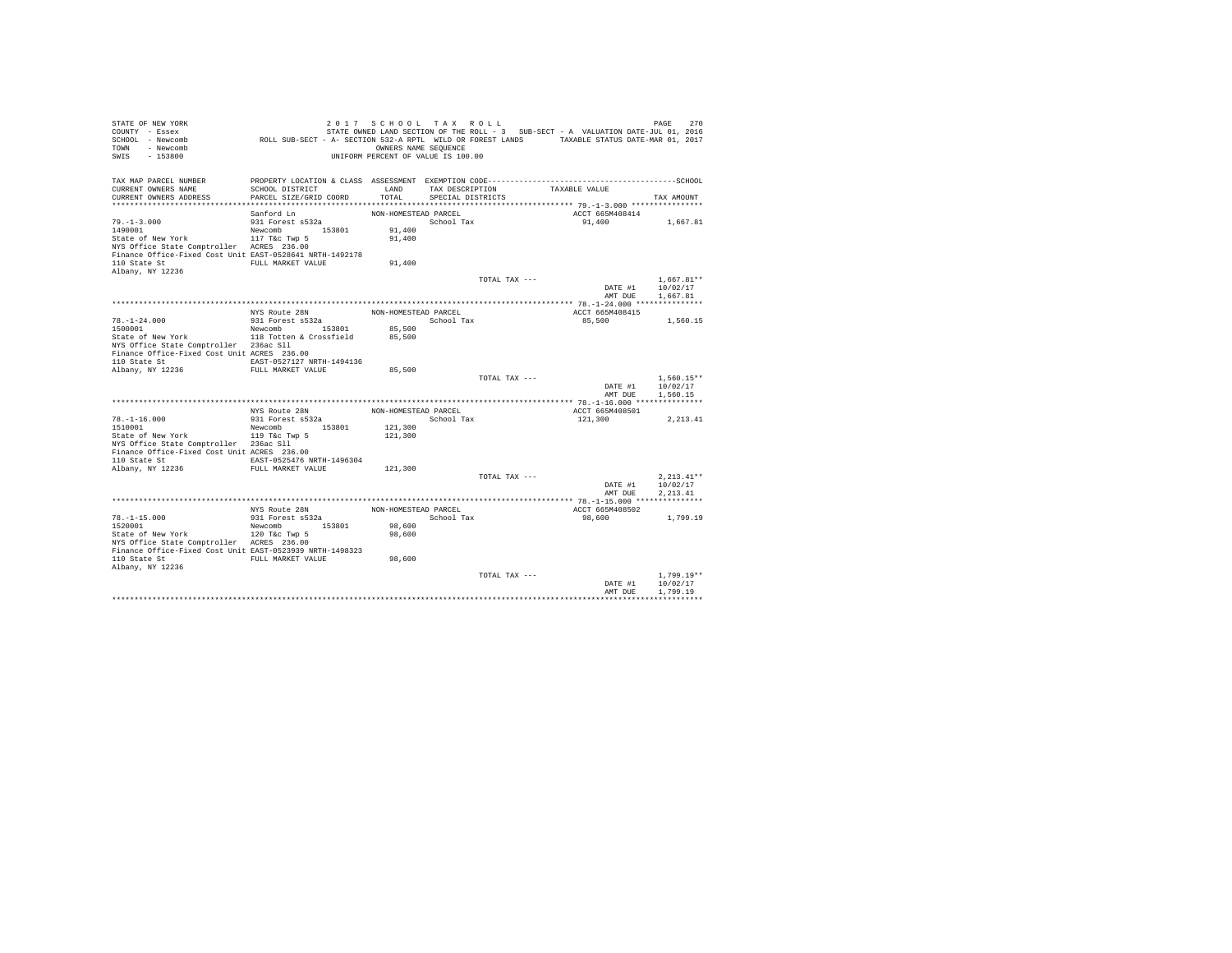| STATE OF NEW YORK<br>COUNTY - Essex<br>SCHOOL - Newcomb<br>TOWN - Newcomb<br>SWIS<br>$-153800$ | ROLL SUB-SECT - A- SECTION 532-A RPTL WILD OR FOREST LANDS TAXABLE STATUS DATE-MAR 01, 2017 | 2017 SCHOOL TAX ROLL<br>OWNERS NAME SEQUENCE<br>UNIFORM PERCENT OF VALUE IS 100.00 |                   |               | STATE OWNED LAND SECTION OF THE ROLL - 3 SUB-SECT - A VALUATION DATE-JUL 01, 2016 | PAGE<br>270              |
|------------------------------------------------------------------------------------------------|---------------------------------------------------------------------------------------------|------------------------------------------------------------------------------------|-------------------|---------------|-----------------------------------------------------------------------------------|--------------------------|
| TAX MAP PARCEL NUMBER<br>CURRENT OWNERS NAME                                                   | SCHOOL DISTRICT                                                                             | LAND                                                                               | TAX DESCRIPTION   |               | TAXABLE VALUE                                                                     |                          |
| CURRENT OWNERS ADDRESS                                                                         | PARCEL SIZE/GRID COORD                                                                      | TOTAL                                                                              | SPECIAL DISTRICTS |               |                                                                                   | TAX AMOUNT               |
|                                                                                                |                                                                                             |                                                                                    |                   |               |                                                                                   |                          |
|                                                                                                | Sanford Ln                                                                                  | NON-HOMESTEAD PARCEL                                                               |                   |               | ACCT 665M408414                                                                   |                          |
| $79. - 1 - 3.000$<br>1490001                                                                   | 931 Forest s532a<br>Newcomb 153801                                                          | 91,400                                                                             | School Tax        |               | 91,400                                                                            | 1,667.81                 |
| State of New York                                                                              | 117 T&c Twp 5                                                                               | 91,400                                                                             |                   |               |                                                                                   |                          |
| NYS Office State Comptroller ACRES 236.00                                                      |                                                                                             |                                                                                    |                   |               |                                                                                   |                          |
| Finance Office-Fixed Cost Unit EAST-0528641 NRTH-1492178                                       |                                                                                             |                                                                                    |                   |               |                                                                                   |                          |
| 110 State St                                                                                   | FULL MARKET VALUE                                                                           | 91,400                                                                             |                   |               |                                                                                   |                          |
| Albany, NY 12236                                                                               |                                                                                             |                                                                                    |                   |               |                                                                                   |                          |
|                                                                                                |                                                                                             |                                                                                    |                   | TOTAL TAX --- | DATE #1                                                                           | $1.667.81**$<br>10/02/17 |
|                                                                                                |                                                                                             |                                                                                    |                   |               | AMT DUE                                                                           | 1,667.81                 |
|                                                                                                |                                                                                             |                                                                                    |                   |               |                                                                                   |                          |
|                                                                                                | NYS Route 28N                                                                               | NON-HOMESTEAD PARCEL                                                               |                   |               | ACCT 665M408415                                                                   |                          |
| $78. - 1 - 24.000$                                                                             | 931 Forest s532a                                                                            | School Tax                                                                         |                   |               | 85,500                                                                            | 1,560.15                 |
| 1500001                                                                                        | Newcomb 153801                                                                              | 85,500                                                                             |                   |               |                                                                                   |                          |
| State of New York 118 Totten & Crossfield                                                      |                                                                                             | 85,500                                                                             |                   |               |                                                                                   |                          |
| NYS Office State Comptroller 236ac Sll<br>Finance Office-Fixed Cost Unit ACRES 236.00          |                                                                                             |                                                                                    |                   |               |                                                                                   |                          |
| 110 State St                                                                                   | EAST-0527127 NRTH-1494136                                                                   |                                                                                    |                   |               |                                                                                   |                          |
| Albany, NY 12236                                                                               | FULL MARKET VALUE                                                                           | 85,500                                                                             |                   |               |                                                                                   |                          |
|                                                                                                |                                                                                             |                                                                                    |                   | TOTAL TAX --- |                                                                                   | 1,560.15**               |
|                                                                                                |                                                                                             |                                                                                    |                   |               | DATE #1                                                                           | 10/02/17                 |
|                                                                                                |                                                                                             |                                                                                    |                   |               | AMT DUR                                                                           | 1,560.15                 |
|                                                                                                |                                                                                             |                                                                                    |                   |               |                                                                                   |                          |
|                                                                                                | NYS Route 28N<br>931 Forest s532a                                                           | NON-HOMESTEAD PARCEL                                                               |                   | School Tax    | ACCT 665M408501<br>121,300                                                        | 2, 213.41                |
| $78. - 1 - 16.000$<br>1510001                                                                  | Newcomb 153801                                                                              | 121,300                                                                            |                   |               |                                                                                   |                          |
| State of New York                                                                              | 119 T&c Twp 5                                                                               | 121,300                                                                            |                   |               |                                                                                   |                          |
| NYS Office State Comptroller 236ac Sll                                                         |                                                                                             |                                                                                    |                   |               |                                                                                   |                          |
| Finance Office-Fixed Cost Unit ACRES 236.00                                                    |                                                                                             |                                                                                    |                   |               |                                                                                   |                          |
| 110 State St EAST-0525476 NRTH-1496304                                                         |                                                                                             |                                                                                    |                   |               |                                                                                   |                          |
| Albany, NY 12236                                                                               | FULL MARKET VALUE                                                                           | 121,300                                                                            |                   | TOTAL TAX --- |                                                                                   | $2.213.41**$             |
|                                                                                                |                                                                                             |                                                                                    |                   |               | DATE #1                                                                           | 10/02/17                 |
|                                                                                                |                                                                                             |                                                                                    |                   |               | AMT DUE                                                                           | 2.213.41                 |
|                                                                                                |                                                                                             |                                                                                    |                   |               |                                                                                   |                          |
|                                                                                                | NYS Route 28N                                                                               | NON-HOMESTEAD PARCEL                                                               |                   |               | ACCT 665M408502                                                                   |                          |
| $78. - 1 - 15.000$                                                                             | 931 Forest s532a                                                                            |                                                                                    | School Tax        |               | 98,600                                                                            | 1,799.19                 |
| 1520001                                                                                        | Newcomb 153801                                                                              | 98,600                                                                             |                   |               |                                                                                   |                          |
| State of New York<br>NYS Office State Comptroller ACRES 236.00                                 | 120 T&C Twp 5                                                                               | 98,600                                                                             |                   |               |                                                                                   |                          |
| Finance Office-Fixed Cost Unit EAST-0523939 NRTH-1498323                                       |                                                                                             |                                                                                    |                   |               |                                                                                   |                          |
| 110 State St                                                                                   | FULL MARKET VALUE                                                                           | 98,600                                                                             |                   |               |                                                                                   |                          |
| Albany, NY 12236                                                                               |                                                                                             |                                                                                    |                   |               |                                                                                   |                          |
|                                                                                                |                                                                                             |                                                                                    |                   | TOTAL TAX --- |                                                                                   | $1.799.19**$             |
|                                                                                                |                                                                                             |                                                                                    |                   |               | DATE #1                                                                           | 10/02/17                 |
|                                                                                                |                                                                                             |                                                                                    |                   |               | AMT DUE                                                                           | 1,799.19                 |
|                                                                                                |                                                                                             |                                                                                    |                   |               |                                                                                   |                          |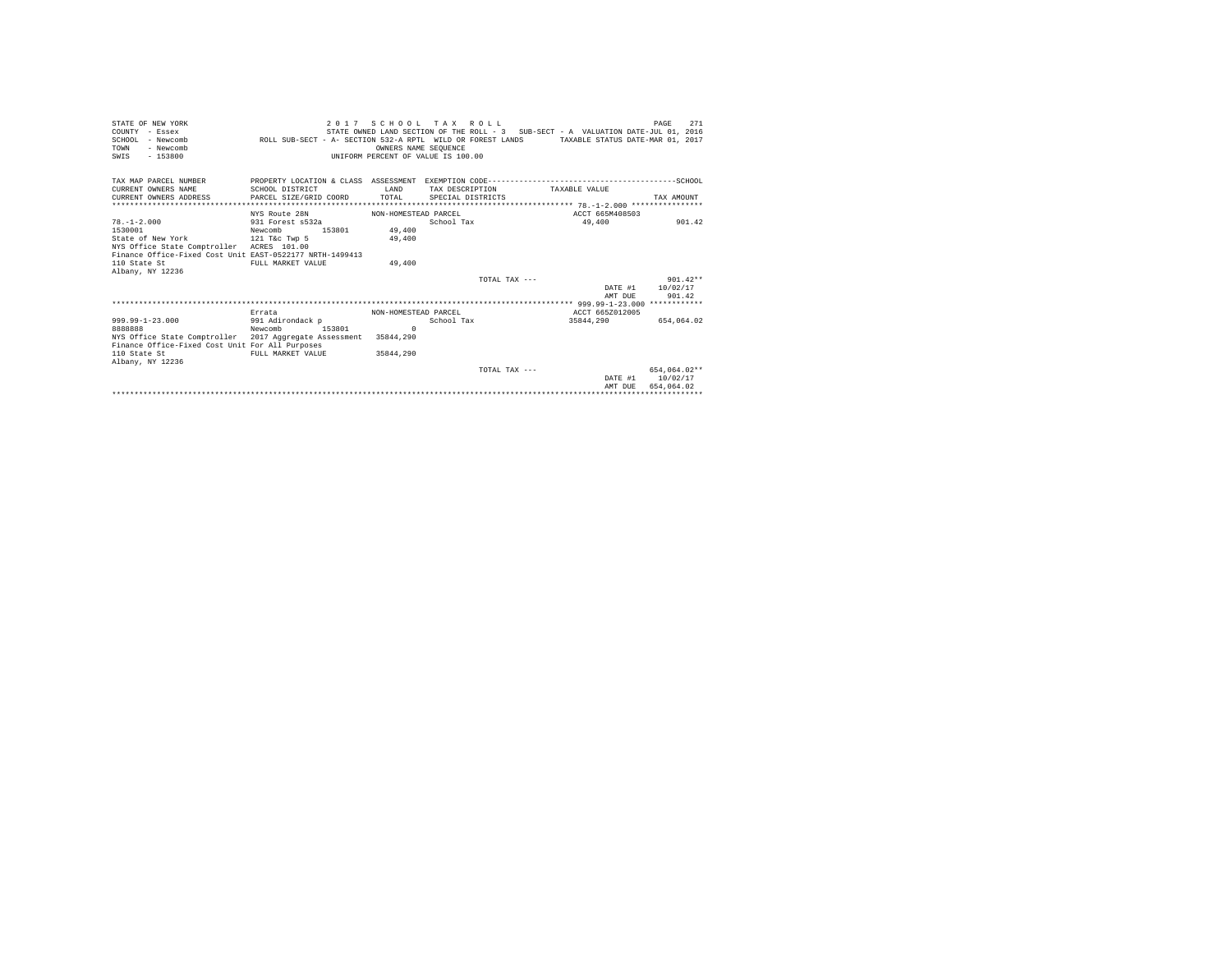| STATE OF NEW YORK<br>COUNTY - Essex<br>SCHOOL - Newcomb<br>- Newcomb<br>TOWN<br>$-153800$<br>SWIS | ROLL SUB-SECT - A- SECTION 532-A RPTL WILD OR FOREST LANDS | OWNERS NAME SEOUENCE<br>UNIFORM PERCENT OF VALUE IS 100.00 | 2017 SCHOOL TAX ROLL |                 | STATE OWNED LAND SECTION OF THE ROLL - 3 SUB-SECT - A VALUATION DATE-JUL 01, 2016<br>TAXABLE STATUS DATE-MAR 01, 2017 | 271<br>PAGE  |  |  |
|---------------------------------------------------------------------------------------------------|------------------------------------------------------------|------------------------------------------------------------|----------------------|-----------------|-----------------------------------------------------------------------------------------------------------------------|--------------|--|--|
| TAX MAP PARCEL NUMBER                                                                             |                                                            |                                                            |                      |                 |                                                                                                                       |              |  |  |
| CURRENT OWNERS NAME                                                                               | SCHOOL DISTRICT                                            | T.AND                                                      | TAX DESCRIPTION      |                 | TAXABLE VALUE                                                                                                         |              |  |  |
| CURRENT OWNERS ADDRESS                                                                            | PARCEL SIZE/GRID COORD                                     | TOTAL                                                      | SPECIAL DISTRICTS    |                 |                                                                                                                       | TAX AMOUNT   |  |  |
|                                                                                                   |                                                            |                                                            |                      |                 |                                                                                                                       |              |  |  |
|                                                                                                   | NYS Route 28N                                              | NON-HOMESTEAD PARCEL                                       |                      |                 | ACCT 665M408503                                                                                                       |              |  |  |
| $78. - 1 - 2.000$                                                                                 | 931 Forest s532a                                           |                                                            | School Tax           |                 | 49,400                                                                                                                | 901.42       |  |  |
| 1530001                                                                                           | Newcomb<br>153801                                          | 49,400                                                     |                      |                 |                                                                                                                       |              |  |  |
| State of New York 121 T&c Twp 5                                                                   |                                                            | 49,400                                                     |                      |                 |                                                                                                                       |              |  |  |
| NYS Office State Comptroller ACRES 101.00                                                         |                                                            |                                                            |                      |                 |                                                                                                                       |              |  |  |
| Finance Office-Fixed Cost Unit EAST-0522177 NRTH-1499413<br>110 State St                          | FULL MARKET VALUE                                          |                                                            |                      |                 |                                                                                                                       |              |  |  |
| Albany, NY 12236                                                                                  |                                                            | 49,400                                                     |                      |                 |                                                                                                                       |              |  |  |
|                                                                                                   |                                                            |                                                            |                      | TOTAL TAX $---$ |                                                                                                                       | $901.42**$   |  |  |
|                                                                                                   |                                                            |                                                            |                      |                 | DATE #1                                                                                                               | 10/02/17     |  |  |
|                                                                                                   |                                                            |                                                            |                      |                 | AMT DUE                                                                                                               | 901.42       |  |  |
|                                                                                                   |                                                            |                                                            |                      |                 |                                                                                                                       |              |  |  |
|                                                                                                   | Errata                                                     | NON-HOMESTEAD PARCEL                                       |                      |                 | ACCT 665Z012005                                                                                                       |              |  |  |
| 999.99-1-23.000                                                                                   | 991 Adirondack p                                           |                                                            | School Tax           |                 | 35844.290                                                                                                             | 654,064.02   |  |  |
| 8888888                                                                                           | Newcomb<br>153801                                          | $\Omega$                                                   |                      |                 |                                                                                                                       |              |  |  |
| NYS Office State Comptroller 2017 Aggregate Assessment 35844,290                                  |                                                            |                                                            |                      |                 |                                                                                                                       |              |  |  |
| Finance Office-Fixed Cost Unit For All Purposes                                                   |                                                            |                                                            |                      |                 |                                                                                                                       |              |  |  |
| 110 State St                                                                                      | FULL MARKET VALUE                                          | 35844,290                                                  |                      |                 |                                                                                                                       |              |  |  |
| Albany, NY 12236                                                                                  |                                                            |                                                            |                      |                 |                                                                                                                       |              |  |  |
|                                                                                                   |                                                            |                                                            |                      | TOTAL TAX ---   |                                                                                                                       | 654.064.02** |  |  |
|                                                                                                   |                                                            |                                                            |                      |                 | DATE #1                                                                                                               | 10/02/17     |  |  |
|                                                                                                   |                                                            |                                                            |                      |                 | AMT DHE                                                                                                               | 654.064.02   |  |  |
|                                                                                                   |                                                            |                                                            |                      |                 |                                                                                                                       |              |  |  |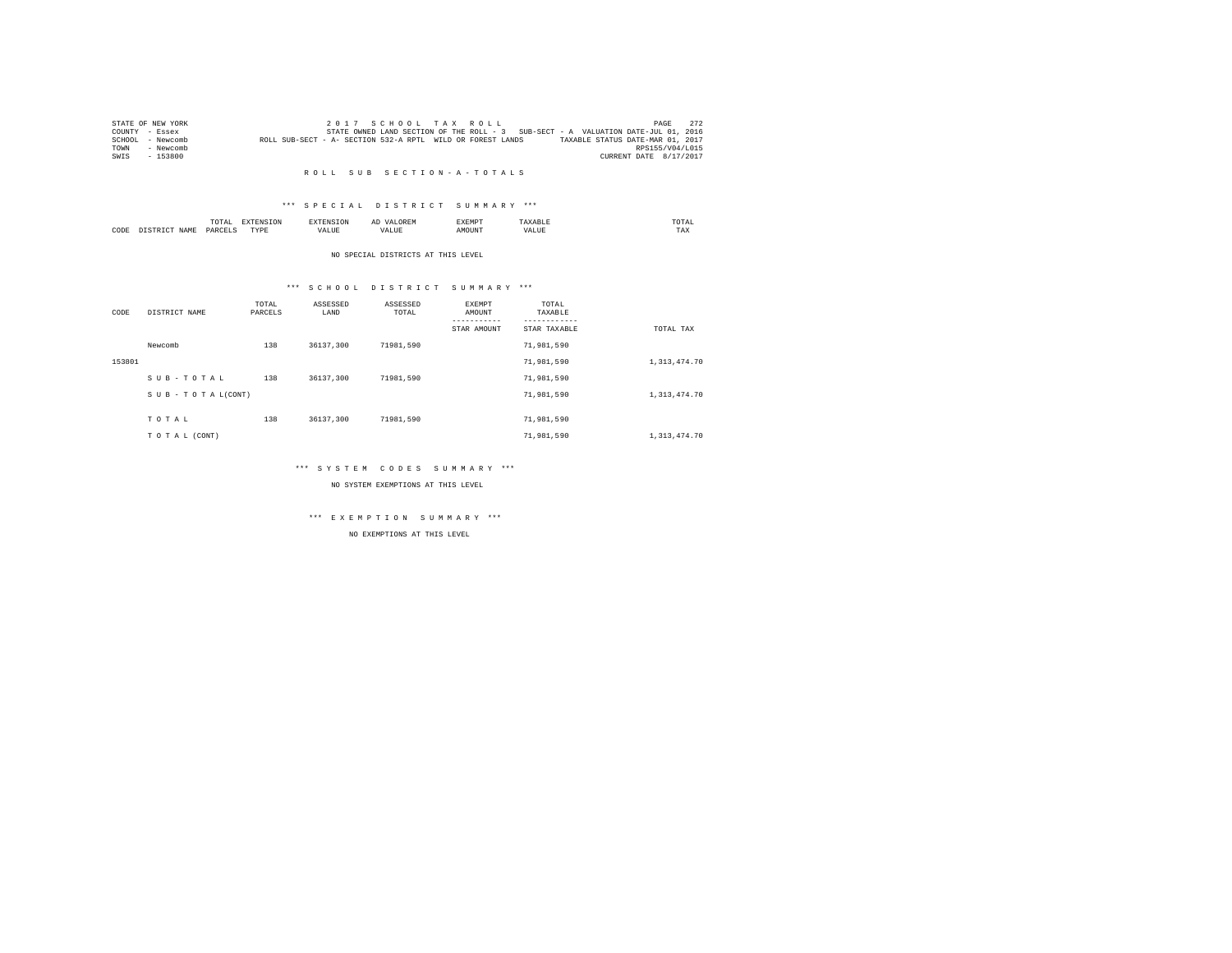|        | STATE OF NEW YORK |                                                            |  |  | 2017 SCHOOL TAX ROLL |                                                                                   |                                  |                        | PAGE            | 2.72 |
|--------|-------------------|------------------------------------------------------------|--|--|----------------------|-----------------------------------------------------------------------------------|----------------------------------|------------------------|-----------------|------|
|        | COUNTY - Essex    |                                                            |  |  |                      | STATE OWNED LAND SECTION OF THE ROLL - 3 SUB-SECT - A VALUATION DATE-JUL 01, 2016 |                                  |                        |                 |      |
| SCHOOL | - Newcomb         | ROLL SUB-SECT - A- SECTION 532-A RPTL WILD OR FOREST LANDS |  |  |                      |                                                                                   | TAXABLE STATUS DATE-MAR 01, 2017 |                        |                 |      |
| TOWN   | - Newcomb         |                                                            |  |  |                      |                                                                                   |                                  |                        | RPS155/V04/L015 |      |
| SWIS   | - 153800          |                                                            |  |  |                      |                                                                                   |                                  | CURRENT DATE 8/17/2017 |                 |      |

#### R O L L S U B S E C T I O N - A - T O T A L S

### \*\*\* S P E C I A L D I S T R I C T S U M M A R Y \*\*\*

|      |            | ----<br>TUTAL |   | AL<br>. | <b>TELEPHONE</b><br>. YEMA | TOTAL<br>the contract of the contract of the contract of |  |
|------|------------|---------------|---|---------|----------------------------|----------------------------------------------------------|--|
| CODE | <b>IAM</b> | DADCEI        | . |         |                            | ---<br>1'AX                                              |  |

#### NO SPECIAL DISTRICTS AT THIS LEVEL

### \*\*\* S C H O O L D I S T R I C T S U M M A R Y \*\*\*

| CODE   | DISTRICT NAME      | TOTAL<br>PARCELS | ASSESSED<br>LAND | ASSESSED<br>TOTAL | EXEMPT<br>AMOUNT<br>STAR AMOUNT | TOTAL<br>TAXABLE<br>STAR TAXABLE | TOTAL TAX      |
|--------|--------------------|------------------|------------------|-------------------|---------------------------------|----------------------------------|----------------|
|        | Newcomb            | 138              | 36137,300        | 71981.590         |                                 | 71,981,590                       |                |
| 153801 |                    |                  |                  |                   |                                 | 71,981,590                       | 1, 313, 474.70 |
|        | SUB-TOTAL          | 138              | 36137.300        | 71981.590         |                                 | 71,981,590                       |                |
|        | SUB - TO TAL(CONT) |                  |                  |                   |                                 | 71,981,590                       | 1, 313, 474.70 |
|        | TOTAL              | 138              | 36137,300        | 71981.590         |                                 | 71,981,590                       |                |
|        | TO TAL (CONT)      |                  |                  |                   |                                 | 71,981,590                       | 1,313,474.70   |

### \*\*\* S Y S T E M C O D E S S U M M A R Y \*\*\*

NO SYSTEM EXEMPTIONS AT THIS LEVEL

### \*\*\* E X E M P T I O N S U M M A R Y \*\*\*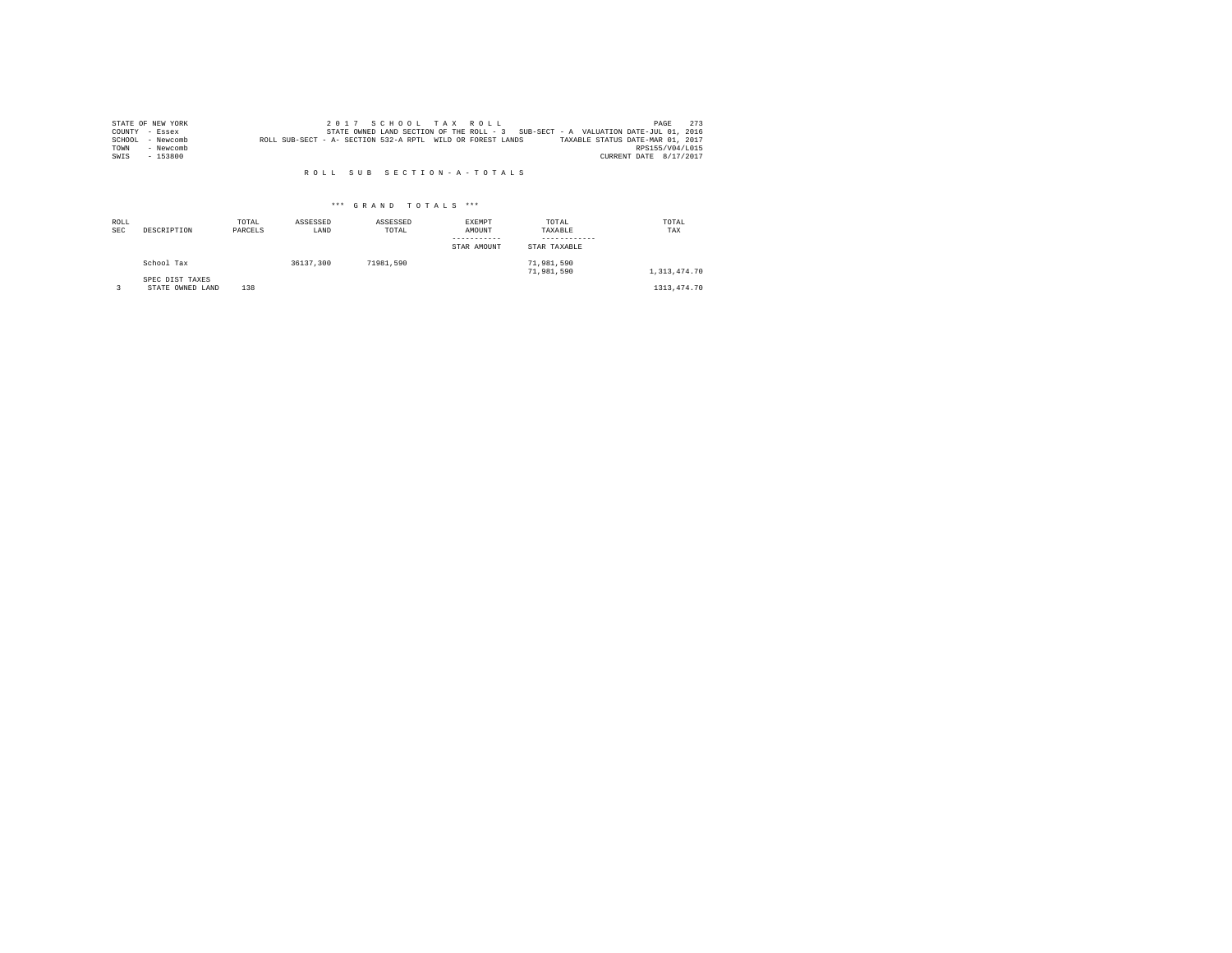|      | STATE OF NEW YORK |                                                            |  |  | 2017 SCHOOL TAX ROLL |                                                                                   |                                  | PAGE                   | 273 |
|------|-------------------|------------------------------------------------------------|--|--|----------------------|-----------------------------------------------------------------------------------|----------------------------------|------------------------|-----|
|      | COUNTY - Essex    |                                                            |  |  |                      | STATE OWNED LAND SECTION OF THE ROLL - 3 SUB-SECT - A VALUATION DATE-JUL 01, 2016 |                                  |                        |     |
|      | SCHOOL - Newcomb  | ROLL SUB-SECT - A- SECTION 532-A RPTL WILD OR FOREST LANDS |  |  |                      |                                                                                   | TAXABLE STATUS DATE-MAR 01, 2017 |                        |     |
| TOWN | - Newcomb         |                                                            |  |  |                      |                                                                                   |                                  | RPS155/V04/L015        |     |
| SWIS | $-153800$         |                                                            |  |  |                      |                                                                                   |                                  | CURRENT DATE 8/17/2017 |     |

#### R O L L S U B S E C T I O N - A - T O T A L S

| ROLL<br><b>SEC</b> | DESCRIPTION                         | TOTAL<br>PARCELS | ASSESSED<br>LAND | ASSESSED<br>TOTAL | EXEMPT<br>AMOUNT<br>STAR AMOUNT | TOTAL<br>TAXABLE<br>STAR TAXABLE | TOTAL<br>TAX    |
|--------------------|-------------------------------------|------------------|------------------|-------------------|---------------------------------|----------------------------------|-----------------|
|                    | School Tax                          |                  | 36137,300        | 71981.590         |                                 | 71,981,590<br>71,981,590         | 1, 313, 474, 70 |
|                    | SPEC DIST TAXES<br>STATE OWNED LAND | 138              |                  |                   |                                 |                                  | 1313, 474. 70   |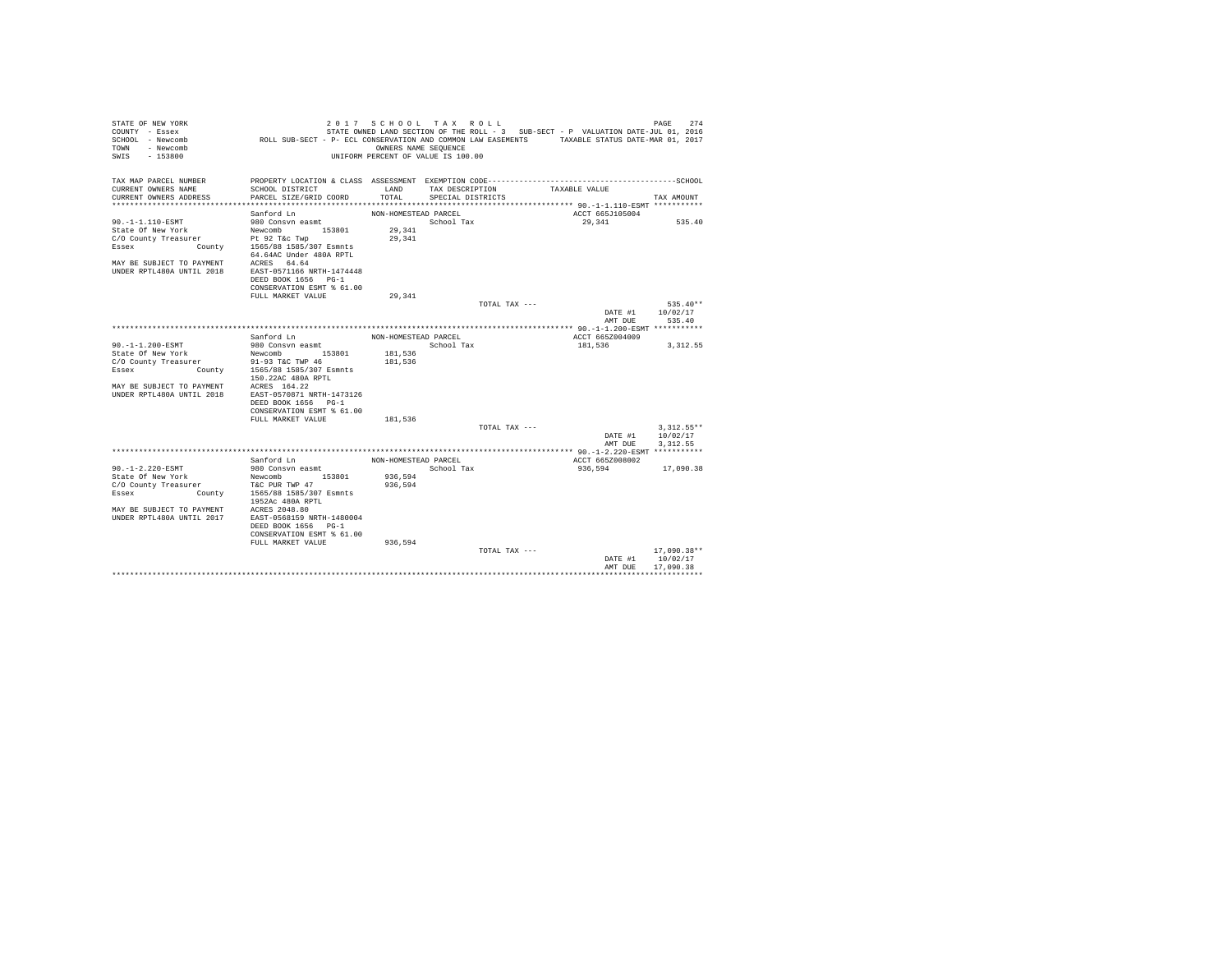| STATE OF NEW YORK<br>COUNTY - Essex                      |                                                                                               | 2017 SCHOOL TAX ROLL               |                   |               | STATE OWNED LAND SECTION OF THE ROLL - 3 SUB-SECT - P VALUATION DATE-JUL 01, 2016 | PAGE                                | 274 |
|----------------------------------------------------------|-----------------------------------------------------------------------------------------------|------------------------------------|-------------------|---------------|-----------------------------------------------------------------------------------|-------------------------------------|-----|
| SCHOOL - Newcomb<br>- Newcomb<br>TOWN                    | ROLL SUB-SECT - P- ECL CONSERVATION AND COMMON LAW EASEMENTS TAXABLE STATUS DATE-MAR 01, 2017 | OWNERS NAME SEOUENCE               |                   |               |                                                                                   |                                     |     |
| SWTS<br>$-153800$                                        |                                                                                               | UNIFORM PERCENT OF VALUE IS 100.00 |                   |               |                                                                                   |                                     |     |
| TAX MAP PARCEL NUMBER                                    | PROPERTY LOCATION & CLASS ASSESSMENT EXEMPTION CODE------------------------                   |                                    |                   |               |                                                                                   | ---------------SCHOOL               |     |
| CURRENT OWNERS NAME                                      | SCHOOL DISTRICT                                                                               | LAND                               | TAX DESCRIPTION   |               | TAXABLE VALUE                                                                     |                                     |     |
| CURRENT OWNERS ADDRESS                                   | PARCEL SIZE/GRID COORD                                                                        | TOTAL                              | SPECIAL DISTRICTS |               |                                                                                   | TAX AMOUNT                          |     |
|                                                          |                                                                                               |                                    |                   |               |                                                                                   |                                     |     |
|                                                          | Sanford Ln                                                                                    | NON-HOMESTEAD PARCEL               |                   |               | ACCT 665J105004                                                                   |                                     |     |
| 90. -1-1.110-ESMT                                        | 980 Consvn easmt<br>153801                                                                    |                                    | School Tax        |               | 29,341                                                                            | 535.40                              |     |
| State Of New York<br>C/O County Treasurer                | Newcomb<br>Pt 92 T&c Twp                                                                      | 29,341<br>29,341                   |                   |               |                                                                                   |                                     |     |
| County<br>Essex                                          | 1565/88 1585/307 Esmnts                                                                       |                                    |                   |               |                                                                                   |                                     |     |
|                                                          | 64.64AC Under 480A RPTL                                                                       |                                    |                   |               |                                                                                   |                                     |     |
| MAY BE SUBJECT TO PAYMENT<br>IINDER RPTL480A IINTIL 2018 | ACRES 64.64                                                                                   |                                    |                   |               |                                                                                   |                                     |     |
|                                                          | EAST-0571166 NRTH-1474448<br>DEED BOOK 1656 PG-1                                              |                                    |                   |               |                                                                                   |                                     |     |
|                                                          | CONSERVATION ESMT % 61.00                                                                     |                                    |                   |               |                                                                                   |                                     |     |
|                                                          | FULL MARKET VALUE                                                                             | 29.341                             |                   |               |                                                                                   |                                     |     |
|                                                          |                                                                                               |                                    |                   | TOTAL TAX --- |                                                                                   | $535.40**$                          |     |
|                                                          |                                                                                               |                                    |                   |               |                                                                                   | DATE #1<br>10/02/17                 |     |
|                                                          |                                                                                               |                                    |                   |               |                                                                                   | AMT DUE<br>535.40                   |     |
|                                                          |                                                                                               |                                    |                   |               |                                                                                   |                                     |     |
|                                                          | Sanford Ln                                                                                    | NON-HOMESTEAD PARCEL               |                   |               | ACCT 665Z004009                                                                   |                                     |     |
| 90. -1-1.200-ESMT                                        | 980 Consvn easmt                                                                              | 181.536                            | School Tax        |               | 181,536                                                                           | 3, 312.55                           |     |
| State Of New York<br>C/O County Treasurer                | Newcomb 153801<br>91-93 T&C TWP 46                                                            | 181,536                            |                   |               |                                                                                   |                                     |     |
| Essex                                                    | County 1565/88 1585/307 Esmnts                                                                |                                    |                   |               |                                                                                   |                                     |     |
|                                                          | 150.22AC 480A RPTL                                                                            |                                    |                   |               |                                                                                   |                                     |     |
| MAY RE SUBJECT TO PAYMENT                                | ACRES 164.22                                                                                  |                                    |                   |               |                                                                                   |                                     |     |
| UNDER RPTL480A UNTIL 2018                                | EAST-0570871 NRTH-1473126                                                                     |                                    |                   |               |                                                                                   |                                     |     |
|                                                          | DEED BOOK 1656 PG-1                                                                           |                                    |                   |               |                                                                                   |                                     |     |
|                                                          | CONSERVATION ESMT % 61.00                                                                     |                                    |                   |               |                                                                                   |                                     |     |
|                                                          | FULL MARKET VALUE                                                                             | 181.536                            |                   |               |                                                                                   |                                     |     |
|                                                          |                                                                                               |                                    |                   | TOTAL TAX --- |                                                                                   | $3.312.55**$<br>DATE #1<br>10/02/17 |     |
|                                                          |                                                                                               |                                    |                   |               |                                                                                   | 3.312.55<br>AMT DUE                 |     |
|                                                          |                                                                                               |                                    |                   |               |                                                                                   |                                     |     |
|                                                          | Sanford Ln                                                                                    | NON-HOMESTEAD PARCEL               |                   |               | ACCT 665Z008002                                                                   |                                     |     |
| $90. -1 - 2.220 - ESMT$                                  | 980 Consvn easmt                                                                              |                                    | School Tax        |               | 936,594                                                                           | 17,090.38                           |     |
| State Of New York                                        | 153801<br>Newcomb                                                                             | 936.594                            |                   |               |                                                                                   |                                     |     |
| C/O County Treasurer                                     | T&C PUR TWP 47                                                                                | 936,594                            |                   |               |                                                                                   |                                     |     |
| County<br>Essex                                          | 1565/88 1585/307 Esmnts<br>1952Ac 480A RPTL                                                   |                                    |                   |               |                                                                                   |                                     |     |
| MAY BE SUBJECT TO PAYMENT                                | ACRES 2048.80                                                                                 |                                    |                   |               |                                                                                   |                                     |     |
| IINDER RPTL480A IINTIL 2017                              | EAST-0568159 NRTH-1480004                                                                     |                                    |                   |               |                                                                                   |                                     |     |
|                                                          | DEED BOOK 1656 PG-1                                                                           |                                    |                   |               |                                                                                   |                                     |     |
|                                                          | CONSERVATION ESMT % 61.00                                                                     |                                    |                   |               |                                                                                   |                                     |     |
|                                                          | FULL MARKET VALUE                                                                             | 936,594                            |                   | TOTAL TAX --- |                                                                                   | $17,090.38**$                       |     |
|                                                          |                                                                                               |                                    |                   |               |                                                                                   | 10/02/17<br>DATE #1                 |     |
|                                                          |                                                                                               |                                    |                   |               |                                                                                   | AMT DHE<br>17,090.38                |     |
|                                                          |                                                                                               |                                    |                   |               |                                                                                   |                                     |     |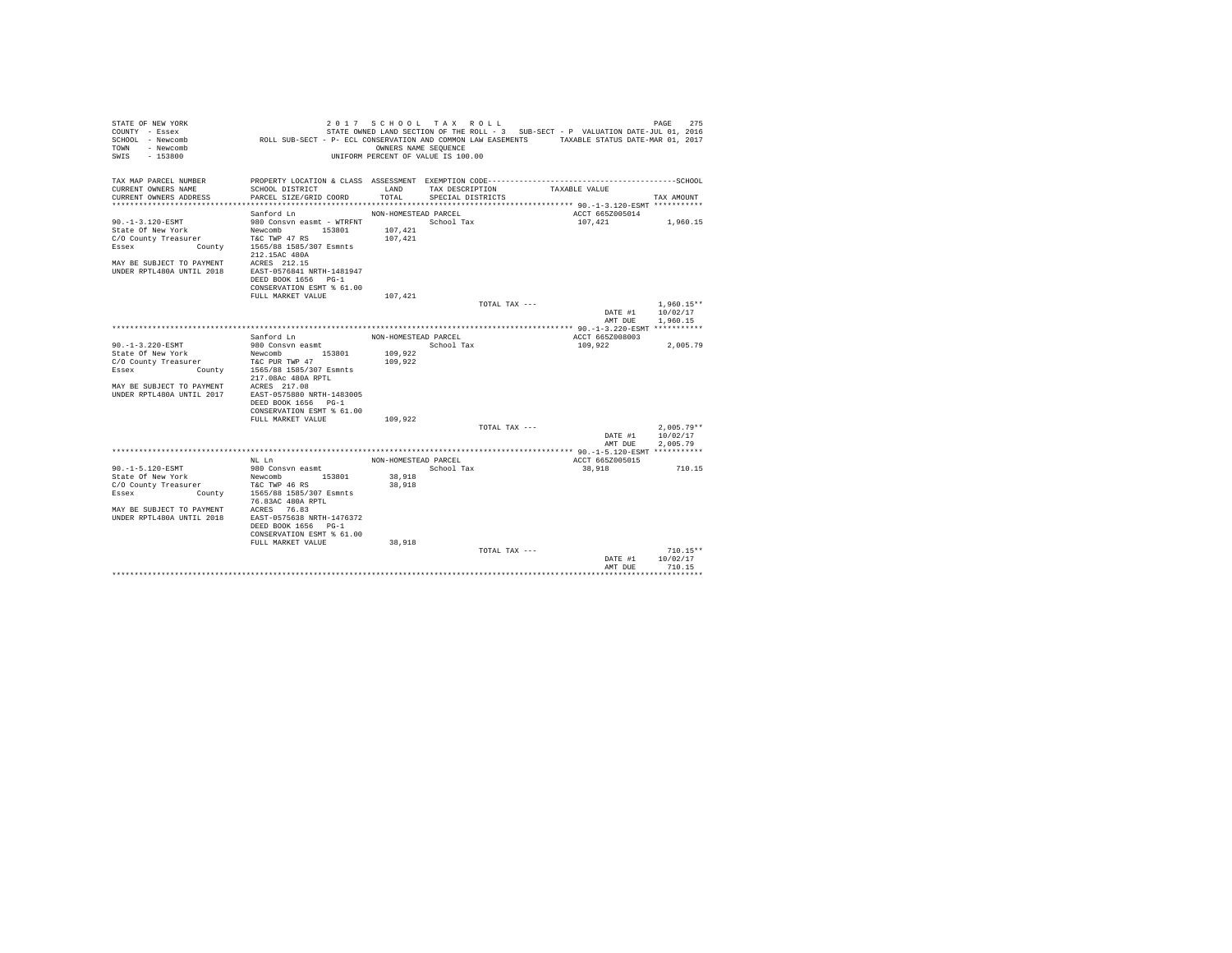| STATE OF NEW YORK<br>COUNTY - Essex<br>SCHOOL - Newcomb                                                        | ROLL SUB-SECT - P- ECL CONSERVATION AND COMMON LAW EASEMENTS TAXABLE STATUS DATE-MAR 01, 2017 |                      | 2017 SCHOOL TAX ROLL               |               | STATE OWNED LAND SECTION OF THE ROLL - 3 SUB-SECT - P VALUATION DATE-JUL 01, 2016 | 275<br>PAGE                      |
|----------------------------------------------------------------------------------------------------------------|-----------------------------------------------------------------------------------------------|----------------------|------------------------------------|---------------|-----------------------------------------------------------------------------------|----------------------------------|
| TOWN - Newcomb<br>SWIS<br>$-153800$                                                                            |                                                                                               | OWNERS NAME SEQUENCE | UNIFORM PERCENT OF VALUE IS 100.00 |               |                                                                                   |                                  |
| TAX MAP PARCEL NUMBER                                                                                          |                                                                                               |                      |                                    |               |                                                                                   |                                  |
| CURRENT OWNERS NAME                                                                                            | SCHOOL DISTRICT                                                                               | LAND                 | TAX DESCRIPTION                    |               | TAXABLE VALUE                                                                     |                                  |
| CURRENT OWNERS ADDRESS                                                                                         | PARCEL SIZE/GRID COORD                                                                        | TOTAL                | SPECIAL DISTRICTS                  |               |                                                                                   | TAX AMOUNT                       |
|                                                                                                                |                                                                                               |                      |                                    |               |                                                                                   |                                  |
| 90. -1-3.120-ESMT                                                                                              | Sanford Ln<br>980 Consvn easmt - WTRFNT Market School Tax                                     | NON-HOMESTEAD PARCEL |                                    |               | ACCT 665Z005014<br>107,421                                                        | 1,960.15                         |
|                                                                                                                |                                                                                               | 107.421              |                                    |               |                                                                                   |                                  |
|                                                                                                                |                                                                                               | 107.421              |                                    |               |                                                                                   |                                  |
| State Of New York Mewcomb 153801<br>C/O County Treasurer T&C TWP 47 RS<br>Essex County 15655/881585/307 Esmnts | 212.15AC 480A                                                                                 |                      |                                    |               |                                                                                   |                                  |
| MAY BE SUBJECT TO PAYMENT ACRES 212.15                                                                         |                                                                                               |                      |                                    |               |                                                                                   |                                  |
| UNDER RPTL480A UNTIL 2018                                                                                      | EAST-0576841 NRTH-1481947                                                                     |                      |                                    |               |                                                                                   |                                  |
|                                                                                                                | DEED BOOK 1656 PG-1                                                                           |                      |                                    |               |                                                                                   |                                  |
|                                                                                                                | CONSERVATION ESMT % 61.00                                                                     |                      |                                    |               |                                                                                   |                                  |
|                                                                                                                | FULL MARKET VALUE                                                                             | 107,421              |                                    |               |                                                                                   |                                  |
|                                                                                                                |                                                                                               |                      |                                    | TOTAL TAX --- |                                                                                   | $1,960.15**$                     |
|                                                                                                                |                                                                                               |                      |                                    |               | DATE #1                                                                           | 10/02/17                         |
|                                                                                                                |                                                                                               |                      |                                    |               | AMT DUE                                                                           | 1,960.15                         |
|                                                                                                                | Sanford Ln                                                                                    |                      |                                    |               | ACCT 665Z008003                                                                   |                                  |
| 90. -1-3.220-ESMT                                                                                              | 980 Consvn easmt                                                                              | NON-HOMESTEAD PARCEL | School Tax                         |               | 109,922                                                                           | 2,005.79                         |
| State Of New York                                                                                              |                                                                                               | 109,922              |                                    |               |                                                                                   |                                  |
| C/O County Treasurer                                                                                           |                                                                                               | 109,922              |                                    |               |                                                                                   |                                  |
| Essex                                                                                                          | New York Mewcomb 153801<br>ty Treasurer T&C PUR TWP 47<br>County 1565/88 1585/307 Esmnts      |                      |                                    |               |                                                                                   |                                  |
|                                                                                                                | 217.08Ac 480A RPTL                                                                            |                      |                                    |               |                                                                                   |                                  |
| MAY BE SUBJECT TO PAYMENT ACRES 217.08                                                                         |                                                                                               |                      |                                    |               |                                                                                   |                                  |
| UNDER RPTL480A UNTIL 2017                                                                                      | EAST-0575880 NRTH-1483005                                                                     |                      |                                    |               |                                                                                   |                                  |
|                                                                                                                | DEED BOOK 1656 PG-1                                                                           |                      |                                    |               |                                                                                   |                                  |
|                                                                                                                | CONSERVATION ESMT % 61.00                                                                     |                      |                                    |               |                                                                                   |                                  |
|                                                                                                                | FULL MARKET VALUE                                                                             | 109,922              |                                    |               |                                                                                   |                                  |
|                                                                                                                |                                                                                               |                      |                                    | TOTAL TAX --- |                                                                                   | $2.005.79**$<br>DATE #1 10/02/17 |
|                                                                                                                |                                                                                               |                      |                                    |               | AMT DUE                                                                           | 2,005.79                         |
|                                                                                                                | NL Ln                                                                                         | NON-HOMESTEAD PARCEL |                                    |               | ACCT 665Z005015                                                                   |                                  |
| 90. -1-5.120-ESMT                                                                                              | 980 Consvn easmt                                                                              |                      | School Tax                         |               | 38,918                                                                            | 710.15                           |
| State Of New York                                                                                              |                                                                                               | 38,918               |                                    |               |                                                                                   |                                  |
| C/O County Treasurer                                                                                           |                                                                                               | 38,918               |                                    |               |                                                                                   |                                  |
| Essex                                                                                                          | New York Mewcomb 153801<br>ty Treasurer T&C TWP 46 RS<br>County 1565/88 1585/307 Esmnts       |                      |                                    |               |                                                                                   |                                  |
|                                                                                                                | 76.83AC 480A RPTL                                                                             |                      |                                    |               |                                                                                   |                                  |
| MAY BE SUBJECT TO PAYMENT ACRES 76.83                                                                          |                                                                                               |                      |                                    |               |                                                                                   |                                  |
| UNDER RPTL480A UNTIL 2018                                                                                      | EAST-0575638 NRTH-1476372                                                                     |                      |                                    |               |                                                                                   |                                  |
|                                                                                                                | DEED BOOK 1656 PG-1                                                                           |                      |                                    |               |                                                                                   |                                  |
|                                                                                                                | CONSERVATION ESMT % 61.00<br>FULL MARKET VALUE                                                | 38,918               |                                    |               |                                                                                   |                                  |
|                                                                                                                |                                                                                               |                      |                                    | TOTAL TAX --- |                                                                                   | $710.15**$                       |
|                                                                                                                |                                                                                               |                      |                                    |               | DATE #1                                                                           | 10/02/17                         |
|                                                                                                                |                                                                                               |                      |                                    |               | AMT DUE                                                                           | 710.15                           |
|                                                                                                                |                                                                                               |                      |                                    |               |                                                                                   |                                  |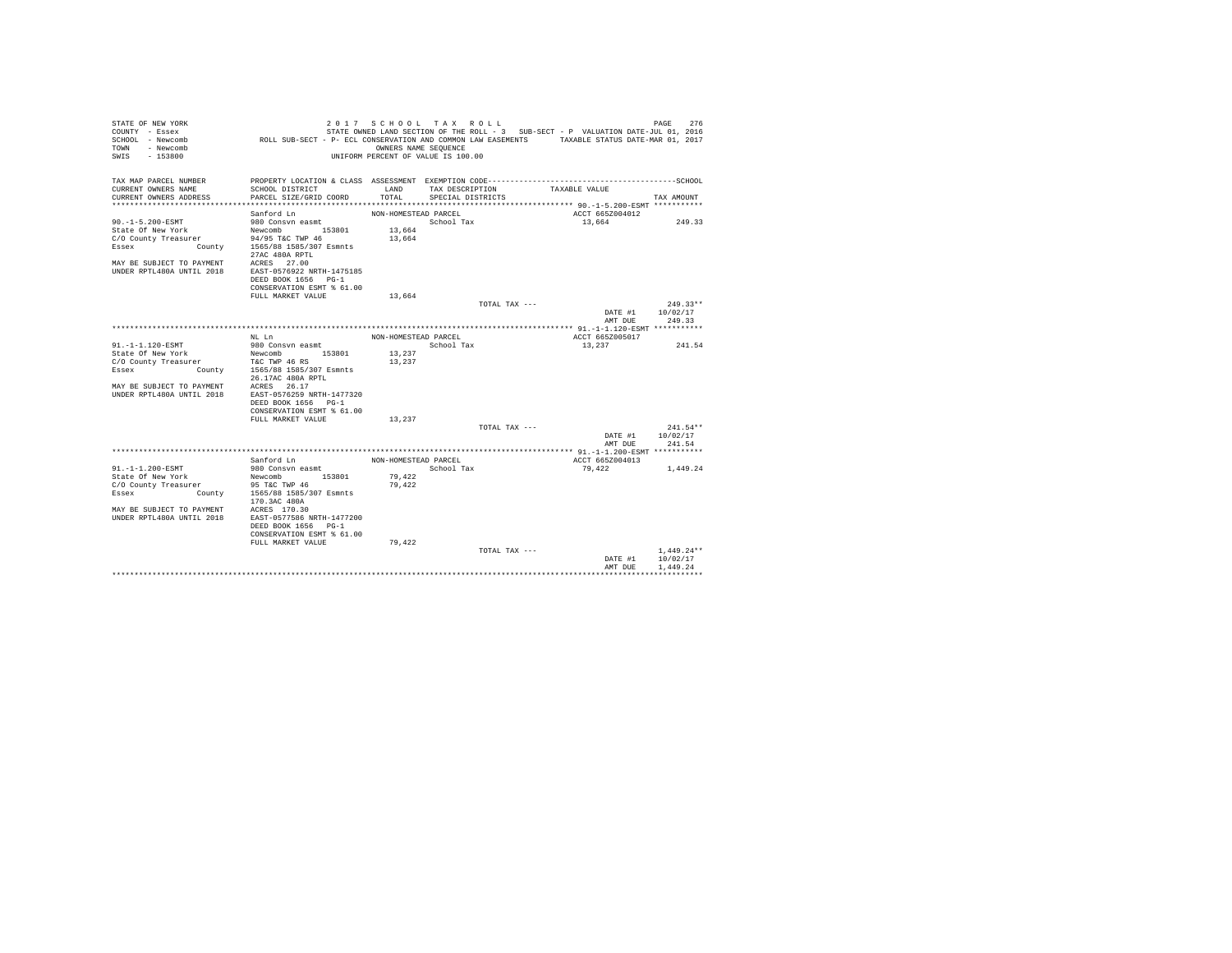| STATE OF NEW YORK<br>COUNTY - Essex                        |                                                                                               | 2017 SCHOOL TAX ROLL                                       |                                      |               | STATE OWNED LAND SECTION OF THE ROLL - 3 SUB-SECT - P VALUATION DATE-JUL 01, 2016 | PAGE<br>276            |
|------------------------------------------------------------|-----------------------------------------------------------------------------------------------|------------------------------------------------------------|--------------------------------------|---------------|-----------------------------------------------------------------------------------|------------------------|
| SCHOOL - Newcomb<br>- Newcomb<br>TOWN<br>SWIS<br>$-153800$ | ROLL SUB-SECT - P- ECL CONSERVATION AND COMMON LAW EASEMENTS TAXABLE STATUS DATE-MAR 01, 2017 | OWNERS NAME SEOUENCE<br>UNIFORM PERCENT OF VALUE IS 100.00 |                                      |               |                                                                                   |                        |
|                                                            |                                                                                               |                                                            |                                      |               |                                                                                   |                        |
| TAX MAP PARCEL NUMBER                                      | PROPERTY LOCATION & CLASS ASSESSMENT EXEMPTION CODE----------------------                     |                                                            |                                      |               |                                                                                   | ----------------SCHOOL |
| CURRENT OWNERS NAME<br>CURRENT OWNERS ADDRESS              | SCHOOL DISTRICT<br>PARCEL SIZE/GRID COORD                                                     | LAND<br>TOTAL                                              | TAX DESCRIPTION<br>SPECIAL DISTRICTS |               | TAXABLE VALUE                                                                     | TAX AMOUNT             |
|                                                            |                                                                                               |                                                            |                                      |               |                                                                                   |                        |
|                                                            | Sanford Ln                                                                                    | NON-HOMESTEAD PARCEL                                       |                                      |               | ACCT 665Z004012                                                                   |                        |
| $90. -1 - 5.200 - ESMT$                                    | 980 Consvn easmt                                                                              |                                                            | School Tax                           |               | 13,664                                                                            | 249.33                 |
| State Of New York                                          | Newcomb 153801                                                                                | 13,664                                                     |                                      |               |                                                                                   |                        |
| C/O County Treasurer                                       | 94/95 T&C TWP 46                                                                              | 13,664                                                     |                                      |               |                                                                                   |                        |
| Essex                                                      | County 1565/88 1585/307 Esmnts                                                                |                                                            |                                      |               |                                                                                   |                        |
| MAY BE SUBJECT TO PAYMENT                                  | 27AC 480A RPTL<br>ACRES 27.00                                                                 |                                                            |                                      |               |                                                                                   |                        |
| IINDER RPTL480A IINTIL 2018                                | EAST-0576922 NRTH-1475185                                                                     |                                                            |                                      |               |                                                                                   |                        |
|                                                            | DEED BOOK 1656 PG-1                                                                           |                                                            |                                      |               |                                                                                   |                        |
|                                                            | CONSERVATION ESMT % 61.00                                                                     |                                                            |                                      |               |                                                                                   |                        |
|                                                            | FULL MARKET VALUE                                                                             | 13,664                                                     |                                      |               |                                                                                   |                        |
|                                                            |                                                                                               |                                                            |                                      | TOTAL TAX --- |                                                                                   | $249.33**$             |
|                                                            |                                                                                               |                                                            |                                      |               | DATE #1                                                                           | 10/02/17               |
|                                                            |                                                                                               |                                                            |                                      |               | AMT DUE                                                                           | 249.33                 |
|                                                            |                                                                                               |                                                            |                                      |               | ACCT 665Z005017                                                                   |                        |
| 91.-1-1.120-ESMT                                           | NT. T.n<br>980 Consvn easmt                                                                   | NON-HOMESTEAD PARCEL                                       | School Tax                           |               | 13,237                                                                            | 241.54                 |
| State Of New York                                          | Newcomb 153801                                                                                | 13,237                                                     |                                      |               |                                                                                   |                        |
| C/O County Treasurer                                       | T&C TWP 46 RS                                                                                 | 13,237                                                     |                                      |               |                                                                                   |                        |
| Essex                                                      | County 1565/88 1585/307 Esmnts                                                                |                                                            |                                      |               |                                                                                   |                        |
|                                                            | 26.17AC 480A RPTL                                                                             |                                                            |                                      |               |                                                                                   |                        |
| MAY RE SUBJECT TO PAYMENT                                  | ACRES 26.17                                                                                   |                                                            |                                      |               |                                                                                   |                        |
| UNDER RPTL480A UNTIL 2018                                  | EAST-0576259 NRTH-1477320                                                                     |                                                            |                                      |               |                                                                                   |                        |
|                                                            | DEED BOOK 1656 PG-1<br>CONSERVATION ESMT % 61.00                                              |                                                            |                                      |               |                                                                                   |                        |
|                                                            | FULL MARKET VALUE                                                                             | 13,237                                                     |                                      |               |                                                                                   |                        |
|                                                            |                                                                                               |                                                            |                                      | TOTAL TAX --- |                                                                                   | $241.54**$             |
|                                                            |                                                                                               |                                                            |                                      |               | DATE #1                                                                           | 10/02/17               |
|                                                            |                                                                                               |                                                            |                                      |               | AMT DUE                                                                           | 241.54                 |
|                                                            |                                                                                               |                                                            |                                      |               |                                                                                   |                        |
| 91. -1-1.200-ESMT                                          | Sanford Ln                                                                                    | NON-HOMESTEAD PARCEL                                       |                                      |               | ACCT 665Z004013                                                                   |                        |
| State Of New York                                          | 980 Consvn easmt<br>153801<br>Newcomb                                                         | 79,422                                                     | School Tax                           |               | 79.422                                                                            | 1,449.24               |
| C/O County Treasurer                                       | 95 T&C TWP 46                                                                                 | 79,422                                                     |                                      |               |                                                                                   |                        |
| County<br>Essex                                            | 1565/88 1585/307 Esmnts                                                                       |                                                            |                                      |               |                                                                                   |                        |
|                                                            | 170.3AC 480A                                                                                  |                                                            |                                      |               |                                                                                   |                        |
| MAY BE SUBJECT TO PAYMENT                                  | ACRES 170.30                                                                                  |                                                            |                                      |               |                                                                                   |                        |
| IINDER RPTL480A IINTIL 2018                                | EAST-0577586 NRTH-1477200                                                                     |                                                            |                                      |               |                                                                                   |                        |
|                                                            | DEED BOOK 1656 PG-1                                                                           |                                                            |                                      |               |                                                                                   |                        |
|                                                            | CONSERVATION ESMT % 61.00                                                                     |                                                            |                                      |               |                                                                                   |                        |
|                                                            | FULL MARKET VALUE                                                                             | 79,422                                                     |                                      | TOTAL TAX --- |                                                                                   | $1,449.24**$           |
|                                                            |                                                                                               |                                                            |                                      |               | DATE #1                                                                           | 10/02/17               |
|                                                            |                                                                                               |                                                            |                                      |               | AMT DHE                                                                           | 1,449.24               |
|                                                            |                                                                                               |                                                            |                                      |               |                                                                                   |                        |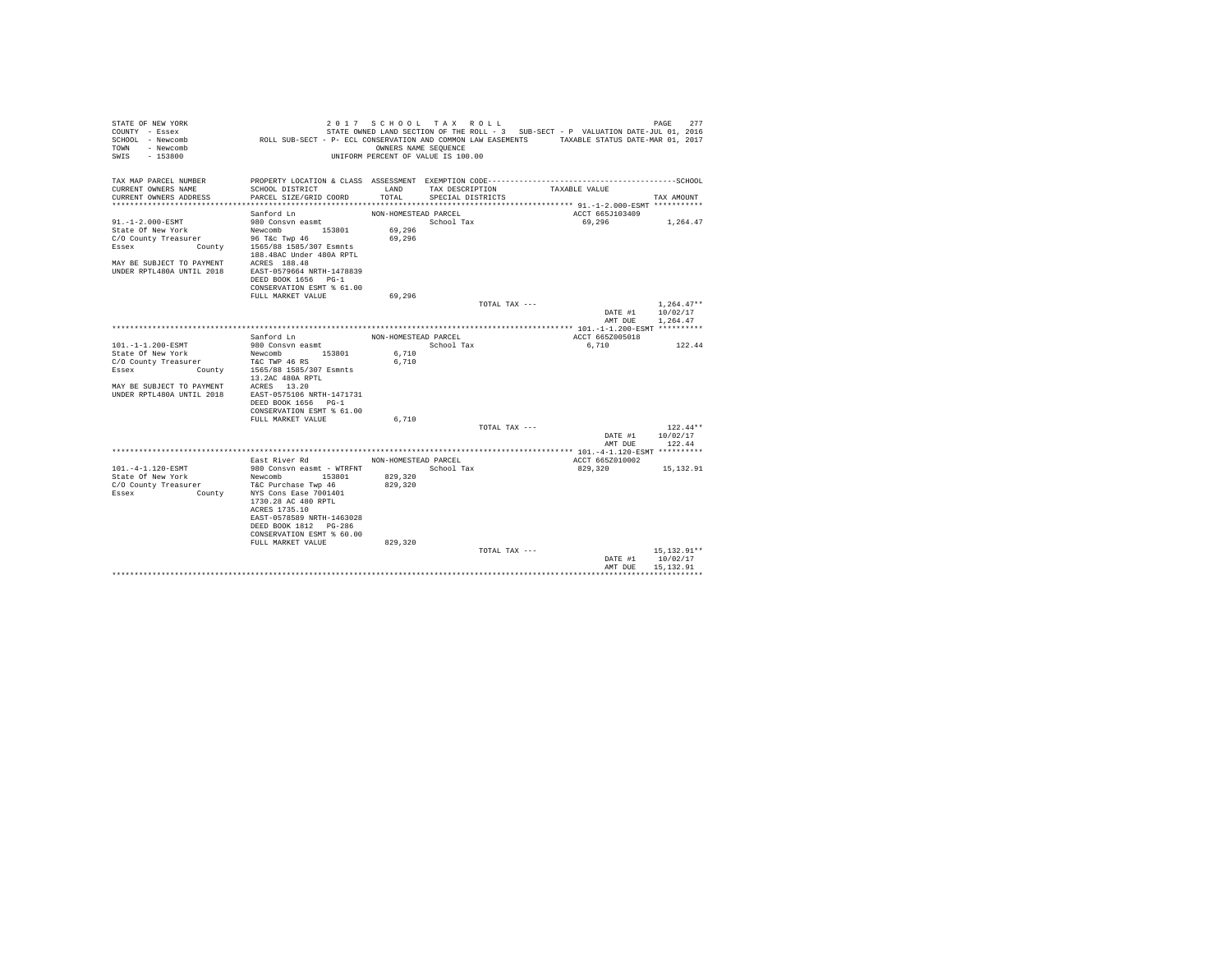| STATE OF NEW YORK<br>COUNTY - Essex                        | ROLL SUB-SECT - P- ECL CONSERVATION AND COMMON LAW EASEMENTS TAXABLE STATUS DATE-MAR 01, 2017                             |                      | 2017 SCHOOL TAX ROLL               |               | STATE OWNED LAND SECTION OF THE ROLL - 3 SUB-SECT - P VALUATION DATE-JUL 01, 2016 |         | 277<br>PAGE   |
|------------------------------------------------------------|---------------------------------------------------------------------------------------------------------------------------|----------------------|------------------------------------|---------------|-----------------------------------------------------------------------------------|---------|---------------|
| SCHOOL - Newcomb<br>TOWN<br>- Newcomb<br>SWTS<br>$-153800$ |                                                                                                                           | OWNERS NAME SEQUENCE | UNIFORM PERCENT OF VALUE IS 100.00 |               |                                                                                   |         |               |
| TAX MAP PARCEL NUMBER                                      |                                                                                                                           |                      |                                    |               |                                                                                   |         |               |
| CURRENT OWNERS NAME                                        | SCHOOL DISTRICT                                                                                                           | LAND                 | TAX DESCRIPTION                    |               | TAXABLE VALUE                                                                     |         |               |
| CURRENT OWNERS ADDRESS                                     | PARCEL SIZE/GRID COORD                                                                                                    | TOTAL                | SPECIAL DISTRICTS                  |               |                                                                                   |         | TAX AMOUNT    |
|                                                            | Sanford Ln                                                                                                                | NON-HOMESTEAD PARCEL |                                    |               | ACCT 665J103409                                                                   |         |               |
| 91.-1-2.000-ESMT                                           | 980 Consvn easmt                                                                                                          |                      | School Tax                         |               | 69,296                                                                            |         | 1,264.47      |
| State Of New York                                          | Newcomb 153801                                                                                                            | 69,296               |                                    |               |                                                                                   |         |               |
| C/O County Treasurer                                       |                                                                                                                           | 69,296               |                                    |               |                                                                                   |         |               |
| Essex                                                      | nt New York. New York 2016.<br>Inty Treasurer 96 T&C Twp 46<br>County 1565/88 1585/307 Esmnts<br>188.48AC Under 480A RPTL |                      |                                    |               |                                                                                   |         |               |
| MAY BE SUBJECT TO PAYMENT ACRES 188.48                     |                                                                                                                           |                      |                                    |               |                                                                                   |         |               |
| UNDER RPTL480A UNTIL 2018                                  | EAST-0579664 NRTH-1478839                                                                                                 |                      |                                    |               |                                                                                   |         |               |
|                                                            | DEED BOOK 1656 PG-1                                                                                                       |                      |                                    |               |                                                                                   |         |               |
|                                                            | CONSERVATION ESMT % 61.00                                                                                                 |                      |                                    |               |                                                                                   |         |               |
|                                                            | FULL MARKET VALUE                                                                                                         | 69.296               |                                    |               |                                                                                   |         |               |
|                                                            |                                                                                                                           |                      |                                    | TOTAL TAX --- |                                                                                   |         | $1,264.47**$  |
|                                                            |                                                                                                                           |                      |                                    |               | DATE #1                                                                           |         | 10/02/17      |
|                                                            |                                                                                                                           |                      |                                    |               |                                                                                   | AMT DUE | 1,264.47      |
|                                                            | Sanford Ln                                                                                                                | NON-HOMESTEAD PARCEL |                                    |               | ACCT 665Z005018                                                                   |         |               |
| 101.-1-1.200-ESMT                                          | 980 Consvn easmt                                                                                                          |                      | School Tax                         |               | 6,710                                                                             |         | 122.44        |
| State Of New York                                          | Newcomb 153801                                                                                                            | 6,710                |                                    |               |                                                                                   |         |               |
| C/O County Treasurer                                       | T&C TWP 46 RS                                                                                                             | 6.710                |                                    |               |                                                                                   |         |               |
| Essex                                                      | County 1565/88 1585/307 Esmnts                                                                                            |                      |                                    |               |                                                                                   |         |               |
|                                                            | 13.2AC 480A RPTL                                                                                                          |                      |                                    |               |                                                                                   |         |               |
| MAY BE SUBJECT TO PAYMENT ACRES 13.20                      |                                                                                                                           |                      |                                    |               |                                                                                   |         |               |
| UNDER RPTL480A UNTIL 2018                                  | EAST-0575106 NRTH-1471731                                                                                                 |                      |                                    |               |                                                                                   |         |               |
|                                                            | DEED BOOK 1656 PG-1<br>CONSERVATION ESMT % 61.00                                                                          |                      |                                    |               |                                                                                   |         |               |
|                                                            | FULL MARKET VALUE                                                                                                         | 6,710                |                                    |               |                                                                                   |         |               |
|                                                            |                                                                                                                           |                      |                                    | TOTAL TAX --- |                                                                                   |         | $122.44**$    |
|                                                            |                                                                                                                           |                      |                                    |               | DATE #1                                                                           |         | 10/02/17      |
|                                                            |                                                                                                                           |                      |                                    |               | AMT DUE                                                                           |         | 122.44        |
|                                                            |                                                                                                                           |                      |                                    |               |                                                                                   |         |               |
|                                                            | East River Rd                                                                                                             | NON-HOMESTEAD PARCEL |                                    |               | ACCT 665Z010002                                                                   |         |               |
| 101.-4-1.120-ESMT                                          | 980 Consyn easmt - WTRFNT                                                                                                 |                      | School Tax                         |               | 829,320                                                                           |         | 15,132.91     |
| State Of New York                                          | Newcomb<br>153801                                                                                                         | 829,320              |                                    |               |                                                                                   |         |               |
| C/O County Treasurer<br>Essex<br><b>County</b>             | T&C Purchase Twp 46<br>NYS Cons Ease 7001401                                                                              | 829,320              |                                    |               |                                                                                   |         |               |
|                                                            | 1730.28 AC 480 RPTL                                                                                                       |                      |                                    |               |                                                                                   |         |               |
|                                                            | ACRES 1735.10                                                                                                             |                      |                                    |               |                                                                                   |         |               |
|                                                            | EAST-0578589 NRTH-1463028                                                                                                 |                      |                                    |               |                                                                                   |         |               |
|                                                            | DEED BOOK 1812 PG-286                                                                                                     |                      |                                    |               |                                                                                   |         |               |
|                                                            | CONSERVATION ESMT % 60.00                                                                                                 |                      |                                    |               |                                                                                   |         |               |
|                                                            | FULL MARKET VALUE                                                                                                         | 829,320              |                                    |               |                                                                                   |         |               |
|                                                            |                                                                                                                           |                      |                                    | TOTAL TAX --- |                                                                                   |         | 15, 132, 91** |
|                                                            |                                                                                                                           |                      |                                    |               | DATE #1                                                                           |         | 10/02/17      |
|                                                            |                                                                                                                           |                      |                                    |               | AMT DHE                                                                           |         | 15, 132, 91   |
|                                                            |                                                                                                                           |                      |                                    |               |                                                                                   |         |               |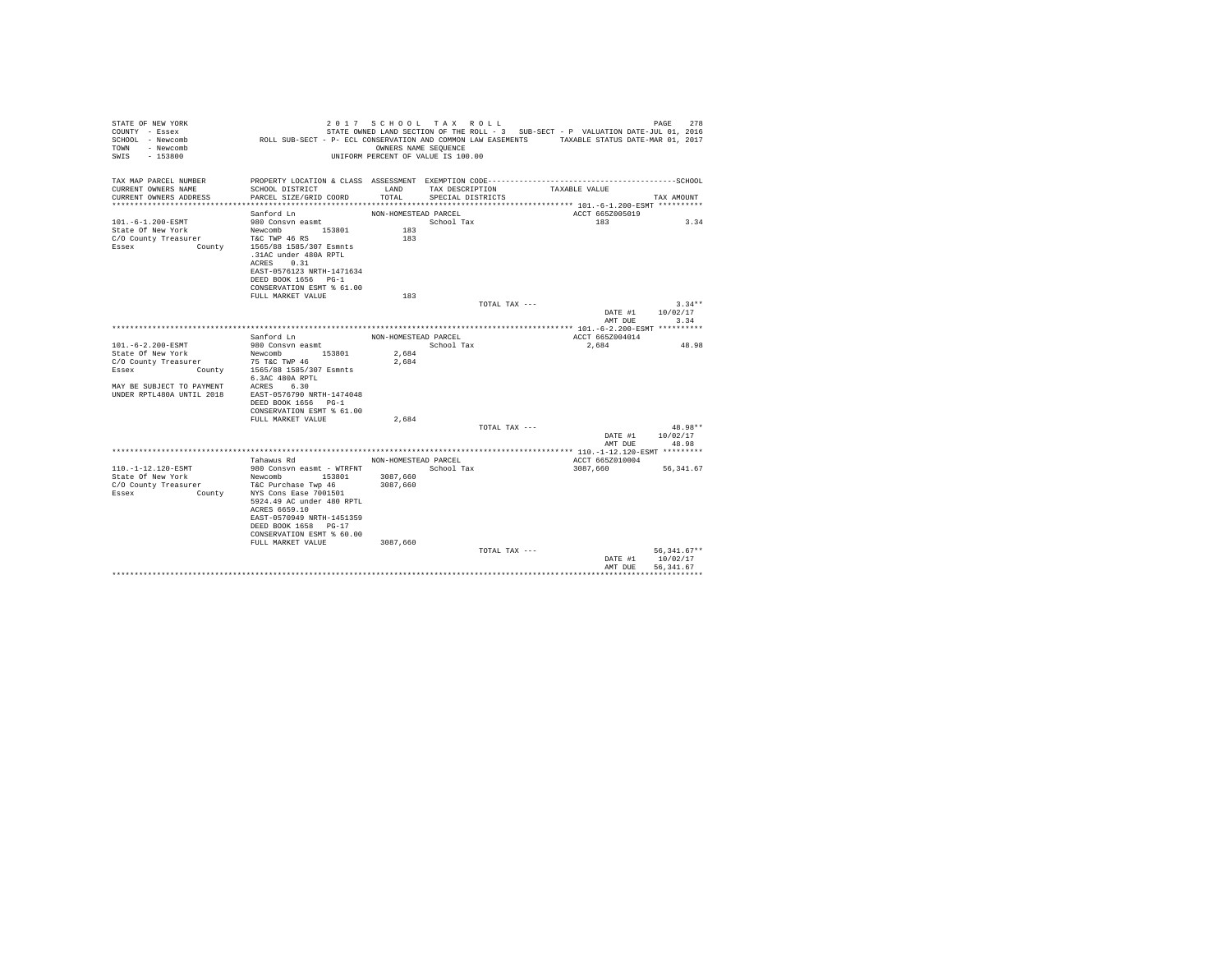| STATE OF NEW YORK<br>COUNTY - Essex                        |                                                                                               | 2017 SCHOOL TAX ROLL                                       |                   |               | STATE OWNED LAND SECTION OF THE ROLL - 3 SUB-SECT - P VALUATION DATE-JUL 01, 2016 |                    | 278<br>PAGE                            |
|------------------------------------------------------------|-----------------------------------------------------------------------------------------------|------------------------------------------------------------|-------------------|---------------|-----------------------------------------------------------------------------------|--------------------|----------------------------------------|
| SCHOOL - Newcomb<br>- Newcomb<br>TOWN<br>SWTS<br>$-153800$ | ROLL SUB-SECT - P- ECL CONSERVATION AND COMMON LAW EASEMENTS TAXABLE STATUS DATE-MAR 01, 2017 | OWNERS NAME SEOUENCE<br>UNIFORM PERCENT OF VALUE IS 100.00 |                   |               |                                                                                   |                    |                                        |
| TAX MAP PARCEL NUMBER                                      | PROPERTY LOCATION & CLASS ASSESSMENT EXEMPTION CODE---------------------                      |                                                            |                   |               |                                                                                   |                    | ---------------SCHOOL                  |
| CURRENT OWNERS NAME                                        | SCHOOL DISTRICT                                                                               | LAND                                                       | TAX DESCRIPTION   |               | TAXABLE VALUE                                                                     |                    |                                        |
| CURRENT OWNERS ADDRESS                                     | PARCEL SIZE/GRID COORD                                                                        | TOTAL                                                      | SPECIAL DISTRICTS |               |                                                                                   |                    | TAX AMOUNT                             |
|                                                            |                                                                                               |                                                            |                   |               |                                                                                   |                    |                                        |
|                                                            | Sanford Ln                                                                                    | NON-HOMESTEAD PARCEL                                       |                   |               | ACCT 665Z005019                                                                   |                    |                                        |
| 101. -6-1.200-ESMT                                         | 980 Consvn easmt                                                                              |                                                            | School Tax        |               | 183                                                                               |                    | 3.34                                   |
| State Of New York                                          | 153801<br>Newcomb                                                                             | 183<br>183                                                 |                   |               |                                                                                   |                    |                                        |
| C/O County Treasurer<br>Essex<br>County                    | T&C TWP 46 RS<br>1565/88 1585/307 Esmnts<br>.31AC under 480A RPTL<br>ACRES 0.31               |                                                            |                   |               |                                                                                   |                    |                                        |
|                                                            | EAST-0576123 NRTH-1471634<br>DEED BOOK 1656 PG-1                                              |                                                            |                   |               |                                                                                   |                    |                                        |
|                                                            | CONSERVATION ESMT % 61.00                                                                     |                                                            |                   |               |                                                                                   |                    |                                        |
|                                                            | FULL MARKET VALUE                                                                             | 183                                                        |                   |               |                                                                                   |                    |                                        |
|                                                            |                                                                                               |                                                            |                   | TOTAL TAX --- |                                                                                   |                    | $3.34**$                               |
|                                                            |                                                                                               |                                                            |                   |               |                                                                                   | DATE #1<br>AMT DUE | 10/02/17<br>3.34                       |
|                                                            |                                                                                               |                                                            |                   |               |                                                                                   |                    |                                        |
|                                                            | Sanford Ln                                                                                    | NON-HOMESTEAD PARCEL                                       |                   |               | ACCT 665Z004014                                                                   |                    |                                        |
| 101.-6-2.200-ESMT                                          | 980 Consvn easmt                                                                              |                                                            | School Tax        |               | 2,684                                                                             |                    | 48.98                                  |
| State Of New York                                          | 153801<br>Newcomb                                                                             | 2.684                                                      |                   |               |                                                                                   |                    |                                        |
| C/O County Treasurer                                       | 75 T&C TWP 46                                                                                 | 2.684                                                      |                   |               |                                                                                   |                    |                                        |
| County<br>Essex                                            | 1565/88 1585/307 Esmnts                                                                       |                                                            |                   |               |                                                                                   |                    |                                        |
| MAY RE SUBJECT TO PAYMENT                                  | 6.3AC 480A RPTL<br>ACRES 6.30                                                                 |                                                            |                   |               |                                                                                   |                    |                                        |
| UNDER RPTL480A UNTIL 2018                                  | EAST-0576790 NRTH-1474048                                                                     |                                                            |                   |               |                                                                                   |                    |                                        |
|                                                            | DEED BOOK 1656 PG-1                                                                           |                                                            |                   |               |                                                                                   |                    |                                        |
|                                                            | CONSERVATION ESMT % 61.00                                                                     |                                                            |                   |               |                                                                                   |                    |                                        |
|                                                            | FULL MARKET VALUE                                                                             | 2.684                                                      |                   |               |                                                                                   |                    |                                        |
|                                                            |                                                                                               |                                                            |                   | TOTAL TAX --- |                                                                                   |                    | $48.98**$                              |
|                                                            |                                                                                               |                                                            |                   |               |                                                                                   | DATE #1<br>AMT DUE | 10/02/17<br>48.98                      |
|                                                            | Tahawus Rd                                                                                    | NON-HOMESTEAD PARCEL                                       |                   |               | ACCT 665Z010004                                                                   |                    |                                        |
| 110. -1-12.120-ESMT                                        | 980 Consyn easmt - WTRFNT                                                                     |                                                            | School Tax        |               | 3087.660                                                                          |                    | 56.341.67                              |
| State Of New York                                          | Newcomb<br>153801                                                                             | 3087,660                                                   |                   |               |                                                                                   |                    |                                        |
| C/O County Treasurer                                       | T&C Purchase Twp 46                                                                           | 3087,660                                                   |                   |               |                                                                                   |                    |                                        |
| Essex<br>County                                            | NYS Cons Ease 7001501<br>5924.49 AC under 480 RPTL<br>ACRES 6659.10                           |                                                            |                   |               |                                                                                   |                    |                                        |
|                                                            | EAST-0570949 NRTH-1451359<br>DEED BOOK 1658 PG-17<br>CONSERVATION ESMT % 60.00                |                                                            |                   |               |                                                                                   |                    |                                        |
|                                                            | FULL MARKET VALUE                                                                             | 3087,660                                                   |                   | TOTAL TAX --- |                                                                                   |                    |                                        |
|                                                            |                                                                                               |                                                            |                   |               |                                                                                   | DATE #1<br>AMT DUE | $56,341.67**$<br>10/02/17<br>56.341.67 |
|                                                            |                                                                                               |                                                            |                   |               |                                                                                   |                    |                                        |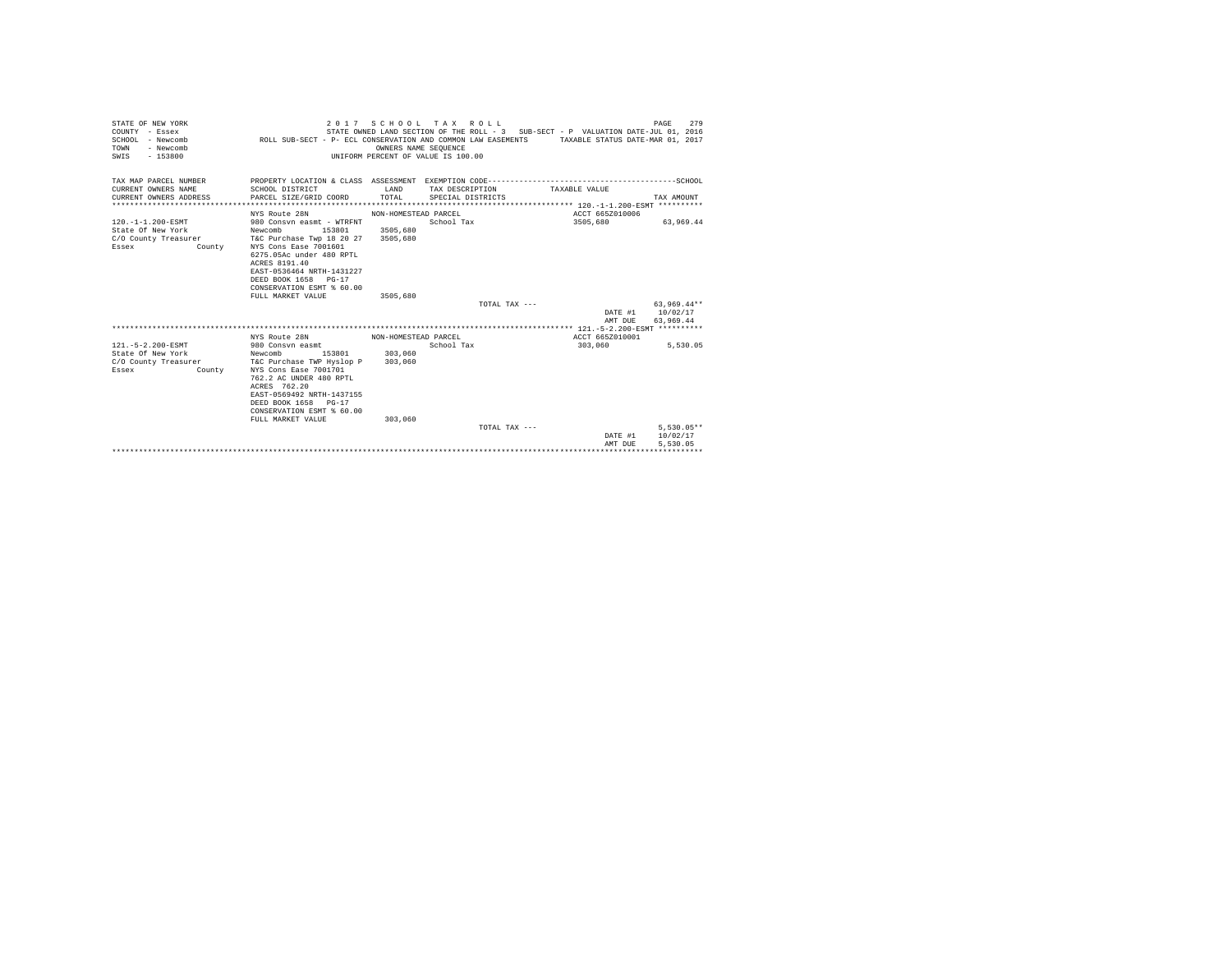| PROPERTY LOCATION & CLASS ASSESSMENT EXEMPTION CODE-----------------------------------SCHOOL<br>TAX MAP PARCEL NUMBER<br>CURRENT OWNERS NAME<br>SCHOOL DISTRICT<br>T.AND<br>TAX DESCRIPTION<br>TAXABLE VALUE<br>TOTAL<br>CURRENT OWNERS ADDRESS<br>PARCEL SIZE/GRID COORD<br>SPECIAL DISTRICTS<br>TAX AMOUNT<br>NYS Route 28N<br>ACCT 665Z010006<br>NON-HOMESTEAD PARCEL<br>3505,680<br>120.-1-1.200-ESMT<br>980 Consyn easmt - WTRFNT<br>School Tax<br>63,969.44<br>State Of New York<br>Newcomb<br>153801<br>3505,680<br>T&C Purchase Twp 18 20 27 3505,680<br>C/O County Treasurer<br>NYS Cons Ease 7001601<br>Essex<br>County<br>6275.05Ac under 480 RPTL<br>ACRES 8191.40<br>EAST-0536464 NRTH-1431227<br>DEED BOOK 1658 PG-17<br>CONSERVATION ESMT % 60.00<br>FULL MARKET VALUE<br>3505,680<br>$63,969.44**$<br>TOTAL TAX $---$<br>10/02/17<br>DATE #1<br>63.969.44<br>AMT DUE<br>NYS Route 28N<br>ACCT 665Z010001<br>NON-HOMESTEAD PARCEL<br>121. - 5 - 2.200 - ESMT<br>980 Consyn easmt<br>School Tax<br>303,060<br>5.530.05<br>State Of New York<br>Newcomb<br>153801<br>303,060<br>T&C Purchase TWP Hyslop P 303,060<br>NYS Cons Ease 7001701<br>Essex<br>County<br>762.2 AC UNDER 480 RPTL<br>ACRES 762.20<br>EAST-0569492 NRTH-1437155 | STATE OF NEW YORK<br>COUNTY - Essex<br>SCHOOL - Newcomb<br>TOWN<br>- Newcomb<br>$-153800$<br>SWIS | ROLL SUB-SECT - P- ECL CONSERVATION AND COMMON LAW EASEMENTS | OWNERS NAME SEOUENCE | 2017 SCHOOL TAX ROLL<br>UNIFORM PERCENT OF VALUE IS 100.00 | STATE OWNED LAND SECTION OF THE ROLL - 3 SUB-SECT - P VALUATION DATE-JUL 01, 2016<br>TAXABLE STATUS DATE-MAR 01, 2017 | 279<br>PAGE |
|----------------------------------------------------------------------------------------------------------------------------------------------------------------------------------------------------------------------------------------------------------------------------------------------------------------------------------------------------------------------------------------------------------------------------------------------------------------------------------------------------------------------------------------------------------------------------------------------------------------------------------------------------------------------------------------------------------------------------------------------------------------------------------------------------------------------------------------------------------------------------------------------------------------------------------------------------------------------------------------------------------------------------------------------------------------------------------------------------------------------------------------------------------------------------------------------------------------------------------------------------|---------------------------------------------------------------------------------------------------|--------------------------------------------------------------|----------------------|------------------------------------------------------------|-----------------------------------------------------------------------------------------------------------------------|-------------|
|                                                                                                                                                                                                                                                                                                                                                                                                                                                                                                                                                                                                                                                                                                                                                                                                                                                                                                                                                                                                                                                                                                                                                                                                                                                    |                                                                                                   |                                                              |                      |                                                            |                                                                                                                       |             |
|                                                                                                                                                                                                                                                                                                                                                                                                                                                                                                                                                                                                                                                                                                                                                                                                                                                                                                                                                                                                                                                                                                                                                                                                                                                    |                                                                                                   |                                                              |                      |                                                            |                                                                                                                       |             |
|                                                                                                                                                                                                                                                                                                                                                                                                                                                                                                                                                                                                                                                                                                                                                                                                                                                                                                                                                                                                                                                                                                                                                                                                                                                    |                                                                                                   |                                                              |                      |                                                            |                                                                                                                       |             |
|                                                                                                                                                                                                                                                                                                                                                                                                                                                                                                                                                                                                                                                                                                                                                                                                                                                                                                                                                                                                                                                                                                                                                                                                                                                    |                                                                                                   |                                                              |                      |                                                            |                                                                                                                       |             |
|                                                                                                                                                                                                                                                                                                                                                                                                                                                                                                                                                                                                                                                                                                                                                                                                                                                                                                                                                                                                                                                                                                                                                                                                                                                    |                                                                                                   |                                                              |                      |                                                            |                                                                                                                       |             |
|                                                                                                                                                                                                                                                                                                                                                                                                                                                                                                                                                                                                                                                                                                                                                                                                                                                                                                                                                                                                                                                                                                                                                                                                                                                    |                                                                                                   |                                                              |                      |                                                            |                                                                                                                       |             |
| CONSERVATION ESMT % 60.00<br>303,060<br>FULL MARKET VALUE                                                                                                                                                                                                                                                                                                                                                                                                                                                                                                                                                                                                                                                                                                                                                                                                                                                                                                                                                                                                                                                                                                                                                                                          | C/O County Treasurer                                                                              | DEED BOOK 1658 PG-17                                         |                      |                                                            |                                                                                                                       |             |
| $5.530.05**$<br>TOTAL TAX ---                                                                                                                                                                                                                                                                                                                                                                                                                                                                                                                                                                                                                                                                                                                                                                                                                                                                                                                                                                                                                                                                                                                                                                                                                      |                                                                                                   |                                                              |                      |                                                            |                                                                                                                       |             |
| 10/02/17<br>DATE #1<br>5.530.05<br>AMT DUE                                                                                                                                                                                                                                                                                                                                                                                                                                                                                                                                                                                                                                                                                                                                                                                                                                                                                                                                                                                                                                                                                                                                                                                                         |                                                                                                   |                                                              |                      |                                                            |                                                                                                                       |             |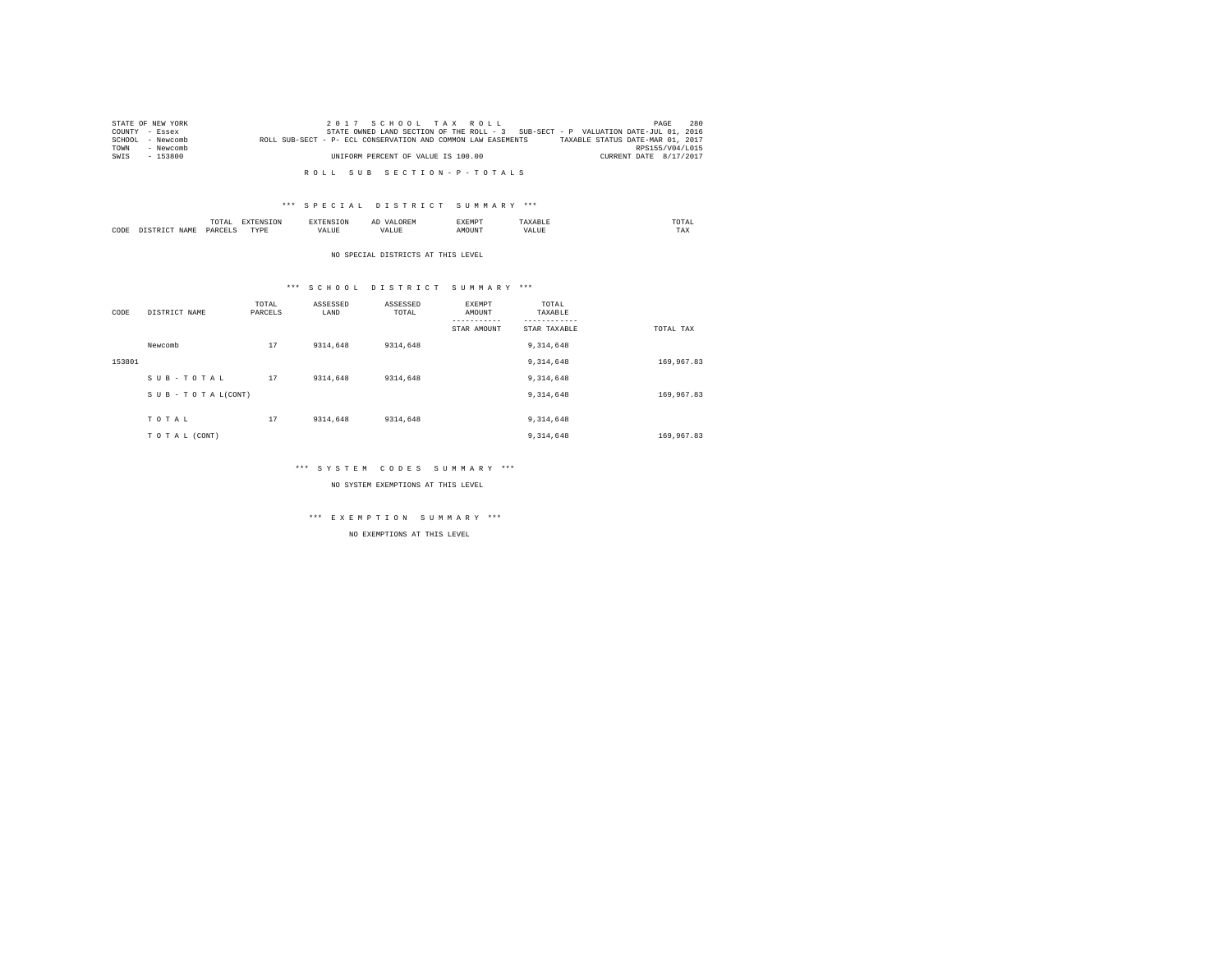|      | STATE OF NEW YORK | 2017 SCHOOL TAX ROLL                                                                             | PAGE                   | 280 |
|------|-------------------|--------------------------------------------------------------------------------------------------|------------------------|-----|
|      | COUNTY - Essex    | STATE OWNED LAND SECTION OF THE ROLL - 3 SUB-SECT - P VALUATION DATE-JUL 01, 2016                |                        |     |
|      | SCHOOL - Newcomb  | TAXABLE STATUS DATE-MAR 01, 2017<br>ROLL SUB-SECT - P- ECL CONSERVATION AND COMMON LAW EASEMENTS |                        |     |
| TOWN | - Newcomb         |                                                                                                  | RPS155/V04/L015        |     |
| SWTS | $-153800$         | UNIFORM PERCENT OF VALUE IS 100.00                                                               | CURRENT DATE 8/17/2017 |     |
|      |                   |                                                                                                  |                        |     |

R O L L S U B S E C T I O N - P - T O T A L S

### \*\*\* S P E C I A L D I S T R I C T S U M M A R Y \*\*\*

|      |       | ۰,<br>UIAI<br>the contract of the contract of the contract of the contract of the contract of |                 | ------------- | . . | <b>SERVICES</b><br>SXEMP | the contract of the contract of the contract of | JTAI |
|------|-------|-----------------------------------------------------------------------------------------------|-----------------|---------------|-----|--------------------------|-------------------------------------------------|------|
| CODE | 7 Z M | <b>DARCET</b>                                                                                 | <b>TVD</b><br>. | an ur         |     | "OUN'I                   | TAX                                             |      |

NO SPECIAL DISTRICTS AT THIS LEVEL

### \*\*\* S C H O O L D I S T R I C T S U M M A R Y \*\*\*

| CODE   | DISTRICT NAME   | TOTAL<br>PARCELS | ASSESSED<br>LAND | ASSESSED<br>TOTAL | EXEMPT<br>AMOUNT | TOTAL<br>TAXABLE |            |
|--------|-----------------|------------------|------------------|-------------------|------------------|------------------|------------|
|        |                 |                  |                  |                   | STAR AMOUNT      | STAR TAXABLE     | TOTAL TAX  |
|        | Newcomb         | 17               | 9314,648         | 9314,648          |                  | 9, 314, 648      |            |
| 153801 |                 |                  |                  |                   |                  | 9,314,648        | 169,967.83 |
|        | SUB-TOTAL       | 17               | 9314,648         | 9314,648          |                  | 9, 314, 648      |            |
|        | SUB-TOTAL(CONT) |                  |                  |                   |                  | 9, 314, 648      | 169,967.83 |
|        |                 |                  |                  |                   |                  |                  |            |
|        | TOTAL           | 17               | 9314,648         | 9314,648          |                  | 9, 314, 648      |            |
|        | TO TAL (CONT)   |                  |                  |                   |                  | 9, 314, 648      | 169,967.83 |

### \*\*\* S Y S T E M C O D E S S U M M A R Y \*\*\*

NO SYSTEM EXEMPTIONS AT THIS LEVEL

## \*\*\* E X E M P T I O N S U M M A R Y \*\*\*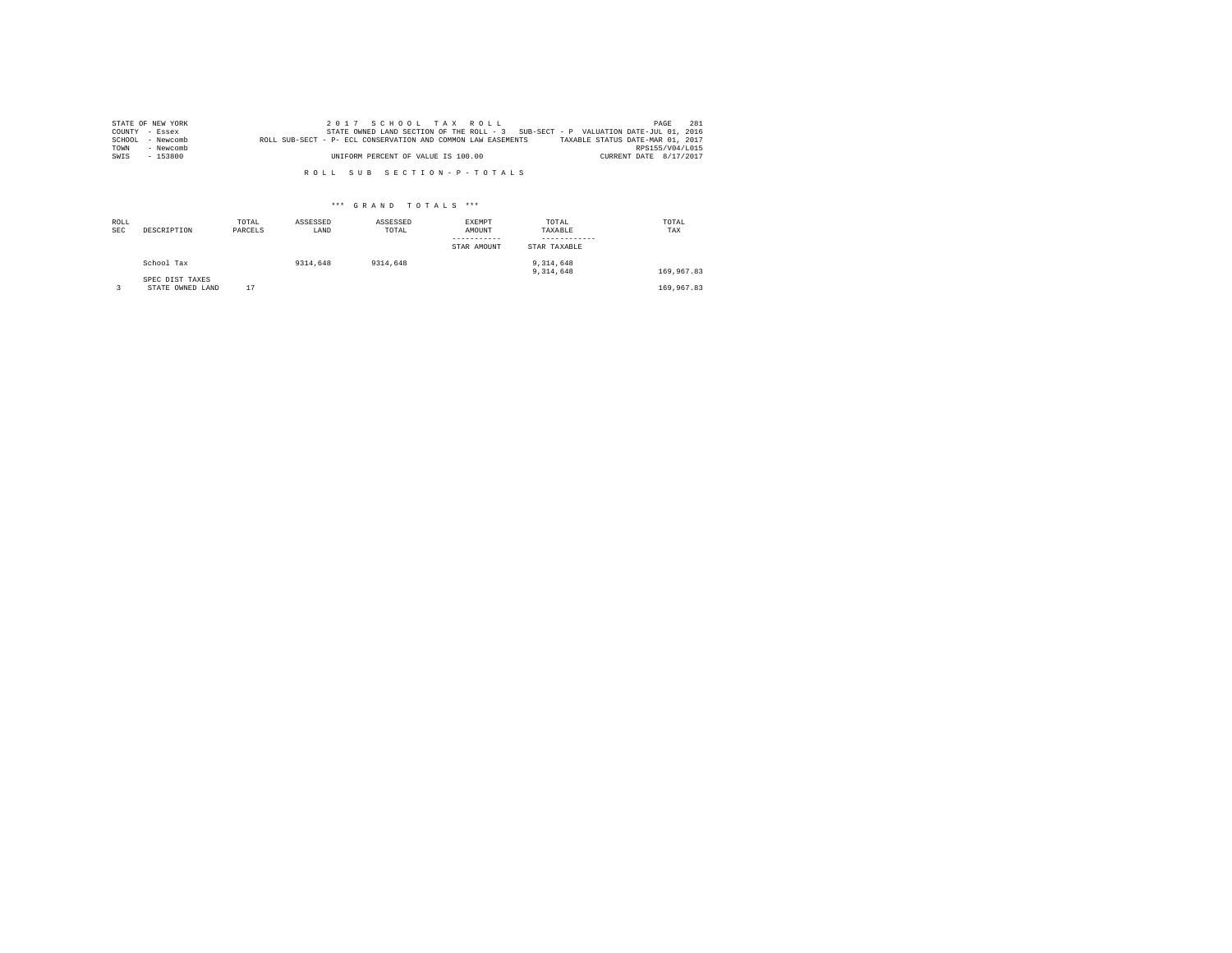|        | STATE OF NEW YORK |                                                              | 2017 SCHOOL TAX ROLL                                                              |  |  |                                  |                        | PAGE | 2.81 |
|--------|-------------------|--------------------------------------------------------------|-----------------------------------------------------------------------------------|--|--|----------------------------------|------------------------|------|------|
|        | COUNTY - Essex    |                                                              | STATE OWNED LAND SECTION OF THE ROLL - 3 SUB-SECT - P VALUATION DATE-JUL 01, 2016 |  |  |                                  |                        |      |      |
| SCHOOL | - Newcomb         | ROLL SUB-SECT - P- ECL CONSERVATION AND COMMON LAW EASEMENTS |                                                                                   |  |  | TAXABLE STATUS DATE-MAR 01, 2017 |                        |      |      |
| TOWN   | - Newcomb         |                                                              |                                                                                   |  |  |                                  | RPS155/V04/L015        |      |      |
| SWIS   | - 153800          |                                                              | UNIFORM PERCENT OF VALUE IS 100.00                                                |  |  |                                  | CURRENT DATE 8/17/2017 |      |      |

R O L L S U B S E C T I O N - P - T O T A L S

| ROLL<br><b>SEC</b> | DESCRIPTION                         | TOTAL<br>PARCELS | ASSESSED<br>LAND | ASSESSED<br>TOTAL | EXEMPT<br>AMOUNT<br>STAR AMOUNT | TOTAL<br>TAXABLE<br>STAR TAXABLE | TOTAL<br>TAX |
|--------------------|-------------------------------------|------------------|------------------|-------------------|---------------------------------|----------------------------------|--------------|
|                    | School Tax                          |                  | 9314,648         | 9314,648          |                                 | 9,314,648<br>9.314.648           | 169,967.83   |
|                    | SPEC DIST TAXES<br>STATE OWNED LAND | 17               |                  |                   |                                 |                                  | 169,967.83   |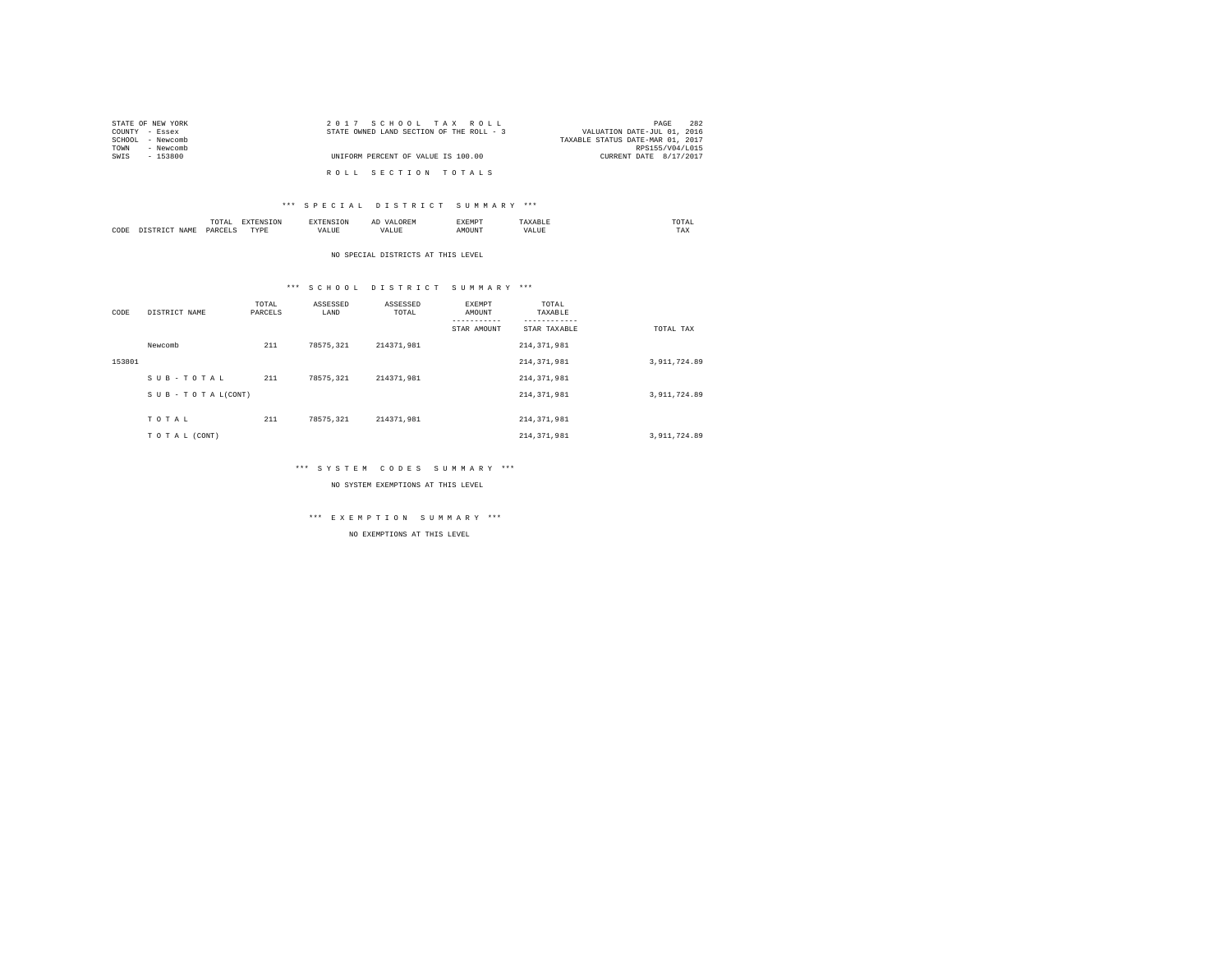| STATE OF NEW YORK | 2017 SCHOOL TAX ROLL                     | 282<br>PAGE                      |
|-------------------|------------------------------------------|----------------------------------|
| COUNTY - Essex    | STATE OWNED LAND SECTION OF THE ROLL - 3 | VALUATION DATE-JUL 01, 2016      |
| SCHOOL - Newcomb  |                                          | TAXABLE STATUS DATE-MAR 01, 2017 |
| - Newcomb<br>TOWN |                                          | RPS155/V04/L015                  |
| SWIS<br>- 153800  | UNIFORM PERCENT OF VALUE IS 100.00       | CURRENT DATE 8/17/2017           |
|                   | ROLL SECTION TOTALS                      |                                  |

### \*\*\* S P E C I A L D I S T R I C T S U M M A R Y \*\*\*

|      | /1 A I<br>the contract of the contract of the contract of | ----<br>the contract of the contract of the contract of the contract of the contract of |  | ----- | $m \wedge m \wedge$<br>the contract of the contract of the contract of |
|------|-----------------------------------------------------------|-----------------------------------------------------------------------------------------|--|-------|------------------------------------------------------------------------|
| CODE | DAR:<br>$\sim$                                            | TVDk<br>.                                                                               |  | MOUN. | 1'AX                                                                   |

### NO SPECIAL DISTRICTS AT THIS LEVEL

### \*\*\* S C H O O L D I S T R I C T S U M M A R Y \*\*\*

| CODE   | DISTRICT NAME   | TOTAL<br>PARCELS | ASSESSED<br>LAND | ASSESSED<br>TOTAL | EXEMPT<br>AMOUNT<br>--------- | TOTAL<br>TAXABLE<br>-------- |              |
|--------|-----------------|------------------|------------------|-------------------|-------------------------------|------------------------------|--------------|
|        |                 |                  |                  |                   | STAR AMOUNT                   | STAR TAXABLE                 | TOTAL TAX    |
|        | Newcomb         | 211              | 78575.321        | 214371.981        |                               | 214, 371, 981                |              |
| 153801 |                 |                  |                  |                   |                               | 214, 371, 981                | 3,911,724.89 |
|        | SUB-TOTAL       | 211              | 78575.321        | 214371.981        |                               | 214, 371, 981                |              |
|        | SUB-TOTAL(CONT) |                  |                  |                   |                               | 214, 371, 981                | 3,911,724.89 |
|        |                 |                  |                  |                   |                               |                              |              |
|        | TOTAL           | 211              | 78575.321        | 214371.981        |                               | 214, 371, 981                |              |
|        | TO TAL (CONT)   |                  |                  |                   |                               | 214, 371, 981                | 3,911,724.89 |

### \*\*\* S Y S T E M C O D E S S U M M A R Y \*\*\*

NO SYSTEM EXEMPTIONS AT THIS LEVEL

## \*\*\* E X E M P T I O N S U M M A R Y \*\*\*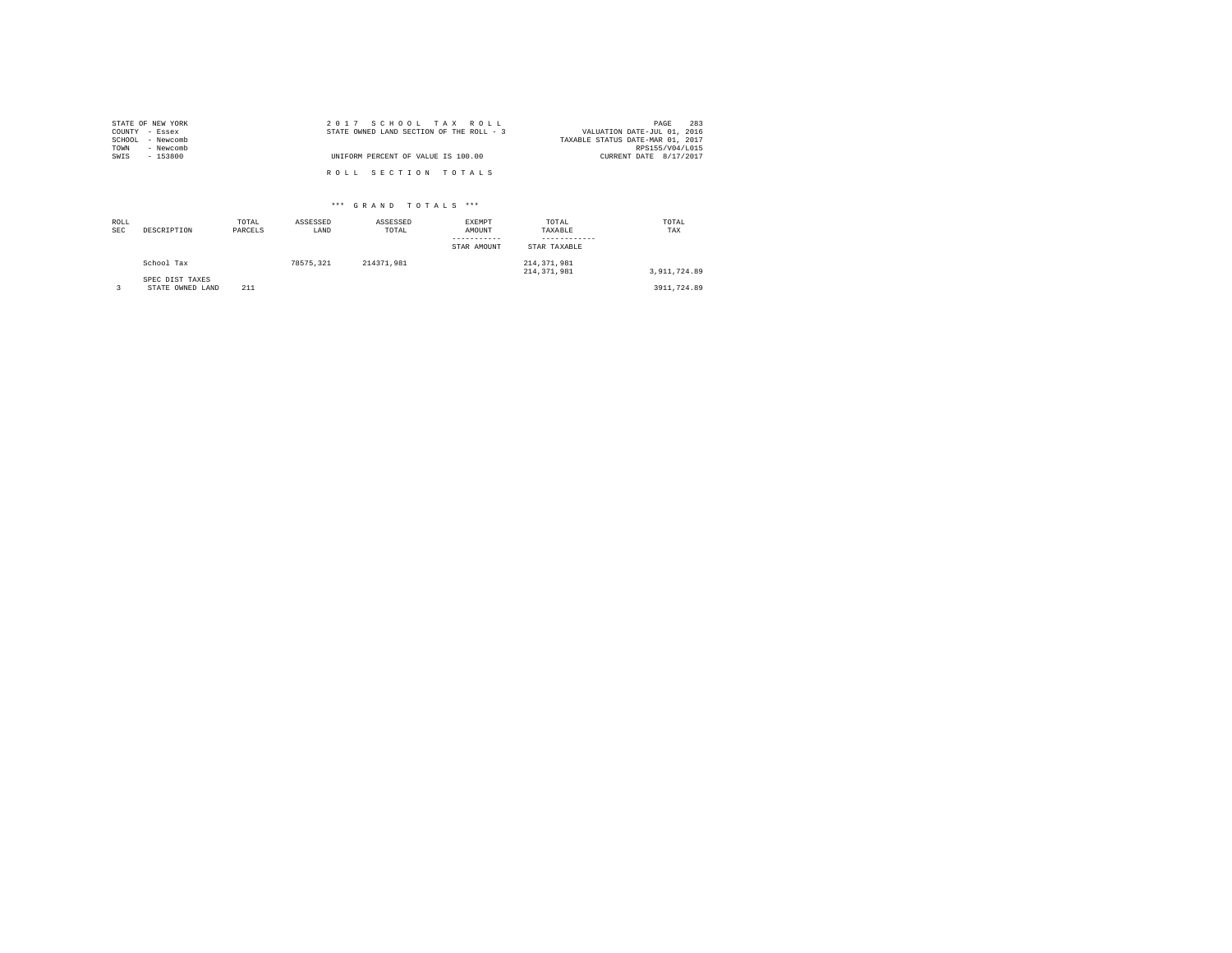|                | STATE OF NEW YORK | 2017 SCHOOL TAX ROLL                                                    | PAGE            | 283 |
|----------------|-------------------|-------------------------------------------------------------------------|-----------------|-----|
| COUNTY - Essex |                   | STATE OWNED LAND SECTION OF THE ROLL - 3<br>VALUATION DATE-JUL 01, 2016 |                 |     |
|                | SCHOOL - Newcomb  | TAXABLE STATUS DATE-MAR 01, 2017                                        |                 |     |
| TOWN           | - Newcomb         |                                                                         | RPS155/V04/L015 |     |
| SWIS           | $-153800$         | UNIFORM PERCENT OF VALUE IS 100.00<br>CURRENT DATE 8/17/2017            |                 |     |
|                |                   |                                                                         |                 |     |
|                |                   | ROLL SECTION TOTALS                                                     |                 |     |

| ROLL<br><b>SEC</b> | DESCRIPTION                         | TOTAL<br>PARCELS | ASSESSED<br>LAND | ASSESSED<br>TOTAL | EXEMPT<br>AMOUNT<br>-----------<br>STAR AMOUNT | TOTAL<br>TAXABLE<br>STAR TAXABLE | TOTAL<br>TAX |  |
|--------------------|-------------------------------------|------------------|------------------|-------------------|------------------------------------------------|----------------------------------|--------------|--|
|                    | School Tax                          |                  | 78575.321        | 214371.981        |                                                | 214, 371, 981<br>214, 371, 981   | 3.911.724.89 |  |
|                    | SPEC DIST TAXES<br>STATE OWNED LAND | 211              |                  |                   |                                                |                                  | 3911,724.89  |  |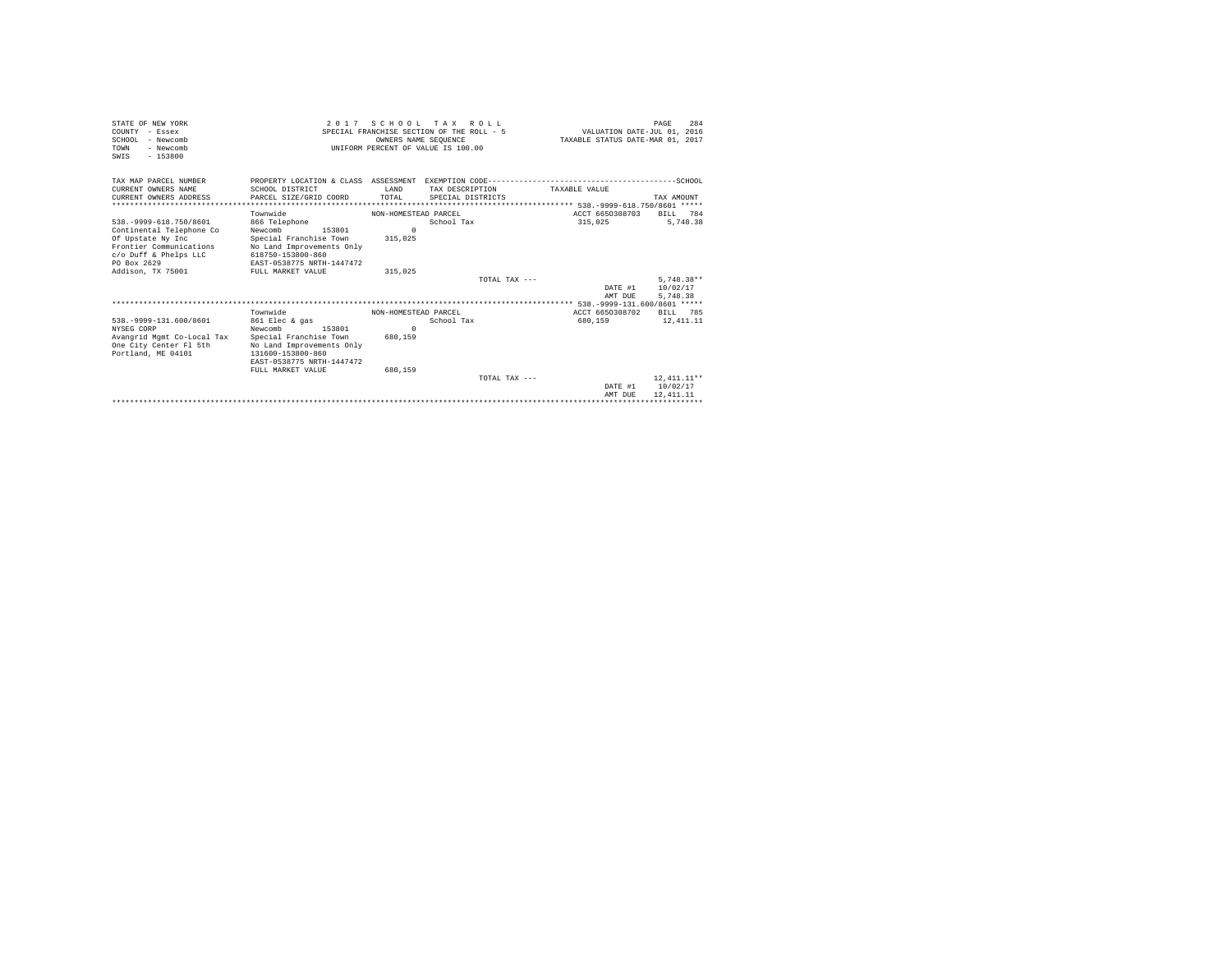| STATE OF NEW YORK<br>COUNTY - Essex<br>$SCHOM - Newcomb$<br>- Newcomb<br><b>TOWN</b><br>$-153800$<br>SWIS | 2017 SCHOOL TAX ROLL<br>PAGE<br>SPECIAL FRANCHISE SECTION OF THE ROLL - 5<br>VALUATION DATE-JUL 01, 2016<br>OWNERS NAME SEOUENCE<br>TAXABLE STATUS DATE-MAR 01, 2017<br>INIFORM PERCENT OF VALUE IS 100.00 |                      |                   |                 |               |                              |               | 284 |
|-----------------------------------------------------------------------------------------------------------|------------------------------------------------------------------------------------------------------------------------------------------------------------------------------------------------------------|----------------------|-------------------|-----------------|---------------|------------------------------|---------------|-----|
| TAX MAP PARCEL NUMBER                                                                                     | PROPERTY LOCATION & CLASS ASSESSMENT EXEMPTION CODE-----------------------------------SCHOOL                                                                                                               |                      |                   |                 |               |                              |               |     |
| CURRENT OWNERS NAME                                                                                       | SCHOOL DISTRICT                                                                                                                                                                                            | T.AND                | TAX DESCRIPTION   |                 | TAXABLE VALUE |                              |               |     |
| CURRENT OWNERS ADDRESS                                                                                    | PARCEL SIZE/GRID COORD                                                                                                                                                                                     | TOTAL.               | SPECIAL DISTRICTS |                 |               |                              | TAX AMOUNT    |     |
| .                                                                                                         |                                                                                                                                                                                                            |                      |                   |                 |               |                              |               |     |
|                                                                                                           | Townwide                                                                                                                                                                                                   | NON-HOMESTEAD PARCEL |                   |                 |               | ACCT 6650308703              | BTLL.         | 784 |
| 538. - 9999-618. 750/8601                                                                                 | 866 Telephone                                                                                                                                                                                              |                      | School Tax        |                 | 315,025       |                              | 5.748.38      |     |
| Continental Telephone Co                                                                                  | Newcomb<br>153801                                                                                                                                                                                          | $\Omega$             |                   |                 |               |                              |               |     |
| Of Upstate Ny Inc                                                                                         | Special Franchise Town                                                                                                                                                                                     | 315,025              |                   |                 |               |                              |               |     |
| Frontier Communications                                                                                   | No Land Improvements Only                                                                                                                                                                                  |                      |                   |                 |               |                              |               |     |
| c/o Duff & Phelps LLC<br>PO Box 2629                                                                      | 618750-153800-860<br>EAST-0538775 NRTH-1447472                                                                                                                                                             |                      |                   |                 |               |                              |               |     |
| Addison, TX 75001                                                                                         | FULL MARKET VALUE                                                                                                                                                                                          | 315,025              |                   |                 |               |                              |               |     |
|                                                                                                           |                                                                                                                                                                                                            |                      |                   | TOTAL TAX $---$ |               |                              | $5.748.38**$  |     |
|                                                                                                           |                                                                                                                                                                                                            |                      |                   |                 |               | DATE #1                      | 10/02/17      |     |
|                                                                                                           |                                                                                                                                                                                                            |                      |                   |                 |               | AMT DUE                      | 5,748.38      |     |
|                                                                                                           |                                                                                                                                                                                                            |                      |                   |                 |               |                              |               |     |
|                                                                                                           | Townwide                                                                                                                                                                                                   | NON-HOMESTEAD PARCEL |                   |                 |               | ACCT 6650308702              | BTLL.         | 785 |
| 538. - 9999-131.600/8601                                                                                  | 861 Elec & gas                                                                                                                                                                                             |                      | School Tax        |                 | 680,159       |                              | 12, 411, 11   |     |
| NYSEG CORP                                                                                                | Newcomb<br>153801                                                                                                                                                                                          | $\Omega$             |                   |                 |               |                              |               |     |
| Avangrid Mgmt Co-Local Tax                                                                                | Special Franchise Town                                                                                                                                                                                     | 680.159              |                   |                 |               |                              |               |     |
| One City Center Fl 5th                                                                                    | No Land Improvements Only                                                                                                                                                                                  |                      |                   |                 |               |                              |               |     |
| Portland, ME 04101                                                                                        | 131600-153800-860                                                                                                                                                                                          |                      |                   |                 |               |                              |               |     |
|                                                                                                           | EAST-0538775 NRTH-1447472                                                                                                                                                                                  |                      |                   |                 |               |                              |               |     |
|                                                                                                           | FULL MARKET VALUE                                                                                                                                                                                          | 680.159              |                   |                 |               |                              |               |     |
|                                                                                                           |                                                                                                                                                                                                            |                      |                   | TOTAL TAX $---$ |               |                              | $12.411.11**$ |     |
|                                                                                                           |                                                                                                                                                                                                            |                      |                   |                 |               | DATE #1                      | 10/02/17      |     |
|                                                                                                           |                                                                                                                                                                                                            |                      |                   |                 |               | AMT DUE                      | 12, 411, 11   |     |
|                                                                                                           |                                                                                                                                                                                                            |                      |                   |                 |               | **************************** |               |     |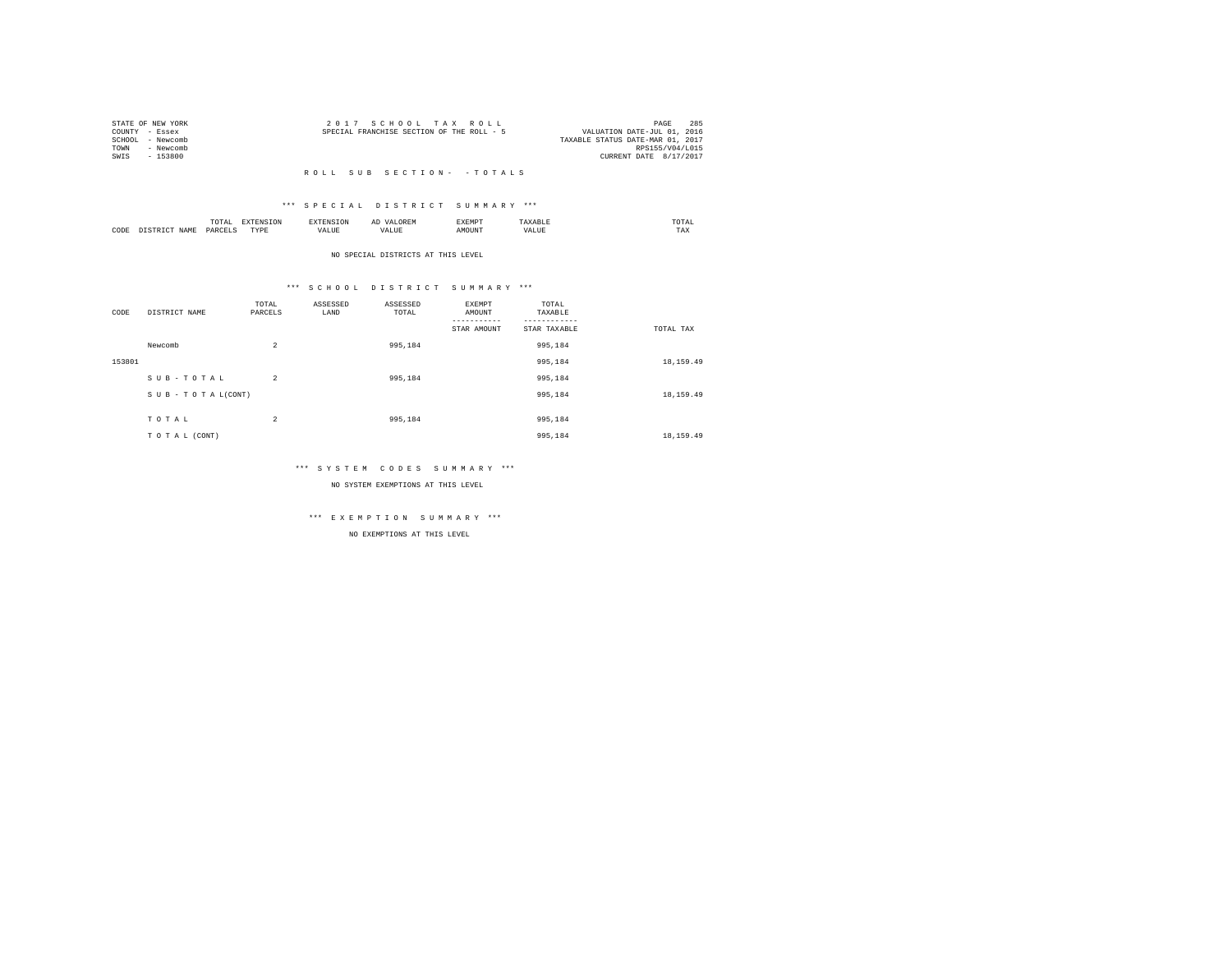|      | STATE OF NEW YORK | 2017 SCHOOL TAX ROLL                      | PAGE                        | 285 |
|------|-------------------|-------------------------------------------|-----------------------------|-----|
|      | COUNTY - Essex    | SPECIAL FRANCHISE SECTION OF THE ROLL - 5 | VALUATION DATE-JUL 01, 2016 |     |
|      | SCHOOL - Newcomb  | TAXABLE STATUS DATE-MAR 01, 2017          |                             |     |
| TOWN | - Newcomb         |                                           | RPS155/V04/L015             |     |
| SWTS | - 153800          |                                           | CURRENT DATE 8/17/2017      |     |
|      |                   |                                           |                             |     |

#### R O L L S U B S E C T I O N - - T O T A L S

### \*\*\* S P E C I A L D I S T R I C T S U M M A R Y \*\*\*

|      |      | 10171    |           |       |     | .XEMP" | 1 A L<br>the contract of the contract of the contract of |
|------|------|----------|-----------|-------|-----|--------|----------------------------------------------------------|
| CODE | ч∆м. | レムト<br>. | ----<br>. | - --- | , , |        | 1 A.A                                                    |

#### NO SPECIAL DISTRICTS AT THIS LEVEL

### \*\*\* S C H O O L D I S T R I C T S U M M A R Y \*\*\*

| CODE   | DISTRICT NAME      | TOTAL<br>PARCELS | ASSESSED<br>LAND | ASSESSED<br>TOTAL | EXEMPT<br>AMOUNT | TOTAL<br>TAXABLE |             |
|--------|--------------------|------------------|------------------|-------------------|------------------|------------------|-------------|
|        |                    |                  |                  |                   | STAR AMOUNT      | STAR TAXABLE     | TOTAL TAX   |
|        | Newcomb            | $\overline{a}$   |                  | 995,184           |                  | 995,184          |             |
| 153801 |                    |                  |                  |                   |                  | 995,184          | 18,159.49   |
|        | SUB-TOTAL          | $\overline{a}$   |                  | 995,184           |                  | 995,184          |             |
|        | SUB - TO TAL(CONT) |                  |                  |                   |                  | 995,184          | 18, 159.49  |
|        | TOTAL              | $\overline{a}$   |                  | 995,184           |                  | 995,184          |             |
|        |                    |                  |                  |                   |                  |                  |             |
|        | TO TAL (CONT)      |                  |                  |                   |                  | 995,184          | 18, 159, 49 |

### \*\*\* S Y S T E M C O D E S S U M M A R Y \*\*\*

NO SYSTEM EXEMPTIONS AT THIS LEVEL

## \*\*\* E X E M P T I O N S U M M A R Y \*\*\*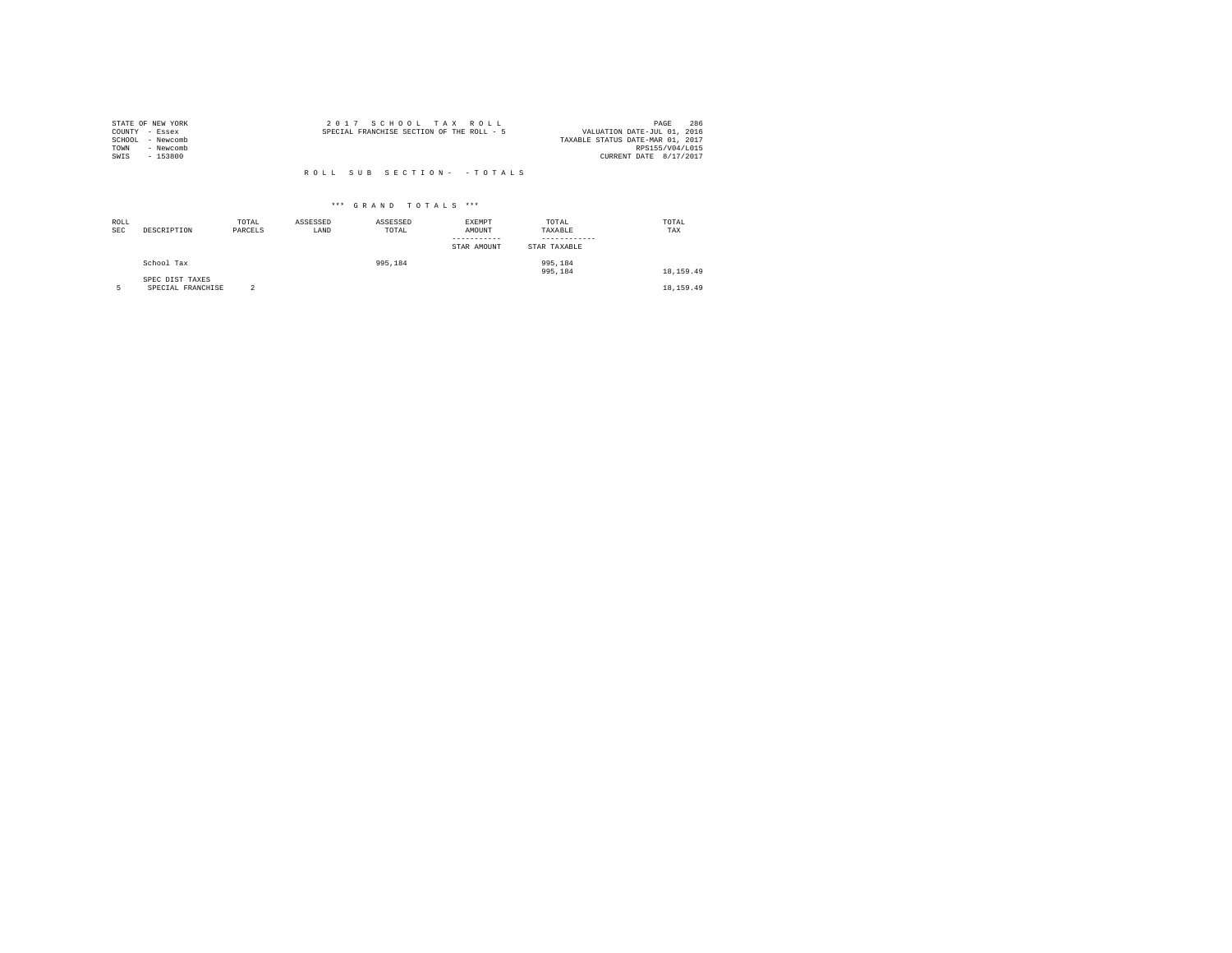|                | STATE OF NEW YORK | 2017 SCHOOL TAX ROLL                      |                                  | PAGE            | 286 |
|----------------|-------------------|-------------------------------------------|----------------------------------|-----------------|-----|
| COUNTY - Essex |                   | SPECIAL FRANCHISE SECTION OF THE ROLL - 5 | VALUATION DATE-JUL 01, 2016      |                 |     |
| SCHOOL         | - Newcomb         |                                           | TAXABLE STATUS DATE-MAR 01, 2017 |                 |     |
| TOWN           | - Newcomb         |                                           |                                  | RPS155/V04/L015 |     |
| SWIS           | $-153800$         |                                           | CURRENT DATE 8/17/2017           |                 |     |
|                |                   |                                           |                                  |                 |     |
|                |                   | ROLL SUB SECTION- - TOTALS                |                                  |                 |     |

| ROLL<br>SEC | DESCRIPTION                          | TOTAL<br>PARCELS | ASSESSED<br>LAND | ASSESSED<br>TOTAL | <b>EXEMPT</b><br>AMOUNT<br>-----------<br>STAR AMOUNT | TOTAL<br>TAXABLE<br>STAR TAXABLE | TOTAL<br>TAX |
|-------------|--------------------------------------|------------------|------------------|-------------------|-------------------------------------------------------|----------------------------------|--------------|
|             | School Tax                           |                  |                  | 995,184           |                                                       | 995,184<br>995,184               | 18, 159, 49  |
|             | SPEC DIST TAXES<br>SPECIAL FRANCHISE | $\sim$<br>z.     |                  |                   |                                                       |                                  | 18, 159, 49  |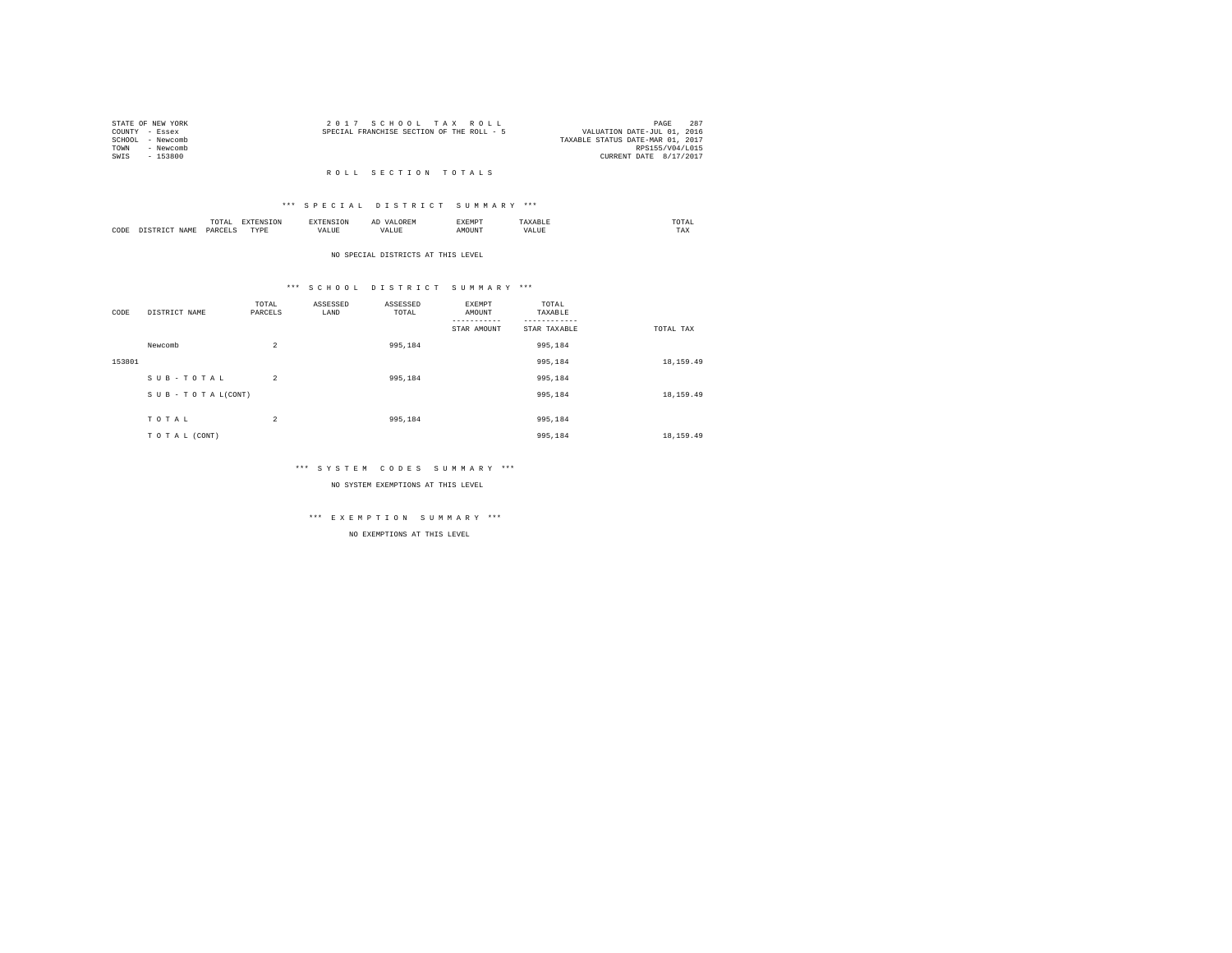| STATE OF NEW YORK |           | 2017 SCHOOL TAX ROLL                      |  |  |                                  |                 | PAGE | 287 |
|-------------------|-----------|-------------------------------------------|--|--|----------------------------------|-----------------|------|-----|
| COUNTY - Essex    |           | SPECIAL FRANCHISE SECTION OF THE ROLL - 5 |  |  | VALUATION DATE-JUL 01, 2016      |                 |      |     |
| SCHOOL - Newcomb  |           |                                           |  |  | TAXABLE STATUS DATE-MAR 01, 2017 |                 |      |     |
| TOWN              | - Newcomb |                                           |  |  |                                  | RPS155/V04/L015 |      |     |
| SWIS              | - 153800  |                                           |  |  | CURRENT DATE 8/17/2017           |                 |      |     |
|                   |           |                                           |  |  |                                  |                 |      |     |

### R O L L S E C T I O N T O T A L S

### \*\*\* S P E C I A L D I S T R I C T S U M M A R Y \*\*\*

|      |       | .<br>the contract of the contract of the contract of the contract of the contract of | the contract of the contract of the contract of the contract of the contract of |             |       | "YEMD" |                 | ---<br>UTAL<br>the contract of the contract of the contract of |
|------|-------|--------------------------------------------------------------------------------------|---------------------------------------------------------------------------------|-------------|-------|--------|-----------------|----------------------------------------------------------------|
| CODE | T Z M | OARC                                                                                 | TVD<br>.                                                                        | ------<br>a | حىلىم | )UN'   | $\sim$ - $\sim$ | $m + n$<br>1 A.A                                               |

NO SPECIAL DISTRICTS AT THIS LEVEL

### \*\*\* S C H O O L D I S T R I C T S U M M A R Y \*\*\*

| CODE   | DISTRICT NAME   | TOTAL<br>PARCELS | ASSESSED<br>LAND | ASSESSED<br>TOTAL | EXEMPT<br>AMOUNT | TOTAL<br>TAXABLE |             |
|--------|-----------------|------------------|------------------|-------------------|------------------|------------------|-------------|
|        |                 |                  |                  |                   |                  |                  |             |
|        |                 |                  |                  |                   | STAR AMOUNT      | STAR TAXABLE     | TOTAL TAX   |
|        | Newcomb         | $\overline{2}$   |                  | 995,184           |                  | 995,184          |             |
| 153801 |                 |                  |                  |                   |                  | 995,184          | 18, 159.49  |
|        | SUB-TOTAL       | $\overline{2}$   |                  | 995,184           |                  | 995,184          |             |
|        | SUB-TOTAL(CONT) |                  |                  |                   |                  | 995,184          | 18, 159.49  |
|        |                 |                  |                  |                   |                  |                  |             |
|        | TOTAL           | 2                |                  | 995,184           |                  | 995,184          |             |
|        | TO TAL (CONT)   |                  |                  |                   |                  | 995,184          | 18, 159, 49 |

### \*\*\* S Y S T E M C O D E S S U M M A R Y \*\*\*

NO SYSTEM EXEMPTIONS AT THIS LEVEL

## \*\*\* E X E M P T I O N S U M M A R Y \*\*\*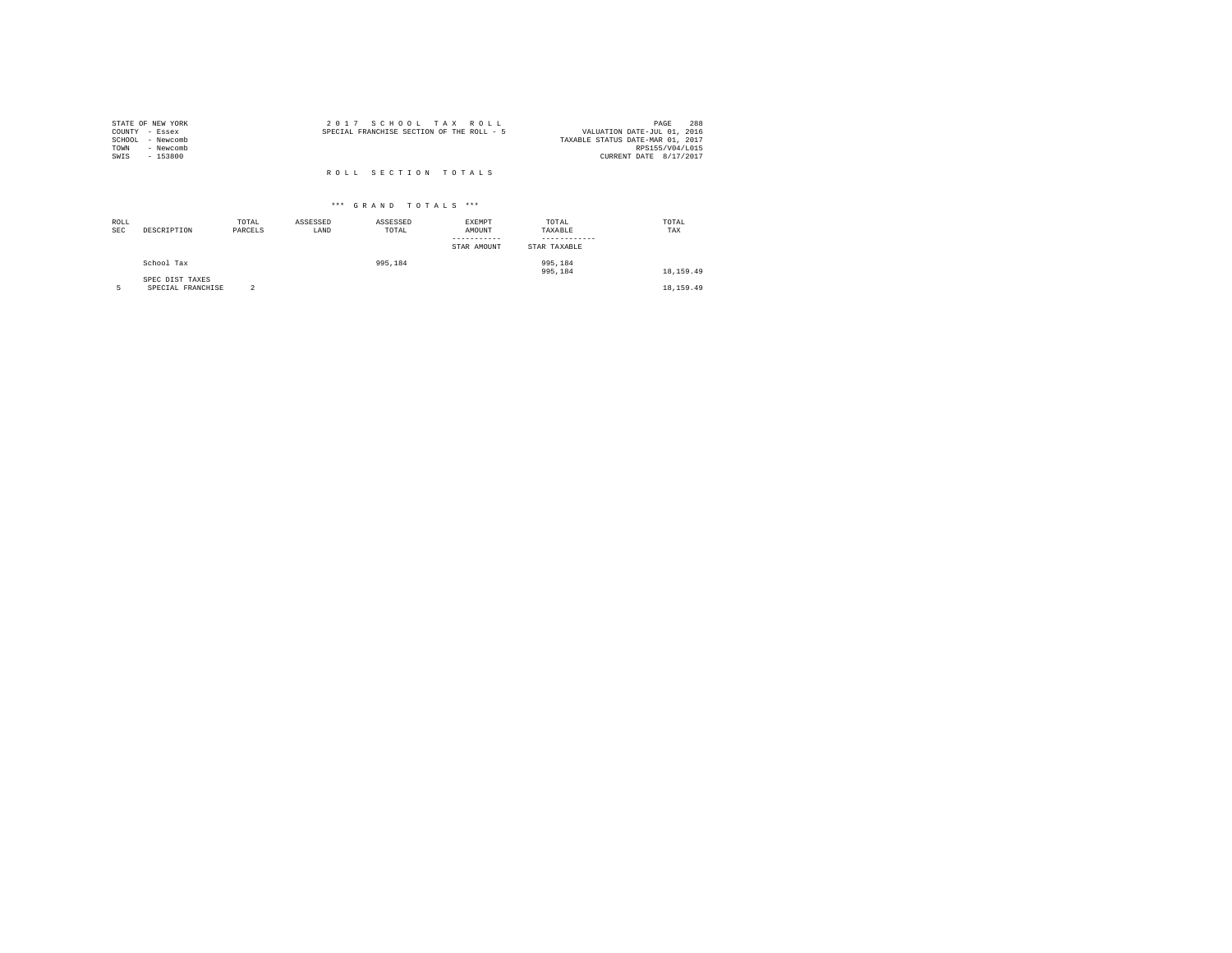| STATE OF NEW YORK<br>COUNTY - Essex<br>- Newcomb<br>SCHOOL<br>- Newcomb<br>TOWN | 2017 SCHOOL TAX ROLL<br>SPECIAL FRANCHISE SECTION OF THE ROLL - 5 | 288<br>PAGE<br>VALUATION DATE-JUL 01, 2016<br>TAXABLE STATUS DATE-MAR 01, 2017<br>RPS155/V04/L015 |
|---------------------------------------------------------------------------------|-------------------------------------------------------------------|---------------------------------------------------------------------------------------------------|
| SWIS<br>$-153800$                                                               |                                                                   | CURRENT DATE 8/17/2017                                                                            |
|                                                                                 | ROLL SECTION TOTALS                                               |                                                                                                   |

| ROLL<br><b>SEC</b> | DESCRIPTION                          | TOTAL<br>PARCELS | ASSESSED<br>LAND | ASSESSED<br>TOTAL | EXEMPT<br>AMOUNT<br>-----------<br>STAR AMOUNT | TOTAL<br>TAXABLE<br>----------<br>STAR TAXABLE | TOTAL<br>TAX |
|--------------------|--------------------------------------|------------------|------------------|-------------------|------------------------------------------------|------------------------------------------------|--------------|
|                    | School Tax                           |                  |                  | 995,184           |                                                | 995,184<br>995,184                             | 18, 159, 49  |
|                    | SPEC DIST TAXES<br>SPECIAL FRANCHISE | $\sim$           |                  |                   |                                                |                                                | 18, 159, 49  |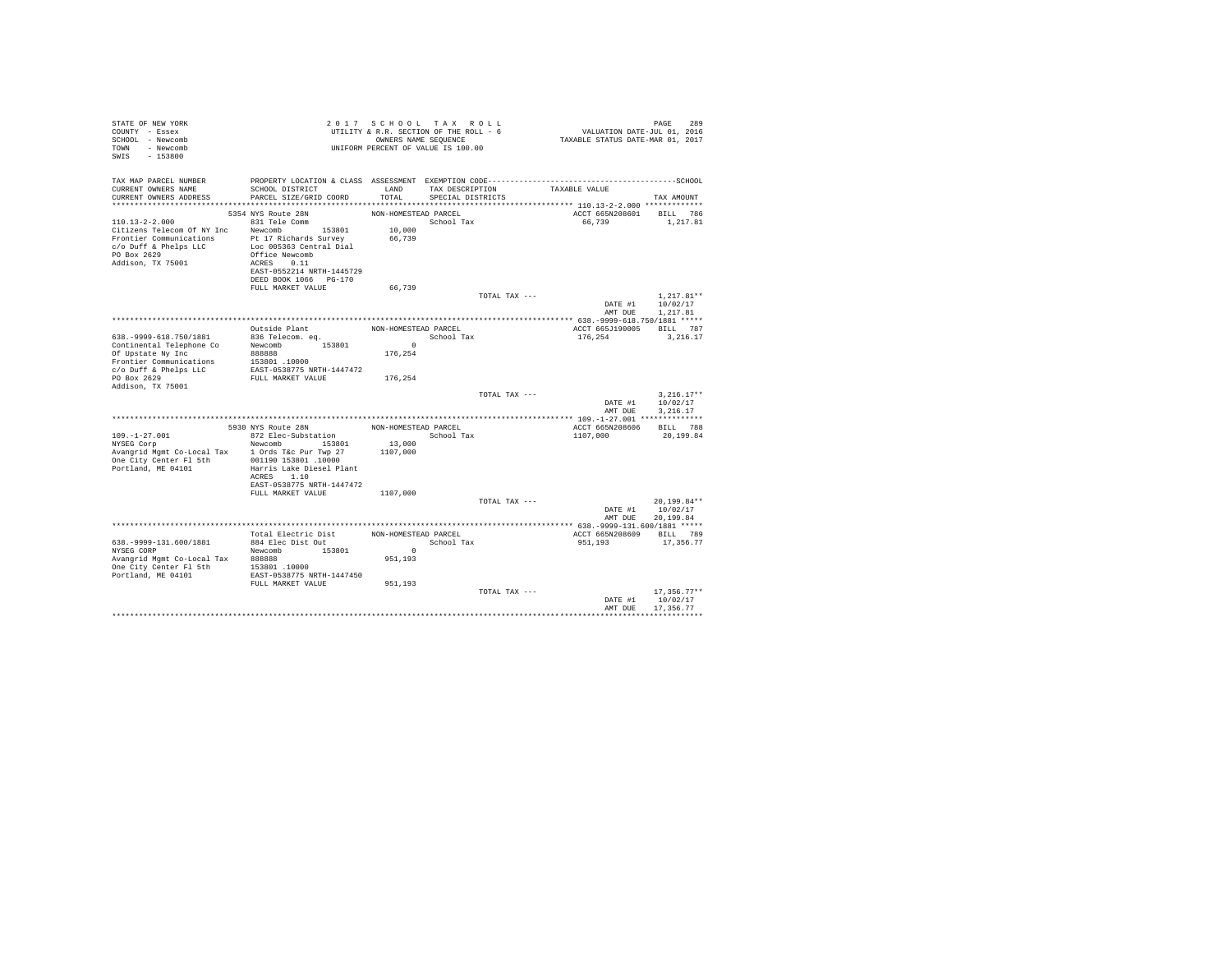| STATE OF NEW YORK<br>COUNTY - Essex<br>SCHOOL - Newcomb<br>- Newcomb<br>TOWN<br>SWIS<br>$-153800$                                                                               |                                                                                                                                                      |                                           | 2017 SCHOOL TAX ROLL<br>UTILITY & R.R. SECTION OF THE ROLL - 6<br>OWNERS NAME SEOUENCE<br>UNIFORM PERCENT OF VALUE IS 100.00 | FAGE 289<br>VALUATION DATE-JUL 01, 2016<br>TAXABLE STATUS DATE-MAR 01, 2017 | PAGE<br>289                                  |
|---------------------------------------------------------------------------------------------------------------------------------------------------------------------------------|------------------------------------------------------------------------------------------------------------------------------------------------------|-------------------------------------------|------------------------------------------------------------------------------------------------------------------------------|-----------------------------------------------------------------------------|----------------------------------------------|
| TAX MAP PARCEL NUMBER<br>CURRENT OWNERS NAME<br>CURRENT OWNERS ADDRESS                                                                                                          | SCHOOL DISTRICT<br>PARCEL SIZE/GRID COORD                                                                                                            | LAND<br>TOTAL                             | TAX DESCRIPTION<br>SPECIAL DISTRICTS                                                                                         | TAXABLE VALUE                                                               | TAX AMOUNT                                   |
|                                                                                                                                                                                 |                                                                                                                                                      |                                           |                                                                                                                              |                                                                             |                                              |
| $110.13 - 2 - 2.000$<br>Citizens Telecom Of NY Inc Newcomb 153801<br>Frontier Communications Pt 17 Richards Survey<br>c/o Duff & Phelps LLC<br>PO Box 2629<br>Addison, TX 75001 | 5354 NYS Route 28N<br>831 Tele Comm<br>Loc 005363 Central Dial<br>Office Newcomb<br>ACRES 0.11<br>EAST-0552214 NRTH-1445729<br>DEED BOOK 1066 PG-170 | NON-HOMESTEAD PARCEL<br>10,000<br>66,739  | School Tax                                                                                                                   | ACCT 665N208601 BILL 786<br>66,739                                          | 1,217.81                                     |
|                                                                                                                                                                                 | FULL MARKET VALUE                                                                                                                                    | 66,739                                    |                                                                                                                              |                                                                             |                                              |
|                                                                                                                                                                                 |                                                                                                                                                      |                                           | TOTAL TAX ---                                                                                                                | AMT DUE                                                                     | $1.217.81**$<br>DATE #1 10/02/17<br>1,217.81 |
|                                                                                                                                                                                 |                                                                                                                                                      |                                           |                                                                                                                              |                                                                             |                                              |
| 638. - 9999-618. 750/1881<br>Continental Telephone Co<br>Of Upstate Ny Inc                                                                                                      | Outside Plant<br>836 Telecom. eq.<br>Newcomb<br>153801<br>888888                                                                                     | NON-HOMESTEAD PARCEL<br>$\sim$<br>176,254 | School Tax                                                                                                                   | ACCT 665J190005 BILL 787<br>176.254                                         | 3,216.17                                     |
| Frontier Communications<br>c/o Duff & Phelps LLC<br>PO Box 2629<br>Addison, TX 75001                                                                                            | 153801.10000<br>EAST-0538775 NRTH-1447472<br>FULL MARKET VALUE                                                                                       | 176,254                                   |                                                                                                                              |                                                                             |                                              |
|                                                                                                                                                                                 |                                                                                                                                                      |                                           | TOTAL TAX ---                                                                                                                | DATE #1<br>AMT DUE                                                          | $3.216.17**$<br>10/02/17<br>3.216.17         |
|                                                                                                                                                                                 |                                                                                                                                                      |                                           |                                                                                                                              | **************** 109.-1-27.001 **************                               |                                              |
|                                                                                                                                                                                 | 5930 NYS Route 28N                                                                                                                                   | NON-HOMESTEAD PARCEL                      |                                                                                                                              | ACCT 665N208606                                                             | BILL 788                                     |
| $109. - 1 - 27.001$<br>NYSEG Corp<br>Avangrid Mgmt Co-Local Tax 1 Ords T&c Pur Twp 27<br>One City Center Fl 5th<br>Portland, ME 04101                                           | 872 Elec-Substation<br>Newcomb 153801<br>001190 153801 .10000<br>Harris Lake Diesel Plant<br>ACRES 1.10<br>EAST-0538775 NRTH-1447472                 | 13,000<br>1107,000                        | School Tax                                                                                                                   | 1107,000                                                                    | 20,199.84                                    |
|                                                                                                                                                                                 | FULL MARKET VALUE                                                                                                                                    | 1107,000                                  |                                                                                                                              |                                                                             |                                              |
|                                                                                                                                                                                 |                                                                                                                                                      |                                           | TOTAL TAX ---                                                                                                                | DATE #1<br>AMT DUE                                                          | 20.199.84**<br>10/02/17<br>20.199.84         |
|                                                                                                                                                                                 | Total Electric Dist                                                                                                                                  | NON-HOMESTEAD PARCEL                      |                                                                                                                              | ACCT 665N208609 BILL 789                                                    |                                              |
| 638. - 9999-131. 600/1881<br>NYSEG CORP<br>Avangrid Mgmt Co-Local Tax 888888<br>One City Center Fl 5th<br>Portland, ME 04101                                                    | 884 Elec Dist Out<br>Newcomb 153801<br>153801.10000<br>EAST-0538775 NRTH-1447450<br>FULL MARKET VALUE                                                | $\sim$<br>951,193<br>951,193              | School Tax                                                                                                                   | 951,193                                                                     | 17,356.77                                    |
|                                                                                                                                                                                 |                                                                                                                                                      |                                           | TOTAL TAX ---                                                                                                                | DATE #1<br>AMT DUE                                                          | $17.356.77**$<br>10/02/17<br>17.356.77       |
|                                                                                                                                                                                 |                                                                                                                                                      |                                           |                                                                                                                              |                                                                             | **************                               |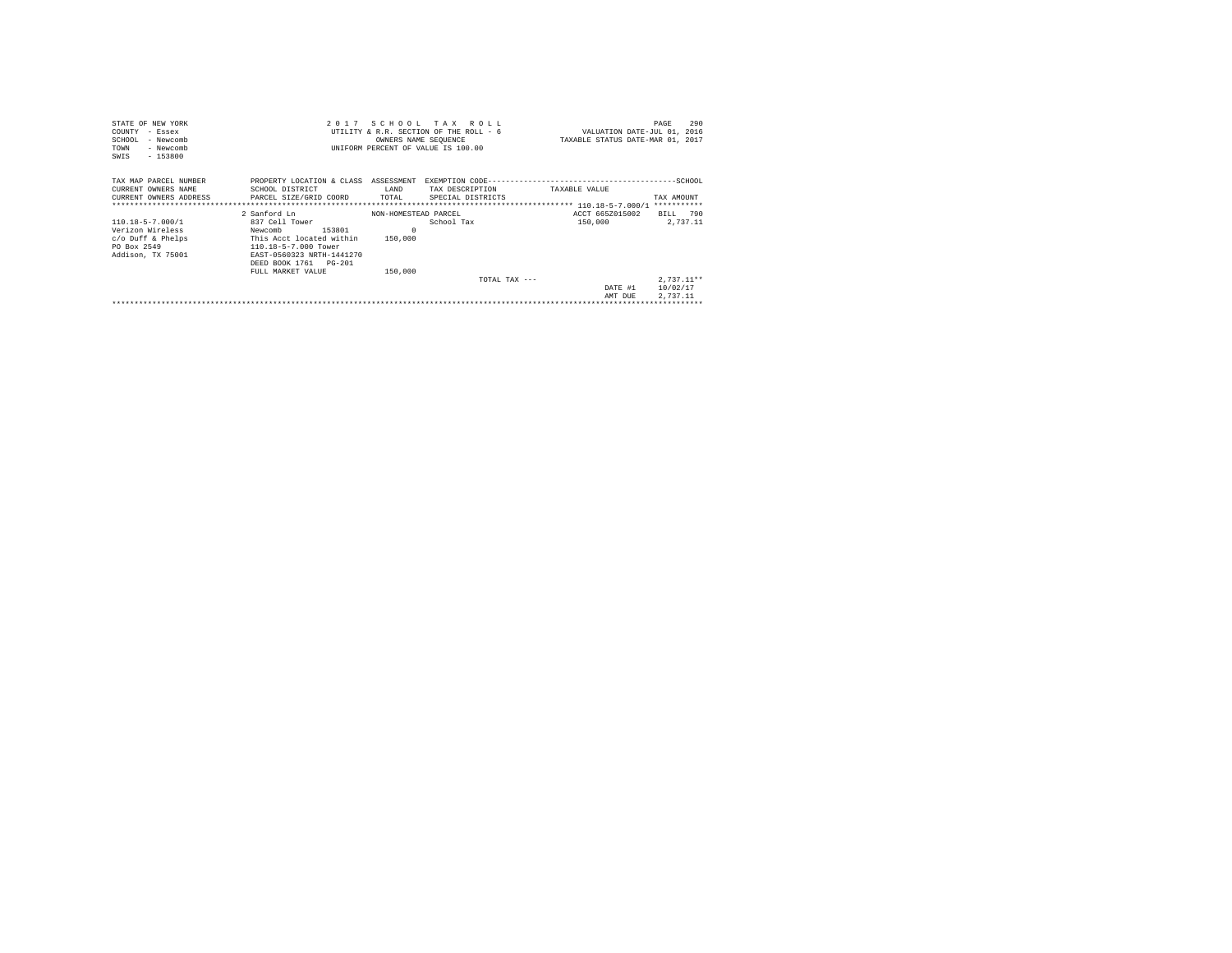| STATE OF NEW YORK                                   |                           |                      | 2017 SCHOOL TAX ROLL                   |                                  | 290<br>PAGE  |
|-----------------------------------------------------|---------------------------|----------------------|----------------------------------------|----------------------------------|--------------|
| COUNTY - Essex                                      |                           |                      | UTILITY & R.R. SECTION OF THE ROLL - 6 | VALUATION DATE-JUL 01, 2016      |              |
| SCHOOL<br>- Newcomb                                 |                           |                      | OWNERS NAME SEQUENCE                   | TAXABLE STATUS DATE-MAR 01, 2017 |              |
| - Newcomb<br>TOWN                                   |                           |                      | UNIFORM PERCENT OF VALUE IS 100.00     |                                  |              |
| $-153800$<br>SWIS                                   |                           |                      |                                        |                                  |              |
|                                                     |                           |                      |                                        |                                  |              |
| TAX MAP PARCEL NUMBER                               | PROPERTY LOCATION & CLASS | ASSESSMENT           |                                        |                                  |              |
| CURRENT OWNERS NAME                                 | SCHOOL DISTRICT           | LAND                 | TAX DESCRIPTION                        | TAXABLE VALUE                    |              |
| CURRENT OWNERS ADDRESS PARCEL SIZE/GRID COORD TOTAL |                           |                      | SPECIAL DISTRICTS                      |                                  | TAX AMOUNT   |
|                                                     |                           |                      |                                        |                                  | ***********  |
|                                                     | 2 Sanford Ln              | NON-HOMESTEAD PARCEL |                                        | ACCT 665Z015002                  | BILL 790     |
| 110.18-5-7.000/1                                    | 837 Cell Tower            |                      | School Tax                             | 150,000                          | 2,737.11     |
| Verizon Wireless                                    | 153801<br>Newcomb         | $\Omega$             |                                        |                                  |              |
| $c$ /o Duff & Phelps                                | This Acct located within  | 150,000              |                                        |                                  |              |
| PO Box 2549                                         | 110.18-5-7.000 Tower      |                      |                                        |                                  |              |
| Addison, TX 75001                                   | EAST-0560323 NRTH-1441270 |                      |                                        |                                  |              |
|                                                     | DEED BOOK 1761 PG-201     |                      |                                        |                                  |              |
|                                                     | FULL MARKET VALUE         | 150,000              |                                        |                                  |              |
|                                                     |                           |                      | TOTAL TAX $---$                        |                                  | $2.737.11**$ |
|                                                     |                           |                      |                                        | DATE #1                          | 10/02/17     |
|                                                     |                           |                      |                                        | AMT DUE                          | 2.737.11     |
|                                                     |                           |                      |                                        |                                  |              |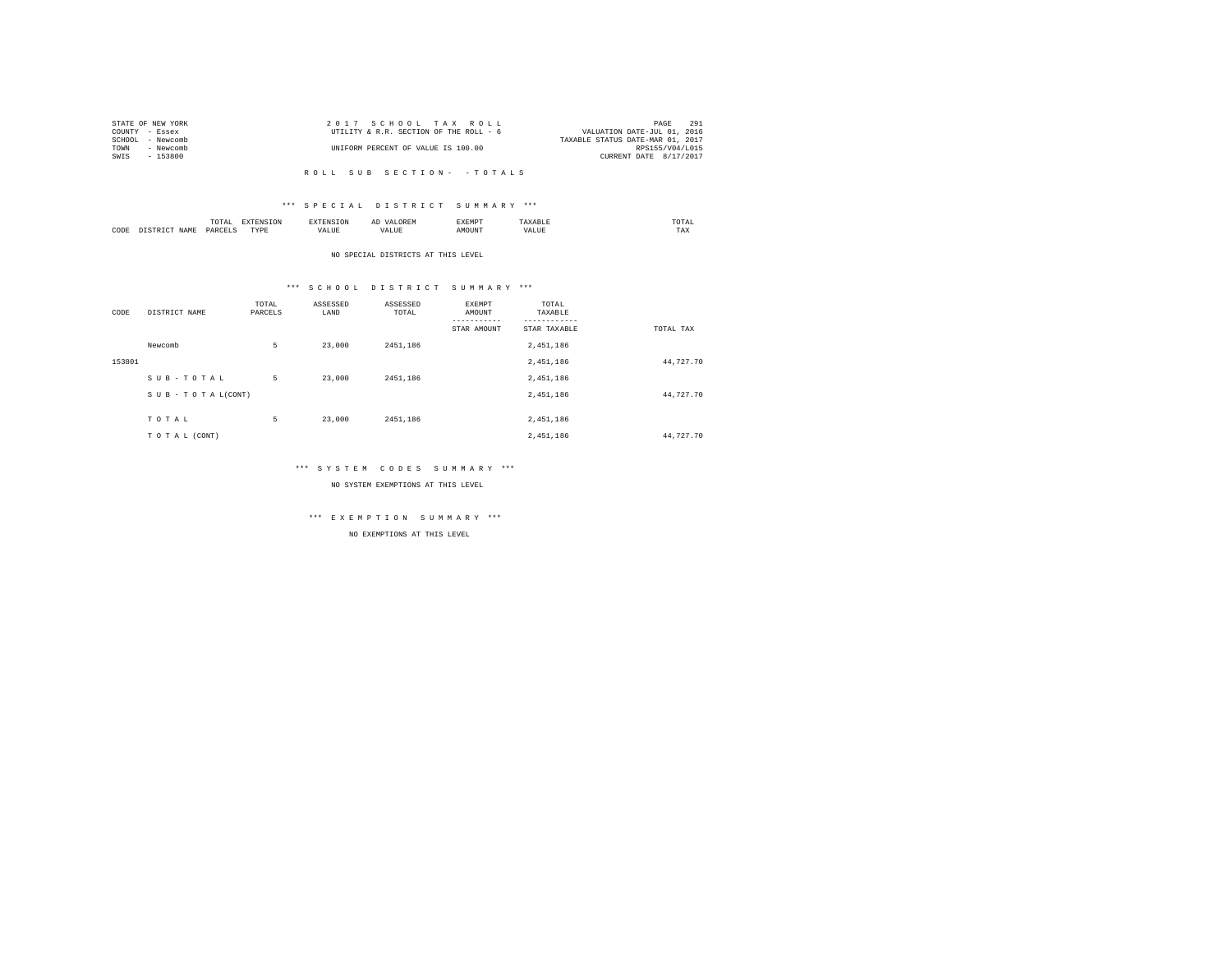| STATE OF NEW YORK   | 2017 SCHOOL TAX ROLL                   | 291<br>PAGE                      |
|---------------------|----------------------------------------|----------------------------------|
| COUNTY - Essex      | UTILITY & R.R. SECTION OF THE ROLL - 6 | VALUATION DATE-JUL 01, 2016      |
| SCHOOL<br>- Newcomb |                                        | TAXABLE STATUS DATE-MAR 01, 2017 |
| TOWN<br>- Newcomb   | UNIFORM PERCENT OF VALUE IS 100.00     | RPS155/V04/L015                  |
| SWIS<br>$-153800$   |                                        | CURRENT DATE 8/17/2017           |
|                     |                                        |                                  |

## \*\*\* S P E C I A L D I S T R I C T S U M M A R Y \*\*\*

|      | ----<br>IUIAL<br>the contract of the contract of the contract of |                  |                | ΑΙ | EXEMP. |      | $m \wedge m \wedge$<br>the contract of the contract of the contract of |
|------|------------------------------------------------------------------|------------------|----------------|----|--------|------|------------------------------------------------------------------------|
| CODE | DARCELS<br>.                                                     | <b>TVDk</b><br>. | - ---<br>'ALUL | 'n | וא ב   | ALUE | ---<br>TAX                                                             |

NO SPECIAL DISTRICTS AT THIS LEVEL

## \*\*\* S C H O O L D I S T R I C T S U M M A R Y \*\*\*

| CODE   | DISTRICT NAME   | TOTAL<br>PARCELS | ASSESSED<br>LAND | ASSESSED<br>TOTAL | EXEMPT<br>AMOUNT | TOTAL<br>TAXABLE |           |
|--------|-----------------|------------------|------------------|-------------------|------------------|------------------|-----------|
|        |                 |                  |                  |                   | STAR AMOUNT      | STAR TAXABLE     | TOTAL TAX |
|        | Newcomb         | 5                | 23,000           | 2451.186          |                  | 2,451,186        |           |
| 153801 |                 |                  |                  |                   |                  | 2,451,186        | 44,727.70 |
|        | SUB-TOTAL       | 5                | 23,000           | 2451.186          |                  | 2,451,186        |           |
|        | SUB-TOTAL(CONT) |                  |                  |                   |                  | 2,451,186        | 44,727.70 |
|        |                 |                  |                  |                   |                  |                  |           |
|        | TOTAL           | 5                | 23,000           | 2451.186          |                  | 2,451,186        |           |
|        | TO TAL (CONT)   |                  |                  |                   |                  | 2,451,186        | 44.727.70 |

## \*\*\* S Y S T E M C O D E S S U M M A R Y \*\*\*

NO SYSTEM EXEMPTIONS AT THIS LEVEL

# \*\*\* E X E M P T I O N S U M M A R Y \*\*\*

NO EXEMPTIONS AT THIS LEVEL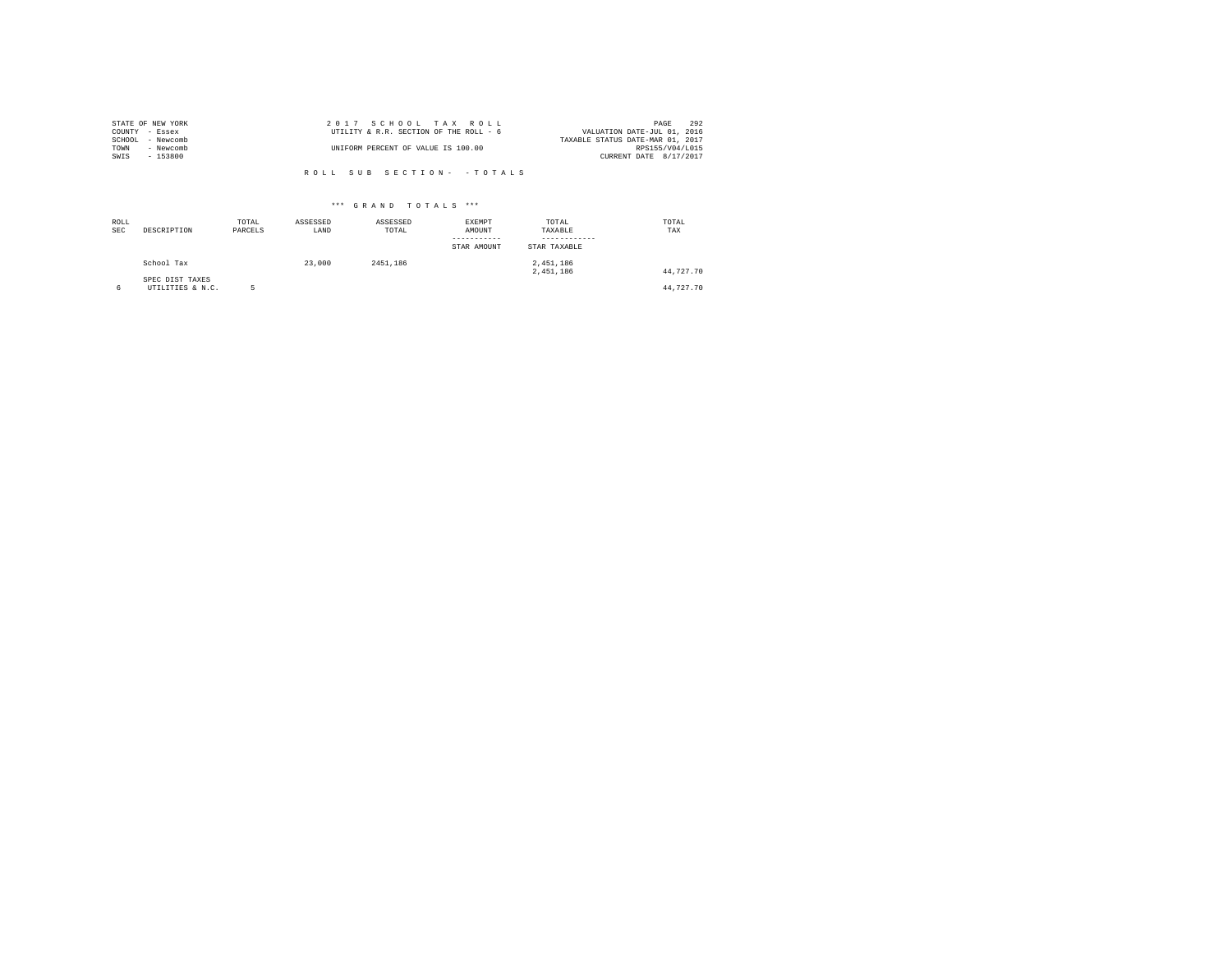| STATE OF NEW YORK | 2017 SCHOOL TAX ROLL                   | 292<br>PAGE                      |
|-------------------|----------------------------------------|----------------------------------|
| COUNTY - Essex    | UTILITY & R.R. SECTION OF THE ROLL - 6 | VALUATION DATE-JUL 01, 2016      |
| SCHOOL - Newcomb  |                                        | TAXABLE STATUS DATE-MAR 01, 2017 |
| TOWN<br>- Newcomb | UNIFORM PERCENT OF VALUE IS 100.00     | RPS155/V04/L015                  |
| SWIS<br>- 153800  |                                        | CURRENT DATE 8/17/2017           |
|                   |                                        |                                  |

| ROLL<br><b>SEC</b> | DESCRIPTION                         | TOTAL<br>PARCELS | ASSESSED<br>LAND | ASSESSED<br>TOTAL | <b>EXEMPT</b><br>AMOUNT<br>STAR AMOUNT | TOTAL<br>TAXABLE<br>STAR TAXABLE | TOTAL<br>TAX |
|--------------------|-------------------------------------|------------------|------------------|-------------------|----------------------------------------|----------------------------------|--------------|
|                    | School Tax                          |                  | 23,000           | 2451.186          |                                        | 2,451,186<br>2.451.186           | 44.727.70    |
| 6                  | SPEC DIST TAXES<br>UTILITIES & N.C. |                  |                  |                   |                                        |                                  | 44.727.70    |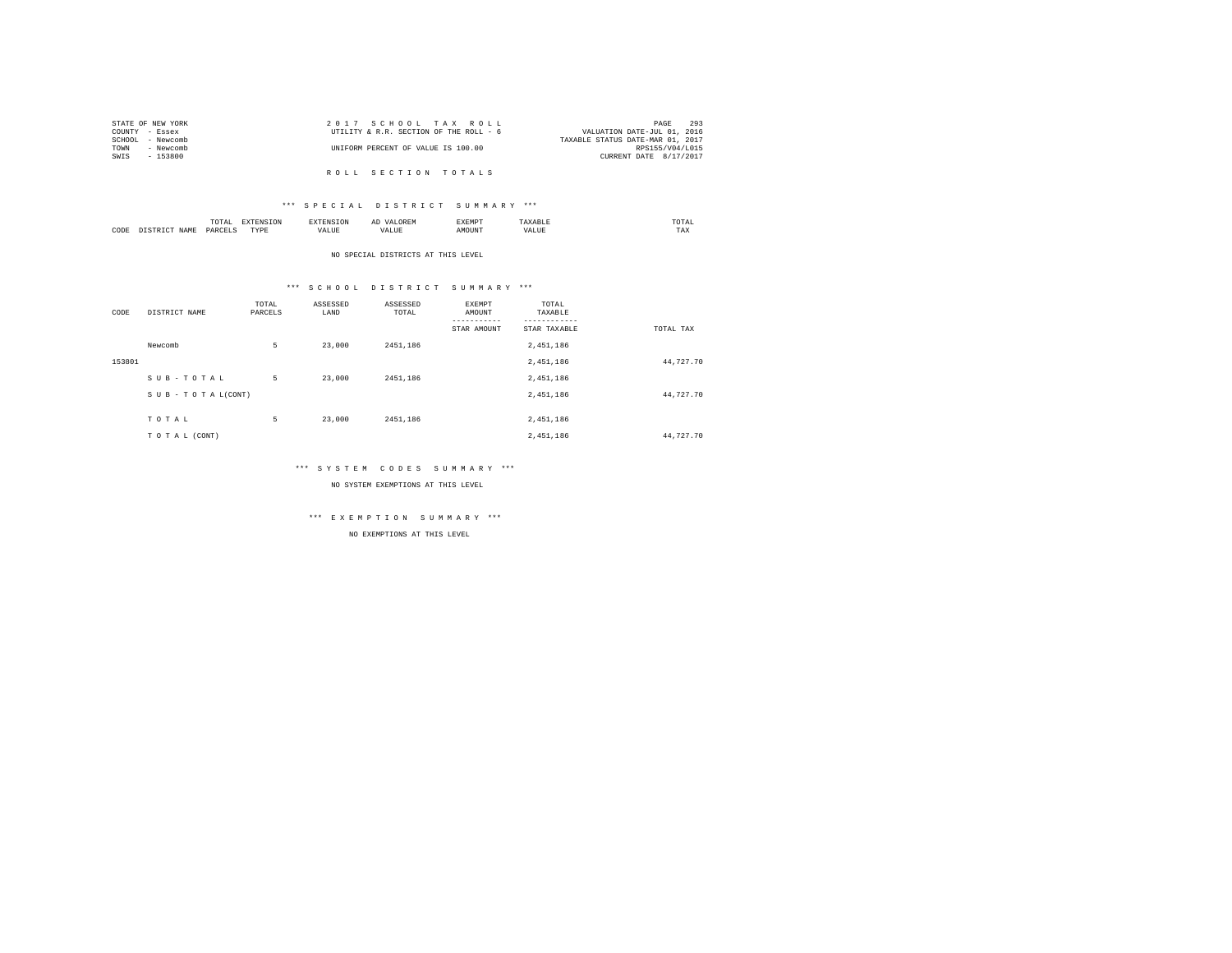| STATE OF NEW YORK | 2017 SCHOOL TAX ROLL                   | 293<br>PAGE                      |
|-------------------|----------------------------------------|----------------------------------|
| COUNTY - Essex    | UTILITY & R.R. SECTION OF THE ROLL - 6 | VALUATION DATE-JUL 01, 2016      |
| SCHOOL - Newcomb  |                                        | TAXABLE STATUS DATE-MAR 01, 2017 |
| TOWN<br>- Newcomb | UNIFORM PERCENT OF VALUE IS 100.00     | RPS155/V04/L015                  |
| SWIS<br>- 153800  |                                        | CURRENT DATE 8/17/2017           |
|                   |                                        |                                  |
|                   | ROLL SECTION TOTALS                    |                                  |

# \*\*\* S P E C I A L D I S T R I C T S U M M A R Y \*\*\*

|      | $\cdots$<br>.<br>the contract of the contract of the contract of | the contract of the contract of the contract of the contract of the contract of |         | ▵<br>- |   | the contract of the contract of the contract of |  |
|------|------------------------------------------------------------------|---------------------------------------------------------------------------------|---------|--------|---|-------------------------------------------------|--|
| CODE | DARCEL.<br>.                                                     | $- - - -$<br>.                                                                  | ٠.<br>. |        | . | ----<br>1'A.X                                   |  |

NO SPECIAL DISTRICTS AT THIS LEVEL

# \*\*\* S C H O O L D I S T R I C T S U M M A R Y \*\*\*

| CODE   | DISTRICT NAME      | TOTAL<br>PARCELS | ASSESSED<br>LAND | ASSESSED<br>TOTAL | EXEMPT<br>AMOUNT | TOTAL<br>TAXABLE |           |
|--------|--------------------|------------------|------------------|-------------------|------------------|------------------|-----------|
|        |                    |                  |                  |                   | STAR AMOUNT      | STAR TAXABLE     | TOTAL TAX |
|        | Newcomb            | 5                | 23,000           | 2451.186          |                  | 2,451,186        |           |
| 153801 |                    |                  |                  |                   |                  | 2,451,186        | 44,727.70 |
|        | SUB-TOTAL          | 5                | 23,000           | 2451.186          |                  | 2,451,186        |           |
|        | SUB - TO TAL(CONT) |                  |                  |                   |                  | 2,451,186        | 44,727.70 |
|        |                    |                  |                  |                   |                  |                  |           |
|        | TOTAL              | 5                | 23,000           | 2451.186          |                  | 2,451,186        |           |
|        | TO TAL (CONT)      |                  |                  |                   |                  | 2.451.186        | 44,727.70 |

# \*\*\* S Y S T E M C O D E S S U M M A R Y \*\*\*

NO SYSTEM EXEMPTIONS AT THIS LEVEL

# \*\*\* E X E M P T I O N S U M M A R Y \*\*\*

NO EXEMPTIONS AT THIS LEVEL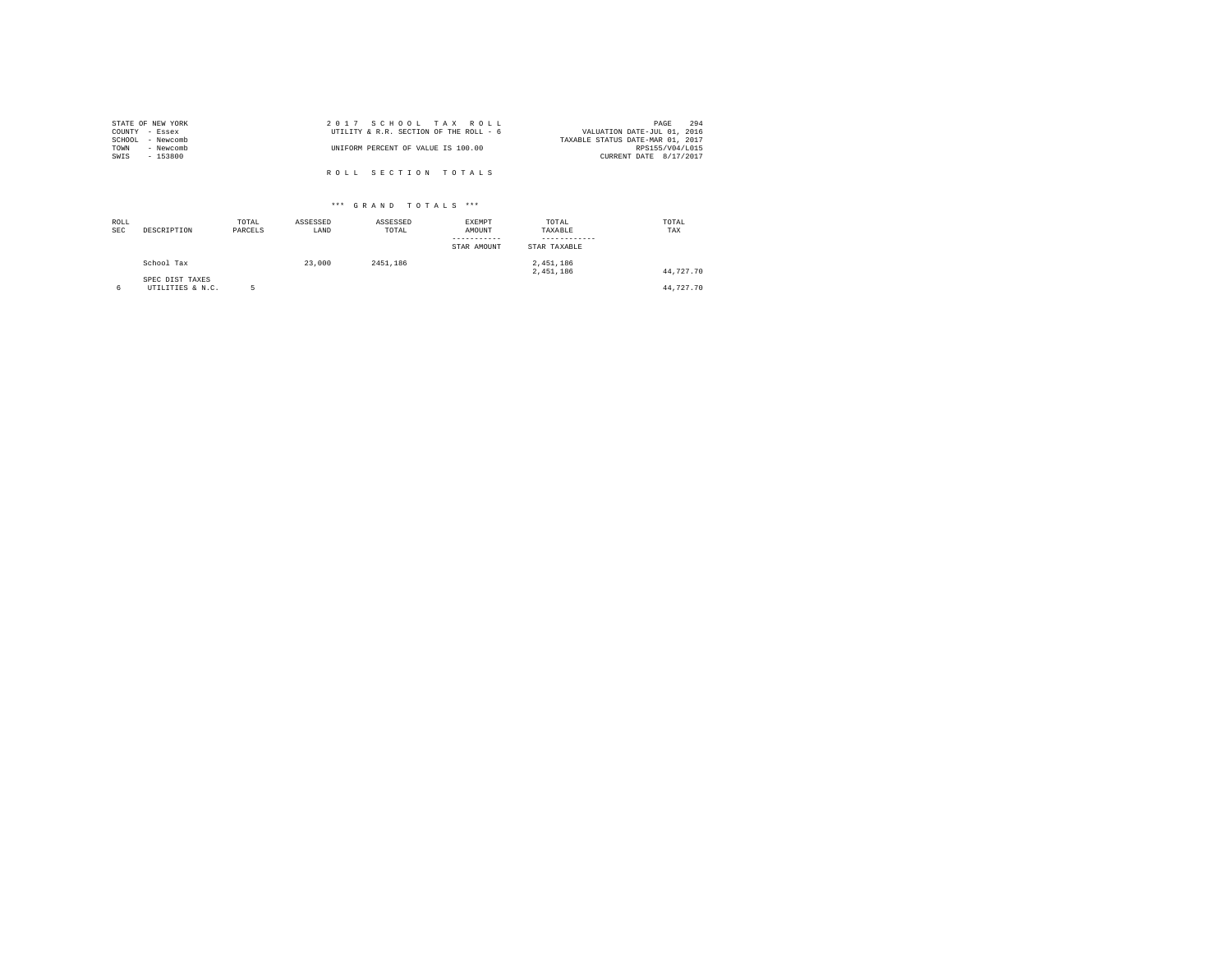| STATE OF NEW YORK | 2017 SCHOOL TAX ROLL                   | 294<br>PAGE                      |
|-------------------|----------------------------------------|----------------------------------|
| COUNTY - Essex    | UTILITY & R.R. SECTION OF THE ROLL - 6 | VALUATION DATE-JUL 01, 2016      |
| SCHOOL - Newcomb  |                                        | TAXABLE STATUS DATE-MAR 01, 2017 |
| TOWN<br>- Newcomb | UNIFORM PERCENT OF VALUE IS 100.00     | RPS155/V04/L015                  |
| SWIS<br>- 153800  |                                        | CURRENT DATE 8/17/2017           |
|                   |                                        |                                  |
|                   | ROLL SECTION TOTALS                    |                                  |

| ROLL<br><b>SEC</b> | DESCRIPTION                         | TOTAL<br>PARCELS | ASSESSED<br>LAND | ASSESSED<br>TOTAL | <b>EXEMPT</b><br>AMOUNT<br>STAR AMOUNT | TOTAL<br>TAXABLE<br>STAR TAXABLE | TOTAL<br>TAX |
|--------------------|-------------------------------------|------------------|------------------|-------------------|----------------------------------------|----------------------------------|--------------|
|                    | School Tax                          |                  | 23,000           | 2451.186          |                                        | 2.451.186<br>2.451.186           | 44.727.70    |
|                    | SPEC DIST TAXES<br>UTILITIES & N.C. | ĸ                |                  |                   |                                        |                                  | 44.727.70    |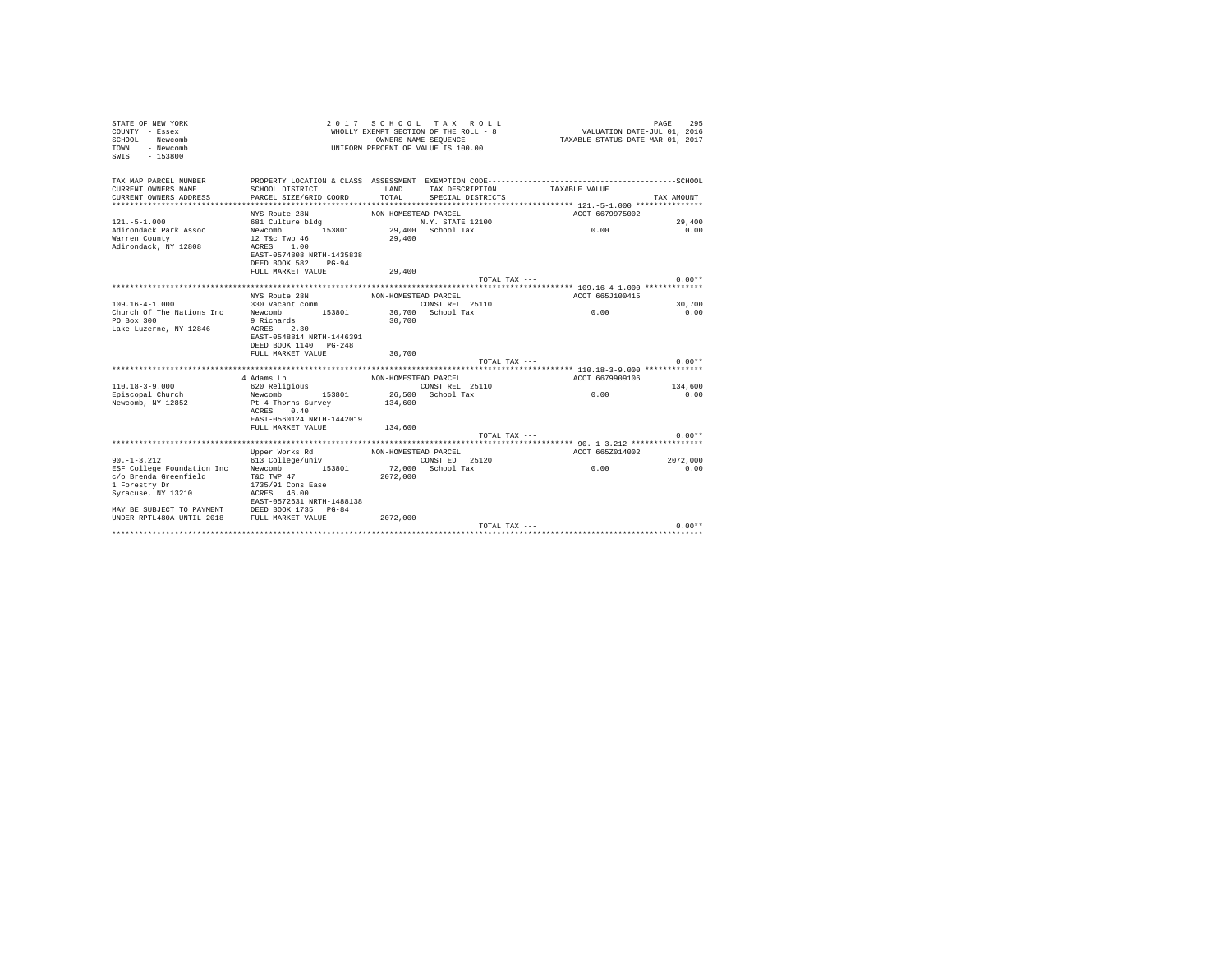| STATE OF NEW YORK<br>COUNTY - Essex<br>SCHOOL - Newcomb<br>- Newcomb<br>TOWN<br>$-153800$<br>SWIS |                                                       |                      | 2017 SCHOOL TAX ROLL<br>WHOLLY EXEMPT SECTION OF THE ROLL - 8<br>OWNERS NAME SEQUENCE<br>UNIFORM PERCENT OF VALUE IS 100.00 | VALUATION DATE-JUL 01, 2016<br>TAXABLE STATUS DATE-MAR 01, 2017                              | 295<br>PAGE |
|---------------------------------------------------------------------------------------------------|-------------------------------------------------------|----------------------|-----------------------------------------------------------------------------------------------------------------------------|----------------------------------------------------------------------------------------------|-------------|
| TAX MAP PARCEL NUMBER                                                                             |                                                       |                      |                                                                                                                             | PROPERTY LOCATION & CLASS ASSESSMENT EXEMPTION CODE-----------------------------------SCHOOL |             |
| CURRENT OWNERS NAME                                                                               | SCHOOL DISTRICT                                       | LAND                 | TAX DESCRIPTION                                                                                                             | TAXABLE VALUE                                                                                |             |
| CURRENT OWNERS ADDRESS                                                                            | PARCEL SIZE/GRID COORD                                | TOTAL                | SPECIAL DISTRICTS                                                                                                           |                                                                                              | TAX AMOUNT  |
|                                                                                                   | NYS Route 28N                                         | NON-HOMESTEAD PARCEL |                                                                                                                             | ACCT 6679975002                                                                              |             |
| $121. - 5 - 1.000$                                                                                | 681 Culture bldg                                      |                      | N.Y. STATE 12100                                                                                                            |                                                                                              | 29,400      |
| Adirondack Park Assoc                                                                             | 153801<br>Newcomb                                     |                      | 29,400 School Tax                                                                                                           | 0.00                                                                                         | 0.00        |
| Warren County                                                                                     | 12 T&c Twp 46                                         | 29,400               |                                                                                                                             |                                                                                              |             |
| Adirondack, NY 12808                                                                              | ACRES 1.00                                            |                      |                                                                                                                             |                                                                                              |             |
|                                                                                                   | EAST-0574808 NRTH-1435838<br>DEED BOOK 582<br>$PG-94$ |                      |                                                                                                                             |                                                                                              |             |
|                                                                                                   | FULL MARKET VALUE                                     | 29,400               |                                                                                                                             |                                                                                              |             |
|                                                                                                   |                                                       |                      | TOTAL TAX ---                                                                                                               |                                                                                              | $0.00**$    |
|                                                                                                   |                                                       |                      |                                                                                                                             |                                                                                              |             |
|                                                                                                   | NYS Route 28N                                         | NON-HOMESTEAD PARCEL |                                                                                                                             | ACCT 665J100415                                                                              |             |
| $109.16 - 4 - 1.000$                                                                              | 330 Vacant comm                                       |                      | CONST REL 25110                                                                                                             |                                                                                              | 30,700      |
| Church Of The Nations Inc<br>PO Box 300                                                           | Newcomb 153801<br>9 Richards                          | 30,700               | 30.700 School Tax                                                                                                           | 0.00                                                                                         | 0.00        |
| Lake Luzerne, NY 12846                                                                            | ACRES 2.30                                            |                      |                                                                                                                             |                                                                                              |             |
|                                                                                                   | EAST-0548814 NRTH-1446391                             |                      |                                                                                                                             |                                                                                              |             |
|                                                                                                   | DEED BOOK 1140 PG-248                                 |                      |                                                                                                                             |                                                                                              |             |
|                                                                                                   | FULL MARKET VALUE                                     | 30,700               |                                                                                                                             |                                                                                              |             |
|                                                                                                   |                                                       |                      | TOTAL TAX ---                                                                                                               |                                                                                              | $0.00**$    |
|                                                                                                   | 4 Adams Ln                                            | NON-HOMESTEAD PARCEL |                                                                                                                             | ACCT 6679909106                                                                              |             |
| $110.18 - 3 - 9.000$                                                                              | 620 Religious                                         |                      | CONST REL 25110                                                                                                             |                                                                                              | 134,600     |
| Episcopal Church                                                                                  | 153801<br>Newcomb                                     |                      | 26,500 School Tax                                                                                                           | 0.00                                                                                         | 0.00        |
| Newcomb, NY 12852                                                                                 | Pt 4 Thorns Survey                                    | 134,600              |                                                                                                                             |                                                                                              |             |
|                                                                                                   | ACRES 0.40                                            |                      |                                                                                                                             |                                                                                              |             |
|                                                                                                   | EAST-0560124 NRTH-1442019<br>FULL MARKET VALUE        |                      |                                                                                                                             |                                                                                              |             |
|                                                                                                   |                                                       | 134,600              | TOTAL TAX ---                                                                                                               |                                                                                              | $0.00**$    |
|                                                                                                   |                                                       |                      |                                                                                                                             |                                                                                              |             |
|                                                                                                   | Upper Works Rd                                        | NON-HOMESTEAD PARCEL |                                                                                                                             | ACCT 665Z014002                                                                              |             |
| $90. -1 - 3.212$                                                                                  | 613 College/univ                                      |                      | CONST ED 25120                                                                                                              |                                                                                              | 2072.000    |
| ESF College Foundation Inc                                                                        | Newcomb<br>153801                                     |                      | 72,000 School Tax                                                                                                           | 0.00                                                                                         | 0.00        |
| c/o Brenda Greenfield<br>1 Forestry Dr                                                            | T&C TWP 47<br>1735/91 Cons Ease                       | 2072.000             |                                                                                                                             |                                                                                              |             |
| Syracuse, NY 13210                                                                                | ACRES 46.00                                           |                      |                                                                                                                             |                                                                                              |             |
|                                                                                                   | EAST-0572631 NRTH-1488138                             |                      |                                                                                                                             |                                                                                              |             |
| MAY BE SUBJECT TO PAYMENT                                                                         | DEED BOOK 1735 PG-84                                  |                      |                                                                                                                             |                                                                                              |             |
| UNDER RPTL480A UNTIL 2018 FULL MARKET VALUE                                                       |                                                       | 2072.000             |                                                                                                                             |                                                                                              |             |
|                                                                                                   |                                                       |                      | TOTAL TAX ---                                                                                                               |                                                                                              | $0.00**$    |
|                                                                                                   |                                                       |                      |                                                                                                                             |                                                                                              |             |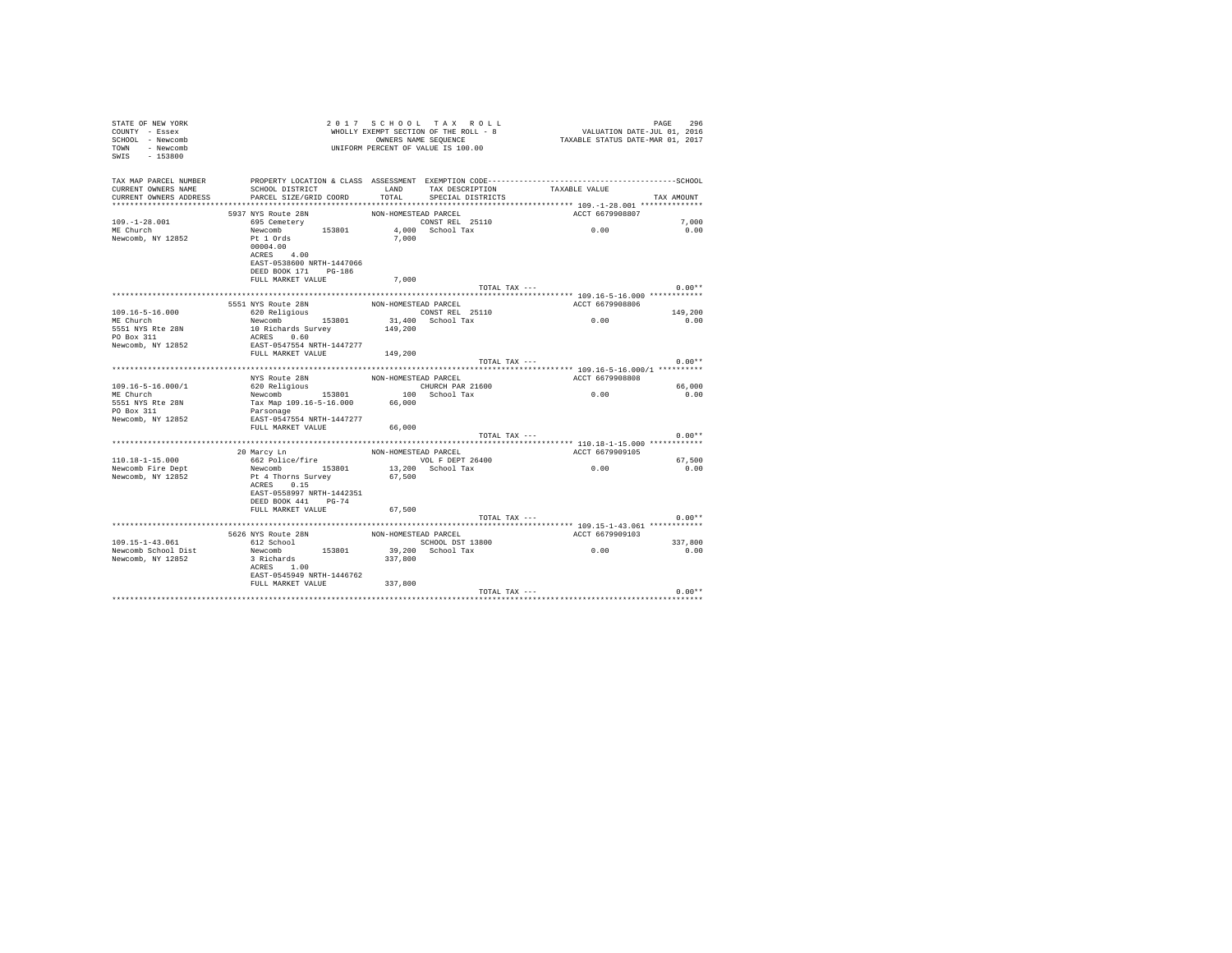| STATE OF NEW YORK<br>COUNTY - Essex<br>SCHOOL - Newcomb<br>TOWN - Newcomb<br>SWIS<br>$-153800$ |                                                                                                                 |                      | 2017 SCHOOL TAX ROLL<br>WHOLLY EXEMPT SECTION OF THE ROLL - 8<br>OWNERS NAME SEQUENCE<br>UNIFORM PERCENT OF VALUE IS 100.00 | VALUATION DATE-JUL 01, 2016<br>TAXABLE STATUS DATE-MAR 01, 2017 | 296<br>PAGE |
|------------------------------------------------------------------------------------------------|-----------------------------------------------------------------------------------------------------------------|----------------------|-----------------------------------------------------------------------------------------------------------------------------|-----------------------------------------------------------------|-------------|
| TAX MAP PARCEL NUMBER<br>CURRENT OWNERS NAME                                                   | PROPERTY LOCATION & CLASS ASSESSMENT EXEMPTION CODE-----------------------------------SCHOOL<br>SCHOOL DISTRICT | <b>T.AND</b>         | TAX DESCRIPTION TAXABLE VALUE                                                                                               |                                                                 |             |
| CURRENT OWNERS ADDRESS                                                                         | PARCEL SIZE/GRID COORD                                                                                          | TOTAL                | SPECIAL DISTRICTS                                                                                                           |                                                                 | TAX AMOUNT  |
|                                                                                                |                                                                                                                 |                      |                                                                                                                             |                                                                 |             |
|                                                                                                | 5937 NYS Route 28N                                                                                              | NON-HOMESTEAD PARCEL |                                                                                                                             | ACCT 6679908807                                                 |             |
| $109. - 1 - 28.001$                                                                            | 695 Cemetery                                                                                                    |                      | CONST REL 25110                                                                                                             | 0.00                                                            | 7,000       |
| ME Church                                                                                      | Newcomb 153801                                                                                                  |                      | 4.000 School Tax                                                                                                            |                                                                 | 0.00        |
| Newcomb, NY 12852                                                                              | Pt 1 Ords                                                                                                       | 7,000                |                                                                                                                             |                                                                 |             |
|                                                                                                | 00004.00                                                                                                        |                      |                                                                                                                             |                                                                 |             |
|                                                                                                | ACRES 4.00                                                                                                      |                      |                                                                                                                             |                                                                 |             |
|                                                                                                | EAST-0538600 NRTH-1447066                                                                                       |                      |                                                                                                                             |                                                                 |             |
|                                                                                                | DEED BOOK 171 PG-186                                                                                            |                      |                                                                                                                             |                                                                 |             |
|                                                                                                | FULL MARKET VALUE                                                                                               | 7.000                |                                                                                                                             |                                                                 |             |
|                                                                                                |                                                                                                                 |                      | TOTAL TAX ---                                                                                                               |                                                                 | $0.00**$    |
|                                                                                                | 5551 NYS Route 28N                                                                                              | NON-HOMESTEAD PARCEL |                                                                                                                             | ACCT 6679908806                                                 |             |
| 109.16-5-16.000                                                                                | 620 Religious                                                                                                   |                      | CONST REL 25110                                                                                                             |                                                                 | 149,200     |
| ME Church                                                                                      | Newcomb 153801                                                                                                  |                      | 31,400 School Tax                                                                                                           | 0.00                                                            | 0.00        |
| 5551 NYS Rte 28N                                                                               | 10 Richards Survey                                                                                              | 149,200              |                                                                                                                             |                                                                 |             |
| PO Box 311                                                                                     | ACRES 0.60                                                                                                      |                      |                                                                                                                             |                                                                 |             |
| Newcomb, NY 12852                                                                              | EAST-0547554 NRTH-1447277                                                                                       |                      |                                                                                                                             |                                                                 |             |
|                                                                                                | FULL MARKET VALUE 149.200                                                                                       |                      |                                                                                                                             |                                                                 |             |
|                                                                                                |                                                                                                                 |                      | TOTAL TAX ---                                                                                                               |                                                                 | $0.00**$    |
|                                                                                                |                                                                                                                 |                      |                                                                                                                             |                                                                 |             |
|                                                                                                | NYS Route 28N                                                                                                   | NON-HOMESTEAD PARCEL |                                                                                                                             | ACCT 6679908808                                                 |             |
| $109.16 - 5 - 16.000 / 1$                                                                      | 620 Religious                                                                                                   |                      | CHURCH PAR 21600                                                                                                            |                                                                 | 66,000      |
| ME Church                                                                                      | Newcomb 153801                                                                                                  |                      | 100 School Tax                                                                                                              | 0.00                                                            | 0.00        |
| 5551 NYS Rte 28N                                                                               | Tax Map 109.16-5-16.000 66,000                                                                                  |                      |                                                                                                                             |                                                                 |             |
| PO Box 311                                                                                     | Parsonage                                                                                                       |                      |                                                                                                                             |                                                                 |             |
| Newcomb, NY 12852                                                                              | EAST-0547554 NRTH-1447277                                                                                       |                      |                                                                                                                             |                                                                 |             |
|                                                                                                | FULL MARKET VALUE                                                                                               | 66,000               |                                                                                                                             |                                                                 |             |
|                                                                                                |                                                                                                                 |                      | TOTAL TAX ---                                                                                                               |                                                                 | $0.00**$    |
|                                                                                                |                                                                                                                 |                      |                                                                                                                             |                                                                 |             |
|                                                                                                | 20 Marcy Ln                                                                                                     | NON-HOMESTEAD PARCEL |                                                                                                                             | ACCT 6679909105                                                 |             |
| $110.18 - 1 - 15.000$                                                                          | 662 Police/fire                                                                                                 |                      | VOL F DEPT 26400                                                                                                            |                                                                 | 67.500      |
| Newcomb Fire Dept                                                                              | Newcomb 153801                                                                                                  |                      | 13,200 School Tax                                                                                                           | 0.00                                                            | 0.00        |
| Newcomb, NY 12852                                                                              | Pt 4 Thorns Survey                                                                                              | 67.500               |                                                                                                                             |                                                                 |             |
|                                                                                                | ACRES 0.15                                                                                                      |                      |                                                                                                                             |                                                                 |             |
|                                                                                                | EAST-0558997 NRTH-1442351                                                                                       |                      |                                                                                                                             |                                                                 |             |
|                                                                                                | DEED BOOK 441 PG-74<br>FULL MARKET VALUE                                                                        |                      |                                                                                                                             |                                                                 |             |
|                                                                                                |                                                                                                                 | 67,500               |                                                                                                                             |                                                                 | $0.00**$    |
|                                                                                                |                                                                                                                 |                      | TOTAL TAX ---                                                                                                               |                                                                 |             |
|                                                                                                |                                                                                                                 | NON-HOMESTEAD PARCEL |                                                                                                                             | ACCT 6679909103                                                 |             |
| 109.15-1-43.061                                                                                | 5626 NYS Route 28N<br>612 School                                                                                |                      | SCHOOL DST 13800                                                                                                            |                                                                 | 337,800     |
| Newcomb School Dist                                                                            | Newcomb 153801                                                                                                  |                      | 39,200 School Tax                                                                                                           | 0.00                                                            | 0.00        |
| Newcomb, NY 12852                                                                              | 3 Richards                                                                                                      | 337,800              |                                                                                                                             |                                                                 |             |
|                                                                                                | ACRES 1.00                                                                                                      |                      |                                                                                                                             |                                                                 |             |
|                                                                                                | EAST-0545949 NRTH-1446762                                                                                       |                      |                                                                                                                             |                                                                 |             |
|                                                                                                | FULL MARKET VALUE                                                                                               | 337,800              |                                                                                                                             |                                                                 |             |
|                                                                                                |                                                                                                                 |                      | TOTAL TAX ---                                                                                                               |                                                                 | $0.00**$    |
|                                                                                                |                                                                                                                 |                      |                                                                                                                             |                                                                 |             |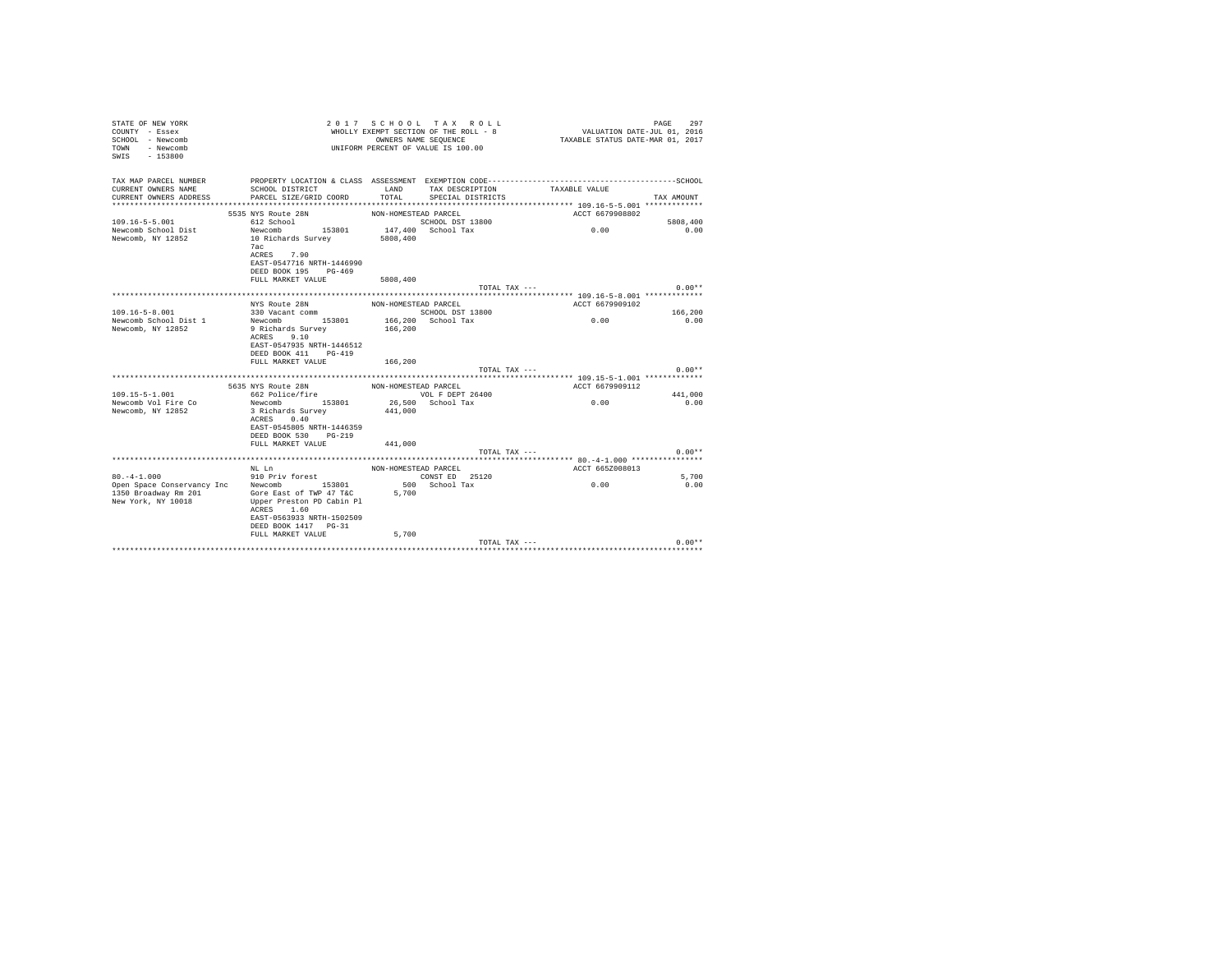| STATE OF NEW YORK<br>COUNTY - Essex<br>SCHOOL - Newcomb<br>TOWN<br>- Newcomb<br>$-153800$<br>SWTS |                                                |                      | 2017 SCHOOL TAX ROLL<br>WHOLLY EXEMPT SECTION OF THE ROLL - 8<br>OWNERS NAME SEQUENCE<br>UNIFORM PERCENT OF VALUE IS 100.00 | VALUATION DATE-JUL 01, 2016<br>TAXABLE STATUS DATE-MAR 01, 2017 | PAGE<br>297 |
|---------------------------------------------------------------------------------------------------|------------------------------------------------|----------------------|-----------------------------------------------------------------------------------------------------------------------------|-----------------------------------------------------------------|-------------|
| TAX MAP PARCEL NUMBER                                                                             |                                                |                      |                                                                                                                             |                                                                 |             |
| CURRENT OWNERS NAME<br>CURRENT OWNERS ADDRESS                                                     | SCHOOL DISTRICT<br>PARCEL SIZE/GRID COORD      | LAND<br>TOTAL        | TAX DESCRIPTION<br>SPECIAL DISTRICTS                                                                                        | TAXABLE VALUE                                                   | TAX AMOUNT  |
|                                                                                                   |                                                |                      |                                                                                                                             |                                                                 |             |
|                                                                                                   | 5535 NYS Route 28N                             | NON-HOMESTEAD PARCEL |                                                                                                                             | ACCT 6679908802                                                 |             |
| $109.16 - 5 - 5.001$                                                                              | 612 School                                     |                      | SCHOOL DST 13800                                                                                                            |                                                                 | 5808,400    |
| Newcomb School Dist                                                                               | Newcomb 153801                                 |                      | 147,400 School Tax                                                                                                          | 0.00                                                            | 0.00        |
| Newcomb, NY 12852                                                                                 | 10 Richards Survey                             | 5808,400             |                                                                                                                             |                                                                 |             |
|                                                                                                   | 7ac<br>ACRES 7.90                              |                      |                                                                                                                             |                                                                 |             |
|                                                                                                   | EAST-0547716 NRTH-1446990                      |                      |                                                                                                                             |                                                                 |             |
|                                                                                                   | DEED BOOK 195 PG-469                           |                      |                                                                                                                             |                                                                 |             |
|                                                                                                   | FULL MARKET VALUE                              | 5808,400             |                                                                                                                             |                                                                 |             |
|                                                                                                   |                                                |                      | TOTAL TAX ---                                                                                                               |                                                                 | $0.00**$    |
|                                                                                                   | NYS Route 28N                                  | NON-HOMESTEAD PARCEL |                                                                                                                             | ACCT 6679909102                                                 |             |
| $109.16 - 5 - 8.001$                                                                              | 330 Vacant comm                                |                      | SCHOOL DST 13800                                                                                                            |                                                                 | 166,200     |
| Newcomb School Dist 1                                                                             | Newcomb 153801                                 |                      | 166,200 School Tax                                                                                                          | 0.00                                                            | 0.00        |
| Newcomb, NY 12852                                                                                 | 9 Richards Survey                              | 166,200              |                                                                                                                             |                                                                 |             |
|                                                                                                   | 9.10<br>ACRES                                  |                      |                                                                                                                             |                                                                 |             |
|                                                                                                   | EAST-0547935 NRTH-1446512                      |                      |                                                                                                                             |                                                                 |             |
|                                                                                                   | DEED BOOK 411<br>$PG-419$<br>FULL MARKET VALUE | 166,200              |                                                                                                                             |                                                                 |             |
|                                                                                                   |                                                |                      | TOTAL TAX ---                                                                                                               |                                                                 | $0.00**$    |
|                                                                                                   |                                                |                      |                                                                                                                             |                                                                 |             |
|                                                                                                   | 5635 NYS Route 28N                             | NON-HOMESTEAD PARCEL |                                                                                                                             | ACCT 6679909112                                                 |             |
| $109.15 - 5 - 1.001$                                                                              | 662 Police/fire<br>Newcomb 153801              |                      | VOL F DEPT 26400                                                                                                            |                                                                 | 441.000     |
| Newcomb Vol Fire Co<br>Newcomb, NY 12852                                                          | 3 Richards Survey                              | 441,000              | 26,500 School Tax                                                                                                           | 0.00                                                            | 0.00        |
|                                                                                                   | 0.40<br>ACRES                                  |                      |                                                                                                                             |                                                                 |             |
|                                                                                                   | EAST-0545805 NRTH-1446359                      |                      |                                                                                                                             |                                                                 |             |
|                                                                                                   | DEED BOOK 530 PG-219                           |                      |                                                                                                                             |                                                                 |             |
|                                                                                                   | FULL MARKET VALUE                              | 441,000              |                                                                                                                             |                                                                 |             |
|                                                                                                   |                                                |                      | TOTAL TAX ---                                                                                                               |                                                                 | $0.00**$    |
|                                                                                                   | NL Ln                                          | NON-HOMESTEAD PARCEL |                                                                                                                             | ACCT 665Z008013                                                 |             |
| $80. -4 - 1.000$                                                                                  | 910 Priv forest                                |                      | CONST ED 25120                                                                                                              |                                                                 | 5,700       |
| Open Space Conservancy Inc Newcomb 153801                                                         |                                                |                      | 500 School Tax                                                                                                              | 0.00                                                            | 0.00        |
| 1350 Broadway Rm 201                                                                              | Gore East of TWP 47 T&C                        | 5,700                |                                                                                                                             |                                                                 |             |
| New York, NY 10018                                                                                | Upper Preston PD Cabin Pl                      |                      |                                                                                                                             |                                                                 |             |
|                                                                                                   | ACRES 1.60<br>EAST-0563933 NRTH-1502509        |                      |                                                                                                                             |                                                                 |             |
|                                                                                                   | DEED BOOK 1417 PG-31                           |                      |                                                                                                                             |                                                                 |             |
|                                                                                                   | FULL MARKET VALUE                              | 5,700                |                                                                                                                             |                                                                 |             |
|                                                                                                   |                                                |                      | TOTAL TAX ---                                                                                                               |                                                                 | $0.00**$    |
|                                                                                                   |                                                |                      |                                                                                                                             |                                                                 |             |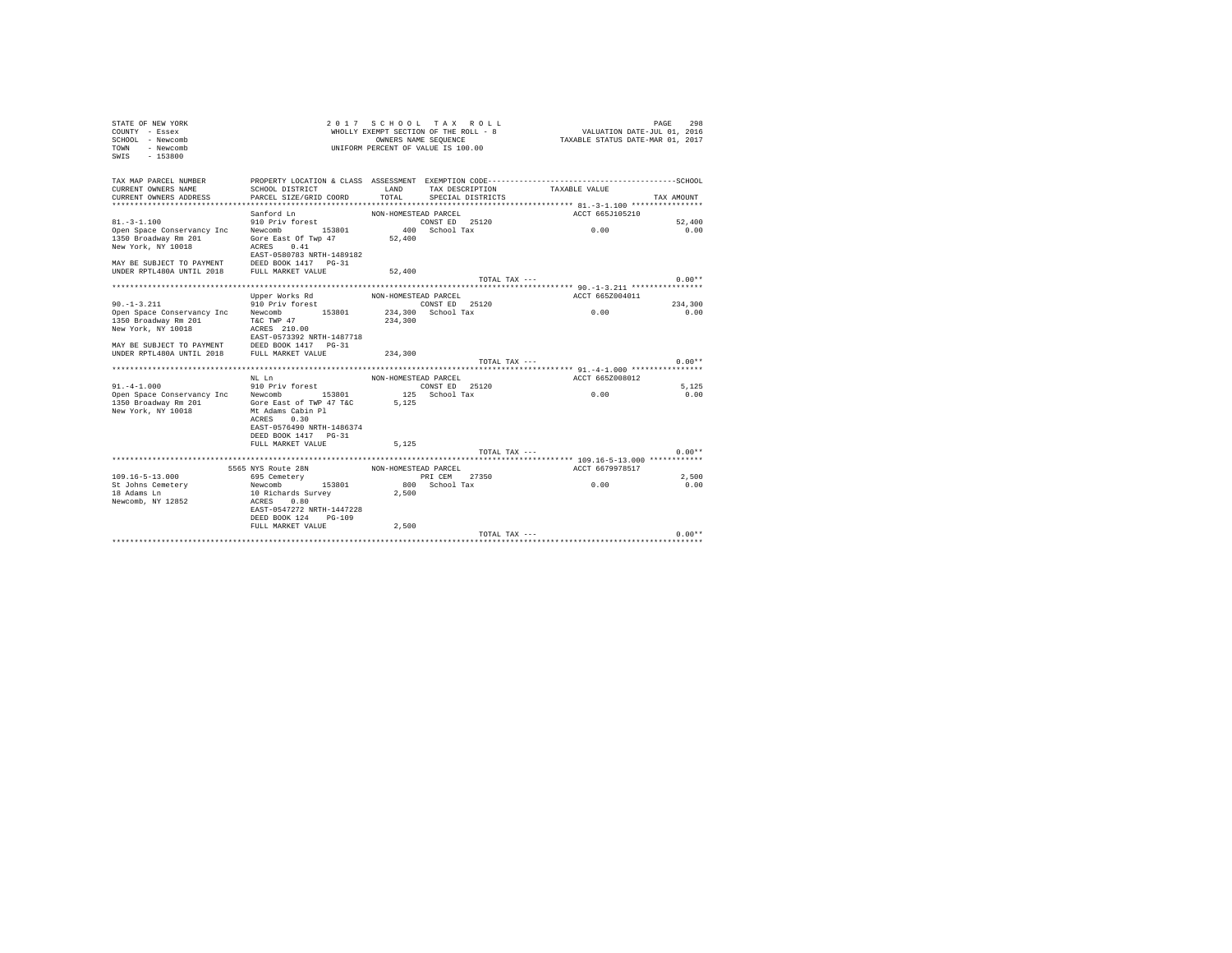| STATE OF NEW YORK<br>COUNTY - Essex<br>SCHOOL - Newcomb<br>TOWN - Newcomb<br>SWIS - 153800                                 |                                                                                              |                      | 2017 SCHOOL TAX ROLL<br>UNIFORM PERCENT OF VALUE IS 100.00 | $\begin{array}{ccccccccc} \textit{A} & \textit{B} & \textit{C} & \textit{C} & \textit{C} & \textit{C} & \textit{C} & \textit{C} & \textit{C} \\ \textit{M}\text{H}\text{G}\text{L}\text{L}\text{K}\text{E}\text{K}\text{D}\text{F} & \textit{C}\text{F} & \textit{C}\text{F} & \textit{C}\text{F} & \textit{C} & \textit{C} & \textit{C} & \textit{C} \\ \textit{M}\text{H}\text{G}\text{L}\text{L}\text{K}\text{E}\text{S}\text{F}\text{F} & \$ | PAGE<br>298 |
|----------------------------------------------------------------------------------------------------------------------------|----------------------------------------------------------------------------------------------|----------------------|------------------------------------------------------------|--------------------------------------------------------------------------------------------------------------------------------------------------------------------------------------------------------------------------------------------------------------------------------------------------------------------------------------------------------------------------------------------------------------------------------------------------|-------------|
| TAX MAP PARCEL NUMBER                                                                                                      | PROPERTY LOCATION & CLASS ASSESSMENT EXEMPTION CODE-----------------------------------SCHOOL |                      |                                                            |                                                                                                                                                                                                                                                                                                                                                                                                                                                  |             |
| CURRENT OWNERS NAME<br>CURRENT OWNERS ADDRESS                                                                              | SCHOOL DISTRICT<br>PARCEL SIZE/GRID COORD                                                    | LAND<br>TOTAL        | TAX DESCRIPTION<br>SPECIAL DISTRICTS                       | TAXABLE VALUE                                                                                                                                                                                                                                                                                                                                                                                                                                    | TAX AMOUNT  |
|                                                                                                                            |                                                                                              |                      |                                                            |                                                                                                                                                                                                                                                                                                                                                                                                                                                  |             |
|                                                                                                                            |                                                                                              |                      |                                                            | ACCT 665J105210                                                                                                                                                                                                                                                                                                                                                                                                                                  |             |
|                                                                                                                            |                                                                                              |                      |                                                            |                                                                                                                                                                                                                                                                                                                                                                                                                                                  | 52,400      |
| Sanford Ln MON-HOMESTEAD PARCEL<br>91.-3-1.100 910 Priv forest<br>Open Space Conservancy Inc Newcomb 153801 400 School Tax |                                                                                              |                      |                                                            | 0.00                                                                                                                                                                                                                                                                                                                                                                                                                                             | 0.00        |
| 1350 Broadway Rm 201                                                                                                       | Gore East Of Twp 47                                                                          | 52,400               |                                                            |                                                                                                                                                                                                                                                                                                                                                                                                                                                  |             |
| New York, NY 10018                                                                                                         | ACRES 0.41                                                                                   |                      |                                                            |                                                                                                                                                                                                                                                                                                                                                                                                                                                  |             |
|                                                                                                                            | EAST-0580783 NRTH-1489182                                                                    |                      |                                                            |                                                                                                                                                                                                                                                                                                                                                                                                                                                  |             |
|                                                                                                                            |                                                                                              | 52,400               |                                                            |                                                                                                                                                                                                                                                                                                                                                                                                                                                  |             |
|                                                                                                                            |                                                                                              |                      | TOTAL TAX ---                                              |                                                                                                                                                                                                                                                                                                                                                                                                                                                  | $0.00**$    |
|                                                                                                                            |                                                                                              |                      |                                                            |                                                                                                                                                                                                                                                                                                                                                                                                                                                  |             |
|                                                                                                                            | Upper Works Rd MON-HOMESTEAD PARCEL                                                          |                      |                                                            | ACCT 665Z004011                                                                                                                                                                                                                                                                                                                                                                                                                                  |             |
| $90. -1 - 3.211$                                                                                                           | 910 Priv forest                                                                              |                      | CONST ED 25120                                             |                                                                                                                                                                                                                                                                                                                                                                                                                                                  | 234,300     |
| Open Space Conservancy Inc Newcomb 153801 234,300 School Tax                                                               |                                                                                              |                      |                                                            | 0.00                                                                                                                                                                                                                                                                                                                                                                                                                                             | 0.00        |
| 1350 Broadway Rm 201                                                                                                       | T&C TWP 47                                                                                   | 234,300              |                                                            |                                                                                                                                                                                                                                                                                                                                                                                                                                                  |             |
| New York, NY 10018                                                                                                         | ACRES 210.00                                                                                 |                      |                                                            |                                                                                                                                                                                                                                                                                                                                                                                                                                                  |             |
|                                                                                                                            | EAST-0573392 NRTH-1487718                                                                    |                      |                                                            |                                                                                                                                                                                                                                                                                                                                                                                                                                                  |             |
| MAY BE SUBJECT TO PAYMENT DEED BOOK 1417 PG-31<br>UNDER RPTL480A UNTIL 2018 FULL MARKET VALUE                              |                                                                                              | 234,300              |                                                            |                                                                                                                                                                                                                                                                                                                                                                                                                                                  |             |
|                                                                                                                            |                                                                                              |                      | TOTAL TAX ---                                              |                                                                                                                                                                                                                                                                                                                                                                                                                                                  | $0.00**$    |
|                                                                                                                            |                                                                                              |                      |                                                            |                                                                                                                                                                                                                                                                                                                                                                                                                                                  |             |
|                                                                                                                            | NT. T.n                                                                                      | NON-HOMESTEAD PARCEL |                                                            | ACCT 665Z008012                                                                                                                                                                                                                                                                                                                                                                                                                                  |             |
| 91.-4-1.000 910 Priv forest<br>Open Space Conservancy Inc Newcomb 153801 125 School Tax                                    |                                                                                              |                      |                                                            |                                                                                                                                                                                                                                                                                                                                                                                                                                                  | 5.125       |
|                                                                                                                            |                                                                                              |                      |                                                            | 0.00                                                                                                                                                                                                                                                                                                                                                                                                                                             | 0.00        |
| 1350 Broadway Rm 201                                                                                                       | Gore East of TWP 47 T&C                                                                      | 5.125                |                                                            |                                                                                                                                                                                                                                                                                                                                                                                                                                                  |             |
| New York, NY 10018                                                                                                         | Mt Adams Cabin Pl<br>ACRES 0.30                                                              |                      |                                                            |                                                                                                                                                                                                                                                                                                                                                                                                                                                  |             |
|                                                                                                                            | EAST-0576490 NRTH-1486374                                                                    |                      |                                                            |                                                                                                                                                                                                                                                                                                                                                                                                                                                  |             |
|                                                                                                                            | DEED BOOK 1417 PG-31                                                                         |                      |                                                            |                                                                                                                                                                                                                                                                                                                                                                                                                                                  |             |
|                                                                                                                            | FULL MARKET VALUE                                                                            | 5.125                |                                                            |                                                                                                                                                                                                                                                                                                                                                                                                                                                  |             |
|                                                                                                                            |                                                                                              |                      | TOTAL TAX ---                                              |                                                                                                                                                                                                                                                                                                                                                                                                                                                  | $0.00**$    |
|                                                                                                                            |                                                                                              |                      |                                                            |                                                                                                                                                                                                                                                                                                                                                                                                                                                  |             |
|                                                                                                                            | 5565 NYS Route 28N NON-HOMESTEAD PARCEL                                                      |                      |                                                            | ACCT 6679978517                                                                                                                                                                                                                                                                                                                                                                                                                                  |             |
| $109.16 - 5 - 13.000$                                                                                                      | 695 Cemeterv                                                                                 |                      | PRI CEM 27350                                              |                                                                                                                                                                                                                                                                                                                                                                                                                                                  | 2,500       |
| St Johns Cemetery                                                                                                          | Newcomb 153801                                                                               |                      | 800 School Tax                                             | 0.00                                                                                                                                                                                                                                                                                                                                                                                                                                             | 0.00        |
| 18 Adams Ln                                                                                                                | 10 Richards Survey                                                                           | 2,500                |                                                            |                                                                                                                                                                                                                                                                                                                                                                                                                                                  |             |
| Newcomb, NY 12852                                                                                                          | ACRES 0.80<br>EAST-0547272 NRTH-1447228                                                      |                      |                                                            |                                                                                                                                                                                                                                                                                                                                                                                                                                                  |             |
|                                                                                                                            | DEED BOOK 124 PG-109                                                                         |                      |                                                            |                                                                                                                                                                                                                                                                                                                                                                                                                                                  |             |
|                                                                                                                            | FULL MARKET VALUE                                                                            | 2,500                |                                                            |                                                                                                                                                                                                                                                                                                                                                                                                                                                  |             |
|                                                                                                                            |                                                                                              |                      | TOTAL TAX ---                                              |                                                                                                                                                                                                                                                                                                                                                                                                                                                  | $0.00**$    |
|                                                                                                                            |                                                                                              |                      |                                                            |                                                                                                                                                                                                                                                                                                                                                                                                                                                  |             |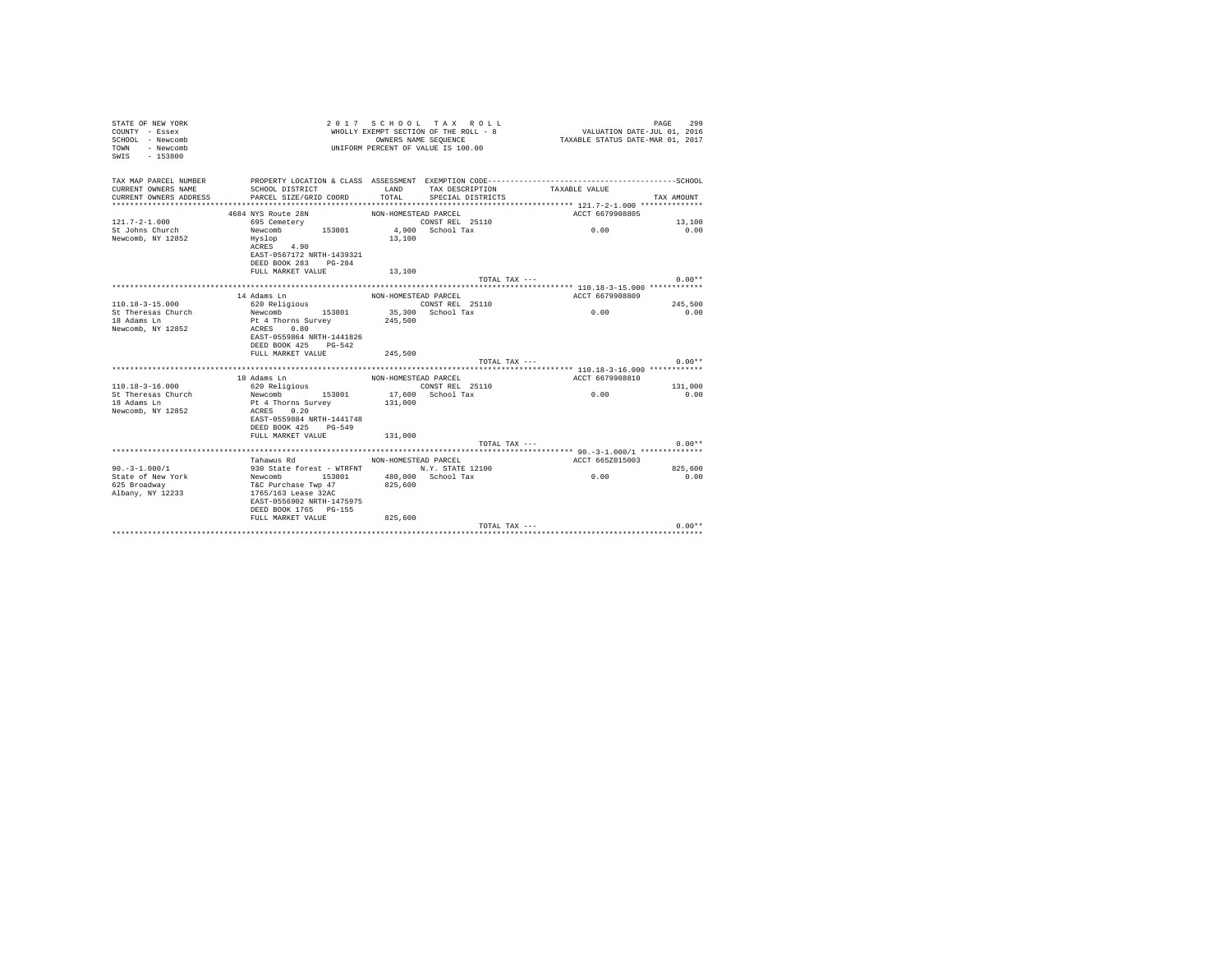| STATE OF NEW YORK<br>COUNTY - Essex<br>SCHOOL - Newcomb<br>- Newcomb<br>TOWN<br>SWIS<br>$-153800$ |                                            |                      | 2017 SCHOOL TAX ROLL<br>WHOLLY EXEMPT SECTION OF THE ROLL - 8<br>OWNERS NAME SEQUENCE<br>UNIFORM PERCENT OF VALUE IS 100.00 | VALUATION DATE-JUL 01, 2016<br>TAXABLE STATUS DATE-MAR 01, 2017 | 299<br>PAGE |
|---------------------------------------------------------------------------------------------------|--------------------------------------------|----------------------|-----------------------------------------------------------------------------------------------------------------------------|-----------------------------------------------------------------|-------------|
| TAX MAP PARCEL NUMBER                                                                             |                                            |                      |                                                                                                                             |                                                                 |             |
| CURRENT OWNERS NAME                                                                               | SCHOOL DISTRICT                            | LAND                 | TAX DESCRIPTION                                                                                                             | TAXABLE VALUE                                                   |             |
| CURRENT OWNERS ADDRESS                                                                            | PARCEL SIZE/GRID COORD                     | TOTAL                | SPECIAL DISTRICTS                                                                                                           |                                                                 | TAX AMOUNT  |
|                                                                                                   |                                            |                      |                                                                                                                             |                                                                 |             |
|                                                                                                   | 4684 NYS Route 28N                         | NON-HOMESTEAD PARCEL |                                                                                                                             | ACCT 6679908805                                                 |             |
| $121.7 - 2 - 1.000$                                                                               | 695 Cemetery                               |                      | CONST REL 25110                                                                                                             |                                                                 | 13,100      |
| St Johns Church                                                                                   | 153801<br>Newcomb                          |                      | $4,900$ School Tax                                                                                                          | 0.00                                                            | 0.00        |
| Newcomb, NY 12852                                                                                 | Hyslop                                     | 13,100               |                                                                                                                             |                                                                 |             |
|                                                                                                   | ACRES 4.90                                 |                      |                                                                                                                             |                                                                 |             |
|                                                                                                   | EAST-0567172 NRTH-1439321                  |                      |                                                                                                                             |                                                                 |             |
|                                                                                                   | DEED BOOK 283 PG-284                       |                      |                                                                                                                             |                                                                 |             |
|                                                                                                   | FULL MARKET VALUE                          | 13,100               |                                                                                                                             |                                                                 |             |
|                                                                                                   |                                            |                      | TOTAL TAX ---                                                                                                               |                                                                 | $0.00**$    |
|                                                                                                   | 14 Adams Ln                                | NON-HOMESTEAD PARCEL |                                                                                                                             | ACCT 6679908809                                                 |             |
| $110.18 - 3 - 15.000$                                                                             | 620 Religious                              |                      | CONST REL 25110                                                                                                             |                                                                 | 245,500     |
| St Theresas Church                                                                                | Newcomb 153801                             |                      | 35,300 School Tax                                                                                                           | 0.00                                                            | 0.00        |
| 18 Adams Ln                                                                                       | Pt 4 Thorns Survey                         | 245,500              |                                                                                                                             |                                                                 |             |
| Newcomb, NY 12852                                                                                 | ACRES 0.80<br>EAST-0559864 NRTH-1441826    |                      |                                                                                                                             |                                                                 |             |
|                                                                                                   | DEED BOOK 425 PG-542                       |                      |                                                                                                                             |                                                                 |             |
|                                                                                                   | FULL MARKET VALUE                          | 245,500              |                                                                                                                             |                                                                 |             |
|                                                                                                   |                                            |                      | TOTAL TAX ---                                                                                                               |                                                                 | $0.00**$    |
|                                                                                                   |                                            |                      |                                                                                                                             |                                                                 |             |
|                                                                                                   | 18 Adams Ln                                | NON-HOMESTEAD PARCEL |                                                                                                                             | ACCT 6679908810                                                 |             |
| $110.18 - 3 - 16.000$                                                                             | 620 Religious                              |                      | CONST REL 25110                                                                                                             |                                                                 | 131,000     |
| St Theresas Church                                                                                | Newcomb 153801                             |                      | 17,600 School Tax                                                                                                           | 0.00                                                            | 0.00        |
| 18 Adams Ln                                                                                       | Pt 4 Thorns Survey                         | 131,000              |                                                                                                                             |                                                                 |             |
| Newcomb, NY 12852                                                                                 | ACRES 0.20                                 |                      |                                                                                                                             |                                                                 |             |
|                                                                                                   | EAST-0559884 NRTH-1441748                  |                      |                                                                                                                             |                                                                 |             |
|                                                                                                   | DEED BOOK 425 PG-549                       |                      |                                                                                                                             |                                                                 |             |
|                                                                                                   | FULL MARKET VALUE                          | 131,000              |                                                                                                                             |                                                                 |             |
|                                                                                                   |                                            |                      | TOTAL TAX ---                                                                                                               |                                                                 | $0.00**$    |
|                                                                                                   |                                            |                      |                                                                                                                             |                                                                 |             |
|                                                                                                   | Tahawus Rd                                 | NON-HOMESTEAD PARCEL |                                                                                                                             | ACCT 665Z015003                                                 |             |
| $90. -3 - 1.000/1$                                                                                | 930 State forest - WTRFNT M.Y. STATE 12100 |                      |                                                                                                                             |                                                                 | 825,600     |
| State of New York                                                                                 | Newcomb 153801                             |                      | 480,000 School Tax                                                                                                          | 0.00                                                            | 0.00        |
| 625 Broadway                                                                                      | T&C Purchase Twp 47                        | 825,600              |                                                                                                                             |                                                                 |             |
| Albany, NY 12233                                                                                  | 1765/163 Lease 32AC                        |                      |                                                                                                                             |                                                                 |             |
|                                                                                                   | EAST-0556902 NRTH-1475975                  |                      |                                                                                                                             |                                                                 |             |
|                                                                                                   | DEED BOOK 1765 PG-155                      | 825,600              |                                                                                                                             |                                                                 |             |
|                                                                                                   | FULL MARKET VALUE                          |                      | TOTAL TAX ---                                                                                                               |                                                                 | $0.00**$    |
|                                                                                                   |                                            |                      |                                                                                                                             |                                                                 |             |
|                                                                                                   |                                            |                      |                                                                                                                             |                                                                 |             |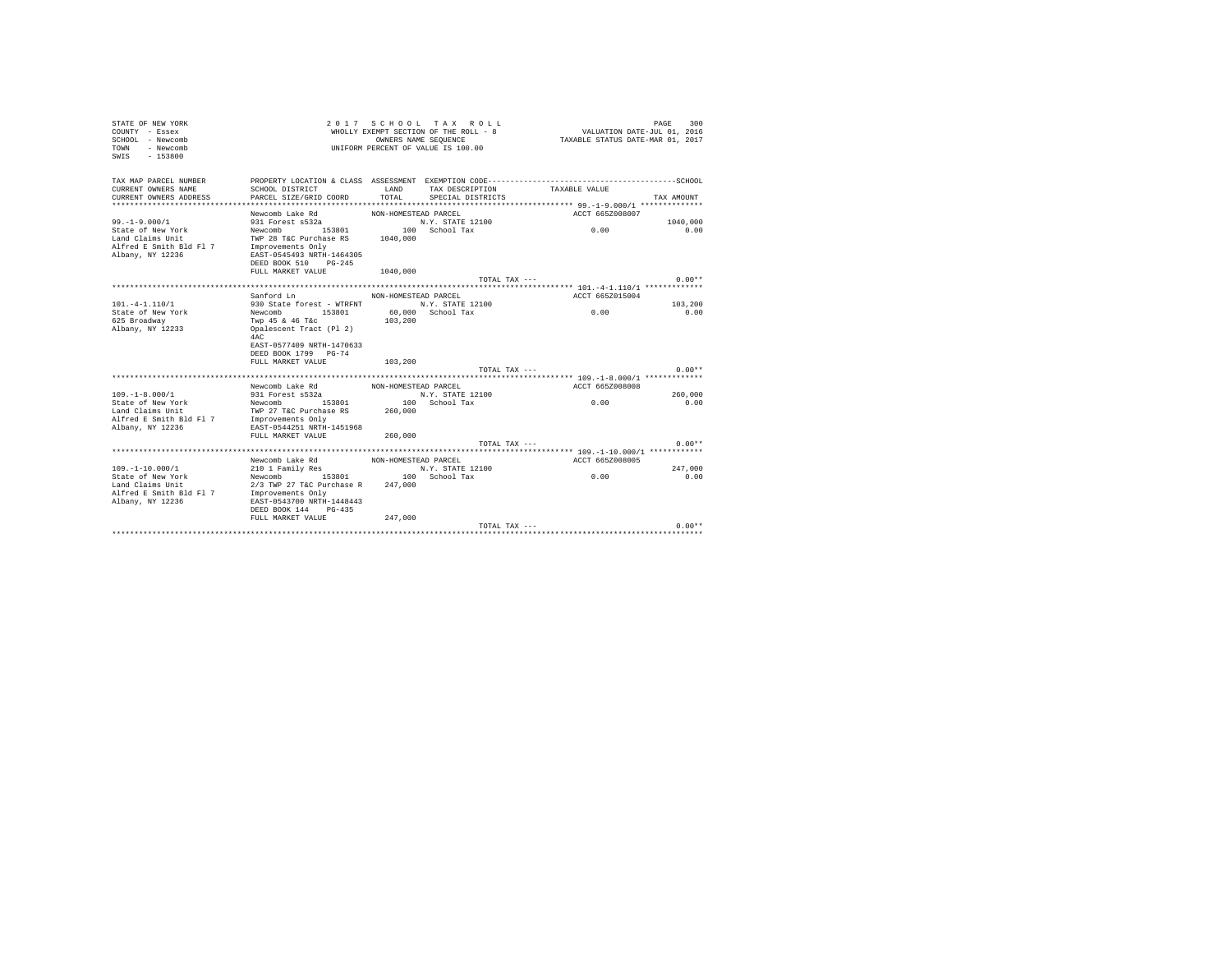| STATE OF NEW YORK<br>COUNTY - Essex<br>SCHOOL - Newcomb<br>TOWN<br>- Newcomb<br>$-153800$<br>SWIS |                                                   |                      | 2017 SCHOOL TAX ROLL<br>WHOLLY EXEMPT SECTION OF THE ROLL - 8<br>OWNERS NAME SEQUENCE<br>UNIFORM PERCENT OF VALUE IS 100.00 | VALUATION DATE-JUL 01, 2016<br>TAXABLE STATUS DATE-MAR 01, 2017 | 300<br>PAGE |
|---------------------------------------------------------------------------------------------------|---------------------------------------------------|----------------------|-----------------------------------------------------------------------------------------------------------------------------|-----------------------------------------------------------------|-------------|
| TAX MAP PARCEL NUMBER                                                                             |                                                   |                      |                                                                                                                             |                                                                 |             |
| CURRENT OWNERS NAME                                                                               | SCHOOL DISTRICT                                   | LAND                 | TAX DESCRIPTION                                                                                                             | TAXABLE VALUE                                                   |             |
| CURRENT OWNERS ADDRESS                                                                            | PARCEL SIZE/GRID COORD                            | TOTAL                | SPECIAL DISTRICTS                                                                                                           |                                                                 | TAX AMOUNT  |
|                                                                                                   |                                                   |                      |                                                                                                                             |                                                                 |             |
| $99. -1 - 9.000 / 1$                                                                              | Newcomb Lake Rd<br>931 Forest s532a               | NON-HOMESTEAD PARCEL | N.Y. STATE 12100                                                                                                            | ACCT 665Z008007                                                 | 1040,000    |
| State of New York                                                                                 | 153801<br>Newcomb                                 |                      | 100 School Tax                                                                                                              | 0.00                                                            | 0.00        |
| Land Claims Unit                                                                                  | TWP 28 T&C Purchase RS                            | 1040,000             |                                                                                                                             |                                                                 |             |
| Alfred E Smith Bld Fl 7                                                                           | Improvements Only                                 |                      |                                                                                                                             |                                                                 |             |
| Albany, NY 12236                                                                                  | EAST-0545493 NRTH-1464305                         |                      |                                                                                                                             |                                                                 |             |
|                                                                                                   | DEED BOOK 510 PG-245                              |                      |                                                                                                                             |                                                                 |             |
|                                                                                                   | FULL MARKET VALUE                                 | 1040,000             |                                                                                                                             |                                                                 |             |
|                                                                                                   |                                                   |                      | TOTAL TAX ---                                                                                                               |                                                                 | $0.00**$    |
|                                                                                                   |                                                   |                      |                                                                                                                             |                                                                 |             |
|                                                                                                   | Sanford Ln                                        | NON-HOMESTEAD PARCEL |                                                                                                                             | ACCT 665Z015004                                                 |             |
| $101. -4 - 1.110/1$                                                                               | 930 State forest - WTRFNT                         |                      | N.Y. STATE 12100                                                                                                            |                                                                 | 103,200     |
| State of New York                                                                                 | Newcomb 153801                                    |                      | 60.000 School Tax                                                                                                           | 0.00                                                            | 0.00        |
| 625 Broadway<br>Albany, NY 12233                                                                  | Twp 45 & 46 T&c<br>Opalescent Tract (Pl 2)<br>4AC | 103,200              |                                                                                                                             |                                                                 |             |
|                                                                                                   | EAST-0577409 NRTH-1470633<br>DEED BOOK 1799 PG-74 |                      |                                                                                                                             |                                                                 |             |
|                                                                                                   | FULL MARKET VALUE                                 | 103,200              |                                                                                                                             |                                                                 |             |
|                                                                                                   |                                                   |                      | TOTAL TAX ---                                                                                                               |                                                                 | $0.00**$    |
|                                                                                                   | Newcomb Lake Rd                                   |                      |                                                                                                                             | ACCT 665Z008008                                                 |             |
| $109. - 1 - 8.000 / 1$                                                                            | 931 Forest s532a                                  | NON-HOMESTEAD PARCEL | N.Y. STATE 12100                                                                                                            |                                                                 | 260,000     |
| State of New York                                                                                 | Newcomb 153801                                    |                      | 100 School Tax                                                                                                              | 0.00                                                            | 0.00        |
| Land Claims Unit                                                                                  | TWP 27 T&C Purchase RS                            | 260,000              |                                                                                                                             |                                                                 |             |
| Alfred E Smith Bld Fl 7                                                                           | Improvements Only                                 |                      |                                                                                                                             |                                                                 |             |
| Albany, NY 12236                                                                                  | EAST-0544251 NRTH-1451968                         |                      |                                                                                                                             |                                                                 |             |
|                                                                                                   | FULL MARKET VALUE                                 | 260,000              |                                                                                                                             |                                                                 |             |
|                                                                                                   |                                                   |                      | TOTAL TAX ---                                                                                                               |                                                                 | $0.00**$    |
|                                                                                                   |                                                   |                      |                                                                                                                             |                                                                 |             |
|                                                                                                   | Newcomb Lake Rd                                   | NON-HOMESTEAD PARCEL |                                                                                                                             | ACCT 665Z008005                                                 |             |
| $109. - 1 - 10.000 / 1$                                                                           | 210 1 Family Res                                  |                      | N.Y. STATE 12100                                                                                                            |                                                                 | 247.000     |
| State of New York                                                                                 | Newcomb 153801                                    |                      | 100 School Tax                                                                                                              | 0.00                                                            | 0.00        |
| Land Claims Unit                                                                                  | 2/3 TWP 27 T&C Purchase R                         | 247,000              |                                                                                                                             |                                                                 |             |
| Alfred E Smith Bld Fl 7                                                                           | Improvements Only<br>EAST-0543700 NRTH-1448443    |                      |                                                                                                                             |                                                                 |             |
| Albany, NY 12236                                                                                  | DEED BOOK 144 PG-435                              |                      |                                                                                                                             |                                                                 |             |
|                                                                                                   | FULL MARKET VALUE                                 | 247,000              |                                                                                                                             |                                                                 |             |
|                                                                                                   |                                                   |                      | TOTAL TAX ---                                                                                                               |                                                                 | $0.00**$    |
|                                                                                                   |                                                   |                      |                                                                                                                             |                                                                 |             |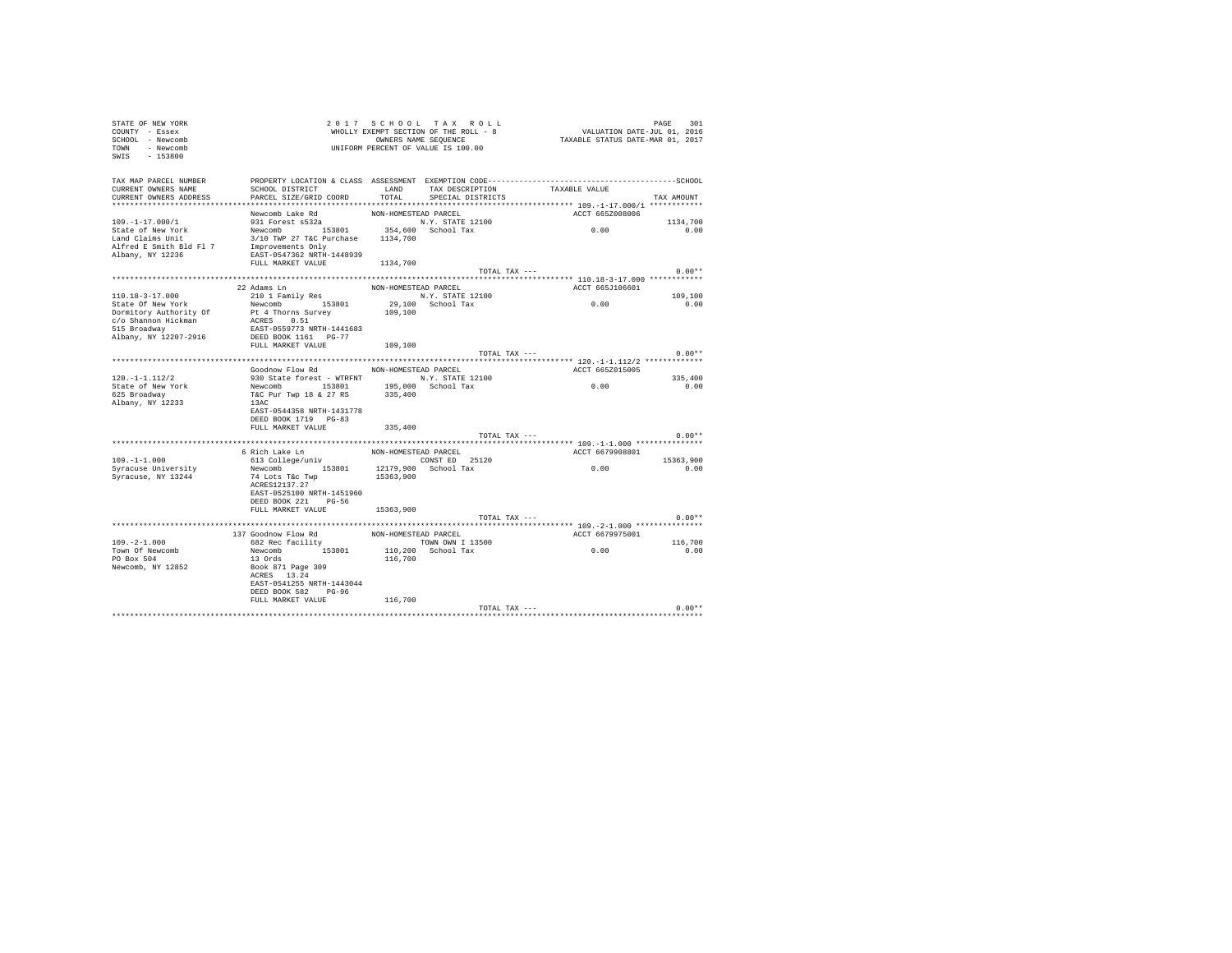| STATE OF NEW YORK<br>COUNTY - Essex<br>SCHOOL - Newcomb<br>TOWN - Newcomb<br>SWIS - 153800 |                                                                                                       |                      | 2017 SCHOOL TAX ROLL<br>WHOLLY EXEMPT SECTION OF THE ROLL - 8<br>OWNERS NAME SEOUENCE<br>UNIFORM PERCENT OF VALUE IS 100.00 | PAGE 301<br>VALUATION DATE-JUL 01, 2016<br>TAXABLE STATUS DATE-MAR 01, 2017 | PAGE<br>301 |
|--------------------------------------------------------------------------------------------|-------------------------------------------------------------------------------------------------------|----------------------|-----------------------------------------------------------------------------------------------------------------------------|-----------------------------------------------------------------------------|-------------|
| TAX MAP PARCEL NUMBER<br>CURRENT OWNERS NAME<br>CURRENT OWNERS ADDRESS                     | SCHOOL DISTRICT TAND TAX DESCRIPTION<br>PARCEL SIZE/GRID COORD                                        | TOTAL                | SPECIAL DISTRICTS                                                                                                           | TAXABLE VALUE                                                               | TAX AMOUNT  |
|                                                                                            | Newcomb Lake Rd                                                                                       | NON-HOMESTEAD PARCEL |                                                                                                                             | ACCT 665Z008006                                                             |             |
| $109. - 1 - 17.000 / 1$                                                                    | 931 Forest s532a                                                                                      |                      | N.Y. STATE 12100                                                                                                            |                                                                             | 1134,700    |
| State of New York<br>Land Claims Unit<br>Alfred E Smith Bld Fl 7<br>Albany, NY 12236       | Newcomb 153801<br>3/10 TWP 27 T&C Purchase 1134,700<br>Improvements Only<br>EAST-0547362 NRTH-1448939 |                      | 354,600 School Tax                                                                                                          | 0.00                                                                        | 0.00        |
|                                                                                            | FULL MARKET VALUE 1134,700                                                                            |                      |                                                                                                                             |                                                                             |             |
|                                                                                            |                                                                                                       |                      | TOTAL TAX ---                                                                                                               |                                                                             | $0.00**$    |
|                                                                                            |                                                                                                       |                      |                                                                                                                             |                                                                             |             |
| $110.18 - 3 - 17.000$                                                                      | 22 Adams Ln<br>210 1 Family Res                                                                       | NON-HOMESTEAD PARCEL | N.Y. STATE 12100                                                                                                            | ACCT 665J106601                                                             | 109,100     |
| State Of New York                                                                          | Newcomb 153801                                                                                        |                      | 29,100 School Tax                                                                                                           | 0.00                                                                        | 0.00        |
| Dormitory Authority Of                                                                     | Pt 4 Thorns Survey                                                                                    | 109,100              |                                                                                                                             |                                                                             |             |
| c/o Shannon Hickman                                                                        | ACRES 0.51                                                                                            |                      |                                                                                                                             |                                                                             |             |
| 515 Broadway                                                                               | EAST-0559773 NRTH-1441683                                                                             |                      |                                                                                                                             |                                                                             |             |
| Albany, NY 12207-2916                                                                      | DEED BOOK 1161 PG-77<br>FULL MARKET VALUE                                                             |                      |                                                                                                                             |                                                                             |             |
|                                                                                            |                                                                                                       | 109,100              | TOTAL TAX ---                                                                                                               |                                                                             | $0.00**$    |
|                                                                                            |                                                                                                       |                      |                                                                                                                             |                                                                             |             |
|                                                                                            | Goodnow Flow Rd MON-HOMESTEAD PARCEL                                                                  |                      |                                                                                                                             | ACCT 665Z015005                                                             |             |
| $120. -1 - 1.112/2$                                                                        | 930 State forest - WTRFNT N.Y. STATE 12100                                                            |                      |                                                                                                                             |                                                                             | 335,400     |
| State of New York                                                                          | Newcomb 153801                                                                                        |                      | 195,000 School Tax<br>335,400                                                                                               | 0.00                                                                        | 0.00        |
| 625 Broadway<br>Albany, NY 12233                                                           | T&C Pur Twp 18 & 27 RS<br>13AC                                                                        |                      |                                                                                                                             |                                                                             |             |
|                                                                                            | EAST-0544358 NRTH-1431778                                                                             |                      |                                                                                                                             |                                                                             |             |
|                                                                                            | DEED BOOK 1719 PG-83                                                                                  |                      |                                                                                                                             |                                                                             |             |
|                                                                                            | FULL MARKET VALUE                                                                                     | 335,400              |                                                                                                                             |                                                                             |             |
|                                                                                            |                                                                                                       |                      | TOTAL TAX ---                                                                                                               |                                                                             | $0.00**$    |
|                                                                                            | 6 Rich Lake Ln                                                                                        | NON-HOMESTEAD PARCEL |                                                                                                                             | ACCT 6679908801                                                             |             |
| $109. - 1 - 1.000$                                                                         | 613 College/univ                                                                                      |                      | CONST ED 25120                                                                                                              |                                                                             | 15363,900   |
| Syracuse University                                                                        | Newcomb 153801 12179,900 School Tax                                                                   |                      |                                                                                                                             | 0.00                                                                        | 0.00        |
| Syracuse, NY 13244                                                                         | 74 Lots T&c Twp                                                                                       | 15363,900            |                                                                                                                             |                                                                             |             |
|                                                                                            | ACRES12137.27<br>EAST-0525100 NRTH-1451960                                                            |                      |                                                                                                                             |                                                                             |             |
|                                                                                            | DEED BOOK 221 PG-56                                                                                   |                      |                                                                                                                             |                                                                             |             |
|                                                                                            | FULL MARKET VALUE                                                                                     | 15363,900            |                                                                                                                             |                                                                             |             |
|                                                                                            |                                                                                                       |                      | TOTAL TAX ---                                                                                                               |                                                                             | $0.00**$    |
|                                                                                            |                                                                                                       |                      |                                                                                                                             |                                                                             |             |
| $109. -2 - 1.000$                                                                          | 137 Goodnow Flow Rd<br>682 Rec facility                                                               | NON-HOMESTEAD PARCEL |                                                                                                                             | ACCT 6679975001                                                             | 116,700     |
| Town Of Newcomb                                                                            | Newcomb 153801                                                                                        |                      | TOWN OWN I 13500<br>110,200 School Tax                                                                                      | 0.00                                                                        | 0.00        |
| PO Box 504                                                                                 | 13 Ords                                                                                               | 116,700              |                                                                                                                             |                                                                             |             |
| Newcomb, NY 12852                                                                          | Book 871 Page 309                                                                                     |                      |                                                                                                                             |                                                                             |             |
|                                                                                            | ACRES 13.24                                                                                           |                      |                                                                                                                             |                                                                             |             |
|                                                                                            | EAST-0541255 NRTH-1443044<br>DEED BOOK 582 PG-96                                                      |                      |                                                                                                                             |                                                                             |             |
|                                                                                            | FULL MARKET VALUE                                                                                     | 116,700              |                                                                                                                             |                                                                             |             |
|                                                                                            |                                                                                                       |                      | TOTAL TAX ---                                                                                                               |                                                                             | $0.00**$    |
|                                                                                            |                                                                                                       |                      |                                                                                                                             |                                                                             |             |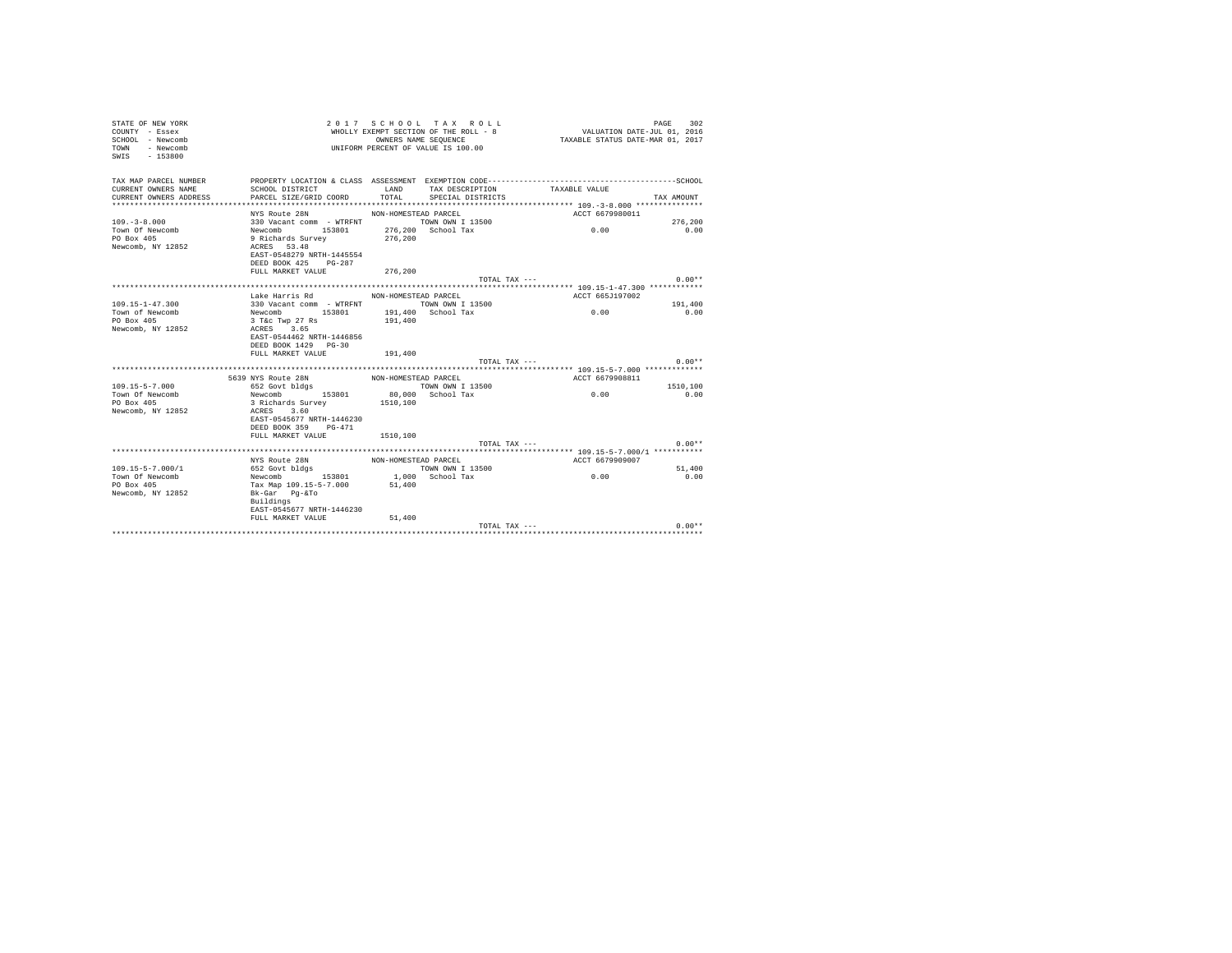| TAX MAP PARCEL NUMBER<br>CURRENT OWNERS NAME<br>SCHOOL DISTRICT<br>LAND<br>TAX DESCRIPTION<br>TAXABLE VALUE<br>PARCEL SIZE/GRID COORD<br>TOTAL<br>CURRENT OWNERS ADDRESS<br>SPECIAL DISTRICTS<br>TAX AMOUNT<br>NYS Route 28N<br>NON-HOMESTEAD PARCEL<br>ACCT 6679980011<br>330 Vacant comm - WTRFNT TOWN OWN I 13500<br>$109 - 3 - 8.000$<br>276,200<br>276,200 School Tax<br>0.00<br>Newcomb 153801<br>Town Of Newcomb<br>0.00<br>PO Box 405<br>9 Richards Survey<br>276.200<br>Newcomb, NY 12852<br>ACRES 53.48<br>EAST-0548279 NRTH-1445554<br>DEED BOOK 425 PG-287<br>FULL MARKET VALUE<br>276,200<br>$0.00**$<br>TOTAL TAX ---<br>Lake Harris Rd MON-HOMESTEAD PARCEL<br>ACCT 665J197002<br>$109.15 - 1 - 47.300$<br>330 Vacant comm - WTRFNT TOWN OWN I 13500<br>191,400<br>0.00<br>Newcomb 153801<br>191,400 School Tax<br>0.00<br>Town of Newcomb<br>3 T&C Twp 27 Rs<br>PO Box 405<br>191,400<br>Newcomb, NY 12852<br>ACRES 3.65<br>EAST-0544462 NRTH-1446856<br>DEED BOOK 1429 PG-30<br>FULL MARKET VALUE<br>191,400<br>$0.00**$<br>TOTAL TAX ---<br>5639 NYS Route 28N<br>ACCT 6679908811<br>NON-HOMESTEAD PARCEL<br>$109.15 - 5 - 7.000$<br>652 Govt bldgs<br>TOWN OWN I 13500<br>1510,100<br>0.00<br>80,000 School Tax<br>Town Of Newcomb<br>Newcomb 153801<br>0.00<br>PO Box 405<br>3 Richards Survey<br>1510,100<br>Newcomb, NY 12852<br>ACRES 3.60<br>EAST-0545677 NRTH-1446230<br>DEED BOOK 359 PG-471<br>1510,100<br>FULL MARKET VALUE<br>$0.00**$<br>TOTAL TAX ---<br>NYS Route 28N<br>ACCT 6679909007<br>NON-HOMESTEAD PARCEL<br>$109.15 - 5 - 7.000 / 1$<br>51,400<br>652 Govt bldgs<br>TOWN OWN I 13500<br>0.00<br>Town Of Newcomb<br>1,000 School Tax<br>0.00<br>Newcomb 153801<br>51,400<br>PO Box 405<br>Tax Map 109.15-5-7.000<br>Newcomb, NY 12852<br>Bk-Gar Pq-&To<br>Buildings<br>EAST-0545677 NRTH-1446230<br>FULL MARKET VALUE<br>51,400<br>$0.00**$<br>TOTAL TAX --- | STATE OF NEW YORK<br>COUNTY - Essex<br>SCHOOL - Newcomb<br>TOWN<br>- Newcomb<br>$-153800$<br>SWIS |  | 2017 SCHOOL TAX ROLL<br>WHOLLY EXEMPT SECTION OF THE ROLL - 8<br>OWNERS NAME SEQUENCE<br>UNIFORM PERCENT OF VALUE IS 100.00 | VALUATION DATE-JUL 01, 2016<br>TAXABLE STATUS DATE-MAR 01, 2017 | PAGE<br>302 |
|-----------------------------------------------------------------------------------------------------------------------------------------------------------------------------------------------------------------------------------------------------------------------------------------------------------------------------------------------------------------------------------------------------------------------------------------------------------------------------------------------------------------------------------------------------------------------------------------------------------------------------------------------------------------------------------------------------------------------------------------------------------------------------------------------------------------------------------------------------------------------------------------------------------------------------------------------------------------------------------------------------------------------------------------------------------------------------------------------------------------------------------------------------------------------------------------------------------------------------------------------------------------------------------------------------------------------------------------------------------------------------------------------------------------------------------------------------------------------------------------------------------------------------------------------------------------------------------------------------------------------------------------------------------------------------------------------------------------------------------------------------------------------------------------------------------------------------------------------------------------------------------------------------|---------------------------------------------------------------------------------------------------|--|-----------------------------------------------------------------------------------------------------------------------------|-----------------------------------------------------------------|-------------|
|                                                                                                                                                                                                                                                                                                                                                                                                                                                                                                                                                                                                                                                                                                                                                                                                                                                                                                                                                                                                                                                                                                                                                                                                                                                                                                                                                                                                                                                                                                                                                                                                                                                                                                                                                                                                                                                                                                     |                                                                                                   |  |                                                                                                                             |                                                                 |             |
|                                                                                                                                                                                                                                                                                                                                                                                                                                                                                                                                                                                                                                                                                                                                                                                                                                                                                                                                                                                                                                                                                                                                                                                                                                                                                                                                                                                                                                                                                                                                                                                                                                                                                                                                                                                                                                                                                                     |                                                                                                   |  |                                                                                                                             |                                                                 |             |
|                                                                                                                                                                                                                                                                                                                                                                                                                                                                                                                                                                                                                                                                                                                                                                                                                                                                                                                                                                                                                                                                                                                                                                                                                                                                                                                                                                                                                                                                                                                                                                                                                                                                                                                                                                                                                                                                                                     |                                                                                                   |  |                                                                                                                             |                                                                 |             |
|                                                                                                                                                                                                                                                                                                                                                                                                                                                                                                                                                                                                                                                                                                                                                                                                                                                                                                                                                                                                                                                                                                                                                                                                                                                                                                                                                                                                                                                                                                                                                                                                                                                                                                                                                                                                                                                                                                     |                                                                                                   |  |                                                                                                                             |                                                                 |             |
|                                                                                                                                                                                                                                                                                                                                                                                                                                                                                                                                                                                                                                                                                                                                                                                                                                                                                                                                                                                                                                                                                                                                                                                                                                                                                                                                                                                                                                                                                                                                                                                                                                                                                                                                                                                                                                                                                                     |                                                                                                   |  |                                                                                                                             |                                                                 |             |
|                                                                                                                                                                                                                                                                                                                                                                                                                                                                                                                                                                                                                                                                                                                                                                                                                                                                                                                                                                                                                                                                                                                                                                                                                                                                                                                                                                                                                                                                                                                                                                                                                                                                                                                                                                                                                                                                                                     |                                                                                                   |  |                                                                                                                             |                                                                 |             |
|                                                                                                                                                                                                                                                                                                                                                                                                                                                                                                                                                                                                                                                                                                                                                                                                                                                                                                                                                                                                                                                                                                                                                                                                                                                                                                                                                                                                                                                                                                                                                                                                                                                                                                                                                                                                                                                                                                     |                                                                                                   |  |                                                                                                                             |                                                                 |             |
|                                                                                                                                                                                                                                                                                                                                                                                                                                                                                                                                                                                                                                                                                                                                                                                                                                                                                                                                                                                                                                                                                                                                                                                                                                                                                                                                                                                                                                                                                                                                                                                                                                                                                                                                                                                                                                                                                                     |                                                                                                   |  |                                                                                                                             |                                                                 |             |
|                                                                                                                                                                                                                                                                                                                                                                                                                                                                                                                                                                                                                                                                                                                                                                                                                                                                                                                                                                                                                                                                                                                                                                                                                                                                                                                                                                                                                                                                                                                                                                                                                                                                                                                                                                                                                                                                                                     |                                                                                                   |  |                                                                                                                             |                                                                 |             |
|                                                                                                                                                                                                                                                                                                                                                                                                                                                                                                                                                                                                                                                                                                                                                                                                                                                                                                                                                                                                                                                                                                                                                                                                                                                                                                                                                                                                                                                                                                                                                                                                                                                                                                                                                                                                                                                                                                     |                                                                                                   |  |                                                                                                                             |                                                                 |             |
|                                                                                                                                                                                                                                                                                                                                                                                                                                                                                                                                                                                                                                                                                                                                                                                                                                                                                                                                                                                                                                                                                                                                                                                                                                                                                                                                                                                                                                                                                                                                                                                                                                                                                                                                                                                                                                                                                                     |                                                                                                   |  |                                                                                                                             |                                                                 |             |
|                                                                                                                                                                                                                                                                                                                                                                                                                                                                                                                                                                                                                                                                                                                                                                                                                                                                                                                                                                                                                                                                                                                                                                                                                                                                                                                                                                                                                                                                                                                                                                                                                                                                                                                                                                                                                                                                                                     |                                                                                                   |  |                                                                                                                             |                                                                 |             |
|                                                                                                                                                                                                                                                                                                                                                                                                                                                                                                                                                                                                                                                                                                                                                                                                                                                                                                                                                                                                                                                                                                                                                                                                                                                                                                                                                                                                                                                                                                                                                                                                                                                                                                                                                                                                                                                                                                     |                                                                                                   |  |                                                                                                                             |                                                                 |             |
|                                                                                                                                                                                                                                                                                                                                                                                                                                                                                                                                                                                                                                                                                                                                                                                                                                                                                                                                                                                                                                                                                                                                                                                                                                                                                                                                                                                                                                                                                                                                                                                                                                                                                                                                                                                                                                                                                                     |                                                                                                   |  |                                                                                                                             |                                                                 |             |
|                                                                                                                                                                                                                                                                                                                                                                                                                                                                                                                                                                                                                                                                                                                                                                                                                                                                                                                                                                                                                                                                                                                                                                                                                                                                                                                                                                                                                                                                                                                                                                                                                                                                                                                                                                                                                                                                                                     |                                                                                                   |  |                                                                                                                             |                                                                 |             |
|                                                                                                                                                                                                                                                                                                                                                                                                                                                                                                                                                                                                                                                                                                                                                                                                                                                                                                                                                                                                                                                                                                                                                                                                                                                                                                                                                                                                                                                                                                                                                                                                                                                                                                                                                                                                                                                                                                     |                                                                                                   |  |                                                                                                                             |                                                                 |             |
|                                                                                                                                                                                                                                                                                                                                                                                                                                                                                                                                                                                                                                                                                                                                                                                                                                                                                                                                                                                                                                                                                                                                                                                                                                                                                                                                                                                                                                                                                                                                                                                                                                                                                                                                                                                                                                                                                                     |                                                                                                   |  |                                                                                                                             |                                                                 |             |
|                                                                                                                                                                                                                                                                                                                                                                                                                                                                                                                                                                                                                                                                                                                                                                                                                                                                                                                                                                                                                                                                                                                                                                                                                                                                                                                                                                                                                                                                                                                                                                                                                                                                                                                                                                                                                                                                                                     |                                                                                                   |  |                                                                                                                             |                                                                 |             |
|                                                                                                                                                                                                                                                                                                                                                                                                                                                                                                                                                                                                                                                                                                                                                                                                                                                                                                                                                                                                                                                                                                                                                                                                                                                                                                                                                                                                                                                                                                                                                                                                                                                                                                                                                                                                                                                                                                     |                                                                                                   |  |                                                                                                                             |                                                                 |             |
|                                                                                                                                                                                                                                                                                                                                                                                                                                                                                                                                                                                                                                                                                                                                                                                                                                                                                                                                                                                                                                                                                                                                                                                                                                                                                                                                                                                                                                                                                                                                                                                                                                                                                                                                                                                                                                                                                                     |                                                                                                   |  |                                                                                                                             |                                                                 |             |
|                                                                                                                                                                                                                                                                                                                                                                                                                                                                                                                                                                                                                                                                                                                                                                                                                                                                                                                                                                                                                                                                                                                                                                                                                                                                                                                                                                                                                                                                                                                                                                                                                                                                                                                                                                                                                                                                                                     |                                                                                                   |  |                                                                                                                             |                                                                 |             |
|                                                                                                                                                                                                                                                                                                                                                                                                                                                                                                                                                                                                                                                                                                                                                                                                                                                                                                                                                                                                                                                                                                                                                                                                                                                                                                                                                                                                                                                                                                                                                                                                                                                                                                                                                                                                                                                                                                     |                                                                                                   |  |                                                                                                                             |                                                                 |             |
|                                                                                                                                                                                                                                                                                                                                                                                                                                                                                                                                                                                                                                                                                                                                                                                                                                                                                                                                                                                                                                                                                                                                                                                                                                                                                                                                                                                                                                                                                                                                                                                                                                                                                                                                                                                                                                                                                                     |                                                                                                   |  |                                                                                                                             |                                                                 |             |
|                                                                                                                                                                                                                                                                                                                                                                                                                                                                                                                                                                                                                                                                                                                                                                                                                                                                                                                                                                                                                                                                                                                                                                                                                                                                                                                                                                                                                                                                                                                                                                                                                                                                                                                                                                                                                                                                                                     |                                                                                                   |  |                                                                                                                             |                                                                 |             |
|                                                                                                                                                                                                                                                                                                                                                                                                                                                                                                                                                                                                                                                                                                                                                                                                                                                                                                                                                                                                                                                                                                                                                                                                                                                                                                                                                                                                                                                                                                                                                                                                                                                                                                                                                                                                                                                                                                     |                                                                                                   |  |                                                                                                                             |                                                                 |             |
|                                                                                                                                                                                                                                                                                                                                                                                                                                                                                                                                                                                                                                                                                                                                                                                                                                                                                                                                                                                                                                                                                                                                                                                                                                                                                                                                                                                                                                                                                                                                                                                                                                                                                                                                                                                                                                                                                                     |                                                                                                   |  |                                                                                                                             |                                                                 |             |
|                                                                                                                                                                                                                                                                                                                                                                                                                                                                                                                                                                                                                                                                                                                                                                                                                                                                                                                                                                                                                                                                                                                                                                                                                                                                                                                                                                                                                                                                                                                                                                                                                                                                                                                                                                                                                                                                                                     |                                                                                                   |  |                                                                                                                             |                                                                 |             |
|                                                                                                                                                                                                                                                                                                                                                                                                                                                                                                                                                                                                                                                                                                                                                                                                                                                                                                                                                                                                                                                                                                                                                                                                                                                                                                                                                                                                                                                                                                                                                                                                                                                                                                                                                                                                                                                                                                     |                                                                                                   |  |                                                                                                                             |                                                                 |             |
|                                                                                                                                                                                                                                                                                                                                                                                                                                                                                                                                                                                                                                                                                                                                                                                                                                                                                                                                                                                                                                                                                                                                                                                                                                                                                                                                                                                                                                                                                                                                                                                                                                                                                                                                                                                                                                                                                                     |                                                                                                   |  |                                                                                                                             |                                                                 |             |
|                                                                                                                                                                                                                                                                                                                                                                                                                                                                                                                                                                                                                                                                                                                                                                                                                                                                                                                                                                                                                                                                                                                                                                                                                                                                                                                                                                                                                                                                                                                                                                                                                                                                                                                                                                                                                                                                                                     |                                                                                                   |  |                                                                                                                             |                                                                 |             |
|                                                                                                                                                                                                                                                                                                                                                                                                                                                                                                                                                                                                                                                                                                                                                                                                                                                                                                                                                                                                                                                                                                                                                                                                                                                                                                                                                                                                                                                                                                                                                                                                                                                                                                                                                                                                                                                                                                     |                                                                                                   |  |                                                                                                                             |                                                                 |             |
|                                                                                                                                                                                                                                                                                                                                                                                                                                                                                                                                                                                                                                                                                                                                                                                                                                                                                                                                                                                                                                                                                                                                                                                                                                                                                                                                                                                                                                                                                                                                                                                                                                                                                                                                                                                                                                                                                                     |                                                                                                   |  |                                                                                                                             |                                                                 |             |
|                                                                                                                                                                                                                                                                                                                                                                                                                                                                                                                                                                                                                                                                                                                                                                                                                                                                                                                                                                                                                                                                                                                                                                                                                                                                                                                                                                                                                                                                                                                                                                                                                                                                                                                                                                                                                                                                                                     |                                                                                                   |  |                                                                                                                             |                                                                 |             |
|                                                                                                                                                                                                                                                                                                                                                                                                                                                                                                                                                                                                                                                                                                                                                                                                                                                                                                                                                                                                                                                                                                                                                                                                                                                                                                                                                                                                                                                                                                                                                                                                                                                                                                                                                                                                                                                                                                     |                                                                                                   |  |                                                                                                                             |                                                                 |             |
|                                                                                                                                                                                                                                                                                                                                                                                                                                                                                                                                                                                                                                                                                                                                                                                                                                                                                                                                                                                                                                                                                                                                                                                                                                                                                                                                                                                                                                                                                                                                                                                                                                                                                                                                                                                                                                                                                                     |                                                                                                   |  |                                                                                                                             |                                                                 |             |
|                                                                                                                                                                                                                                                                                                                                                                                                                                                                                                                                                                                                                                                                                                                                                                                                                                                                                                                                                                                                                                                                                                                                                                                                                                                                                                                                                                                                                                                                                                                                                                                                                                                                                                                                                                                                                                                                                                     |                                                                                                   |  |                                                                                                                             |                                                                 |             |
|                                                                                                                                                                                                                                                                                                                                                                                                                                                                                                                                                                                                                                                                                                                                                                                                                                                                                                                                                                                                                                                                                                                                                                                                                                                                                                                                                                                                                                                                                                                                                                                                                                                                                                                                                                                                                                                                                                     |                                                                                                   |  |                                                                                                                             |                                                                 |             |
|                                                                                                                                                                                                                                                                                                                                                                                                                                                                                                                                                                                                                                                                                                                                                                                                                                                                                                                                                                                                                                                                                                                                                                                                                                                                                                                                                                                                                                                                                                                                                                                                                                                                                                                                                                                                                                                                                                     |                                                                                                   |  |                                                                                                                             |                                                                 |             |
|                                                                                                                                                                                                                                                                                                                                                                                                                                                                                                                                                                                                                                                                                                                                                                                                                                                                                                                                                                                                                                                                                                                                                                                                                                                                                                                                                                                                                                                                                                                                                                                                                                                                                                                                                                                                                                                                                                     |                                                                                                   |  |                                                                                                                             |                                                                 |             |
|                                                                                                                                                                                                                                                                                                                                                                                                                                                                                                                                                                                                                                                                                                                                                                                                                                                                                                                                                                                                                                                                                                                                                                                                                                                                                                                                                                                                                                                                                                                                                                                                                                                                                                                                                                                                                                                                                                     |                                                                                                   |  |                                                                                                                             |                                                                 |             |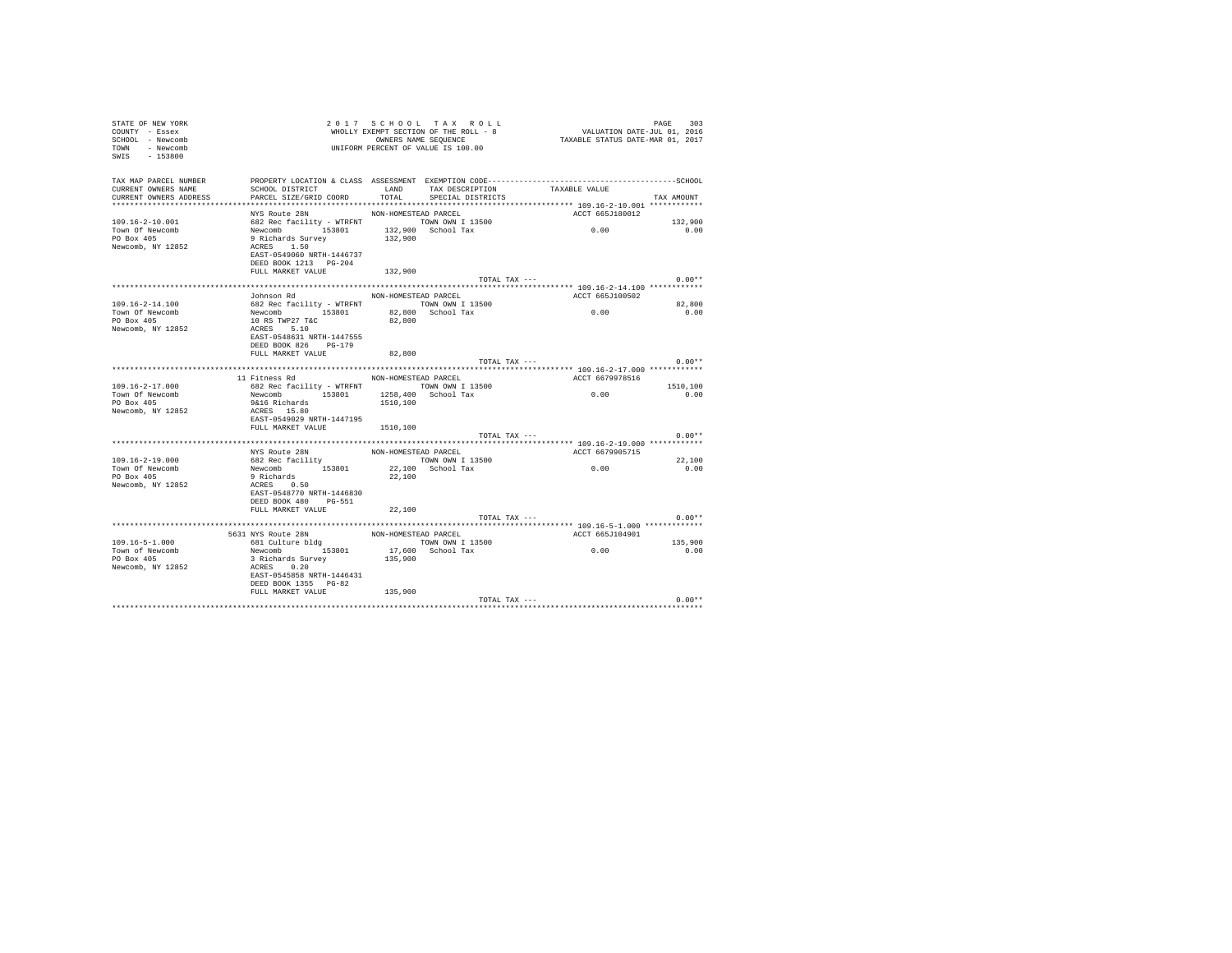| STATE OF NEW YORK<br>COUNTY - Essex<br>SCHOOL - Newcomb<br>- Newcomb<br>TOWN<br>SWIS - 153800 |                                                                                                                                                 |                      | 2017 SCHOOL TAX ROLL<br>WHOLLY EXEMPT SECTION OF THE ROLL - 8<br>OWNERS NAME SEQUENCE<br>UNIFORM PERCENT OF VALUE IS 100.00 | ددد و VALUATION DATE-JUL 01, 2016<br>2016 TAXABLE STATUS DATE-MAR 01, 2017 | PAGE<br>303      |
|-----------------------------------------------------------------------------------------------|-------------------------------------------------------------------------------------------------------------------------------------------------|----------------------|-----------------------------------------------------------------------------------------------------------------------------|----------------------------------------------------------------------------|------------------|
| TAX MAP PARCEL NUMBER<br>CURRENT OWNERS NAME<br>CURRENT OWNERS ADDRESS                        | SCHOOL DISTRICT<br>PARCEL SIZE/GRID COORD                                                                                                       | TOTAL                | LAND TAX DESCRIPTION<br>SPECIAL DISTRICTS                                                                                   | TAXABLE VALUE                                                              | TAX AMOUNT       |
|                                                                                               | NYS Route 28N                                                                                                                                   | NON-HOMESTEAD PARCEL |                                                                                                                             | ACCT 665J180012                                                            |                  |
| 109.16-2-10.001                                                                               |                                                                                                                                                 |                      |                                                                                                                             |                                                                            | 132,900          |
| Town Of Newcomb<br>PO Box 405<br>Newcomb, NY 12852                                            | 682 Rec facility - WTRFNT TOWN OWN I 13500<br>Newcomb 153801 132,900 School Tax<br>9 Richards Survey<br>ACRES 1.50<br>EAST-0549060 NRTH-1446737 | 132,900              |                                                                                                                             | 0.00                                                                       | 0.00             |
|                                                                                               | DEED BOOK 1213 PG-204                                                                                                                           |                      |                                                                                                                             |                                                                            |                  |
|                                                                                               | FULL MARKET VALUE                                                                                                                               | 132,900              |                                                                                                                             |                                                                            |                  |
|                                                                                               |                                                                                                                                                 |                      | TOTAL TAX ---                                                                                                               |                                                                            | $0.00**$         |
|                                                                                               | Johnson Rd                                                                                                                                      |                      | NON-HOMESTEAD PARCEL                                                                                                        | ACCT 665J100502                                                            |                  |
| $109.16 - 2 - 14.100$                                                                         | 682 Rec facility - WTRFNT TOWN OWN I 13500                                                                                                      |                      |                                                                                                                             |                                                                            | 82,800           |
| Town Of Newcomb                                                                               |                                                                                                                                                 |                      | 82.800 School Tax                                                                                                           | 0.00                                                                       | 0.00             |
| PO Box 405                                                                                    | Newcomb<br>10 RS TWP27 T&C<br>aCPES 5.10                                                                                                        | 82,800               |                                                                                                                             |                                                                            |                  |
| Newcomb, NY 12852                                                                             | ACRES 5.10<br>EAST-0548631 NRTH-1447555<br>DEED BOOK 826 PG-179                                                                                 |                      |                                                                                                                             |                                                                            |                  |
|                                                                                               | FULL MARKET VALUE                                                                                                                               | 82,800               |                                                                                                                             |                                                                            |                  |
|                                                                                               |                                                                                                                                                 |                      | TOTAL TAX ---                                                                                                               |                                                                            | $0.00**$         |
|                                                                                               |                                                                                                                                                 |                      |                                                                                                                             |                                                                            |                  |
|                                                                                               | 11 Fitness Rd NON-HOMESTEAD PARCEL                                                                                                              |                      |                                                                                                                             | ACCT 6679978516                                                            |                  |
| $109.16 - 2 - 17.000$<br>Town Of Newcomb                                                      | 682 Rec facility - WTRFNT TOWN OWN I 13500<br>Newcomb 153801 1258,400 School Tax                                                                |                      |                                                                                                                             | 0.00                                                                       | 1510,100<br>0.00 |
| PO Box 405                                                                                    | 9&16 Richards                                                                                                                                   | 1510,100             |                                                                                                                             |                                                                            |                  |
| Newcomb, NY 12852                                                                             | ACRES 15.80                                                                                                                                     |                      |                                                                                                                             |                                                                            |                  |
|                                                                                               | EAST-0549029 NRTH-1447195                                                                                                                       |                      |                                                                                                                             |                                                                            |                  |
|                                                                                               | FULL MARKET VALUE 1510,100                                                                                                                      |                      |                                                                                                                             |                                                                            |                  |
|                                                                                               |                                                                                                                                                 |                      | TOTAL TAX ---                                                                                                               |                                                                            | $0.00**$         |
|                                                                                               |                                                                                                                                                 |                      | NON-HOMESTEAD PARCEL                                                                                                        | ACCT 6679905715                                                            |                  |
| $109.16 - 2 - 19.000$                                                                         |                                                                                                                                                 |                      | TOWN OWN I 13500                                                                                                            |                                                                            | 22,100           |
| Town Of Newcomb                                                                               |                                                                                                                                                 |                      | 22,100 School Tax                                                                                                           | 0.00                                                                       | 0.00             |
| PO Box 405                                                                                    | NYS Route 28N<br>682 Rec facility<br>Newcomb 153801<br>9 Richards                                                                               | 22,100               |                                                                                                                             |                                                                            |                  |
| Newcomb, NY 12852                                                                             | ACRES 0.50<br>EAST-0548770 NRTH-1446830<br>DEED BOOK 480 PG-551                                                                                 |                      |                                                                                                                             |                                                                            |                  |
|                                                                                               | FULL MARKET VALUE                                                                                                                               | 22,100               |                                                                                                                             |                                                                            |                  |
|                                                                                               |                                                                                                                                                 |                      | TOTAL TAX ---                                                                                                               |                                                                            | $0.00**$         |
|                                                                                               |                                                                                                                                                 |                      |                                                                                                                             |                                                                            |                  |
|                                                                                               | 5631 NYS Route 28N<br>681 Culture bldg                                                                                                          | NON-HOMESTEAD PARCEL |                                                                                                                             | ACCT 665J104901                                                            |                  |
| $109.16 - 5 - 1.000$<br>Town of Newcomb                                                       | Newcomb 153801                                                                                                                                  |                      | TOWN OWN I 13500<br>17,600 School Tax                                                                                       | $\begin{array}{c} \circ \\ \circ \\ \circ \end{array}$                     | 135,900<br>0.00  |
| PO Box 405                                                                                    |                                                                                                                                                 | 135,900              |                                                                                                                             |                                                                            |                  |
| Newcomb, NY 12852                                                                             | 3 Richards Survey<br>ACRES 0.20                                                                                                                 |                      |                                                                                                                             |                                                                            |                  |
|                                                                                               | EAST-0545858 NRTH-1446431                                                                                                                       |                      |                                                                                                                             |                                                                            |                  |
|                                                                                               | DEED BOOK 1355 PG-82                                                                                                                            |                      |                                                                                                                             |                                                                            |                  |
|                                                                                               | FULL MARKET VALUE                                                                                                                               | 135,900              | TOTAL TAX ---                                                                                                               |                                                                            | $0.00**$         |
|                                                                                               |                                                                                                                                                 |                      |                                                                                                                             |                                                                            |                  |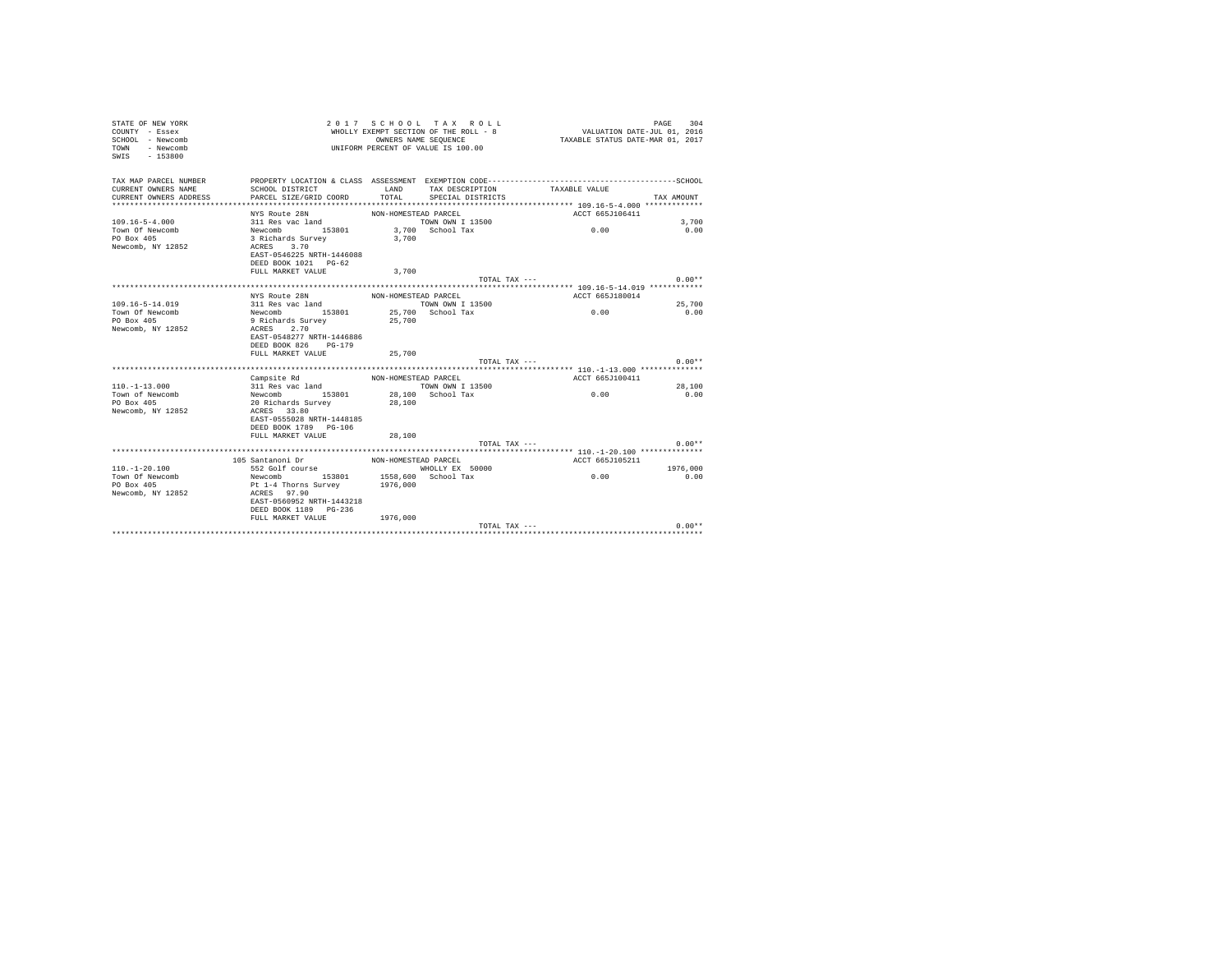| STATE OF NEW YORK<br>COUNTY - Essex<br>SCHOOL - Newcomb<br>- Newcomb<br>TOWN<br>$-153800$<br>SWIS |                                           | OWNERS NAME SEQUENCE | 2017 SCHOOL TAX ROLL<br>WHOLLY EXEMPT SECTION OF THE ROLL - 8<br>UNIFORM PERCENT OF VALUE IS 100.00 | VALUATION DATE-JUL 01, 2016<br>TAXABLE STATUS DATE-MAR 01, 2017 | PAGE<br>304 |
|---------------------------------------------------------------------------------------------------|-------------------------------------------|----------------------|-----------------------------------------------------------------------------------------------------|-----------------------------------------------------------------|-------------|
| TAX MAP PARCEL NUMBER                                                                             |                                           |                      |                                                                                                     |                                                                 |             |
| CURRENT OWNERS NAME<br>CURRENT OWNERS ADDRESS                                                     | SCHOOL DISTRICT<br>PARCEL SIZE/GRID COORD | LAND<br>TOTAL        | TAX DESCRIPTION<br>SPECIAL DISTRICTS                                                                | TAXABLE VALUE                                                   | TAX AMOUNT  |
|                                                                                                   |                                           |                      |                                                                                                     |                                                                 |             |
|                                                                                                   | NYS Route 28N                             | NON-HOMESTEAD PARCEL |                                                                                                     | ACCT 665J106411                                                 |             |
| $109.16 - 5 - 4.000$                                                                              | 311 Res vac land                          |                      | TOWN OWN I 13500                                                                                    |                                                                 | 3,700       |
| Town Of Newcomb                                                                                   | Newcomb 153801                            |                      | 3,700 School Tax                                                                                    | 0.00                                                            | 0.00        |
| PO Box 405                                                                                        | 3 Richards Survey                         | 3,700                |                                                                                                     |                                                                 |             |
| Newcomb, NY 12852                                                                                 | 3.70<br>ACRES                             |                      |                                                                                                     |                                                                 |             |
|                                                                                                   | EAST-0546225 NRTH-1446088                 |                      |                                                                                                     |                                                                 |             |
|                                                                                                   | DEED BOOK 1021 PG-62                      |                      |                                                                                                     |                                                                 |             |
|                                                                                                   | FULL MARKET VALUE                         | 3,700                |                                                                                                     |                                                                 |             |
|                                                                                                   |                                           |                      | TOTAL TAX ---                                                                                       |                                                                 | $0.00**$    |
|                                                                                                   | NYS Route 28N                             | NON-HOMESTEAD PARCEL |                                                                                                     | ACCT 665J180014                                                 |             |
| $109.16 - 5 - 14.019$                                                                             | 311 Res vac land                          |                      | TOWN OWN I 13500                                                                                    |                                                                 | 25,700      |
| Town Of Newcomb                                                                                   | Newcomb 153801                            |                      | 25,700 School Tax                                                                                   | 0.00                                                            | 0.00        |
| PO Box 405                                                                                        | 9 Richards Survey                         | 25,700               |                                                                                                     |                                                                 |             |
| Newcomb, NY 12852                                                                                 | ACRES 2.70                                |                      |                                                                                                     |                                                                 |             |
|                                                                                                   | EAST-0548277 NRTH-1446886                 |                      |                                                                                                     |                                                                 |             |
|                                                                                                   | DEED BOOK 826 PG-179                      |                      |                                                                                                     |                                                                 |             |
|                                                                                                   | FULL MARKET VALUE                         | 25,700               |                                                                                                     |                                                                 |             |
|                                                                                                   |                                           |                      | TOTAL TAX ---                                                                                       |                                                                 | $0.00**$    |
|                                                                                                   |                                           |                      |                                                                                                     |                                                                 |             |
|                                                                                                   | Campsite Rd                               | NON-HOMESTEAD PARCEL |                                                                                                     | ACCT 665J100411                                                 |             |
| $110. - 1 - 13.000$                                                                               | 311 Res vac land                          |                      | TOWN OWN I 13500                                                                                    |                                                                 | 28,100      |
| Town of Newcomb<br>PO Box 405                                                                     | Newcomb 153801<br>20 Richards Survey      | 28,100               | 28,100 School Tax                                                                                   | 0.00                                                            | 0.00        |
| Newcomb, NY 12852                                                                                 | ACRES 33.80                               |                      |                                                                                                     |                                                                 |             |
|                                                                                                   | EAST-0555028 NRTH-1448185                 |                      |                                                                                                     |                                                                 |             |
|                                                                                                   | DEED BOOK 1789 PG-106                     |                      |                                                                                                     |                                                                 |             |
|                                                                                                   | FULL MARKET VALUE                         | 28,100               |                                                                                                     |                                                                 |             |
|                                                                                                   |                                           |                      | TOTAL TAX $---$                                                                                     |                                                                 | $0.00**$    |
|                                                                                                   |                                           |                      |                                                                                                     |                                                                 |             |
|                                                                                                   | 105 Santanoni Dr                          | NON-HOMESTEAD PARCEL |                                                                                                     | ACCT 665J105211                                                 |             |
| $110. - 1 - 20.100$                                                                               | 552 Golf course                           |                      | WHOLLY EX 50000                                                                                     |                                                                 | 1976,000    |
| Town Of Newcomb                                                                                   | Newcomb 153801                            |                      | 1558,600 School Tax                                                                                 | 0.00                                                            | 0.00        |
| PO Box 405                                                                                        | Pt 1-4 Thorns Survey                      | 1976,000             |                                                                                                     |                                                                 |             |
| Newcomb, NY 12852                                                                                 | ACRES 97.90<br>EAST-0560952 NRTH-1443218  |                      |                                                                                                     |                                                                 |             |
|                                                                                                   | DEED BOOK 1189 PG-236                     |                      |                                                                                                     |                                                                 |             |
|                                                                                                   | FULL MARKET VALUE                         | 1976,000             |                                                                                                     |                                                                 |             |
|                                                                                                   |                                           |                      | TOTAL TAX ---                                                                                       |                                                                 | $0.00**$    |
|                                                                                                   |                                           |                      |                                                                                                     |                                                                 |             |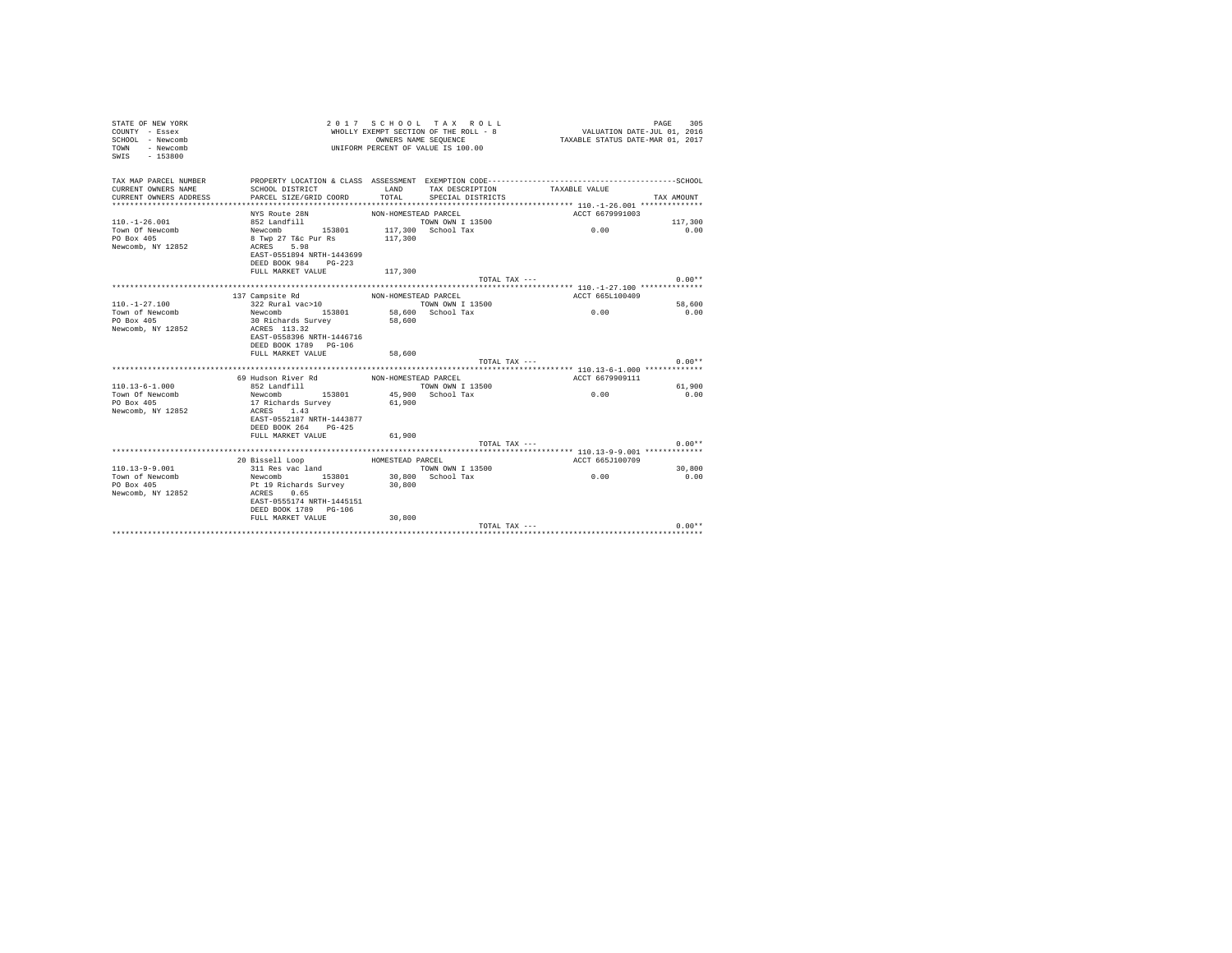| TAX MAP PARCEL NUMBER<br>PROPERTY LOCATION & CLASS ASSESSMENT EXEMPTION CODE-----------------------------------SCHOOL<br>CURRENT OWNERS NAME<br>SCHOOL DISTRICT<br>LAND<br>TAX DESCRIPTION<br>TAXABLE VALUE<br>TOTAL<br>CURRENT OWNERS ADDRESS<br>PARCEL SIZE/GRID COORD<br>SPECIAL DISTRICTS<br>TAX AMOUNT<br>NYS Route 28N<br>ACCT 6679991003<br>NON-HOMESTEAD PARCEL<br>$110. - 1 - 26.001$<br>852 Landfill<br>TOWN OWN I 13500<br>117,300<br>Town Of Newcomb<br>153801<br>117,300 School Tax<br>0.00<br>0.00<br>Newcomb<br>PO Box 405<br>8 Twp 27 T&c Pur Rs<br>117,300<br>Newcomb, NY 12852<br>5.98<br>ACRES<br>EAST-0551894 NRTH-1443699<br>DEED BOOK 984<br>$PG-223$<br>FULL MARKET VALUE<br>117,300<br>$0.00**$<br>TOTAL TAX ---<br>137 Campsite Rd<br>ACCT 665L100409<br>NON-HOMESTEAD PARCEL<br>$110. - 1 - 27.100$<br>322 Rural vac>10<br>58,600<br>TOWN OWN I 13500<br>Newcomb<br>0.00<br>Town of Newcomb<br>153801<br>58,600 School Tax<br>0.00<br>PO Box 405<br>30 Richards Survey<br>58,600<br>Newcomb, NY 12852<br>ACRES 113.32<br>EAST-0558396 NRTH-1446716<br>DEED BOOK 1789 PG-106<br>FULL MARKET VALUE<br>58,600<br>$0.00**$<br>TOTAL TAX ---<br>69 Hudson River Rd<br>ACCT 6679909111<br>NON-HOMESTEAD PARCEL<br>$110.13 - 6 - 1.000$<br>852 Landfill<br>TOWN OWN I 13500<br>61,900<br>Town Of Newcomb<br>0.00<br>Newcomb<br>153801<br>45,900 School Tax<br>0.00<br>PO Box 405<br>17 Richards Survey<br>61,900<br>Newcomb, NY 12852<br>1.43<br>ACRES<br>EAST-0552187 NRTH-1443877<br>DEED BOOK 264<br>$PG-425$<br>61,900<br>FULL MARKET VALUE<br>$0.00**$<br>TOTAL TAX $---$<br>20 Bissell Loop<br>ACCT 665J100709<br>HOMESTEAD PARCEL<br>$110.13 - 9 - 9.001$<br>311 Res vac land<br>TOWN OWN I 13500<br>30,800<br>30.800 School Tax<br>0.00<br>Town of Newcomb<br>Newcomb 153801<br>0.00<br>PO Box 405<br>Pt 19 Richards Survey<br>30,800<br>Newcomb, NY 12852<br>0.65<br>ACRES<br>EAST-0555174 NRTH-1445151<br>DEED BOOK 1789 PG-106<br>FULL MARKET VALUE<br>30,800<br>$0.00**$<br>TOTAL TAX --- | STATE OF NEW YORK<br>COUNTY - Essex<br>SCHOOL - Newcomb<br>- Newcomb<br>TOWN<br>$-153800$<br>SWIS | OWNERS NAME SEQUENCE | 2017 SCHOOL TAX ROLL<br>WHOLLY EXEMPT SECTION OF THE ROLL - 8<br>UNIFORM PERCENT OF VALUE IS 100.00 | VALUATION DATE-JUL 01, 2016<br>TAXABLE STATUS DATE-MAR 01, 2017 | 305<br>PAGE |
|--------------------------------------------------------------------------------------------------------------------------------------------------------------------------------------------------------------------------------------------------------------------------------------------------------------------------------------------------------------------------------------------------------------------------------------------------------------------------------------------------------------------------------------------------------------------------------------------------------------------------------------------------------------------------------------------------------------------------------------------------------------------------------------------------------------------------------------------------------------------------------------------------------------------------------------------------------------------------------------------------------------------------------------------------------------------------------------------------------------------------------------------------------------------------------------------------------------------------------------------------------------------------------------------------------------------------------------------------------------------------------------------------------------------------------------------------------------------------------------------------------------------------------------------------------------------------------------------------------------------------------------------------------------------------------------------------------------------------------------------------------------------------------------------------------------------------------------------------------------------------------------------------------------------------------------------------------------------------------------------------------------------------|---------------------------------------------------------------------------------------------------|----------------------|-----------------------------------------------------------------------------------------------------|-----------------------------------------------------------------|-------------|
|                                                                                                                                                                                                                                                                                                                                                                                                                                                                                                                                                                                                                                                                                                                                                                                                                                                                                                                                                                                                                                                                                                                                                                                                                                                                                                                                                                                                                                                                                                                                                                                                                                                                                                                                                                                                                                                                                                                                                                                                                          |                                                                                                   |                      |                                                                                                     |                                                                 |             |
|                                                                                                                                                                                                                                                                                                                                                                                                                                                                                                                                                                                                                                                                                                                                                                                                                                                                                                                                                                                                                                                                                                                                                                                                                                                                                                                                                                                                                                                                                                                                                                                                                                                                                                                                                                                                                                                                                                                                                                                                                          |                                                                                                   |                      |                                                                                                     |                                                                 |             |
|                                                                                                                                                                                                                                                                                                                                                                                                                                                                                                                                                                                                                                                                                                                                                                                                                                                                                                                                                                                                                                                                                                                                                                                                                                                                                                                                                                                                                                                                                                                                                                                                                                                                                                                                                                                                                                                                                                                                                                                                                          |                                                                                                   |                      |                                                                                                     |                                                                 |             |
|                                                                                                                                                                                                                                                                                                                                                                                                                                                                                                                                                                                                                                                                                                                                                                                                                                                                                                                                                                                                                                                                                                                                                                                                                                                                                                                                                                                                                                                                                                                                                                                                                                                                                                                                                                                                                                                                                                                                                                                                                          |                                                                                                   |                      |                                                                                                     |                                                                 |             |
|                                                                                                                                                                                                                                                                                                                                                                                                                                                                                                                                                                                                                                                                                                                                                                                                                                                                                                                                                                                                                                                                                                                                                                                                                                                                                                                                                                                                                                                                                                                                                                                                                                                                                                                                                                                                                                                                                                                                                                                                                          |                                                                                                   |                      |                                                                                                     |                                                                 |             |
|                                                                                                                                                                                                                                                                                                                                                                                                                                                                                                                                                                                                                                                                                                                                                                                                                                                                                                                                                                                                                                                                                                                                                                                                                                                                                                                                                                                                                                                                                                                                                                                                                                                                                                                                                                                                                                                                                                                                                                                                                          |                                                                                                   |                      |                                                                                                     |                                                                 |             |
|                                                                                                                                                                                                                                                                                                                                                                                                                                                                                                                                                                                                                                                                                                                                                                                                                                                                                                                                                                                                                                                                                                                                                                                                                                                                                                                                                                                                                                                                                                                                                                                                                                                                                                                                                                                                                                                                                                                                                                                                                          |                                                                                                   |                      |                                                                                                     |                                                                 |             |
|                                                                                                                                                                                                                                                                                                                                                                                                                                                                                                                                                                                                                                                                                                                                                                                                                                                                                                                                                                                                                                                                                                                                                                                                                                                                                                                                                                                                                                                                                                                                                                                                                                                                                                                                                                                                                                                                                                                                                                                                                          |                                                                                                   |                      |                                                                                                     |                                                                 |             |
|                                                                                                                                                                                                                                                                                                                                                                                                                                                                                                                                                                                                                                                                                                                                                                                                                                                                                                                                                                                                                                                                                                                                                                                                                                                                                                                                                                                                                                                                                                                                                                                                                                                                                                                                                                                                                                                                                                                                                                                                                          |                                                                                                   |                      |                                                                                                     |                                                                 |             |
|                                                                                                                                                                                                                                                                                                                                                                                                                                                                                                                                                                                                                                                                                                                                                                                                                                                                                                                                                                                                                                                                                                                                                                                                                                                                                                                                                                                                                                                                                                                                                                                                                                                                                                                                                                                                                                                                                                                                                                                                                          |                                                                                                   |                      |                                                                                                     |                                                                 |             |
|                                                                                                                                                                                                                                                                                                                                                                                                                                                                                                                                                                                                                                                                                                                                                                                                                                                                                                                                                                                                                                                                                                                                                                                                                                                                                                                                                                                                                                                                                                                                                                                                                                                                                                                                                                                                                                                                                                                                                                                                                          |                                                                                                   |                      |                                                                                                     |                                                                 |             |
|                                                                                                                                                                                                                                                                                                                                                                                                                                                                                                                                                                                                                                                                                                                                                                                                                                                                                                                                                                                                                                                                                                                                                                                                                                                                                                                                                                                                                                                                                                                                                                                                                                                                                                                                                                                                                                                                                                                                                                                                                          |                                                                                                   |                      |                                                                                                     |                                                                 |             |
|                                                                                                                                                                                                                                                                                                                                                                                                                                                                                                                                                                                                                                                                                                                                                                                                                                                                                                                                                                                                                                                                                                                                                                                                                                                                                                                                                                                                                                                                                                                                                                                                                                                                                                                                                                                                                                                                                                                                                                                                                          |                                                                                                   |                      |                                                                                                     |                                                                 |             |
|                                                                                                                                                                                                                                                                                                                                                                                                                                                                                                                                                                                                                                                                                                                                                                                                                                                                                                                                                                                                                                                                                                                                                                                                                                                                                                                                                                                                                                                                                                                                                                                                                                                                                                                                                                                                                                                                                                                                                                                                                          |                                                                                                   |                      |                                                                                                     |                                                                 |             |
|                                                                                                                                                                                                                                                                                                                                                                                                                                                                                                                                                                                                                                                                                                                                                                                                                                                                                                                                                                                                                                                                                                                                                                                                                                                                                                                                                                                                                                                                                                                                                                                                                                                                                                                                                                                                                                                                                                                                                                                                                          |                                                                                                   |                      |                                                                                                     |                                                                 |             |
|                                                                                                                                                                                                                                                                                                                                                                                                                                                                                                                                                                                                                                                                                                                                                                                                                                                                                                                                                                                                                                                                                                                                                                                                                                                                                                                                                                                                                                                                                                                                                                                                                                                                                                                                                                                                                                                                                                                                                                                                                          |                                                                                                   |                      |                                                                                                     |                                                                 |             |
|                                                                                                                                                                                                                                                                                                                                                                                                                                                                                                                                                                                                                                                                                                                                                                                                                                                                                                                                                                                                                                                                                                                                                                                                                                                                                                                                                                                                                                                                                                                                                                                                                                                                                                                                                                                                                                                                                                                                                                                                                          |                                                                                                   |                      |                                                                                                     |                                                                 |             |
|                                                                                                                                                                                                                                                                                                                                                                                                                                                                                                                                                                                                                                                                                                                                                                                                                                                                                                                                                                                                                                                                                                                                                                                                                                                                                                                                                                                                                                                                                                                                                                                                                                                                                                                                                                                                                                                                                                                                                                                                                          |                                                                                                   |                      |                                                                                                     |                                                                 |             |
|                                                                                                                                                                                                                                                                                                                                                                                                                                                                                                                                                                                                                                                                                                                                                                                                                                                                                                                                                                                                                                                                                                                                                                                                                                                                                                                                                                                                                                                                                                                                                                                                                                                                                                                                                                                                                                                                                                                                                                                                                          |                                                                                                   |                      |                                                                                                     |                                                                 |             |
|                                                                                                                                                                                                                                                                                                                                                                                                                                                                                                                                                                                                                                                                                                                                                                                                                                                                                                                                                                                                                                                                                                                                                                                                                                                                                                                                                                                                                                                                                                                                                                                                                                                                                                                                                                                                                                                                                                                                                                                                                          |                                                                                                   |                      |                                                                                                     |                                                                 |             |
|                                                                                                                                                                                                                                                                                                                                                                                                                                                                                                                                                                                                                                                                                                                                                                                                                                                                                                                                                                                                                                                                                                                                                                                                                                                                                                                                                                                                                                                                                                                                                                                                                                                                                                                                                                                                                                                                                                                                                                                                                          |                                                                                                   |                      |                                                                                                     |                                                                 |             |
|                                                                                                                                                                                                                                                                                                                                                                                                                                                                                                                                                                                                                                                                                                                                                                                                                                                                                                                                                                                                                                                                                                                                                                                                                                                                                                                                                                                                                                                                                                                                                                                                                                                                                                                                                                                                                                                                                                                                                                                                                          |                                                                                                   |                      |                                                                                                     |                                                                 |             |
|                                                                                                                                                                                                                                                                                                                                                                                                                                                                                                                                                                                                                                                                                                                                                                                                                                                                                                                                                                                                                                                                                                                                                                                                                                                                                                                                                                                                                                                                                                                                                                                                                                                                                                                                                                                                                                                                                                                                                                                                                          |                                                                                                   |                      |                                                                                                     |                                                                 |             |
|                                                                                                                                                                                                                                                                                                                                                                                                                                                                                                                                                                                                                                                                                                                                                                                                                                                                                                                                                                                                                                                                                                                                                                                                                                                                                                                                                                                                                                                                                                                                                                                                                                                                                                                                                                                                                                                                                                                                                                                                                          |                                                                                                   |                      |                                                                                                     |                                                                 |             |
|                                                                                                                                                                                                                                                                                                                                                                                                                                                                                                                                                                                                                                                                                                                                                                                                                                                                                                                                                                                                                                                                                                                                                                                                                                                                                                                                                                                                                                                                                                                                                                                                                                                                                                                                                                                                                                                                                                                                                                                                                          |                                                                                                   |                      |                                                                                                     |                                                                 |             |
|                                                                                                                                                                                                                                                                                                                                                                                                                                                                                                                                                                                                                                                                                                                                                                                                                                                                                                                                                                                                                                                                                                                                                                                                                                                                                                                                                                                                                                                                                                                                                                                                                                                                                                                                                                                                                                                                                                                                                                                                                          |                                                                                                   |                      |                                                                                                     |                                                                 |             |
|                                                                                                                                                                                                                                                                                                                                                                                                                                                                                                                                                                                                                                                                                                                                                                                                                                                                                                                                                                                                                                                                                                                                                                                                                                                                                                                                                                                                                                                                                                                                                                                                                                                                                                                                                                                                                                                                                                                                                                                                                          |                                                                                                   |                      |                                                                                                     |                                                                 |             |
|                                                                                                                                                                                                                                                                                                                                                                                                                                                                                                                                                                                                                                                                                                                                                                                                                                                                                                                                                                                                                                                                                                                                                                                                                                                                                                                                                                                                                                                                                                                                                                                                                                                                                                                                                                                                                                                                                                                                                                                                                          |                                                                                                   |                      |                                                                                                     |                                                                 |             |
|                                                                                                                                                                                                                                                                                                                                                                                                                                                                                                                                                                                                                                                                                                                                                                                                                                                                                                                                                                                                                                                                                                                                                                                                                                                                                                                                                                                                                                                                                                                                                                                                                                                                                                                                                                                                                                                                                                                                                                                                                          |                                                                                                   |                      |                                                                                                     |                                                                 |             |
|                                                                                                                                                                                                                                                                                                                                                                                                                                                                                                                                                                                                                                                                                                                                                                                                                                                                                                                                                                                                                                                                                                                                                                                                                                                                                                                                                                                                                                                                                                                                                                                                                                                                                                                                                                                                                                                                                                                                                                                                                          |                                                                                                   |                      |                                                                                                     |                                                                 |             |
|                                                                                                                                                                                                                                                                                                                                                                                                                                                                                                                                                                                                                                                                                                                                                                                                                                                                                                                                                                                                                                                                                                                                                                                                                                                                                                                                                                                                                                                                                                                                                                                                                                                                                                                                                                                                                                                                                                                                                                                                                          |                                                                                                   |                      |                                                                                                     |                                                                 |             |
|                                                                                                                                                                                                                                                                                                                                                                                                                                                                                                                                                                                                                                                                                                                                                                                                                                                                                                                                                                                                                                                                                                                                                                                                                                                                                                                                                                                                                                                                                                                                                                                                                                                                                                                                                                                                                                                                                                                                                                                                                          |                                                                                                   |                      |                                                                                                     |                                                                 |             |
|                                                                                                                                                                                                                                                                                                                                                                                                                                                                                                                                                                                                                                                                                                                                                                                                                                                                                                                                                                                                                                                                                                                                                                                                                                                                                                                                                                                                                                                                                                                                                                                                                                                                                                                                                                                                                                                                                                                                                                                                                          |                                                                                                   |                      |                                                                                                     |                                                                 |             |
|                                                                                                                                                                                                                                                                                                                                                                                                                                                                                                                                                                                                                                                                                                                                                                                                                                                                                                                                                                                                                                                                                                                                                                                                                                                                                                                                                                                                                                                                                                                                                                                                                                                                                                                                                                                                                                                                                                                                                                                                                          |                                                                                                   |                      |                                                                                                     |                                                                 |             |
|                                                                                                                                                                                                                                                                                                                                                                                                                                                                                                                                                                                                                                                                                                                                                                                                                                                                                                                                                                                                                                                                                                                                                                                                                                                                                                                                                                                                                                                                                                                                                                                                                                                                                                                                                                                                                                                                                                                                                                                                                          |                                                                                                   |                      |                                                                                                     |                                                                 |             |
|                                                                                                                                                                                                                                                                                                                                                                                                                                                                                                                                                                                                                                                                                                                                                                                                                                                                                                                                                                                                                                                                                                                                                                                                                                                                                                                                                                                                                                                                                                                                                                                                                                                                                                                                                                                                                                                                                                                                                                                                                          |                                                                                                   |                      |                                                                                                     |                                                                 |             |
|                                                                                                                                                                                                                                                                                                                                                                                                                                                                                                                                                                                                                                                                                                                                                                                                                                                                                                                                                                                                                                                                                                                                                                                                                                                                                                                                                                                                                                                                                                                                                                                                                                                                                                                                                                                                                                                                                                                                                                                                                          |                                                                                                   |                      |                                                                                                     |                                                                 |             |
|                                                                                                                                                                                                                                                                                                                                                                                                                                                                                                                                                                                                                                                                                                                                                                                                                                                                                                                                                                                                                                                                                                                                                                                                                                                                                                                                                                                                                                                                                                                                                                                                                                                                                                                                                                                                                                                                                                                                                                                                                          |                                                                                                   |                      |                                                                                                     |                                                                 |             |
|                                                                                                                                                                                                                                                                                                                                                                                                                                                                                                                                                                                                                                                                                                                                                                                                                                                                                                                                                                                                                                                                                                                                                                                                                                                                                                                                                                                                                                                                                                                                                                                                                                                                                                                                                                                                                                                                                                                                                                                                                          |                                                                                                   |                      |                                                                                                     |                                                                 |             |
|                                                                                                                                                                                                                                                                                                                                                                                                                                                                                                                                                                                                                                                                                                                                                                                                                                                                                                                                                                                                                                                                                                                                                                                                                                                                                                                                                                                                                                                                                                                                                                                                                                                                                                                                                                                                                                                                                                                                                                                                                          |                                                                                                   |                      |                                                                                                     |                                                                 |             |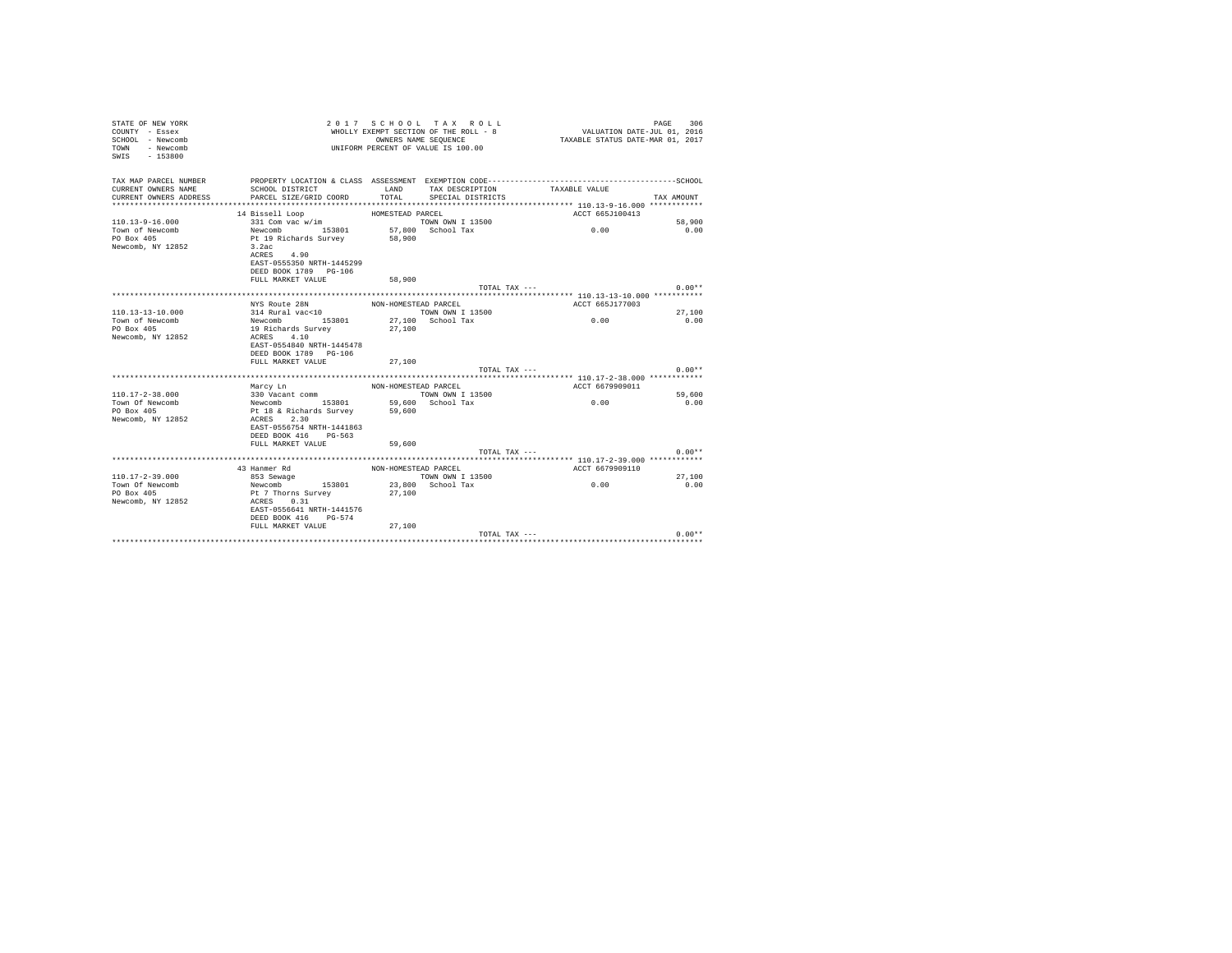| STATE OF NEW YORK<br>COUNTY - Essex<br>SCHOOL - Newcomb<br>- Newcomb<br>TOWN<br>SWIS<br>$-153800$ |                                                                  |                      | 2017 SCHOOL TAX ROLL<br>WHOLLY EXEMPT SECTION OF THE ROLL - 8<br>OWNERS NAME SEQUENCE<br>UNIFORM PERCENT OF VALUE IS 100.00 | VALUATION DATE-JUL 01, 2016<br>TAXABLE STATUS DATE-MAR 01, 2017 | PAGE<br>306 |
|---------------------------------------------------------------------------------------------------|------------------------------------------------------------------|----------------------|-----------------------------------------------------------------------------------------------------------------------------|-----------------------------------------------------------------|-------------|
| TAX MAP PARCEL NUMBER                                                                             |                                                                  |                      |                                                                                                                             |                                                                 |             |
| CURRENT OWNERS NAME                                                                               | SCHOOL DISTRICT<br>PARCEL SIZE/GRID COORD                        | LAND<br>TOTAL        | TAX DESCRIPTION                                                                                                             | TAXABLE VALUE                                                   | TAX AMOUNT  |
| CURRENT OWNERS ADDRESS                                                                            |                                                                  |                      | SPECIAL DISTRICTS                                                                                                           |                                                                 |             |
|                                                                                                   | 14 Bissell Loop                                                  | HOMESTEAD PARCEL     |                                                                                                                             | ACCT 665J100413                                                 |             |
| $110.13 - 9 - 16.000$                                                                             | 331 Com vac w/im                                                 |                      | TOWN OWN I 13500                                                                                                            |                                                                 | 58,900      |
| Town of Newcomb                                                                                   | Newcomb 153801 57,800 School Tax                                 |                      |                                                                                                                             | 0.00                                                            | 0.00        |
| PO Box 405                                                                                        | Pt 19 Richards Survey                                            | 58,900               |                                                                                                                             |                                                                 |             |
| Newcomb, NY 12852                                                                                 | 3.2ac                                                            |                      |                                                                                                                             |                                                                 |             |
|                                                                                                   | ACRES 4.90                                                       |                      |                                                                                                                             |                                                                 |             |
|                                                                                                   | EAST-0555350 NRTH-1445299                                        |                      |                                                                                                                             |                                                                 |             |
|                                                                                                   | DEED BOOK 1789 PG-106                                            |                      |                                                                                                                             |                                                                 |             |
|                                                                                                   | FULL MARKET VALUE                                                | 58,900               |                                                                                                                             |                                                                 |             |
|                                                                                                   |                                                                  |                      | TOTAL TAX ---                                                                                                               |                                                                 | $0.00**$    |
|                                                                                                   | NYS Route 28N                                                    | NON-HOMESTEAD PARCEL |                                                                                                                             | ACCT 665J177003                                                 |             |
| $110.13 - 13 - 10.000$                                                                            | 314 Rural vac<10                                                 |                      | TOWN OWN I 13500                                                                                                            |                                                                 | 27,100      |
| Town of Newcomb                                                                                   |                                                                  |                      | 27,100 School Tax                                                                                                           | 0.00                                                            | 0.00        |
| PO Box 405                                                                                        | Newcomb 153801<br>19 Richards Survey                             | 27,100               |                                                                                                                             |                                                                 |             |
| Newcomb, NY 12852                                                                                 | ACRES 4.10<br>EAST-0554840 NRTH-1445478<br>DEED BOOK 1789 PG-106 |                      |                                                                                                                             |                                                                 |             |
|                                                                                                   | FULL MARKET VALUE                                                | 27,100               |                                                                                                                             |                                                                 |             |
|                                                                                                   |                                                                  |                      | TOTAL TAX ---                                                                                                               |                                                                 | $0.00**$    |
|                                                                                                   |                                                                  |                      |                                                                                                                             |                                                                 |             |
|                                                                                                   | Marcy Ln                                                         | NON-HOMESTEAD PARCEL |                                                                                                                             | ACCT 6679909011                                                 |             |
| 110.17-2-38.000                                                                                   | 330 Vacant comm                                                  |                      | TOWN OWN I 13500                                                                                                            |                                                                 | 59,600      |
| Town Of Newcomb                                                                                   | Newcomb 153801 59,600<br>Pt 18 & Richards Survey 59,600          |                      | 59,600 School Tax                                                                                                           | 0.00                                                            | 0.00        |
| PO Box 405                                                                                        |                                                                  |                      |                                                                                                                             |                                                                 |             |
| Newcomb, NY 12852                                                                                 | ACRES 2.30                                                       |                      |                                                                                                                             |                                                                 |             |
|                                                                                                   | EAST-0556754 NRTH-1441863                                        |                      |                                                                                                                             |                                                                 |             |
|                                                                                                   | DEED BOOK 416 PG-563<br>FULL MARKET VALUE                        | 59,600               |                                                                                                                             |                                                                 |             |
|                                                                                                   |                                                                  |                      | TOTAL TAX ---                                                                                                               |                                                                 | $0.00**$    |
|                                                                                                   |                                                                  |                      |                                                                                                                             |                                                                 |             |
|                                                                                                   | 43 Hanmer Rd                                                     | NON-HOMESTEAD PARCEL |                                                                                                                             | ACCT 6679909110                                                 |             |
| $110.17 - 2 - 39.000$                                                                             | 853 Sewage                                                       |                      | TOWN OWN I 13500                                                                                                            |                                                                 | 27,100      |
| Town Of Newcomb                                                                                   | Newcomb 153801                                                   |                      | 23,800 School Tax                                                                                                           | 0.00                                                            | 0.00        |
| PO Box 405                                                                                        | Pt 7 Thorns Survey                                               | 27,100               |                                                                                                                             |                                                                 |             |
| Newcomb, NY 12852                                                                                 | ACRES 0.31                                                       |                      |                                                                                                                             |                                                                 |             |
|                                                                                                   | EAST-0556641 NRTH-1441576                                        |                      |                                                                                                                             |                                                                 |             |
|                                                                                                   | DEED BOOK 416 PG-574                                             |                      |                                                                                                                             |                                                                 |             |
|                                                                                                   | FULL MARKET VALUE 27,100                                         |                      |                                                                                                                             |                                                                 | $0.00**$    |
|                                                                                                   |                                                                  |                      | TOTAL TAX ---                                                                                                               |                                                                 |             |
|                                                                                                   |                                                                  |                      |                                                                                                                             |                                                                 |             |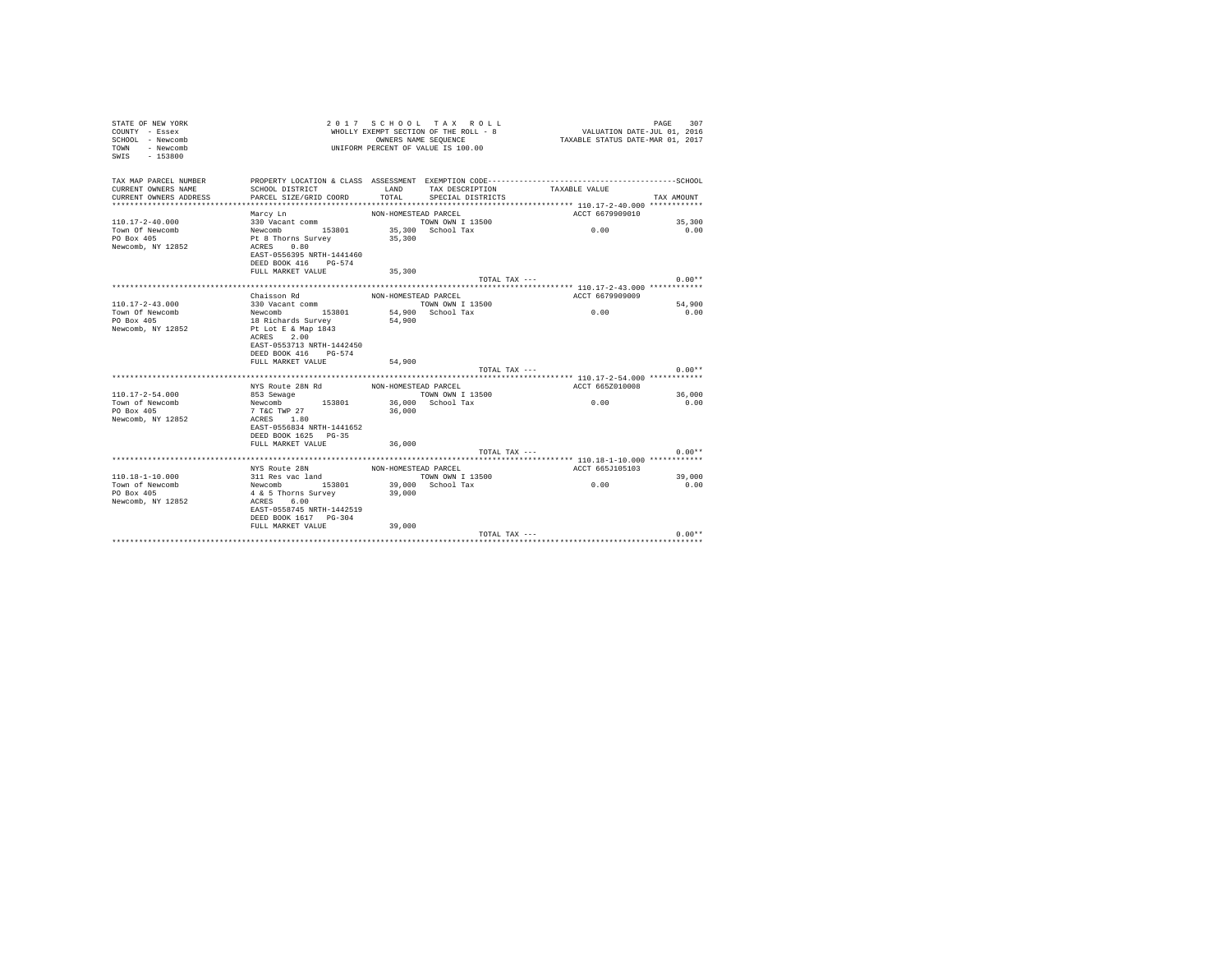| STATE OF NEW YORK<br>COUNTY - Essex<br>SCHOOL - Newcomb<br>- Newcomb<br>TOWN<br>SWTS<br>$-153800$ |                                         |                      | 2017 SCHOOL TAX ROLL<br>WHOLLY EXEMPT SECTION OF THE ROLL - 8<br>OWNERS NAME SEQUENCE<br>UNIFORM PERCENT OF VALUE IS 100.00 | VALUATION DATE-JUL 01, 2016<br>TAXABLE STATUS DATE-MAR 01, 2017 | 307<br>PAGE |
|---------------------------------------------------------------------------------------------------|-----------------------------------------|----------------------|-----------------------------------------------------------------------------------------------------------------------------|-----------------------------------------------------------------|-------------|
| TAX MAP PARCEL NUMBER                                                                             |                                         |                      |                                                                                                                             |                                                                 |             |
| CURRENT OWNERS NAME                                                                               | SCHOOL DISTRICT                         | LAND                 | TAX DESCRIPTION                                                                                                             | TAXABLE VALUE                                                   |             |
| CURRENT OWNERS ADDRESS<br>************************                                                | PARCEL SIZE/GRID COORD                  | TOTAL                | SPECIAL DISTRICTS                                                                                                           |                                                                 | TAX AMOUNT  |
|                                                                                                   |                                         |                      |                                                                                                                             |                                                                 |             |
| $110.17 - 2 - 40.000$                                                                             | Marcy Ln<br>330 Vacant comm             | NON-HOMESTEAD PARCEL | <b>TOWN OWN I 13500</b>                                                                                                     | ACCT 6679909010                                                 | 35,300      |
| Town Of Newcomb                                                                                   | Newcomb 153801                          |                      | 35,300 School Tax                                                                                                           | 0.00                                                            | 0.00        |
| PO Box 405                                                                                        | Pt 8 Thorns Survey                      | 35,300               |                                                                                                                             |                                                                 |             |
| Newcomb, NY 12852                                                                                 | ACRES 0.80                              |                      |                                                                                                                             |                                                                 |             |
|                                                                                                   | EAST-0556395 NRTH-1441460               |                      |                                                                                                                             |                                                                 |             |
|                                                                                                   | DEED BOOK 416 PG-574                    |                      |                                                                                                                             |                                                                 |             |
|                                                                                                   | FULL MARKET VALUE                       | 35,300               |                                                                                                                             |                                                                 |             |
|                                                                                                   |                                         |                      | TOTAL TAX ---                                                                                                               |                                                                 | $0.00**$    |
|                                                                                                   |                                         |                      |                                                                                                                             |                                                                 |             |
|                                                                                                   | Chaisson Rd                             | NON-HOMESTEAD PARCEL |                                                                                                                             | ACCT 6679909009                                                 |             |
| $110.17 - 2 - 43.000$                                                                             | 330 Vacant comm                         |                      | TOWN OWN I 13500                                                                                                            |                                                                 | 54,900      |
| Town Of Newcomb                                                                                   | Newcomb 153801                          |                      | 54.900 School Tax                                                                                                           | 0.00                                                            | 0.00        |
| PO Box 405                                                                                        | 18 Richards Survey                      | 54,900               |                                                                                                                             |                                                                 |             |
| Newcomb, NY 12852                                                                                 | Pt Lot E & Map 1843                     |                      |                                                                                                                             |                                                                 |             |
|                                                                                                   | ACRES 2.00<br>EAST-0553713 NRTH-1442450 |                      |                                                                                                                             |                                                                 |             |
|                                                                                                   | DEED BOOK 416 PG-574                    |                      |                                                                                                                             |                                                                 |             |
|                                                                                                   | FULL MARKET VALUE                       | 54,900               |                                                                                                                             |                                                                 |             |
|                                                                                                   |                                         |                      | TOTAL TAX ---                                                                                                               |                                                                 | $0.00**$    |
|                                                                                                   |                                         |                      |                                                                                                                             |                                                                 |             |
|                                                                                                   |                                         |                      |                                                                                                                             | ACCT 665Z010008                                                 |             |
| $110.17 - 2 - 54.000$                                                                             |                                         | and the state of     | TOWN OWN I 13500                                                                                                            |                                                                 | 36,000      |
| Town of Newcomb                                                                                   | Newcomb 153801 36,000 School Tax        |                      |                                                                                                                             | 0.00                                                            | 0.00        |
| PO Box 405                                                                                        | 7 T&C TWP 27                            | 36,000               |                                                                                                                             |                                                                 |             |
| Newcomb, NY 12852                                                                                 | ACRES 1.80                              |                      |                                                                                                                             |                                                                 |             |
|                                                                                                   | EAST-0556834 NRTH-1441652               |                      |                                                                                                                             |                                                                 |             |
|                                                                                                   | DEED BOOK 1625 PG-35                    |                      |                                                                                                                             |                                                                 |             |
|                                                                                                   | FULL MARKET VALUE                       | 36,000               |                                                                                                                             |                                                                 |             |
|                                                                                                   |                                         |                      | TOTAL TAX ---                                                                                                               |                                                                 | $0.00**$    |
|                                                                                                   | NYS Route 28N                           | NON-HOMESTEAD PARCEL |                                                                                                                             | ACCT 665J105103                                                 |             |
| $110.18 - 1 - 10.000$                                                                             | 311 Res vac land                        |                      | TOWN OWN I 13500                                                                                                            |                                                                 | 39,000      |
| Town of Newcomb                                                                                   | Newcomb 153801                          |                      | $39,000$ School Tax                                                                                                         | 0.00                                                            | 0.00        |
| PO Box 405                                                                                        | 4 & 5 Thorns Survey                     | 39,000               |                                                                                                                             |                                                                 |             |
| Newcomb, NY 12852                                                                                 | ACRES 6.00                              |                      |                                                                                                                             |                                                                 |             |
|                                                                                                   | EAST-0558745 NRTH-1442519               |                      |                                                                                                                             |                                                                 |             |
|                                                                                                   | DEED BOOK 1617 PG-304                   |                      |                                                                                                                             |                                                                 |             |
|                                                                                                   | FULL MARKET VALUE                       | 39,000               |                                                                                                                             |                                                                 |             |
|                                                                                                   |                                         |                      | TOTAL TAX ---                                                                                                               |                                                                 | $0.00**$    |
|                                                                                                   |                                         |                      |                                                                                                                             |                                                                 |             |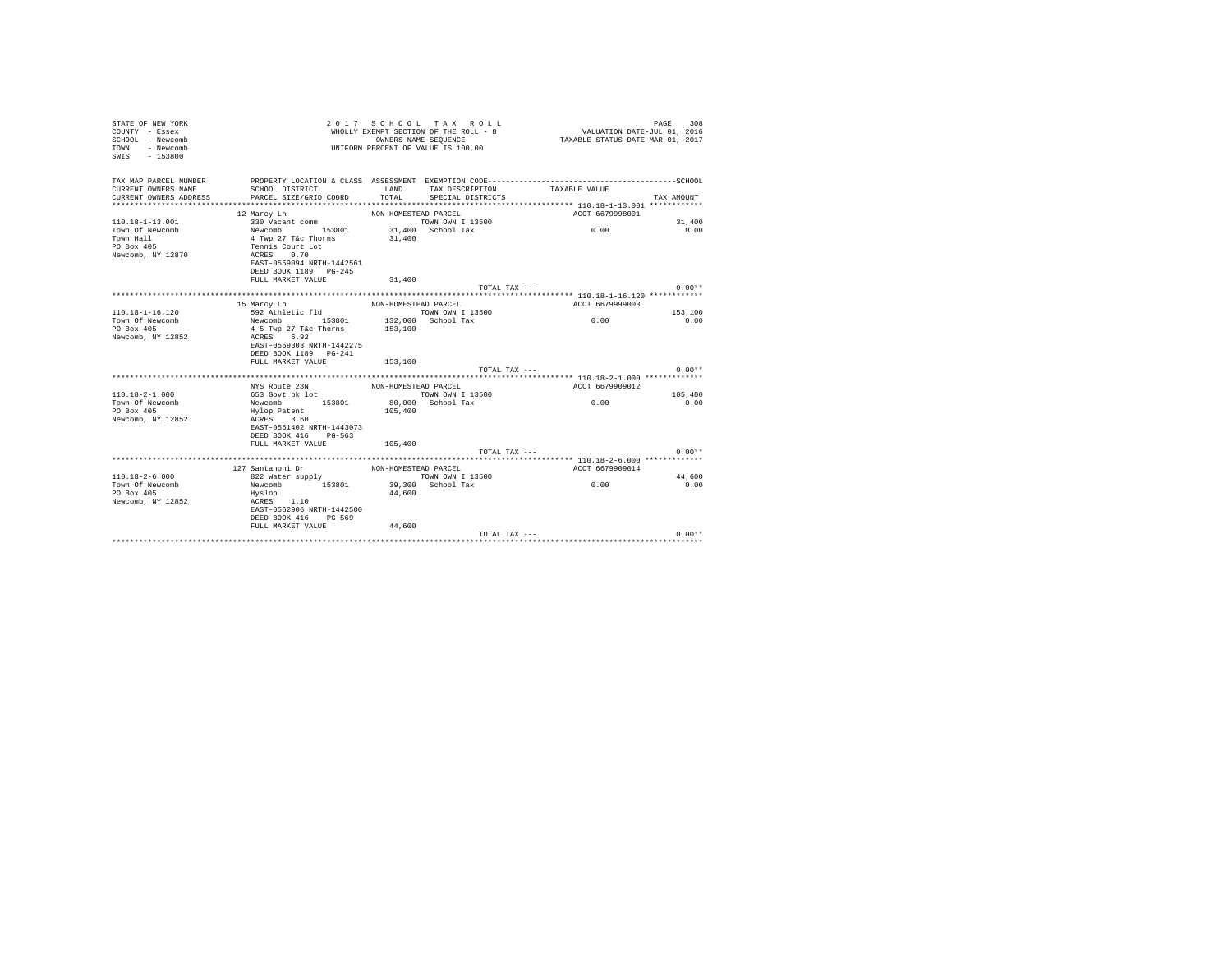| STATE OF NEW YORK<br>COUNTY - Essex<br>SCHOOL - Newcomb<br>- Newcomb<br>TOWN<br>SWIS<br>$-153800$ |                                                                  | 2017 SCHOOL TAX ROLL<br>WHOLLY EXEMPT SECTION OF THE ROLL - 8<br>OWNERS NAME SEQUENCE<br>UNIFORM PERCENT OF VALUE IS 100.00 |                         |                 | PAGE<br>308<br>VALUATION DATE-JUL 01, 2016<br>TAXABLE STATUS DATE-MAR 01, 2017 |  |  |
|---------------------------------------------------------------------------------------------------|------------------------------------------------------------------|-----------------------------------------------------------------------------------------------------------------------------|-------------------------|-----------------|--------------------------------------------------------------------------------|--|--|
| TAX MAP PARCEL NUMBER                                                                             |                                                                  |                                                                                                                             |                         |                 |                                                                                |  |  |
| CURRENT OWNERS NAME                                                                               | SCHOOL DISTRICT<br>PARCEL SIZE/GRID COORD                        | LAND<br>TOTAL                                                                                                               | TAX DESCRIPTION         | TAXABLE VALUE   | TAX AMOUNT                                                                     |  |  |
| CURRENT OWNERS ADDRESS                                                                            |                                                                  |                                                                                                                             | SPECIAL DISTRICTS       |                 |                                                                                |  |  |
|                                                                                                   | 12 Marcy Ln                                                      | NON-HOMESTEAD PARCEL                                                                                                        |                         | ACCT 6679998001 |                                                                                |  |  |
| $110.18 - 1 - 13.001$                                                                             | 330 Vacant comm                                                  |                                                                                                                             | <b>TOWN OWN I 13500</b> |                 | 31,400                                                                         |  |  |
| Town Of Newcomb                                                                                   | Newcomb 153801                                                   |                                                                                                                             | 31,400 School Tax       | 0.00            | 0.00                                                                           |  |  |
| Town Hall                                                                                         | 4 Twp 27 T&c Thorns                                              | 31,400                                                                                                                      |                         |                 |                                                                                |  |  |
| PO Box 405                                                                                        | Tennis Court Lot<br>ACRES 0.70                                   |                                                                                                                             |                         |                 |                                                                                |  |  |
| Newcomb, NY 12870                                                                                 |                                                                  |                                                                                                                             |                         |                 |                                                                                |  |  |
|                                                                                                   | EAST-0559094 NRTH-1442561                                        |                                                                                                                             |                         |                 |                                                                                |  |  |
|                                                                                                   | DEED BOOK 1189 PG-245                                            |                                                                                                                             |                         |                 |                                                                                |  |  |
|                                                                                                   | FULL MARKET VALUE                                                | 31,400                                                                                                                      |                         |                 |                                                                                |  |  |
|                                                                                                   |                                                                  |                                                                                                                             | TOTAL TAX ---           |                 | $0.00**$                                                                       |  |  |
|                                                                                                   | 15 Marcy Ln                                                      | NON-HOMESTEAD PARCEL                                                                                                        |                         | ACCT 6679999003 |                                                                                |  |  |
| $110.18 - 1 - 16.120$                                                                             | 592 Athletic fld                                                 |                                                                                                                             | TOWN OWN I 13500        |                 | 153,100                                                                        |  |  |
| Town Of Newcomb                                                                                   | Newcomb 153801                                                   |                                                                                                                             | 132,000 School Tax      | 0.00            | 0.00                                                                           |  |  |
| PO Box 405                                                                                        | 4 5 Twp 27 T&c Thorns                                            | 153,100                                                                                                                     |                         |                 |                                                                                |  |  |
| Newcomb, NY 12852                                                                                 | ACRES 6.92<br>EAST-0559303 NRTH-1442275<br>DEED BOOK 1189 PG-241 |                                                                                                                             |                         |                 |                                                                                |  |  |
|                                                                                                   | FULL MARKET VALUE                                                | 153,100                                                                                                                     |                         |                 |                                                                                |  |  |
|                                                                                                   |                                                                  |                                                                                                                             | TOTAL TAX ---           |                 | $0.00**$                                                                       |  |  |
|                                                                                                   |                                                                  |                                                                                                                             |                         |                 |                                                                                |  |  |
|                                                                                                   | NYS Route 28N                                                    | NON-HOMESTEAD PARCEL                                                                                                        |                         | ACCT 6679909012 |                                                                                |  |  |
| $110.18 - 2 - 1.000$                                                                              | 653 Govt pk lot                                                  |                                                                                                                             | TOWN OWN I 13500        | 0.00            | 105,400                                                                        |  |  |
| Town Of Newcomb<br>PO Box 405                                                                     | Newcomb 153801                                                   | 105,400                                                                                                                     | 80,000 School Tax       |                 | 0.00                                                                           |  |  |
| Newcomb, NY 12852                                                                                 | Hylop Patent<br>ACRES 3.60                                       |                                                                                                                             |                         |                 |                                                                                |  |  |
|                                                                                                   | EAST-0561402 NRTH-1443073                                        |                                                                                                                             |                         |                 |                                                                                |  |  |
|                                                                                                   | DEED BOOK 416 PG-563                                             |                                                                                                                             |                         |                 |                                                                                |  |  |
|                                                                                                   | FULL MARKET VALUE                                                | 105,400                                                                                                                     |                         |                 |                                                                                |  |  |
|                                                                                                   |                                                                  |                                                                                                                             | TOTAL TAX ---           |                 | $0.00**$                                                                       |  |  |
|                                                                                                   |                                                                  |                                                                                                                             |                         |                 |                                                                                |  |  |
|                                                                                                   | 127 Santanoni Dr                                                 | NON-HOMESTEAD PARCEL                                                                                                        |                         | ACCT 6679909014 |                                                                                |  |  |
| $110.18 - 2 - 6.000$                                                                              | $822$ Water supply                                               |                                                                                                                             | TOWN OWN I 13500        |                 | 44,600                                                                         |  |  |
| Town Of Newcomb                                                                                   | Newcomb 153801                                                   |                                                                                                                             | 39,300 School Tax       | 0.00            | 0.00                                                                           |  |  |
| PO Box 405                                                                                        | Hyslop                                                           | 44,600                                                                                                                      |                         |                 |                                                                                |  |  |
| Newcomb, NY 12852                                                                                 | ACRES 1.10<br>EAST-0562906 NRTH-1442500                          |                                                                                                                             |                         |                 |                                                                                |  |  |
|                                                                                                   | DEED BOOK 416 PG-569                                             |                                                                                                                             |                         |                 |                                                                                |  |  |
|                                                                                                   | FULL MARKET VALUE                                                | 44,600                                                                                                                      |                         |                 |                                                                                |  |  |
|                                                                                                   |                                                                  |                                                                                                                             | TOTAL TAX ---           |                 | $0.00**$                                                                       |  |  |
|                                                                                                   |                                                                  |                                                                                                                             |                         |                 |                                                                                |  |  |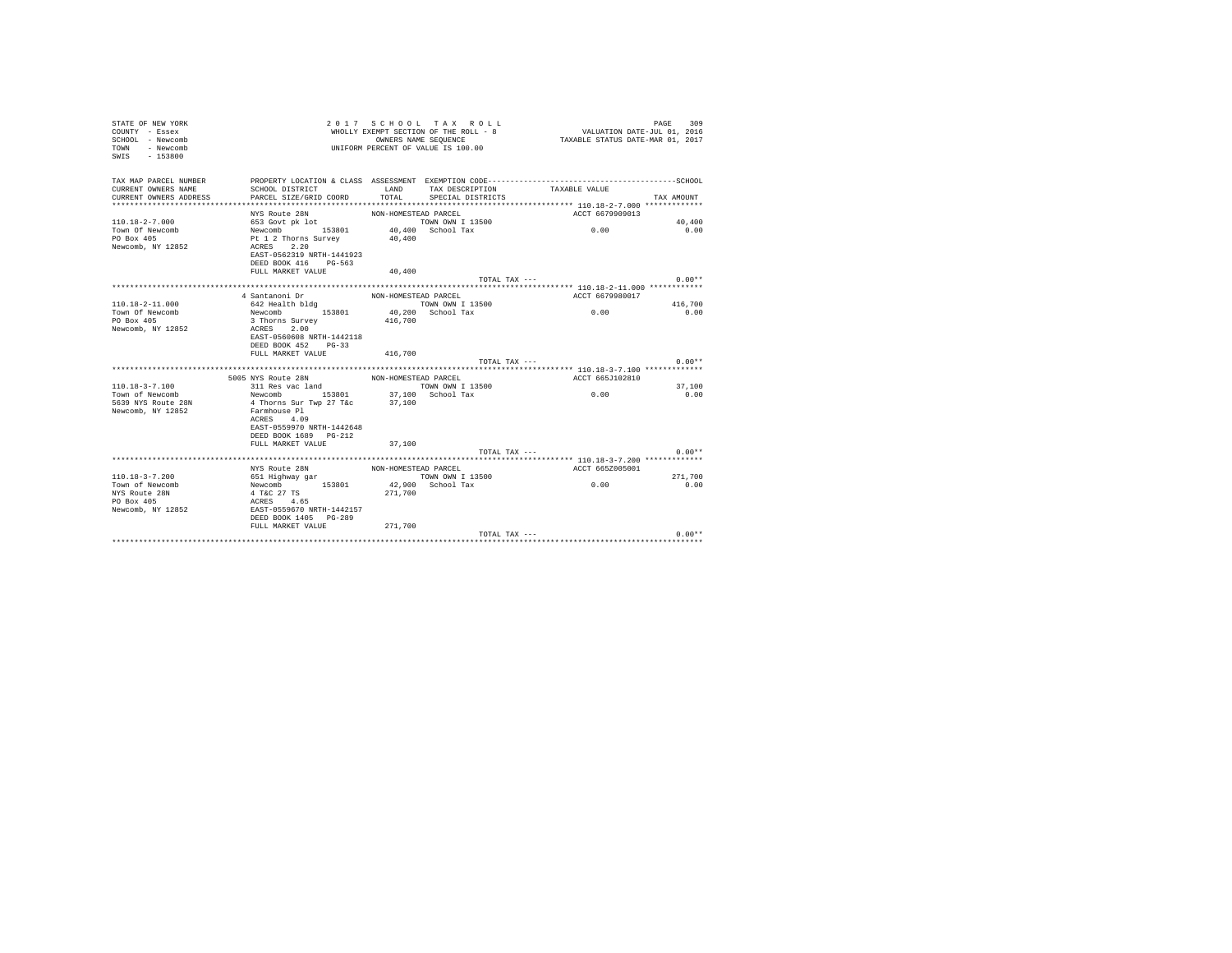| STATE OF NEW YORK<br>COUNTY - Essex<br>SCHOOL - Newcomb<br>TOWN - Newcomb<br>SWIS - 153800 |                                          |                      | 2017 SCHOOL TAX ROLL<br>WHOLLY EXEMPT SECTION OF THE ROLL - 8<br>OWNERS NAME SEQUENCE<br>UNIFORM PERCENT OF VALUE IS 100.00 | VALUATION DATE-JUL 01, 2016<br>TAXABLE STATUS DATE-MAR 01, 2017 | 309<br>PAGE    |
|--------------------------------------------------------------------------------------------|------------------------------------------|----------------------|-----------------------------------------------------------------------------------------------------------------------------|-----------------------------------------------------------------|----------------|
| TAX MAP PARCEL NUMBER                                                                      |                                          |                      |                                                                                                                             |                                                                 |                |
| CURRENT OWNERS NAME                                                                        | SCHOOL DISTRICT                          | LAND                 | TAX DESCRIPTION                                                                                                             | TAXABLE VALUE                                                   |                |
| CURRENT OWNERS ADDRESS<br>*************************                                        | PARCEL SIZE/GRID COORD                   | TOTAL                | SPECIAL DISTRICTS                                                                                                           |                                                                 | TAX AMOUNT     |
|                                                                                            |                                          |                      |                                                                                                                             |                                                                 |                |
| $110.18 - 2 - 7.000$                                                                       | NYS Route 28N                            | NON-HOMESTEAD PARCEL | TOWN OWN I 13500                                                                                                            | ACCT 6679909013                                                 |                |
| Town Of Newcomb                                                                            | 653 Govt pk lot                          |                      | 40.400 School Tax                                                                                                           | 0.00                                                            | 40,400<br>0.00 |
| PO Box 405                                                                                 | Newcomb 153801<br>Pt 1 2 Thorns Survey   | 40,400               |                                                                                                                             |                                                                 |                |
| Newcomb, NY 12852                                                                          | ACRES 2.20                               |                      |                                                                                                                             |                                                                 |                |
|                                                                                            | EAST-0562319 NRTH-1441923                |                      |                                                                                                                             |                                                                 |                |
|                                                                                            | DEED BOOK 416 PG-563                     |                      |                                                                                                                             |                                                                 |                |
|                                                                                            | FULL MARKET VALUE                        | 40,400               |                                                                                                                             |                                                                 |                |
|                                                                                            |                                          |                      |                                                                                                                             | TOTAL TAX ---                                                   | $0.00**$       |
|                                                                                            |                                          |                      |                                                                                                                             |                                                                 |                |
|                                                                                            | 4 Santanoni Dr                           | NON-HOMESTEAD PARCEL |                                                                                                                             | ACCT 6679980017                                                 |                |
| $110.18 - 2 - 11.000$                                                                      | 642 Health bldg                          |                      | TOWN OWN I 13500                                                                                                            |                                                                 | 416,700        |
| Town Of Newcomb                                                                            | Newcomb 153801 40,200 School Tax         |                      |                                                                                                                             | 0.00                                                            | 0.00           |
| PO Box 405                                                                                 | 3 Thorns Survey                          | 416,700              |                                                                                                                             |                                                                 |                |
| Newcomb, NY 12852                                                                          | ACRES 2.00                               |                      |                                                                                                                             |                                                                 |                |
|                                                                                            | EAST-0560608 NRTH-1442118                |                      |                                                                                                                             |                                                                 |                |
|                                                                                            | DEED BOOK 452 PG-33<br>FULL MARKET VALUE | 416,700              |                                                                                                                             |                                                                 |                |
|                                                                                            |                                          |                      |                                                                                                                             | TOTAL TAX ---                                                   | $0.00**$       |
|                                                                                            |                                          |                      |                                                                                                                             |                                                                 |                |
|                                                                                            | 5005 NYS Route 28N                       | NON-HOMESTEAD PARCEL |                                                                                                                             | ACCT 665J102810                                                 |                |
| 110.18-3-7.100                                                                             | 311 Res vac land                         |                      | TOWN OWN I 13500                                                                                                            |                                                                 | 37,100         |
| Town of Newcomb                                                                            | Newcomb 153801 37,100 School Tax         |                      |                                                                                                                             | 0.00                                                            | 0.00           |
| 5639 NYS Route 28N                                                                         | 4 Thorns Sur Twp 27 T&c                  | 37,100               |                                                                                                                             |                                                                 |                |
| Newcomb, NY 12852                                                                          | Farmhouse Pl                             |                      |                                                                                                                             |                                                                 |                |
|                                                                                            | ACRES 4.09                               |                      |                                                                                                                             |                                                                 |                |
|                                                                                            | EAST-0559970 NRTH-1442648                |                      |                                                                                                                             |                                                                 |                |
|                                                                                            | DEED BOOK 1689 PG-212                    |                      |                                                                                                                             |                                                                 |                |
|                                                                                            | FULL MARKET VALUE                        | 37,100               |                                                                                                                             |                                                                 |                |
|                                                                                            |                                          |                      |                                                                                                                             | TOTAL TAX ---                                                   | $0.00**$       |
|                                                                                            | NYS Route 28N                            | NON-HOMESTEAD PARCEL |                                                                                                                             | ACCT 665Z005001                                                 |                |
| $110.18 - 3 - 7.200$                                                                       | 651 Highway gar                          |                      | TOWN OWN I 13500                                                                                                            |                                                                 | 271,700        |
| Town of Newcomb                                                                            | Newcomb 153801                           |                      | 42,900 School Tax                                                                                                           | 0.00                                                            | 0.00           |
| NYS Route 28N                                                                              | 4 T&C 27 TS                              | 271,700              |                                                                                                                             |                                                                 |                |
| PO Box 405                                                                                 | ACRES 4.65                               |                      |                                                                                                                             |                                                                 |                |
| Newcomb, NY 12852                                                                          | EAST-0559670 NRTH-1442157                |                      |                                                                                                                             |                                                                 |                |
|                                                                                            | DEED BOOK 1405 PG-289                    |                      |                                                                                                                             |                                                                 |                |
|                                                                                            | FULL MARKET VALUE                        | 271,700              |                                                                                                                             |                                                                 |                |
|                                                                                            |                                          |                      |                                                                                                                             | TOTAL TAX ---                                                   | $0.00**$       |
|                                                                                            |                                          |                      |                                                                                                                             |                                                                 |                |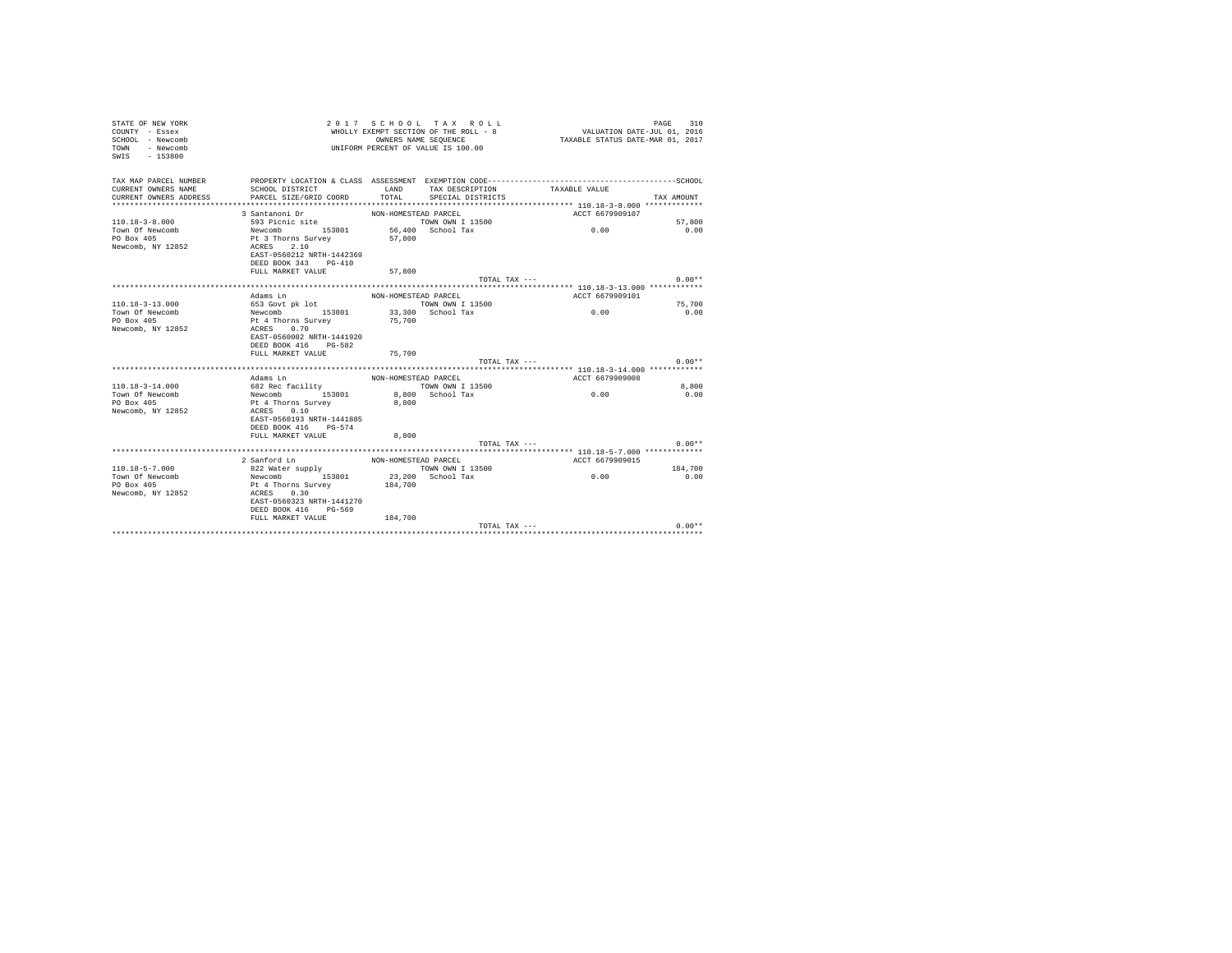| STATE OF NEW YORK<br>COUNTY - Essex<br>SCHOOL - Newcomb<br>- Newcomb<br><b>TOWN</b><br>$-153800$<br>SWIS | VALUATION DATE-JUL 01, 2016<br>TAXABLE STATUS DATE-MAR 01, 2017 | 310<br>PAGE          |                                      |                                                                                                               |            |
|----------------------------------------------------------------------------------------------------------|-----------------------------------------------------------------|----------------------|--------------------------------------|---------------------------------------------------------------------------------------------------------------|------------|
| TAX MAP PARCEL NUMBER<br>CURRENT OWNERS NAME<br>CURRENT OWNERS ADDRESS                                   | SCHOOL DISTRICT<br>PARCEL SIZE/GRID COORD                       | LAND<br>TOTAL        | TAX DESCRIPTION<br>SPECIAL DISTRICTS | PROPERTY LOCATION & CLASS ASSESSMENT EXEMPTION CODE-----------------------------------SCHOOL<br>TAXABLE VALUE | TAX AMOUNT |
|                                                                                                          | 3 Santanoni Dr                                                  | NON-HOMESTEAD PARCEL |                                      | ACCT 6679909107                                                                                               |            |
| $110.18 - 3 - 8.000$                                                                                     | 593 Picnic site                                                 |                      | TOWN OWN I 13500                     |                                                                                                               | 57,800     |
| Town Of Newcomb                                                                                          | Newcomb 153801                                                  |                      | 56,400 School Tax                    | 0.00                                                                                                          | 0.00       |
| PO Box 405                                                                                               | Pt 3 Thorns Survey                                              | 57,800               |                                      |                                                                                                               |            |
| Newcomb, NY 12852                                                                                        | 2.10<br>ACRES                                                   |                      |                                      |                                                                                                               |            |
|                                                                                                          | EAST-0560212 NRTH-1442369                                       |                      |                                      |                                                                                                               |            |
|                                                                                                          | DEED BOOK 343<br>$PG-410$                                       |                      |                                      |                                                                                                               |            |
|                                                                                                          | FULL MARKET VALUE                                               | 57,800               | TOTAL TAX ---                        |                                                                                                               | $0.00**$   |
|                                                                                                          |                                                                 |                      |                                      |                                                                                                               |            |
|                                                                                                          | Adams Ln                                                        | NON-HOMESTEAD PARCEL |                                      | ACCT 6679909101                                                                                               |            |
| $110.18 - 3 - 13.000$                                                                                    | 653 Govt pk lot                                                 |                      | TOWN OWN I 13500                     |                                                                                                               | 75,700     |
| Town Of Newcomb                                                                                          | Newcomb 153801                                                  |                      | 33,300 School Tax                    | 0.00                                                                                                          | 0.00       |
| PO Box 405                                                                                               | Pt 4 Thorns Survey                                              | 75,700               |                                      |                                                                                                               |            |
| Newcomb, NY 12852                                                                                        | ACRES 0.70                                                      |                      |                                      |                                                                                                               |            |
|                                                                                                          | EAST-0560002 NRTH-1441920                                       |                      |                                      |                                                                                                               |            |
|                                                                                                          | DEED BOOK 416 PG-582                                            |                      |                                      |                                                                                                               |            |
|                                                                                                          | FULL MARKET VALUE                                               | 75,700               | TOTAL TAX $---$                      |                                                                                                               | $0.00**$   |
|                                                                                                          |                                                                 |                      |                                      |                                                                                                               |            |
|                                                                                                          | Adams Ln                                                        | NON-HOMESTEAD PARCEL |                                      | ACCT 6679909008                                                                                               |            |
| $110.18 - 3 - 14.000$                                                                                    | 682 Rec facility                                                |                      | TOWN OWN I 13500                     |                                                                                                               | 8,800      |
| Town Of Newcomb                                                                                          | Newcomb 153801                                                  |                      | 8,800 School Tax                     | 0.00                                                                                                          | 0.00       |
| PO Box 405                                                                                               | Pt 4 Thorns Survey                                              | 8,800                |                                      |                                                                                                               |            |
| Newcomb, NY 12852                                                                                        | ACRES 0.10                                                      |                      |                                      |                                                                                                               |            |
|                                                                                                          | EAST-0560193 NRTH-1441885                                       |                      |                                      |                                                                                                               |            |
|                                                                                                          | DEED BOOK 416 PG-574                                            |                      |                                      |                                                                                                               |            |
|                                                                                                          | FULL MARKET VALUE                                               | 8,800                |                                      |                                                                                                               |            |
|                                                                                                          |                                                                 |                      | TOTAL TAX $---$                      |                                                                                                               | $0.00**$   |
|                                                                                                          | 2 Sanford Ln                                                    | NON-HOMESTEAD PARCEL |                                      | ACCT 6679909015                                                                                               |            |
| $110.18 - 5 - 7.000$                                                                                     | 822 Water supply                                                |                      | TOWN OWN I 13500                     |                                                                                                               | 184,700    |
| Town Of Newcomb                                                                                          | Newcomb 153801                                                  |                      | 23,200 School Tax                    | 0.00                                                                                                          | 0.00       |
| PO Box 405                                                                                               | Pt 4 Thorns Survey                                              | 184,700              |                                      |                                                                                                               |            |
| Newcomb, NY 12852                                                                                        | ACRES 0.30                                                      |                      |                                      |                                                                                                               |            |
|                                                                                                          | EAST-0560323 NRTH-1441270                                       |                      |                                      |                                                                                                               |            |
|                                                                                                          | DEED BOOK 416 PG-569                                            |                      |                                      |                                                                                                               |            |
|                                                                                                          | FULL MARKET VALUE                                               | 184,700              |                                      |                                                                                                               |            |
|                                                                                                          |                                                                 |                      | TOTAL TAX ---                        |                                                                                                               | $0.00**$   |
|                                                                                                          |                                                                 |                      |                                      |                                                                                                               |            |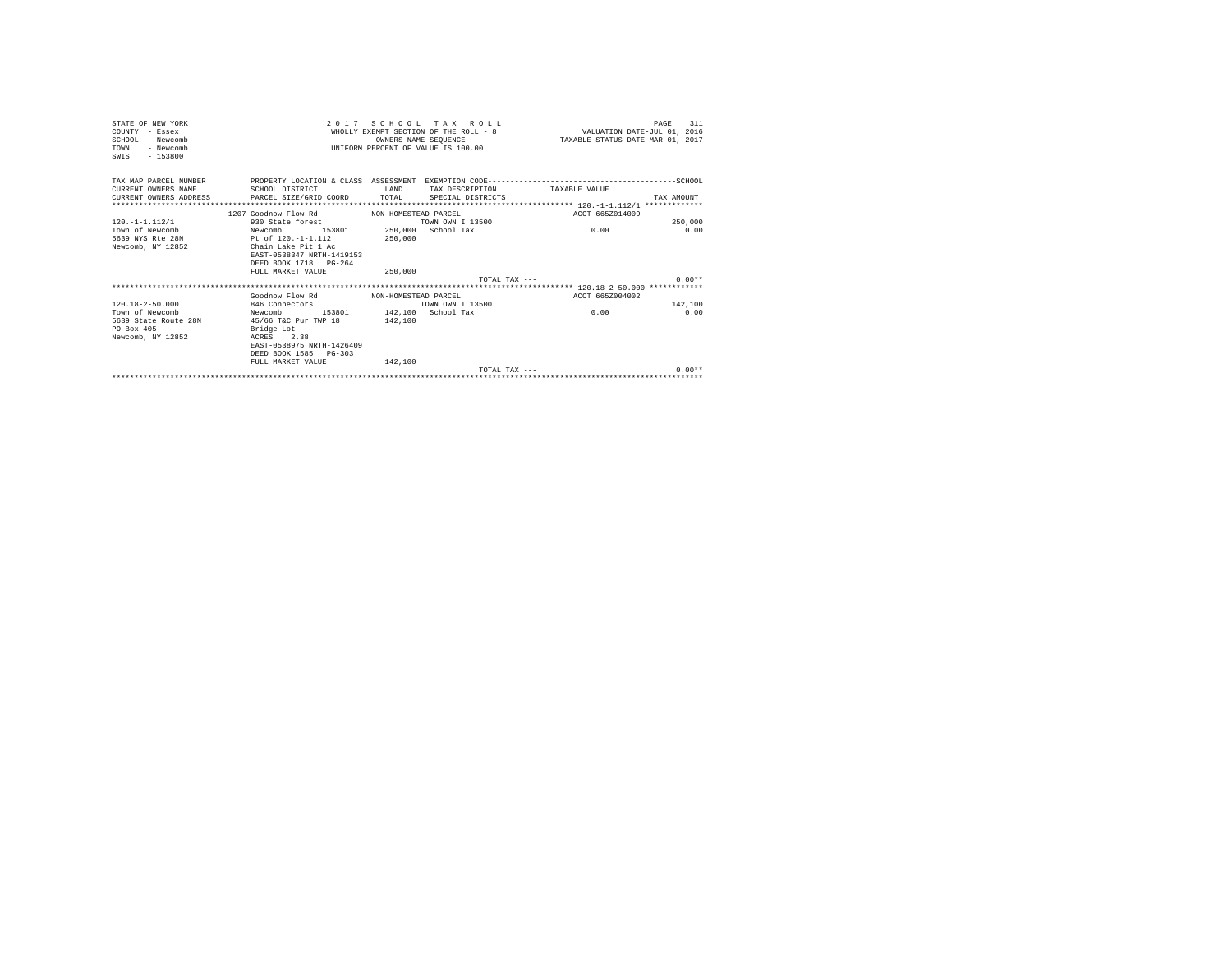| STATE OF NEW YORK<br>COUNTY - Essex<br>SCHOOL - Newcomb<br>TOWN<br>- Newcomb<br>$-153800$<br>SWIS   |                                                                                                                                                                                                                                       | OWNERS NAME SEOUENCE                       | 2017 SCHOOL TAX ROLL<br>UNIFORM PERCENT OF VALUE IS 100.00 | WHOLLY EXEMPT SECTION OF THE ROLL - 8 WALUATION DATE-JUL 01, 2016<br>TAXABLE STATUS DATE-MAR 01, 2017 | 311<br>PAGE                 |
|-----------------------------------------------------------------------------------------------------|---------------------------------------------------------------------------------------------------------------------------------------------------------------------------------------------------------------------------------------|--------------------------------------------|------------------------------------------------------------|-------------------------------------------------------------------------------------------------------|-----------------------------|
| TAX MAP PARCEL NUMBER<br>CURRENT OWNERS NAME<br>CURRENT OWNERS ADDRESS                              | SCHOOL DISTRICT<br>PARCEL SIZE/GRID COORD TOTAL                                                                                                                                                                                       | LAND                                       | TAX DESCRIPTION<br>SPECIAL DISTRICTS                       | TAXARLE VALUE                                                                                         | TAX AMOUNT                  |
| $120. -1 - 1.112/1$<br>Town of Newcomb<br>5639 NYS Rte 28N<br>Newcomb, NY 12852                     | 1207 Goodnow Flow Rd<br>930 State forest<br>153801 250,000 School Tax<br>Newcomb<br>Pt of 120.-1-1.112<br>Chain Lake Pit 1 Ac<br>EAST-0538347 NRTH-1419153<br>DEED BOOK 1718 PG-264<br>FULL MARKET VALUE                              | NON-HOMESTEAD PARCEL<br>250,000<br>250,000 | TOWN OWN T 13500<br>TOTAL TAX $---$                        | ACCT 665Z014009<br>0.00                                                                               | 250,000<br>0.00<br>$0.00**$ |
| $120.18 - 2 - 50.000$<br>Town of Newcomb<br>5639 State Route 28N<br>PO Box 405<br>Newcomb, NY 12852 | Goodnow Flow Rd MON-HOMESTEAD PARCEL<br>846 Connectors<br>153801 142,100 School Tax<br>Newcomb<br>45/66 T&C Pur TWP 18 142,100<br>Bridge Lot<br>ACRES 2.38<br>EAST-0538975 NRTH-1426409<br>DEED BOOK 1585 PG-303<br>FULL MARKET VALUE | 142,100                                    | TOWN OWN I 13500<br>TOTAL TAX $---$                        | ACCT 665Z004002<br>0.00                                                                               | 142,100<br>0.00<br>$0.00**$ |
|                                                                                                     |                                                                                                                                                                                                                                       |                                            |                                                            |                                                                                                       |                             |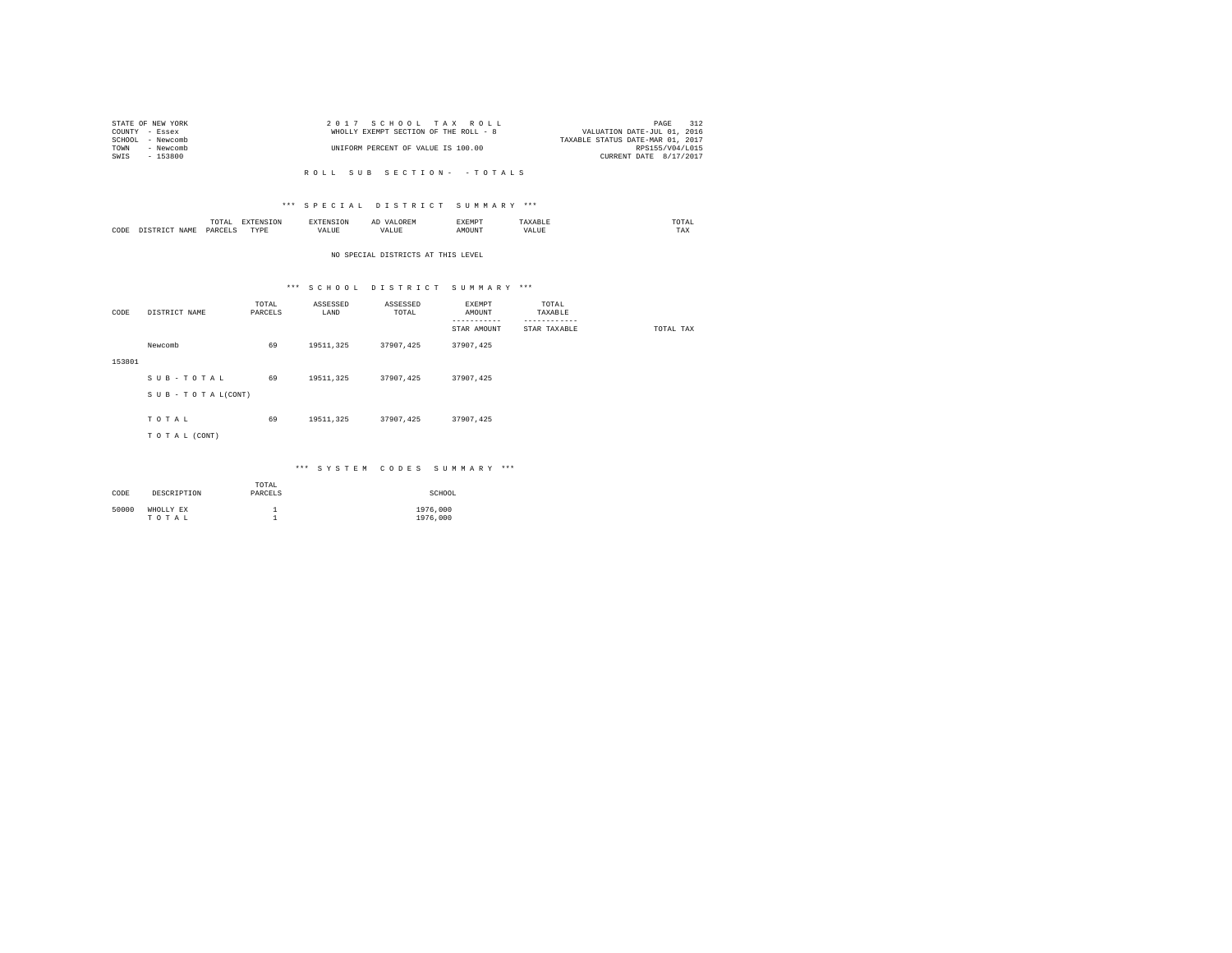|      | STATE OF NEW YORK | 2017 SCHOOL TAX ROLL                  |                                  | PAGE            | 312 |
|------|-------------------|---------------------------------------|----------------------------------|-----------------|-----|
|      | COUNTY - Essex    | WHOLLY EXEMPT SECTION OF THE ROLL - 8 | VALUATION DATE-JUL 01, 2016      |                 |     |
|      | SCHOOL - Newcomb  |                                       | TAXABLE STATUS DATE-MAR 01, 2017 |                 |     |
| TOWN | - Newcomb         | UNIFORM PERCENT OF VALUE IS 100.00    |                                  | RPS155/V04/L015 |     |
| SWIS | - 153800          |                                       | CURRENT DATE 8/17/2017           |                 |     |
|      |                   |                                       |                                  |                 |     |

## \*\*\* S P E C I A L D I S T R I C T S U M M A R Y \*\*\*

|      | ----<br>IUIAL<br>the contract of the contract of the contract of | ---<br>the contract of the contract of the contract of the contract of the contract of |                | ΑΙ | EXEMPT | <b>ABI</b> | moms:<br>the contract of the contract of the contract of |
|------|------------------------------------------------------------------|----------------------------------------------------------------------------------------|----------------|----|--------|------------|----------------------------------------------------------|
| CODE | DARCELS<br>.                                                     | <b>TVDL</b><br>.                                                                       | - ---<br>'ALUL | 'n |        | ALUE       | ---<br>1 A.A                                             |

## NO SPECIAL DISTRICTS AT THIS LEVEL

# \*\*\* S C H O O L D I S T R I C T S U M M A R Y \*\*\*

| CODE   | DISTRICT NAME   | TOTAL<br>PARCELS | ASSESSED<br>LAND | ASSESSED<br>TOTAL | EXEMPT<br>AMOUNT<br>--------<br>STAR AMOUNT | TOTAL<br>TAXABLE<br>------------<br>STAR TAXABLE | TOTAL TAX |
|--------|-----------------|------------------|------------------|-------------------|---------------------------------------------|--------------------------------------------------|-----------|
|        | Newcomb         | 69               | 19511, 325       | 37907,425         | 37907,425                                   |                                                  |           |
| 153801 |                 |                  |                  |                   |                                             |                                                  |           |
|        | SUB-TOTAL       | 69               | 19511, 325       | 37907.425         | 37907,425                                   |                                                  |           |
|        | SUB-TOTAL(CONT) |                  |                  |                   |                                             |                                                  |           |
|        |                 |                  |                  |                   |                                             |                                                  |           |
|        | TOTAL           | 69               | 19511, 325       | 37907,425         | 37907,425                                   |                                                  |           |
|        | TO TAL (CONT)   |                  |                  |                   |                                             |                                                  |           |
|        |                 |                  |                  |                   |                                             |                                                  |           |

## \*\*\* S Y S T E M C O D E S S U M M A R Y \*\*\*

| CODE  | DESCRIPTION        | TOTAL<br>PARCELS | SCHOOL               |
|-------|--------------------|------------------|----------------------|
| 50000 | WHOLLY EX<br>TOTAL |                  | 1976,000<br>1976,000 |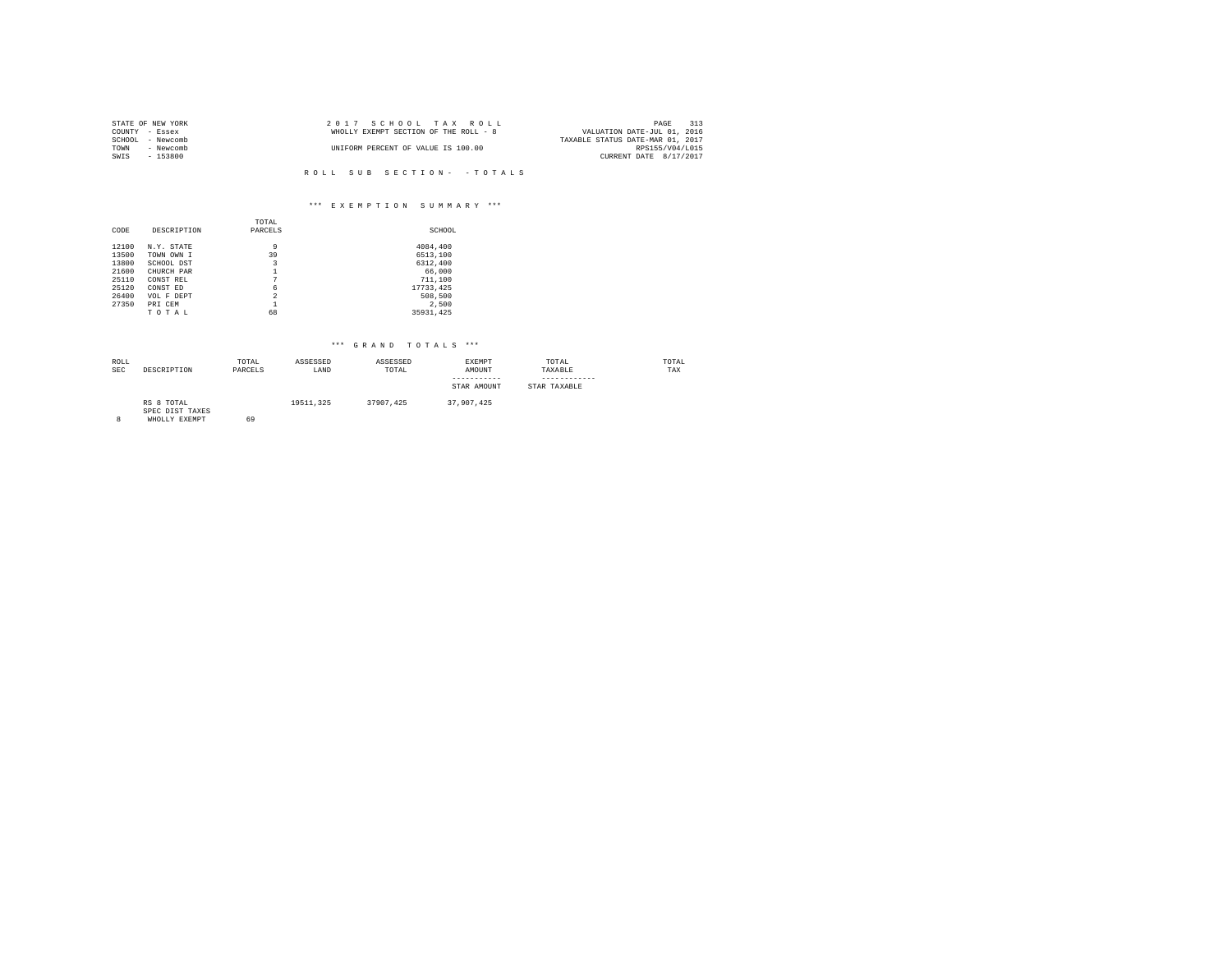|                | STATE OF NEW YORK | 2017 SCHOOL TAX ROLL                  | 313<br>PAGE                      |
|----------------|-------------------|---------------------------------------|----------------------------------|
| COUNTY - Essex |                   | WHOLLY EXEMPT SECTION OF THE ROLL - 8 | VALUATION DATE-JUL 01, 2016      |
|                | SCHOOL - Newcomb  |                                       | TAXABLE STATUS DATE-MAR 01, 2017 |
| TOWN           | - Newcomb         | UNIFORM PERCENT OF VALUE IS 100.00    | RPS155/V04/L015                  |
| SWIS           | - 153800          |                                       | CURRENT DATE 8/17/2017           |
|                |                   |                                       |                                  |

# \*\*\* E X E M P T I O N S U M M A R Y \*\*\*

|       |             | TOTAL          |           |
|-------|-------------|----------------|-----------|
| CODE  | DESCRIPTION | PARCELS        | SCHOOL    |
|       |             |                |           |
| 12100 | N.Y. STATE  | 9              | 4084,400  |
| 13500 | TOWN OWN I  | 39             | 6513,100  |
| 13800 | SCHOOL DST  | 3              | 6312,400  |
| 21600 | CHURCH PAR  |                | 66,000    |
| 25110 | CONST REL   | 7              | 711,100   |
| 25120 | CONST ED    | 6              | 17733.425 |
| 26400 | VOL F DEPT  | $\overline{2}$ | 508,500   |
| 27350 | PRI CEM     | 1              | 2.500     |
|       | TOTAL       | 68             | 35931.425 |

| ROLL<br><b>SEC</b> | DESCRIPTION                                    | TOTAL<br>PARCELS | ASSESSED<br>LAND | ASSESSED<br>TOTAL | <b>EXEMPT</b><br>AMOUNT<br>-----------<br>STAR AMOUNT | TOTAL<br>TAXABLE<br>STAR TAXABLE | TOTAL<br>TAX |
|--------------------|------------------------------------------------|------------------|------------------|-------------------|-------------------------------------------------------|----------------------------------|--------------|
| 8                  | RS 8 TOTAL<br>SPEC DIST TAXES<br>WHOLLY EXEMPT | 69               | 19511.325        | 37907.425         | 37,907,425                                            |                                  |              |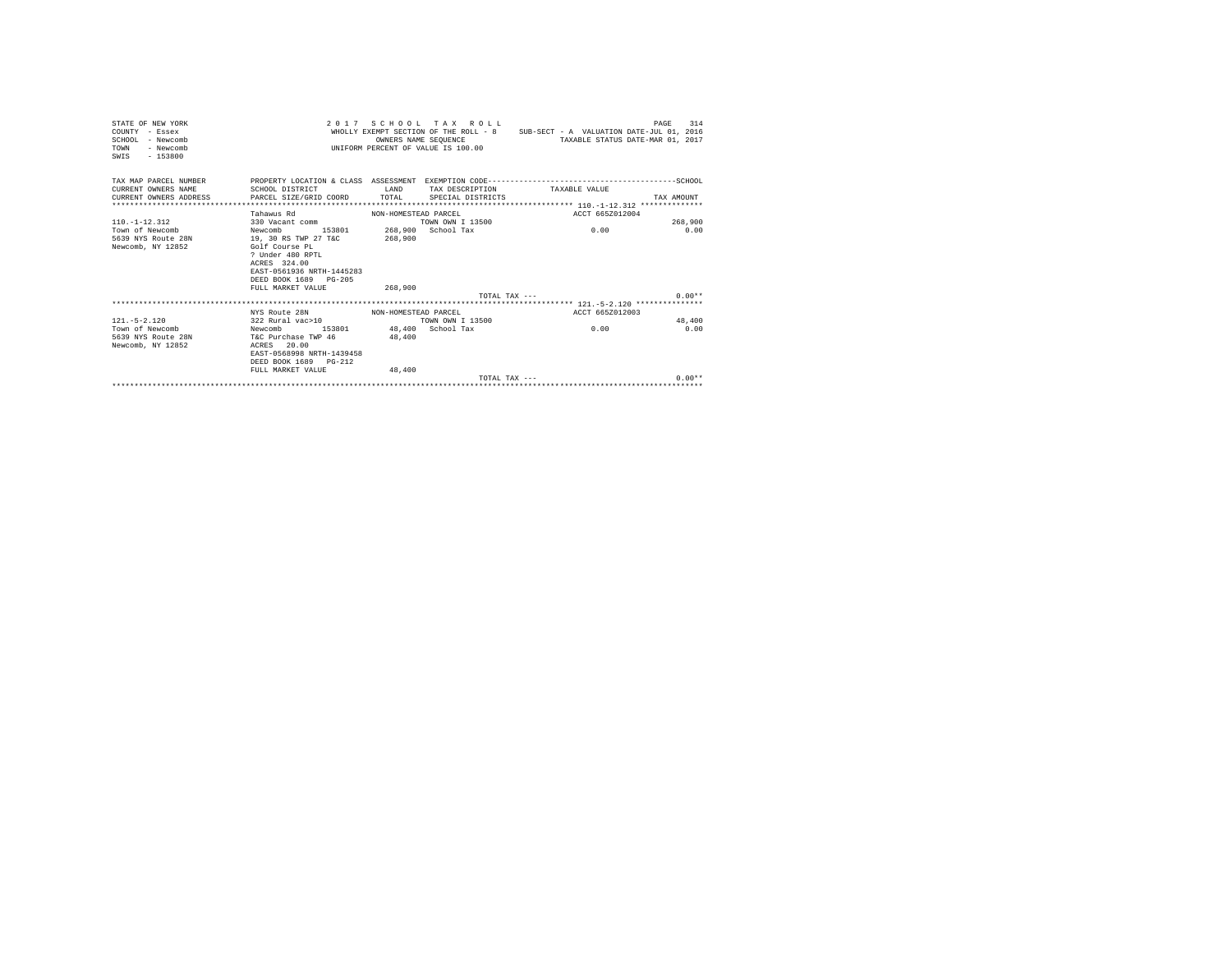| STATE OF NEW YORK<br>COUNTY - Essex<br>$SCHOM.$ - Newcomb<br>- Newcomb<br>TOWN<br>SWIS - 153800 |                                                                                                                                                                                               |                      | 2017 SCHOOL TAX ROLL<br>OWNERS NAME SEOUENCE<br>UNIFORM PERCENT OF VALUE IS 100.00 | WHOLLY EXEMPT SECTION OF THE ROLL - 8 SUB-SECT - A VALUATION DATE-JUL 01, 2016<br>TAXABLE STATUS DATE-MAR 01, 2017                                 | 314<br>PAGE |
|-------------------------------------------------------------------------------------------------|-----------------------------------------------------------------------------------------------------------------------------------------------------------------------------------------------|----------------------|------------------------------------------------------------------------------------|----------------------------------------------------------------------------------------------------------------------------------------------------|-------------|
| CURRENT OWNERS NAME<br>CURRENT OWNERS ADDRESS                                                   | SCHOOL DISTRICT<br>PARCEL SIZE/GRID COORD TOTAL                                                                                                                                               | <b>T.AND</b>         | SPECIAL DISTRICTS                                                                  | TAX MAP PARCEL NUMBER PROPERTY LOCATION & CLASS ASSESSMENT EXEMPTION CODE----------------------------------SCHOOL<br>TAX DESCRIPTION TAXABLE VALUE | TAX AMOUNT  |
|                                                                                                 |                                                                                                                                                                                               |                      |                                                                                    |                                                                                                                                                    |             |
|                                                                                                 | Tahawus Rd                                                                                                                                                                                    | NON-HOMESTEAD PARCEL |                                                                                    | ACCT 665Z012004                                                                                                                                    |             |
| $110 - 1 - 12 - 312$                                                                            | 330 Vacant comm                                                                                                                                                                               |                      | TOWN OWN T 13500                                                                   |                                                                                                                                                    | 268,900     |
| Town of Newcomb<br>5639 NYS Route 28N<br>Newcomb, NY 12852                                      | 153801 268,900 School Tax<br>Newcomb<br>19, 30 RS TWP 27 T&C<br>Golf Course PL<br>? Under 480 RPTL<br>ACRES 324.00<br>EAST-0561936 NRTH-1445283<br>DEED BOOK 1689 PG-205<br>FULL MARKET VALUE | 268,900<br>268,900   |                                                                                    | 0.00                                                                                                                                               | 0.00        |
|                                                                                                 |                                                                                                                                                                                               |                      |                                                                                    | TOTAL TAX ---                                                                                                                                      | $0.00**$    |
|                                                                                                 |                                                                                                                                                                                               |                      |                                                                                    |                                                                                                                                                    |             |
|                                                                                                 | NYS Route 28N                                                                                                                                                                                 | NON-HOMESTEAD PARCEL |                                                                                    | ACCT 665Z012003                                                                                                                                    |             |
| $121 - 5 - 2.120$                                                                               | 322 Rural vac>10                                                                                                                                                                              |                      | TOWN OWN I 13500                                                                   |                                                                                                                                                    | 48,400      |
| Town of Newcomb<br>5639 NYS Route 28N T&C Purchase TWP 46<br>Newcomb, NY 12852                  | Newcomb 153801 48,400 School Tax<br>ACRES 20.00<br>EAST-0568998 NRTH-1439458<br>DEED BOOK 1689 PG-212<br>FULL MARKET VALUE                                                                    | 48,400<br>48,400     |                                                                                    | 0.00                                                                                                                                               | 0.00        |
|                                                                                                 |                                                                                                                                                                                               |                      | $T$ $\cap$ $T\Delta T$ . $T\Delta Y$ $---$                                         |                                                                                                                                                    | $0.00**$    |
|                                                                                                 |                                                                                                                                                                                               |                      |                                                                                    |                                                                                                                                                    |             |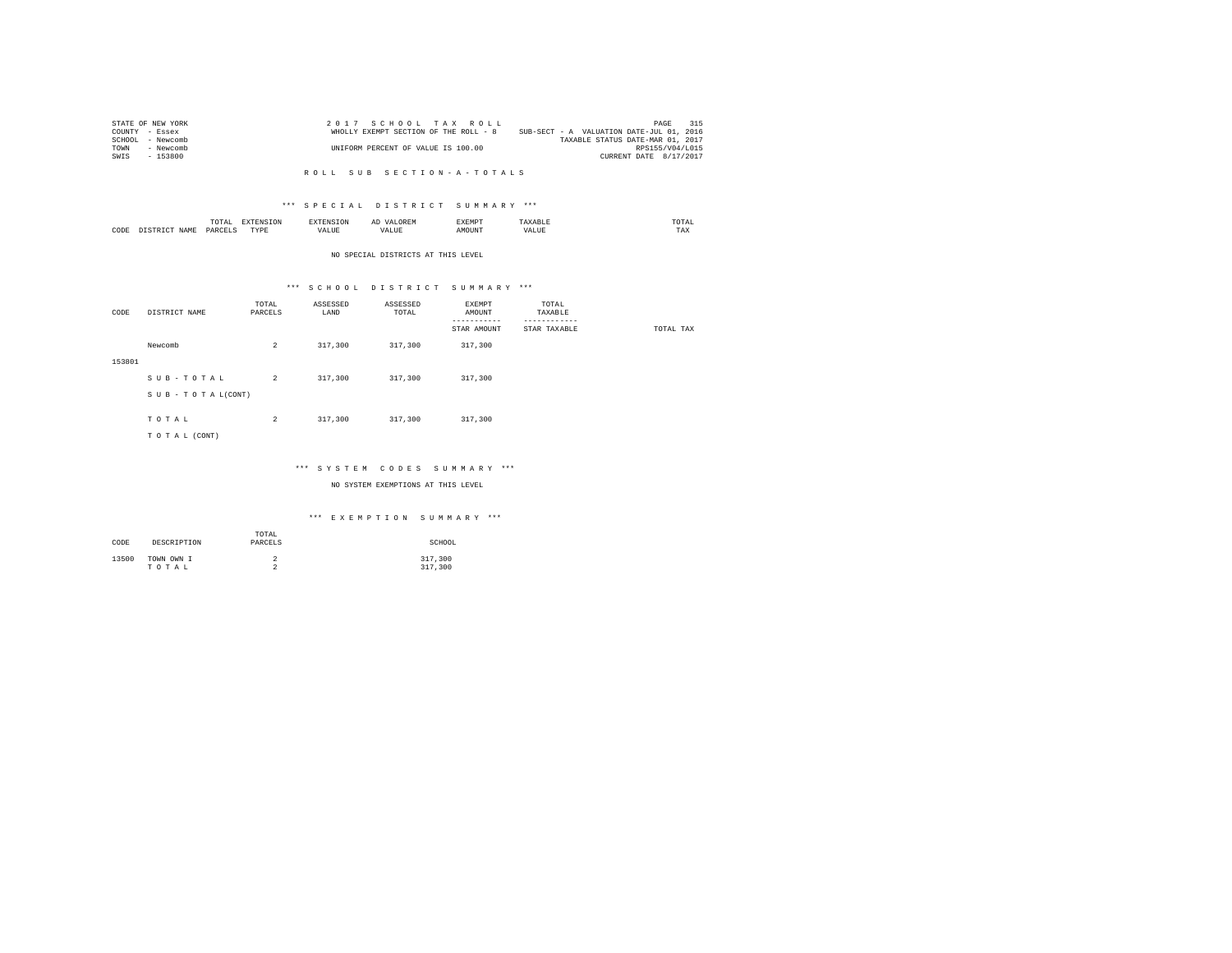| STATE OF NEW YORK   | 2017 SCHOOL TAX ROLL                  | 315<br>PAGE                              |
|---------------------|---------------------------------------|------------------------------------------|
| COUNTY - Essex      | WHOLLY EXEMPT SECTION OF THE ROLL - 8 | SUB-SECT - A VALUATION DATE-JUL 01, 2016 |
| SCHOOL<br>- Newcomb |                                       | TAXABLE STATUS DATE-MAR 01, 2017         |
| TOWN<br>- Newcomb   | UNIFORM PERCENT OF VALUE IS 100.00    | RPS155/V04/L015                          |
| - 153800<br>SWIS    |                                       | CURRENT DATE 8/17/2017                   |

## \*\*\* S P E C I A L D I S T R I C T S U M M A R Y \*\*\*

|      | ----<br>IUIAL<br>the contract of the contract of the contract of | ---<br>the contract of the contract of the contract of the contract of the contract of |                | ΑΙ | EXEMPT | <b>ABI</b> | moms:<br>the contract of the contract of the contract of |
|------|------------------------------------------------------------------|----------------------------------------------------------------------------------------|----------------|----|--------|------------|----------------------------------------------------------|
| CODE | DARCELS<br>.                                                     | <b>TVDL</b><br>.                                                                       | - ---<br>'ALUL | 'n |        | ALUE       | ---<br>1 A.A                                             |

### NO SPECIAL DISTRICTS AT THIS LEVEL

## \*\*\* S C H O O L D I S T R I C T S U M M A R Y \*\*\*

| CODE   | DISTRICT NAME   | TOTAL<br>PARCELS | ASSESSED<br>LAND | ASSESSED<br>TOTAL | EXEMPT<br>AMOUNT<br>--------- | TOTAL<br>TAXABLE<br>--------- |           |
|--------|-----------------|------------------|------------------|-------------------|-------------------------------|-------------------------------|-----------|
|        |                 |                  |                  |                   | STAR AMOUNT                   | STAR TAXABLE                  | TOTAL TAX |
|        | Newcomb         | $\overline{a}$   | 317,300          | 317,300           | 317,300                       |                               |           |
| 153801 |                 |                  |                  |                   |                               |                               |           |
|        | SUB-TOTAL       | $\overline{2}$   | 317,300          | 317,300           | 317,300                       |                               |           |
|        | SUB-TOTAL(CONT) |                  |                  |                   |                               |                               |           |
|        |                 |                  |                  |                   |                               |                               |           |
|        | TOTAL           | $\overline{a}$   | 317,300          | 317,300           | 317,300                       |                               |           |
|        | TO TAL (CONT)   |                  |                  |                   |                               |                               |           |
|        |                 |                  |                  |                   |                               |                               |           |

## \*\*\* S Y S T E M C O D E S S U M M A R Y \*\*\*

NO SYSTEM EXEMPTIONS AT THIS LEVEL

## \*\*\* E X E M P T I O N S U M M A R Y \*\*\*

| CODE  | DESCRIPTION         | TOTAL<br>PARCELS | SCHOOL             |
|-------|---------------------|------------------|--------------------|
| 13500 | TOWN OWN I<br>TOTAL | ∠<br>$\sim$<br>∼ | 317,300<br>317,300 |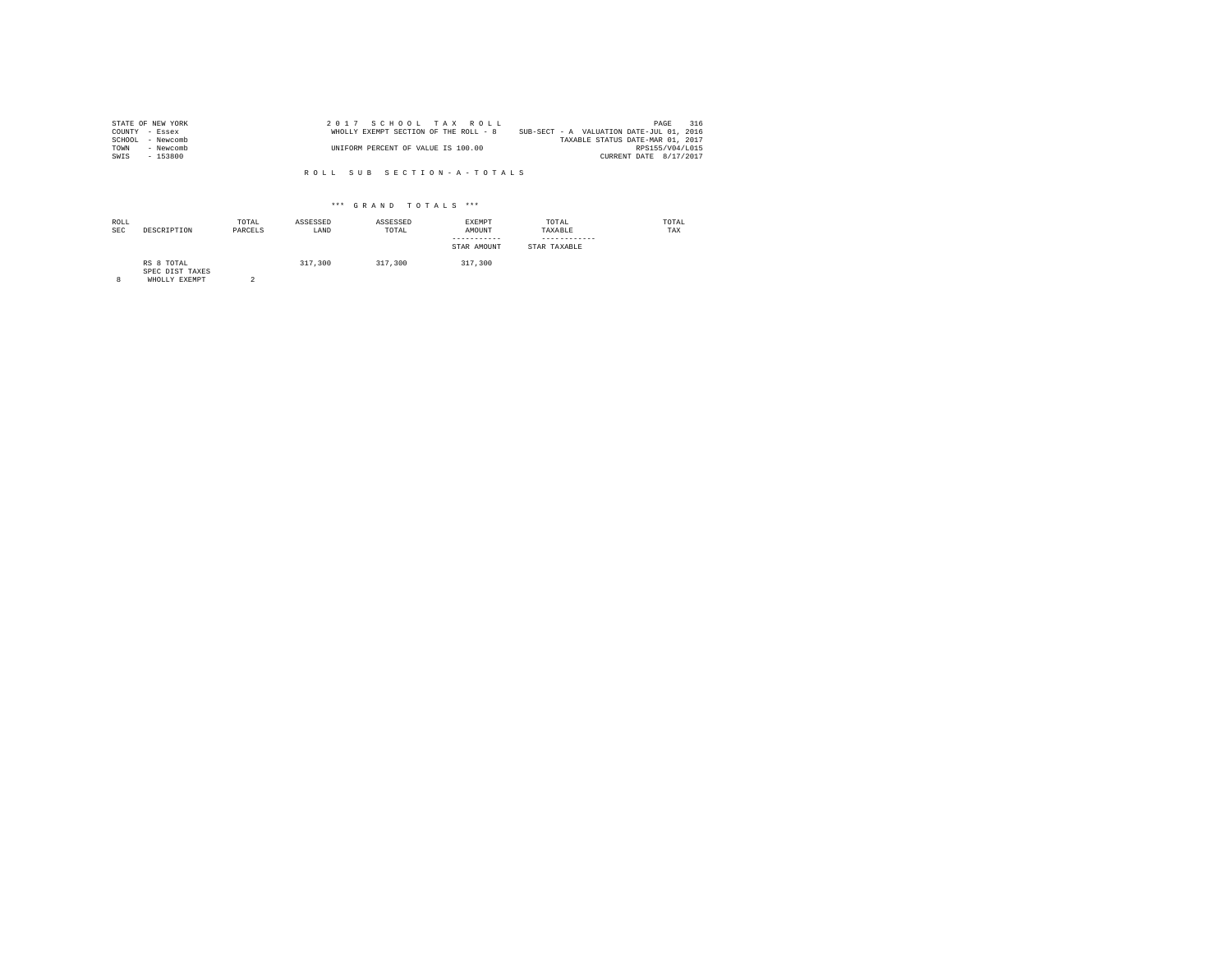| STATE OF NEW YORK   | 2017 SCHOOL TAX ROLL                  | 316<br>PAGE                              |  |
|---------------------|---------------------------------------|------------------------------------------|--|
| COUNTY - Essex      | WHOLLY EXEMPT SECTION OF THE ROLL - 8 | SUB-SECT - A VALUATION DATE-JUL 01, 2016 |  |
| SCHOOL<br>- Newcomb |                                       | TAXABLE STATUS DATE-MAR 01, 2017         |  |
| TOWN<br>- Newcomb   | UNIFORM PERCENT OF VALUE IS 100.00    | RPS155/V04/L015                          |  |
| SWIS<br>$-153800$   |                                       | CURRENT DATE 8/17/2017                   |  |

| ROLL<br><b>SEC</b> | DESCRIPTION                                    | TOTAL<br>PARCELS | ASSESSED<br>LAND | ASSESSED<br>TOTAL | EXEMPT<br>AMOUNT<br>-----------<br>STAR AMOUNT | TOTAL<br>TAXABLE<br>------------<br>STAR TAXABLE | TOTAL<br>TAX |
|--------------------|------------------------------------------------|------------------|------------------|-------------------|------------------------------------------------|--------------------------------------------------|--------------|
| 8                  | RS 8 TOTAL<br>SPEC DIST TAXES<br>WHOLLY EXEMPT | $\hat{ }$        | 317,300          | 317,300           | 317,300                                        |                                                  |              |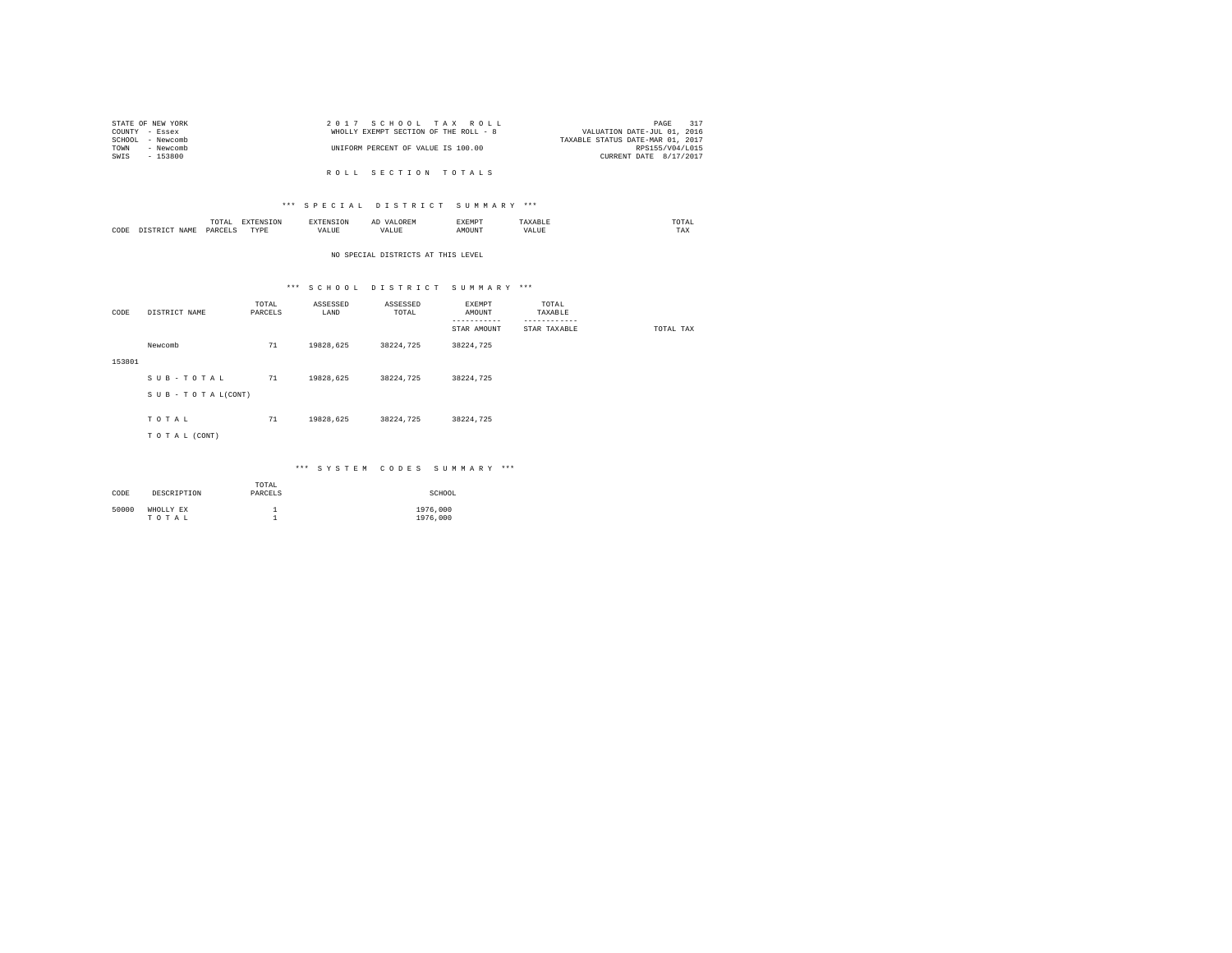|                | STATE OF NEW YORK | 2017 SCHOOL TAX ROLL                                                 | 317<br>PAGE     |
|----------------|-------------------|----------------------------------------------------------------------|-----------------|
| COUNTY - Essex |                   | WHOLLY EXEMPT SECTION OF THE ROLL - 8<br>VALUATION DATE-JUL 01, 2016 |                 |
|                | SCHOOL - Newcomb  | TAXABLE STATUS DATE-MAR 01, 2017                                     |                 |
| TOWN           | - Newcomb         | UNIFORM PERCENT OF VALUE IS 100.00                                   | RPS155/V04/L015 |
| SWIS           | - 153800          | CURRENT DATE 8/17/2017                                               |                 |
|                |                   |                                                                      |                 |
|                |                   | ROLL SECTION TOTALS                                                  |                 |

# \*\*\* S P E C I A L D I S T R I C T S U M M A R Y \*\*\*

|             | 10 I A<br>the contract of the contract of the contract of |       |             | $\sim$<br> | KEMP' |        | the contract of the contract of the contract of |
|-------------|-----------------------------------------------------------|-------|-------------|------------|-------|--------|-------------------------------------------------|
| CODE<br>--- |                                                           | אתייד | <b>ALUE</b> | $-$        |       | $\sim$ | -56                                             |

## NO SPECIAL DISTRICTS AT THIS LEVEL

# \*\*\* S C H O O L D I S T R I C T S U M M A R Y \*\*\*

| CODE   | DISTRICT NAME   | TOTAL<br>PARCELS | ASSESSED<br>LAND | ASSESSED<br>TOTAL | EXEMPT<br>AMOUNT         | TOTAL<br>TAXABLE             |           |
|--------|-----------------|------------------|------------------|-------------------|--------------------------|------------------------------|-----------|
|        |                 |                  |                  |                   | ---------<br>STAR AMOUNT | ------------<br>STAR TAXABLE | TOTAL TAX |
|        |                 |                  |                  |                   |                          |                              |           |
|        | Newcomb         | 71               | 19828,625        | 38224,725         | 38224,725                |                              |           |
| 153801 |                 |                  |                  |                   |                          |                              |           |
|        | SUB-TOTAL       | 71               | 19828,625        | 38224,725         | 38224,725                |                              |           |
|        | SUB-TOTAL(CONT) |                  |                  |                   |                          |                              |           |
|        |                 |                  |                  |                   |                          |                              |           |
|        | TOTAL           | 71               | 19828,625        | 38224,725         | 38224,725                |                              |           |
|        | TO TAL (CONT)   |                  |                  |                   |                          |                              |           |
|        |                 |                  |                  |                   |                          |                              |           |

## \*\*\* S Y S T E M C O D E S S U M M A R Y \*\*\*

| CODE  | DESCRIPTION        | TOTAL<br>PARCELS | SCHOOL               |
|-------|--------------------|------------------|----------------------|
| 50000 | WHOLLY EX<br>TOTAL |                  | 1976,000<br>1976,000 |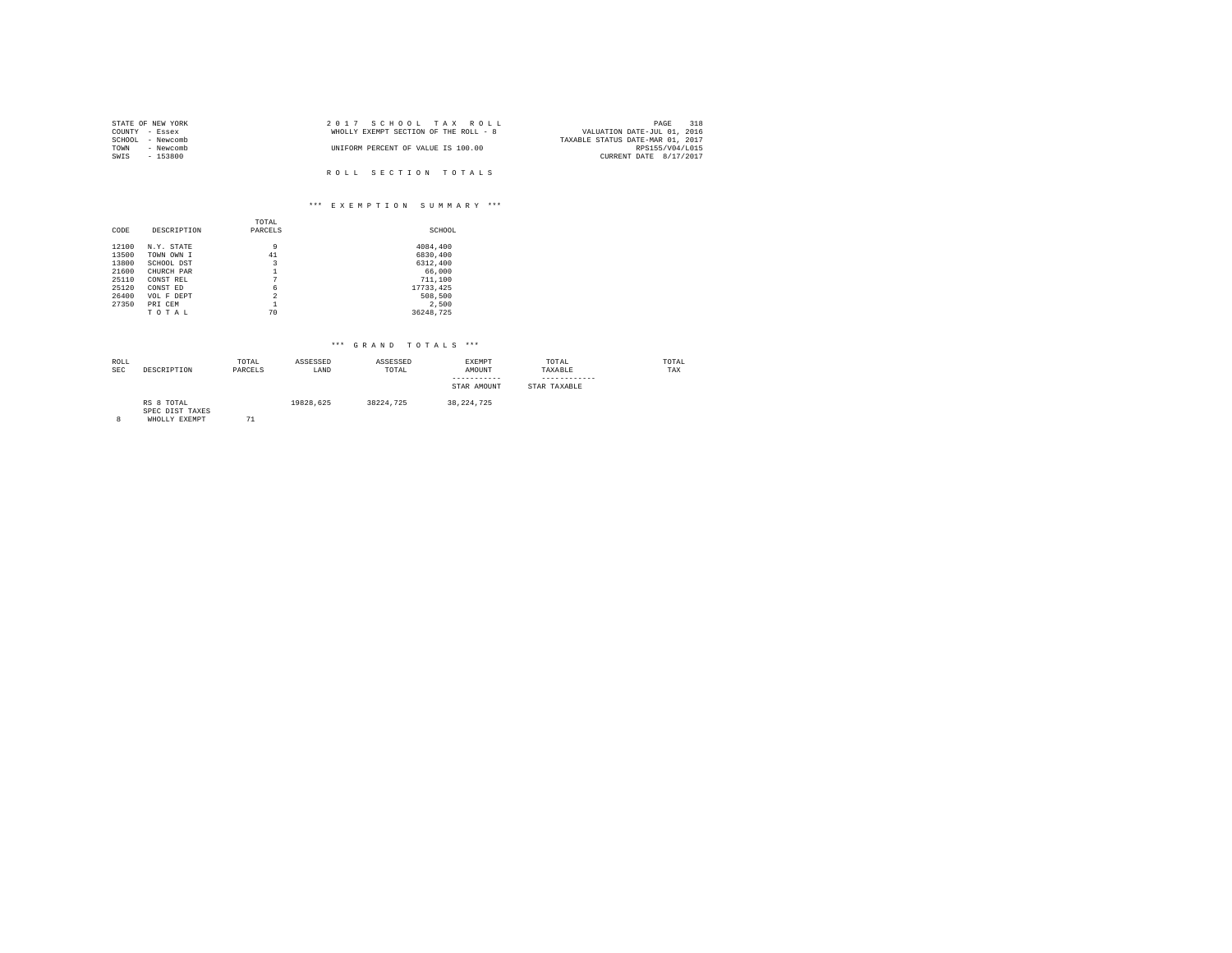| STATE OF NEW YORK | 2017 SCHOOL TAX ROLL                  | 318<br>PAGE                      |
|-------------------|---------------------------------------|----------------------------------|
| COUNTY - Essex    | WHOLLY EXEMPT SECTION OF THE ROLL - 8 | VALUATION DATE-JUL 01, 2016      |
| SCHOOL - Newcomb  |                                       | TAXABLE STATUS DATE-MAR 01, 2017 |
| - Newcomb<br>TOWN | UNIFORM PERCENT OF VALUE IS 100.00    | RPS155/V04/L015                  |
| SWIS<br>$-153800$ |                                       | CURRENT DATE 8/17/2017           |
|                   |                                       |                                  |
|                   | ROLL SECTION TOTALS                   |                                  |

# \*\*\* E X E M P T I O N S U M M A R Y \*\*\*

|       |             | TOTAL          |            |
|-------|-------------|----------------|------------|
| CODE  | DESCRIPTION | PARCELS        | SCHOOL     |
| 12100 | N.Y. STATE  | 9              | 4084,400   |
| 13500 | TOWN OWN I  | 41             | 6830,400   |
| 13800 | SCHOOL DST  | 3              | 6312,400   |
| 21600 | CHURCH PAR  | 1              | 66,000     |
| 25110 | CONST REL   | 7              | 711,100    |
| 25120 | CONST ED    | 6              | 17733, 425 |
| 26400 | VOL F DEPT  | $\overline{2}$ | 508,500    |
| 27350 | PRI CEM     |                | 2.500      |
|       | TOTAL       | 70             | 36248.725  |

| ROLL<br>SEC | DESCRIPTION                                    | TOTAL<br>PARCELS | ASSESSED<br>LAND | ASSESSED<br>TOTAL | EXEMPT<br>AMOUNT<br>-----------<br>STAR AMOUNT | TOTAL<br>TAXABLE<br>-----------<br>STAR TAXABLE | TOTAL<br>TAX |
|-------------|------------------------------------------------|------------------|------------------|-------------------|------------------------------------------------|-------------------------------------------------|--------------|
|             | RS 8 TOTAL<br>SPEC DIST TAXES<br>WHOLLY EXEMPT | 71               | 19828.625        | 38224.725         | 38, 224, 725                                   |                                                 |              |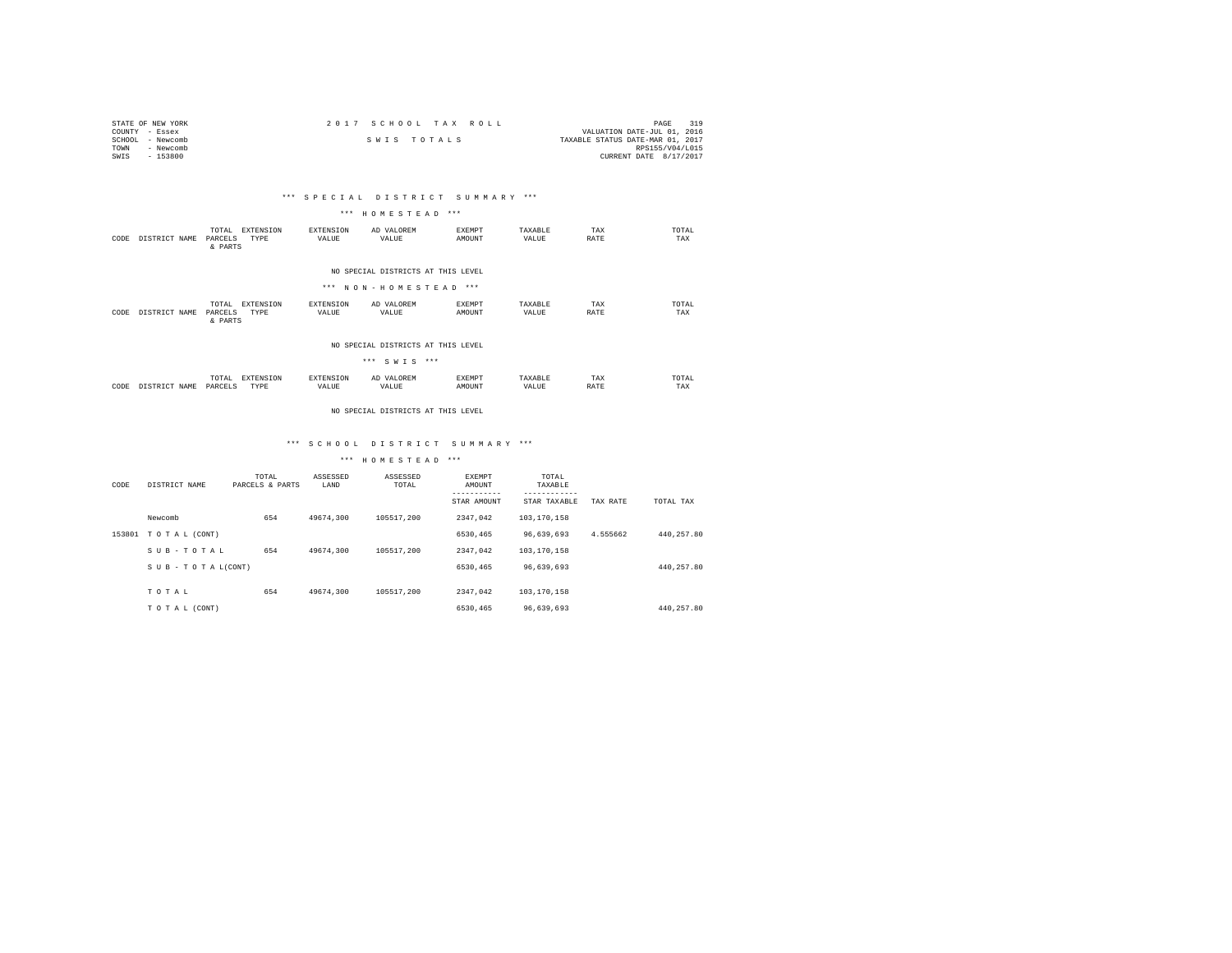| STATE OF NEW YORK | 2017 SCHOOL TAX ROLL | 319<br>PAGE                      |
|-------------------|----------------------|----------------------------------|
| COUNTY - Essex    |                      | VALUATION DATE-JUL 01, 2016      |
| SCHOOL - Newcomb  | SWIS TOTALS          | TAXABLE STATUS DATE-MAR 01, 2017 |
| TOWN<br>- Newcomb |                      | RPS155/V04/L015                  |
| $-153800$<br>SWIS |                      | CURRENT DATE 8/17/2017           |

## \*\*\* S P E C I A L D I S T R I C T S U M M A R Y \*\*\*

#### \*\*\* H O M E S T E A D \*\*\*

| CODE | DISTRICT NAME | EXTENSION<br>TOTAL<br>PARCELS<br>TYPE<br>& PARTS | <b>EXTENSION</b><br>VALUE | AD VALOREM<br>VALUE                                         | <b>EXEMPT</b><br>AMOUNT | TAXABLE<br>VALUE | TAX<br>RATE | TOTAL<br>TAX |
|------|---------------|--------------------------------------------------|---------------------------|-------------------------------------------------------------|-------------------------|------------------|-------------|--------------|
|      |               |                                                  |                           | NO SPECIAL DISTRICTS AT THIS LEVEL<br>*** NON-HOMESTEAD *** |                         |                  |             |              |
| CODE | DISTRICT NAME | EXTENSION<br>TOTAL<br>PARCELS<br>TYPE<br>& PARTS | <b>EXTENSION</b><br>VALUE | AD VALOREM<br>VALUE                                         | <b>EXEMPT</b><br>AMOUNT | TAXARLE<br>VALUE | TAX<br>RATE | TOTAL<br>TAX |

#### NO SPECIAL DISTRICTS AT THIS LEVEL

|      |               |                  |                   |                    | *** SWIS ***        |                         |                  |             |              |
|------|---------------|------------------|-------------------|--------------------|---------------------|-------------------------|------------------|-------------|--------------|
| CODE | DISTRICT NAME | TOTAL<br>PARCELS | EXTENSION<br>TYPE | EXTENSION<br>VALUE | AD VALOREM<br>VALUE | <b>EXEMPT</b><br>AMOUNT | TAXABLE<br>VALUE | TAX<br>RATE | TOTAL<br>TAX |

#### NO SPECIAL DISTRICTS AT THIS LEVEL

## \*\*\* S C H O O L D I S T R I C T S U M M A R Y \*\*\*

# \*\*\* H O M E S T E A D \*\*\*

| CODE   | DISTRICT NAME   | TOTAL<br>PARCELS & PARTS | ASSESSED<br>LAND | ASSESSED<br>TOTAL | EXEMPT<br>AMOUNT<br>STAR AMOUNT | TOTAL<br>TAXABLE<br>STAR TAXABLE | TAX RATE | TOTAL TAX  |
|--------|-----------------|--------------------------|------------------|-------------------|---------------------------------|----------------------------------|----------|------------|
|        | Newcomb         | 654                      | 49674,300        | 105517.200        | 2347.042                        | 103,170,158                      |          |            |
| 153801 | TO TAL (CONT)   |                          |                  |                   | 6530,465                        | 96,639,693                       | 4.555662 | 440.257.80 |
|        | SUB-TOTAL       | 654                      | 49674.300        | 105517.200        | 2347.042                        | 103,170,158                      |          |            |
|        | SUB-TOTAL(CONT) |                          |                  |                   | 6530,465                        | 96,639,693                       |          | 440.257.80 |
|        | TOTAL           | 654                      | 49674,300        | 105517.200        | 2347.042                        | 103,170,158                      |          |            |
|        | TO TAL (CONT)   |                          |                  |                   | 6530,465                        | 96.639.693                       |          | 440.257.80 |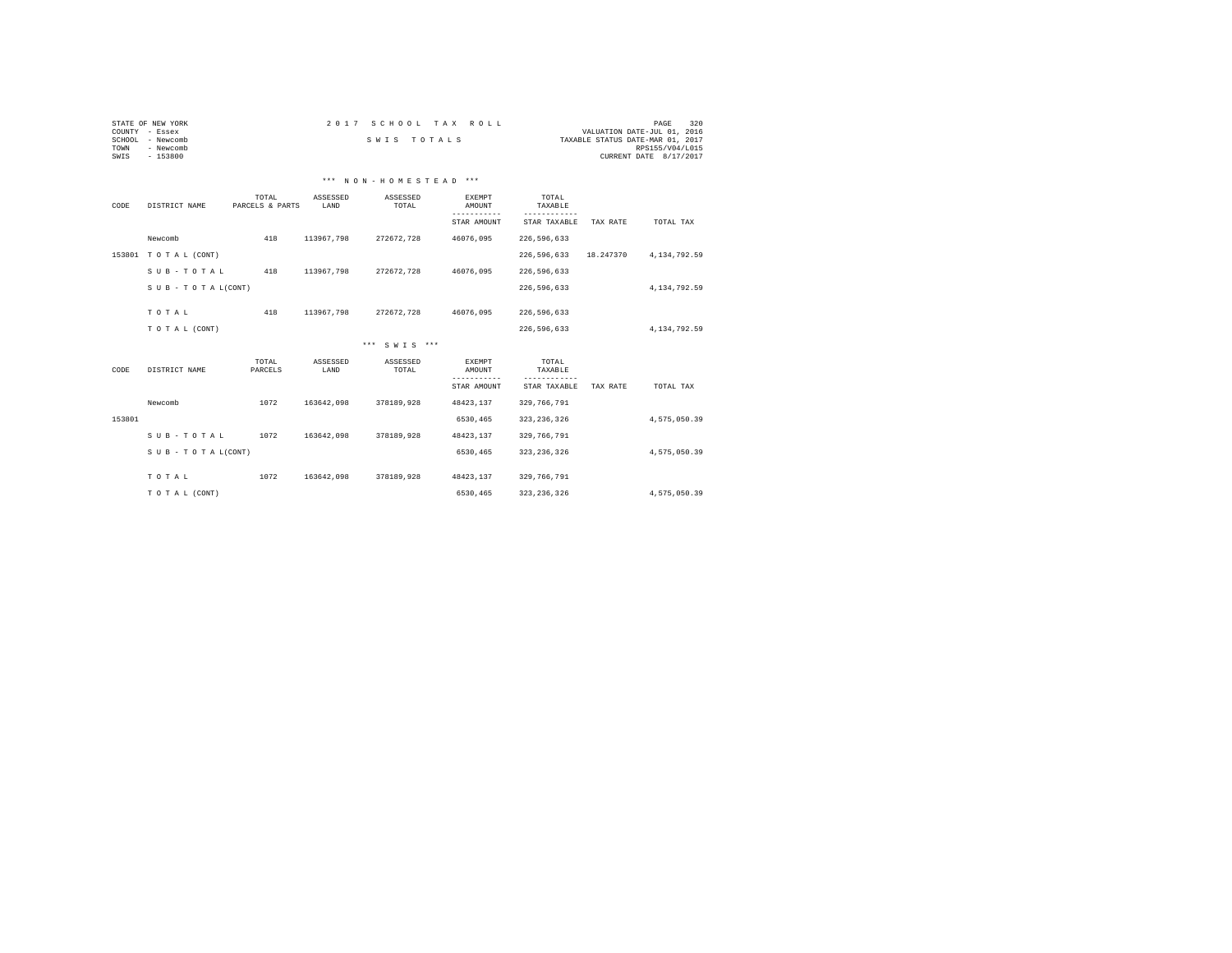| STATE OF NEW YORK   | 2017 SCHOOL TAX ROLL | 320<br>PAGE                      |
|---------------------|----------------------|----------------------------------|
| COUNTY - Essex      |                      | VALUATION DATE-JUL 01, 2016      |
| SCHOOL<br>- Newcomb | SWIS TOTALS          | TAXABLE STATUS DATE-MAR 01, 2017 |
| TOWN<br>- Newcomb   |                      | RPS155/V04/L015                  |
| SWIS<br>- 153800    |                      | CURRENT DATE 8/17/2017           |
|                     |                      |                                  |

# \*\*\* N O N - H O M E S T E A D \*\*\*

| CODE   | DISTRICT NAME             | TOTAL<br>PARCELS & PARTS | ASSESSED<br>LAND | ASSESSED<br>TOTAL | EXEMPT<br>AMOUNT        | TOTAL<br>TAXABLE |           |                |
|--------|---------------------------|--------------------------|------------------|-------------------|-------------------------|------------------|-----------|----------------|
|        |                           |                          |                  |                   | STAR AMOUNT             | STAR TAXABLE     | TAX RATE  | TOTAL TAX      |
|        | Newcomb                   | 418                      | 113967.798       | 272672.728        | 46076.095               | 226, 596, 633    |           |                |
| 153801 | TO TAL (CONT)             |                          |                  |                   |                         | 226,596,633      | 18.247370 | 4, 134, 792.59 |
|        | SUB-TOTAL                 | 418                      | 113967.798       | 272672.728        | 46076.095               | 226, 596, 633    |           |                |
|        | $S$ U B - T O T A L(CONT) |                          |                  |                   |                         | 226,596,633      |           | 4.134.792.59   |
|        | TOTAL                     | 418                      | 113967,798       | 272672,728        | 46076.095               | 226, 596, 633    |           |                |
|        |                           |                          |                  |                   |                         |                  |           |                |
|        | TO TAL (CONT)             |                          |                  |                   |                         | 226, 596, 633    |           | 4, 134, 792.59 |
|        |                           |                          |                  | *** SWTS ***      |                         |                  |           |                |
| CODE   | DISTRICT NAME             | TOTAL<br>PARCELS         | ASSESSED<br>LAND | ASSESSED<br>TOTAL | <b>EXEMPT</b><br>AMOUNT | TOTAL<br>TAXABLE |           |                |
|        |                           |                          |                  |                   | STAR AMOUNT             | STAR TAXABLE     | TAX RATE  | TOTAL TAX      |
|        | Newcomb                   | 1072                     | 163642.098       | 378189,928        | 48423,137               | 329, 766, 791    |           |                |
| 153801 |                           |                          |                  |                   | 6530,465                | 323, 236, 326    |           | 4,575,050.39   |
|        | SUB-TOTAL                 | 1072                     | 163642.098       | 378189,928        | 48423,137               | 329, 766, 791    |           |                |
|        | SUB - TO TAL(CONT)        |                          |                  |                   | 6530,465                | 323, 236, 326    |           | 4,575,050.39   |
|        | TOTAL                     | 1072                     | 163642.098       | 378189,928        | 48423,137               | 329, 766, 791    |           |                |
|        | TO TAL (CONT)             |                          |                  |                   | 6530,465                | 323, 236, 326    |           | 4,575,050.39   |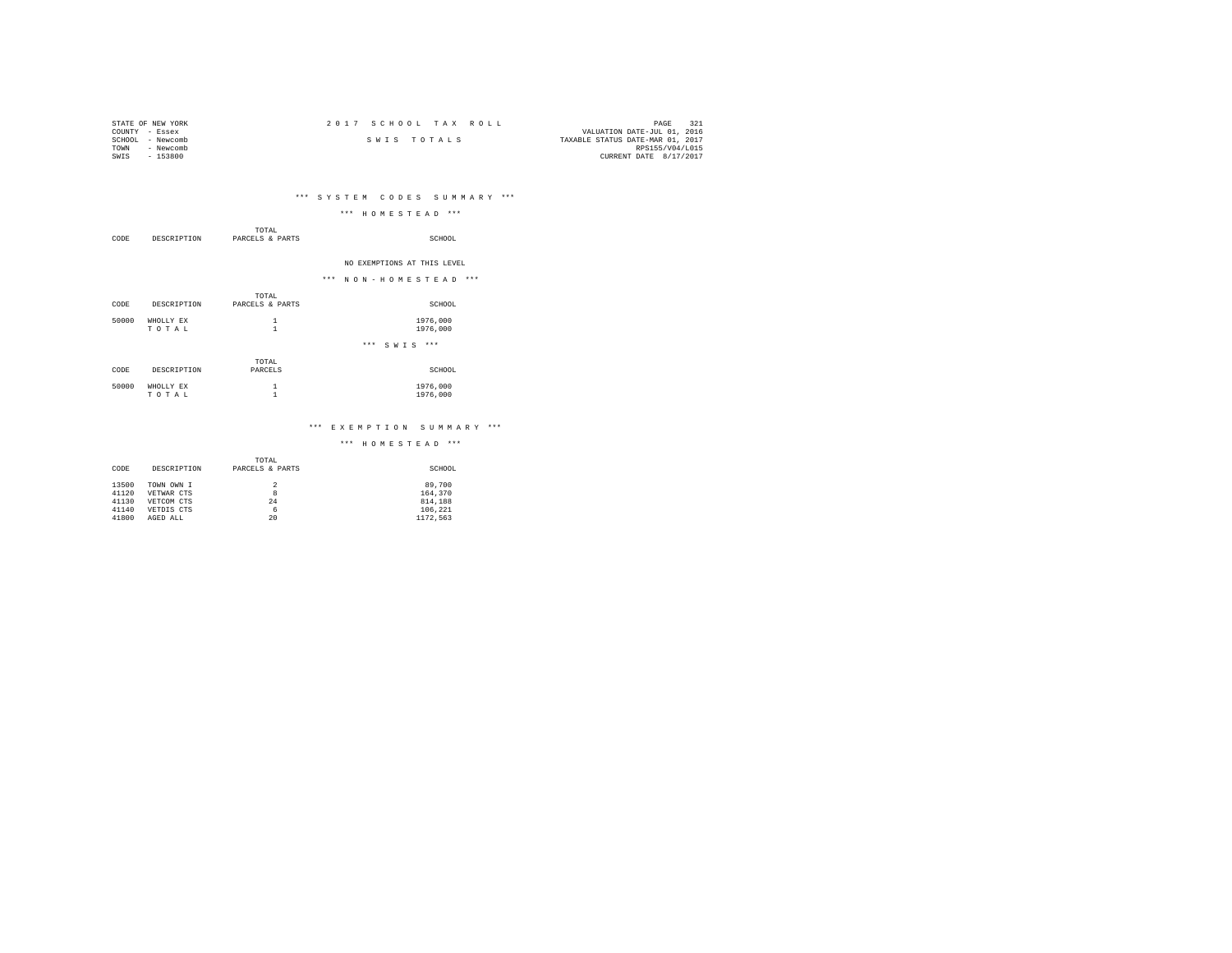| STATE OF NEW YORK | 2017 SCHOOL TAX ROLL |             |                                  | PAGE            |  |
|-------------------|----------------------|-------------|----------------------------------|-----------------|--|
| COUNTY - Essex    |                      |             | VALUATION DATE-JUL 01, 2016      |                 |  |
| SCHOOL - Newcomb  |                      | SWIS TOTALS | TAXABLE STATUS DATE-MAR 01, 2017 |                 |  |
| TOWN<br>- Newcomb |                      |             |                                  | RPS155/V04/L015 |  |
| SWIS<br>$-153800$ |                      |             | CURRENT DATE 8/17/2017           |                 |  |

# \*\*\* S Y S T E M C O D E S S U M M A R Y \*\*\*

|       |                    |                                      | *** HOMESTEAD ***           |
|-------|--------------------|--------------------------------------|-----------------------------|
| CODE  |                    | TOTAL<br>DESCRIPTION PARCELS & PARTS | SCHOOL                      |
|       |                    |                                      | NO EXEMPTIONS AT THIS LEVEL |
|       |                    |                                      | *** NON-HOMESTEAD ***       |
| CODE  | DESCRIPTION        | TOTAL<br>PARCELS & PARTS             | SCHOOL                      |
| 50000 | WHOLLY EX<br>TOTAL | 1<br>$\mathbf{1}$                    | 1976,000<br>1976,000        |
|       |                    |                                      | *** SWIS ***                |
|       |                    | TOTAL                                |                             |

| CODE  | DESCRIPTION        | PARCELS | SCHOOL               |
|-------|--------------------|---------|----------------------|
| 50000 | WHOLLY EX<br>TOTAL |         | 1976,000<br>1976,000 |

### \*\*\* E X E M P T I O N S U M M A R Y \*\*\*

# \*\*\* H O M E S T E A D \*\*\*

|       |             | TOTAL           |          |
|-------|-------------|-----------------|----------|
| CODE  | DESCRIPTION | PARCELS & PARTS | SCHOOL   |
| 13500 | TOWN OWN I  | 2               | 89,700   |
| 41120 | VETWAR CTS  | 8               | 164,370  |
| 41130 | VETCOM CTS  | 2.4             | 814,188  |
| 41140 | VETDIS CTS  | 6               | 106.221  |
| 41800 | AGED ALL    | 20              | 1172.563 |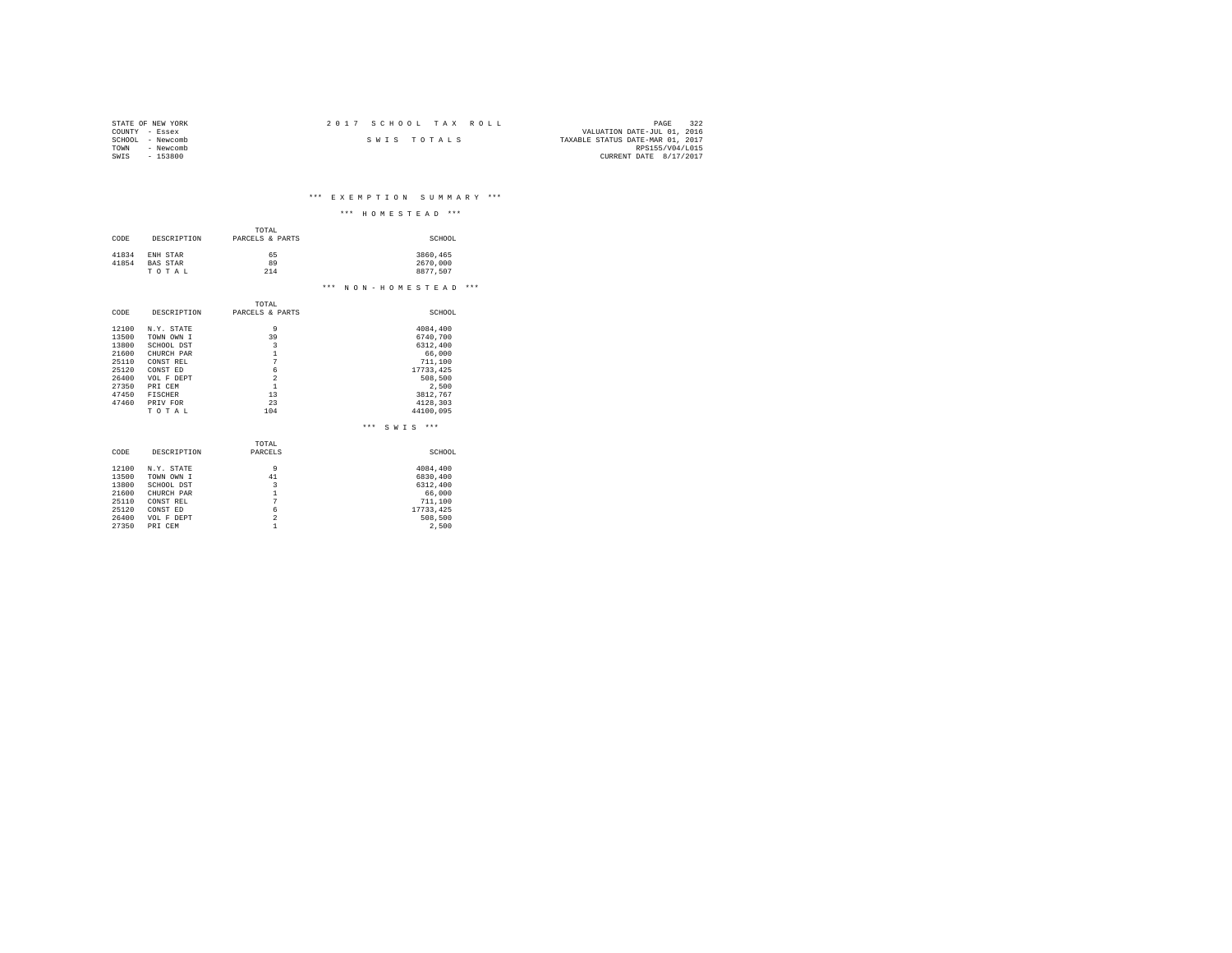| STATE OF NEW YORK | 2017 SCHOOL TAX ROLL | 322<br>PAGE                      |
|-------------------|----------------------|----------------------------------|
| COUNTY - Essex    |                      | VALUATION DATE-JUL 01, 2016      |
| SCHOOL - Newcomb  | SWIS TOTALS          | TAXABLE STATUS DATE-MAR 01, 2017 |
| - Newcomb<br>TOWN |                      | RPS155/V04/L015                  |
| $-153800$<br>SWIS |                      | CURRENT DATE 8/17/2017           |

\*\*\* E X E M P T I O N S U M M A R Y \*\*\*

|       |                 |                         | $***$<br>$***$<br>HOMESTEAD |
|-------|-----------------|-------------------------|-----------------------------|
|       |                 | TOTAL                   |                             |
| CODE  | DESCRIPTION     | PARCELS & PARTS         | SCHOOL                      |
|       |                 |                         |                             |
| 41834 | ENH STAR        | 65                      | 3860,465                    |
| 41854 | <b>BAS STAR</b> | 89<br>214               | 2670,000                    |
|       | TOTAL           |                         | 8877.507                    |
|       |                 |                         | *** NON-HOMESTEAD<br>***    |
|       |                 | TOTAL                   |                             |
| CODE  | DESCRIPTION     | PARCELS & PARTS         | SCHOOL                      |
| 12100 | N.Y. STATE      | 9                       | 4084,400                    |
| 13500 | TOWN OWN I      | 39                      | 6740,700                    |
| 13800 | SCHOOL DST      | $\overline{3}$          | 6312,400                    |
| 21600 | CHURCH PAR      | 1                       | 66,000                      |
| 25110 | CONST REL       | 7                       | 711,100                     |
| 25120 | CONST ED        | 6                       | 17733, 425                  |
| 26400 | VOL F DEPT      | $\overline{2}$          | 508,500                     |
| 27350 | PRI CEM         | $\mathbf{1}$            | 2.500                       |
| 47450 | FISCHER         | 13                      | 3812.767                    |
| 47460 | PRIV FOR        | 23                      | 4128,303                    |
|       | TOTAL           | 104                     | 44100.095                   |
|       |                 |                         | $***$<br>$***$<br>SWTS      |
|       |                 | TOTAL                   |                             |
| CODE  | DESCRIPTION     | PARCELS                 | SCHOOL                      |
| 12100 | N.Y. STATE      | 9                       | 4084.400                    |
| 13500 | TOWN OWN I      | 41                      | 6830,400                    |
| 13800 | SCHOOL DST      | $\overline{\mathbf{3}}$ | 6312,400                    |
| 21600 | CHURCH PAR      | $\mathbf{1}$            | 66,000                      |
| 25110 | CONST REL       | 7                       | 711,100                     |
| 25120 | CONST ED        | 6                       | 17733, 425                  |
| 26400 | VOL F DEPT      | $\overline{a}$          | 508,500                     |
| 27350 | PRI CEM         | 1                       | 2.500                       |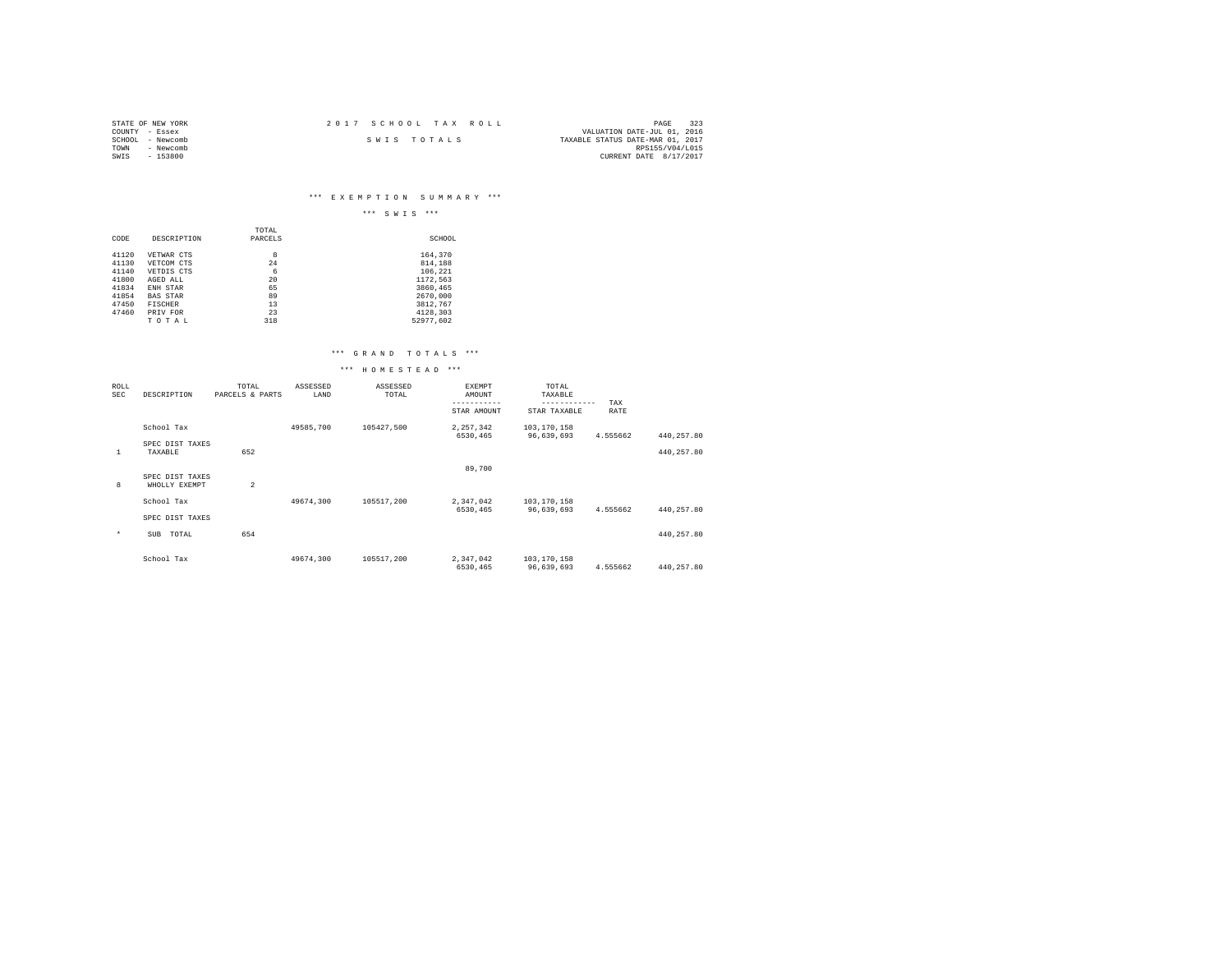| STATE OF NEW YORK | 2017 SCHOOL TAX ROLL | 323<br>PAGE                      |
|-------------------|----------------------|----------------------------------|
| COUNTY - Essex    |                      | VALUATION DATE-JUL 01, 2016      |
| SCHOOL - Newcomb  | SWIS TOTALS          | TAXABLE STATUS DATE-MAR 01, 2017 |
| TOWN<br>- Newcomb |                      | RPS155/V04/L015                  |
| - 153800<br>SWIS  |                      | CURRENT DATE 8/17/2017           |

# \*\*\* E X E M P T I O N S U M M A R Y \*\*\*

|       |                 |         | $***$<br>***<br>SWIS |
|-------|-----------------|---------|----------------------|
|       |                 | TOTAL   |                      |
| CODE  | DESCRIPTION     | PARCELS | SCHOOL               |
| 41120 | VETWAR CTS      | 8       | 164.370              |
| 41130 | VETCOM CTS      | 24      | 814,188              |
| 41140 | VETDIS CTS      | 6       | 106,221              |
| 41800 | AGED ALL        | 20      | 1172,563             |
| 41834 | ENH STAR        | 65      | 3860.465             |
| 41854 | <b>BAS STAR</b> | 89      | 2670.000             |
| 47450 | <b>FISCHER</b>  | 13      | 3812.767             |
| 47460 | PRIV FOR        | 23      | 4128.303             |
|       | TOTAL           | 318     | 52977.602            |

## \*\*\* G R A N D T O T A L S \*\*\*

## \*\*\* H O M E S T E A D \*\*\*

| ROLL<br><b>SEC</b> | DESCRIPTION                      | TOTAL<br>PARCELS & PARTS | ASSESSED<br>LAND | ASSESSED<br>TOTAL | EXEMPT<br>AMOUNT      | TOTAL<br>TAXABLE<br>------------ | TAX      |            |  |
|--------------------|----------------------------------|--------------------------|------------------|-------------------|-----------------------|----------------------------------|----------|------------|--|
|                    |                                  |                          |                  |                   | STAR AMOUNT           | STAR TAXABLE                     | RATE     |            |  |
|                    | School Tax                       |                          | 49585,700        | 105427,500        | 2,257,342             | 103,170,158                      |          |            |  |
|                    | SPEC DIST TAXES                  |                          |                  |                   | 6530,465              | 96.639.693                       | 4.555662 | 440.257.80 |  |
| 1                  | TAXABLE                          | 652                      |                  |                   |                       |                                  |          | 440,257.80 |  |
|                    |                                  |                          |                  |                   | 89,700                |                                  |          |            |  |
| 8                  | SPEC DIST TAXES<br>WHOLLY EXEMPT | $\overline{a}$           |                  |                   |                       |                                  |          |            |  |
|                    | School Tax                       |                          | 49674.300        | 105517.200        | 2,347,042             | 103,170,158                      |          |            |  |
|                    |                                  |                          |                  |                   | 6530.465              | 96,639,693                       | 4.555662 | 440,257.80 |  |
|                    | SPEC DIST TAXES                  |                          |                  |                   |                       |                                  |          |            |  |
| $\star$            | TOTAL<br>SUB                     | 654                      |                  |                   |                       |                                  |          | 440,257.80 |  |
|                    | School Tax                       |                          | 49674.300        | 105517.200        | 2,347,042<br>6530,465 | 103,170,158<br>96,639,693        | 4.555662 | 440,257.80 |  |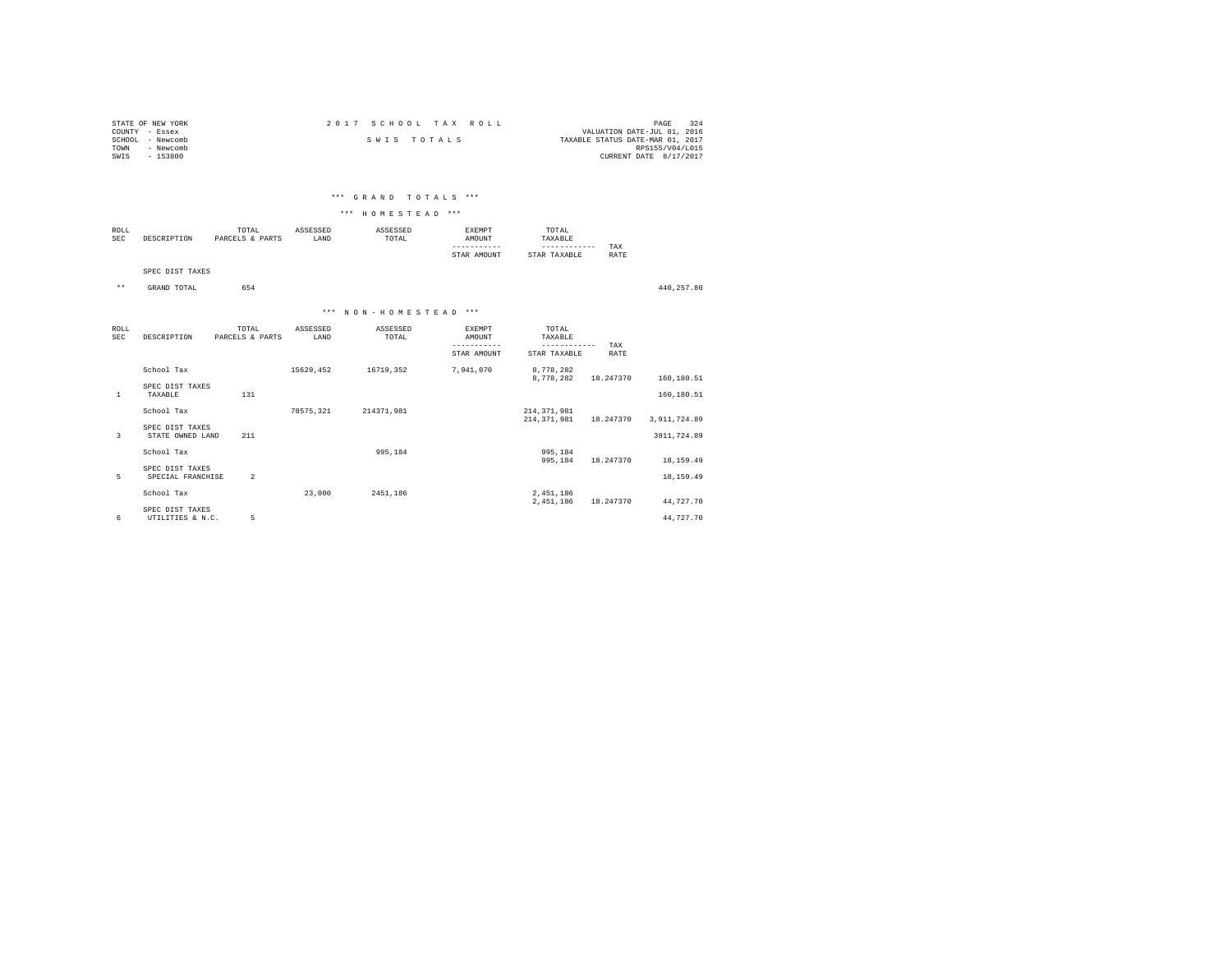| STATE OF NEW YORK   | 2017 SCHOOL TAX ROLL | 324<br>PAGE                      |
|---------------------|----------------------|----------------------------------|
| COUNTY - Essex      |                      | VALUATION DATE-JUL 01, 2016      |
| - Newcomb<br>SCHOOL | SWIS TOTALS          | TAXABLE STATUS DATE-MAR 01, 2017 |
| - Newcomb<br>TOWN   |                      | RPS155/V04/L015                  |
| $-153800$<br>SWIS   |                      | CURRENT DATE 8/17/2017           |
|                     |                      |                                  |

# \*\*\* G R A N D T O T A L S \*\*\*

## \*\*\* H O M E S T E A D \*\*\*

| ROLL<br>SEC | DESCRIPTION | TOTAL<br>PARCELS & PARTS | ASSESSED<br>LAND | ASSESSED<br>TOTAL<br>the contract of the contract of the contract of | RXEMPT<br><b>MOUNT</b> | TOTAL<br>'AXABLE |      |
|-------------|-------------|--------------------------|------------------|----------------------------------------------------------------------|------------------------|------------------|------|
|             |             |                          |                  |                                                                      |                        |                  | TAX  |
|             |             |                          |                  |                                                                      | AMOUNT<br>STAR         | TAXABLE<br>STAR  | RATE |

SPEC DIST TAXES

\*\* GRAND TOTAL 654 440,257.80

#### \*\*\* N O N - H O M E S T E A D \*\*\*

| ROLL<br>SEC  | DESCRIPTION                          | TOTAL<br>PARCELS & PARTS | ASSESSED<br>LAND | ASSESSED<br>TOTAL | EXEMPT<br>AMOUNT | TOTAL<br>TAXABLE               | TAX       |                |  |
|--------------|--------------------------------------|--------------------------|------------------|-------------------|------------------|--------------------------------|-----------|----------------|--|
|              |                                      |                          |                  |                   | STAR AMOUNT      | STAR TAXABLE                   | RATE      |                |  |
|              | School Tax                           |                          | 15629,452        | 16719,352         | 7,941,070        | 8,778,282<br>8.778.282         | 18.247370 | 160,180.51     |  |
| $\mathbf{1}$ | SPEC DIST TAXES<br>TAXABLE           | 131                      |                  |                   |                  |                                |           | 160,180.51     |  |
|              | School Tax                           |                          | 78575.321        | 214371.981        |                  | 214, 371, 981<br>214, 371, 981 | 18.247370 | 3, 911, 724.89 |  |
| 3            | SPEC DIST TAXES<br>STATE OWNED LAND  | 211                      |                  |                   |                  |                                |           | 3911,724.89    |  |
|              | School Tax                           |                          |                  | 995.184           |                  | 995,184<br>995,184             | 18.247370 | 18,159.49      |  |
| 5            | SPEC DIST TAXES<br>SPECIAL FRANCHISE | $\overline{2}$           |                  |                   |                  |                                |           | 18, 159.49     |  |
|              | School Tax                           |                          | 23,000           | 2451.186          |                  | 2,451,186<br>2,451,186         | 18.247370 | 44,727.70      |  |
| 6            | SPEC DIST TAXES<br>UTILITIES & N.C.  | 5                        |                  |                   |                  |                                |           | 44.727.70      |  |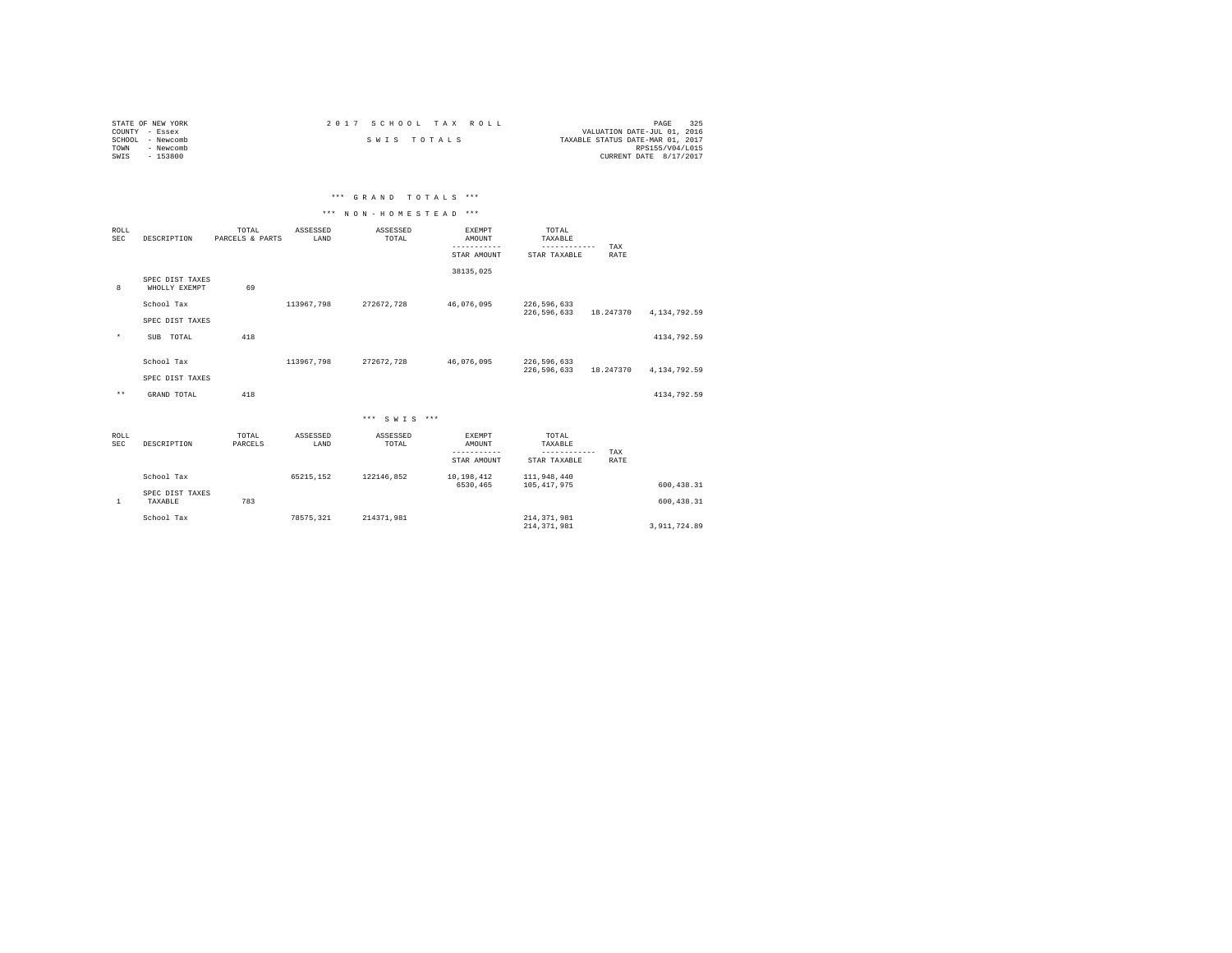| STATE OF NEW YORK |           |             |  | 2017 SCHOOL TAX ROLL |                                  | PAGE                   | 325 |
|-------------------|-----------|-------------|--|----------------------|----------------------------------|------------------------|-----|
| COUNTY - Essex    |           |             |  |                      | VALUATION DATE-JUL 01, 2016      |                        |     |
| SCHOOL - Newcomb  |           | SWIS TOTALS |  |                      | TAXABLE STATUS DATE-MAR 01, 2017 |                        |     |
| TOWN              | - Newcomb |             |  |                      |                                  | RPS155/V04/L015        |     |
| SWIS              | $-153800$ |             |  |                      |                                  | CURRENT DATE 8/17/2017 |     |

| *** GRAND TOTALS ***<br>the contract of the contract of the contract of the contract of the contract of |
|---------------------------------------------------------------------------------------------------------|
|---------------------------------------------------------------------------------------------------------|

# \*\*\* N O N - H O M E S T E A D \*\*\*

| ROLL<br><b>SEC</b> | DESCRIPTION                      | TOTAL<br>PARCELS & PARTS | ASSESSED<br>LAND | ASSESSED<br>TOTAL | <b>EXEMPT</b><br>AMOUNT         | TOTAL<br>TAXABLE<br>------------ | TAX         |              |
|--------------------|----------------------------------|--------------------------|------------------|-------------------|---------------------------------|----------------------------------|-------------|--------------|
|                    |                                  |                          |                  |                   | STAR AMOUNT                     | STAR TAXABLE                     | <b>RATE</b> |              |
| 8                  | SPEC DIST TAXES<br>WHOLLY EXEMPT | 69                       |                  |                   | 38135,025                       |                                  |             |              |
|                    | School Tax                       |                          | 113967.798       | 272672.728        | 46.076.095                      | 226,596,633<br>226,596,633       | 18.247370   | 4,134,792.59 |
|                    | SPEC DIST TAXES                  |                          |                  |                   |                                 |                                  |             |              |
| $^\star$           | SUB TOTAL                        | 418                      |                  |                   |                                 |                                  |             | 4134,792.59  |
|                    | School Tax                       |                          | 113967.798       | 272672,728        | 46,076,095                      | 226,596,633<br>226,596,633       | 18.247370   | 4,134,792.59 |
|                    | SPEC DIST TAXES                  |                          |                  |                   |                                 |                                  |             |              |
| $\star\star$       | GRAND TOTAL                      | 418                      |                  |                   |                                 |                                  |             | 4134,792.59  |
|                    |                                  |                          |                  | *** SWTS ***      |                                 |                                  |             |              |
| ROLL<br><b>SEC</b> | DESCRIPTION                      | TOTAL<br>PARCELS         | ASSESSED<br>LAND | ASSESSED<br>TOTAL | EXEMPT<br>AMOUNT<br>----------- | TOTAL<br>TAXABLE<br>------------ |             |              |
|                    |                                  |                          |                  |                   | STAR AMOUNT                     | STAR TAXABLE                     | TAX<br>RATE |              |
|                    | School Tax                       |                          | 65215.152        | 122146.852        | 10,198,412<br>6530.465          | 111,948,440<br>105, 417, 975     |             | 600, 438.31  |
| $\mathbf{1}$       | SPEC DIST TAXES<br>TAXABLE       | 783                      |                  |                   |                                 |                                  |             | 600.438.31   |
|                    | School Tax                       |                          | 78575.321        | 214371.981        |                                 | 214, 371, 981<br>214, 371, 981   |             | 3.911.724.89 |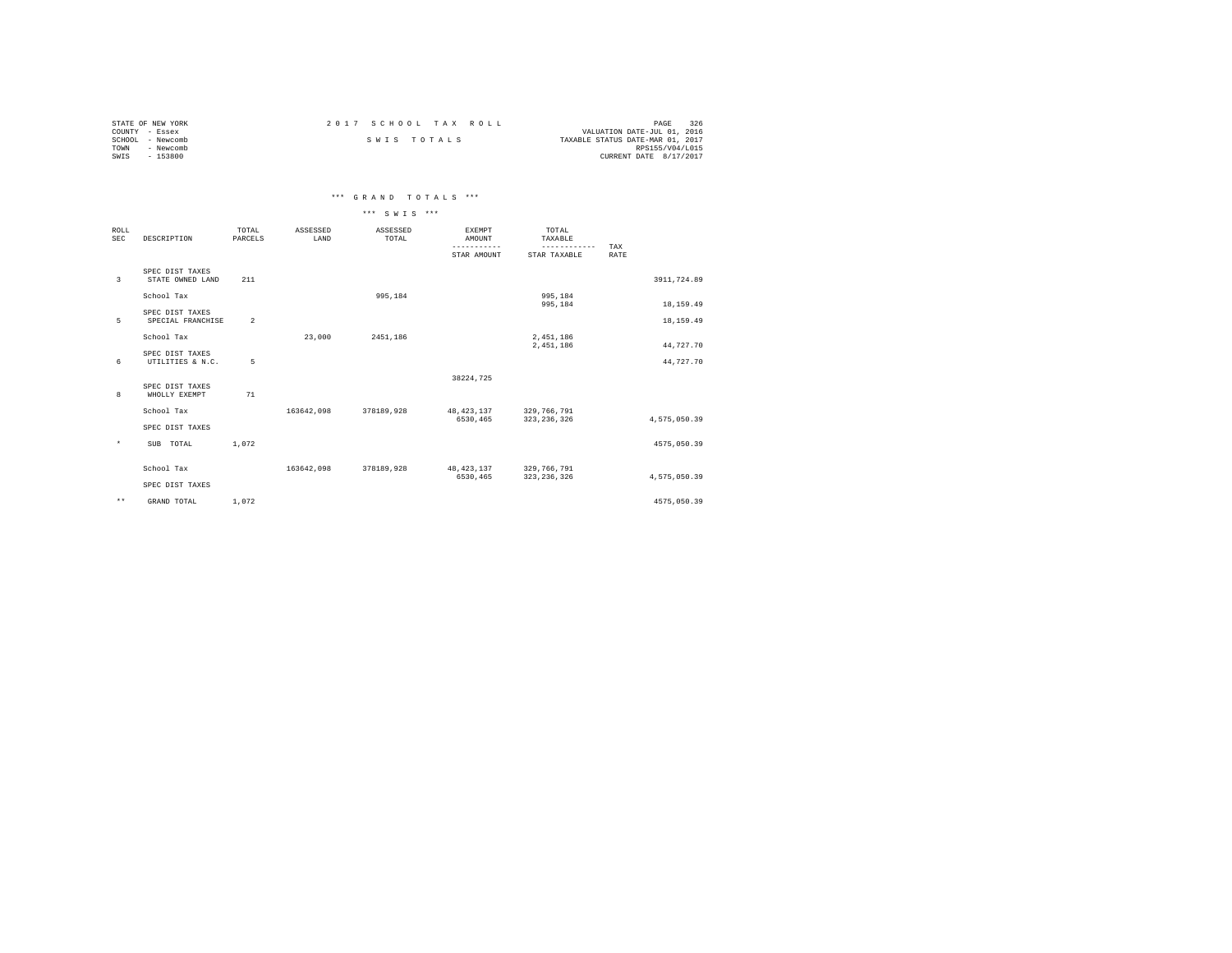| STATE OF NEW YORK | 2017 SCHOOL TAX ROLL | 326<br>PAGE                      |
|-------------------|----------------------|----------------------------------|
| COUNTY - Essex    |                      | VALUATION DATE-JUL 01, 2016      |
| SCHOOL - Newcomb  | SWIS TOTALS          | TAXABLE STATUS DATE-MAR 01, 2017 |
| TOWN<br>- Newcomb |                      | RPS155/V04/L015                  |
| SWIS<br>$-153800$ |                      | CURRENT DATE 8/17/2017           |

\*\*\* G R A N D T O T A L S \*\*\*

|                    |                                      |                  |                  | *** SWTS ***      |                                        |                                                  |                    |              |
|--------------------|--------------------------------------|------------------|------------------|-------------------|----------------------------------------|--------------------------------------------------|--------------------|--------------|
| <b>ROLL</b><br>SEC | DESCRIPTION                          | TOTAL<br>PARCELS | ASSESSED<br>LAND | ASSESSED<br>TOTAL | <b>EXEMPT</b><br>AMOUNT<br>STAR AMOUNT | TOTAL<br>TAXABLE<br>------------<br>STAR TAXABLE | TAX<br><b>RATE</b> |              |
| 3                  | SPEC DIST TAXES<br>STATE OWNED LAND  | 211              |                  |                   |                                        |                                                  |                    | 3911,724.89  |
|                    | School Tax                           |                  |                  | 995.184           |                                        | 995,184<br>995,184                               |                    | 18,159.49    |
| 5                  | SPEC DIST TAXES<br>SPECIAL FRANCHISE | $\overline{a}$   |                  |                   |                                        |                                                  |                    | 18,159.49    |
|                    | School Tax                           |                  | 23,000           | 2451.186          |                                        | 2,451,186<br>2.451.186                           |                    | 44,727.70    |
| 6                  | SPEC DIST TAXES<br>UTILITIES & N.C.  | 5                |                  |                   |                                        |                                                  |                    | 44,727.70    |
| 8                  | SPEC DIST TAXES<br>WHOLLY EXEMPT     | 71               |                  |                   | 38224,725                              |                                                  |                    |              |
|                    | School Tax                           |                  | 163642.098       | 378189.928        | 48, 423, 137<br>6530.465               | 329,766,791                                      |                    |              |
|                    | SPEC DIST TAXES                      |                  |                  |                   |                                        | 323, 236, 326                                    |                    | 4,575,050.39 |
| $\star$            | SUB TOTAL                            | 1.072            |                  |                   |                                        |                                                  |                    | 4575,050.39  |
|                    | School Tax                           |                  | 163642,098       | 378189,928        | 48, 423, 137<br>6530,465               | 329,766,791<br>323, 236, 326                     |                    | 4,575,050.39 |
|                    | SPEC DIST TAXES                      |                  |                  |                   |                                        |                                                  |                    |              |
| $***$              | GRAND TOTAL                          | 1.072            |                  |                   |                                        |                                                  |                    | 4575,050.39  |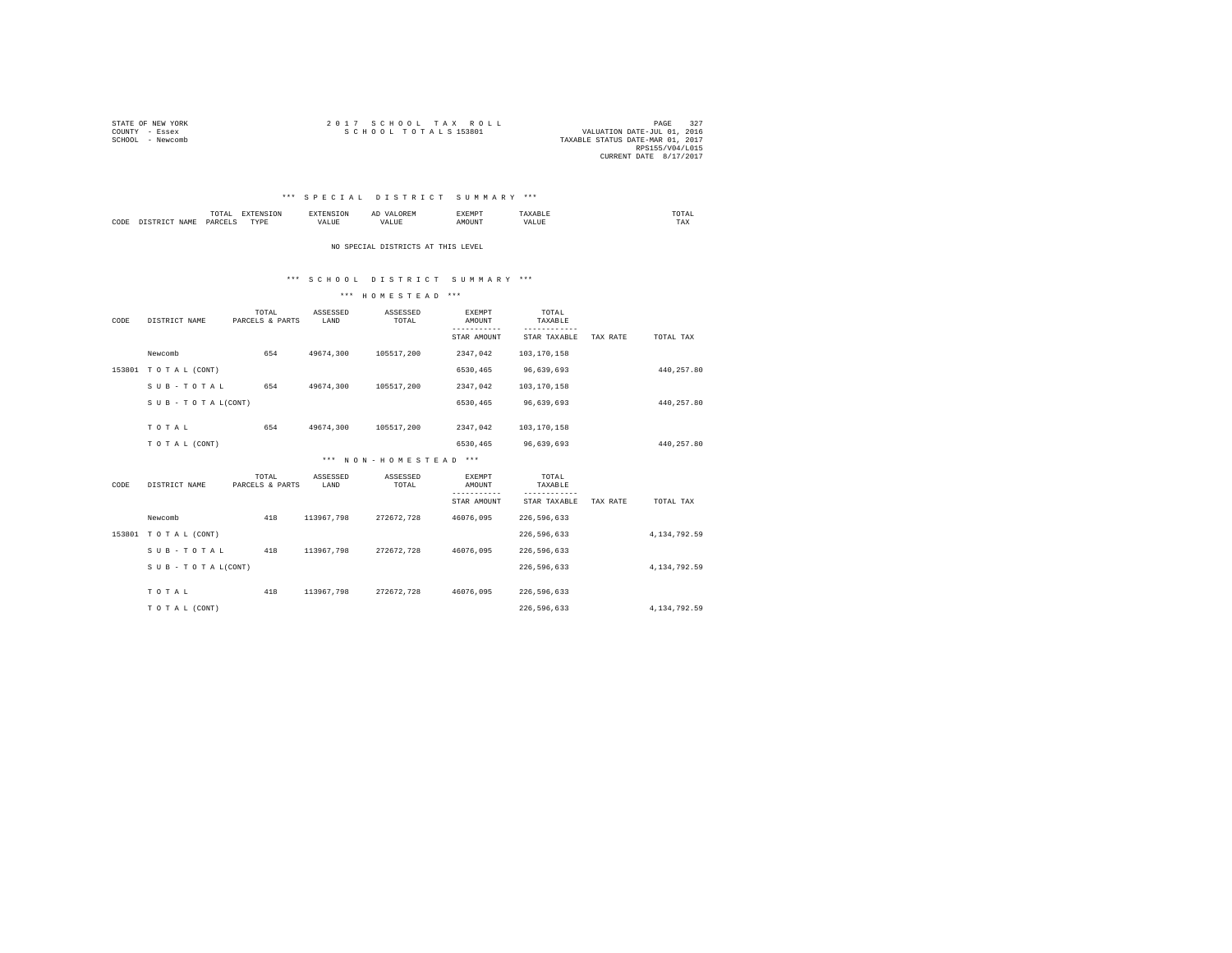| STATE OF NEW YORK | 2017 SCHOOL TAX ROLL             | PAGE                        |  |
|-------------------|----------------------------------|-----------------------------|--|
| COUNTY - Essex    | SCHOOL TOTALS 153801             | VALUATION DATE-JUL 01, 2016 |  |
| SCHOOL - Newcomb  | TAXABLE STATUS DATE-MAR 01, 2017 |                             |  |
|                   |                                  | RPS155/V04/L015             |  |
|                   |                                  | CURRENT DATE 8/17/2017      |  |

## \*\*\* S P E C I A L D I S T R I C T S U M M A R Y \*\*\*

|      |   | .<br>the contract of the contract of the contract of |                   | $\sim$ | <b>AKNP</b> | UTAL<br>the contract of the contract of the contract of |
|------|---|------------------------------------------------------|-------------------|--------|-------------|---------------------------------------------------------|
| CODI | . | OAD<br>_______                                       | <b>THEFT</b><br>. | ----   |             | TAX                                                     |

NO SPECIAL DISTRICTS AT THIS LEVEL

## \*\*\* S C H O O L D I S T R I C T S U M M A R Y \*\*\*

#### \*\*\* H O M E S T E A D \*\*\*

| CODE   | DISTRICT NAME       | TOTAL<br>PARCELS & PARTS | ASSESSED<br>LAND | ASSESSED<br>TOTAL     | <b>EXEMPT</b><br>AMOUNT                               | TOTAL<br>TAXABLE                            |          |                |  |
|--------|---------------------|--------------------------|------------------|-----------------------|-------------------------------------------------------|---------------------------------------------|----------|----------------|--|
|        |                     |                          |                  |                       | STAR AMOUNT                                           | STAR TAXABLE                                | TAX RATE | TOTAL TAX      |  |
|        | Newcomb             | 654                      | 49674,300        | 105517,200            | 2347,042                                              | 103,170,158                                 |          |                |  |
|        | 153801 TOTAL (CONT) |                          |                  |                       | 6530,465                                              | 96,639,693                                  |          | 440,257.80     |  |
|        | SUB-TOTAL           | 654                      | 49674.300        | 105517.200            | 2347.042                                              | 103,170,158                                 |          |                |  |
|        | SUB - TO TAL(CONT)  |                          |                  |                       | 6530,465                                              | 96,639,693                                  |          | 440,257.80     |  |
|        | TOTAL               | 654                      | 49674,300        | 105517,200            | 2347,042                                              | 103,170,158                                 |          |                |  |
|        |                     |                          |                  |                       |                                                       |                                             |          |                |  |
|        | TO TAL (CONT)       |                          |                  |                       | 6530,465                                              | 96,639,693                                  |          | 440,257.80     |  |
|        |                     |                          |                  | *** NON-HOMESTEAD *** |                                                       |                                             |          |                |  |
| CODE   | DISTRICT NAME       | TOTAL<br>PARCELS & PARTS | ASSESSED<br>LAND | ASSESSED<br>TOTAL     | <b>EXEMPT</b><br>AMOUNT<br>-----------<br>STAR AMOUNT | TOTAL<br>TAXABLE<br>-------<br>STAR TAXABLE | TAX RATE | TOTAL TAX      |  |
|        | Newcomb             | 418                      | 113967,798       | 272672,728            | 46076,095                                             | 226, 596, 633                               |          |                |  |
| 153801 | TO TAL (CONT)       |                          |                  |                       |                                                       | 226.596.633                                 |          | 4.134.792.59   |  |
|        | SUB-TOTAL           | 418                      | 113967,798       | 272672,728            | 46076,095                                             | 226, 596, 633                               |          |                |  |
|        | SUB - TO TAL(CONT)  |                          |                  |                       |                                                       | 226, 596, 633                               |          | 4, 134, 792.59 |  |
|        | TOTAL               | 418                      | 113967.798       | 272672,728            | 46076.095                                             | 226,596,633                                 |          |                |  |
|        | TO TAL (CONT)       |                          |                  |                       |                                                       | 226.596.633                                 |          | 4.134.792.59   |  |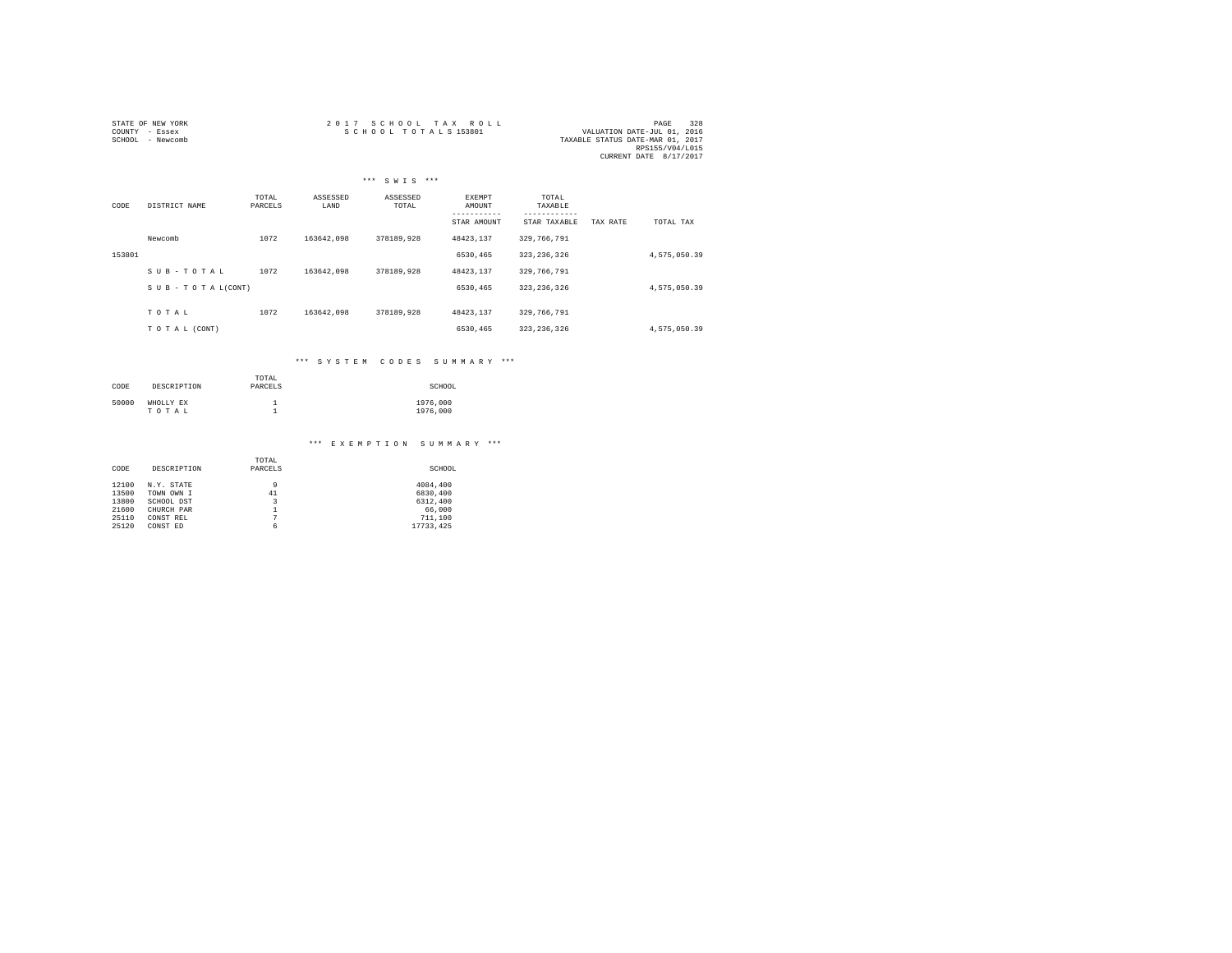| STATE OF NEW YORK | 2017 SCHOOL TAX ROLL | 328<br>PAGE                      |
|-------------------|----------------------|----------------------------------|
| COUNTY - Essex    | SCHOOL TOTALS 153801 | VALUATION DATE-JUL 01, 2016      |
| SCHOOL - Newcomb  |                      | TAXABLE STATUS DATE-MAR 01, 2017 |
|                   |                      | RPS155/V04/L015                  |
|                   |                      | CURRENT DATE 8/17/2017           |

|        |                    |                  |                  | *** SWIS ***      |                         |                          |              |
|--------|--------------------|------------------|------------------|-------------------|-------------------------|--------------------------|--------------|
| CODE   | DISTRICT NAME      | TOTAL<br>PARCELS | ASSESSED<br>LAND | ASSESSED<br>TOTAL | <b>EXEMPT</b><br>AMOUNT | TOTAL<br>TAXABLE         |              |
|        |                    |                  |                  |                   | STAR AMOUNT             | STAR TAXABLE<br>TAX RATE | TOTAL TAX    |
|        | Newcomb            | 1072             | 163642.098       | 378189.928        | 48423.137               | 329,766,791              |              |
| 153801 |                    |                  |                  |                   | 6530,465                | 323, 236, 326            | 4,575,050.39 |
|        | SUB-TOTAL          | 1072             | 163642.098       | 378189.928        | 48423.137               | 329,766,791              |              |
|        | SUB - TO TAL(CONT) |                  |                  |                   | 6530,465                | 323, 236, 326            | 4,575,050.39 |
|        |                    |                  |                  |                   |                         |                          |              |
|        | TOTAL              | 1072             | 163642.098       | 378189.928        | 48423.137               | 329, 766, 791            |              |
|        | TO TAL (CONT)      |                  |                  |                   | 6530,465                | 323, 236, 326            | 4,575,050.39 |

# \*\*\* S Y S T E M C O D E S S U M M A R Y \*\*\*

| CODE  | DESCRIPTION        | TOTAL<br>PARCELS | SCHOOL               |
|-------|--------------------|------------------|----------------------|
| 50000 | WHOLLY EX<br>TOTAL |                  | 1976,000<br>1976,000 |

# \*\*\* E X E M P T I O N S U M M A R Y \*\*\*

| CODE  | DESCRIPTION | TOTAL<br>PARCELS        | SCHOOL    |
|-------|-------------|-------------------------|-----------|
| 12100 | N.Y. STATE  | 9                       | 4084.400  |
| 13500 | TOWN OWN I  | 41                      | 6830,400  |
| 13800 | SCHOOL DST  | $\overline{\mathbf{3}}$ | 6312,400  |
| 21600 | CHURCH PAR  | 1                       | 66,000    |
| 25110 | CONST REL   | 7                       | 711,100   |
| 25120 | CONST ED    | 6                       | 17733.425 |